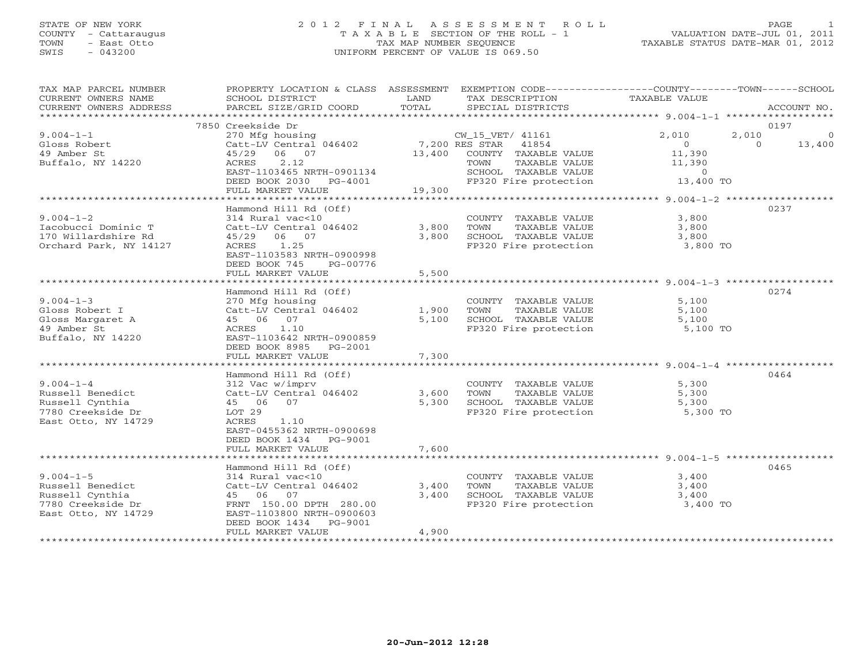# STATE OF NEW YORK 2 0 1 2 F I N A L A S S E S S M E N T R O L L PAGE 1 COUNTY - Cattaraugus T A X A B L E SECTION OF THE ROLL - 1 VALUATION DATE-JUL 01, 2011 TOWN - East Otto TAX MAP NUMBER SEQUENCE TAXABLE STATUS DATE-MAR 01, 2012 SWIS - 043200 UNIFORM PERCENT OF VALUE IS 069.50UNIFORM PERCENT OF VALUE IS 069.50

| TAX MAP PARCEL NUMBER<br>CURRENT OWNERS NAME<br>CURRENT OWNERS ADDRESS                             | PROPERTY LOCATION & CLASS ASSESSMENT<br>SCHOOL DISTRICT<br>PARCEL SIZE/GRID COORD                                                        | LAND<br>TOTAL  | EXEMPTION CODE-----------------COUNTY-------TOWN------SCHOOL<br>TAX DESCRIPTION<br>SPECIAL DISTRICTS | TAXABLE VALUE                       | ACCOUNT NO.        |
|----------------------------------------------------------------------------------------------------|------------------------------------------------------------------------------------------------------------------------------------------|----------------|------------------------------------------------------------------------------------------------------|-------------------------------------|--------------------|
|                                                                                                    |                                                                                                                                          |                |                                                                                                      |                                     |                    |
| $9.004 - 1 - 1$                                                                                    | 7850 Creekside Dr<br>270 Mfg housing                                                                                                     |                | CW_15_VET/ 41161                                                                                     | 2,010<br>2,010                      | 0197<br>$\circ$    |
| Gloss Robert<br>49 Amber St<br>Buffalo, NY 14220                                                   | Catt-LV Central 046402<br>45/29 06 07<br>ACRES<br>2.12                                                                                   |                | 7,200 RES STAR 41854<br>13,400 COUNTY TAXABLE VALUE<br>TAXABLE VALUE<br>TOWN                         | $\bigcirc$<br>11,390<br>11,390      | $\Omega$<br>13,400 |
|                                                                                                    | EAST-1103465 NRTH-0901134<br>DEED BOOK 2030 PG-4001                                                                                      |                | SCHOOL TAXABLE VALUE<br>FP320 Fire protection                                                        | $\sim$ 0<br>13,400 TO               |                    |
|                                                                                                    | FULL MARKET VALUE                                                                                                                        | 19,300         |                                                                                                      |                                     |                    |
|                                                                                                    | Hammond Hill Rd (Off)                                                                                                                    |                |                                                                                                      |                                     | 0237               |
| $9.004 - 1 - 2$<br>Iacobucci Dominic T                                                             | 314 Rural vac<10<br>Catt-LV Central 046402                                                                                               | 3,800          | COUNTY TAXABLE VALUE<br>TOWN<br>TAXABLE VALUE                                                        | 3,800<br>3,800                      |                    |
| 170 Willardshire Rd<br>Orchard Park, NY 14127                                                      | 45/29 06 07<br>ACRES 1.25<br>EAST-1103583 NRTH-0900998                                                                                   | 3,800          | SCHOOL TAXABLE VALUE<br>FP320 Fire protection                                                        | 3,800<br>3,800 TO                   |                    |
|                                                                                                    | DEED BOOK 745<br>PG-00776<br>FULL MARKET VALUE                                                                                           | 5,500          |                                                                                                      |                                     |                    |
|                                                                                                    |                                                                                                                                          |                |                                                                                                      |                                     |                    |
| $9.004 - 1 - 3$<br>Gloss Robert I                                                                  | Hammond Hill Rd (Off)<br>270 Mfg housing<br>Catt-LV Central 046402                                                                       | 1,900          | COUNTY TAXABLE VALUE<br>TAXABLE VALUE<br>TOWN                                                        | 5,100<br>5,100                      | 0274               |
| Gloss Margaret A<br>49 Amber St                                                                    | 45 06 07<br>1.10<br>ACRES                                                                                                                | 5.100          | SCHOOL TAXABLE VALUE<br>FP320 Fire protection                                                        | 5,100<br>5,100 TO                   |                    |
| Buffalo, NY 14220                                                                                  | EAST-1103642 NRTH-0900859<br>DEED BOOK 8985<br>PG-2001<br>FULL MARKET VALUE                                                              | 7,300          |                                                                                                      |                                     |                    |
|                                                                                                    |                                                                                                                                          |                |                                                                                                      |                                     |                    |
| $9.004 - 1 - 4$                                                                                    | Hammond Hill Rd (Off)<br>312 Vac w/imprv                                                                                                 |                | COUNTY TAXABLE VALUE                                                                                 | 5,300                               | 0464               |
| Russell Benedict<br>Russell Cynthia                                                                | Catt-LV Central 046402<br>45 06 07                                                                                                       | 3,600<br>5,300 | TAXABLE VALUE<br>TOWN<br>SCHOOL TAXABLE VALUE                                                        | 5,300<br>5,300                      |                    |
| 7780 Creekside Dr<br>East Otto, NY 14729                                                           | LOT 29<br>ACRES<br>1.10<br>EAST-0455362 NRTH-0900698<br>DEED BOOK 1434 PG-9001                                                           |                | FP320 Fire protection                                                                                | 5,300 TO                            |                    |
|                                                                                                    | FULL MARKET VALUE                                                                                                                        | 7,600          |                                                                                                      |                                     |                    |
|                                                                                                    | Hammond Hill Rd (Off)                                                                                                                    |                |                                                                                                      |                                     | 0465               |
| $9.004 - 1 - 5$<br>Russell Benedict<br>Russell Cynthia<br>7780 Creekside Dr<br>East Otto, NY 14729 | 314 Rural vac<10<br>Catt-LV Central 046402<br>45 06 07<br>FRNT 150.00 DPTH 280.00<br>EAST-1103800 NRTH-0900603<br>DEED BOOK 1434 PG-9001 | 3,400<br>3,400 | COUNTY TAXABLE VALUE<br>TOWN<br>TAXABLE VALUE<br>SCHOOL TAXABLE VALUE<br>FP320 Fire protection       | 3,400<br>3,400<br>3,400<br>3,400 TO |                    |
|                                                                                                    | FULL MARKET VALUE                                                                                                                        | 4,900          |                                                                                                      |                                     |                    |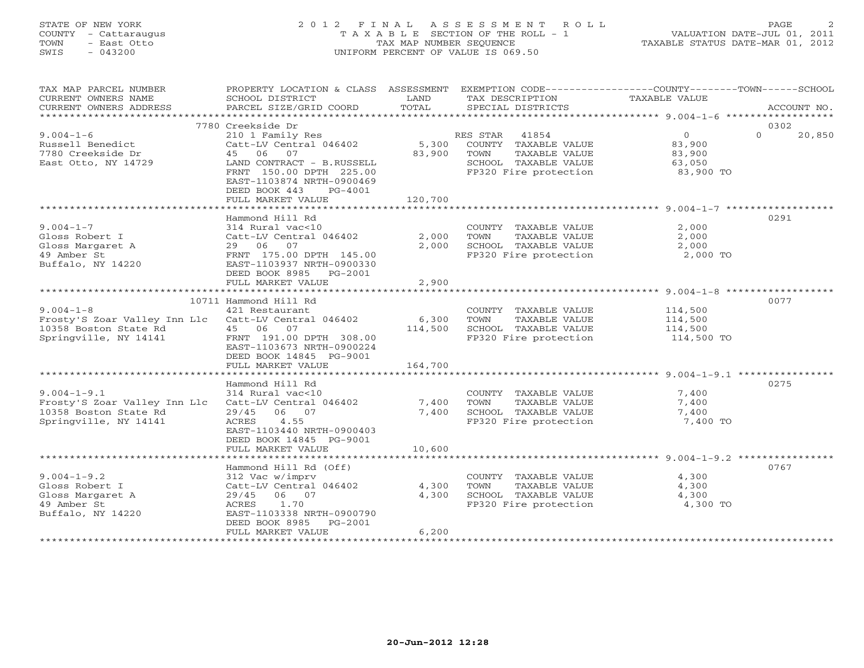# STATE OF NEW YORK 2 0 1 2 F I N A L A S S E S S M E N T R O L L PAGE 2 COUNTY - Cattaraugus T A X A B L E SECTION OF THE ROLL - 1 VALUATION DATE-JUL 01, 2011 TOWN - East Otto TAX MAP NUMBER SEQUENCE TAXABLE STATUS DATE-MAR 01, 2012 SWIS - 043200 UNIFORM PERCENT OF VALUE IS 069.50UNIFORM PERCENT OF VALUE IS 069.50

| TAX MAP PARCEL NUMBER<br>CURRENT OWNERS NAME<br>CURRENT OWNERS ADDRESS                              | PROPERTY LOCATION & CLASS ASSESSMENT<br>SCHOOL DISTRICT<br>PARCEL SIZE/GRID COORD                                                                                                     | LAND<br>TOTAL               | EXEMPTION CODE-----------------COUNTY-------TOWN------SCHOOL<br>TAX DESCRIPTION<br>SPECIAL DISTRICTS             | TAXABLE VALUE                                             | ACCOUNT NO.        |
|-----------------------------------------------------------------------------------------------------|---------------------------------------------------------------------------------------------------------------------------------------------------------------------------------------|-----------------------------|------------------------------------------------------------------------------------------------------------------|-----------------------------------------------------------|--------------------|
|                                                                                                     |                                                                                                                                                                                       |                             |                                                                                                                  |                                                           |                    |
|                                                                                                     | 7780 Creekside Dr                                                                                                                                                                     |                             |                                                                                                                  |                                                           | 0302               |
| $9.004 - 1 - 6$<br>Russell Benedict<br>7780 Creekside Dr<br>East Otto, NY 14729                     | 210 1 Family Res<br>Catt-LV Central 046402<br>45 06<br>07<br>LAND CONTRACT - B.RUSSELL<br>FRNT 150.00 DPTH 225.00<br>EAST-1103874 NRTH-0900469<br>DEED BOOK 443<br>PG-4001            | 5,300<br>83,900             | RES STAR 41854<br>COUNTY TAXABLE VALUE<br>TOWN<br>TAXABLE VALUE<br>SCHOOL TAXABLE VALUE<br>FP320 Fire protection | $\overline{0}$<br>83,900<br>83,900<br>63,050<br>83,900 TO | $\Omega$<br>20,850 |
|                                                                                                     | FULL MARKET VALUE                                                                                                                                                                     | 120,700                     |                                                                                                                  |                                                           |                    |
|                                                                                                     |                                                                                                                                                                                       |                             |                                                                                                                  |                                                           |                    |
| $9.004 - 1 - 7$<br>Gloss Robert I<br>Gloss Margaret A<br>49 Amber St<br>Buffalo, NY 14220           | Hammond Hill Rd<br>314 Rural vac<10<br>Catt-LV Central 046402<br>29 06 07<br>FRNT 175.00 DPTH 145.00<br>EAST-1103937 NRTH-0900330<br>DEED BOOK 8985 PG-2001<br>FULL MARKET VALUE      | 2,000<br>2,000<br>2,900     | COUNTY TAXABLE VALUE<br>TOWN<br>TAXABLE VALUE<br>SCHOOL TAXABLE VALUE<br>FP320 Fire protection                   | 2,000<br>2,000<br>2,000<br>2,000 TO                       | 0291               |
|                                                                                                     |                                                                                                                                                                                       |                             |                                                                                                                  |                                                           |                    |
| $9.004 - 1 - 8$<br>Frosty'S Zoar Valley Inn Llc<br>10358 Boston State Rd<br>Springville, NY 14141   | 10711 Hammond Hill Rd<br>421 Restaurant<br>Catt-LV Central 046402<br>45 06 07<br>FRNT 191.00 DPTH 308.00<br>EAST-1103673 NRTH-0900224<br>DEED BOOK 14845 PG-9001<br>FULL MARKET VALUE | 6,300<br>114,500<br>164,700 | COUNTY TAXABLE VALUE<br>TAXABLE VALUE<br>TOWN<br>SCHOOL TAXABLE VALUE<br>FP320 Fire protection                   | 114,500<br>114,500<br>114,500<br>114,500 TO               | 0077               |
|                                                                                                     |                                                                                                                                                                                       |                             |                                                                                                                  |                                                           |                    |
| $9.004 - 1 - 9.1$<br>Frosty'S Zoar Valley Inn Llc<br>10358 Boston State Rd<br>Springville, NY 14141 | Hammond Hill Rd<br>314 Rural vac<10<br>Catt-LV Central 046402<br>29/45<br>06 07<br>4.55<br>ACRES<br>EAST-1103440 NRTH-0900403<br>DEED BOOK 14845 PG-9001                              | 7,400<br>7,400              | COUNTY TAXABLE VALUE<br>TOWN<br>TAXABLE VALUE<br>SCHOOL TAXABLE VALUE<br>FP320 Fire protection                   | 7,400<br>7,400<br>7,400<br>7,400 TO                       | 0275               |
|                                                                                                     | FULL MARKET VALUE                                                                                                                                                                     | 10,600                      |                                                                                                                  |                                                           |                    |
|                                                                                                     |                                                                                                                                                                                       |                             |                                                                                                                  |                                                           |                    |
| $9.004 - 1 - 9.2$<br>Gloss Robert I<br>Gloss Margaret A<br>49 Amber St<br>Buffalo, NY 14220         | Hammond Hill Rd (Off)<br>312 Vac w/imprv<br>Catt-LV Central 046402<br>29/45<br>06 07<br>1.70<br>ACRES<br>EAST-1103338 NRTH-0900790<br>DEED BOOK 8985<br>PG-2001<br>FULL MARKET VALUE  | 4,300<br>4,300<br>6,200     | COUNTY TAXABLE VALUE<br>TAXABLE VALUE<br>TOWN<br>SCHOOL TAXABLE VALUE<br>FP320 Fire protection                   | 4,300<br>4,300<br>4,300<br>4,300 TO                       | 0767               |
|                                                                                                     |                                                                                                                                                                                       |                             |                                                                                                                  |                                                           |                    |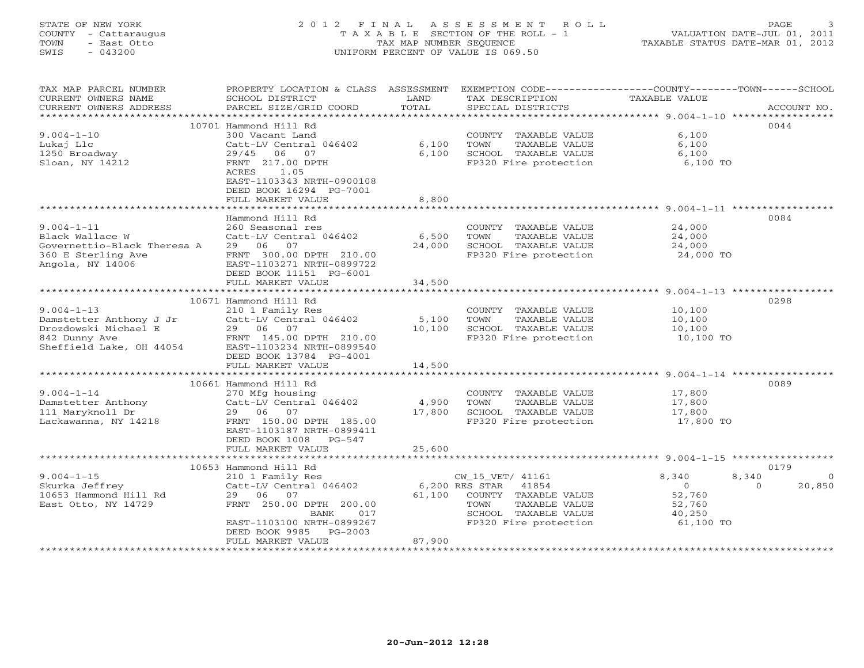# STATE OF NEW YORK 2 0 1 2 F I N A L A S S E S S M E N T R O L L PAGE 3 COUNTY - Cattaraugus T A X A B L E SECTION OF THE ROLL - 1 VALUATION DATE-JUL 01, 2011 TOWN - East Otto TAX MAP NUMBER SEQUENCE TAXABLE STATUS DATE-MAR 01, 2012 SWIS - 043200 UNIFORM PERCENT OF VALUE IS 069.50UNIFORM PERCENT OF VALUE IS 069.50

| TAX MAP PARCEL NUMBER<br>CURRENT OWNERS NAME<br>CURRENT OWNERS ADDRESS                                           | PROPERTY LOCATION & CLASS ASSESSMENT<br>SCHOOL DISTRICT<br>PARCEL SIZE/GRID COORD                                                                                                       | LAND<br>TOTAL             | TAX DESCRIPTION<br>SPECIAL DISTRICTS                                                                                                          | EXEMPTION CODE-----------------COUNTY-------TOWN-----SCHOOL<br>TAXABLE VALUE<br>ACCOUNT NO. |
|------------------------------------------------------------------------------------------------------------------|-----------------------------------------------------------------------------------------------------------------------------------------------------------------------------------------|---------------------------|-----------------------------------------------------------------------------------------------------------------------------------------------|---------------------------------------------------------------------------------------------|
| ***********************                                                                                          |                                                                                                                                                                                         |                           |                                                                                                                                               |                                                                                             |
| $9.004 - 1 - 10$<br>Lukaj Llc<br>1250 Broadway<br>Sloan, NY 14212                                                | 10701 Hammond Hill Rd<br>300 Vacant Land<br>Catt-LV Central 046402<br>06 07<br>29/45<br>FRNT 217.00 DPTH<br>ACRES<br>1.05<br>EAST-1103343 NRTH-0900108<br>DEED BOOK 16294 PG-7001       | 6,100<br>6,100            | COUNTY TAXABLE VALUE<br>TOWN<br>TAXABLE VALUE<br>SCHOOL TAXABLE VALUE<br>FP320 Fire protection                                                | 0044<br>6,100<br>6,100<br>6,100<br>6,100 TO                                                 |
|                                                                                                                  | FULL MARKET VALUE                                                                                                                                                                       | 8,800                     |                                                                                                                                               |                                                                                             |
| $9.004 - 1 - 11$<br>Black Wallace W                                                                              | Hammond Hill Rd<br>260 Seasonal res<br>Catt-LV Central 046402                                                                                                                           | 6,500                     | COUNTY TAXABLE VALUE<br>TOWN<br>TAXABLE VALUE                                                                                                 | 0084<br>24,000<br>24,000                                                                    |
| Governettio-Black Theresa A<br>360 E Sterling Ave<br>Angola, NY 14006                                            | 29 06 07<br>FRNT 300.00 DPTH 210.00<br>EAST-1103271 NRTH-0899722<br>DEED BOOK 11151 PG-6001<br>FULL MARKET VALUE                                                                        | 24,000<br>34,500          | SCHOOL TAXABLE VALUE<br>FP320 Fire protection                                                                                                 | 24,000<br>24,000 TO                                                                         |
|                                                                                                                  | **************************                                                                                                                                                              | * * * * * * * * * * *     |                                                                                                                                               | ********************* 9.004-1-13 *************                                              |
| $9.004 - 1 - 13$<br>Damstetter Anthony J Jr<br>Drozdowski Michael E<br>842 Dunny Ave<br>Sheffield Lake, OH 44054 | 10671 Hammond Hill Rd<br>210 1 Family Res<br>Catt-LV Central 046402<br>29 06 07<br>FRNT 145.00 DPTH 210.00<br>EAST-1103234 NRTH-0899540<br>DEED BOOK 13784 PG-4001<br>FULL MARKET VALUE | 5,100<br>10,100<br>14,500 | COUNTY TAXABLE VALUE<br>TOWN<br>TAXABLE VALUE<br>SCHOOL TAXABLE VALUE<br>FP320 Fire protection                                                | 0298<br>10,100<br>10,100<br>10,100<br>10,100 TO                                             |
|                                                                                                                  | 10661 Hammond Hill Rd                                                                                                                                                                   |                           |                                                                                                                                               | 0089                                                                                        |
| $9.004 - 1 - 14$<br>Damstetter Anthony<br>111 Maryknoll Dr<br>Lackawanna, NY 14218                               | 270 Mfg housing<br>Catt-LV Central 046402<br>07<br>29 06<br>FRNT 150.00 DPTH 185.00<br>EAST-1103187 NRTH-0899411<br>DEED BOOK 1008 PG-547                                               | 4,900<br>17,800           | COUNTY TAXABLE VALUE<br>TOWN<br>TAXABLE VALUE<br>SCHOOL TAXABLE VALUE<br>FP320 Fire protection                                                | 17,800<br>17,800<br>17,800<br>17,800 TO                                                     |
|                                                                                                                  | FULL MARKET VALUE                                                                                                                                                                       | 25,600                    |                                                                                                                                               |                                                                                             |
|                                                                                                                  | 10653 Hammond Hill Rd                                                                                                                                                                   |                           |                                                                                                                                               | 0179                                                                                        |
| $9.004 - 1 - 15$<br>Skurka Jeffrey<br>10653 Hammond Hill Rd<br>East Otto, NY 14729                               | 210 1 Family Res<br>Catt-LV Central 046402<br>29 06<br>07<br>FRNT 250.00 DPTH 200.00<br>BANK<br>017<br>EAST-1103100 NRTH-0899267<br>DEED BOOK 9985<br>PG-2003<br>FULL MARKET VALUE      | 61,100<br>87,900          | CW_15_VET/ 41161<br>6,200 RES STAR<br>41854<br>COUNTY TAXABLE VALUE<br>TAXABLE VALUE<br>TOWN<br>SCHOOL TAXABLE VALUE<br>FP320 Fire protection | 8,340<br>8,340<br>- 0<br>0<br>20,850<br>$\Omega$<br>52,760<br>52,760<br>40,250<br>61,100 TO |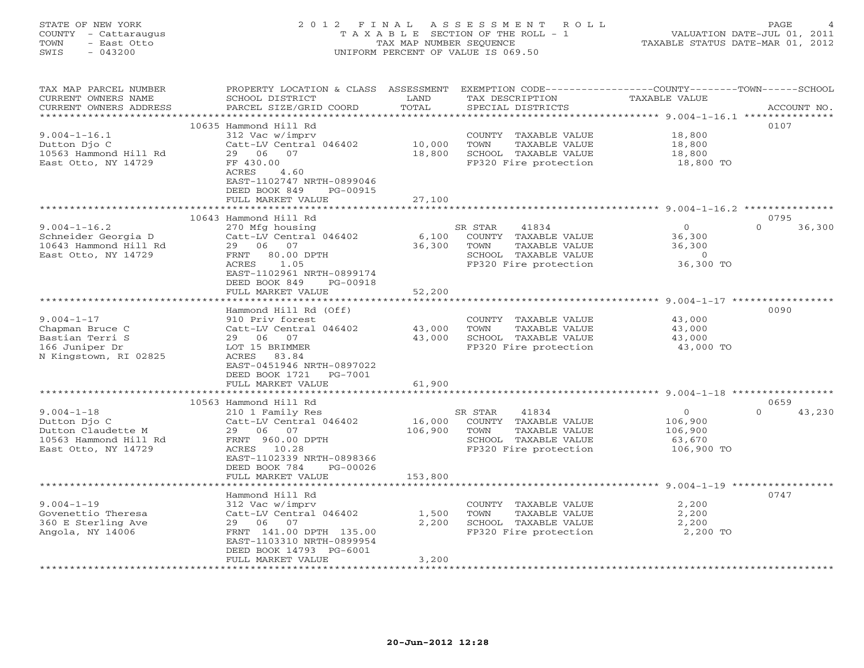# STATE OF NEW YORK 2 0 1 2 F I N A L A S S E S S M E N T R O L L PAGE 4 COUNTY - Cattaraugus T A X A B L E SECTION OF THE ROLL - 1 VALUATION DATE-JUL 01, 2011 TOWN - East Otto TAX MAP NUMBER SEQUENCE TAXABLE STATUS DATE-MAR 01, 2012 SWIS - 043200 UNIFORM PERCENT OF VALUE IS 069.50UNIFORM PERCENT OF VALUE IS 069.50

| SCHOOL DISTRICT<br>PARCEL SIZE/GRID COORD                                                                                                                                        | LAND<br>TOTAL                                                                                                                                                            | TAX DESCRIPTION<br>SPECIAL DISTRICTS                                                                    | TAXABLE VALUE                                                     | ACCOUNT NO.                                                  |
|----------------------------------------------------------------------------------------------------------------------------------------------------------------------------------|--------------------------------------------------------------------------------------------------------------------------------------------------------------------------|---------------------------------------------------------------------------------------------------------|-------------------------------------------------------------------|--------------------------------------------------------------|
| 312 Vac w/imprv<br>Catt-LV Central 046402<br>29 06<br>07<br>FF 430.00<br>4.60<br>ACRES<br>EAST-1102747 NRTH-0899046<br>DEED BOOK 849<br>PG-00915<br>FULL MARKET VALUE            | 10,000<br>18,800<br>27,100                                                                                                                                               | COUNTY TAXABLE VALUE<br>TOWN<br>TAXABLE VALUE<br>SCHOOL TAXABLE VALUE<br>FP320 Fire protection          | 18,800<br>18,800<br>18,800<br>18,800 TO                           | 0107                                                         |
|                                                                                                                                                                                  |                                                                                                                                                                          |                                                                                                         |                                                                   | 0795                                                         |
| 270 Mfg housing<br>Catt-LV Central 046402<br>29 06 07<br>80.00 DPTH<br>FRNT<br>ACRES<br>1.05<br>EAST-1102961 NRTH-0899174<br>DEED BOOK 849<br>PG-00918                           | 6,100<br>36,300                                                                                                                                                          | 41834<br>COUNTY TAXABLE VALUE<br>TOWN<br>TAXABLE VALUE<br>SCHOOL TAXABLE VALUE<br>FP320 Fire protection | $\overline{0}$<br>36,300<br>36,300<br>$\overline{0}$<br>36,300 TO | $\Omega$<br>36,300                                           |
|                                                                                                                                                                                  |                                                                                                                                                                          |                                                                                                         |                                                                   |                                                              |
| Hammond Hill Rd (Off)<br>910 Priv forest<br>Catt-LV Central 046402<br>29 06<br>07<br>LOT 15 BRIMMER<br>ACRES<br>83.84<br>EAST-0451946 NRTH-0897022<br>DEED BOOK 1721<br>PG-7001  | 43,000<br>43,000                                                                                                                                                         | COUNTY TAXABLE VALUE<br>TOWN<br>TAXABLE VALUE<br>SCHOOL TAXABLE VALUE<br>FP320 Fire protection          | 43,000<br>43,000<br>43,000<br>43,000 TO                           | 0090                                                         |
|                                                                                                                                                                                  |                                                                                                                                                                          |                                                                                                         |                                                                   |                                                              |
| 210 1 Family Res<br>Catt-LV Central 046402<br>29 06 07<br>FRNT 960.00 DPTH<br>ACRES 10.28<br>EAST-1102339 NRTH-0898366<br>DEED BOOK 784<br>PG-00026                              | 106,900                                                                                                                                                                  | 41834<br>COUNTY TAXABLE VALUE<br>TAXABLE VALUE<br>TOWN<br>SCHOOL TAXABLE VALUE<br>FP320 Fire protection | $\circ$<br>106,900<br>106,900<br>63,670<br>106,900 TO             | 0659<br>$\Omega$<br>43,230                                   |
|                                                                                                                                                                                  |                                                                                                                                                                          |                                                                                                         |                                                                   |                                                              |
| Hammond Hill Rd<br>312 Vac w/imprv<br>Catt-LV Central 046402<br>29 06 07<br>FRNT 141.00 DPTH 135.00<br>EAST-1103310 NRTH-0899954<br>DEED BOOK 14793 PG-6001<br>FULL MARKET VALUE | 1,500<br>2,200<br>3,200                                                                                                                                                  | COUNTY TAXABLE VALUE<br>TOWN<br>TAXABLE VALUE<br>SCHOOL TAXABLE VALUE<br>FP320 Fire protection          | 2,200<br>2,200<br>2,200<br>2,200 TO                               | 0747                                                         |
|                                                                                                                                                                                  | 10635 Hammond Hill Rd<br>10643 Hammond Hill Rd<br>FULL MARKET VALUE<br>******************************<br>FULL MARKET VALUE<br>10563 Hammond Hill Rd<br>FULL MARKET VALUE | PROPERTY LOCATION & CLASS ASSESSMENT<br>52,200<br>61,900<br>153,800                                     | SR STAR<br>SR STAR<br>16,000                                      | EXEMPTION CODE-----------------COUNTY-------TOWN------SCHOOL |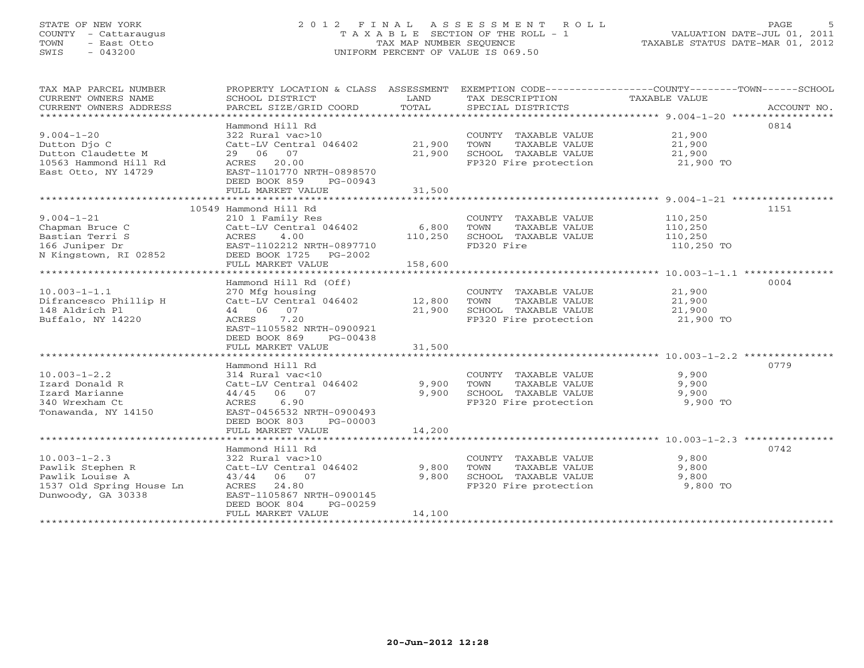# STATE OF NEW YORK 2 0 1 2 F I N A L A S S E S S M E N T R O L L PAGE 5 COUNTY - Cattaraugus T A X A B L E SECTION OF THE ROLL - 1 VALUATION DATE-JUL 01, 2011 TOWN - East Otto TAX MAP NUMBER SEQUENCE TAXABLE STATUS DATE-MAR 01, 2012 SWIS - 043200 UNIFORM PERCENT OF VALUE IS 069.50UNIFORM PERCENT OF VALUE IS 069.50

| TAX MAP PARCEL NUMBER<br>CURRENT OWNERS NAME<br>CURRENT OWNERS ADDRESS                                      | PROPERTY LOCATION & CLASS ASSESSMENT<br>SCHOOL DISTRICT<br>PARCEL SIZE/GRID COORD                                                                          | LAND<br>TOTAL              | TAX DESCRIPTION<br>SPECIAL DISTRICTS                                                           | EXEMPTION CODE-----------------COUNTY-------TOWN------SCHOOL<br>TAXABLE VALUE<br>ACCOUNT NO. |
|-------------------------------------------------------------------------------------------------------------|------------------------------------------------------------------------------------------------------------------------------------------------------------|----------------------------|------------------------------------------------------------------------------------------------|----------------------------------------------------------------------------------------------|
| ************************                                                                                    |                                                                                                                                                            |                            |                                                                                                |                                                                                              |
| $9.004 - 1 - 20$<br>Dutton Djo C                                                                            | Hammond Hill Rd<br>322 Rural vac>10<br>Catt-LV Central 046402                                                                                              | 21,900                     | COUNTY TAXABLE VALUE<br>TOWN<br>TAXABLE VALUE                                                  | 0814<br>21,900<br>21,900                                                                     |
| Dutton Claudette M<br>10563 Hammond Hill Rd<br>East Otto, NY 14729                                          | 29 06 07<br>20.00<br>ACRES<br>EAST-1101770 NRTH-0898570<br>DEED BOOK 859<br>PG-00943                                                                       | 21,900                     | SCHOOL TAXABLE VALUE<br>FP320 Fire protection                                                  | 21,900<br>21,900 TO                                                                          |
|                                                                                                             | FULL MARKET VALUE                                                                                                                                          | 31,500                     |                                                                                                |                                                                                              |
|                                                                                                             |                                                                                                                                                            |                            |                                                                                                |                                                                                              |
|                                                                                                             | 10549 Hammond Hill Rd                                                                                                                                      |                            |                                                                                                | 1151                                                                                         |
| $9.004 - 1 - 21$<br>Chapman Bruce C<br>Bastian Terri S<br>166 Juniper Dr<br>N Kingstown, RI 02852           | 210 1 Family Res<br>Catt-LV Central 046402<br>ACRES<br>4.00<br>EAST-1102212 NRTH-0897710<br>DEED BOOK 1725<br>$PG-2002$                                    | 6,800<br>110,250           | COUNTY TAXABLE VALUE<br>TOWN<br>TAXABLE VALUE<br>SCHOOL TAXABLE VALUE<br>FD320 Fire            | 110,250<br>110,250<br>110,250<br>110,250 TO                                                  |
|                                                                                                             | FULL MARKET VALUE                                                                                                                                          | 158,600                    |                                                                                                |                                                                                              |
|                                                                                                             |                                                                                                                                                            |                            |                                                                                                |                                                                                              |
|                                                                                                             | Hammond Hill Rd (Off)                                                                                                                                      |                            |                                                                                                | 0004                                                                                         |
| $10.003 - 1 - 1.1$<br>Difrancesco Phillip H<br>148 Aldrich Pl<br>Buffalo, NY 14220                          | 270 Mfg housing<br>Catt-LV Central 046402<br>44 06<br>07<br>7.20<br>ACRES<br>EAST-1105582 NRTH-0900921<br>DEED BOOK 869<br>PG-00438<br>FULL MARKET VALUE   | 12,800<br>21,900<br>31,500 | COUNTY TAXABLE VALUE<br>TOWN<br>TAXABLE VALUE<br>SCHOOL TAXABLE VALUE<br>FP320 Fire protection | 21,900<br>21,900<br>21,900<br>21,900 TO                                                      |
|                                                                                                             |                                                                                                                                                            |                            |                                                                                                |                                                                                              |
| $10.003 - 1 - 2.2$<br>Izard Donald R<br>Izard Marianne<br>340 Wrexham Ct<br>Tonawanda, NY 14150             | Hammond Hill Rd<br>314 Rural vac<10<br>Catt-LV Central 046402<br>06 07<br>44/45<br>ACRES<br>6.90<br>EAST-0456532 NRTH-0900493<br>DEED BOOK 803<br>PG-00003 | 9,900<br>9,900             | COUNTY TAXABLE VALUE<br>TOWN<br>TAXABLE VALUE<br>SCHOOL TAXABLE VALUE<br>FP320 Fire protection | 0779<br>9,900<br>9,900<br>9,900<br>9,900 TO                                                  |
| ****************************                                                                                | FULL MARKET VALUE                                                                                                                                          | 14,200                     |                                                                                                |                                                                                              |
|                                                                                                             |                                                                                                                                                            |                            |                                                                                                |                                                                                              |
| $10.003 - 1 - 2.3$<br>Pawlik Stephen R<br>Pawlik Louise A<br>1537 Old Spring House Ln<br>Dunwoody, GA 30338 | Hammond Hill Rd<br>322 Rural vac>10<br>Catt-LV Central 046402<br>43/44 06 07<br>ACRES<br>24.80<br>EAST-1105867 NRTH-0900145<br>DEED BOOK 804<br>PG-00259   | 9,800<br>9,800             | COUNTY TAXABLE VALUE<br>TOWN<br>TAXABLE VALUE<br>SCHOOL TAXABLE VALUE<br>FP320 Fire protection | 0742<br>9,800<br>9,800<br>9,800<br>9,800 TO                                                  |
|                                                                                                             | FULL MARKET VALUE                                                                                                                                          | 14,100                     |                                                                                                |                                                                                              |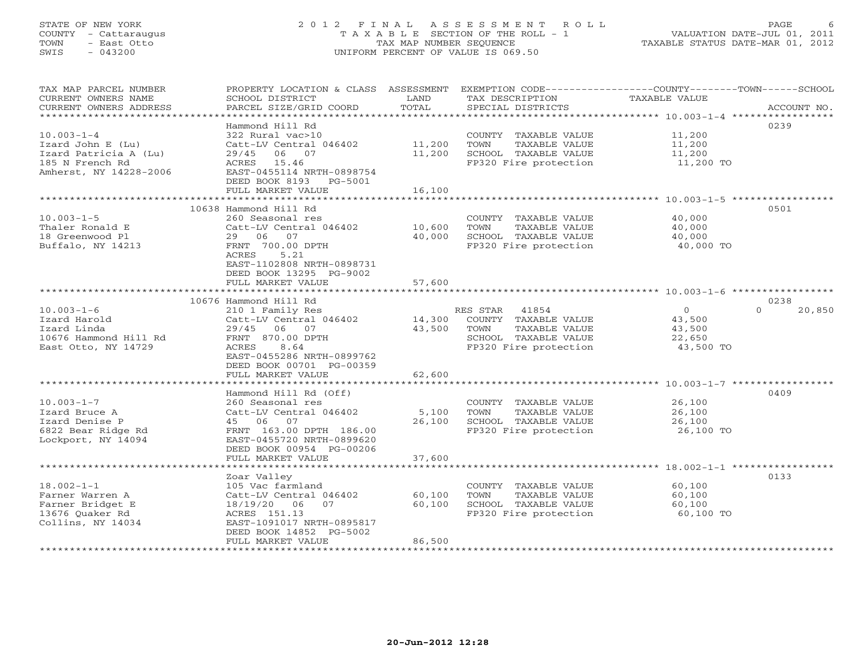# STATE OF NEW YORK 2 0 1 2 F I N A L A S S E S S M E N T R O L L PAGE 6 COUNTY - Cattaraugus T A X A B L E SECTION OF THE ROLL - 1 VALUATION DATE-JUL 01, 2011 TOWN - East Otto TAX MAP NUMBER SEQUENCE TAXABLE STATUS DATE-MAR 01, 2012 SWIS - 043200 UNIFORM PERCENT OF VALUE IS 069.50

| TAX MAP PARCEL NUMBER<br>CURRENT OWNERS NAME<br>CURRENT OWNERS ADDRESS                                      | PROPERTY LOCATION & CLASS ASSESSMENT EXEMPTION CODE---------------COUNTY-------TOWN------SCHOOL<br>SCHOOL DISTRICT<br>PARCEL SIZE/GRID COORD                                             | LAND<br>TOTAL             | TAX DESCRIPTION<br>SPECIAL DISTRICTS                                                                                    | TAXABLE VALUE                                             | ACCOUNT NO.        |
|-------------------------------------------------------------------------------------------------------------|------------------------------------------------------------------------------------------------------------------------------------------------------------------------------------------|---------------------------|-------------------------------------------------------------------------------------------------------------------------|-----------------------------------------------------------|--------------------|
| ******************************                                                                              |                                                                                                                                                                                          |                           |                                                                                                                         |                                                           |                    |
| $10.003 - 1 - 4$<br>Izard John E (Lu)<br>Izard Patricia A (Lu)<br>185 N French Rd<br>Amherst, NY 14228-2006 | Hammond Hill Rd<br>322 Rural vac>10<br>Catt-LV Central 046402<br>29/45 06 07<br>ACRES 15.46<br>EAST-0455114 NRTH-0898754<br>DEED BOOK 8193 PG-5001                                       | 11,200<br>11,200          | COUNTY TAXABLE VALUE<br>TOWN<br>TAXABLE VALUE<br>SCHOOL TAXABLE VALUE<br>FP320 Fire protection                          | 11,200<br>11,200<br>11,200<br>11,200 TO                   | 0239               |
|                                                                                                             | FULL MARKET VALUE<br>**************************                                                                                                                                          | 16,100                    |                                                                                                                         |                                                           |                    |
|                                                                                                             | 10638 Hammond Hill Rd                                                                                                                                                                    |                           |                                                                                                                         |                                                           | 0501               |
| $10.003 - 1 - 5$<br>Thaler Ronald E<br>18 Greenwood Pl<br>Buffalo, NY 14213                                 | 260 Seasonal res<br>Catt-LV Central 046402<br>29 06 07<br>FRNT 700.00 DPTH<br>ACRES<br>5.21<br>EAST-1102808 NRTH-0898731                                                                 | 10,600<br>40,000          | COUNTY TAXABLE VALUE<br>TAXABLE VALUE<br>TOWN<br>SCHOOL TAXABLE VALUE<br>FP320 Fire protection                          | 40,000<br>40,000<br>40,000<br>40,000 TO                   |                    |
|                                                                                                             | DEED BOOK 13295 PG-9002<br>FULL MARKET VALUE                                                                                                                                             | 57,600                    |                                                                                                                         |                                                           |                    |
|                                                                                                             | 10676 Hammond Hill Rd                                                                                                                                                                    |                           |                                                                                                                         |                                                           | 0238               |
| $10.003 - 1 - 6$<br>Izard Harold<br>Izard Linda<br>10676 Hammond Hill Rd<br>East Otto, NY 14729             | 210 1 Family Res<br>Catt-LV Central 046402<br>29/45<br>06 07<br>FRNT 870.00 DPTH<br>8.64<br>ACRES<br>EAST-0455286 NRTH-0899762<br>DEED BOOK 00701 PG-00359                               | 43,500                    | RES STAR 41854<br>14,300 COUNTY TAXABLE VALUE<br>TOWN<br>TAXABLE VALUE<br>SCHOOL TAXABLE VALUE<br>FP320 Fire protection | $\overline{0}$<br>43,500<br>43,500<br>22,650<br>43,500 TO | $\Omega$<br>20,850 |
|                                                                                                             | FULL MARKET VALUE                                                                                                                                                                        | 62,600                    |                                                                                                                         |                                                           |                    |
| $10.003 - 1 - 7$<br>Izard Bruce A<br>Izard Denise P<br>6822 Bear Ridge Rd<br>Lockport, NY 14094             | Hammond Hill Rd (Off)<br>260 Seasonal res<br>Catt-LV Central 046402<br>45 06 07<br>FRNT 163.00 DPTH 186.00<br>EAST-0455720 NRTH-0899620<br>DEED BOOK 00954 PG-00206<br>FULL MARKET VALUE | 5,100<br>26,100<br>37,600 | COUNTY TAXABLE VALUE<br>TOWN<br>TAXABLE VALUE<br>SCHOOL TAXABLE VALUE<br>FP320 Fire protection                          | 26,100<br>26,100<br>26,100<br>26,100 TO                   | 0409               |
|                                                                                                             | *****************************                                                                                                                                                            |                           |                                                                                                                         |                                                           |                    |
| $18.002 - 1 - 1$<br>Farner Warren A<br>Farner Bridget E<br>13676 Quaker Rd<br>Collins, NY 14034             | Zoar Valley<br>105 Vac farmland<br>Catt-LV Central 046402<br>18/19/20<br>06<br>07<br>ACRES 151.13<br>EAST-1091017 NRTH-0895817<br>DEED BOOK 14852 PG-5002                                | 60,100<br>60,100          | COUNTY TAXABLE VALUE<br>TAXABLE VALUE<br>TOWN<br>SCHOOL TAXABLE VALUE<br>FP320 Fire protection                          | 60,100<br>60,100<br>60,100<br>60,100 TO                   | 0133               |
|                                                                                                             | FULL MARKET VALUE                                                                                                                                                                        | 86,500                    |                                                                                                                         |                                                           |                    |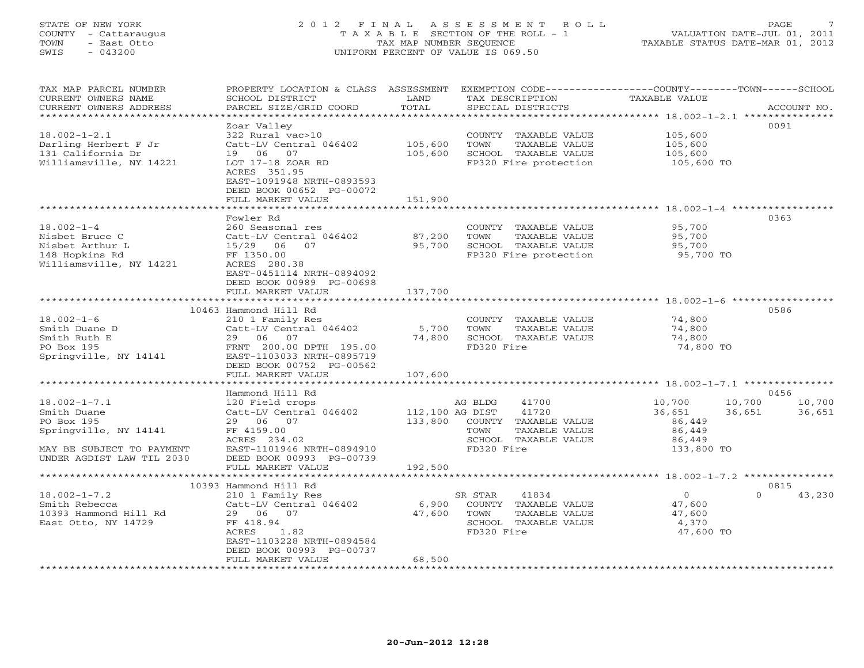# STATE OF NEW YORK 2 0 1 2 F I N A L A S S E S S M E N T R O L L PAGE 7 COUNTY - Cattaraugus T A X A B L E SECTION OF THE ROLL - 1 VALUATION DATE-JUL 01, 2011 TOWN - East Otto TAX MAP NUMBER SEQUENCE TAXABLE STATUS DATE-MAR 01, 2012 SWIS - 043200 UNIFORM PERCENT OF VALUE IS 069.50UNIFORM PERCENT OF VALUE IS 069.50

| TAX MAP PARCEL NUMBER<br>CURRENT OWNERS NAME<br>CURRENT OWNERS ADDRESS                                                             | PROPERTY LOCATION & CLASS ASSESSMENT<br>SCHOOL DISTRICT<br>PARCEL SIZE/GRID COORD                                                                                   | LAND<br>TOTAL               | TAX DESCRIPTION<br>SPECIAL DISTRICTS                                                                                     | EXEMPTION CODE-----------------COUNTY-------TOWN------SCHOOL<br><b>TAXABLE VALUE</b> | ACCOUNT NO.              |
|------------------------------------------------------------------------------------------------------------------------------------|---------------------------------------------------------------------------------------------------------------------------------------------------------------------|-----------------------------|--------------------------------------------------------------------------------------------------------------------------|--------------------------------------------------------------------------------------|--------------------------|
| ********************                                                                                                               | **********************                                                                                                                                              | **********                  |                                                                                                                          |                                                                                      |                          |
| $18.002 - 1 - 2.1$<br>Darling Herbert F Jr<br>131 California Dr<br>Williamsville, NY 14221                                         | Zoar Valley<br>322 Rural vac>10<br>Catt-LV Central 046402<br>19 06 07<br>LOT 17-18 ZOAR RD<br>ACRES 351.95<br>EAST-1091948 NRTH-0893593<br>DEED BOOK 00652 PG-00072 | 105,600<br>105,600          | COUNTY TAXABLE VALUE<br>TOWN<br>TAXABLE VALUE<br>SCHOOL TAXABLE VALUE<br>FP320 Fire protection                           | 105,600<br>105,600<br>105,600<br>105,600 TO                                          | 0091                     |
|                                                                                                                                    | FULL MARKET VALUE                                                                                                                                                   | 151,900                     |                                                                                                                          |                                                                                      |                          |
|                                                                                                                                    | **************************                                                                                                                                          |                             |                                                                                                                          |                                                                                      |                          |
| $18.002 - 1 - 4$<br>Nisbet Bruce C<br>Nisbet Arthur L<br>148 Hopkins Rd<br>Williamsville, NY 14221                                 | Fowler Rd<br>260 Seasonal res<br>Catt-LV Central 046402<br>15/29 06 07<br>FF 1350.00<br>ACRES 280.38<br>EAST-0451114 NRTH-0894092<br>DEED BOOK 00989 PG-00698       | 87,200<br>95,700<br>137,700 | COUNTY TAXABLE VALUE<br>TOWN<br>TAXABLE VALUE<br>SCHOOL TAXABLE VALUE<br>FP320 Fire protection                           | 95,700<br>95,700<br>95,700<br>95,700 TO                                              | 0363                     |
|                                                                                                                                    | FULL MARKET VALUE                                                                                                                                                   |                             |                                                                                                                          |                                                                                      |                          |
|                                                                                                                                    | 10463 Hammond Hill Rd                                                                                                                                               |                             |                                                                                                                          |                                                                                      | 0586                     |
| $18.002 - 1 - 6$<br>Smith Duane D<br>Smith Ruth E<br>PO Box 195<br>Springville, NY 14141                                           | 210 1 Family Res<br>Catt-LV Central 046402<br>29 06 07<br>FRNT 200.00 DPTH 195.00<br>EAST-1103033 NRTH-0895719<br>DEED BOOK 00752 PG-00562<br>FULL MARKET VALUE     | 5,700<br>74,800<br>107,600  | COUNTY TAXABLE VALUE<br>TOWN<br>TAXABLE VALUE<br>SCHOOL TAXABLE VALUE<br>FD320 Fire                                      | 74,800<br>74,800<br>74,800<br>74,800 TO                                              |                          |
|                                                                                                                                    |                                                                                                                                                                     |                             |                                                                                                                          | ************************************** 18.002-1-7.1 ****************                 |                          |
| $18.002 - 1 - 7.1$<br>Smith Duane<br>PO Box 195<br>Springville, NY 14141<br>MAY BE SUBJECT TO PAYMENT<br>UNDER AGDIST LAW TIL 2030 | Hammond Hill Rd<br>120 Field crops<br>Catt-LV Central 046402<br>29 06 07<br>FF 4159.00<br>ACRES 234.02<br>EAST-1101946 NRTH-0894910<br>DEED BOOK 00993 PG-00739     | 112,100 AG DIST             | AG BLDG<br>41700<br>41720<br>133,800 COUNTY TAXABLE VALUE<br>TOWN<br>TAXABLE VALUE<br>SCHOOL TAXABLE VALUE<br>FD320 Fire | 10,700<br>10,700<br>36,651<br>36,651<br>86,449<br>86,449<br>86,449<br>133,800 TO     | 0456<br>10,700<br>36,651 |
|                                                                                                                                    | FULL MARKET VALUE                                                                                                                                                   | 192,500                     |                                                                                                                          |                                                                                      |                          |
|                                                                                                                                    | 10393 Hammond Hill Rd                                                                                                                                               |                             |                                                                                                                          |                                                                                      | 0815                     |
| $18.002 - 1 - 7.2$<br>Smith Rebecca<br>10393 Hammond Hill Rd<br>East Otto, NY 14729                                                | 210 1 Family Res<br>Catt-LV Central 046402<br>29 06 07<br>FF 418.94<br>ACRES<br>1.82<br>EAST-1103228 NRTH-0894584<br>DEED BOOK 00993 PG-00737                       | 6,900<br>47,600             | 41834<br>SR STAR<br>COUNTY TAXABLE VALUE<br>TOWN<br>TAXABLE VALUE<br>SCHOOL TAXABLE VALUE<br>FD320 Fire                  | $\overline{0}$<br>47,600<br>47,600<br>4,370<br>47,600 TO                             | 43,230<br>$\Omega$       |
|                                                                                                                                    | FULL MARKET VALUE                                                                                                                                                   | 68,500                      |                                                                                                                          |                                                                                      |                          |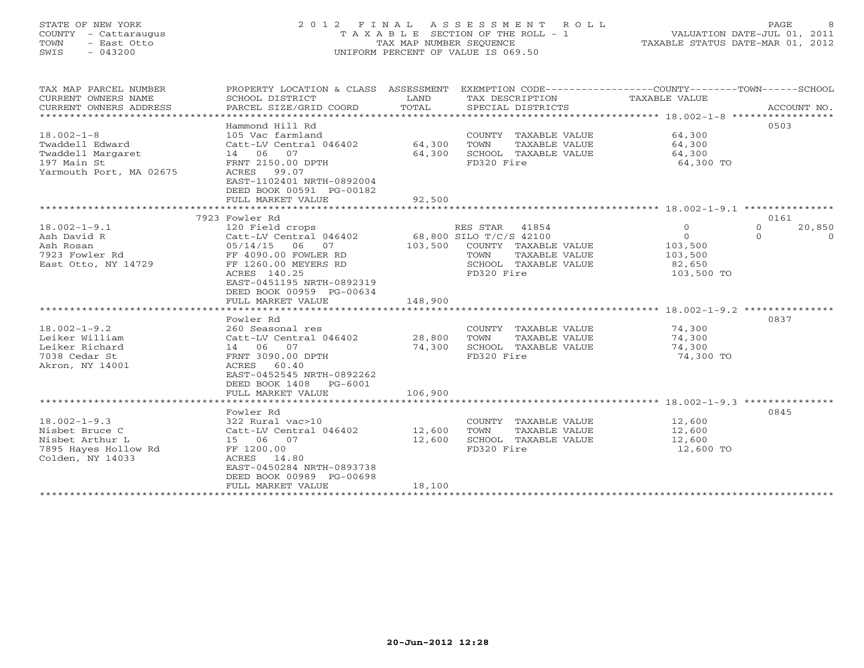# STATE OF NEW YORK 2 0 1 2 F I N A L A S S E S S M E N T R O L L PAGE 8 COUNTY - Cattaraugus T A X A B L E SECTION OF THE ROLL - 1 VALUATION DATE-JUL 01, 2011 TOWN - East Otto TAX MAP NUMBER SEQUENCE TAXABLE STATUS DATE-MAR 01, 2012 SWIS - 043200 UNIFORM PERCENT OF VALUE IS 069.50UNIFORM PERCENT OF VALUE IS 069.50

| TAX MAP PARCEL NUMBER<br>CURRENT OWNERS NAME<br>CURRENT OWNERS ADDRESS                              | SCHOOL DISTRICT<br>PARCEL SIZE/GRID COORD                                                                                                                                                              | LAND<br>TOTAL              | TAX DESCRIPTION<br>SPECIAL DISTRICTS                                                                                                | PROPERTY LOCATION & CLASS ASSESSMENT EXEMPTION CODE----------------COUNTY-------TOWN------SCHOOL<br>TAXABLE VALUE | ACCOUNT NO.                |
|-----------------------------------------------------------------------------------------------------|--------------------------------------------------------------------------------------------------------------------------------------------------------------------------------------------------------|----------------------------|-------------------------------------------------------------------------------------------------------------------------------------|-------------------------------------------------------------------------------------------------------------------|----------------------------|
| $18.002 - 1 - 8$<br>Twaddell Edward<br>Twaddell Margaret<br>197 Main St<br>Yarmouth Port, MA 02675  | Hammond Hill Rd<br>105 Vac farmland<br>Catt-LV Central 046402<br>14 06 07<br>FRNT 2150.00 DPTH<br>ACRES 99.07<br>EAST-1102401 NRTH-0892004<br>DEED BOOK 00591 PG-00182<br>FULL MARKET VALUE            | 64,300<br>64,300<br>92,500 | COUNTY TAXABLE VALUE<br>TOWN<br>TAXABLE VALUE<br>SCHOOL TAXABLE VALUE<br>FD320 Fire                                                 | 64,300<br>64,300<br>64,300<br>64,300 TO                                                                           | 0503                       |
|                                                                                                     |                                                                                                                                                                                                        |                            |                                                                                                                                     |                                                                                                                   |                            |
| $18.002 - 1 - 9.1$<br>Ash David R<br>Ash Rosan<br>7923 Fowler Rd<br>East Otto, NY 14729             | 7923 Fowler Rd<br>120 Field crops<br>Catt-LV Central 046402<br>05/14/15 06 07<br>FF 4090.00 FOWLER RD<br>FF 1260.00 MEYERS RD<br>ACRES 140.25<br>EAST-0451195 NRTH-0892319<br>DEED BOOK 00959 PG-00634 | 103,500                    | RES STAR<br>41854<br>68,800 SILO T/C/S 42100<br>COUNTY TAXABLE VALUE<br>TAXABLE VALUE<br>TOWN<br>SCHOOL TAXABLE VALUE<br>FD320 Fire | $\circ$<br>$\Omega$<br>$\Omega$<br>$\Omega$<br>103,500<br>103,500<br>82,650<br>103,500 TO                         | 0161<br>20,850<br>$\Omega$ |
|                                                                                                     | FULL MARKET VALUE                                                                                                                                                                                      | 148,900                    |                                                                                                                                     |                                                                                                                   |                            |
| $18.002 - 1 - 9.2$<br>Leiker William<br>Leiker Richard<br>7038 Cedar St<br>Akron, NY 14001          | Fowler Rd<br>260 Seasonal res<br>Catt-LV Central 046402<br>14 06 07<br>FRNT 3090.00 DPTH<br>ACRES<br>60.40<br>EAST-0452545 NRTH-0892262<br>DEED BOOK 1408<br>PG-6001                                   | 28,800<br>74,300           | COUNTY TAXABLE VALUE<br>TOWN<br>TAXABLE VALUE<br>SCHOOL TAXABLE VALUE<br>FD320 Fire                                                 | 74,300<br>74,300<br>74,300<br>74,300 TO                                                                           | 0837                       |
|                                                                                                     | FULL MARKET VALUE                                                                                                                                                                                      | 106,900                    |                                                                                                                                     |                                                                                                                   |                            |
|                                                                                                     |                                                                                                                                                                                                        |                            |                                                                                                                                     |                                                                                                                   |                            |
| $18.002 - 1 - 9.3$<br>Nisbet Bruce C<br>Nisbet Arthur L<br>7895 Hayes Hollow Rd<br>Colden, NY 14033 | Fowler Rd<br>322 Rural vac>10<br>Catt-LV Central 046402<br>15 06 07<br>FF 1200.00<br>ACRES<br>14.80<br>EAST-0450284 NRTH-0893738<br>DEED BOOK 00989 PG-00698                                           | 12,600<br>12,600           | COUNTY TAXABLE VALUE<br>TOWN<br>TAXABLE VALUE<br>SCHOOL TAXABLE VALUE<br>FD320 Fire                                                 | 12,600<br>12,600<br>12,600<br>12,600 TO                                                                           | 0845                       |
|                                                                                                     | FULL MARKET VALUE                                                                                                                                                                                      | 18,100                     |                                                                                                                                     |                                                                                                                   |                            |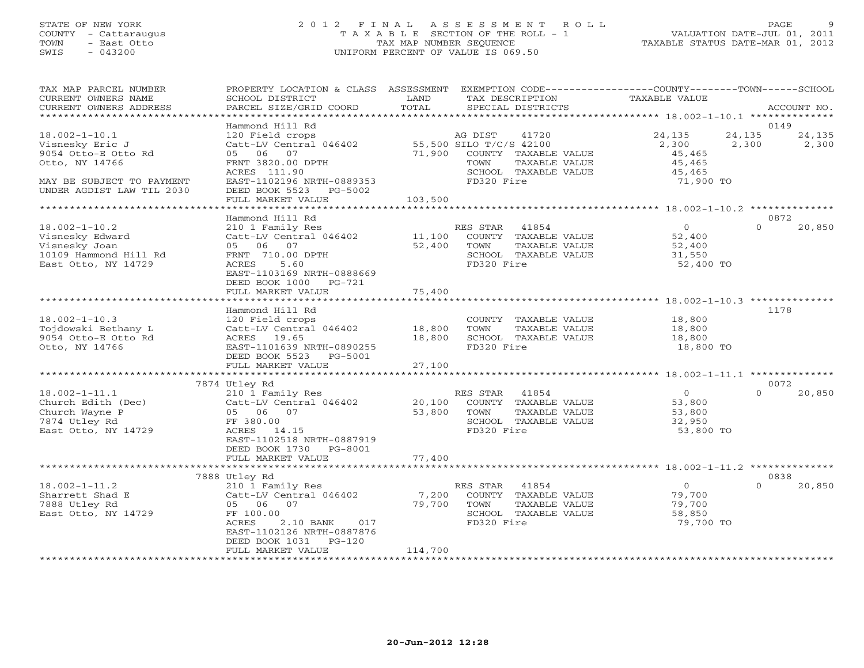# STATE OF NEW YORK 2 0 1 2 F I N A L A S S E S S M E N T R O L L PAGE 9 COUNTY - Cattaraugus T A X A B L E SECTION OF THE ROLL - 1 VALUATION DATE-JUL 01, 2011 TOWN - East Otto TAX MAP NUMBER SEQUENCE TAXABLE STATUS DATE-MAR 01, 2012 SWIS - 043200 UNIFORM PERCENT OF VALUE IS 069.50UNIFORM PERCENT OF VALUE IS 069.50

| TAX MAP PARCEL NUMBER<br>CURRENT OWNERS NAME<br>CURRENT OWNERS ADDRESS<br>*****************                                               | PROPERTY LOCATION & CLASS ASSESSMENT<br>SCHOOL DISTRICT<br>PARCEL SIZE/GRID COORD                                                                                             | LAND<br>TOTAL              | EXEMPTION CODE-----------------COUNTY-------TOWN------SCHOOL<br>TAX DESCRIPTION<br>SPECIAL DISTRICTS                               | TAXABLE VALUE                                              | ACCOUNT NO.                        |
|-------------------------------------------------------------------------------------------------------------------------------------------|-------------------------------------------------------------------------------------------------------------------------------------------------------------------------------|----------------------------|------------------------------------------------------------------------------------------------------------------------------------|------------------------------------------------------------|------------------------------------|
|                                                                                                                                           |                                                                                                                                                                               |                            |                                                                                                                                    |                                                            | 0149                               |
| $18.002 - 1 - 10.1$<br>Visnesky Eric J<br>9054 Otto-E Otto Rd<br>Otto, NY 14766<br>MAY BE SUBJECT TO PAYMENT<br>UNDER AGDIST LAW TIL 2030 | Hammond Hill Rd<br>120 Field crops<br>Catt-LV Central 046402<br>06<br>07<br>05<br>FRNT 3820.00 DPTH<br>ACRES 111.90<br>EAST-1102196 NRTH-0889353<br>DEED BOOK 5523<br>PG-5002 | 71,900                     | AG DIST<br>41720<br>55,500 SILO T/C/S 42100<br>COUNTY TAXABLE VALUE<br>TOWN<br>TAXABLE VALUE<br>SCHOOL TAXABLE VALUE<br>FD320 Fire | 24,135<br>2,300<br>45,465<br>45,465<br>45,465<br>71,900 TO | 24,135<br>24,135<br>2,300<br>2,300 |
|                                                                                                                                           | FULL MARKET VALUE                                                                                                                                                             | 103,500                    |                                                                                                                                    |                                                            |                                    |
| **********************                                                                                                                    |                                                                                                                                                                               |                            |                                                                                                                                    |                                                            |                                    |
|                                                                                                                                           | Hammond Hill Rd                                                                                                                                                               |                            |                                                                                                                                    |                                                            | 0872                               |
| $18.002 - 1 - 10.2$<br>Visnesky Edward<br>Visnesky Joan<br>10109 Hammond Hill Rd<br>East Otto, NY 14729                                   | 210 1 Family Res<br>Catt-LV Central 046402<br>05 06 07<br>FRNT 710.00 DPTH<br>ACRES<br>5.60<br>EAST-1103169 NRTH-0888669<br>DEED BOOK 1000 PG-721                             | 11,100<br>52,400           | RES STAR<br>41854<br>COUNTY TAXABLE VALUE<br>TOWN<br>TAXABLE VALUE<br>SCHOOL TAXABLE VALUE<br>FD320 Fire                           | $\overline{0}$<br>52,400<br>52,400<br>31,550<br>52,400 TO  | $\Omega$<br>20,850                 |
|                                                                                                                                           | FULL MARKET VALUE                                                                                                                                                             | 75,400                     |                                                                                                                                    |                                                            |                                    |
|                                                                                                                                           |                                                                                                                                                                               |                            |                                                                                                                                    |                                                            |                                    |
| $18.002 - 1 - 10.3$<br>Tojdowski Bethany L<br>9054 Otto-E Otto Rd<br>Otto, NY 14766                                                       | Hammond Hill Rd<br>120 Field crops<br>Catt-LV Central 046402<br>ACRES 19.65<br>EAST-1101639 NRTH-0890255<br>DEED BOOK 5523<br>PG-5001<br>FULL MARKET VALUE                    | 18,800<br>18,800<br>27,100 | COUNTY TAXABLE VALUE<br>TOWN<br>TAXABLE VALUE<br>SCHOOL TAXABLE VALUE<br>FD320 Fire                                                | 18,800<br>18,800<br>18,800<br>18,800 TO                    | 1178                               |
|                                                                                                                                           |                                                                                                                                                                               |                            |                                                                                                                                    |                                                            |                                    |
|                                                                                                                                           | 7874 Utley Rd                                                                                                                                                                 |                            |                                                                                                                                    |                                                            | 0072                               |
| $18.002 - 1 - 11.1$<br>Church Edith (Dec)<br>Church Wayne P<br>7874 Utley Rd<br>East Otto, NY 14729                                       | 210 1 Family Res<br>Catt-LV Central 046402<br>05 06 07<br>FF 380.00<br>14.15<br>ACRES<br>EAST-1102518 NRTH-0887919<br>DEED BOOK 1730 PG-8001                                  | 20,100<br>53,800           | 41854<br>RES STAR<br>COUNTY TAXABLE VALUE<br>TAXABLE VALUE<br>TOWN<br>SCHOOL TAXABLE VALUE<br>FD320 Fire                           | $\overline{0}$<br>53,800<br>53,800<br>32,950<br>53,800 TO  | $\Omega$<br>20,850                 |
|                                                                                                                                           | FULL MARKET VALUE                                                                                                                                                             | 77,400                     |                                                                                                                                    |                                                            |                                    |
|                                                                                                                                           |                                                                                                                                                                               |                            |                                                                                                                                    |                                                            |                                    |
|                                                                                                                                           | 7888 Utley Rd                                                                                                                                                                 |                            |                                                                                                                                    |                                                            | 0838                               |
| $18.002 - 1 - 11.2$<br>Sharrett Shad E<br>7888 Utley Rd<br>East Otto, NY 14729                                                            | 210 1 Family Res<br>Catt-LV Central 046402<br>05 06 07<br>FF 100.00<br>2.10 BANK<br>ACRES<br>017<br>EAST-1102126 NRTH-0887876<br>DEED BOOK 1031<br>$PG-120$                   | 7,200<br>79,700            | RES STAR<br>41854<br>TAXABLE VALUE<br>COUNTY<br>TAXABLE VALUE<br>TOWN<br>SCHOOL TAXABLE VALUE<br>FD320 Fire                        | $\Omega$<br>79,700<br>79,700<br>58,850<br>79,700 TO        | $\cap$<br>20,850                   |
|                                                                                                                                           | FULL MARKET VALUE                                                                                                                                                             | 114,700                    |                                                                                                                                    |                                                            |                                    |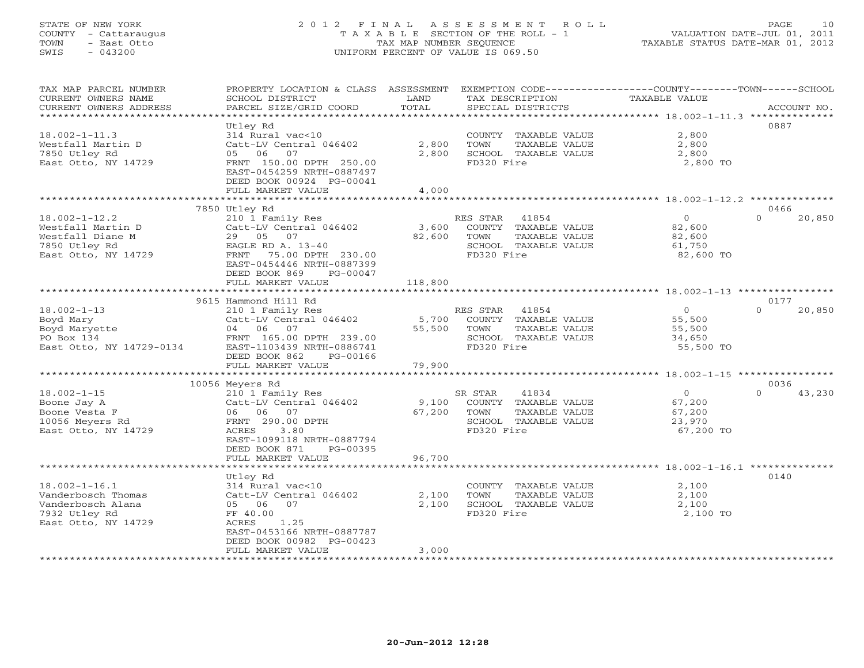# STATE OF NEW YORK 2 0 1 2 F I N A L A S S E S S M E N T R O L L PAGE 10 COUNTY - Cattaraugus T A X A B L E SECTION OF THE ROLL - 1 VALUATION DATE-JUL 01, 2011 TOWN - East Otto TAX MAP NUMBER SEQUENCE TAX ALL TAXABLE STATUS DATE-MAR 01, 2012 SWIS - 043200 UNIFORM PERCENT OF VALUE IS 069.50

| SWIS<br>$-043200$                            |                                                                                                       |         | UNIFORM PERCENT OF VALUE IS 069.50                                              |                  |                    |  |
|----------------------------------------------|-------------------------------------------------------------------------------------------------------|---------|---------------------------------------------------------------------------------|------------------|--------------------|--|
| TAX MAP PARCEL NUMBER<br>CURRENT OWNERS NAME | PROPERTY LOCATION & CLASS ASSESSMENT<br>SCHOOL DISTRICT                                               | LAND    | EXEMPTION CODE-----------------COUNTY-------TOWN------SCHOOL<br>TAX DESCRIPTION | TAXABLE VALUE    |                    |  |
| CURRENT OWNERS ADDRESS                       | PARCEL SIZE/GRID COORD                                                                                | TOTAL   | SPECIAL DISTRICTS                                                               |                  | ACCOUNT NO.        |  |
|                                              |                                                                                                       |         |                                                                                 |                  |                    |  |
|                                              | Utley Rd                                                                                              |         |                                                                                 |                  | 0887               |  |
| $18.002 - 1 - 11.3$                          | 314 Rural vac<10                                                                                      |         | COUNTY TAXABLE VALUE                                                            | 2,800            |                    |  |
| Westfall Martin D                            | Catt-LV Central 046402                                                                                | 2,800   | TOWN<br>TAXABLE VALUE                                                           | 2,800            |                    |  |
| 7850 Utley Rd                                | 05 06 07                                                                                              | 2,800   | SCHOOL TAXABLE VALUE                                                            | 2,800            |                    |  |
| East Otto, NY 14729                          | FRNT 150.00 DPTH 250.00<br>EAST-0454259 NRTH-0887497<br>DEED BOOK 00924 PG-00041<br>FULL MARKET VALUE | 4,000   | FD320 Fire                                                                      | 2,800 TO         |                    |  |
|                                              | *************************                                                                             |         |                                                                                 |                  |                    |  |
|                                              | 7850 Utley Rd                                                                                         |         |                                                                                 |                  | 0466               |  |
| $18.002 - 1 - 12.2$                          | 210 1 Family Res                                                                                      |         | RES STAR<br>41854                                                               | $\Omega$         | 20,850<br>$\Omega$ |  |
| Westfall Martin D                            | Catt-LV Central 046402                                                                                | 3,600   | COUNTY TAXABLE VALUE                                                            | 82,600           |                    |  |
| Westfall Diane M                             | 29 05 07                                                                                              | 82,600  | TOWN<br>TAXABLE VALUE                                                           | 82,600           |                    |  |
| 7850 Utley Rd                                | EAGLE RD A. 13-40                                                                                     |         | SCHOOL TAXABLE VALUE                                                            | 61,750           |                    |  |
| East Otto, NY 14729                          | FRNT<br>75.00 DPTH 230.00                                                                             |         | FD320 Fire                                                                      | 82,600 TO        |                    |  |
|                                              | EAST-0454446 NRTH-0887399                                                                             |         |                                                                                 |                  |                    |  |
|                                              | DEED BOOK 869<br>PG-00047                                                                             |         |                                                                                 |                  |                    |  |
|                                              | FULL MARKET VALUE                                                                                     | 118,800 |                                                                                 |                  |                    |  |
|                                              | 9615 Hammond Hill Rd                                                                                  |         |                                                                                 |                  | 0177               |  |
| $18.002 - 1 - 13$                            | 210 1 Family Res                                                                                      |         | RES STAR 41854                                                                  | $\Omega$         | 20,850<br>$\Omega$ |  |
| Boyd Mary                                    | Catt-LV Central 046402                                                                                | 5,700   | COUNTY TAXABLE VALUE                                                            | 55,500           |                    |  |
| Boyd Maryette                                | 04 06 07                                                                                              | 55,500  | TOWN<br>TAXABLE VALUE                                                           | 55,500           |                    |  |
| PO Box 134                                   | FRNT 165.00 DPTH 239.00                                                                               |         | SCHOOL TAXABLE VALUE                                                            | 34,650           |                    |  |
| East Otto, NY 14729-0134                     | EAST-1103439 NRTH-0886741                                                                             |         | FD320 Fire                                                                      | 55,500 TO        |                    |  |
|                                              | DEED BOOK 862<br>PG-00166                                                                             |         |                                                                                 |                  |                    |  |
|                                              | FULL MARKET VALUE                                                                                     | 79,900  |                                                                                 |                  |                    |  |
|                                              |                                                                                                       |         |                                                                                 |                  |                    |  |
|                                              | 10056 Meyers Rd                                                                                       |         |                                                                                 |                  | 0036               |  |
| $18.002 - 1 - 15$                            | 210 1 Family Res                                                                                      |         | SR STAR<br>41834                                                                | $\overline{0}$   | $\Omega$<br>43,230 |  |
| Boone Jay A                                  | Catt-LV Central 046402<br>06 06 07                                                                    | 9,100   | COUNTY TAXABLE VALUE<br>TOWN                                                    | 67,200           |                    |  |
| Boone Vesta F<br>10056 Meyers Rd             | FRNT 290.00 DPTH                                                                                      | 67,200  | TAXABLE VALUE<br>SCHOOL<br>TAXABLE VALUE                                        | 67,200<br>23,970 |                    |  |
| East Otto, NY 14729                          | ACRES 3.80                                                                                            |         | FD320 Fire                                                                      | 67,200 TO        |                    |  |
|                                              |                                                                                                       |         |                                                                                 |                  |                    |  |

2,100 SCHOOL TAXABLE VALUE

\*\*\*\*\*\*\*\*\*\*\*\*\*\*\*\*\*\*\*\*\*\*\*\*\*\*\*\*\*\*\*\*\*\*\*\*\*\*\*\*\*\*\*\*\*\*\*\*\*\*\*\*\*\*\*\*\*\*\*\*\*\*\*\*\*\*\*\*\*\*\*\*\*\*\*\*\*\*\*\*\*\*\*\*\*\*\*\*\*\*\*\*\*\*\*\*\*\*\*\*\*\*\*\*\*\*\*\*\*\*\*\*\*\*\*\*\*\*\*\*\*\*\*\*\*\*\*\*\*\*\*\*

\*\*\*\*\*\*\*\*\*\*\*\*\*\*\*\*\*\*\*\*\*\*\*\*\*\*\*\*\*\*\*\*\*\*\*\*\*\*\*\*\*\*\*\*\*\*\*\*\*\*\*\*\*\*\*\*\*\*\*\*\*\*\*\*\*\*\*\*\*\*\*\*\*\*\*\*\*\*\*\*\*\*\*\*\*\*\*\*\*\*\*\*\*\*\*\*\*\*\*\*\*\*\* 18.002-1-16.1 \*\*\*\*\*\*\*\*\*\*\*\*\*\*

Utley Rd 0140

18.002-1-16.1 314 Rural vac<10 COUNTY TAXABLE VALUE 2,100 Vanderbosch Thomas Catt-LV Central 046402 2,100 TOWN TAXABLE VALUE 2,100

7932 Utley Rd FF 40.00 FD320 Fire 2,100 TO

EAST-1099118 NRTH-0887794

 EAST-0453166 NRTH-0887787DEED BOOK 00982 PG-00423

DEED BOOK 871 PG-00395

East Otto, NY 14729 ACRES 1.25

FULL MARKET VALUE 96,700

FULL MARKET VALUE 3,000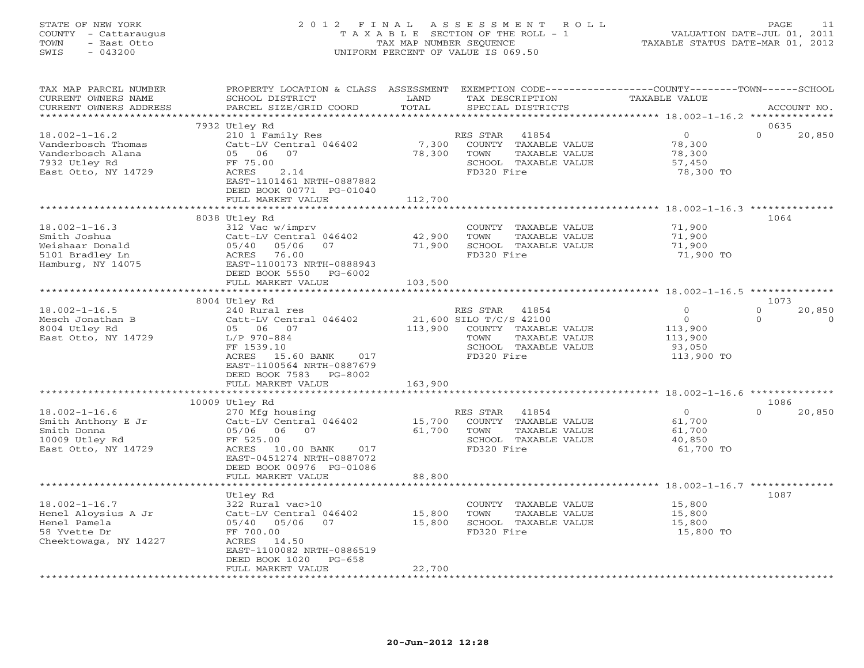## STATE OF NEW YORK 2 0 1 2 F I N A L A S S E S S M E N T R O L L PAGE 11 COUNTY - Cattaraugus T A X A B L E SECTION OF THE ROLL - 1 VALUATION DATE-JUL 01, 2011 TOWN - East Otto TAX MAP NUMBER SEQUENCE TAXABLE STATUS DATE-MAR 01, 2012 SWIS - 043200 UNIFORM PERCENT OF VALUE IS 069.50UNIFORM PERCENT OF VALUE IS 069.50

| TAX MAP PARCEL NUMBER<br>CURRENT OWNERS NAME    | PROPERTY LOCATION & CLASS ASSESSMENT EXEMPTION CODE----------------COUNTY-------TOWN------SCHOOL<br>SCHOOL DISTRICT | LAND    |                         | TAX DESCRIPTION                       | TAXABLE VALUE    |                  |                          |
|-------------------------------------------------|---------------------------------------------------------------------------------------------------------------------|---------|-------------------------|---------------------------------------|------------------|------------------|--------------------------|
| CURRENT OWNERS ADDRESS<br>********************* | PARCEL SIZE/GRID COORD                                                                                              | TOTAL   |                         | SPECIAL DISTRICTS                     |                  |                  | ACCOUNT NO.              |
|                                                 | 7932 Utley Rd                                                                                                       |         |                         |                                       |                  | 0635             |                          |
| $18.002 - 1 - 16.2$                             | 210 1 Family Res                                                                                                    |         | RES STAR                | 41854                                 | $\overline{O}$   | $\Omega$         | 20,850                   |
| Vanderbosch Thomas                              | Catt-LV Central 046402                                                                                              | 7,300   |                         | COUNTY TAXABLE VALUE                  | 78,300           |                  |                          |
| Vanderbosch Alana                               | 05 06 07                                                                                                            | 78,300  | TOWN                    | TAXABLE VALUE                         | 78,300           |                  |                          |
| 7932 Utley Rd                                   | FF 75.00                                                                                                            |         |                         | SCHOOL TAXABLE VALUE                  | 57,450           |                  |                          |
| East Otto, NY 14729                             | ACRES<br>2.14                                                                                                       |         | FD320 Fire              |                                       | 78,300 TO        |                  |                          |
|                                                 | EAST-1101461 NRTH-0887882                                                                                           |         |                         |                                       |                  |                  |                          |
|                                                 | DEED BOOK 00771 PG-01040                                                                                            |         |                         |                                       |                  |                  |                          |
|                                                 | FULL MARKET VALUE                                                                                                   | 112,700 |                         |                                       |                  |                  |                          |
|                                                 | 8038 Utley Rd                                                                                                       |         |                         |                                       |                  | 1064             |                          |
| $18.002 - 1 - 16.3$                             | 312 Vac w/imprv                                                                                                     |         |                         | COUNTY TAXABLE VALUE                  | 71,900           |                  |                          |
| Smith Joshua                                    | Catt-LV Central 046402                                                                                              | 42,900  | TOWN                    | TAXABLE VALUE                         | 71,900           |                  |                          |
| Weishaar Donald                                 | 05/40 05/06<br>07                                                                                                   | 71,900  |                         | SCHOOL TAXABLE VALUE                  | 71,900           |                  |                          |
| 5101 Bradley Ln                                 | ACRES 76.00                                                                                                         |         | FD320 Fire              |                                       | 71,900 TO        |                  |                          |
| Hamburg, NY 14075                               | EAST-1100173 NRTH-0888943                                                                                           |         |                         |                                       |                  |                  |                          |
|                                                 | DEED BOOK 5550 PG-6002                                                                                              |         |                         |                                       |                  |                  |                          |
|                                                 | FULL MARKET VALUE                                                                                                   | 103,500 |                         |                                       |                  |                  |                          |
|                                                 | **************                                                                                                      |         |                         |                                       |                  |                  |                          |
| $18.002 - 1 - 16.5$                             | 8004 Utley Rd                                                                                                       |         | RES STAR                |                                       | $\circ$          | 1073<br>$\Omega$ |                          |
| Mesch Jonathan B                                | 240 Rural res<br>Catt-LV Central 046402                                                                             |         | 21,600 SILO T/C/S 42100 | 41854                                 | $\overline{0}$   | $\Omega$         | 20,850<br>$\overline{0}$ |
| 8004 Utley Rd                                   | 05 06 07                                                                                                            | 113,900 |                         | COUNTY TAXABLE VALUE                  | 113,900          |                  |                          |
| East Otto, NY 14729                             | $L/P$ 970-884                                                                                                       |         | TOWN                    | TAXABLE VALUE                         | 113,900          |                  |                          |
|                                                 | FF 1539.10                                                                                                          |         |                         | SCHOOL TAXABLE VALUE                  | 93,050           |                  |                          |
|                                                 | ACRES 15.60 BANK 017                                                                                                |         | FD320 Fire              |                                       | 113,900 TO       |                  |                          |
|                                                 | EAST-1100564 NRTH-0887679                                                                                           |         |                         |                                       |                  |                  |                          |
|                                                 | DEED BOOK 7583<br>PG-8002                                                                                           |         |                         |                                       |                  |                  |                          |
|                                                 | FULL MARKET VALUE                                                                                                   | 163,900 |                         |                                       |                  |                  |                          |
|                                                 |                                                                                                                     |         |                         |                                       |                  |                  |                          |
| $18.002 - 1 - 16.6$                             | 10009 Utley Rd<br>270 Mfg housing                                                                                   |         |                         |                                       | $\overline{0}$   | 1086<br>$\Omega$ |                          |
| Smith Anthony E Jr                              | Catt-LV Central 046402                                                                                              |         | RES STAR                | 41854<br>15,700 COUNTY TAXABLE VALUE  | 61,700           |                  | 20,850                   |
| Smith Donna                                     | 05/06 06 07                                                                                                         | 61,700  | TOWN                    | TAXABLE VALUE                         | 61,700           |                  |                          |
| 10009 Utley Rd                                  | FF 525.00                                                                                                           |         |                         | SCHOOL TAXABLE VALUE                  | 40,850           |                  |                          |
| East Otto, NY 14729                             | ACRES 10.00 BANK 017                                                                                                |         | FD320 Fire              |                                       | 61,700 TO        |                  |                          |
|                                                 | EAST-0451274 NRTH-0887072                                                                                           |         |                         |                                       |                  |                  |                          |
|                                                 | DEED BOOK 00976 PG-01086                                                                                            |         |                         |                                       |                  |                  |                          |
|                                                 | FULL MARKET VALUE                                                                                                   | 88,800  |                         |                                       |                  |                  |                          |
|                                                 |                                                                                                                     |         |                         |                                       |                  |                  |                          |
|                                                 | Utley Rd                                                                                                            |         |                         |                                       |                  | 1087             |                          |
| $18.002 - 1 - 16.7$                             | 322 Rural vac>10                                                                                                    | 15,800  |                         | COUNTY TAXABLE VALUE                  | 15,800           |                  |                          |
| Henel Aloysius A Jr<br>Henel Pamela             | Catt-LV Central 046402<br>05/40 05/06 07                                                                            | 15,800  | TOWN                    | TAXABLE VALUE<br>SCHOOL TAXABLE VALUE | 15,800<br>15,800 |                  |                          |
| 58 Yvette Dr                                    | FF 700.00                                                                                                           |         | FD320 Fire              |                                       | 15,800 TO        |                  |                          |
| Cheektowaga, NY 14227                           | ACRES 14.50                                                                                                         |         |                         |                                       |                  |                  |                          |
|                                                 | EAST-1100082 NRTH-0886519                                                                                           |         |                         |                                       |                  |                  |                          |
|                                                 | $PG-658$<br>DEED BOOK 1020                                                                                          |         |                         |                                       |                  |                  |                          |
|                                                 | FULL MARKET VALUE                                                                                                   | 22,700  |                         |                                       |                  |                  |                          |
|                                                 | **********************                                                                                              |         |                         | *****************************         |                  |                  |                          |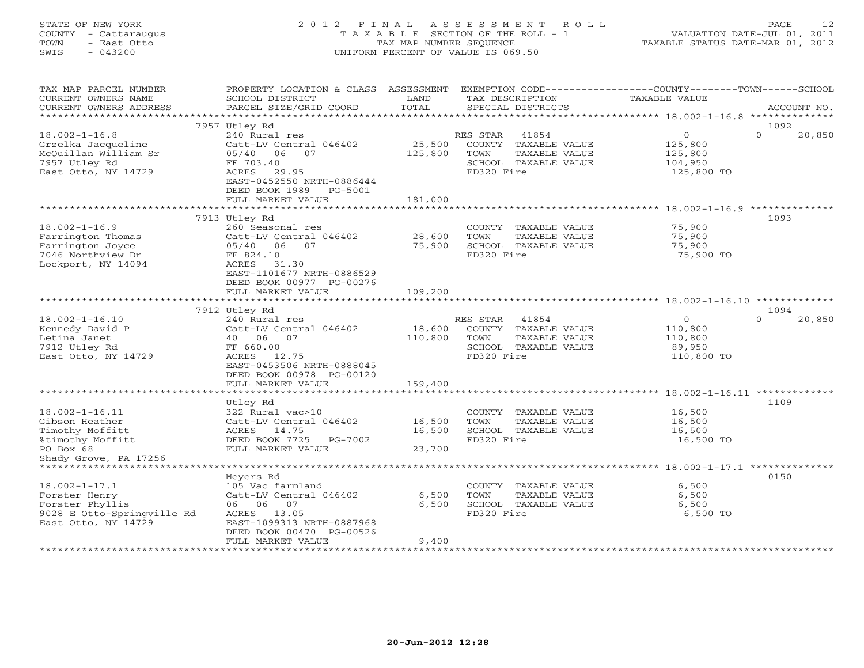#### STATE OF NEW YORK 2 0 1 2 F I N A L A S S E S S M E N T R O L L PAGE 12COUNTY - Cattaraugus T A X A B L E SECTION OF THE ROLL - 1 VALUATION DATE-JUL 01, 2011 TOWN - East Otto TAX MAP NUMBER SEQUENCE TAXABLE STATUS DATE-MAR 01, 2012 SWIS - 043200 UNIFORM PERCENT OF VALUE IS 069.50

| TAX MAP PARCEL NUMBER<br>CURRENT OWNERS NAME<br>CURRENT OWNERS ADDRESS                                  | PROPERTY LOCATION & CLASS<br>SCHOOL DISTRICT<br>PARCEL SIZE/GRID COORD                                                                               | ASSESSMENT<br>LAND<br>TOTAL | TAX DESCRIPTION<br>SPECIAL DISTRICTS                                                   | EXEMPTION CODE-----------------COUNTY-------TOWN------SCHOOL<br><b>TAXABLE VALUE</b><br>ACCOUNT NO. |
|---------------------------------------------------------------------------------------------------------|------------------------------------------------------------------------------------------------------------------------------------------------------|-----------------------------|----------------------------------------------------------------------------------------|-----------------------------------------------------------------------------------------------------|
| *************************                                                                               |                                                                                                                                                      |                             |                                                                                        |                                                                                                     |
| $18.002 - 1 - 16.8$<br>Grzelka Jacqueline<br>McQuillan William Sr                                       | 7957 Utley Rd<br>240 Rural res<br>Catt-LV Central 046402<br>05/40<br>06<br>07                                                                        | 25,500<br>125,800           | RES STAR<br>41854<br>COUNTY<br>TAXABLE VALUE<br>TOWN<br>TAXABLE VALUE                  | 1092<br>$\mathbf{O}$<br>$\Omega$<br>20,850<br>125,800<br>125,800                                    |
| 7957 Utley Rd<br>East Otto, NY 14729                                                                    | FF 703.40<br>ACRES<br>29.95<br>EAST-0452550 NRTH-0886444<br>DEED BOOK 1989<br>PG-5001<br>FULL MARKET VALUE                                           | 181,000                     | SCHOOL TAXABLE VALUE<br>FD320 Fire                                                     | 104,950<br>125,800 TO                                                                               |
|                                                                                                         |                                                                                                                                                      |                             |                                                                                        |                                                                                                     |
|                                                                                                         | 7913 Utley Rd                                                                                                                                        |                             |                                                                                        | 1093                                                                                                |
| $18.002 - 1 - 16.9$<br>Farrington Thomas<br>Farrington Joyce<br>7046 Northview Dr<br>Lockport, NY 14094 | 260 Seasonal res<br>Catt-LV Central 046402<br>05/40 06<br>07<br>FF 824.10<br>ACRES<br>31.30<br>EAST-1101677 NRTH-0886529<br>DEED BOOK 00977 PG-00276 | 28,600<br>75,900            | COUNTY<br>TAXABLE VALUE<br>TOWN<br>TAXABLE VALUE<br>SCHOOL TAXABLE VALUE<br>FD320 Fire | 75,900<br>75,900<br>75,900<br>75,900 TO                                                             |
|                                                                                                         | FULL MARKET VALUE                                                                                                                                    | 109,200                     |                                                                                        |                                                                                                     |
|                                                                                                         | ********************                                                                                                                                 |                             |                                                                                        |                                                                                                     |
|                                                                                                         | 7912 Utley Rd                                                                                                                                        |                             |                                                                                        | 1094                                                                                                |
| $18.002 - 1 - 16.10$                                                                                    | 240 Rural res                                                                                                                                        |                             | 41854<br>RES STAR                                                                      | $\mathbf{O}$<br>$\Omega$<br>20,850                                                                  |
| Kennedy David P                                                                                         | Catt-LV Central 046402<br>07<br>40                                                                                                                   | 18,600                      | COUNTY TAXABLE VALUE<br>TOWN                                                           | 110,800                                                                                             |
| Letina Janet<br>7912 Utley Rd                                                                           | 06<br>FF 660.00                                                                                                                                      | 110,800                     | TAXABLE VALUE<br>SCHOOL TAXABLE VALUE                                                  | 110,800<br>89,950                                                                                   |
| East Otto, NY 14729                                                                                     | 12.75<br>ACRES                                                                                                                                       |                             | FD320 Fire                                                                             | 110,800 TO                                                                                          |
|                                                                                                         | EAST-0453506 NRTH-0888045<br>DEED BOOK 00978 PG-00120<br>FULL MARKET VALUE                                                                           | 159,400                     |                                                                                        |                                                                                                     |
|                                                                                                         |                                                                                                                                                      | * * * * * * * * *           |                                                                                        | ***************** 18.002-1-16.11 ************                                                       |
|                                                                                                         | Utley Rd                                                                                                                                             |                             |                                                                                        | 1109                                                                                                |
| $18.002 - 1 - 16.11$                                                                                    | 322 Rural vac>10                                                                                                                                     |                             | COUNTY<br>TAXABLE VALUE                                                                | 16,500                                                                                              |
| Gibson Heather                                                                                          | Catt-LV Central 046402                                                                                                                               | 16,500                      | TOWN<br>TAXABLE VALUE                                                                  | 16,500                                                                                              |
| Timothy Moffitt                                                                                         | 14.75<br>ACRES                                                                                                                                       | 16,500                      | SCHOOL TAXABLE VALUE                                                                   | 16,500                                                                                              |
| %timothy Moffitt                                                                                        | DEED BOOK 7725<br>PG-7002                                                                                                                            |                             | FD320 Fire                                                                             | 16,500 TO                                                                                           |
| PO Box 68<br>Shady Grove, PA 17256                                                                      | FULL MARKET VALUE                                                                                                                                    | 23,700                      |                                                                                        |                                                                                                     |
|                                                                                                         |                                                                                                                                                      |                             |                                                                                        |                                                                                                     |
|                                                                                                         | Meyers Rd                                                                                                                                            |                             |                                                                                        | 0150                                                                                                |
| $18.002 - 1 - 17.1$                                                                                     | 105 Vac farmland                                                                                                                                     |                             | COUNTY<br>TAXABLE VALUE                                                                | 6,500                                                                                               |
| Forster Henry                                                                                           | Catt-LV Central 046402                                                                                                                               | 6,500                       | TOWN<br>TAXABLE VALUE                                                                  | 6,500                                                                                               |
| Forster Phyllis                                                                                         | 06<br>07<br>06                                                                                                                                       | 6,500                       | SCHOOL TAXABLE VALUE                                                                   | 6,500                                                                                               |
| 9028 E Otto-Springville Rd<br>East Otto, NY 14729                                                       | ACRES<br>13.05<br>EAST-1099313 NRTH-0887968<br>DEED BOOK 00470 PG-00526                                                                              |                             | FD320 Fire                                                                             | 6,500 TO                                                                                            |
|                                                                                                         | FULL MARKET VALUE                                                                                                                                    | 9,400                       |                                                                                        |                                                                                                     |
|                                                                                                         |                                                                                                                                                      |                             |                                                                                        |                                                                                                     |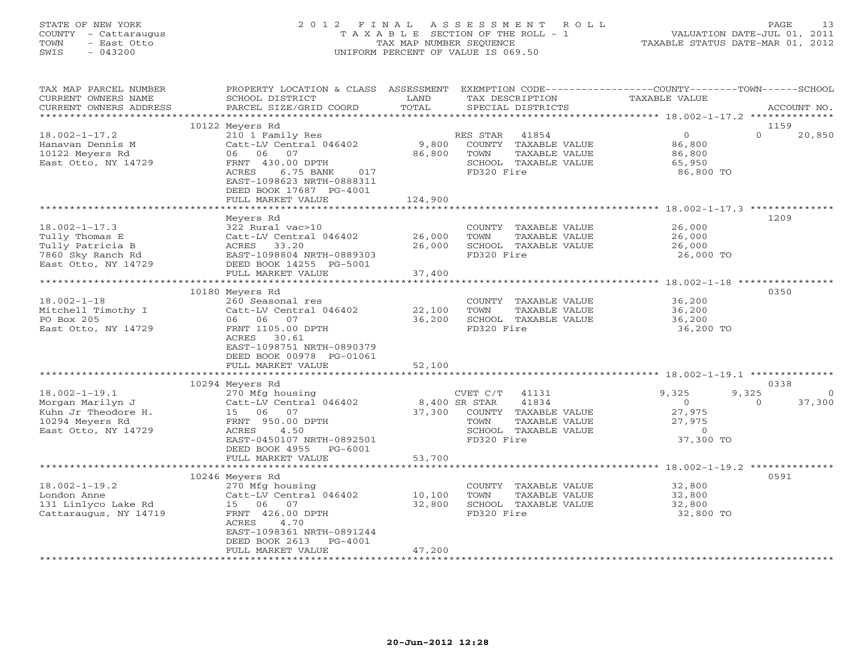# STATE OF NEW YORK 2 0 1 2 F I N A L A S S E S S M E N T R O L L PAGE 13 COUNTY - Cattaraugus T A X A B L E SECTION OF THE ROLL - 1 VALUATION DATE-JUL 01, 2011 TOWN - East Otto TAX MAP NUMBER SEQUENCE TAXABLE STATUS DATE-MAR 01, 2012 SWIS - 043200 UNIFORM PERCENT OF VALUE IS 069.50UNIFORM PERCENT OF VALUE IS 069.50

| TAX MAP PARCEL NUMBER<br>CURRENT OWNERS NAME                                                | PROPERTY LOCATION & CLASS ASSESSMENT<br>SCHOOL DISTRICT                                                       | LAND             | TAX DESCRIPTION                                                                        | EXEMPTION CODE----------------COUNTY-------TOWN------SCHOOL<br>TAXABLE VALUE |                    |
|---------------------------------------------------------------------------------------------|---------------------------------------------------------------------------------------------------------------|------------------|----------------------------------------------------------------------------------------|------------------------------------------------------------------------------|--------------------|
| CURRENT OWNERS ADDRESS<br>***********************                                           | PARCEL SIZE/GRID COORD                                                                                        | TOTAL            | SPECIAL DISTRICTS                                                                      |                                                                              | ACCOUNT NO.        |
|                                                                                             | 10122 Meyers Rd                                                                                               |                  |                                                                                        |                                                                              | 1159               |
| $18.002 - 1 - 17.2$                                                                         | 210 1 Family Res                                                                                              |                  | RES STAR                                                                               | $\overline{0}$                                                               | $\Omega$<br>20,850 |
| Hanavan Dennis M                                                                            | 210 1 Family Res<br>Catt-LV Central 046402                                                                    | 9,800            | ES STAR - 41854<br>COUNTY - TAXABLE VALUE                                              | 86,800                                                                       |                    |
| 10122 Meyers Rd                                                                             |                                                                                                               | 86,800           | TOWN<br>TAXABLE VALUE                                                                  |                                                                              |                    |
| East Otto, NY 14729                                                                         |                                                                                                               |                  | SCHOOL TAXABLE VALUE                                                                   | 86,800<br>65,950                                                             |                    |
|                                                                                             | ACRES<br>6.75 BANK 017                                                                                        |                  | FD320 Fire                                                                             | 86,800 TO                                                                    |                    |
|                                                                                             | EAST-1098623 NRTH-0888311                                                                                     |                  |                                                                                        |                                                                              |                    |
|                                                                                             | DEED BOOK 17687 PG-4001                                                                                       |                  |                                                                                        |                                                                              |                    |
|                                                                                             | FULL MARKET VALUE                                                                                             | 124,900          |                                                                                        |                                                                              |                    |
|                                                                                             |                                                                                                               |                  |                                                                                        |                                                                              |                    |
|                                                                                             | Meyers Rd                                                                                                     |                  |                                                                                        |                                                                              | 1209               |
| $18.002 - 1 - 17.3$                                                                         | 322 Rural vac>10                                                                                              |                  | COUNTY TAXABLE VALUE 26,000                                                            |                                                                              |                    |
| Tully Thomas E<br>Tully Patricia B                                                          | Catt-LV Central 046402                                                                                        | 26,000<br>26,000 | TOWN<br>TAXABLE VALUE<br>TAXABLE VALUE<br><u>TAXARLE</u> VALUE<br>SCHOOL TAXABLE VALUE | 26,000<br>26,000                                                             |                    |
| 7860 Sky Ranch Rd                                                                           | EAST-1098804 NRTH-0889303                                                                                     |                  | FD320 Fire                                                                             | 26,000 TO                                                                    |                    |
| East Otto, NY 14729                                                                         | Catt-LV Centra<br>ACRES 33.20<br>EAST-1098804 N<br>DEED BOOK 1425<br>THI MAPKET VI<br>DEED BOOK 14255 PG-5001 |                  |                                                                                        |                                                                              |                    |
|                                                                                             | FULL MARKET VALUE                                                                                             | 37,400           |                                                                                        |                                                                              |                    |
|                                                                                             | *****************************                                                                                 | ************     |                                                                                        | ******************* 18.002-1-18 *************                                |                    |
|                                                                                             | 10180 Meyers Rd                                                                                               |                  |                                                                                        |                                                                              | 0350               |
| $18.002 - 1 - 18$                                                                           | 260 Seasonal res                                                                                              |                  | COUNTY TAXABLE VALUE                                                                   |                                                                              |                    |
| Mitchell Timothy I                                                                          | Catt-LV Central 046402                                                                                        | 22,100           | TOWN<br>TAXABLE VALUE                                                                  | 36,200<br>36,200                                                             |                    |
| PO Box 205                                                                                  | 06 06 07                                                                                                      | 36,200           | SCHOOL TAXABLE VALUE                                                                   | 36,200                                                                       |                    |
| East Otto, NY 14729                                                                         | FRNT 1105.00 DPTH                                                                                             |                  | FD320 Fire                                                                             | 36,200 TO                                                                    |                    |
|                                                                                             | ACRES 30.61                                                                                                   |                  |                                                                                        |                                                                              |                    |
|                                                                                             | EAST-1098751 NRTH-0890379                                                                                     |                  |                                                                                        |                                                                              |                    |
|                                                                                             | DEED BOOK 00978 PG-01061                                                                                      |                  |                                                                                        |                                                                              |                    |
|                                                                                             | FULL MARKET VALUE                                                                                             | 52,100           |                                                                                        |                                                                              |                    |
|                                                                                             |                                                                                                               |                  |                                                                                        |                                                                              |                    |
| $18.002 - 1 - 19.1$                                                                         | 10294 Meyers Rd<br>270 Mfg housing                                                                            |                  | CVET $C/T$ 41131                                                                       | 9,325<br>9,325                                                               | 0338<br>$\circ$    |
| Morgan Marilyn J                                                                            | Catt-LV Central 046402                                                                                        |                  |                                                                                        |                                                                              | 37,300<br>$\Omega$ |
| Kuhn Jr Theodore H.                                                                         |                                                                                                               |                  | 8,400 SR STAR 41834<br>37,300 COUNTY TAXABLE VALUE                                     | $\begin{array}{c} 0 \\ 27,975 \end{array}$                                   |                    |
| 10294 Meyers Rd                                                                             | FRNT 950.00 DPTH                                                                                              |                  | TOWN                                                                                   | 27,975                                                                       |                    |
| East Otto, NY 14729                                                                         | H. Catt-Ly Company<br>H. 15 06 07<br>FRNT 950.00<br>The 4.5<br>4.50<br>ACRES                                  |                  | TAXADDE<br>TAXABLE VALUE<br>-- **** !!R<br>SCHOOL TAXABLE VALUE                        | $\overline{0}$                                                               |                    |
|                                                                                             | EAST-0450107 NRTH-0892501                                                                                     |                  | FD320 Fire                                                                             | 37,300 TO                                                                    |                    |
|                                                                                             | DEED BOOK 4955 PG-6001                                                                                        |                  |                                                                                        |                                                                              |                    |
|                                                                                             | FULL MARKET VALUE                                                                                             | 53,700           |                                                                                        |                                                                              |                    |
|                                                                                             |                                                                                                               |                  |                                                                                        |                                                                              |                    |
|                                                                                             | 10246 Meyers Rd                                                                                               |                  |                                                                                        |                                                                              | 0591               |
| $18.002 - 1 - 19.2$                                                                         | 270 Mfg housing                                                                                               |                  | COUNTY TAXABLE VALUE                                                                   | 32,800<br>32,800                                                             |                    |
|                                                                                             |                                                                                                               | 10,100           | TAXABLE VALUE<br>TOWN                                                                  |                                                                              |                    |
|                                                                                             |                                                                                                               | 32,800           | SCHOOL TAXABLE VALUE                                                                   | 32,800                                                                       |                    |
| London Anne<br>131 Linlyco Lake Rd<br>15 06 07<br>Cattaraugus, NY 14719<br>FRNT 426.00 DPTH |                                                                                                               |                  | FD320 Fire                                                                             | 32,800 TO                                                                    |                    |
|                                                                                             | ACRES<br>4.70<br>EAST-1098361 NRTH-0891244                                                                    |                  |                                                                                        |                                                                              |                    |
|                                                                                             | DEED BOOK 2613 PG-4001                                                                                        |                  |                                                                                        |                                                                              |                    |
|                                                                                             | FULL MARKET VALUE                                                                                             | 47,200           |                                                                                        |                                                                              |                    |
|                                                                                             |                                                                                                               |                  |                                                                                        |                                                                              |                    |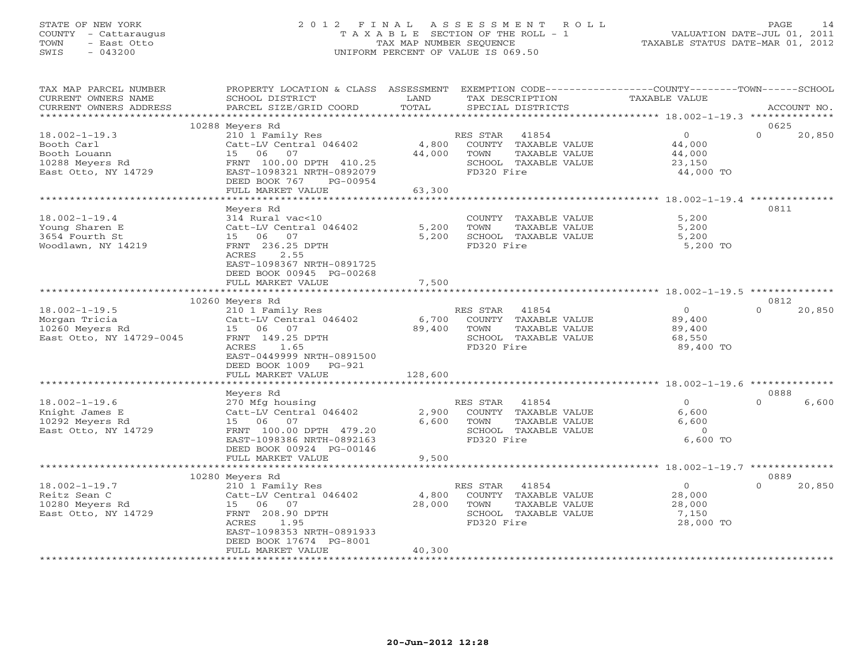# STATE OF NEW YORK 2 0 1 2 F I N A L A S S E S S M E N T R O L L PAGE 14 COUNTY - Cattaraugus T A X A B L E SECTION OF THE ROLL - 1 VALUATION DATE-JUL 01, 2011 TOWN - East Otto TAX MAP NUMBER SEQUENCE TAXABLE STATUS DATE-MAR 01, 2012 SWIS - 043200 UNIFORM PERCENT OF VALUE IS 069.50UNIFORM PERCENT OF VALUE IS 069.50

| TAX MAP PARCEL NUMBER    | PROPERTY LOCATION & CLASS ASSESSMENT EXEMPTION CODE---------------COUNTY-------TOWN-----SCHOOL |         |                       |                |                    |
|--------------------------|------------------------------------------------------------------------------------------------|---------|-----------------------|----------------|--------------------|
| CURRENT OWNERS NAME      | SCHOOL DISTRICT                                                                                | LAND    | TAX DESCRIPTION       | TAXABLE VALUE  |                    |
| CURRENT OWNERS ADDRESS   | PARCEL SIZE/GRID COORD                                                                         | TOTAL   | SPECIAL DISTRICTS     |                | ACCOUNT NO.        |
|                          |                                                                                                |         |                       |                |                    |
|                          | 10288 Meyers Rd                                                                                |         |                       |                | 0625               |
| $18.002 - 1 - 19.3$      | 210 1 Family Res                                                                               |         | RES STAR 41854        | $\Omega$       | $\Omega$<br>20,850 |
| Booth Carl               | Catt-LV Central 046402                                                                         | 4,800   | COUNTY TAXABLE VALUE  | 44,000         |                    |
| Booth Louann             | 15 06<br>07                                                                                    | 44,000  | TOWN<br>TAXABLE VALUE | 44,000         |                    |
| 10288 Meyers Rd          | FRNT 100.00 DPTH 410.25                                                                        |         | SCHOOL TAXABLE VALUE  | 23,150         |                    |
| East Otto, NY 14729      | EAST-1098321 NRTH-0892079                                                                      |         | FD320 Fire            | 44,000 TO      |                    |
|                          | DEED BOOK 767<br>PG-00954                                                                      |         |                       |                |                    |
|                          | FULL MARKET VALUE                                                                              | 63,300  |                       |                |                    |
|                          |                                                                                                |         |                       |                |                    |
|                          | Meyers Rd                                                                                      |         |                       |                | 0811               |
| $18.002 - 1 - 19.4$      | 314 Rural vac<10                                                                               |         | COUNTY TAXABLE VALUE  | 5,200          |                    |
| Young Sharen E           | Catt-LV Central 046402                                                                         | 5,200   | TOWN<br>TAXABLE VALUE | 5,200          |                    |
| 3654 Fourth St           | 15 06 07                                                                                       | 5,200   | SCHOOL TAXABLE VALUE  | 5,200          |                    |
| Woodlawn, NY 14219       | FRNT 236.25 DPTH                                                                               |         | FD320 Fire            | 5,200 TO       |                    |
|                          | 2.55<br>ACRES                                                                                  |         |                       |                |                    |
|                          | EAST-1098367 NRTH-0891725                                                                      |         |                       |                |                    |
|                          | DEED BOOK 00945 PG-00268                                                                       |         |                       |                |                    |
|                          | FULL MARKET VALUE                                                                              | 7,500   |                       |                |                    |
|                          |                                                                                                |         |                       |                |                    |
|                          | 10260 Meyers Rd                                                                                |         |                       |                | 0812               |
| $18.002 - 1 - 19.5$      | 210 1 Family Res                                                                               |         | 41854<br>RES STAR     | $\circ$        | $\Omega$<br>20,850 |
| Morgan Tricia            | Catt-LV Central 046402                                                                         | 6,700   | COUNTY TAXABLE VALUE  | 89,400         |                    |
| 10260 Meyers Rd          | 15 06 07                                                                                       | 89,400  | TOWN<br>TAXABLE VALUE | 89,400         |                    |
| East Otto, NY 14729-0045 | FRNT 149.25 DPTH                                                                               |         | SCHOOL TAXABLE VALUE  | 68,550         |                    |
|                          | ACRES<br>1.65                                                                                  |         | FD320 Fire            | 89,400 TO      |                    |
|                          | EAST-0449999 NRTH-0891500                                                                      |         |                       |                |                    |
|                          | DEED BOOK 1009<br>PG-921                                                                       |         |                       |                |                    |
|                          | FULL MARKET VALUE                                                                              | 128,600 |                       |                |                    |
|                          |                                                                                                |         |                       |                | 0888               |
| $18.002 - 1 - 19.6$      | Meyers Rd<br>270 Mfg housing                                                                   |         | RES STAR 41854        | $\Omega$       | $\Omega$<br>6,600  |
| Knight James E           | Catt-LV Central 046402                                                                         | 2,900   | COUNTY TAXABLE VALUE  | 6,600          |                    |
| 10292 Meyers Rd          | 15 06<br>07                                                                                    | 6,600   | TOWN<br>TAXABLE VALUE | 6,600          |                    |
| East Otto, NY 14729      | FRNT 100.00 DPTH 479.20                                                                        |         | SCHOOL TAXABLE VALUE  | $\Omega$       |                    |
|                          | EAST-1098386 NRTH-0892163                                                                      |         | FD320 Fire            | 6,600 TO       |                    |
|                          | DEED BOOK 00924 PG-00146                                                                       |         |                       |                |                    |
|                          | FULL MARKET VALUE                                                                              | 9,500   |                       |                |                    |
|                          |                                                                                                |         |                       |                |                    |
|                          | 10280 Meyers Rd                                                                                |         |                       |                | 0889               |
| $18.002 - 1 - 19.7$      | 210 1 Family Res                                                                               |         | RES STAR 41854        | $\overline{0}$ | $\Omega$<br>20,850 |
| Reitz Sean C             | Catt-LV Central 046402                                                                         | 4,800   | COUNTY TAXABLE VALUE  | 28,000         |                    |
| 10280 Meyers Rd          | 15 06 07                                                                                       | 28,000  | TOWN<br>TAXABLE VALUE | 28,000         |                    |
| East Otto, NY 14729      | FRNT 208.90 DPTH                                                                               |         | SCHOOL TAXABLE VALUE  | 7,150          |                    |
|                          | 1.95<br>ACRES                                                                                  |         | FD320 Fire            | 28,000 TO      |                    |
|                          | EAST-1098353 NRTH-0891933                                                                      |         |                       |                |                    |
|                          | DEED BOOK 17674 PG-8001                                                                        |         |                       |                |                    |
|                          | FULL MARKET VALUE                                                                              | 40,300  |                       |                |                    |
|                          | * * * * * * * * * * * * * * * * * * *                                                          |         |                       |                |                    |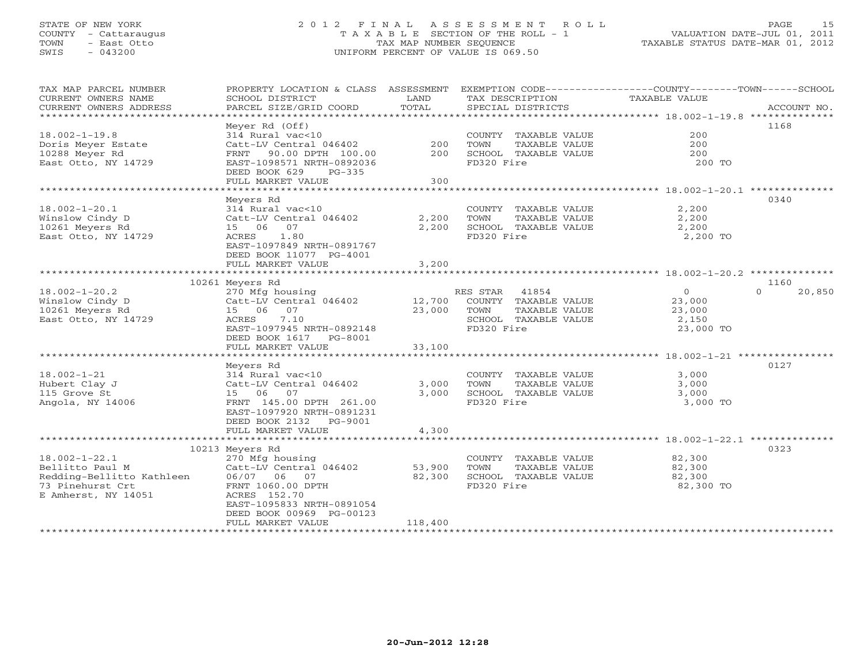# STATE OF NEW YORK 2 0 1 2 F I N A L A S S E S S M E N T R O L L PAGE 15 COUNTY - Cattaraugus T A X A B L E SECTION OF THE ROLL - 1 VALUATION DATE-JUL 01, 2011 TOWN - East Otto TAX MAP NUMBER SEQUENCE TAXABLE STATUS DATE-MAR 01, 2012 SWIS - 043200 UNIFORM PERCENT OF VALUE IS 069.50UNIFORM PERCENT OF VALUE IS 069.50

| TAX MAP PARCEL NUMBER<br>CURRENT OWNERS NAME<br>CURRENT OWNERS ADDRESS | PROPERTY LOCATION & CLASS ASSESSMENT<br>SCHOOL DISTRICT<br>PARCEL SIZE/GRID COORD | LAND<br>TOTAL | TAX DESCRIPTION<br>SPECIAL DISTRICTS | EXEMPTION CODE-----------------COUNTY-------TOWN-----SCHOOL<br>TAXABLE VALUE | ACCOUNT NO.        |
|------------------------------------------------------------------------|-----------------------------------------------------------------------------------|---------------|--------------------------------------|------------------------------------------------------------------------------|--------------------|
|                                                                        |                                                                                   |               |                                      |                                                                              |                    |
|                                                                        | Meyer Rd (Off)                                                                    |               |                                      |                                                                              | 1168               |
| $18.002 - 1 - 19.8$                                                    | 314 Rural vac<10                                                                  |               | COUNTY TAXABLE VALUE                 | 200                                                                          |                    |
| Doris Meyer Estate                                                     | Catt-LV Central 046402                                                            | 200           | TAXABLE VALUE<br>TOWN                | 200                                                                          |                    |
| 10288 Meyer Rd                                                         | FRNT 90.00 DPTH 100.00                                                            | 200           | SCHOOL TAXABLE VALUE                 | 200                                                                          |                    |
| East Otto, NY 14729                                                    | EAST-1098571 NRTH-0892036                                                         |               | FD320 Fire                           | 200 TO                                                                       |                    |
|                                                                        | DEED BOOK 629<br>$PG-335$                                                         |               |                                      |                                                                              |                    |
|                                                                        | FULL MARKET VALUE                                                                 | 300           |                                      |                                                                              |                    |
|                                                                        |                                                                                   |               |                                      |                                                                              |                    |
|                                                                        | Meyers Rd                                                                         |               |                                      |                                                                              | 0340               |
| $18.002 - 1 - 20.1$                                                    | 314 Rural vac<10                                                                  |               | COUNTY TAXABLE VALUE                 | 2,200                                                                        |                    |
| Winslow Cindy D                                                        | Catt-LV Central 046402                                                            | 2,200         | TAXABLE VALUE<br>TOWN                | 2,200                                                                        |                    |
| 10261 Meyers Rd                                                        | 15 06 07                                                                          | 2,200         | SCHOOL TAXABLE VALUE                 | 2,200                                                                        |                    |
| East Otto, NY 14729                                                    | 1.80<br>ACRES                                                                     |               | FD320 Fire                           | 2,200 TO                                                                     |                    |
|                                                                        | EAST-1097849 NRTH-0891767                                                         |               |                                      |                                                                              |                    |
|                                                                        | DEED BOOK 11077 PG-4001                                                           |               |                                      |                                                                              |                    |
|                                                                        | FULL MARKET VALUE                                                                 | 3,200         |                                      |                                                                              |                    |
|                                                                        |                                                                                   |               |                                      |                                                                              |                    |
|                                                                        | 10261 Meyers Rd                                                                   |               |                                      |                                                                              | 1160               |
| $18.002 - 1 - 20.2$                                                    | 270 Mfg housing                                                                   |               | RES STAR 41854                       | $\Omega$                                                                     | $\Omega$<br>20,850 |
| Winslow Cindy D                                                        | Catt-LV Central 046402 12,700                                                     |               | COUNTY TAXABLE VALUE                 | 23,000                                                                       |                    |
| 10261 Meyers Rd                                                        | 15 06 07                                                                          | 23,000        | TOWN<br>TAXABLE VALUE                | 23,000                                                                       |                    |
| East Otto, NY 14729                                                    | 7.10<br>ACRES                                                                     |               | SCHOOL TAXABLE VALUE                 | 2,150                                                                        |                    |
|                                                                        | EAST-1097945 NRTH-0892148                                                         |               | FD320 Fire                           | 23,000 TO                                                                    |                    |
|                                                                        | DEED BOOK 1617<br>PG-8001                                                         |               |                                      |                                                                              |                    |
|                                                                        | FULL MARKET VALUE                                                                 | 33,100        |                                      |                                                                              |                    |
|                                                                        |                                                                                   |               |                                      |                                                                              |                    |
|                                                                        | Meyers Rd                                                                         |               |                                      |                                                                              | 0127               |
| $18.002 - 1 - 21$                                                      | 314 Rural vac<10                                                                  |               | COUNTY TAXABLE VALUE                 | 3,000                                                                        |                    |
| Hubert Clay J                                                          | Catt-LV Central 046402                                                            | 3,000         | TOWN<br>TAXABLE VALUE                | 3,000                                                                        |                    |
| 115 Grove St                                                           | 15 06 07                                                                          | 3,000         | SCHOOL TAXABLE VALUE                 | 3,000                                                                        |                    |
| Angola, NY 14006                                                       | FRNT 145.00 DPTH 261.00                                                           |               | FD320 Fire                           | 3,000 TO                                                                     |                    |
|                                                                        | EAST-1097920 NRTH-0891231                                                         |               |                                      |                                                                              |                    |
|                                                                        | DEED BOOK 2132 PG-9001                                                            |               |                                      |                                                                              |                    |
|                                                                        | FULL MARKET VALUE                                                                 | 4,300         |                                      |                                                                              |                    |
|                                                                        |                                                                                   |               |                                      |                                                                              |                    |
|                                                                        | 10213 Meyers Rd                                                                   |               |                                      |                                                                              | 0323               |
| $18.002 - 1 - 22.1$                                                    | 270 Mfg housing                                                                   |               | COUNTY TAXABLE VALUE                 | 82,300                                                                       |                    |
| Bellitto Paul M                                                        | Catt-LV Central 046402                                                            | 53,900        | TOWN<br>TAXABLE VALUE                | 82,300                                                                       |                    |
| Redding-Bellitto Kathleen                                              | 06/07 06 07                                                                       | 82,300        | SCHOOL TAXABLE VALUE                 | 82,300                                                                       |                    |
| 73 Pinehurst Crt                                                       | FRNT 1060.00 DPTH                                                                 |               | FD320 Fire                           | 82,300 TO                                                                    |                    |
| E Amherst, NY 14051                                                    | ACRES 152.70                                                                      |               |                                      |                                                                              |                    |
|                                                                        | EAST-1095833 NRTH-0891054                                                         |               |                                      |                                                                              |                    |
|                                                                        | DEED BOOK 00969 PG-00123                                                          |               |                                      |                                                                              |                    |
|                                                                        | FULL MARKET VALUE                                                                 | 118,400       |                                      |                                                                              |                    |
|                                                                        |                                                                                   |               |                                      |                                                                              |                    |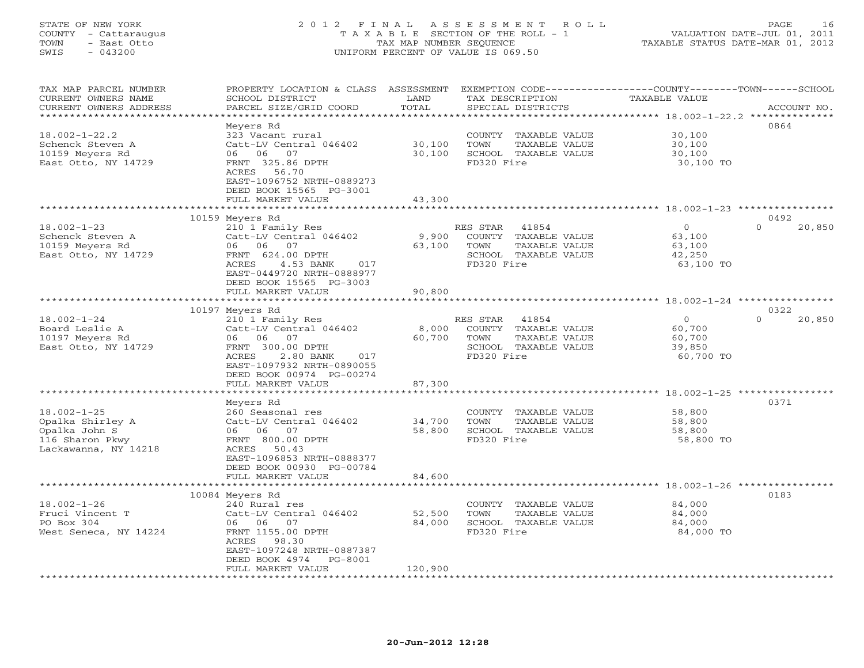# STATE OF NEW YORK 2 0 1 2 F I N A L A S S E S S M E N T R O L L PAGE 16 COUNTY - Cattaraugus T A X A B L E SECTION OF THE ROLL - 1 VALUATION DATE-JUL 01, 2011 TOWN - East Otto TAX MAP NUMBER SEQUENCE TAXABLE STATUS DATE-MAR 01, 2012 SWIS - 043200 UNIFORM PERCENT OF VALUE IS 069.50UNIFORM PERCENT OF VALUE IS 069.50

| TAX MAP PARCEL NUMBER<br>CURRENT OWNERS NAME | PROPERTY LOCATION & CLASS<br>SCHOOL DISTRICT                    | ASSESSMENT<br>LAND               |            | TAX DESCRIPTION      | EXEMPTION CODE----------------COUNTY-------TOWN-----SCHOOL<br>TAXABLE VALUE |                    |
|----------------------------------------------|-----------------------------------------------------------------|----------------------------------|------------|----------------------|-----------------------------------------------------------------------------|--------------------|
| CURRENT OWNERS ADDRESS<br>*****************  | PARCEL SIZE/GRID COORD<br>* * * * * * * * * * * * * * * * * * * | TOTAL<br>* * * * * * * * * * * * |            | SPECIAL DISTRICTS    | ********************************* 18.002-1-22.2 **************              | ACCOUNT NO.        |
|                                              | Meyers Rd                                                       |                                  |            |                      |                                                                             | 0864               |
| $18.002 - 1 - 22.2$                          | 323 Vacant rural                                                |                                  | COUNTY     | TAXABLE VALUE        | 30,100                                                                      |                    |
| Schenck Steven A                             | Catt-LV Central 046402                                          | 30,100                           | TOWN       | TAXABLE VALUE        | 30,100                                                                      |                    |
| 10159 Meyers Rd                              | 06<br>07<br>06                                                  | 30,100                           |            | SCHOOL TAXABLE VALUE | 30,100                                                                      |                    |
| East Otto, NY 14729                          | FRNT 325.86 DPTH                                                |                                  | FD320 Fire |                      | 30,100 TO                                                                   |                    |
|                                              | 56.70<br>ACRES                                                  |                                  |            |                      |                                                                             |                    |
|                                              | EAST-1096752 NRTH-0889273                                       |                                  |            |                      |                                                                             |                    |
|                                              | DEED BOOK 15565 PG-3001                                         |                                  |            |                      |                                                                             |                    |
|                                              | FULL MARKET VALUE                                               | 43,300                           |            |                      |                                                                             |                    |
|                                              |                                                                 | **************                   |            |                      |                                                                             |                    |
|                                              | 10159 Meyers Rd                                                 |                                  |            |                      |                                                                             | 0492               |
| $18.002 - 1 - 23$                            | 210 1 Family Res                                                |                                  | RES STAR   | 41854                | $\overline{0}$                                                              | $\Omega$<br>20,850 |
| Schenck Steven A                             | Catt-LV Central 046402                                          | 9,900                            |            | COUNTY TAXABLE VALUE | 63,100                                                                      |                    |
| 10159 Meyers Rd                              | 06 06<br>07                                                     | 63,100                           | TOWN       | TAXABLE VALUE        | 63,100                                                                      |                    |
| East Otto, NY 14729                          | FRNT 624.00 DPTH                                                |                                  |            | SCHOOL TAXABLE VALUE | 42,250                                                                      |                    |
|                                              | ACRES<br>4.53 BANK<br>017                                       |                                  | FD320 Fire |                      | 63,100 TO                                                                   |                    |
|                                              | EAST-0449720 NRTH-0888977                                       |                                  |            |                      |                                                                             |                    |
|                                              | DEED BOOK 15565 PG-3003                                         |                                  |            |                      |                                                                             |                    |
|                                              | FULL MARKET VALUE                                               | 90,800                           |            |                      |                                                                             |                    |
|                                              | *********************                                           | *************                    |            |                      | ****************************** 18.002-1-24 *********                        |                    |
|                                              | 10197 Meyers Rd                                                 |                                  |            |                      |                                                                             | 0322               |
| $18.002 - 1 - 24$                            | 210 1 Family Res                                                |                                  | RES STAR   | 41854                | $\circ$                                                                     | $\Omega$<br>20,850 |
| Board Leslie A                               | Catt-LV Central 046402                                          | 8,000                            |            | COUNTY TAXABLE VALUE | 60,700                                                                      |                    |
| 10197 Meyers Rd                              | 06 06<br>07                                                     | 60,700                           | TOWN       | TAXABLE VALUE        | 60,700                                                                      |                    |
| East Otto, NY 14729                          | FRNT 300.00 DPTH<br>ACRES                                       |                                  | FD320 Fire | SCHOOL TAXABLE VALUE | 39,850<br>60,700 TO                                                         |                    |
|                                              | 2.80 BANK<br>017                                                |                                  |            |                      |                                                                             |                    |
|                                              | EAST-1097932 NRTH-0890055<br>DEED BOOK 00974 PG-00274           |                                  |            |                      |                                                                             |                    |
|                                              | FULL MARKET VALUE                                               | 87,300                           |            |                      |                                                                             |                    |
|                                              | ********************                                            | * * * * * * * * * * * * * * *    |            |                      | ******************************* 18.002-1-25 **********                      |                    |
|                                              | Meyers Rd                                                       |                                  |            |                      |                                                                             | 0371               |
| $18.002 - 1 - 25$                            | 260 Seasonal res                                                |                                  |            | COUNTY TAXABLE VALUE | 58,800                                                                      |                    |
| Opalka Shirley A                             | Catt-LV Central 046402                                          | 34,700                           | TOWN       | TAXABLE VALUE        | 58,800                                                                      |                    |
| Opalka John S                                | 06 06 07                                                        | 58,800                           |            | SCHOOL TAXABLE VALUE | 58,800                                                                      |                    |
| 116 Sharon Pkwy                              | FRNT 800.00 DPTH                                                |                                  | FD320 Fire |                      | 58,800 TO                                                                   |                    |
| Lackawanna, NY 14218                         | ACRES<br>50.43                                                  |                                  |            |                      |                                                                             |                    |
|                                              | EAST-1096853 NRTH-0888377                                       |                                  |            |                      |                                                                             |                    |
|                                              | DEED BOOK 00930 PG-00784                                        |                                  |            |                      |                                                                             |                    |
|                                              | FULL MARKET VALUE                                               | 84,600                           |            |                      |                                                                             |                    |
|                                              | ************                                                    |                                  |            |                      | *************** 18.002-1-26 **********                                      |                    |
|                                              | 10084 Meyers Rd                                                 |                                  |            |                      |                                                                             | 0183               |
| $18.002 - 1 - 26$                            | 240 Rural res                                                   |                                  |            | COUNTY TAXABLE VALUE | 84,000                                                                      |                    |
| Fruci Vincent T                              | Catt-LV Central 046402                                          | 52,500                           | TOWN       | TAXABLE VALUE        | 84,000                                                                      |                    |
| PO Box 304                                   | 06 06 07                                                        | 84,000                           |            | SCHOOL TAXABLE VALUE | 84,000                                                                      |                    |
| West Seneca, NY 14224                        | FRNT 1155.00 DPTH                                               |                                  | FD320 Fire |                      | 84,000 TO                                                                   |                    |
|                                              | ACRES<br>98.30                                                  |                                  |            |                      |                                                                             |                    |
|                                              | EAST-1097248 NRTH-0887387                                       |                                  |            |                      |                                                                             |                    |
|                                              | DEED BOOK 4974<br>PG-8001<br>FULL MARKET VALUE                  | 120,900                          |            |                      |                                                                             |                    |
|                                              | **********************                                          |                                  |            |                      |                                                                             |                    |
|                                              |                                                                 |                                  |            |                      |                                                                             |                    |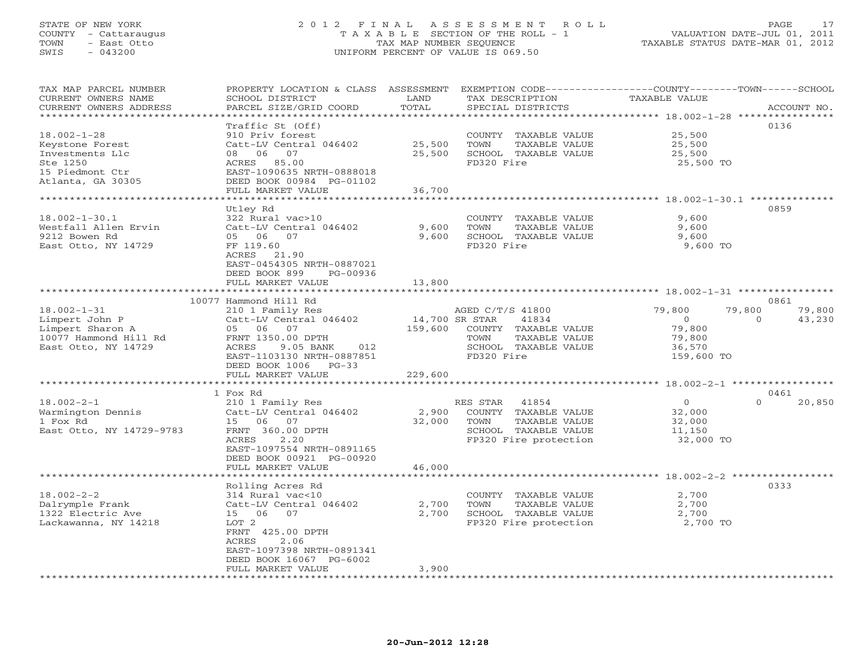## STATE OF NEW YORK 2 0 1 2 F I N A L A S S E S S M E N T R O L L PAGE 17 COUNTY - Cattaraugus T A X A B L E SECTION OF THE ROLL - 1 VALUATION DATE-JUL 01, 2011 TOWN - East Otto TAX MAP NUMBER SEQUENCE TAXABLE STATUS DATE-MAR 01, 2012 SWIS - 043200 UNIFORM PERCENT OF VALUE IS 069.50UNIFORM PERCENT OF VALUE IS 069.50

| TAX MAP PARCEL NUMBER<br>CURRENT OWNERS NAME<br>CURRENT OWNERS ADDRESS | PROPERTY LOCATION & CLASS ASSESSMENT<br>SCHOOL DISTRICT<br>PARCEL SIZE/GRID COORD | LAND<br>TOTAL    | EXEMPTION CODE----------------COUNTY-------TOWN-----SCHOOL<br>TAX DESCRIPTION<br>SPECIAL DISTRICTS | <b>TAXABLE VALUE</b>                                  | ACCOUNT NO.        |
|------------------------------------------------------------------------|-----------------------------------------------------------------------------------|------------------|----------------------------------------------------------------------------------------------------|-------------------------------------------------------|--------------------|
| ********************                                                   |                                                                                   |                  |                                                                                                    |                                                       |                    |
|                                                                        | Traffic St (Off)                                                                  |                  |                                                                                                    |                                                       | 0136               |
| $18.002 - 1 - 28$                                                      | 910 Priv forest                                                                   |                  | COUNTY TAXABLE VALUE                                                                               | 25,500                                                |                    |
| Keystone Forest                                                        | Catt-LV Central 046402                                                            | 25,500           | TOWN<br>TAXABLE VALUE                                                                              | 25,500                                                |                    |
| Investments Llc                                                        | 06<br>07<br>08                                                                    | 25,500           | SCHOOL TAXABLE VALUE                                                                               | 25,500                                                |                    |
| Ste 1250                                                               | ACRES<br>85.00                                                                    |                  | FD320 Fire                                                                                         | 25,500 TO                                             |                    |
| 15 Piedmont Ctr                                                        | EAST-1090635 NRTH-0888018                                                         |                  |                                                                                                    |                                                       |                    |
| Atlanta, GA 30305                                                      | DEED BOOK 00984 PG-01102                                                          |                  |                                                                                                    |                                                       |                    |
|                                                                        | FULL MARKET VALUE                                                                 | 36,700           |                                                                                                    |                                                       |                    |
|                                                                        |                                                                                   |                  |                                                                                                    |                                                       |                    |
|                                                                        | Utley Rd                                                                          |                  |                                                                                                    |                                                       | 0859               |
| $18.002 - 1 - 30.1$                                                    | 322 Rural vac>10                                                                  |                  | COUNTY TAXABLE VALUE                                                                               | 9,600                                                 |                    |
| Westfall Allen Ervin                                                   | Catt-LV Central 046402                                                            | 9,600            | TOWN<br>TAXABLE VALUE                                                                              | 9,600                                                 |                    |
| 9212 Bowen Rd                                                          | 05 06<br>07                                                                       | 9,600            | SCHOOL TAXABLE VALUE                                                                               | 9,600                                                 |                    |
| East Otto, NY 14729                                                    | FF 119.60                                                                         |                  | FD320 Fire                                                                                         | 9,600 TO                                              |                    |
|                                                                        | ACRES<br>21.90                                                                    |                  |                                                                                                    |                                                       |                    |
|                                                                        | EAST-0454305 NRTH-0887021                                                         |                  |                                                                                                    |                                                       |                    |
|                                                                        | DEED BOOK 899<br>PG-00936                                                         |                  |                                                                                                    |                                                       |                    |
|                                                                        | FULL MARKET VALUE                                                                 | 13,800           |                                                                                                    |                                                       |                    |
|                                                                        |                                                                                   | ************     |                                                                                                    |                                                       |                    |
|                                                                        | 10077 Hammond Hill Rd                                                             |                  |                                                                                                    |                                                       | 0861               |
| $18.002 - 1 - 31$                                                      |                                                                                   |                  | AGED C/T/S 41800                                                                                   | 79,800                                                | 79,800<br>79,800   |
| Limpert John P                                                         | 210 1 Family Res                                                                  | 14,700 SR STAR   | 41834                                                                                              | $\circ$                                               | 43,230<br>$\Omega$ |
| Limpert Sharon A                                                       | Catt-LV Central 046402<br>05 06<br>07                                             | 159,600          | COUNTY TAXABLE VALUE                                                                               | 79,800                                                |                    |
| 10077 Hammond Hill Rd                                                  | FRNT 1350.00 DPTH                                                                 |                  | TOWN<br>TAXABLE VALUE                                                                              | 79,800                                                |                    |
|                                                                        | ACRES<br>9.05 BANK<br>012                                                         |                  | SCHOOL TAXABLE VALUE                                                                               | 36,570                                                |                    |
| East Otto, NY 14729                                                    |                                                                                   |                  | FD320 Fire                                                                                         |                                                       |                    |
|                                                                        | EAST-1103130 NRTH-0887851                                                         |                  |                                                                                                    | 159,600 TO                                            |                    |
|                                                                        | DEED BOOK 1006 PG-33                                                              |                  |                                                                                                    |                                                       |                    |
|                                                                        | FULL MARKET VALUE                                                                 | 229,600          |                                                                                                    |                                                       |                    |
|                                                                        |                                                                                   |                  |                                                                                                    |                                                       |                    |
|                                                                        | 1 Fox Rd                                                                          |                  |                                                                                                    |                                                       | 0461               |
| $18.002 - 2 - 1$                                                       | 210 1 Family Res                                                                  |                  | RES STAR<br>41854                                                                                  | $\circ$                                               | $\Omega$<br>20,850 |
| Warmington Dennis                                                      | Catt-LV Central 046402                                                            | 2,900            | COUNTY TAXABLE VALUE                                                                               | 32,000                                                |                    |
| 1 Fox Rd                                                               | 15<br>06<br>07                                                                    | 32,000           | TOWN<br>TAXABLE VALUE                                                                              | 32,000                                                |                    |
| East Otto, NY 14729-9783                                               | FRNT 360.00 DPTH                                                                  |                  | SCHOOL TAXABLE VALUE                                                                               | 11,150                                                |                    |
|                                                                        | 2.20<br>ACRES                                                                     |                  | FP320 Fire protection                                                                              | 32,000 TO                                             |                    |
|                                                                        | EAST-1097554 NRTH-0891165                                                         |                  |                                                                                                    |                                                       |                    |
|                                                                        | DEED BOOK 00921 PG-00920                                                          |                  |                                                                                                    |                                                       |                    |
|                                                                        | FULL MARKET VALUE                                                                 | 46,000           |                                                                                                    |                                                       |                    |
|                                                                        |                                                                                   | **********       |                                                                                                    | ************************ 18.002-2-2 ***************** |                    |
|                                                                        | Rolling Acres Rd                                                                  |                  |                                                                                                    |                                                       | 0333               |
| $18.002 - 2 - 2$                                                       | 314 Rural vac<10                                                                  |                  | COUNTY TAXABLE VALUE                                                                               | 2,700                                                 |                    |
| Dalrymple Frank                                                        | Catt-LV Central 046402                                                            | 2,700            | TOWN<br>TAXABLE VALUE                                                                              | 2,700                                                 |                    |
| 1322 Electric Ave                                                      | 06<br>07<br>15                                                                    | 2,700            | SCHOOL TAXABLE VALUE                                                                               | 2,700                                                 |                    |
| Lackawanna, NY 14218                                                   | LOT 2                                                                             |                  | FP320 Fire protection                                                                              | 2,700 TO                                              |                    |
|                                                                        | FRNT 425.00 DPTH                                                                  |                  |                                                                                                    |                                                       |                    |
|                                                                        | 2.06<br>ACRES                                                                     |                  |                                                                                                    |                                                       |                    |
|                                                                        | EAST-1097398 NRTH-0891341                                                         |                  |                                                                                                    |                                                       |                    |
|                                                                        | DEED BOOK 16067 PG-6002                                                           |                  |                                                                                                    |                                                       |                    |
|                                                                        | FULL MARKET VALUE                                                                 | 3,900            |                                                                                                    |                                                       |                    |
| ********************                                                   | *********************                                                             | **************** | ****************************                                                                       |                                                       |                    |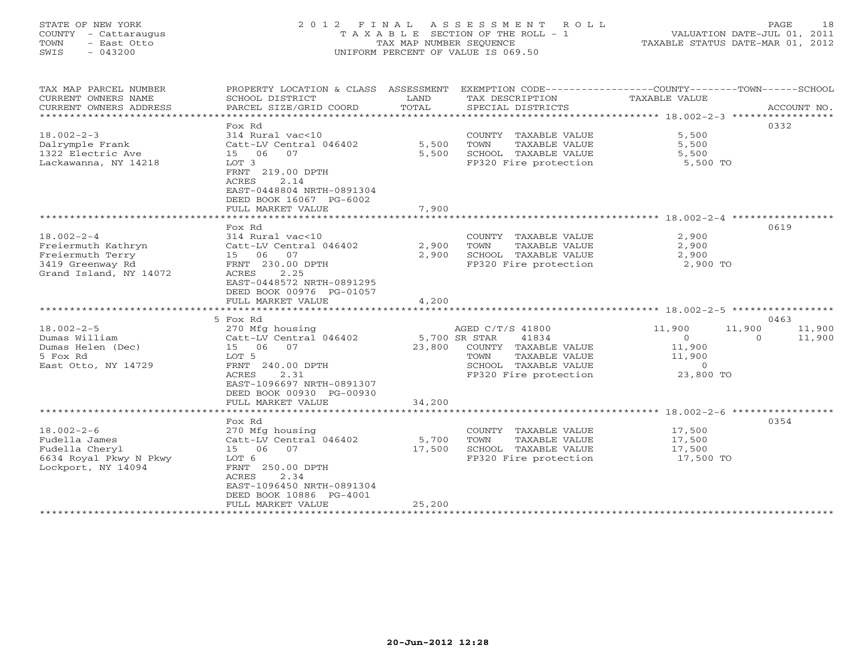# STATE OF NEW YORK 2 0 1 2 F I N A L A S S E S S M E N T R O L L PAGE 18 COUNTY - Cattaraugus T A X A B L E SECTION OF THE ROLL - 1 VALUATION DATE-JUL 01, 2011 TOWN - East Otto TAX MAP NUMBER SEQUENCE TAXABLE STATUS DATE-MAR 01, 2012 SWIS - 043200 UNIFORM PERCENT OF VALUE IS 069.50UNIFORM PERCENT OF VALUE IS 069.50

| TAX MAP PARCEL NUMBER<br>CURRENT OWNERS NAME<br>CURRENT OWNERS ADDRESS                                   | PROPERTY LOCATION & CLASS ASSESSMENT<br>SCHOOL DISTRICT<br>PARCEL SIZE/GRID COORD                                                                                                                      | LAND<br>TOTAL           | TAX DESCRIPTION<br>SPECIAL DISTRICTS                                                                                                         | EXEMPTION CODE-----------------COUNTY-------TOWN------SCHOOL<br>TAXABLE VALUE            | ACCOUNT NO.      |
|----------------------------------------------------------------------------------------------------------|--------------------------------------------------------------------------------------------------------------------------------------------------------------------------------------------------------|-------------------------|----------------------------------------------------------------------------------------------------------------------------------------------|------------------------------------------------------------------------------------------|------------------|
| $18.002 - 2 - 3$<br>Dalrymple Frank<br>1322 Electric Ave<br>Lackawanna, NY 14218                         | Fox Rd<br>314 Rural vac<10<br>Catt-LV Central 046402<br>07<br>15 06<br>LOT 3<br>FRNT 219.00 DPTH<br>ACRES<br>2.14<br>EAST-0448804 NRTH-0891304<br>DEED BOOK 16067 PG-6002<br>FULL MARKET VALUE         | 5,500<br>5,500<br>7,900 | COUNTY TAXABLE VALUE<br>TOWN<br>TAXABLE VALUE<br>SCHOOL TAXABLE VALUE<br>FP320 Fire protection                                               | 5,500<br>5,500<br>5,500<br>5,500 TO                                                      | 0332             |
|                                                                                                          |                                                                                                                                                                                                        |                         |                                                                                                                                              |                                                                                          |                  |
| $18.002 - 2 - 4$<br>Freiermuth Kathryn<br>Freiermuth Terry<br>3419 Greenway Rd<br>Grand Island, NY 14072 | Fox Rd<br>314 Rural vac<10<br>Catt-LV Central 046402<br>15 06 07<br>FRNT 230.00 DPTH<br>ACRES<br>2.25<br>EAST-0448572 NRTH-0891295                                                                     | 2,900<br>2,900          | COUNTY TAXABLE VALUE<br>TOWN<br>TAXABLE VALUE<br>SCHOOL TAXABLE VALUE<br>FP320 Fire protection                                               | 2,900<br>2,900<br>2,900<br>2,900 TO                                                      | 0619             |
|                                                                                                          | DEED BOOK 00976 PG-01057<br>FULL MARKET VALUE                                                                                                                                                          | 4,200                   |                                                                                                                                              |                                                                                          |                  |
|                                                                                                          | ***********************                                                                                                                                                                                |                         |                                                                                                                                              |                                                                                          |                  |
|                                                                                                          | 5 Fox Rd                                                                                                                                                                                               |                         |                                                                                                                                              |                                                                                          | 0463             |
| $18.002 - 2 - 5$<br>Dumas William<br>Dumas Helen (Dec)<br>5 Fox Rd<br>East Otto, NY 14729                | 270 Mfg housing<br>Catt-LV Central 046402<br>15 06<br>07<br>LOT 5<br>FRNT 240.00 DPTH<br>2.31<br>ACRES<br>EAST-1096697 NRTH-0891307<br>DEED BOOK 00930 PG-00930                                        | 23,800                  | AGED C/T/S 41800<br>5,700 SR STAR<br>41834<br>COUNTY TAXABLE VALUE<br>TAXABLE VALUE<br>TOWN<br>SCHOOL TAXABLE VALUE<br>FP320 Fire protection | 11,900<br>11,900<br>$\mathbf{0}$<br>$\Omega$<br>11,900<br>11,900<br>$\circ$<br>23,800 TO | 11,900<br>11,900 |
|                                                                                                          | FULL MARKET VALUE                                                                                                                                                                                      | 34,200                  |                                                                                                                                              |                                                                                          |                  |
| $18.002 - 2 - 6$<br>Fudella James<br>Fudella Cheryl<br>6634 Royal Pkwy N Pkwy<br>Lockport, NY 14094      | **************************<br>Fox Rd<br>270 Mfg housing<br>Catt-LV Central 046402<br>15 06<br>07<br>LOT 6<br>FRNT 250.00 DPTH<br>ACRES<br>2.34<br>EAST-1096450 NRTH-0891304<br>DEED BOOK 10886 PG-4001 | 5,700<br>17,500         | COUNTY TAXABLE VALUE<br>TOWN<br>TAXABLE VALUE<br>SCHOOL TAXABLE VALUE<br>FP320 Fire protection                                               | 17,500<br>17,500<br>17,500<br>17,500 TO                                                  | 0354             |
|                                                                                                          | FULL MARKET VALUE<br>**********************************                                                                                                                                                | 25,200                  |                                                                                                                                              |                                                                                          |                  |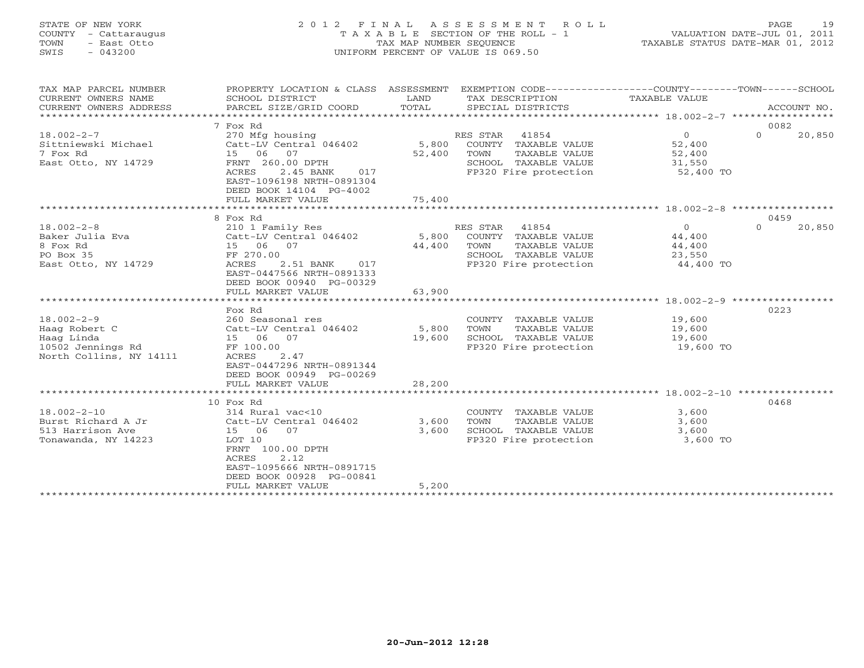# STATE OF NEW YORK 2 0 1 2 F I N A L A S S E S S M E N T R O L L PAGE 19 COUNTY - Cattaraugus T A X A B L E SECTION OF THE ROLL - 1 VALUATION DATE-JUL 01, 2011 TOWN - East Otto TAX MAP NUMBER SEQUENCE TAXABLE STATUS DATE-MAR 01, 2012 SWIS - 043200 UNIFORM PERCENT OF VALUE IS 069.50UNIFORM PERCENT OF VALUE IS 069.50

| TAX MAP PARCEL NUMBER<br>CURRENT OWNERS NAME<br>CURRENT OWNERS ADDRESS | PROPERTY LOCATION & CLASS ASSESSMENT<br>SCHOOL DISTRICT<br>PARCEL SIZE/GRID COORD | LAND<br>TOTAL | EXEMPTION CODE-----------------COUNTY-------TOWN------SCHOOL<br>TAX DESCRIPTION<br>SPECIAL DISTRICTS | TAXABLE VALUE                                       | ACCOUNT NO.        |
|------------------------------------------------------------------------|-----------------------------------------------------------------------------------|---------------|------------------------------------------------------------------------------------------------------|-----------------------------------------------------|--------------------|
|                                                                        |                                                                                   |               |                                                                                                      |                                                     |                    |
|                                                                        | 7 Fox Rd                                                                          |               |                                                                                                      |                                                     | 0082               |
| $18.002 - 2 - 7$                                                       | 270 Mfg housing                                                                   |               | RES STAR 41854                                                                                       | $\circ$                                             | $\Omega$<br>20,850 |
| Sittniewski Michael                                                    | Catt-LV Central 046402 5,800                                                      |               | COUNTY TAXABLE VALUE                                                                                 | 52,400                                              |                    |
| 7 Fox Rd                                                               | 15 06<br>07                                                                       | 52,400        | TOWN<br>TAXABLE VALUE                                                                                | 52,400                                              |                    |
| East Otto, NY 14729                                                    | FRNT 260.00 DPTH                                                                  |               | SCHOOL TAXABLE VALUE                                                                                 | 31,550                                              |                    |
|                                                                        | ACRES<br>2.45 BANK<br>017<br>EAST-1096198 NRTH-0891304<br>DEED BOOK 14104 PG-4002 |               | FP320 Fire protection                                                                                | $52,400$ TO                                         |                    |
|                                                                        | FULL MARKET VALUE                                                                 | 75,400        |                                                                                                      |                                                     |                    |
|                                                                        |                                                                                   |               |                                                                                                      |                                                     |                    |
|                                                                        | 8 Fox Rd                                                                          |               |                                                                                                      |                                                     | 0459               |
| $18.002 - 2 - 8$                                                       | 210 1 Family Res                                                                  |               | RES STAR<br>41854                                                                                    | $\circ$                                             | 20,850<br>$\Omega$ |
| Baker Julia Eva                                                        | Catt-LV Central 046402                                                            | 5,800         | COUNTY TAXABLE VALUE                                                                                 | 44,400                                              |                    |
| 8 Fox Rd                                                               | 15 06 07                                                                          | 44,400        | TOWN<br>TAXABLE VALUE                                                                                | 44,400                                              |                    |
| PO Box 35                                                              | FF 270.00                                                                         |               | SCHOOL TAXABLE VALUE                                                                                 | 23,550                                              |                    |
| East Otto, NY 14729                                                    | ACRES<br>2.51 BANK 017                                                            |               | FP320 Fire protection                                                                                | 44,400 TO                                           |                    |
|                                                                        | EAST-0447566 NRTH-0891333                                                         |               |                                                                                                      |                                                     |                    |
|                                                                        | DEED BOOK 00940 PG-00329                                                          |               |                                                                                                      |                                                     |                    |
|                                                                        | FULL MARKET VALUE                                                                 | 63,900        |                                                                                                      |                                                     |                    |
|                                                                        |                                                                                   |               |                                                                                                      | ********************* 18.002-2-9 ****************** |                    |
|                                                                        | Fox Rd                                                                            |               |                                                                                                      |                                                     | 0223               |
| $18.002 - 2 - 9$                                                       | 260 Seasonal res                                                                  |               | COUNTY TAXABLE VALUE                                                                                 | 19,600                                              |                    |
| Haag Robert C                                                          | Catt-LV Central 046402                                                            | 5,800         | TAXABLE VALUE<br>TOWN                                                                                | 19,600                                              |                    |
| Haag Linda                                                             | 15 06 07                                                                          | 19,600        | SCHOOL TAXABLE VALUE                                                                                 | 19,600                                              |                    |
| 10502 Jennings Rd                                                      | FF 100.00<br>2.47                                                                 |               | FP320 Fire protection                                                                                | 19,600 TO                                           |                    |
| North Collins, NY 14111                                                | ACRES<br>EAST-0447296 NRTH-0891344                                                |               |                                                                                                      |                                                     |                    |
|                                                                        | DEED BOOK 00949 PG-00269                                                          |               |                                                                                                      |                                                     |                    |
|                                                                        | FULL MARKET VALUE                                                                 | 28,200        |                                                                                                      |                                                     |                    |
|                                                                        |                                                                                   |               |                                                                                                      |                                                     |                    |
|                                                                        | 10 Fox Rd                                                                         |               |                                                                                                      |                                                     | 0468               |
| $18.002 - 2 - 10$                                                      | 314 Rural vac<10                                                                  |               | COUNTY TAXABLE VALUE                                                                                 | 3,600                                               |                    |
| Burst Richard A Jr                                                     | Catt-LV Central 046402                                                            | 3,600         | TOWN<br>TAXABLE VALUE                                                                                | 3,600                                               |                    |
| 513 Harrison Ave                                                       | 15 06<br>07                                                                       | 3,600         | SCHOOL TAXABLE VALUE                                                                                 | 3,600                                               |                    |
| Tonawanda, NY 14223                                                    | LOT 10                                                                            |               | FP320 Fire protection                                                                                | 3,600 TO                                            |                    |
|                                                                        | FRNT 100.00 DPTH                                                                  |               |                                                                                                      |                                                     |                    |
|                                                                        | 2.12<br>ACRES                                                                     |               |                                                                                                      |                                                     |                    |
|                                                                        | EAST-1095666 NRTH-0891715                                                         |               |                                                                                                      |                                                     |                    |
|                                                                        | DEED BOOK 00928 PG-00841                                                          |               |                                                                                                      |                                                     |                    |
|                                                                        | FULL MARKET VALUE                                                                 | 5,200         |                                                                                                      |                                                     |                    |
|                                                                        |                                                                                   |               |                                                                                                      |                                                     |                    |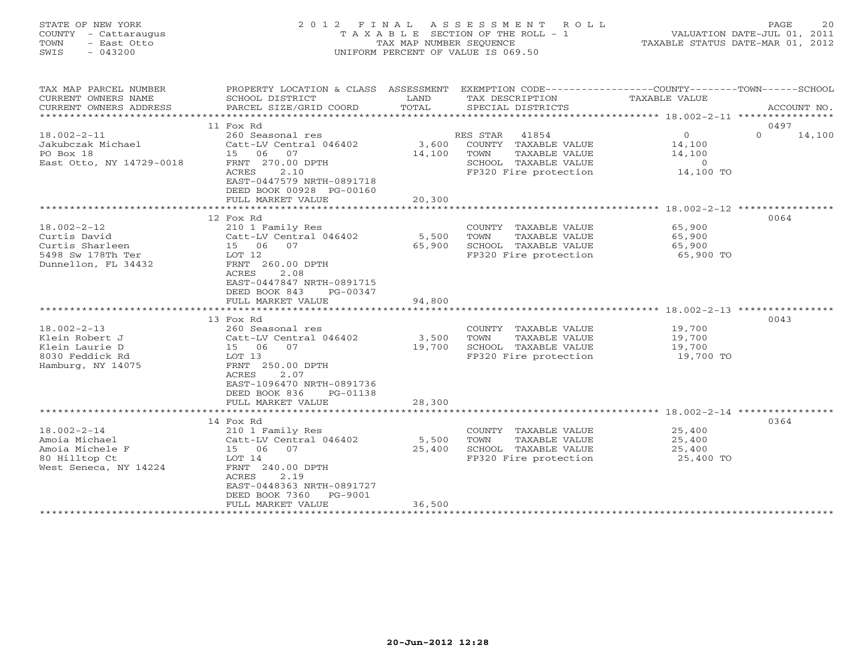# STATE OF NEW YORK 2 0 1 2 F I N A L A S S E S S M E N T R O L L PAGE 20 COUNTY - Cattaraugus T A X A B L E SECTION OF THE ROLL - 1 VALUATION DATE-JUL 01, 2011 TOWN - East Otto TAX MAP NUMBER SEQUENCE TAXABLE STATUS DATE-MAR 01, 2012 SWIS - 043200 UNIFORM PERCENT OF VALUE IS 069.50UNIFORM PERCENT OF VALUE IS 069.50

| TAX MAP PARCEL NUMBER    | PROPERTY LOCATION & CLASS ASSESSMENT |             | EXEMPTION CODE-----------------COUNTY-------TOWN------SCHOOL |                                                        |                    |
|--------------------------|--------------------------------------|-------------|--------------------------------------------------------------|--------------------------------------------------------|--------------------|
| CURRENT OWNERS NAME      | SCHOOL DISTRICT                      | LAND        | TAX DESCRIPTION                                              | TAXABLE VALUE                                          |                    |
| CURRENT OWNERS ADDRESS   | PARCEL SIZE/GRID COORD               | TOTAL       | SPECIAL DISTRICTS                                            |                                                        | ACCOUNT NO.        |
|                          |                                      |             |                                                              |                                                        |                    |
|                          | 11 Fox Rd                            |             |                                                              |                                                        | 0497               |
| $18.002 - 2 - 11$        | 260 Seasonal res                     |             | RES STAR 41854                                               | $\overline{0}$                                         | $\Omega$<br>14,100 |
| Jakubczak Michael        | Catt-LV Central 046402               |             | 3,600 COUNTY TAXABLE VALUE 14,100                            |                                                        |                    |
| PO Box 18                | 15 06 07                             | 14,100 TOWN | TAXABLE VALUE                                                | 14,100                                                 |                    |
| East Otto, NY 14729-0018 | FRNT 270.00 DPTH                     |             | SCHOOL TAXABLE VALUE                                         | $\overline{0}$                                         |                    |
|                          | <b>ACRES</b><br>2.10                 |             | FP320 Fire protection 14,100 TO                              |                                                        |                    |
|                          | EAST-0447579 NRTH-0891718            |             |                                                              |                                                        |                    |
|                          | DEED BOOK 00928 PG-00160             |             |                                                              |                                                        |                    |
|                          | FULL MARKET VALUE                    | 20,300      |                                                              |                                                        |                    |
|                          |                                      |             |                                                              | ************************ 18.002-2-12 ***************** |                    |
|                          | 12 Fox Rd                            |             |                                                              |                                                        | 0064               |
| $18.002 - 2 - 12$        | 210 1 Family Res                     |             | COUNTY TAXABLE VALUE 65,900                                  |                                                        |                    |
| Curtis David             | Catt-LV Central 046402               | 5,500       | TOWN<br>TAXABLE VALUE                                        |                                                        |                    |
| Curtis Sharleen          | 15 06 07                             | 65,900      | SCHOOL TAXABLE VALUE                                         | 65,900<br>65,900                                       |                    |
| 5498 Sw 178Th Ter        |                                      |             | FP320 Fire protection 65,900 TO                              |                                                        |                    |
|                          | LOT 12                               |             |                                                              |                                                        |                    |
| Dunnellon, FL 34432      | FRNT 260.00 DPTH<br>2.08             |             |                                                              |                                                        |                    |
|                          | ACRES                                |             |                                                              |                                                        |                    |
|                          | EAST-0447847 NRTH-0891715            |             |                                                              |                                                        |                    |
|                          | DEED BOOK 843 PG-00347               |             |                                                              |                                                        |                    |
|                          | FULL MARKET VALUE                    | 94,800      |                                                              |                                                        |                    |
|                          |                                      |             |                                                              |                                                        |                    |
|                          | 13 Fox Rd                            |             |                                                              |                                                        | 0043               |
| $18.002 - 2 - 13$        | 260 Seasonal res                     |             | COUNTY TAXABLE VALUE                                         | 19,700<br>19,700                                       |                    |
| Klein Robert J           | Catt-LV Central 046402               | 3,500       | TAXABLE VALUE<br>TOWN                                        |                                                        |                    |
| Klein Laurie D           | 15 06 07                             | 19,700      | SCHOOL TAXABLE VALUE                                         | 19,700<br>19,700 TO                                    |                    |
| 8030 Feddick Rd          | LOT 13                               |             | FP320 Fire protection                                        |                                                        |                    |
| Hamburg, NY 14075        | FRNT 250.00 DPTH                     |             |                                                              |                                                        |                    |
|                          | ACRES<br>2.07                        |             |                                                              |                                                        |                    |
|                          | EAST-1096470 NRTH-0891736            |             |                                                              |                                                        |                    |
|                          | DEED BOOK 836<br>PG-01138            |             |                                                              |                                                        |                    |
|                          | FULL MARKET VALUE                    | 28,300      |                                                              |                                                        |                    |
|                          |                                      |             |                                                              |                                                        |                    |
|                          | 14 Fox Rd                            |             |                                                              |                                                        | 0364               |
| $18.002 - 2 - 14$        | 210 1 Family Res                     |             | COUNTY TAXABLE VALUE                                         | 25,400                                                 |                    |
| Amoia Michael            | Catt-LV Central 046402               | 5,500       | TOWN<br>TAXABLE VALUE                                        | 25,400                                                 |                    |
| Amoia Michele F          | 15 06 07                             | 25,400      | SCHOOL TAXABLE VALUE                                         | 25,400                                                 |                    |
| 80 Hilltop Ct            | LOT 14                               |             | FP320 Fire protection                                        | 25,400 TO                                              |                    |
| West Seneca, NY 14224    | FRNT 240.00 DPTH                     |             |                                                              |                                                        |                    |
|                          | 2.19<br>ACRES                        |             |                                                              |                                                        |                    |
|                          | EAST-0448363 NRTH-0891727            |             |                                                              |                                                        |                    |
|                          | DEED BOOK 7360 PG-9001               |             |                                                              |                                                        |                    |
|                          | FULL MARKET VALUE                    | 36,500      |                                                              |                                                        |                    |
|                          |                                      |             |                                                              |                                                        |                    |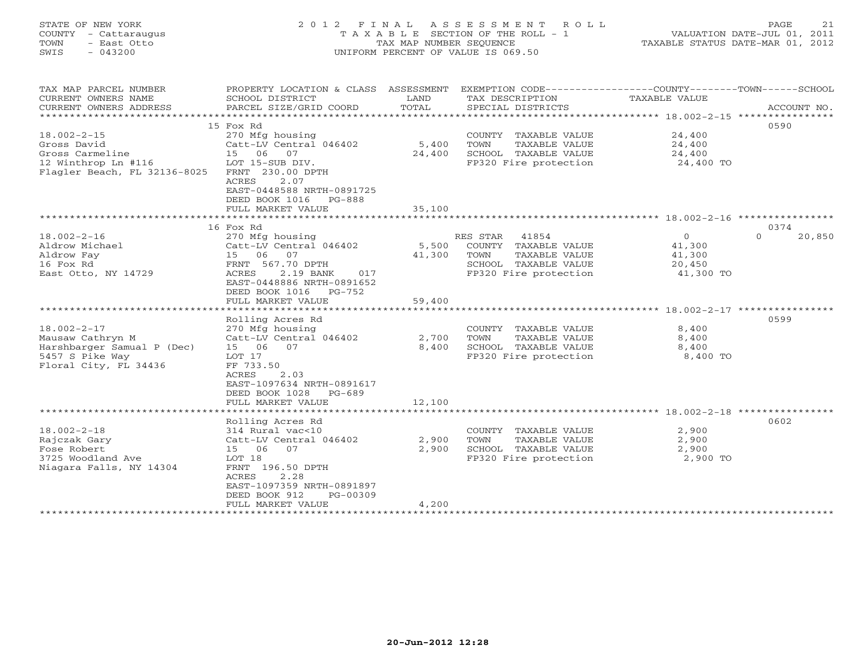# STATE OF NEW YORK 2 0 1 2 F I N A L A S S E S S M E N T R O L L PAGE 21 COUNTY - Cattaraugus T A X A B L E SECTION OF THE ROLL - 1 VALUATION DATE-JUL 01, 2011 TOWN - East Otto TAX MAP NUMBER SEQUENCE TAXABLE STATUS DATE-MAR 01, 2012 SWIS - 043200 UNIFORM PERCENT OF VALUE IS 069.50UNIFORM PERCENT OF VALUE IS 069.50

| TAX MAP PARCEL NUMBER<br>CURRENT OWNERS NAME<br>CURRENT OWNERS ADDRESS | PROPERTY LOCATION & CLASS ASSESSMENT<br>SCHOOL DISTRICT<br>PARCEL SIZE/GRID COORD | LAND<br>TOTAL | EXEMPTION CODE----------------COUNTY-------TOWN------SCHOOL<br>TAX DESCRIPTION<br>SPECIAL DISTRICTS | TAXABLE VALUE  | ACCOUNT NO.        |
|------------------------------------------------------------------------|-----------------------------------------------------------------------------------|---------------|-----------------------------------------------------------------------------------------------------|----------------|--------------------|
|                                                                        |                                                                                   |               |                                                                                                     |                |                    |
|                                                                        | 15 Fox Rd                                                                         |               |                                                                                                     |                | 0590               |
| $18.002 - 2 - 15$                                                      | 270 Mfg housing                                                                   |               | COUNTY TAXABLE VALUE                                                                                | 24,400         |                    |
| Gross David                                                            | Catt-LV Central 046402                                                            | 5,400         | TOWN<br>TAXABLE VALUE                                                                               | 24,400         |                    |
| Gross Carmeline                                                        | 15 06<br>07                                                                       | 24,400        | SCHOOL TAXABLE VALUE                                                                                | 24,400         |                    |
| 12 Winthrop Ln #116                                                    | LOT 15-SUB DIV.                                                                   |               | FP320 Fire protection                                                                               | 24,400 TO      |                    |
| Flagler Beach, FL 32136-8025                                           | FRNT 230.00 DPTH                                                                  |               |                                                                                                     |                |                    |
|                                                                        | <b>ACRES</b><br>2.07                                                              |               |                                                                                                     |                |                    |
|                                                                        | EAST-0448588 NRTH-0891725                                                         |               |                                                                                                     |                |                    |
|                                                                        | DEED BOOK 1016 PG-888                                                             |               |                                                                                                     |                |                    |
|                                                                        | FULL MARKET VALUE                                                                 | 35,100        |                                                                                                     |                |                    |
|                                                                        |                                                                                   |               |                                                                                                     |                |                    |
|                                                                        | 16 Fox Rd                                                                         |               |                                                                                                     |                | 0374               |
| $18.002 - 2 - 16$                                                      | 270 Mfg housing                                                                   |               | RES STAR 41854                                                                                      | $\overline{0}$ | $\Omega$<br>20,850 |
| Aldrow Michael                                                         | Catt-LV Central 046402                                                            | 5,500         | COUNTY TAXABLE VALUE                                                                                | 41,300         |                    |
| Aldrow Fay                                                             | 15 06 07                                                                          | 41,300        | TOWN<br>TAXABLE VALUE                                                                               | 41,300         |                    |
| 16 Fox Rd                                                              | FRNT 567.70 DPTH                                                                  |               | SCHOOL TAXABLE VALUE                                                                                | 20,450         |                    |
| East Otto, NY 14729                                                    | ACRES<br>2.19 BANK<br>017                                                         |               | FP320 Fire protection                                                                               | 41,300 TO      |                    |
|                                                                        | EAST-0448886 NRTH-0891652                                                         |               |                                                                                                     |                |                    |
|                                                                        | DEED BOOK 1016 PG-752                                                             |               |                                                                                                     |                |                    |
|                                                                        | FULL MARKET VALUE                                                                 | 59,400        |                                                                                                     |                |                    |
|                                                                        |                                                                                   |               |                                                                                                     |                |                    |
|                                                                        | Rolling Acres Rd                                                                  |               |                                                                                                     |                | 0599               |
| $18.002 - 2 - 17$                                                      | 270 Mfg housing                                                                   |               | COUNTY TAXABLE VALUE                                                                                | 8,400          |                    |
| Mausaw Cathryn M                                                       | Catt-LV Central 046402                                                            | 2,700         | TOWN<br>TAXABLE VALUE                                                                               | 8,400          |                    |
| Harshbarger Samual P (Dec)                                             | 15 06 07                                                                          | 8,400         | SCHOOL TAXABLE VALUE                                                                                | 8,400          |                    |
| 5457 S Pike Way                                                        | LOT 17                                                                            |               | FP320 Fire protection                                                                               | 8,400 TO       |                    |
| Floral City, FL 34436                                                  | FF 733.50                                                                         |               |                                                                                                     |                |                    |
|                                                                        | 2.03<br>ACRES                                                                     |               |                                                                                                     |                |                    |
|                                                                        | EAST-1097634 NRTH-0891617                                                         |               |                                                                                                     |                |                    |
|                                                                        | DEED BOOK 1028 PG-689                                                             |               |                                                                                                     |                |                    |
|                                                                        | FULL MARKET VALUE                                                                 | 12,100        |                                                                                                     |                |                    |
|                                                                        |                                                                                   |               |                                                                                                     |                |                    |
|                                                                        | Rolling Acres Rd                                                                  |               |                                                                                                     |                | 0602               |
| $18.002 - 2 - 18$                                                      | 314 Rural vac<10                                                                  |               | COUNTY TAXABLE VALUE                                                                                | 2,900          |                    |
| Rajczak Gary                                                           | Catt-LV Central 046402                                                            | 2,900         | TOWN<br>TAXABLE VALUE                                                                               | 2,900          |                    |
| Fose Robert                                                            | 07<br>15 06                                                                       | 2,900         | SCHOOL TAXABLE VALUE                                                                                | 2,900          |                    |
| 3725 Woodland Ave                                                      | LOT 18                                                                            |               | FP320 Fire protection                                                                               | 2,900 TO       |                    |
| Niagara Falls, NY 14304                                                | FRNT 196.50 DPTH                                                                  |               |                                                                                                     |                |                    |
|                                                                        | ACRES<br>2.28                                                                     |               |                                                                                                     |                |                    |
|                                                                        | EAST-1097359 NRTH-0891897                                                         |               |                                                                                                     |                |                    |
|                                                                        | DEED BOOK 912<br>PG-00309                                                         |               |                                                                                                     |                |                    |
|                                                                        | FULL MARKET VALUE                                                                 | 4,200         |                                                                                                     |                |                    |
|                                                                        | *************************                                                         |               | *****************************                                                                       |                |                    |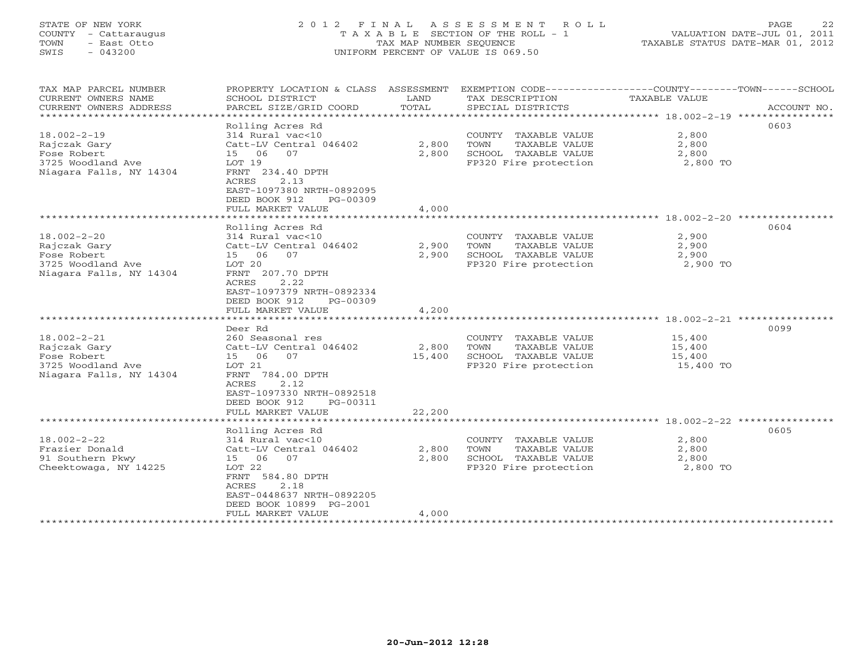# STATE OF NEW YORK 2 0 1 2 F I N A L A S S E S S M E N T R O L L PAGE 22 COUNTY - Cattaraugus T A X A B L E SECTION OF THE ROLL - 1 VALUATION DATE-JUL 01, 2011 TOWN - East Otto TAX MAP NUMBER SEQUENCE TAXABLE STATUS DATE-MAR 01, 2012 SWIS - 043200 UNIFORM PERCENT OF VALUE IS 069.50UNIFORM PERCENT OF VALUE IS 069.50

| TAX MAP PARCEL NUMBER<br>CURRENT OWNERS NAME<br>CURRENT OWNERS ADDRESS<br>****************************** | PROPERTY LOCATION & CLASS ASSESSMENT<br>SCHOOL DISTRICT<br>PARCEL SIZE/GRID COORD                                                                                                           | LAND<br>TOTAL   | EXEMPTION CODE-----------------COUNTY-------TOWN------SCHOOL<br>TAX DESCRIPTION<br>SPECIAL DISTRICTS | TAXABLE VALUE                                                           | ACCOUNT NO. |
|----------------------------------------------------------------------------------------------------------|---------------------------------------------------------------------------------------------------------------------------------------------------------------------------------------------|-----------------|------------------------------------------------------------------------------------------------------|-------------------------------------------------------------------------|-------------|
| $18.002 - 2 - 19$<br>Rajczak Gary<br>Fose Robert<br>3725 Woodland Ave<br>Niagara Falls, NY 14304         | Rolling Acres Rd<br>314 Rural vac<10<br>Catt-LV Central 046402<br>15 06<br>07<br>LOT 19<br>FRNT 234.40 DPTH<br>ACRES<br>2.13<br>EAST-1097380 NRTH-0892095<br>DEED BOOK 912<br>PG-00309      | 2,800<br>2,800  | COUNTY<br>TAXABLE VALUE<br>TOWN<br>TAXABLE VALUE<br>SCHOOL TAXABLE VALUE<br>FP320 Fire protection    | 2,800<br>2,800<br>2,800<br>2,800 TO                                     | 0603        |
|                                                                                                          | FULL MARKET VALUE                                                                                                                                                                           | 4,000           |                                                                                                      |                                                                         |             |
| $18.002 - 2 - 20$<br>Rajczak Gary<br>Fose Robert<br>3725 Woodland Ave<br>Niagara Falls, NY 14304         | Rolling Acres Rd<br>314 Rural vac<10<br>Catt-LV Central 046402<br>06<br>07<br>15<br>LOT 20<br>FRNT 207.70 DPTH<br>ACRES<br>2.22<br>EAST-1097379 NRTH-0892334<br>DEED BOOK 912<br>$PG-00309$ | 2,900<br>2,900  | COUNTY TAXABLE VALUE<br>TOWN<br>TAXABLE VALUE<br>SCHOOL TAXABLE VALUE<br>FP320 Fire protection       | ******** 18.002-2-20 ***********<br>2,900<br>2,900<br>2,900<br>2,900 TO | 0604        |
|                                                                                                          | FULL MARKET VALUE                                                                                                                                                                           | 4,200           |                                                                                                      |                                                                         |             |
|                                                                                                          |                                                                                                                                                                                             |                 | ********************************* 18.002-2-21 ****************                                       |                                                                         |             |
| $18.002 - 2 - 21$<br>Rajczak Gary<br>Fose Robert<br>3725 Woodland Ave<br>Niagara Falls, NY 14304         | Deer Rd<br>260 Seasonal res<br>Catt-LV Central 046402<br>15 06<br>07<br>LOT 21<br>FRNT 784.00 DPTH<br>2.12<br>ACRES<br>EAST-1097330 NRTH-0892518<br>DEED BOOK 912<br>PG-00311               | 2,800<br>15,400 | COUNTY TAXABLE VALUE<br>TOWN<br>TAXABLE VALUE<br>SCHOOL TAXABLE VALUE<br>FP320 Fire protection       | 15,400<br>15,400<br>15,400<br>15,400 TO                                 | 0099        |
|                                                                                                          | FULL MARKET VALUE<br>*******************                                                                                                                                                    | 22,200          |                                                                                                      |                                                                         |             |
| $18.002 - 2 - 22$<br>Frazier Donald<br>91 Southern Pkwy<br>Cheektowaga, NY 14225                         | Rolling Acres Rd<br>314 Rural vac<10<br>Catt-LV Central 046402<br>15 06<br>07<br>LOT 22<br>FRNT 584.80 DPTH<br>ACRES<br>2.18<br>EAST-0448637 NRTH-0892205<br>DEED BOOK 10899 PG-2001        | 2,800<br>2,800  | COUNTY TAXABLE VALUE<br>TOWN<br>TAXABLE VALUE<br>SCHOOL TAXABLE VALUE<br>FP320 Fire protection       | 2,800<br>2,800<br>2,800<br>2,800 TO                                     | 0605        |
|                                                                                                          | FULL MARKET VALUE                                                                                                                                                                           | 4,000           |                                                                                                      |                                                                         |             |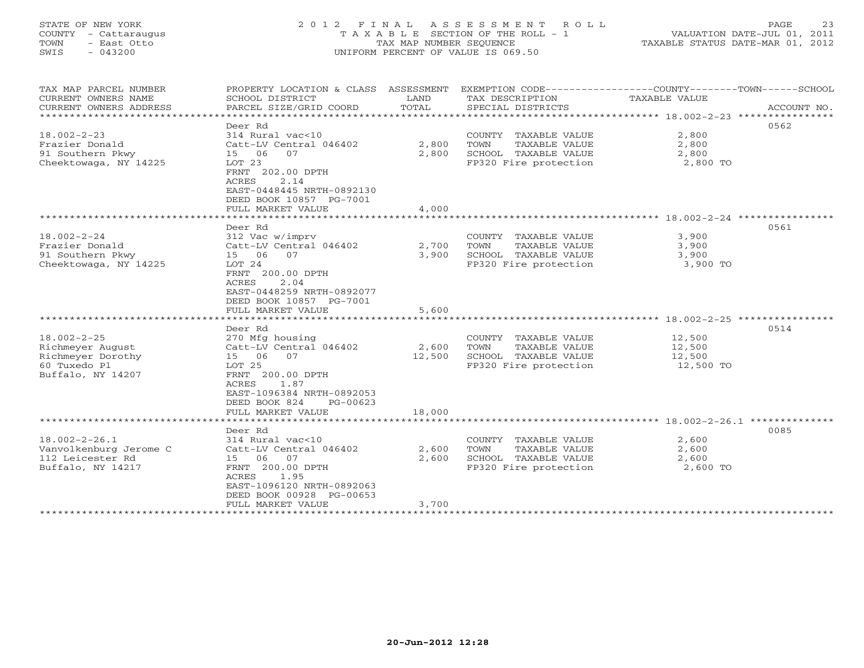# STATE OF NEW YORK 2 0 1 2 F I N A L A S S E S S M E N T R O L L PAGE 23 COUNTY - Cattaraugus T A X A B L E SECTION OF THE ROLL - 1 VALUATION DATE-JUL 01, 2011 TOWN - East Otto TAX MAP NUMBER SEQUENCE TAXABLE STATUS DATE-MAR 01, 2012 SWIS - 043200 UNIFORM PERCENT OF VALUE IS 069.50UNIFORM PERCENT OF VALUE IS 069.50

| TAX MAP PARCEL NUMBER<br>CURRENT OWNERS NAME<br>CURRENT OWNERS ADDRESS | PROPERTY LOCATION & CLASS ASSESSMENT<br>SCHOOL DISTRICT<br>PARCEL SIZE/GRID COORD                              | LAND<br>TOTAL   | EXEMPTION CODE-----------------COUNTY-------TOWN------SCHOOL<br>TAX DESCRIPTION<br>SPECIAL DISTRICTS | TAXABLE VALUE                                                      | ACCOUNT NO. |
|------------------------------------------------------------------------|----------------------------------------------------------------------------------------------------------------|-----------------|------------------------------------------------------------------------------------------------------|--------------------------------------------------------------------|-------------|
|                                                                        |                                                                                                                |                 |                                                                                                      |                                                                    |             |
| $18.002 - 2 - 23$                                                      | Deer Rd<br>314 Rural vac<10                                                                                    |                 | COUNTY TAXABLE VALUE                                                                                 | 2,800                                                              | 0562        |
| Frazier Donald                                                         | Catt-LV Central 046402                                                                                         | 2,800           | TOWN<br>TAXABLE VALUE                                                                                | 2,800                                                              |             |
| 91 Southern Pkwy                                                       | 07<br>15 06                                                                                                    | 2,800           | SCHOOL TAXABLE VALUE                                                                                 | 2,800                                                              |             |
| Cheektowaga, NY 14225                                                  | LOT 23                                                                                                         |                 | FP320 Fire protection                                                                                | 2,800 TO                                                           |             |
|                                                                        | FRNT 202.00 DPTH<br>ACRES<br>2.14<br>EAST-0448445 NRTH-0892130<br>DEED BOOK 10857 PG-7001<br>FULL MARKET VALUE | 4,000           |                                                                                                      |                                                                    |             |
|                                                                        |                                                                                                                |                 |                                                                                                      |                                                                    |             |
|                                                                        | Deer Rd                                                                                                        |                 |                                                                                                      |                                                                    | 0561        |
| $18.002 - 2 - 24$                                                      | 312 Vac w/imprv                                                                                                |                 | COUNTY TAXABLE VALUE                                                                                 | 3,900                                                              |             |
| Frazier Donald                                                         | Catt-LV Central 046402                                                                                         | 2,700           | TOWN<br>TAXABLE VALUE                                                                                | 3,900                                                              |             |
| 91 Southern Pkwy                                                       | 15 06 07                                                                                                       | 3,900           | SCHOOL TAXABLE VALUE                                                                                 | 3,900                                                              |             |
| Cheektowaga, NY 14225                                                  | LOT 24                                                                                                         |                 | FP320 Fire protection                                                                                | 3,900 TO                                                           |             |
|                                                                        | FRNT 200.00 DPTH<br>ACRES<br>2.04<br>EAST-0448259 NRTH-0892077<br>DEED BOOK 10857 PG-7001                      |                 |                                                                                                      |                                                                    |             |
|                                                                        | FULL MARKET VALUE                                                                                              | 5,600           |                                                                                                      |                                                                    |             |
|                                                                        | ************************                                                                                       | *************** |                                                                                                      | ************************************ 18.002-2-25 ***************** |             |
|                                                                        | Deer Rd                                                                                                        |                 |                                                                                                      |                                                                    | 0514        |
| $18.002 - 2 - 25$                                                      | 270 Mfg housing                                                                                                |                 | COUNTY TAXABLE VALUE                                                                                 | 12,500                                                             |             |
| Richmeyer August                                                       | Catt-LV Central 046402                                                                                         | 2,600           | TOWN<br>TAXABLE VALUE                                                                                | 12,500                                                             |             |
| Richmeyer Dorothy                                                      | 07<br>15 06                                                                                                    | 12,500          | SCHOOL TAXABLE VALUE                                                                                 | 12,500                                                             |             |
| 60 Tuxedo Pl                                                           | LOT 25                                                                                                         |                 | FP320 Fire protection                                                                                | 12,500 TO                                                          |             |
| Buffalo, NY 14207                                                      | FRNT 200.00 DPTH<br>ACRES<br>1.87<br>EAST-1096384 NRTH-0892053<br>DEED BOOK 824<br>PG-00623                    |                 |                                                                                                      |                                                                    |             |
|                                                                        | FULL MARKET VALUE                                                                                              | 18,000          |                                                                                                      |                                                                    |             |
|                                                                        |                                                                                                                |                 |                                                                                                      |                                                                    |             |
|                                                                        | Deer Rd                                                                                                        |                 |                                                                                                      |                                                                    | 0085        |
| $18.002 - 2 - 26.1$                                                    | 314 Rural vac<10                                                                                               |                 | COUNTY TAXABLE VALUE                                                                                 | 2,600                                                              |             |
| Vanvolkenburg Jerome C                                                 | Catt-LV Central 046402                                                                                         | 2,600           | TOWN<br>TAXABLE VALUE                                                                                | 2,600                                                              |             |
| 112 Leicester Rd                                                       | 15 06<br>07                                                                                                    | 2,600           | SCHOOL TAXABLE VALUE                                                                                 | 2,600                                                              |             |
| Buffalo, NY 14217                                                      | FRNT 200.00 DPTH<br>ACRES<br>1.95<br>EAST-1096120 NRTH-0892063<br>DEED BOOK 00928 PG-00653                     |                 | FP320 Fire protection                                                                                | 2,600 TO                                                           |             |
|                                                                        | FULL MARKET VALUE                                                                                              | 3,700           |                                                                                                      |                                                                    |             |
|                                                                        |                                                                                                                |                 |                                                                                                      |                                                                    |             |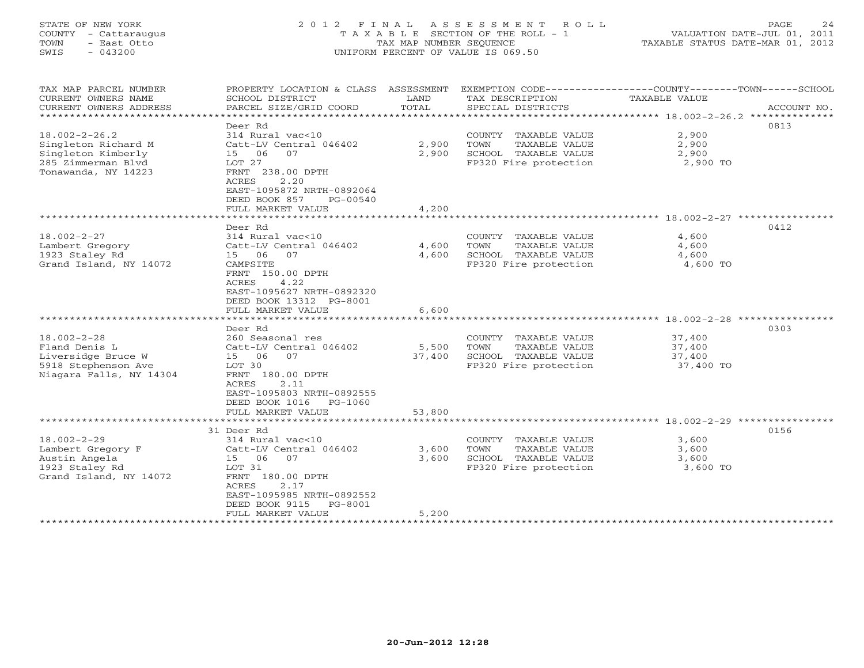# STATE OF NEW YORK 2 0 1 2 F I N A L A S S E S S M E N T R O L L PAGE 24 COUNTY - Cattaraugus T A X A B L E SECTION OF THE ROLL - 1 VALUATION DATE-JUL 01, 2011 TOWN - East Otto TAX MAP NUMBER SEQUENCE TAXABLE STATUS DATE-MAR 01, 2012 SWIS - 043200 UNIFORM PERCENT OF VALUE IS 069.50UNIFORM PERCENT OF VALUE IS 069.50

| TAX MAP PARCEL NUMBER<br>CURRENT OWNERS NAME<br>CURRENT OWNERS ADDRESS | PROPERTY LOCATION & CLASS ASSESSMENT<br>SCHOOL DISTRICT<br>PARCEL SIZE/GRID COORD              | LAND<br>TOTAL | TAX DESCRIPTION<br>SPECIAL DISTRICTS          | EXEMPTION CODE----------------COUNTY-------TOWN------SCHOOL<br>TAXABLE VALUE<br>ACCOUNT NO. |
|------------------------------------------------------------------------|------------------------------------------------------------------------------------------------|---------------|-----------------------------------------------|---------------------------------------------------------------------------------------------|
|                                                                        |                                                                                                |               |                                               |                                                                                             |
| $18.002 - 2 - 26.2$<br>Singleton Richard M                             | Deer Rd<br>314 Rural vac<10<br>Catt-LV Central 046402                                          | 2,900         | COUNTY TAXABLE VALUE<br>TOWN<br>TAXABLE VALUE | 0813<br>2,900<br>2,900                                                                      |
| Singleton Kimberly<br>285 Zimmerman Blvd<br>Tonawanda, NY 14223        | 15 06<br>07<br>LOT 27<br>FRNT 238.00 DPTH<br>2.20<br><b>ACRES</b><br>EAST-1095872 NRTH-0892064 | 2,900         | SCHOOL TAXABLE VALUE<br>FP320 Fire protection | 2,900<br>2,900 TO                                                                           |
|                                                                        | DEED BOOK 857<br>PG-00540                                                                      |               |                                               |                                                                                             |
|                                                                        | FULL MARKET VALUE                                                                              | 4,200         |                                               |                                                                                             |
|                                                                        |                                                                                                |               |                                               |                                                                                             |
|                                                                        | Deer Rd                                                                                        |               |                                               | 0412                                                                                        |
| $18.002 - 2 - 27$                                                      | 314 Rural vac<10                                                                               |               | COUNTY TAXABLE VALUE                          | 4,600                                                                                       |
| Lambert Gregory                                                        | Catt-LV Central 046402                                                                         | 4,600         | TAXABLE VALUE<br>TOWN                         | 4,600                                                                                       |
| 1923 Staley Rd                                                         | 15 06<br>07                                                                                    | 4,600         | SCHOOL TAXABLE VALUE                          | 4,600                                                                                       |
| Grand Island, NY 14072                                                 | CAMPSITE<br>FRNT 150.00 DPTH<br>ACRES<br>4.22<br>EAST-1095627 NRTH-0892320                     |               | FP320 Fire protection                         | 4,600 TO                                                                                    |
|                                                                        | DEED BOOK 13312 PG-8001                                                                        |               |                                               |                                                                                             |
|                                                                        | FULL MARKET VALUE                                                                              | 6,600         |                                               |                                                                                             |
|                                                                        |                                                                                                |               |                                               |                                                                                             |
|                                                                        | Deer Rd                                                                                        |               |                                               | 0303                                                                                        |
| $18.002 - 2 - 28$                                                      | 260 Seasonal res                                                                               |               | COUNTY TAXABLE VALUE                          | 37,400                                                                                      |
| Fland Denis L                                                          | Catt-LV Central 046402                                                                         | 5,500         | TOWN<br>TAXABLE VALUE                         | 37,400                                                                                      |
| Liversidge Bruce W                                                     | 15 06<br>07                                                                                    | 37,400        | SCHOOL TAXABLE VALUE                          | 37,400                                                                                      |
| 5918 Stephenson Ave<br>Niagara Falls, NY 14304                         | LOT 30<br>FRNT 180.00 DPTH<br>ACRES<br>2.11<br>EAST-1095803 NRTH-0892555                       |               | FP320 Fire protection                         | 37,400 TO                                                                                   |
|                                                                        | DEED BOOK 1016<br>PG-1060                                                                      |               |                                               |                                                                                             |
|                                                                        | FULL MARKET VALUE                                                                              | 53,800        |                                               |                                                                                             |
|                                                                        |                                                                                                |               |                                               |                                                                                             |
|                                                                        | 31 Deer Rd                                                                                     |               |                                               | 0156                                                                                        |
| $18.002 - 2 - 29$                                                      | 314 Rural vac<10                                                                               |               | COUNTY TAXABLE VALUE                          | 3,600                                                                                       |
| Lambert Gregory F                                                      | Catt-LV Central 046402                                                                         | 3,600         | TOWN<br>TAXABLE VALUE                         | 3,600                                                                                       |
| Austin Angela                                                          | 15 06<br>07                                                                                    | 3,600         | SCHOOL TAXABLE VALUE                          | 3,600                                                                                       |
| 1923 Staley Rd                                                         | LOT 31                                                                                         |               | FP320 Fire protection                         | 3,600 TO                                                                                    |
| Grand Island, NY 14072                                                 | FRNT 180.00 DPTH                                                                               |               |                                               |                                                                                             |
|                                                                        | 2.17<br>ACRES                                                                                  |               |                                               |                                                                                             |
|                                                                        | EAST-1095985 NRTH-0892552                                                                      |               |                                               |                                                                                             |
|                                                                        | PG-8001<br>DEED BOOK 9115                                                                      |               |                                               |                                                                                             |
|                                                                        | FULL MARKET VALUE                                                                              | 5,200         |                                               |                                                                                             |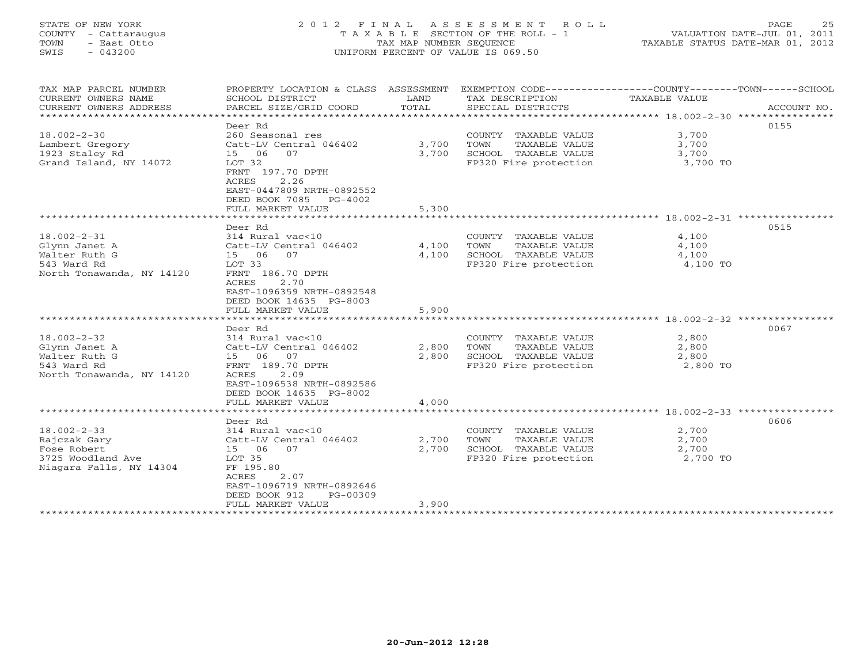# STATE OF NEW YORK 2 0 1 2 F I N A L A S S E S S M E N T R O L L PAGE 25 COUNTY - Cattaraugus T A X A B L E SECTION OF THE ROLL - 1 VALUATION DATE-JUL 01, 2011 TOWN - East Otto TAX MAP NUMBER SEQUENCE TAXABLE STATUS DATE-MAR 01, 2012 SWIS - 043200 UNIFORM PERCENT OF VALUE IS 069.50UNIFORM PERCENT OF VALUE IS 069.50

| TAX MAP PARCEL NUMBER     | PROPERTY LOCATION & CLASS ASSESSMENT              |               | EXEMPTION CODE-----------------COUNTY-------TOWN------SCHOOL |                                                 |             |
|---------------------------|---------------------------------------------------|---------------|--------------------------------------------------------------|-------------------------------------------------|-------------|
| CURRENT OWNERS NAME       | SCHOOL DISTRICT                                   | LAND<br>TOTAL | TAX DESCRIPTION                                              | TAXABLE VALUE                                   |             |
| CURRENT OWNERS ADDRESS    | PARCEL SIZE/GRID COORD                            |               | SPECIAL DISTRICTS                                            |                                                 | ACCOUNT NO. |
|                           | Deer Rd                                           |               |                                                              |                                                 | 0155        |
| $18.002 - 2 - 30$         | 260 Seasonal res                                  |               | COUNTY TAXABLE VALUE                                         | 3,700                                           |             |
| Lambert Gregory           | Catt-LV Central 046402                            | 3,700         | TOWN<br>TAXABLE VALUE                                        | 3,700                                           |             |
| 1923 Staley Rd            | 15 06 07                                          | 3,700         | SCHOOL TAXABLE VALUE                                         | 3,700                                           |             |
| Grand Island, NY 14072    | LOT 32                                            |               | FP320 Fire protection                                        | 3,700 TO                                        |             |
|                           | FRNT 197.70 DPTH                                  |               |                                                              |                                                 |             |
|                           | 2.26<br>ACRES                                     |               |                                                              |                                                 |             |
|                           | EAST-0447809 NRTH-0892552                         |               |                                                              |                                                 |             |
|                           | DEED BOOK 7085<br>$PG-4002$                       |               |                                                              |                                                 |             |
|                           | FULL MARKET VALUE                                 | 5,300         |                                                              |                                                 |             |
|                           | ************************                          | ***********   |                                                              | ***************** 18.002-2-31 ***************** |             |
|                           | Deer Rd                                           |               |                                                              |                                                 | 0515        |
| $18.002 - 2 - 31$         | 314 Rural vac<10                                  |               | COUNTY TAXABLE VALUE                                         | 4,100                                           |             |
| Glynn Janet A             | Catt-LV Central 046402                            | 4,100         | TOWN<br>TAXABLE VALUE                                        | 4,100                                           |             |
| Walter Ruth G             | 15 06<br>07                                       | 4,100         | SCHOOL TAXABLE VALUE                                         | 4,100                                           |             |
| 543 Ward Rd               | LOT 33                                            |               | FP320 Fire protection                                        | 4,100 TO                                        |             |
| North Tonawanda, NY 14120 | FRNT 186.70 DPTH                                  |               |                                                              |                                                 |             |
|                           | 2.70<br>ACRES                                     |               |                                                              |                                                 |             |
|                           | EAST-1096359 NRTH-0892548                         |               |                                                              |                                                 |             |
|                           | DEED BOOK 14635 PG-8003                           |               |                                                              |                                                 |             |
|                           | FULL MARKET VALUE                                 | 5,900         |                                                              |                                                 |             |
|                           |                                                   |               |                                                              |                                                 |             |
|                           | Deer Rd                                           |               |                                                              |                                                 | 0067        |
| $18.002 - 2 - 32$         | 314 Rural vac<10                                  |               | COUNTY TAXABLE VALUE                                         | 2,800                                           |             |
| Glynn Janet A             | Catt-LV Central 046402                            | 2,800         | TOWN<br>TAXABLE VALUE                                        | 2,800                                           |             |
| Walter Ruth G             | 15 06 07                                          | 2,800         | SCHOOL TAXABLE VALUE                                         | 2,800                                           |             |
| 543 Ward Rd               | FRNT 189.70 DPTH                                  |               | FP320 Fire protection                                        | 2,800 TO                                        |             |
| North Tonawanda, NY 14120 | 2.09<br><b>ACRES</b><br>EAST-1096538 NRTH-0892586 |               |                                                              |                                                 |             |
|                           | DEED BOOK 14635 PG-8002                           |               |                                                              |                                                 |             |
|                           | FULL MARKET VALUE                                 | 4,000         |                                                              |                                                 |             |
|                           |                                                   |               |                                                              |                                                 |             |
|                           | Deer Rd                                           |               |                                                              |                                                 | 0606        |
| $18.002 - 2 - 33$         | 314 Rural vac<10                                  |               | COUNTY TAXABLE VALUE                                         | 2,700                                           |             |
| Rajczak Gary              | Catt-LV Central 046402                            | 2,700         | TOWN<br>TAXABLE VALUE                                        | 2,700                                           |             |
| Fose Robert               | 07<br>15 06                                       | 2,700         | SCHOOL TAXABLE VALUE                                         | 2,700                                           |             |
| 3725 Woodland Ave         | LOT 35                                            |               | FP320 Fire protection                                        | 2,700 TO                                        |             |
| Niagara Falls, NY 14304   | FF 195.80                                         |               |                                                              |                                                 |             |
|                           | ACRES<br>2.07                                     |               |                                                              |                                                 |             |
|                           | EAST-1096719 NRTH-0892646                         |               |                                                              |                                                 |             |
|                           | DEED BOOK 912<br>$PG-00309$                       |               |                                                              |                                                 |             |
|                           | FULL MARKET VALUE                                 | 3,900         |                                                              |                                                 |             |
|                           |                                                   |               |                                                              |                                                 |             |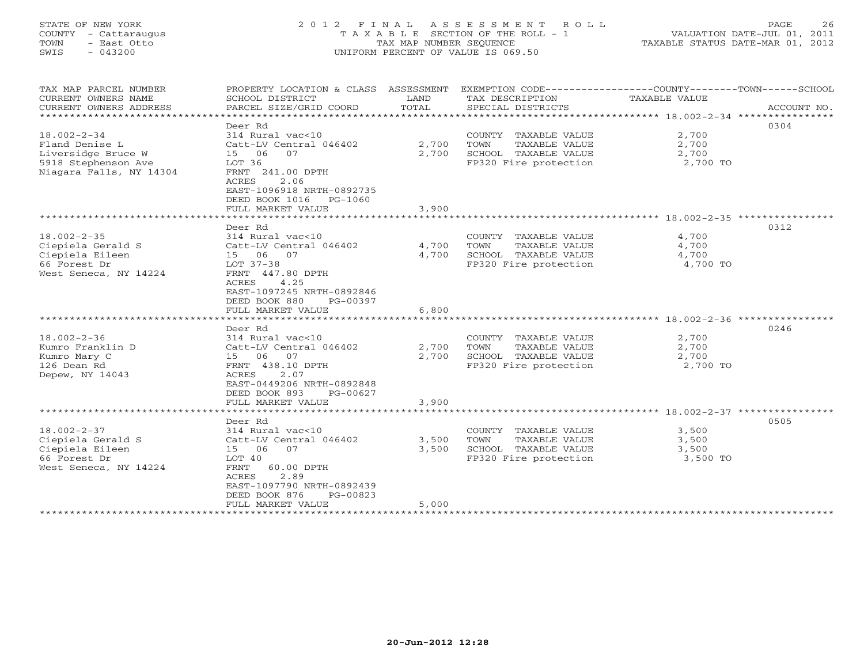# STATE OF NEW YORK 2 0 1 2 F I N A L A S S E S S M E N T R O L L PAGE 26 COUNTY - Cattaraugus T A X A B L E SECTION OF THE ROLL - 1 VALUATION DATE-JUL 01, 2011 TOWN - East Otto TAX MAP NUMBER SEQUENCE TAXABLE STATUS DATE-MAR 01, 2012 SWIS - 043200 UNIFORM PERCENT OF VALUE IS 069.50UNIFORM PERCENT OF VALUE IS 069.50

| TAX MAP PARCEL NUMBER<br>CURRENT OWNERS NAME<br>CURRENT OWNERS ADDRESS<br>***********************           | PROPERTY LOCATION & CLASS ASSESSMENT<br>SCHOOL DISTRICT<br>PARCEL SIZE/GRID COORD                                                                                                                    | LAND<br>TOTAL           | TAX DESCRIPTION<br>SPECIAL DISTRICTS                                                           | EXEMPTION CODE-----------------COUNTY-------TOWN------SCHOOL<br>TAXABLE VALUE<br>ACCOUNT NO.   |
|-------------------------------------------------------------------------------------------------------------|------------------------------------------------------------------------------------------------------------------------------------------------------------------------------------------------------|-------------------------|------------------------------------------------------------------------------------------------|------------------------------------------------------------------------------------------------|
| $18.002 - 2 - 34$<br>Fland Denise L<br>Liversidge Bruce W<br>5918 Stephenson Ave<br>Niagara Falls, NY 14304 | Deer Rd<br>314 Rural vac<10<br>Catt-LV Central 046402<br>15 06<br>07<br>LOT 36<br>FRNT 241.00 DPTH<br>2.06<br>ACRES<br>EAST-1096918 NRTH-0892735<br>DEED BOOK 1016 PG-1060                           | 2,700<br>2,700          | COUNTY TAXABLE VALUE<br>TOWN<br>TAXABLE VALUE<br>SCHOOL TAXABLE VALUE<br>FP320 Fire protection | 0304<br>2,700<br>2,700<br>2,700<br>2,700 TO                                                    |
|                                                                                                             | FULL MARKET VALUE                                                                                                                                                                                    | 3,900                   |                                                                                                |                                                                                                |
|                                                                                                             |                                                                                                                                                                                                      |                         |                                                                                                |                                                                                                |
| $18.002 - 2 - 35$<br>Ciepiela Gerald S<br>Ciepiela Eileen<br>66 Forest Dr<br>West Seneca, NY 14224          | Deer Rd<br>314 Rural vac<10<br>Catt-LV Central 046402<br>15 06 07<br>LOT 37-38<br>FRNT 447.80 DPTH<br>4.25<br>ACRES<br>EAST-1097245 NRTH-0892846<br>DEED BOOK 880<br>PG-00397                        | 4,700<br>4,700          | COUNTY TAXABLE VALUE<br>TOWN<br>TAXABLE VALUE<br>SCHOOL TAXABLE VALUE<br>FP320 Fire protection | 0312<br>4,700<br>4,700<br>4,700<br>4,700 TO                                                    |
|                                                                                                             | FULL MARKET VALUE                                                                                                                                                                                    | 6,800                   |                                                                                                |                                                                                                |
|                                                                                                             |                                                                                                                                                                                                      | * * * * * * * * * *     |                                                                                                | *********************************** 18.002-2-36 *****************                              |
| $18.002 - 2 - 36$<br>Kumro Franklin D<br>Kumro Mary C<br>126 Dean Rd<br>Depew, NY 14043                     | Deer Rd<br>314 Rural vac<10<br>Catt-LV Central 046402<br>15 06 07<br>FRNT 438.10 DPTH<br>2.07<br>ACRES<br>EAST-0449206 NRTH-0892848<br>DEED BOOK 893<br>PG-00627                                     | 2,700<br>2,700          | COUNTY TAXABLE VALUE<br>TOWN<br>TAXABLE VALUE<br>SCHOOL TAXABLE VALUE<br>FP320 Fire protection | 0246<br>2,700<br>2,700<br>2,700<br>2,700 TO                                                    |
|                                                                                                             | FULL MARKET VALUE<br>* * * * * * * * * * * * * * * * * * *                                                                                                                                           | 3,900<br>*********      |                                                                                                |                                                                                                |
| $18.002 - 2 - 37$<br>Ciepiela Gerald S<br>Ciepiela Eileen<br>66 Forest Dr<br>West Seneca, NY 14224          | Deer Rd<br>314 Rural vac<10<br>Catt-LV Central 046402<br>15 06<br>07<br>LOT 40<br>60.00 DPTH<br>FRNT<br>2.89<br>ACRES<br>EAST-1097790 NRTH-0892439<br>DEED BOOK 876<br>PG-00823<br>FULL MARKET VALUE | 3,500<br>3,500<br>5,000 | COUNTY TAXABLE VALUE<br>TOWN<br>TAXABLE VALUE<br>SCHOOL TAXABLE VALUE<br>FP320 Fire protection | ***************** 18.002-2-37 *****************<br>0505<br>3,500<br>3,500<br>3,500<br>3,500 TO |
| ********************                                                                                        |                                                                                                                                                                                                      |                         |                                                                                                |                                                                                                |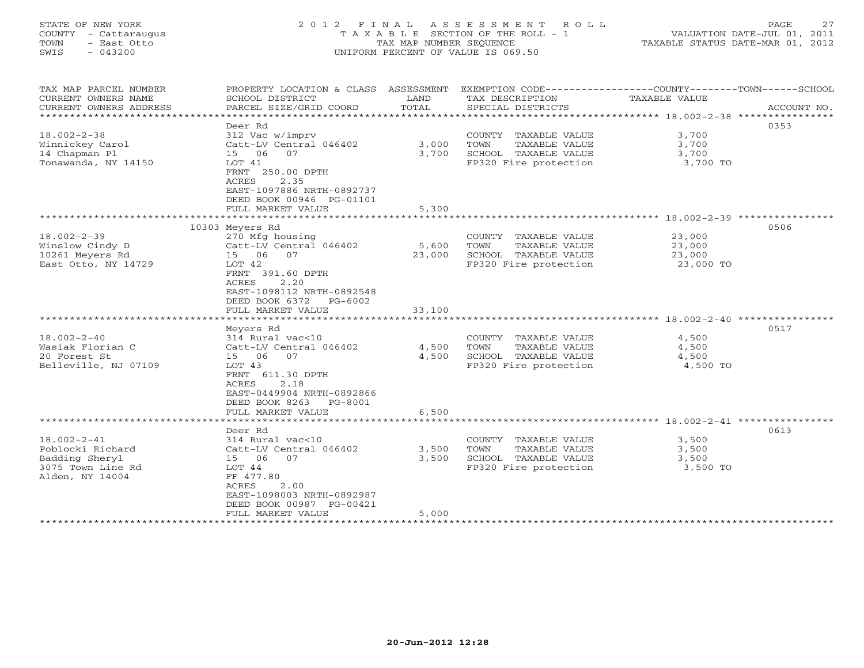# STATE OF NEW YORK 2 0 1 2 F I N A L A S S E S S M E N T R O L L PAGE 27 COUNTY - Cattaraugus T A X A B L E SECTION OF THE ROLL - 1 VALUATION DATE-JUL 01, 2011 TOWN - East Otto TAX MAP NUMBER SEQUENCE TAXABLE STATUS DATE-MAR 01, 2012 SWIS - 043200 UNIFORM PERCENT OF VALUE IS 069.50UNIFORM PERCENT OF VALUE IS 069.50

| SCHOOL DISTRICT<br>PARCEL SIZE/GRID COORD                                                                                                                                                                                                                        | LAND<br>TOTAL                                                                                                               | TAX DESCRIPTION<br>SPECIAL DISTRICTS                                                                                                                                    | TAXABLE VALUE                                                      | ACCOUNT NO.                                                                                                                         |
|------------------------------------------------------------------------------------------------------------------------------------------------------------------------------------------------------------------------------------------------------------------|-----------------------------------------------------------------------------------------------------------------------------|-------------------------------------------------------------------------------------------------------------------------------------------------------------------------|--------------------------------------------------------------------|-------------------------------------------------------------------------------------------------------------------------------------|
|                                                                                                                                                                                                                                                                  |                                                                                                                             |                                                                                                                                                                         |                                                                    |                                                                                                                                     |
| Deer Rd<br>312 Vac w/imprv<br>Catt-LV Central 046402<br>15 06<br>07<br>LOT 41<br>FRNT 250.00 DPTH<br><b>ACRES</b><br>2.35                                                                                                                                        | 3,000<br>3,700                                                                                                              | COUNTY TAXABLE VALUE<br>TOWN<br>TAXABLE VALUE<br>SCHOOL TAXABLE VALUE<br>FP320 Fire protection                                                                          | 3,700<br>3,700<br>3,700<br>3,700 TO                                | 0353                                                                                                                                |
|                                                                                                                                                                                                                                                                  |                                                                                                                             |                                                                                                                                                                         |                                                                    |                                                                                                                                     |
| FULL MARKET VALUE                                                                                                                                                                                                                                                | 5,300                                                                                                                       |                                                                                                                                                                         |                                                                    |                                                                                                                                     |
|                                                                                                                                                                                                                                                                  |                                                                                                                             |                                                                                                                                                                         |                                                                    |                                                                                                                                     |
|                                                                                                                                                                                                                                                                  |                                                                                                                             |                                                                                                                                                                         |                                                                    | 0506                                                                                                                                |
| 270 Mfg housing<br>Catt-LV Central 046402<br>15 06<br>07<br>LOT 42<br>FRNT 391.60 DPTH<br>ACRES<br>2.20<br>EAST-1098112 NRTH-0892548<br>DEED BOOK 6372<br>PG-6002<br>FULL MARKET VALUE<br>Meyers Rd<br>314 Rural vac<10<br>Catt-LV Central 046402<br>15 06<br>07 | 5,600<br>23,000<br>33,100<br>4,500<br>4,500                                                                                 | COUNTY TAXABLE VALUE<br>TOWN<br>TAXABLE VALUE<br>SCHOOL TAXABLE VALUE<br>FP320 Fire protection<br>COUNTY TAXABLE VALUE<br>TOWN<br>TAXABLE VALUE<br>SCHOOL TAXABLE VALUE | 23,000<br>23,000<br>23,000<br>23,000 TO<br>4,500<br>4,500<br>4,500 | 0517                                                                                                                                |
| LOT 43<br>FRNT 611.30 DPTH<br><b>ACRES</b><br>2.18<br>EAST-0449904 NRTH-0892866<br>DEED BOOK 8263<br>PG-8001<br>FULL MARKET VALUE                                                                                                                                | 6,500                                                                                                                       |                                                                                                                                                                         | 4,500 TO                                                           |                                                                                                                                     |
| Deer Rd                                                                                                                                                                                                                                                          |                                                                                                                             |                                                                                                                                                                         |                                                                    | 0613                                                                                                                                |
| 314 Rural vac<10<br>Catt-LV Central 046402<br>15 06 07<br>LOT 44<br>FF 477.80<br>2.00<br>ACRES<br>EAST-1098003 NRTH-0892987<br>DEED BOOK 00987 PG-00421                                                                                                          | 3,500<br>3,500                                                                                                              | COUNTY TAXABLE VALUE<br>TOWN<br>TAXABLE VALUE<br>SCHOOL TAXABLE VALUE<br>FP320 Fire protection                                                                          | 3,500<br>3,500<br>3,500<br>3,500 TO                                |                                                                                                                                     |
|                                                                                                                                                                                                                                                                  | EAST-1097886 NRTH-0892737<br>DEED BOOK 00946 PG-01101<br>10303 Meyers Rd<br>**************************<br>FULL MARKET VALUE | PROPERTY LOCATION & CLASS ASSESSMENT<br>5,000                                                                                                                           | FP320 Fire protection                                              | EXEMPTION CODE-----------------COUNTY-------TOWN------SCHOOL<br>************************************* 18.002-2-41 ***************** |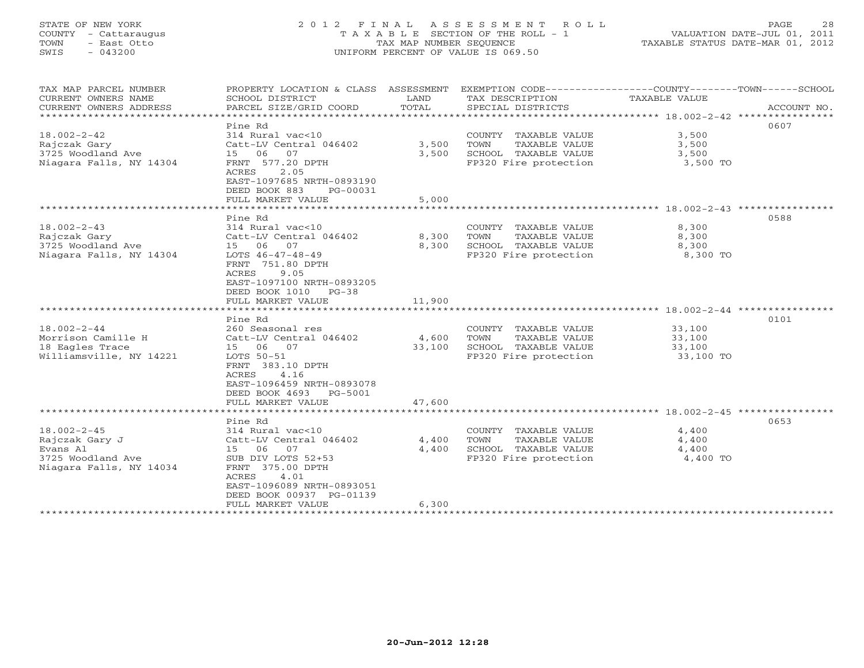# STATE OF NEW YORK 2 0 1 2 F I N A L A S S E S S M E N T R O L L PAGE 28 COUNTY - Cattaraugus T A X A B L E SECTION OF THE ROLL - 1 VALUATION DATE-JUL 01, 2011 TOWN - East Otto TAX MAP NUMBER SEQUENCE TAXABLE STATUS DATE-MAR 01, 2012 SWIS - 043200 UNIFORM PERCENT OF VALUE IS 069.50UNIFORM PERCENT OF VALUE IS 069.50

| TAX MAP PARCEL NUMBER         | PROPERTY LOCATION & CLASS ASSESSMENT |        | EXEMPTION CODE-----------------COUNTY-------TOWN------SCHOOL |               |             |
|-------------------------------|--------------------------------------|--------|--------------------------------------------------------------|---------------|-------------|
| CURRENT OWNERS NAME           | SCHOOL DISTRICT                      | LAND   | TAX DESCRIPTION                                              | TAXABLE VALUE |             |
| CURRENT OWNERS ADDRESS        | PARCEL SIZE/GRID COORD               | TOTAL  | SPECIAL DISTRICTS                                            |               | ACCOUNT NO. |
| ***************************** |                                      |        |                                                              |               |             |
|                               | Pine Rd                              |        |                                                              |               | 0607        |
| $18.002 - 2 - 42$             | 314 Rural vac<10                     |        | COUNTY TAXABLE VALUE                                         | 3,500         |             |
| Rajczak Gary                  | Catt-LV Central 046402               | 3,500  | TOWN<br>TAXABLE VALUE                                        | 3,500         |             |
| 3725 Woodland Ave             | 15 06 07                             | 3,500  | SCHOOL TAXABLE VALUE                                         | 3,500         |             |
| Niagara Falls, NY 14304       | FRNT 577.20 DPTH                     |        | FP320 Fire protection                                        | 3,500 TO      |             |
|                               | ACRES<br>2.05                        |        |                                                              |               |             |
|                               | EAST-1097685 NRTH-0893190            |        |                                                              |               |             |
|                               | DEED BOOK 883<br>PG-00031            |        |                                                              |               |             |
|                               |                                      |        |                                                              |               |             |
|                               | FULL MARKET VALUE                    | 5,000  |                                                              |               |             |
|                               |                                      |        |                                                              |               |             |
|                               | Pine Rd                              |        |                                                              |               | 0588        |
| $18.002 - 2 - 43$             | 314 Rural vac<10                     |        | COUNTY TAXABLE VALUE                                         | 8,300         |             |
| Rajczak Gary                  | Catt-LV Central 046402               | 8,300  | TOWN<br>TAXABLE VALUE                                        | 8,300         |             |
| 3725 Woodland Ave             | 15 06 07                             | 8,300  | SCHOOL TAXABLE VALUE                                         | 8,300         |             |
| Niagara Falls, NY 14304       | LOTS $46-47-48-49$                   |        | FP320 Fire protection                                        | 8,300 TO      |             |
|                               | FRNT 751.80 DPTH                     |        |                                                              |               |             |
|                               | 9.05<br>ACRES                        |        |                                                              |               |             |
|                               | EAST-1097100 NRTH-0893205            |        |                                                              |               |             |
|                               | DEED BOOK 1010 PG-38                 |        |                                                              |               |             |
|                               | FULL MARKET VALUE                    | 11,900 |                                                              |               |             |
|                               |                                      |        |                                                              |               |             |
|                               | Pine Rd                              |        |                                                              |               | 0101        |
| $18.002 - 2 - 44$             | 260 Seasonal res                     |        | COUNTY TAXABLE VALUE                                         | 33,100        |             |
| Morrison Camille H            | Catt-LV Central 046402               | 4,600  | TOWN<br>TAXABLE VALUE                                        | 33,100        |             |
| 18 Eagles Trace               | 15 06 07                             | 33,100 | SCHOOL TAXABLE VALUE                                         | 33,100        |             |
| Williamsville, NY 14221       | LOTS 50-51                           |        | FP320 Fire protection                                        | 33,100 TO     |             |
|                               | FRNT 383.10 DPTH                     |        |                                                              |               |             |
|                               | 4.16<br>ACRES                        |        |                                                              |               |             |
|                               |                                      |        |                                                              |               |             |
|                               | EAST-1096459 NRTH-0893078            |        |                                                              |               |             |
|                               | DEED BOOK 4693 PG-5001               |        |                                                              |               |             |
|                               | FULL MARKET VALUE                    | 47,600 |                                                              |               |             |
|                               |                                      |        |                                                              |               |             |
|                               | Pine Rd                              |        |                                                              |               | 0653        |
| $18.002 - 2 - 45$             | 314 Rural vac<10                     |        | COUNTY TAXABLE VALUE                                         | 4,400         |             |
| Rajczak Gary J                | Catt-LV Central 046402               | 4,400  | TOWN<br>TAXABLE VALUE                                        | 4,400         |             |
| Evans Al                      | 15 06<br>07                          | 4,400  | SCHOOL TAXABLE VALUE                                         | 4,400         |             |
| 3725 Woodland Ave             | SUB DIV LOTS 52+53                   |        | FP320 Fire protection                                        | 4,400 TO      |             |
| Niagara Falls, NY 14034       | FRNT 375.00 DPTH                     |        |                                                              |               |             |
|                               | ACRES<br>4.01                        |        |                                                              |               |             |
|                               | EAST-1096089 NRTH-0893051            |        |                                                              |               |             |
|                               | DEED BOOK 00937 PG-01139             |        |                                                              |               |             |
|                               | FULL MARKET VALUE                    | 6,300  |                                                              |               |             |
| *********************         |                                      |        |                                                              |               |             |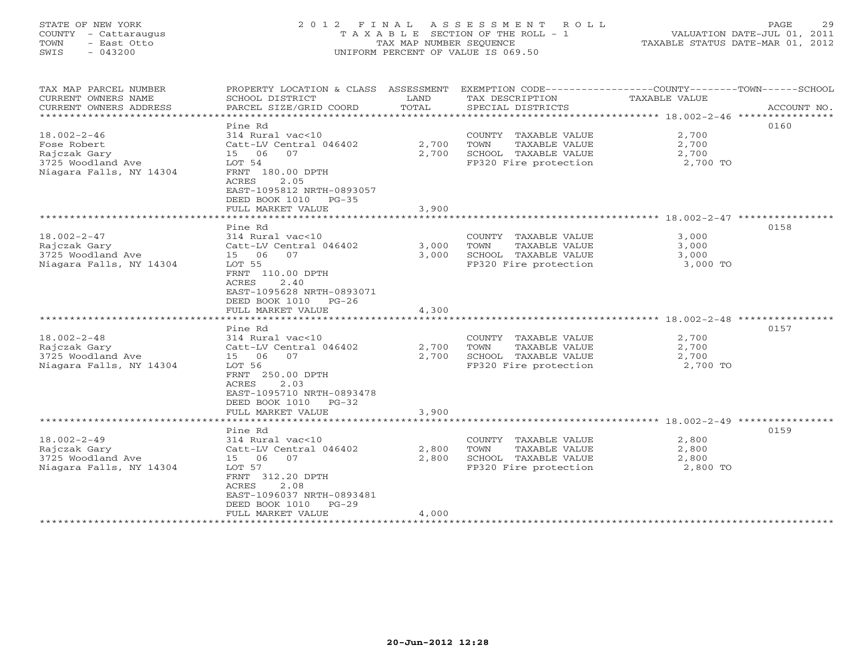#### STATE OF NEW YORK 2012 FINAL ASSESSMENT ROLL PAGE 29 COUNTY - Cattaraugus T A X A B L E SECTION OF THE ROLL - 1 VALUATION DATE-JUL 01, 2011 TOWN - East Otto TAX MAP NUMBER SEQUENCE TAXABLE STATUS DATE-MAR 01, 2012 SWIS - 043200 UNIFORM PERCENT OF VALUE IS 069.50

| TAX MAP PARCEL NUMBER<br>CURRENT OWNERS NAME<br>CURRENT OWNERS ADDRESS                           | PROPERTY LOCATION & CLASS ASSESSMENT<br>SCHOOL DISTRICT<br>PARCEL SIZE/GRID COORD                                                                                                             | LAND<br>TOTAL           | EXEMPTION CODE-----------------COUNTY-------TOWN------SCHOOL<br>TAX DESCRIPTION<br>SPECIAL DISTRICTS | TAXABLE VALUE                                                                     | ACCOUNT NO. |
|--------------------------------------------------------------------------------------------------|-----------------------------------------------------------------------------------------------------------------------------------------------------------------------------------------------|-------------------------|------------------------------------------------------------------------------------------------------|-----------------------------------------------------------------------------------|-------------|
| $18.002 - 2 - 46$<br>Fose Robert<br>Rajczak Gary<br>3725 Woodland Ave<br>Niagara Falls, NY 14304 | Pine Rd<br>314 Rural vac<10<br>Catt-LV Central 046402<br>15 06<br>07<br>LOT 54<br>FRNT 180.00 DPTH<br>2.05<br>ACRES<br>EAST-1095812 NRTH-0893057<br>DEED BOOK 1010 PG-35<br>FULL MARKET VALUE | 2,700<br>2,700<br>3,900 | COUNTY TAXABLE VALUE<br>TOWN<br>TAXABLE VALUE<br>SCHOOL TAXABLE VALUE<br>FP320 Fire protection       | 2,700<br>2,700<br>2,700<br>2,700 TO                                               | 0160        |
| $18.002 - 2 - 47$<br>Rajczak Gary<br>3725 Woodland Ave<br>Niagara Falls, NY 14304                | Pine Rd<br>314 Rural vac<10<br>Catt-LV Central 046402<br>15 06<br>07<br>LOT 55<br>FRNT 110.00 DPTH<br>2.40<br>ACRES<br>EAST-1095628 NRTH-0893071<br>DEED BOOK 1010 PG-26<br>FULL MARKET VALUE | 3,000<br>3,000<br>4,300 | COUNTY TAXABLE VALUE<br>TOWN<br>TAXABLE VALUE<br>SCHOOL TAXABLE VALUE<br>FP320 Fire protection       | ****************** 18.002-2-47 ***********<br>3,000<br>3,000<br>3,000<br>3,000 TO | 0158        |
| $18.002 - 2 - 48$<br>Rajczak Gary<br>3725 Woodland Ave<br>Niagara Falls, NY 14304                | Pine Rd<br>314 Rural vac<10<br>Catt-LV Central 046402<br>15 06<br>07<br>LOT 56<br>FRNT 250.00 DPTH<br>ACRES<br>2.03<br>EAST-1095710 NRTH-0893478<br>DEED BOOK 1010 PG-32<br>FULL MARKET VALUE | 2,700<br>2,700<br>3,900 | COUNTY TAXABLE VALUE<br>TAXABLE VALUE<br>TOWN<br>SCHOOL TAXABLE VALUE<br>FP320 Fire protection       | 2,700<br>2,700<br>2,700<br>2,700 TO                                               | 0157        |
| $18.002 - 2 - 49$<br>Rajczak Gary<br>3725 Woodland Ave<br>Niagara Falls, NY 14304                | Pine Rd<br>314 Rural vac<10<br>Catt-LV Central 046402<br>15 06<br>07<br>LOT 57<br>FRNT 312.20 DPTH<br>ACRES<br>2.08<br>EAST-1096037 NRTH-0893481<br>DEED BOOK 1010 PG-29<br>FULL MARKET VALUE | 2,800<br>2,800<br>4,000 | COUNTY TAXABLE VALUE<br>TOWN<br>TAXABLE VALUE<br>SCHOOL TAXABLE VALUE<br>FP320 Fire protection       | 2,800<br>2,800<br>2,800<br>2,800 TO                                               | 0159        |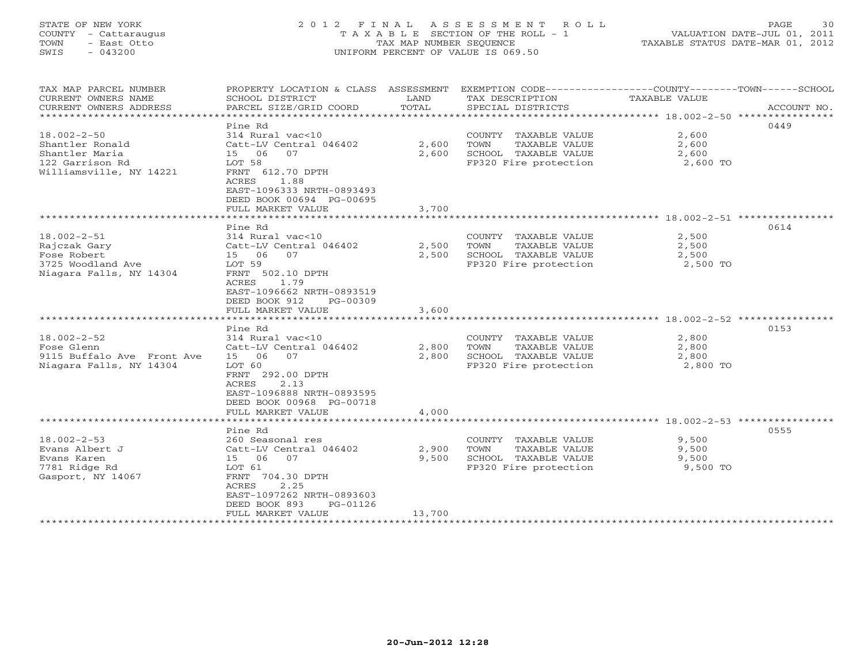# STATE OF NEW YORK 2 0 1 2 F I N A L A S S E S S M E N T R O L L PAGE 30 COUNTY - Cattaraugus T A X A B L E SECTION OF THE ROLL - 1 VALUATION DATE-JUL 01, 2011 TOWN - East Otto TAX MAP NUMBER SEQUENCE TAXABLE STATUS DATE-MAR 01, 2012 SWIS - 043200 UNIFORM PERCENT OF VALUE IS 069.50UNIFORM PERCENT OF VALUE IS 069.50

| TAX MAP PARCEL NUMBER<br>CURRENT OWNERS NAME<br>CURRENT OWNERS ADDRESS | PROPERTY LOCATION & CLASS ASSESSMENT<br>SCHOOL DISTRICT<br>PARCEL SIZE/GRID COORD | LAND<br>TOTAL | EXEMPTION CODE-----------------COUNTY-------TOWN------SCHOOL<br>TAX DESCRIPTION<br>SPECIAL DISTRICTS | <b>TAXABLE VALUE</b>                                 | ACCOUNT NO. |
|------------------------------------------------------------------------|-----------------------------------------------------------------------------------|---------------|------------------------------------------------------------------------------------------------------|------------------------------------------------------|-------------|
|                                                                        |                                                                                   |               |                                                                                                      |                                                      |             |
|                                                                        | Pine Rd                                                                           |               |                                                                                                      |                                                      | 0449        |
| $18.002 - 2 - 50$                                                      | 314 Rural vac<10                                                                  |               | COUNTY TAXABLE VALUE                                                                                 | 2,600                                                |             |
| Shantler Ronald                                                        | Catt-LV Central 046402                                                            | 2,600         | TOWN<br>TAXABLE VALUE                                                                                | 2,600                                                |             |
| Shantler Maria                                                         | 15 06<br>07                                                                       | 2,600         | SCHOOL TAXABLE VALUE                                                                                 | 2,600                                                |             |
| 122 Garrison Rd                                                        | LOT 58                                                                            |               | FP320 Fire protection                                                                                | 2,600 TO                                             |             |
| Williamsville, NY 14221                                                | FRNT 612.70 DPTH                                                                  |               |                                                                                                      |                                                      |             |
|                                                                        | 1.88<br>ACRES                                                                     |               |                                                                                                      |                                                      |             |
|                                                                        | EAST-1096333 NRTH-0893493                                                         |               |                                                                                                      |                                                      |             |
|                                                                        | DEED BOOK 00694 PG-00695                                                          |               |                                                                                                      |                                                      |             |
|                                                                        | FULL MARKET VALUE                                                                 | 3,700         |                                                                                                      |                                                      |             |
|                                                                        |                                                                                   |               |                                                                                                      |                                                      |             |
|                                                                        | Pine Rd                                                                           |               |                                                                                                      |                                                      | 0614        |
| $18.002 - 2 - 51$                                                      | 314 Rural vac<10                                                                  |               | COUNTY TAXABLE VALUE                                                                                 | 2,500                                                |             |
| Rajczak Gary                                                           | Catt-LV Central 046402                                                            | 2,500         | TOWN<br>TAXABLE VALUE                                                                                | 2,500                                                |             |
| Fose Robert                                                            | 15 06<br>07                                                                       | 2,500         | SCHOOL TAXABLE VALUE                                                                                 | 2,500                                                |             |
| 3725 Woodland Ave                                                      | LOT 59                                                                            |               | FP320 Fire protection                                                                                | 2,500 TO                                             |             |
| Niagara Falls, NY 14304                                                | FRNT 502.10 DPTH                                                                  |               |                                                                                                      |                                                      |             |
|                                                                        | ACRES<br>1.79                                                                     |               |                                                                                                      |                                                      |             |
|                                                                        | EAST-1096662 NRTH-0893519                                                         |               |                                                                                                      |                                                      |             |
|                                                                        | DEED BOOK 912<br>PG-00309                                                         |               |                                                                                                      |                                                      |             |
|                                                                        | FULL MARKET VALUE                                                                 | 3,600         |                                                                                                      |                                                      |             |
|                                                                        |                                                                                   |               |                                                                                                      | *********************** 18.002-2-52 **************** |             |
|                                                                        | Pine Rd                                                                           |               |                                                                                                      |                                                      | 0153        |
| $18.002 - 2 - 52$                                                      | 314 Rural vac<10                                                                  |               | COUNTY TAXABLE VALUE                                                                                 | 2,800                                                |             |
| Fose Glenn                                                             | Catt-LV Central 046402                                                            | 2,800         | TOWN<br>TAXABLE VALUE                                                                                | 2,800                                                |             |
| 9115 Buffalo Ave Front Ave                                             | 15<br>06<br>07                                                                    | 2,800         | SCHOOL TAXABLE VALUE                                                                                 | 2,800                                                |             |
| Niagara Falls, NY 14304                                                | LOT 60                                                                            |               | FP320 Fire protection                                                                                | 2,800 TO                                             |             |
|                                                                        | FRNT 292.00 DPTH                                                                  |               |                                                                                                      |                                                      |             |
|                                                                        | ACRES<br>2.13                                                                     |               |                                                                                                      |                                                      |             |
|                                                                        | EAST-1096888 NRTH-0893595                                                         |               |                                                                                                      |                                                      |             |
|                                                                        | DEED BOOK 00968 PG-00718                                                          |               |                                                                                                      |                                                      |             |
|                                                                        | FULL MARKET VALUE                                                                 | 4,000         |                                                                                                      |                                                      |             |
|                                                                        |                                                                                   |               |                                                                                                      |                                                      |             |
|                                                                        | Pine Rd                                                                           |               |                                                                                                      |                                                      | 0555        |
| $18.002 - 2 - 53$                                                      | 260 Seasonal res                                                                  |               | COUNTY TAXABLE VALUE                                                                                 | 9,500                                                |             |
| Evans Albert J                                                         | Catt-LV Central 046402                                                            | 2,900         | TOWN<br>TAXABLE VALUE                                                                                | 9,500                                                |             |
| Evans Karen                                                            | 15 06<br>07                                                                       | 9,500         | SCHOOL TAXABLE VALUE                                                                                 | 9,500                                                |             |
| 7781 Ridge Rd                                                          | LOT 61                                                                            |               | FP320 Fire protection                                                                                | 9,500 TO                                             |             |
| Gasport, NY 14067                                                      | FRNT 704.30 DPTH                                                                  |               |                                                                                                      |                                                      |             |
|                                                                        | 2.25<br>ACRES                                                                     |               |                                                                                                      |                                                      |             |
|                                                                        | EAST-1097262 NRTH-0893603                                                         |               |                                                                                                      |                                                      |             |
|                                                                        | DEED BOOK 893<br>PG-01126                                                         |               |                                                                                                      |                                                      |             |
|                                                                        | FULL MARKET VALUE                                                                 | 13,700        |                                                                                                      |                                                      |             |
| ***********************                                                |                                                                                   |               |                                                                                                      |                                                      |             |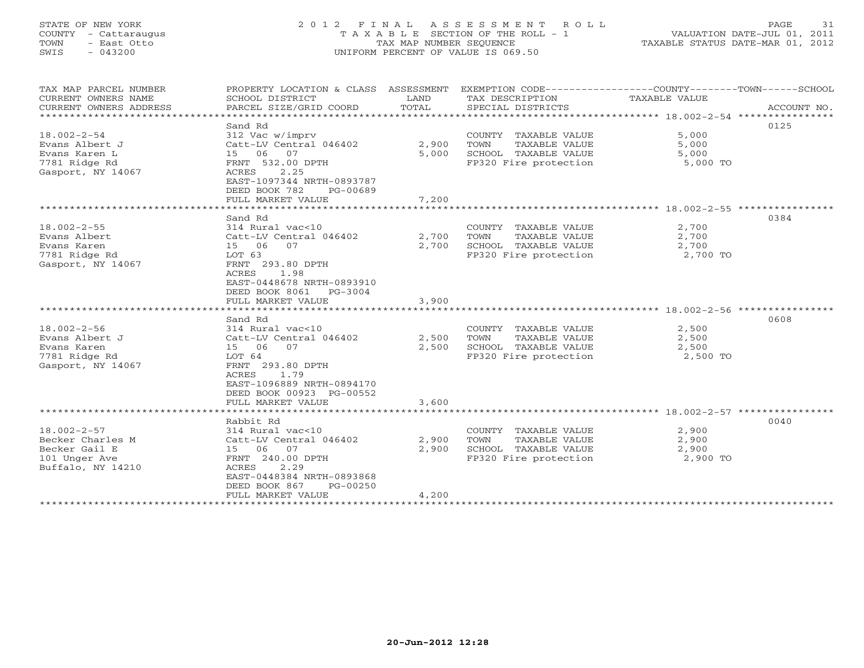# STATE OF NEW YORK 2 0 1 2 F I N A L A S S E S S M E N T R O L L PAGE 31 COUNTY - Cattaraugus T A X A B L E SECTION OF THE ROLL - 1 VALUATION DATE-JUL 01, 2011 TOWN - East Otto TAX MAP NUMBER SEQUENCE TAXABLE STATUS DATE-MAR 01, 2012 SWIS - 043200 UNIFORM PERCENT OF VALUE IS 069.50UNIFORM PERCENT OF VALUE IS 069.50

| TAX MAP PARCEL NUMBER<br>CURRENT OWNERS NAME<br>CURRENT OWNERS ADDRESS                       | PROPERTY LOCATION & CLASS ASSESSMENT<br>SCHOOL DISTRICT<br>PARCEL SIZE/GRID COORD                                                                                            | LAND<br>TOTAL  | EXEMPTION CODE-----------------COUNTY-------TOWN------SCHOOL<br>TAX DESCRIPTION<br>SPECIAL DISTRICTS | TAXABLE VALUE                       | ACCOUNT NO. |
|----------------------------------------------------------------------------------------------|------------------------------------------------------------------------------------------------------------------------------------------------------------------------------|----------------|------------------------------------------------------------------------------------------------------|-------------------------------------|-------------|
| $18.002 - 2 - 54$<br>Evans Albert J                                                          | Sand Rd<br>312 Vac w/imprv<br>Catt-LV Central 046402                                                                                                                         | 2,900          | COUNTY TAXABLE VALUE<br>TOWN<br>TAXABLE VALUE                                                        | 5,000<br>5,000                      | 0125        |
| Evans Karen L<br>7781 Ridge Rd<br>Gasport, NY 14067                                          | 15 06 07<br>FRNT 532.00 DPTH<br>2.25<br>ACRES                                                                                                                                | 5,000          | SCHOOL TAXABLE VALUE<br>FP320 Fire protection                                                        | 5,000<br>5,000 TO                   |             |
|                                                                                              | EAST-1097344 NRTH-0893787<br>DEED BOOK 782<br>PG-00689<br>FULL MARKET VALUE                                                                                                  | 7,200          |                                                                                                      |                                     |             |
|                                                                                              |                                                                                                                                                                              |                |                                                                                                      |                                     |             |
| $18.002 - 2 - 55$<br>Evans Albert<br>Evans Karen                                             | Sand Rd<br>314 Rural vac<10<br>Catt-LV Central 046402<br>15 06<br>07                                                                                                         | 2,700<br>2,700 | COUNTY TAXABLE VALUE<br>TOWN<br>TAXABLE VALUE<br>SCHOOL TAXABLE VALUE                                | 2,700<br>2,700<br>2,700             | 0384        |
| 7781 Ridge Rd<br>Gasport, NY 14067                                                           | LOT 63<br>FRNT 293.80 DPTH<br>ACRES<br>1.98<br>EAST-0448678 NRTH-0893910<br>DEED BOOK 8061<br>PG-3004<br>FULL MARKET VALUE                                                   | 3,900          | FP320 Fire protection                                                                                | 2,700 TO                            |             |
|                                                                                              |                                                                                                                                                                              |                |                                                                                                      |                                     |             |
| $18.002 - 2 - 56$<br>Evans Albert J<br>Evans Karen<br>7781 Ridge Rd<br>Gasport, NY 14067     | Sand Rd<br>314 Rural vac<10<br>Catt-LV Central 046402<br>15 06<br>07<br>LOT 64<br>FRNT 293.80 DPTH<br>ACRES<br>1.79<br>EAST-1096889 NRTH-0894170<br>DEED BOOK 00923 PG-00552 | 2,500<br>2,500 | COUNTY TAXABLE VALUE<br>TOWN<br>TAXABLE VALUE<br>SCHOOL TAXABLE VALUE<br>FP320 Fire protection       | 2,500<br>2,500<br>2,500<br>2,500 TO | 0608        |
|                                                                                              | FULL MARKET VALUE                                                                                                                                                            | 3,600          |                                                                                                      |                                     |             |
|                                                                                              | Rabbit Rd                                                                                                                                                                    |                |                                                                                                      |                                     | 0040        |
| $18.002 - 2 - 57$<br>Becker Charles M<br>Becker Gail E<br>101 Unger Ave<br>Buffalo, NY 14210 | 314 Rural vac<10<br>Catt-LV Central 046402<br>15 06<br>07<br>FRNT 240.00 DPTH<br>ACRES<br>2.29<br>EAST-0448384 NRTH-0893868<br>DEED BOOK 867<br>PG-00250                     | 2,900<br>2,900 | COUNTY TAXABLE VALUE<br>TOWN<br>TAXABLE VALUE<br>SCHOOL TAXABLE VALUE<br>FP320 Fire protection       | 2,900<br>2,900<br>2,900<br>2,900 TO |             |
|                                                                                              | FULL MARKET VALUE                                                                                                                                                            | 4,200          |                                                                                                      |                                     |             |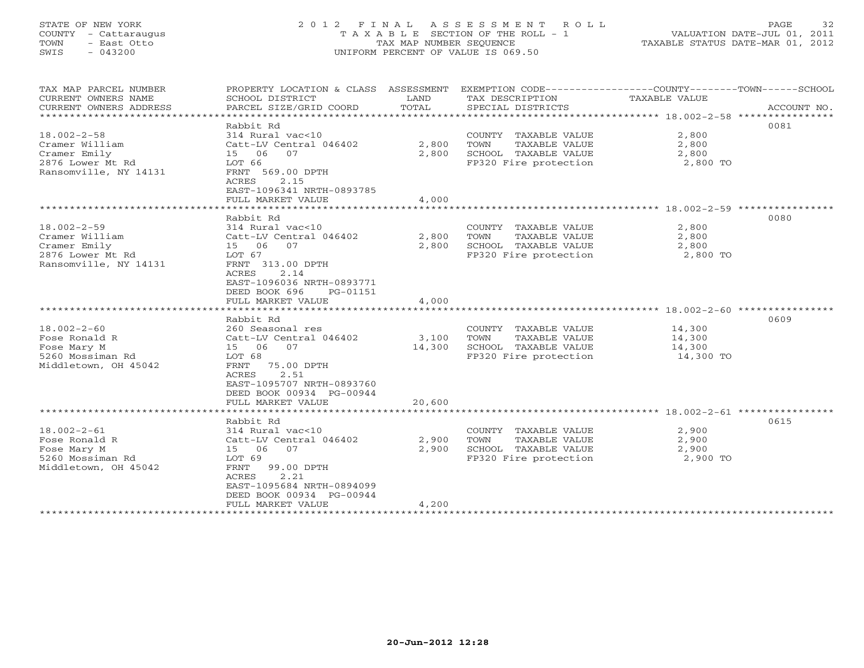# STATE OF NEW YORK 2 0 1 2 F I N A L A S S E S S M E N T R O L L PAGE 32 COUNTY - Cattaraugus T A X A B L E SECTION OF THE ROLL - 1 VALUATION DATE-JUL 01, 2011 TOWN - East Otto TAX MAP NUMBER SEQUENCE TAXABLE STATUS DATE-MAR 01, 2012 SWIS - 043200 UNIFORM PERCENT OF VALUE IS 069.50UNIFORM PERCENT OF VALUE IS 069.50

| TAX MAP PARCEL NUMBER<br>CURRENT OWNERS NAME<br>CURRENT OWNERS ADDRESS<br>*******************    | PROPERTY LOCATION & CLASS ASSESSMENT<br>SCHOOL DISTRICT<br>PARCEL SIZE/GRID COORD                                                                                             | LAND<br>TOTAL   | TAX DESCRIPTION<br>SPECIAL DISTRICTS                                                           | EXEMPTION CODE----------------COUNTY-------TOWN------SCHOOL<br>TAXABLE VALUE<br>ACCOUNT NO. |
|--------------------------------------------------------------------------------------------------|-------------------------------------------------------------------------------------------------------------------------------------------------------------------------------|-----------------|------------------------------------------------------------------------------------------------|---------------------------------------------------------------------------------------------|
| $18.002 - 2 - 58$<br>Cramer William<br>Cramer Emily<br>2876 Lower Mt Rd<br>Ransomville, NY 14131 | Rabbit Rd<br>314 Rural vac<10<br>Catt-LV Central 046402<br>15 06<br>07<br>LOT 66<br>FRNT 569.00 DPTH<br>2.15<br>ACRES<br>EAST-1096341 NRTH-0893785                            | 2,800<br>2,800  | COUNTY TAXABLE VALUE<br>TAXABLE VALUE<br>TOWN<br>SCHOOL TAXABLE VALUE<br>FP320 Fire protection | 0081<br>2,800<br>2,800<br>2,800<br>2,800 TO                                                 |
|                                                                                                  | FULL MARKET VALUE                                                                                                                                                             | 4,000           |                                                                                                |                                                                                             |
| $18.002 - 2 - 59$<br>Cramer William                                                              | Rabbit Rd<br>314 Rural vac<10<br>Catt-LV Central 046402                                                                                                                       | 2,800           | COUNTY TAXABLE VALUE<br>TOWN<br>TAXABLE VALUE                                                  | 0080<br>2,800<br>2,800                                                                      |
| Cramer Emily<br>2876 Lower Mt Rd<br>Ransomville, NY 14131                                        | 15 06<br>07<br>LOT 67<br>FRNT 313.00 DPTH<br>2.14<br>ACRES<br>EAST-1096036 NRTH-0893771<br>DEED BOOK 696<br>PG-01151<br>FULL MARKET VALUE                                     | 2,800<br>4,000  | SCHOOL TAXABLE VALUE<br>FP320 Fire protection                                                  | 2,800<br>2,800 TO                                                                           |
|                                                                                                  |                                                                                                                                                                               |                 |                                                                                                |                                                                                             |
| $18.002 - 2 - 60$<br>Fose Ronald R<br>Fose Mary M<br>5260 Mossiman Rd<br>Middletown, OH 45042    | Rabbit Rd<br>260 Seasonal res<br>Catt-LV Central 046402<br>15 06 07<br>LOT 68<br>FRNT<br>75.00 DPTH<br>2.51<br>ACRES<br>EAST-1095707 NRTH-0893760<br>DEED BOOK 00934 PG-00944 | 3,100<br>14,300 | COUNTY TAXABLE VALUE<br>TOWN<br>TAXABLE VALUE<br>SCHOOL TAXABLE VALUE<br>FP320 Fire protection | 0609<br>14,300<br>14,300<br>14,300<br>14,300 TO                                             |
|                                                                                                  | FULL MARKET VALUE                                                                                                                                                             | 20,600          |                                                                                                |                                                                                             |
| $18.002 - 2 - 61$<br>Fose Ronald R<br>Fose Mary M<br>5260 Mossiman Rd<br>Middletown, OH 45042    | Rabbit Rd<br>314 Rural vac<10<br>Catt-LV Central 046402<br>15 06 07<br>LOT 69<br>FRNT<br>99.00 DPTH<br>2.21<br>ACRES<br>EAST-1095684 NRTH-0894099<br>DEED BOOK 00934 PG-00944 | 2,900<br>2,900  | COUNTY TAXABLE VALUE<br>TOWN<br>TAXABLE VALUE<br>SCHOOL TAXABLE VALUE<br>FP320 Fire protection | 0615<br>2,900<br>2,900<br>2,900<br>2,900 TO                                                 |
|                                                                                                  | FULL MARKET VALUE                                                                                                                                                             | 4,200           | *****************************                                                                  |                                                                                             |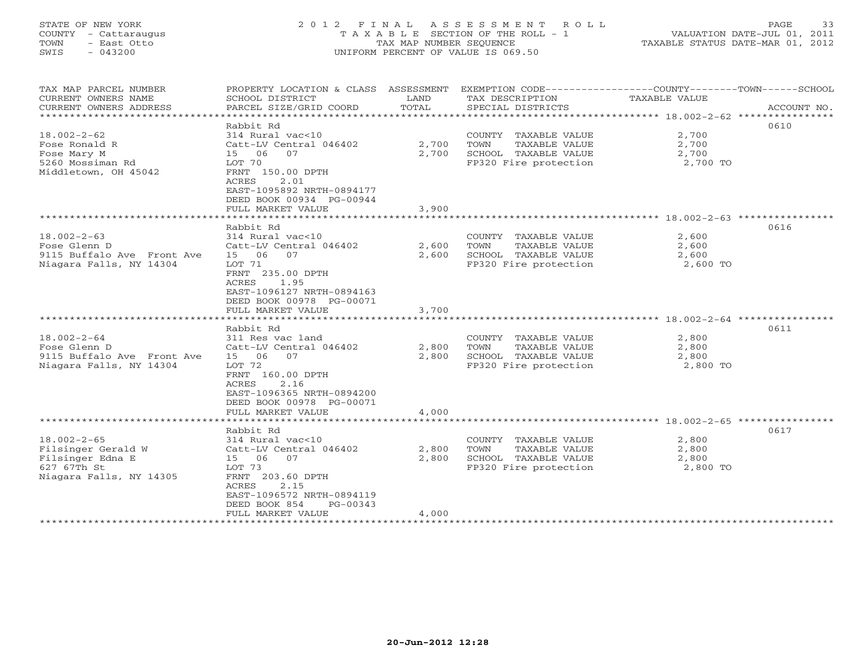# STATE OF NEW YORK 2 0 1 2 F I N A L A S S E S S M E N T R O L L PAGE 33 COUNTY - Cattaraugus T A X A B L E SECTION OF THE ROLL - 1 VALUATION DATE-JUL 01, 2011 TOWN - East Otto TAX MAP NUMBER SEQUENCE TAXABLE STATUS DATE-MAR 01, 2012 SWIS - 043200 UNIFORM PERCENT OF VALUE IS 069.50UNIFORM PERCENT OF VALUE IS 069.50

| TAX MAP PARCEL NUMBER<br>CURRENT OWNERS NAME<br>CURRENT OWNERS ADDRESS | PROPERTY LOCATION & CLASS ASSESSMENT<br>SCHOOL DISTRICT<br>PARCEL SIZE/GRID COORD                                         | LAND<br>TOTAL  | EXEMPTION CODE-----------------COUNTY-------TOWN------SCHOOL<br>TAX DESCRIPTION<br>SPECIAL DISTRICTS | TAXABLE VALUE                                | ACCOUNT NO. |
|------------------------------------------------------------------------|---------------------------------------------------------------------------------------------------------------------------|----------------|------------------------------------------------------------------------------------------------------|----------------------------------------------|-------------|
| ******************************                                         |                                                                                                                           |                |                                                                                                      |                                              |             |
|                                                                        | Rabbit Rd                                                                                                                 |                |                                                                                                      |                                              | 0610        |
| $18.002 - 2 - 62$                                                      | 314 Rural vac<10                                                                                                          |                | COUNTY TAXABLE VALUE                                                                                 | 2,700                                        |             |
| Fose Ronald R                                                          | Catt-LV Central 046402                                                                                                    | 2,700          | TOWN<br>TAXABLE VALUE                                                                                | 2,700                                        |             |
| Fose Mary M                                                            | 15 06<br>07                                                                                                               | 2,700          | SCHOOL TAXABLE VALUE                                                                                 | 2,700                                        |             |
| 5260 Mossiman Rd<br>Middletown, OH 45042                               | LOT 70<br>FRNT 150.00 DPTH<br>ACRES<br>2.01<br>EAST-1095892 NRTH-0894177<br>DEED BOOK 00934 PG-00944<br>FULL MARKET VALUE | 3,900          | FP320 Fire protection                                                                                | 2,700 TO                                     |             |
|                                                                        |                                                                                                                           |                |                                                                                                      | *************** 18.002-2-63 **************** |             |
|                                                                        | Rabbit Rd                                                                                                                 |                |                                                                                                      |                                              | 0616        |
| $18.002 - 2 - 63$                                                      | 314 Rural vac<10                                                                                                          |                | COUNTY TAXABLE VALUE                                                                                 | 2,600                                        |             |
| Fose Glenn D                                                           | Catt-LV Central 046402                                                                                                    | 2,600          | TOWN<br>TAXABLE VALUE                                                                                | 2,600                                        |             |
| 9115 Buffalo Ave Front Ave                                             | 06<br>07<br>15                                                                                                            | 2,600          | SCHOOL TAXABLE VALUE                                                                                 | 2,600                                        |             |
| Niagara Falls, NY 14304                                                | LOT 71<br>FRNT 235.00 DPTH<br>ACRES<br>1.95<br>EAST-1096127 NRTH-0894163<br>DEED BOOK 00978 PG-00071                      |                | FP320 Fire protection                                                                                | 2,600 TO                                     |             |
|                                                                        | FULL MARKET VALUE                                                                                                         | 3,700          |                                                                                                      |                                              |             |
|                                                                        |                                                                                                                           |                |                                                                                                      |                                              |             |
|                                                                        | Rabbit Rd                                                                                                                 |                |                                                                                                      |                                              | 0611        |
| $18.002 - 2 - 64$                                                      | 311 Res vac land                                                                                                          |                | COUNTY TAXABLE VALUE                                                                                 | 2,800                                        |             |
| Fose Glenn D<br>9115 Buffalo Ave Front Ave                             | Catt-LV Central 046402<br>15 06<br>07                                                                                     | 2,800<br>2,800 | TOWN<br>TAXABLE VALUE                                                                                | 2,800                                        |             |
| Niagara Falls, NY 14304                                                | LOT 72                                                                                                                    |                | SCHOOL TAXABLE VALUE<br>FP320 Fire protection                                                        | 2,800<br>2,800 TO                            |             |
|                                                                        | FRNT 160.00 DPTH<br>2.16<br>ACRES<br>EAST-1096365 NRTH-0894200<br>DEED BOOK 00978 PG-00071<br>FULL MARKET VALUE           | 4,000          |                                                                                                      |                                              |             |
|                                                                        |                                                                                                                           |                |                                                                                                      |                                              |             |
|                                                                        | Rabbit Rd                                                                                                                 |                |                                                                                                      |                                              | 0617        |
| $18.002 - 2 - 65$                                                      | 314 Rural vac<10                                                                                                          |                | COUNTY TAXABLE VALUE                                                                                 | 2,800                                        |             |
| Filsinger Gerald W                                                     | Catt-LV Central 046402                                                                                                    | 2,800          | TOWN<br>TAXABLE VALUE                                                                                | 2,800                                        |             |
| Filsinger Edna E                                                       | 15 06 07                                                                                                                  | 2,800          | SCHOOL TAXABLE VALUE                                                                                 | 2,800                                        |             |
| 627 67Th St                                                            | LOT 73                                                                                                                    |                | FP320 Fire protection                                                                                | 2,800 TO                                     |             |
| Niagara Falls, NY 14305                                                | FRNT 203.60 DPTH<br>2.15<br>ACRES<br>EAST-1096572 NRTH-0894119<br>DEED BOOK 854<br>PG-00343<br>FULL MARKET VALUE          | 4,000          |                                                                                                      |                                              |             |
|                                                                        |                                                                                                                           |                |                                                                                                      |                                              |             |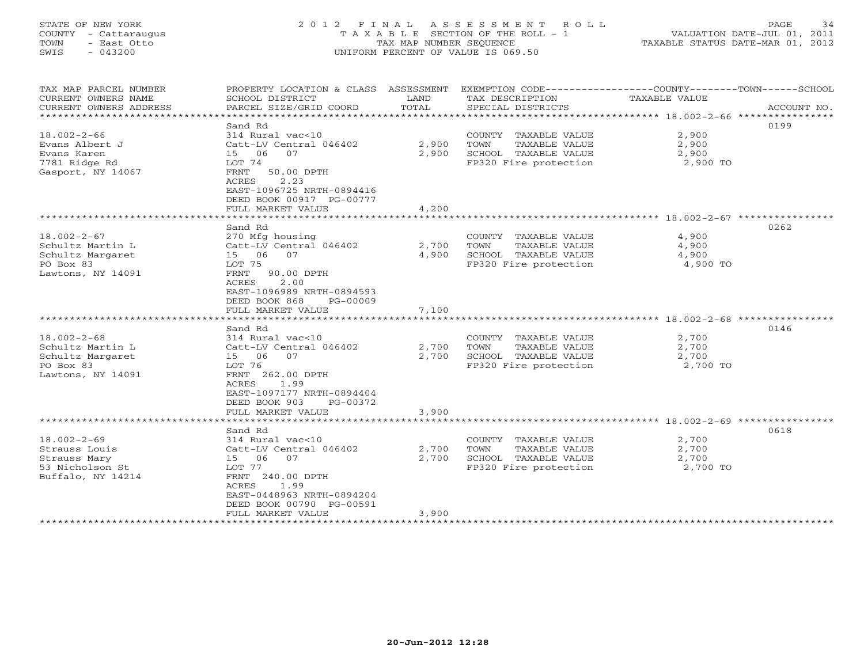# STATE OF NEW YORK 2 0 1 2 F I N A L A S S E S S M E N T R O L L PAGE 34 COUNTY - Cattaraugus T A X A B L E SECTION OF THE ROLL - 1 VALUATION DATE-JUL 01, 2011 TOWN - East Otto TAX MAP NUMBER SEQUENCE TAXABLE STATUS DATE-MAR 01, 2012 SWIS - 043200 UNIFORM PERCENT OF VALUE IS 069.50UNIFORM PERCENT OF VALUE IS 069.50

| TAX MAP PARCEL NUMBER<br>CURRENT OWNERS NAME<br>CURRENT OWNERS ADDRESS                      | PROPERTY LOCATION & CLASS ASSESSMENT<br>SCHOOL DISTRICT<br>PARCEL SIZE/GRID COORD                                                                                                                          | LAND<br>TOTAL           | EXEMPTION CODE----------------COUNTY-------TOWN------SCHOOL<br>TAX DESCRIPTION<br>SPECIAL DISTRICTS | <b>TAXABLE VALUE</b>                             | ACCOUNT NO. |
|---------------------------------------------------------------------------------------------|------------------------------------------------------------------------------------------------------------------------------------------------------------------------------------------------------------|-------------------------|-----------------------------------------------------------------------------------------------------|--------------------------------------------------|-------------|
| $18.002 - 2 - 66$<br>Evans Albert J<br>Evans Karen<br>7781 Ridge Rd<br>Gasport, NY 14067    | Sand Rd<br>314 Rural vac<10<br>Catt-LV Central 046402<br>15 06<br>07<br>LOT 74<br>FRNT<br>50.00 DPTH<br><b>ACRES</b><br>2.23<br>EAST-1096725 NRTH-0894416<br>DEED BOOK 00917 PG-00777<br>FULL MARKET VALUE | 2,900<br>2,900<br>4,200 | COUNTY TAXABLE VALUE<br>TOWN<br>TAXABLE VALUE<br>SCHOOL TAXABLE VALUE<br>FP320 Fire protection      | 2,900<br>2,900<br>2,900<br>2,900 TO              | 0199        |
|                                                                                             |                                                                                                                                                                                                            |                         |                                                                                                     |                                                  |             |
| $18.002 - 2 - 67$<br>Schultz Martin L<br>Schultz Margaret<br>PO Box 83<br>Lawtons, NY 14091 | Sand Rd<br>270 Mfg housing<br>Catt-LV Central 046402<br>15 06<br>07<br>LOT 75<br>FRNT<br>90.00 DPTH<br>ACRES<br>2.00<br>EAST-1096989 NRTH-0894593<br>DEED BOOK 868<br>PG-00009<br>FULL MARKET VALUE        | 2,700<br>4,900<br>7,100 | COUNTY TAXABLE VALUE<br>TOWN<br>TAXABLE VALUE<br>SCHOOL TAXABLE VALUE<br>FP320 Fire protection      | 4,900<br>4,900<br>4,900<br>4,900 TO              | 0262        |
|                                                                                             | ********************                                                                                                                                                                                       | ************            |                                                                                                     | ************************* 18.002-2-68 ********** |             |
| $18.002 - 2 - 68$<br>Schultz Martin L<br>Schultz Margaret<br>PO Box 83<br>Lawtons, NY 14091 | Sand Rd<br>314 Rural vac<10<br>Catt-LV Central 046402<br>15 06<br>07<br>LOT 76<br>FRNT 262.00 DPTH<br>ACRES<br>1.99<br>EAST-1097177 NRTH-0894404<br>DEED BOOK 903<br>PG-00372<br>FULL MARKET VALUE         | 2,700<br>2,700<br>3,900 | COUNTY TAXABLE VALUE<br>TOWN<br>TAXABLE VALUE<br>SCHOOL TAXABLE VALUE<br>FP320 Fire protection      | 2,700<br>2,700<br>2,700<br>2,700 TO              | 0146        |
|                                                                                             |                                                                                                                                                                                                            |                         |                                                                                                     |                                                  |             |
| $18.002 - 2 - 69$<br>Strauss Louis<br>Strauss Mary<br>53 Nicholson St<br>Buffalo, NY 14214  | Sand Rd<br>314 Rural vac<10<br>Catt-LV Central 046402<br>15 06<br>07<br>LOT 77<br>FRNT 240.00 DPTH<br><b>ACRES</b><br>1.99<br>EAST-0448963 NRTH-0894204<br>DEED BOOK 00790 PG-00591                        | 2,700<br>2,700          | COUNTY TAXABLE VALUE<br>TOWN<br>TAXABLE VALUE<br>SCHOOL TAXABLE VALUE<br>FP320 Fire protection      | 2,700<br>2,700<br>2,700<br>2,700 TO              | 0618        |
| ********************                                                                        | FULL MARKET VALUE                                                                                                                                                                                          | 3,900                   |                                                                                                     |                                                  |             |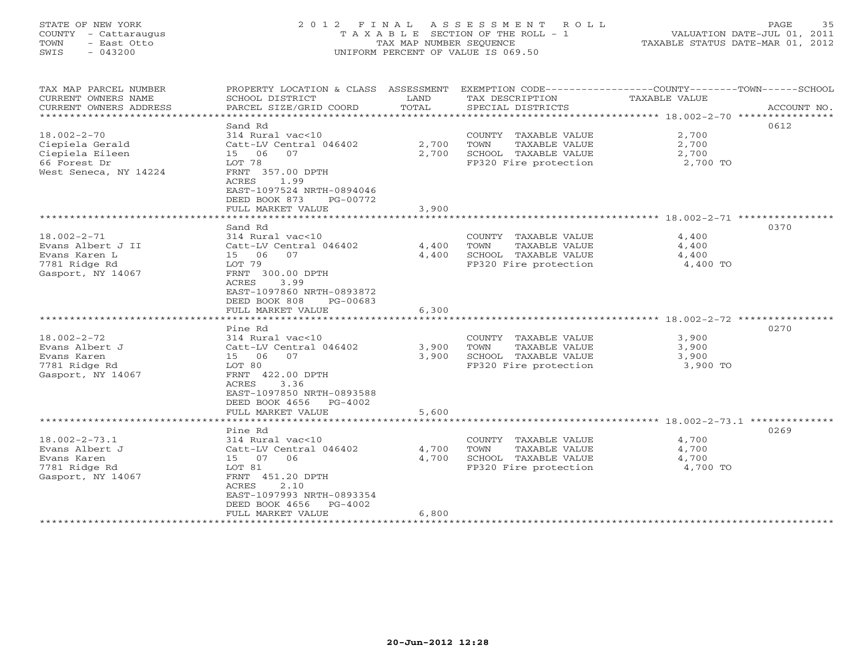# STATE OF NEW YORK 2 0 1 2 F I N A L A S S E S S M E N T R O L L PAGE 35 COUNTY - Cattaraugus T A X A B L E SECTION OF THE ROLL - 1 VALUATION DATE-JUL 01, 2011 TOWN - East Otto TAX MAP NUMBER SEQUENCE TAXABLE STATUS DATE-MAR 01, 2012 SWIS - 043200 UNIFORM PERCENT OF VALUE IS 069.50UNIFORM PERCENT OF VALUE IS 069.50

| TAX MAP PARCEL NUMBER<br>CURRENT OWNERS NAME<br>CURRENT OWNERS ADDRESS | PROPERTY LOCATION & CLASS ASSESSMENT<br>SCHOOL DISTRICT<br>PARCEL SIZE/GRID COORD | LAND<br>TOTAL | TAX DESCRIPTION<br>SPECIAL DISTRICTS | EXEMPTION CODE-----------------COUNTY-------TOWN------SCHOOL<br>TAXABLE VALUE | ACCOUNT NO. |
|------------------------------------------------------------------------|-----------------------------------------------------------------------------------|---------------|--------------------------------------|-------------------------------------------------------------------------------|-------------|
|                                                                        |                                                                                   |               |                                      |                                                                               |             |
|                                                                        | Sand Rd                                                                           |               |                                      | 0612                                                                          |             |
| $18.002 - 2 - 70$                                                      | $314$ Rural vac<10                                                                |               | COUNTY TAXABLE VALUE                 | 2,700                                                                         |             |
| Ciepiela Gerald                                                        | Catt-LV Central 046402                                                            | 2,700         | TOWN<br>TAXABLE VALUE                | 2,700                                                                         |             |
| Ciepiela Eileen                                                        | 15 06<br>07                                                                       | 2,700         | SCHOOL TAXABLE VALUE                 | 2,700                                                                         |             |
| 66 Forest Dr                                                           | LOT 78                                                                            |               | FP320 Fire protection                | 2,700 TO                                                                      |             |
| West Seneca, NY 14224                                                  | FRNT 357.00 DPTH                                                                  |               |                                      |                                                                               |             |
|                                                                        | 1.99<br>ACRES                                                                     |               |                                      |                                                                               |             |
|                                                                        | EAST-1097524 NRTH-0894046                                                         |               |                                      |                                                                               |             |
|                                                                        | DEED BOOK 873<br>PG-00772                                                         |               |                                      |                                                                               |             |
|                                                                        | FULL MARKET VALUE                                                                 | 3,900         |                                      |                                                                               |             |
|                                                                        |                                                                                   |               |                                      | ********* 18.002-2-71 ***********                                             |             |
|                                                                        | Sand Rd                                                                           |               |                                      | 0370                                                                          |             |
| $18.002 - 2 - 71$                                                      | 314 Rural vac<10                                                                  |               | COUNTY TAXABLE VALUE                 | 4,400                                                                         |             |
| Evans Albert J II                                                      | Catt-LV Central 046402                                                            | 4,400         | TOWN<br>TAXABLE VALUE                | 4,400                                                                         |             |
| Evans Karen L                                                          | 15 06<br>07                                                                       | 4,400         | SCHOOL TAXABLE VALUE                 | 4,400                                                                         |             |
| 7781 Ridge Rd                                                          | LOT 79                                                                            |               | FP320 Fire protection                | 4,400 TO                                                                      |             |
| Gasport, NY 14067                                                      | FRNT 300.00 DPTH                                                                  |               |                                      |                                                                               |             |
|                                                                        | ACRES<br>3.99                                                                     |               |                                      |                                                                               |             |
|                                                                        | EAST-1097860 NRTH-0893872                                                         |               |                                      |                                                                               |             |
|                                                                        | DEED BOOK 808<br>PG-00683                                                         |               |                                      |                                                                               |             |
|                                                                        | FULL MARKET VALUE                                                                 | 6,300         |                                      |                                                                               |             |
|                                                                        |                                                                                   |               |                                      |                                                                               |             |
|                                                                        | Pine Rd                                                                           |               |                                      | 0270                                                                          |             |
| $18.002 - 2 - 72$                                                      | 314 Rural vac<10                                                                  |               | COUNTY TAXABLE VALUE                 | 3,900                                                                         |             |
| Evans Albert J                                                         | Catt-LV Central 046402                                                            | 3,900         | TAXABLE VALUE<br>TOWN                | 3,900                                                                         |             |
| Evans Karen                                                            | 15 06<br>07                                                                       | 3,900         | SCHOOL TAXABLE VALUE                 | 3,900                                                                         |             |
|                                                                        |                                                                                   |               | FP320 Fire protection                |                                                                               |             |
| 7781 Ridge Rd                                                          | LOT 80                                                                            |               |                                      | 3,900 TO                                                                      |             |
| Gasport, NY 14067                                                      | FRNT 422.00 DPTH                                                                  |               |                                      |                                                                               |             |
|                                                                        | 3.36<br>ACRES                                                                     |               |                                      |                                                                               |             |
|                                                                        | EAST-1097850 NRTH-0893588                                                         |               |                                      |                                                                               |             |
|                                                                        | DEED BOOK 4656<br>PG-4002                                                         |               |                                      |                                                                               |             |
|                                                                        | FULL MARKET VALUE<br>******************************                               | 5,600         |                                      |                                                                               |             |
|                                                                        |                                                                                   |               |                                      |                                                                               |             |
|                                                                        | Pine Rd                                                                           |               |                                      | 0269                                                                          |             |
| $18.002 - 2 - 73.1$                                                    | 314 Rural vac<10                                                                  |               | COUNTY TAXABLE VALUE                 | 4,700                                                                         |             |
| Evans Albert J                                                         | Catt-LV Central 046402                                                            | 4,700         | TOWN<br>TAXABLE VALUE                | 4,700                                                                         |             |
| Evans Karen                                                            | 15 07<br>06                                                                       | 4,700         | SCHOOL TAXABLE VALUE                 | 4,700                                                                         |             |
| 7781 Ridge Rd                                                          | LOT 81                                                                            |               | FP320 Fire protection                | 4,700 TO                                                                      |             |
| Gasport, NY 14067                                                      | FRNT 451.20 DPTH                                                                  |               |                                      |                                                                               |             |
|                                                                        | 2.10<br>ACRES                                                                     |               |                                      |                                                                               |             |
|                                                                        | EAST-1097993 NRTH-0893354                                                         |               |                                      |                                                                               |             |
|                                                                        | DEED BOOK 4656<br>PG-4002                                                         |               |                                      |                                                                               |             |
|                                                                        | FULL MARKET VALUE                                                                 | 6,800         |                                      |                                                                               |             |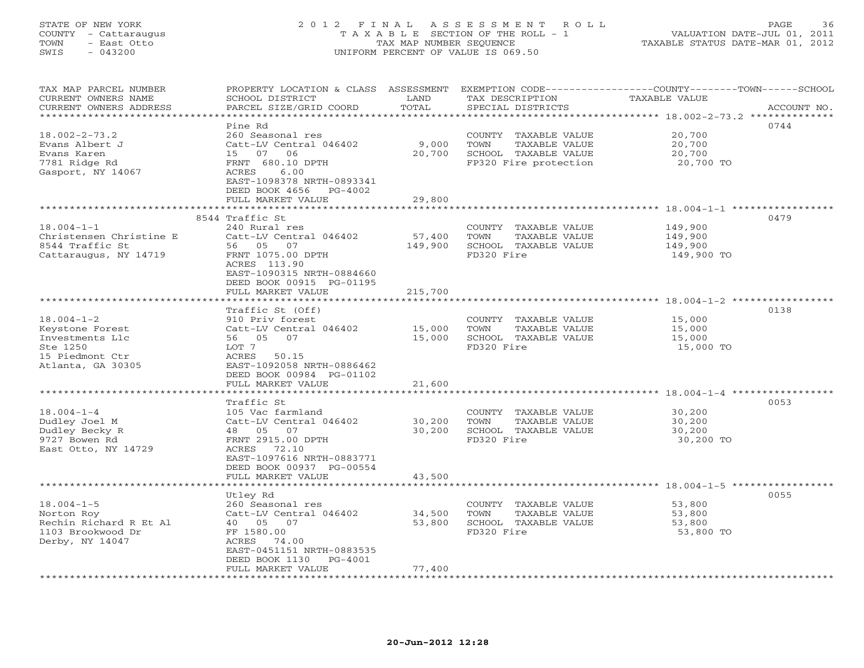# STATE OF NEW YORK 2 0 1 2 F I N A L A S S E S S M E N T R O L L PAGE 36 COUNTY - Cattaraugus T A X A B L E SECTION OF THE ROLL - 1 VALUATION DATE-JUL 01, 2011 TOWN - East Otto TAX MAP NUMBER SEQUENCE TAXABLE STATUS DATE-MAR 01, 2012 SWIS - 043200 UNIFORM PERCENT OF VALUE IS 069.50UNIFORM PERCENT OF VALUE IS 069.50

| TAX MAP PARCEL NUMBER<br>CURRENT OWNERS NAME | SCHOOL DISTRICT                 | LAND    | TAX DESCRIPTION       | PROPERTY LOCATION & CLASS ASSESSMENT EXEMPTION CODE---------------COUNTY-------TOWN------SCHOOL<br><b>TAXABLE VALUE</b> |  |
|----------------------------------------------|---------------------------------|---------|-----------------------|-------------------------------------------------------------------------------------------------------------------------|--|
| CURRENT OWNERS ADDRESS                       | PARCEL SIZE/GRID COORD          | TOTAL   | SPECIAL DISTRICTS     | ACCOUNT NO.                                                                                                             |  |
|                                              |                                 |         |                       | 0744                                                                                                                    |  |
|                                              | Pine Rd                         |         |                       |                                                                                                                         |  |
| $18.002 - 2 - 73.2$                          | 260 Seasonal res                |         | COUNTY TAXABLE VALUE  | 20,700                                                                                                                  |  |
| Evans Albert J                               | Catt-LV Central 046402          | 9,000   | TAXABLE VALUE<br>TOWN | 20,700                                                                                                                  |  |
| Evans Karen                                  | 15 07 06                        | 20,700  | SCHOOL TAXABLE VALUE  | 20,700                                                                                                                  |  |
| 7781 Ridge Rd                                | FRNT 680.10 DPTH                |         | FP320 Fire protection | 20,700 TO                                                                                                               |  |
| Gasport, NY 14067                            | ACRES<br>6.00                   |         |                       |                                                                                                                         |  |
|                                              | EAST-1098378 NRTH-0893341       |         |                       |                                                                                                                         |  |
|                                              | DEED BOOK 4656 PG-4002          |         |                       |                                                                                                                         |  |
|                                              | FULL MARKET VALUE               | 29,800  |                       |                                                                                                                         |  |
|                                              |                                 |         |                       |                                                                                                                         |  |
|                                              | 8544 Traffic St                 |         |                       | 0479                                                                                                                    |  |
| $18.004 - 1 - 1$                             | 240 Rural res                   |         | COUNTY TAXABLE VALUE  | 149,900                                                                                                                 |  |
| Christensen Christine E                      | Catt-LV Central 046402          | 57,400  | TOWN<br>TAXABLE VALUE | 149,900                                                                                                                 |  |
| 8544 Traffic St                              | 56 05 07                        | 149,900 | SCHOOL TAXABLE VALUE  | 149,900                                                                                                                 |  |
| Cattaraugus, NY 14719                        | FRNT 1075.00 DPTH               |         | FD320 Fire            | 149,900 TO                                                                                                              |  |
|                                              | ACRES 113.90                    |         |                       |                                                                                                                         |  |
|                                              | EAST-1090315 NRTH-0884660       |         |                       |                                                                                                                         |  |
|                                              | DEED BOOK 00915 PG-01195        |         |                       |                                                                                                                         |  |
|                                              | FULL MARKET VALUE               | 215,700 |                       |                                                                                                                         |  |
|                                              |                                 |         |                       |                                                                                                                         |  |
|                                              | Traffic St (Off)                |         |                       | 0138                                                                                                                    |  |
| $18.004 - 1 - 2$                             | 910 Priv forest                 |         | COUNTY TAXABLE VALUE  | 15,000                                                                                                                  |  |
| Keystone Forest                              | Catt-LV Central 046402          | 15,000  | TAXABLE VALUE<br>TOWN | 15,000                                                                                                                  |  |
| Investments Llc                              | 56 05 07                        | 15,000  | SCHOOL TAXABLE VALUE  | 15,000                                                                                                                  |  |
| Ste 1250                                     | LOT 7                           |         | FD320 Fire            | 15,000 TO                                                                                                               |  |
| 15 Piedmont Ctr                              | ACRES 50.15                     |         |                       |                                                                                                                         |  |
| Atlanta, GA 30305                            | EAST-1092058 NRTH-0886462       |         |                       |                                                                                                                         |  |
|                                              | DEED BOOK 00984 PG-01102        |         |                       |                                                                                                                         |  |
|                                              | FULL MARKET VALUE               | 21,600  |                       |                                                                                                                         |  |
|                                              | ******************************* |         |                       |                                                                                                                         |  |
|                                              | Traffic St                      |         |                       | 0053                                                                                                                    |  |
| $18.004 - 1 - 4$                             | 105 Vac farmland                |         | COUNTY TAXABLE VALUE  | 30,200                                                                                                                  |  |
| Dudley Joel M                                | Catt-LV Central 046402          | 30,200  | TOWN<br>TAXABLE VALUE | 30,200                                                                                                                  |  |
| Dudley Becky R                               | 48 05 07                        | 30,200  | SCHOOL TAXABLE VALUE  | 30,200                                                                                                                  |  |
| 9727 Bowen Rd                                | FRNT 2915.00 DPTH               |         | FD320 Fire            | 30,200 TO                                                                                                               |  |
| East Otto, NY 14729                          | ACRES 72.10                     |         |                       |                                                                                                                         |  |
|                                              | EAST-1097616 NRTH-0883771       |         |                       |                                                                                                                         |  |
|                                              | DEED BOOK 00937 PG-00554        |         |                       |                                                                                                                         |  |
|                                              | FULL MARKET VALUE               | 43,500  |                       |                                                                                                                         |  |
|                                              |                                 |         |                       |                                                                                                                         |  |
|                                              | Utley Rd                        |         |                       | 0055                                                                                                                    |  |
| $18.004 - 1 - 5$                             | 260 Seasonal res                |         | COUNTY TAXABLE VALUE  | 53,800                                                                                                                  |  |
| Norton Roy                                   | Catt-LV Central 046402          | 34,500  | TOWN<br>TAXABLE VALUE | 53,800                                                                                                                  |  |
| Rechin Richard R Et Al                       | 40  05  07                      | 53,800  | SCHOOL TAXABLE VALUE  | 53,800                                                                                                                  |  |
| 1103 Brookwood Dr                            | FF 1580.00                      |         | FD320 Fire            | 53,800 TO                                                                                                               |  |
| Derby, NY 14047                              | ACRES 74.00                     |         |                       |                                                                                                                         |  |
|                                              | EAST-0451151 NRTH-0883535       |         |                       |                                                                                                                         |  |
|                                              | $PG-4001$<br>DEED BOOK 1130     |         |                       |                                                                                                                         |  |
|                                              | FULL MARKET VALUE               | 77,400  |                       |                                                                                                                         |  |
|                                              |                                 |         |                       |                                                                                                                         |  |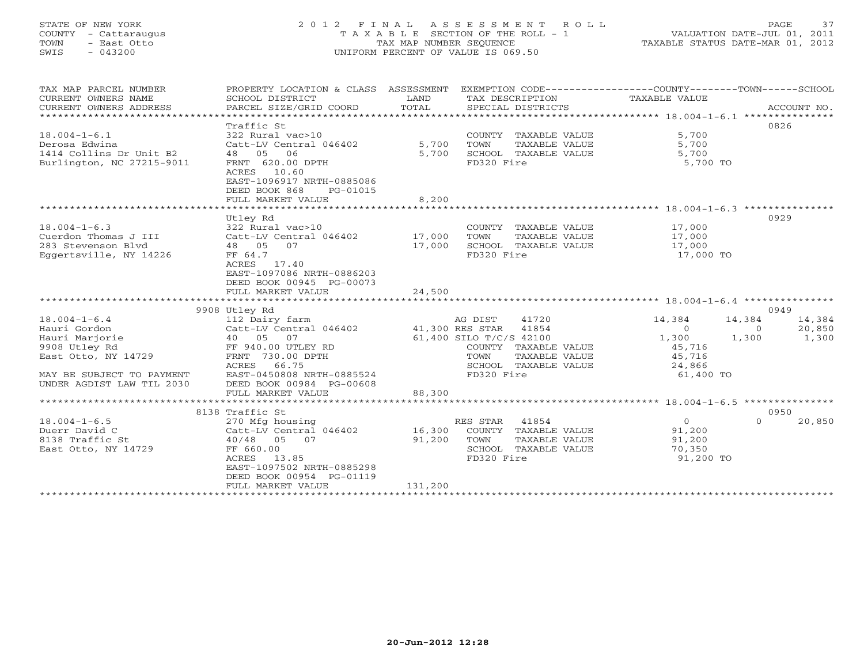# STATE OF NEW YORK 2 0 1 2 F I N A L A S S E S S M E N T R O L L PAGE 37 COUNTY - Cattaraugus T A X A B L E SECTION OF THE ROLL - 1 VALUATION DATE-JUL 01, 2011 TOWN - East Otto TAX MAP NUMBER SEQUENCE TAXABLE STATUS DATE-MAR 01, 2012 SWIS - 043200 UNIFORM PERCENT OF VALUE IS 069.50UNIFORM PERCENT OF VALUE IS 069.50

| TAX MAP PARCEL NUMBER<br>CURRENT OWNERS NAME<br>CURRENT OWNERS ADDRESS | PROPERTY LOCATION & CLASS ASSESSMENT EXEMPTION CODE----------------COUNTY-------TOWN------SCHOOL<br>SCHOOL DISTRICT<br>PARCEL SIZE/GRID COORD | LAND<br>TOTAL |                         | TAX DESCRIPTION<br>SPECIAL DISTRICTS | TAXABLE VALUE |          | ACCOUNT NO. |
|------------------------------------------------------------------------|-----------------------------------------------------------------------------------------------------------------------------------------------|---------------|-------------------------|--------------------------------------|---------------|----------|-------------|
|                                                                        |                                                                                                                                               |               |                         |                                      |               |          |             |
|                                                                        | Traffic St                                                                                                                                    |               |                         |                                      |               |          | 0826        |
| $18.004 - 1 - 6.1$                                                     | 322 Rural vac>10                                                                                                                              |               |                         | COUNTY TAXABLE VALUE                 | 5,700         |          |             |
| Derosa Edwina                                                          | Catt-LV Central 046402                                                                                                                        | 5,700         | TOWN                    | TAXABLE VALUE                        | 5,700         |          |             |
| 1414 Collins Dr Unit B2                                                | 48 05<br>06                                                                                                                                   | 5,700         |                         | SCHOOL TAXABLE VALUE                 | 5,700         |          |             |
| Burlington, NC 27215-9011                                              | FRNT 620.00 DPTH<br>ACRES 10.60<br>EAST-1096917 NRTH-0885086<br>DEED BOOK 868<br>PG-01015                                                     |               | FD320 Fire              |                                      | 5,700 TO      |          |             |
|                                                                        | FULL MARKET VALUE                                                                                                                             | 8,200         |                         |                                      |               |          |             |
|                                                                        |                                                                                                                                               |               |                         |                                      |               |          |             |
|                                                                        | Utley Rd                                                                                                                                      |               |                         |                                      |               |          | 0929        |
| $18.004 - 1 - 6.3$                                                     | 322 Rural vac>10                                                                                                                              |               |                         | COUNTY TAXABLE VALUE                 | 17,000        |          |             |
| Cuerdon Thomas J III                                                   | Catt-LV Central 046402                                                                                                                        | 17,000        | TOWN                    | TAXABLE VALUE                        | 17,000        |          |             |
| 283 Stevenson Blyd                                                     | 48 05<br>07                                                                                                                                   | 17,000        |                         | SCHOOL TAXABLE VALUE                 | 17,000        |          |             |
| Eggertsville, NY 14226                                                 | FF 64.7                                                                                                                                       |               | FD320 Fire              |                                      | 17,000 TO     |          |             |
|                                                                        | ACRES 17.40                                                                                                                                   |               |                         |                                      |               |          |             |
|                                                                        | EAST-1097086 NRTH-0886203                                                                                                                     |               |                         |                                      |               |          |             |
|                                                                        | DEED BOOK 00945 PG-00073                                                                                                                      |               |                         |                                      |               |          |             |
|                                                                        | FULL MARKET VALUE                                                                                                                             | 24,500        |                         |                                      |               |          |             |
|                                                                        |                                                                                                                                               |               |                         |                                      |               |          |             |
|                                                                        | 9908 Utley Rd                                                                                                                                 |               |                         |                                      |               |          | 0949        |
| $18.004 - 1 - 6.4$                                                     | 112 Dairy farm                                                                                                                                |               | AG DIST                 | 41720                                | 14,384        | 14,384   | 14,384      |
| Hauri Gordon                                                           | Catt-LV Central 046402 41,300 RES STAR 41854                                                                                                  |               |                         |                                      | $\mathbf{0}$  | $\circ$  | 20,850      |
| Hauri Marjorie                                                         | 40 05 07                                                                                                                                      |               | 61,400 SILO T/C/S 42100 |                                      | 1,300         | 1,300    | 1,300       |
| 9908 Utley Rd                                                          | FF 940.00 UTLEY RD                                                                                                                            |               |                         | COUNTY TAXABLE VALUE                 | 45,716        |          |             |
| East Otto, NY 14729                                                    | FRNT 730.00 DPTH                                                                                                                              |               | TOWN                    | TAXABLE VALUE                        | 45,716        |          |             |
|                                                                        | ACRES<br>66.75                                                                                                                                |               |                         | SCHOOL TAXABLE VALUE                 | 24,866        |          |             |
| MAY BE SUBJECT TO PAYMENT                                              | EAST-0450808 NRTH-0885524                                                                                                                     |               | FD320 Fire              |                                      | 61,400 TO     |          |             |
| UNDER AGDIST LAW TIL 2030                                              | DEED BOOK 00984 PG-00608                                                                                                                      |               |                         |                                      |               |          |             |
|                                                                        | FULL MARKET VALUE                                                                                                                             | 88,300        |                         |                                      |               |          |             |
|                                                                        |                                                                                                                                               |               |                         |                                      |               |          |             |
|                                                                        | 8138 Traffic St                                                                                                                               |               |                         |                                      | $\Omega$      | $\Omega$ | 0950        |
| $18.004 - 1 - 6.5$                                                     | 270 Mfg housing                                                                                                                               |               | RES STAR                | 41854                                |               |          | 20,850      |
| Duerr David C                                                          | Catt-LV Central 046402                                                                                                                        | 16,300        |                         | COUNTY TAXABLE VALUE                 | 91,200        |          |             |
| 8138 Traffic St                                                        | 40/48 05 07                                                                                                                                   | 91,200        | TOWN                    | TAXABLE VALUE                        | 91,200        |          |             |
| East Otto, NY 14729                                                    | FF 660.00                                                                                                                                     |               |                         | SCHOOL TAXABLE VALUE                 | 70,350        |          |             |
|                                                                        | 13.85<br>ACRES<br>EAST-1097502 NRTH-0885298                                                                                                   |               | FD320 Fire              |                                      | 91,200 TO     |          |             |
|                                                                        |                                                                                                                                               |               |                         |                                      |               |          |             |
|                                                                        |                                                                                                                                               |               |                         |                                      |               |          |             |
|                                                                        | DEED BOOK 00954 PG-01119<br>FULL MARKET VALUE                                                                                                 | 131,200       |                         |                                      |               |          |             |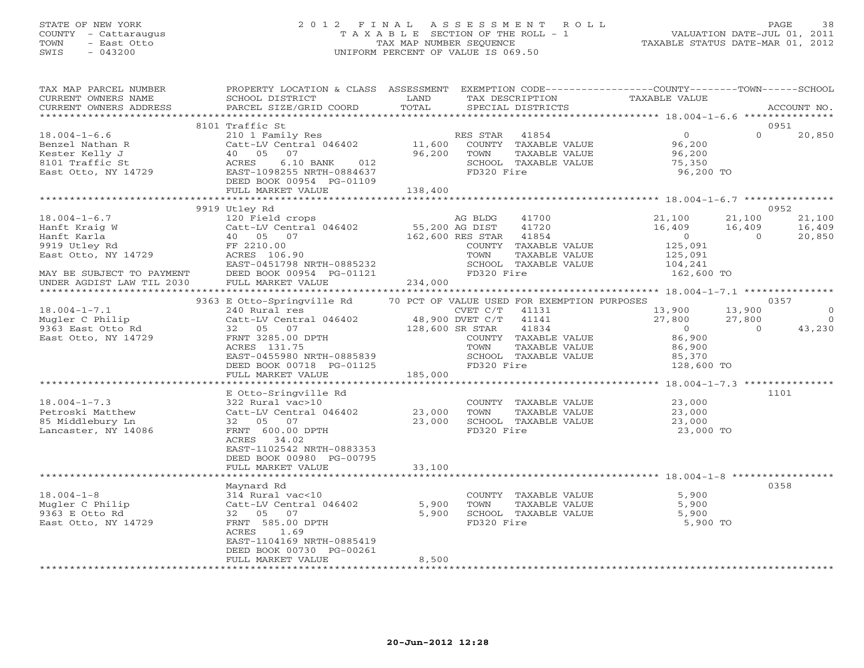## STATE OF NEW YORK 2 0 1 2 F I N A L A S S E S S M E N T R O L L PAGE 38 COUNTY - Cattaraugus T A X A B L E SECTION OF THE ROLL - 1 VALUATION DATE-JUL 01, 2011 TOWN - East Otto TAX MAP NUMBER SEQUENCE TAXABLE STATUS DATE-MAR 01, 2012 SWIS - 043200 UNIFORM PERCENT OF VALUE IS 069.50UNIFORM PERCENT OF VALUE IS 069.50

| TAX MAP PARCEL NUMBER<br>CURRENT OWNERS NAME                                                                                                                                                                                                                      | PROPERTY LOCATION & CLASS ASSESSMENT EXEMPTION CODE----------------COUNTY-------TOWN------SCHOOL<br>SCHOOL DISTRICT                                                                                                                                                                                                                                 | <b>EXAMPLE SETTING STATE</b> |               | TAX DESCRIPTION                                                                                             | TAXABLE VALUE                                                                                                                                                                                                     |                | ACCOUNT NO.                                          |
|-------------------------------------------------------------------------------------------------------------------------------------------------------------------------------------------------------------------------------------------------------------------|-----------------------------------------------------------------------------------------------------------------------------------------------------------------------------------------------------------------------------------------------------------------------------------------------------------------------------------------------------|------------------------------|---------------|-------------------------------------------------------------------------------------------------------------|-------------------------------------------------------------------------------------------------------------------------------------------------------------------------------------------------------------------|----------------|------------------------------------------------------|
|                                                                                                                                                                                                                                                                   |                                                                                                                                                                                                                                                                                                                                                     |                              |               |                                                                                                             |                                                                                                                                                                                                                   |                |                                                      |
|                                                                                                                                                                                                                                                                   | 8101 Traffic St<br>DEED BOOK 00954 PG-01109                                                                                                                                                                                                                                                                                                         |                              |               |                                                                                                             | 96,200 TO                                                                                                                                                                                                         | $\Omega$       | 0951<br>20,850                                       |
|                                                                                                                                                                                                                                                                   | FULL MARKET VALUE                                                                                                                                                                                                                                                                                                                                   | 138,400                      |               |                                                                                                             |                                                                                                                                                                                                                   |                |                                                      |
|                                                                                                                                                                                                                                                                   | 9919 Utley Rd                                                                                                                                                                                                                                                                                                                                       |                              |               |                                                                                                             |                                                                                                                                                                                                                   |                | 0952                                                 |
| 18.004-1-6.7<br>Hanft Kraig W (Catt-LV Central 046402 )<br>Hanft Karla (10 05 07 162,<br>9919 Utley Rd FF 2210.00<br>East Otto, NY 14729 (EAST-0451798 NRTH-0885232)<br>MAY BE SUBJECT TO PAYMENT<br>UNDER AGDIST LAW TIL 2030 FULL MARKET VALUE 76-01121 234,000 | 120 Field crops and the state of the state of the state of the state of the state of the state of the state of<br>Catt-LV Central 046402 55,200 AG DIST 41720<br>40 05 07 162,600 RES STAR 41854                                                                                                                                                    |                              | AG BLDG 41700 | COUNTY TAXABLE VALUE<br>UVUNII<br>TOWN TAXABLE VALUE<br>SCHOOL TAXABLE VALUE<br>TR320 Fire<br>TAXABLE VALUE | 41700 21,100 21,100 21,100<br>41720 16,409 16,409 16,409<br>$\overline{0}$<br>5,091<br>125,091<br>104,241<br>162,600 TO                                                                                           | $\sim$ 0       | 20,850                                               |
|                                                                                                                                                                                                                                                                   |                                                                                                                                                                                                                                                                                                                                                     |                              |               |                                                                                                             |                                                                                                                                                                                                                   |                |                                                      |
| $18.004 - 1 - 7.1$<br>$18.004 - 1 - 7.3$<br>Petroski Matthew<br>85 Middlebury Ln<br>Lancaster, NY 14086                                                                                                                                                           | 9363 E Otto-Springville Rd<br>240 Rural res<br>DEED BOOK 00718 $PG-01125$<br>FULL MARKET VALUE<br>E Otto-Sringville Rd<br>322 Rural vac>10<br>Catt-LV Central 046402 23,000 TOWN TAXABLE VALUE<br>32 05 07 23,000 SCHOOL TAXABLE VALUE<br>PRAT 600.00 DPTH FD320 Fire<br>EAST-1102542 NRTH-0883353<br>DEED BOOK 00980 PG-00795<br>FULL MARKET VALUE | 185,000<br>33,100            | CVET C/T      | 70 PCT OF VALUE USED FOR EXEMPTION PURPOSES<br>41131<br>COUNTY TAXABLE VALUE<br>TAXABLE VALUE               | 13,900 13,900<br>27,800 27,800<br>$\overline{0}$<br>86,900<br>86,900<br>SCHOOL TAXABLE VALUE $85,370$<br>FD320 Fire 128,600 TO<br>COUNTY TAXABLE VALUE 23,000<br>TOWN TAXABLE VALUE 23,000<br>23,000<br>23,000 TO | $\overline{0}$ | 0357<br>$\Omega$<br>$\overline{0}$<br>43,230<br>1101 |
| $18.004 - 1 - 8$<br>Mugler C Philip<br>9363 E Otto Rd<br>East Otto, NY 14729                                                                                                                                                                                      | Maynard Rd<br>314 Rural vac<10<br>Catt-LV Central 046402<br>32 05 07<br>FRNT 585.00 DPTH<br>ACRES 1.69<br>EAST-1104169 NRTH-0885419<br>DEED BOOK 00730 PG-00261<br>FULL MARKET VALUE                                                                                                                                                                | 5,900<br>5,900<br>8,500      | FD320 Fire    | SCHOOL TAXABLE VALUE                                                                                        | COUNTY TAXABLE VALUE $\begin{array}{ccc} 5,900 \\ -3,300 \end{array}$<br>$5,900$<br>$5,900$<br>5,900 TO                                                                                                           |                | 0358                                                 |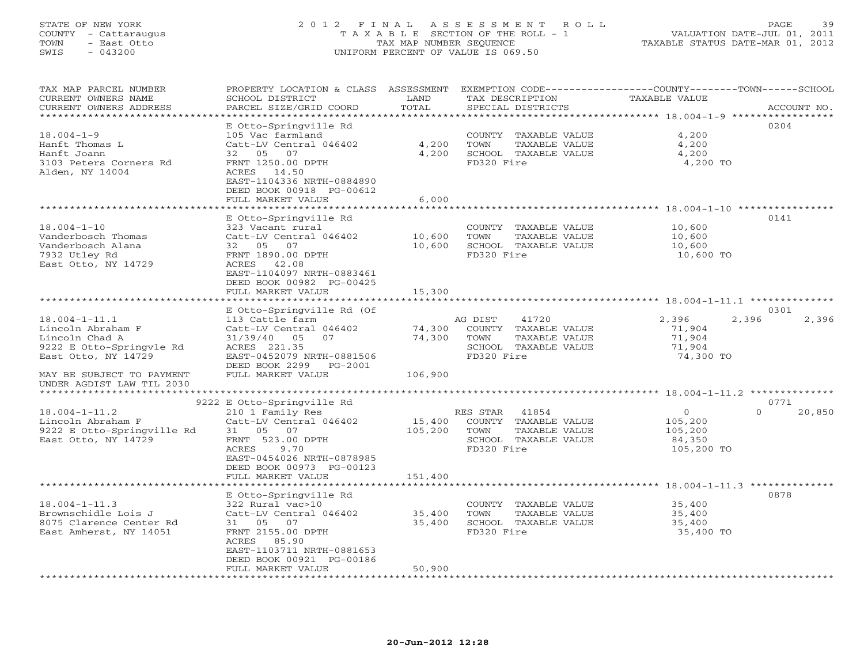# STATE OF NEW YORK 2 0 1 2 F I N A L A S S E S S M E N T R O L L PAGE 39 COUNTY - Cattaraugus T A X A B L E SECTION OF THE ROLL - 1 VALUATION DATE-JUL 01, 2011 TOWN - East Otto TAX MAP NUMBER SEQUENCE TAXABLE STATUS DATE-MAR 01, 2012 SWIS - 043200 UNIFORM PERCENT OF VALUE IS 069.50UNIFORM PERCENT OF VALUE IS 069.50

| TAX MAP PARCEL NUMBER<br>CURRENT OWNERS NAME | PROPERTY LOCATION & CLASS ASSESSMENT<br>SCHOOL DISTRICT | LAND                                               | TAX DESCRIPTION       | EXEMPTION CODE----------------COUNTY-------TOWN-----SCHOOL<br><b>TAXABLE VALUE</b> |             |
|----------------------------------------------|---------------------------------------------------------|----------------------------------------------------|-----------------------|------------------------------------------------------------------------------------|-------------|
| CURRENT OWNERS ADDRESS                       | PARCEL SIZE/GRID COORD                                  | TOTAL                                              | SPECIAL DISTRICTS     |                                                                                    | ACCOUNT NO. |
| ***********************                      |                                                         |                                                    |                       |                                                                                    |             |
|                                              | E Otto-Springville Rd                                   |                                                    |                       | 0204                                                                               |             |
| $18.004 - 1 - 9$                             | 105 Vac farmland                                        |                                                    | COUNTY TAXABLE VALUE  | 4,200                                                                              |             |
| Hanft Thomas L                               | Catt-LV Central 046402                                  | 4,200                                              | TOWN<br>TAXABLE VALUE | 4,200                                                                              |             |
| Hanft Joann                                  | 32 05 07                                                | 4,200                                              | SCHOOL TAXABLE VALUE  | 4,200                                                                              |             |
| 3103 Peters Corners Rd                       | FRNT 1250.00 DPTH                                       |                                                    | FD320 Fire            | 4,200 TO                                                                           |             |
| Alden, NY 14004                              | ACRES 14.50                                             |                                                    |                       |                                                                                    |             |
|                                              | EAST-1104336 NRTH-0884890                               |                                                    |                       |                                                                                    |             |
|                                              | DEED BOOK 00918 PG-00612                                |                                                    |                       |                                                                                    |             |
|                                              | FULL MARKET VALUE<br>*****************                  | 6,000<br>* * * * * * * *                           |                       | ********************** 18.004-1-10 ****************                                |             |
|                                              |                                                         |                                                    |                       |                                                                                    |             |
|                                              | E Otto-Springville Rd                                   |                                                    |                       | 0141                                                                               |             |
| $18.004 - 1 - 10$                            | 323 Vacant rural                                        |                                                    | COUNTY TAXABLE VALUE  | 10,600                                                                             |             |
| Vanderbosch Thomas                           | Catt-LV Central 046402                                  | 10,600                                             | TOWN<br>TAXABLE VALUE | 10,600                                                                             |             |
| Vanderbosch Alana                            | 32 05 07                                                | 10,600                                             | SCHOOL TAXABLE VALUE  | 10,600                                                                             |             |
| 7932 Utley Rd                                | FRNT 1890.00 DPTH                                       |                                                    | FD320 Fire            | 10,600 TO                                                                          |             |
| East Otto, NY 14729                          | ACRES 42.08                                             |                                                    |                       |                                                                                    |             |
|                                              | EAST-1104097 NRTH-0883461                               |                                                    |                       |                                                                                    |             |
|                                              | DEED BOOK 00982 PG-00425                                |                                                    |                       |                                                                                    |             |
|                                              | FULL MARKET VALUE                                       | 15,300                                             |                       |                                                                                    |             |
|                                              |                                                         |                                                    |                       |                                                                                    |             |
|                                              | E Otto-Springville Rd (Of                               |                                                    |                       | 0301                                                                               |             |
| $18.004 - 1 - 11.1$                          | 113 Cattle farm                                         |                                                    | AG DIST<br>41720      | 2,396<br>2,396                                                                     | 2,396       |
| Lincoln Abraham F                            | Catt-LV Central 046402                                  | 74,300                                             | COUNTY TAXABLE VALUE  | 71,904                                                                             |             |
| Lincoln Chad A                               | 31/39/40<br>05<br>07                                    | 74,300                                             | TOWN<br>TAXABLE VALUE | 71,904                                                                             |             |
| 9222 E Otto-Springvle Rd                     | ACRES 221.35                                            |                                                    | SCHOOL TAXABLE VALUE  | 71,904                                                                             |             |
| East Otto, NY 14729                          | EAST-0452079 NRTH-0881506<br>DEED BOOK 2299 PG-2001     |                                                    | FD320 Fire            | 74,300 TO                                                                          |             |
| MAY BE SUBJECT TO PAYMENT                    | FULL MARKET VALUE                                       | 106,900                                            |                       |                                                                                    |             |
| UNDER AGDIST LAW TIL 2030                    |                                                         |                                                    |                       |                                                                                    |             |
|                                              |                                                         |                                                    |                       |                                                                                    |             |
|                                              | 9222 E Otto-Springville Rd                              |                                                    |                       | 0771                                                                               |             |
| $18.004 - 1 - 11.2$                          | 210 1 Family Res                                        |                                                    | RES STAR<br>41854     | $\circ$<br>$\Omega$                                                                | 20,850      |
| Lincoln Abraham F                            | Catt-LV Central 046402                                  | 15,400                                             | COUNTY TAXABLE VALUE  | 105,200                                                                            |             |
| 9222 E Otto-Springville Rd                   | 31 05<br>07                                             | 105,200                                            | TOWN<br>TAXABLE VALUE | 105,200                                                                            |             |
| East Otto, NY 14729                          | FRNT 523.00 DPTH                                        |                                                    | SCHOOL TAXABLE VALUE  | 84,350                                                                             |             |
|                                              | ACRES<br>9.70                                           |                                                    | FD320 Fire            | 105,200 TO                                                                         |             |
|                                              | EAST-0454026 NRTH-0878985                               |                                                    |                       |                                                                                    |             |
|                                              | DEED BOOK 00973 PG-00123                                |                                                    |                       |                                                                                    |             |
|                                              | FULL MARKET VALUE<br>********************               | 151,400<br>* * * * * * * * * * * * * * * * * * * * |                       | ****************************** 18.004-1-11.3 **********                            |             |
|                                              |                                                         |                                                    |                       | 0878                                                                               |             |
| $18.004 - 1 - 11.3$                          | E Otto-Springville Rd<br>322 Rural vac>10               |                                                    | COUNTY TAXABLE VALUE  | 35,400                                                                             |             |
| Brownschidle Lois J                          | Catt-LV Central 046402                                  | 35,400                                             | TOWN<br>TAXABLE VALUE | 35,400                                                                             |             |
| 8075 Clarence Center Rd                      | 31 05 07                                                | 35,400                                             | SCHOOL TAXABLE VALUE  | 35,400                                                                             |             |
| East Amherst, NY 14051                       | FRNT 2155.00 DPTH                                       |                                                    | FD320 Fire            | 35,400 TO                                                                          |             |
|                                              | ACRES<br>85.90                                          |                                                    |                       |                                                                                    |             |
|                                              | EAST-1103711 NRTH-0881653                               |                                                    |                       |                                                                                    |             |
|                                              | DEED BOOK 00921 PG-00186                                |                                                    |                       |                                                                                    |             |
|                                              | FULL MARKET VALUE                                       | 50,900                                             |                       |                                                                                    |             |
|                                              |                                                         |                                                    |                       |                                                                                    |             |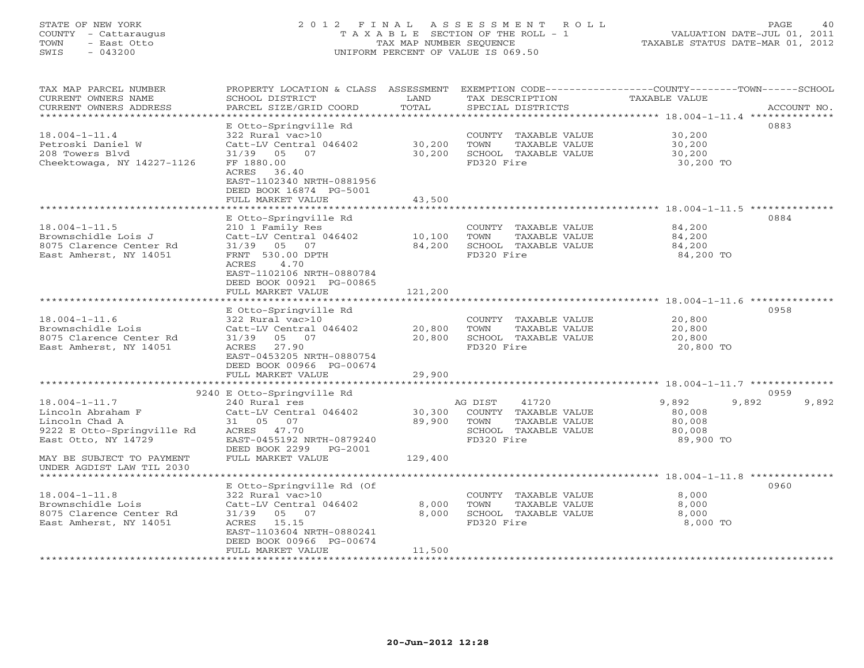# STATE OF NEW YORK 2 0 1 2 F I N A L A S S E S S M E N T R O L L PAGE 40 COUNTY - Cattaraugus T A X A B L E SECTION OF THE ROLL - 1 VALUATION DATE-JUL 01, 2011 TOWN - East Otto TAX MAP NUMBER SEQUENCE TAXABLE STATUS DATE-MAR 01, 2012 SWIS - 043200 UNIFORM PERCENT OF VALUE IS 069.50UNIFORM PERCENT OF VALUE IS 069.50

| TAX MAP PARCEL NUMBER<br>CURRENT OWNERS NAME<br>CURRENT OWNERS ADDRESS | PROPERTY LOCATION & CLASS ASSESSMENT<br>SCHOOL DISTRICT<br>PARCEL SIZE/GRID COORD | LAND<br>TOTAL  | TAX DESCRIPTION<br>SPECIAL DISTRICTS | EXEMPTION CODE-----------------COUNTY-------TOWN------SCHOOL<br>TAXABLE VALUE<br>ACCOUNT NO. |
|------------------------------------------------------------------------|-----------------------------------------------------------------------------------|----------------|--------------------------------------|----------------------------------------------------------------------------------------------|
| *********************                                                  |                                                                                   |                |                                      |                                                                                              |
| $18.004 - 1 - 11.4$                                                    | E Otto-Springville Rd<br>322 Rural vac>10                                         |                | COUNTY TAXABLE VALUE                 | 0883<br>30,200                                                                               |
| Petroski Daniel W                                                      | Catt-LV Central 046402                                                            | 30,200         | TAXABLE VALUE<br>TOWN                | 30,200                                                                                       |
| 208 Towers Blvd                                                        | 31/39 05 07                                                                       | 30,200         | SCHOOL TAXABLE VALUE                 | 30,200                                                                                       |
| Cheektowaga, NY 14227-1126                                             | FF 1880.00                                                                        |                | FD320 Fire                           | 30,200 TO                                                                                    |
|                                                                        | 36.40<br>ACRES                                                                    |                |                                      |                                                                                              |
|                                                                        | EAST-1102340 NRTH-0881956                                                         |                |                                      |                                                                                              |
|                                                                        | DEED BOOK 16874 PG-5001                                                           |                |                                      |                                                                                              |
|                                                                        | FULL MARKET VALUE                                                                 | 43,500         |                                      |                                                                                              |
|                                                                        |                                                                                   |                |                                      |                                                                                              |
|                                                                        | E Otto-Springville Rd                                                             |                |                                      | 0884                                                                                         |
| $18.004 - 1 - 11.5$                                                    | 210 1 Family Res                                                                  |                | COUNTY TAXABLE VALUE                 | 84,200                                                                                       |
| Brownschidle Lois J                                                    | Catt-LV Central 046402                                                            | 10,100         | TAXABLE VALUE<br>TOWN                | 84,200                                                                                       |
| 8075 Clarence Center Rd                                                | 31/39 05 07                                                                       | 84,200         | SCHOOL TAXABLE VALUE                 | 84,200                                                                                       |
| East Amherst, NY 14051                                                 | FRNT 530.00 DPTH                                                                  |                | FD320 Fire                           | 84,200 TO                                                                                    |
|                                                                        | <b>ACRES</b><br>4.70                                                              |                |                                      |                                                                                              |
|                                                                        | EAST-1102106 NRTH-0880784                                                         |                |                                      |                                                                                              |
|                                                                        | DEED BOOK 00921 PG-00865                                                          |                |                                      |                                                                                              |
|                                                                        | FULL MARKET VALUE                                                                 | 121,200        |                                      |                                                                                              |
|                                                                        |                                                                                   |                |                                      |                                                                                              |
|                                                                        | E Otto-Springville Rd                                                             |                |                                      | 0958                                                                                         |
| $18.004 - 1 - 11.6$                                                    | 322 Rural vac>10                                                                  |                | COUNTY TAXABLE VALUE                 | 20,800                                                                                       |
| Brownschidle Lois                                                      | Catt-LV Central 046402                                                            | 20,800         | TOWN<br>TAXABLE VALUE                | 20,800                                                                                       |
| 8075 Clarence Center Rd                                                | 31/39 05 07                                                                       | 20,800         | SCHOOL TAXABLE VALUE                 | 20,800                                                                                       |
| East Amherst, NY 14051                                                 | ACRES<br>27.90                                                                    |                | FD320 Fire                           | 20,800 TO                                                                                    |
|                                                                        | EAST-0453205 NRTH-0880754                                                         |                |                                      |                                                                                              |
|                                                                        | DEED BOOK 00966 PG-00674                                                          |                |                                      |                                                                                              |
|                                                                        | FULL MARKET VALUE                                                                 | 29,900         |                                      |                                                                                              |
|                                                                        |                                                                                   |                |                                      |                                                                                              |
|                                                                        | 9240 E Otto-Springville Rd                                                        |                |                                      | 0959                                                                                         |
| $18.004 - 1 - 11.7$                                                    | 240 Rural res                                                                     |                | 41720<br>AG DIST                     | 9,892<br>9,892<br>9,892                                                                      |
| Lincoln Abraham F                                                      | Catt-LV Central 046402                                                            | 30,300         | COUNTY TAXABLE VALUE                 | 80,008                                                                                       |
| Lincoln Chad A                                                         | 31 05 07                                                                          | 89,900         | TOWN<br>TAXABLE VALUE                | 80,008                                                                                       |
| 9222 E Otto-Springville Rd                                             | ACRES 47.70                                                                       |                | SCHOOL TAXABLE VALUE                 | 80,008                                                                                       |
| East Otto, NY 14729                                                    | EAST-0455192 NRTH-0879240                                                         |                | FD320 Fire                           | 89,900 TO                                                                                    |
|                                                                        | DEED BOOK 2299 PG-2001                                                            |                |                                      |                                                                                              |
| MAY BE SUBJECT TO PAYMENT                                              | FULL MARKET VALUE                                                                 | 129,400        |                                      |                                                                                              |
| UNDER AGDIST LAW TIL 2030                                              |                                                                                   |                |                                      |                                                                                              |
|                                                                        |                                                                                   |                |                                      |                                                                                              |
|                                                                        | E Otto-Springville Rd (Of                                                         |                |                                      | 0960                                                                                         |
| $18.004 - 1 - 11.8$                                                    | 322 Rural vac>10                                                                  |                | COUNTY TAXABLE VALUE                 | 8,000                                                                                        |
| Brownschidle Lois                                                      | Catt-LV Central 046402                                                            | 8,000<br>8,000 | TOWN<br>TAXABLE VALUE                | 8,000                                                                                        |
| 8075 Clarence Center Rd<br>East Amherst, NY 14051                      | 05 07<br>31/39<br>15.15<br>ACRES                                                  |                | SCHOOL TAXABLE VALUE<br>FD320 Fire   | 8,000<br>8,000 TO                                                                            |
|                                                                        | EAST-1103604 NRTH-0880241                                                         |                |                                      |                                                                                              |
|                                                                        | DEED BOOK 00966 PG-00674                                                          |                |                                      |                                                                                              |
|                                                                        | FULL MARKET VALUE                                                                 | 11,500         |                                      |                                                                                              |
|                                                                        | *******************                                                               |                |                                      |                                                                                              |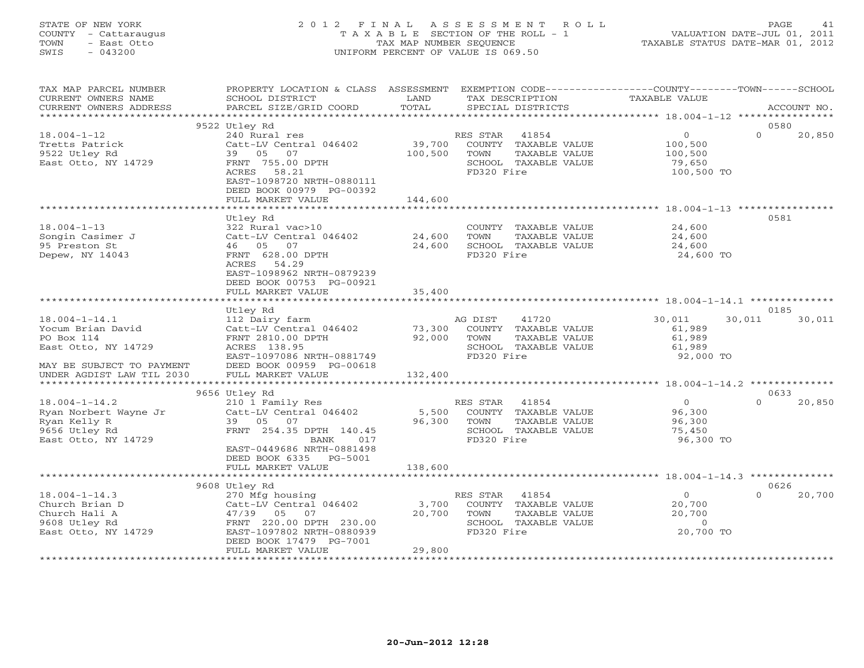# STATE OF NEW YORK 2 0 1 2 F I N A L A S S E S S M E N T R O L L PAGE 41 COUNTY - Cattaraugus T A X A B L E SECTION OF THE ROLL - 1 VALUATION DATE-JUL 01, 2011 TOWN - East Otto TAX MAP NUMBER SEQUENCE TAXABLE STATUS DATE-MAR 01, 2012 SWIS - 043200 UNIFORM PERCENT OF VALUE IS 069.50UNIFORM PERCENT OF VALUE IS 069.50

| TAX MAP PARCEL NUMBER<br>CURRENT OWNERS NAME<br>CURRENT OWNERS ADDRESS                                     | PROPERTY LOCATION & CLASS ASSESSMENT<br>SCHOOL DISTRICT<br>PARCEL SIZE/GRID COORD                                                                                                           | LAND<br>TOTAL                | EXEMPTION CODE-----------------COUNTY-------TOWN------SCHOOL<br>TAX DESCRIPTION<br>SPECIAL DISTRICTS     | <b>TAXABLE VALUE</b>                                       | ACCOUNT NO.                |
|------------------------------------------------------------------------------------------------------------|---------------------------------------------------------------------------------------------------------------------------------------------------------------------------------------------|------------------------------|----------------------------------------------------------------------------------------------------------|------------------------------------------------------------|----------------------------|
|                                                                                                            |                                                                                                                                                                                             |                              |                                                                                                          |                                                            |                            |
| $18.004 - 1 - 12$<br>Tretts Patrick<br>9522 Utley Rd<br>East Otto, NY 14729                                | 9522 Utley Rd<br>240 Rural res<br>Catt-LV Central 046402<br>39 05<br>07<br>FRNT 755.00 DPTH<br>ACRES<br>58.21<br>EAST-1098720 NRTH-0880111<br>DEED BOOK 00979 PG-00392<br>FULL MARKET VALUE | 39,700<br>100,500<br>144,600 | RES STAR<br>41854<br>COUNTY TAXABLE VALUE<br>TOWN<br>TAXABLE VALUE<br>SCHOOL TAXABLE VALUE<br>FD320 Fire | $\circ$<br>100,500<br>100,500<br>79,650<br>100,500 TO      | 0580<br>$\Omega$<br>20,850 |
|                                                                                                            |                                                                                                                                                                                             |                              |                                                                                                          |                                                            |                            |
| $18.004 - 1 - 13$<br>Songin Casimer J<br>95 Preston St<br>Depew, NY 14043                                  | Utley Rd<br>322 Rural vac>10<br>Catt-LV Central 046402<br>46 05 07<br>FRNT 628.00 DPTH<br>54.29<br>ACRES<br>EAST-1098962 NRTH-0879239<br>DEED BOOK 00753 PG-00921                           | 24,600<br>24,600             | COUNTY TAXABLE VALUE<br>TOWN<br>TAXABLE VALUE<br>SCHOOL TAXABLE VALUE<br>FD320 Fire                      | 24,600<br>24,600<br>24,600<br>24,600 TO                    | 0581                       |
|                                                                                                            | FULL MARKET VALUE                                                                                                                                                                           | 35,400                       |                                                                                                          |                                                            |                            |
|                                                                                                            | Utley Rd                                                                                                                                                                                    |                              |                                                                                                          |                                                            | 0185                       |
| $18.004 - 1 - 14.1$<br>Yocum Brian David<br>PO Box 114<br>East Otto, NY 14729<br>MAY BE SUBJECT TO PAYMENT | 112 Dairy farm<br>Catt-LV Central 046402<br>FRNT 2810.00 DPTH<br>ACRES 138.95<br>EAST-1097086 NRTH-0881749<br>DEED BOOK 00959 PG-00618                                                      | 73,300<br>92,000             | 41720<br>AG DIST<br>COUNTY TAXABLE VALUE<br>TOWN<br>TAXABLE VALUE<br>SCHOOL TAXABLE VALUE<br>FD320 Fire  | 30,011<br>61,989<br>61,989<br>61,989<br>92,000 TO          | 30,011<br>30,011           |
| UNDER AGDIST LAW TIL 2030<br>********************                                                          | FULL MARKET VALUE                                                                                                                                                                           | 132,400                      |                                                                                                          |                                                            |                            |
| $18.004 - 1 - 14.2$<br>Ryan Norbert Wayne Jr<br>Ryan Kelly R<br>9656 Utley Rd<br>East Otto, NY 14729       | 9656 Utley Rd<br>210 1 Family Res<br>Catt-LV Central 046402<br>39 05 07<br>FRNT 254.35 DPTH 140.45<br>BANK<br>017<br>EAST-0449686 NRTH-0881498                                              | 5,500<br>96,300              | 41854<br>RES STAR<br>COUNTY TAXABLE VALUE<br>TAXABLE VALUE<br>TOWN<br>SCHOOL TAXABLE VALUE<br>FD320 Fire | $\overline{0}$<br>96,300<br>96,300<br>75,450<br>96,300 TO  | 0633<br>$\Omega$<br>20,850 |
|                                                                                                            | DEED BOOK 6335 PG-5001<br>FULL MARKET VALUE                                                                                                                                                 | 138,600                      |                                                                                                          |                                                            |                            |
|                                                                                                            | 9608 Utley Rd                                                                                                                                                                               |                              |                                                                                                          |                                                            | 0626                       |
| $18.004 - 1 - 14.3$<br>Church Brian D<br>Church Hali A<br>9608 Utley Rd<br>East Otto, NY 14729             | 270 Mfg housing<br>Catt-LV Central 046402<br>47/39<br>05<br>07<br>FRNT 220.00 DPTH 230.00<br>EAST-1097802 NRTH-0880939<br>DEED BOOK 17479 PG-7001<br>FULL MARKET VALUE                      | 3,700<br>20,700<br>29,800    | 41854<br>RES STAR<br>COUNTY TAXABLE VALUE<br>TOWN<br>TAXABLE VALUE<br>SCHOOL TAXABLE VALUE<br>FD320 Fire | $\overline{0}$<br>20,700<br>20,700<br>$\circ$<br>20,700 TO | $\Omega$<br>20,700         |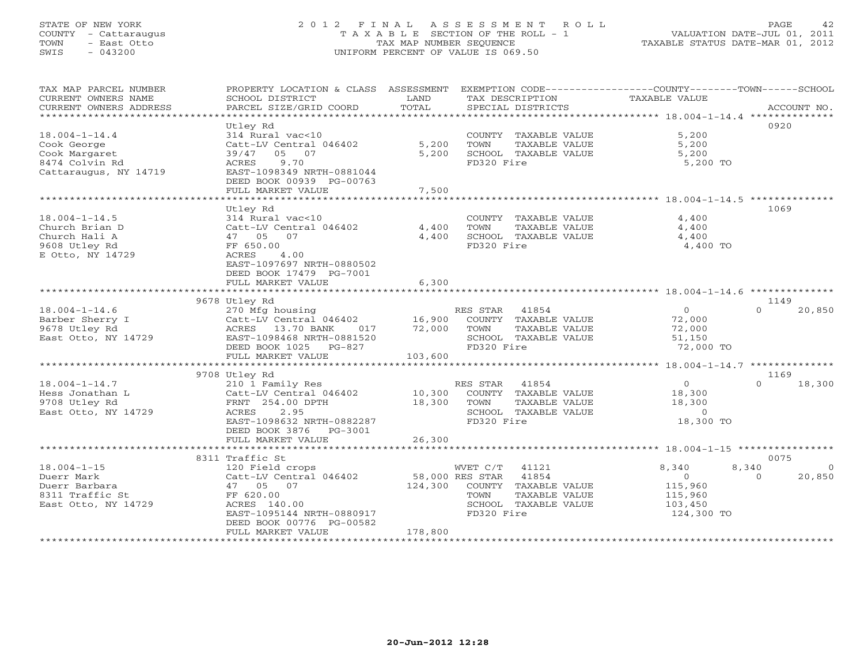# STATE OF NEW YORK 2 0 1 2 F I N A L A S S E S S M E N T R O L L PAGE 42 COUNTY - Cattaraugus T A X A B L E SECTION OF THE ROLL - 1 VALUATION DATE-JUL 01, 2011 TOWN - East Otto TAX MAP NUMBER SEQUENCE TAXABLE STATUS DATE-MAR 01, 2012 SWIS - 043200 UNIFORM PERCENT OF VALUE IS 069.50UNIFORM PERCENT OF VALUE IS 069.50

| TAX MAP PARCEL NUMBER<br>CURRENT OWNERS NAME | PROPERTY LOCATION & CLASS ASSESSMENT EXEMPTION CODE----------------COUNTY-------TOWN------SCHOOL                                                                                 |               |                                         | TAXABLE VALUE  |                         |
|----------------------------------------------|----------------------------------------------------------------------------------------------------------------------------------------------------------------------------------|---------------|-----------------------------------------|----------------|-------------------------|
| CURRENT OWNERS ADDRESS                       | SCHOOL DISTRICT<br>PARCEL SIZE/GRID COORD                                                                                                                                        | LAND<br>TOTAL | TAX DESCRIPTION<br>SPECIAL DISTRICTS    |                | ACCOUNT NO.             |
| ******************************               |                                                                                                                                                                                  |               |                                         |                |                         |
|                                              | Utley Rd                                                                                                                                                                         |               |                                         |                | 0920                    |
| $18.004 - 1 - 14.4$                          | 314 Rural vac<10                                                                                                                                                                 |               | COUNTY TAXABLE VALUE                    | 5,200          |                         |
| Cook George                                  | Catt-LV Central 046402                                                                                                                                                           | 5,200         | TOWN<br>TAXABLE VALUE                   | 5,200          |                         |
| Cook Margaret                                | 05 07<br>39/47                                                                                                                                                                   | 5,200         | SCHOOL TAXABLE VALUE                    | 5,200          |                         |
| 8474 Colvin Rd                               | 9.70<br>ACRES                                                                                                                                                                    |               | FD320 Fire                              | 5,200 TO       |                         |
|                                              | EAST-1098349 NRTH-0881044                                                                                                                                                        |               |                                         |                |                         |
| Cattaraugus, NY 14719                        | DEED BOOK 00939 PG-00763                                                                                                                                                         |               |                                         |                |                         |
|                                              |                                                                                                                                                                                  |               |                                         |                |                         |
|                                              | FULL MARKET VALUE                                                                                                                                                                | 7,500         |                                         |                |                         |
|                                              |                                                                                                                                                                                  |               |                                         |                | 1069                    |
|                                              | Utley Rd                                                                                                                                                                         |               |                                         |                |                         |
| $18.004 - 1 - 14.5$                          | 314 Rural vac<10                                                                                                                                                                 |               | COUNTY TAXABLE VALUE                    | 4,400          |                         |
| Church Brian D                               | Catt-LV Central 046402 4,400                                                                                                                                                     |               | TOWN<br>TAXABLE VALUE                   | 4,400          |                         |
| Church Hali A                                | 47 05 07                                                                                                                                                                         | 4,400         | SCHOOL TAXABLE VALUE                    | 4,400          |                         |
| 9608 Utley Rd                                | FF 650.00                                                                                                                                                                        |               | FD320 Fire                              | 4,400 TO       |                         |
| E Otto, NY 14729                             | ACRES<br>4.00                                                                                                                                                                    |               |                                         |                |                         |
|                                              | EAST-1097697 NRTH-0880502                                                                                                                                                        |               |                                         |                |                         |
|                                              | DEED BOOK 17479 PG-7001                                                                                                                                                          |               |                                         |                |                         |
|                                              | FULL MARKET VALUE                                                                                                                                                                | 6,300         |                                         |                |                         |
|                                              |                                                                                                                                                                                  |               |                                         |                |                         |
|                                              | 9678 Utley Rd                                                                                                                                                                    |               |                                         |                | 1149                    |
| $18.004 - 1 - 14.6$                          | 270 Mfg housing                                                                                                                                                                  |               | RES STAR 41854                          | $\bigcirc$     | $\Omega$<br>20,850      |
| Barber Sherry I                              | Catt-LV Central 046402<br>Catt-LV Central 046402 16,900 COUNTY TAXABLE VALUE<br>ACRES 13.70 BANK 017 72,000 TOWN TAXABLE VALUE<br>EAST-1098468 NRTH-0881520 SCHOOL TAXABLE VALUE |               |                                         | 72,000         |                         |
| 9678 Utley Rd                                |                                                                                                                                                                                  |               |                                         | 72,000         |                         |
| $\frac{3010}{3000}$ nm $\frac{14729}{3000}$  |                                                                                                                                                                                  |               |                                         | 51,150         |                         |
|                                              | DEED BOOK 1025 PG-827                                                                                                                                                            |               | FD320 Fire                              | 72,000 TO      |                         |
|                                              | FULL MARKET VALUE                                                                                                                                                                | 103,600       |                                         |                |                         |
|                                              |                                                                                                                                                                                  |               |                                         |                |                         |
|                                              | 9708 Utley Rd                                                                                                                                                                    |               |                                         |                | 1169                    |
| $18.004 - 1 - 14.7$                          | 210 1 Family Res                                                                                                                                                                 |               | RES STAR 41854                          | $\overline{0}$ | $\Omega$<br>18,300      |
| Hess Jonathan L                              | Catt-LV Central 046402 10,300 COUNTY TAXABLE VALUE                                                                                                                               |               |                                         | 18,300         |                         |
| 9708 Utley Rd                                | FRNT 254.00 DPTH                                                                                                                                                                 | 18,300        | TOWN<br>TAXABLE VALUE                   | 18,300         |                         |
| East Otto, NY 14729                          | ACRES<br>2.95                                                                                                                                                                    |               | SCHOOL TAXABLE VALUE                    | $\Omega$       |                         |
|                                              | EAST-1098632 NRTH-0882287                                                                                                                                                        |               | FD320 Fire                              | 18,300 TO      |                         |
|                                              | DEED BOOK 3876    PG-3001                                                                                                                                                        |               |                                         |                |                         |
|                                              | FULL MARKET VALUE                                                                                                                                                                | 26,300        |                                         |                |                         |
|                                              |                                                                                                                                                                                  |               |                                         |                |                         |
|                                              | 8311 Traffic St                                                                                                                                                                  |               |                                         |                | 0075                    |
| $18.004 - 1 - 15$                            | 120 Field crops                                                                                                                                                                  |               | WVET C/T 41121<br>58,000 RES STAR 41854 | 8,340          | 8,340<br>$\overline{0}$ |
| Duerr Mark                                   | Catt-LV Central 046402                                                                                                                                                           |               |                                         | $\overline{0}$ | $\Omega$<br>20,850      |
| Duerr Barbara                                | 47 05 07                                                                                                                                                                         |               | 124,300 COUNTY TAXABLE VALUE            | 115,960        |                         |
| 8311 Traffic St                              | FF 620.00                                                                                                                                                                        |               | TOWN<br>TAXABLE VALUE                   | 115,960        |                         |
| East Otto, NY 14729                          | ACRES 140.00                                                                                                                                                                     |               | SCHOOL TAXABLE VALUE                    | 103,450        |                         |
|                                              | EAST-1095144 NRTH-0880917                                                                                                                                                        |               | FD320 Fire                              | 124,300 TO     |                         |
|                                              | DEED BOOK 00776 PG-00582                                                                                                                                                         |               |                                         |                |                         |
|                                              | FULL MARKET VALUE                                                                                                                                                                | 178,800       |                                         |                |                         |
|                                              |                                                                                                                                                                                  |               |                                         |                |                         |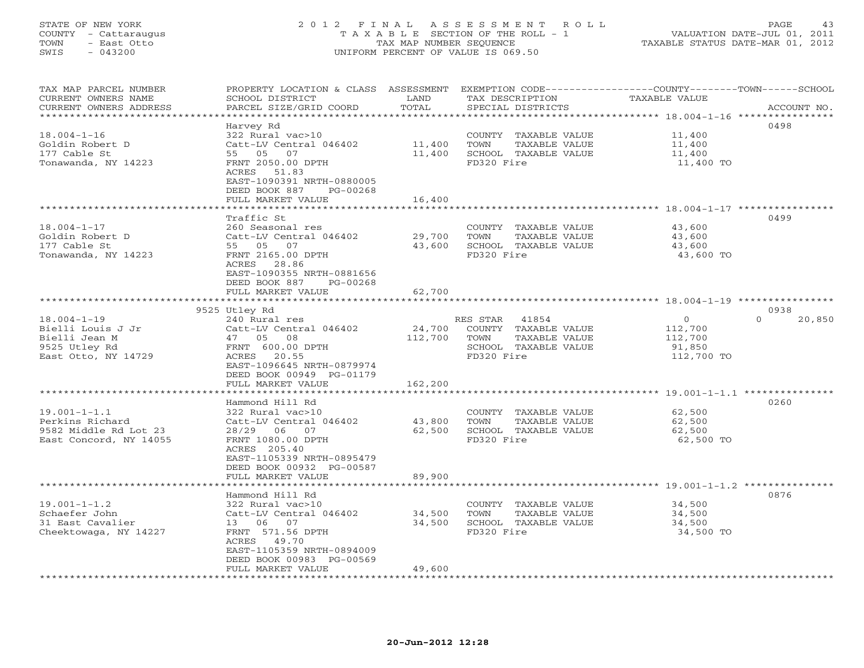### STATE OF NEW YORK 2 0 1 2 F I N A L A S S E S S M E N T R O L L PAGE 43 COUNTY - Cattaraugus T A X A B L E SECTION OF THE ROLL - 1 VALUATION DATE-JUL 01, 2011 TOWN - East Otto TAX MAP NUMBER SEQUENCE TAXABLE STATUS DATE-MAR 01, 2012 SWIS - 043200 UNIFORM PERCENT OF VALUE IS 069.50UNIFORM PERCENT OF VALUE IS 069.50

| TAX MAP PARCEL NUMBER                             | PROPERTY LOCATION & CLASS ASSESSMENT                  |                | EXEMPTION CODE-----------------COUNTY-------TOWN------SCHOOL |                      |                    |
|---------------------------------------------------|-------------------------------------------------------|----------------|--------------------------------------------------------------|----------------------|--------------------|
| CURRENT OWNERS NAME                               | SCHOOL DISTRICT                                       | LAND           | TAX DESCRIPTION                                              | <b>TAXABLE VALUE</b> |                    |
| CURRENT OWNERS ADDRESS<br>*********************** | PARCEL SIZE/GRID COORD                                | TOTAL          | SPECIAL DISTRICTS                                            |                      | ACCOUNT NO.        |
|                                                   | Harvey Rd                                             |                |                                                              |                      | 0498               |
| $18.004 - 1 - 16$                                 | 322 Rural vac>10                                      |                | COUNTY TAXABLE VALUE                                         | 11,400               |                    |
| Goldin Robert D                                   | Catt-LV Central 046402                                | 11,400         | TAXABLE VALUE<br>TOWN                                        | 11,400               |                    |
| 177 Cable St                                      | 55 05 07                                              | 11,400         | SCHOOL TAXABLE VALUE                                         | 11,400               |                    |
| Tonawanda, NY 14223                               | FRNT 2050.00 DPTH                                     |                | FD320 Fire                                                   | 11,400 TO            |                    |
|                                                   | ACRES 51.83                                           |                |                                                              |                      |                    |
|                                                   | EAST-1090391 NRTH-0880005                             |                |                                                              |                      |                    |
|                                                   | DEED BOOK 887<br>PG-00268                             |                |                                                              |                      |                    |
|                                                   | FULL MARKET VALUE                                     | 16,400         |                                                              |                      |                    |
|                                                   | *********************                                 | ************** |                                                              |                      |                    |
|                                                   | Traffic St                                            |                |                                                              |                      | 0499               |
| $18.004 - 1 - 17$                                 | 260 Seasonal res                                      |                | COUNTY TAXABLE VALUE                                         | 43,600               |                    |
| Goldin Robert D                                   | Catt-LV Central 046402<br>55 05 07                    | 29,700         | TOWN<br>TAXABLE VALUE                                        | 43,600               |                    |
| 177 Cable St<br>Tonawanda, NY 14223               | FRNT 2165.00 DPTH                                     | 43,600         | SCHOOL TAXABLE VALUE<br>FD320 Fire                           | 43,600<br>43,600 TO  |                    |
|                                                   | ACRES 28.86                                           |                |                                                              |                      |                    |
|                                                   | EAST-1090355 NRTH-0881656                             |                |                                                              |                      |                    |
|                                                   | DEED BOOK 887<br>PG-00268                             |                |                                                              |                      |                    |
|                                                   | FULL MARKET VALUE                                     | 62,700         |                                                              |                      |                    |
|                                                   | *********************                                 |                |                                                              |                      |                    |
|                                                   | 9525 Utley Rd                                         |                |                                                              |                      | 0938               |
| $18.004 - 1 - 19$                                 | 240 Rural res                                         |                | RES STAR<br>41854                                            | $\circ$              | $\Omega$<br>20,850 |
| Bielli Louis J Jr                                 | Catt-LV Central 046402                                | 24,700         | COUNTY TAXABLE VALUE                                         | 112,700              |                    |
| Bielli Jean M                                     | 47 05 08                                              | 112,700        | TOWN<br>TAXABLE VALUE                                        | 112,700              |                    |
| 9525 Utley Rd                                     | FRNT 600.00 DPTH<br>ACRES<br>20.55                    |                | SCHOOL TAXABLE VALUE<br>FD320 Fire                           | 91,850               |                    |
| East Otto, NY 14729                               | EAST-1096645 NRTH-0879974                             |                |                                                              | 112,700 TO           |                    |
|                                                   | DEED BOOK 00949 PG-01179                              |                |                                                              |                      |                    |
|                                                   | FULL MARKET VALUE                                     | 162,200        |                                                              |                      |                    |
|                                                   | ******************                                    |                |                                                              |                      |                    |
|                                                   | Hammond Hill Rd                                       |                |                                                              |                      | 0260               |
| $19.001 - 1 - 1.1$                                | 322 Rural vac>10                                      |                | COUNTY TAXABLE VALUE                                         | 62,500               |                    |
| Perkins Richard                                   | Catt-LV Central 046402                                | 43,800         | TOWN<br>TAXABLE VALUE                                        | 62,500               |                    |
| 9582 Middle Rd Lot 23                             | 28/29 06 07                                           | 62,500         | SCHOOL TAXABLE VALUE                                         | 62,500               |                    |
| East Concord, NY 14055                            | FRNT 1080.00 DPTH                                     |                | FD320 Fire                                                   | 62,500 TO            |                    |
|                                                   | ACRES 205.40                                          |                |                                                              |                      |                    |
|                                                   | EAST-1105339 NRTH-0895479<br>DEED BOOK 00932 PG-00587 |                |                                                              |                      |                    |
|                                                   | FULL MARKET VALUE                                     | 89,900         |                                                              |                      |                    |
|                                                   |                                                       |                |                                                              |                      |                    |
|                                                   | Hammond Hill Rd                                       |                |                                                              |                      | 0876               |
| $19.001 - 1 - 1.2$                                | 322 Rural vac>10                                      |                | COUNTY TAXABLE VALUE                                         | 34,500               |                    |
| Schaefer John                                     | Catt-LV Central 046402                                | 34,500         | TOWN<br>TAXABLE VALUE                                        | 34,500               |                    |
| 31 East Cavalier                                  | 13 06 07                                              | 34,500         | SCHOOL TAXABLE VALUE                                         | 34,500               |                    |
| Cheektowaga, NY 14227                             | FRNT 571.56 DPTH                                      |                | FD320 Fire                                                   | 34,500 TO            |                    |
|                                                   | ACRES 49.70                                           |                |                                                              |                      |                    |
|                                                   | EAST-1105359 NRTH-0894009                             |                |                                                              |                      |                    |
|                                                   | DEED BOOK 00983 PG-00569<br>FULL MARKET VALUE         | 49,600         |                                                              |                      |                    |
|                                                   |                                                       |                |                                                              |                      |                    |
|                                                   |                                                       |                |                                                              |                      |                    |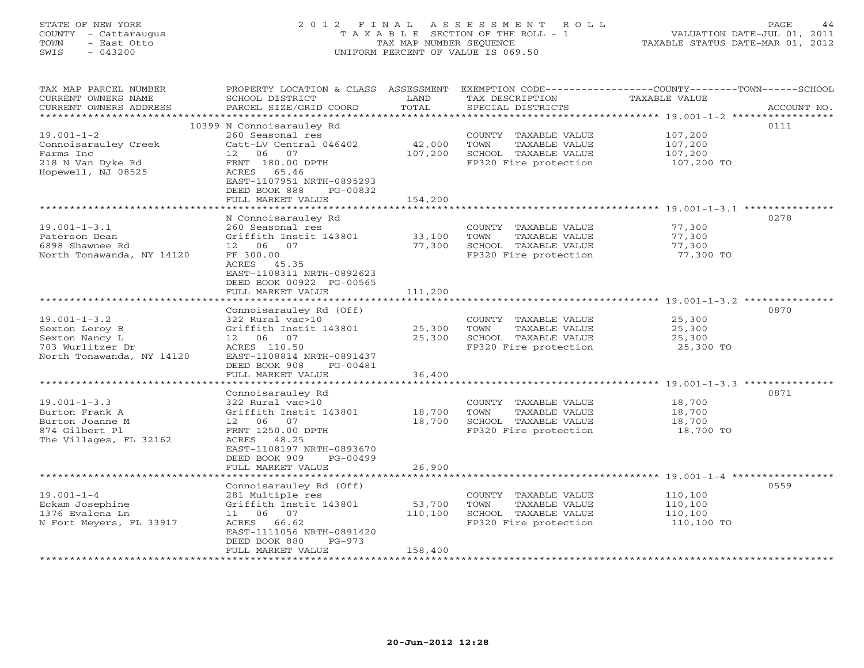# STATE OF NEW YORK 2 0 1 2 F I N A L A S S E S S M E N T R O L L PAGE 44 COUNTY - Cattaraugus T A X A B L E SECTION OF THE ROLL - 1 VALUATION DATE-JUL 01, 2011 TOWN - East Otto TAX MAP NUMBER SEQUENCE TAXABLE STATUS DATE-MAR 01, 2012 SWIS - 043200 UNIFORM PERCENT OF VALUE IS 069.50UNIFORM PERCENT OF VALUE IS 069.50

| TAX MAP PARCEL NUMBER     |                                       |         |                       | PROPERTY LOCATION & CLASS ASSESSMENT EXEMPTION CODE---------------COUNTY-------TOWN-----SCHOOL |  |
|---------------------------|---------------------------------------|---------|-----------------------|------------------------------------------------------------------------------------------------|--|
| CURRENT OWNERS NAME       | SCHOOL DISTRICT                       | LAND    | TAX DESCRIPTION       | TAXABLE VALUE                                                                                  |  |
| CURRENT OWNERS ADDRESS    | PARCEL SIZE/GRID COORD                | TOTAL   | SPECIAL DISTRICTS     | ACCOUNT NO.                                                                                    |  |
|                           |                                       |         |                       |                                                                                                |  |
|                           | 10399 N Connoisarauley Rd             |         |                       | 0111                                                                                           |  |
| $19.001 - 1 - 2$          | 260 Seasonal res                      |         | COUNTY TAXABLE VALUE  | 107,200                                                                                        |  |
| Connoisarauley Creek      | Catt-LV Central 046402                | 42,000  | TOWN<br>TAXABLE VALUE | 107,200                                                                                        |  |
| Farms Inc                 | 12 06 07                              | 107,200 | SCHOOL TAXABLE VALUE  | 107,200                                                                                        |  |
| 218 N Van Dyke Rd         | FRNT 180.00 DPTH                      |         | FP320 Fire protection | 107,200 TO                                                                                     |  |
| Hopewell, NJ 08525        | ACRES 65.46                           |         |                       |                                                                                                |  |
|                           | EAST-1107951 NRTH-0895293             |         |                       |                                                                                                |  |
|                           | DEED BOOK 888<br>PG-00832             |         |                       |                                                                                                |  |
|                           | FULL MARKET VALUE                     | 154,200 |                       |                                                                                                |  |
|                           |                                       |         |                       |                                                                                                |  |
|                           | N Connoisarauley Rd                   |         |                       | 0278                                                                                           |  |
| $19.001 - 1 - 3.1$        | 260 Seasonal res                      |         | COUNTY TAXABLE VALUE  | 77,300                                                                                         |  |
| Paterson Dean             | Griffith Instit 143801                | 33,100  | TOWN<br>TAXABLE VALUE | 77,300                                                                                         |  |
| 6898 Shawnee Rd           | 12  06  07                            | 77,300  | SCHOOL TAXABLE VALUE  | 77,300                                                                                         |  |
| North Tonawanda, NY 14120 | FF 300.00                             |         | FP320 Fire protection | 77,300 TO                                                                                      |  |
|                           | ACRES 45.35                           |         |                       |                                                                                                |  |
|                           | EAST-1108311 NRTH-0892623             |         |                       |                                                                                                |  |
|                           | DEED BOOK 00922 PG-00565              |         |                       |                                                                                                |  |
|                           | FULL MARKET VALUE                     | 111,200 |                       |                                                                                                |  |
|                           |                                       |         |                       |                                                                                                |  |
|                           | Connoisarauley Rd (Off)               |         |                       | 0870                                                                                           |  |
| $19.001 - 1 - 3.2$        | 322 Rural vac>10                      |         | COUNTY TAXABLE VALUE  | 25,300                                                                                         |  |
| Sexton Leroy B            | Griffith Instit 143801                | 25,300  | TOWN<br>TAXABLE VALUE | 25,300                                                                                         |  |
| Sexton Nancy L            | 12  06  07                            | 25,300  | SCHOOL TAXABLE VALUE  | 25,300                                                                                         |  |
| 703 Wurlitzer Dr          | ACRES 110.50                          |         | FP320 Fire protection | 25,300 TO                                                                                      |  |
| North Tonawanda, NY 14120 | EAST-1108814 NRTH-0891437             |         |                       |                                                                                                |  |
|                           | DEED BOOK 908<br>PG-00481             |         |                       |                                                                                                |  |
|                           | FULL MARKET VALUE                     | 36,400  |                       |                                                                                                |  |
|                           |                                       |         |                       | 0871                                                                                           |  |
| $19.001 - 1 - 3.3$        | Connoisarauley Rd<br>322 Rural vac>10 |         | COUNTY TAXABLE VALUE  | 18,700                                                                                         |  |
| Burton Frank A            | Griffith Instit 143801                | 18,700  | TOWN<br>TAXABLE VALUE | 18,700                                                                                         |  |
| Burton Joanne M           | 12 06 07                              | 18,700  | SCHOOL TAXABLE VALUE  | 18,700                                                                                         |  |
| 874 Gilbert Pl            | FRNT 1250.00 DPTH                     |         | FP320 Fire protection | 18,700 TO                                                                                      |  |
| The Villages, FL 32162    | ACRES 48.25                           |         |                       |                                                                                                |  |
|                           | EAST-1108197 NRTH-0893670             |         |                       |                                                                                                |  |
|                           | DEED BOOK 909<br>PG-00499             |         |                       |                                                                                                |  |
|                           | FULL MARKET VALUE                     | 26,900  |                       |                                                                                                |  |
|                           |                                       |         |                       |                                                                                                |  |
|                           | Connoisarauley Rd (Off)               |         |                       | 0559                                                                                           |  |
| $19.001 - 1 - 4$          | 281 Multiple res                      |         | COUNTY TAXABLE VALUE  | 110,100                                                                                        |  |
| Eckam Josephine           | Griffith Instit 143801                | 53,700  | TOWN<br>TAXABLE VALUE | 110,100                                                                                        |  |
| 1376 Evalena Ln           | 11 06 07                              | 110,100 | SCHOOL TAXABLE VALUE  | 110,100                                                                                        |  |
| N Fort Meyers, FL 33917   | ACRES 66.62                           |         | FP320 Fire protection | 110,100 TO                                                                                     |  |
|                           | EAST-1111056 NRTH-0891420             |         |                       |                                                                                                |  |
|                           | DEED BOOK 880<br>PG-973               |         |                       |                                                                                                |  |
|                           | FULL MARKET VALUE                     | 158,400 |                       |                                                                                                |  |
|                           |                                       |         |                       |                                                                                                |  |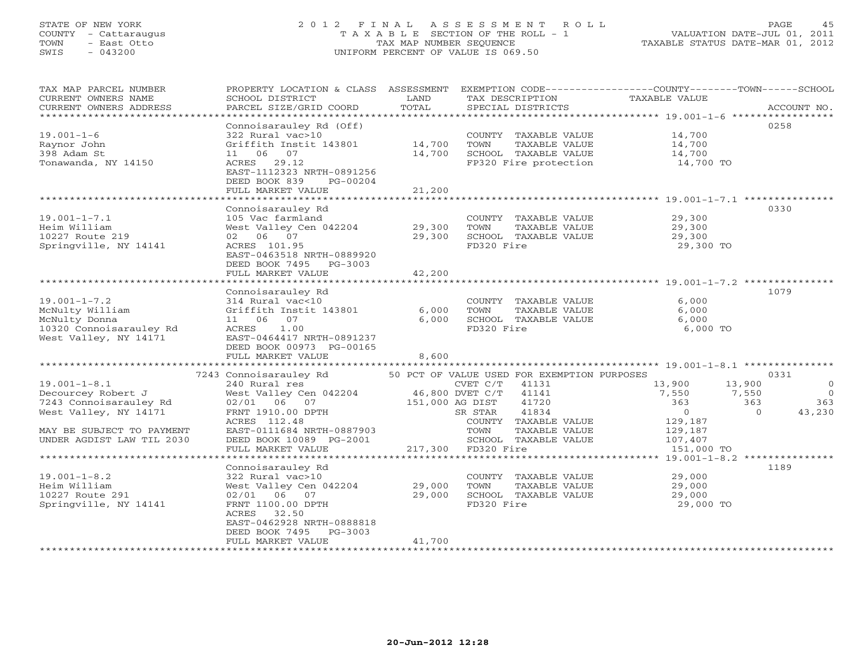# STATE OF NEW YORK 2 0 1 2 F I N A L A S S E S S M E N T R O L L PAGE 45 COUNTY - Cattaraugus T A X A B L E SECTION OF THE ROLL - 1 VALUATION DATE-JUL 01, 2011 TOWN - East Otto TAX MAP NUMBER SEQUENCE TAXABLE STATUS DATE-MAR 01, 2012 SWIS - 043200 UNIFORM PERCENT OF VALUE IS 069.50UNIFORM PERCENT OF VALUE IS 069.50

| TOTAL<br>CURRENT OWNERS ADDRESS<br>PARCEL SIZE/GRID COORD<br>SPECIAL DISTRICTS<br>ACCOUNT NO.<br>************************<br>0258<br>Connoisarauley Rd (Off)<br>$19.001 - 1 - 6$<br>322 Rural vac>10<br>COUNTY TAXABLE VALUE<br>14,700<br>14,700<br>Griffith Instit 143801<br>TOWN<br>TAXABLE VALUE<br>14,700<br>Raynor John<br>398 Adam St<br>11 06 07<br>14,700<br>SCHOOL TAXABLE VALUE<br>14,700<br>Tonawanda, NY 14150<br>ACRES 29.12<br>FP320 Fire protection<br>14,700 TO<br>EAST-1112323 NRTH-0891256<br>DEED BOOK 839<br>PG-00204<br>FULL MARKET VALUE<br>21,200<br>Connoisarauley Rd<br>0330<br>$19.001 - 1 - 7.1$<br>105 Vac farmland<br>29,300<br>COUNTY TAXABLE VALUE<br>West Valley Cen 042204<br>Heim William<br>29,300<br>TOWN<br>TAXABLE VALUE<br>29,300<br>02 06 07<br>10227 Route 219<br>29,300<br>SCHOOL TAXABLE VALUE<br>29,300<br>ACRES 101.95<br>FD320 Fire<br>Springville, NY 14141<br>29,300 TO<br>EAST-0463518 NRTH-0889920<br>DEED BOOK 7495 PG-3003<br>42,200<br>FULL MARKET VALUE<br>1079<br>Connoisarauley Rd<br>$19.001 - 1 - 7.2$<br>314 Rural vac<10<br>6,000<br>COUNTY TAXABLE VALUE<br>McNulty William<br>6,000<br>Griffith Instit 143801<br>6,000<br>TAXABLE VALUE<br>TOWN<br>11 06 07<br>6,000<br>SCHOOL TAXABLE VALUE<br>McNulty Donna<br>6,000<br>10320 Connoisarauley Rd<br>1.00<br>FD320 Fire<br>6,000 TO<br>ACRES<br>West Valley, NY 14171<br>EAST-0464417 NRTH-0891237<br>DEED BOOK 00973 PG-00165<br>FULL MARKET VALUE<br>8,600<br>7243 Connoisarauley Rd<br>50 PCT OF VALUE USED FOR EXEMPTION PURPOSES<br>0331<br>$19.001 - 1 - 8.1$<br>240 Rural res<br>41131<br>13,900<br>13,900<br>$\mathbf{0}$<br>CVET C/T<br>Decourcey Robert J<br>West Valley Cen 042204<br>46,800 DVET C/T<br>41141<br>7,550<br>7,550<br>$\Omega$<br>7243 Connoisarauley Rd<br>02/01 06 07<br>151,000 AG DIST<br>41720<br>363<br>363<br>363<br>41834<br>$\Omega$<br>43,230<br>West Valley, NY 14171<br>FRNT 1910.00 DPTH<br>SR STAR<br>$\Omega$<br>129,187<br>ACRES 112.48<br>COUNTY TAXABLE VALUE<br>MAY BE SUBJECT TO PAYMENT<br>EAST-0111684 NRTH-0887903<br>TOWN<br>TAXABLE VALUE<br>129,187<br>UNDER AGDIST LAW TIL 2030<br>DEED BOOK 10089 PG-2001<br>SCHOOL TAXABLE VALUE<br>107,407<br>217,300 FD320 Fire<br>FULL MARKET VALUE<br>151,000 TO<br>**********************************<br>********** 19.001-1-8.2 ***************<br>1189<br>Connoisarauley Rd<br>$19.001 - 1 - 8.2$<br>322 Rural vac>10<br>COUNTY TAXABLE VALUE<br>29,000<br>29,000<br>Heim William<br>West Valley Cen 042204<br>TOWN<br>TAXABLE VALUE<br>29,000<br>29,000<br>10227 Route 291<br>02/01 06 07<br>SCHOOL TAXABLE VALUE<br>29,000<br>FD320 Fire<br>Springville, NY 14141<br>FRNT 1100.00 DPTH<br>29,000 TO<br>32.50<br>ACRES<br>EAST-0462928 NRTH-0888818<br>DEED BOOK 7495<br>$PG-3003$<br>41,700<br>FULL MARKET VALUE | TAX MAP PARCEL NUMBER | PROPERTY LOCATION & CLASS ASSESSMENT |      |                 | EXEMPTION CODE----------------COUNTY-------TOWN-----SCHOOL |  |
|-------------------------------------------------------------------------------------------------------------------------------------------------------------------------------------------------------------------------------------------------------------------------------------------------------------------------------------------------------------------------------------------------------------------------------------------------------------------------------------------------------------------------------------------------------------------------------------------------------------------------------------------------------------------------------------------------------------------------------------------------------------------------------------------------------------------------------------------------------------------------------------------------------------------------------------------------------------------------------------------------------------------------------------------------------------------------------------------------------------------------------------------------------------------------------------------------------------------------------------------------------------------------------------------------------------------------------------------------------------------------------------------------------------------------------------------------------------------------------------------------------------------------------------------------------------------------------------------------------------------------------------------------------------------------------------------------------------------------------------------------------------------------------------------------------------------------------------------------------------------------------------------------------------------------------------------------------------------------------------------------------------------------------------------------------------------------------------------------------------------------------------------------------------------------------------------------------------------------------------------------------------------------------------------------------------------------------------------------------------------------------------------------------------------------------------------------------------------------------------------------------------------------------------------------------------------------------------------------------------------------------------------------------------------------------------------------------------------------------------------------------------------------------------------------------------------------------|-----------------------|--------------------------------------|------|-----------------|------------------------------------------------------------|--|
|                                                                                                                                                                                                                                                                                                                                                                                                                                                                                                                                                                                                                                                                                                                                                                                                                                                                                                                                                                                                                                                                                                                                                                                                                                                                                                                                                                                                                                                                                                                                                                                                                                                                                                                                                                                                                                                                                                                                                                                                                                                                                                                                                                                                                                                                                                                                                                                                                                                                                                                                                                                                                                                                                                                                                                                                                               | CURRENT OWNERS NAME   | SCHOOL DISTRICT                      | LAND | TAX DESCRIPTION | TAXABLE VALUE                                              |  |
|                                                                                                                                                                                                                                                                                                                                                                                                                                                                                                                                                                                                                                                                                                                                                                                                                                                                                                                                                                                                                                                                                                                                                                                                                                                                                                                                                                                                                                                                                                                                                                                                                                                                                                                                                                                                                                                                                                                                                                                                                                                                                                                                                                                                                                                                                                                                                                                                                                                                                                                                                                                                                                                                                                                                                                                                                               |                       |                                      |      |                 |                                                            |  |
|                                                                                                                                                                                                                                                                                                                                                                                                                                                                                                                                                                                                                                                                                                                                                                                                                                                                                                                                                                                                                                                                                                                                                                                                                                                                                                                                                                                                                                                                                                                                                                                                                                                                                                                                                                                                                                                                                                                                                                                                                                                                                                                                                                                                                                                                                                                                                                                                                                                                                                                                                                                                                                                                                                                                                                                                                               |                       |                                      |      |                 |                                                            |  |
|                                                                                                                                                                                                                                                                                                                                                                                                                                                                                                                                                                                                                                                                                                                                                                                                                                                                                                                                                                                                                                                                                                                                                                                                                                                                                                                                                                                                                                                                                                                                                                                                                                                                                                                                                                                                                                                                                                                                                                                                                                                                                                                                                                                                                                                                                                                                                                                                                                                                                                                                                                                                                                                                                                                                                                                                                               |                       |                                      |      |                 |                                                            |  |
|                                                                                                                                                                                                                                                                                                                                                                                                                                                                                                                                                                                                                                                                                                                                                                                                                                                                                                                                                                                                                                                                                                                                                                                                                                                                                                                                                                                                                                                                                                                                                                                                                                                                                                                                                                                                                                                                                                                                                                                                                                                                                                                                                                                                                                                                                                                                                                                                                                                                                                                                                                                                                                                                                                                                                                                                                               |                       |                                      |      |                 |                                                            |  |
|                                                                                                                                                                                                                                                                                                                                                                                                                                                                                                                                                                                                                                                                                                                                                                                                                                                                                                                                                                                                                                                                                                                                                                                                                                                                                                                                                                                                                                                                                                                                                                                                                                                                                                                                                                                                                                                                                                                                                                                                                                                                                                                                                                                                                                                                                                                                                                                                                                                                                                                                                                                                                                                                                                                                                                                                                               |                       |                                      |      |                 |                                                            |  |
|                                                                                                                                                                                                                                                                                                                                                                                                                                                                                                                                                                                                                                                                                                                                                                                                                                                                                                                                                                                                                                                                                                                                                                                                                                                                                                                                                                                                                                                                                                                                                                                                                                                                                                                                                                                                                                                                                                                                                                                                                                                                                                                                                                                                                                                                                                                                                                                                                                                                                                                                                                                                                                                                                                                                                                                                                               |                       |                                      |      |                 |                                                            |  |
|                                                                                                                                                                                                                                                                                                                                                                                                                                                                                                                                                                                                                                                                                                                                                                                                                                                                                                                                                                                                                                                                                                                                                                                                                                                                                                                                                                                                                                                                                                                                                                                                                                                                                                                                                                                                                                                                                                                                                                                                                                                                                                                                                                                                                                                                                                                                                                                                                                                                                                                                                                                                                                                                                                                                                                                                                               |                       |                                      |      |                 |                                                            |  |
|                                                                                                                                                                                                                                                                                                                                                                                                                                                                                                                                                                                                                                                                                                                                                                                                                                                                                                                                                                                                                                                                                                                                                                                                                                                                                                                                                                                                                                                                                                                                                                                                                                                                                                                                                                                                                                                                                                                                                                                                                                                                                                                                                                                                                                                                                                                                                                                                                                                                                                                                                                                                                                                                                                                                                                                                                               |                       |                                      |      |                 |                                                            |  |
|                                                                                                                                                                                                                                                                                                                                                                                                                                                                                                                                                                                                                                                                                                                                                                                                                                                                                                                                                                                                                                                                                                                                                                                                                                                                                                                                                                                                                                                                                                                                                                                                                                                                                                                                                                                                                                                                                                                                                                                                                                                                                                                                                                                                                                                                                                                                                                                                                                                                                                                                                                                                                                                                                                                                                                                                                               |                       |                                      |      |                 |                                                            |  |
|                                                                                                                                                                                                                                                                                                                                                                                                                                                                                                                                                                                                                                                                                                                                                                                                                                                                                                                                                                                                                                                                                                                                                                                                                                                                                                                                                                                                                                                                                                                                                                                                                                                                                                                                                                                                                                                                                                                                                                                                                                                                                                                                                                                                                                                                                                                                                                                                                                                                                                                                                                                                                                                                                                                                                                                                                               |                       |                                      |      |                 |                                                            |  |
|                                                                                                                                                                                                                                                                                                                                                                                                                                                                                                                                                                                                                                                                                                                                                                                                                                                                                                                                                                                                                                                                                                                                                                                                                                                                                                                                                                                                                                                                                                                                                                                                                                                                                                                                                                                                                                                                                                                                                                                                                                                                                                                                                                                                                                                                                                                                                                                                                                                                                                                                                                                                                                                                                                                                                                                                                               |                       |                                      |      |                 |                                                            |  |
|                                                                                                                                                                                                                                                                                                                                                                                                                                                                                                                                                                                                                                                                                                                                                                                                                                                                                                                                                                                                                                                                                                                                                                                                                                                                                                                                                                                                                                                                                                                                                                                                                                                                                                                                                                                                                                                                                                                                                                                                                                                                                                                                                                                                                                                                                                                                                                                                                                                                                                                                                                                                                                                                                                                                                                                                                               |                       |                                      |      |                 |                                                            |  |
|                                                                                                                                                                                                                                                                                                                                                                                                                                                                                                                                                                                                                                                                                                                                                                                                                                                                                                                                                                                                                                                                                                                                                                                                                                                                                                                                                                                                                                                                                                                                                                                                                                                                                                                                                                                                                                                                                                                                                                                                                                                                                                                                                                                                                                                                                                                                                                                                                                                                                                                                                                                                                                                                                                                                                                                                                               |                       |                                      |      |                 |                                                            |  |
|                                                                                                                                                                                                                                                                                                                                                                                                                                                                                                                                                                                                                                                                                                                                                                                                                                                                                                                                                                                                                                                                                                                                                                                                                                                                                                                                                                                                                                                                                                                                                                                                                                                                                                                                                                                                                                                                                                                                                                                                                                                                                                                                                                                                                                                                                                                                                                                                                                                                                                                                                                                                                                                                                                                                                                                                                               |                       |                                      |      |                 |                                                            |  |
|                                                                                                                                                                                                                                                                                                                                                                                                                                                                                                                                                                                                                                                                                                                                                                                                                                                                                                                                                                                                                                                                                                                                                                                                                                                                                                                                                                                                                                                                                                                                                                                                                                                                                                                                                                                                                                                                                                                                                                                                                                                                                                                                                                                                                                                                                                                                                                                                                                                                                                                                                                                                                                                                                                                                                                                                                               |                       |                                      |      |                 |                                                            |  |
|                                                                                                                                                                                                                                                                                                                                                                                                                                                                                                                                                                                                                                                                                                                                                                                                                                                                                                                                                                                                                                                                                                                                                                                                                                                                                                                                                                                                                                                                                                                                                                                                                                                                                                                                                                                                                                                                                                                                                                                                                                                                                                                                                                                                                                                                                                                                                                                                                                                                                                                                                                                                                                                                                                                                                                                                                               |                       |                                      |      |                 |                                                            |  |
|                                                                                                                                                                                                                                                                                                                                                                                                                                                                                                                                                                                                                                                                                                                                                                                                                                                                                                                                                                                                                                                                                                                                                                                                                                                                                                                                                                                                                                                                                                                                                                                                                                                                                                                                                                                                                                                                                                                                                                                                                                                                                                                                                                                                                                                                                                                                                                                                                                                                                                                                                                                                                                                                                                                                                                                                                               |                       |                                      |      |                 |                                                            |  |
|                                                                                                                                                                                                                                                                                                                                                                                                                                                                                                                                                                                                                                                                                                                                                                                                                                                                                                                                                                                                                                                                                                                                                                                                                                                                                                                                                                                                                                                                                                                                                                                                                                                                                                                                                                                                                                                                                                                                                                                                                                                                                                                                                                                                                                                                                                                                                                                                                                                                                                                                                                                                                                                                                                                                                                                                                               |                       |                                      |      |                 |                                                            |  |
|                                                                                                                                                                                                                                                                                                                                                                                                                                                                                                                                                                                                                                                                                                                                                                                                                                                                                                                                                                                                                                                                                                                                                                                                                                                                                                                                                                                                                                                                                                                                                                                                                                                                                                                                                                                                                                                                                                                                                                                                                                                                                                                                                                                                                                                                                                                                                                                                                                                                                                                                                                                                                                                                                                                                                                                                                               |                       |                                      |      |                 |                                                            |  |
|                                                                                                                                                                                                                                                                                                                                                                                                                                                                                                                                                                                                                                                                                                                                                                                                                                                                                                                                                                                                                                                                                                                                                                                                                                                                                                                                                                                                                                                                                                                                                                                                                                                                                                                                                                                                                                                                                                                                                                                                                                                                                                                                                                                                                                                                                                                                                                                                                                                                                                                                                                                                                                                                                                                                                                                                                               |                       |                                      |      |                 |                                                            |  |
|                                                                                                                                                                                                                                                                                                                                                                                                                                                                                                                                                                                                                                                                                                                                                                                                                                                                                                                                                                                                                                                                                                                                                                                                                                                                                                                                                                                                                                                                                                                                                                                                                                                                                                                                                                                                                                                                                                                                                                                                                                                                                                                                                                                                                                                                                                                                                                                                                                                                                                                                                                                                                                                                                                                                                                                                                               |                       |                                      |      |                 |                                                            |  |
|                                                                                                                                                                                                                                                                                                                                                                                                                                                                                                                                                                                                                                                                                                                                                                                                                                                                                                                                                                                                                                                                                                                                                                                                                                                                                                                                                                                                                                                                                                                                                                                                                                                                                                                                                                                                                                                                                                                                                                                                                                                                                                                                                                                                                                                                                                                                                                                                                                                                                                                                                                                                                                                                                                                                                                                                                               |                       |                                      |      |                 |                                                            |  |
|                                                                                                                                                                                                                                                                                                                                                                                                                                                                                                                                                                                                                                                                                                                                                                                                                                                                                                                                                                                                                                                                                                                                                                                                                                                                                                                                                                                                                                                                                                                                                                                                                                                                                                                                                                                                                                                                                                                                                                                                                                                                                                                                                                                                                                                                                                                                                                                                                                                                                                                                                                                                                                                                                                                                                                                                                               |                       |                                      |      |                 |                                                            |  |
|                                                                                                                                                                                                                                                                                                                                                                                                                                                                                                                                                                                                                                                                                                                                                                                                                                                                                                                                                                                                                                                                                                                                                                                                                                                                                                                                                                                                                                                                                                                                                                                                                                                                                                                                                                                                                                                                                                                                                                                                                                                                                                                                                                                                                                                                                                                                                                                                                                                                                                                                                                                                                                                                                                                                                                                                                               |                       |                                      |      |                 |                                                            |  |
|                                                                                                                                                                                                                                                                                                                                                                                                                                                                                                                                                                                                                                                                                                                                                                                                                                                                                                                                                                                                                                                                                                                                                                                                                                                                                                                                                                                                                                                                                                                                                                                                                                                                                                                                                                                                                                                                                                                                                                                                                                                                                                                                                                                                                                                                                                                                                                                                                                                                                                                                                                                                                                                                                                                                                                                                                               |                       |                                      |      |                 |                                                            |  |
|                                                                                                                                                                                                                                                                                                                                                                                                                                                                                                                                                                                                                                                                                                                                                                                                                                                                                                                                                                                                                                                                                                                                                                                                                                                                                                                                                                                                                                                                                                                                                                                                                                                                                                                                                                                                                                                                                                                                                                                                                                                                                                                                                                                                                                                                                                                                                                                                                                                                                                                                                                                                                                                                                                                                                                                                                               |                       |                                      |      |                 |                                                            |  |
|                                                                                                                                                                                                                                                                                                                                                                                                                                                                                                                                                                                                                                                                                                                                                                                                                                                                                                                                                                                                                                                                                                                                                                                                                                                                                                                                                                                                                                                                                                                                                                                                                                                                                                                                                                                                                                                                                                                                                                                                                                                                                                                                                                                                                                                                                                                                                                                                                                                                                                                                                                                                                                                                                                                                                                                                                               |                       |                                      |      |                 |                                                            |  |
|                                                                                                                                                                                                                                                                                                                                                                                                                                                                                                                                                                                                                                                                                                                                                                                                                                                                                                                                                                                                                                                                                                                                                                                                                                                                                                                                                                                                                                                                                                                                                                                                                                                                                                                                                                                                                                                                                                                                                                                                                                                                                                                                                                                                                                                                                                                                                                                                                                                                                                                                                                                                                                                                                                                                                                                                                               |                       |                                      |      |                 |                                                            |  |
|                                                                                                                                                                                                                                                                                                                                                                                                                                                                                                                                                                                                                                                                                                                                                                                                                                                                                                                                                                                                                                                                                                                                                                                                                                                                                                                                                                                                                                                                                                                                                                                                                                                                                                                                                                                                                                                                                                                                                                                                                                                                                                                                                                                                                                                                                                                                                                                                                                                                                                                                                                                                                                                                                                                                                                                                                               |                       |                                      |      |                 |                                                            |  |
|                                                                                                                                                                                                                                                                                                                                                                                                                                                                                                                                                                                                                                                                                                                                                                                                                                                                                                                                                                                                                                                                                                                                                                                                                                                                                                                                                                                                                                                                                                                                                                                                                                                                                                                                                                                                                                                                                                                                                                                                                                                                                                                                                                                                                                                                                                                                                                                                                                                                                                                                                                                                                                                                                                                                                                                                                               |                       |                                      |      |                 |                                                            |  |
|                                                                                                                                                                                                                                                                                                                                                                                                                                                                                                                                                                                                                                                                                                                                                                                                                                                                                                                                                                                                                                                                                                                                                                                                                                                                                                                                                                                                                                                                                                                                                                                                                                                                                                                                                                                                                                                                                                                                                                                                                                                                                                                                                                                                                                                                                                                                                                                                                                                                                                                                                                                                                                                                                                                                                                                                                               |                       |                                      |      |                 |                                                            |  |
|                                                                                                                                                                                                                                                                                                                                                                                                                                                                                                                                                                                                                                                                                                                                                                                                                                                                                                                                                                                                                                                                                                                                                                                                                                                                                                                                                                                                                                                                                                                                                                                                                                                                                                                                                                                                                                                                                                                                                                                                                                                                                                                                                                                                                                                                                                                                                                                                                                                                                                                                                                                                                                                                                                                                                                                                                               |                       |                                      |      |                 |                                                            |  |
|                                                                                                                                                                                                                                                                                                                                                                                                                                                                                                                                                                                                                                                                                                                                                                                                                                                                                                                                                                                                                                                                                                                                                                                                                                                                                                                                                                                                                                                                                                                                                                                                                                                                                                                                                                                                                                                                                                                                                                                                                                                                                                                                                                                                                                                                                                                                                                                                                                                                                                                                                                                                                                                                                                                                                                                                                               |                       |                                      |      |                 |                                                            |  |
|                                                                                                                                                                                                                                                                                                                                                                                                                                                                                                                                                                                                                                                                                                                                                                                                                                                                                                                                                                                                                                                                                                                                                                                                                                                                                                                                                                                                                                                                                                                                                                                                                                                                                                                                                                                                                                                                                                                                                                                                                                                                                                                                                                                                                                                                                                                                                                                                                                                                                                                                                                                                                                                                                                                                                                                                                               |                       |                                      |      |                 |                                                            |  |
|                                                                                                                                                                                                                                                                                                                                                                                                                                                                                                                                                                                                                                                                                                                                                                                                                                                                                                                                                                                                                                                                                                                                                                                                                                                                                                                                                                                                                                                                                                                                                                                                                                                                                                                                                                                                                                                                                                                                                                                                                                                                                                                                                                                                                                                                                                                                                                                                                                                                                                                                                                                                                                                                                                                                                                                                                               |                       |                                      |      |                 |                                                            |  |
|                                                                                                                                                                                                                                                                                                                                                                                                                                                                                                                                                                                                                                                                                                                                                                                                                                                                                                                                                                                                                                                                                                                                                                                                                                                                                                                                                                                                                                                                                                                                                                                                                                                                                                                                                                                                                                                                                                                                                                                                                                                                                                                                                                                                                                                                                                                                                                                                                                                                                                                                                                                                                                                                                                                                                                                                                               |                       |                                      |      |                 |                                                            |  |
|                                                                                                                                                                                                                                                                                                                                                                                                                                                                                                                                                                                                                                                                                                                                                                                                                                                                                                                                                                                                                                                                                                                                                                                                                                                                                                                                                                                                                                                                                                                                                                                                                                                                                                                                                                                                                                                                                                                                                                                                                                                                                                                                                                                                                                                                                                                                                                                                                                                                                                                                                                                                                                                                                                                                                                                                                               |                       |                                      |      |                 |                                                            |  |
|                                                                                                                                                                                                                                                                                                                                                                                                                                                                                                                                                                                                                                                                                                                                                                                                                                                                                                                                                                                                                                                                                                                                                                                                                                                                                                                                                                                                                                                                                                                                                                                                                                                                                                                                                                                                                                                                                                                                                                                                                                                                                                                                                                                                                                                                                                                                                                                                                                                                                                                                                                                                                                                                                                                                                                                                                               |                       |                                      |      |                 |                                                            |  |
|                                                                                                                                                                                                                                                                                                                                                                                                                                                                                                                                                                                                                                                                                                                                                                                                                                                                                                                                                                                                                                                                                                                                                                                                                                                                                                                                                                                                                                                                                                                                                                                                                                                                                                                                                                                                                                                                                                                                                                                                                                                                                                                                                                                                                                                                                                                                                                                                                                                                                                                                                                                                                                                                                                                                                                                                                               |                       |                                      |      |                 |                                                            |  |
|                                                                                                                                                                                                                                                                                                                                                                                                                                                                                                                                                                                                                                                                                                                                                                                                                                                                                                                                                                                                                                                                                                                                                                                                                                                                                                                                                                                                                                                                                                                                                                                                                                                                                                                                                                                                                                                                                                                                                                                                                                                                                                                                                                                                                                                                                                                                                                                                                                                                                                                                                                                                                                                                                                                                                                                                                               |                       |                                      |      |                 |                                                            |  |
|                                                                                                                                                                                                                                                                                                                                                                                                                                                                                                                                                                                                                                                                                                                                                                                                                                                                                                                                                                                                                                                                                                                                                                                                                                                                                                                                                                                                                                                                                                                                                                                                                                                                                                                                                                                                                                                                                                                                                                                                                                                                                                                                                                                                                                                                                                                                                                                                                                                                                                                                                                                                                                                                                                                                                                                                                               |                       |                                      |      |                 |                                                            |  |
|                                                                                                                                                                                                                                                                                                                                                                                                                                                                                                                                                                                                                                                                                                                                                                                                                                                                                                                                                                                                                                                                                                                                                                                                                                                                                                                                                                                                                                                                                                                                                                                                                                                                                                                                                                                                                                                                                                                                                                                                                                                                                                                                                                                                                                                                                                                                                                                                                                                                                                                                                                                                                                                                                                                                                                                                                               |                       |                                      |      |                 |                                                            |  |
|                                                                                                                                                                                                                                                                                                                                                                                                                                                                                                                                                                                                                                                                                                                                                                                                                                                                                                                                                                                                                                                                                                                                                                                                                                                                                                                                                                                                                                                                                                                                                                                                                                                                                                                                                                                                                                                                                                                                                                                                                                                                                                                                                                                                                                                                                                                                                                                                                                                                                                                                                                                                                                                                                                                                                                                                                               |                       |                                      |      |                 |                                                            |  |
|                                                                                                                                                                                                                                                                                                                                                                                                                                                                                                                                                                                                                                                                                                                                                                                                                                                                                                                                                                                                                                                                                                                                                                                                                                                                                                                                                                                                                                                                                                                                                                                                                                                                                                                                                                                                                                                                                                                                                                                                                                                                                                                                                                                                                                                                                                                                                                                                                                                                                                                                                                                                                                                                                                                                                                                                                               |                       |                                      |      |                 |                                                            |  |
|                                                                                                                                                                                                                                                                                                                                                                                                                                                                                                                                                                                                                                                                                                                                                                                                                                                                                                                                                                                                                                                                                                                                                                                                                                                                                                                                                                                                                                                                                                                                                                                                                                                                                                                                                                                                                                                                                                                                                                                                                                                                                                                                                                                                                                                                                                                                                                                                                                                                                                                                                                                                                                                                                                                                                                                                                               |                       |                                      |      |                 |                                                            |  |
|                                                                                                                                                                                                                                                                                                                                                                                                                                                                                                                                                                                                                                                                                                                                                                                                                                                                                                                                                                                                                                                                                                                                                                                                                                                                                                                                                                                                                                                                                                                                                                                                                                                                                                                                                                                                                                                                                                                                                                                                                                                                                                                                                                                                                                                                                                                                                                                                                                                                                                                                                                                                                                                                                                                                                                                                                               |                       |                                      |      |                 |                                                            |  |
|                                                                                                                                                                                                                                                                                                                                                                                                                                                                                                                                                                                                                                                                                                                                                                                                                                                                                                                                                                                                                                                                                                                                                                                                                                                                                                                                                                                                                                                                                                                                                                                                                                                                                                                                                                                                                                                                                                                                                                                                                                                                                                                                                                                                                                                                                                                                                                                                                                                                                                                                                                                                                                                                                                                                                                                                                               |                       |                                      |      |                 |                                                            |  |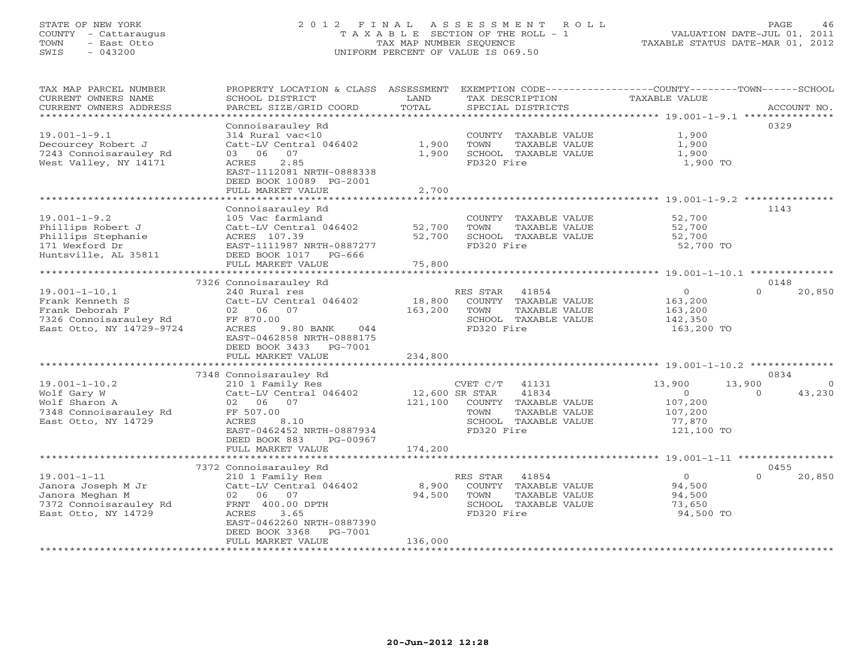# STATE OF NEW YORK 2 0 1 2 F I N A L A S S E S S M E N T R O L L PAGE 46 COUNTY - Cattaraugus T A X A B L E SECTION OF THE ROLL - 1 VALUATION DATE-JUL 01, 2011 TOWN - East Otto TAX MAP NUMBER SEQUENCE TAXABLE STATUS DATE-MAR 01, 2012 SWIS - 043200 UNIFORM PERCENT OF VALUE IS 069.50UNIFORM PERCENT OF VALUE IS 069.50

| TAX MAP PARCEL NUMBER<br>CURRENT OWNERS NAME<br>CURRENT OWNERS ADDRESS | PROPERTY LOCATION & CLASS ASSESSMENT<br>SCHOOL DISTRICT<br>PARCEL SIZE/GRID COORD | LAND<br>TOTAL  | TAX DESCRIPTION<br>SPECIAL DISTRICTS |               | EXEMPTION CODE-----------------COUNTY-------TOWN------SCHOOL<br>TAXABLE VALUE |          | ACCOUNT NO. |
|------------------------------------------------------------------------|-----------------------------------------------------------------------------------|----------------|--------------------------------------|---------------|-------------------------------------------------------------------------------|----------|-------------|
| *************************                                              |                                                                                   |                |                                      |               |                                                                               |          |             |
|                                                                        | Connoisarauley Rd                                                                 |                |                                      |               |                                                                               | 0329     |             |
| $19.001 - 1 - 9.1$                                                     | 314 Rural vac<10                                                                  |                | COUNTY TAXABLE VALUE                 |               | 1,900                                                                         |          |             |
| Decourcey Robert J                                                     | Catt-LV Central 046402                                                            | 1,900          | TOWN                                 | TAXABLE VALUE | 1,900                                                                         |          |             |
| 7243 Connoisarauley Rd                                                 | 07<br>03<br>06                                                                    | 1,900          | SCHOOL TAXABLE VALUE                 |               | 1,900                                                                         |          |             |
| West Valley, NY 14171                                                  | ACRES<br>2.85                                                                     |                | FD320 Fire                           |               | 1,900 TO                                                                      |          |             |
|                                                                        | EAST-1112081 NRTH-0888338                                                         |                |                                      |               |                                                                               |          |             |
|                                                                        | DEED BOOK 10089 PG-2001                                                           |                |                                      |               |                                                                               |          |             |
|                                                                        | FULL MARKET VALUE                                                                 | 2,700          |                                      |               |                                                                               |          |             |
|                                                                        |                                                                                   |                |                                      |               | ******************************* 19.001-1-9.2 **********                       |          |             |
|                                                                        | Connoisarauley Rd                                                                 |                |                                      |               |                                                                               | 1143     |             |
| $19.001 - 1 - 9.2$                                                     | 105 Vac farmland                                                                  |                | COUNTY TAXABLE VALUE                 |               | 52,700                                                                        |          |             |
| Phillips Robert J                                                      | Catt-LV Central 046402                                                            | 52,700         | TOWN                                 | TAXABLE VALUE | 52,700                                                                        |          |             |
| Phillips Stephanie                                                     | ACRES 107.39                                                                      | 52,700         | SCHOOL TAXABLE VALUE                 |               | 52,700                                                                        |          |             |
| 171 Wexford Dr                                                         | EAST-1111987 NRTH-0887277                                                         |                | FD320 Fire                           |               | 52,700 TO                                                                     |          |             |
| Huntsville, AL 35811                                                   | DEED BOOK 1017 PG-666                                                             |                |                                      |               |                                                                               |          |             |
|                                                                        | FULL MARKET VALUE                                                                 | 75,800         |                                      |               |                                                                               |          |             |
|                                                                        |                                                                                   |                |                                      |               |                                                                               |          |             |
|                                                                        | 7326 Connoisarauley Rd                                                            |                |                                      |               |                                                                               | 0148     |             |
| $19.001 - 1 - 10.1$                                                    | 240 Rural res                                                                     |                | RES STAR<br>41854                    |               | $\circ$                                                                       | $\Omega$ | 20,850      |
| Frank Kenneth S                                                        | Catt-LV Central 046402                                                            | 18,800         | COUNTY TAXABLE VALUE                 |               | 163,200                                                                       |          |             |
| Frank Deborah F                                                        | 07<br>02 06                                                                       | 163,200        | TOWN                                 | TAXABLE VALUE | 163,200                                                                       |          |             |
| 7326 Connoisarauley Rd                                                 | FF 870.00                                                                         |                | SCHOOL TAXABLE VALUE                 |               | 142,350                                                                       |          |             |
| East Otto, NY 14729-9724                                               | ACRES<br>9.80 BANK<br>044                                                         |                | FD320 Fire                           |               | 163,200 TO                                                                    |          |             |
|                                                                        | EAST-0462858 NRTH-0888175                                                         |                |                                      |               |                                                                               |          |             |
|                                                                        | DEED BOOK 3433 PG-7001                                                            |                |                                      |               |                                                                               |          |             |
|                                                                        | FULL MARKET VALUE                                                                 | 234,800        |                                      |               |                                                                               |          |             |
|                                                                        |                                                                                   |                |                                      |               |                                                                               |          |             |
|                                                                        | 7348 Connoisarauley Rd                                                            |                |                                      |               |                                                                               | 0834     |             |
| $19.001 - 1 - 10.2$                                                    | 210 1 Family Res                                                                  |                | CVET C/T<br>41131                    |               | 13,900                                                                        | 13,900   | $\Omega$    |
| Wolf Gary W                                                            | Catt-LV Central 046402                                                            | 12,600 SR STAR | 41834                                |               | $\circ$                                                                       | $\Omega$ | 43,230      |
| Wolf Sharon A                                                          | 02 06 07                                                                          | 121,100        | COUNTY TAXABLE VALUE                 |               | 107,200                                                                       |          |             |
| 7348 Connoisarauley Rd                                                 | FF 507.00                                                                         |                | TOWN                                 | TAXABLE VALUE | 107,200                                                                       |          |             |
| East Otto, NY 14729                                                    | ACRES<br>8.10                                                                     |                | SCHOOL TAXABLE VALUE                 |               | 77,870                                                                        |          |             |
|                                                                        | EAST-0462452 NRTH-0887934                                                         |                | FD320 Fire                           |               | 121,100 TO                                                                    |          |             |
|                                                                        | DEED BOOK 883<br>PG-00967                                                         |                |                                      |               |                                                                               |          |             |
|                                                                        | FULL MARKET VALUE                                                                 | 174,200        |                                      |               |                                                                               |          |             |
|                                                                        |                                                                                   |                |                                      |               |                                                                               |          |             |
|                                                                        | 7372 Connoisarauley Rd                                                            |                |                                      |               |                                                                               | 0455     |             |
| $19.001 - 1 - 11$                                                      | 210 1 Family Res                                                                  |                | RES STAR 41854                       |               | $\Omega$                                                                      | $\cap$   | 20,850      |
| Janora Joseph M Jr                                                     | Catt-LV Central 046402                                                            | 8,900          | COUNTY TAXABLE VALUE                 |               | 94,500                                                                        |          |             |
| Janora Meghan M                                                        | 02 06 07                                                                          | 94,500         | TOWN                                 | TAXABLE VALUE | 94,500                                                                        |          |             |
| 7372 Connoisarauley Rd                                                 | FRNT 400.00 DPTH                                                                  |                | SCHOOL TAXABLE VALUE                 |               | 73,650                                                                        |          |             |
| East Otto, NY 14729                                                    | 3.65<br>ACRES                                                                     |                | FD320 Fire                           |               | 94,500 TO                                                                     |          |             |
|                                                                        | EAST-0462260 NRTH-0887390                                                         |                |                                      |               |                                                                               |          |             |
|                                                                        | DEED BOOK 3368<br>PG-7001                                                         |                |                                      |               |                                                                               |          |             |
|                                                                        | FULL MARKET VALUE                                                                 | 136,000        |                                      |               |                                                                               |          |             |
|                                                                        |                                                                                   |                |                                      |               |                                                                               |          |             |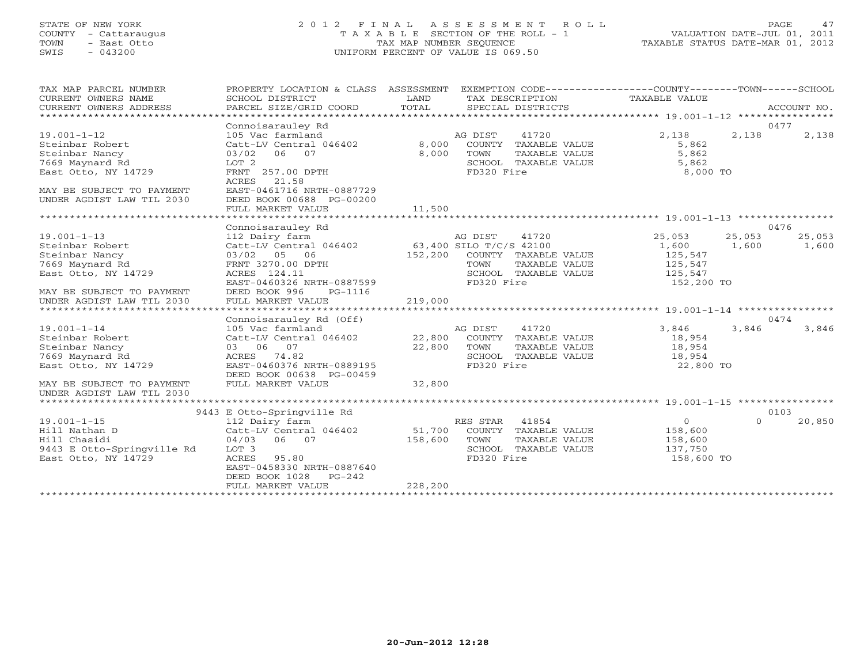# STATE OF NEW YORK 2 0 1 2 F I N A L A S S E S S M E N T R O L L PAGE 47 COUNTY - Cattaraugus T A X A B L E SECTION OF THE ROLL - 1 VALUATION DATE-JUL 01, 2011 TOWN - East Otto TAX MAP NUMBER SEQUENCE TAXABLE STATUS DATE-MAR 01, 2012 SWIS - 043200 UNIFORM PERCENT OF VALUE IS 069.50UNIFORM PERCENT OF VALUE IS 069.50

| TAX MAP PARCEL NUMBER<br>CURRENT OWNERS NAME<br>CURRENT OWNERS ADDRESS<br>*********************                                                            | PROPERTY LOCATION & CLASS ASSESSMENT<br>SCHOOL DISTRICT<br>PARCEL SIZE/GRID COORD                                                                                                                                         | LAND<br>TOTAL                | EXEMPTION CODE-----------------COUNTY-------TOWN------SCHOOL<br>TAX DESCRIPTION<br>SPECIAL DISTRICTS                               | TAXABLE VALUE                                                  |                 | ACCOUNT NO.             |
|------------------------------------------------------------------------------------------------------------------------------------------------------------|---------------------------------------------------------------------------------------------------------------------------------------------------------------------------------------------------------------------------|------------------------------|------------------------------------------------------------------------------------------------------------------------------------|----------------------------------------------------------------|-----------------|-------------------------|
| $19.001 - 1 - 12$<br>Steinbar Robert<br>Steinbar Nancy<br>7669 Maynard Rd<br>East Otto, NY 14729<br>MAY BE SUBJECT TO PAYMENT<br>UNDER AGDIST LAW TIL 2030 | Connoisarauley Rd<br>105 Vac farmland<br>Catt-LV Central 046402<br>06 07<br>03/02<br>LOT <sub>2</sub><br>FRNT 257.00 DPTH<br>ACRES<br>21.58<br>EAST-0461716 NRTH-0887729<br>DEED BOOK 00688 PG-00200<br>FULL MARKET VALUE | 8,000<br>8,000<br>11,500     | AG DIST<br>41720<br>COUNTY TAXABLE VALUE<br>TOWN<br>TAXABLE VALUE<br>SCHOOL TAXABLE VALUE<br>FD320 Fire                            | 2,138<br>5,862<br>5,862<br>5,862<br>8,000 TO                   | 2,138           | 0477<br>2,138           |
|                                                                                                                                                            |                                                                                                                                                                                                                           |                              |                                                                                                                                    |                                                                |                 |                         |
| $19.001 - 1 - 13$<br>Steinbar Robert<br>Steinbar Nancy<br>7669 Maynard Rd<br>East Otto, NY 14729<br>MAY BE SUBJECT TO PAYMENT                              | Connoisarauley Rd<br>112 Dairy farm<br>Catt-LV Central 046402<br>03/02 05 06<br>FRNT 3270.00 DPTH<br>ACRES 124.11<br>EAST-0460326 NRTH-0887599<br>DEED BOOK 996<br>PG-1116                                                | 152,200                      | AG DIST<br>41720<br>63,400 SILO T/C/S 42100<br>COUNTY TAXABLE VALUE<br>TOWN<br>TAXABLE VALUE<br>SCHOOL TAXABLE VALUE<br>FD320 Fire | 25,053<br>1,600<br>125,547<br>125,547<br>125,547<br>152,200 TO | 25,053<br>1,600 | 0476<br>25,053<br>1,600 |
| UNDER AGDIST LAW TIL 2030                                                                                                                                  | FULL MARKET VALUE                                                                                                                                                                                                         | 219,000                      |                                                                                                                                    |                                                                |                 |                         |
|                                                                                                                                                            |                                                                                                                                                                                                                           |                              |                                                                                                                                    |                                                                |                 |                         |
| $19.001 - 1 - 14$<br>Steinbar Robert<br>Steinbar Nancy<br>7669 Maynard Rd<br>East Otto, NY 14729                                                           | Connoisarauley Rd (Off)<br>105 Vac farmland<br>Catt-LV Central 046402<br>03 06 07<br>ACRES<br>74.82<br>EAST-0460376 NRTH-0889195<br>DEED BOOK 00638 PG-00459                                                              | 22,800<br>22,800             | 41720<br>AG DIST<br>COUNTY TAXABLE VALUE<br>TOWN<br>TAXABLE VALUE<br>SCHOOL TAXABLE VALUE<br>FD320 Fire                            | 3,846<br>18,954<br>18,954<br>18,954<br>22,800 TO               | 3,846           | 0474<br>3,846           |
| MAY BE SUBJECT TO PAYMENT<br>UNDER AGDIST LAW TIL 2030                                                                                                     | FULL MARKET VALUE                                                                                                                                                                                                         | 32,800                       |                                                                                                                                    |                                                                |                 |                         |
|                                                                                                                                                            | 9443 E Otto-Springville Rd                                                                                                                                                                                                |                              |                                                                                                                                    |                                                                |                 | 0103                    |
| $19.001 - 1 - 15$<br>Hill Nathan D<br>Hill Chasidi<br>9443 E Otto-Springville Rd<br>East Otto, NY 14729                                                    | 112 Dairy farm<br>Catt-LV Central 046402<br>04/03<br>06 07<br>LOT 3<br>ACRES<br>95.80<br>EAST-0458330 NRTH-0887640<br>DEED BOOK 1028<br>$PG-242$<br>FULL MARKET VALUE                                                     | 51,700<br>158,600<br>228,200 | RES STAR<br>41854<br>COUNTY TAXABLE VALUE<br>TOWN<br>TAXABLE VALUE<br>SCHOOL TAXABLE VALUE<br>FD320 Fire                           | $\circ$<br>158,600<br>158,600<br>137,750<br>158,600 TO         | $\Omega$        | 20,850                  |
|                                                                                                                                                            |                                                                                                                                                                                                                           |                              |                                                                                                                                    |                                                                |                 |                         |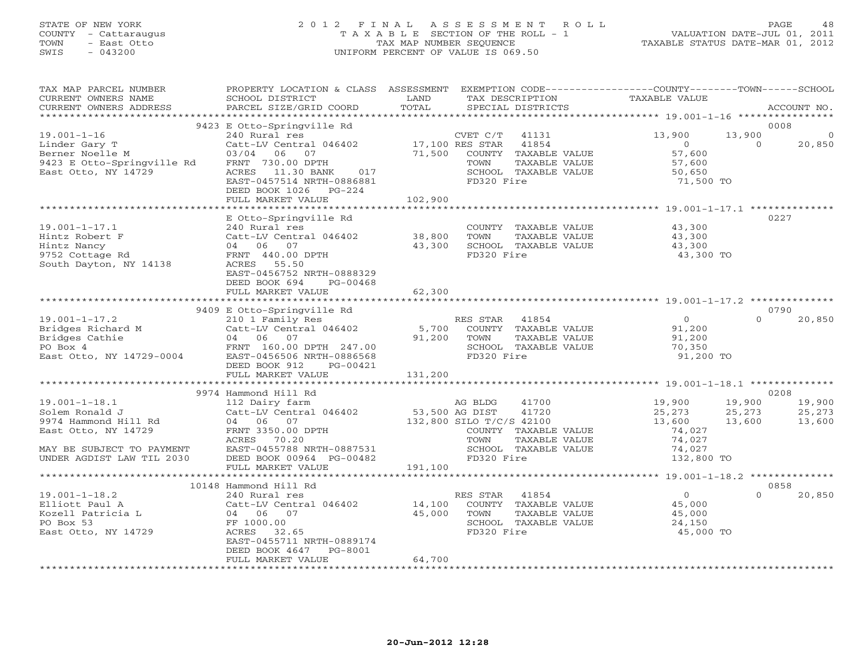# STATE OF NEW YORK 2 0 1 2 F I N A L A S S E S S M E N T R O L L PAGE 48 COUNTY - Cattaraugus T A X A B L E SECTION OF THE ROLL - 1 VALUATION DATE-JUL 01, 2011 TOWN - East Otto TAX MAP NUMBER SEQUENCE TAXABLE STATUS DATE-MAR 01, 2012 SWIS - 043200 UNIFORM PERCENT OF VALUE IS 069.50UNIFORM PERCENT OF VALUE IS 069.50

| TAX MAP PARCEL NUMBER                                                                                                                                                                                                                          | PROPERTY LOCATION & CLASS ASSESSMENT EXEMPTION CODE---------------COUNTY-------TOWN------SCHOOL |               |                                                      |                  |               |             |
|------------------------------------------------------------------------------------------------------------------------------------------------------------------------------------------------------------------------------------------------|-------------------------------------------------------------------------------------------------|---------------|------------------------------------------------------|------------------|---------------|-------------|
| CURRENT OWNERS NAME                                                                                                                                                                                                                            | SCHOOL DISTRICT                                                                                 | LAND<br>TOTAL | TAX DESCRIPTION                                      | TAXABLE VALUE    |               |             |
| CURRENT OWNERS ADDRESS                                                                                                                                                                                                                         | PARCEL SIZE/GRID COORD                                                                          |               | SPECIAL DISTRICTS                                    |                  |               | ACCOUNT NO. |
|                                                                                                                                                                                                                                                | 9423 E Otto-Springville Rd                                                                      |               |                                                      |                  |               | 0008        |
| $19.001 - 1 - 16$                                                                                                                                                                                                                              | 240 Rural res                                                                                   |               | CVET C/T<br>41131                                    | 13,900           | 13,900        | $\mathbf 0$ |
| Linder Gary T                                                                                                                                                                                                                                  | Catt-LV Central 046402                                                                          |               | 17,100 RES STAR 41854                                | $\overline{0}$   | $\Omega$      | 20,850      |
| Berner Noelle M                                                                                                                                                                                                                                | 03/04 06 07                                                                                     | 71,500        | COUNTY TAXABLE VALUE                                 | 57,600           |               |             |
| 9423 E Otto-Springville Rd FRNT 730.00 DPTH                                                                                                                                                                                                    |                                                                                                 |               | TAXABLE VALUE<br>TOWN                                |                  |               |             |
| East Otto, NY 14729                                                                                                                                                                                                                            | ACRES 11.30 BANK<br>017                                                                         |               | SCHOOL TAXABLE VALUE                                 | 57,600<br>50,650 |               |             |
|                                                                                                                                                                                                                                                | EAST-0457514 NRTH-0886881                                                                       |               | FD320 Fire                                           | 71,500 TO        |               |             |
|                                                                                                                                                                                                                                                | DEED BOOK 1026 PG-224                                                                           |               |                                                      |                  |               |             |
|                                                                                                                                                                                                                                                | FULL MARKET VALUE                                                                               | 102,900       |                                                      |                  |               |             |
|                                                                                                                                                                                                                                                | *************************                                                                       | ************  |                                                      |                  |               |             |
|                                                                                                                                                                                                                                                | E Otto-Springville Rd                                                                           |               |                                                      |                  | 0227          |             |
| $19.001 - 1 - 17.1$                                                                                                                                                                                                                            | 240 Rural res                                                                                   |               |                                                      |                  |               |             |
|                                                                                                                                                                                                                                                |                                                                                                 |               | COUNTY TAXABLE VALUE<br>TOWN     TAXABLE VALUE       | 43,300<br>43,300 |               |             |
|                                                                                                                                                                                                                                                |                                                                                                 |               | SCHOOL TAXABLE VALUE                                 | 43,300           |               |             |
|                                                                                                                                                                                                                                                |                                                                                                 |               | FD320 Fire                                           | 43,300 TO        |               |             |
| South Dayton, NY 14138                                                                                                                                                                                                                         | ACRES 55.50                                                                                     |               |                                                      |                  |               |             |
|                                                                                                                                                                                                                                                | EAST-0456752 NRTH-0888329                                                                       |               |                                                      |                  |               |             |
|                                                                                                                                                                                                                                                | DEED BOOK 694<br>PG-00468                                                                       |               |                                                      |                  |               |             |
|                                                                                                                                                                                                                                                | FULL MARKET VALUE                                                                               | 62,300        |                                                      |                  |               |             |
| 19.001-1-17.2<br>Bridges Richard M<br>Bridges Richard M<br>Bridges Cathie (1046402)<br>East Otto, NY 14729-0004<br>East Otto, NY 14729-0004<br>PERS CONSING CONSTRABLE VALUE (16.00 DPTH 247.00<br>EAST-0456506 NRTH-0886568<br>PERS CONSING C |                                                                                                 |               |                                                      |                  |               |             |
|                                                                                                                                                                                                                                                |                                                                                                 |               |                                                      |                  |               | 0790        |
|                                                                                                                                                                                                                                                |                                                                                                 |               |                                                      | $0$ 91,200       | $\Omega$      | 20,850      |
|                                                                                                                                                                                                                                                |                                                                                                 |               |                                                      |                  |               |             |
|                                                                                                                                                                                                                                                |                                                                                                 |               |                                                      | 91,200           |               |             |
|                                                                                                                                                                                                                                                |                                                                                                 |               |                                                      | 70,350           |               |             |
|                                                                                                                                                                                                                                                |                                                                                                 |               |                                                      | 91,200 TO        |               |             |
|                                                                                                                                                                                                                                                |                                                                                                 |               |                                                      |                  |               |             |
|                                                                                                                                                                                                                                                | FULL MARKET VALUE                                                                               | 131,200       |                                                      |                  |               |             |
|                                                                                                                                                                                                                                                |                                                                                                 |               |                                                      |                  |               |             |
|                                                                                                                                                                                                                                                | 9974 Hammond Hill Rd                                                                            |               |                                                      |                  |               | 0208        |
| $19.001 - 1 - 18.1$                                                                                                                                                                                                                            | 112 Dairy farm                                                                                  |               | 41700<br>AG BLDG                                     | 19,900           | 19,900 19,900 |             |
| Solem Ronald J                                                                                                                                                                                                                                 | Catt-LV Central 046402<br>04 06 07 132,800 SILO T/C/S 42100                                     |               |                                                      | 25,273           | 25,273        | 25,273      |
| 9974 Hammond Hill Rd<br>East Otto, NY 14729                                                                                                                                                                                                    |                                                                                                 |               |                                                      | 13,600           | 13,600        | 13,600      |
|                                                                                                                                                                                                                                                | FRNT 3350.00 DPTH<br>ACRES 70.20<br>ACRES 70.20                                                 |               | COUNTY TAXABLE VALUE<br>TOWN<br>TAXABLE VALUE        | 74,027<br>74,027 |               |             |
|                                                                                                                                                                                                                                                | EAST-0455788 NRTH-0887531                                                                       |               |                                                      |                  |               |             |
| MAY BE SUBJECT TO PAYMENT<br>UNDER AGDIST LAW TIL 2030                                                                                                                                                                                         | DEED BOOK 00964 PG-00482                                                                        |               | SCHOOL TAXABLE VALUE 74,027<br>FD320 Fire 132,800 TO |                  |               |             |
|                                                                                                                                                                                                                                                | FULL MARKET VALUE                                                                               | 191,100       |                                                      |                  |               |             |
|                                                                                                                                                                                                                                                |                                                                                                 |               |                                                      |                  |               |             |
|                                                                                                                                                                                                                                                | 10148 Hammond Hill Rd                                                                           |               |                                                      |                  |               | 0858        |
| $19.001 - 1 - 18.2$                                                                                                                                                                                                                            | 240 Rural res                                                                                   |               | RES STAR<br>41854                                    | $\overline{0}$   | $\Omega$      | 20,850      |
| Elliott Paul A                                                                                                                                                                                                                                 |                                                                                                 | 14,100        | COUNTY TAXABLE VALUE                                 | 45,000           |               |             |
| Kozell Patricia L                                                                                                                                                                                                                              | Catt-LV Central 046402<br>04 06 07<br>FF 1000.00                                                | 45,000        | TAXABLE VALUE<br>TOWN                                | 45,000           |               |             |
| PO Box 53                                                                                                                                                                                                                                      |                                                                                                 |               | SCHOOL TAXABLE VALUE                                 | 24,150           |               |             |
| East Otto, NY 14729                                                                                                                                                                                                                            | ACRES 32.65                                                                                     |               | FD320 Fire                                           | 45,000 TO        |               |             |
|                                                                                                                                                                                                                                                | EAST-0455711 NRTH-0889174                                                                       |               |                                                      |                  |               |             |
|                                                                                                                                                                                                                                                | DEED BOOK 4647<br>PG-8001                                                                       |               |                                                      |                  |               |             |
|                                                                                                                                                                                                                                                | FULL MARKET VALUE                                                                               | 64,700        |                                                      |                  |               |             |
|                                                                                                                                                                                                                                                |                                                                                                 |               |                                                      |                  |               |             |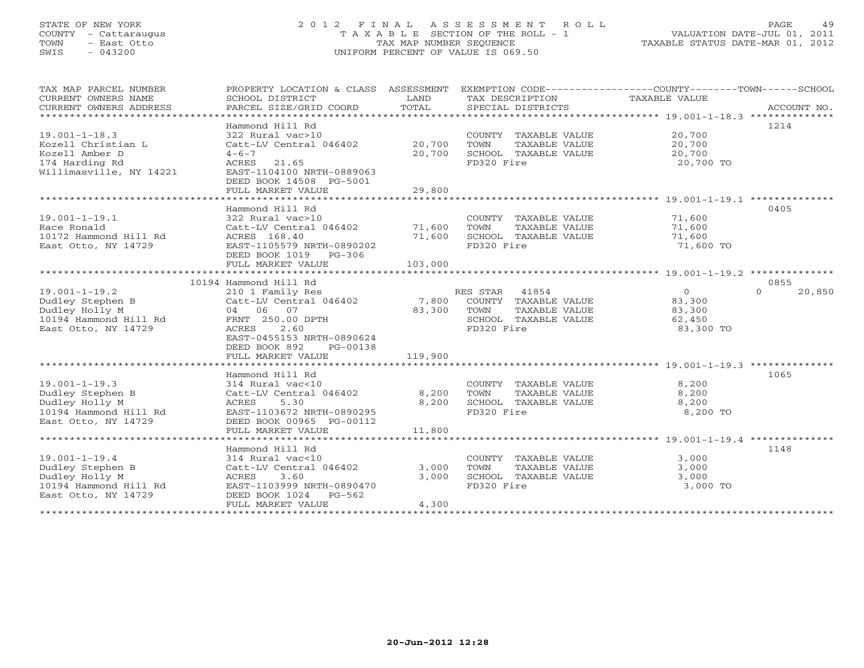# STATE OF NEW YORK 2 0 1 2 F I N A L A S S E S S M E N T R O L L PAGE 49 COUNTY - Cattaraugus T A X A B L E SECTION OF THE ROLL - 1 VALUATION DATE-JUL 01, 2011 TOWN - East Otto TAX MAP NUMBER SEQUENCE TAXABLE STATUS DATE-MAR 01, 2012 SWIS - 043200 UNIFORM PERCENT OF VALUE IS 069.50UNIFORM PERCENT OF VALUE IS 069.50

| TAX MAP PARCEL NUMBER                        | PROPERTY LOCATION & CLASS ASSESSMENT       |         | EXEMPTION CODE-----------------COUNTY-------TOWN------SCHOOL |                |                    |
|----------------------------------------------|--------------------------------------------|---------|--------------------------------------------------------------|----------------|--------------------|
| CURRENT OWNERS NAME                          | SCHOOL DISTRICT                            | LAND    | TAX DESCRIPTION                                              | TAXABLE VALUE  |                    |
| CURRENT OWNERS ADDRESS                       | PARCEL SIZE/GRID COORD                     | TOTAL   | SPECIAL DISTRICTS                                            |                | ACCOUNT NO.        |
|                                              |                                            |         |                                                              |                |                    |
|                                              | Hammond Hill Rd                            |         |                                                              |                | 1214               |
| $19.001 - 1 - 18.3$                          | 322 Rural vac>10                           |         | COUNTY TAXABLE VALUE 20,700                                  |                |                    |
| Kozell Christian L                           | Catt-LV Central 046402                     | 20,700  | TAXABLE VALUE<br>TOWN                                        | 20,700         |                    |
| Kozell Amber D                               | $4 - 6 - 7$                                | 20,700  | SCHOOL TAXABLE VALUE                                         | 20,700         |                    |
| 174 Harding Rd                               | ACRES 21.65                                |         | FD320 Fire                                                   | 20,700 TO      |                    |
| Willimasville, NY 14221                      | EAST-1104100 NRTH-0889063                  |         |                                                              |                |                    |
|                                              | DEED BOOK 14508 PG-5001                    |         |                                                              |                |                    |
|                                              | FULL MARKET VALUE                          | 29,800  |                                                              |                |                    |
|                                              |                                            |         |                                                              |                |                    |
|                                              | Hammond Hill Rd                            |         |                                                              |                | 0405               |
| $19.001 - 1 - 19.1$                          | 322 Rural vac>10                           |         | COUNTY TAXABLE VALUE                                         | 71,600         |                    |
| Race Ronald                                  | Catt-LV Central 046402                     | 71,600  | TAXABLE VALUE<br>TOWN                                        | 71,600         |                    |
| 10172 Hammond Hill Rd                        | ACRES 168.40                               | 71,600  | SCHOOL TAXABLE VALUE                                         | 71,600         |                    |
| East Otto, NY 14729                          | EAST-1105579 NRTH-0890202                  |         | FD320 Fire                                                   | 71,600 TO      |                    |
|                                              | DEED BOOK 1019 PG-306                      |         |                                                              |                |                    |
|                                              |                                            |         |                                                              |                |                    |
|                                              |                                            |         |                                                              |                |                    |
|                                              | 10194 Hammond Hill Rd                      |         |                                                              |                | 0855               |
| $19.001 - 1 - 19.2$                          | 210 1 Family Res                           |         | RES STAR 41854                                               | $\overline{0}$ | $\Omega$<br>20,850 |
| Dudley Stephen B                             | Catt-LV Central 046402 7,800               |         | COUNTY TAXABLE VALUE 83,300                                  |                |                    |
| Dudley Holly M                               | 04 06 07                                   | 83,300  | TOWN<br>TAXABLE VALUE                                        | 83,300         |                    |
| 10194 Hammond Hill Rd                        | FRNT 250.00 DPTH                           |         | SCHOOL TAXABLE VALUE                                         | 62,450         |                    |
| East Otto, NY 14729                          | ACRES<br>2.60                              |         | FD320 Fire                                                   | 83,300 TO      |                    |
|                                              | EAST-0455153 NRTH-0890624                  |         |                                                              |                |                    |
|                                              | DEED BOOK 892<br>PG-00138                  |         |                                                              |                |                    |
|                                              | FULL MARKET VALUE                          | 119,900 |                                                              |                |                    |
|                                              |                                            |         |                                                              |                | 1065               |
| $19.001 - 1 - 19.3$                          | Hammond Hill Rd                            |         | COUNTY TAXABLE VALUE                                         | 8,200          |                    |
| Dudley Stephen B                             | 314 Rural vac<10<br>Catt-LV Central 046402 | 8,200   | TAXABLE VALUE<br>TOWN                                        |                |                    |
|                                              | 5.30                                       | 8,200   | SCHOOL TAXABLE VALUE                                         | 8,200          |                    |
| Dudley Holly M                               | ACRES<br>EAST-1103672 NRTH-0890295         |         | FD320 Fire                                                   | 8,200          |                    |
| 10194 Hammond Hill Rd<br>East Otto, NY 14729 | DEED BOOK 00965 PG-00112                   |         |                                                              | 8,200 TO       |                    |
|                                              | FULL MARKET VALUE                          | 11,800  |                                                              |                |                    |
|                                              |                                            |         |                                                              |                |                    |
|                                              | Hammond Hill Rd                            |         |                                                              |                | 1148               |
| $19.001 - 1 - 19.4$                          | 314 Rural vac<10                           |         | COUNTY TAXABLE VALUE                                         | 3,000          |                    |
| Dudley Stephen B                             | Catt-LV Central 046402                     | 3,000   | TOWN<br>TAXABLE VALUE                                        | 3,000          |                    |
| Dudley Holly M                               | ACRES<br>3.60                              | 3,000   | SCHOOL TAXABLE VALUE                                         | 3,000          |                    |
| 10194 Hammond Hill Rd                        | EAST-1103999 NRTH-0890470                  |         | FD320 Fire                                                   | 3,000 TO       |                    |
| East Otto, NY 14729                          | DEED BOOK 1024 PG-562                      |         |                                                              |                |                    |
|                                              | FULL MARKET VALUE                          | 4,300   |                                                              |                |                    |
|                                              |                                            |         |                                                              |                |                    |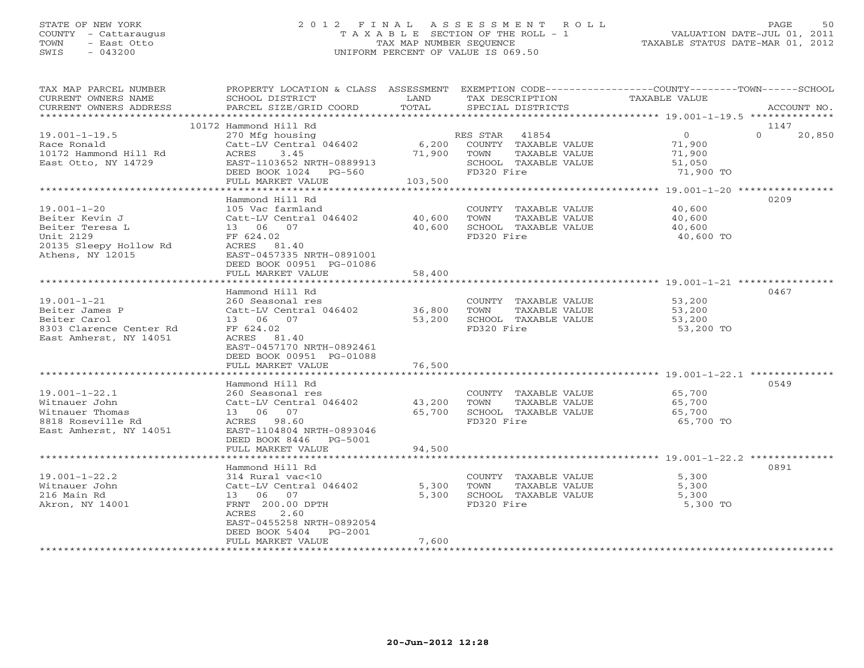# STATE OF NEW YORK 2 0 1 2 F I N A L A S S E S S M E N T R O L L PAGE 50 COUNTY - Cattaraugus T A X A B L E SECTION OF THE ROLL - 1 VALUATION DATE-JUL 01, 2011 TOWN - East Otto TAX MAP NUMBER SEQUENCE TAXABLE STATUS DATE-MAR 01, 2012 SWIS - 043200 UNIFORM PERCENT OF VALUE IS 069.50

| TAX MAP PARCEL NUMBER<br>CURRENT OWNERS NAME<br>CURRENT OWNERS ADDRESS                                            | SCHOOL DISTRICT<br>PARCEL SIZE/GRID COORD                                                                                                                                           | LAND<br>TOTAL              | TAX DESCRIPTION<br>SPECIAL DISTRICTS                                                                  | PROPERTY LOCATION & CLASS ASSESSMENT EXEMPTION CODE---------------COUNTY-------TOWN-----SCHOOL<br><b>TAXABLE VALUE</b> | ACCOUNT NO.                |
|-------------------------------------------------------------------------------------------------------------------|-------------------------------------------------------------------------------------------------------------------------------------------------------------------------------------|----------------------------|-------------------------------------------------------------------------------------------------------|------------------------------------------------------------------------------------------------------------------------|----------------------------|
|                                                                                                                   |                                                                                                                                                                                     |                            |                                                                                                       |                                                                                                                        |                            |
| $19.001 - 1 - 19.5$<br>Race Ronald<br>10172 Hammond Hill Rd<br>East Otto, NY 14729                                | 10172 Hammond Hill Rd<br>270 Mfg housing<br>Catt-LV Central 046402<br>ACRES<br>3.45<br>EAST-1103652 NRTH-0889913<br>DEED BOOK 1024 PG-560                                           | 6,200<br>71,900            | RES STAR 41854<br>COUNTY TAXABLE VALUE<br>TOWN<br>TAXABLE VALUE<br>SCHOOL TAXABLE VALUE<br>FD320 Fire | $\overline{0}$<br>71,900<br>71,900<br>51,050<br>71,900 TO                                                              | 1147<br>$\Omega$<br>20,850 |
|                                                                                                                   | FULL MARKET VALUE                                                                                                                                                                   | 103,500                    |                                                                                                       |                                                                                                                        |                            |
| $19.001 - 1 - 20$<br>Beiter Kevin J<br>Beiter Teresa L<br>Unit 2129<br>20135 Sleepy Hollow Rd<br>Athens, NY 12015 | Hammond Hill Rd<br>105 Vac farmland<br>Catt-LV Central 046402<br>13 06 07<br>FF 624.02<br>ACRES 81.40<br>EAST-0457335 NRTH-0891001<br>DEED BOOK 00951 PG-01086<br>FULL MARKET VALUE | 40,600<br>40,600<br>58,400 | COUNTY TAXABLE VALUE<br>TOWN<br>TAXABLE VALUE<br>SCHOOL TAXABLE VALUE<br>FD320 Fire                   | 40,600<br>40,600<br>40,600<br>40,600 TO                                                                                | 0209                       |
|                                                                                                                   |                                                                                                                                                                                     |                            |                                                                                                       |                                                                                                                        |                            |
| $19.001 - 1 - 21$<br>Beiter James P<br>Beiter Carol<br>8303 Clarence Center Rd<br>East Amherst, NY 14051          | Hammond Hill Rd<br>260 Seasonal res<br>Catt-LV Central 046402<br>13 06 07<br>FF 624.02<br>ACRES 81.40<br>EAST-0457170 NRTH-0892461<br>DEED BOOK 00951 PG-01088                      | 36,800<br>53,200           | COUNTY TAXABLE VALUE<br>TAXABLE VALUE<br>TOWN<br>SCHOOL TAXABLE VALUE<br>FD320 Fire                   | 53,200<br>53,200<br>53,200<br>53,200 TO                                                                                | 0467                       |
|                                                                                                                   | FULL MARKET VALUE                                                                                                                                                                   | 76,500                     |                                                                                                       |                                                                                                                        |                            |
| $19.001 - 1 - 22.1$<br>Witnauer John<br>Witnauer Thomas<br>8818 Roseville Rd<br>East Amherst, NY 14051            | Hammond Hill Rd<br>260 Seasonal res<br>Catt-LV Central 046402<br>13 06 07<br>ACRES 98.60<br>EAST-1104804 NRTH-0893046<br>DEED BOOK 8446 PG-5001                                     | 43,200<br>65,700           | COUNTY TAXABLE VALUE<br>TOWN<br>TAXABLE VALUE<br>SCHOOL TAXABLE VALUE<br>FD320 Fire                   | 65,700<br>65,700<br>65,700<br>65,700 TO                                                                                | 0549                       |
|                                                                                                                   | FULL MARKET VALUE                                                                                                                                                                   | 94,500                     |                                                                                                       |                                                                                                                        |                            |
| $19.001 - 1 - 22.2$                                                                                               | Hammond Hill Rd<br>314 Rural vac<10                                                                                                                                                 |                            | COUNTY TAXABLE VALUE                                                                                  | 5,300                                                                                                                  | 0891                       |
| Witnauer John<br>216 Main Rd<br>Akron, NY 14001                                                                   | Catt-LV Central 046402<br>13 06 07<br>FRNT 200.00 DPTH<br>ACRES<br>2.60<br>EAST-0455258 NRTH-0892054<br>DEED BOOK 5404<br>PG-2001<br>FULL MARKET VALUE                              | 5,300<br>5,300<br>7,600    | TOWN<br>TAXABLE VALUE<br>SCHOOL TAXABLE VALUE<br>FD320 Fire                                           | 5,300<br>5,300<br>5,300 TO                                                                                             |                            |
|                                                                                                                   |                                                                                                                                                                                     |                            |                                                                                                       |                                                                                                                        |                            |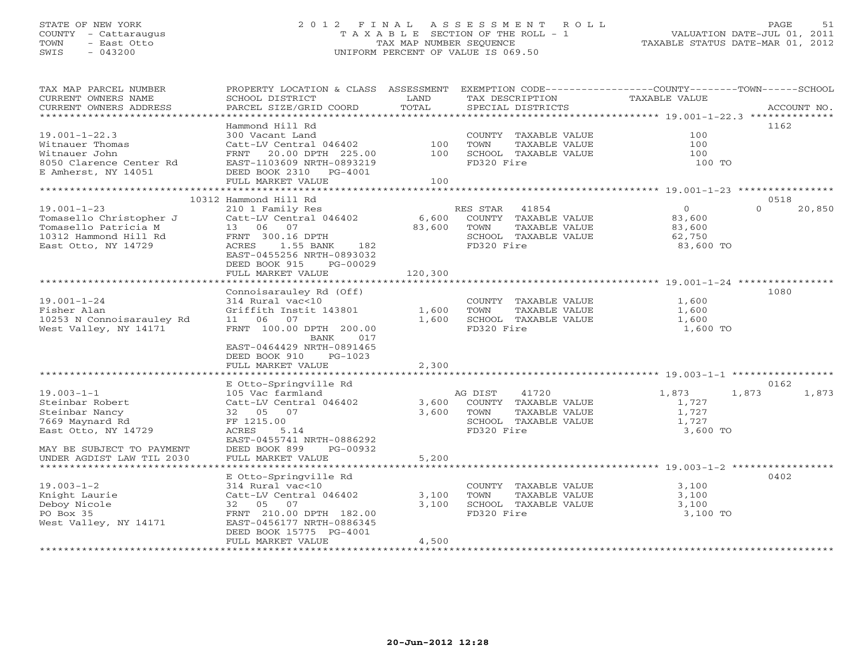# STATE OF NEW YORK 2 0 1 2 F I N A L A S S E S S M E N T R O L L PAGE 51 COUNTY - Cattaraugus T A X A B L E SECTION OF THE ROLL - 1 VALUATION DATE-JUL 01, 2011 TOWN - East Otto TAX MAP NUMBER SEQUENCE TAXABLE STATUS DATE-MAR 01, 2012 SWIS - 043200 UNIFORM PERCENT OF VALUE IS 069.50UNIFORM PERCENT OF VALUE IS 069.50

| TAX MAP PARCEL NUMBER<br>CURRENT OWNERS NAME<br>CURRENT OWNERS ADDRESS | PROPERTY LOCATION & CLASS ASSESSMENT EXEMPTION CODE----------------COUNTY-------TOWN------SCHOOL<br>SCHOOL DISTRICT<br>PARCEL SIZE/GRID COORD | LAND<br>TOTAL | TAX DESCRIPTION<br>SPECIAL DISTRICTS          | TAXABLE VALUE  | ACCOUNT NO.        |
|------------------------------------------------------------------------|-----------------------------------------------------------------------------------------------------------------------------------------------|---------------|-----------------------------------------------|----------------|--------------------|
|                                                                        |                                                                                                                                               |               |                                               |                |                    |
|                                                                        | Hammond Hill Rd                                                                                                                               |               |                                               |                | 1162               |
| $19.001 - 1 - 22.3$<br>Witnauer Thomas                                 | 300 Vacant Land<br>Catt-LV Central 046402                                                                                                     |               | COUNTY TAXABLE VALUE                          | 100<br>100     |                    |
| Witnauer John                                                          | FRNT 20.00 DPTH 225.00                                                                                                                        | 100<br>100    | TOWN<br>TAXABLE VALUE<br>SCHOOL TAXABLE VALUE | 100            |                    |
| 8050 Clarence Center Rd                                                | EAST-1103609 NRTH-0893219                                                                                                                     |               | FD320 Fire                                    | 100 TO         |                    |
| E Amherst, NY 14051                                                    | DEED BOOK 2310 PG-4001                                                                                                                        |               |                                               |                |                    |
|                                                                        | FULL MARKET VALUE                                                                                                                             | 100           |                                               |                |                    |
|                                                                        |                                                                                                                                               |               |                                               |                |                    |
|                                                                        | 10312 Hammond Hill Rd                                                                                                                         |               |                                               |                | 0518               |
| $19.001 - 1 - 23$                                                      | 210 1 Family Res                                                                                                                              |               | RES STAR<br>41854                             | $\overline{0}$ | $\Omega$<br>20,850 |
| Tomasello Christopher J                                                | Catt-LV Central 046402                                                                                                                        | 6,600         | COUNTY TAXABLE VALUE                          | 83,600         |                    |
| Tomasello Patricia M                                                   | 13 06 07                                                                                                                                      | 83,600        | TAXABLE VALUE<br>TOWN                         | 83,600         |                    |
| 10312 Hammond Hill Rd                                                  | FRNT 300.16 DPTH                                                                                                                              |               | SCHOOL TAXABLE VALUE                          | 62,750         |                    |
| East Otto, NY 14729                                                    | ACRES<br>1.55 BANK<br>182                                                                                                                     |               | FD320 Fire                                    | 83,600 TO      |                    |
|                                                                        | EAST-0455256 NRTH-0893032                                                                                                                     |               |                                               |                |                    |
|                                                                        | DEED BOOK 915<br>PG-00029                                                                                                                     |               |                                               |                |                    |
|                                                                        | FULL MARKET VALUE                                                                                                                             | 120,300       |                                               |                |                    |
|                                                                        |                                                                                                                                               |               |                                               |                |                    |
|                                                                        | Connoisarauley Rd (Off)                                                                                                                       |               |                                               |                | 1080               |
| $19.001 - 1 - 24$                                                      | 314 Rural vac<10                                                                                                                              |               | COUNTY TAXABLE VALUE                          | 1,600          |                    |
| Fisher Alan                                                            | Griffith Instit 143801                                                                                                                        | 1,600         | TOWN<br>TAXABLE VALUE                         | 1,600          |                    |
| 10253 N Connoisarauley Rd                                              | 11 06 07                                                                                                                                      | 1,600         | SCHOOL TAXABLE VALUE                          | 1,600          |                    |
| West Valley, NY 14171                                                  | FRNT 100.00 DPTH 200.00<br>017                                                                                                                |               | FD320 Fire                                    | 1,600 TO       |                    |
|                                                                        | BANK<br>EAST-0464429 NRTH-0891465                                                                                                             |               |                                               |                |                    |
|                                                                        | DEED BOOK 910<br>PG-1023                                                                                                                      |               |                                               |                |                    |
|                                                                        | FULL MARKET VALUE                                                                                                                             | 2,300         |                                               |                |                    |
|                                                                        |                                                                                                                                               |               |                                               |                |                    |
|                                                                        | E Otto-Springville Rd                                                                                                                         |               |                                               |                | 0162               |
| $19.003 - 1 - 1$                                                       | 105 Vac farmland                                                                                                                              |               | AG DIST<br>41720                              | 1,873<br>1,873 | 1,873              |
| Steinbar Robert                                                        | Catt-LV Central 046402                                                                                                                        | 3,600         | COUNTY TAXABLE VALUE                          | 1,727          |                    |
| Steinbar Nancy                                                         | 32 05 07                                                                                                                                      | 3,600         | TOWN<br>TAXABLE VALUE                         | 1,727          |                    |
| 7669 Maynard Rd                                                        | FF 1215.00                                                                                                                                    |               | SCHOOL TAXABLE VALUE                          | 1,727          |                    |
| East Otto, NY 14729                                                    | ACRES<br>5.14                                                                                                                                 |               | FD320 Fire                                    | 3,600 TO       |                    |
|                                                                        | EAST-0455741 NRTH-0886292                                                                                                                     |               |                                               |                |                    |
| MAY BE SUBJECT TO PAYMENT                                              | DEED BOOK 899<br>PG-00932                                                                                                                     |               |                                               |                |                    |
| UNDER AGDIST LAW TIL 2030                                              | FULL MARKET VALUE                                                                                                                             | 5,200         |                                               |                |                    |
|                                                                        |                                                                                                                                               |               |                                               |                |                    |
|                                                                        | E Otto-Springville Rd                                                                                                                         |               |                                               |                | 0402               |
| $19.003 - 1 - 2$                                                       | 314 Rural vac<10                                                                                                                              |               | COUNTY TAXABLE VALUE                          | 3,100          |                    |
| Knight Laurie                                                          | Catt-LV Central 046402                                                                                                                        | 3,100         | TOWN<br>TAXABLE VALUE                         | 3,100          |                    |
| Deboy Nicole                                                           | 32 05 07                                                                                                                                      | 3,100         | SCHOOL TAXABLE VALUE                          | 3,100          |                    |
| PO Box 35                                                              | FRNT 210.00 DPTH 182.00                                                                                                                       |               | FD320 Fire                                    | 3,100 TO       |                    |
| West Valley, NY 14171                                                  | EAST-0456177 NRTH-0886345                                                                                                                     |               |                                               |                |                    |
|                                                                        | DEED BOOK 15775 PG-4001                                                                                                                       | 4,500         |                                               |                |                    |
|                                                                        | FULL MARKET VALUE                                                                                                                             |               |                                               |                |                    |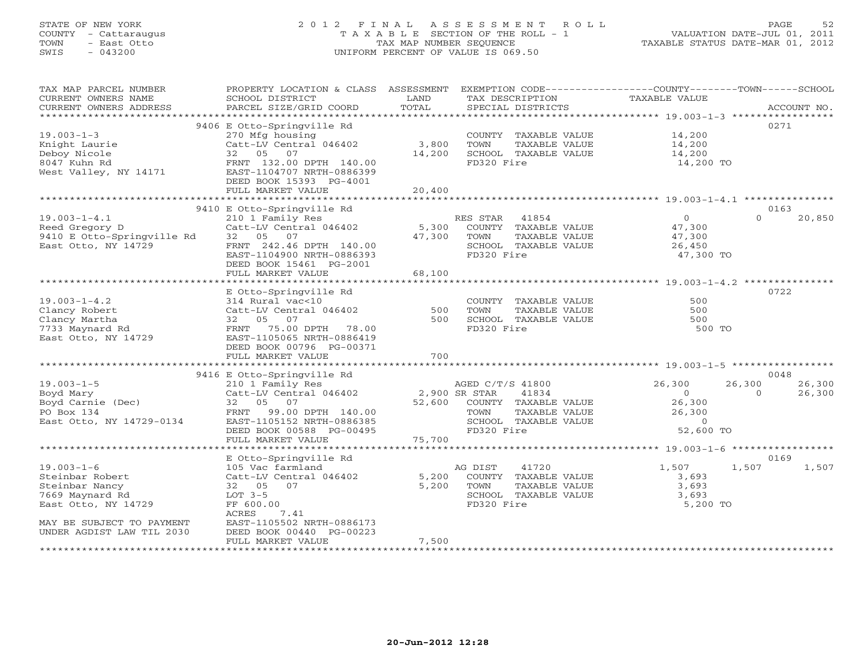# STATE OF NEW YORK 2 0 1 2 F I N A L A S S E S S M E N T R O L L PAGE 52 COUNTY - Cattaraugus T A X A B L E SECTION OF THE ROLL - 1 VALUATION DATE-JUL 01, 2011 TOWN - East Otto TAX MAP NUMBER SEQUENCE TAXABLE STATUS DATE-MAR 01, 2012 SWIS - 043200 UNIFORM PERCENT OF VALUE IS 069.50

| TAX MAP PARCEL NUMBER<br>CURRENT OWNERS NAME<br>CURRENT OWNERS ADDRESS                          | PROPERTY LOCATION & CLASS ASSESSMENT<br>SCHOOL DISTRICT<br>PARCEL SIZE/GRID COORD                                                                                                               | LAND<br>TOTAL                     | EXEMPTION CODE-----------------COUNTY-------TOWN------SCHOOL<br>TAX DESCRIPTION<br>SPECIAL DISTRICTS             | TAXABLE VALUE                                                   | ACCOUNT NO.                                    |
|-------------------------------------------------------------------------------------------------|-------------------------------------------------------------------------------------------------------------------------------------------------------------------------------------------------|-----------------------------------|------------------------------------------------------------------------------------------------------------------|-----------------------------------------------------------------|------------------------------------------------|
| ***********************                                                                         |                                                                                                                                                                                                 |                                   |                                                                                                                  |                                                                 |                                                |
| $19.003 - 1 - 3$<br>Knight Laurie<br>Deboy Nicole<br>8047 Kuhn Rd<br>West Valley, NY 14171      | 9406 E Otto-Springville Rd<br>270 Mfg housing<br>Catt-LV Central 046402<br>32 05 07<br>FRNT 132.00 DPTH 140.00<br>EAST-1104707 NRTH-0886399<br>DEED BOOK 15393 PG-4001                          | 3,800<br>14,200                   | COUNTY TAXABLE VALUE<br>TOWN<br>TAXABLE VALUE<br>SCHOOL TAXABLE VALUE<br>FD320 Fire                              | 14,200<br>14,200<br>14,200<br>14,200 TO                         | 0271                                           |
|                                                                                                 | FULL MARKET VALUE                                                                                                                                                                               | 20,400                            |                                                                                                                  |                                                                 |                                                |
|                                                                                                 |                                                                                                                                                                                                 |                                   |                                                                                                                  |                                                                 |                                                |
| $19.003 - 1 - 4.1$<br>Reed Gregory D<br>9410 E Otto-Springville Rd<br>East Otto, NY 14729       | 9410 E Otto-Springville Rd<br>210 1 Family Res<br>Catt-LV Central 046402<br>32 05 07<br>FRNT 242.46 DPTH 140.00<br>EAST-1104900 NRTH-0886393<br>DEED BOOK 15461 PG-2001<br>FULL MARKET VALUE    | 5,300<br>47,300<br>68,100         | RES STAR<br>41854<br>COUNTY TAXABLE VALUE<br>TOWN<br>TAXABLE VALUE<br>SCHOOL TAXABLE VALUE<br>FD320 Fire         | $\Omega$<br>47,300<br>47,300<br>26,450<br>47,300 TO             | 0163<br>$\Omega$<br>20,850                     |
|                                                                                                 |                                                                                                                                                                                                 |                                   |                                                                                                                  |                                                                 |                                                |
| $19.003 - 1 - 4.2$<br>Clancy Robert<br>Clancy Martha<br>7733 Maynard Rd<br>East Otto, NY 14729  | E Otto-Springville Rd<br>314 Rural vac<10<br>Catt-LV Central 046402<br>32 05 07<br>FRNT 75.00 DPTH 78.00<br>EAST-1105065 NRTH-0886419<br>DEED BOOK 00796 PG-00371                               | 500<br>500                        | COUNTY TAXABLE VALUE<br>TOWN<br>TAXABLE VALUE<br>SCHOOL TAXABLE VALUE<br>FD320 Fire                              | 500<br>500<br>500<br>500 TO                                     | 0722                                           |
|                                                                                                 | FULL MARKET VALUE                                                                                                                                                                               | 700                               |                                                                                                                  |                                                                 |                                                |
|                                                                                                 |                                                                                                                                                                                                 |                                   |                                                                                                                  |                                                                 |                                                |
| $19.003 - 1 - 5$<br>Boyd Mary<br>Boyd Carnie (Dec)<br>PO Box 134<br>East Otto, NY 14729-0134    | 9416 E Otto-Springville Rd<br>210 1 Family Res<br>Catt-LV Central 046402<br>32 05 07<br>FRNT<br>99.00 DPTH 140.00<br>EAST-1105152 NRTH-0886385<br>DEED BOOK 00588 PG-00495<br>FULL MARKET VALUE | 2,900 SR STAR<br>52,600<br>75,700 | AGED C/T/S 41800<br>41834<br>COUNTY TAXABLE VALUE<br>TOWN<br>TAXABLE VALUE<br>SCHOOL TAXABLE VALUE<br>FD320 Fire | 26,300<br>$\Omega$<br>26,300<br>26,300<br>$\Omega$<br>52,600 TO | 0048<br>26,300<br>26,300<br>26,300<br>$\Omega$ |
|                                                                                                 |                                                                                                                                                                                                 |                                   |                                                                                                                  |                                                                 |                                                |
| $19.003 - 1 - 6$<br>Steinbar Robert<br>Steinbar Nancy<br>7669 Maynard Rd<br>East Otto, NY 14729 | E Otto-Springville Rd<br>105 Vac farmland<br>Catt-LV Central 046402<br>32 05 07<br>$LOT 3-5$<br>FF 600.00<br>7.41<br>ACRES                                                                      | 5,200<br>5,200                    | 41720<br>AG DIST<br>COUNTY TAXABLE VALUE<br>TOWN<br>TAXABLE VALUE<br>SCHOOL TAXABLE VALUE<br>FD320 Fire          | 1,507<br>3,693<br>3,693<br>3,693<br>5,200 TO                    | 0169<br>1,507<br>1,507                         |
| MAY BE SUBJECT TO PAYMENT<br>UNDER AGDIST LAW TIL 2030                                          | EAST-1105502 NRTH-0886173<br>DEED BOOK 00440 PG-00223<br>FULL MARKET VALUE                                                                                                                      | 7,500                             |                                                                                                                  |                                                                 |                                                |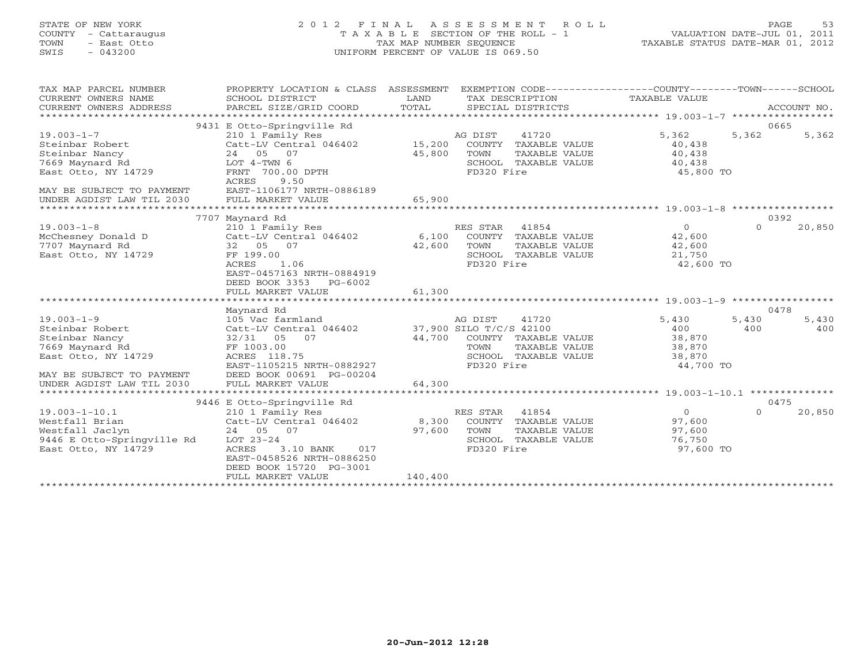# STATE OF NEW YORK 2 0 1 2 F I N A L A S S E S S M E N T R O L L PAGE 53 COUNTY - Cattaraugus T A X A B L E SECTION OF THE ROLL - 1 VALUATION DATE-JUL 01, 2011 TOWN - East Otto TAX MAP NUMBER SEQUENCE TAXABLE STATUS DATE-MAR 01, 2012 SWIS - 043200 UNIFORM PERCENT OF VALUE IS 069.50UNIFORM PERCENT OF VALUE IS 069.50

| TAX MAP PARCEL NUMBER<br>CURRENT OWNERS NAME<br>CURRENT OWNERS ADDRESS<br>********************                               | PROPERTY LOCATION & CLASS ASSESSMENT<br>SCHOOL DISTRICT<br>PARCEL SIZE/GRID COORD                                                                                                             | LAND<br>TOTAL              | EXEMPTION CODE-----------------COUNTY-------TOWN------SCHOOL<br>TAX DESCRIPTION<br>SPECIAL DISTRICTS                               | TAXABLE VALUE                                           | ACCOUNT NO.                          |
|------------------------------------------------------------------------------------------------------------------------------|-----------------------------------------------------------------------------------------------------------------------------------------------------------------------------------------------|----------------------------|------------------------------------------------------------------------------------------------------------------------------------|---------------------------------------------------------|--------------------------------------|
| $19.003 - 1 - 7$<br>Steinbar Robert<br>Steinbar Nancy<br>7669 Maynard Rd<br>East Otto, NY 14729<br>MAY BE SUBJECT TO PAYMENT | 9431 E Otto-Springville Rd<br>210 1 Family Res<br>Catt-LV Central 046402<br>24 05 07<br>LOT $4-TWN$ 6<br>FRNT 700.00 DPTH<br>ACRES<br>9.50<br>EAST-1106177 NRTH-0886189                       | 15,200<br>45,800           | AG DIST<br>41720<br>COUNTY TAXABLE VALUE<br>TAXABLE VALUE<br>TOWN<br>SCHOOL TAXABLE VALUE<br>FD320 Fire                            | 5,362<br>40,438<br>40,438<br>40,438<br>45,800 TO        | 0665<br>5,362<br>5,362               |
| UNDER AGDIST LAW TIL 2030                                                                                                    | FULL MARKET VALUE                                                                                                                                                                             | 65,900<br>**************   |                                                                                                                                    |                                                         |                                      |
| $19.003 - 1 - 8$<br>McChesney Donald D<br>7707 Maynard Rd<br>East Otto, NY 14729                                             | 7707 Maynard Rd<br>210 1 Family Res<br>Catt-LV Central 046402<br>32 05 07<br>FF 199.00<br><b>ACRES</b><br>1.06<br>EAST-0457163 NRTH-0884919<br>DEED BOOK 3353<br>PG-6002<br>FULL MARKET VALUE | 6,100<br>42,600<br>61,300  | RES STAR<br>41854<br>COUNTY TAXABLE VALUE<br>TOWN<br>TAXABLE VALUE<br>SCHOOL TAXABLE VALUE<br>FD320 Fire                           | $\Omega$<br>42,600<br>42,600<br>21,750<br>42,600 TO     | 0392<br>$\Omega$<br>20,850           |
|                                                                                                                              |                                                                                                                                                                                               |                            |                                                                                                                                    |                                                         |                                      |
| $19.003 - 1 - 9$<br>Steinbar Robert<br>Steinbar Nancy<br>7669 Maynard Rd<br>East Otto, NY 14729<br>MAY BE SUBJECT TO PAYMENT | Maynard Rd<br>105 Vac farmland<br>Catt-LV Central 046402<br>32/31 05<br>07<br>FF 1003.00<br>ACRES 118.75<br>EAST-1105215 NRTH-0882927<br>DEED BOOK 00691 PG-00204                             | 44,700                     | AG DIST<br>41720<br>37,900 SILO T/C/S 42100<br>COUNTY TAXABLE VALUE<br>TAXABLE VALUE<br>TOWN<br>SCHOOL TAXABLE VALUE<br>FD320 Fire | 5,430<br>400<br>38,870<br>38,870<br>38,870<br>44,700 TO | 0478<br>5,430<br>5,430<br>400<br>400 |
| UNDER AGDIST LAW TIL 2030                                                                                                    | FULL MARKET VALUE                                                                                                                                                                             | 64,300                     |                                                                                                                                    |                                                         |                                      |
|                                                                                                                              | 9446 E Otto-Springville Rd                                                                                                                                                                    |                            |                                                                                                                                    |                                                         | 0475                                 |
| $19.003 - 1 - 10.1$<br>Westfall Brian<br>Westfall Jaclyn<br>9446 E Otto-Springville Rd<br>East Otto, NY 14729                | 210 1 Family Res<br>Catt-LV Central 046402<br>24 05 07<br>LOT 23-24<br>ACRES<br>3.10 BANK<br>017<br>EAST-0458526 NRTH-0886250<br>DEED BOOK 15720 PG-3001<br>FULL MARKET VALUE                 | 8,300<br>97,600<br>140,400 | 41854<br>RES STAR<br>COUNTY TAXABLE VALUE<br>TOWN<br>TAXABLE VALUE<br>SCHOOL TAXABLE VALUE<br>FD320 Fire                           | $\Omega$<br>97,600<br>97,600<br>76,750<br>97,600 TO     | $\Omega$<br>20,850                   |
|                                                                                                                              |                                                                                                                                                                                               |                            |                                                                                                                                    |                                                         |                                      |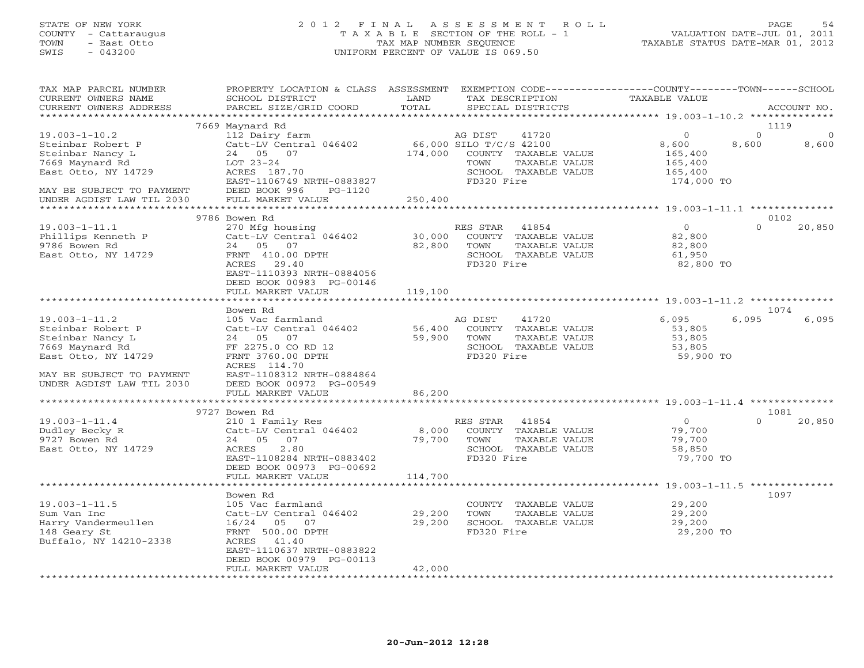# STATE OF NEW YORK 2 0 1 2 F I N A L A S S E S S M E N T R O L L PAGE 54 COUNTY - Cattaraugus T A X A B L E SECTION OF THE ROLL - 1 VALUATION DATE-JUL 01, 2011 TOWN - East Otto TAX MAP NUMBER SEQUENCE TAXABLE STATUS DATE-MAR 01, 2012 SWIS - 043200 UNIFORM PERCENT OF VALUE IS 069.50UNIFORM PERCENT OF VALUE IS 069.50

| TAX MAP PARCEL NUMBER<br>CURRENT OWNERS NAME<br>CURRENT OWNERS ADDRESS                                                              | PROPERTY LOCATION & CLASS ASSESSMENT<br>SCHOOL DISTRICT<br>PARCEL SIZE/GRID COORD                                                                 | LAND<br>TOTAL                      | EXEMPTION CODE-----------------COUNTY-------TOWN------SCHOOL<br>TAX DESCRIPTION<br>SPECIAL DISTRICTS                               | <b>TAXABLE VALUE</b>                                            | ACCOUNT NO.                            |
|-------------------------------------------------------------------------------------------------------------------------------------|---------------------------------------------------------------------------------------------------------------------------------------------------|------------------------------------|------------------------------------------------------------------------------------------------------------------------------------|-----------------------------------------------------------------|----------------------------------------|
| ***********************                                                                                                             |                                                                                                                                                   |                                    |                                                                                                                                    |                                                                 |                                        |
|                                                                                                                                     | 7669 Maynard Rd                                                                                                                                   |                                    |                                                                                                                                    |                                                                 | 1119                                   |
| $19.003 - 1 - 10.2$<br>Steinbar Robert P<br>Steinbar Nancy L<br>7669 Maynard Rd<br>East Otto, NY 14729                              | 112 Dairy farm<br>Catt-LV Central 046402<br>24 05 07<br>LOT 23-24<br>ACRES 187.70<br>EAST-1106749 NRTH-0883827                                    | 174,000                            | AG DIST<br>41720<br>66,000 SILO T/C/S 42100<br>COUNTY TAXABLE VALUE<br>TOWN<br>TAXABLE VALUE<br>SCHOOL TAXABLE VALUE<br>FD320 Fire | $\circ$<br>8,600<br>165,400<br>165,400<br>165,400<br>174,000 TO | $\Omega$<br>$\Omega$<br>8,600<br>8,600 |
| MAY BE SUBJECT TO PAYMENT<br>UNDER AGDIST LAW TIL 2030<br>*******************                                                       | DEED BOOK 996<br>PG-1120<br>FULL MARKET VALUE<br>*****************************                                                                    | 250,400<br>* * * * * * * * * * * * |                                                                                                                                    | ******************** 19.003-1-11.1 **************               |                                        |
|                                                                                                                                     | 9786 Bowen Rd                                                                                                                                     |                                    |                                                                                                                                    |                                                                 | 0102                                   |
| $19.003 - 1 - 11.1$<br>Phillips Kenneth P<br>9786 Bowen Rd<br>East Otto, NY 14729                                                   | 270 Mfg housing<br>Catt-LV Central 046402<br>24 05 07<br>FRNT 410.00 DPTH<br>ACRES 29.40<br>EAST-1110393 NRTH-0884056                             | 30,000<br>82,800                   | RES STAR<br>41854<br>COUNTY TAXABLE VALUE<br>TOWN<br>TAXABLE VALUE<br>SCHOOL TAXABLE VALUE<br>FD320 Fire                           | $\overline{0}$<br>82,800<br>82,800<br>61,950<br>82,800 TO       | $\Omega$<br>20,850                     |
|                                                                                                                                     | DEED BOOK 00983 PG-00146<br>FULL MARKET VALUE                                                                                                     | 119,100                            |                                                                                                                                    |                                                                 |                                        |
|                                                                                                                                     | Bowen Rd                                                                                                                                          |                                    |                                                                                                                                    |                                                                 | 1074                                   |
| $19.003 - 1 - 11.2$<br>Steinbar Robert P<br>Steinbar Nancy L<br>7669 Maynard Rd<br>East Otto, NY 14729<br>MAY BE SUBJECT TO PAYMENT | 105 Vac farmland<br>Catt-LV Central 046402<br>07<br>24 05<br>FF 2275.0 CO RD 12<br>FRNT 3760.00 DPTH<br>ACRES 114.70<br>EAST-1108312 NRTH-0884864 | 56,400<br>59,900                   | AG DIST<br>41720<br>COUNTY TAXABLE VALUE<br>TOWN<br>TAXABLE VALUE<br>SCHOOL TAXABLE VALUE<br>FD320 Fire                            | 6,095<br>53,805<br>53,805<br>53,805<br>59,900 TO                | 6,095<br>6,095                         |
| UNDER AGDIST LAW TIL 2030                                                                                                           | DEED BOOK 00972 PG-00549<br>FULL MARKET VALUE                                                                                                     | 86,200                             |                                                                                                                                    |                                                                 |                                        |
|                                                                                                                                     |                                                                                                                                                   |                                    |                                                                                                                                    |                                                                 |                                        |
|                                                                                                                                     | 9727 Bowen Rd                                                                                                                                     |                                    |                                                                                                                                    |                                                                 | 1081                                   |
| $19.003 - 1 - 11.4$<br>Dudley Becky R<br>9727 Bowen Rd<br>East Otto, NY 14729                                                       | 210 1 Family Res<br>Catt-LV Central 046402<br>24 05 07<br>ACRES<br>2.80<br>EAST-1108284 NRTH-0883402<br>DEED BOOK 00973 PG-00692                  | 8,000<br>79,700                    | RES STAR<br>41854<br>COUNTY TAXABLE VALUE<br>TOWN<br>TAXABLE VALUE<br>SCHOOL TAXABLE VALUE<br>FD320 Fire                           | $\Omega$<br>79,700<br>79,700<br>58,850<br>79,700 TO             | $\Omega$<br>20,850                     |
|                                                                                                                                     | FULL MARKET VALUE                                                                                                                                 | 114,700                            |                                                                                                                                    |                                                                 |                                        |
| $19.003 - 1 - 11.5$<br>Sum Van Inc<br>Harry Vandermeullen                                                                           | Bowen Rd<br>105 Vac farmland<br>Catt-LV Central 046402<br>16/24<br>05 07                                                                          | 29,200<br>29,200                   | COUNTY TAXABLE VALUE<br>TAXABLE VALUE<br>TOWN<br>SCHOOL TAXABLE VALUE                                                              | 29,200<br>29,200<br>29,200                                      | 1097                                   |
| 148 Geary St<br>Buffalo, NY 14210-2338                                                                                              | FRNT 500.00 DPTH<br>ACRES<br>41.40<br>EAST-1110637 NRTH-0883822<br>DEED BOOK 00979 PG-00113<br>FULL MARKET VALUE                                  | 42,000                             | FD320 Fire                                                                                                                         | 29,200 TO                                                       |                                        |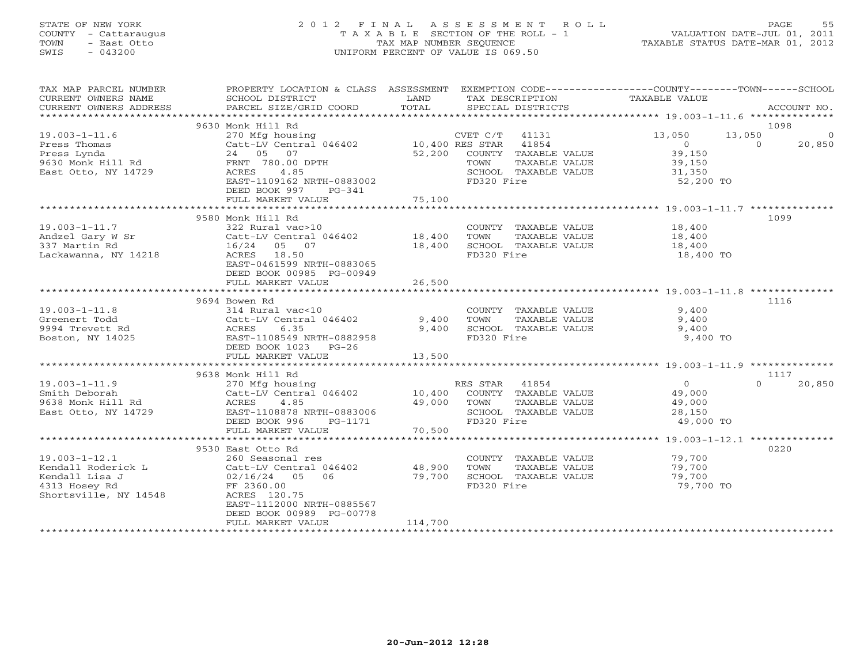# STATE OF NEW YORK 2 0 1 2 F I N A L A S S E S S M E N T R O L L PAGE 55 COUNTY - Cattaraugus T A X A B L E SECTION OF THE ROLL - 1 VALUATION DATE-JUL 01, 2011 TOWN - East Otto TAX MAP NUMBER SEQUENCE TAXABLE STATUS DATE-MAR 01, 2012 SWIS - 043200 UNIFORM PERCENT OF VALUE IS 069.50UNIFORM PERCENT OF VALUE IS 069.50

| TAX MAP PARCEL NUMBER<br>CURRENT OWNERS NAME<br>CURRENT OWNERS ADDRESS                                                                                                                                                                                       | PROPERTY LOCATION & CLASS ASSESSMENT EXEMPTION CODE---------------COUNTY-------TOWN------SCHOOL<br>SCHOOL DISTRICT<br>PARCEL SIZE/GRID COORD    | LAND<br>TOTAL               |                                      |                                                               | TAX DESCRIPTION TAXABLE VALUE SPECIAL DISTRICTS              |                          | ACCOUNT NO.        |
|--------------------------------------------------------------------------------------------------------------------------------------------------------------------------------------------------------------------------------------------------------------|-------------------------------------------------------------------------------------------------------------------------------------------------|-----------------------------|--------------------------------------|---------------------------------------------------------------|--------------------------------------------------------------|--------------------------|--------------------|
|                                                                                                                                                                                                                                                              |                                                                                                                                                 |                             |                                      |                                                               |                                                              |                          |                    |
|                                                                                                                                                                                                                                                              |                                                                                                                                                 |                             |                                      |                                                               |                                                              |                          | 1098               |
| 1.53 Thomas<br>270 Mfg housing<br>270 Mfg housing<br>Catt-LV Central 046402<br>24 05 07<br>24 05 07<br>24 05 07<br>24 05 07<br>24 05 07<br>24 05 07<br>24 05 07<br>24 05 07<br>24 05 07<br>24 24 05 2,200 COUNTY TAXAPIT<br>25IRI<br>24 24 52,200 COUNTY TAX |                                                                                                                                                 |                             |                                      | 52,200 COUNTY TAXABLE VALUE<br>TAXABLE VALUE                  | 13,050<br>$\overline{0}$<br>39,150<br>39,150                 | 13,050<br>$\overline{0}$ | $\Omega$<br>20,850 |
|                                                                                                                                                                                                                                                              | DEED BOOK 997<br>PG-341<br>FULL MARKET VALUE                                                                                                    | 75,100                      |                                      | SCHOOL TAXABLE VALUE                                          | 31,350<br>52,200 TO                                          |                          |                    |
|                                                                                                                                                                                                                                                              |                                                                                                                                                 |                             |                                      |                                                               |                                                              |                          |                    |
| $19.003 - 1 - 11.7$<br>Andzel Gary W Sr<br>337 Martin Rd<br>Lackawanna, NY 14218                                                                                                                                                                             | 9580 Monk Hill Rd<br>322 Rural vac>10<br>Catt-LV Central 046402 18,400<br>16/24 05 07 18,400<br>ACRES 18.50 18<br>EAST-0461599 NRTH-0883065     |                             | TOWN<br>FD320 Fire                   | TAXABLE VALUE<br>SCHOOL TAXABLE VALUE                         | COUNTY TAXABLE VALUE 18,400<br>18,400<br>18,400<br>18,400 TO |                          | 1099               |
|                                                                                                                                                                                                                                                              | DEED BOOK 00985 PG-00949<br>FULL MARKET VALUE                                                                                                   | 26,500                      |                                      |                                                               |                                                              |                          |                    |
|                                                                                                                                                                                                                                                              |                                                                                                                                                 |                             |                                      |                                                               |                                                              |                          |                    |
|                                                                                                                                                                                                                                                              | 9694 Bowen Rd                                                                                                                                   |                             |                                      |                                                               |                                                              |                          | 1116               |
| $19.003 - 1 - 11.8$<br>Greenert Todd<br>9994 Trevett Rd<br>Boston, NY 14025                                                                                                                                                                                  | 314 Rural vac<10<br>Catt-LV Central 046402<br>DEED BOOK 1023 PG-26                                                                              | 9,400<br>9,400              | TOWN<br>FD320 Fire                   | COUNTY TAXABLE VALUE<br>TAXABLE VALUE<br>SCHOOL TAXABLE VALUE | 9,400<br>9,400<br>9,400<br>9,400 TO                          |                          |                    |
|                                                                                                                                                                                                                                                              | FULL MARKET VALUE                                                                                                                               | 13,500                      |                                      |                                                               |                                                              |                          |                    |
|                                                                                                                                                                                                                                                              |                                                                                                                                                 |                             |                                      |                                                               |                                                              |                          |                    |
|                                                                                                                                                                                                                                                              | 9638 Monk Hill Rd                                                                                                                               |                             |                                      |                                                               |                                                              |                          | 1117               |
| $19.003 - 1 - 11.9$<br>Smith Deborah<br>9638 Monk Hill Rd<br>East Otto, NY 14729                                                                                                                                                                             | 270 Mfg housing<br>Catt-LV Central 046402 10,400<br>ACRES<br>4.85<br>EAST-1108878 NRTH-0883006<br>DEED BOOK 996<br>PG-1171<br>FULL MARKET VALUE | 49,000<br>70,500            | RES STAR 41854<br>TOWN<br>FD320 Fire | COUNTY TAXABLE VALUE<br>TAXABLE VALUE<br>SCHOOL TAXABLE VALUE | $\overline{0}$<br>49,000<br>49,000<br>28,150<br>49,000 TO    | $\Omega$                 | 20,850             |
|                                                                                                                                                                                                                                                              |                                                                                                                                                 |                             |                                      |                                                               |                                                              |                          |                    |
| 19.003-1-12.1<br>Xendall Roderick L<br>Xendall Lisa J<br>Xendall Lisa J<br>Catt-LV Central 046402<br>Catt-LV Central 046402<br>Sendall Lisa J<br>Catt-LV Central 046402<br>FF 2360.00<br>Catt Catt Central 046402<br>FF 2360.00<br>Shortsville, NY 14548     | 9530 East Otto Rd<br>ACRES 120.75<br>EAST-1112000 NRTH-0885567<br>DEED BOOK 00989 PG-00778<br>FULL MARKET VALUE                                 | 48,900<br>79,700<br>114,700 | TOWN<br>FD320 Fire                   | COUNTY TAXABLE VALUE<br>TAXABLE VALUE<br>SCHOOL TAXABLE VALUE | 79,700<br>79,700<br>79,700<br>79,700 TO                      |                          | 0220               |
|                                                                                                                                                                                                                                                              |                                                                                                                                                 |                             |                                      |                                                               |                                                              |                          |                    |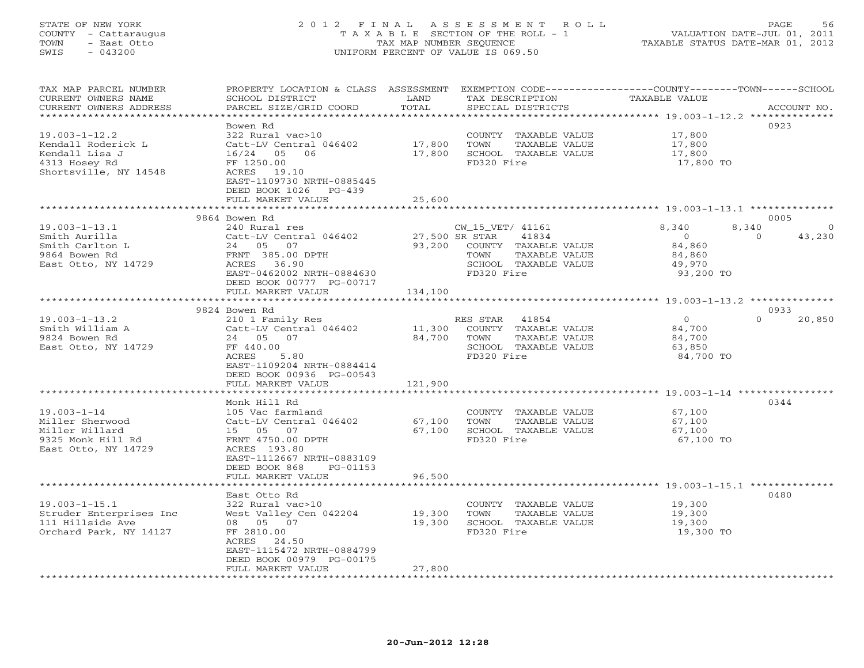# STATE OF NEW YORK 2 0 1 2 F I N A L A S S E S S M E N T R O L L PAGE 56 COUNTY - Cattaraugus T A X A B L E SECTION OF THE ROLL - 1 VALUATION DATE-JUL 01, 2011 TOWN - East Otto TAX MAP NUMBER SEQUENCE TAXABLE STATUS DATE-MAR 01, 2012 SWIS - 043200 UNIFORM PERCENT OF VALUE IS 069.50UNIFORM PERCENT OF VALUE IS 069.50

| TAX MAP PARCEL NUMBER   | PROPERTY LOCATION & CLASS ASSESSMENT |                  |                  |                      | EXEMPTION CODE-----------------COUNTY-------TOWN------SCHOOL |          |             |
|-------------------------|--------------------------------------|------------------|------------------|----------------------|--------------------------------------------------------------|----------|-------------|
| CURRENT OWNERS NAME     | SCHOOL DISTRICT                      | LAND             |                  | TAX DESCRIPTION      | TAXABLE VALUE                                                |          |             |
| CURRENT OWNERS ADDRESS  | PARCEL SIZE/GRID COORD               | TOTAL            |                  | SPECIAL DISTRICTS    |                                                              |          | ACCOUNT NO. |
|                         |                                      |                  |                  |                      |                                                              |          |             |
|                         | Bowen Rd                             |                  |                  |                      |                                                              |          | 0923        |
| $19.003 - 1 - 12.2$     | 322 Rural vac>10                     |                  |                  | COUNTY TAXABLE VALUE | 17,800                                                       |          |             |
| Kendall Roderick L      | Catt-LV Central 046402               | 17,800           | TOWN             | TAXABLE VALUE        | 17,800                                                       |          |             |
| Kendall Lisa J          | 16/24 05<br>06                       | 17,800           |                  | SCHOOL TAXABLE VALUE | 17,800                                                       |          |             |
| 4313 Hosey Rd           | FF 1250.00                           |                  | FD320 Fire       |                      | 17,800 TO                                                    |          |             |
| Shortsville, NY 14548   | ACRES 19.10                          |                  |                  |                      |                                                              |          |             |
|                         | EAST-1109730 NRTH-0885445            |                  |                  |                      |                                                              |          |             |
|                         | DEED BOOK 1026 PG-439                |                  |                  |                      |                                                              |          |             |
|                         | FULL MARKET VALUE                    | 25,600           |                  |                      |                                                              |          |             |
|                         |                                      |                  |                  |                      |                                                              |          |             |
|                         | 9864 Bowen Rd                        |                  |                  |                      |                                                              |          | 0005        |
|                         |                                      |                  |                  |                      |                                                              |          |             |
| $19.003 - 1 - 13.1$     | 240 Rural res                        |                  | CW_15_VET/ 41161 |                      | 8,340                                                        | 8,340    | $\Omega$    |
| Smith Aurilla           | Catt-LV Central 046402               | 27,500 SR STAR   |                  | 41834                | $\overline{0}$                                               | $\Omega$ | 43,230      |
| Smith Carlton L         | 24 05 07                             | 93,200           |                  | COUNTY TAXABLE VALUE | 84,860                                                       |          |             |
| 9864 Bowen Rd           | FRNT 385.00 DPTH                     |                  | TOWN             | TAXABLE VALUE        | 84,860                                                       |          |             |
| East Otto, NY 14729     | ACRES 36.90                          |                  |                  | SCHOOL TAXABLE VALUE | 49,970                                                       |          |             |
|                         | EAST-0462002 NRTH-0884630            |                  | FD320 Fire       |                      | 93,200 TO                                                    |          |             |
|                         | DEED BOOK 00777 PG-00717             |                  |                  |                      |                                                              |          |             |
|                         | FULL MARKET VALUE                    | 134,100          |                  |                      |                                                              |          |             |
|                         | **********************               |                  |                  |                      |                                                              |          |             |
|                         | 9824 Bowen Rd                        |                  |                  |                      |                                                              |          | 0933        |
| $19.003 - 1 - 13.2$     | 210 1 Family Res                     |                  | RES STAR         | 41854                | $\overline{0}$                                               | $\Omega$ | 20,850      |
| Smith William A         | Catt-LV Central 046402               | 11,300           |                  | COUNTY TAXABLE VALUE | 84,700                                                       |          |             |
| 9824 Bowen Rd           | 24 05 07                             | 84,700           | TOWN             | TAXABLE VALUE        | 84,700                                                       |          |             |
| East Otto, NY 14729     | FF 440.00                            |                  |                  | SCHOOL TAXABLE VALUE | 63,850                                                       |          |             |
|                         | ACRES<br>5.80                        |                  | FD320 Fire       |                      | 84,700 TO                                                    |          |             |
|                         | EAST-1109204 NRTH-0884414            |                  |                  |                      |                                                              |          |             |
|                         | DEED BOOK 00936 PG-00543             |                  |                  |                      |                                                              |          |             |
|                         | FULL MARKET VALUE                    | 121,900          |                  |                      |                                                              |          |             |
|                         |                                      |                  |                  |                      |                                                              |          |             |
|                         | Monk Hill Rd                         |                  |                  |                      |                                                              |          | 0344        |
| $19.003 - 1 - 14$       | 105 Vac farmland                     |                  |                  | COUNTY TAXABLE VALUE | 67,100                                                       |          |             |
| Miller Sherwood         | Catt-LV Central 046402               | 67,100           | TOWN             | TAXABLE VALUE        | 67,100                                                       |          |             |
| Miller Willard          | 15 05 07                             | 67,100           |                  | SCHOOL TAXABLE VALUE | 67,100                                                       |          |             |
| 9325 Monk Hill Rd       | FRNT 4750.00 DPTH                    |                  | FD320 Fire       |                      | 67,100 TO                                                    |          |             |
| East Otto, NY 14729     | ACRES 193.80                         |                  |                  |                      |                                                              |          |             |
|                         | EAST-1112667 NRTH-0883109            |                  |                  |                      |                                                              |          |             |
|                         | DEED BOOK 868<br>PG-01153            |                  |                  |                      |                                                              |          |             |
|                         | FULL MARKET VALUE                    | 96,500           |                  |                      |                                                              |          |             |
|                         |                                      |                  |                  |                      |                                                              |          |             |
|                         |                                      |                  |                  |                      |                                                              |          | 0480        |
| $19.003 - 1 - 15.1$     | East Otto Rd<br>322 Rural vac>10     |                  |                  | COUNTY TAXABLE VALUE | 19,300                                                       |          |             |
|                         |                                      |                  | TOWN             |                      |                                                              |          |             |
| Struder Enterprises Inc | West Valley Cen 042204               | 19,300<br>19,300 |                  | TAXABLE VALUE        | 19,300                                                       |          |             |
| 111 Hillside Ave        | 08 05 07                             |                  |                  | SCHOOL TAXABLE VALUE | 19,300                                                       |          |             |
| Orchard Park, NY 14127  | FF 2810.00                           |                  | FD320 Fire       |                      | 19,300 TO                                                    |          |             |
|                         | 24.50<br>ACRES                       |                  |                  |                      |                                                              |          |             |
|                         | EAST-1115472 NRTH-0884799            |                  |                  |                      |                                                              |          |             |
|                         | DEED BOOK 00979 PG-00175             |                  |                  |                      |                                                              |          |             |
|                         | FULL MARKET VALUE                    | 27,800           |                  |                      |                                                              |          |             |
|                         |                                      |                  |                  |                      |                                                              |          |             |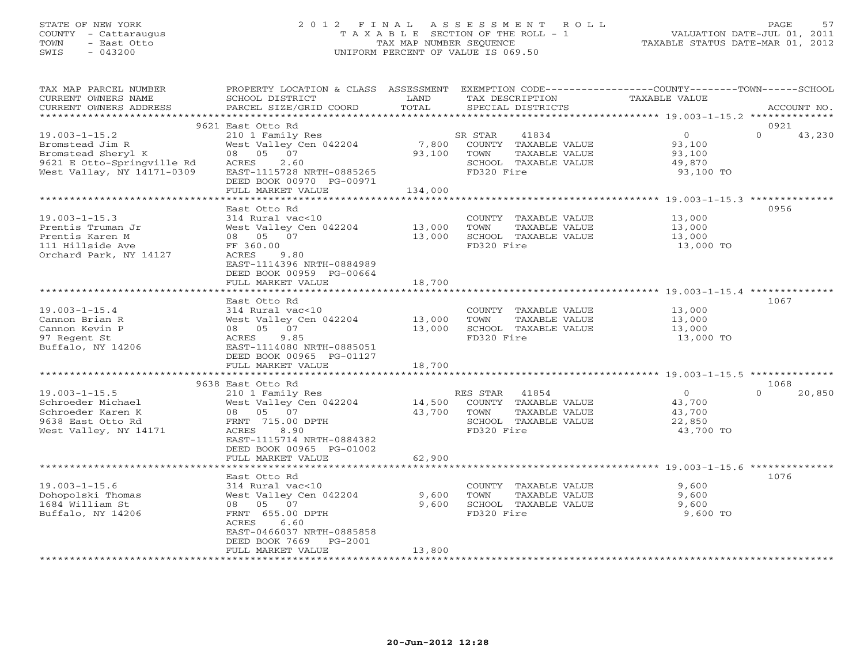# STATE OF NEW YORK 2 0 1 2 F I N A L A S S E S S M E N T R O L L PAGE 57 COUNTY - Cattaraugus T A X A B L E SECTION OF THE ROLL - 1 VALUATION DATE-JUL 01, 2011 TOWN - East Otto TAX MAP NUMBER SEQUENCE TAXABLE STATUS DATE-MAR 01, 2012 SWIS - 043200 UNIFORM PERCENT OF VALUE IS 069.50UNIFORM PERCENT OF VALUE IS 069.50

| TAX MAP PARCEL NUMBER<br>CURRENT OWNERS NAME                                                                             | PROPERTY LOCATION & CLASS ASSESSMENT EXEMPTION CODE---------------COUNTY-------TOWN------SCHOOL<br>SCHOOL DISTRICT                                                                        | LAND<br>TOTAL              | TAX DESCRIPTION                                                                                         | TAXABLE VALUE                                                    |                    |
|--------------------------------------------------------------------------------------------------------------------------|-------------------------------------------------------------------------------------------------------------------------------------------------------------------------------------------|----------------------------|---------------------------------------------------------------------------------------------------------|------------------------------------------------------------------|--------------------|
| CURRENT OWNERS ADDRESS<br>**********************                                                                         | PARCEL SIZE/GRID COORD                                                                                                                                                                    |                            | SPECIAL DISTRICTS                                                                                       |                                                                  | ACCOUNT NO.        |
|                                                                                                                          | 9621 East Otto Rd                                                                                                                                                                         |                            |                                                                                                         |                                                                  | 0921               |
| $19.003 - 1 - 15.2$<br>Bromstead Jim R<br>Bromstead Sheryl K<br>9621 E Otto-Springville Rd<br>West Vallay, NY 14171-0309 | 210 1 Family Res<br>West Valley Cen 042204<br>08 05 07<br>2.60<br>ACRES<br>EAST-1115728 NRTH-0885265<br>DEED BOOK 00970 PG-00971                                                          | 7,800<br>93,100            | SR STAR<br>41834<br>COUNTY TAXABLE VALUE<br>TOWN<br>TAXABLE VALUE<br>SCHOOL TAXABLE VALUE<br>FD320 Fire | $\overline{0}$<br>93,100<br>93,100<br>49,870<br>93,100 TO        | $\Omega$<br>43,230 |
|                                                                                                                          | FULL MARKET VALUE                                                                                                                                                                         | 134,000                    |                                                                                                         |                                                                  |                    |
|                                                                                                                          |                                                                                                                                                                                           |                            |                                                                                                         |                                                                  |                    |
| $19.003 - 1 - 15.3$<br>Prentis Truman Jr<br>Prentis Karen M<br>111 Hillside Ave<br>Orchard Park, NY 14127                | East Otto Rd<br>314 Rural vac<10<br>West Valley Cen 042204<br>08 05 07<br>FF 360.00<br>ACRES 9.80<br>EAST-1114396 NRTH-0884989<br>DEED BOOK 00959 PG-00664<br>FULL MARKET VALUE           | 13,000<br>13,000<br>18,700 | COUNTY TAXABLE VALUE<br>TOWN<br>TAXABLE VALUE<br>SCHOOL TAXABLE VALUE<br>FD320 Fire                     | 13,000<br>13,000<br>13,000<br>13,000 TO                          | 0956               |
|                                                                                                                          |                                                                                                                                                                                           |                            |                                                                                                         |                                                                  |                    |
| $19.003 - 1 - 15.4$<br>Cannon Brian R<br>Cannon Kevin P<br>97 Regent St<br>Buffalo, NY 14206                             | East Otto Rd<br>314 Rural vac<10<br>West Valley Cen 042204<br>08 05 07<br>9.85<br>ACRES<br>EAST-1114080 NRTH-0885051<br>DEED BOOK 00965 PG-01127<br>FULL MARKET VALUE                     | 13,000<br>13,000<br>18,700 | COUNTY TAXABLE VALUE<br>TOWN<br>TAXABLE VALUE<br>SCHOOL TAXABLE VALUE<br>FD320 Fire                     | 13,000<br>13,000<br>13,000<br>13,000 TO                          | 1067               |
|                                                                                                                          | 9638 East Otto Rd                                                                                                                                                                         |                            |                                                                                                         |                                                                  | 1068               |
| $19.003 - 1 - 15.5$<br>Schroeder Michael<br>Schroeder Karen K<br>9638 East Otto Rd<br>West Valley, NY 14171              | 210 1 Family Res<br>West Valley Cen 042204<br>08 05 07<br>FRNT 715.00 DPTH<br>ACRES<br>8.90<br>EAST-1115714 NRTH-0884382<br>DEED BOOK 00965 PG-01002                                      | 43,700 TOWN                | RES STAR 41854<br>14,500 COUNTY TAXABLE VALUE<br>TAXABLE VALUE<br>SCHOOL TAXABLE VALUE<br>FD320 Fire    | $\overline{0}$<br>43,700<br>43,700<br>22,850<br>43,700 TO        | $\Omega$<br>20,850 |
|                                                                                                                          | FULL MARKET VALUE<br>*********************                                                                                                                                                | 62,900                     |                                                                                                         | ***********************************19.003-1-15.6 *************** |                    |
| $19.003 - 1 - 15.6$<br>Dohopolski Thomas<br>1684 William St<br>Buffalo, NY 14206                                         | East Otto Rd<br>314 Rural vac<10<br>West Valley Cen 042204<br>08  05  07<br>FRNT 655.00 DPTH<br>6.60<br>ACRES<br>EAST-0466037 NRTH-0885858<br>DEED BOOK 7669 PG-2001<br>FULL MARKET VALUE | 9,600<br>9,600<br>13,800   | COUNTY TAXABLE VALUE<br>TOWN<br>TAXABLE VALUE<br>SCHOOL TAXABLE VALUE<br>FD320 Fire                     | 9,600<br>9,600<br>9,600<br>9,600 TO                              | 1076               |
|                                                                                                                          |                                                                                                                                                                                           |                            |                                                                                                         |                                                                  |                    |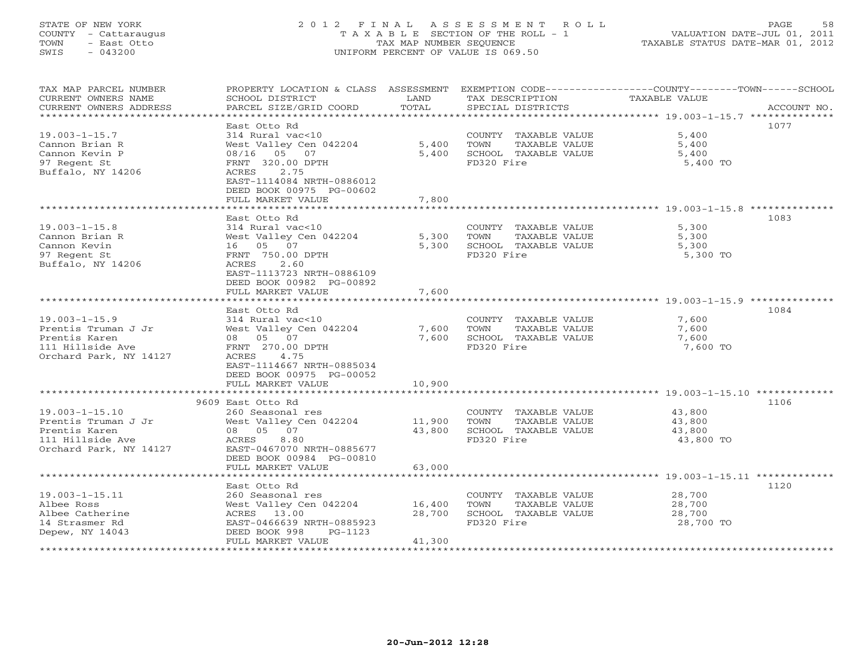# STATE OF NEW YORK 2 0 1 2 F I N A L A S S E S S M E N T R O L L PAGE 58 COUNTY - Cattaraugus T A X A B L E SECTION OF THE ROLL - 1 VALUATION DATE-JUL 01, 2011 TOWN - East Otto TAX MAP NUMBER SEQUENCE TAXABLE STATUS DATE-MAR 01, 2012 SWIS - 043200 UNIFORM PERCENT OF VALUE IS 069.50UNIFORM PERCENT OF VALUE IS 069.50

| TAX MAP PARCEL NUMBER<br>CURRENT OWNERS NAME | PROPERTY LOCATION & CLASS ASSESSMENT<br>SCHOOL DISTRICT | LAND           | TAX DESCRIPTION                               | EXEMPTION CODE-----------------COUNTY-------TOWN------SCHOOL<br><b>TAXABLE VALUE</b> |
|----------------------------------------------|---------------------------------------------------------|----------------|-----------------------------------------------|--------------------------------------------------------------------------------------|
| CURRENT OWNERS ADDRESS                       | PARCEL SIZE/GRID COORD                                  | TOTAL          | SPECIAL DISTRICTS                             | ACCOUNT NO.                                                                          |
|                                              | East Otto Rd                                            |                |                                               | 1077                                                                                 |
| $19.003 - 1 - 15.7$                          | 314 Rural vac<10                                        |                | COUNTY TAXABLE VALUE                          | 5,400                                                                                |
| Cannon Brian R                               | West Valley Cen 042204                                  | 5,400          | TOWN<br>TAXABLE VALUE                         | 5,400                                                                                |
| Cannon Kevin P                               | 08/16 05 07                                             | 5,400          | SCHOOL TAXABLE VALUE                          | 5,400                                                                                |
| 97 Regent St                                 | FRNT 320.00 DPTH                                        |                | FD320 Fire                                    | 5,400 TO                                                                             |
| Buffalo, NY 14206                            | 2.75<br>ACRES                                           |                |                                               |                                                                                      |
|                                              | EAST-1114084 NRTH-0886012                               |                |                                               |                                                                                      |
|                                              | DEED BOOK 00975 PG-00602                                |                |                                               |                                                                                      |
|                                              | FULL MARKET VALUE                                       | 7,800          |                                               |                                                                                      |
|                                              | ***************************                             |                |                                               |                                                                                      |
|                                              | East Otto Rd                                            |                |                                               | 1083                                                                                 |
| $19.003 - 1 - 15.8$                          | 314 Rural vac<10                                        |                | COUNTY TAXABLE VALUE                          | 5,300                                                                                |
| Cannon Brian R                               | West Valley Cen 042204                                  | 5,300          | TOWN<br>TAXABLE VALUE                         | 5,300                                                                                |
| Cannon Kevin                                 | 16 05 07                                                | 5,300          | SCHOOL TAXABLE VALUE                          | 5,300                                                                                |
| 97 Regent St                                 | FRNT 750.00 DPTH                                        |                | FD320 Fire                                    | 5,300 TO                                                                             |
| Buffalo, NY 14206                            | 2.60<br>ACRES                                           |                |                                               |                                                                                      |
|                                              | EAST-1113723 NRTH-0886109                               |                |                                               |                                                                                      |
|                                              | DEED BOOK 00982 PG-00892                                |                |                                               |                                                                                      |
|                                              | FULL MARKET VALUE<br>***********************            | 7,600          |                                               |                                                                                      |
|                                              |                                                         |                |                                               |                                                                                      |
|                                              | East Otto Rd                                            |                |                                               | 1084                                                                                 |
| $19.003 - 1 - 15.9$                          | 314 Rural vac<10                                        |                | COUNTY TAXABLE VALUE                          | 7,600                                                                                |
| Prentis Truman J Jr<br>Prentis Karen         | West Valley Cen 042204<br>08 05 07                      | 7,600<br>7,600 | TOWN<br>TAXABLE VALUE<br>SCHOOL TAXABLE VALUE | 7,600<br>7,600                                                                       |
| 111 Hillside Ave                             | FRNT 270.00 DPTH                                        |                | FD320 Fire                                    | 7,600 TO                                                                             |
| Orchard Park, NY 14127                       | ACRES 4.75                                              |                |                                               |                                                                                      |
|                                              | EAST-1114667 NRTH-0885034                               |                |                                               |                                                                                      |
|                                              | DEED BOOK 00975 PG-00052                                |                |                                               |                                                                                      |
|                                              | FULL MARKET VALUE                                       | 10,900         |                                               |                                                                                      |
|                                              |                                                         |                |                                               |                                                                                      |
|                                              | 9609 East Otto Rd                                       |                |                                               | 1106                                                                                 |
| $19.003 - 1 - 15.10$                         | 260 Seasonal res                                        |                | COUNTY TAXABLE VALUE                          | 43,800                                                                               |
| Prentis Truman J Jr                          | West Valley Cen 042204                                  | 11,900         | TOWN<br>TAXABLE VALUE                         | 43,800                                                                               |
| Prentis Karen                                | 08 05 07                                                | 43,800         | SCHOOL TAXABLE VALUE                          | 43,800                                                                               |
| 111 Hillside Ave                             | ACRES<br>8.80                                           |                | FD320 Fire                                    | 43,800 TO                                                                            |
| Orchard Park, NY 14127                       | EAST-0467070 NRTH-0885677                               |                |                                               |                                                                                      |
|                                              | DEED BOOK 00984 PG-00810                                |                |                                               |                                                                                      |
|                                              | FULL MARKET VALUE                                       | 63,000         |                                               |                                                                                      |
|                                              |                                                         |                |                                               |                                                                                      |
|                                              | East Otto Rd                                            |                |                                               | 1120                                                                                 |
| $19.003 - 1 - 15.11$                         | 260 Seasonal res                                        |                | COUNTY TAXABLE VALUE                          | 28,700                                                                               |
| Albee Ross                                   | West Valley Cen 042204                                  | 16,400         | TOWN<br>TAXABLE VALUE                         | 28,700                                                                               |
| Albee Catherine<br>14 Strasmer Rd            | ACRES 13.00<br>EAST-0466639 NRTH-0885923                | 28,700         | SCHOOL TAXABLE VALUE<br>FD320 Fire            | 28,700<br>28,700 TO                                                                  |
| Depew, NY 14043                              | DEED BOOK 998<br>PG-1123                                |                |                                               |                                                                                      |
|                                              | FULL MARKET VALUE                                       | 41,300         |                                               |                                                                                      |
|                                              |                                                         |                |                                               |                                                                                      |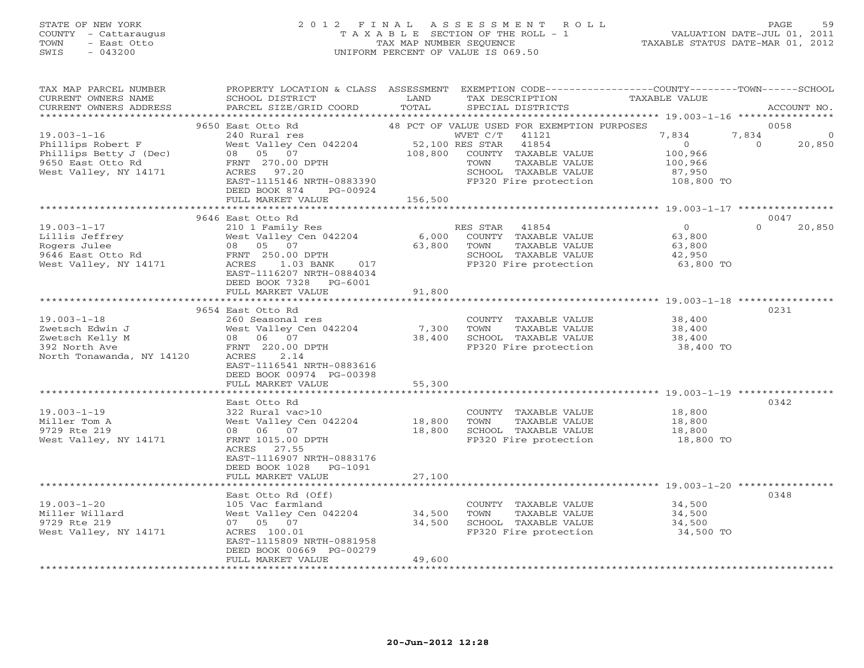### STATE OF NEW YORK 2 0 1 2 F I N A L A S S E S S M E N T R O L L PAGE 59 COUNTY - Cattaraugus T A X A B L E SECTION OF THE ROLL - 1 VALUATION DATE-JUL 01, 2011 TOWN - East Otto TAX MAP NUMBER SEQUENCE TAXABLE STATUS DATE-MAR 01, 2012 SWIS - 043200 UNIFORM PERCENT OF VALUE IS 069.50UNIFORM PERCENT OF VALUE IS 069.50

| TAX MAP PARCEL NUMBER<br>CURRENT OWNERS NAME<br>CURRENT OWNERS ADDRESS                                         | PROPERTY LOCATION & CLASS ASSESSMENT<br>SCHOOL DISTRICT<br>PARCEL SIZE/GRID COORD                                                                                                                   | LAND<br>TOTAL              | EXEMPTION CODE-----------------COUNTY-------TOWN------SCHOOL<br>TAX DESCRIPTION<br>SPECIAL DISTRICTS                                                                        | TAXABLE VALUE                                                         | ACCOUNT NO.                                     |
|----------------------------------------------------------------------------------------------------------------|-----------------------------------------------------------------------------------------------------------------------------------------------------------------------------------------------------|----------------------------|-----------------------------------------------------------------------------------------------------------------------------------------------------------------------------|-----------------------------------------------------------------------|-------------------------------------------------|
| **********************                                                                                         |                                                                                                                                                                                                     |                            |                                                                                                                                                                             |                                                                       |                                                 |
| $19.003 - 1 - 16$<br>Phillips Robert F<br>Phillips Betty J (Dec)<br>9650 East Otto Rd<br>West Valley, NY 14171 | 9650 East Otto Rd<br>240 Rural res<br>West Valley Cen 042204<br>08 05 07<br>FRNT 270.00 DPTH<br>ACRES 97.20<br>EAST-1115146 NRTH-0883390<br>DEED BOOK 874<br>PG-00924                               | 52,100 RES STAR<br>108,800 | 48 PCT OF VALUE USED FOR EXEMPTION PURPOSES<br>WVET C/T<br>41121<br>41854<br>COUNTY TAXABLE VALUE<br>TAXABLE VALUE<br>TOWN<br>SCHOOL TAXABLE VALUE<br>FP320 Fire protection | 7,834<br>$\overline{0}$<br>100,966<br>100,966<br>87,950<br>108,800 TO | 0058<br>7,834<br>$\Omega$<br>$\Omega$<br>20,850 |
|                                                                                                                | FULL MARKET VALUE                                                                                                                                                                                   | 156,500                    |                                                                                                                                                                             |                                                                       |                                                 |
|                                                                                                                | **************************                                                                                                                                                                          |                            |                                                                                                                                                                             |                                                                       |                                                 |
| $19.003 - 1 - 17$<br>Lillis Jeffrey<br>Rogers Julee<br>9646 East Otto Rd<br>West Valley, NY 14171              | 9646 East Otto Rd<br>210 1 Family Res<br>West Valley Cen 042204<br>08 05 07<br>FRNT 250.00 DPTH<br>ACRES<br>1.03 BANK<br>017<br>EAST-1116207 NRTH-0884034<br>DEED BOOK 7328 PG-6001                 | 6,000<br>63,800            | RES STAR<br>41854<br>COUNTY TAXABLE VALUE<br>TAXABLE VALUE<br>TOWN<br>SCHOOL TAXABLE VALUE<br>FP320 Fire protection                                                         | $\overline{0}$<br>63,800<br>63,800<br>42,950<br>63,800 TO             | 0047<br>$\Omega$<br>20,850                      |
|                                                                                                                | FULL MARKET VALUE                                                                                                                                                                                   | 91,800                     |                                                                                                                                                                             |                                                                       |                                                 |
|                                                                                                                |                                                                                                                                                                                                     |                            |                                                                                                                                                                             |                                                                       |                                                 |
| $19.003 - 1 - 18$<br>Zwetsch Edwin J<br>Zwetsch Kelly M<br>392 North Ave<br>North Tonawanda, NY 14120          | 9654 East Otto Rd<br>260 Seasonal res<br>West Valley Cen 042204<br>08 06 07<br>FRNT 220.00 DPTH<br>ACRES<br>2.14<br>EAST-1116541 NRTH-0883616<br>DEED BOOK 00974 PG-00398                           | 7,300<br>38,400            | COUNTY TAXABLE VALUE<br>TOWN<br>TAXABLE VALUE<br>SCHOOL TAXABLE VALUE<br>FP320 Fire protection                                                                              | 38,400<br>38,400<br>38,400<br>38,400 TO                               | 0231                                            |
|                                                                                                                | FULL MARKET VALUE                                                                                                                                                                                   | 55,300                     |                                                                                                                                                                             |                                                                       |                                                 |
| $19.003 - 1 - 19$<br>Miller Tom A<br>9729 Rte 219<br>West Valley, NY 14171                                     | East Otto Rd<br>322 Rural vac>10<br>West Valley Cen 042204<br>08 06 07<br>FRNT 1015.00 DPTH<br>ACRES 27.55<br>EAST-1116907 NRTH-0883176<br>DEED BOOK 1028<br>PG-1091                                | 18,800<br>18,800           | COUNTY TAXABLE VALUE<br>TAXABLE VALUE<br>TOWN<br>SCHOOL TAXABLE VALUE<br>FP320 Fire protection                                                                              | 18,800<br>18,800<br>18,800<br>18,800 TO                               | 0342                                            |
|                                                                                                                | FULL MARKET VALUE                                                                                                                                                                                   | 27,100                     |                                                                                                                                                                             |                                                                       |                                                 |
| $19.003 - 1 - 20$<br>Miller Willard<br>9729 Rte 219<br>West Valley, NY 14171                                   | East Otto Rd (Off)<br>105 Vac farmland<br>West Valley Cen 042204<br>07 05 07<br>ACRES 100.01<br>EAST-1115809 NRTH-0881958<br>DEED BOOK 00669 PG-00279<br>FULL MARKET VALUE<br>********************* | 34,500<br>34,500<br>49,600 | COUNTY TAXABLE VALUE<br>TOWN<br>TAXABLE VALUE<br>SCHOOL TAXABLE VALUE<br>FP320 Fire protection                                                                              | 34,500<br>34,500<br>34,500<br>34,500 TO                               | 0348                                            |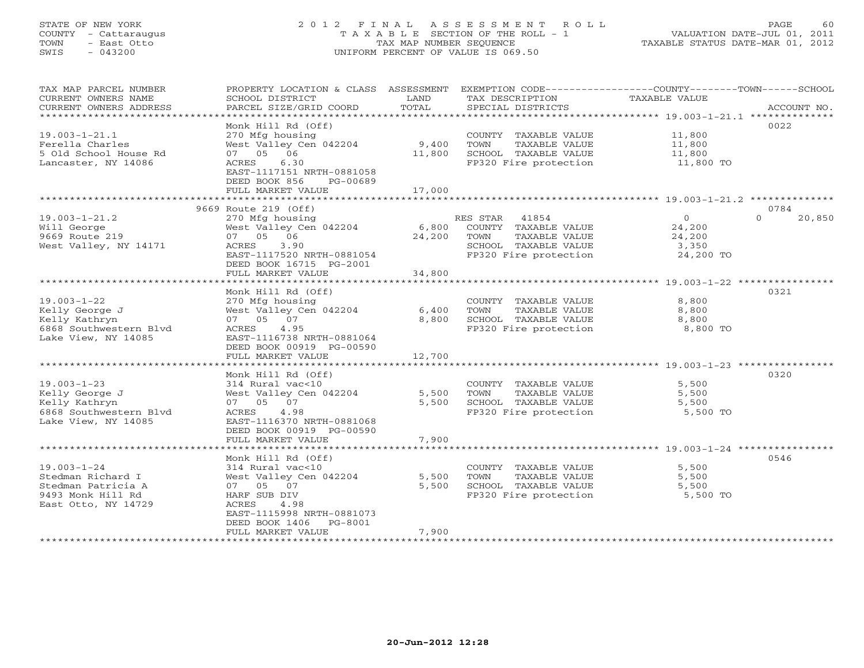# STATE OF NEW YORK 2 0 1 2 F I N A L A S S E S S M E N T R O L L PAGE 60 COUNTY - Cattaraugus T A X A B L E SECTION OF THE ROLL - 1 VALUATION DATE-JUL 01, 2011 TOWN - East Otto TAX MAP NUMBER SEQUENCE TAXABLE STATUS DATE-MAR 01, 2012 SWIS - 043200 UNIFORM PERCENT OF VALUE IS 069.50UNIFORM PERCENT OF VALUE IS 069.50

| TAX MAP PARCEL NUMBER<br>CURRENT OWNERS NAME        | PROPERTY LOCATION & CLASS ASSESSMENT<br>SCHOOL DISTRICT    | LAND               | TAX DESCRIPTION       | EXEMPTION CODE-----------------COUNTY-------TOWN-----SCHOOL<br>TAXABLE VALUE |
|-----------------------------------------------------|------------------------------------------------------------|--------------------|-----------------------|------------------------------------------------------------------------------|
| CURRENT OWNERS ADDRESS<br>************************* | PARCEL SIZE/GRID COORD                                     | TOTAL              | SPECIAL DISTRICTS     | ACCOUNT NO.                                                                  |
|                                                     | Monk Hill Rd (Off)                                         |                    |                       | 0022                                                                         |
| $19.003 - 1 - 21.1$                                 | 270 Mfg housing                                            |                    | COUNTY TAXABLE VALUE  | 11,800                                                                       |
| Ferella Charles                                     | West Valley Cen 042204                                     | 9,400              | TOWN<br>TAXABLE VALUE | 11,800                                                                       |
| 5 Old School House Rd                               | 07 05 06                                                   | 11,800             | SCHOOL TAXABLE VALUE  | 11,800                                                                       |
| Lancaster, NY 14086                                 | ACRES<br>6.30                                              |                    | FP320 Fire protection | 11,800 TO                                                                    |
|                                                     | EAST-1117151 NRTH-0881058                                  |                    |                       |                                                                              |
|                                                     | DEED BOOK 856<br>PG-00689                                  |                    |                       |                                                                              |
|                                                     | FULL MARKET VALUE                                          | 17,000             |                       |                                                                              |
|                                                     | 9669 Route 219 (Off)                                       |                    |                       | 0784                                                                         |
| $19.003 - 1 - 21.2$                                 | 270 Mfg housing                                            |                    | RES STAR 41854        | $\circ$<br>$\Omega$<br>20,850                                                |
| Will George                                         | West Valley Cen 042204                                     | 6,800              | COUNTY TAXABLE VALUE  | 24,200                                                                       |
| 9669 Route 219                                      | 07 05 06                                                   | 24,200             | TOWN<br>TAXABLE VALUE | 24,200                                                                       |
| West Valley, NY 14171                               | 3.90<br>ACRES                                              |                    | SCHOOL TAXABLE VALUE  | 3,350                                                                        |
|                                                     | EAST-1117520 NRTH-0881054                                  |                    | FP320 Fire protection | 24,200 TO                                                                    |
|                                                     | DEED BOOK 16715 PG-2001                                    |                    |                       |                                                                              |
|                                                     | FULL MARKET VALUE                                          | 34,800             |                       |                                                                              |
|                                                     |                                                            |                    |                       |                                                                              |
|                                                     | Monk Hill Rd (Off)                                         |                    |                       | 0321                                                                         |
| $19.003 - 1 - 22$                                   | 270 Mfg housing                                            |                    | COUNTY TAXABLE VALUE  | 8,800                                                                        |
| Kelly George J                                      | West Valley Cen 042204                                     | 6,400              | TOWN<br>TAXABLE VALUE | 8,800                                                                        |
| Kelly Kathryn                                       | 07 05 07                                                   | 8,800              | SCHOOL TAXABLE VALUE  | 8,800                                                                        |
| 6868 Southwestern Blvd                              | 4.95<br>ACRES                                              |                    | FP320 Fire protection | 8,800 TO                                                                     |
| Lake View, NY 14085                                 | EAST-1116738 NRTH-0881064<br>DEED BOOK 00919 PG-00590      |                    |                       |                                                                              |
|                                                     | FULL MARKET VALUE                                          | 12,700             |                       |                                                                              |
|                                                     |                                                            |                    |                       |                                                                              |
|                                                     | Monk Hill Rd (Off)                                         |                    |                       | 0320                                                                         |
| $19.003 - 1 - 23$                                   | 314 Rural vac<10                                           |                    | COUNTY TAXABLE VALUE  | 5,500                                                                        |
| Kelly George J                                      | West Valley Cen 042204                                     | 5,500              | TOWN<br>TAXABLE VALUE | 5,500                                                                        |
| Kelly Kathryn                                       | 07 05 07                                                   | 5,500              | SCHOOL TAXABLE VALUE  | 5,500                                                                        |
| 6868 Southwestern Blyd                              | ACRES<br>4.98                                              |                    | FP320 Fire protection | 5,500 TO                                                                     |
| Lake View, NY 14085                                 | EAST-1116370 NRTH-0881068                                  |                    |                       |                                                                              |
|                                                     | DEED BOOK 00919 PG-00590                                   |                    |                       |                                                                              |
|                                                     | FULL MARKET VALUE<br>* * * * * * * * * * * * * * * * * * * | 7,900<br>********* |                       | ************************ 19.003-1-24 *****************                       |
|                                                     | Monk Hill Rd (Off)                                         |                    |                       | 0546                                                                         |
| $19.003 - 1 - 24$                                   | 314 Rural vac<10                                           |                    | COUNTY TAXABLE VALUE  | 5,500                                                                        |
| Stedman Richard I                                   | West Valley Cen 042204                                     | 5,500              | TOWN<br>TAXABLE VALUE | 5,500                                                                        |
| Stedman Patricia A                                  | 07<br>07 05                                                | 5,500              | SCHOOL TAXABLE VALUE  | 5,500                                                                        |
| 9493 Monk Hill Rd                                   | HARF SUB DIV                                               |                    | FP320 Fire protection | 5,500 TO                                                                     |
| East Otto, NY 14729                                 | ACRES<br>4.98                                              |                    |                       |                                                                              |
|                                                     | EAST-1115998 NRTH-0881073                                  |                    |                       |                                                                              |
|                                                     | PG-8001<br>DEED BOOK 1406                                  |                    |                       |                                                                              |
|                                                     | FULL MARKET VALUE                                          | 7,900              |                       |                                                                              |
|                                                     |                                                            |                    |                       |                                                                              |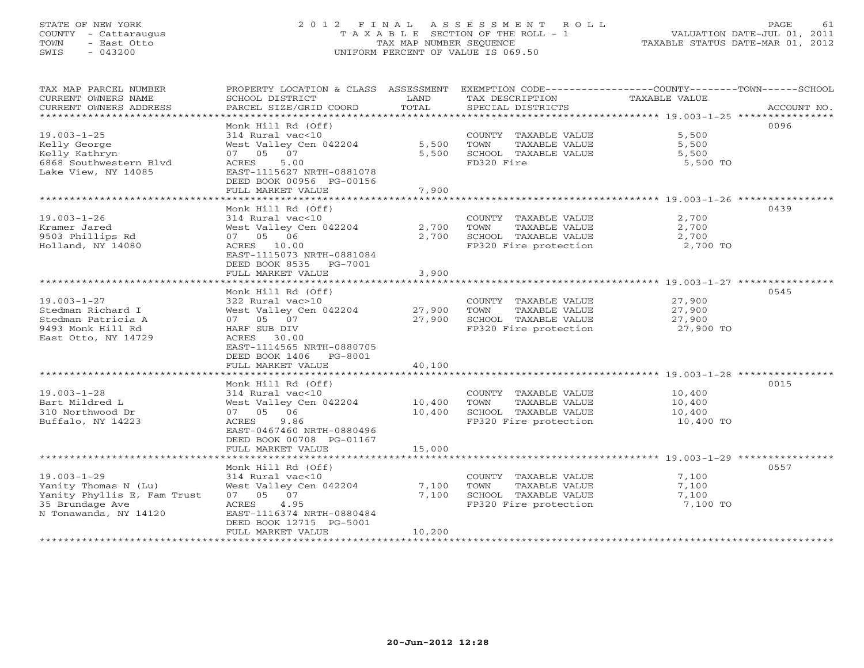# STATE OF NEW YORK 2 0 1 2 F I N A L A S S E S S M E N T R O L L PAGE 61 COUNTY - Cattaraugus T A X A B L E SECTION OF THE ROLL - 1 VALUATION DATE-JUL 01, 2011 TOWN - East Otto TAX MAP NUMBER SEQUENCE TAXABLE STATUS DATE-MAR 01, 2012 SWIS - 043200 UNIFORM PERCENT OF VALUE IS 069.50UNIFORM PERCENT OF VALUE IS 069.50

| TAX MAP PARCEL NUMBER<br>CURRENT OWNERS NAME<br>CURRENT OWNERS ADDRESS | PROPERTY LOCATION & CLASS ASSESSMENT<br>SCHOOL DISTRICT<br>PARCEL SIZE/GRID COORD  | LAND<br>TOTAL | EXEMPTION CODE-----------------COUNTY-------TOWN------SCHOOL<br>TAX DESCRIPTION<br>SPECIAL DISTRICTS | TAXABLE VALUE     | ACCOUNT NO. |
|------------------------------------------------------------------------|------------------------------------------------------------------------------------|---------------|------------------------------------------------------------------------------------------------------|-------------------|-------------|
|                                                                        |                                                                                    |               |                                                                                                      |                   |             |
| $19.003 - 1 - 25$<br>Kelly George                                      | Monk Hill Rd (Off)<br>314 Rural vac<10<br>West Valley Cen 042204                   | 5,500         | COUNTY TAXABLE VALUE<br>TOWN<br>TAXABLE VALUE                                                        | 5,500<br>5,500    | 0096        |
| Kelly Kathryn<br>6868 Southwestern Blvd<br>Lake View, NY 14085         | 07 05 07<br>ACRES<br>5.00<br>EAST-1115627 NRTH-0881078<br>DEED BOOK 00956 PG-00156 | 5,500         | SCHOOL TAXABLE VALUE<br>FD320 Fire                                                                   | 5,500<br>5,500 TO |             |
|                                                                        | FULL MARKET VALUE                                                                  | 7,900         |                                                                                                      |                   |             |
|                                                                        | Monk Hill Rd (Off)                                                                 |               |                                                                                                      |                   | 0439        |
| $19.003 - 1 - 26$                                                      | 314 Rural vac<10                                                                   |               | COUNTY TAXABLE VALUE                                                                                 | 2,700             |             |
| Kramer Jared                                                           | West Valley Cen 042204                                                             | 2,700         | TOWN<br>TAXABLE VALUE                                                                                | 2,700             |             |
| 9503 Phillips Rd                                                       | 07 05 06                                                                           | 2,700         | SCHOOL TAXABLE VALUE                                                                                 | 2,700             |             |
| Holland, NY 14080                                                      | ACRES 10.00                                                                        |               | FP320 Fire protection                                                                                | 2,700 TO          |             |
|                                                                        | EAST-1115073 NRTH-0881084<br>DEED BOOK 8535 PG-7001<br>FULL MARKET VALUE           | 3,900         |                                                                                                      |                   |             |
|                                                                        |                                                                                    |               |                                                                                                      |                   |             |
|                                                                        | Monk Hill Rd (Off)                                                                 |               |                                                                                                      |                   | 0545        |
| $19.003 - 1 - 27$                                                      | 322 Rural vac>10                                                                   |               | COUNTY TAXABLE VALUE                                                                                 | 27,900            |             |
| Stedman Richard I                                                      | West Valley Cen 042204                                                             | 27,900        | TAXABLE VALUE<br>TOWN                                                                                | 27,900            |             |
| Stedman Patricia A                                                     | 07 05 07                                                                           | 27,900        | SCHOOL TAXABLE VALUE                                                                                 | 27,900            |             |
| 9493 Monk Hill Rd                                                      | HARF SUB DIV                                                                       |               | FP320 Fire protection                                                                                | 27,900 TO         |             |
| East Otto, NY 14729                                                    | ACRES<br>30.00                                                                     |               |                                                                                                      |                   |             |
|                                                                        | EAST-1114565 NRTH-0880705                                                          |               |                                                                                                      |                   |             |
|                                                                        | DEED BOOK 1406 PG-8001                                                             |               |                                                                                                      |                   |             |
|                                                                        | FULL MARKET VALUE                                                                  | 40,100        |                                                                                                      |                   |             |
|                                                                        | Monk Hill Rd (Off)                                                                 |               |                                                                                                      |                   | 0015        |
| $19.003 - 1 - 28$                                                      | 314 Rural vac<10                                                                   |               | COUNTY TAXABLE VALUE                                                                                 | 10,400            |             |
| Bart Mildred L                                                         | West Valley Cen 042204                                                             | 10,400        | TOWN<br>TAXABLE VALUE                                                                                | 10,400            |             |
| 310 Northwood Dr                                                       | 07 05 06                                                                           | 10,400        | SCHOOL TAXABLE VALUE                                                                                 | 10,400            |             |
| Buffalo, NY 14223                                                      | ACRES<br>9.86                                                                      |               | FP320 Fire protection                                                                                | 10,400 TO         |             |
|                                                                        | EAST-0467460 NRTH-0880496                                                          |               |                                                                                                      |                   |             |
|                                                                        | DEED BOOK 00708 PG-01167                                                           |               |                                                                                                      |                   |             |
|                                                                        | FULL MARKET VALUE                                                                  | 15,000        |                                                                                                      |                   |             |
|                                                                        |                                                                                    |               |                                                                                                      |                   |             |
|                                                                        | Monk Hill Rd (Off)                                                                 |               |                                                                                                      |                   | 0557        |
| $19.003 - 1 - 29$                                                      | 314 Rural vac<10                                                                   |               | COUNTY TAXABLE VALUE                                                                                 | 7,100             |             |
| Yanity Thomas N (Lu)                                                   | West Valley Cen 042204                                                             | 7,100         | TOWN<br>TAXABLE VALUE                                                                                | 7,100             |             |
| Yanity Phyllis E, Fam Trust<br>35 Brundage Ave                         | 07 05 07<br>4.95<br>ACRES                                                          | 7,100         | SCHOOL TAXABLE VALUE<br>FP320 Fire protection                                                        | 7,100<br>7,100 TO |             |
| N Tonawanda, NY 14120                                                  | EAST-1116374 NRTH-0880484                                                          |               |                                                                                                      |                   |             |
|                                                                        | DEED BOOK 12715 PG-5001                                                            |               |                                                                                                      |                   |             |
|                                                                        | FULL MARKET VALUE                                                                  | 10,200        |                                                                                                      |                   |             |
|                                                                        |                                                                                    |               |                                                                                                      |                   |             |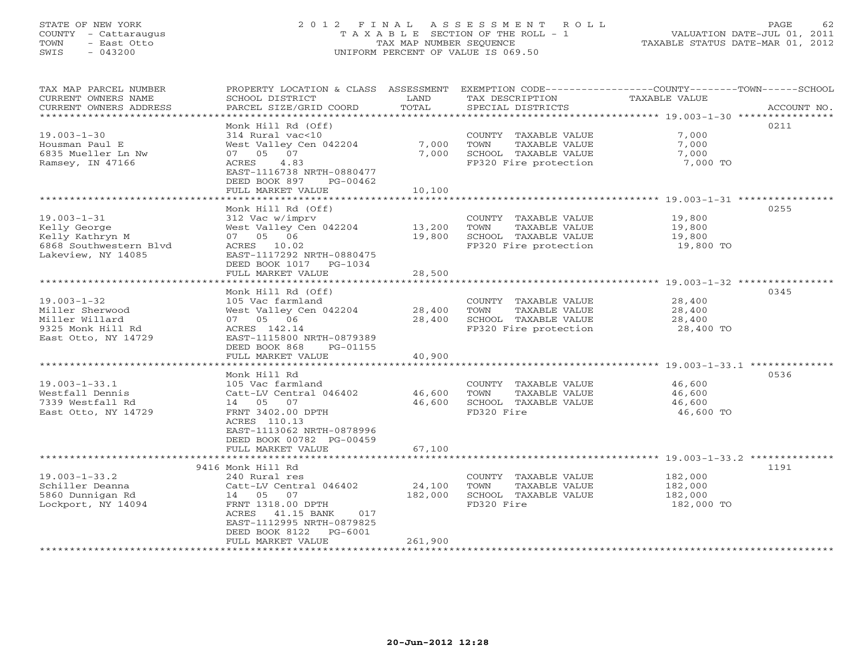# STATE OF NEW YORK 2 0 1 2 F I N A L A S S E S S M E N T R O L L PAGE 62 COUNTY - Cattaraugus T A X A B L E SECTION OF THE ROLL - 1 VALUATION DATE-JUL 01, 2011 TOWN - East Otto TAX MAP NUMBER SEQUENCE TAXABLE STATUS DATE-MAR 01, 2012 SWIS - 043200 UNIFORM PERCENT OF VALUE IS 069.50UNIFORM PERCENT OF VALUE IS 069.50

| TAX MAP PARCEL NUMBER<br>CURRENT OWNERS NAME<br>CURRENT OWNERS ADDRESS<br>*************************         | PROPERTY LOCATION & CLASS ASSESSMENT<br>SCHOOL DISTRICT<br>PARCEL SIZE/GRID COORD                                                                                                  | LAND<br>TOTAL                | EXEMPTION CODE-----------------COUNTY-------TOWN------SCHOOL<br>TAX DESCRIPTION<br>SPECIAL DISTRICTS | TAXABLE VALUE                                      | ACCOUNT NO. |
|-------------------------------------------------------------------------------------------------------------|------------------------------------------------------------------------------------------------------------------------------------------------------------------------------------|------------------------------|------------------------------------------------------------------------------------------------------|----------------------------------------------------|-------------|
| $19.003 - 1 - 30$<br>Housman Paul E<br>6835 Mueller Ln Nw<br>Ramsey, IN 47166                               | Monk Hill Rd (Off)<br>314 Rural vac<10<br>West Valley Cen 042204<br>07 05<br>07<br>ACRES<br>4.83<br>EAST-1116738 NRTH-0880477<br>DEED BOOK 897<br>PG-00462                         | 7,000<br>7,000               | COUNTY TAXABLE VALUE<br>TOWN<br>TAXABLE VALUE<br>SCHOOL TAXABLE VALUE<br>FP320 Fire protection       | 7,000<br>7,000<br>7,000<br>7,000 TO                | 0211        |
|                                                                                                             | FULL MARKET VALUE                                                                                                                                                                  | 10,100                       |                                                                                                      |                                                    |             |
| $19.003 - 1 - 31$<br>Kelly George<br>Kelly Kathryn M<br>6868 Southwestern Blyd<br>Lakeview, NY 14085        | Monk Hill Rd (Off)<br>312 Vac w/imprv<br>West Valley Cen 042204<br>07 05 06<br>ACRES 10.02<br>EAST-1117292 NRTH-0880475                                                            | 13,200<br>19,800             | COUNTY TAXABLE VALUE<br>TOWN<br>TAXABLE VALUE<br>SCHOOL TAXABLE VALUE<br>FP320 Fire protection       | 19,800<br>19,800<br>19,800<br>19,800 TO            | 0255        |
|                                                                                                             | DEED BOOK 1017 PG-1034<br>FULL MARKET VALUE                                                                                                                                        | 28,500                       |                                                                                                      |                                                    |             |
|                                                                                                             | Monk Hill Rd (Off)                                                                                                                                                                 |                              |                                                                                                      |                                                    | 0345        |
| $19.003 - 1 - 32$<br>Miller Sherwood<br>Miller Willard<br>9325 Monk Hill Rd<br>East Otto, NY 14729          | 105 Vac farmland<br>West Valley Cen 042204<br>07 05 06<br>ACRES 142.14<br>EAST-1115800 NRTH-0879389<br>DEED BOOK 868<br>PG-01155<br>FULL MARKET VALUE                              | 28,400<br>28,400<br>40,900   | COUNTY TAXABLE VALUE<br>TOWN<br>TAXABLE VALUE<br>SCHOOL TAXABLE VALUE<br>FP320 Fire protection       | 28,400<br>28,400<br>28,400<br>28,400 TO            |             |
|                                                                                                             | ********************<br>Monk Hill Rd                                                                                                                                               | **********                   |                                                                                                      | ********************** 19.003–1–33.1 ************* | 0536        |
| $19.003 - 1 - 33.1$<br>Westfall Dennis<br>7339 Westfall Rd<br>East Otto, NY 14729                           | 105 Vac farmland<br>Catt-LV Central 046402<br>14 05 07<br>FRNT 3402.00 DPTH<br>ACRES 110.13<br>EAST-1113062 NRTH-0878996                                                           | 46,600<br>46,600             | COUNTY TAXABLE VALUE<br>TOWN<br>TAXABLE VALUE<br>SCHOOL TAXABLE VALUE<br>FD320 Fire                  | 46,600<br>46,600<br>46,600<br>46,600 TO            |             |
|                                                                                                             | DEED BOOK 00782 PG-00459<br>FULL MARKET VALUE                                                                                                                                      | 67,100                       |                                                                                                      |                                                    |             |
|                                                                                                             | 9416 Monk Hill Rd                                                                                                                                                                  |                              |                                                                                                      |                                                    | 1191        |
| $19.003 - 1 - 33.2$<br>Schiller Deanna<br>5860 Dunnigan Rd<br>Lockport, NY 14094<br>*********************** | 240 Rural res<br>Catt-LV Central 046402<br>14 05 07<br>FRNT 1318.00 DPTH<br>ACRES 41.15 BANK<br>017<br>EAST-1112995 NRTH-0879825<br>DEED BOOK 8122<br>PG-6001<br>FULL MARKET VALUE | 24,100<br>182,000<br>261,900 | COUNTY TAXABLE VALUE<br>TOWN<br>TAXABLE VALUE<br>SCHOOL TAXABLE VALUE<br>FD320 Fire                  | 182,000<br>182,000<br>182,000<br>182,000 TO        |             |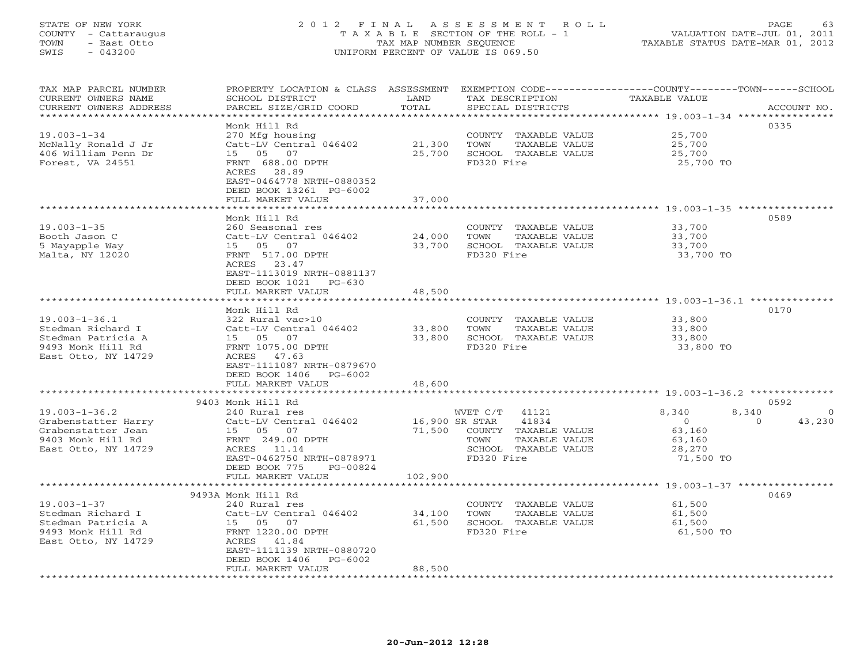### STATE OF NEW YORK 2 0 1 2 F I N A L A S S E S S M E N T R O L L PAGE 63 COUNTY - Cattaraugus T A X A B L E SECTION OF THE ROLL - 1 VALUATION DATE-JUL 01, 2011 TOWN - East Otto TAX MAP NUMBER SEQUENCE TAXABLE STATUS DATE-MAR 01, 2012 SWIS - 043200 UNIFORM PERCENT OF VALUE IS 069.50UNIFORM PERCENT OF VALUE IS 069.50

| TAX MAP PARCEL NUMBER<br>CURRENT OWNERS NAME        | PROPERTY LOCATION & CLASS ASSESSMENT<br>SCHOOL DISTRICT | LAND           | TAX DESCRIPTION                               | EXEMPTION CODE-----------------COUNTY-------TOWN-----SCHOOL<br>TAXABLE VALUE |                    |
|-----------------------------------------------------|---------------------------------------------------------|----------------|-----------------------------------------------|------------------------------------------------------------------------------|--------------------|
| CURRENT OWNERS ADDRESS<br>************************* | PARCEL SIZE/GRID COORD                                  | TOTAL          | SPECIAL DISTRICTS                             |                                                                              | ACCOUNT NO.        |
|                                                     |                                                         |                |                                               |                                                                              |                    |
|                                                     | Monk Hill Rd                                            |                |                                               |                                                                              | 0335               |
| $19.003 - 1 - 34$                                   | 270 Mfg housing                                         |                | COUNTY TAXABLE VALUE                          | 25,700                                                                       |                    |
| McNally Ronald J Jr                                 | Catt-LV Central 046402                                  | 21,300         | TOWN<br>TAXABLE VALUE                         | 25,700                                                                       |                    |
| 406 William Penn Dr                                 | 15 05 07                                                | 25,700         | SCHOOL TAXABLE VALUE                          | 25,700                                                                       |                    |
| Forest, VA 24551                                    | FRNT 688.00 DPTH                                        |                | FD320 Fire                                    | 25,700 TO                                                                    |                    |
|                                                     | ACRES 28.89                                             |                |                                               |                                                                              |                    |
|                                                     | EAST-0464778 NRTH-0880352                               |                |                                               |                                                                              |                    |
|                                                     | DEED BOOK 13261 PG-6002                                 |                |                                               |                                                                              |                    |
|                                                     | FULL MARKET VALUE                                       | 37,000         |                                               |                                                                              |                    |
|                                                     | Monk Hill Rd                                            |                |                                               |                                                                              | 0589               |
| $19.003 - 1 - 35$                                   | 260 Seasonal res                                        |                |                                               | 33,700                                                                       |                    |
| Booth Jason C                                       | Catt-LV Central 046402                                  | 24,000         | COUNTY TAXABLE VALUE<br>TOWN<br>TAXABLE VALUE | 33,700                                                                       |                    |
|                                                     | 15 05 07                                                |                |                                               |                                                                              |                    |
| 5 Mayapple Way                                      |                                                         | 33,700         | SCHOOL TAXABLE VALUE<br>FD320 Fire            | 33,700                                                                       |                    |
| Malta, NY 12020                                     | FRNT 517.00 DPTH<br>ACRES 23.47                         |                |                                               | 33,700 TO                                                                    |                    |
|                                                     |                                                         |                |                                               |                                                                              |                    |
|                                                     | EAST-1113019 NRTH-0881137                               |                |                                               |                                                                              |                    |
|                                                     | DEED BOOK 1021 PG-630                                   |                |                                               |                                                                              |                    |
|                                                     | FULL MARKET VALUE<br>*******************                | 48,500         |                                               |                                                                              |                    |
|                                                     | Monk Hill Rd                                            |                |                                               |                                                                              | 0170               |
| $19.003 - 1 - 36.1$                                 | 322 Rural vac>10                                        |                | COUNTY TAXABLE VALUE                          | 33,800                                                                       |                    |
| Stedman Richard I                                   | Catt-LV Central 046402                                  | 33,800         | TAXABLE VALUE<br>TOWN                         | 33,800                                                                       |                    |
| Stedman Patricia A                                  | 15 05<br>07                                             | 33,800         | SCHOOL TAXABLE VALUE                          | 33,800                                                                       |                    |
| 9493 Monk Hill Rd                                   | FRNT 1075.00 DPTH                                       |                | FD320 Fire                                    | 33,800 TO                                                                    |                    |
| East Otto, NY 14729                                 | ACRES 47.63                                             |                |                                               |                                                                              |                    |
|                                                     | EAST-1111087 NRTH-0879670                               |                |                                               |                                                                              |                    |
|                                                     | DEED BOOK 1406<br>PG-6002                               |                |                                               |                                                                              |                    |
|                                                     | FULL MARKET VALUE                                       | 48,600         |                                               |                                                                              |                    |
|                                                     |                                                         |                |                                               |                                                                              |                    |
|                                                     | 9403 Monk Hill Rd                                       |                |                                               |                                                                              | 0592               |
| $19.003 - 1 - 36.2$                                 | 240 Rural res                                           |                | WVET C/T<br>41121                             | 8,340                                                                        | 8,340<br>$\circ$   |
| Grabenstatter Harry                                 | Catt-LV Central 046402                                  | 16,900 SR STAR | 41834                                         | $\overline{O}$                                                               | 43,230<br>$\Omega$ |
| Grabenstatter Jean                                  | 15 05 07                                                | 71,500         | COUNTY TAXABLE VALUE                          | 63,160                                                                       |                    |
| 9403 Monk Hill Rd                                   | FRNT 249.00 DPTH                                        |                | TOWN<br>TAXABLE VALUE                         | 63,160                                                                       |                    |
| East Otto, NY 14729                                 | ACRES 11.14                                             |                | SCHOOL TAXABLE VALUE                          | 28,270                                                                       |                    |
|                                                     | EAST-0462750 NRTH-0878971                               |                | FD320 Fire                                    | 71,500 TO                                                                    |                    |
|                                                     | DEED BOOK 775<br>PG-00824                               |                |                                               |                                                                              |                    |
|                                                     | FULL MARKET VALUE                                       | 102,900        |                                               |                                                                              |                    |
|                                                     |                                                         |                |                                               |                                                                              |                    |
|                                                     | 9493A Monk Hill Rd                                      |                |                                               |                                                                              | 0469               |
| $19.003 - 1 - 37$                                   | 240 Rural res                                           |                | COUNTY TAXABLE VALUE                          | 61,500                                                                       |                    |
| Stedman Richard I                                   | Catt-LV Central 046402                                  | 34,100         | TOWN<br>TAXABLE VALUE                         | 61,500                                                                       |                    |
| Stedman Patricia A                                  | 15 05 07                                                | 61,500         | SCHOOL TAXABLE VALUE                          | 61,500                                                                       |                    |
| 9493 Monk Hill Rd                                   | FRNT 1220.00 DPTH                                       |                | FD320 Fire                                    | 61,500 TO                                                                    |                    |
| East Otto, NY 14729                                 | ACRES 41.84<br>EAST-1111139 NRTH-0880720                |                |                                               |                                                                              |                    |
|                                                     | DEED BOOK 1406<br>PG-6002                               |                |                                               |                                                                              |                    |
|                                                     | FULL MARKET VALUE                                       | 88,500         |                                               |                                                                              |                    |
|                                                     |                                                         |                |                                               |                                                                              |                    |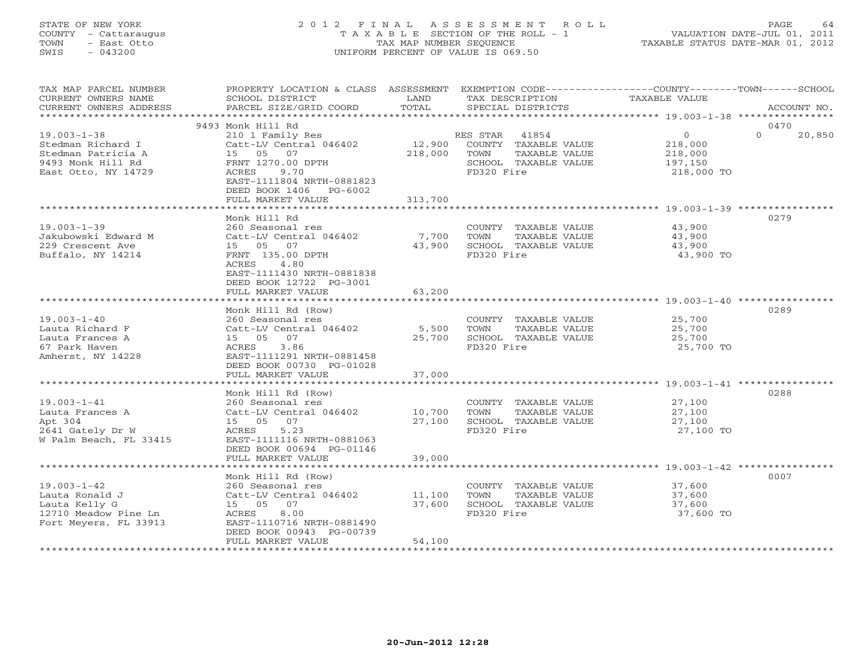# STATE OF NEW YORK 2 0 1 2 F I N A L A S S E S S M E N T R O L L PAGE 64 COUNTY - Cattaraugus T A X A B L E SECTION OF THE ROLL - 1 VALUATION DATE-JUL 01, 2011 TOWN - East Otto TAX MAP NUMBER SEQUENCE TAXABLE STATUS DATE-MAR 01, 2012 SWIS - 043200 UNIFORM PERCENT OF VALUE IS 069.50

| TAX MAP PARCEL NUMBER<br>CURRENT OWNERS NAME<br>CURRENT OWNERS ADDRESS                                   | PROPERTY LOCATION & CLASS ASSESSMENT EXEMPTION CODE---------------COUNTY-------TOWN------SCHOOL<br>SCHOOL DISTRICT<br>PARCEL SIZE/GRID COORD                                                  | LAND<br>TOTAL             | TAX DESCRIPTION<br>SPECIAL DISTRICTS                                                                         | TAXABLE VALUE                                                     | ACCOUNT NO.              |
|----------------------------------------------------------------------------------------------------------|-----------------------------------------------------------------------------------------------------------------------------------------------------------------------------------------------|---------------------------|--------------------------------------------------------------------------------------------------------------|-------------------------------------------------------------------|--------------------------|
|                                                                                                          |                                                                                                                                                                                               |                           |                                                                                                              |                                                                   |                          |
| $19.003 - 1 - 38$<br>Stedman Richard I<br>Stedman Patricia A<br>9493 Monk Hill Rd<br>East Otto, NY 14729 | 9493 Monk Hill Rd<br>210 1 Family Res<br>Catt-LV Central 046402<br>15 05 07<br>FRNT 1270.00 DPTH<br>ACRES<br>9.70<br>EAST-1111804 NRTH-0881823<br>DEED BOOK 1406 PG-6002<br>FULL MARKET VALUE | 218,000<br>313,700        | RES STAR 41854<br>12,900 COUNTY TAXABLE VALUE<br>TAXABLE VALUE<br>TOWN<br>SCHOOL TAXABLE VALUE<br>FD320 Fire | $\overline{0}$<br>$218,000$<br>$218,000$<br>197,150<br>218,000 TO | 0470<br>$\cap$<br>20,850 |
|                                                                                                          | *********************                                                                                                                                                                         |                           |                                                                                                              |                                                                   |                          |
| $19.003 - 1 - 39$<br>Jakubowski Edward M<br>229 Crescent Ave<br>Buffalo, NY 14214                        | Monk Hill Rd<br>260 Seasonal res<br>Catt-LV Central 046402<br>15 05 07<br>FRNT 135.00 DPTH<br>ACRES<br>4.80<br>EAST-1111430 NRTH-0881838                                                      | 7,700<br>43,900           | COUNTY TAXABLE VALUE<br>TOWN<br>TAXABLE VALUE<br>SCHOOL TAXABLE VALUE<br>FD320 Fire                          | 43,900<br>43,900<br>43,900<br>43,900 TO                           | 0279                     |
|                                                                                                          | DEED BOOK 12722 PG-3001                                                                                                                                                                       |                           |                                                                                                              |                                                                   |                          |
|                                                                                                          | FULL MARKET VALUE                                                                                                                                                                             | 63,200                    |                                                                                                              |                                                                   |                          |
| $19.003 - 1 - 40$<br>Lauta Richard F<br>Lauta Frances A<br>67 Park Haven<br>Amherst, NY 14228            | Monk Hill Rd (Row)<br>260 Seasonal res<br>Catt-LV Central 046402<br>15 05 07<br>3.86<br>ACRES<br>EAST-1111291 NRTH-0881458<br>DEED BOOK 00730 PG-01028<br>FULL MARKET VALUE                   | 5,500<br>25,700<br>37,000 | COUNTY TAXABLE VALUE<br>TAXABLE VALUE<br>TOWN<br>SCHOOL TAXABLE VALUE<br>FD320 Fire                          | 25,700<br>25,700<br>25,700<br>25,700 TO                           | 0289                     |
|                                                                                                          |                                                                                                                                                                                               |                           |                                                                                                              |                                                                   |                          |
| $19.003 - 1 - 41$<br>Lauta Frances A<br>Apt 304<br>2641 Gately Dr W<br>W Palm Beach, FL 33415            | Monk Hill Rd (Row)<br>260 Seasonal res<br>Catt-LV Central 046402<br>15 05 07<br>5.23<br>ACRES<br>EAST-1111116 NRTH-0881063<br>DEED BOOK 00694 PG-01146                                        | 10,700<br>27,100          | COUNTY TAXABLE VALUE<br>TAXABLE VALUE<br>TOWN<br>SCHOOL TAXABLE VALUE<br>FD320 Fire                          | 27,100<br>27,100<br>27,100<br>27,100 TO                           | 0288                     |
|                                                                                                          | FULL MARKET VALUE                                                                                                                                                                             | 39,000                    |                                                                                                              |                                                                   |                          |
| $19.003 - 1 - 42$<br>Lauta Ronald J<br>Lauta Kelly G<br>12710 Meadow Pine Ln                             | Monk Hill Rd (Row)<br>260 Seasonal res<br>Catt-LV Central 046402<br>15 05 07<br>ACRES 8.00                                                                                                    | 11,100<br>37,600          | COUNTY TAXABLE VALUE 37,600<br>TAXABLE VALUE<br>TOWN<br>SCHOOL TAXABLE VALUE<br>FD320 Fire                   | 37,600<br>37,600<br>37,600 TO                                     | 0007                     |
| Fort Meyers, FL 33913                                                                                    | EAST-1110716 NRTH-0881490<br>DEED BOOK 00943 PG-00739<br>FULL MARKET VALUE                                                                                                                    | 54,100                    |                                                                                                              |                                                                   |                          |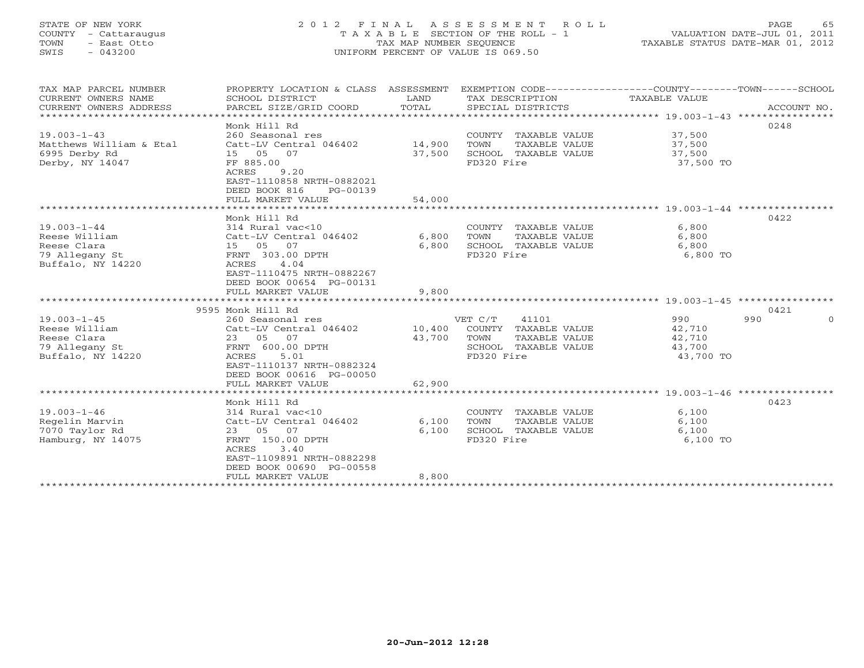# STATE OF NEW YORK 2 0 1 2 F I N A L A S S E S S M E N T R O L L PAGE 65 COUNTY - Cattaraugus T A X A B L E SECTION OF THE ROLL - 1 VALUATION DATE-JUL 01, 2011 TOWN - East Otto TAX MAP NUMBER SEQUENCE TAXABLE STATUS DATE-MAR 01, 2012 SWIS - 043200 UNIFORM PERCENT OF VALUE IS 069.50UNIFORM PERCENT OF VALUE IS 069.50

| TAX MAP PARCEL NUMBER   | PROPERTY LOCATION & CLASS ASSESSMENT EXEMPTION CODE---------------COUNTY-------TOWN------SCHOOL |                |                       |               |                 |
|-------------------------|-------------------------------------------------------------------------------------------------|----------------|-----------------------|---------------|-----------------|
| CURRENT OWNERS NAME     | SCHOOL DISTRICT                                                                                 | LAND           | TAX DESCRIPTION       | TAXABLE VALUE |                 |
| CURRENT OWNERS ADDRESS  | PARCEL SIZE/GRID COORD                                                                          | TOTAL          | SPECIAL DISTRICTS     |               | ACCOUNT NO.     |
|                         |                                                                                                 |                |                       |               |                 |
|                         | Monk Hill Rd                                                                                    |                |                       |               | 0248            |
| $19.003 - 1 - 43$       | 260 Seasonal res                                                                                |                | COUNTY TAXABLE VALUE  | 37,500        |                 |
| Matthews William & Etal | Catt-LV Central 046402 14,900                                                                   |                | TOWN<br>TAXABLE VALUE | 37,500        |                 |
| 6995 Derby Rd           | 15  05  07                                                                                      | 37,500         | SCHOOL TAXABLE VALUE  | 37,500        |                 |
| Derby, NY 14047         | FF 885.00                                                                                       |                | FD320 Fire            | 37,500 TO     |                 |
|                         | 9.20<br>ACRES                                                                                   |                |                       |               |                 |
|                         | EAST-1110858 NRTH-0882021                                                                       |                |                       |               |                 |
|                         | DEED BOOK 816<br>PG-00139                                                                       |                |                       |               |                 |
|                         | FULL MARKET VALUE                                                                               | 54,000         |                       |               |                 |
|                         |                                                                                                 |                |                       |               |                 |
|                         | Monk Hill Rd                                                                                    |                |                       |               | 0422            |
| $19.003 - 1 - 44$       | 314 Rural vac<10                                                                                |                | COUNTY TAXABLE VALUE  | 6,800         |                 |
| Reese William           | Catt-LV Central 046402                                                                          | 6,800          | TOWN<br>TAXABLE VALUE | 6,800         |                 |
| Reese Clara             | 15 05 07                                                                                        | 6,800          | SCHOOL TAXABLE VALUE  | 6,800         |                 |
| 79 Allegany St          | FRNT 303.00 DPTH<br>4.04                                                                        |                | FD320 Fire            | 6,800 TO      |                 |
| Buffalo, NY 14220       | ACRES<br>EAST-1110475 NRTH-0882267                                                              |                |                       |               |                 |
|                         | DEED BOOK 00654 PG-00131                                                                        |                |                       |               |                 |
|                         | FULL MARKET VALUE                                                                               | 9,800          |                       |               |                 |
|                         |                                                                                                 |                |                       |               |                 |
|                         | 9595 Monk Hill Rd                                                                               |                |                       |               | 0421            |
| $19.003 - 1 - 45$       | 260 Seasonal res                                                                                |                | VET C/T<br>41101      | 990           | 990<br>$\Omega$ |
| Reese William           | Catt-LV Central 046402 10,400                                                                   |                | COUNTY TAXABLE VALUE  | 42,710        |                 |
| Reese Clara             | 23 05 07                                                                                        | 43,700         | TOWN<br>TAXABLE VALUE | 42,710        |                 |
| 79 Allegany St          | FRNT 600.00 DPTH                                                                                |                | SCHOOL TAXABLE VALUE  | 43,700        |                 |
| Buffalo, NY 14220       | 5.01<br>ACRES                                                                                   |                | FD320 Fire            | 43,700 TO     |                 |
|                         | EAST-1110137 NRTH-0882324                                                                       |                |                       |               |                 |
|                         | DEED BOOK 00616 PG-00050                                                                        |                |                       |               |                 |
|                         | FULL MARKET VALUE                                                                               | 62,900         |                       |               |                 |
|                         | *******************************                                                                 | ************** |                       |               |                 |
|                         | Monk Hill Rd                                                                                    |                |                       |               | 0423            |
| $19.003 - 1 - 46$       | 314 Rural vac<10                                                                                |                | COUNTY TAXABLE VALUE  | 6,100         |                 |
| Regelin Marvin          | Catt-LV Central 046402                                                                          | 6,100          | TOWN<br>TAXABLE VALUE | 6,100         |                 |
| 7070 Taylor Rd          | 23 05 07                                                                                        | 6,100          | SCHOOL TAXABLE VALUE  | 6,100         |                 |
| Hamburg, NY 14075       | FRNT 150.00 DPTH                                                                                |                | FD320 Fire            | 6,100 TO      |                 |
|                         | ACRES<br>3.40                                                                                   |                |                       |               |                 |
|                         | EAST-1109891 NRTH-0882298                                                                       |                |                       |               |                 |
|                         | DEED BOOK 00690 PG-00558                                                                        |                |                       |               |                 |
|                         | FULL MARKET VALUE                                                                               | 8,800          |                       |               |                 |
|                         |                                                                                                 |                |                       |               |                 |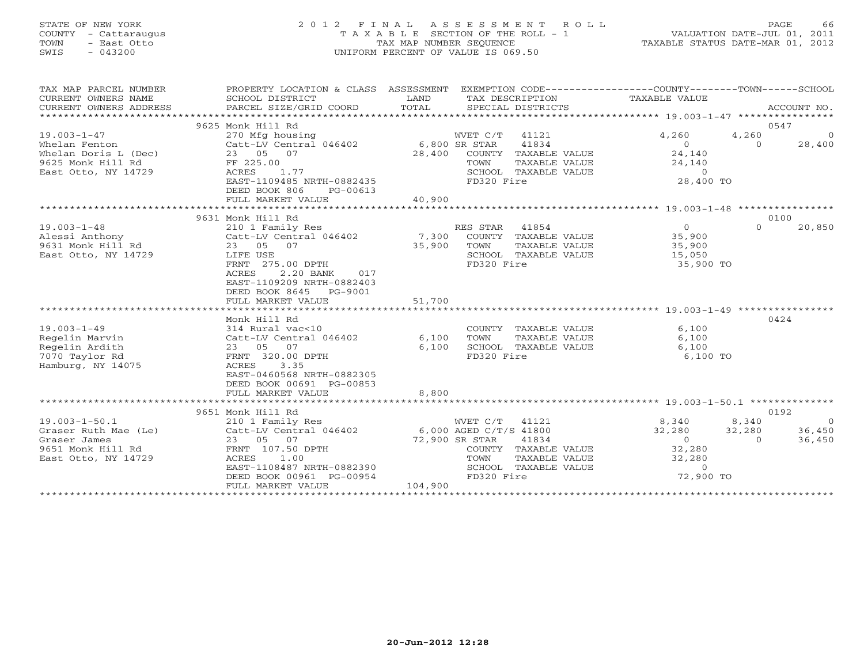# STATE OF NEW YORK 2 0 1 2 F I N A L A S S E S S M E N T R O L L PAGE 66 COUNTY - Cattaraugus T A X A B L E SECTION OF THE ROLL - 1 VALUATION DATE-JUL 01, 2011 TOWN - East Otto TAX MAP NUMBER SEQUENCE TAXABLE STATUS DATE-MAR 01, 2012 SWIS - 043200 UNIFORM PERCENT OF VALUE IS 069.50UNIFORM PERCENT OF VALUE IS 069.50

| TAX MAP PARCEL NUMBER<br>CURRENT OWNERS NAME<br>CONNERS NOTHER BARCEL STAR TORD TOTAL SECIAL DISTRICTS MONEARY NEWSLATION ACCOUNT NO.<br>CURRENT OWNERS ADDRESS PARCEL STAR PORT TOTAL SECIAL DISTRICTS ACCOUNT NO.<br>CURRENT OWNERS ADDRESS | PROPERTY LOCATION & CLASS ASSESSMENT EXEMPTION CODE----------------COUNTY-------TOWN------SCHOOL<br>SCHOOL DISTRICT | LAND    |                |                      | TAX DESCRIPTION TAXABLE VALUE<br>SPECIAL DISTRICTS                               |               |                |
|-----------------------------------------------------------------------------------------------------------------------------------------------------------------------------------------------------------------------------------------------|---------------------------------------------------------------------------------------------------------------------|---------|----------------|----------------------|----------------------------------------------------------------------------------|---------------|----------------|
|                                                                                                                                                                                                                                               | 9625 Monk Hill Rd                                                                                                   |         |                |                      |                                                                                  |               | 0547           |
| 19.003-1-47                                                                                                                                                                                                                                   | 270 Mfg housing                                                                                                     |         | WVET C/T 41121 |                      | 4,260                                                                            | 4,260         | $\overline{0}$ |
| Whelan Fenton<br>Whelan Doris L (Dec)<br>Whelan Doris L (Dec)<br>23 05 07 28,400 COUNTY<br>2625 Monk Hill Rd FF 225.00 TOWN<br>East Otto, NY 14729 ACRES 1.77 SCHOOL                                                                          |                                                                                                                     |         |                | 41834                |                                                                                  | $\Omega$      | 28,400         |
|                                                                                                                                                                                                                                               |                                                                                                                     |         |                | COUNTY TAXABLE VALUE | $0$<br>24,140<br>24,140                                                          |               |                |
|                                                                                                                                                                                                                                               |                                                                                                                     |         |                |                      |                                                                                  |               |                |
|                                                                                                                                                                                                                                               |                                                                                                                     |         |                |                      |                                                                                  |               |                |
|                                                                                                                                                                                                                                               | ACRES 1.77<br>EAST-1109485 NRTH-0882435                                                                             |         |                |                      | TOWN TAXABLE VALUE 24,140<br>SCHOOL TAXABLE VALUE 28,400 TO                      |               |                |
|                                                                                                                                                                                                                                               | DEED BOOK 806<br>PG-00613                                                                                           |         |                |                      |                                                                                  |               |                |
|                                                                                                                                                                                                                                               | FULL MARKET VALUE                                                                                                   | 40,900  |                |                      |                                                                                  |               |                |
|                                                                                                                                                                                                                                               |                                                                                                                     |         |                |                      |                                                                                  |               |                |
|                                                                                                                                                                                                                                               | 9631 Monk Hill Rd                                                                                                   |         |                |                      |                                                                                  |               | 0100           |
| 19.003-1-48            210 1 Family Res               RES STAR  41854             0<br>Alessi Anthony          Catt-LV Central 046402      7,300  COUNTY TAXABLE VALUE       35,900<br>9631 Monk Hill Rd        23  05  07                    |                                                                                                                     |         |                |                      |                                                                                  | $\Omega$      | 20,850         |
|                                                                                                                                                                                                                                               |                                                                                                                     |         |                |                      |                                                                                  |               |                |
|                                                                                                                                                                                                                                               |                                                                                                                     |         |                |                      |                                                                                  |               |                |
|                                                                                                                                                                                                                                               |                                                                                                                     |         |                |                      |                                                                                  |               |                |
|                                                                                                                                                                                                                                               | FRNT 275.00 DPTH                                                                                                    |         | FD320 Fire     |                      | 35,900 TO                                                                        |               |                |
|                                                                                                                                                                                                                                               | 2.20 BANK 017<br>ACRES                                                                                              |         |                |                      |                                                                                  |               |                |
|                                                                                                                                                                                                                                               | EAST-1109209 NRTH-0882403                                                                                           |         |                |                      |                                                                                  |               |                |
|                                                                                                                                                                                                                                               | DEED BOOK 8645 PG-9001                                                                                              |         |                |                      |                                                                                  |               |                |
|                                                                                                                                                                                                                                               | FULL MARKET VALUE                                                                                                   | 51,700  |                |                      |                                                                                  |               |                |
|                                                                                                                                                                                                                                               |                                                                                                                     |         |                |                      |                                                                                  |               |                |
|                                                                                                                                                                                                                                               | Monk Hill Rd                                                                                                        |         |                |                      |                                                                                  |               | 0424           |
| $19.003 - 1 - 49$                                                                                                                                                                                                                             | $314$ Rural vac<10                                                                                                  |         |                | COUNTY TAXABLE VALUE | 6,100                                                                            |               |                |
| Regelin Marvin                                                                                                                                                                                                                                | Catt-LV Central 046402 6,100                                                                                        |         | TOWN           | TAXABLE VALUE        | 6,100                                                                            |               |                |
| Regelin Ardith                                                                                                                                                                                                                                | 23 05 07<br>FRNT 320.00 DPTH                                                                                        |         |                |                      | $6,100$ SCHOOL TAXABLE VALUE $6,100$<br>FD320 Fire                               |               |                |
| 7070 Taylor Rd                                                                                                                                                                                                                                |                                                                                                                     |         |                |                      | 6,100 TO                                                                         |               |                |
| Hamburg, NY 14075                                                                                                                                                                                                                             | ACRES<br>3.35                                                                                                       |         |                |                      |                                                                                  |               |                |
|                                                                                                                                                                                                                                               | EAST-0460568 NRTH-0882305                                                                                           |         |                |                      |                                                                                  |               |                |
|                                                                                                                                                                                                                                               | DEED BOOK 00691 PG-00853                                                                                            |         |                |                      |                                                                                  |               |                |
|                                                                                                                                                                                                                                               | FULL MARKET VALUE                                                                                                   | 8,800   |                |                      |                                                                                  |               |                |
|                                                                                                                                                                                                                                               |                                                                                                                     |         |                |                      |                                                                                  |               |                |
|                                                                                                                                                                                                                                               | 9651 Monk Hill Rd                                                                                                   |         |                |                      |                                                                                  |               | 0192           |
| $19.003 - 1 - 50.1$                                                                                                                                                                                                                           | 210 1 Family Res                                                                                                    |         |                |                      | WVET C/T 41121 8,340 8,340                                                       |               | $\overline{0}$ |
|                                                                                                                                                                                                                                               |                                                                                                                     |         |                |                      | 32,280                                                                           | $32,280$<br>0 | 36,450         |
|                                                                                                                                                                                                                                               |                                                                                                                     |         |                |                      |                                                                                  |               | 36,450         |
| 9.003-1-50.1<br>Graser Ruth Mae (Le) Catt-LV Central 046402 6,000 AGED C/T/S 41800<br>Graser James 23 05 07 72,900 SR STAR 41834<br>9651 Monk Hill Rd FRNT 107.50 DPTH COUNTY TAXABLE<br>East Otto, NY 14729 ACRES 1.00 TOWN TAXABLE          |                                                                                                                     |         |                |                      | COUNTY TAXABLE VALUE 32,280                                                      |               |                |
|                                                                                                                                                                                                                                               |                                                                                                                     |         |                |                      |                                                                                  |               |                |
|                                                                                                                                                                                                                                               | EAST-1108487 NRTH-0882390                                                                                           |         |                |                      |                                                                                  |               |                |
|                                                                                                                                                                                                                                               | DEED BOOK 00961 PG-00954                                                                                            |         |                |                      | TOWN TAXABLE VALUE 32,280<br>SCHOOL TAXABLE VALUE 32,280<br>FD320 Fire 72,900 TO |               |                |
|                                                                                                                                                                                                                                               | FULL MARKET VALUE                                                                                                   | 104,900 |                |                      |                                                                                  |               |                |
|                                                                                                                                                                                                                                               |                                                                                                                     |         |                |                      |                                                                                  |               |                |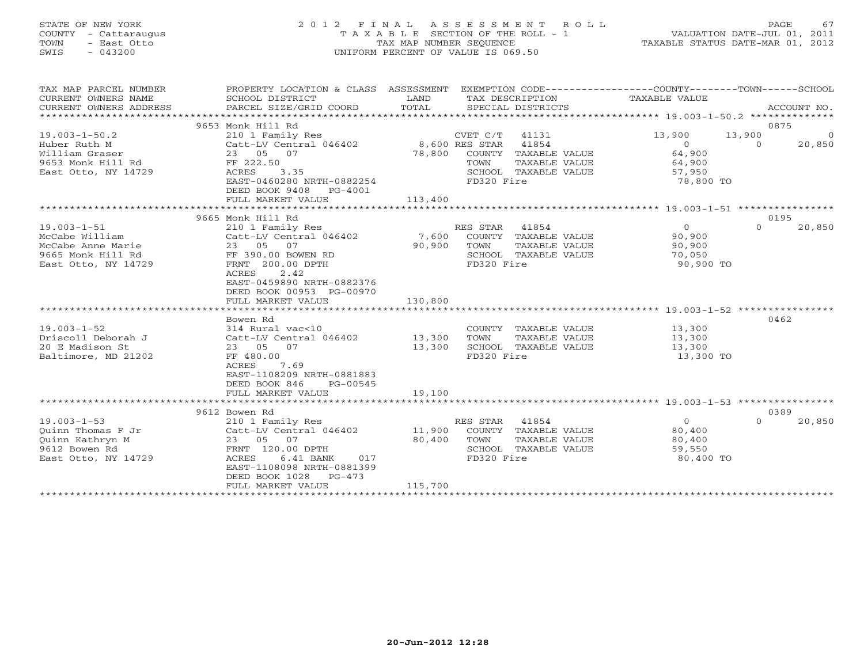# STATE OF NEW YORK 2 0 1 2 F I N A L A S S E S S M E N T R O L L PAGE 67 COUNTY - Cattaraugus T A X A B L E SECTION OF THE ROLL - 1 VALUATION DATE-JUL 01, 2011 TOWN - East Otto TAX MAP NUMBER SEQUENCE TAXABLE STATUS DATE-MAR 01, 2012 SWIS - 043200 UNIFORM PERCENT OF VALUE IS 069.50UNIFORM PERCENT OF VALUE IS 069.50

| TAX MAP PARCEL NUMBER            | PROPERTY LOCATION & CLASS ASSESSMENT EXEMPTION CODE---------------COUNTY-------TOWN------SCHOOL                                                                                                                                                        |         |                                                      |                                        |                            |
|----------------------------------|--------------------------------------------------------------------------------------------------------------------------------------------------------------------------------------------------------------------------------------------------------|---------|------------------------------------------------------|----------------------------------------|----------------------------|
| CURRENT OWNERS NAME              | SCHOOL DISTRICT                                                                                                                                                                                                                                        | LAND    | TAX DESCRIPTION                                      | TAXABLE VALUE                          |                            |
| CURRENT OWNERS ADDRESS           | PARCEL SIZE/GRID COORD                                                                                                                                                                                                                                 | TOTAL   | SPECIAL DISTRICTS                                    |                                        | ACCOUNT NO.                |
|                                  |                                                                                                                                                                                                                                                        |         |                                                      |                                        |                            |
|                                  | 9653 Monk Hill Rd                                                                                                                                                                                                                                      |         |                                                      |                                        | 0875                       |
| $19.003 - 1 - 50.2$              | 210 1 Family Res                                                                                                                                                                                                                                       |         | CVET C/T 41131                                       | 13,900                                 | 13,900<br>$\sim$ 0         |
| Huber Ruth M                     | Catt-LV Central 046402<br>23 05 07                                                                                                                                                                                                                     |         | 8,600 RES STAR 41854                                 | $\begin{array}{c}0\\64,900\end{array}$ | $\overline{0}$<br>20,850   |
| William Graser                   |                                                                                                                                                                                                                                                        |         | 78,800 COUNTY TAXABLE VALUE                          |                                        |                            |
| 9653 Monk Hill Rd FF 222.50      |                                                                                                                                                                                                                                                        |         | TOWN<br>TAXABLE VALUE                                | 64,900                                 |                            |
| East Otto, NY 14729              | 3.35<br>ACRES                                                                                                                                                                                                                                          |         | SCHOOL TAXABLE VALUE                                 | 57,950                                 |                            |
|                                  | EAST-0460280 NRTH-0882254                                                                                                                                                                                                                              |         | FD320 Fire                                           | 78,800 TO                              |                            |
|                                  | DEED BOOK 9408 PG-4001                                                                                                                                                                                                                                 |         |                                                      |                                        |                            |
|                                  |                                                                                                                                                                                                                                                        |         |                                                      |                                        |                            |
|                                  | 9665 Monk Hill Rd                                                                                                                                                                                                                                      |         |                                                      |                                        | 0195                       |
|                                  | 19.003-1-51<br>McCabe William<br>McCabe Anne Marie<br>McCabe Anne Marie<br>9665 Monk Hill Rd<br>7 - Atto NY 14729<br>7 - Atto NY 14729<br>7 - Atto NY 14729<br>7 - Atto NY 14729<br>7 - Atto NY 14729<br>7 - Atto NY 14729<br>7 - Atto NY 14729<br>8 - |         | RES STAR 41854                                       | $\overline{0}$                         | $\Omega$<br>20,850         |
|                                  |                                                                                                                                                                                                                                                        |         | 7,600 COUNTY TAXABLE VALUE                           | 90,900                                 |                            |
|                                  |                                                                                                                                                                                                                                                        | 90,900  | TOWN<br>TAXABLE VALUE                                | 90, 900                                |                            |
|                                  |                                                                                                                                                                                                                                                        |         | SCHOOL TAXABLE VALUE                                 | 70,050                                 |                            |
|                                  |                                                                                                                                                                                                                                                        |         | FD320 Fire                                           | 90,900 TO                              |                            |
|                                  | ACRES<br>2.42                                                                                                                                                                                                                                          |         |                                                      |                                        |                            |
|                                  | EAST-0459890 NRTH-0882376                                                                                                                                                                                                                              |         |                                                      |                                        |                            |
|                                  | DEED BOOK 00953 PG-00970                                                                                                                                                                                                                               |         |                                                      |                                        |                            |
|                                  | FULL MARKET VALUE                                                                                                                                                                                                                                      | 130,800 |                                                      |                                        |                            |
|                                  |                                                                                                                                                                                                                                                        |         |                                                      |                                        |                            |
|                                  | Bowen Rd                                                                                                                                                                                                                                               |         |                                                      |                                        | 0462                       |
| $19.003 - 1 - 52$                | 314 Rural vac<10                                                                                                                                                                                                                                       |         | COUNTY TAXABLE VALUE 13,300                          |                                        |                            |
|                                  |                                                                                                                                                                                                                                                        | 13,300  | TOWN TAXABLE VALUE                                   | 13,300<br>13,300                       |                            |
|                                  |                                                                                                                                                                                                                                                        | 13,300  | SCHOOL TAXABLE VALUE                                 |                                        |                            |
| Baltimore, MD 21202              | FF 480.00                                                                                                                                                                                                                                              |         | FD320 Fire                                           | 13,300 TO                              |                            |
|                                  | ACRES<br>7.69                                                                                                                                                                                                                                          |         |                                                      |                                        |                            |
|                                  | EAST-1108209 NRTH-0881883                                                                                                                                                                                                                              |         |                                                      |                                        |                            |
|                                  | DEED BOOK 846<br>PG-00545                                                                                                                                                                                                                              |         |                                                      |                                        |                            |
|                                  | FULL MARKET VALUE                                                                                                                                                                                                                                      | 19,100  |                                                      |                                        |                            |
|                                  |                                                                                                                                                                                                                                                        |         |                                                      |                                        |                            |
| $19.003 - 1 - 53$                | 9612 Bowen Rd                                                                                                                                                                                                                                          |         | RES STAR 41854                                       | $\overline{0}$                         | 0389<br>$\Omega$<br>20,850 |
|                                  | 210 1 Family Res<br>210 1 Family Res<br>Catt-LV Central 046402                                                                                                                                                                                         |         |                                                      | 80,400                                 |                            |
| Ouinn Thomas F Jr                | 23 05 07                                                                                                                                                                                                                                               | 80,400  | 11,900 COUNTY TAXABLE VALUE<br>TOWN<br>TAXABLE VALUE |                                        |                            |
| Quinn Kathryn M<br>9612 Bowen Rd |                                                                                                                                                                                                                                                        |         | SCHOOL TAXABLE VALUE                                 | 80,400<br>59,550                       |                            |
|                                  | $\begin{array}{cc}\n\text{FRNT} & 120.00 \text{ DPTH} \\ \text{RNT} & \text{120.00} \\ \end{array}$<br>ACRES<br>$6.41$ BANK<br>017                                                                                                                     |         | FD320 Fire                                           | 80,400 TO                              |                            |
| East Otto, NY 14729              | EAST-1108098 NRTH-0881399                                                                                                                                                                                                                              |         |                                                      |                                        |                            |
|                                  | DEED BOOK 1028<br>PG-473                                                                                                                                                                                                                               |         |                                                      |                                        |                            |
|                                  | FULL MARKET VALUE                                                                                                                                                                                                                                      | 115,700 |                                                      |                                        |                            |
|                                  |                                                                                                                                                                                                                                                        |         |                                                      |                                        |                            |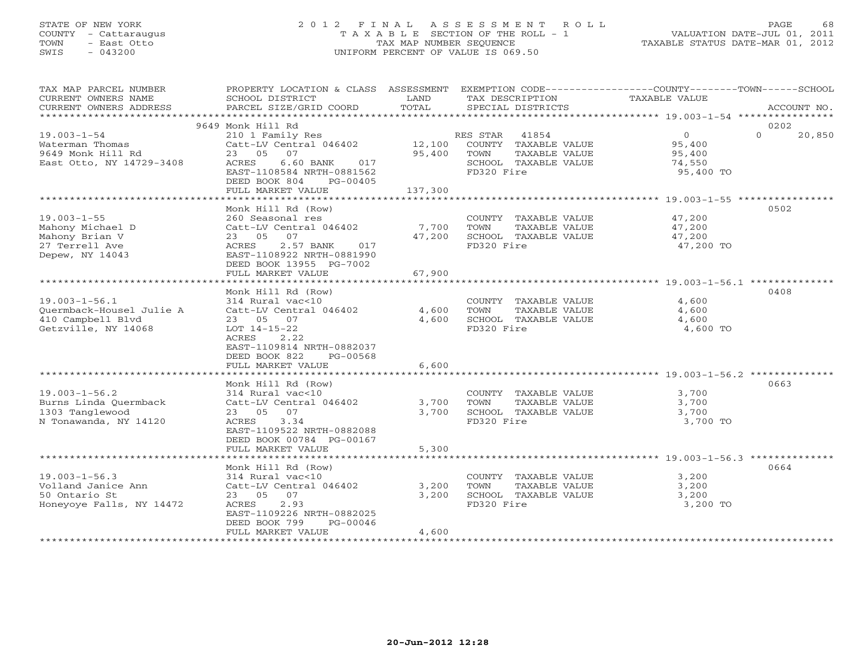# STATE OF NEW YORK 2 0 1 2 F I N A L A S S E S S M E N T R O L L PAGE 68 COUNTY - Cattaraugus T A X A B L E SECTION OF THE ROLL - 1 VALUATION DATE-JUL 01, 2011 TOWN - East Otto TAX MAP NUMBER SEQUENCE TAXABLE STATUS DATE-MAR 01, 2012 SWIS - 043200 UNIFORM PERCENT OF VALUE IS 069.50UNIFORM PERCENT OF VALUE IS 069.50

| TAX MAP PARCEL NUMBER    |                                                                              |         | PROPERTY LOCATION & CLASS ASSESSMENT EXEMPTION CODE----------------COUNTY-------TOWN------SCHOOL |                |          |             |
|--------------------------|------------------------------------------------------------------------------|---------|--------------------------------------------------------------------------------------------------|----------------|----------|-------------|
| CURRENT OWNERS NAME      | SCHOOL DISTRICT                                                              | LAND    | TAX DESCRIPTION                                                                                  | TAXABLE VALUE  |          |             |
| CURRENT OWNERS ADDRESS   | PARCEL SIZE/GRID COORD                                                       | TOTAL   | SPECIAL DISTRICTS                                                                                |                |          | ACCOUNT NO. |
|                          |                                                                              |         |                                                                                                  |                |          |             |
|                          | 9649 Monk Hill Rd                                                            |         |                                                                                                  |                | 0202     |             |
| $19.003 - 1 - 54$        | 210 1 Family Res                                                             |         | RES STAR 41854                                                                                   | $\overline{0}$ | $\Omega$ | 20,850      |
| Waterman Thomas          | 210 1 Family Res<br>Catt-LV Central 046402      12,100  COUNTY TAXABLE VALUE |         |                                                                                                  | 95,400         |          |             |
| 9649 Monk Hill Rd        | 23 05 07                                                                     | 95,400  | TOWN<br>TAXABLE VALUE                                                                            | 95,400         |          |             |
| East Otto, NY 14729-3408 | 6.60 BANK 017<br>ACRES                                                       |         | SCHOOL TAXABLE VALUE                                                                             | 74,550         |          |             |
|                          | EAST-1108584 NRTH-0881562                                                    |         | FD320 Fire                                                                                       | 95,400 TO      |          |             |
|                          | DEED BOOK 804<br>PG-00405                                                    |         |                                                                                                  |                |          |             |
|                          | FULL MARKET VALUE                                                            | 137,300 |                                                                                                  |                |          |             |
|                          |                                                                              |         |                                                                                                  |                |          |             |
|                          | Monk Hill Rd (Row)                                                           |         |                                                                                                  |                | 0502     |             |
| $19.003 - 1 - 55$        | 260 Seasonal res                                                             |         | COUNTY TAXABLE VALUE                                                                             | 47,200         |          |             |
| Mahony Michael D         | Catt-LV Central 046402                                                       | 7,700   |                                                                                                  | 47,200         |          |             |
| Mahony Brian V           | 23 05<br>07                                                                  | 47,200  | TOWN      TAXABLE VALUE<br>SCHOOL   TAXABLE VALUE                                                | 47,200         |          |             |
| 27 Terrell Ave           | 2.57 BANK 017<br>ACRES                                                       |         | FD320 Fire                                                                                       | 47,200 TO      |          |             |
| Depew, NY 14043          | EAST-1108922 NRTH-0881990                                                    |         |                                                                                                  |                |          |             |
|                          | DEED BOOK 13955 PG-7002                                                      |         |                                                                                                  |                |          |             |
|                          | FULL MARKET VALUE                                                            | 67,900  |                                                                                                  |                |          |             |
|                          |                                                                              |         |                                                                                                  |                |          |             |
|                          | Monk Hill Rd (Row)                                                           |         |                                                                                                  |                | 0408     |             |
| $19.003 - 1 - 56.1$      | 314 Rural vac<10                                                             |         | COUNTY TAXABLE VALUE                                                                             | 4,600          |          |             |
| Quermback-Housel Julie A | Catt-LV Central 046402                                                       | 4,600   | TOWN<br>TAXABLE VALUE                                                                            | 4,600          |          |             |
| 410 Campbell Blvd        | 23 05 07                                                                     |         | 4,600 SCHOOL TAXABLE VALUE                                                                       | 4,600          |          |             |
|                          | $LOT$ 14-15-22                                                               |         | FD320 Fire                                                                                       | 4,600 TO       |          |             |
| Getzville, NY 14068      | ACRES<br>2.22                                                                |         |                                                                                                  |                |          |             |
|                          | EAST-1109814 NRTH-0882037                                                    |         |                                                                                                  |                |          |             |
|                          | DEED BOOK 822<br>PG-00568                                                    |         |                                                                                                  |                |          |             |
|                          |                                                                              |         |                                                                                                  |                |          |             |
|                          | FULL MARKET VALUE                                                            | 6,600   |                                                                                                  |                |          |             |
|                          |                                                                              |         |                                                                                                  |                |          |             |
|                          | Monk Hill Rd (Row)                                                           |         |                                                                                                  |                | 0663     |             |
| $19.003 - 1 - 56.2$      | 314 Rural vac<10                                                             |         | COUNTY TAXABLE VALUE                                                                             | 3,700          |          |             |
| Burns Linda Quermback    | Catt-LV Central 046402                                                       | 3,700   | TOWN<br>TAXABLE VALUE                                                                            | 3,700          |          |             |
| 1303 Tanglewood          | 23 05 07                                                                     | 3,700   | SCHOOL TAXABLE VALUE                                                                             | 3,700          |          |             |
| N Tonawanda, NY 14120    | ACRES<br>3.34                                                                |         | FD320 Fire                                                                                       | 3,700 TO       |          |             |
|                          | EAST-1109522 NRTH-0882088                                                    |         |                                                                                                  |                |          |             |
|                          | DEED BOOK 00784 PG-00167                                                     |         |                                                                                                  |                |          |             |
|                          | FULL MARKET VALUE                                                            | 5,300   |                                                                                                  |                |          |             |
|                          |                                                                              |         |                                                                                                  |                |          |             |
|                          | Monk Hill Rd (Row)                                                           |         |                                                                                                  |                | 0664     |             |
| $19.003 - 1 - 56.3$      | 314 Rural vac<10                                                             |         | COUNTY TAXABLE VALUE                                                                             | 3,200          |          |             |
| Volland Janice Ann       | Catt-LV Central 046402                                                       | 3,200   | TOWN<br>TAXABLE VALUE                                                                            | 3,200          |          |             |
| 50 Ontario St            | 23 05 07                                                                     | 3,200   | SCHOOL TAXABLE VALUE                                                                             | 3,200          |          |             |
| Honeyoye Falls, NY 14472 | 2.93<br>ACRES                                                                |         | FD320 Fire                                                                                       | 3,200 TO       |          |             |
|                          | EAST-1109226 NRTH-0882025                                                    |         |                                                                                                  |                |          |             |
|                          | DEED BOOK 799<br>PG-00046                                                    |         |                                                                                                  |                |          |             |
|                          | FULL MARKET VALUE                                                            | 4,600   |                                                                                                  |                |          |             |
|                          |                                                                              |         |                                                                                                  |                |          |             |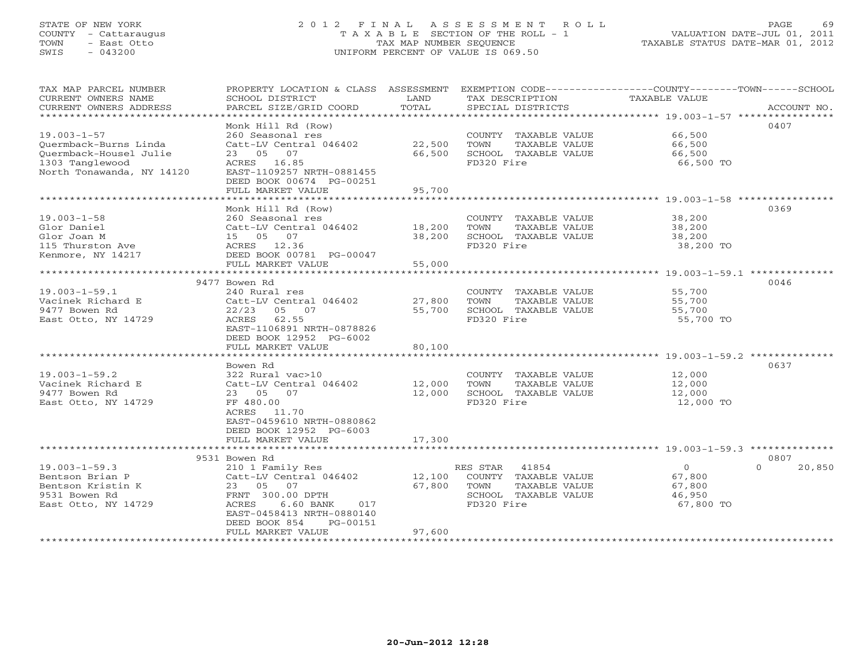#### STATE OF NEW YORK 2 0 1 2 F I N A L A S S E S S M E N T R O L L PAGE 69COUNTY - Cattaraugus T A X A B L E SECTION OF THE ROLL - 1 VALUATION DATE-JUL 01, 2011 TOWN - East Otto TAX MAP NUMBER SEQUENCE TAXABLE STATUS DATE-MAR 01, 2012 SWIS - 043200 UNIFORM PERCENT OF VALUE IS 069.50

| TAX MAP PARCEL NUMBER<br>CURRENT OWNERS NAME    | PROPERTY LOCATION & CLASS ASSESSMENT<br>SCHOOL DISTRICT | LAND             | TAX DESCRIPTION                    | EXEMPTION CODE-----------------COUNTY-------TOWN------SCHOOL<br>TAXABLE VALUE |        |
|-------------------------------------------------|---------------------------------------------------------|------------------|------------------------------------|-------------------------------------------------------------------------------|--------|
| CURRENT OWNERS ADDRESS<br>********************* | PARCEL SIZE/GRID COORD                                  | TOTAL            | SPECIAL DISTRICTS                  | ACCOUNT NO.                                                                   |        |
|                                                 | Monk Hill Rd (Row)                                      |                  |                                    | 0407                                                                          |        |
| $19.003 - 1 - 57$                               | 260 Seasonal res                                        |                  | COUNTY TAXABLE VALUE               | 66,500                                                                        |        |
| Ouermback-Burns Linda                           | Catt-LV Central 046402                                  | 22,500           | TOWN<br>TAXABLE VALUE              | 66,500                                                                        |        |
| Ouermback-Housel Julie                          | 07<br>23 05                                             | 66,500           | SCHOOL TAXABLE VALUE               | 66,500                                                                        |        |
| 1303 Tanglewood                                 | ACRES 16.85                                             |                  | FD320 Fire                         | 66,500 TO                                                                     |        |
| North Tonawanda, NY 14120                       | EAST-1109257 NRTH-0881455                               |                  |                                    |                                                                               |        |
|                                                 | DEED BOOK 00674 PG-00251                                |                  |                                    |                                                                               |        |
|                                                 | FULL MARKET VALUE                                       | 95,700           |                                    |                                                                               |        |
|                                                 |                                                         |                  |                                    |                                                                               |        |
|                                                 | Monk Hill Rd (Row)                                      |                  |                                    | 0369                                                                          |        |
| $19.003 - 1 - 58$                               | 260 Seasonal res                                        |                  | COUNTY TAXABLE VALUE               | 38,200                                                                        |        |
| Glor Daniel                                     | Catt-LV Central 046402<br>15 05 07                      | 18,200<br>38,200 | TOWN<br>TAXABLE VALUE              | 38,200                                                                        |        |
| Glor Joan M<br>115 Thurston Ave                 | ACRES 12.36                                             |                  | SCHOOL TAXABLE VALUE<br>FD320 Fire | 38,200<br>38,200 TO                                                           |        |
| Kenmore, NY 14217                               | DEED BOOK 00781 PG-00047                                |                  |                                    |                                                                               |        |
|                                                 | FULL MARKET VALUE                                       | 55,000           |                                    |                                                                               |        |
|                                                 | **********************                                  | ***********      |                                    | ****************** 19.003-1-59.1 *********                                    |        |
|                                                 | 9477 Bowen Rd                                           |                  |                                    | 0046                                                                          |        |
| $19.003 - 1 - 59.1$                             | 240 Rural res                                           |                  | COUNTY TAXABLE VALUE               | 55,700                                                                        |        |
| Vacinek Richard E                               | Catt-LV Central 046402                                  | 27,800           | TOWN<br>TAXABLE VALUE              | 55,700                                                                        |        |
| 9477 Bowen Rd                                   | 22/23<br>05 07                                          | 55,700           | SCHOOL TAXABLE VALUE               | 55,700                                                                        |        |
| East Otto, NY 14729                             | ACRES<br>62.55                                          |                  | FD320 Fire                         | 55,700 TO                                                                     |        |
|                                                 | EAST-1106891 NRTH-0878826                               |                  |                                    |                                                                               |        |
|                                                 | DEED BOOK 12952 PG-6002                                 |                  |                                    |                                                                               |        |
|                                                 | FULL MARKET VALUE                                       | 80,100           |                                    |                                                                               |        |
|                                                 | Bowen Rd                                                |                  |                                    | 0637                                                                          |        |
| $19.003 - 1 - 59.2$                             | 322 Rural vac>10                                        |                  | COUNTY TAXABLE VALUE               | 12,000                                                                        |        |
| Vacinek Richard E                               | Catt-LV Central 046402                                  | 12,000           | TOWN<br>TAXABLE VALUE              | 12,000                                                                        |        |
| 9477 Bowen Rd                                   | 23 05 07                                                | 12,000           | SCHOOL TAXABLE VALUE               | 12,000                                                                        |        |
| East Otto, NY 14729                             | FF 480.00                                               |                  | FD320 Fire                         | 12,000 TO                                                                     |        |
|                                                 | ACRES 11.70                                             |                  |                                    |                                                                               |        |
|                                                 | EAST-0459610 NRTH-0880862                               |                  |                                    |                                                                               |        |
|                                                 | DEED BOOK 12952 PG-6003                                 |                  |                                    |                                                                               |        |
|                                                 | FULL MARKET VALUE                                       | 17,300           |                                    |                                                                               |        |
|                                                 |                                                         |                  |                                    | 0807                                                                          |        |
| $19.003 - 1 - 59.3$                             | 9531 Bowen Rd<br>210 1 Family Res                       |                  | RES STAR<br>41854                  | $\circ$<br>$\Omega$                                                           | 20,850 |
| Bentson Brian P                                 | Catt-LV Central 046402                                  | 12,100           | COUNTY TAXABLE VALUE               | 67,800                                                                        |        |
| Bentson Kristin K                               | 23 05 07                                                | 67,800           | TOWN<br>TAXABLE VALUE              | 67,800                                                                        |        |
| 9531 Bowen Rd                                   | FRNT 300.00 DPTH                                        |                  | SCHOOL TAXABLE VALUE               | 46,950                                                                        |        |
| East Otto, NY 14729                             | ACRES<br>6.60 BANK<br>017                               |                  | FD320 Fire                         | 67,800 TO                                                                     |        |
|                                                 | EAST-0458413 NRTH-0880140                               |                  |                                    |                                                                               |        |
|                                                 | DEED BOOK 854<br>PG-00151                               |                  |                                    |                                                                               |        |
|                                                 | FULL MARKET VALUE                                       | 97,600           |                                    |                                                                               |        |
|                                                 |                                                         |                  |                                    |                                                                               |        |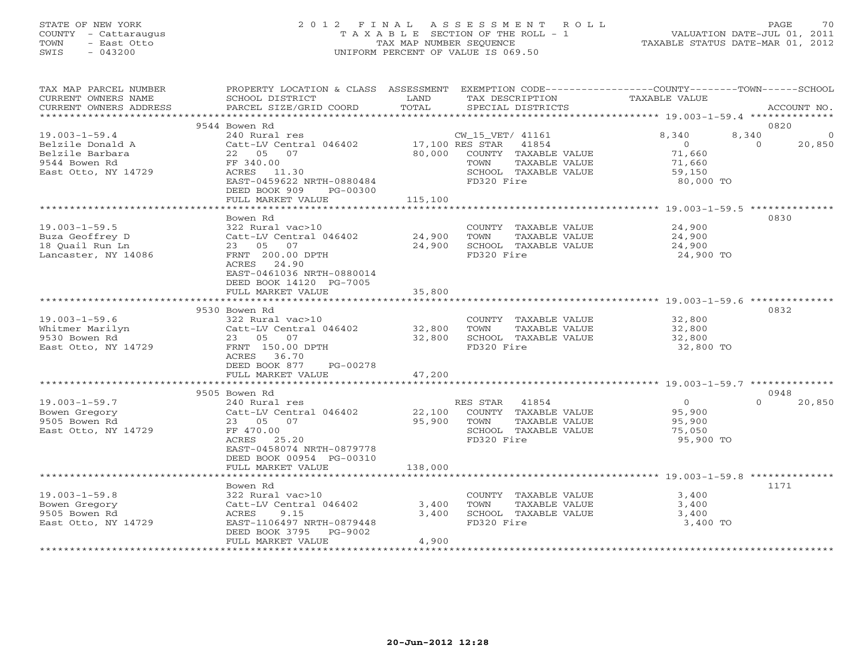# STATE OF NEW YORK 2 0 1 2 F I N A L A S S E S S M E N T R O L L PAGE 70 COUNTY - Cattaraugus T A X A B L E SECTION OF THE ROLL - 1 VALUATION DATE-JUL 01, 2011 TOWN - East Otto TAX MAP NUMBER SEQUENCE TAXABLE STATUS DATE-MAR 01, 2012 SWIS - 043200 UNIFORM PERCENT OF VALUE IS 069.50UNIFORM PERCENT OF VALUE IS 069.50

| TAX MAP PARCEL NUMBER<br>CURRENT OWNERS NAME<br>CURRENT OWNERS ADDRESS                             | PROPERTY LOCATION & CLASS ASSESSMENT EXEMPTION CODE----------------COUNTY-------TOWN------SCHOOL<br>SCHOOL DISTRICT<br>PARCEL SIZE/GRID COORD | LAND<br>TOTAL      | TAX DESCRIPTION<br>SPECIAL DISTRICTS                                                                                             | TAXABLE VALUE                                                               | ACCOUNT NO.             |
|----------------------------------------------------------------------------------------------------|-----------------------------------------------------------------------------------------------------------------------------------------------|--------------------|----------------------------------------------------------------------------------------------------------------------------------|-----------------------------------------------------------------------------|-------------------------|
|                                                                                                    |                                                                                                                                               |                    |                                                                                                                                  |                                                                             |                         |
|                                                                                                    | 9544 Bowen Rd                                                                                                                                 |                    |                                                                                                                                  |                                                                             | 0820                    |
| $19.003 - 1 - 59.4$<br>Belzile Donald A<br>Belzile Barbara<br>9544 Bowen Rd<br>East Otto, NY 14729 | 240 Rural res<br>Catt-LV Central 046402<br>22 05 07<br>FF 340.00<br>ACRES 11.30<br>EAST-0459622 NRTH-0880484<br>DEED BOOK 909<br>PG-00300     | 80,000             | CW_15_VET/ 41161<br>17,100 RES STAR 41854<br>COUNTY TAXABLE VALUE<br>TAXABLE VALUE<br>TOWN<br>SCHOOL TAXABLE VALUE<br>FD320 Fire | 8,340<br>8,340<br>$\overline{0}$<br>71,660<br>71,660<br>59,150<br>80,000 TO | 0<br>$\Omega$<br>20,850 |
|                                                                                                    | FULL MARKET VALUE                                                                                                                             | 115,100            |                                                                                                                                  |                                                                             |                         |
|                                                                                                    |                                                                                                                                               | ****************** |                                                                                                                                  |                                                                             |                         |
|                                                                                                    | Bowen Rd                                                                                                                                      |                    |                                                                                                                                  |                                                                             | 0830                    |
| $19.003 - 1 - 59.5$<br>Buza Geoffrey D<br>18 Ouail Run Ln<br>Lancaster, NY 14086                   | 322 Rural vac>10<br>Catt-LV Central 046402<br>23 05 07<br>FRNT 200.00 DPTH<br>ACRES 24.90<br>EAST-0461036 NRTH-0880014                        | 24,900<br>24,900   | COUNTY TAXABLE VALUE<br>TOWN<br>TAXABLE VALUE<br>SCHOOL TAXABLE VALUE<br>FD320 Fire                                              | 24,900<br>24,900<br>24,900<br>24,900 TO                                     |                         |
|                                                                                                    | DEED BOOK 14120 PG-7005<br>FULL MARKET VALUE                                                                                                  | 35,800             |                                                                                                                                  |                                                                             |                         |
|                                                                                                    |                                                                                                                                               |                    |                                                                                                                                  |                                                                             |                         |
|                                                                                                    | 9530 Bowen Rd                                                                                                                                 |                    |                                                                                                                                  |                                                                             | 0832                    |
| $19.003 - 1 - 59.6$                                                                                | 322 Rural vac>10                                                                                                                              |                    | COUNTY TAXABLE VALUE                                                                                                             | 32,800                                                                      |                         |
| Whitmer Marilyn                                                                                    | Catt-LV Central 046402                                                                                                                        | 32,800             | TOWN<br>TAXABLE VALUE                                                                                                            | 32,800                                                                      |                         |
| 9530 Bowen Rd                                                                                      | 23 05 07                                                                                                                                      | 32,800             | SCHOOL TAXABLE VALUE                                                                                                             | 32,800                                                                      |                         |
| East Otto, NY 14729                                                                                | FRNT 150.00 DPTH<br>ACRES 36.70<br>DEED BOOK 877<br>PG-00278                                                                                  |                    | FD320 Fire                                                                                                                       | 32,800 TO                                                                   |                         |
|                                                                                                    | FULL MARKET VALUE                                                                                                                             | 47,200             |                                                                                                                                  |                                                                             |                         |
|                                                                                                    | 9505 Bowen Rd                                                                                                                                 |                    |                                                                                                                                  |                                                                             | 0948                    |
| $19.003 - 1 - 59.7$                                                                                | 240 Rural res                                                                                                                                 |                    | RES STAR 41854                                                                                                                   | $\Omega$                                                                    | $\Omega$<br>20,850      |
| Bowen Gregory<br>9505 Bowen Rd<br>East Otto, NY 14729                                              | Catt-LV Central 046402<br>23 05 07<br>FF 470.00<br>ACRES 25.20<br>EAST-0458074 NRTH-0879778<br>DEED BOOK 00954 PG-00310                       | 22,100<br>95,900   | COUNTY TAXABLE VALUE<br>TOWN<br>TAXABLE VALUE<br>SCHOOL TAXABLE VALUE<br>FD320 Fire                                              | 95,900<br>95,900<br>75,050<br>95,900 TO                                     |                         |
|                                                                                                    | FULL MARKET VALUE                                                                                                                             | 138,000            |                                                                                                                                  |                                                                             |                         |
|                                                                                                    |                                                                                                                                               |                    |                                                                                                                                  |                                                                             |                         |
|                                                                                                    | Bowen Rd                                                                                                                                      |                    |                                                                                                                                  |                                                                             | 1171                    |
| $19.003 - 1 - 59.8$                                                                                | 322 Rural vac>10                                                                                                                              |                    | COUNTY TAXABLE VALUE                                                                                                             | 3,400                                                                       |                         |
| Bowen Gregory                                                                                      | Catt-LV Central 046402                                                                                                                        | 3,400              | TOWN<br>TAXABLE VALUE                                                                                                            | 3,400                                                                       |                         |
| 9505 Bowen Rd<br>East Otto, NY 14729                                                               | ACRES<br>9.15<br>EAST-1106497 NRTH-0879448<br>DEED BOOK 3795<br>PG-9002                                                                       | 3,400              | SCHOOL TAXABLE VALUE<br>FD320 Fire                                                                                               | 3,400<br>3,400 TO                                                           |                         |
|                                                                                                    | FULL MARKET VALUE                                                                                                                             | 4,900              |                                                                                                                                  |                                                                             |                         |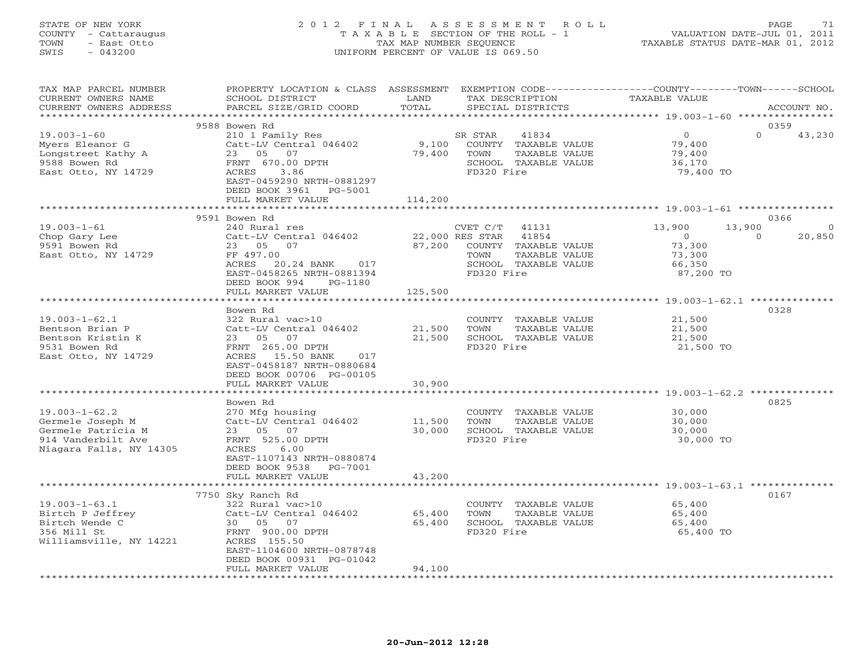#### STATE OF NEW YORK 2 0 1 2 F I N A L A S S E S S M E N T R O L L PAGE 71 COUNTY - Cattaraugus T A X A B L E SECTION OF THE ROLL - 1 VALUATION DATE-JUL 01, 2011 TOWN - East Otto TAX MAP NUMBER SEQUENCE TAXABLE STATUS DATE-MAR 01, 2012 SWIS - 043200 UNIFORM PERCENT OF VALUE IS 069.50UNIFORM PERCENT OF VALUE IS 069.50

| TAX MAP PARCEL NUMBER<br>CURRENT OWNERS NAME<br>CURRENT OWNERS ADDRESS                                         | PROPERTY LOCATION & CLASS ASSESSMENT<br>SCHOOL DISTRICT<br>PARCEL SIZE/GRID COORD                                                                                             | LAND<br>TOTAL              | TAX DESCRIPTION<br>SPECIAL DISTRICTS                                                                                                 | EXEMPTION CODE-----------------COUNTY-------TOWN-----SCHOOL<br>TAXABLE VALUE  | ACCOUNT NO.                   |
|----------------------------------------------------------------------------------------------------------------|-------------------------------------------------------------------------------------------------------------------------------------------------------------------------------|----------------------------|--------------------------------------------------------------------------------------------------------------------------------------|-------------------------------------------------------------------------------|-------------------------------|
| *************************                                                                                      |                                                                                                                                                                               |                            |                                                                                                                                      |                                                                               |                               |
|                                                                                                                | 9588 Bowen Rd                                                                                                                                                                 |                            |                                                                                                                                      |                                                                               | 0359                          |
| $19.003 - 1 - 60$<br>Myers Eleanor G<br>Longstreet Kathy A<br>9588 Bowen Rd<br>East Otto, NY 14729             | 210 1 Family Res<br>Catt-LV Central 046402<br>23 05 07<br>FRNT 670.00 DPTH<br>3.86<br>ACRES<br>EAST-0459290 NRTH-0881297<br>DEED BOOK 3961 PG-5001                            | 9,100<br>79,400            | SR STAR<br>41834<br>COUNTY TAXABLE VALUE<br>TOWN<br>TAXABLE VALUE<br>SCHOOL TAXABLE VALUE<br>FD320 Fire                              | $\overline{0}$<br>79,400<br>79,400<br>36,170<br>79,400 TO                     | $\Omega$<br>43,230            |
|                                                                                                                | FULL MARKET VALUE                                                                                                                                                             | 114,200<br>**********      |                                                                                                                                      | *************************** 19.003-1-61 ****************                      |                               |
|                                                                                                                | 9591 Bowen Rd                                                                                                                                                                 |                            |                                                                                                                                      |                                                                               | 0366                          |
| $19.003 - 1 - 61$<br>Chop Gary Lee<br>9591 Bowen Rd<br>East Otto, NY 14729                                     | 240 Rural res<br>Catt-LV Central 046402<br>23 05 07<br>FF 497.00<br>ACRES<br>20.24 BANK<br>017<br>EAST-0458265 NRTH-0881394<br>DEED BOOK 994<br>PG-1180                       | 87,200                     | CVET C/T<br>41131<br>22,000 RES STAR<br>41854<br>COUNTY TAXABLE VALUE<br>TOWN<br>TAXABLE VALUE<br>SCHOOL TAXABLE VALUE<br>FD320 Fire | 13,900<br>13,900<br>$\overline{0}$<br>73,300<br>73,300<br>66,350<br>87,200 TO | $\circ$<br>20,850<br>$\Omega$ |
|                                                                                                                | FULL MARKET VALUE                                                                                                                                                             | 125,500                    |                                                                                                                                      |                                                                               |                               |
|                                                                                                                |                                                                                                                                                                               |                            |                                                                                                                                      |                                                                               |                               |
| $19.003 - 1 - 62.1$<br>Bentson Brian P<br>Bentson Kristin K<br>9531 Bowen Rd<br>East Otto, NY 14729            | Bowen Rd<br>322 Rural vac>10<br>Catt-LV Central 046402<br>23 05<br>07<br>FRNT 265.00 DPTH<br>ACRES 15.50 BANK<br>017<br>EAST-0458187 NRTH-0880684<br>DEED BOOK 00706 PG-00105 | 21,500<br>21,500           | COUNTY TAXABLE VALUE<br>TOWN<br>TAXABLE VALUE<br>SCHOOL TAXABLE VALUE<br>FD320 Fire                                                  | 21,500<br>21,500<br>21,500<br>21,500 TO                                       | 0328                          |
|                                                                                                                | FULL MARKET VALUE                                                                                                                                                             | 30,900                     |                                                                                                                                      |                                                                               |                               |
|                                                                                                                |                                                                                                                                                                               |                            |                                                                                                                                      |                                                                               |                               |
| $19.003 - 1 - 62.2$<br>Germele Joseph M<br>Germele Patricia M<br>914 Vanderbilt Ave<br>Niagara Falls, NY 14305 | Bowen Rd<br>270 Mfg housing<br>Catt-LV Central 046402<br>23 05<br>07<br>FRNT 525.00 DPTH<br>ACRES<br>6.00<br>EAST-1107143 NRTH-0880874<br>DEED BOOK 9538 PG-7001              | 11,500<br>30,000           | COUNTY TAXABLE VALUE<br>TOWN<br>TAXABLE VALUE<br>SCHOOL TAXABLE VALUE<br>FD320 Fire                                                  | 30,000<br>30,000<br>30,000<br>30,000 TO                                       | 0825                          |
|                                                                                                                | FULL MARKET VALUE                                                                                                                                                             | 43,200                     |                                                                                                                                      |                                                                               |                               |
|                                                                                                                | *************************<br>7750 Sky Ranch Rd                                                                                                                                | **************             |                                                                                                                                      |                                                                               | 0167                          |
| $19.003 - 1 - 63.1$<br>Birtch P Jeffrey<br>Birtch Wende C<br>356 Mill St<br>Williamsville, NY 14221            | 322 Rural vac>10<br>Catt-LV Central 046402<br>30 05 07<br>FRNT 900.00 DPTH<br>ACRES 155.50<br>EAST-1104600 NRTH-0878748<br>DEED BOOK 00931 PG-01042<br>FULL MARKET VALUE      | 65,400<br>65,400<br>94,100 | COUNTY TAXABLE VALUE<br>TAXABLE VALUE<br>TOWN<br>SCHOOL TAXABLE VALUE<br>FD320 Fire                                                  | 65,400<br>65,400<br>65,400<br>65,400 TO                                       |                               |
|                                                                                                                |                                                                                                                                                                               |                            |                                                                                                                                      |                                                                               |                               |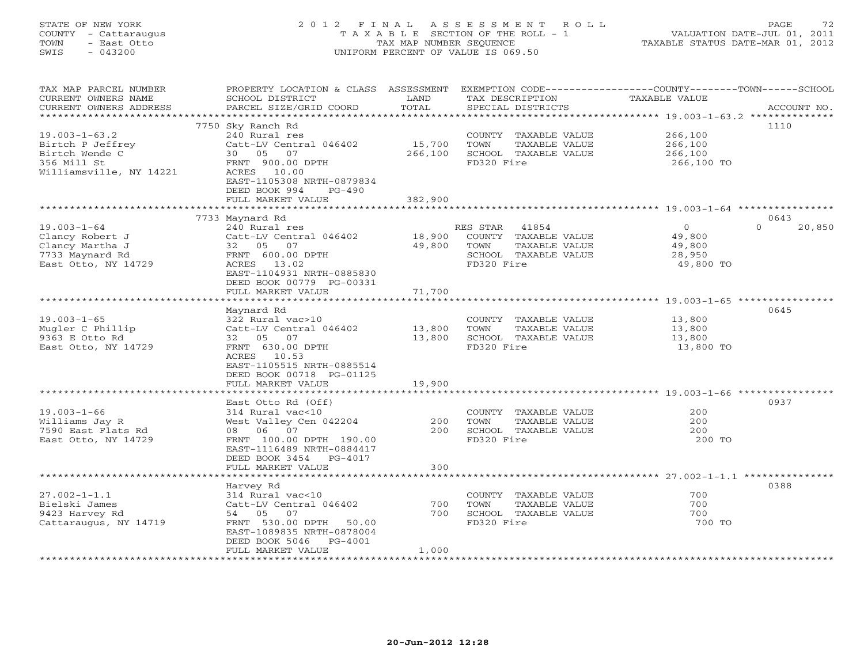# STATE OF NEW YORK 2 0 1 2 F I N A L A S S E S S M E N T R O L L PAGE 72 COUNTY - Cattaraugus T A X A B L E SECTION OF THE ROLL - 1 VALUATION DATE-JUL 01, 2011 TOWN - East Otto TAX MAP NUMBER SEQUENCE TAXABLE STATUS DATE-MAR 01, 2012 SWIS - 043200 UNIFORM PERCENT OF VALUE IS 069.50UNIFORM PERCENT OF VALUE IS 069.50

| TAX MAP PARCEL NUMBER<br>CURRENT OWNERS NAME<br>CURRENT OWNERS ADDRESS                                                        | PROPERTY LOCATION & CLASS ASSESSMENT<br>SCHOOL DISTRICT<br>PARCEL SIZE/GRID COORD                                                                                                          | LAND<br>TOTAL                | TAX DESCRIPTION<br>SPECIAL DISTRICTS                                                                     | EXEMPTION CODE-----------------COUNTY-------TOWN------SCHOOL<br><b>TAXABLE VALUE</b> | ACCOUNT NO.                |
|-------------------------------------------------------------------------------------------------------------------------------|--------------------------------------------------------------------------------------------------------------------------------------------------------------------------------------------|------------------------------|----------------------------------------------------------------------------------------------------------|--------------------------------------------------------------------------------------|----------------------------|
| **********************<br>$19.003 - 1 - 63.2$<br>Birtch P Jeffrey<br>Birtch Wende C<br>356 Mill St<br>Williamsville, NY 14221 | 7750 Sky Ranch Rd<br>240 Rural res<br>Catt-LV Central 046402<br>30 05 07<br>FRNT 900.00 DPTH<br>ACRES 10.00<br>EAST-1105308 NRTH-0879834<br>DEED BOOK 994<br>$PG-490$<br>FULL MARKET VALUE | 15,700<br>266,100<br>382,900 | COUNTY TAXABLE VALUE<br>TAXABLE VALUE<br>TOWN<br>SCHOOL TAXABLE VALUE<br>FD320 Fire                      | 266,100<br>266,100<br>266,100<br>266,100 TO                                          | 1110                       |
|                                                                                                                               |                                                                                                                                                                                            |                              |                                                                                                          |                                                                                      |                            |
| $19.003 - 1 - 64$<br>Clancy Robert J<br>Clancy Martha J<br>7733 Maynard Rd<br>East Otto, NY 14729                             | 7733 Maynard Rd<br>240 Rural res<br>Catt-LV Central 046402<br>07<br>32<br>05<br>FRNT 600.00 DPTH<br>13.02<br>ACRES<br>EAST-1104931 NRTH-0885830<br>DEED BOOK 00779 PG-00331                | 18,900<br>49,800             | RES STAR<br>41854<br>COUNTY TAXABLE VALUE<br>TAXABLE VALUE<br>TOWN<br>SCHOOL TAXABLE VALUE<br>FD320 Fire | $\circ$<br>49,800<br>49,800<br>28,950<br>49,800 TO                                   | 0643<br>$\Omega$<br>20,850 |
|                                                                                                                               | FULL MARKET VALUE                                                                                                                                                                          | 71,700                       |                                                                                                          |                                                                                      |                            |
| $19.003 - 1 - 65$<br>Mugler C Phillip<br>9363 E Otto Rd<br>East Otto, NY 14729                                                | Maynard Rd<br>322 Rural vac>10<br>Catt-LV Central 046402<br>32 05 07<br>FRNT 630.00 DPTH<br>ACRES<br>10.53<br>EAST-1105515 NRTH-0885514<br>DEED BOOK 00718 PG-01125<br>FULL MARKET VALUE   | 13,800<br>13,800<br>19,900   | COUNTY TAXABLE VALUE<br>TOWN<br>TAXABLE VALUE<br>SCHOOL TAXABLE VALUE<br>FD320 Fire                      | 13,800<br>13,800<br>13,800<br>13,800 TO                                              | 0645                       |
|                                                                                                                               |                                                                                                                                                                                            |                              |                                                                                                          |                                                                                      |                            |
| $19.003 - 1 - 66$<br>Williams Jay R<br>7590 East Flats Rd<br>East Otto, NY 14729                                              | East Otto Rd (Off)<br>314 Rural vac<10<br>West Valley Cen 042204<br>08 06 07<br>FRNT 100.00 DPTH 190.00<br>EAST-1116489 NRTH-0884417<br>DEED BOOK 3454<br>$PG-4017$                        | 200<br>200                   | COUNTY TAXABLE VALUE<br>TOWN<br>TAXABLE VALUE<br>SCHOOL TAXABLE VALUE<br>FD320 Fire                      | 200<br>200<br>200<br>200 TO                                                          | 0937                       |
|                                                                                                                               | FULL MARKET VALUE                                                                                                                                                                          | 300                          |                                                                                                          | ********************* 27.002-1-1.1 **************                                    |                            |
| $27.002 - 1 - 1.1$<br>Bielski James<br>9423 Harvey Rd<br>Cattaraugus, NY 14719                                                | Harvey Rd<br>314 Rural vac<10<br>Catt-LV Central 046402<br>54 05 07<br>FRNT 530.00 DPTH<br>50.00<br>EAST-1089835 NRTH-0878004<br>DEED BOOK 5046<br>$PG-4001$                               | 700<br>700<br>1,000          | COUNTY TAXABLE VALUE<br>TOWN<br>TAXABLE VALUE<br>SCHOOL TAXABLE VALUE<br>FD320 Fire                      | 700<br>700<br>700<br>700 TO                                                          | 0388                       |
|                                                                                                                               | FULL MARKET VALUE                                                                                                                                                                          |                              |                                                                                                          |                                                                                      |                            |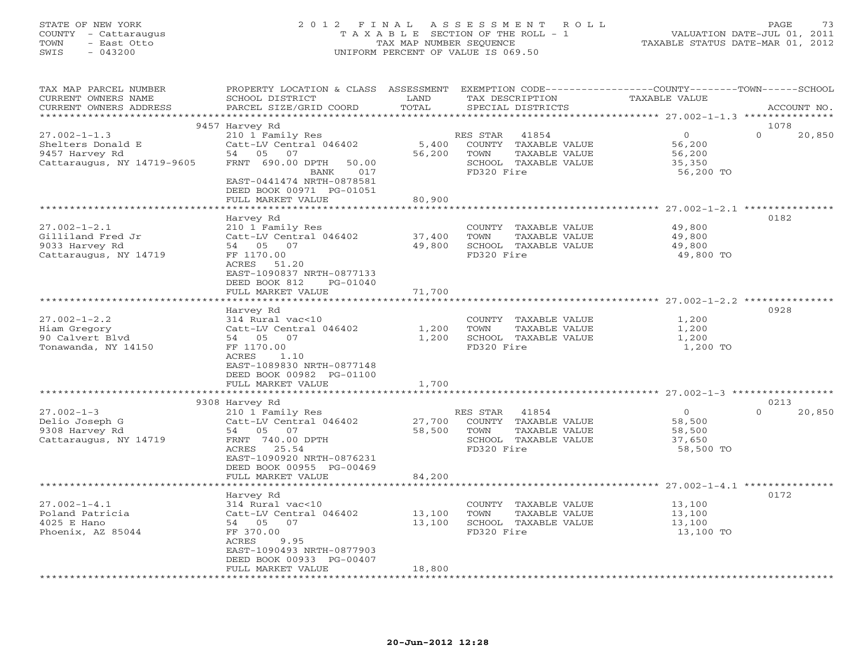#### STATE OF NEW YORK 2 0 1 2 F I N A L A S S E S S M E N T R O L L PAGE 73 COUNTY - Cattaraugus T A X A B L E SECTION OF THE ROLL - 1 VALUATION DATE-JUL 01, 2011 TOWN - East Otto TAX MAP NUMBER SEQUENCE TAXABLE STATUS DATE-MAR 01, 2012 SWIS - 043200 UNIFORM PERCENT OF VALUE IS 069.50UNIFORM PERCENT OF VALUE IS 069.50

| TAX MAP PARCEL NUMBER<br>CURRENT OWNERS NAME              | PROPERTY LOCATION & CLASS ASSESSMENT EXEMPTION CODE----------------COUNTY-------TOWN------SCHOOL<br>SCHOOL DISTRICT | LAND<br>TOTAL    | TAX DESCRIPTION                                                 | TAXABLE VALUE               |                    |
|-----------------------------------------------------------|---------------------------------------------------------------------------------------------------------------------|------------------|-----------------------------------------------------------------|-----------------------------|--------------------|
| CURRENT OWNERS ADDRESS                                    | PARCEL SIZE/GRID COORD                                                                                              |                  | SPECIAL DISTRICTS                                               |                             | ACCOUNT NO.        |
|                                                           | 9457 Harvey Rd                                                                                                      |                  |                                                                 |                             | 1078               |
| $27.002 - 1 - 1.3$<br>Shelters Donald E<br>9457 Harvey Rd | 210 1 Family Res<br>Catt-LV Central 046402<br>54 05 07                                                              | 5,400<br>56,200  | RES STAR 41854<br>COUNTY TAXABLE VALUE<br>TOWN<br>TAXABLE VALUE | $\circ$<br>56,200<br>56,200 | $\Omega$<br>20,850 |
| Cattaraugus, NY 14719-9605                                | FRNT 690.00 DPTH<br>50.00<br>017<br>BANK<br>EAST-0441474 NRTH-0878581<br>DEED BOOK 00971 PG-01051                   |                  | SCHOOL TAXABLE VALUE<br>FD320 Fire                              | 35,350<br>56,200 TO         |                    |
|                                                           | FULL MARKET VALUE                                                                                                   | 80,900           |                                                                 |                             |                    |
|                                                           |                                                                                                                     |                  |                                                                 |                             | 0182               |
| $27.002 - 1 - 2.1$                                        | Harvey Rd<br>210 1 Family Res                                                                                       |                  | COUNTY TAXABLE VALUE                                            | 49,800                      |                    |
| Gilliland Fred Jr                                         | Catt-LV Central 046402                                                                                              | 37,400           | TOWN<br>TAXABLE VALUE                                           | 49,800                      |                    |
| 9033 Harvey Rd                                            | 54 05 07                                                                                                            | 49,800           | SCHOOL TAXABLE VALUE                                            | 49,800                      |                    |
| Cattaraugus, NY 14719                                     | FF 1170.00                                                                                                          |                  | FD320 Fire                                                      | 49,800 TO                   |                    |
|                                                           | ACRES 51.20<br>EAST-1090837 NRTH-0877133<br>DEED BOOK 812<br>PG-01040                                               |                  |                                                                 |                             |                    |
|                                                           | FULL MARKET VALUE                                                                                                   | 71,700           |                                                                 |                             |                    |
|                                                           |                                                                                                                     |                  |                                                                 |                             |                    |
|                                                           | Harvey Rd                                                                                                           |                  |                                                                 |                             | 0928               |
| $27.002 - 1 - 2.2$                                        | 314 Rural vac<10                                                                                                    |                  | COUNTY TAXABLE VALUE                                            | 1,200                       |                    |
| Hiam Gregory                                              | Catt-LV Central 046402                                                                                              | 1,200            | TAXABLE VALUE<br>TOWN                                           | 1,200                       |                    |
| 90 Calvert Blyd                                           | 54 05 07                                                                                                            | 1,200            | SCHOOL TAXABLE VALUE                                            | 1,200                       |                    |
| Tonawanda, NY 14150                                       | FF 1170.00<br>ACRES<br>1.10<br>EAST-1089830 NRTH-0877148                                                            |                  | FD320 Fire                                                      | 1,200 TO                    |                    |
|                                                           | DEED BOOK 00982 PG-01100                                                                                            |                  |                                                                 |                             |                    |
|                                                           | FULL MARKET VALUE                                                                                                   | 1,700            |                                                                 |                             |                    |
|                                                           | 9308 Harvey Rd                                                                                                      |                  |                                                                 |                             | 0213               |
| $27.002 - 1 - 3$                                          | 210 1 Family Res                                                                                                    |                  | RES STAR 41854                                                  | $\overline{O}$              | $\Omega$<br>20,850 |
| Delio Joseph G                                            | Catt-LV Central 046402                                                                                              | 27,700           | COUNTY TAXABLE VALUE                                            | 58,500                      |                    |
| 9308 Harvey Rd                                            | 54 05 07                                                                                                            | 58,500           | TOWN<br>TAXABLE VALUE                                           | 58,500                      |                    |
| Cattaraugus, NY 14719                                     | FRNT 740.00 DPTH                                                                                                    |                  | SCHOOL TAXABLE VALUE                                            | 37,650                      |                    |
|                                                           | ACRES 25.54                                                                                                         |                  | FD320 Fire                                                      | 58,500 TO                   |                    |
|                                                           | EAST-1090920 NRTH-0876231                                                                                           |                  |                                                                 |                             |                    |
|                                                           | DEED BOOK 00955 PG-00469                                                                                            |                  |                                                                 |                             |                    |
|                                                           | FULL MARKET VALUE                                                                                                   | 84,200           |                                                                 |                             |                    |
|                                                           | ********************                                                                                                | **************** |                                                                 |                             |                    |
|                                                           | Harvey Rd                                                                                                           |                  |                                                                 |                             | 0172               |
| $27.002 - 1 - 4.1$                                        | 314 Rural vac<10                                                                                                    |                  | COUNTY TAXABLE VALUE                                            | 13,100                      |                    |
| Poland Patricia                                           | Catt-LV Central 046402                                                                                              | 13,100           | TAXABLE VALUE<br>TOWN                                           | 13,100                      |                    |
| 4025 E Hano                                               | 54 05 07                                                                                                            | 13,100           | SCHOOL TAXABLE VALUE                                            | 13,100                      |                    |
| Phoenix, AZ 85044                                         | FF 370.00                                                                                                           |                  | FD320 Fire                                                      | 13,100 TO                   |                    |
|                                                           | ACRES<br>9.95                                                                                                       |                  |                                                                 |                             |                    |
|                                                           | EAST-1090493 NRTH-0877903                                                                                           |                  |                                                                 |                             |                    |
|                                                           | DEED BOOK 00933 PG-00407                                                                                            |                  |                                                                 |                             |                    |
|                                                           | FULL MARKET VALUE<br>***********************                                                                        | 18,800           |                                                                 |                             |                    |
|                                                           |                                                                                                                     |                  |                                                                 |                             |                    |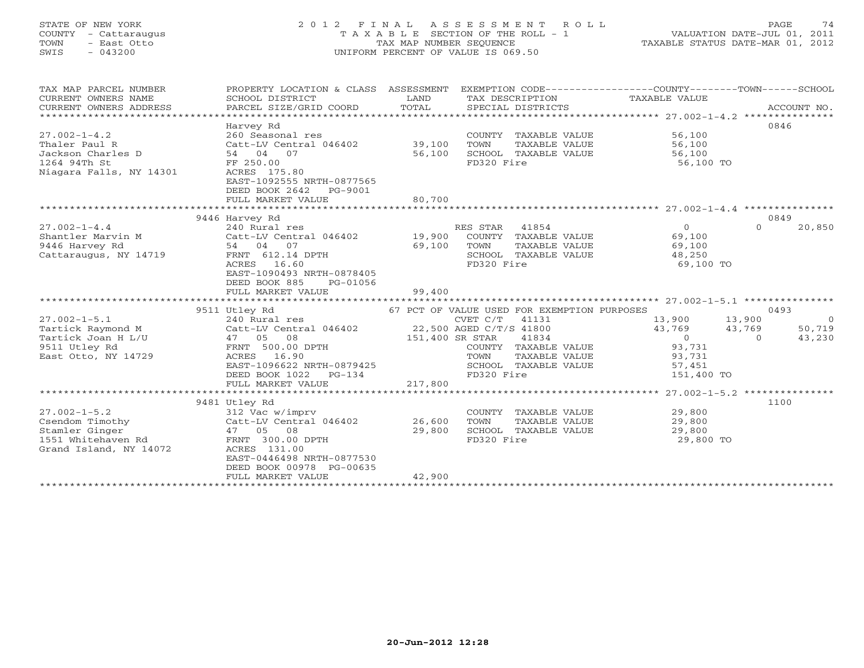### STATE OF NEW YORK 2 0 1 2 F I N A L A S S E S S M E N T R O L L PAGE 74 COUNTY - Cattaraugus T A X A B L E SECTION OF THE ROLL - 1 VALUATION DATE-JUL 01, 2011 TOWN - East Otto TAX MAP NUMBER SEQUENCE TAXABLE STATUS DATE-MAR 01, 2012 SWIS - 043200 UNIFORM PERCENT OF VALUE IS 069.50UNIFORM PERCENT OF VALUE IS 069.50

| TAX MAP PARCEL NUMBER<br>CURRENT OWNERS NAME<br>CURRENT OWNERS ADDRESS<br>*******************           | PROPERTY LOCATION & CLASS ASSESSMENT<br>SCHOOL DISTRICT<br>PARCEL SIZE/GRID COORD                                                                                                        | LAND<br>TOTAL              | TAX DESCRIPTION<br>SPECIAL DISTRICTS                                                                                                      | EXEMPTION CODE-----------------COUNTY-------TOWN------SCHOOL<br>TAXABLE VALUE                                  | ACCOUNT NO.                        |
|---------------------------------------------------------------------------------------------------------|------------------------------------------------------------------------------------------------------------------------------------------------------------------------------------------|----------------------------|-------------------------------------------------------------------------------------------------------------------------------------------|----------------------------------------------------------------------------------------------------------------|------------------------------------|
| $27.002 - 1 - 4.2$<br>Thaler Paul R<br>Jackson Charles D<br>1264 94Th St<br>Niagara Falls, NY 14301     | Harvey Rd<br>260 Seasonal res<br>Catt-LV Central 046402<br>54 04 07<br>FF 250.00<br>ACRES 175.80<br>EAST-1092555 NRTH-0877565<br>DEED BOOK 2642<br>PG-9001<br>FULL MARKET VALUE          | 39,100<br>56,100<br>80,700 | COUNTY TAXABLE VALUE<br>TOWN<br>TAXABLE VALUE<br>SCHOOL TAXABLE VALUE<br>FD320 Fire                                                       | 56,100<br>56,100<br>56,100<br>56,100 TO                                                                        | 0846                               |
|                                                                                                         |                                                                                                                                                                                          |                            |                                                                                                                                           |                                                                                                                |                                    |
|                                                                                                         | 9446 Harvey Rd                                                                                                                                                                           |                            |                                                                                                                                           |                                                                                                                | 0849                               |
| $27.002 - 1 - 4.4$<br>Shantler Marvin M<br>9446 Harvey Rd<br>Cattaraugus, NY 14719                      | 240 Rural res<br>Catt-LV Central 046402<br>54 04 07<br>FRNT 612.14 DPTH<br>ACRES<br>16.60<br>EAST-1090493 NRTH-0878405<br>DEED BOOK 885<br>PG-01056                                      | 19,900<br>69,100           | RES STAR<br>41854<br>COUNTY TAXABLE VALUE<br>TOWN<br>TAXABLE VALUE<br>SCHOOL TAXABLE VALUE<br>FD320 Fire                                  | $\Omega$<br>$\Omega$<br>69,100<br>69,100<br>48,250<br>69,100 TO                                                | 20,850                             |
|                                                                                                         | FULL MARKET VALUE                                                                                                                                                                        | 99,400                     |                                                                                                                                           |                                                                                                                |                                    |
|                                                                                                         | 9511 Utley Rd                                                                                                                                                                            |                            | 67 PCT OF VALUE USED FOR EXEMPTION PURPOSES                                                                                               |                                                                                                                | 0493                               |
| $27.002 - 1 - 5.1$<br>Tartick Raymond M<br>Tartick Joan H L/U<br>9511 Utley Rd<br>East Otto, NY 14729   | 240 Rural res<br>Catt-LV Central 046402<br>47 05<br>08<br>FRNT 500.00 DPTH<br>16.90<br>ACRES<br>EAST-1096622 NRTH-0879425<br>DEED BOOK 1022<br>$PG-134$<br>FULL MARKET VALUE             | 151,400 SR STAR<br>217,800 | CVET C/T 41131<br>22,500 AGED C/T/S 41800<br>41834<br>COUNTY TAXABLE VALUE<br>TAXABLE VALUE<br>TOWN<br>SCHOOL TAXABLE VALUE<br>FD320 Fire | 13,900<br>13,900<br>43,769<br>43,769<br>$\overline{0}$<br>$\Omega$<br>93,731<br>93,731<br>57,451<br>151,400 TO | $\overline{0}$<br>50,719<br>43,230 |
|                                                                                                         | *************************                                                                                                                                                                | ************               |                                                                                                                                           | ********* 27.002-1-5.2 ***************                                                                         |                                    |
| $27.002 - 1 - 5.2$<br>Csendom Timothy<br>Stamler Ginger<br>1551 Whitehaven Rd<br>Grand Island, NY 14072 | 9481 Utley Rd<br>312 Vac w/imprv<br>Catt-LV Central 046402<br>47 05 08<br>FRNT 300.00 DPTH<br>ACRES 131.00<br>EAST-0446498 NRTH-0877530<br>DEED BOOK 00978 PG-00635<br>FULL MARKET VALUE | 26,600<br>29,800<br>42,900 | COUNTY TAXABLE VALUE<br>TOWN<br>TAXABLE VALUE<br>SCHOOL TAXABLE VALUE<br>FD320 Fire                                                       | 29,800<br>29,800<br>29,800<br>29,800 TO                                                                        | 1100                               |
|                                                                                                         | **********************                                                                                                                                                                   |                            |                                                                                                                                           |                                                                                                                |                                    |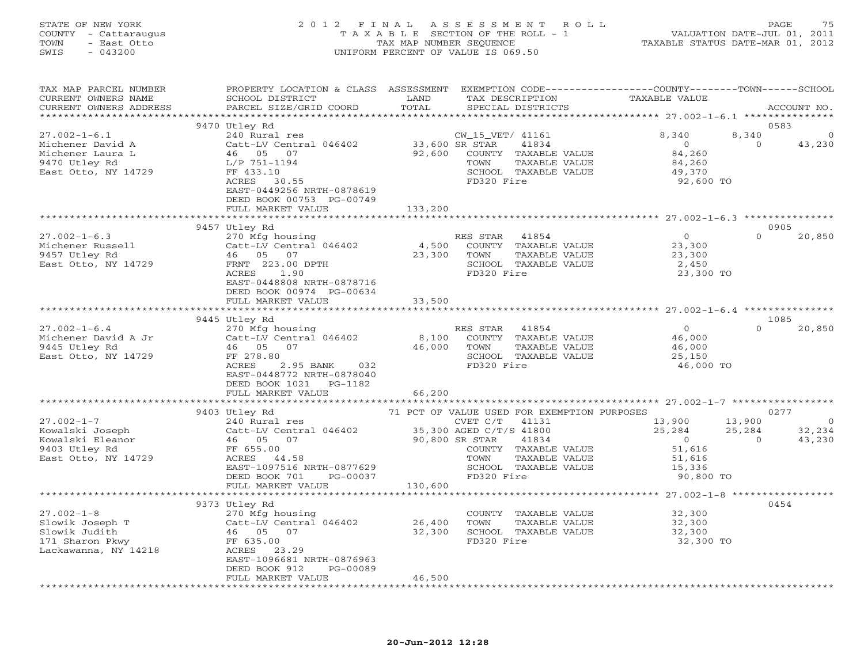#### STATE OF NEW YORK 2 0 1 2 F I N A L A S S E S S M E N T R O L L PAGE 75 COUNTY - Cattaraugus T A X A B L E SECTION OF THE ROLL - 1 VALUATION DATE-JUL 01, 2011 TOWN - East Otto TAX MAP NUMBER SEQUENCE TAXABLE STATUS DATE-MAR 01, 2012 SWIS - 043200 UNIFORM PERCENT OF VALUE IS 069.50UNIFORM PERCENT OF VALUE IS 069.50

| TAX MAP PARCEL NUMBER<br>CURRENT OWNERS NAME<br>CURRENT OWNERS ADDRESS | PROPERTY LOCATION & CLASS ASSESSMENT EXEMPTION CODE---------------COUNTY-------TOWN------SCHOOL<br>SCHOOL DISTRICT<br>PARCEL SIZE/GRID COORD | LAND<br>TOTAL  | TAX DESCRIPTION<br>SPECIAL DISTRICTS                     | TAXABLE VALUE                              | ACCOUNT NO.              |
|------------------------------------------------------------------------|----------------------------------------------------------------------------------------------------------------------------------------------|----------------|----------------------------------------------------------|--------------------------------------------|--------------------------|
|                                                                        | 9470 Utley Rd                                                                                                                                |                |                                                          |                                            | 0583                     |
|                                                                        |                                                                                                                                              |                |                                                          |                                            |                          |
| $27.002 - 1 - 6.1$                                                     | 240 Rural res                                                                                                                                |                | CW_15_VET/ 41161                                         | 8,340                                      | 8,340<br>$\overline{0}$  |
| Michener David A                                                       | Catt-LV Central 046402                                                                                                                       | 33,600 SR STAR | 41834                                                    | $\overline{0}$                             | $\Omega$<br>43,230       |
| Michener Laura L                                                       | 46 05 07                                                                                                                                     | 92,600         | COUNTY TAXABLE VALUE                                     | 84,260                                     |                          |
| 9470 Utley Rd                                                          | L/P 751-1194                                                                                                                                 |                | TOWN<br>TAXABLE VALUE                                    | 84,260                                     |                          |
| East Otto, NY 14729                                                    | FF 433.10                                                                                                                                    |                | SCHOOL TAXABLE VALUE                                     | 49,370                                     |                          |
|                                                                        | $ACRES$ 30.55                                                                                                                                |                | FD320 Fire                                               | 92,600 TO                                  |                          |
|                                                                        | EAST-0449256 NRTH-0878619                                                                                                                    |                |                                                          |                                            |                          |
|                                                                        | DEED BOOK 00753 PG-00749                                                                                                                     |                |                                                          |                                            |                          |
|                                                                        | FULL MARKET VALUE                                                                                                                            | 133,200        |                                                          |                                            |                          |
|                                                                        |                                                                                                                                              |                |                                                          |                                            |                          |
|                                                                        | 9457 Utley Rd                                                                                                                                |                |                                                          |                                            | 0905                     |
|                                                                        |                                                                                                                                              |                | RES STAR 41854                                           | $\overline{0}$                             | $\Omega$<br>20,850       |
| $27.002 - 1 - 6.3$                                                     | 270 Mfg housing                                                                                                                              |                |                                                          |                                            |                          |
| Michener Russell                                                       | Catt-LV Central 046402                                                                                                                       | 4,500          | COUNTY TAXABLE VALUE                                     | 23,300<br>23,300                           |                          |
| 9457 Utley Rd                                                          | 46 05 07                                                                                                                                     | 23,300         | TAXABLE VALUE<br>TOWN                                    |                                            |                          |
| East Otto, NY 14729                                                    | FRNT 223.00 DPTH                                                                                                                             |                | SCHOOL TAXABLE VALUE                                     | 2,450                                      |                          |
|                                                                        | ACRES 1.90                                                                                                                                   |                | FD320 Fire                                               | 23,300 TO                                  |                          |
|                                                                        | EAST-0448808 NRTH-0878716                                                                                                                    |                |                                                          |                                            |                          |
|                                                                        | DEED BOOK 00974 PG-00634                                                                                                                     |                |                                                          |                                            |                          |
|                                                                        | FULL MARKET VALUE                                                                                                                            | 33,500         |                                                          |                                            |                          |
|                                                                        |                                                                                                                                              |                |                                                          |                                            |                          |
|                                                                        | 9445 Utley Rd                                                                                                                                |                |                                                          |                                            | 1085                     |
| $27.002 - 1 - 6.4$                                                     | 270 Mfg housing                                                                                                                              |                | RES STAR 41854                                           |                                            | $\Omega$<br>20,850       |
| Michener David A Jr                                                    | Catt-LV Central 046402                                                                                                                       |                | 8,100 COUNTY TAXABLE VALUE                               | $\begin{array}{c} 0 \\ 46,000 \end{array}$ |                          |
|                                                                        | 46 05 07                                                                                                                                     | 46,000         | TAXABLE VALUE<br>TOWN                                    |                                            |                          |
| 9445 Utley Rd                                                          |                                                                                                                                              |                |                                                          | 46,000<br>25,150                           |                          |
| East Otto, NY 14729                                                    | FF 278.80                                                                                                                                    |                | SCHOOL TAXABLE VALUE                                     |                                            |                          |
|                                                                        | ACRES<br>2.95 BANK<br>032                                                                                                                    |                | FD320 Fire                                               | 46,000 TO                                  |                          |
|                                                                        | EAST-0448772 NRTH-0878040                                                                                                                    |                |                                                          |                                            |                          |
|                                                                        | DEED BOOK 1021 PG-1182                                                                                                                       |                |                                                          |                                            |                          |
|                                                                        | FULL MARKET VALUE                                                                                                                            | 66,200         |                                                          |                                            |                          |
|                                                                        | *************************                                                                                                                    |                |                                                          |                                            |                          |
|                                                                        | 9403 Utley Rd                                                                                                                                |                | 71 PCT OF VALUE USED FOR EXEMPTION PURPOSES              |                                            | 0277                     |
| $27.002 - 1 - 7$                                                       | 240 Rural res                                                                                                                                |                | CVET $C/T$ 41131                                         | 13,900                                     | 13,900<br>$\overline{0}$ |
| Kowalski Joseph                                                        | Catt-LV Central 046402                                                                                                                       |                |                                                          | 25,284                                     | 32,234<br>25,284         |
| Kowalski Eleanor                                                       | Catt-LV Centr<br>46     05     07                                                                                                            | 90,800 SR STAR | 35,300 AGED C/T/S 41800<br>00 900 SP STAR 41834<br>41834 | $\overline{0}$                             | 43,230<br>$\Omega$       |
| 9403 Utley Rd                                                          | FF 655.00                                                                                                                                    |                | COUNTY TAXABLE VALUE                                     | 51,616                                     |                          |
| East Otto, NY 14729                                                    | ACRES 44.58                                                                                                                                  |                | TAXABLE VALUE<br>TOWN                                    | 51,616                                     |                          |
|                                                                        | EAST-1097516 NRTH-0877629                                                                                                                    |                | SCHOOL TAXABLE VALUE                                     | 15,336                                     |                          |
|                                                                        | DEED BOOK 701<br>PG-00037                                                                                                                    |                | FD320 Fire                                               | 90,800 TO                                  |                          |
|                                                                        |                                                                                                                                              |                |                                                          |                                            |                          |
|                                                                        | FULL MARKET VALUE                                                                                                                            | 130,600        |                                                          |                                            |                          |
|                                                                        |                                                                                                                                              |                |                                                          |                                            |                          |
|                                                                        | 9373 Utley Rd                                                                                                                                |                |                                                          |                                            | 0454                     |
| $27.002 - 1 - 8$                                                       | 270 Mfg housing                                                                                                                              |                | COUNTY TAXABLE VALUE 32,300                              |                                            |                          |
| Slowik Joseph T                                                        | Catt-LV Central 046402                                                                                                                       | 26,400         | TOWN<br>TAXABLE VALUE                                    | 32,300                                     |                          |
| Slowik Judith                                                          | 46 05 07                                                                                                                                     | 32,300         | SCHOOL TAXABLE VALUE                                     | 32,300                                     |                          |
| 171 Sharon Pkwy                                                        | FF 635.00                                                                                                                                    |                | FD320 Fire                                               | 32,300 TO                                  |                          |
| Lackawanna, NY 14218                                                   | ACRES 23.29                                                                                                                                  |                |                                                          |                                            |                          |
|                                                                        | EAST-1096681 NRTH-0876963                                                                                                                    |                |                                                          |                                            |                          |
|                                                                        | DEED BOOK 912<br>PG-00089                                                                                                                    |                |                                                          |                                            |                          |
|                                                                        | FULL MARKET VALUE                                                                                                                            | 46,500         |                                                          |                                            |                          |
|                                                                        |                                                                                                                                              |                |                                                          |                                            |                          |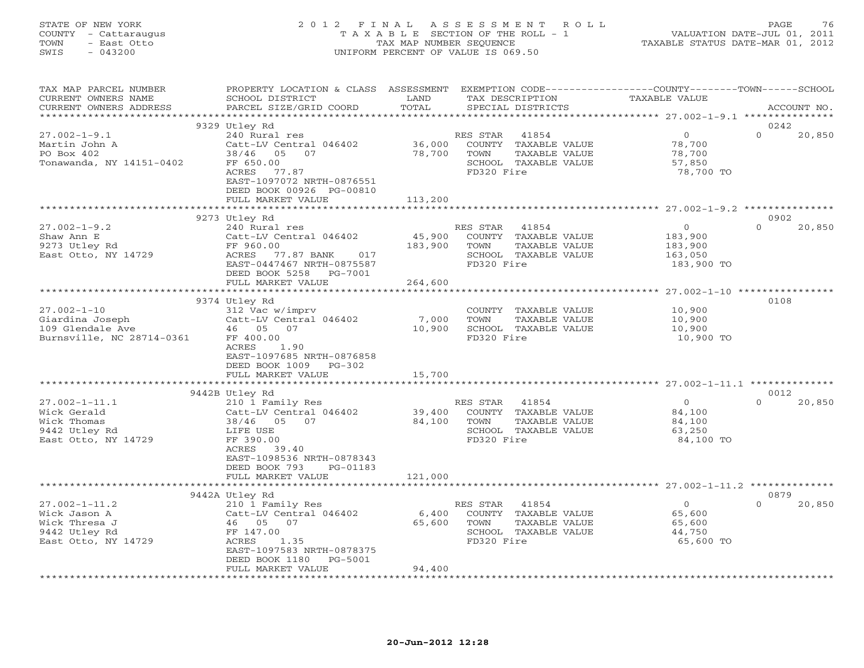#### STATE OF NEW YORK 2 0 1 2 F I N A L A S S E S S M E N T R O L L PAGE 76 COUNTY - Cattaraugus T A X A B L E SECTION OF THE ROLL - 1 VALUATION DATE-JUL 01, 2011 TOWN - East Otto TAX MAP NUMBER SEQUENCE TAXABLE STATUS DATE-MAR 01, 2012 SWIS - 043200 UNIFORM PERCENT OF VALUE IS 069.50UNIFORM PERCENT OF VALUE IS 069.50

| TAX MAP PARCEL NUMBER<br>CURRENT OWNERS NAME<br>CURRENT OWNERS ADDRESS | PROPERTY LOCATION & CLASS ASSESSMENT EXEMPTION CODE----------------COUNTY-------TOWN------SCHOOL<br>SCHOOL DISTRICT<br>PARCEL SIZE/GRID COORD | LAND<br>TOTAL | TAX DESCRIPTION<br>SPECIAL DISTRICTS          | <b>TAXABLE VALUE</b> | ACCOUNT NO.        |
|------------------------------------------------------------------------|-----------------------------------------------------------------------------------------------------------------------------------------------|---------------|-----------------------------------------------|----------------------|--------------------|
|                                                                        |                                                                                                                                               |               |                                               |                      |                    |
|                                                                        | 9329 Utley Rd                                                                                                                                 |               |                                               |                      | 0242               |
| $27.002 - 1 - 9.1$                                                     | 240 Rural res                                                                                                                                 |               | RES STAR<br>41854                             | $\Omega$             | $\Omega$<br>20,850 |
| Martin John A                                                          | Catt-LV Central 046402                                                                                                                        | 36,000        | COUNTY TAXABLE VALUE                          | 78,700               |                    |
| PO Box 402                                                             | 38/46 05<br>07                                                                                                                                | 78,700        | TOWN<br>TAXABLE VALUE                         | 78,700               |                    |
| Tonawanda, NY 14151-0402                                               | FF 650.00                                                                                                                                     |               | SCHOOL TAXABLE VALUE                          | 57,850               |                    |
|                                                                        | ACRES<br>77.87                                                                                                                                |               | FD320 Fire                                    | 78,700 TO            |                    |
|                                                                        | EAST-1097072 NRTH-0876551<br>DEED BOOK 00926 PG-00810                                                                                         |               |                                               |                      |                    |
|                                                                        | FULL MARKET VALUE                                                                                                                             | 113,200       |                                               |                      |                    |
|                                                                        | ************************                                                                                                                      |               |                                               |                      |                    |
|                                                                        | 9273 Utley Rd                                                                                                                                 |               |                                               |                      | 0902               |
| $27.002 - 1 - 9.2$                                                     | 240 Rural res                                                                                                                                 |               | RES STAR<br>41854                             | $\circ$              | $\Omega$<br>20,850 |
| Shaw Ann E                                                             | Catt-LV Central 046402                                                                                                                        | 45,900        | COUNTY TAXABLE VALUE                          | 183,900              |                    |
| 9273 Utley Rd                                                          | FF 960.00                                                                                                                                     | 183,900       | TOWN<br>TAXABLE VALUE                         | 183,900              |                    |
| East Otto, NY 14729                                                    | ACRES<br>77.87 BANK<br>017                                                                                                                    |               | SCHOOL TAXABLE VALUE                          | 163,050              |                    |
|                                                                        | EAST-0447467 NRTH-0875587                                                                                                                     |               | FD320 Fire                                    | 183,900 TO           |                    |
|                                                                        | DEED BOOK 5258<br>PG-7001                                                                                                                     |               |                                               |                      |                    |
|                                                                        | FULL MARKET VALUE                                                                                                                             | 264,600       |                                               |                      |                    |
|                                                                        | ***************************                                                                                                                   |               |                                               |                      |                    |
|                                                                        | 9374 Utley Rd                                                                                                                                 |               |                                               |                      | 0108               |
| $27.002 - 1 - 10$                                                      | 312 Vac w/imprv                                                                                                                               |               | COUNTY TAXABLE VALUE                          | 10,900               |                    |
| Giardina Joseph                                                        | Catt-LV Central 046402                                                                                                                        | 7,000         | TOWN<br>TAXABLE VALUE                         | 10,900               |                    |
| 109 Glendale Ave                                                       | 46 05 07                                                                                                                                      | 10,900        | SCHOOL TAXABLE VALUE                          | 10,900               |                    |
| Burnsville, NC 28714-0361                                              | FF 400.00                                                                                                                                     |               | FD320 Fire                                    | 10,900 TO            |                    |
|                                                                        | 1.90<br>ACRES                                                                                                                                 |               |                                               |                      |                    |
|                                                                        | EAST-1097685 NRTH-0876858                                                                                                                     |               |                                               |                      |                    |
|                                                                        | DEED BOOK 1009<br>$PG-302$                                                                                                                    |               |                                               |                      |                    |
|                                                                        | FULL MARKET VALUE                                                                                                                             | 15,700        |                                               |                      |                    |
|                                                                        |                                                                                                                                               |               |                                               |                      |                    |
|                                                                        | 9442B Utley Rd                                                                                                                                |               |                                               |                      | 0012               |
| $27.002 - 1 - 11.1$                                                    | 210 1 Family Res                                                                                                                              |               | RES STAR<br>41854                             | $\Omega$             | $\Omega$<br>20,850 |
| Wick Gerald                                                            | Catt-LV Central 046402                                                                                                                        | 39,400        | COUNTY TAXABLE VALUE                          | 84,100               |                    |
| Wick Thomas                                                            | 38/46 05 07                                                                                                                                   | 84,100        | TOWN<br>TAXABLE VALUE<br>SCHOOL TAXABLE VALUE | 84,100<br>63,250     |                    |
| 9442 Utley Rd<br>East Otto, NY 14729                                   | LIFE USE<br>FF 390.00                                                                                                                         |               | FD320 Fire                                    | 84,100 TO            |                    |
|                                                                        | ACRES 39.40                                                                                                                                   |               |                                               |                      |                    |
|                                                                        | EAST-1098536 NRTH-0878343                                                                                                                     |               |                                               |                      |                    |
|                                                                        | DEED BOOK 793<br>PG-01183                                                                                                                     |               |                                               |                      |                    |
|                                                                        | FULL MARKET VALUE                                                                                                                             | 121,000       |                                               |                      |                    |
|                                                                        |                                                                                                                                               |               |                                               |                      |                    |
|                                                                        | 9442A Utley Rd                                                                                                                                |               |                                               |                      | 0879               |
| $27.002 - 1 - 11.2$                                                    | 210 1 Family Res                                                                                                                              |               | 41854<br>RES STAR                             | $\circ$              | $\Omega$<br>20,850 |
| Wick Jason A                                                           | Catt-LV Central 046402                                                                                                                        | 6,400         | COUNTY TAXABLE VALUE                          | 65,600               |                    |
| Wick Thresa J                                                          | 46 05 07                                                                                                                                      | 65,600        | TOWN<br>TAXABLE VALUE                         | 65,600               |                    |
| 9442 Utley Rd                                                          | FF 147.00                                                                                                                                     |               | SCHOOL TAXABLE VALUE                          | 44,750               |                    |
| East Otto, NY 14729                                                    | ACRES<br>1.35                                                                                                                                 |               | FD320 Fire                                    | 65,600 TO            |                    |
|                                                                        | EAST-1097583 NRTH-0878375                                                                                                                     |               |                                               |                      |                    |
|                                                                        | DEED BOOK 1180<br>PG-5001                                                                                                                     |               |                                               |                      |                    |
|                                                                        | FULL MARKET VALUE                                                                                                                             | 94,400        |                                               |                      |                    |
|                                                                        |                                                                                                                                               |               |                                               |                      |                    |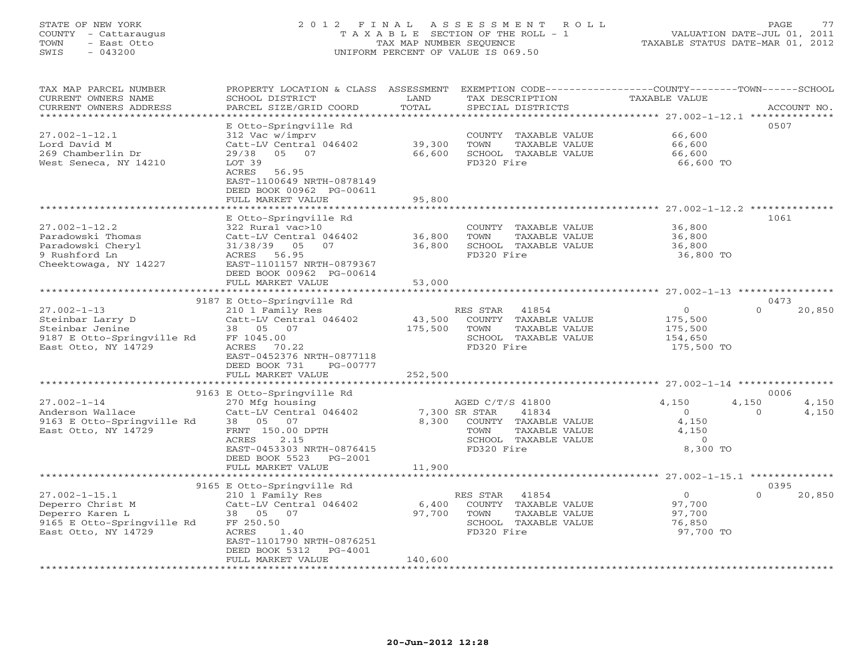#### STATE OF NEW YORK 2 0 1 2 F I N A L A S S E S S M E N T R O L L PAGE 77 COUNTY - Cattaraugus T A X A B L E SECTION OF THE ROLL - 1 VALUATION DATE-JUL 01, 2011 TOWN - East Otto TAX MAP NUMBER SEQUENCE TAXABLE STATUS DATE-MAR 01, 2012 SWIS - 043200 UNIFORM PERCENT OF VALUE IS 069.50UNIFORM PERCENT OF VALUE IS 069.50

| TAX MAP PARCEL NUMBER<br>CURRENT OWNERS NAME<br>CURRENT OWNERS ADDRESS<br>***********************               | PROPERTY LOCATION & CLASS ASSESSMENT<br>SCHOOL DISTRICT<br>PARCEL SIZE/GRID COORD                                                                                                                | LAND<br>TOTAL                | TAX DESCRIPTION<br>SPECIAL DISTRICTS                                                                                              | EXEMPTION CODE-----------------COUNTY-------TOWN------SCHOOL<br>TAXABLE VALUE | ACCOUNT NO.                         |
|-----------------------------------------------------------------------------------------------------------------|--------------------------------------------------------------------------------------------------------------------------------------------------------------------------------------------------|------------------------------|-----------------------------------------------------------------------------------------------------------------------------------|-------------------------------------------------------------------------------|-------------------------------------|
| $27.002 - 1 - 12.1$<br>Lord David M<br>269 Chamberlin Dr<br>West Seneca, NY 14210                               | E Otto-Springville Rd<br>312 Vac w/imprv<br>Catt-LV Central 046402<br>29/38<br>05 07<br>LOT 39<br>56.95<br>ACRES<br>EAST-1100649 NRTH-0878149<br>DEED BOOK 00962 PG-00611<br>FULL MARKET VALUE   | 39,300<br>66,600<br>95,800   | COUNTY TAXABLE VALUE<br>TOWN<br>TAXABLE VALUE<br>SCHOOL TAXABLE VALUE<br>FD320 Fire                                               | 66,600<br>66,600<br>66,600<br>66,600 TO                                       | 0507                                |
|                                                                                                                 |                                                                                                                                                                                                  |                              |                                                                                                                                   |                                                                               |                                     |
| $27.002 - 1 - 12.2$<br>Paradowski Thomas<br>Paradowski Cheryl<br>9 Rushford Ln<br>Cheektowaga, NY 14227         | E Otto-Springville Rd<br>322 Rural vac>10<br>Catt-LV Central 046402<br>31/38/39<br>05<br>07<br>ACRES 56.95<br>EAST-1101157 NRTH-0879367<br>DEED BOOK 00962 PG-00614<br>FULL MARKET VALUE         | 36,800<br>36,800<br>53,000   | COUNTY TAXABLE VALUE<br>TOWN<br>TAXABLE VALUE<br>SCHOOL TAXABLE VALUE<br>FD320 Fire                                               | 36,800<br>36,800<br>36,800<br>36,800 TO                                       | 1061                                |
|                                                                                                                 | **********************                                                                                                                                                                           |                              |                                                                                                                                   | ******************************* 27.002-1-13 ****************                  |                                     |
| $27.002 - 1 - 13$<br>Steinbar Larry D<br>Steinbar Jenine<br>9187 E Otto-Springville Rd<br>East Otto, NY 14729   | 9187 E Otto-Springville Rd<br>210 1 Family Res<br>Catt-LV Central 046402<br>38 05 07<br>FF 1045.00<br>ACRES 70.22<br>EAST-0452376 NRTH-0877118<br>DEED BOOK 731<br>PG-00777<br>FULL MARKET VALUE | 43,500<br>175,500<br>252,500 | RES STAR<br>41854<br>COUNTY TAXABLE VALUE<br>TAXABLE VALUE<br>TOWN<br>SCHOOL TAXABLE VALUE<br>FD320 Fire                          | $\Omega$<br>175,500<br>175,500<br>154,650<br>175,500 TO                       | 0473<br>$\Omega$<br>20,850          |
|                                                                                                                 | ************************                                                                                                                                                                         |                              |                                                                                                                                   |                                                                               |                                     |
|                                                                                                                 | 9163 E Otto-Springville Rd                                                                                                                                                                       |                              |                                                                                                                                   |                                                                               | 0006                                |
| $27.002 - 1 - 14$<br>Anderson Wallace<br>9163 E Otto-Springville Rd<br>East Otto, NY 14729                      | 270 Mfg housing<br>Catt-LV Central 046402<br>38 05 07<br>FRNT 150.00 DPTH<br>2.15<br>ACRES<br>EAST-0453303 NRTH-0876415<br>DEED BOOK 5523 PG-2001                                                | 8,300                        | AGED C/T/S 41800<br>7,300 SR STAR<br>41834<br>COUNTY TAXABLE VALUE<br>TOWN<br>TAXABLE VALUE<br>SCHOOL TAXABLE VALUE<br>FD320 Fire | 4,150<br>$\circ$<br>4,150<br>4,150<br>$\Omega$<br>8,300 TO                    | 4,150<br>4,150<br>4,150<br>$\Omega$ |
|                                                                                                                 | FULL MARKET VALUE                                                                                                                                                                                | 11,900                       |                                                                                                                                   |                                                                               |                                     |
|                                                                                                                 | 9165 E Otto-Springville Rd                                                                                                                                                                       |                              |                                                                                                                                   |                                                                               | 0395                                |
| $27.002 - 1 - 15.1$<br>Deperro Christ M<br>Deperro Karen L<br>9165 E Otto-Springville Rd<br>East Otto, NY 14729 | 210 1 Family Res<br>Catt-LV Central 046402<br>38  05  07<br>FF 250.50<br>ACRES<br>1.40<br>EAST-1101790 NRTH-0876251<br>DEED BOOK 5312<br>PG-4001                                                 | 6,400<br>97,700              | RES STAR<br>41854<br>COUNTY TAXABLE VALUE<br>TOWN<br>TAXABLE VALUE<br>SCHOOL TAXABLE VALUE<br>FD320 Fire                          | $\overline{0}$<br>97,700<br>97,700<br>76,850<br>97,700 TO                     | $\Omega$<br>20,850                  |
|                                                                                                                 | FULL MARKET VALUE                                                                                                                                                                                | 140,600                      |                                                                                                                                   |                                                                               |                                     |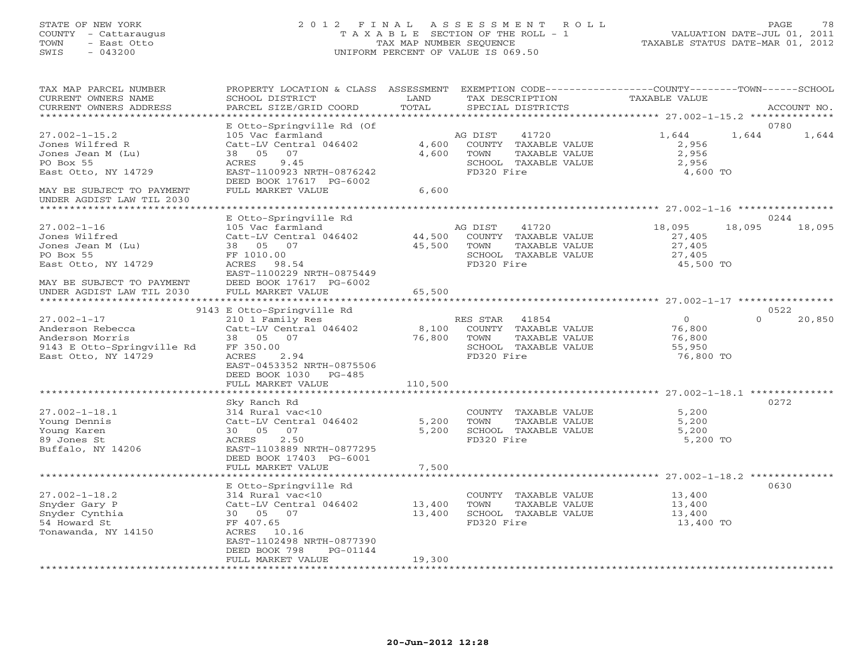#### STATE OF NEW YORK 2 0 1 2 F I N A L A S S E S S M E N T R O L L PAGE 78 COUNTY - Cattaraugus T A X A B L E SECTION OF THE ROLL - 1 VALUATION DATE-JUL 01, 2011 TOWN - East Otto TAX MAP NUMBER SEQUENCE TAXABLE STATUS DATE-MAR 01, 2012 SWIS - 043200 UNIFORM PERCENT OF VALUE IS 069.50UNIFORM PERCENT OF VALUE IS 069.50

| TAX MAP PARCEL NUMBER<br>CURRENT OWNERS NAME<br>CURRENT OWNERS ADDRESS                                        | PROPERTY LOCATION & CLASS ASSESSMENT<br>SCHOOL DISTRICT<br>PARCEL SIZE/GRID COORD                                                                                                             | LAND<br>TOTAL              | EXEMPTION CODE-----------------COUNTY-------TOWN------SCHOOL<br>TAX DESCRIPTION<br>SPECIAL DISTRICTS     | <b>TAXABLE VALUE</b>                               | ACCOUNT NO.                |
|---------------------------------------------------------------------------------------------------------------|-----------------------------------------------------------------------------------------------------------------------------------------------------------------------------------------------|----------------------------|----------------------------------------------------------------------------------------------------------|----------------------------------------------------|----------------------------|
| ***********************                                                                                       |                                                                                                                                                                                               |                            |                                                                                                          |                                                    |                            |
| $27.002 - 1 - 15.2$<br>Jones Wilfred R<br>Jones Jean M (Lu)<br>PO Box 55<br>East Otto, NY 14729               | E Otto-Springville Rd (Of<br>105 Vac farmland<br>Catt-LV Central 046402<br>05<br>07<br>38<br>9.45<br>ACRES<br>EAST-1100923 NRTH-0876242<br>DEED BOOK 17617 PG-6002                            | 4,600<br>4,600             | AG DIST<br>41720<br>COUNTY TAXABLE VALUE<br>TOWN<br>TAXABLE VALUE<br>SCHOOL TAXABLE VALUE<br>FD320 Fire  | 1,644<br>2,956<br>2,956<br>2,956<br>4,600 TO       | 0780<br>1,644<br>1,644     |
| MAY BE SUBJECT TO PAYMENT<br>UNDER AGDIST LAW TIL 2030                                                        | FULL MARKET VALUE                                                                                                                                                                             | 6,600                      |                                                                                                          |                                                    |                            |
|                                                                                                               | E Otto-Springville Rd                                                                                                                                                                         |                            |                                                                                                          |                                                    | 0244                       |
| $27.002 - 1 - 16$<br>Jones Wilfred<br>Jones Jean M (Lu)<br>PO Box 55<br>East Otto, NY 14729                   | 105 Vac farmland<br>Catt-LV Central 046402<br>38 05 07<br>FF 1010.00<br>ACRES 98.54<br>EAST-1100229 NRTH-0875449                                                                              | 44,500<br>45,500           | AG DIST<br>41720<br>COUNTY TAXABLE VALUE<br>TOWN<br>TAXABLE VALUE<br>SCHOOL TAXABLE VALUE<br>FD320 Fire  | 18,095<br>27,405<br>27,405<br>27,405<br>45,500 TO  | 18,095<br>18,095           |
| MAY BE SUBJECT TO PAYMENT<br>UNDER AGDIST LAW TIL 2030                                                        | DEED BOOK 17617 PG-6002<br>FULL MARKET VALUE                                                                                                                                                  | 65,500                     |                                                                                                          |                                                    |                            |
|                                                                                                               |                                                                                                                                                                                               |                            |                                                                                                          |                                                    |                            |
| $27.002 - 1 - 17$<br>Anderson Rebecca<br>Anderson Morris<br>9143 E Otto-Springville Rd<br>East Otto, NY 14729 | 9143 E Otto-Springville Rd<br>210 1 Family Res<br>Catt-LV Central 046402<br>38 05 07<br>FF 350.00<br>2.94<br>ACRES                                                                            | 8,100<br>76,800            | 41854<br>RES STAR<br>COUNTY TAXABLE VALUE<br>TOWN<br>TAXABLE VALUE<br>SCHOOL TAXABLE VALUE<br>FD320 Fire | $\circ$<br>76,800<br>76,800<br>55,950<br>76,800 TO | 0522<br>20,850<br>$\Omega$ |
|                                                                                                               | EAST-0453352 NRTH-0875506<br>DEED BOOK 1030<br>$PG-485$<br>FULL MARKET VALUE                                                                                                                  | 110,500                    |                                                                                                          |                                                    |                            |
|                                                                                                               |                                                                                                                                                                                               |                            |                                                                                                          |                                                    |                            |
| $27.002 - 1 - 18.1$<br>Young Dennis<br>Young Karen<br>89 Jones St<br>Buffalo, NY 14206                        | Sky Ranch Rd<br>314 Rural vac<10<br>Catt-LV Central 046402<br>07<br>30 05<br>2.50<br>ACRES<br>EAST-1103889 NRTH-0877295<br>DEED BOOK 17403 PG-6001<br>FULL MARKET VALUE                       | 5,200<br>5,200<br>7,500    | COUNTY TAXABLE VALUE<br>TOWN<br>TAXABLE VALUE<br>SCHOOL TAXABLE VALUE<br>FD320 Fire                      | 5,200<br>5,200<br>5,200<br>5,200 TO                | 0272                       |
|                                                                                                               |                                                                                                                                                                                               |                            |                                                                                                          |                                                    |                            |
| $27.002 - 1 - 18.2$<br>Snyder Gary P<br>Snyder Cynthia<br>54 Howard St<br>Tonawanda, NY 14150                 | E Otto-Springville Rd<br>314 Rural vac<10<br>Catt-LV Central 046402<br>30 05<br>07<br>FF 407.65<br>ACRES 10.16<br>EAST-1102498 NRTH-0877390<br>DEED BOOK 798<br>PG-01144<br>FULL MARKET VALUE | 13,400<br>13,400<br>19,300 | COUNTY TAXABLE VALUE<br>TAXABLE VALUE<br>TOWN<br>SCHOOL TAXABLE VALUE<br>FD320 Fire                      | 13,400<br>13,400<br>13,400<br>13,400 TO            | 0630                       |
|                                                                                                               |                                                                                                                                                                                               |                            |                                                                                                          |                                                    |                            |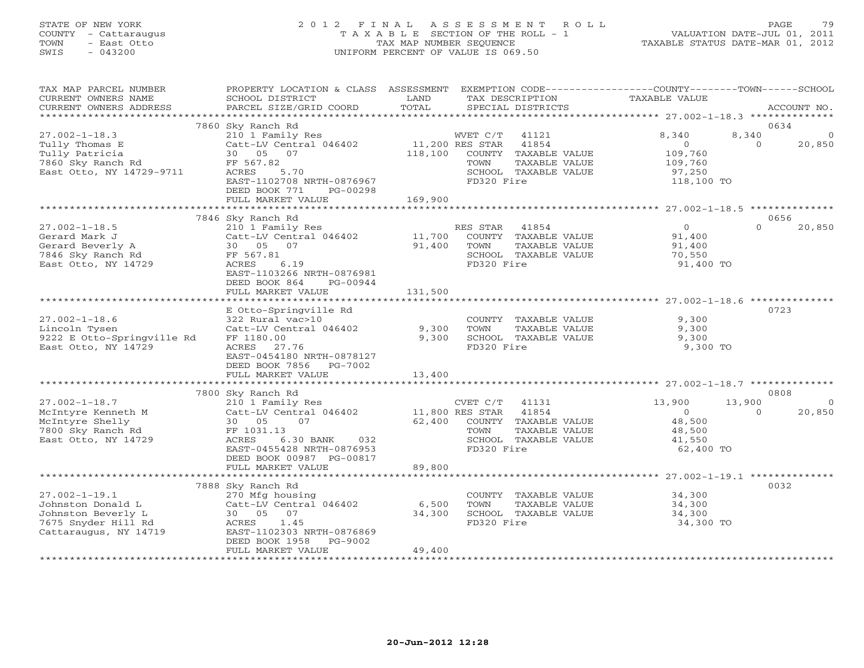### STATE OF NEW YORK 2 0 1 2 F I N A L A S S E S S M E N T R O L L PAGE 79 COUNTY - Cattaraugus T A X A B L E SECTION OF THE ROLL - 1 VALUATION DATE-JUL 01, 2011 TOWN - East Otto TAX MAP NUMBER SEQUENCE TAXABLE STATUS DATE-MAR 01, 2012 SWIS - 043200 UNIFORM PERCENT OF VALUE IS 069.50UNIFORM PERCENT OF VALUE IS 069.50

| TAX MAP PARCEL NUMBER<br>CURRENT OWNERS NAME<br>CURRENT OWNERS ADDRESS                                                         | PROPERTY LOCATION & CLASS ASSESSMENT EXEMPTION CODE---------------COUNTY-------TOWN------SCHOOL<br>SCHOOL DISTRICT<br>PARCEL SIZE/GRID COORD                                                                                       | LAND<br>TOTAL                 |                                      | TAX DESCRIPTION<br>SPECIAL DISTRICTS                                   | TAXABLE VALUE                                                       |                    | ACCOUNT NO.                   |
|--------------------------------------------------------------------------------------------------------------------------------|------------------------------------------------------------------------------------------------------------------------------------------------------------------------------------------------------------------------------------|-------------------------------|--------------------------------------|------------------------------------------------------------------------|---------------------------------------------------------------------|--------------------|-------------------------------|
|                                                                                                                                |                                                                                                                                                                                                                                    |                               |                                      |                                                                        |                                                                     |                    |                               |
| $27.002 - 1 - 18.3$<br>Tully Thomas E<br>Tully Patricia<br>7860 Sky Ranch Rd<br>East Otto, NY 14729-9711                       | 7860 Sky Ranch Rd<br>$\begin{tabular}{lllllllllll} 210&1\text{ Family Res} & \text{WVET C/T} & 41121 \\ \text{Catt-LV Central 046402} & 11,200 \text{ RES STR} & 41854 \\ \end{tabular}$<br>30 05 07<br>FF 567.82<br>ACRES<br>5.70 |                               | TOWN                                 | 118,100 COUNTY TAXABLE VALUE<br>TAXABLE VALUE<br>SCHOOL TAXABLE VALUE  | 8,340<br>$\overline{O}$<br>109,760<br>109,760<br>97,250             | 8,340<br>$\Omega$  | 0634<br>$\mathbf 0$<br>20,850 |
|                                                                                                                                | EAST-1102708 NRTH-0876967<br>DEED BOOK 771<br>PG-00298<br>FULL MARKET VALUE                                                                                                                                                        | 169,900                       | FD320 Fire                           |                                                                        | 118,100 TO                                                          |                    |                               |
|                                                                                                                                | 7846 Sky Ranch Rd                                                                                                                                                                                                                  |                               |                                      |                                                                        |                                                                     |                    | 0656                          |
| $27.002 - 1 - 18.5$<br>Gerard Mark J<br>Gerard Beverly A<br>Gerard Beverly A<br>7846 Sky Ranch Rd<br>East Otto, NY 14729       | 210 1 Family Res<br>Catt-LV Central 046402 11,700 COUNTY TAXABLE VALUE<br>30 05 07<br>FF 567.81<br>$\frac{1}{6.19}$<br>ACRES<br>EAST-1103266 NRTH-0876981<br>DEED BOOK 864<br>PG-00944                                             | 91,400                        | RES STAR 41854<br>TOWN<br>FD320 Fire | TAXABLE VALUE<br>SCHOOL TAXABLE VALUE                                  | $\overline{0}$<br>91,400<br>91,400<br>70,550<br>91,400 TO           | $\Omega$           | 20,850                        |
|                                                                                                                                | FULL MARKET VALUE                                                                                                                                                                                                                  | 131,500                       |                                      |                                                                        |                                                                     |                    |                               |
| $27.002 - 1 - 18.6$<br>Lincoln Tysen<br>9222 E Otto-Springville Rd<br>East Otto, NY 14729                                      | E Otto-Springville Rd<br>322 Rural vac>10<br>322 Kural vac>ı∪<br>Catt-LV Central 046402<br>FF 1180.00<br>ACRES 27.76<br>EAST-0454180 NRTH-0878127<br>DEED BOOK 7856 PG-7002                                                        | 9,300<br>9,300                | TOWN<br>FD320 Fire                   | COUNTY TAXABLE VALUE<br>TAXABLE VALUE<br>SCHOOL TAXABLE VALUE          | 9,300<br>9,300<br>9,300<br>9,300 TO                                 |                    | 0723                          |
|                                                                                                                                | FULL MARKET VALUE<br>**************************                                                                                                                                                                                    | 13,400<br>******************* |                                      |                                                                        |                                                                     |                    |                               |
|                                                                                                                                | 7800 Sky Ranch Rd                                                                                                                                                                                                                  |                               |                                      |                                                                        |                                                                     |                    | 0808                          |
| $27.002 - 1 - 18.7$<br>McIntyre Kenneth M<br>McIntyre Shelly<br>7800 Sky Ranch Rd<br>McIntyre Kenneth M<br>East Otto, NY 14729 | 210 1 Family Res<br>$210$ 1 Family Res<br>Catt-LV Central 046402 11,800 RES STAR 41854<br>30 05 07<br>FF 1031.13<br>ACRES<br>6.30 BANK 032<br>EAST-0455428 NRTH-0876953<br>DEED BOOK 00987 PG-00817<br>FULL MARKET VALUE           | 62,400<br>89,800              | TOWN<br>FD320 Fire                   | 41131<br>COUNTY TAXABLE VALUE<br>TAXABLE VALUE<br>SCHOOL TAXABLE VALUE | 13,900<br>$\overline{0}$<br>48,500<br>48,500<br>41,550<br>62,400 TO | 13,900<br>$\Omega$ | $\Omega$<br>20,850            |
|                                                                                                                                |                                                                                                                                                                                                                                    |                               |                                      |                                                                        |                                                                     |                    |                               |
| $27.002 - 1 - 19.1$<br>Johnston Donald L<br>Johnston Beverly L<br>7675 Snyder Hill Rd<br>Cattaraugus, NY 14719                 | 7888 Sky Ranch Rd<br>270 Mfg housing<br>Catt-LV Central 046402<br>30 05<br>07<br>1.45<br>ACRES<br>EAST-1102303 NRTH-0876869<br>DEED BOOK 1958<br>PG-9002<br>FULL MARKET VALUE                                                      | 6,500<br>34,300<br>49,400     | TOWN<br>FD320 Fire                   | TAXABLE VALUE<br>SCHOOL TAXABLE VALUE                                  | COUNTY TAXABLE VALUE 34,300<br>34,300<br>34,300<br>34,300 TO        |                    | 0032                          |
|                                                                                                                                |                                                                                                                                                                                                                                    |                               |                                      |                                                                        |                                                                     |                    |                               |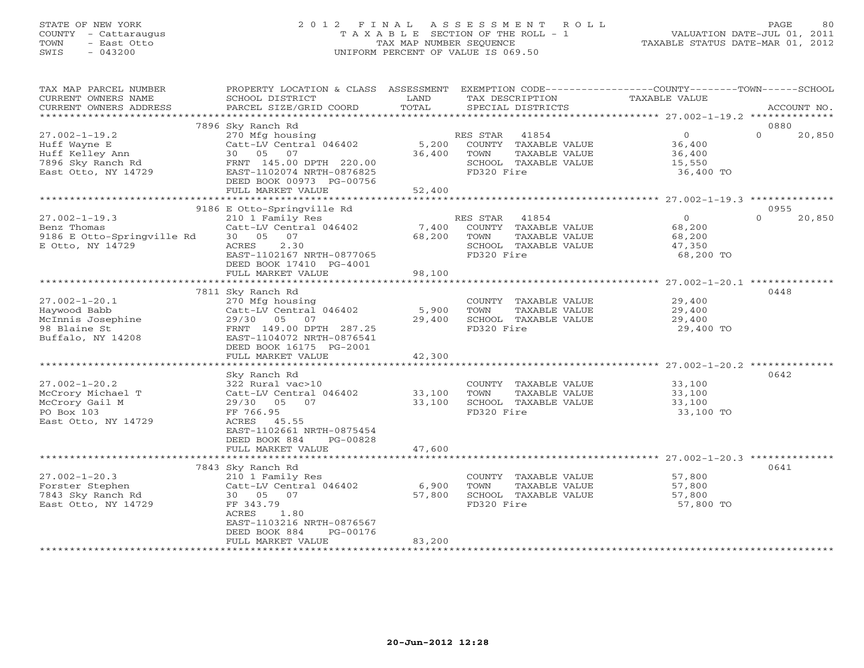### STATE OF NEW YORK 2 0 1 2 F I N A L A S S E S S M E N T R O L L PAGE 80 COUNTY - Cattaraugus T A X A B L E SECTION OF THE ROLL - 1 VALUATION DATE-JUL 01, 2011 TOWN - East Otto TAX MAP NUMBER SEQUENCE TAXABLE STATUS DATE-MAR 01, 2012 SWIS - 043200 UNIFORM PERCENT OF VALUE IS 069.50UNIFORM PERCENT OF VALUE IS 069.50

| TOTAL<br>CURRENT OWNERS ADDRESS<br>PARCEL SIZE/GRID COORD<br>SPECIAL DISTRICTS<br>ACCOUNT NO.<br>************************<br>7896 Sky Ranch Rd<br>0880<br>$27.002 - 1 - 19.2$<br>270 Mfg housing<br>41854<br>$0 \qquad \qquad$<br>$\Omega$<br>20,850<br>RES STAR<br>Huff Wayne E<br>Catt-LV Central 046402<br>5,200<br>COUNTY TAXABLE VALUE<br>36,400<br>Huff Kelley Ann<br>30  05  07<br>36,400<br>TAXABLE VALUE<br>TOWN<br>36,400<br>7896 Sky Ranch Rd<br>FRNT 145.00 DPTH 220.00<br>SCHOOL TAXABLE VALUE<br>15,550<br>FD320 Fire<br>East Otto, NY 14729<br>EAST-1102074 NRTH-0876825<br>36,400 TO<br>DEED BOOK 00973 PG-00756<br>FULL MARKET VALUE<br>52,400<br>9186 E Otto-Springville Rd<br>0955<br>$\Omega$<br>20,850<br>$27.002 - 1 - 19.3$<br>210 1 Family Res<br>RES STAR<br>41854<br>$\circ$<br>Benz Thomas<br>Catt-LV Central 046402<br>7,400<br>COUNTY TAXABLE VALUE<br>68,200<br>9186 E Otto-Springville Rd<br>30 05 07<br>68,200<br>TOWN<br>TAXABLE VALUE<br>68,200<br>E Otto, NY 14729<br>ACRES<br>2.30<br>SCHOOL TAXABLE VALUE<br>47,350<br>EAST-1102167 NRTH-0877065<br>FD320 Fire<br>68,200 TO<br>DEED BOOK 17410 PG-4001<br>FULL MARKET VALUE<br>98,100<br>0448<br>7811 Sky Ranch Rd<br>$27.002 - 1 - 20.1$<br>29,400<br>270 Mfg housing<br>COUNTY TAXABLE VALUE<br>5,900<br>Haywood Babb<br>Catt-LV Central 046402<br>TOWN<br>TAXABLE VALUE<br>29,400<br>McInnis Josephine<br>29/30 05 07<br>29,400<br>SCHOOL TAXABLE VALUE<br>29,400<br>FD320 Fire<br>98 Blaine St<br>29,400 TO<br>FRNT 149.00 DPTH 287.25<br>Buffalo, NY 14208<br>EAST-1104072 NRTH-0876541<br>DEED BOOK 16175 PG-2001<br>FULL MARKET VALUE<br>42,300<br>0642<br>Sky Ranch Rd<br>$27.002 - 1 - 20.2$<br>322 Rural vac>10<br>COUNTY TAXABLE VALUE<br>33,100<br>TAXABLE VALUE<br>McCrory Michael T<br>Catt-LV Central 046402<br>33,100<br>TOWN<br>33,100<br>33,100<br>SCHOOL TAXABLE VALUE<br>McCrory Gail M<br>29/30 05 07<br>33,100<br>PO Box 103<br>FD320 Fire<br>33,100 TO<br>FF 766.95<br>ACRES 45.55<br>East Otto, NY 14729<br>EAST-1102661 NRTH-0875454<br>DEED BOOK 884<br>PG-00828<br>FULL MARKET VALUE<br>47,600<br>0641<br>7843 Sky Ranch Rd<br>57,800<br>$27.002 - 1 - 20.3$<br>210 1 Family Res<br>COUNTY TAXABLE VALUE<br>Catt-LV Central 046402<br>6,900<br>Forster Stephen<br>TOWN<br>TAXABLE VALUE<br>57,800<br>7843 Sky Ranch Rd<br>57,800<br>30 05 07<br>SCHOOL TAXABLE VALUE<br>57,800<br>FD320 Fire<br>East Otto, NY 14729<br>FF 343.79<br>57,800 TO<br>ACRES<br>1.80<br>EAST-1103216 NRTH-0876567<br>DEED BOOK 884<br>PG-00176<br>83,200<br>FULL MARKET VALUE | TAX MAP PARCEL NUMBER<br>CURRENT OWNERS NAME | PROPERTY LOCATION & CLASS ASSESSMENT<br>SCHOOL DISTRICT | LAND | TAX DESCRIPTION | EXEMPTION CODE-----------------COUNTY--------TOWN------SCHOOL<br>TAXABLE VALUE |  |
|-------------------------------------------------------------------------------------------------------------------------------------------------------------------------------------------------------------------------------------------------------------------------------------------------------------------------------------------------------------------------------------------------------------------------------------------------------------------------------------------------------------------------------------------------------------------------------------------------------------------------------------------------------------------------------------------------------------------------------------------------------------------------------------------------------------------------------------------------------------------------------------------------------------------------------------------------------------------------------------------------------------------------------------------------------------------------------------------------------------------------------------------------------------------------------------------------------------------------------------------------------------------------------------------------------------------------------------------------------------------------------------------------------------------------------------------------------------------------------------------------------------------------------------------------------------------------------------------------------------------------------------------------------------------------------------------------------------------------------------------------------------------------------------------------------------------------------------------------------------------------------------------------------------------------------------------------------------------------------------------------------------------------------------------------------------------------------------------------------------------------------------------------------------------------------------------------------------------------------------------------------------------------------------------------------------------------------------------------------------------------------------------------------------------------------------------------------------------------------------------------------------------------------------------------------------------------|----------------------------------------------|---------------------------------------------------------|------|-----------------|--------------------------------------------------------------------------------|--|
|                                                                                                                                                                                                                                                                                                                                                                                                                                                                                                                                                                                                                                                                                                                                                                                                                                                                                                                                                                                                                                                                                                                                                                                                                                                                                                                                                                                                                                                                                                                                                                                                                                                                                                                                                                                                                                                                                                                                                                                                                                                                                                                                                                                                                                                                                                                                                                                                                                                                                                                                                                         |                                              |                                                         |      |                 |                                                                                |  |
|                                                                                                                                                                                                                                                                                                                                                                                                                                                                                                                                                                                                                                                                                                                                                                                                                                                                                                                                                                                                                                                                                                                                                                                                                                                                                                                                                                                                                                                                                                                                                                                                                                                                                                                                                                                                                                                                                                                                                                                                                                                                                                                                                                                                                                                                                                                                                                                                                                                                                                                                                                         |                                              |                                                         |      |                 |                                                                                |  |
|                                                                                                                                                                                                                                                                                                                                                                                                                                                                                                                                                                                                                                                                                                                                                                                                                                                                                                                                                                                                                                                                                                                                                                                                                                                                                                                                                                                                                                                                                                                                                                                                                                                                                                                                                                                                                                                                                                                                                                                                                                                                                                                                                                                                                                                                                                                                                                                                                                                                                                                                                                         |                                              |                                                         |      |                 |                                                                                |  |
|                                                                                                                                                                                                                                                                                                                                                                                                                                                                                                                                                                                                                                                                                                                                                                                                                                                                                                                                                                                                                                                                                                                                                                                                                                                                                                                                                                                                                                                                                                                                                                                                                                                                                                                                                                                                                                                                                                                                                                                                                                                                                                                                                                                                                                                                                                                                                                                                                                                                                                                                                                         |                                              |                                                         |      |                 |                                                                                |  |
|                                                                                                                                                                                                                                                                                                                                                                                                                                                                                                                                                                                                                                                                                                                                                                                                                                                                                                                                                                                                                                                                                                                                                                                                                                                                                                                                                                                                                                                                                                                                                                                                                                                                                                                                                                                                                                                                                                                                                                                                                                                                                                                                                                                                                                                                                                                                                                                                                                                                                                                                                                         |                                              |                                                         |      |                 |                                                                                |  |
|                                                                                                                                                                                                                                                                                                                                                                                                                                                                                                                                                                                                                                                                                                                                                                                                                                                                                                                                                                                                                                                                                                                                                                                                                                                                                                                                                                                                                                                                                                                                                                                                                                                                                                                                                                                                                                                                                                                                                                                                                                                                                                                                                                                                                                                                                                                                                                                                                                                                                                                                                                         |                                              |                                                         |      |                 |                                                                                |  |
|                                                                                                                                                                                                                                                                                                                                                                                                                                                                                                                                                                                                                                                                                                                                                                                                                                                                                                                                                                                                                                                                                                                                                                                                                                                                                                                                                                                                                                                                                                                                                                                                                                                                                                                                                                                                                                                                                                                                                                                                                                                                                                                                                                                                                                                                                                                                                                                                                                                                                                                                                                         |                                              |                                                         |      |                 |                                                                                |  |
|                                                                                                                                                                                                                                                                                                                                                                                                                                                                                                                                                                                                                                                                                                                                                                                                                                                                                                                                                                                                                                                                                                                                                                                                                                                                                                                                                                                                                                                                                                                                                                                                                                                                                                                                                                                                                                                                                                                                                                                                                                                                                                                                                                                                                                                                                                                                                                                                                                                                                                                                                                         |                                              |                                                         |      |                 |                                                                                |  |
|                                                                                                                                                                                                                                                                                                                                                                                                                                                                                                                                                                                                                                                                                                                                                                                                                                                                                                                                                                                                                                                                                                                                                                                                                                                                                                                                                                                                                                                                                                                                                                                                                                                                                                                                                                                                                                                                                                                                                                                                                                                                                                                                                                                                                                                                                                                                                                                                                                                                                                                                                                         |                                              |                                                         |      |                 |                                                                                |  |
|                                                                                                                                                                                                                                                                                                                                                                                                                                                                                                                                                                                                                                                                                                                                                                                                                                                                                                                                                                                                                                                                                                                                                                                                                                                                                                                                                                                                                                                                                                                                                                                                                                                                                                                                                                                                                                                                                                                                                                                                                                                                                                                                                                                                                                                                                                                                                                                                                                                                                                                                                                         |                                              |                                                         |      |                 |                                                                                |  |
|                                                                                                                                                                                                                                                                                                                                                                                                                                                                                                                                                                                                                                                                                                                                                                                                                                                                                                                                                                                                                                                                                                                                                                                                                                                                                                                                                                                                                                                                                                                                                                                                                                                                                                                                                                                                                                                                                                                                                                                                                                                                                                                                                                                                                                                                                                                                                                                                                                                                                                                                                                         |                                              |                                                         |      |                 |                                                                                |  |
|                                                                                                                                                                                                                                                                                                                                                                                                                                                                                                                                                                                                                                                                                                                                                                                                                                                                                                                                                                                                                                                                                                                                                                                                                                                                                                                                                                                                                                                                                                                                                                                                                                                                                                                                                                                                                                                                                                                                                                                                                                                                                                                                                                                                                                                                                                                                                                                                                                                                                                                                                                         |                                              |                                                         |      |                 |                                                                                |  |
|                                                                                                                                                                                                                                                                                                                                                                                                                                                                                                                                                                                                                                                                                                                                                                                                                                                                                                                                                                                                                                                                                                                                                                                                                                                                                                                                                                                                                                                                                                                                                                                                                                                                                                                                                                                                                                                                                                                                                                                                                                                                                                                                                                                                                                                                                                                                                                                                                                                                                                                                                                         |                                              |                                                         |      |                 |                                                                                |  |
|                                                                                                                                                                                                                                                                                                                                                                                                                                                                                                                                                                                                                                                                                                                                                                                                                                                                                                                                                                                                                                                                                                                                                                                                                                                                                                                                                                                                                                                                                                                                                                                                                                                                                                                                                                                                                                                                                                                                                                                                                                                                                                                                                                                                                                                                                                                                                                                                                                                                                                                                                                         |                                              |                                                         |      |                 |                                                                                |  |
|                                                                                                                                                                                                                                                                                                                                                                                                                                                                                                                                                                                                                                                                                                                                                                                                                                                                                                                                                                                                                                                                                                                                                                                                                                                                                                                                                                                                                                                                                                                                                                                                                                                                                                                                                                                                                                                                                                                                                                                                                                                                                                                                                                                                                                                                                                                                                                                                                                                                                                                                                                         |                                              |                                                         |      |                 |                                                                                |  |
|                                                                                                                                                                                                                                                                                                                                                                                                                                                                                                                                                                                                                                                                                                                                                                                                                                                                                                                                                                                                                                                                                                                                                                                                                                                                                                                                                                                                                                                                                                                                                                                                                                                                                                                                                                                                                                                                                                                                                                                                                                                                                                                                                                                                                                                                                                                                                                                                                                                                                                                                                                         |                                              |                                                         |      |                 |                                                                                |  |
|                                                                                                                                                                                                                                                                                                                                                                                                                                                                                                                                                                                                                                                                                                                                                                                                                                                                                                                                                                                                                                                                                                                                                                                                                                                                                                                                                                                                                                                                                                                                                                                                                                                                                                                                                                                                                                                                                                                                                                                                                                                                                                                                                                                                                                                                                                                                                                                                                                                                                                                                                                         |                                              |                                                         |      |                 |                                                                                |  |
|                                                                                                                                                                                                                                                                                                                                                                                                                                                                                                                                                                                                                                                                                                                                                                                                                                                                                                                                                                                                                                                                                                                                                                                                                                                                                                                                                                                                                                                                                                                                                                                                                                                                                                                                                                                                                                                                                                                                                                                                                                                                                                                                                                                                                                                                                                                                                                                                                                                                                                                                                                         |                                              |                                                         |      |                 |                                                                                |  |
|                                                                                                                                                                                                                                                                                                                                                                                                                                                                                                                                                                                                                                                                                                                                                                                                                                                                                                                                                                                                                                                                                                                                                                                                                                                                                                                                                                                                                                                                                                                                                                                                                                                                                                                                                                                                                                                                                                                                                                                                                                                                                                                                                                                                                                                                                                                                                                                                                                                                                                                                                                         |                                              |                                                         |      |                 |                                                                                |  |
|                                                                                                                                                                                                                                                                                                                                                                                                                                                                                                                                                                                                                                                                                                                                                                                                                                                                                                                                                                                                                                                                                                                                                                                                                                                                                                                                                                                                                                                                                                                                                                                                                                                                                                                                                                                                                                                                                                                                                                                                                                                                                                                                                                                                                                                                                                                                                                                                                                                                                                                                                                         |                                              |                                                         |      |                 |                                                                                |  |
|                                                                                                                                                                                                                                                                                                                                                                                                                                                                                                                                                                                                                                                                                                                                                                                                                                                                                                                                                                                                                                                                                                                                                                                                                                                                                                                                                                                                                                                                                                                                                                                                                                                                                                                                                                                                                                                                                                                                                                                                                                                                                                                                                                                                                                                                                                                                                                                                                                                                                                                                                                         |                                              |                                                         |      |                 |                                                                                |  |
|                                                                                                                                                                                                                                                                                                                                                                                                                                                                                                                                                                                                                                                                                                                                                                                                                                                                                                                                                                                                                                                                                                                                                                                                                                                                                                                                                                                                                                                                                                                                                                                                                                                                                                                                                                                                                                                                                                                                                                                                                                                                                                                                                                                                                                                                                                                                                                                                                                                                                                                                                                         |                                              |                                                         |      |                 |                                                                                |  |
|                                                                                                                                                                                                                                                                                                                                                                                                                                                                                                                                                                                                                                                                                                                                                                                                                                                                                                                                                                                                                                                                                                                                                                                                                                                                                                                                                                                                                                                                                                                                                                                                                                                                                                                                                                                                                                                                                                                                                                                                                                                                                                                                                                                                                                                                                                                                                                                                                                                                                                                                                                         |                                              |                                                         |      |                 |                                                                                |  |
|                                                                                                                                                                                                                                                                                                                                                                                                                                                                                                                                                                                                                                                                                                                                                                                                                                                                                                                                                                                                                                                                                                                                                                                                                                                                                                                                                                                                                                                                                                                                                                                                                                                                                                                                                                                                                                                                                                                                                                                                                                                                                                                                                                                                                                                                                                                                                                                                                                                                                                                                                                         |                                              |                                                         |      |                 |                                                                                |  |
|                                                                                                                                                                                                                                                                                                                                                                                                                                                                                                                                                                                                                                                                                                                                                                                                                                                                                                                                                                                                                                                                                                                                                                                                                                                                                                                                                                                                                                                                                                                                                                                                                                                                                                                                                                                                                                                                                                                                                                                                                                                                                                                                                                                                                                                                                                                                                                                                                                                                                                                                                                         |                                              |                                                         |      |                 |                                                                                |  |
|                                                                                                                                                                                                                                                                                                                                                                                                                                                                                                                                                                                                                                                                                                                                                                                                                                                                                                                                                                                                                                                                                                                                                                                                                                                                                                                                                                                                                                                                                                                                                                                                                                                                                                                                                                                                                                                                                                                                                                                                                                                                                                                                                                                                                                                                                                                                                                                                                                                                                                                                                                         |                                              |                                                         |      |                 |                                                                                |  |
|                                                                                                                                                                                                                                                                                                                                                                                                                                                                                                                                                                                                                                                                                                                                                                                                                                                                                                                                                                                                                                                                                                                                                                                                                                                                                                                                                                                                                                                                                                                                                                                                                                                                                                                                                                                                                                                                                                                                                                                                                                                                                                                                                                                                                                                                                                                                                                                                                                                                                                                                                                         |                                              |                                                         |      |                 |                                                                                |  |
|                                                                                                                                                                                                                                                                                                                                                                                                                                                                                                                                                                                                                                                                                                                                                                                                                                                                                                                                                                                                                                                                                                                                                                                                                                                                                                                                                                                                                                                                                                                                                                                                                                                                                                                                                                                                                                                                                                                                                                                                                                                                                                                                                                                                                                                                                                                                                                                                                                                                                                                                                                         |                                              |                                                         |      |                 |                                                                                |  |
|                                                                                                                                                                                                                                                                                                                                                                                                                                                                                                                                                                                                                                                                                                                                                                                                                                                                                                                                                                                                                                                                                                                                                                                                                                                                                                                                                                                                                                                                                                                                                                                                                                                                                                                                                                                                                                                                                                                                                                                                                                                                                                                                                                                                                                                                                                                                                                                                                                                                                                                                                                         |                                              |                                                         |      |                 |                                                                                |  |
|                                                                                                                                                                                                                                                                                                                                                                                                                                                                                                                                                                                                                                                                                                                                                                                                                                                                                                                                                                                                                                                                                                                                                                                                                                                                                                                                                                                                                                                                                                                                                                                                                                                                                                                                                                                                                                                                                                                                                                                                                                                                                                                                                                                                                                                                                                                                                                                                                                                                                                                                                                         |                                              |                                                         |      |                 |                                                                                |  |
|                                                                                                                                                                                                                                                                                                                                                                                                                                                                                                                                                                                                                                                                                                                                                                                                                                                                                                                                                                                                                                                                                                                                                                                                                                                                                                                                                                                                                                                                                                                                                                                                                                                                                                                                                                                                                                                                                                                                                                                                                                                                                                                                                                                                                                                                                                                                                                                                                                                                                                                                                                         |                                              |                                                         |      |                 |                                                                                |  |
|                                                                                                                                                                                                                                                                                                                                                                                                                                                                                                                                                                                                                                                                                                                                                                                                                                                                                                                                                                                                                                                                                                                                                                                                                                                                                                                                                                                                                                                                                                                                                                                                                                                                                                                                                                                                                                                                                                                                                                                                                                                                                                                                                                                                                                                                                                                                                                                                                                                                                                                                                                         |                                              |                                                         |      |                 |                                                                                |  |
|                                                                                                                                                                                                                                                                                                                                                                                                                                                                                                                                                                                                                                                                                                                                                                                                                                                                                                                                                                                                                                                                                                                                                                                                                                                                                                                                                                                                                                                                                                                                                                                                                                                                                                                                                                                                                                                                                                                                                                                                                                                                                                                                                                                                                                                                                                                                                                                                                                                                                                                                                                         |                                              |                                                         |      |                 |                                                                                |  |
|                                                                                                                                                                                                                                                                                                                                                                                                                                                                                                                                                                                                                                                                                                                                                                                                                                                                                                                                                                                                                                                                                                                                                                                                                                                                                                                                                                                                                                                                                                                                                                                                                                                                                                                                                                                                                                                                                                                                                                                                                                                                                                                                                                                                                                                                                                                                                                                                                                                                                                                                                                         |                                              |                                                         |      |                 |                                                                                |  |
|                                                                                                                                                                                                                                                                                                                                                                                                                                                                                                                                                                                                                                                                                                                                                                                                                                                                                                                                                                                                                                                                                                                                                                                                                                                                                                                                                                                                                                                                                                                                                                                                                                                                                                                                                                                                                                                                                                                                                                                                                                                                                                                                                                                                                                                                                                                                                                                                                                                                                                                                                                         |                                              |                                                         |      |                 |                                                                                |  |
|                                                                                                                                                                                                                                                                                                                                                                                                                                                                                                                                                                                                                                                                                                                                                                                                                                                                                                                                                                                                                                                                                                                                                                                                                                                                                                                                                                                                                                                                                                                                                                                                                                                                                                                                                                                                                                                                                                                                                                                                                                                                                                                                                                                                                                                                                                                                                                                                                                                                                                                                                                         |                                              |                                                         |      |                 |                                                                                |  |
|                                                                                                                                                                                                                                                                                                                                                                                                                                                                                                                                                                                                                                                                                                                                                                                                                                                                                                                                                                                                                                                                                                                                                                                                                                                                                                                                                                                                                                                                                                                                                                                                                                                                                                                                                                                                                                                                                                                                                                                                                                                                                                                                                                                                                                                                                                                                                                                                                                                                                                                                                                         |                                              |                                                         |      |                 |                                                                                |  |
|                                                                                                                                                                                                                                                                                                                                                                                                                                                                                                                                                                                                                                                                                                                                                                                                                                                                                                                                                                                                                                                                                                                                                                                                                                                                                                                                                                                                                                                                                                                                                                                                                                                                                                                                                                                                                                                                                                                                                                                                                                                                                                                                                                                                                                                                                                                                                                                                                                                                                                                                                                         |                                              |                                                         |      |                 |                                                                                |  |
|                                                                                                                                                                                                                                                                                                                                                                                                                                                                                                                                                                                                                                                                                                                                                                                                                                                                                                                                                                                                                                                                                                                                                                                                                                                                                                                                                                                                                                                                                                                                                                                                                                                                                                                                                                                                                                                                                                                                                                                                                                                                                                                                                                                                                                                                                                                                                                                                                                                                                                                                                                         |                                              |                                                         |      |                 |                                                                                |  |
|                                                                                                                                                                                                                                                                                                                                                                                                                                                                                                                                                                                                                                                                                                                                                                                                                                                                                                                                                                                                                                                                                                                                                                                                                                                                                                                                                                                                                                                                                                                                                                                                                                                                                                                                                                                                                                                                                                                                                                                                                                                                                                                                                                                                                                                                                                                                                                                                                                                                                                                                                                         |                                              |                                                         |      |                 |                                                                                |  |
|                                                                                                                                                                                                                                                                                                                                                                                                                                                                                                                                                                                                                                                                                                                                                                                                                                                                                                                                                                                                                                                                                                                                                                                                                                                                                                                                                                                                                                                                                                                                                                                                                                                                                                                                                                                                                                                                                                                                                                                                                                                                                                                                                                                                                                                                                                                                                                                                                                                                                                                                                                         |                                              |                                                         |      |                 |                                                                                |  |
|                                                                                                                                                                                                                                                                                                                                                                                                                                                                                                                                                                                                                                                                                                                                                                                                                                                                                                                                                                                                                                                                                                                                                                                                                                                                                                                                                                                                                                                                                                                                                                                                                                                                                                                                                                                                                                                                                                                                                                                                                                                                                                                                                                                                                                                                                                                                                                                                                                                                                                                                                                         |                                              |                                                         |      |                 |                                                                                |  |
|                                                                                                                                                                                                                                                                                                                                                                                                                                                                                                                                                                                                                                                                                                                                                                                                                                                                                                                                                                                                                                                                                                                                                                                                                                                                                                                                                                                                                                                                                                                                                                                                                                                                                                                                                                                                                                                                                                                                                                                                                                                                                                                                                                                                                                                                                                                                                                                                                                                                                                                                                                         |                                              |                                                         |      |                 |                                                                                |  |
|                                                                                                                                                                                                                                                                                                                                                                                                                                                                                                                                                                                                                                                                                                                                                                                                                                                                                                                                                                                                                                                                                                                                                                                                                                                                                                                                                                                                                                                                                                                                                                                                                                                                                                                                                                                                                                                                                                                                                                                                                                                                                                                                                                                                                                                                                                                                                                                                                                                                                                                                                                         |                                              |                                                         |      |                 |                                                                                |  |
|                                                                                                                                                                                                                                                                                                                                                                                                                                                                                                                                                                                                                                                                                                                                                                                                                                                                                                                                                                                                                                                                                                                                                                                                                                                                                                                                                                                                                                                                                                                                                                                                                                                                                                                                                                                                                                                                                                                                                                                                                                                                                                                                                                                                                                                                                                                                                                                                                                                                                                                                                                         |                                              |                                                         |      |                 |                                                                                |  |
|                                                                                                                                                                                                                                                                                                                                                                                                                                                                                                                                                                                                                                                                                                                                                                                                                                                                                                                                                                                                                                                                                                                                                                                                                                                                                                                                                                                                                                                                                                                                                                                                                                                                                                                                                                                                                                                                                                                                                                                                                                                                                                                                                                                                                                                                                                                                                                                                                                                                                                                                                                         |                                              |                                                         |      |                 |                                                                                |  |
|                                                                                                                                                                                                                                                                                                                                                                                                                                                                                                                                                                                                                                                                                                                                                                                                                                                                                                                                                                                                                                                                                                                                                                                                                                                                                                                                                                                                                                                                                                                                                                                                                                                                                                                                                                                                                                                                                                                                                                                                                                                                                                                                                                                                                                                                                                                                                                                                                                                                                                                                                                         |                                              |                                                         |      |                 |                                                                                |  |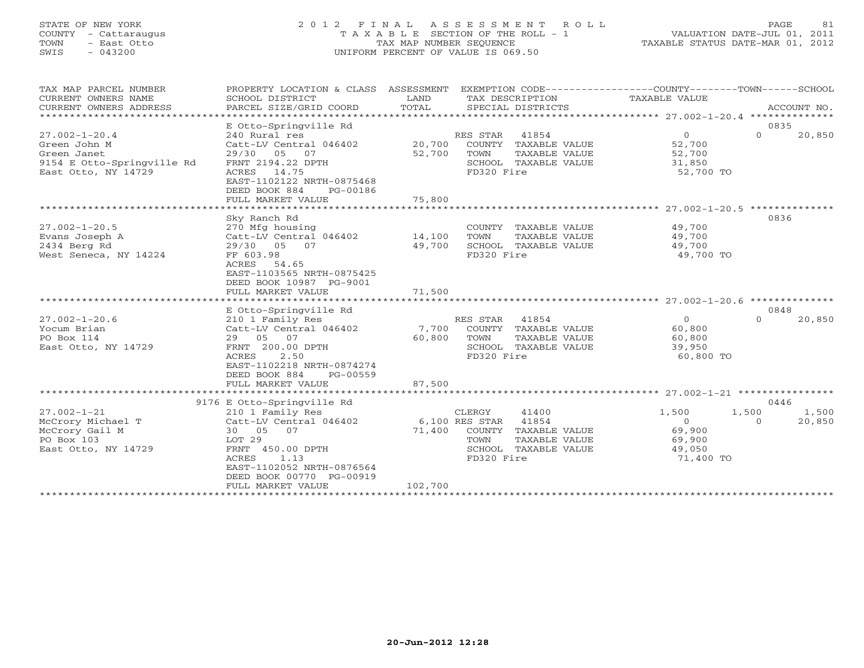#### STATE OF NEW YORK 2 0 1 2 F I N A L A S S E S S M E N T R O L L PAGE 81 COUNTY - Cattaraugus T A X A B L E SECTION OF THE ROLL - 1 VALUATION DATE-JUL 01, 2011 TOWN - East Otto TAX MAP NUMBER SEQUENCE TAXABLE STATUS DATE-MAR 01, 2012 SWIS - 043200 UNIFORM PERCENT OF VALUE IS 069.50UNIFORM PERCENT OF VALUE IS 069.50

| TAX MAP PARCEL NUMBER                             | PROPERTY LOCATION & CLASS ASSESSMENT |         |                                    | EXEMPTION CODE-----------------COUNTY-------TOWN------SCHOOL |                    |
|---------------------------------------------------|--------------------------------------|---------|------------------------------------|--------------------------------------------------------------|--------------------|
| CURRENT OWNERS NAME                               | SCHOOL DISTRICT                      | LAND    | TAX DESCRIPTION                    | TAXABLE VALUE                                                |                    |
| CURRENT OWNERS ADDRESS                            | PARCEL SIZE/GRID COORD               | TOTAL   | SPECIAL DISTRICTS                  |                                                              | ACCOUNT NO.        |
| **************************                        |                                      |         |                                    |                                                              |                    |
|                                                   | E Otto-Springville Rd                |         |                                    |                                                              | 0835               |
| $27.002 - 1 - 20.4$                               | 240 Rural res                        |         | RES STAR<br>41854                  | $\circ$                                                      | $\Omega$<br>20,850 |
| Green John M                                      | Catt-LV Central 046402               | 20,700  | COUNTY TAXABLE VALUE               | 52,700                                                       |                    |
| Green Janet                                       | 29/30 05<br>07                       | 52,700  | TOWN<br>TAXABLE VALUE              | 52,700                                                       |                    |
| 9154 E Otto-Springville Rd<br>East Otto, NY 14729 | FRNT 2194.22 DPTH<br>ACRES 14.75     |         | SCHOOL TAXABLE VALUE<br>FD320 Fire | 31,850<br>52,700 TO                                          |                    |
|                                                   | EAST-1102122 NRTH-0875468            |         |                                    |                                                              |                    |
|                                                   | DEED BOOK 884<br>PG-00186            |         |                                    |                                                              |                    |
|                                                   | FULL MARKET VALUE                    | 75,800  |                                    |                                                              |                    |
|                                                   |                                      |         |                                    |                                                              |                    |
|                                                   | Sky Ranch Rd                         |         |                                    |                                                              | 0836               |
| $27.002 - 1 - 20.5$                               | 270 Mfg housing                      |         | COUNTY TAXABLE VALUE               | 49,700                                                       |                    |
| Evans Joseph A                                    | Catt-LV Central 046402               | 14,100  | TOWN<br>TAXABLE VALUE              | 49,700                                                       |                    |
| 2434 Berg Rd                                      | 29/30 05<br>07                       | 49,700  | SCHOOL TAXABLE VALUE               | 49,700                                                       |                    |
| West Seneca, NY 14224                             | FF 603.98                            |         | FD320 Fire                         | 49,700 TO                                                    |                    |
|                                                   | ACRES<br>54.65                       |         |                                    |                                                              |                    |
|                                                   | EAST-1103565 NRTH-0875425            |         |                                    |                                                              |                    |
|                                                   | DEED BOOK 10987 PG-9001              |         |                                    |                                                              |                    |
|                                                   | FULL MARKET VALUE                    | 71,500  |                                    |                                                              |                    |
|                                                   |                                      |         |                                    |                                                              |                    |
|                                                   | E Otto-Springville Rd                |         |                                    |                                                              | 0848               |
| $27.002 - 1 - 20.6$                               | 210 1 Family Res                     |         | RES STAR<br>41854                  | $\circ$                                                      | $\Omega$<br>20,850 |
| Yocum Brian                                       | Catt-LV Central 046402               | 7,700   | COUNTY TAXABLE VALUE               | 60,800                                                       |                    |
| PO Box 114                                        | 29 05 07                             | 60,800  | TOWN<br>TAXABLE VALUE              | 60,800                                                       |                    |
| East Otto, NY 14729                               | FRNT 200.00 DPTH                     |         | SCHOOL TAXABLE VALUE               | 39,950                                                       |                    |
|                                                   | ACRES<br>2.50                        |         | FD320 Fire                         | 60,800 TO                                                    |                    |
|                                                   | EAST-1102218 NRTH-0874274            |         |                                    |                                                              |                    |
|                                                   | DEED BOOK 884<br>PG-00559            | 87,500  |                                    |                                                              |                    |
|                                                   | FULL MARKET VALUE                    |         |                                    |                                                              |                    |
|                                                   | 9176 E Otto-Springville Rd           |         |                                    |                                                              | 0446               |
| $27.002 - 1 - 21$                                 | 210 1 Family Res                     |         | 41400<br>CLERGY                    | 1,500                                                        | 1,500<br>1,500     |
| McCrory Michael T                                 | Catt-LV Central 046402               |         | 41854<br>6,100 RES STAR            | $\Omega$                                                     | 20,850<br>$\Omega$ |
| McCrory Gail M                                    | 30 05 07                             | 71,400  | COUNTY TAXABLE VALUE               | 69,900                                                       |                    |
| PO Box 103                                        | LOT 29                               |         | TOWN<br>TAXABLE VALUE              | 69,900                                                       |                    |
| East Otto, NY 14729                               | FRNT 450.00 DPTH                     |         | SCHOOL TAXABLE VALUE               | 49,050                                                       |                    |
|                                                   | ACRES<br>1.13                        |         | FD320 Fire                         | 71,400 TO                                                    |                    |
|                                                   | EAST-1102052 NRTH-0876564            |         |                                    |                                                              |                    |
|                                                   | DEED BOOK 00770 PG-00919             |         |                                    |                                                              |                    |
|                                                   | FULL MARKET VALUE                    | 102,700 |                                    |                                                              |                    |
|                                                   |                                      |         |                                    |                                                              |                    |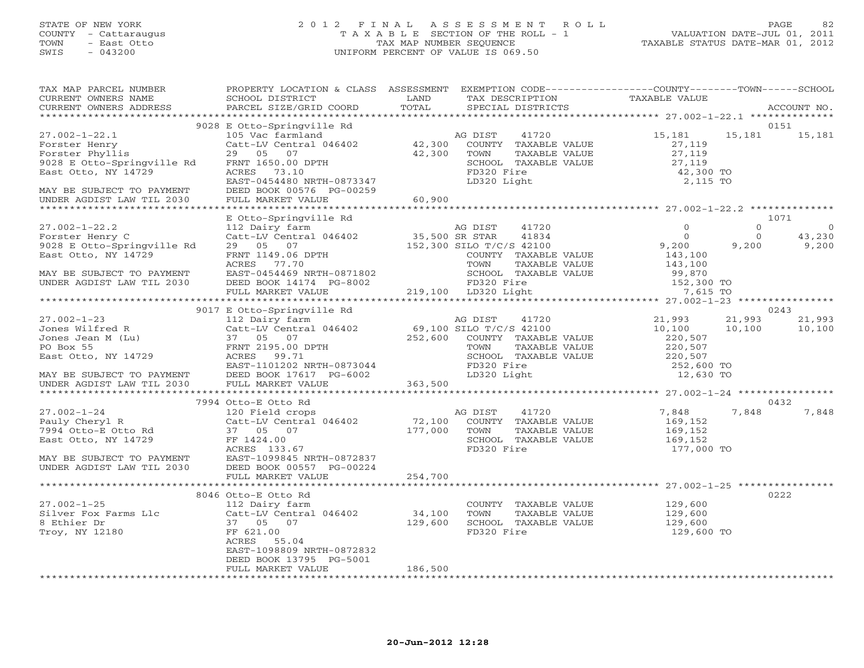#### STATE OF NEW YORK 2 0 1 2 F I N A L A S S E S S M E N T R O L L PAGE 82 COUNTY - Cattaraugus T A X A B L E SECTION OF THE ROLL - 1 VALUATION DATE-JUL 01, 2011 TOWN - East Otto TAX MAP NUMBER SEQUENCE TAXABLE STATUS DATE-MAR 01, 2012 SWIS - 043200 UNIFORM PERCENT OF VALUE IS 069.50UNIFORM PERCENT OF VALUE IS 069.50

| TAX MAP PARCEL NUMBER<br>CURRENT OWNERS NAME<br>CURRENT OWNERS ADDRESS                                                                                               | PROPERTY LOCATION & CLASS ASSESSMENT EXEMPTION CODE---------------COUNTY-------TOWN-----SCHOOL<br>SCHOOL DISTRICT<br><b>Example 12</b> LAND<br>PARCEL SIZE/GRID COORD                                               | TOTAL             | TAX DESCRIPTION<br>SPECIAL DISTRICTS                                                                                                   | TAXABLE VALUE                                                     | ACCOUNT NO.                                                        |
|----------------------------------------------------------------------------------------------------------------------------------------------------------------------|---------------------------------------------------------------------------------------------------------------------------------------------------------------------------------------------------------------------|-------------------|----------------------------------------------------------------------------------------------------------------------------------------|-------------------------------------------------------------------|--------------------------------------------------------------------|
|                                                                                                                                                                      |                                                                                                                                                                                                                     |                   |                                                                                                                                        |                                                                   |                                                                    |
| $27.002 - 1 - 22.1$                                                                                                                                                  | 9028 E Otto-Springville Rd                                                                                                                                                                                          |                   |                                                                                                                                        | 15,181                                                            | 0151<br>15,181                                                     |
| Forster Henry<br>Forster Phyllis<br>9028 E Otto-Springville Rd<br>East Otto, NY 14729                                                                                | 105 Vac farmland                                   AG DIST     41720<br>Catt-LV Central 046402           42,300   COUNTY TAXABLE VALUE<br>29 05 07<br>FRNT 1650.00 DPTH<br>ACRES 73.10<br>EAST-0454480 NRTH-0873347 | 42,300            | TOWN<br>TAXABLE VALUE<br>SCHOOL TAXABLE VALUE<br>FD320 Fire<br>LD320 Light                                                             | 27,119<br>27,119<br>27,119<br>42,300 TO<br>2,115 TO               | 15,181                                                             |
| MAY BE SUBJECT TO PAYMENT<br>UNDER AGDIST LAW TIL 2030                                                                                                               | DEED BOOK 00576 PG-00259                                                                                                                                                                                            |                   |                                                                                                                                        |                                                                   |                                                                    |
|                                                                                                                                                                      | E Otto-Springville Rd                                                                                                                                                                                               |                   |                                                                                                                                        |                                                                   | 1071                                                               |
| $27.002 - 1 - 22.2$<br>Forster Henry C<br>9028 E Otto-Springville Rd<br>East Otto, NY 14729                                                                          | 112 Dairy farm<br>Catt-LV Central 046402 35,500 SR STAR<br>29 05 07<br>FRNT 1149.06 DPTH<br>ACRES 77.70<br>ACRES 77.70                                                                                              |                   | AG DIST<br>41720<br>41834<br>152,300 SILO T/C/S 42100<br>COUNTY TAXABLE VALUE<br>TAXABLE VALUE<br>TOWN                                 | $\Omega$<br>$\overline{0}$<br>9,200<br>143,100<br>143,100         | $\overline{0}$<br>$\Omega$<br>$\Omega$<br>43,230<br>9,200<br>9,200 |
| MAY BE SUBJECT TO PAYMENT<br>UNDER AGDIST LAW TIL 2030                                                                                                               | EAST-0454469 NRTH-0871802<br>DEED BOOK 14174 PG-8002 FD320 Fire<br>FULL MARKET VALUE 76-8002 219,100 LD320 Light                                                                                                    |                   | SCHOOL TAXABLE VALUE 99,870<br>FD320 Fire 152,300 TO<br>LD320 Light 7,615 TO                                                           |                                                                   |                                                                    |
|                                                                                                                                                                      |                                                                                                                                                                                                                     |                   |                                                                                                                                        |                                                                   |                                                                    |
|                                                                                                                                                                      | 9017 E Otto-Springville Rd                                                                                                                                                                                          |                   |                                                                                                                                        |                                                                   | 0243                                                               |
| $27.002 - 1 - 23$                                                                                                                                                    | 112 Dairy farm<br>Catt-LV Central 046402 69,100 SILO T/C/S 42100<br>37 05 07 252,600 COUNTY TAXABLE                                                                                                                 |                   | AG DIST<br>41720<br>252,600 COUNTY TAXABLE VALUE<br>TOWN<br>TAXABLE VALUE<br>SCHOOL TAXABLE VALUE 220,507<br>FD320 Fire<br>LD320 Light | 21,993<br>10,100<br>220,507<br>220,507<br>252,600 TO<br>12,630 TO | 21,993<br>21,993<br>10,100<br>10,100                               |
|                                                                                                                                                                      |                                                                                                                                                                                                                     | 363,500           |                                                                                                                                        |                                                                   |                                                                    |
|                                                                                                                                                                      |                                                                                                                                                                                                                     |                   |                                                                                                                                        |                                                                   |                                                                    |
|                                                                                                                                                                      | 7994 Otto-E Otto Rd                                                                                                                                                                                                 |                   |                                                                                                                                        |                                                                   | 0432                                                               |
| $27.002 - 1 - 24$<br>Pauly Cheryl R<br>7994 Otto-E Otto Rd<br>East Otto, NY 14729<br>MAY BE SUBJECT TO PAYMENT<br>UNDER AGDIST LAW TIL 2030 DEED BOOK 00557 PG-00224 | 120 Field crops<br>Catt-LV Central 046402<br>37 05 07<br>FF 1424.00<br>ACRES 133.67                                                                                                                                 |                   | AG DIST 41720<br>72,100 COUNTY TAXABLE VALUE<br>177,000 TOMM TAXABLE VALUE<br>SCHOOL TAXABLE VALUE<br>FD320 Fire                       | 7,848<br>169,152<br>169,152<br>169,152<br>177,000 TO              | 7,848<br>7,848                                                     |
|                                                                                                                                                                      | FULL MARKET VALUE                                                                                                                                                                                                   | 254,700           |                                                                                                                                        |                                                                   |                                                                    |
|                                                                                                                                                                      |                                                                                                                                                                                                                     |                   |                                                                                                                                        |                                                                   | 0222                                                               |
| $27.002 - 1 - 25$<br>Silver Fox Farms Llc<br>8 Ethier Dr<br>Troy, NY 12180                                                                                           | 8046 Otto-E Otto Rd<br>112 Dairy farm<br>Catt-LV Central 046402<br>37 05 07<br>FF 621.00<br>ACRES 55.04<br>EAST-1098809 NRTH-0872832<br>DEED BOOK 13795 PG-5001                                                     | 34,100<br>129,600 | COUNTY TAXABLE VALUE 129,600<br>TOWN<br>TAXABLE VALUE<br>SCHOOL TAXABLE VALUE<br>FD320 Fire                                            | 129,600<br>129,600<br>129,600 TO                                  |                                                                    |
|                                                                                                                                                                      | FULL MARKET VALUE                                                                                                                                                                                                   | 186,500           |                                                                                                                                        |                                                                   |                                                                    |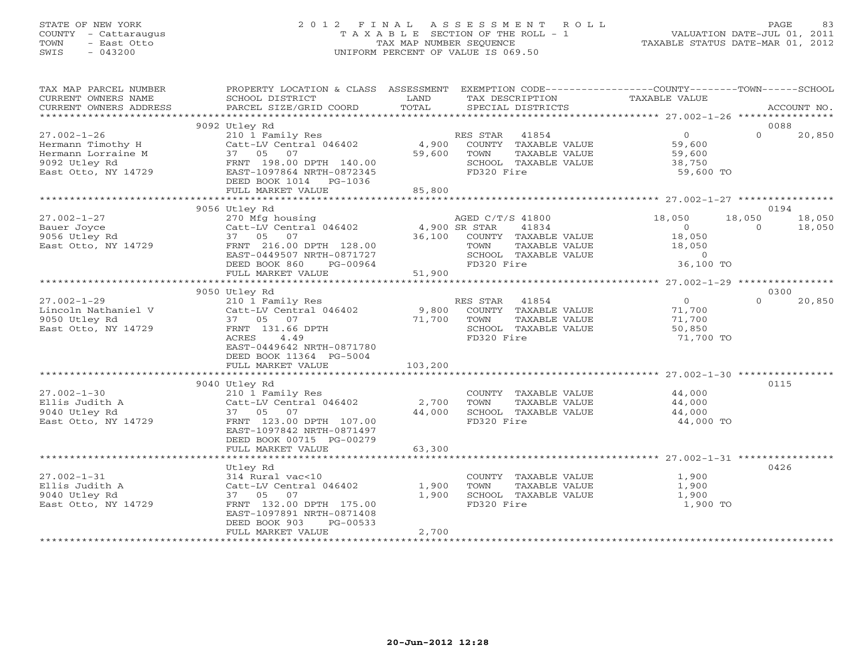#### STATE OF NEW YORK 2 0 1 2 F I N A L A S S E S S M E N T R O L L PAGE 83 COUNTY - Cattaraugus T A X A B L E SECTION OF THE ROLL - 1 VALUATION DATE-JUL 01, 2011 TOWN - East Otto TAX MAP NUMBER SEQUENCE TAXABLE STATUS DATE-MAR 01, 2012 SWIS - 043200 UNIFORM PERCENT OF VALUE IS 069.50UNIFORM PERCENT OF VALUE IS 069.50

| TAX MAP PARCEL NUMBER<br>CURRENT OWNERS NAME<br>CURRENT OWNERS ADDRESS                               | PROPERTY LOCATION & CLASS ASSESSMENT EXEMPTION CODE---------------COUNTY-------TOWN------SCHOOL<br>SCHOOL DISTRICT<br>PARCEL SIZE/GRID COORD | LAND<br>TOTAL   | TAX DESCRIPTION<br>SPECIAL DISTRICTS                                                                  | TAXABLE VALUE                                             | ACCOUNT NO.        |
|------------------------------------------------------------------------------------------------------|----------------------------------------------------------------------------------------------------------------------------------------------|-----------------|-------------------------------------------------------------------------------------------------------|-----------------------------------------------------------|--------------------|
|                                                                                                      |                                                                                                                                              |                 |                                                                                                       |                                                           |                    |
|                                                                                                      | 9092 Utley Rd                                                                                                                                |                 |                                                                                                       |                                                           | 0088               |
| $27.002 - 1 - 26$<br>Hermann Timothy H<br>Hermann Lorraine M<br>9092 Utley Rd<br>East Otto, NY 14729 | 210 1 Family Res<br>Catt-LV Central 046402<br>37 05 07<br>FRNT 198.00 DPTH 140.00<br>EAST-1097864 NRTH-0872345<br>DEED BOOK 1014 PG-1036     | 4,900<br>59,600 | RES STAR 41854<br>COUNTY TAXABLE VALUE<br>TAXABLE VALUE<br>TOWN<br>SCHOOL TAXABLE VALUE<br>FD320 Fire | $\overline{0}$<br>59,600<br>59,600<br>38,750<br>59,600 TO | $\Omega$<br>20,850 |
|                                                                                                      | FULL MARKET VALUE                                                                                                                            | 85,800          |                                                                                                       |                                                           |                    |
|                                                                                                      |                                                                                                                                              |                 |                                                                                                       |                                                           |                    |
|                                                                                                      | 9056 Utley Rd                                                                                                                                |                 |                                                                                                       |                                                           | 0194               |
| $27.002 - 1 - 27$                                                                                    | 270 Mfg housing                                                                                                                              |                 | AGED C/T/S 41800                                                                                      | 18,050                                                    | 18,050<br>18,050   |
| Bauer Joyce                                                                                          | $Cat-LV$ Central 046402 4,900 SR STAR                                                                                                        |                 | 41834                                                                                                 | $\Omega$                                                  | $\Omega$<br>18,050 |
| 9056 Utley Rd                                                                                        | 37 05 07                                                                                                                                     | 36,100          | COUNTY TAXABLE VALUE                                                                                  | 18,050                                                    |                    |
| East Otto, NY 14729                                                                                  | FRNT 216.00 DPTH 128.00                                                                                                                      |                 | TOWN<br>TAXABLE VALUE                                                                                 | 18,050                                                    |                    |
|                                                                                                      | EAST-0449507 NRTH-0871727                                                                                                                    |                 | SCHOOL TAXABLE VALUE                                                                                  | $\overline{O}$                                            |                    |
|                                                                                                      | DEED BOOK 860<br>PG-00964                                                                                                                    |                 | FD320 Fire                                                                                            | 36,100 TO                                                 |                    |
|                                                                                                      | FULL MARKET VALUE                                                                                                                            | 51,900          |                                                                                                       |                                                           |                    |
|                                                                                                      | 9050 Utley Rd                                                                                                                                |                 |                                                                                                       |                                                           | 0300               |
| $27.002 - 1 - 29$                                                                                    | 210 1 Family Res                                                                                                                             |                 | RES STAR 41854                                                                                        | $\overline{0}$                                            | $\Omega$<br>20,850 |
| Lincoln Nathaniel V                                                                                  | Catt-LV Central 046402                                                                                                                       | 9,800           | COUNTY TAXABLE VALUE                                                                                  | 71,700                                                    |                    |
| 9050 Utley Rd                                                                                        | 37 05 07                                                                                                                                     | 71,700          | TOWN<br>TAXABLE VALUE                                                                                 | 71,700                                                    |                    |
| East Otto, NY 14729                                                                                  | FRNT 131.66 DPTH                                                                                                                             |                 | SCHOOL TAXABLE VALUE                                                                                  | 50,850                                                    |                    |
|                                                                                                      | 4.49<br>ACRES                                                                                                                                |                 | FD320 Fire                                                                                            | 71,700 TO                                                 |                    |
|                                                                                                      | EAST-0449642 NRTH-0871780                                                                                                                    |                 |                                                                                                       |                                                           |                    |
|                                                                                                      | DEED BOOK 11364 PG-5004                                                                                                                      |                 |                                                                                                       |                                                           |                    |
|                                                                                                      | FULL MARKET VALUE                                                                                                                            | 103,200         |                                                                                                       |                                                           |                    |
|                                                                                                      |                                                                                                                                              |                 |                                                                                                       |                                                           |                    |
|                                                                                                      | 9040 Utley Rd                                                                                                                                |                 |                                                                                                       |                                                           | 0115               |
| $27.002 - 1 - 30$                                                                                    | 210 1 Family Res                                                                                                                             |                 | COUNTY TAXABLE VALUE                                                                                  | 44,000                                                    |                    |
| Ellis Judith A                                                                                       | Catt-LV Central 046402                                                                                                                       | 2,700           | TAXABLE VALUE<br>TOWN                                                                                 | 44,000                                                    |                    |
| 9040 Utley Rd                                                                                        | 37 05 07                                                                                                                                     | 44,000          | SCHOOL TAXABLE VALUE                                                                                  | 44,000                                                    |                    |
| East Otto, NY 14729                                                                                  | FRNT 123.00 DPTH 107.00                                                                                                                      |                 | FD320 Fire                                                                                            | 44,000 TO                                                 |                    |
|                                                                                                      | EAST-1097842 NRTH-0871497                                                                                                                    |                 |                                                                                                       |                                                           |                    |
|                                                                                                      | DEED BOOK 00715 PG-00279<br>FULL MARKET VALUE                                                                                                | 63,300          |                                                                                                       |                                                           |                    |
|                                                                                                      |                                                                                                                                              |                 |                                                                                                       |                                                           |                    |
|                                                                                                      | Utley Rd                                                                                                                                     |                 |                                                                                                       |                                                           | 0426               |
| $27.002 - 1 - 31$                                                                                    | 314 Rural vac<10                                                                                                                             |                 | COUNTY TAXABLE VALUE                                                                                  | 1,900                                                     |                    |
| Ellis Judith A                                                                                       | Catt-LV Central 046402                                                                                                                       | 1,900           | TAXABLE VALUE<br>TOWN                                                                                 | 1,900                                                     |                    |
| 9040 Utley Rd                                                                                        | 37 05 07                                                                                                                                     | 1,900           | SCHOOL TAXABLE VALUE                                                                                  | 1,900                                                     |                    |
| East Otto, NY 14729                                                                                  | FRNT 132.00 DPTH 175.00                                                                                                                      |                 | FD320 Fire                                                                                            | 1,900 TO                                                  |                    |
|                                                                                                      | EAST-1097891 NRTH-0871408                                                                                                                    |                 |                                                                                                       |                                                           |                    |
|                                                                                                      | DEED BOOK 903<br>PG-00533                                                                                                                    |                 |                                                                                                       |                                                           |                    |
|                                                                                                      | FULL MARKET VALUE                                                                                                                            | 2,700           |                                                                                                       |                                                           |                    |
|                                                                                                      |                                                                                                                                              |                 |                                                                                                       |                                                           |                    |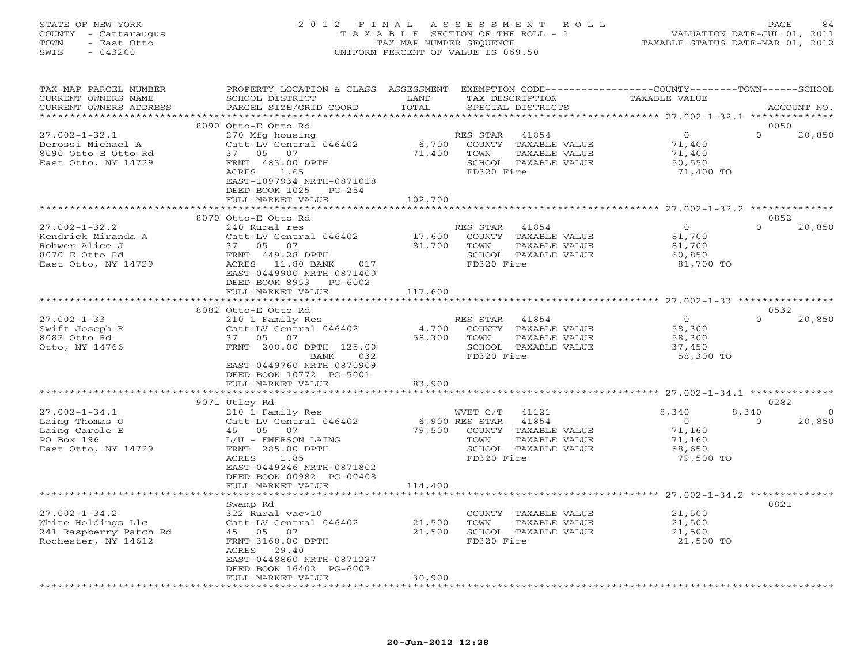#### STATE OF NEW YORK 2 0 1 2 F I N A L A S S E S S M E N T R O L L PAGE 84 COUNTY - Cattaraugus T A X A B L E SECTION OF THE ROLL - 1 VALUATION DATE-JUL 01, 2011 TOWN - East Otto TAX MAP NUMBER SEQUENCE TAXABLE STATUS DATE-MAR 01, 2012 SWIS - 043200 UNIFORM PERCENT OF VALUE IS 069.50UNIFORM PERCENT OF VALUE IS 069.50

| TAX MAP PARCEL NUMBER<br>CURRENT OWNERS NAME<br>CURRENT OWNERS ADDRESS                               | PROPERTY LOCATION & CLASS ASSESSMENT<br>SCHOOL DISTRICT<br>PARCEL SIZE/GRID COORD                                                                                                                     | LAND<br>TOTAL               | TAX DESCRIPTION<br>SPECIAL DISTRICTS                                                                                                | EXEMPTION CODE-----------------COUNTY-------TOWN------SCHOOL<br><b>TAXABLE VALUE</b> | ACCOUNT NO.                                   |
|------------------------------------------------------------------------------------------------------|-------------------------------------------------------------------------------------------------------------------------------------------------------------------------------------------------------|-----------------------------|-------------------------------------------------------------------------------------------------------------------------------------|--------------------------------------------------------------------------------------|-----------------------------------------------|
| **********************                                                                               |                                                                                                                                                                                                       |                             |                                                                                                                                     |                                                                                      |                                               |
| $27.002 - 1 - 32.1$<br>Derossi Michael A<br>8090 Otto-E Otto Rd<br>East Otto, NY 14729               | 8090 Otto-E Otto Rd<br>270 Mfg housing<br>Catt-LV Central 046402<br>37 05 07<br>FRNT 483.00 DPTH<br>ACRES<br>1.65<br>EAST-1097934 NRTH-0871018<br>DEED BOOK 1025<br>$PG-254$                          | 6,700<br>71,400             | RES STAR<br>41854<br>COUNTY TAXABLE VALUE<br>TOWN<br>TAXABLE VALUE<br>SCHOOL TAXABLE VALUE<br>FD320 Fire                            | $\circ$<br>71,400<br>71,400<br>50,550<br>71,400 TO                                   | 0050<br>$\Omega$<br>20,850                    |
|                                                                                                      | FULL MARKET VALUE                                                                                                                                                                                     | 102,700                     |                                                                                                                                     |                                                                                      |                                               |
|                                                                                                      |                                                                                                                                                                                                       |                             |                                                                                                                                     | ********************** 27.002-1-32.2 **************                                  |                                               |
| $27.002 - 1 - 32.2$<br>Kendrick Miranda A<br>Rohwer Alice J<br>8070 E Otto Rd<br>East Otto, NY 14729 | 8070 Otto-E Otto Rd<br>240 Rural res<br>Catt-LV Central 046402<br>37 05 07<br>FRNT 449.28 DPTH<br>ACRES 11.80 BANK<br>017<br>EAST-0449900 NRTH-0871400<br>DEED BOOK 8953 PG-6002<br>FULL MARKET VALUE | 17,600<br>81,700<br>117,600 | RES STAR<br>41854<br>COUNTY TAXABLE VALUE<br>TOWN<br>TAXABLE VALUE<br>SCHOOL TAXABLE VALUE<br>FD320 Fire                            | $\overline{O}$<br>81,700<br>81,700<br>60,850<br>81,700 TO                            | 0852<br>$\Omega$<br>20,850                    |
|                                                                                                      |                                                                                                                                                                                                       |                             |                                                                                                                                     |                                                                                      |                                               |
|                                                                                                      | 8082 Otto-E Otto Rd                                                                                                                                                                                   |                             |                                                                                                                                     |                                                                                      | 0532                                          |
| $27.002 - 1 - 33$<br>Swift Joseph R<br>8082 Otto Rd<br>Otto, NY 14766                                | 210 1 Family Res<br>Catt-LV Central 046402<br>37 05 07<br>FRNT 200.00 DPTH 125.00<br>BANK<br>032<br>EAST-0449760 NRTH-0870909<br>DEED BOOK 10772 PG-5001<br>FULL MARKET VALUE                         | 4,700<br>58,300<br>83,900   | RES STAR<br>41854<br>COUNTY TAXABLE VALUE<br>TOWN<br>TAXABLE VALUE<br>SCHOOL TAXABLE VALUE<br>FD320 Fire                            | $\overline{0}$<br>58,300<br>58,300<br>37,450<br>58,300 TO                            | $\Omega$<br>20,850                            |
|                                                                                                      |                                                                                                                                                                                                       |                             |                                                                                                                                     |                                                                                      |                                               |
| $27.002 - 1 - 34.1$<br>Laing Thomas O<br>Laing Carole E<br>PO Box 196<br>East Otto, NY 14729         | 9071 Utley Rd<br>210 1 Family Res<br>Catt-LV Central 046402<br>45 05 07<br>L/U - EMERSON LAING<br>FRNT 285.00 DPTH<br>1.85<br>ACRES<br>EAST-0449246 NRTH-0871802<br>DEED BOOK 00982 PG-00408          | 79,500                      | 41121<br>WVET C/T<br>6,900 RES STAR<br>41854<br>COUNTY TAXABLE VALUE<br>TAXABLE VALUE<br>TOWN<br>SCHOOL TAXABLE VALUE<br>FD320 Fire | 8,340<br>$\overline{O}$<br>71,160<br>71,160<br>58,650<br>79,500 TO                   | 0282<br>8,340<br>$\circ$<br>$\circ$<br>20,850 |
|                                                                                                      | FULL MARKET VALUE                                                                                                                                                                                     | 114,400                     |                                                                                                                                     |                                                                                      |                                               |
|                                                                                                      | Swamp Rd                                                                                                                                                                                              |                             |                                                                                                                                     |                                                                                      | 0821                                          |
| $27.002 - 1 - 34.2$<br>White Holdings Llc<br>241 Raspberry Patch Rd<br>Rochester, NY 14612           | 322 Rural vac>10<br>Catt-LV Central 046402<br>45 05 07<br>FRNT 3160.00 DPTH<br>ACRES<br>29.40<br>EAST-0448860 NRTH-0871227<br>DEED BOOK 16402 PG-6002                                                 | 21,500<br>21,500            | COUNTY TAXABLE VALUE<br>TOWN<br>TAXABLE VALUE<br>SCHOOL TAXABLE VALUE<br>FD320 Fire                                                 | 21,500<br>21,500<br>21,500<br>21,500 TO                                              |                                               |
| *************************                                                                            | FULL MARKET VALUE<br>***************************                                                                                                                                                      | 30,900                      |                                                                                                                                     |                                                                                      |                                               |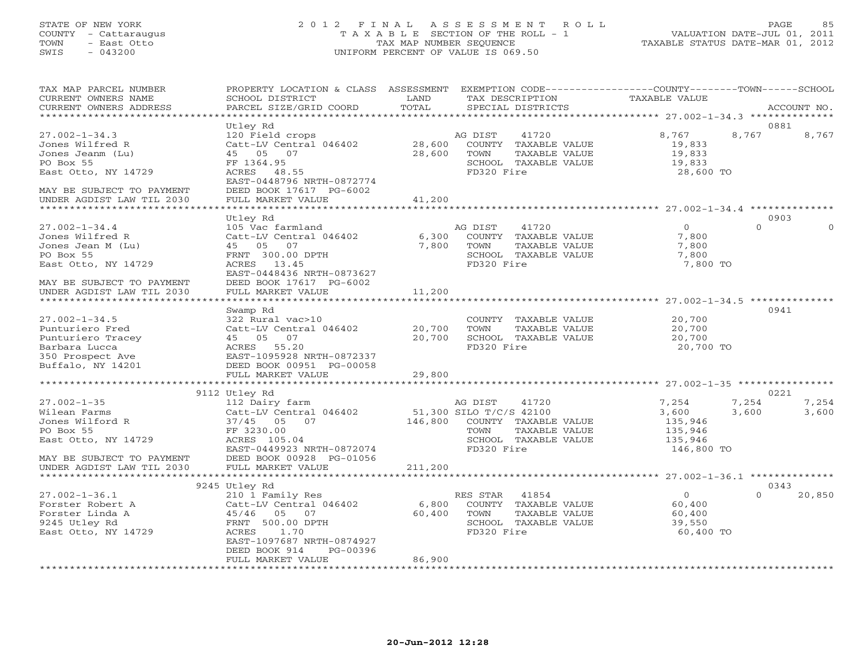#### STATE OF NEW YORK 2 0 1 2 F I N A L A S S E S S M E N T R O L L PAGE 85 COUNTY - Cattaraugus T A X A B L E SECTION OF THE ROLL - 1 VALUATION DATE-JUL 01, 2011 TOWN - East Otto TAX MAP NUMBER SEQUENCE TAXABLE STATUS DATE-MAR 01, 2012 SWIS - 043200 UNIFORM PERCENT OF VALUE IS 069.50UNIFORM PERCENT OF VALUE IS 069.50

| TAX MAP PARCEL NUMBER<br>CURRENT OWNERS NAME<br>CURRENT OWNERS ADDRESS                                                                                   | PROPERTY LOCATION & CLASS ASSESSMENT<br>SCHOOL DISTRICT<br>PARCEL SIZE/GRID COORD                                                                                           | LAND<br>TOTAL              | TAX DESCRIPTION<br>SPECIAL DISTRICTS                                                                                                       | EXEMPTION CODE-----------------COUNTY-------TOWN------SCHOOL<br>TAXABLE VALUE | ACCOUNT NO.                              |
|----------------------------------------------------------------------------------------------------------------------------------------------------------|-----------------------------------------------------------------------------------------------------------------------------------------------------------------------------|----------------------------|--------------------------------------------------------------------------------------------------------------------------------------------|-------------------------------------------------------------------------------|------------------------------------------|
| ***********************                                                                                                                                  |                                                                                                                                                                             |                            |                                                                                                                                            |                                                                               |                                          |
| $27.002 - 1 - 34.3$<br>Jones Wilfred R<br>Jones Jeanm (Lu)<br>PO Box 55<br>East Otto, NY 14729<br>MAY BE SUBJECT TO PAYMENT<br>UNDER AGDIST LAW TIL 2030 | Utley Rd<br>120 Field crops<br>Catt-LV Central 046402<br>45 05 07<br>FF 1364.95<br>ACRES 48.55<br>EAST-0448796 NRTH-0872774<br>DEED BOOK 17617 PG-6002<br>FULL MARKET VALUE | 28,600<br>28,600<br>41,200 | AG DIST<br>41720<br>COUNTY TAXABLE VALUE<br>TOWN<br>TAXABLE VALUE<br>SCHOOL TAXABLE VALUE<br>FD320 Fire                                    | 8,767<br>19,833<br>19,833<br>19,833<br>28,600 TO                              | 0881<br>8,767<br>8,767                   |
|                                                                                                                                                          |                                                                                                                                                                             |                            |                                                                                                                                            |                                                                               |                                          |
| $27.002 - 1 - 34.4$<br>Jones Wilfred R<br>Jones Jean M (Lu)<br>PO Box 55<br>East Otto, NY 14729<br>MAY BE SUBJECT TO PAYMENT                             | Utley Rd<br>105 Vac farmland<br>Catt-LV Central 046402<br>45 05 07<br>FRNT 300.00 DPTH<br>ACRES 13.45<br>EAST-0448436 NRTH-0873627<br>DEED BOOK 17617 PG-6002               | 6,300<br>7,800             | AG DIST<br>41720<br>COUNTY TAXABLE VALUE<br>TAXABLE VALUE<br>TOWN<br>SCHOOL TAXABLE VALUE<br>FD320 Fire                                    | $\Omega$<br>7,800<br>7,800<br>7,800<br>7,800 TO                               | 0903<br>$\Omega$                         |
| UNDER AGDIST LAW TIL 2030<br>*************************                                                                                                   | FULL MARKET VALUE                                                                                                                                                           | 11,200                     |                                                                                                                                            |                                                                               |                                          |
|                                                                                                                                                          | Swamp Rd                                                                                                                                                                    |                            |                                                                                                                                            |                                                                               | 0941                                     |
| $27.002 - 1 - 34.5$<br>Punturiero Fred<br>Punturiero Tracey<br>Barbara Lucca<br>350 Prospect Ave<br>Buffalo, NY 14201                                    | 322 Rural vac>10<br>Catt-LV Central 046402<br>45 05 07<br>ACRES 55.20<br>EAST-1095928 NRTH-0872337<br>DEED BOOK 00951 PG-00058<br>FULL MARKET VALUE                         | 20,700<br>20,700<br>29,800 | COUNTY TAXABLE VALUE<br>TOWN<br>TAXABLE VALUE<br>SCHOOL TAXABLE VALUE<br>FD320 Fire                                                        | 20,700<br>20,700<br>20,700<br>20,700 TO                                       |                                          |
|                                                                                                                                                          | ********************                                                                                                                                                        |                            |                                                                                                                                            |                                                                               |                                          |
| $27.002 - 1 - 35$<br>Wilean Farms<br>Jones Wilford R<br>PO Box 55<br>East Otto, NY 14729<br>MAY BE SUBJECT TO PAYMENT                                    | 9112 Utley Rd<br>112 Dairy farm<br>Catt-LV Central 046402<br>37/45 05 07<br>FF 3230.00<br>ACRES 105.04<br>EAST-0449923 NRTH-0872074<br>DEED BOOK 00928 PG-01056             |                            | AG DIST<br>41720<br>51,300 SILO T/C/S 42100<br>146,800 COUNTY TAXABLE VALUE<br>TAXABLE VALUE<br>TOWN<br>SCHOOL TAXABLE VALUE<br>FD320 Fire | 7,254<br>3,600<br>135,946<br>135,946<br>135,946<br>146,800 TO                 | 0221<br>7,254<br>7,254<br>3,600<br>3,600 |
| UNDER AGDIST LAW TIL 2030                                                                                                                                | FULL MARKET VALUE                                                                                                                                                           | 211,200                    |                                                                                                                                            |                                                                               |                                          |
|                                                                                                                                                          | 9245 Utley Rd                                                                                                                                                               |                            |                                                                                                                                            |                                                                               | 0343                                     |
| $27.002 - 1 - 36.1$<br>Forster Robert A<br>Forster Linda A<br>9245 Utley Rd<br>East Otto, NY 14729                                                       | 210 1 Family Res<br>Catt-LV Central 046402<br>45/46 05 07<br>FRNT 500.00 DPTH<br>ACRES<br>1.70<br>EAST-1097687 NRTH-0874927<br>DEED BOOK 914<br>PG-00396                    | 6,800<br>60,400            | RES STAR<br>41854<br>COUNTY TAXABLE VALUE<br>TOWN<br>TAXABLE VALUE<br>SCHOOL TAXABLE VALUE<br>FD320 Fire                                   | $\overline{0}$<br>60,400<br>60,400<br>39,550<br>60,400 TO                     | $\Omega$<br>20,850                       |
|                                                                                                                                                          | FULL MARKET VALUE                                                                                                                                                           | 86,900                     |                                                                                                                                            |                                                                               |                                          |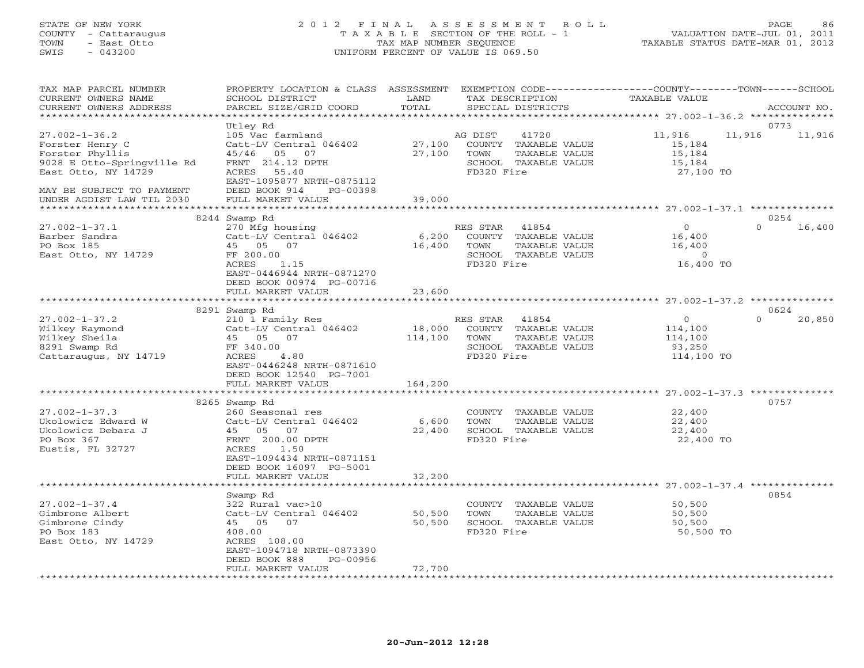#### STATE OF NEW YORK 2 0 1 2 F I N A L A S S E S S M E N T R O L L PAGE 86 COUNTY - Cattaraugus T A X A B L E SECTION OF THE ROLL - 1 VALUATION DATE-JUL 01, 2011 TOWN - East Otto TAX MAP NUMBER SEQUENCE TAXABLE STATUS DATE-MAR 01, 2012 SWIS - 043200 UNIFORM PERCENT OF VALUE IS 069.50UNIFORM PERCENT OF VALUE IS 069.50

| TAX MAP PARCEL NUMBER<br>CURRENT OWNERS NAME<br>CURRENT OWNERS ADDRESS                                                                      | PROPERTY LOCATION & CLASS<br>SCHOOL DISTRICT<br>PARCEL SIZE/GRID COORD                                                                                                   | ASSESSMENT<br>LAND<br>TOTAL | TAX DESCRIPTION<br>SPECIAL DISTRICTS                                                                       | EXEMPTION CODE----------------COUNTY-------TOWN-----SCHOOL<br><b>TAXABLE VALUE</b> | ACCOUNT NO.                |
|---------------------------------------------------------------------------------------------------------------------------------------------|--------------------------------------------------------------------------------------------------------------------------------------------------------------------------|-----------------------------|------------------------------------------------------------------------------------------------------------|------------------------------------------------------------------------------------|----------------------------|
|                                                                                                                                             |                                                                                                                                                                          |                             |                                                                                                            |                                                                                    |                            |
| $27.002 - 1 - 36.2$<br>Forster Henry C<br>Forster Phyllis<br>9028 E Otto-Springville Rd<br>East Otto, NY 14729<br>MAY BE SUBJECT TO PAYMENT | Utley Rd<br>105 Vac farmland<br>Catt-LV Central 046402<br>45/46 05<br>07<br>FRNT 214.12 DPTH<br>ACRES<br>55.40<br>EAST-1095877 NRTH-0875112<br>DEED BOOK 914<br>PG-00398 | 27,100<br>27,100            | AG DIST<br>41720<br>COUNTY<br>TAXABLE VALUE<br>TOWN<br>TAXABLE VALUE<br>SCHOOL TAXABLE VALUE<br>FD320 Fire | 11,916<br>11,916<br>15,184<br>15,184<br>15,184<br>27,100 TO                        | 0773<br>11,916             |
| UNDER AGDIST LAW TIL 2030                                                                                                                   | FULL MARKET VALUE                                                                                                                                                        | 39,000                      |                                                                                                            |                                                                                    |                            |
|                                                                                                                                             | 8244 Swamp Rd                                                                                                                                                            |                             |                                                                                                            |                                                                                    | 0254                       |
| $27.002 - 1 - 37.1$<br>Barber Sandra<br>PO Box 185<br>East Otto, NY 14729                                                                   | 270 Mfg housing<br>Catt-LV Central 046402<br>45 05<br>07<br>FF 200.00<br><b>ACRES</b><br>1.15<br>EAST-0446944 NRTH-0871270<br>DEED BOOK 00974 PG-00716                   | 6,200<br>16,400             | RES STAR<br>41854<br>COUNTY TAXABLE VALUE<br>TOWN<br>TAXABLE VALUE<br>SCHOOL TAXABLE VALUE<br>FD320 Fire   | $\Omega$<br>16,400<br>16,400<br>$\circ$<br>16,400 TO                               | $\Omega$<br>16,400         |
|                                                                                                                                             | FULL MARKET VALUE                                                                                                                                                        | 23,600                      |                                                                                                            |                                                                                    |                            |
|                                                                                                                                             | ************************                                                                                                                                                 |                             |                                                                                                            |                                                                                    |                            |
| $27.002 - 1 - 37.2$<br>Wilkey Raymond<br>Wilkey Sheila<br>8291 Swamp Rd<br>Cattaraugus, NY 14719                                            | 8291 Swamp Rd<br>210 1 Family Res<br>Catt-LV Central 046402<br>45 05<br>07<br>FF 340.00<br>ACRES<br>4.80<br>EAST-0446248 NRTH-0871610                                    | 18,000<br>114,100           | RES STAR 41854<br>COUNTY TAXABLE VALUE<br>TOWN<br>TAXABLE VALUE<br>SCHOOL TAXABLE VALUE<br>FD320 Fire      | $\circ$<br>114,100<br>114,100<br>93,250<br>114,100 TO                              | 0624<br>$\Omega$<br>20,850 |
|                                                                                                                                             | DEED BOOK 12540 PG-7001<br>FULL MARKET VALUE                                                                                                                             | 164,200                     |                                                                                                            |                                                                                    |                            |
|                                                                                                                                             |                                                                                                                                                                          |                             |                                                                                                            |                                                                                    |                            |
| $27.002 - 1 - 37.3$<br>Ukolowicz Edward W<br>Ukolowicz Debara J<br>PO Box 367<br>Eustis, FL 32727                                           | 8265 Swamp Rd<br>260 Seasonal res<br>Catt-LV Central 046402<br>45 05<br>07<br>FRNT 200.00 DPTH<br>ACRES<br>1.50<br>EAST-1094434 NRTH-0871151<br>DEED BOOK 16097 PG-5001  | 6,600<br>22,400             | COUNTY TAXABLE VALUE<br>TOWN<br>TAXABLE VALUE<br>SCHOOL TAXABLE VALUE<br>FD320 Fire                        | 22,400<br>22,400<br>22,400<br>22,400 TO                                            | 0757                       |
|                                                                                                                                             | FULL MARKET VALUE<br>**********************                                                                                                                              | 32,200                      |                                                                                                            |                                                                                    |                            |
| $27.002 - 1 - 37.4$<br>Gimbrone Albert<br>Gimbrone Cindy<br>PO Box 183<br>East Otto, NY 14729                                               | Swamp Rd<br>322 Rural vac>10<br>Catt-LV Central 046402<br>45 05<br>07<br>408.00<br>ACRES 108.00<br>EAST-1094718 NRTH-0873390<br>DEED BOOK 888<br>PG-00956                | 50,500<br>50,500            | COUNTY TAXABLE VALUE<br>TOWN<br>TAXABLE VALUE<br>SCHOOL TAXABLE VALUE<br>FD320 Fire                        | 50,500<br>50,500<br>50,500<br>50,500 TO                                            | 0854                       |
|                                                                                                                                             | FULL MARKET VALUE                                                                                                                                                        | 72,700                      |                                                                                                            |                                                                                    |                            |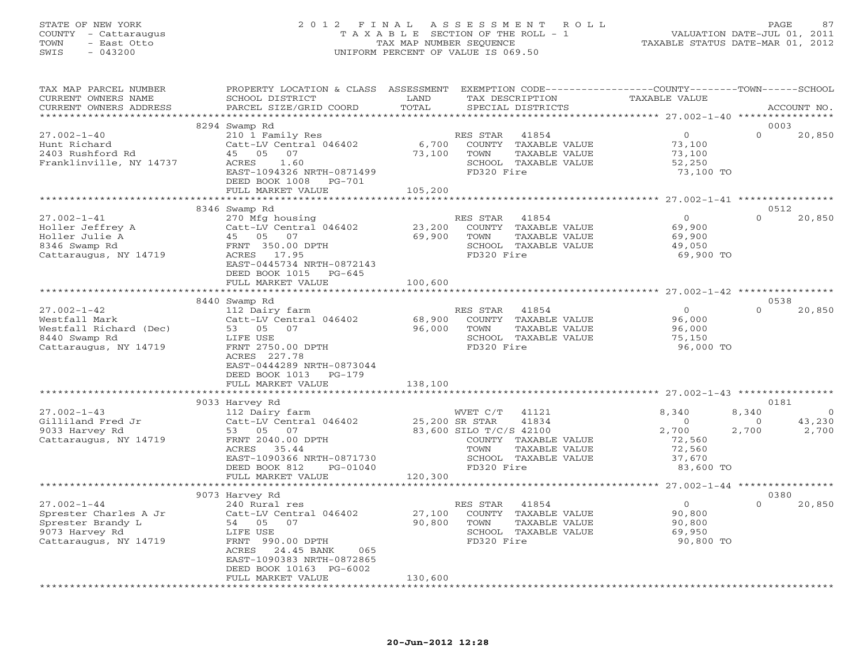# STATE OF NEW YORK 2 0 1 2 F I N A L A S S E S S M E N T R O L L PAGE 87 COUNTY - Cattaraugus T A X A B L E SECTION OF THE ROLL - 1 VALUATION DATE-JUL 01, 2011 TOWN - East Otto TAX MAP NUMBER SEQUENCE TAXABLE STATUS DATE-MAR 01, 2012 SWIS - 043200 UNIFORM PERCENT OF VALUE IS 069.50

| TAX MAP PARCEL NUMBER<br>CURRENT OWNERS NAME<br>CURRENT OWNERS ADDRESS | PROPERTY LOCATION & CLASS ASSESSMENT<br>SCHOOL DISTRICT<br>PARCEL SIZE/GRID COORD       | LAND<br>TOTAL                  | EXEMPTION CODE-----------------COUNTY-------TOWN------SCHOOL<br>TAX DESCRIPTION<br>SPECIAL DISTRICTS | TAXABLE VALUE                           | ACCOUNT NO.                |
|------------------------------------------------------------------------|-----------------------------------------------------------------------------------------|--------------------------------|------------------------------------------------------------------------------------------------------|-----------------------------------------|----------------------------|
|                                                                        |                                                                                         |                                |                                                                                                      |                                         |                            |
| $27.002 - 1 - 40$                                                      | 8294 Swamp Rd<br>210 1 Family Res                                                       |                                | RES STAR<br>41854                                                                                    | $\circ$                                 | 0003<br>$\Omega$<br>20,850 |
| Hunt Richard<br>2403 Rushford Rd<br>Franklinville, NY 14737            | Catt-LV Central 046402<br>45 05<br>07<br>1.60<br>ACRES<br>EAST-1094326 NRTH-0871499     | 6,700<br>73,100                | COUNTY TAXABLE VALUE<br>TOWN<br>TAXABLE VALUE<br>SCHOOL TAXABLE VALUE<br>FD320 Fire                  | 73,100<br>73,100<br>52,250<br>73,100 TO |                            |
|                                                                        | DEED BOOK 1008 PG-701<br>FULL MARKET VALUE                                              | 105,200                        |                                                                                                      |                                         |                            |
|                                                                        |                                                                                         |                                |                                                                                                      |                                         |                            |
|                                                                        | 8346 Swamp Rd                                                                           |                                |                                                                                                      |                                         | 0512                       |
| $27.002 - 1 - 41$<br>Holler Jeffrey A                                  | 270 Mfg housing<br>Catt-LV Central 046402                                               | 23,200                         | RES STAR<br>41854<br>COUNTY TAXABLE VALUE                                                            | $\overline{0}$<br>69,900                | $\Omega$<br>20,850         |
| $\overline{a}$<br>Holler Julie A<br>8346 Swamp Rd                      | 45 05 07<br>FRNT 350.00 DPTH                                                            | 69,900                         | TOWN<br>TAXABLE VALUE<br>SCHOOL TAXABLE VALUE                                                        | 69,900<br>49,050                        |                            |
| Cattaraugus, NY 14719                                                  | ACRES 17.95<br>EAST-0445734 NRTH-0872143<br>DEED BOOK 1015 PG-645                       |                                | FD320 Fire                                                                                           | 69,900 TO                               |                            |
|                                                                        | FULL MARKET VALUE                                                                       | 100,600                        |                                                                                                      |                                         |                            |
|                                                                        |                                                                                         |                                |                                                                                                      |                                         |                            |
|                                                                        | 8440 Swamp Rd                                                                           |                                |                                                                                                      |                                         | 0538                       |
| $27.002 - 1 - 42$                                                      | 112 Dairy farm                                                                          |                                | RES STAR<br>41854                                                                                    | $\Omega$                                | $\Omega$<br>20,850         |
| Westfall Mark                                                          | Catt-LV Central 046402                                                                  | 68,900                         | COUNTY TAXABLE VALUE                                                                                 | 96,000                                  |                            |
| Westfall Richard (Dec)                                                 | 53 05 07                                                                                | 96,000                         | TOWN<br>TAXABLE VALUE                                                                                | 96,000                                  |                            |
| 8440 Swamp Rd                                                          | LIFE USE                                                                                |                                | SCHOOL TAXABLE VALUE                                                                                 | 75,150                                  |                            |
| Cattaraugus, NY 14719                                                  | FRNT 2750.00 DPTH<br>ACRES 227.78<br>EAST-0444289 NRTH-0873044<br>DEED BOOK 1013 PG-179 |                                | FD320 Fire                                                                                           | 96,000 TO                               |                            |
|                                                                        | FULL MARKET VALUE                                                                       | 138,100                        |                                                                                                      |                                         |                            |
|                                                                        | 9033 Harvey Rd                                                                          |                                |                                                                                                      |                                         | 0181                       |
| $27.002 - 1 - 43$                                                      | 112 Dairy farm                                                                          |                                | WVET C/T 41121                                                                                       | 8,340                                   | 8,340<br>$\circ$           |
| Gilliland Fred Jr                                                      | Catt-LV Central 046402 25,200 SR STAR                                                   |                                | 41834                                                                                                | $\overline{0}$                          | 43,230<br>$\circ$          |
| 9033 Harvey Rd                                                         | 53 05 07                                                                                |                                | 83,600 SILO T/C/S 42100                                                                              | 2,700                                   | 2,700<br>2,700             |
| Cattaraugus, NY 14719                                                  | FRNT 2040.00 DPTH                                                                       |                                | COUNTY TAXABLE VALUE                                                                                 | 72,560                                  |                            |
|                                                                        | ACRES 35.44                                                                             |                                | TOWN<br>TAXABLE VALUE                                                                                | 72,560                                  |                            |
|                                                                        | EAST-1090366 NRTH-0871730                                                               |                                | SCHOOL TAXABLE VALUE                                                                                 | 37,670                                  |                            |
|                                                                        | PG-01040<br>DEED BOOK 812                                                               |                                | FD320 Fire                                                                                           | 83,600 TO                               |                            |
|                                                                        | FULL MARKET VALUE                                                                       | 120,300                        |                                                                                                      |                                         |                            |
|                                                                        | ************************                                                                |                                |                                                                                                      |                                         |                            |
|                                                                        | 9073 Harvey Rd                                                                          |                                |                                                                                                      |                                         | 0380                       |
| $27.002 - 1 - 44$                                                      | 240 Rural res                                                                           |                                | 41854<br>RES STAR                                                                                    | $\overline{0}$                          | $\cap$<br>20,850           |
| Sprester Charles A Jr                                                  | Catt-LV Central 046402                                                                  | 27,100                         | COUNTY TAXABLE VALUE                                                                                 | 90,800                                  |                            |
| Sprester Brandy L                                                      | 54 05 07<br>LIFE USE                                                                    | 90,800                         | TAXABLE VALUE<br>TOWN<br>SCHOOL TAXABLE VALUE                                                        | 90,800<br>69,950                        |                            |
| 9073 Harvey Rd<br>Cattaraugus, NY 14719                                | FRNT 990.00 DPTH                                                                        |                                | FD320 Fire                                                                                           | 90,800 TO                               |                            |
|                                                                        | ACRES<br>24.45 BANK<br>065                                                              |                                |                                                                                                      |                                         |                            |
|                                                                        | EAST-1090383 NRTH-0872865                                                               |                                |                                                                                                      |                                         |                            |
|                                                                        | DEED BOOK 10163 PG-6002                                                                 |                                |                                                                                                      |                                         |                            |
|                                                                        | FULL MARKET VALUE                                                                       | 130,600<br>******************* |                                                                                                      |                                         |                            |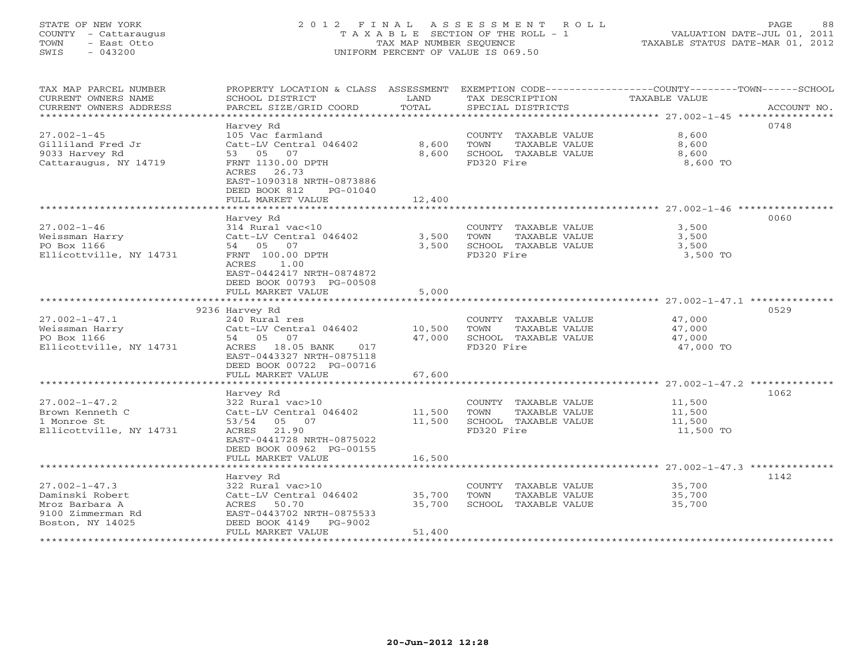### STATE OF NEW YORK 2 0 1 2 F I N A L A S S E S S M E N T R O L L PAGE 88 COUNTY - Cattaraugus T A X A B L E SECTION OF THE ROLL - 1 VALUATION DATE-JUL 01, 2011 TOWN - East Otto TAX MAP NUMBER SEQUENCE TAXABLE STATUS DATE-MAR 01, 2012 SWIS - 043200 UNIFORM PERCENT OF VALUE IS 069.50UNIFORM PERCENT OF VALUE IS 069.50

| TAX MAP PARCEL NUMBER<br>CURRENT OWNERS NAME<br>CURRENT OWNERS ADDRESS<br>************************* | PROPERTY LOCATION & CLASS ASSESSMENT<br>SCHOOL DISTRICT<br>PARCEL SIZE/GRID COORD                               | LAND<br>TOTAL  | TAX DESCRIPTION<br>SPECIAL DISTRICTS                                  | EXEMPTION CODE-----------------COUNTY-------TOWN------SCHOOL<br>TAXABLE VALUE<br>ACCOUNT NO. |
|-----------------------------------------------------------------------------------------------------|-----------------------------------------------------------------------------------------------------------------|----------------|-----------------------------------------------------------------------|----------------------------------------------------------------------------------------------|
|                                                                                                     | Harvey Rd                                                                                                       |                |                                                                       | 0748                                                                                         |
| $27.002 - 1 - 45$<br>Gilliland Fred Jr<br>9033 Harvey Rd                                            | 105 Vac farmland<br>Catt-LV Central 046402<br>53 05 07                                                          | 8,600<br>8,600 | COUNTY TAXABLE VALUE<br>TOWN<br>TAXABLE VALUE<br>SCHOOL TAXABLE VALUE | 8,600<br>8,600<br>8,600                                                                      |
| Cattaraugus, NY 14719                                                                               | FRNT 1130.00 DPTH<br>ACRES 26.73<br>EAST-1090318 NRTH-0873886<br>DEED BOOK 812<br>PG-01040<br>FULL MARKET VALUE | 12,400         | FD320 Fire                                                            | 8,600 TO                                                                                     |
|                                                                                                     | *********************                                                                                           |                |                                                                       |                                                                                              |
|                                                                                                     | Harvey Rd                                                                                                       |                |                                                                       | 0060                                                                                         |
| $27.002 - 1 - 46$                                                                                   | 314 Rural vac<10                                                                                                |                | COUNTY TAXABLE VALUE                                                  | 3,500                                                                                        |
| Weissman Harry                                                                                      | Catt-LV Central 046402                                                                                          | 3,500          | TOWN<br>TAXABLE VALUE                                                 | 3,500                                                                                        |
| PO Box 1166                                                                                         | 54 05 07                                                                                                        | 3,500          | SCHOOL TAXABLE VALUE                                                  | 3,500                                                                                        |
| Ellicottville, NY 14731                                                                             | FRNT 100.00 DPTH                                                                                                |                | FD320 Fire                                                            | 3,500 TO                                                                                     |
|                                                                                                     | 1.00<br>ACRES<br>EAST-0442417 NRTH-0874872<br>DEED BOOK 00793 PG-00508<br>FULL MARKET VALUE                     | 5,000          |                                                                       |                                                                                              |
|                                                                                                     |                                                                                                                 |                |                                                                       |                                                                                              |
|                                                                                                     | 9236 Harvey Rd                                                                                                  |                |                                                                       | 0529                                                                                         |
| $27.002 - 1 - 47.1$                                                                                 | 240 Rural res                                                                                                   |                | COUNTY TAXABLE VALUE                                                  | 47,000                                                                                       |
| Weissman Harry                                                                                      | Catt-LV Central 046402                                                                                          | 10,500         | TOWN<br>TAXABLE VALUE                                                 | 47,000                                                                                       |
| PO Box 1166                                                                                         | 54 05 07                                                                                                        | 47,000         | SCHOOL TAXABLE VALUE                                                  | 47,000                                                                                       |
| Ellicottville, NY 14731                                                                             | ACRES 18.05 BANK<br>017<br>EAST-0443327 NRTH-0875118<br>DEED BOOK 00722 PG-00716                                |                | FD320 Fire                                                            | 47,000 TO                                                                                    |
|                                                                                                     | FULL MARKET VALUE                                                                                               | 67,600         |                                                                       |                                                                                              |
|                                                                                                     | Harvey Rd                                                                                                       |                |                                                                       | 1062                                                                                         |
| $27.002 - 1 - 47.2$                                                                                 | 322 Rural vac>10                                                                                                |                | COUNTY TAXABLE VALUE                                                  | 11,500                                                                                       |
| Brown Kenneth C                                                                                     | Catt-LV Central 046402                                                                                          | 11,500         | TOWN<br>TAXABLE VALUE                                                 | 11,500                                                                                       |
| 1 Monroe St                                                                                         | 53/54<br>05 07                                                                                                  | 11,500         | SCHOOL TAXABLE VALUE                                                  | 11,500                                                                                       |
| Ellicottville, NY 14731                                                                             | ACRES 21.90<br>EAST-0441728 NRTH-0875022<br>DEED BOOK 00962 PG-00155                                            |                | FD320 Fire                                                            | 11,500 TO                                                                                    |
|                                                                                                     | FULL MARKET VALUE                                                                                               | 16,500         |                                                                       |                                                                                              |
|                                                                                                     |                                                                                                                 |                |                                                                       | ******************************* 27.002-1-47.3 **************                                 |
|                                                                                                     | Harvey Rd                                                                                                       |                |                                                                       | 1142                                                                                         |
| $27.002 - 1 - 47.3$                                                                                 | 322 Rural vac>10                                                                                                |                | COUNTY TAXABLE VALUE                                                  | 35,700                                                                                       |
| Daminski Robert                                                                                     | Catt-LV Central 046402                                                                                          | 35,700         | TOWN<br>TAXABLE VALUE                                                 | 35,700                                                                                       |
| Mroz Barbara A                                                                                      | ACRES<br>50.70                                                                                                  | 35,700         | SCHOOL TAXABLE VALUE                                                  | 35,700                                                                                       |
| 9100 Zimmerman Rd                                                                                   | EAST-0443702 NRTH-0875533                                                                                       |                |                                                                       |                                                                                              |
| Boston, NY 14025                                                                                    | DEED BOOK 4149<br>PG-9002<br>FULL MARKET VALUE                                                                  | 51,400         |                                                                       |                                                                                              |
|                                                                                                     |                                                                                                                 |                |                                                                       |                                                                                              |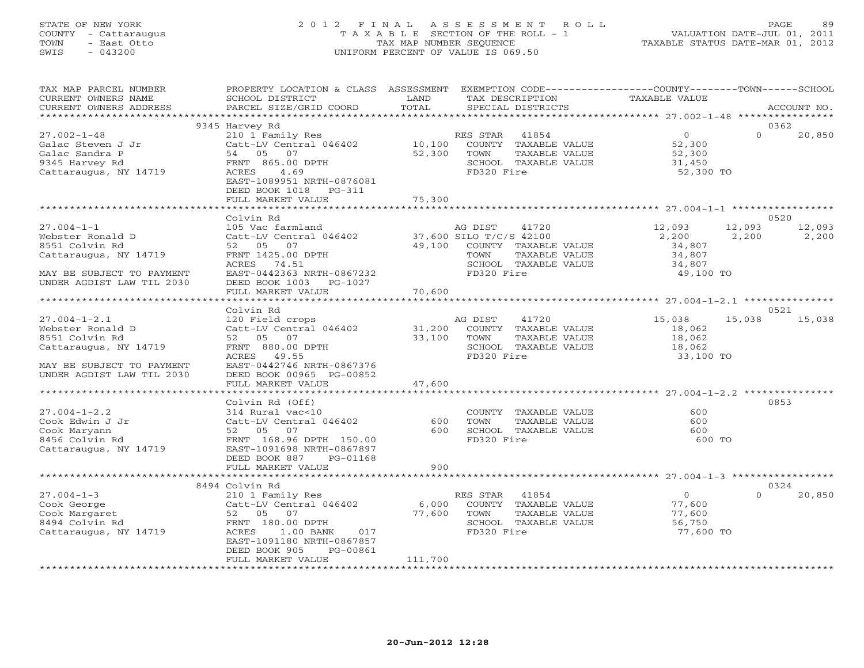#### STATE OF NEW YORK 2 0 1 2 F I N A L A S S E S S M E N T R O L L PAGE 89 COUNTY - Cattaraugus T A X A B L E SECTION OF THE ROLL - 1 VALUATION DATE-JUL 01, 2011 TOWN - East Otto TAX MAP NUMBER SEQUENCE TAXABLE STATUS DATE-MAR 01, 2012 SWIS - 043200 UNIFORM PERCENT OF VALUE IS 069.50UNIFORM PERCENT OF VALUE IS 069.50

| TAX MAP PARCEL NUMBER<br>CURRENT OWNERS NAME | PROPERTY LOCATION & CLASS ASSESSMENT<br>SCHOOL DISTRICT | LAND                | EXEMPTION CODE----------------COUNTY-------TOWN------SCHOOL<br>TAX DESCRIPTION | <b>TAXABLE VALUE</b> |                    |
|----------------------------------------------|---------------------------------------------------------|---------------------|--------------------------------------------------------------------------------|----------------------|--------------------|
| CURRENT OWNERS ADDRESS                       | PARCEL SIZE/GRID COORD                                  | TOTAL               | SPECIAL DISTRICTS                                                              |                      | ACCOUNT NO.        |
|                                              |                                                         |                     |                                                                                |                      |                    |
|                                              | 9345 Harvey Rd                                          |                     |                                                                                |                      | 0362               |
| $27.002 - 1 - 48$                            | 210 1 Family Res                                        |                     | RES STAR<br>41854                                                              | $\overline{0}$       | $\Omega$<br>20,850 |
| Galac Steven J Jr                            | Catt-LV Central 046402                                  | 10,100              | COUNTY TAXABLE VALUE                                                           | 52,300               |                    |
| Galac Sandra P                               | 54 05 07                                                | 52,300              | TOWN<br>TAXABLE VALUE                                                          | 52,300               |                    |
| 9345 Harvey Rd                               | FRNT 865.00 DPTH                                        |                     | SCHOOL TAXABLE VALUE                                                           | 31,450               |                    |
| Cattaraugus, NY 14719                        | 4.69<br>ACRES                                           |                     | FD320 Fire                                                                     | 52,300 TO            |                    |
|                                              | EAST-1089951 NRTH-0876081                               |                     |                                                                                |                      |                    |
|                                              | DEED BOOK 1018<br>$PG-311$                              |                     |                                                                                |                      |                    |
|                                              | FULL MARKET VALUE                                       | 75,300              |                                                                                |                      |                    |
|                                              |                                                         | * * * * * * * * * * |                                                                                |                      |                    |
|                                              | Colvin Rd                                               |                     |                                                                                |                      | 0520               |
| $27.004 - 1 - 1$                             | 105 Vac farmland                                        |                     | AG DIST<br>41720                                                               | 12,093               | 12,093<br>12,093   |
| Webster Ronald D                             | Catt-LV Central 046402                                  |                     | 37,600 SILO T/C/S 42100                                                        | 2,200                | 2,200<br>2,200     |
| 8551 Colvin Rd                               | 52 05 07                                                | 49,100              | COUNTY TAXABLE VALUE                                                           | 34,807               |                    |
| Cattaraugus, NY 14719                        | FRNT 1425.00 DPTH                                       |                     | TOWN<br>TAXABLE VALUE                                                          | 34,807               |                    |
|                                              | ACRES 74.51                                             |                     | SCHOOL TAXABLE VALUE                                                           | 34,807               |                    |
| MAY BE SUBJECT TO PAYMENT                    | EAST-0442363 NRTH-0867232                               |                     | FD320 Fire                                                                     | 49,100 TO            |                    |
| UNDER AGDIST LAW TIL 2030                    | DEED BOOK 1003 PG-1027                                  |                     |                                                                                |                      |                    |
|                                              | FULL MARKET VALUE                                       | 70,600              |                                                                                |                      |                    |
|                                              | ***************************                             |                     |                                                                                |                      |                    |
|                                              | Colvin Rd                                               |                     |                                                                                |                      | 0521               |
| $27.004 - 1 - 2.1$                           | 120 Field crops                                         |                     | AG DIST<br>41720                                                               | 15,038               | 15,038<br>15,038   |
| Webster Ronald D                             | Catt-LV Central 046402                                  | 31,200              | COUNTY TAXABLE VALUE                                                           | 18,062               |                    |
| 8551 Colvin Rd                               | 52 05 07                                                | 33,100              | TOWN<br>TAXABLE VALUE                                                          | 18,062               |                    |
| Cattaraugus, NY 14719                        | FRNT 880.00 DPTH                                        |                     | SCHOOL TAXABLE VALUE                                                           | 18,062               |                    |
|                                              | ACRES 49.55                                             |                     | FD320 Fire                                                                     | 33,100 TO            |                    |
| MAY BE SUBJECT TO PAYMENT                    | EAST-0442746 NRTH-0867376                               |                     |                                                                                |                      |                    |
| UNDER AGDIST LAW TIL 2030                    | DEED BOOK 00965 PG-00852                                |                     |                                                                                |                      |                    |
|                                              | FULL MARKET VALUE                                       | 47,600              |                                                                                |                      |                    |
|                                              |                                                         |                     |                                                                                |                      |                    |
|                                              | Colvin Rd (Off)                                         |                     |                                                                                |                      | 0853               |
| $27.004 - 1 - 2.2$                           | 314 Rural vac<10                                        |                     | COUNTY TAXABLE VALUE                                                           | 600                  |                    |
| Cook Edwin J Jr                              | Catt-LV Central 046402                                  | 600                 | TOWN<br>TAXABLE VALUE                                                          | 600                  |                    |
| Cook Maryann                                 | 52 05<br>07                                             | 600                 | SCHOOL TAXABLE VALUE<br>FD320 Fire                                             | 600<br>600 TO        |                    |
| 8456 Colvin Rd                               | FRNT 168.96 DPTH 150.00                                 |                     |                                                                                |                      |                    |
| Cattaraugus, NY 14719                        | EAST-1091698 NRTH-0867897<br>PG-01168                   |                     |                                                                                |                      |                    |
|                                              | DEED BOOK 887<br>FULL MARKET VALUE                      | 900                 |                                                                                |                      |                    |
|                                              |                                                         |                     |                                                                                |                      |                    |
|                                              | 8494 Colvin Rd                                          |                     |                                                                                |                      | 0324               |
| $27.004 - 1 - 3$                             | 210 1 Family Res                                        |                     | RES STAR<br>41854                                                              | $\overline{0}$       | 20,850<br>$\Omega$ |
| Cook George                                  | Catt-LV Central 046402                                  | 6,000               | COUNTY TAXABLE VALUE                                                           | 77,600               |                    |
| Cook Margaret                                | 52 05 07                                                | 77,600              | TOWN<br>TAXABLE VALUE                                                          | 77,600               |                    |
| 8494 Colvin Rd                               | FRNT 180.00 DPTH                                        |                     | SCHOOL TAXABLE VALUE                                                           | 56,750               |                    |
| Cattaraugus, NY 14719                        | ACRES<br>$1.00$ BANK<br>017                             |                     | FD320 Fire                                                                     | 77,600 TO            |                    |
|                                              | EAST-1091180 NRTH-0867857                               |                     |                                                                                |                      |                    |
|                                              | DEED BOOK 905<br>PG-00861                               |                     |                                                                                |                      |                    |
|                                              | FULL MARKET VALUE                                       | 111,700             |                                                                                |                      |                    |
|                                              |                                                         |                     |                                                                                |                      |                    |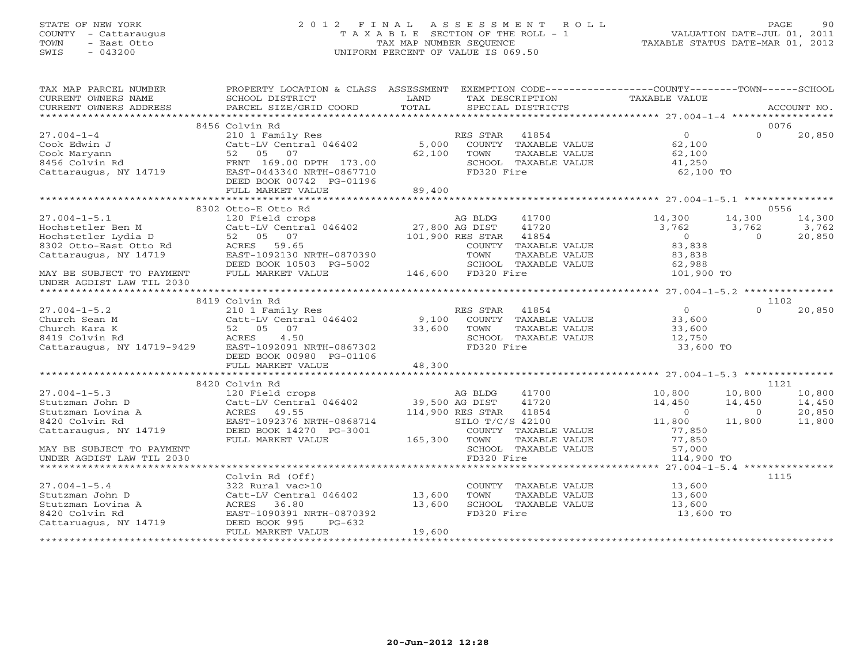### STATE OF NEW YORK 2 0 1 2 F I N A L A S S E S S M E N T R O L L PAGE 90 COUNTY - Cattaraugus T A X A B L E SECTION OF THE ROLL - 1 VALUATION DATE-JUL 01, 2011 TOWN - East Otto TAX MAP NUMBER SEQUENCE TAXABLE STATUS DATE-MAR 01, 2012 SWIS - 043200 UNIFORM PERCENT OF VALUE IS 069.50UNIFORM PERCENT OF VALUE IS 069.50

| TAX MAP PARCEL NUMBER                   | PROPERTY LOCATION & CLASS ASSESSMENT EXEMPTION CODE---------------COUNTY-------TOWN------SCHOOL |              |                                               |                              |               |             |
|-----------------------------------------|-------------------------------------------------------------------------------------------------|--------------|-----------------------------------------------|------------------------------|---------------|-------------|
| CURRENT OWNERS NAME                     | SCHOOL DISTRICT                                                                                 | LAND         | TAX DESCRIPTION                               | TAXABLE VALUE                |               |             |
| CURRENT OWNERS ADDRESS                  | PARCEL SIZE/GRID COORD                                                                          | TOTAL        | SPECIAL DISTRICTS                             |                              |               | ACCOUNT NO. |
|                                         | 8456 Colvin Rd                                                                                  |              |                                               |                              |               | 0076        |
| $27.004 - 1 - 4$                        | 210 1 Family Res                                                                                |              | RES STAR 41854                                | $\overline{0}$               | $\Omega$      | 20,850      |
| Cook Edwin J                            | Catt-LV Central 046402                                                                          |              | 5,000 COUNTY TAXABLE VALUE                    | 62,100                       |               |             |
| Cook Maryann                            | 52 05 07                                                                                        | 62,100       | TOWN<br>TAXABLE VALUE                         | 62,100                       |               |             |
| 8456 Colvin Rd<br>Cattaraugus, NY 14719 | FRNT 169.00 DPTH 173.00                                                                         |              | SCHOOL TAXABLE VALUE                          | 41,250                       |               |             |
|                                         | EAST-0443340 NRTH-0867710                                                                       |              | FD320 Fire                                    | 62,100 TO                    |               |             |
|                                         | DEED BOOK 00742 PG-01196                                                                        |              |                                               |                              |               |             |
|                                         | FULL MARKET VALUE                                                                               | 89,400       |                                               |                              |               |             |
|                                         |                                                                                                 |              |                                               |                              |               |             |
|                                         | 8302 Otto-E Otto Rd                                                                             |              |                                               |                              |               | 0556        |
| $27.004 - 1 - 5.1$                      |                                                                                                 |              | 41700                                         | 14,300                       | 14,300        | 14,300      |
| Hochstetler Ben M                       |                                                                                                 |              | 41720                                         | 3,762                        | 3,762         | 3,762       |
| Hochstetler Lydia D                     | 52 05 07                                                                                        |              | 101,900 RES STAR 41854                        | $\overline{0}$               | $\frac{1}{0}$ | 20,850      |
| 8302 Otto-East Otto Rd                  | ACRES 59.65                                                                                     |              | COUNTY TAXABLE VALUE                          | 83,838                       |               |             |
| Cattaraugus, NY 14719                   | EAST-1092130 NRTH-0870390                                                                       |              | TOWN<br>TAXABLE VALUE                         | 83,838<br>४३, ४३०<br>62, 988 |               |             |
|                                         | DEED BOOK 10503 PG-5002                                                                         |              | SCHOOL TAXABLE VALUE                          |                              |               |             |
| MAY BE SUBJECT TO PAYMENT               | FULL MARKET VALUE                                                                               |              | 146,600 FD320 Fire                            | 101,900 TO                   |               |             |
| UNDER AGDIST LAW TIL 2030               |                                                                                                 |              |                                               |                              |               |             |
|                                         | 8419 Colvin Rd                                                                                  |              |                                               |                              |               | 1102        |
| $27.004 - 1 - 5.2$                      |                                                                                                 |              |                                               | $\overline{0}$               | $\Omega$      | 20,850      |
| Church Sean M                           | 210 1 Family Res RES STAR 41854<br>Catt-LV Central 046402 9,100 COUNTY TAXABLE VALUE            |              |                                               | 33,600                       |               |             |
| Church Kara K                           | $33,600$ TOWN<br>52 05 07                                                                       |              | TAXABLE VALUE                                 |                              |               |             |
| 52 (<br>ACRES<br>8419 Colvin Rd         | 4.50                                                                                            |              | SCHOOL TAXABLE VALUE                          | 33,600<br>12,750             |               |             |
| Cattaraugus, NY 14719-9429              | EAST-1092091 NRTH-0867302                                                                       |              | FD320 Fire                                    | 33,600 TO                    |               |             |
|                                         | DEED BOOK 00980 PG-01106                                                                        |              |                                               |                              |               |             |
|                                         | FULL MARKET VALUE                                                                               | 48,300       |                                               |                              |               |             |
|                                         |                                                                                                 |              |                                               |                              |               |             |
|                                         | 8420 Colvin Rd                                                                                  |              |                                               |                              |               | 1121        |
| $27.004 - 1 - 5.3$                      | Colvin Rd<br>120 Field crops AG BLDG<br>Catt-LV Central 046402 39,500 AG DIST                   |              | 41700                                         | 10,800                       | 10,800        | 10,800      |
| Stutzman John D                         |                                                                                                 |              | 41720                                         | 14,450                       | 14,450        | 14,450      |
| Stutzman Lovina A                       |                                                                                                 |              | 114,900 RES STAR<br>41854                     | $\overline{0}$               | $\sim$ 0      | 20,850      |
| 8420 Colvin Rd                          | Catt-Lv Com<br>EAST-1092376 NRTH-0868714                                                        |              | SILO T/C/S 42100                              | 11,800                       | 11,800        | 11,800      |
| Cattaraugus, NY 14719                   | DEED BOOK 14270 PG-3001                                                                         |              | COUNTY TAXABLE VALUE                          | 77,850                       |               |             |
|                                         | FULL MARKET VALUE                                                                               | 165,300 TOWN | TAXABLE VALUE                                 | 77,850                       |               |             |
| MAY BE SUBJECT TO PAYMENT               |                                                                                                 |              | SCHOOL TAXABLE VALUE                          | 57,000                       |               |             |
| UNDER AGDIST LAW TIL 2030               |                                                                                                 |              | FD320 Fire                                    | 114,900 TO                   |               |             |
|                                         |                                                                                                 |              |                                               |                              |               |             |
|                                         | Colvin Rd (Off)                                                                                 |              |                                               |                              |               | 1115        |
| $27.004 - 1 - 5.4$                      | 322 Rural vac>10<br>Catt-LV Central 046402 13,600                                               |              | COUNTY TAXABLE VALUE<br>TOWN<br>TAXABLE VALUE | 13,600                       |               |             |
| Stutzman John D<br>Stutzman Lovina A    | ACRES 36.80                                                                                     | 13,600       | SCHOOL TAXABLE VALUE                          | 13,600<br>13,600             |               |             |
| 8420 Colvin Rd                          | EAST-1090391 NRTH-0870392                                                                       |              | FD320 Fire                                    | 13,600 TO                    |               |             |
| Cattaruagus, NY 14719                   | DEED BOOK 995<br>$PG-632$                                                                       |              |                                               |                              |               |             |
|                                         | FULL MARKET VALUE                                                                               | 19,600       |                                               |                              |               |             |
|                                         |                                                                                                 |              |                                               |                              |               |             |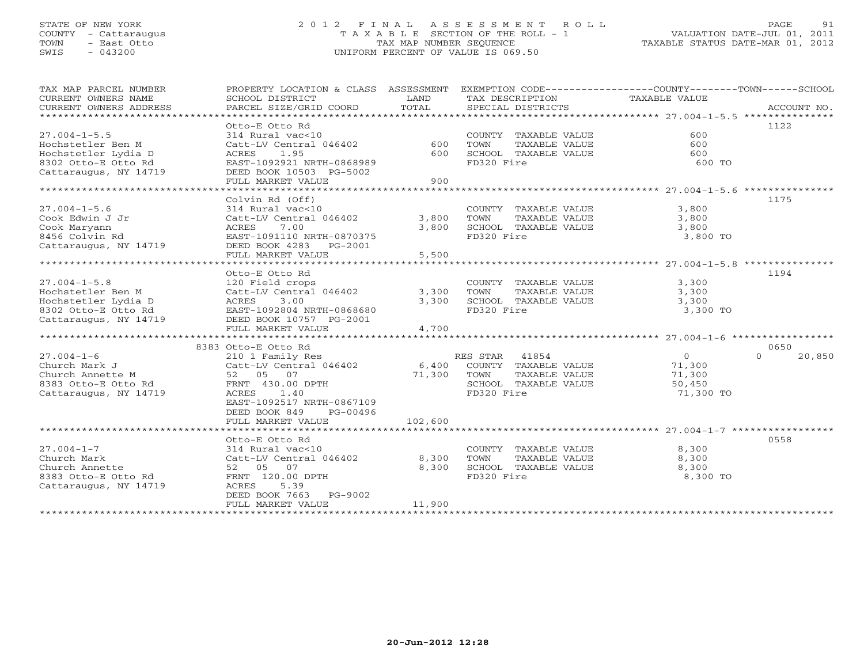### STATE OF NEW YORK 2 0 1 2 F I N A L A S S E S S M E N T R O L L PAGE 91 COUNTY - Cattaraugus T A X A B L E SECTION OF THE ROLL - 1 VALUATION DATE-JUL 01, 2011 TOWN - East Otto TAX MAP NUMBER SEQUENCE TAXABLE STATUS DATE-MAR 01, 2012 SWIS - 043200 UNIFORM PERCENT OF VALUE IS 069.50UNIFORM PERCENT OF VALUE IS 069.50

| TAX MAP PARCEL NUMBER<br>CURRENT OWNERS NAME<br>CURRENT OWNERS ADDRESS | PROPERTY LOCATION & CLASS ASSESSMENT<br>SCHOOL DISTRICT<br>PARCEL SIZE/GRID COORD | LAND<br>TOTAL |                | SPECIAL DISTRICTS    | EXEMPTION CODE-----------------COUNTY-------TOWN------SCHOOL<br>TAX DESCRIPTION TAXABLE VALUE | ACCOUNT NO.        |
|------------------------------------------------------------------------|-----------------------------------------------------------------------------------|---------------|----------------|----------------------|-----------------------------------------------------------------------------------------------|--------------------|
|                                                                        |                                                                                   |               |                |                      |                                                                                               |                    |
|                                                                        | Otto-E Otto Rd                                                                    |               |                |                      |                                                                                               | 1122               |
| $27.004 - 1 - 5.5$                                                     | 314 Rural vac<10                                                                  |               |                | COUNTY TAXABLE VALUE | 600                                                                                           |                    |
| Hochstetler Ben M                                                      | Catt-LV Central 046402                                                            | 600           | TOWN           | TAXABLE VALUE        | 600                                                                                           |                    |
| Hochstetler Lydia D                                                    | ACRES<br>1.95                                                                     | 600           |                | SCHOOL TAXABLE VALUE | 600                                                                                           |                    |
| 8302 Otto-E Otto Rd                                                    | EAST-1092921 NRTH-0868989                                                         |               | FD320 Fire     |                      | 600 TO                                                                                        |                    |
| Cattaraugus, NY 14719                                                  | DEED BOOK 10503 PG-5002                                                           |               |                |                      |                                                                                               |                    |
|                                                                        | FULL MARKET VALUE                                                                 | 900           |                |                      |                                                                                               |                    |
|                                                                        |                                                                                   |               |                |                      |                                                                                               |                    |
|                                                                        | Colvin Rd (Off)                                                                   |               |                |                      |                                                                                               | 1175               |
| $27.004 - 1 - 5.6$                                                     | 314 Rural vac<10                                                                  |               |                | COUNTY TAXABLE VALUE | 3,800                                                                                         |                    |
| Cook Edwin J Jr                                                        | Catt-LV Central 046402                                                            | 3,800         | TOWN           | TAXABLE VALUE        | 3,800                                                                                         |                    |
| Cook Maryann                                                           | 7.00<br>ACRES                                                                     | 3,800         |                | SCHOOL TAXABLE VALUE | 3,800                                                                                         |                    |
| 8456 Colvin Rd                                                         | EAST-1091110 NRTH-0870375                                                         |               | FD320 Fire     |                      | 3,800 TO                                                                                      |                    |
| Cattaraugus, NY 14719                                                  | DEED BOOK 4283 PG-2001                                                            |               |                |                      |                                                                                               |                    |
|                                                                        | FULL MARKET VALUE                                                                 | 5,500         |                |                      |                                                                                               |                    |
|                                                                        |                                                                                   |               |                |                      |                                                                                               |                    |
|                                                                        | Otto-E Otto Rd                                                                    |               |                |                      |                                                                                               | 1194               |
| $27.004 - 1 - 5.8$                                                     | 120 Field crops                                                                   |               |                |                      | COUNTY TAXABLE VALUE 3,300                                                                    |                    |
| Hochstetler Ben M                                                      | Catt-LV Central 046402                                                            | 3,300         | TOWN           | TAXABLE VALUE        | 3,300                                                                                         |                    |
| Hochstetler Lydia D                                                    | ACRES 3.00                                                                        | 3,300         |                | SCHOOL TAXABLE VALUE | 3,300                                                                                         |                    |
| 8302 Otto-E Otto Rd                                                    | EAST-1092804 NRTH-0868680                                                         |               | FD320 Fire     |                      | 3,300 TO                                                                                      |                    |
| Cattaraugus, NY 14719                                                  | DEED BOOK 10757 PG-2001                                                           |               |                |                      |                                                                                               |                    |
|                                                                        | FULL MARKET VALUE                                                                 | 4,700         |                |                      |                                                                                               |                    |
|                                                                        |                                                                                   |               |                |                      |                                                                                               |                    |
|                                                                        | 8383 Otto-E Otto Rd                                                               |               |                |                      |                                                                                               | 0650               |
| $27.004 - 1 - 6$                                                       | 210 1 Family Res                                                                  |               | RES STAR 41854 |                      | $\overline{O}$                                                                                | $\Omega$<br>20,850 |
| Church Mark J                                                          | Catt-LV Central 046402                                                            | 6,400         |                | COUNTY TAXABLE VALUE | 71,300                                                                                        |                    |
| Church Annette M                                                       |                                                                                   | 71,300        | TOWN           | TAXABLE VALUE        | 71,300                                                                                        |                    |
| 8383 Otto-E Otto Rd FRNT 430.00 DPTH                                   | $Catt-Lv$ -                                                                       |               |                | SCHOOL TAXABLE VALUE | 50,450                                                                                        |                    |
| Cattaraugus, NY 14719                                                  | ACRES<br>1.40                                                                     |               | FD320 Fire     |                      | 71,300 TO                                                                                     |                    |
|                                                                        | EAST-1092517 NRTH-0867109                                                         |               |                |                      |                                                                                               |                    |
|                                                                        | DEED BOOK 849<br>PG-00496                                                         |               |                |                      |                                                                                               |                    |
|                                                                        | FULL MARKET VALUE                                                                 | 102,600       |                |                      |                                                                                               |                    |
|                                                                        |                                                                                   |               |                |                      |                                                                                               |                    |
|                                                                        | Otto-E Otto Rd                                                                    |               |                |                      |                                                                                               | 0558               |
| $27.004 - 1 - 7$                                                       | 314 Rural vac<10                                                                  |               |                | COUNTY TAXABLE VALUE | 8,300                                                                                         |                    |
| Church Mark                                                            | Catt-LV Central 046402                                                            | 8,300         | TOWN           | TAXABLE VALUE        | 8,300                                                                                         |                    |
| Church Annette                                                         | 52 05<br>07                                                                       | 8,300         |                | SCHOOL TAXABLE VALUE | 8,300                                                                                         |                    |
| 8383 Otto-E Otto Rd                                                    | FRNT 120.00 DPTH                                                                  |               | FD320 Fire     |                      | 8,300 TO                                                                                      |                    |
| Cattaraugus, NY 14719                                                  | ACRES<br>5.39                                                                     |               |                |                      |                                                                                               |                    |
|                                                                        | DEED BOOK 7663<br>PG-9002                                                         |               |                |                      |                                                                                               |                    |
|                                                                        | FULL MARKET VALUE                                                                 | 11,900        |                |                      |                                                                                               |                    |
|                                                                        |                                                                                   |               |                |                      |                                                                                               |                    |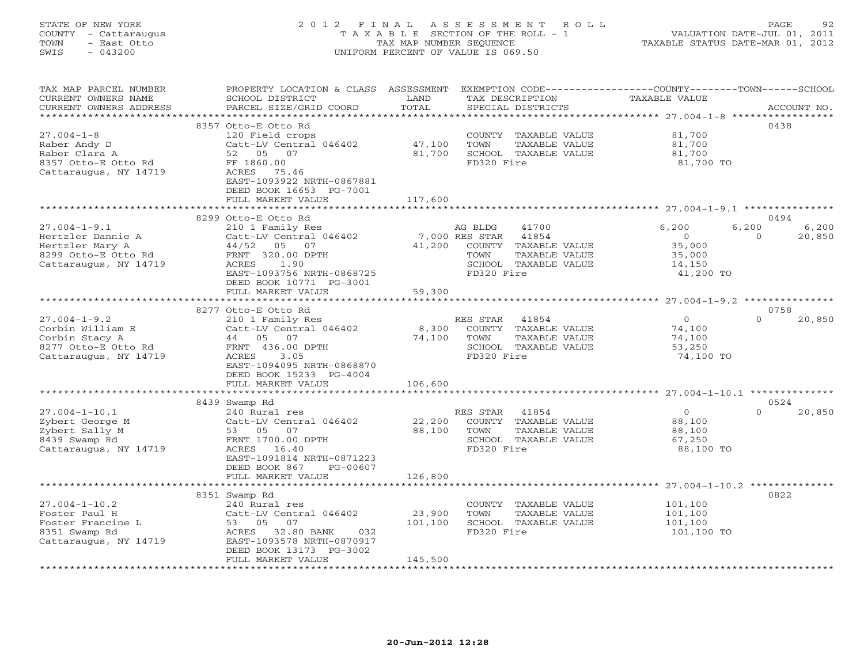### STATE OF NEW YORK 2 0 1 2 F I N A L A S S E S S M E N T R O L L PAGE 92 COUNTY - Cattaraugus T A X A B L E SECTION OF THE ROLL - 1 VALUATION DATE-JUL 01, 2011 TOWN - East Otto TAX MAP NUMBER SEQUENCE TAXABLE STATUS DATE-MAR 01, 2012 SWIS - 043200 UNIFORM PERCENT OF VALUE IS 069.50UNIFORM PERCENT OF VALUE IS 069.50

| TAX MAP PARCEL NUMBER<br>CURRENT OWNERS NAME<br>CURRENT OWNERS ADDRESS<br>***********************          | PROPERTY LOCATION & CLASS ASSESSMENT EXEMPTION CODE---------------COUNTY-------TOWN-----SCHOOL<br>SCHOOL DISTRICT<br>PARCEL SIZE/GRID COORD                                                           | LAND<br>TOTAL                      | TAX DESCRIPTION<br>SPECIAL DISTRICTS                                                                                | TAXABLE VALUE                                                      | ACCOUNT NO.                                  |
|------------------------------------------------------------------------------------------------------------|-------------------------------------------------------------------------------------------------------------------------------------------------------------------------------------------------------|------------------------------------|---------------------------------------------------------------------------------------------------------------------|--------------------------------------------------------------------|----------------------------------------------|
| $27.004 - 1 - 8$<br>Raber Andy D<br>Raber Clara A<br>8357 Otto-E Otto Rd<br>Cattaraugus, NY 14719          | 8357 Otto-E Otto Rd<br>120 Field crops<br>Catt-LV Central 046402<br>52 05 07<br>FF 1860.00<br>ACRES 75.46<br>EAST-1093922 NRTH-0867881<br>DEED BOOK 16653 PG-7001<br>FULL MARKET VALUE                | 47,100<br>81,700<br>117,600        | COUNTY TAXABLE VALUE<br>TOWN<br>TAXABLE VALUE<br>SCHOOL TAXABLE VALUE<br>FD320 Fire                                 | 81,700<br>81,700<br>81,700<br>81,700 TO                            | 0438                                         |
|                                                                                                            |                                                                                                                                                                                                       |                                    |                                                                                                                     |                                                                    |                                              |
| $27.004 - 1 - 9.1$<br>Hertzler Dannie A<br>Hertzler Mary A<br>8299 Otto-E Otto Rd<br>Cattaraugus, NY 14719 | 8299 Otto-E Otto Rd<br>210 1 Family Res<br>Catt-LV Central 046402<br>44/52<br>05 07<br>FRNT 320.00 DPTH<br>ACRES<br>1.90<br>EAST-1093756 NRTH-0868725<br>DEED BOOK 10771 PG-3001<br>FULL MARKET VALUE | 7,000 RES STAR<br>41,200<br>59,300 | 41700<br>AG BLDG<br>41854<br>COUNTY TAXABLE VALUE<br>TOWN<br>TAXABLE VALUE<br>SCHOOL TAXABLE VALUE<br>FD320 Fire    | 6,200<br>$\overline{0}$<br>35,000<br>35,000<br>14,150<br>41,200 TO | 0494<br>6,200<br>6,200<br>20,850<br>$\Omega$ |
|                                                                                                            |                                                                                                                                                                                                       |                                    |                                                                                                                     |                                                                    |                                              |
| $27.004 - 1 - 9.2$<br>Corbin William E<br>Corbin Stacy A<br>8277 Otto-E Otto Rd<br>Cattaraugus, NY 14719   | 8277 Otto-E Otto Rd<br>210 1 Family Res<br>Catt-LV Central 046402<br>44 05 07<br>FRNT 436.00 DPTH<br>ACRES<br>3.05<br>EAST-1094095 NRTH-0868870<br>DEED BOOK 15233 PG-4004<br>FULL MARKET VALUE       | 8,300<br>74,100<br>106,600         | RES STAR 41854<br>COUNTY TAXABLE VALUE<br>TOWN<br>TAXABLE VALUE<br>SCHOOL TAXABLE VALUE<br>FD320 Fire               | $\overline{0}$<br>74,100<br>74,100<br>53,250<br>74,100 TO          | 0758<br>$\Omega$<br>20,850                   |
|                                                                                                            | 8439 Swamp Rd                                                                                                                                                                                         |                                    |                                                                                                                     |                                                                    | 0524                                         |
| $27.004 - 1 - 10.1$<br>Zybert George M<br>Zybert Sally M<br>8439 Swamp Rd<br>Cattaraugus, NY 14719         | 240 Rural res<br>Catt-LV Central 046402<br>53 05<br>07<br>FRNT 1700.00 DPTH<br>ACRES 16.40<br>EAST-1091814 NRTH-0871223<br>DEED BOOK 867<br>PG-00607                                                  | 22,200<br>88,100                   | RES STAR 41854<br>COUNTY TAXABLE VALUE<br>TAXABLE VALUE<br>TOWN<br>SCHOOL TAXABLE VALUE<br>FD320 Fire               | $\overline{0}$<br>88,100<br>88,100<br>67,250<br>88,100 TO          | $\Omega$<br>20,850                           |
|                                                                                                            | FULL MARKET VALUE                                                                                                                                                                                     | 126,800                            |                                                                                                                     |                                                                    |                                              |
| $27.004 - 1 - 10.2$<br>Foster Paul H<br>Foster Francine L<br>8351 Swamp Rd<br>Cattaraugus, NY 14719        | 8351 Swamp Rd<br>240 Rural res<br>Catt-LV Central 046402<br>53 05<br>07<br>ACRES 32.80 BANK<br>032<br>EAST-1093578 NRTH-0870917<br>DEED BOOK 13173 PG-3002<br>FULL MARKET VALUE                       | 23,900<br>101,100<br>145,500       | COUNTY TAXABLE VALUE<br>TOWN<br>TAXABLE VALUE<br>SCHOOL TAXABLE VALUE<br>FD320 Fire<br>**************************** | 101,100<br>101,100<br>101,100<br>101,100 TO                        | 0822                                         |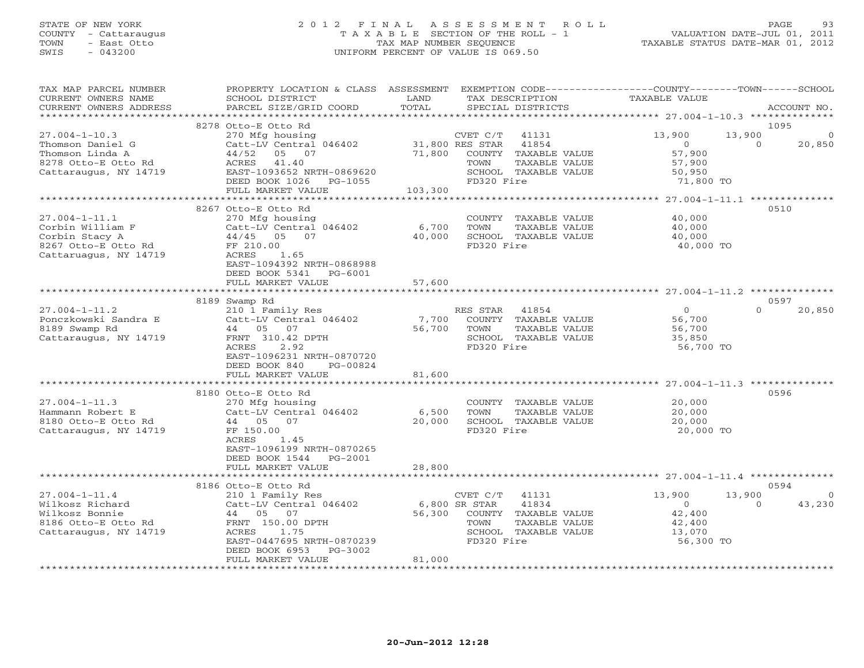# STATE OF NEW YORK 2 0 1 2 F I N A L A S S E S S M E N T R O L L PAGE 93 COUNTY - Cattaraugus T A X A B L E SECTION OF THE ROLL - 1 VALUATION DATE-JUL 01, 2011 TOWN - East Otto TAX MAP NUMBER SEQUENCE TAXABLE STATUS DATE-MAR 01, 2012 SWIS - 043200 UNIFORM PERCENT OF VALUE IS 069.50

| TAX MAP PARCEL NUMBER<br>CURRENT OWNERS NAME<br>CURRENT OWNERS ADDRESS                                     | PROPERTY LOCATION & CLASS ASSESSMENT<br>SCHOOL DISTRICT<br>PARCEL SIZE/GRID COORD                                                                                                           | LAND<br>TOTAL                  | TAX DESCRIPTION<br>SPECIAL DISTRICTS                                                                                              | EXEMPTION CODE-----------------COUNTY-------TOWN------SCHOOL<br>TAXABLE VALUE |                            | ACCOUNT NO.       |
|------------------------------------------------------------------------------------------------------------|---------------------------------------------------------------------------------------------------------------------------------------------------------------------------------------------|--------------------------------|-----------------------------------------------------------------------------------------------------------------------------------|-------------------------------------------------------------------------------|----------------------------|-------------------|
| ***********************                                                                                    |                                                                                                                                                                                             |                                |                                                                                                                                   |                                                                               |                            |                   |
| $27.004 - 1 - 10.3$<br>Thomson Daniel G<br>Thomson Linda A<br>8278 Otto-E Otto Rd<br>Cattaraugus, NY 14719 | 8278 Otto-E Otto Rd<br>270 Mfg housing<br>Catt-LV Central 046402<br>44/52<br>05 07<br>ACRES 41.40<br>EAST-1093652 NRTH-0869620<br>DEED BOOK 1026 PG-1055<br>FULL MARKET VALUE               | 71,800<br>103,300              | CVET C/T<br>41131<br>31,800 RES STAR 41854<br>COUNTY TAXABLE VALUE<br>TAXABLE VALUE<br>TOWN<br>SCHOOL TAXABLE VALUE<br>FD320 Fire | 13,900<br>$\overline{0}$<br>57,900<br>57,900<br>50,950<br>71,800 TO           | 1095<br>13,900<br>$\Omega$ | 20,850            |
|                                                                                                            |                                                                                                                                                                                             |                                |                                                                                                                                   |                                                                               |                            |                   |
| $27.004 - 1 - 11.1$<br>Corbin William F<br>Corbin Stacy A<br>8267 Otto-E Otto Rd<br>Cattaruagus, NY 14719  | 8267 Otto-E Otto Rd<br>270 Mfg housing<br>Catt-LV Central 046402<br>44/45 05 07<br>FF 210.00<br>1.65<br>ACRES<br>EAST-1094392 NRTH-0868988<br>DEED BOOK 5341 PG-6001<br>FULL MARKET VALUE   | 6,700<br>40,000<br>57,600      | COUNTY TAXABLE VALUE<br>TOWN<br>TAXABLE VALUE<br>SCHOOL TAXABLE VALUE<br>FD320 Fire                                               | 40,000<br>40,000<br>40,000<br>40,000 TO                                       | 0510                       |                   |
|                                                                                                            | * * * * * * * * * * * * * *                                                                                                                                                                 |                                |                                                                                                                                   |                                                                               |                            |                   |
| $27.004 - 1 - 11.2$<br>Ponczkowski Sandra E<br>8189 Swamp Rd<br>Cattaraugus, NY 14719                      | 8189 Swamp Rd<br>210 1 Family Res<br>Catt-LV Central 046402<br>44 05 07<br>FRNT 310.42 DPTH<br>2.92<br>ACRES<br>EAST-1096231 NRTH-0870720<br>DEED BOOK 840<br>PG-00824<br>FULL MARKET VALUE | 7,700<br>56,700 TOWN<br>81,600 | RES STAR 41854<br>COUNTY TAXABLE VALUE<br>TAXABLE VALUE<br>SCHOOL TAXABLE VALUE<br>FD320 Fire                                     | 0<br>56,700<br>56,700<br>35,850<br>56,700 TO                                  | 0597<br>$\Omega$           | 20,850            |
|                                                                                                            |                                                                                                                                                                                             |                                |                                                                                                                                   |                                                                               |                            |                   |
| $27.004 - 1 - 11.3$<br>Hammann Robert E<br>8180 Otto-E Otto Rd<br>Cattaraugus, NY 14719                    | 8180 Otto-E Otto Rd<br>270 Mfg housing<br>Catt-LV Central 046402<br>44 05 07<br>FF 150.00<br>ACRES<br>1.45<br>EAST-1096199 NRTH-0870265<br>DEED BOOK 1544 PG-2001                           | 6,500<br>20,000                | COUNTY TAXABLE VALUE<br>TOWN<br>TAXABLE VALUE<br>SCHOOL TAXABLE VALUE<br>FD320 Fire                                               | 20,000<br>20,000<br>20,000<br>20,000 TO                                       | 0596                       |                   |
|                                                                                                            | FULL MARKET VALUE                                                                                                                                                                           | 28,800                         |                                                                                                                                   |                                                                               |                            |                   |
|                                                                                                            | 8186 Otto-E Otto Rd                                                                                                                                                                         |                                |                                                                                                                                   |                                                                               | 0594                       |                   |
| $27.004 - 1 - 11.4$<br>Wilkosz Richard<br>Wilkosz Bonnie<br>8186 Otto-E Otto Rd<br>Cattaraugus, NY 14719   | 210 1 Family Res<br>Catt-LV Central 046402<br>44 05 07<br>FRNT 150.00 DPTH<br>ACRES<br>1.75<br>EAST-0447695 NRTH-0870239<br>DEED BOOK 6953<br>PG-3002                                       | 6,800 SR STAR                  | CVET C/T<br>41131<br>41834<br>56,300 COUNTY TAXABLE VALUE<br>TOWN<br>TAXABLE VALUE<br>SCHOOL TAXABLE VALUE<br>FD320 Fire          | 13,900<br>$\circ$<br>42,400<br>42,400<br>13,070<br>56,300 TO                  | 13,900<br>$\Omega$         | $\circ$<br>43,230 |
|                                                                                                            | FULL MARKET VALUE                                                                                                                                                                           | 81,000                         |                                                                                                                                   |                                                                               |                            |                   |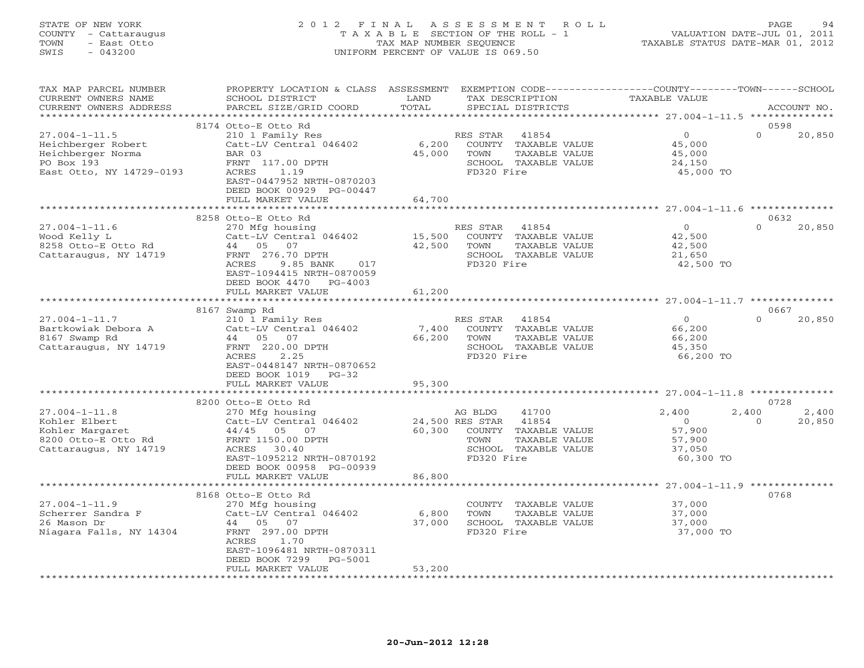#### STATE OF NEW YORK 2 0 1 2 F I N A L A S S E S S M E N T R O L L PAGE 94 COUNTY - Cattaraugus T A X A B L E SECTION OF THE ROLL - 1 VALUATION DATE-JUL 01, 2011 TOWN - East Otto TAX MAP NUMBER SEQUENCE TAXABLE STATUS DATE-MAR 01, 2012 SWIS - 043200 UNIFORM PERCENT OF VALUE IS 069.50UNIFORM PERCENT OF VALUE IS 069.50

| TAX MAP PARCEL NUMBER<br>CURRENT OWNERS NAME<br>CURRENT OWNERS ADDRESS                                   | PROPERTY LOCATION & CLASS ASSESSMENT<br>SCHOOL DISTRICT<br>PARCEL SIZE/GRID COORD                                                                                         | LAND<br>TOTAL             | TAX DESCRIPTION<br>SPECIAL DISTRICTS                                                                                             | EXEMPTION CODE-----------------COUNTY-------TOWN------SCHOOL<br><b>TAXABLE VALUE</b> | ACCOUNT NO.                 |
|----------------------------------------------------------------------------------------------------------|---------------------------------------------------------------------------------------------------------------------------------------------------------------------------|---------------------------|----------------------------------------------------------------------------------------------------------------------------------|--------------------------------------------------------------------------------------|-----------------------------|
|                                                                                                          |                                                                                                                                                                           |                           |                                                                                                                                  |                                                                                      |                             |
| $27.004 - 1 - 11.5$<br>Heichberger Robert<br>Heichberger Norma<br>PO Box 193<br>East Otto, NY 14729-0193 | 8174 Otto-E Otto Rd<br>210 1 Family Res<br>Catt-LV Central 046402<br>BAR 03<br>FRNT 117.00 DPTH<br>1.19<br>ACRES<br>EAST-0447952 NRTH-0870203<br>DEED BOOK 00929 PG-00447 | 6,200<br>45,000           | RES STAR<br>41854<br>COUNTY TAXABLE VALUE<br>TOWN<br>TAXABLE VALUE<br>SCHOOL TAXABLE VALUE<br>FD320 Fire                         | $\circ$<br>45,000<br>45,000<br>24,150<br>45,000 TO                                   | 0598<br>$\Omega$<br>20,850  |
|                                                                                                          | FULL MARKET VALUE<br>************************                                                                                                                             | 64,700<br>**************  |                                                                                                                                  |                                                                                      |                             |
|                                                                                                          | 8258 Otto-E Otto Rd                                                                                                                                                       |                           |                                                                                                                                  |                                                                                      | 0632                        |
| $27.004 - 1 - 11.6$<br>Wood Kelly L<br>8258 Otto-E Otto Rd<br>Cattaraugus, NY 14719                      | 270 Mfg housing<br>Catt-LV Central 046402<br>44 05 07<br>FRNT 276.70 DPTH<br>ACRES<br>9.85 BANK<br>017<br>EAST-1094415 NRTH-0870059<br>DEED BOOK 4470 PG-4003             | 15,500<br>42,500          | RES STAR 41854<br>COUNTY TAXABLE VALUE<br>TOWN<br>TAXABLE VALUE<br>SCHOOL TAXABLE VALUE<br>FD320 Fire                            | $\overline{0}$<br>42,500<br>42,500<br>21,650<br>42,500 TO                            | $\Omega$<br>20,850          |
|                                                                                                          | FULL MARKET VALUE<br>************************                                                                                                                             | 61,200                    |                                                                                                                                  |                                                                                      |                             |
|                                                                                                          | 8167 Swamp Rd                                                                                                                                                             |                           |                                                                                                                                  |                                                                                      | 0667                        |
| $27.004 - 1 - 11.7$<br>Bartkowiak Debora A<br>8167 Swamp Rd<br>Cattaraugus, NY 14719                     | 210 1 Family Res<br>Catt-LV Central 046402<br>44 05 07<br>FRNT 220.00 DPTH<br>ACRES<br>2.25<br>EAST-0448147 NRTH-0870652<br>DEED BOOK 1019<br>$PG-32$                     | 7,400<br>66,200           | RES STAR 41854<br>COUNTY TAXABLE VALUE<br>TOWN<br>TAXABLE VALUE<br>SCHOOL TAXABLE VALUE<br>FD320 Fire                            | $\overline{0}$<br>66,200<br>66,200<br>45,350<br>66,200 TO                            | $\Omega$<br>20,850          |
|                                                                                                          | FULL MARKET VALUE                                                                                                                                                         | 95,300                    |                                                                                                                                  |                                                                                      |                             |
|                                                                                                          | 8200 Otto-E Otto Rd                                                                                                                                                       |                           |                                                                                                                                  |                                                                                      | 0728                        |
| $27.004 - 1 - 11.8$<br>Kohler Elbert<br>Kohler Margaret<br>8200 Otto-E Otto Rd<br>Cattaraugus, NY 14719  | 270 Mfg housing<br>Catt-LV Central 046402<br>44/45 05 07<br>FRNT 1150.00 DPTH<br>ACRES<br>30.40<br>EAST-1095212 NRTH-0870192<br>DEED BOOK 00958 PG-00939                  | 60,300                    | AG BLDG<br>41700<br>24,500 RES STAR 41854<br>COUNTY TAXABLE VALUE<br>TOWN<br>TAXABLE VALUE<br>SCHOOL TAXABLE VALUE<br>FD320 Fire | 2,400<br>2,400<br>$\circ$<br>57,900<br>57,900<br>37,050<br>60,300 TO                 | 2,400<br>20,850<br>$\Omega$ |
|                                                                                                          | FULL MARKET VALUE                                                                                                                                                         | 86,800                    |                                                                                                                                  |                                                                                      |                             |
|                                                                                                          | 8168 Otto-E Otto Rd                                                                                                                                                       | ***************           |                                                                                                                                  |                                                                                      | 0768                        |
| $27.004 - 1 - 11.9$<br>Scherrer Sandra F<br>26 Mason Dr<br>Niagara Falls, NY 14304                       | 270 Mfg housing<br>Catt-LV Central 046402<br>44 05 07<br>FRNT 297.00 DPTH<br>ACRES<br>1.70<br>EAST-1096481 NRTH-0870311<br>DEED BOOK 7299<br>PG-5001<br>FULL MARKET VALUE | 6,800<br>37,000<br>53,200 | COUNTY TAXABLE VALUE<br>TOWN<br>TAXABLE VALUE<br>SCHOOL TAXABLE VALUE<br>FD320 Fire                                              | 37,000<br>37,000<br>37,000<br>37,000 TO                                              |                             |
|                                                                                                          |                                                                                                                                                                           |                           |                                                                                                                                  |                                                                                      |                             |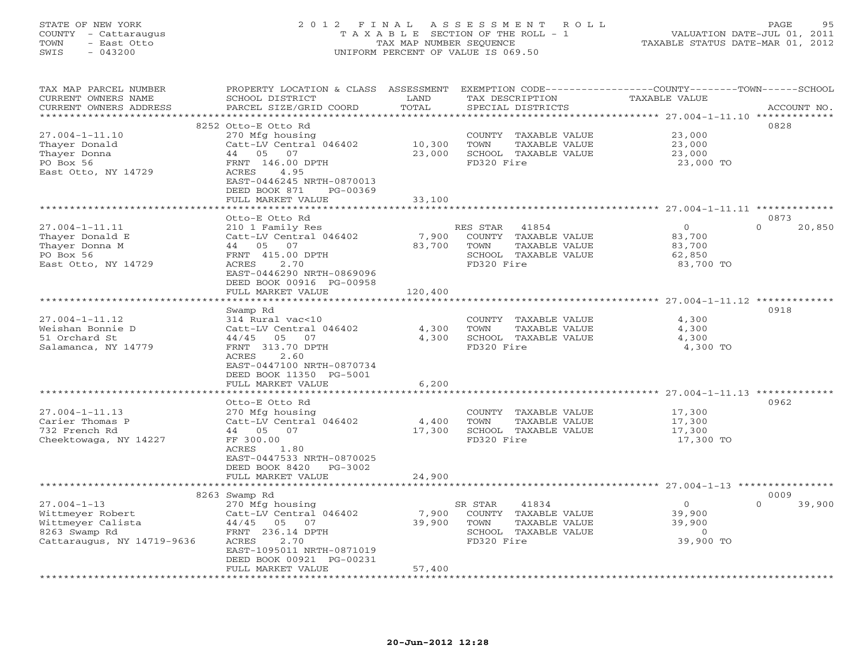#### STATE OF NEW YORK 2 0 1 2 F I N A L A S S E S S M E N T R O L L PAGE 95 COUNTY - Cattaraugus T A X A B L E SECTION OF THE ROLL - 1 VALUATION DATE-JUL 01, 2011 TOWN - East Otto TAX MAP NUMBER SEQUENCE TAXABLE STATUS DATE-MAR 01, 2012 SWIS - 043200 UNIFORM PERCENT OF VALUE IS 069.50UNIFORM PERCENT OF VALUE IS 069.50

| TAX MAP PARCEL NUMBER<br>CURRENT OWNERS NAME      | PROPERTY LOCATION & CLASS ASSESSMENT<br>SCHOOL DISTRICT | LAND         | TAX DESCRIPTION       | EXEMPTION CODE-----------------COUNTY-------TOWN------SCHOOL<br><b>TAXABLE VALUE</b> |             |
|---------------------------------------------------|---------------------------------------------------------|--------------|-----------------------|--------------------------------------------------------------------------------------|-------------|
| CURRENT OWNERS ADDRESS<br>*********************** | PARCEL SIZE/GRID COORD<br>***************************** | TOTAL        | SPECIAL DISTRICTS     |                                                                                      | ACCOUNT NO. |
|                                                   |                                                         |              |                       |                                                                                      |             |
|                                                   | 8252 Otto-E Otto Rd                                     |              |                       |                                                                                      | 0828        |
| $27.004 - 1 - 11.10$                              | 270 Mfg housing                                         |              | COUNTY TAXABLE VALUE  | 23,000                                                                               |             |
| Thayer Donald                                     | Catt-LV Central 046402                                  | 10,300       | TOWN<br>TAXABLE VALUE | 23,000                                                                               |             |
| Thayer Donna                                      | 44 05<br>07                                             | 23,000       | SCHOOL TAXABLE VALUE  | 23,000                                                                               |             |
| PO Box 56                                         | FRNT 146.00 DPTH                                        |              | FD320 Fire            | 23,000 TO                                                                            |             |
| East Otto, NY 14729                               | 4.95<br>ACRES                                           |              |                       |                                                                                      |             |
|                                                   | EAST-0446245 NRTH-0870013<br>DEED BOOK 871<br>PG-00369  |              |                       |                                                                                      |             |
|                                                   | FULL MARKET VALUE                                       | 33,100       |                       |                                                                                      |             |
|                                                   | **********************                                  |              |                       |                                                                                      |             |
|                                                   | Otto-E Otto Rd                                          |              |                       |                                                                                      | 0873        |
| $27.004 - 1 - 11.11$                              | 210 1 Family Res                                        |              | RES STAR 41854        | $\circ$<br>$\Omega$                                                                  | 20,850      |
| Thayer Donald E                                   | Catt-LV Central 046402                                  | 7,900        | COUNTY TAXABLE VALUE  | 83,700                                                                               |             |
| Thayer Donna M                                    | 44 05 07                                                | 83,700       | TOWN<br>TAXABLE VALUE | 83,700                                                                               |             |
| PO Box 56                                         | FRNT 415.00 DPTH                                        |              | SCHOOL TAXABLE VALUE  |                                                                                      |             |
|                                                   |                                                         |              |                       | 62,850                                                                               |             |
| East Otto, NY 14729                               | ACRES<br>2.70                                           |              | FD320 Fire            | 83,700 TO                                                                            |             |
|                                                   | EAST-0446290 NRTH-0869096                               |              |                       |                                                                                      |             |
|                                                   | DEED BOOK 00916 PG-00958                                |              |                       |                                                                                      |             |
|                                                   | FULL MARKET VALUE                                       | 120,400      |                       |                                                                                      |             |
|                                                   | *****************                                       | ************ |                       | ******************** 27.004-1-11.12 ********                                         |             |
|                                                   | Swamp Rd                                                |              |                       |                                                                                      | 0918        |
| $27.004 - 1 - 11.12$                              | 314 Rural vac<10                                        |              | COUNTY TAXABLE VALUE  | 4,300                                                                                |             |
| Weishan Bonnie D                                  | Catt-LV Central 046402                                  | 4,300        | TOWN<br>TAXABLE VALUE | 4,300                                                                                |             |
| 51 Orchard St                                     | 44/45<br>05 07                                          | 4,300        | SCHOOL TAXABLE VALUE  | 4,300                                                                                |             |
| Salamanca, NY 14779                               | FRNT 313.70 DPTH                                        |              | FD320 Fire            | 4,300 TO                                                                             |             |
|                                                   | ACRES<br>2.60                                           |              |                       |                                                                                      |             |
|                                                   | EAST-0447100 NRTH-0870734                               |              |                       |                                                                                      |             |
|                                                   |                                                         |              |                       |                                                                                      |             |
|                                                   | DEED BOOK 11350 PG-5001                                 |              |                       |                                                                                      |             |
|                                                   | FULL MARKET VALUE                                       | 6,200        |                       |                                                                                      |             |
|                                                   |                                                         |              |                       |                                                                                      |             |
|                                                   | Otto-E Otto Rd                                          |              |                       |                                                                                      | 0962        |
| $27.004 - 1 - 11.13$                              | 270 Mfg housing                                         |              | COUNTY TAXABLE VALUE  | 17,300                                                                               |             |
| Carier Thomas P                                   | Catt-LV Central 046402                                  | 4,400        | TOWN<br>TAXABLE VALUE | 17,300                                                                               |             |
| 732 French Rd                                     | 44 05 07                                                | 17,300       | SCHOOL TAXABLE VALUE  | 17,300                                                                               |             |
| Cheektowaga, NY 14227                             | FF 300.00                                               |              | FD320 Fire            | 17,300 TO                                                                            |             |
|                                                   | ACRES<br>1.80                                           |              |                       |                                                                                      |             |
|                                                   | EAST-0447533 NRTH-0870025                               |              |                       |                                                                                      |             |
|                                                   | DEED BOOK 8420<br>PG-3002                               |              |                       |                                                                                      |             |
|                                                   | FULL MARKET VALUE                                       | 24,900       |                       |                                                                                      |             |
|                                                   | **********************                                  |              |                       |                                                                                      |             |
|                                                   |                                                         |              |                       |                                                                                      | 0009        |
|                                                   | 8263 Swamp Rd                                           |              |                       | $\Omega$                                                                             |             |
| $27.004 - 1 - 13$                                 | 270 Mfg housing                                         |              | SR STAR<br>41834      | $\circ$                                                                              | 39,900      |
| Wittmeyer Robert                                  | Catt-LV Central 046402                                  | 7,900        | COUNTY TAXABLE VALUE  | 39,900                                                                               |             |
| Wittmeyer Calista                                 | 44/45 05 07                                             | 39,900       | TOWN<br>TAXABLE VALUE | 39,900                                                                               |             |
| 8263 Swamp Rd                                     | FRNT 236.14 DPTH                                        |              | SCHOOL TAXABLE VALUE  | $\Omega$                                                                             |             |
| Cattaraugus, NY 14719-9636                        | <b>ACRES</b><br>2.70                                    |              | FD320 Fire            | 39,900 TO                                                                            |             |
|                                                   | EAST-1095011 NRTH-0871019                               |              |                       |                                                                                      |             |
|                                                   | DEED BOOK 00921 PG-00231                                |              |                       |                                                                                      |             |
|                                                   | FULL MARKET VALUE                                       | 57,400       |                       |                                                                                      |             |
|                                                   |                                                         |              |                       |                                                                                      |             |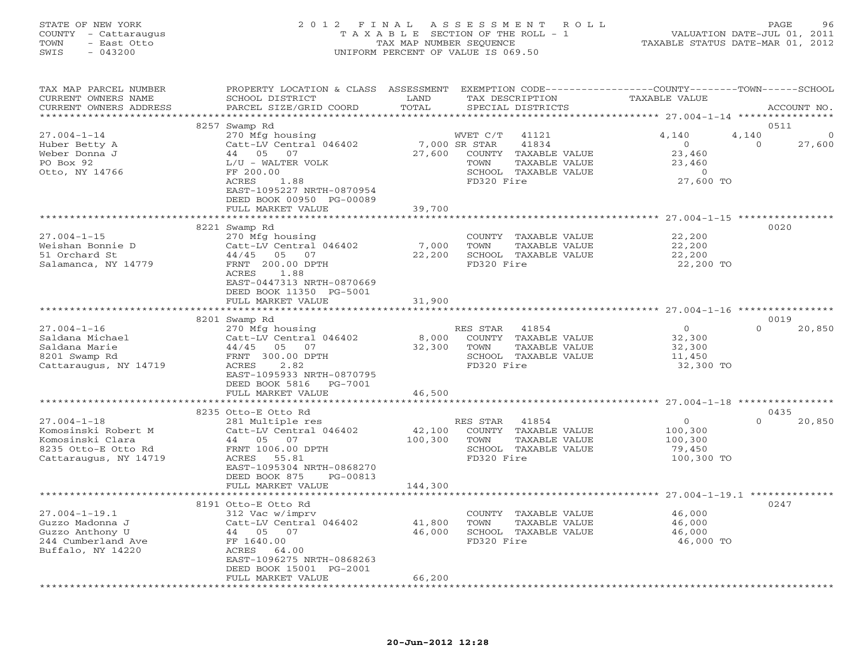#### STATE OF NEW YORK 2 0 1 2 F I N A L A S S E S S M E N T R O L L PAGE 96 COUNTY - Cattaraugus T A X A B L E SECTION OF THE ROLL - 1 VALUATION DATE-JUL 01, 2011 TOWN - East Otto TAX MAP NUMBER SEQUENCE TAXABLE STATUS DATE-MAR 01, 2012 SWIS - 043200 UNIFORM PERCENT OF VALUE IS 069.50UNIFORM PERCENT OF VALUE IS 069.50

| TAX MAP PARCEL NUMBER<br>CURRENT OWNERS NAME<br>CURRENT OWNERS ADDRESS                                       | PROPERTY LOCATION & CLASS ASSESSMENT<br>SCHOOL DISTRICT<br>PARCEL SIZE/GRID COORD                                                                                               | LAND<br>TOTAL             | TAX DESCRIPTION<br>SPECIAL DISTRICTS                                                                                               | EXEMPTION CODE----------------COUNTY-------TOWN-----SCHOOL<br><b>TAXABLE VALUE</b> | ACCOUNT NO.                                         |
|--------------------------------------------------------------------------------------------------------------|---------------------------------------------------------------------------------------------------------------------------------------------------------------------------------|---------------------------|------------------------------------------------------------------------------------------------------------------------------------|------------------------------------------------------------------------------------|-----------------------------------------------------|
| **********************                                                                                       | *****************************                                                                                                                                                   |                           |                                                                                                                                    |                                                                                    |                                                     |
| $27.004 - 1 - 14$<br>Huber Betty A<br>Weber Donna J<br>PO Box 92<br>Otto, NY 14766                           | 8257 Swamp Rd<br>270 Mfg housing<br>Catt-LV Central 046402<br>44 05 07<br>L/U - WALTER VOLK<br>FF 200.00<br>ACRES<br>1.88<br>EAST-1095227 NRTH-0870954                          | 27,600                    | WVET C/T<br>41121<br>7,000 SR STAR<br>41834<br>COUNTY TAXABLE VALUE<br>TOWN<br>TAXABLE VALUE<br>SCHOOL TAXABLE VALUE<br>FD320 Fire | 4,140<br>$\circ$<br>23,460<br>23,460<br>$\circ$<br>27,600 TO                       | 0511<br>4,140<br>$\Omega$<br>$\mathbf{0}$<br>27,600 |
|                                                                                                              | DEED BOOK 00950 PG-00089                                                                                                                                                        |                           |                                                                                                                                    |                                                                                    |                                                     |
|                                                                                                              | FULL MARKET VALUE                                                                                                                                                               | 39,700                    |                                                                                                                                    |                                                                                    |                                                     |
|                                                                                                              |                                                                                                                                                                                 |                           |                                                                                                                                    |                                                                                    |                                                     |
| $27.004 - 1 - 15$<br>Weishan Bonnie D<br>51 Orchard St<br>Salamanca, NY 14779                                | 8221 Swamp Rd<br>270 Mfg housing<br>Catt-LV Central 046402<br>44/45<br>05<br>07<br>FRNT 200.00 DPTH<br>ACRES<br>1.88<br>EAST-0447313 NRTH-0870669<br>DEED BOOK 11350 PG-5001    | 7,000<br>22,200           | COUNTY TAXABLE VALUE<br>TOWN<br>TAXABLE VALUE<br>SCHOOL TAXABLE VALUE<br>FD320 Fire                                                | 22,200<br>22,200<br>22,200<br>22,200 TO                                            | 0020                                                |
|                                                                                                              | FULL MARKET VALUE                                                                                                                                                               | 31,900                    |                                                                                                                                    |                                                                                    |                                                     |
|                                                                                                              |                                                                                                                                                                                 |                           |                                                                                                                                    |                                                                                    |                                                     |
|                                                                                                              | 8201 Swamp Rd                                                                                                                                                                   |                           |                                                                                                                                    |                                                                                    | 0019                                                |
| $27.004 - 1 - 16$<br>Saldana Michael<br>Saldana Marie<br>8201 Swamp Rd<br>Cattaraugus, NY 14719              | 270 Mfg housing<br>Catt-LV Central 046402<br>05 07<br>44/45<br>FRNT 300.00 DPTH<br>ACRES<br>2.82<br>EAST-1095933 NRTH-0870795<br>DEED BOOK 5816<br>PG-7001<br>FULL MARKET VALUE | 8,000<br>32,300<br>46,500 | RES STAR<br>41854<br>COUNTY TAXABLE VALUE<br>TAXABLE VALUE<br>TOWN<br>SCHOOL TAXABLE VALUE<br>FD320 Fire                           | $\overline{0}$<br>32,300<br>32,300<br>11,450<br>32,300 TO                          | $\Omega$<br>20,850                                  |
|                                                                                                              |                                                                                                                                                                                 | * * * * * * * * * * *     |                                                                                                                                    | ********************* 27.004-1-18 *****************                                |                                                     |
| $27.004 - 1 - 18$<br>Komosinski Robert M<br>Komosinski Clara<br>8235 Otto-E Otto Rd<br>Cattaraugus, NY 14719 | 8235 Otto-E Otto Rd<br>281 Multiple res<br>Catt-LV Central 046402<br>44 05 07<br>FRNT 1006.00 DPTH<br>ACRES<br>55.81<br>EAST-1095304 NRTH-0868270<br>DEED BOOK 875<br>PG-00813  | 42,100<br>100,300         | RES STAR<br>41854<br>COUNTY TAXABLE VALUE<br>TOWN<br>TAXABLE VALUE<br>SCHOOL TAXABLE VALUE<br>FD320 Fire                           | $\circ$<br>100,300<br>100,300<br>79,450<br>100,300 TO                              | 0435<br>$\Omega$<br>20,850                          |
|                                                                                                              | FULL MARKET VALUE                                                                                                                                                               | 144,300                   |                                                                                                                                    |                                                                                    |                                                     |
|                                                                                                              |                                                                                                                                                                                 |                           |                                                                                                                                    |                                                                                    |                                                     |
|                                                                                                              | 8191 Otto-E Otto Rd                                                                                                                                                             |                           |                                                                                                                                    |                                                                                    | 0247                                                |
| $27.004 - 1 - 19.1$<br>Guzzo Madonna J<br>Guzzo Anthony U<br>244 Cumberland Ave<br>Buffalo, NY 14220         | 312 Vac w/imprv<br>Catt-LV Central 046402<br>44 05<br>07<br>FF 1640.00<br>ACRES<br>64.00<br>EAST-1096275 NRTH-0868263<br>DEED BOOK 15001 PG-2001                                | 41,800<br>46,000          | COUNTY TAXABLE VALUE<br>TOWN<br>TAXABLE VALUE<br>SCHOOL TAXABLE VALUE<br>FD320 Fire                                                | 46,000<br>46,000<br>46,000<br>46,000 TO                                            |                                                     |
|                                                                                                              | FULL MARKET VALUE                                                                                                                                                               | 66,200                    |                                                                                                                                    |                                                                                    |                                                     |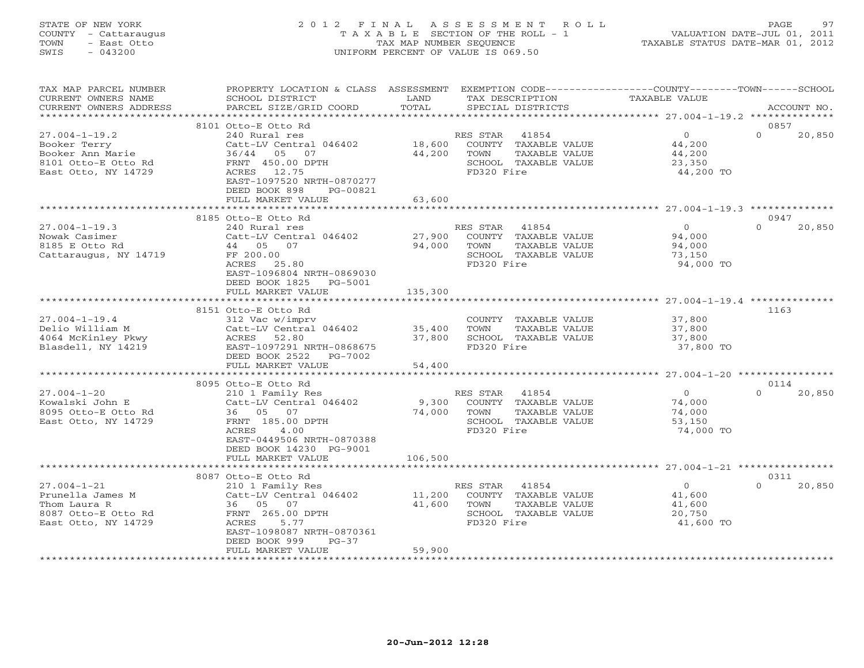### STATE OF NEW YORK 2 0 1 2 F I N A L A S S E S S M E N T R O L L PAGE 97 COUNTY - Cattaraugus T A X A B L E SECTION OF THE ROLL - 1 VALUATION DATE-JUL 01, 2011 TOWN - East Otto TAX MAP NUMBER SEQUENCE TAXABLE STATUS DATE-MAR 01, 2012 SWIS - 043200 UNIFORM PERCENT OF VALUE IS 069.50UNIFORM PERCENT OF VALUE IS 069.50

| TAX MAP PARCEL NUMBER<br>CURRENT OWNERS NAME<br>CURRENT OWNERS ADDRESS                                | PROPERTY LOCATION & CLASS ASSESSMENT<br>SCHOOL DISTRICT<br>PARCEL SIZE/GRID COORD                                                                                                                     | LAND<br>TOTAL              |                                | TAX DESCRIPTION<br>SPECIAL DISTRICTS                                   | EXEMPTION CODE-----------------COUNTY-------TOWN------SCHOOL<br>TAXABLE VALUE |                  | ACCOUNT NO. |
|-------------------------------------------------------------------------------------------------------|-------------------------------------------------------------------------------------------------------------------------------------------------------------------------------------------------------|----------------------------|--------------------------------|------------------------------------------------------------------------|-------------------------------------------------------------------------------|------------------|-------------|
|                                                                                                       |                                                                                                                                                                                                       |                            |                                |                                                                        |                                                                               |                  |             |
| $27.004 - 1 - 19.2$<br>Booker Terry<br>Booker Ann Marie<br>8101 Otto-E Otto Rd<br>East Otto, NY 14729 | 8101 Otto-E Otto Rd<br>240 Rural res<br>Catt-LV Central 046402<br>36/44<br>05<br>07<br>FRNT 450.00 DPTH<br>ACRES 12.75<br>EAST-1097520 NRTH-0870277<br>DEED BOOK 898<br>PG-00821<br>FULL MARKET VALUE | 18,600<br>44,200<br>63,600 | RES STAR<br>TOWN<br>FD320 Fire | 41854<br>COUNTY TAXABLE VALUE<br>TAXABLE VALUE<br>SCHOOL TAXABLE VALUE | $\overline{0}$<br>44,200<br>44,200<br>23,350<br>44,200 TO                     | 0857<br>$\cap$   | 20,850      |
|                                                                                                       |                                                                                                                                                                                                       |                            |                                |                                                                        |                                                                               |                  |             |
| $27.004 - 1 - 19.3$<br>Nowak Casimer<br>8185 E Otto Rd<br>Cattaraugus, NY 14719                       | 8185 Otto-E Otto Rd<br>240 Rural res<br>Catt-LV Central 046402<br>44 05 07<br>FF 200.00<br>ACRES<br>25.80<br>EAST-1096804 NRTH-0869030<br>DEED BOOK 1825<br>PG-5001                                   | 27,900<br>94,000           | RES STAR<br>TOWN<br>FD320 Fire | 41854<br>COUNTY TAXABLE VALUE<br>TAXABLE VALUE<br>SCHOOL TAXABLE VALUE | $\Omega$<br>94,000<br>94,000<br>73,150<br>94,000 TO                           | 0947<br>$\Omega$ | 20,850      |
|                                                                                                       | FULL MARKET VALUE                                                                                                                                                                                     | 135,300                    |                                |                                                                        |                                                                               |                  |             |
|                                                                                                       |                                                                                                                                                                                                       |                            |                                |                                                                        |                                                                               |                  |             |
| $27.004 - 1 - 19.4$<br>Delio William M<br>4064 McKinley Pkwy<br>Blasdell, NY 14219                    | 8151 Otto-E Otto Rd<br>312 Vac w/imprv<br>Catt-LV Central 046402<br>ACRES<br>52.80<br>EAST-1097291 NRTH-0868675<br>DEED BOOK 2522<br>PG-7002<br>FULL MARKET VALUE                                     | 35,400<br>37,800<br>54,400 | TOWN<br>FD320 Fire             | COUNTY TAXABLE VALUE<br>TAXABLE VALUE<br>SCHOOL TAXABLE VALUE          | 37,800<br>37,800<br>37,800<br>37,800 TO                                       | 1163             |             |
|                                                                                                       | 8095 Otto-E Otto Rd                                                                                                                                                                                   |                            |                                |                                                                        |                                                                               | 0114             |             |
| $27.004 - 1 - 20$<br>Kowalski John E<br>8095 Otto-E Otto Rd<br>East Otto, NY 14729                    | 210 1 Family Res<br>Catt-LV Central 046402<br>36 05 07<br>FRNT 185.00 DPTH<br>4.00<br><b>ACRES</b><br>EAST-0449506 NRTH-0870388<br>DEED BOOK 14230 PG-9001<br>FULL MARKET VALUE                       | 9,300<br>74,000<br>106,500 | RES STAR<br>TOWN<br>FD320 Fire | 41854<br>COUNTY TAXABLE VALUE<br>TAXABLE VALUE<br>SCHOOL TAXABLE VALUE | $\Omega$<br>74,000<br>74,000<br>53,150<br>74,000 TO                           | $\Omega$         | 20,850      |
|                                                                                                       |                                                                                                                                                                                                       |                            |                                |                                                                        |                                                                               |                  |             |
| $27.004 - 1 - 21$<br>Prunella James M<br>Thom Laura R<br>8087 Otto-E Otto Rd<br>East Otto, NY 14729   | 8087 Otto-E Otto Rd<br>210 1 Family Res<br>Catt-LV Central 046402<br>36 05 07<br>FRNT 265.00 DPTH<br>ACRES<br>5.77<br>EAST-1098087 NRTH-0870361                                                       | 11,200<br>41,600           | RES STAR<br>TOWN<br>FD320 Fire | 41854<br>COUNTY TAXABLE VALUE<br>TAXABLE VALUE<br>SCHOOL TAXABLE VALUE | $\Omega$<br>41,600<br>41,600<br>20,750<br>41,600 TO                           | 0311<br>$\Omega$ | 20,850      |
|                                                                                                       | DEED BOOK 999<br>$PG-37$<br>FULL MARKET VALUE                                                                                                                                                         | 59,900                     |                                |                                                                        |                                                                               |                  |             |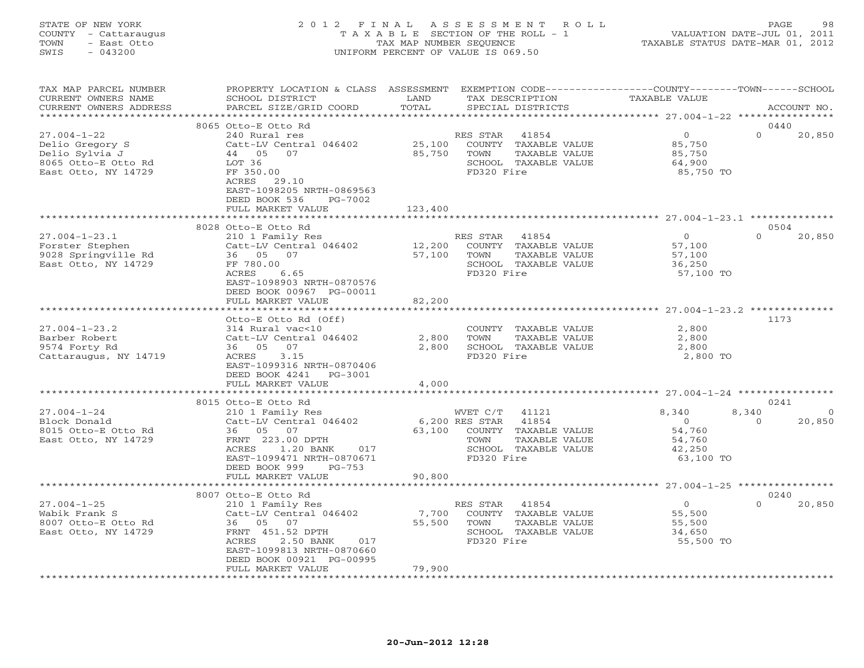#### STATE OF NEW YORK 2 0 1 2 F I N A L A S S E S S M E N T R O L L PAGE 98 COUNTY - Cattaraugus T A X A B L E SECTION OF THE ROLL - 1 VALUATION DATE-JUL 01, 2011 TOWN - East Otto TAX MAP NUMBER SEQUENCE TAXABLE STATUS DATE-MAR 01, 2012 SWIS - 043200 UNIFORM PERCENT OF VALUE IS 069.50UNIFORM PERCENT OF VALUE IS 069.50

| 8065 Otto-E Otto Rd<br>0440<br>$27.004 - 1 - 22$<br>240 Rural res<br>$\overline{0}$<br>$\Omega$<br>RES STAR<br>41854<br>20,850<br>25,100<br>Delio Gregory S<br>Catt-LV Central 046402<br>COUNTY TAXABLE VALUE<br>85,750<br>Delio Sylvia J<br>44 05 07<br>85,750<br>TOWN<br>TAXABLE VALUE<br>85,750<br>8065 Otto-E Otto Rd<br>SCHOOL TAXABLE VALUE<br>64,900<br>LOT 36<br>FF 350.00<br>FD320 Fire<br>85,750 TO<br>East Otto, NY 14729<br>ACRES<br>29.10<br>EAST-1098205 NRTH-0869563<br>DEED BOOK 536<br>PG-7002<br>FULL MARKET VALUE<br>123,400<br>8028 Otto-E Otto Rd<br>0504<br>$27.004 - 1 - 23.1$<br>RES STAR<br>41854<br>$\overline{0}$<br>$\Omega$<br>20,850<br>210 1 Family Res<br>12,200<br>Forster Stephen<br>Catt-LV Central 046402<br>COUNTY TAXABLE VALUE<br>57,100<br>9028 Springville Rd<br>36 05 07<br>57,100<br>TAXABLE VALUE<br>TOWN<br>57,100<br>FF 780.00<br>SCHOOL TAXABLE VALUE<br>East Otto, NY 14729<br>36,250<br>FD320 Fire<br>ACRES<br>6.65<br>57,100 TO<br>EAST-1098903 NRTH-0870576<br>DEED BOOK 00967 PG-00011<br>FULL MARKET VALUE<br>82,200<br>Otto-E Otto Rd (Off)<br>1173<br>$27.004 - 1 - 23.2$<br>2,800<br>314 Rural vac<10<br>COUNTY TAXABLE VALUE<br>Catt-LV Central 046402<br>Barber Robert<br>2,800<br>TOWN<br>TAXABLE VALUE<br>2,800<br>36 05 07<br>SCHOOL TAXABLE VALUE<br>9574 Forty Rd<br>2,800<br>2,800<br>3.15<br>FD320 Fire<br>2,800 TO<br>Cattaraugus, NY 14719<br>ACRES<br>EAST-1099316 NRTH-0870406<br>DEED BOOK 4241<br>PG-3001<br>FULL MARKET VALUE<br>4,000<br>0241<br>8015 Otto-E Otto Rd<br>$27.004 - 1 - 24$<br>8,340<br>8,340<br>210 1 Family Res<br>WVET C/T<br>41121<br>$\Omega$<br>Block Donald<br>Catt-LV Central 046402<br>6,200 RES STAR<br>41854<br>$\Omega$<br>20,850<br>$\overline{0}$<br>63,100<br>54,760<br>8015 Otto-E Otto Rd<br>36 05 07<br>COUNTY TAXABLE VALUE<br>East Otto, NY 14729<br>FRNT 223.00 DPTH<br>TOWN<br>TAXABLE VALUE<br>54,760<br>ACRES<br>1.20 BANK<br>SCHOOL TAXABLE VALUE<br>42,250<br>017<br>FD320 Fire<br>EAST-1099471 NRTH-0870671<br>63,100 TO<br>DEED BOOK 999<br>$PG-753$<br>90,800<br>FULL MARKET VALUE<br>*************************<br>*************<br>8007 Otto-E Otto Rd<br>0240<br>$27.004 - 1 - 25$<br>210 1 Family Res<br>41854<br>$\overline{O}$<br>$\Omega$<br>20,850<br>RES STAR<br>Wabik Frank S<br>7,700<br>COUNTY TAXABLE VALUE<br>Catt-LV Central 046402<br>55,500<br>55,500<br>TOWN<br>TAXABLE VALUE<br>8007 Otto-E Otto Rd<br>36 05 07<br>55,500<br>East Otto, NY 14729<br>FRNT 451.52 DPTH<br>SCHOOL TAXABLE VALUE<br>34,650<br>ACRES<br>2.50 BANK<br>FD320 Fire<br>017<br>55,500 TO<br>EAST-1099813 NRTH-0870660<br>DEED BOOK 00921 PG-00995<br>FULL MARKET VALUE<br>79,900 | TAX MAP PARCEL NUMBER<br>CURRENT OWNERS NAME<br>CURRENT OWNERS ADDRESS | PROPERTY LOCATION & CLASS ASSESSMENT<br>SCHOOL DISTRICT<br>PARCEL SIZE/GRID COORD | LAND<br>TOTAL | EXEMPTION CODE-----------------COUNTY-------TOWN------SCHOOL<br>TAX DESCRIPTION<br>SPECIAL DISTRICTS | TAXABLE VALUE | ACCOUNT NO. |
|----------------------------------------------------------------------------------------------------------------------------------------------------------------------------------------------------------------------------------------------------------------------------------------------------------------------------------------------------------------------------------------------------------------------------------------------------------------------------------------------------------------------------------------------------------------------------------------------------------------------------------------------------------------------------------------------------------------------------------------------------------------------------------------------------------------------------------------------------------------------------------------------------------------------------------------------------------------------------------------------------------------------------------------------------------------------------------------------------------------------------------------------------------------------------------------------------------------------------------------------------------------------------------------------------------------------------------------------------------------------------------------------------------------------------------------------------------------------------------------------------------------------------------------------------------------------------------------------------------------------------------------------------------------------------------------------------------------------------------------------------------------------------------------------------------------------------------------------------------------------------------------------------------------------------------------------------------------------------------------------------------------------------------------------------------------------------------------------------------------------------------------------------------------------------------------------------------------------------------------------------------------------------------------------------------------------------------------------------------------------------------------------------------------------------------------------------------------------------------------------------------------------------------------------------------------------------------------------------------------------------------------------------------------------------------------------|------------------------------------------------------------------------|-----------------------------------------------------------------------------------|---------------|------------------------------------------------------------------------------------------------------|---------------|-------------|
|                                                                                                                                                                                                                                                                                                                                                                                                                                                                                                                                                                                                                                                                                                                                                                                                                                                                                                                                                                                                                                                                                                                                                                                                                                                                                                                                                                                                                                                                                                                                                                                                                                                                                                                                                                                                                                                                                                                                                                                                                                                                                                                                                                                                                                                                                                                                                                                                                                                                                                                                                                                                                                                                                              |                                                                        |                                                                                   |               |                                                                                                      |               |             |
|                                                                                                                                                                                                                                                                                                                                                                                                                                                                                                                                                                                                                                                                                                                                                                                                                                                                                                                                                                                                                                                                                                                                                                                                                                                                                                                                                                                                                                                                                                                                                                                                                                                                                                                                                                                                                                                                                                                                                                                                                                                                                                                                                                                                                                                                                                                                                                                                                                                                                                                                                                                                                                                                                              |                                                                        |                                                                                   |               |                                                                                                      |               |             |
|                                                                                                                                                                                                                                                                                                                                                                                                                                                                                                                                                                                                                                                                                                                                                                                                                                                                                                                                                                                                                                                                                                                                                                                                                                                                                                                                                                                                                                                                                                                                                                                                                                                                                                                                                                                                                                                                                                                                                                                                                                                                                                                                                                                                                                                                                                                                                                                                                                                                                                                                                                                                                                                                                              |                                                                        |                                                                                   |               |                                                                                                      |               |             |
|                                                                                                                                                                                                                                                                                                                                                                                                                                                                                                                                                                                                                                                                                                                                                                                                                                                                                                                                                                                                                                                                                                                                                                                                                                                                                                                                                                                                                                                                                                                                                                                                                                                                                                                                                                                                                                                                                                                                                                                                                                                                                                                                                                                                                                                                                                                                                                                                                                                                                                                                                                                                                                                                                              |                                                                        |                                                                                   |               |                                                                                                      |               |             |
|                                                                                                                                                                                                                                                                                                                                                                                                                                                                                                                                                                                                                                                                                                                                                                                                                                                                                                                                                                                                                                                                                                                                                                                                                                                                                                                                                                                                                                                                                                                                                                                                                                                                                                                                                                                                                                                                                                                                                                                                                                                                                                                                                                                                                                                                                                                                                                                                                                                                                                                                                                                                                                                                                              |                                                                        |                                                                                   |               |                                                                                                      |               |             |
|                                                                                                                                                                                                                                                                                                                                                                                                                                                                                                                                                                                                                                                                                                                                                                                                                                                                                                                                                                                                                                                                                                                                                                                                                                                                                                                                                                                                                                                                                                                                                                                                                                                                                                                                                                                                                                                                                                                                                                                                                                                                                                                                                                                                                                                                                                                                                                                                                                                                                                                                                                                                                                                                                              |                                                                        |                                                                                   |               |                                                                                                      |               |             |
|                                                                                                                                                                                                                                                                                                                                                                                                                                                                                                                                                                                                                                                                                                                                                                                                                                                                                                                                                                                                                                                                                                                                                                                                                                                                                                                                                                                                                                                                                                                                                                                                                                                                                                                                                                                                                                                                                                                                                                                                                                                                                                                                                                                                                                                                                                                                                                                                                                                                                                                                                                                                                                                                                              |                                                                        |                                                                                   |               |                                                                                                      |               |             |
|                                                                                                                                                                                                                                                                                                                                                                                                                                                                                                                                                                                                                                                                                                                                                                                                                                                                                                                                                                                                                                                                                                                                                                                                                                                                                                                                                                                                                                                                                                                                                                                                                                                                                                                                                                                                                                                                                                                                                                                                                                                                                                                                                                                                                                                                                                                                                                                                                                                                                                                                                                                                                                                                                              |                                                                        |                                                                                   |               |                                                                                                      |               |             |
|                                                                                                                                                                                                                                                                                                                                                                                                                                                                                                                                                                                                                                                                                                                                                                                                                                                                                                                                                                                                                                                                                                                                                                                                                                                                                                                                                                                                                                                                                                                                                                                                                                                                                                                                                                                                                                                                                                                                                                                                                                                                                                                                                                                                                                                                                                                                                                                                                                                                                                                                                                                                                                                                                              |                                                                        |                                                                                   |               |                                                                                                      |               |             |
|                                                                                                                                                                                                                                                                                                                                                                                                                                                                                                                                                                                                                                                                                                                                                                                                                                                                                                                                                                                                                                                                                                                                                                                                                                                                                                                                                                                                                                                                                                                                                                                                                                                                                                                                                                                                                                                                                                                                                                                                                                                                                                                                                                                                                                                                                                                                                                                                                                                                                                                                                                                                                                                                                              |                                                                        |                                                                                   |               |                                                                                                      |               |             |
|                                                                                                                                                                                                                                                                                                                                                                                                                                                                                                                                                                                                                                                                                                                                                                                                                                                                                                                                                                                                                                                                                                                                                                                                                                                                                                                                                                                                                                                                                                                                                                                                                                                                                                                                                                                                                                                                                                                                                                                                                                                                                                                                                                                                                                                                                                                                                                                                                                                                                                                                                                                                                                                                                              |                                                                        |                                                                                   |               |                                                                                                      |               |             |
|                                                                                                                                                                                                                                                                                                                                                                                                                                                                                                                                                                                                                                                                                                                                                                                                                                                                                                                                                                                                                                                                                                                                                                                                                                                                                                                                                                                                                                                                                                                                                                                                                                                                                                                                                                                                                                                                                                                                                                                                                                                                                                                                                                                                                                                                                                                                                                                                                                                                                                                                                                                                                                                                                              |                                                                        |                                                                                   |               |                                                                                                      |               |             |
|                                                                                                                                                                                                                                                                                                                                                                                                                                                                                                                                                                                                                                                                                                                                                                                                                                                                                                                                                                                                                                                                                                                                                                                                                                                                                                                                                                                                                                                                                                                                                                                                                                                                                                                                                                                                                                                                                                                                                                                                                                                                                                                                                                                                                                                                                                                                                                                                                                                                                                                                                                                                                                                                                              |                                                                        |                                                                                   |               |                                                                                                      |               |             |
|                                                                                                                                                                                                                                                                                                                                                                                                                                                                                                                                                                                                                                                                                                                                                                                                                                                                                                                                                                                                                                                                                                                                                                                                                                                                                                                                                                                                                                                                                                                                                                                                                                                                                                                                                                                                                                                                                                                                                                                                                                                                                                                                                                                                                                                                                                                                                                                                                                                                                                                                                                                                                                                                                              |                                                                        |                                                                                   |               |                                                                                                      |               |             |
|                                                                                                                                                                                                                                                                                                                                                                                                                                                                                                                                                                                                                                                                                                                                                                                                                                                                                                                                                                                                                                                                                                                                                                                                                                                                                                                                                                                                                                                                                                                                                                                                                                                                                                                                                                                                                                                                                                                                                                                                                                                                                                                                                                                                                                                                                                                                                                                                                                                                                                                                                                                                                                                                                              |                                                                        |                                                                                   |               |                                                                                                      |               |             |
|                                                                                                                                                                                                                                                                                                                                                                                                                                                                                                                                                                                                                                                                                                                                                                                                                                                                                                                                                                                                                                                                                                                                                                                                                                                                                                                                                                                                                                                                                                                                                                                                                                                                                                                                                                                                                                                                                                                                                                                                                                                                                                                                                                                                                                                                                                                                                                                                                                                                                                                                                                                                                                                                                              |                                                                        |                                                                                   |               |                                                                                                      |               |             |
|                                                                                                                                                                                                                                                                                                                                                                                                                                                                                                                                                                                                                                                                                                                                                                                                                                                                                                                                                                                                                                                                                                                                                                                                                                                                                                                                                                                                                                                                                                                                                                                                                                                                                                                                                                                                                                                                                                                                                                                                                                                                                                                                                                                                                                                                                                                                                                                                                                                                                                                                                                                                                                                                                              |                                                                        |                                                                                   |               |                                                                                                      |               |             |
|                                                                                                                                                                                                                                                                                                                                                                                                                                                                                                                                                                                                                                                                                                                                                                                                                                                                                                                                                                                                                                                                                                                                                                                                                                                                                                                                                                                                                                                                                                                                                                                                                                                                                                                                                                                                                                                                                                                                                                                                                                                                                                                                                                                                                                                                                                                                                                                                                                                                                                                                                                                                                                                                                              |                                                                        |                                                                                   |               |                                                                                                      |               |             |
|                                                                                                                                                                                                                                                                                                                                                                                                                                                                                                                                                                                                                                                                                                                                                                                                                                                                                                                                                                                                                                                                                                                                                                                                                                                                                                                                                                                                                                                                                                                                                                                                                                                                                                                                                                                                                                                                                                                                                                                                                                                                                                                                                                                                                                                                                                                                                                                                                                                                                                                                                                                                                                                                                              |                                                                        |                                                                                   |               |                                                                                                      |               |             |
|                                                                                                                                                                                                                                                                                                                                                                                                                                                                                                                                                                                                                                                                                                                                                                                                                                                                                                                                                                                                                                                                                                                                                                                                                                                                                                                                                                                                                                                                                                                                                                                                                                                                                                                                                                                                                                                                                                                                                                                                                                                                                                                                                                                                                                                                                                                                                                                                                                                                                                                                                                                                                                                                                              |                                                                        |                                                                                   |               |                                                                                                      |               |             |
|                                                                                                                                                                                                                                                                                                                                                                                                                                                                                                                                                                                                                                                                                                                                                                                                                                                                                                                                                                                                                                                                                                                                                                                                                                                                                                                                                                                                                                                                                                                                                                                                                                                                                                                                                                                                                                                                                                                                                                                                                                                                                                                                                                                                                                                                                                                                                                                                                                                                                                                                                                                                                                                                                              |                                                                        |                                                                                   |               |                                                                                                      |               |             |
|                                                                                                                                                                                                                                                                                                                                                                                                                                                                                                                                                                                                                                                                                                                                                                                                                                                                                                                                                                                                                                                                                                                                                                                                                                                                                                                                                                                                                                                                                                                                                                                                                                                                                                                                                                                                                                                                                                                                                                                                                                                                                                                                                                                                                                                                                                                                                                                                                                                                                                                                                                                                                                                                                              | **********************                                                 |                                                                                   |               |                                                                                                      |               |             |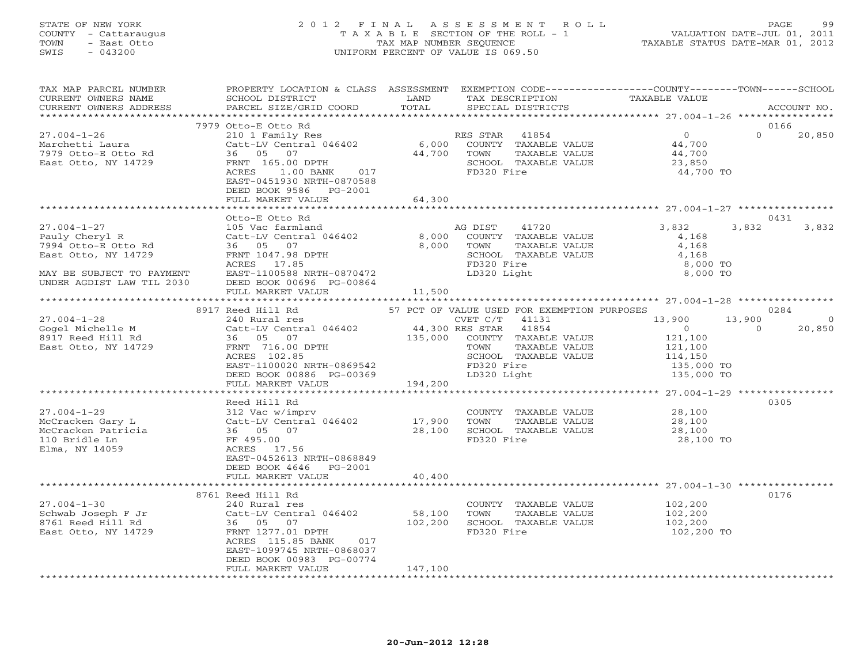#### STATE OF NEW YORK 2 0 1 2 F I N A L A S S E S S M E N T R O L L PAGE 99 COUNTY - Cattaraugus T A X A B L E SECTION OF THE ROLL - 1 VALUATION DATE-JUL 01, 2011 TOWN - East Otto TAX MAP NUMBER SEQUENCE TAXABLE STATUS DATE-MAR 01, 2012 SWIS - 043200 UNIFORM PERCENT OF VALUE IS 069.50UNIFORM PERCENT OF VALUE IS 069.50

| TAX MAP PARCEL NUMBER<br>CURRENT OWNERS NAME<br>CURRENT OWNERS ADDRESS                                                                                                                                                                                                                                                                   | PROPERTY LOCATION & CLASS ASSESSMENT EXEMPTION CODE---------------COUNTY-------TOWN------SCHOOL<br><b>EXAMPLE SERVICE SERVICE SERVICE SERVICE SERVICE SERVICE SERVICE SERVICE SERVICE SERVICE SERVICE SERVICE SERVICE</b><br>SCHOOL DISTRICT<br>PARCEL SIZE/GRID COORD                     | TOTAL                           | TAX DESCRIPTION TAXABLE VALUE<br>SPECIAL DISTRICTS                                                                                  |                                                             | ACCOUNT NO.              |
|------------------------------------------------------------------------------------------------------------------------------------------------------------------------------------------------------------------------------------------------------------------------------------------------------------------------------------------|--------------------------------------------------------------------------------------------------------------------------------------------------------------------------------------------------------------------------------------------------------------------------------------------|---------------------------------|-------------------------------------------------------------------------------------------------------------------------------------|-------------------------------------------------------------|--------------------------|
|                                                                                                                                                                                                                                                                                                                                          |                                                                                                                                                                                                                                                                                            |                                 |                                                                                                                                     |                                                             |                          |
|                                                                                                                                                                                                                                                                                                                                          | 7979 Otto-E Otto Rd                                                                                                                                                                                                                                                                        |                                 |                                                                                                                                     |                                                             | 0166                     |
| $27.004 - 1 - 26$<br>Marchetti Laura<br>7979 Otto-E Otto Rd<br>East Otto, NY 14729                                                                                                                                                                                                                                                       | CLO-L Colomic U.S. 200 Hemily Res<br>Catt-LV Central 046402 6,000 COUNTY TAXABLE VALUE 44,700<br>36 05 07 44,700 TOWN TAXABLE VALUE 44,700<br>FRNT 165.00 DPTH 5CHOOL TAXABLE VALUE 23,850<br>ACRES 1.00 BANK 017 FD320 Fire 44,700<br>EAST-0451930 NRTH-0870588<br>DEED BOOK 9586 PG-2001 |                                 |                                                                                                                                     | 44,700 TO                                                   | $\Omega$<br>20,850       |
|                                                                                                                                                                                                                                                                                                                                          | FULL MARKET VALUE                                                                                                                                                                                                                                                                          | 64,300                          |                                                                                                                                     |                                                             |                          |
|                                                                                                                                                                                                                                                                                                                                          |                                                                                                                                                                                                                                                                                            |                                 |                                                                                                                                     |                                                             |                          |
|                                                                                                                                                                                                                                                                                                                                          | Otto-E Otto Rd                                                                                                                                                                                                                                                                             |                                 |                                                                                                                                     |                                                             | 0431                     |
| $27.004 - 1 - 27$<br>Pauly Cheryl R<br>7994 Otto-E Otto Rd<br>East Otto, NY 14729                                                                                                                                                                                                                                                        | 105 Vac farmland<br>Catt-LV Central 046402 8,000 COUNTY TAXABLE VALUE 4,168<br>36 05 07<br>36 05 07<br>FRNT 1047.98 DPTH<br>ACRES 17.85<br>ACRES 17.85                                                                                                                                     | 8,000 TOWN<br>SCHOOL<br>FD320 F | AG DIST 41720<br>TOWN TAXABLE VALUE<br>SCHOOL TAXABLE VALUE 4,168<br>8 000<br>FD320 Fire                                            | 3,832<br>8,000 TO                                           | 3,832<br>3,832           |
| MAY BE SUBJECT TO PAYMENT<br>UNDER AGDIST LAW TIL 2030 DEED BOOK 00696 PG-00864                                                                                                                                                                                                                                                          | EAST-1100588 NRTH-0870472                                                                                                                                                                                                                                                                  |                                 | LD320 Light                                                                                                                         | 8,000 TO                                                    |                          |
|                                                                                                                                                                                                                                                                                                                                          | FULL MARKET VALUE                                                                                                                                                                                                                                                                          | 11,500                          |                                                                                                                                     |                                                             |                          |
|                                                                                                                                                                                                                                                                                                                                          |                                                                                                                                                                                                                                                                                            |                                 |                                                                                                                                     |                                                             |                          |
|                                                                                                                                                                                                                                                                                                                                          | 8917 Reed Hill Rd                                                                                                                                                                                                                                                                          |                                 | 57 PCT OF VALUE USED FOR EXEMPTION PURPOSES                                                                                         |                                                             | 0284                     |
|                                                                                                                                                                                                                                                                                                                                          |                                                                                                                                                                                                                                                                                            |                                 | CVET C/T 41131 13,900                                                                                                               |                                                             | 13,900 0                 |
| 17.004-1-28<br>Catt-LV Central 046402 44, 300 Michelle M Catt-LV Central 046402 44, 300 M<br>8917 Reed Hill Rd 36 05 07 135,000<br>8917 Atta NV 14729 FRNT 716.00 DPTH 102.85                                                                                                                                                            | 240 Rural res<br>240 Rural res<br>Catt-LV Central 046402<br>36 05 07 135,000 COUNTY TAXABLE VALUE<br>EAST-1100020 NRTH-0869542<br>DEED BOOK 00886 PG-00369<br>FULL MARKET VALUE 194,200                                                                                                    |                                 | EXET STAR 41854<br>COUNTY TAXABLE VALUE 121,100<br>TOWN TAXABLE VALUE 121,100<br>SCHOOL TAXABLE VALUE 114,150<br>FD320 Fire 125,000 | 135,000 TO                                                  | $\overline{0}$<br>20,850 |
|                                                                                                                                                                                                                                                                                                                                          |                                                                                                                                                                                                                                                                                            |                                 |                                                                                                                                     | 135,000 TO                                                  |                          |
|                                                                                                                                                                                                                                                                                                                                          |                                                                                                                                                                                                                                                                                            |                                 |                                                                                                                                     |                                                             |                          |
|                                                                                                                                                                                                                                                                                                                                          | Reed Hill Rd                                                                                                                                                                                                                                                                               |                                 |                                                                                                                                     |                                                             | 0305                     |
| $\begin{array}{lllllllllllllll} \text{27.004--1-29} & \text{29.004--1-29} & \text{312 Vec} & \text{20.000000} & \text{31.0000000} & \text{28.100} & \text{31.000000} & \text{28.100} & \text{31.0000} & \text{28.100} & \text{28.100} & \text{28.100} & \text{28.100} & \text{28.100} & \text{28.100} & \text{28.100} & \text{28.100} &$ | EAST-0452613 NRTH-0868849<br>DEED BOOK 4646 PG-2001                                                                                                                                                                                                                                        |                                 | COUNTY TAXABLE VALUE 28,100                                                                                                         | TAXABLE VALUE 28,100<br>L TAXABLE VALUE 28,100<br>28,100 TO |                          |
|                                                                                                                                                                                                                                                                                                                                          | FULL MARKET VALUE                                                                                                                                                                                                                                                                          | 40,400                          |                                                                                                                                     |                                                             |                          |
|                                                                                                                                                                                                                                                                                                                                          |                                                                                                                                                                                                                                                                                            |                                 |                                                                                                                                     |                                                             |                          |
| $27.004 - 1 - 30$<br>Schwab Joseph F Jr<br>8761 Reed Hill Rd<br>East Otto, NY 14729                                                                                                                                                                                                                                                      | 8761 Reed Hill Rd<br>240 Rural res<br>Catt-LV Central 046402<br>36 05 07<br>FRNT 1277.01 DPTH<br>ACRES 115.85 BANK 017<br>EAST-1099745 NRTH-0868037<br>DEED BOOK 00983 PG-00774                                                                                                            | 58,100                          | COUNTY TAXABLE VALUE 102,200<br>58,100 TOWN TAXABLE VALUE 102,200<br>102,200 SCHOOL TAXABLE VALUE 102,200<br>FD320 Fire             | 102,200 TO                                                  | 0176                     |
|                                                                                                                                                                                                                                                                                                                                          | FULL MARKET VALUE                                                                                                                                                                                                                                                                          | 147,100                         |                                                                                                                                     |                                                             |                          |
|                                                                                                                                                                                                                                                                                                                                          |                                                                                                                                                                                                                                                                                            |                                 |                                                                                                                                     |                                                             |                          |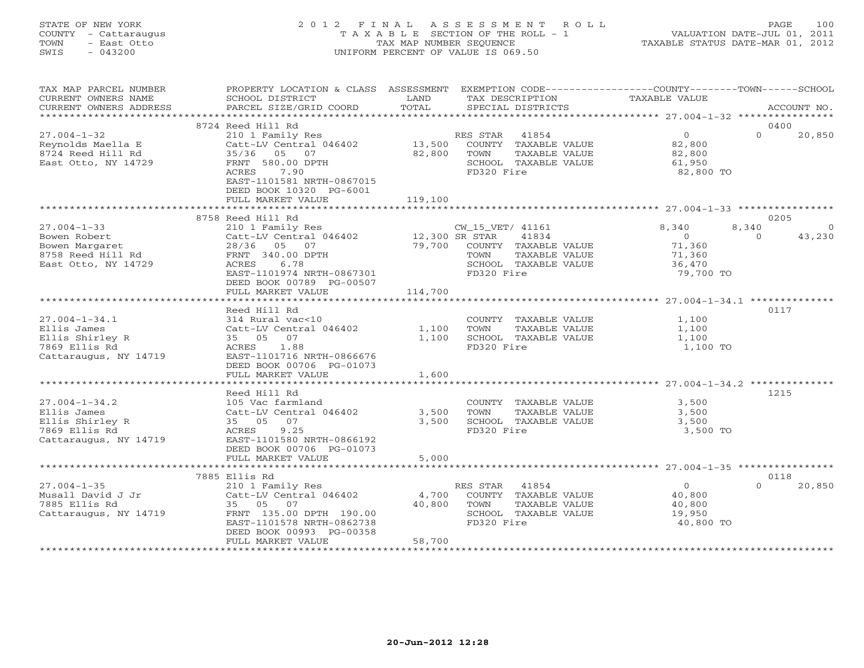### STATE OF NEW YORK 2 0 1 2 F I N A L A S S E S S M E N T R O L L PAGE 100 COUNTY - Cattaraugus T A X A B L E SECTION OF THE ROLL - 1 VALUATION DATE-JUL 01, 2011 TOWN - East Otto TAX MAP NUMBER SEQUENCE TAXABLE STATUS DATE-MAR 01, 2012 SWIS - 043200 UNIFORM PERCENT OF VALUE IS 069.50UNIFORM PERCENT OF VALUE IS 069.50

| TAX MAP PARCEL NUMBER            | PROPERTY LOCATION & CLASS ASSESSMENT EXEMPTION CODE---------------COUNTY-------TOWN------SCHOOL |         |                                    |                   |                         |
|----------------------------------|-------------------------------------------------------------------------------------------------|---------|------------------------------------|-------------------|-------------------------|
| CURRENT OWNERS NAME              | SCHOOL DISTRICT                                                                                 | LAND    | TAX DESCRIPTION                    | TAXABLE VALUE     |                         |
| CURRENT OWNERS ADDRESS           | PARCEL SIZE/GRID COORD                                                                          | TOTAL   | SPECIAL DISTRICTS                  |                   | ACCOUNT NO.             |
|                                  |                                                                                                 |         |                                    |                   |                         |
|                                  | 8724 Reed Hill Rd                                                                               |         |                                    |                   | 0400                    |
| $27.004 - 1 - 32$                | 210 1 Family Res                                                                                |         | RES STAR 41854                     | $\overline{0}$    | $\Omega$<br>20,850      |
| Reynolds Maella E                | Catt-LV Central 046402                                                                          | 13,500  | COUNTY TAXABLE VALUE               | 82,800            |                         |
| 8724 Reed Hill Rd                | 35/36 05 07                                                                                     | 82,800  | TOWN<br>TAXABLE VALUE              | 82,800            |                         |
| East Otto, NY 14729              | FRNT 580.00 DPTH                                                                                |         | SCHOOL TAXABLE VALUE               | 61,950            |                         |
|                                  | 7.90<br>ACRES                                                                                   |         | FD320 Fire                         | 82,800 TO         |                         |
|                                  | EAST-1101581 NRTH-0867015                                                                       |         |                                    |                   |                         |
|                                  | DEED BOOK 10320 PG-6001                                                                         |         |                                    |                   |                         |
|                                  | FULL MARKET VALUE                                                                               | 119,100 |                                    |                   |                         |
|                                  | 8758 Reed Hill Rd                                                                               |         |                                    |                   | 0205                    |
| $27.004 - 1 - 33$                | 210 1 Family Res                                                                                |         | CW_15_VET/ 41161                   | 8,340             | 8,340<br>$\overline{0}$ |
| Bowen Robert                     | Catt-LV Central 046402 12,300 SR STAR                                                           |         | 41834                              | $\overline{0}$    | 43,230<br>$\Omega$      |
| Bowen Margaret                   | 28/36 05 07                                                                                     | 79,700  | COUNTY TAXABLE VALUE               | 71,360            |                         |
| 8758 Reed Hill Rd                | FRNT 340.00 DPTH                                                                                |         | TAXABLE VALUE<br>TOWN              | 71,360            |                         |
| East Otto, NY 14729              | 6.78<br>ACRES                                                                                   |         | SCHOOL TAXABLE VALUE               | 36,470            |                         |
|                                  | EAST-1101974 NRTH-0867301                                                                       |         | FD320 Fire                         | 79,700 TO         |                         |
|                                  | DEED BOOK 00789 PG-00507                                                                        |         |                                    |                   |                         |
|                                  | FULL MARKET VALUE                                                                               | 114,700 |                                    |                   |                         |
|                                  |                                                                                                 |         |                                    |                   |                         |
|                                  | Reed Hill Rd                                                                                    |         |                                    |                   | 0117                    |
| $27.004 - 1 - 34.1$              | 314 Rural vac<10                                                                                |         | COUNTY TAXABLE VALUE               | 1,100             |                         |
| Ellis James                      | Catt-LV Central 046402                                                                          | 1,100   | TOWN<br>TAXABLE VALUE              | 1,100             |                         |
| Ellis Shirley R                  | 35 05<br>07                                                                                     | 1,100   | SCHOOL TAXABLE VALUE               | 1,100             |                         |
| 7869 Ellis Rd                    | 1.88<br>ACRES                                                                                   |         | FD320 Fire                         | 1,100 TO          |                         |
| Cattaraugus, NY 14719            | EAST-1101716 NRTH-0866676                                                                       |         |                                    |                   |                         |
|                                  | DEED BOOK 00706 PG-01073                                                                        |         |                                    |                   |                         |
|                                  | FULL MARKET VALUE                                                                               | 1,600   |                                    |                   |                         |
|                                  |                                                                                                 |         |                                    |                   |                         |
|                                  | Reed Hill Rd                                                                                    |         |                                    |                   | 1215                    |
| $27.004 - 1 - 34.2$              | 105 Vac farmland                                                                                |         | COUNTY TAXABLE VALUE               | 3,500             |                         |
| Ellis James                      | Catt-LV Central 046402<br>07                                                                    | 3,500   | TOWN<br>TAXABLE VALUE              | 3,500             |                         |
| Ellis Shirley R<br>7869 Ellis Rd | 35 05<br>9.25<br>ACRES                                                                          | 3,500   | SCHOOL TAXABLE VALUE<br>FD320 Fire | 3,500<br>3,500 TO |                         |
| Cattaraugus, NY 14719            | EAST-1101580 NRTH-0866192                                                                       |         |                                    |                   |                         |
|                                  | DEED BOOK 00706 PG-01073                                                                        |         |                                    |                   |                         |
|                                  | FULL MARKET VALUE                                                                               | 5,000   |                                    |                   |                         |
|                                  | ************************                                                                        |         |                                    |                   |                         |
|                                  | 7885 Ellis Rd                                                                                   |         |                                    |                   | 0118                    |
| $27.004 - 1 - 35$                | 210 1 Family Res                                                                                |         | RES STAR 41854                     | $\overline{0}$    | $\cap$<br>20,850        |
| Musall David J Jr                | Catt-LV Central 046402                                                                          | 4,700   | COUNTY TAXABLE VALUE               | 40,800            |                         |
| 7885 Ellis Rd                    | 35 05 07                                                                                        | 40,800  | TOWN<br>TAXABLE VALUE              | 40,800            |                         |
| Cattaraugus, NY 14719            | FRNT 135.00 DPTH 190.00                                                                         |         | SCHOOL TAXABLE VALUE               | 19,950            |                         |
|                                  | EAST-1101578 NRTH-0862738                                                                       |         | FD320 Fire                         | 40,800 TO         |                         |
|                                  | DEED BOOK 00993 PG-00358                                                                        |         |                                    |                   |                         |
|                                  | FULL MARKET VALUE                                                                               | 58,700  |                                    |                   |                         |
|                                  |                                                                                                 |         |                                    |                   |                         |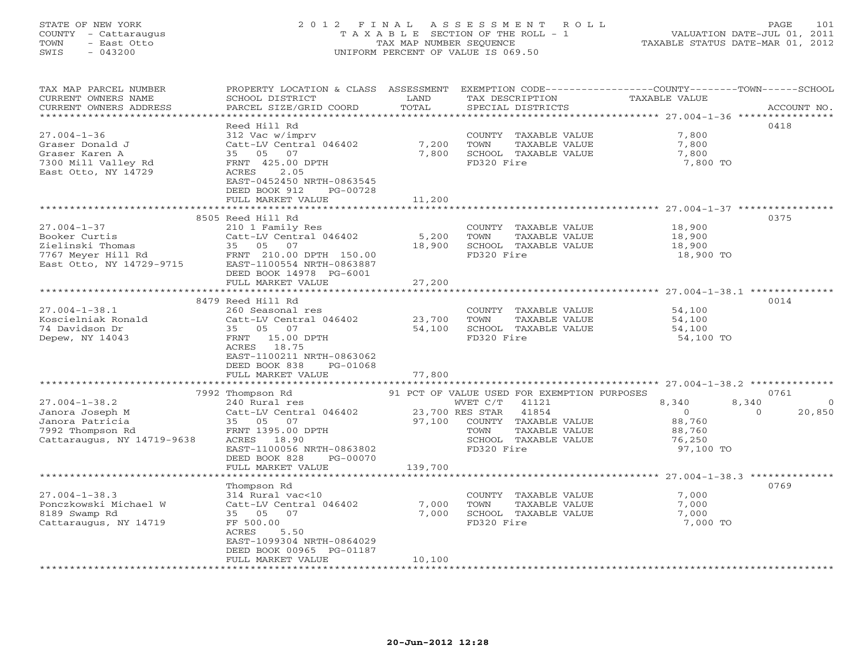#### STATE OF NEW YORK 2 0 1 2 F I N A L A S S E S S M E N T R O L L PAGE 101 COUNTY - Cattaraugus T A X A B L E SECTION OF THE ROLL - 1 VALUATION DATE-JUL 01, 2011 TOWN - East Otto TAX MAP NUMBER SEQUENCE TAXABLE STATUS DATE-MAR 01, 2012 SWIS - 043200 UNIFORM PERCENT OF VALUE IS 069.50UNIFORM PERCENT OF VALUE IS 069.50

| TAX MAP PARCEL NUMBER<br>CURRENT OWNERS NAME<br>CURRENT OWNERS ADDRESS<br>*************************         | PROPERTY LOCATION & CLASS ASSESSMENT<br>SCHOOL DISTRICT<br>PARCEL SIZE/GRID COORD                                                                                                            | LAND<br>TOTAL               | TAX DESCRIPTION<br>SPECIAL DISTRICTS                                                                                                                                                | EXEMPTION CODE-----------------COUNTY-------TOWN-----SCHOOL<br><b>TAXABLE VALUE</b> | ACCOUNT NO.                            |
|-------------------------------------------------------------------------------------------------------------|----------------------------------------------------------------------------------------------------------------------------------------------------------------------------------------------|-----------------------------|-------------------------------------------------------------------------------------------------------------------------------------------------------------------------------------|-------------------------------------------------------------------------------------|----------------------------------------|
| $27.004 - 1 - 36$<br>Graser Donald J<br>Graser Karen A<br>7300 Mill Valley Rd<br>East Otto, NY 14729        | Reed Hill Rd<br>312 Vac w/imprv<br>Catt-LV Central 046402<br>35 05<br>07<br>FRNT 425.00 DPTH<br>ACRES<br>2.05<br>EAST-0452450 NRTH-0863545<br>DEED BOOK 912<br>PG-00728<br>FULL MARKET VALUE | 7,200<br>7,800<br>11,200    | COUNTY TAXABLE VALUE<br>TAXABLE VALUE<br>TOWN<br>SCHOOL TAXABLE VALUE<br>FD320 Fire                                                                                                 | 7,800<br>7,800<br>7,800<br>7,800 TO                                                 | 0418                                   |
|                                                                                                             | *******************************                                                                                                                                                              | * * * * * * * * * * * * * * |                                                                                                                                                                                     | ******************************** 27.004-1-37 ****************                       |                                        |
| $27.004 - 1 - 37$<br>Booker Curtis<br>Zielinski Thomas<br>7767 Meyer Hill Rd<br>East Otto, NY 14729-9715    | 8505 Reed Hill Rd<br>210 1 Family Res<br>Catt-LV Central 046402<br>35 05 07<br>FRNT 210.00 DPTH 150.00<br>EAST-1100554 NRTH-0863887<br>DEED BOOK 14978 PG-6001                               | 5,200<br>18,900             | COUNTY TAXABLE VALUE<br>TOWN<br>TAXABLE VALUE<br>SCHOOL TAXABLE VALUE<br>FD320 Fire                                                                                                 | 18,900<br>18,900<br>18,900<br>18,900 TO                                             | 0375                                   |
|                                                                                                             | FULL MARKET VALUE                                                                                                                                                                            | 27,200                      |                                                                                                                                                                                     |                                                                                     |                                        |
|                                                                                                             | 8479 Reed Hill Rd                                                                                                                                                                            |                             |                                                                                                                                                                                     |                                                                                     | 0014                                   |
| $27.004 - 1 - 38.1$<br>Koscielniak Ronald<br>74 Davidson Dr<br>Depew, NY 14043                              | 260 Seasonal res<br>Catt-LV Central 046402<br>35 05 07<br>FRNT 15.00 DPTH<br>ACRES 18.75<br>EAST-1100211 NRTH-0863062<br>DEED BOOK 838<br>PG-01068<br>FULL MARKET VALUE                      | 23,700<br>54,100<br>77,800  | COUNTY TAXABLE VALUE<br>TAXABLE VALUE<br>TOWN<br>SCHOOL TAXABLE VALUE<br>FD320 Fire                                                                                                 | 54,100<br>54,100<br>54,100<br>54,100 TO                                             |                                        |
|                                                                                                             |                                                                                                                                                                                              |                             |                                                                                                                                                                                     |                                                                                     |                                        |
| $27.004 - 1 - 38.2$<br>Janora Joseph M<br>Janora Patricia<br>7992 Thompson Rd<br>Cattaraugus, NY 14719-9638 | 7992 Thompson Rd<br>240 Rural res<br>Catt-LV Central 046402<br>35 05 07<br>FRNT 1395.00 DPTH<br>ACRES 18.90<br>EAST-1100056 NRTH-0863802<br>DEED BOOK 828<br>PG-00070                        | 97,100                      | 91 PCT OF VALUE USED FOR EXEMPTION PURPOSES<br>WVET C/T<br>41121<br>41854<br>23,700 RES STAR<br>COUNTY TAXABLE VALUE<br>TAXABLE VALUE<br>TOWN<br>SCHOOL TAXABLE VALUE<br>FD320 Fire | 8,340<br>8,340<br>$\Omega$<br>88,760<br>88,760<br>76,250<br>97,100 TO               | 0761<br>$\Omega$<br>$\Omega$<br>20,850 |
|                                                                                                             | FULL MARKET VALUE                                                                                                                                                                            | 139,700                     |                                                                                                                                                                                     |                                                                                     |                                        |
|                                                                                                             | *******************<br>Thompson Rd                                                                                                                                                           |                             |                                                                                                                                                                                     |                                                                                     | 0769                                   |
| $27.004 - 1 - 38.3$<br>Ponczkowski Michael W<br>8189 Swamp Rd<br>Cattaraugus, NY 14719                      | 314 Rural vac<10<br>Catt-LV Central 046402<br>35 05 07<br>FF 500.00<br>ACRES<br>5.50<br>EAST-1099304 NRTH-0864029<br>DEED BOOK 00965 PG-01187                                                | 7,000<br>7,000              | COUNTY TAXABLE VALUE<br>TOWN<br>TAXABLE VALUE<br>SCHOOL TAXABLE VALUE<br>FD320 Fire                                                                                                 | 7,000<br>7,000<br>7,000<br>7,000 TO                                                 |                                        |
|                                                                                                             | FULL MARKET VALUE                                                                                                                                                                            | 10,100                      |                                                                                                                                                                                     |                                                                                     |                                        |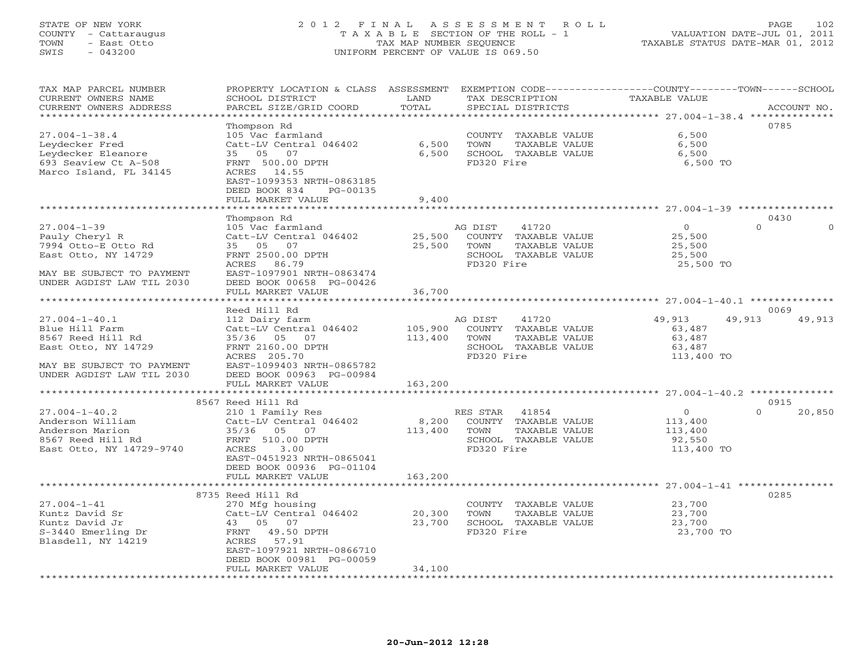#### STATE OF NEW YORK 2 0 1 2 F I N A L A S S E S S M E N T R O L L PAGE 102 COUNTY - Cattaraugus T A X A B L E SECTION OF THE ROLL - 1 VALUATION DATE-JUL 01, 2011 TOWN - East Otto TAX MAP NUMBER SEQUENCE TAXABLE STATUS DATE-MAR 01, 2012 SWIS - 043200 UNIFORM PERCENT OF VALUE IS 069.50UNIFORM PERCENT OF VALUE IS 069.50

| TAX MAP PARCEL NUMBER<br>CURRENT OWNERS NAME<br>CURRENT OWNERS ADDRESS | PROPERTY LOCATION & CLASS ASSESSMENT<br>SCHOOL DISTRICT<br>PARCEL SIZE/GRID COORD | LAND<br>TOTAL | TAX DESCRIPTION | SPECIAL DISTRICTS    | TAXABLE VALUE                             | EXEMPTION CODE-----------------COUNTY-------TOWN------SCHOOL<br>ACCOUNT NO. |
|------------------------------------------------------------------------|-----------------------------------------------------------------------------------|---------------|-----------------|----------------------|-------------------------------------------|-----------------------------------------------------------------------------|
| **********************                                                 |                                                                                   |               |                 |                      |                                           |                                                                             |
|                                                                        | Thompson Rd                                                                       |               |                 |                      |                                           | 0785                                                                        |
| $27.004 - 1 - 38.4$                                                    | 105 Vac farmland                                                                  |               |                 | COUNTY TAXABLE VALUE | 6,500                                     |                                                                             |
| Leydecker Fred                                                         | Catt-LV Central 046402                                                            | 6,500         | TOWN            | TAXABLE VALUE        | 6,500                                     |                                                                             |
| Leydecker Eleanore                                                     | 35 05 07                                                                          | 6,500         |                 | SCHOOL TAXABLE VALUE | 6,500                                     |                                                                             |
| 693 Seaview Ct A-508                                                   | FRNT 500.00 DPTH                                                                  |               | FD320 Fire      |                      | 6,500 TO                                  |                                                                             |
| Marco Island, FL 34145                                                 | ACRES 14.55                                                                       |               |                 |                      |                                           |                                                                             |
|                                                                        | EAST-1099353 NRTH-0863185                                                         |               |                 |                      |                                           |                                                                             |
|                                                                        | DEED BOOK 834<br>PG-00135<br>FULL MARKET VALUE                                    | 9,400         |                 |                      |                                           |                                                                             |
|                                                                        |                                                                                   |               |                 |                      | ****************** 27.004-1-39 ********** |                                                                             |
|                                                                        | Thompson Rd                                                                       |               |                 |                      |                                           | 0430                                                                        |
| $27.004 - 1 - 39$                                                      | 105 Vac farmland                                                                  |               | AG DIST         | 41720                | $\circ$                                   | $\Omega$                                                                    |
| Pauly Cheryl R                                                         | Catt-LV Central 046402                                                            | 25,500        |                 | COUNTY TAXABLE VALUE | 25,500                                    |                                                                             |
| 7994 Otto-E Otto Rd                                                    | 35 05 07                                                                          | 25,500        | TOWN            | TAXABLE VALUE        | 25,500                                    |                                                                             |
| East Otto, NY 14729                                                    | FRNT 2500.00 DPTH                                                                 |               |                 | SCHOOL TAXABLE VALUE | 25,500                                    |                                                                             |
|                                                                        | ACRES 86.79                                                                       |               | FD320 Fire      |                      | 25,500 TO                                 |                                                                             |
| MAY BE SUBJECT TO PAYMENT                                              | EAST-1097901 NRTH-0863474                                                         |               |                 |                      |                                           |                                                                             |
| UNDER AGDIST LAW TIL 2030                                              | DEED BOOK 00658 PG-00426                                                          |               |                 |                      |                                           |                                                                             |
|                                                                        | FULL MARKET VALUE                                                                 | 36,700        |                 |                      |                                           |                                                                             |
|                                                                        |                                                                                   |               |                 |                      |                                           |                                                                             |
|                                                                        | Reed Hill Rd                                                                      |               |                 |                      |                                           | 0069                                                                        |
| $27.004 - 1 - 40.1$                                                    | 112 Dairy farm                                                                    |               | AG DIST         | 41720                | 49,913                                    | 49,913<br>49,913                                                            |
| Blue Hill Farm                                                         | Catt-LV Central 046402                                                            | 105,900       |                 | COUNTY TAXABLE VALUE | 63,487                                    |                                                                             |
| 8567 Reed Hill Rd                                                      | 35/36 05 07                                                                       | 113,400       | TOWN            | TAXABLE VALUE        | 63,487                                    |                                                                             |
| East Otto, NY 14729                                                    | FRNT 2160.00 DPTH<br>ACRES 205.70                                                 |               | FD320 Fire      | SCHOOL TAXABLE VALUE | 63,487<br>113,400 TO                      |                                                                             |
| MAY BE SUBJECT TO PAYMENT                                              | EAST-1099403 NRTH-0865782                                                         |               |                 |                      |                                           |                                                                             |
| UNDER AGDIST LAW TIL 2030                                              | DEED BOOK 00963 PG-00984                                                          |               |                 |                      |                                           |                                                                             |
|                                                                        | FULL MARKET VALUE                                                                 | 163,200       |                 |                      |                                           |                                                                             |
|                                                                        |                                                                                   |               |                 |                      |                                           |                                                                             |
|                                                                        | 8567 Reed Hill Rd                                                                 |               |                 |                      |                                           | 0915                                                                        |
| $27.004 - 1 - 40.2$                                                    | 210 1 Family Res                                                                  |               | RES STAR 41854  |                      | $\overline{O}$                            | $\Omega$<br>20,850                                                          |
| Anderson William                                                       | Catt-LV Central 046402                                                            | 8,200         |                 | COUNTY TAXABLE VALUE | 113,400                                   |                                                                             |
| Anderson Marion                                                        | 35/36 05 07                                                                       | 113,400       | TOWN            | TAXABLE VALUE        | 113,400                                   |                                                                             |
| 8567 Reed Hill Rd                                                      | FRNT 510.00 DPTH                                                                  |               |                 | SCHOOL TAXABLE VALUE | 92,550                                    |                                                                             |
| East Otto, NY 14729-9740                                               | ACRES<br>3.00                                                                     |               | FD320 Fire      |                      | 113,400 TO                                |                                                                             |
|                                                                        | EAST-0451923 NRTH-0865041                                                         |               |                 |                      |                                           |                                                                             |
|                                                                        | DEED BOOK 00936 PG-01104<br>FULL MARKET VALUE                                     | 163,200       |                 |                      |                                           |                                                                             |
|                                                                        | *******************                                                               | ************  |                 |                      |                                           |                                                                             |
|                                                                        | 8735 Reed Hill Rd                                                                 |               |                 |                      |                                           | 0285                                                                        |
| $27.004 - 1 - 41$                                                      | 270 Mfg housing                                                                   |               |                 | COUNTY TAXABLE VALUE | 23,700                                    |                                                                             |
| Kuntz David Sr                                                         | Catt-LV Central 046402                                                            | 20,300        | TOWN            | TAXABLE VALUE        | 23,700                                    |                                                                             |
| Kuntz David Jr                                                         | 43 05 07                                                                          | 23,700        |                 | SCHOOL TAXABLE VALUE | 23,700                                    |                                                                             |
| S-3440 Emerling Dr                                                     | FRNT 49.50 DPTH                                                                   |               | FD320 Fire      |                      | 23,700 TO                                 |                                                                             |
| Blasdell, NY 14219                                                     | 57.91<br>ACRES                                                                    |               |                 |                      |                                           |                                                                             |
|                                                                        | EAST-1097921 NRTH-0866710                                                         |               |                 |                      |                                           |                                                                             |
|                                                                        | DEED BOOK 00981 PG-00059                                                          |               |                 |                      |                                           |                                                                             |
|                                                                        | FULL MARKET VALUE                                                                 | 34,100        |                 |                      |                                           |                                                                             |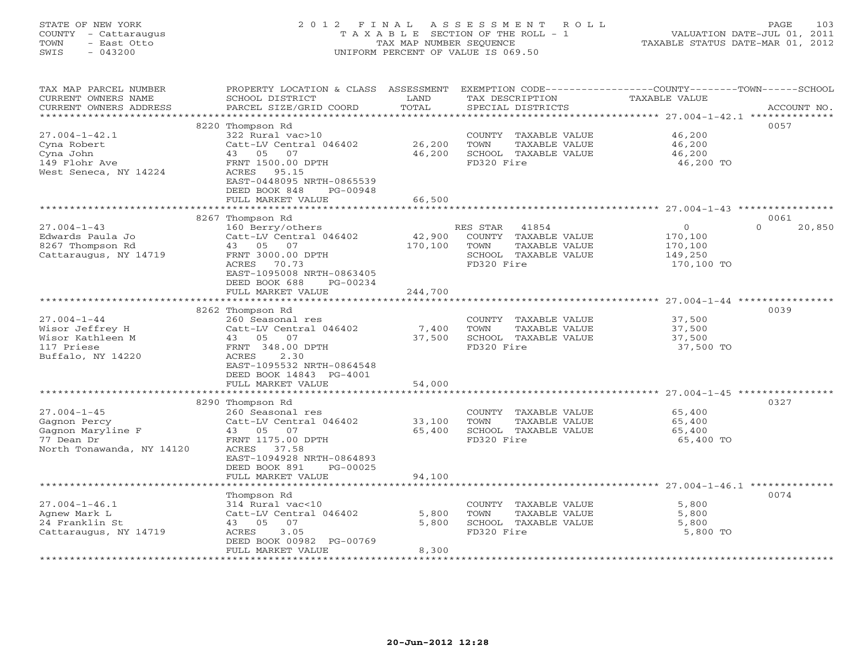### STATE OF NEW YORK 2 0 1 2 F I N A L A S S E S S M E N T R O L L PAGE 103 COUNTY - Cattaraugus T A X A B L E SECTION OF THE ROLL - 1 VALUATION DATE-JUL 01, 2011 TOWN - East Otto TAX MAP NUMBER SEQUENCE TAXABLE STATUS DATE-MAR 01, 2012 SWIS - 043200 UNIFORM PERCENT OF VALUE IS 069.50UNIFORM PERCENT OF VALUE IS 069.50

| TAX MAP PARCEL NUMBER<br>CURRENT OWNERS NAME<br>CURRENT OWNERS ADDRESS | PROPERTY LOCATION & CLASS<br>SCHOOL DISTRICT<br>PARCEL SIZE/GRID COORD | ASSESSMENT<br>LAND<br>TOTAL | TAX DESCRIPTION<br>SPECIAL DISTRICTS | EXEMPTION CODE-----------------COUNTY-------TOWN------SCHOOL<br>TAXABLE VALUE | ACCOUNT NO.        |
|------------------------------------------------------------------------|------------------------------------------------------------------------|-----------------------------|--------------------------------------|-------------------------------------------------------------------------------|--------------------|
| **********************                                                 |                                                                        |                             |                                      |                                                                               |                    |
|                                                                        | 8220 Thompson Rd                                                       |                             |                                      |                                                                               | 0057               |
| $27.004 - 1 - 42.1$                                                    | 322 Rural vac>10                                                       |                             | COUNTY TAXABLE VALUE                 | 46,200                                                                        |                    |
| Cyna Robert                                                            | Catt-LV Central 046402                                                 | 26,200                      | TOWN<br>TAXABLE VALUE                | 46,200                                                                        |                    |
| Cyna John                                                              | 43<br>05<br>07                                                         | 46,200                      | SCHOOL TAXABLE VALUE                 | 46,200                                                                        |                    |
| 149 Flohr Ave                                                          | FRNT 1500.00 DPTH                                                      |                             | FD320 Fire                           | 46,200 TO                                                                     |                    |
| West Seneca, NY 14224                                                  | ACRES 95.15                                                            |                             |                                      |                                                                               |                    |
|                                                                        | EAST-0448095 NRTH-0865539                                              |                             |                                      |                                                                               |                    |
|                                                                        | DEED BOOK 848<br>PG-00948                                              |                             |                                      |                                                                               |                    |
|                                                                        | FULL MARKET VALUE                                                      | 66,500                      |                                      |                                                                               |                    |
|                                                                        |                                                                        |                             |                                      |                                                                               |                    |
|                                                                        | 8267 Thompson Rd                                                       |                             |                                      |                                                                               | 0061               |
| $27.004 - 1 - 43$                                                      | 160 Berry/others                                                       |                             | RES STAR<br>41854                    | $\mathbf{0}$                                                                  | $\Omega$<br>20,850 |
| Edwards Paula Jo                                                       | Catt-LV Central 046402                                                 | 42,900                      | COUNTY TAXABLE VALUE                 | 170,100                                                                       |                    |
| 8267 Thompson Rd                                                       | 43 05 07                                                               | 170,100                     | TOWN<br>TAXABLE VALUE                | 170,100                                                                       |                    |
| Cattaraugus, NY 14719                                                  | FRNT 3000.00 DPTH                                                      |                             | SCHOOL TAXABLE VALUE                 | 149,250                                                                       |                    |
|                                                                        | <b>ACRES</b><br>70.73                                                  |                             | FD320 Fire                           | 170,100 TO                                                                    |                    |
|                                                                        | EAST-1095008 NRTH-0863405                                              |                             |                                      |                                                                               |                    |
|                                                                        | DEED BOOK 688<br>PG-00234                                              |                             |                                      |                                                                               |                    |
|                                                                        | FULL MARKET VALUE                                                      | 244,700                     |                                      |                                                                               |                    |
|                                                                        | *******************                                                    |                             |                                      | ******************** 27.004-1-44 *****                                        |                    |
|                                                                        | 8262 Thompson Rd                                                       |                             |                                      |                                                                               | 0039               |
| $27.004 - 1 - 44$                                                      | 260 Seasonal res                                                       |                             | COUNTY TAXABLE VALUE                 | 37,500                                                                        |                    |
| Wisor Jeffrey H                                                        | Catt-LV Central 046402                                                 | 7,400                       | TOWN<br>TAXABLE VALUE                | 37,500                                                                        |                    |
| Wisor Kathleen M                                                       | 43 05 07                                                               | 37,500                      | SCHOOL TAXABLE VALUE                 | 37,500                                                                        |                    |
| 117 Priese                                                             | FRNT 348.00 DPTH                                                       |                             | FD320 Fire                           | 37,500 TO                                                                     |                    |
| Buffalo, NY 14220                                                      | 2.30<br>ACRES                                                          |                             |                                      |                                                                               |                    |
|                                                                        | EAST-1095532 NRTH-0864548                                              |                             |                                      |                                                                               |                    |
|                                                                        | DEED BOOK 14843 PG-4001                                                |                             |                                      |                                                                               |                    |
|                                                                        | FULL MARKET VALUE<br>***********************                           | 54,000                      |                                      |                                                                               |                    |
|                                                                        | 8290 Thompson Rd                                                       |                             |                                      |                                                                               | 0327               |
| $27.004 - 1 - 45$                                                      | 260 Seasonal res                                                       |                             | COUNTY TAXABLE VALUE                 | 65,400                                                                        |                    |
| Gagnon Percy                                                           | Catt-LV Central 046402                                                 | 33,100                      | TOWN<br>TAXABLE VALUE                | 65,400                                                                        |                    |
| Gagnon Maryline F                                                      | 43 05 07                                                               | 65,400                      | SCHOOL TAXABLE VALUE                 | 65,400                                                                        |                    |
| 77 Dean Dr                                                             | FRNT 1175.00 DPTH                                                      |                             | FD320 Fire                           | 65,400 TO                                                                     |                    |
| North Tonawanda, NY 14120                                              | ACRES<br>37.58                                                         |                             |                                      |                                                                               |                    |
|                                                                        | EAST-1094928 NRTH-0864893                                              |                             |                                      |                                                                               |                    |
|                                                                        | DEED BOOK 891<br>PG-00025                                              |                             |                                      |                                                                               |                    |
|                                                                        | FULL MARKET VALUE                                                      | 94,100                      |                                      |                                                                               |                    |
|                                                                        | ******************                                                     |                             |                                      |                                                                               |                    |
|                                                                        | Thompson Rd                                                            |                             |                                      |                                                                               | 0074               |
| $27.004 - 1 - 46.1$                                                    | 314 Rural vac<10                                                       |                             | COUNTY TAXABLE VALUE                 | 5,800                                                                         |                    |
| Agnew Mark L                                                           | Catt-LV Central 046402                                                 | 5,800                       | TOWN<br>TAXABLE VALUE                | 5,800                                                                         |                    |
| 24 Franklin St                                                         | 07<br>05<br>43                                                         | 5,800                       | SCHOOL TAXABLE VALUE                 | 5,800                                                                         |                    |
| Cattaraugus, NY 14719                                                  | ACRES<br>3.05                                                          |                             | FD320 Fire                           | 5,800 TO                                                                      |                    |
|                                                                        | DEED BOOK 00982 PG-00769                                               |                             |                                      |                                                                               |                    |
|                                                                        | FULL MARKET VALUE                                                      | 8,300                       |                                      |                                                                               |                    |
|                                                                        |                                                                        |                             |                                      |                                                                               |                    |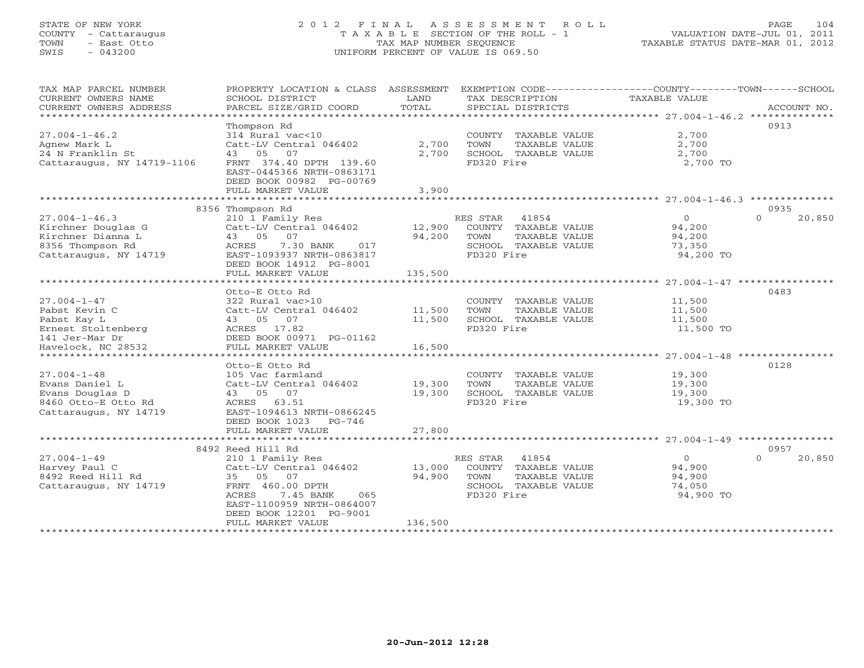### STATE OF NEW YORK 2 0 1 2 F I N A L A S S E S S M E N T R O L L PAGE 104 COUNTY - Cattaraugus T A X A B L E SECTION OF THE ROLL - 1 VALUATION DATE-JUL 01, 2011 TOWN - East Otto TAX MAP NUMBER SEQUENCE TAXABLE STATUS DATE-MAR 01, 2012 SWIS - 043200 UNIFORM PERCENT OF VALUE IS 069.50UNIFORM PERCENT OF VALUE IS 069.50

| TAX MAP PARCEL NUMBER<br>CURRENT OWNERS NAME<br>CURRENT OWNERS ADDRESS | PROPERTY LOCATION & CLASS ASSESSMENT<br>SCHOOL DISTRICT<br>PARCEL SIZE/GRID COORD | LAND<br>TOTAL | TAX DESCRIPTION<br>SPECIAL DISTRICTS      | EXEMPTION CODE-----------------COUNTY-------TOWN------SCHOOL<br>TAXABLE VALUE | ACCOUNT NO. |
|------------------------------------------------------------------------|-----------------------------------------------------------------------------------|---------------|-------------------------------------------|-------------------------------------------------------------------------------|-------------|
| *************************                                              |                                                                                   |               |                                           |                                                                               |             |
|                                                                        | Thompson Rd                                                                       |               |                                           | 0913                                                                          |             |
| $27.004 - 1 - 46.2$                                                    | 314 Rural vac<10                                                                  |               | COUNTY TAXABLE VALUE                      | 2,700                                                                         |             |
| Agnew Mark L                                                           | Catt-LV Central 046402                                                            | 2,700         | TOWN<br>TAXABLE VALUE                     | 2,700                                                                         |             |
| 24 N Franklin St                                                       | 43 05 07                                                                          | 2,700         | SCHOOL TAXABLE VALUE                      | 2,700                                                                         |             |
| Cattaraugus, NY 14719-1106                                             | FRNT 374.40 DPTH 139.60<br>EAST-0445366 NRTH-0863171<br>DEED BOOK 00982 PG-00769  |               | FD320 Fire                                | 2,700 TO                                                                      |             |
|                                                                        | FULL MARKET VALUE                                                                 | 3,900         |                                           |                                                                               |             |
|                                                                        |                                                                                   |               |                                           |                                                                               |             |
| $27.004 - 1 - 46.3$                                                    | 8356 Thompson Rd                                                                  |               |                                           | 0935<br>$\Omega$                                                              | 20,850      |
| Kirchner Douglas G                                                     | 210 1 Family Res<br>Catt-LV Central 046402                                        | 12,900        | RES STAR<br>41854<br>COUNTY TAXABLE VALUE | $\circ$<br>94,200                                                             |             |
| Kirchner Dianna L                                                      | 43 05 07                                                                          | 94,200        | TAXABLE VALUE<br>TOWN                     | 94,200                                                                        |             |
| 8356 Thompson Rd                                                       | ACRES<br>7.30 BANK<br>017                                                         |               | SCHOOL TAXABLE VALUE                      | 73,350                                                                        |             |
| Cattaraugus, NY 14719                                                  | EAST-1093937 NRTH-0863817                                                         |               | FD320 Fire                                | 94,200 TO                                                                     |             |
|                                                                        | DEED BOOK 14912 PG-8001                                                           |               |                                           |                                                                               |             |
|                                                                        | FULL MARKET VALUE                                                                 | 135,500       |                                           |                                                                               |             |
|                                                                        | ************************                                                          |               |                                           |                                                                               |             |
|                                                                        | Otto-E Otto Rd                                                                    |               |                                           | 0483                                                                          |             |
| $27.004 - 1 - 47$                                                      | 322 Rural vac>10                                                                  |               | COUNTY TAXABLE VALUE                      | 11,500                                                                        |             |
| Pabst Kevin C                                                          | Catt-LV Central 046402                                                            | 11,500        | TOWN<br>TAXABLE VALUE                     | 11,500                                                                        |             |
| Pabst Kay L                                                            | 43 05 07                                                                          | 11,500        | SCHOOL TAXABLE VALUE                      | 11,500                                                                        |             |
| Ernest Stoltenberg                                                     | ACRES 17.82                                                                       |               | FD320 Fire                                | 11,500 TO                                                                     |             |
| 141 Jer-Mar Dr<br>Havelock, NC 28532                                   | DEED BOOK 00971 PG-01162<br>FULL MARKET VALUE                                     | 16,500        |                                           |                                                                               |             |
|                                                                        |                                                                                   |               |                                           |                                                                               |             |
|                                                                        | Otto-E Otto Rd                                                                    |               |                                           | 0128                                                                          |             |
| $27.004 - 1 - 48$                                                      | 105 Vac farmland                                                                  |               | COUNTY TAXABLE VALUE                      | 19,300                                                                        |             |
| Evans Daniel L                                                         | Catt-LV Central 046402                                                            | 19,300        | TOWN<br>TAXABLE VALUE                     | 19,300                                                                        |             |
| Evans Douglas D                                                        | 43 05 07                                                                          | 19,300        | SCHOOL TAXABLE VALUE                      | 19,300                                                                        |             |
| 8460 Otto-E Otto Rd                                                    | ACRES 63.51                                                                       |               | FD320 Fire                                | 19,300 TO                                                                     |             |
| Cattaraugus, NY 14719                                                  | EAST-1094613 NRTH-0866245                                                         |               |                                           |                                                                               |             |
|                                                                        | DEED BOOK 1023<br>PG-746                                                          |               |                                           |                                                                               |             |
|                                                                        | FULL MARKET VALUE<br>*******************************                              | 27,800        |                                           |                                                                               |             |
|                                                                        | 8492 Reed Hill Rd                                                                 |               |                                           | 0957                                                                          |             |
| $27.004 - 1 - 49$                                                      | 210 1 Family Res                                                                  |               | RES STAR<br>41854                         | $\overline{0}$<br>$\Omega$                                                    | 20,850      |
| Harvey Paul C                                                          | Catt-LV Central 046402                                                            | 13,000        | COUNTY TAXABLE VALUE                      | 94,900                                                                        |             |
| 8492 Reed Hill Rd                                                      | 35 05 07                                                                          | 94,900        | TOWN<br>TAXABLE VALUE                     | 94,900                                                                        |             |
| Cattaraugus, NY 14719                                                  | FRNT 460.00 DPTH                                                                  |               | SCHOOL TAXABLE VALUE                      | 74,050                                                                        |             |
|                                                                        | 7.45 BANK<br>ACRES<br>065                                                         |               | FD320 Fire                                | 94,900 TO                                                                     |             |
|                                                                        | EAST-1100959 NRTH-0864007                                                         |               |                                           |                                                                               |             |
|                                                                        | DEED BOOK 12201 PG-9001                                                           |               |                                           |                                                                               |             |
|                                                                        | FULL MARKET VALUE                                                                 | 136,500       |                                           |                                                                               |             |
|                                                                        |                                                                                   |               |                                           |                                                                               |             |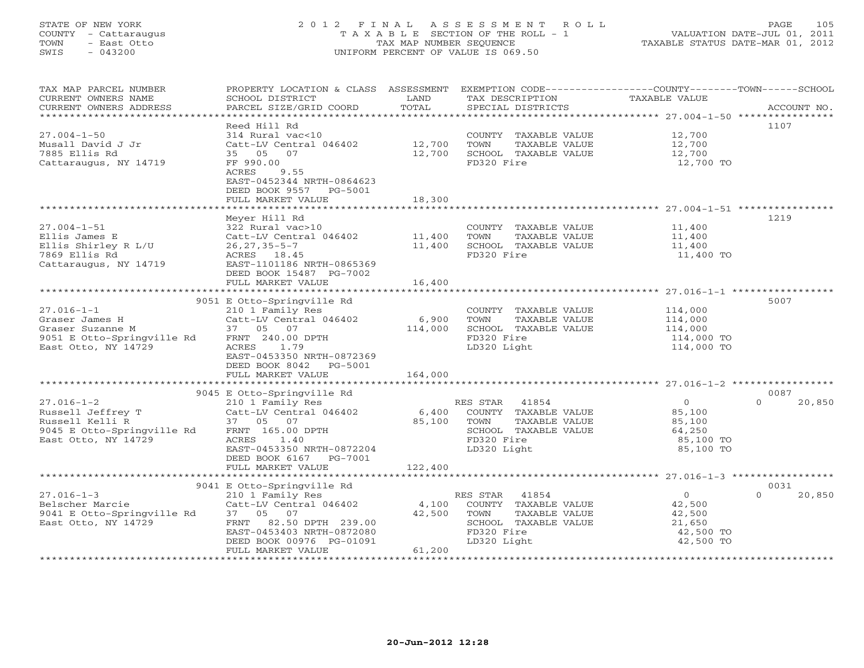### STATE OF NEW YORK 2012 FINAL ASSESSMENT ROLL COUNTY - Cattaraugus T A X A B L E SECTION OF THE ROLL - 1<br>
TOWN - East Otto TAX MAP NUMBER SEQUENCE<br>
SWIS - 043200 SWIS - 043200 UNIFORM PERCENT OF VALUE IS 069.50

|  | LUATION DATE-JUL 01, 2011.         |                               |
|--|------------------------------------|-------------------------------|
|  | $G$ mamir $G$ Damin Map $\Omega$ 1 | $\bigcap_{\alpha=1}^{\infty}$ |

| TAX MAP PARCEL NUMBER                                                                                                                                  | PROPERTY LOCATION & CLASS ASSESSMENT EXEMPTION CODE----------------COUNTY-------TOWN------SCHOOL |         |                            |                            |                    |
|--------------------------------------------------------------------------------------------------------------------------------------------------------|--------------------------------------------------------------------------------------------------|---------|----------------------------|----------------------------|--------------------|
| CURRENT OWNERS NAME                                                                                                                                    | SCHOOL DISTRICT                                                                                  | LAND    | TAX DESCRIPTION            | TAXABLE VALUE              |                    |
| CURRENT OWNERS ADDRESS                                                                                                                                 | PARCEL SIZE/GRID COORD                                                                           | TOTAL   | SPECIAL DISTRICTS          |                            | ACCOUNT NO.        |
|                                                                                                                                                        |                                                                                                  |         |                            |                            |                    |
|                                                                                                                                                        | Reed Hill Rd                                                                                     |         |                            |                            | 1107               |
| $27.004 - 1 - 50$                                                                                                                                      | 314 Rural vac<10                                                                                 |         | COUNTY TAXABLE VALUE       | 12,700                     |                    |
| Musall David J Jr                                                                                                                                      |                                                                                                  |         | TOWN<br>TAXABLE VALUE      | 12,700                     |                    |
|                                                                                                                                                        | Catt-LV Central 046402 12,700                                                                    |         |                            |                            |                    |
| 7885 Ellis Rd                                                                                                                                          | 35 05<br>07                                                                                      | 12,700  | SCHOOL TAXABLE VALUE       | 12,700                     |                    |
| Cattaraugus, NY 14719                                                                                                                                  | FF 990.00                                                                                        |         | FD320 Fire                 | 12,700 TO                  |                    |
|                                                                                                                                                        | ACRES<br>9.55                                                                                    |         |                            |                            |                    |
|                                                                                                                                                        | EAST-0452344 NRTH-0864623                                                                        |         |                            |                            |                    |
|                                                                                                                                                        | DEED BOOK 9557 PG-5001                                                                           |         |                            |                            |                    |
|                                                                                                                                                        | FULL MARKET VALUE                                                                                | 18,300  |                            |                            |                    |
|                                                                                                                                                        |                                                                                                  |         |                            |                            |                    |
|                                                                                                                                                        | Meyer Hill Rd                                                                                    |         |                            |                            | 1219               |
| $27.004 - 1 - 51$                                                                                                                                      |                                                                                                  |         | COUNTY TAXABLE VALUE       | 11,400                     |                    |
| Ellis James E                                                                                                                                          | $322$ Rural vac>10<br>Catt-LV Central 046402 11,400                                              |         | TOWN<br>TAXABLE VALUE      | 11,400                     |                    |
| Ellis Shirley R L/U                                                                                                                                    | 26,27,35-5-7                                                                                     | 11,400  | SCHOOL TAXABLE VALUE       | 11,400                     |                    |
| 7869 Ellis Rd                                                                                                                                          | ACRES 18.45                                                                                      |         | FD320 Fire                 | 11,400 TO                  |                    |
|                                                                                                                                                        | EAST-1101186 NRTH-0865369                                                                        |         |                            |                            |                    |
| Cattaraugus, NY 14719                                                                                                                                  |                                                                                                  |         |                            |                            |                    |
|                                                                                                                                                        | DEED BOOK 15487 PG-7002                                                                          |         |                            |                            |                    |
|                                                                                                                                                        | FULL MARKET VALUE                                                                                | 16,400  |                            |                            |                    |
|                                                                                                                                                        |                                                                                                  |         |                            |                            |                    |
|                                                                                                                                                        | 9051 E Otto-Springville Rd                                                                       |         |                            |                            | 5007               |
| $27.016 - 1 - 1$                                                                                                                                       | 210 1 Family Res                                                                                 |         | COUNTY TAXABLE VALUE       |                            |                    |
|                                                                                                                                                        | Catt-LV Central 046402                                                                           | 6,900   | TOWN<br>TAXABLE VALUE      | 114,000<br>114,000         |                    |
| 27.016-1-1<br>Graser James H (210 1 ramily Res)<br>Graser Suzanne M (37 05 07<br>9051 E Otto-Springville Rd FRNT 240.00 DPTH                           |                                                                                                  | 114,000 | SCHOOL TAXABLE VALUE       | 114,000                    |                    |
|                                                                                                                                                        |                                                                                                  |         | FD320 Fire                 | 114,000 TO                 |                    |
| East Otto, NY 14729                                                                                                                                    | ACRES<br>1.79                                                                                    |         | LD320 Light                | 114,000 TO                 |                    |
|                                                                                                                                                        | EAST-0453350 NRTH-0872369                                                                        |         |                            |                            |                    |
|                                                                                                                                                        | DEED BOOK 8042 PG-5001                                                                           |         |                            |                            |                    |
|                                                                                                                                                        | FULL MARKET VALUE                                                                                | 164,000 |                            |                            |                    |
|                                                                                                                                                        |                                                                                                  |         |                            |                            |                    |
|                                                                                                                                                        |                                                                                                  |         |                            |                            |                    |
|                                                                                                                                                        | 9045 E Otto-Springville Rd                                                                       |         |                            |                            | 0087               |
|                                                                                                                                                        |                                                                                                  |         | RES STAR 41854             | $\overline{O}$             | $\Omega$<br>20,850 |
|                                                                                                                                                        |                                                                                                  | 6,400   | COUNTY TAXABLE VALUE       | 85,100                     |                    |
|                                                                                                                                                        |                                                                                                  | 85,100  | TOWN<br>TAXABLE VALUE      | 85,100                     |                    |
| 27.016-1-2<br>Russell Jeffrey T<br>Russell Kelli R<br>9045 E Otto-Springville Rd<br>FRNT 165.00 DPTH<br>9045 E Otto-Springville Rd<br>FRNT 165.00 DPTH |                                                                                                  |         | SCHOOL TAXABLE VALUE       | 64,250                     |                    |
| East Otto, NY 14729                                                                                                                                    | ACRES 1.40                                                                                       |         | FD320 Fire                 | 85,100 TO                  |                    |
|                                                                                                                                                        | EAST-0453350 NRTH-0872204                                                                        |         | LD320 Light                | 85,100 TO                  |                    |
|                                                                                                                                                        | DEED BOOK 6167 PG-7001                                                                           |         |                            |                            |                    |
|                                                                                                                                                        | FULL MARKET VALUE                                                                                | 122,400 |                            |                            |                    |
|                                                                                                                                                        |                                                                                                  |         |                            |                            |                    |
|                                                                                                                                                        | 9041 E Otto-Springville Rd                                                                       |         |                            |                            | 0031               |
| $27.016 - 1 - 3$                                                                                                                                       |                                                                                                  |         | RES STAR 41854             | $\overline{0}$<br>$\Omega$ | 20,850             |
|                                                                                                                                                        | 210 1 Family Res                                                                                 |         |                            |                            |                    |
| Belscher Marcie                                                                                                                                        | Catt-LV Central 046402                                                                           |         | 4,100 COUNTY TAXABLE VALUE | 42,500                     |                    |
| 9041 E Otto-Springville Rd 37 05 07                                                                                                                    |                                                                                                  | 42,500  | TOWN<br>TAXABLE VALUE      | 42,500                     |                    |
| East Otto, NY 14729                                                                                                                                    | FRNT 82.50 DPTH 239.00                                                                           |         | SCHOOL TAXABLE VALUE       | 21,650                     |                    |
|                                                                                                                                                        | EAST-0453403 NRTH-0872080                                                                        |         | FD320 Fire                 | 42,500 TO                  |                    |
|                                                                                                                                                        | DEED BOOK 00976 PG-01091                                                                         |         | LD320 Light                | 42,500 TO                  |                    |
|                                                                                                                                                        | FULL MARKET VALUE                                                                                | 61,200  |                            |                            |                    |
|                                                                                                                                                        |                                                                                                  |         |                            |                            |                    |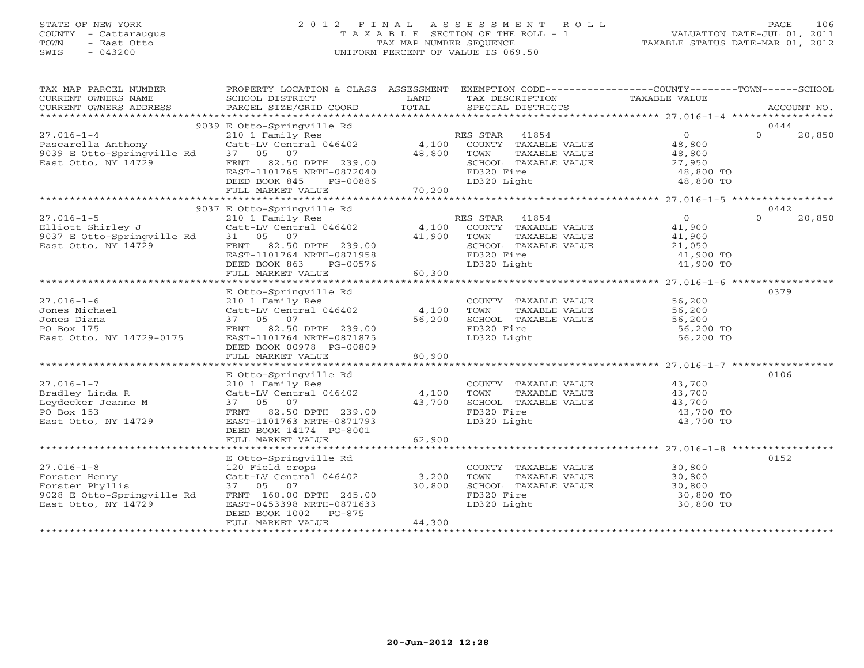### STATE OF NEW YORK 2 0 1 2 F I N A L A S S E S S M E N T R O L L PAGE 106 COUNTY - Cattaraugus T A X A B L E SECTION OF THE ROLL - 1 VALUATION DATE-JUL 01, 2011 TOWN - East Otto TAX MAP NUMBER SEQUENCE TAXABLE STATUS DATE-MAR 01, 2012 SWIS - 043200 UNIFORM PERCENT OF VALUE IS 069.50UNIFORM PERCENT OF VALUE IS 069.50

| TAX MAP PARCEL NUMBER                    | PROPERTY LOCATION & CLASS ASSESSMENT EXEMPTION CODE---------------COUNTY-------TOWN------SCHOOL                                                                         |                 |                                       |                                    |                                                                                                                                                                                                                                                                                                                                                                                                                                                                             |          |             |
|------------------------------------------|-------------------------------------------------------------------------------------------------------------------------------------------------------------------------|-----------------|---------------------------------------|------------------------------------|-----------------------------------------------------------------------------------------------------------------------------------------------------------------------------------------------------------------------------------------------------------------------------------------------------------------------------------------------------------------------------------------------------------------------------------------------------------------------------|----------|-------------|
| CURRENT OWNERS NAME                      | SCHOOL DISTRICT                                                                                                                                                         |                 | TAX DESCRIPTION TAXABLE VALUE<br>LAND |                                    |                                                                                                                                                                                                                                                                                                                                                                                                                                                                             |          |             |
| CURRENT OWNERS ADDRESS                   | PARCEL SIZE/GRID COORD                                                                                                                                                  | TOTAL           |                                       | SPECIAL DISTRICTS                  |                                                                                                                                                                                                                                                                                                                                                                                                                                                                             |          | ACCOUNT NO. |
|                                          |                                                                                                                                                                         |                 |                                       |                                    |                                                                                                                                                                                                                                                                                                                                                                                                                                                                             |          |             |
|                                          | 9039 E Otto-Springville Rd<br>E Otto-Springville Rd<br>210 1 Family Res<br>Catt-LV Central 046402 (4,100 COUNTY TAXABLE VALUE 48,800 (4,100 COUNTY TAXABLE VALUE 48,800 |                 |                                       |                                    |                                                                                                                                                                                                                                                                                                                                                                                                                                                                             | $\Omega$ | 0444        |
| $27.016 - 1 - 4$                         |                                                                                                                                                                         |                 |                                       |                                    |                                                                                                                                                                                                                                                                                                                                                                                                                                                                             |          | 20,850      |
|                                          |                                                                                                                                                                         | 48,800          |                                       |                                    |                                                                                                                                                                                                                                                                                                                                                                                                                                                                             |          |             |
|                                          | FRNT 82.50 DPTH 239.00                                                                                                                                                  |                 | TOWN                                  | TAXABLE VALUE                      | 48,800<br>SCHOOL TAXABLE VALUE 27,950                                                                                                                                                                                                                                                                                                                                                                                                                                       |          |             |
|                                          | EAST-1101765 NRTH-0872040                                                                                                                                               |                 | FD320 Fire                            |                                    | 48,800 TO                                                                                                                                                                                                                                                                                                                                                                                                                                                                   |          |             |
|                                          |                                                                                                                                                                         |                 |                                       |                                    | $48,800$ TO $48,800$ TO                                                                                                                                                                                                                                                                                                                                                                                                                                                     |          |             |
|                                          |                                                                                                                                                                         |                 |                                       |                                    |                                                                                                                                                                                                                                                                                                                                                                                                                                                                             |          |             |
|                                          |                                                                                                                                                                         |                 |                                       |                                    |                                                                                                                                                                                                                                                                                                                                                                                                                                                                             |          |             |
|                                          | 9037 E Otto-Springville Rd                                                                                                                                              |                 |                                       |                                    |                                                                                                                                                                                                                                                                                                                                                                                                                                                                             | 0442     |             |
| $27.016 - 1 - 5$                         | E Otto-Springville ka<br>210 1 Family Res<br>Catt-LV Central 046402 4,100 COUNTY TAXABLE VALUE<br><sup>41.900</sup> TOWN TAXABLE VALUE                                  |                 |                                       |                                    | $\overline{0}$                                                                                                                                                                                                                                                                                                                                                                                                                                                              | $\Omega$ | 20,850      |
| Elliott Shirley J                        |                                                                                                                                                                         |                 |                                       |                                    |                                                                                                                                                                                                                                                                                                                                                                                                                                                                             |          |             |
| 9037 E Otto-Springville Rd 31 05 07      |                                                                                                                                                                         |                 |                                       |                                    | 41,900<br>41,900                                                                                                                                                                                                                                                                                                                                                                                                                                                            |          |             |
| East Otto, NY 14729                      |                                                                                                                                                                         |                 |                                       |                                    |                                                                                                                                                                                                                                                                                                                                                                                                                                                                             |          |             |
|                                          | EAST-1101764 NRTH-0871958                                                                                                                                               |                 |                                       |                                    | SCHOOL TAXABLE VALUE 21,050<br>FD320 Fire 41,900 TO                                                                                                                                                                                                                                                                                                                                                                                                                         |          |             |
|                                          | DEED BOOK 863<br>PG-00576                                                                                                                                               |                 | LD320 Light                           |                                    | 41,900 TO<br>41,900 TO                                                                                                                                                                                                                                                                                                                                                                                                                                                      |          |             |
|                                          | FULL MARKET VALUE                                                                                                                                                       | $-00576$ 60,300 |                                       |                                    |                                                                                                                                                                                                                                                                                                                                                                                                                                                                             |          |             |
|                                          |                                                                                                                                                                         |                 |                                       |                                    |                                                                                                                                                                                                                                                                                                                                                                                                                                                                             |          |             |
|                                          | E Otto-Springville Rd                                                                                                                                                   |                 |                                       |                                    |                                                                                                                                                                                                                                                                                                                                                                                                                                                                             | 0379     |             |
| $27.016 - 1 - 6$                         |                                                                                                                                                                         |                 |                                       |                                    | COUNTY TAXABLE VALUE 56,200                                                                                                                                                                                                                                                                                                                                                                                                                                                 |          |             |
| Jones Michael                            |                                                                                                                                                                         |                 |                                       |                                    |                                                                                                                                                                                                                                                                                                                                                                                                                                                                             |          |             |
| Jones Diana                              | 210 1 Family Res<br>Catt-LV Central 046402 4,100 TOWN<br>37 05 07 56,200 SCHOO                                                                                          |                 |                                       |                                    | COUNTI TAXABLE VALUE 56,200<br>SCHOOL TAXABLE VALUE 56,200<br>SG,200 56,200                                                                                                                                                                                                                                                                                                                                                                                                 |          |             |
| PO Box 175                               | FRNT 82.50 DPTH 239.00                                                                                                                                                  |                 | FD320 Fire                            |                                    | 56,200 TO                                                                                                                                                                                                                                                                                                                                                                                                                                                                   |          |             |
| East Otto, NY 14729-0175                 | EAST-1101764 NRTH-0871875                                                                                                                                               |                 | LD320 Light                           |                                    | 56,200 TO                                                                                                                                                                                                                                                                                                                                                                                                                                                                   |          |             |
|                                          | DEED BOOK 00978 PG-00809                                                                                                                                                |                 |                                       |                                    |                                                                                                                                                                                                                                                                                                                                                                                                                                                                             |          |             |
|                                          | FULL MARKET VALUE                                                                                                                                                       | 80,900          |                                       |                                    |                                                                                                                                                                                                                                                                                                                                                                                                                                                                             |          |             |
|                                          |                                                                                                                                                                         |                 |                                       |                                    |                                                                                                                                                                                                                                                                                                                                                                                                                                                                             |          |             |
|                                          | E Otto-Springville Rd                                                                                                                                                   |                 |                                       |                                    |                                                                                                                                                                                                                                                                                                                                                                                                                                                                             | 0106     |             |
| $27.016 - 1 - 7$                         | 210 1 Family Res                                                                                                                                                        |                 |                                       |                                    |                                                                                                                                                                                                                                                                                                                                                                                                                                                                             |          |             |
| Bradley Linda R                          | 210 1 Family Res<br>Catt-LV Central 046402 $4,100$                                                                                                                      |                 |                                       |                                    | COUNTY TAXABLE VALUE 43,700<br>TOWN TAXABLE VALUE 43,700                                                                                                                                                                                                                                                                                                                                                                                                                    |          |             |
| Leydecker Jeanne M<br>Leydecker Jeanne M | 37 05 07                                                                                                                                                                | 43,700          |                                       |                                    |                                                                                                                                                                                                                                                                                                                                                                                                                                                                             |          |             |
| PO Box 153                               | FRNT 82.50 DPTH 239.00                                                                                                                                                  |                 |                                       |                                    | TOWN TAAADDE VADOL<br>SCHOOL TAXABLE VALUE 43,700<br>ED320 Fire 43,700 TO                                                                                                                                                                                                                                                                                                                                                                                                   |          |             |
| East Otto, NY 14729                      | EAST-1101763 NRTH-0871793                                                                                                                                               |                 | LD320 Light                           |                                    | 43,700 TO                                                                                                                                                                                                                                                                                                                                                                                                                                                                   |          |             |
|                                          | DEED BOOK 14174 PG-8001                                                                                                                                                 |                 |                                       |                                    |                                                                                                                                                                                                                                                                                                                                                                                                                                                                             |          |             |
|                                          | FULL MARKET VALUE                                                                                                                                                       | 62,900          |                                       |                                    |                                                                                                                                                                                                                                                                                                                                                                                                                                                                             |          |             |
|                                          |                                                                                                                                                                         |                 |                                       |                                    |                                                                                                                                                                                                                                                                                                                                                                                                                                                                             |          |             |
|                                          | E Otto-Springville Rd                                                                                                                                                   |                 |                                       |                                    |                                                                                                                                                                                                                                                                                                                                                                                                                                                                             | 0152     |             |
| $27.016 - 1 - 8$                         | 120 Field crops                                                                                                                                                         |                 |                                       |                                    | $\begin{tabular}{lllllllll} \multicolumn{2}{c}{\textbf{COUNTY}} & \multicolumn{2}{c}{\textbf{TAXABLE VALUE}} & \multicolumn{2}{c}{\textbf{S0, 800}} \\ \multicolumn{2}{c}{\textbf{TOWN}} & \multicolumn{2}{c}{\textbf{TAXABLE VALUE}} & \multicolumn{2}{c}{\textbf{S0, 800}} \\ \multicolumn{2}{c}{\textbf{TOWN}} & \multicolumn{2}{c}{\textbf{TAXABLE VALUE}} & \multicolumn{2}{c}{\textbf{S0, 800}} \\ \multicolumn{2}{c}{\textbf{S0, 800}} & \multicolumn{2}{c}{\textbf$ |          |             |
| Forster Henry                            | Catt-LV Central 046402 3,200                                                                                                                                            |                 |                                       |                                    |                                                                                                                                                                                                                                                                                                                                                                                                                                                                             |          |             |
| Forster Phyllis                          | 37 05 07                                                                                                                                                                | 30,800          |                                       | SCHOOL TAXABLE VALUE<br>ED320 Fire | 30,800<br>30,800 TO                                                                                                                                                                                                                                                                                                                                                                                                                                                         |          |             |
| 9028 E Otto-Springville Rd               | FRNT 160.00 DPTH 245.00                                                                                                                                                 |                 | FD320 Fire                            |                                    |                                                                                                                                                                                                                                                                                                                                                                                                                                                                             |          |             |
| East Otto, NY 14729                      | EAST-0453398 NRTH-0871633                                                                                                                                               |                 | LD320 Light                           |                                    | 30,800 TO                                                                                                                                                                                                                                                                                                                                                                                                                                                                   |          |             |
|                                          | DEED BOOK 1002 PG-875                                                                                                                                                   |                 |                                       |                                    |                                                                                                                                                                                                                                                                                                                                                                                                                                                                             |          |             |
|                                          | FULL MARKET VALUE                                                                                                                                                       | 44,300          |                                       |                                    |                                                                                                                                                                                                                                                                                                                                                                                                                                                                             |          |             |
|                                          |                                                                                                                                                                         |                 |                                       |                                    |                                                                                                                                                                                                                                                                                                                                                                                                                                                                             |          |             |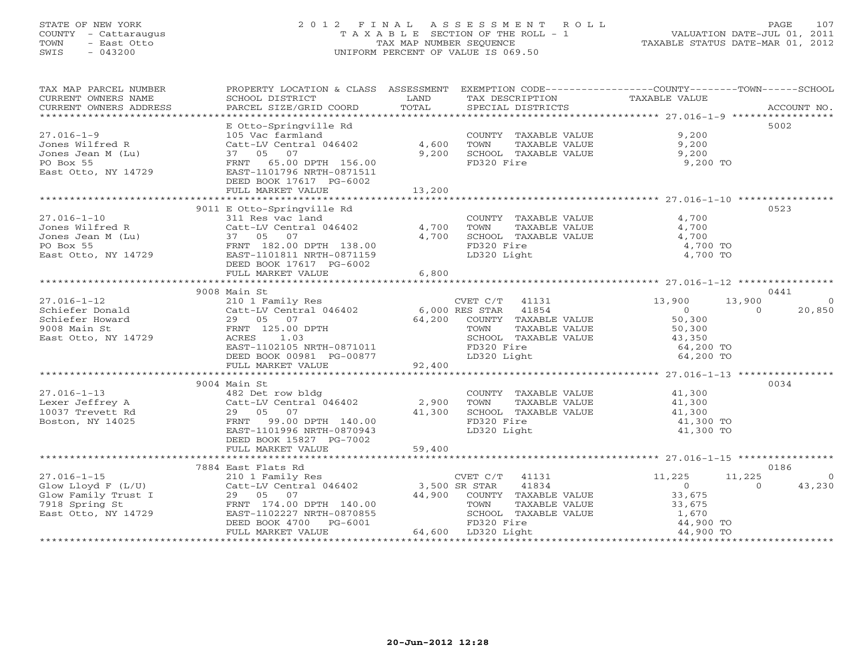#### STATE OF NEW YORK 2 0 1 2 F I N A L A S S E S S M E N T R O L L PAGE 107 COUNTY - Cattaraugus T A X A B L E SECTION OF THE ROLL - 1 VALUATION DATE-JUL 01, 2011 TOWN - East Otto TAX MAP NUMBER SEQUENCE TAXABLE STATUS DATE-MAR 01, 2012 SWIS - 043200 UNIFORM PERCENT OF VALUE IS 069.50UNIFORM PERCENT OF VALUE IS 069.50

| TAX MAP PARCEL NUMBER                                                                                                                           | PROPERTY LOCATION & CLASS ASSESSMENT                                                                          |        | EXEMPTION CODE-----------------COUNTY-------TOWN------SCHOOL              |                                                               |                          |
|-------------------------------------------------------------------------------------------------------------------------------------------------|---------------------------------------------------------------------------------------------------------------|--------|---------------------------------------------------------------------------|---------------------------------------------------------------|--------------------------|
|                                                                                                                                                 |                                                                                                               |        |                                                                           |                                                               |                          |
|                                                                                                                                                 | E Otto-Springville Rd                                                                                         |        |                                                                           |                                                               | 5002                     |
| $27.016 - 1 - 9$                                                                                                                                | 105 Vac farmland                                                                                              |        | COUNTY TAXABLE VALUE 9,200                                                |                                                               |                          |
| Jones Wilfred R                                                                                                                                 | Catt-LV Central 046402 4,600                                                                                  |        | TOWN<br>TAXABLE VALUE                                                     | $9,200$<br>9.200                                              |                          |
| Jones Jean M (Lu)<br>Dones Jean M (Lu)                                                                                                          |                                                                                                               | 9,200  | SCHOOL TAXABLE VALUE                                                      | 9,200                                                         |                          |
|                                                                                                                                                 |                                                                                                               |        | FD320 Fire                                                                | 9,200 TO                                                      |                          |
| East Otto, NY 14729                                                                                                                             | Catt-LV Central<br>37 05 07<br>FRNT 65.00 DPTH 156.00<br>FAST-1101796 NRTH-0871511<br>FILD BOOK 17617 PG-6002 |        |                                                                           |                                                               |                          |
|                                                                                                                                                 | FULL MARKET VALUE                                                                                             | 13,200 |                                                                           |                                                               |                          |
|                                                                                                                                                 |                                                                                                               |        |                                                                           |                                                               |                          |
|                                                                                                                                                 | 9011 E Otto-Springville Rd                                                                                    |        |                                                                           |                                                               | 0523                     |
| $27.016 - 1 - 10$                                                                                                                               |                                                                                                               |        | COUNTY TAXABLE VALUE 4,700                                                |                                                               |                          |
|                                                                                                                                                 |                                                                                                               |        | TOWN                                                                      |                                                               |                          |
|                                                                                                                                                 | 311 Res vac land<br>Catt-LV Central 046402 4,700<br>37 05 07 4.700                                            |        | SCHOOL TAXABLE VALUE                                                      | TAXABLE VALUE 4,700<br>TAXABLE VALUE 4,700                    |                          |
|                                                                                                                                                 |                                                                                                               |        | FD320 Fire                                                                | 4,700 TO                                                      |                          |
| Jones Wilfred R<br>Jones Jean M (Lu)<br>PO Box 55<br>East Otto, NY 14729<br>East Otto, NY 14729<br>PO Box 14729<br>EAST - 10002 17517 - PO-6002 |                                                                                                               |        | LD320 Light                                                               | 4,700 TO                                                      |                          |
|                                                                                                                                                 | DEED BOOK 17617 PG-6002                                                                                       |        |                                                                           |                                                               |                          |
|                                                                                                                                                 | FULL MARKET VALUE                                                                                             | 6,800  |                                                                           |                                                               |                          |
|                                                                                                                                                 |                                                                                                               |        |                                                                           |                                                               |                          |
|                                                                                                                                                 | 9008 Main St                                                                                                  |        |                                                                           |                                                               | 0441                     |
| $27.016 - 1 - 12$                                                                                                                               |                                                                                                               |        | CVET C/T 41131                                                            | 13,900                                                        | 13,900<br>$\overline{0}$ |
|                                                                                                                                                 |                                                                                                               |        |                                                                           | $\begin{array}{c} 0 \\ 50,300 \end{array}$                    | 20,850<br>$\Omega$       |
|                                                                                                                                                 |                                                                                                               |        | 64,200 COUNTY TAXABLE VALUE<br>TOWN TAXABLE VALUE<br>SCHOOL TAXABLE VALUE |                                                               |                          |
|                                                                                                                                                 |                                                                                                               |        |                                                                           | TAXABLE VALUE<br>TAXABLE VALUE 50,300<br>TAXABLE VALUE 43,350 |                          |
|                                                                                                                                                 |                                                                                                               |        | SCHOOL TAXABLE VALUE<br>ED320 Fire                                        |                                                               |                          |
|                                                                                                                                                 | EAST-1102105 NRTH-0871011<br>DEED BOOK 00981 PG-00877                                                         |        | FD320 Fire                                                                | 64,200 TO                                                     |                          |
|                                                                                                                                                 |                                                                                                               |        | LD320 Light                                                               | 64,200 TO                                                     |                          |
|                                                                                                                                                 | FULL MARKET VALUE                                                                                             | 92,400 |                                                                           |                                                               |                          |
|                                                                                                                                                 |                                                                                                               |        |                                                                           |                                                               | 0034                     |
| $27.016 - 1 - 13$                                                                                                                               | 9004 Main St<br>482 Det row bldg                                                                              |        | COUNTY TAXABLE VALUE 41,300                                               |                                                               |                          |
| Lexer Jeffrey A                                                                                                                                 | Catt-LV Central 046402 2,900                                                                                  |        | TOWN                                                                      |                                                               |                          |
| 10037 Trevett Rd                                                                                                                                | 29 05 07                                                                                                      | 41,300 | SCHOOL TAXABLE VALUE                                                      | TAXABLE VALUE<br>TAXABLE VALUE 41,300<br>TAXABLE VALUE 41,300 |                          |
| Boston, NY 14025                                                                                                                                | FRNT 99.00 DPTH 140.00                                                                                        |        | FD320 Fire                                                                | 41,300 TO                                                     |                          |
|                                                                                                                                                 | EAST-1101996 NRTH-0870943                                                                                     |        | LD320 Light                                                               | 41,300 TO                                                     |                          |
|                                                                                                                                                 | DEED BOOK 15827 PG-7002                                                                                       |        |                                                                           |                                                               |                          |
|                                                                                                                                                 |                                                                                                               |        |                                                                           |                                                               |                          |
|                                                                                                                                                 |                                                                                                               |        |                                                                           |                                                               |                          |
|                                                                                                                                                 | 7884 East Flats Rd                                                                                            |        |                                                                           |                                                               | 0186                     |
|                                                                                                                                                 |                                                                                                               |        |                                                                           |                                                               | 11,225<br>$\overline{0}$ |
|                                                                                                                                                 |                                                                                                               |        |                                                                           |                                                               | 43,230<br>$\Omega$       |
|                                                                                                                                                 |                                                                                                               |        |                                                                           |                                                               |                          |
|                                                                                                                                                 |                                                                                                               |        |                                                                           |                                                               |                          |
|                                                                                                                                                 |                                                                                                               |        |                                                                           |                                                               |                          |
|                                                                                                                                                 |                                                                                                               |        |                                                                           | 222 11222<br>BLE VALUE 1670<br>44,900<br>44.900<br>44,900 TO  |                          |
|                                                                                                                                                 | FULL MARKET VALUE                                                                                             |        | 64,600 LD320 Light                                                        | 44,900 TO                                                     |                          |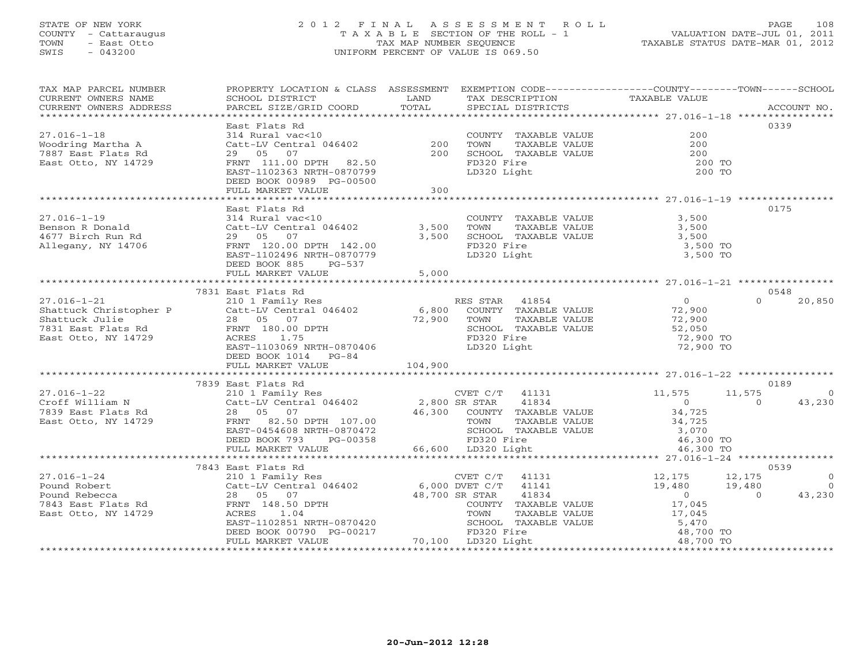#### STATE OF NEW YORK 2 0 1 2 F I N A L A S S E S S M E N T R O L L PAGE 108COUNTY - Cattaraugus T A X A B L E SECTION OF THE ROLL - 1 VALUATION DATE-JUL 01, 2011 TOWN - East Otto TAX MAP NUMBER SEQUENCE TAXABLE STATUS DATE-MAR 01, 2012 SWIS - 043200 UNIFORM PERCENT OF VALUE IS 069.50

| TAX MAP PARCEL NUMBER<br>CURRENT OWNERS NAME<br>CURRENT OWNERS ADDRESS                                     | PROPERTY LOCATION & CLASS ASSESSMENT<br>SCHOOL DISTRICT<br>PARCEL SIZE/GRID COORD                                                                                                                                                     | LAND<br>TOTAL     | EXEMPTION CODE-----------------COUNTY-------TOWN------SCHOOL<br>TAX DESCRIPTION<br>SPECIAL DISTRICTS                       | TAXABLE VALUE                                                                | ACCOUNT NO.                                                                |
|------------------------------------------------------------------------------------------------------------|---------------------------------------------------------------------------------------------------------------------------------------------------------------------------------------------------------------------------------------|-------------------|----------------------------------------------------------------------------------------------------------------------------|------------------------------------------------------------------------------|----------------------------------------------------------------------------|
| $27.016 - 1 - 18$<br>Woodring Martha A<br>7887 East Flats Rd<br>East Otto, NY 14729                        | East Flats Rd<br>314 Rural vac<10<br>Catt-LV Central 046402<br>29 05 07<br>FRNT 111.00 DPTH 82.50<br>EAST-1102363 NRTH-0870799<br>DEED BOOK 00989 PG-00500<br>FULL MARKET VALUE                                                       | 200<br>200<br>300 | COUNTY TAXABLE VALUE<br>TOWN<br>TAXABLE VALUE<br>SCHOOL TAXABLE VALUE<br>FD320 Fire<br>LD320 Light                         | 200<br>200<br>200<br>200 TO<br>200 TO                                        | 0339                                                                       |
|                                                                                                            |                                                                                                                                                                                                                                       |                   |                                                                                                                            |                                                                              |                                                                            |
| $27.016 - 1 - 19$<br>Benson R Donald<br>4677 Birch Run Rd<br>Allegany, NY 14706                            | East Flats Rd<br>314 Rural vac<10<br>Catt-LV Central 046402 3,500<br>29 05 07<br>FRNT 120.00 DPTH 142.00<br>EAST-1102496 NRTH-0870779<br>DEED BOOK 885<br>PG-537                                                                      | 3,500             | COUNTY TAXABLE VALUE<br>TAXABLE VALUE<br>TOWN<br>SCHOOL TAXABLE VALUE<br>FD320 Fire<br>LD320 Light                         | 3,500<br>3,500<br>3,500<br>3,500 TO<br>3,500 TO                              | 0175                                                                       |
|                                                                                                            | FULL MARKET VALUE                                                                                                                                                                                                                     | 5,000             |                                                                                                                            |                                                                              |                                                                            |
|                                                                                                            |                                                                                                                                                                                                                                       |                   |                                                                                                                            |                                                                              |                                                                            |
|                                                                                                            | 7831 East Flats Rd                                                                                                                                                                                                                    |                   |                                                                                                                            |                                                                              | 0548                                                                       |
| $27.016 - 1 - 21$<br>Shattuck Christopher P<br>Shattuck Julie<br>7831 East Flats Rd<br>East Otto, NY 14729 | 210 1 Family Res<br>Catt-LV Central 046402<br>28 05 07<br>$\begin{array}{lll}\n\text{20} & \text{32} \\ \text{FRNT} & 180.00 \\ \text{PTH} & 1.75\n\end{array}$<br>ACRES<br>1.75<br>EAST-1103069 NRTH-0870406<br>DEED BOOK 1014 PG-84 | 6,800<br>72,900   | RES STAR 41854<br>COUNTY TAXABLE VALUE<br>TOWN<br>TAXABLE VALUE<br>SCHOOL TAXABLE VALUE<br>FD320 Fire<br>LD320 Light       | $\overline{0}$<br>72,900<br>72,900<br>52,050<br>72,900 TO<br>72,900 TO       | $\Omega$<br>20,850                                                         |
| 104,900<br>FULL MARKET VALUE                                                                               |                                                                                                                                                                                                                                       |                   |                                                                                                                            |                                                                              |                                                                            |
|                                                                                                            | 7839 East Flats Rd                                                                                                                                                                                                                    |                   |                                                                                                                            |                                                                              | 0189                                                                       |
| $27.016 - 1 - 22$<br>Croff William N<br>7839 East Flats Rd<br>East Otto, NY 14729                          | 210 1 Family Res<br>Catt-LV Central 046402 2,800 SR STAR<br>28 05 07<br>FRNT 82.50 DPTH 107.00<br>EAST-0454608 NRTH-0870472<br>DEED BOOK 793<br>PG-00358                                                                              | 46,300            | CVET C/T 41131<br>41834<br>COUNTY TAXABLE VALUE<br>TAXABLE VALUE<br>TOWN<br>SCHOOL TAXABLE VALUE<br>FD320 Fire             | 11,575<br>$\overline{0}$<br>34,725<br>34,725<br>3,070<br>46,300 TO           | 11,575<br>$\overline{0}$<br>43,230<br>$\overline{0}$                       |
|                                                                                                            | FULL MARKET VALUE                                                                                                                                                                                                                     |                   | 66,600 LD320 Light                                                                                                         | 46,300 TO                                                                    |                                                                            |
| 7843 East Flats Rd<br>0539                                                                                 |                                                                                                                                                                                                                                       |                   |                                                                                                                            |                                                                              |                                                                            |
| $27.016 - 1 - 24$<br>Pound Robert<br>Pound Rebecca<br>7843 East Flats Rd<br>East Otto, NY 14729            | 210 1 Family Res<br>Catt-LV Central $046402$ 6,000 DVET C/T<br>28 05 07<br>FRNT 148.50 DPTH<br>1.04<br>ACRES<br>EAST-1102851 NRTH-0870420<br>DEED BOOK 00790 PG-00217                                                                 | 48,700 SR STAR    | CVET C/T<br>41131<br>41141<br>41834<br>COUNTY TAXABLE VALUE<br>TOWN<br>TAXABLE VALUE<br>SCHOOL TAXABLE VALUE<br>FD320 Fire | 12,175<br>19,480<br>$\overline{0}$<br>17,045<br>17,045<br>5,470<br>48,700 TO | 12,175<br>$\overline{0}$<br>$\overline{0}$<br>19,480<br>$\Omega$<br>43,230 |
|                                                                                                            | FULL MARKET VALUE                                                                                                                                                                                                                     |                   | 70,100 LD320 Light                                                                                                         | 48,700 TO                                                                    |                                                                            |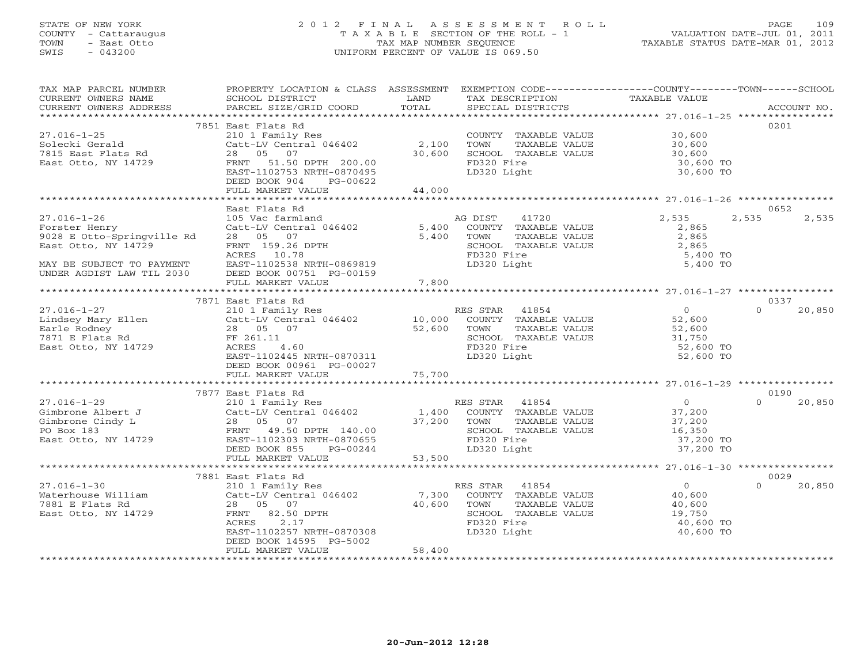# STATE OF NEW YORK 2 0 1 2 F I N A L A S S E S S M E N T R O L L PAGE 109 COUNTY - Cattaraugus T A X A B L E SECTION OF THE ROLL - 1 VALUATION DATE-JUL 01, 2011 TOWN - East Otto TAX MAP NUMBER SEQUENCE TAXABLE STATUS DATE-MAR 01, 2012 SWIS - 043200 UNIFORM PERCENT OF VALUE IS 069.50UNIFORM PERCENT OF VALUE IS 069.50

| TAX MAP PARCEL NUMBER<br>CURRENT OWNERS NAME<br>CURRENT OWNERS ADDRESS                                                                                                                                                                                                                          | PROPERTY LOCATION & CLASS ASSESSMENT EXEMPTION CODE---------------COUNTY-------TOWN------SCHOOL<br>SCHOOL DISTRICT                                                                                                               | <b>EXAMPLE THE STATE OF STATE OF STATE</b> | TAX DESCRIPTION                                                                                                                                                                                                                                                                                                                                                                                                                      | TAXABLE VALUE                              |                    |
|-------------------------------------------------------------------------------------------------------------------------------------------------------------------------------------------------------------------------------------------------------------------------------------------------|----------------------------------------------------------------------------------------------------------------------------------------------------------------------------------------------------------------------------------|--------------------------------------------|--------------------------------------------------------------------------------------------------------------------------------------------------------------------------------------------------------------------------------------------------------------------------------------------------------------------------------------------------------------------------------------------------------------------------------------|--------------------------------------------|--------------------|
|                                                                                                                                                                                                                                                                                                 |                                                                                                                                                                                                                                  |                                            |                                                                                                                                                                                                                                                                                                                                                                                                                                      |                                            |                    |
|                                                                                                                                                                                                                                                                                                 | 7851 East Flats Rd                                                                                                                                                                                                               |                                            |                                                                                                                                                                                                                                                                                                                                                                                                                                      |                                            | 0201               |
|                                                                                                                                                                                                                                                                                                 |                                                                                                                                                                                                                                  |                                            | COUNTY TAXABLE VALUE 30,600<br>TOWN TAXABLE VALUE 30,600                                                                                                                                                                                                                                                                                                                                                                             |                                            |                    |
|                                                                                                                                                                                                                                                                                                 |                                                                                                                                                                                                                                  |                                            |                                                                                                                                                                                                                                                                                                                                                                                                                                      |                                            |                    |
|                                                                                                                                                                                                                                                                                                 |                                                                                                                                                                                                                                  |                                            |                                                                                                                                                                                                                                                                                                                                                                                                                                      |                                            |                    |
| 27.016-1-25<br>Solecki Gerald<br>7815 East Flats Rd<br>East Otto, NY 14729                                                                                                                                                                                                                      | 210 1 Family Res<br>CoUNT<br>Catt-LV Central 046402 2,100 TOWN<br>28 05 07 30,600 SCHOO<br>FRNT 51.50 DPTH 200.00 FD320<br>EAST-1102753 NRTH-0870495<br>FRNT ROOK 904 PG-00622                                                   |                                            | COUNTY TAXABLE VALUE<br>TOWN TAXABLE VALUE 30,600<br>SCHOOL TAXABLE VALUE 30,600 TO<br>30,600 TO<br>30,600 TO                                                                                                                                                                                                                                                                                                                        |                                            |                    |
|                                                                                                                                                                                                                                                                                                 |                                                                                                                                                                                                                                  |                                            | LD320 Light                                                                                                                                                                                                                                                                                                                                                                                                                          | 30,600 TO                                  |                    |
|                                                                                                                                                                                                                                                                                                 | DEED BOOK 904                                                                                                                                                                                                                    |                                            |                                                                                                                                                                                                                                                                                                                                                                                                                                      |                                            |                    |
|                                                                                                                                                                                                                                                                                                 | FULL MARKET VALUE                                                                                                                                                                                                                | $PG-00622$<br>E 44,000                     |                                                                                                                                                                                                                                                                                                                                                                                                                                      |                                            |                    |
|                                                                                                                                                                                                                                                                                                 |                                                                                                                                                                                                                                  |                                            |                                                                                                                                                                                                                                                                                                                                                                                                                                      |                                            |                    |
|                                                                                                                                                                                                                                                                                                 | East Flats Rd<br>East Flats ku<br>105 Vac farmland<br>Catt-LV Central 046402<br>28 05 07 5,400 COUNTY TAXABLE VALUE<br>28 05 07 5,400 TOWN TAXABLE VALUE<br>SCHOOL TAXABLE VALUE<br>SCHOOL TAXABLE VALUE<br>SCHOOL TAXABLE VALUE |                                            |                                                                                                                                                                                                                                                                                                                                                                                                                                      |                                            | 0652               |
| $27.016 - 1 - 26$                                                                                                                                                                                                                                                                               |                                                                                                                                                                                                                                  |                                            |                                                                                                                                                                                                                                                                                                                                                                                                                                      | 2,535                                      | 2,535<br>2,535     |
| Forster Henry                                                                                                                                                                                                                                                                                   |                                                                                                                                                                                                                                  |                                            |                                                                                                                                                                                                                                                                                                                                                                                                                                      |                                            |                    |
| 9028 E Otto-Springville Rd                                                                                                                                                                                                                                                                      |                                                                                                                                                                                                                                  |                                            |                                                                                                                                                                                                                                                                                                                                                                                                                                      | 2,865<br>2,865<br>2,865                    |                    |
| East Otto, NY 14729                                                                                                                                                                                                                                                                             |                                                                                                                                                                                                                                  |                                            | TOWN TAXABLE VALUE<br>SCHOOL TAXABLE VALUE<br>ED320 Fire                                                                                                                                                                                                                                                                                                                                                                             |                                            |                    |
|                                                                                                                                                                                                                                                                                                 | ACRES 10.78                                                                                                                                                                                                                      |                                            | FD320 Fire                                                                                                                                                                                                                                                                                                                                                                                                                           | 5,400 TO                                   |                    |
| MAY BE SUBJECT TO PAYMENT<br>UNDER AGDIST LAW TIL 2030 DEED BOOK 00751 PG-00159<br>FULL MARKET VALUE 7.800                                                                                                                                                                                      |                                                                                                                                                                                                                                  |                                            | LD320 Light                                                                                                                                                                                                                                                                                                                                                                                                                          | 5,400 TO                                   |                    |
|                                                                                                                                                                                                                                                                                                 |                                                                                                                                                                                                                                  |                                            |                                                                                                                                                                                                                                                                                                                                                                                                                                      |                                            |                    |
|                                                                                                                                                                                                                                                                                                 | FULL MARKET VALUE                                                                                                                                                                                                                | 7,800                                      |                                                                                                                                                                                                                                                                                                                                                                                                                                      |                                            |                    |
|                                                                                                                                                                                                                                                                                                 |                                                                                                                                                                                                                                  |                                            |                                                                                                                                                                                                                                                                                                                                                                                                                                      |                                            |                    |
|                                                                                                                                                                                                                                                                                                 | 7871 East Flats Rd                                                                                                                                                                                                               |                                            |                                                                                                                                                                                                                                                                                                                                                                                                                                      |                                            | 0337               |
| 27.016-1-27<br>$\begin{array}{lllllllllll} 27.016-1-27 & & & & & 210 & 1 & 210 & 1 & 210 & 1 & 210 & 1 & 210 & 1 & 210 & 1 & 210 & 1 & 210 & 1 & 210 & 1 & 210 & 1 & 210 & 1 & 210 & 1 & 210 & 1 & 210 & 1 & 210 & 1 & 210 & 1 & 210 & 1 & 210 & 1 & 210 & 1 & 210 & 1 & 210 & 1 & 210 & 1 & 2$ |                                                                                                                                                                                                                                  |                                            | $\begin{tabular}{lllllllllll} \texttt{!S STAR} & 41854 & & & & \\ \texttt{COUNTY} & \texttt{TAXABLE VALUE} & & 52,600 \\ \texttt{TOWN} & \texttt{TAXABLE VALUE} & & 52,600 \\ \texttt{SCHOOL} & \texttt{TAXABLE VALUE} & & 31,750 \\ \texttt{!SCA} & \texttt{!SCA} & \texttt{!SCA} & \texttt{!SCA} \\ \texttt{!SCA} & \texttt{!SCA} & \texttt{!SCA} & \texttt{!SCA} \\ \texttt{!SCA} & \texttt{!SCA} & \texttt{!SCA} & \texttt{!SCA$ |                                            | $\Omega$<br>20,850 |
|                                                                                                                                                                                                                                                                                                 |                                                                                                                                                                                                                                  |                                            |                                                                                                                                                                                                                                                                                                                                                                                                                                      |                                            |                    |
|                                                                                                                                                                                                                                                                                                 |                                                                                                                                                                                                                                  |                                            |                                                                                                                                                                                                                                                                                                                                                                                                                                      |                                            |                    |
|                                                                                                                                                                                                                                                                                                 |                                                                                                                                                                                                                                  |                                            |                                                                                                                                                                                                                                                                                                                                                                                                                                      |                                            |                    |
|                                                                                                                                                                                                                                                                                                 |                                                                                                                                                                                                                                  |                                            |                                                                                                                                                                                                                                                                                                                                                                                                                                      |                                            |                    |
|                                                                                                                                                                                                                                                                                                 | EAST-1102445 NRTH-0870311                                                                                                                                                                                                        |                                            | LD320 Light                                                                                                                                                                                                                                                                                                                                                                                                                          | 52,600 TO                                  |                    |
|                                                                                                                                                                                                                                                                                                 | DEED BOOK 00961 PG-00027                                                                                                                                                                                                         |                                            |                                                                                                                                                                                                                                                                                                                                                                                                                                      |                                            |                    |
|                                                                                                                                                                                                                                                                                                 | FULL MARKET VALUE                                                                                                                                                                                                                | 75,700                                     |                                                                                                                                                                                                                                                                                                                                                                                                                                      |                                            |                    |
|                                                                                                                                                                                                                                                                                                 |                                                                                                                                                                                                                                  |                                            |                                                                                                                                                                                                                                                                                                                                                                                                                                      |                                            |                    |
|                                                                                                                                                                                                                                                                                                 |                                                                                                                                                                                                                                  |                                            |                                                                                                                                                                                                                                                                                                                                                                                                                                      |                                            | 0190               |
|                                                                                                                                                                                                                                                                                                 |                                                                                                                                                                                                                                  |                                            |                                                                                                                                                                                                                                                                                                                                                                                                                                      |                                            | $\Omega$<br>20,850 |
|                                                                                                                                                                                                                                                                                                 |                                                                                                                                                                                                                                  |                                            |                                                                                                                                                                                                                                                                                                                                                                                                                                      |                                            |                    |
|                                                                                                                                                                                                                                                                                                 |                                                                                                                                                                                                                                  |                                            |                                                                                                                                                                                                                                                                                                                                                                                                                                      |                                            |                    |
|                                                                                                                                                                                                                                                                                                 |                                                                                                                                                                                                                                  |                                            | TOWN TAXABLE VALUE 37,200<br>SCHOOL TAXABLE VALUE 37,200<br>FD320 Fire 37,200 TO<br>LD320 Light 37,200 TO                                                                                                                                                                                                                                                                                                                            |                                            |                    |
|                                                                                                                                                                                                                                                                                                 |                                                                                                                                                                                                                                  |                                            |                                                                                                                                                                                                                                                                                                                                                                                                                                      |                                            |                    |
|                                                                                                                                                                                                                                                                                                 | $PG-00244$<br>ALUE 53,500<br>DEED BOOK 855                                                                                                                                                                                       |                                            | LD320 Light                                                                                                                                                                                                                                                                                                                                                                                                                          |                                            |                    |
|                                                                                                                                                                                                                                                                                                 | FULL MARKET VALUE                                                                                                                                                                                                                |                                            |                                                                                                                                                                                                                                                                                                                                                                                                                                      |                                            |                    |
|                                                                                                                                                                                                                                                                                                 | *****************************                                                                                                                                                                                                    |                                            |                                                                                                                                                                                                                                                                                                                                                                                                                                      |                                            |                    |
|                                                                                                                                                                                                                                                                                                 | 7881 East Flats Rd                                                                                                                                                                                                               |                                            |                                                                                                                                                                                                                                                                                                                                                                                                                                      |                                            | 0029               |
| 27.016-1-30<br>Waterhouse William Catt-LV Central 046402 7,300 COUNTY TAXABLE VALUE<br>7881 E Flats Rd 28 05 07 40,600 TOWN TAXABLE VALUE<br>East Otto, NY 14729 FRNT 82.50 DPTH SCHOOL TAXABLE VALUE<br>ACRES 2.17 FD320 Fire                                                                  |                                                                                                                                                                                                                                  |                                            |                                                                                                                                                                                                                                                                                                                                                                                                                                      | $\begin{array}{c} 0 \\ 40,600 \end{array}$ | $\Omega$<br>20,850 |
|                                                                                                                                                                                                                                                                                                 |                                                                                                                                                                                                                                  |                                            |                                                                                                                                                                                                                                                                                                                                                                                                                                      |                                            |                    |
|                                                                                                                                                                                                                                                                                                 |                                                                                                                                                                                                                                  |                                            |                                                                                                                                                                                                                                                                                                                                                                                                                                      | 40,600<br>19,750                           |                    |
|                                                                                                                                                                                                                                                                                                 |                                                                                                                                                                                                                                  |                                            |                                                                                                                                                                                                                                                                                                                                                                                                                                      |                                            |                    |
|                                                                                                                                                                                                                                                                                                 |                                                                                                                                                                                                                                  |                                            |                                                                                                                                                                                                                                                                                                                                                                                                                                      | 40,600 TO                                  |                    |
|                                                                                                                                                                                                                                                                                                 | EAST-1102257 NRTH-0870308                                                                                                                                                                                                        |                                            | LD320 Light                                                                                                                                                                                                                                                                                                                                                                                                                          | 40,600 TO                                  |                    |
|                                                                                                                                                                                                                                                                                                 | DEED BOOK 14595 PG-5002                                                                                                                                                                                                          | 58,400                                     |                                                                                                                                                                                                                                                                                                                                                                                                                                      |                                            |                    |
|                                                                                                                                                                                                                                                                                                 | FULL MARKET VALUE                                                                                                                                                                                                                |                                            |                                                                                                                                                                                                                                                                                                                                                                                                                                      |                                            |                    |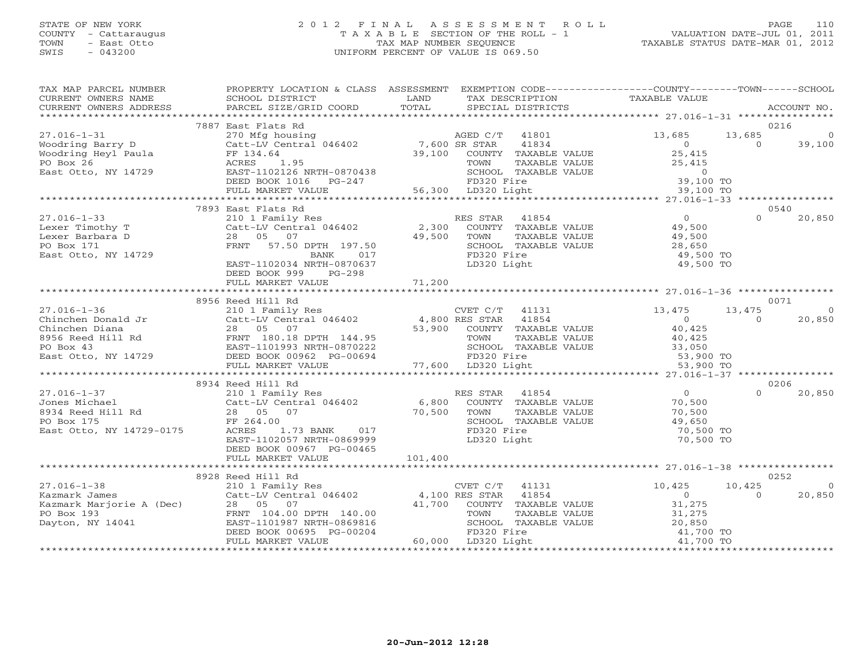#### STATE OF NEW YORK 2 0 1 2 F I N A L A S S E S S M E N T R O L L PAGE 110 COUNTY - Cattaraugus T A X A B L E SECTION OF THE ROLL - 1 VALUATION DATE-JUL 01, 2011 TOWN - East Otto TAX MAP NUMBER SEQUENCE TAXABLE STATUS DATE-MAR 01, 2012 SWIS - 043200 UNIFORM PERCENT OF VALUE IS 069.50UNIFORM PERCENT OF VALUE IS 069.50

| TAX MAP PARCEL NUMBER                                                                      | PROPERTY LOCATION & CLASS ASSESSMENT                                                                                                                                                                                                           |                                                                                                                                                                                                                                              | EXEMPTION CODE----------------COUNTY-------TOWN------SCHOOL                     |                |
|--------------------------------------------------------------------------------------------|------------------------------------------------------------------------------------------------------------------------------------------------------------------------------------------------------------------------------------------------|----------------------------------------------------------------------------------------------------------------------------------------------------------------------------------------------------------------------------------------------|---------------------------------------------------------------------------------|----------------|
|                                                                                            |                                                                                                                                                                                                                                                |                                                                                                                                                                                                                                              |                                                                                 |                |
|                                                                                            | 7887 East Flats Rd                                                                                                                                                                                                                             |                                                                                                                                                                                                                                              | 0216                                                                            |                |
| $27.016 - 1 - 31$                                                                          |                                                                                                                                                                                                                                                | 270 Mfg housing<br>270 Mfg housing aGED C/T 41801 13,685<br>Catt-LV Central 046402 7,600 SR STAR 41834 0<br>FF 134.64 39,100 COUNTY TAXABLE VALUE 25,415<br>ACRES 1.95 TOWN TAXABLE VALUE 25.415                                             | 13,685                                                                          | $\overline{0}$ |
|                                                                                            |                                                                                                                                                                                                                                                |                                                                                                                                                                                                                                              | $\overline{0}$                                                                  | 39,100         |
|                                                                                            |                                                                                                                                                                                                                                                |                                                                                                                                                                                                                                              | 25,415                                                                          |                |
|                                                                                            |                                                                                                                                                                                                                                                |                                                                                                                                                                                                                                              |                                                                                 |                |
| Woodring Barry D<br>Woodring Heyl Paula<br>PO Box 26<br>East Otto, NY 14729                |                                                                                                                                                                                                                                                |                                                                                                                                                                                                                                              |                                                                                 |                |
|                                                                                            |                                                                                                                                                                                                                                                |                                                                                                                                                                                                                                              |                                                                                 |                |
|                                                                                            |                                                                                                                                                                                                                                                | FO BOX 26<br>PO BOX 26<br>East Otto, NY 14729 MORES 1.95<br>EAST-1102126 NRTH-0870438<br>DEED BOOK 1016 PG-247 56,300 LD320 Fire 39,100 TO<br>FULL MARKET VALUE 56,300 LD320 Light<br>FILL MARKET VALUE 56,300 LD320 Light<br>FILL MARKET VA |                                                                                 |                |
|                                                                                            |                                                                                                                                                                                                                                                |                                                                                                                                                                                                                                              |                                                                                 |                |
|                                                                                            | 7893 East Flats Rd                                                                                                                                                                                                                             | 210 1 Family Res<br>Catt-LV Central 046402 2,300 COUNTY TAXABLE<br>28 05 07<br>ES STAR 41854 0<br>COUNTY TAXABLE VALUE 49,500<br>$\begin{array}{ccc}\n & & 0 \\ \text{12.500} & & 0 \\  & & 0\n\end{array}$                                  | 0540                                                                            |                |
| $27.016 - 1 - 33$                                                                          |                                                                                                                                                                                                                                                |                                                                                                                                                                                                                                              | $\cap$                                                                          | 20,850         |
| Lexer Timothy T                                                                            |                                                                                                                                                                                                                                                |                                                                                                                                                                                                                                              |                                                                                 |                |
| Lexer Barbara D<br>PO Box 171                                                              |                                                                                                                                                                                                                                                |                                                                                                                                                                                                                                              |                                                                                 |                |
| East Otto, NY 14729                                                                        | 28 05 07 49,500<br>FRNT 57.50 DPTH 197.50 49,500<br>BANK 017<br>BANK 017                                                                                                                                                                       | SCHOOL TAXABLE VALUE 28,650<br>FD320 Fire                                                                                                                                                                                                    |                                                                                 |                |
|                                                                                            | EAST-1102034 NRTH-0870637                                                                                                                                                                                                                      | LD320 Light                                                                                                                                                                                                                                  | 49,500 TO<br>49,500 TO                                                          |                |
|                                                                                            | DEED BOOK 999 PG-298                                                                                                                                                                                                                           |                                                                                                                                                                                                                                              |                                                                                 |                |
|                                                                                            |                                                                                                                                                                                                                                                |                                                                                                                                                                                                                                              |                                                                                 |                |
|                                                                                            |                                                                                                                                                                                                                                                |                                                                                                                                                                                                                                              |                                                                                 |                |
|                                                                                            | 8956 Reed Hill Rd                                                                                                                                                                                                                              |                                                                                                                                                                                                                                              | 0071                                                                            |                |
|                                                                                            |                                                                                                                                                                                                                                                |                                                                                                                                                                                                                                              |                                                                                 |                |
|                                                                                            |                                                                                                                                                                                                                                                |                                                                                                                                                                                                                                              |                                                                                 |                |
|                                                                                            |                                                                                                                                                                                                                                                |                                                                                                                                                                                                                                              |                                                                                 |                |
|                                                                                            |                                                                                                                                                                                                                                                |                                                                                                                                                                                                                                              |                                                                                 |                |
|                                                                                            |                                                                                                                                                                                                                                                |                                                                                                                                                                                                                                              |                                                                                 |                |
|                                                                                            |                                                                                                                                                                                                                                                |                                                                                                                                                                                                                                              |                                                                                 |                |
|                                                                                            |                                                                                                                                                                                                                                                |                                                                                                                                                                                                                                              |                                                                                 |                |
|                                                                                            | 8934 Reed Hill Rd                                                                                                                                                                                                                              |                                                                                                                                                                                                                                              | 0206                                                                            |                |
|                                                                                            | 27.016-1-37<br>Jones Michael 210 1 Family Res<br>8934 Reed Hill Rd<br>28 05 07 70,500 TOWN TAXABLE<br>28 05 07 70,500 TOWN TAXABLE<br>28 05 07 70,500 TOWN TAXABLE<br>28 05 07 70,500 TOWN TAXABLE<br>28 05 07 70,500 TOWN TAXABLE<br>28 05 07 | ES STAR 41854 0<br>COUNTY TAXABLE VALUE 70,500<br>TAXABLE VALUE 70,500<br>TAXABLE VALUE 70,500                                                                                                                                               | $\cap$                                                                          | 20,850         |
|                                                                                            |                                                                                                                                                                                                                                                |                                                                                                                                                                                                                                              |                                                                                 |                |
|                                                                                            |                                                                                                                                                                                                                                                |                                                                                                                                                                                                                                              |                                                                                 |                |
|                                                                                            |                                                                                                                                                                                                                                                | TOWN TAXABLE VALUE 70,500<br>SCHOOL TAXABLE VALUE 49,650<br>TRAAR TIME 70,500                                                                                                                                                                |                                                                                 |                |
|                                                                                            |                                                                                                                                                                                                                                                |                                                                                                                                                                                                                                              | 70,500 TO                                                                       |                |
|                                                                                            | EAST-1102057 NRTH-0869999                                                                                                                                                                                                                      | LD320 Light                                                                                                                                                                                                                                  | 70,500 TO                                                                       |                |
|                                                                                            | DEED BOOK 00967 PG-00465                                                                                                                                                                                                                       |                                                                                                                                                                                                                                              |                                                                                 |                |
|                                                                                            |                                                                                                                                                                                                                                                |                                                                                                                                                                                                                                              |                                                                                 |                |
|                                                                                            | 8928 Reed Hill Rd                                                                                                                                                                                                                              |                                                                                                                                                                                                                                              | 0252                                                                            |                |
| $27.016 - 1 - 38$                                                                          |                                                                                                                                                                                                                                                |                                                                                                                                                                                                                                              | 10,425                                                                          |                |
| 27.016-1-38<br>Kazmark James<br>Kazmark Marjorie A (Dec)<br>PO Box 193<br>Dayton, NY 14041 |                                                                                                                                                                                                                                                |                                                                                                                                                                                                                                              | $\Omega$                                                                        | 20,850         |
|                                                                                            |                                                                                                                                                                                                                                                |                                                                                                                                                                                                                                              |                                                                                 |                |
|                                                                                            |                                                                                                                                                                                                                                                |                                                                                                                                                                                                                                              |                                                                                 |                |
|                                                                                            |                                                                                                                                                                                                                                                |                                                                                                                                                                                                                                              |                                                                                 |                |
|                                                                                            |                                                                                                                                                                                                                                                | Reed Hill Rd<br>210 1 Family Res<br>Catt-LV Central 046402 4,100 RES STAR 41854 0<br>28 05 07 41,700 COUNTY TAXABLE VALUE 31,275<br>FRNT 104.00 FRNAEL VALUE 31,275<br>EAST-1101987 NRTH-0869816 SCHOOL TAXABLE VALUE 20,850<br>DEED BOOK    |                                                                                 |                |
|                                                                                            | FULL MARKET VALUE                                                                                                                                                                                                                              | 60,000 LD320 Light                                                                                                                                                                                                                           | TAXABLE VALUE 31,275<br>TAXABLE VALUE 20,850<br>ire 41,700 TO<br>ight 41,700 TO |                |
|                                                                                            |                                                                                                                                                                                                                                                |                                                                                                                                                                                                                                              |                                                                                 |                |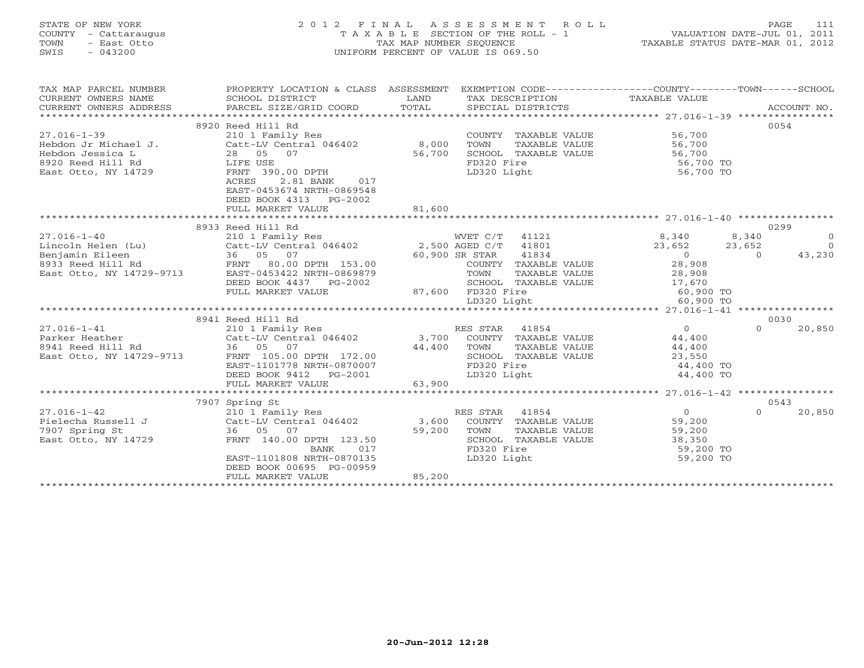# STATE OF NEW YORK 2 0 1 2 F I N A L A S S E S S M E N T R O L L PAGE 111 COUNTY - Cattaraugus T A X A B L E SECTION OF THE ROLL - 1 VALUATION DATE-JUL 01, 2011 TOWN - East Otto TAX MAP NUMBER SEQUENCE TAXABLE STATUS DATE-MAR 01, 2012 SWIS - 043200 UNIFORM PERCENT OF VALUE IS 069.50UNIFORM PERCENT OF VALUE IS 069.50

| TAX MAP PARCEL NUMBER<br>CURRENT OWNERS NAME<br>CURRENT OWNERS ADDRESS                                                                                                                                                              | PROPERTY LOCATION & CLASS ASSESSMENT<br>SCHOOL DISTRICT<br>PARCEL SIZE/GRID COORD | LAND<br>TOTAL     |             |                                            | EXEMPTION CODE-----------------COUNTY-------TOWN-----SCHOOL<br>TAX DESCRIPTION TAXABLE VALUE SPECIAL DISTRICTS |          | ACCOUNT NO.    |
|-------------------------------------------------------------------------------------------------------------------------------------------------------------------------------------------------------------------------------------|-----------------------------------------------------------------------------------|-------------------|-------------|--------------------------------------------|----------------------------------------------------------------------------------------------------------------|----------|----------------|
|                                                                                                                                                                                                                                     |                                                                                   |                   |             |                                            |                                                                                                                |          |                |
|                                                                                                                                                                                                                                     | 8920 Reed Hill Rd                                                                 |                   |             |                                            |                                                                                                                |          | 0054           |
| $27.016 - 1 - 39$                                                                                                                                                                                                                   | 210 1 Family Res                                                                  |                   |             |                                            | COUNTY TAXABLE VALUE 56,700<br>TOWN TAXABLE VALUE 56,700                                                       |          |                |
|                                                                                                                                                                                                                                     |                                                                                   |                   |             |                                            |                                                                                                                |          |                |
|                                                                                                                                                                                                                                     |                                                                                   |                   |             | SCHOOL TAXABLE VALUE                       | 56,700                                                                                                         |          |                |
| 27.016-1-39<br>Hebdon Jr Michael J. (2011 Family Res<br>Hebdon Jessica L 28 05 07 56,700<br>8920 Reed Hill Rd 28 DS 07 56,700<br>East Otto, NY 14729 FRNT 390.00 DPTH                                                               | FRNT 390.00 DPTH                                                                  |                   | FD320 Fire  |                                            | 56,700 TO<br>56,700 TO                                                                                         |          |                |
|                                                                                                                                                                                                                                     | 2.81 BANK<br>ACRES<br>017                                                         |                   | LD320 Light |                                            |                                                                                                                |          |                |
|                                                                                                                                                                                                                                     | EAST-0453674 NRTH-0869548                                                         |                   |             |                                            |                                                                                                                |          |                |
|                                                                                                                                                                                                                                     | DEED BOOK 4313<br>PG-2002                                                         |                   |             |                                            |                                                                                                                |          |                |
|                                                                                                                                                                                                                                     | FULL MARKET VALUE                                                                 | 81,600            |             |                                            |                                                                                                                |          |                |
|                                                                                                                                                                                                                                     |                                                                                   |                   |             |                                            |                                                                                                                |          |                |
|                                                                                                                                                                                                                                     | 8933 Reed Hill Rd                                                                 |                   |             |                                            |                                                                                                                |          | 0299           |
| $27.016 - 1 - 40$                                                                                                                                                                                                                   | 210 1 Family Res                                                                  |                   |             |                                            | WVET C/T 41121 8,340 8,340                                                                                     |          | $\overline{0}$ |
|                                                                                                                                                                                                                                     | Catt-LV Central 046402 2,500 AGED C/T 41801                                       |                   |             |                                            | 23,652 23,652                                                                                                  |          | $\bigcap$      |
| 1993) Lincoln Helen (Lu) Catt-LV Central 046402 2,500 AGED C/T<br>1993 Reed Hill Rd FRNT 80.00 DPTH 153.00 60,900 SR STAR<br>1993 Reed Hill Rd FRNT 80.00 DPTH 153.00 COUNTY T<br>1993 Reed Hill Rd FRNT 80.00 DPTH 153.00 COUNTY T |                                                                                   |                   |             | 41834                                      | $\overline{0}$                                                                                                 | $\Omega$ | 43,230         |
|                                                                                                                                                                                                                                     |                                                                                   |                   |             | R STAR     41834<br>COUNTY   TAXABLE VALUE | 28,908                                                                                                         |          |                |
|                                                                                                                                                                                                                                     |                                                                                   |                   |             |                                            | TAXABLE VALUE 28,908                                                                                           |          |                |
|                                                                                                                                                                                                                                     | DEED BOOK 4437 PG-2002                                                            |                   |             |                                            | SCHOOL TAXABLE VALUE 17,670                                                                                    |          |                |
|                                                                                                                                                                                                                                     | FULL MARKET VALUE                                                                 | 87,600 FD320 Fire |             |                                            | 60,900 TO                                                                                                      |          |                |
|                                                                                                                                                                                                                                     |                                                                                   |                   | LD320 Light |                                            | 60,900 TO<br>60,900 TO                                                                                         |          |                |
|                                                                                                                                                                                                                                     |                                                                                   |                   |             |                                            |                                                                                                                |          |                |
|                                                                                                                                                                                                                                     | 8941 Reed Hill Rd                                                                 |                   |             |                                            |                                                                                                                |          | 0030           |
| $27.016 - 1 - 41$                                                                                                                                                                                                                   | 210 1 Family Res                                                                  | RES STAR 41854    |             |                                            | $\Omega$                                                                                                       | $\Omega$ | 20,850         |
|                                                                                                                                                                                                                                     |                                                                                   |                   |             |                                            |                                                                                                                |          |                |
|                                                                                                                                                                                                                                     |                                                                                   |                   |             |                                            | TOWN TAXABLE VALUE 44,400<br>SCHOOL TAXABLE VALUE 23,550<br>FD320 Fire 44,400 TO                               |          |                |
|                                                                                                                                                                                                                                     |                                                                                   |                   |             |                                            |                                                                                                                |          |                |
|                                                                                                                                                                                                                                     | EAST-1101778 NRTH-0870007                                                         |                   |             |                                            |                                                                                                                |          |                |
|                                                                                                                                                                                                                                     | DEED BOOK 9412    PG-2001                                                         |                   | LD320 Light |                                            | 44,400 TO                                                                                                      |          |                |
|                                                                                                                                                                                                                                     | FULL MARKET VALUE                                                                 | 63,900            |             |                                            |                                                                                                                |          |                |
|                                                                                                                                                                                                                                     | 7907 Spring St                                                                    |                   |             |                                            |                                                                                                                |          | 0543           |
|                                                                                                                                                                                                                                     |                                                                                   |                   |             |                                            | $\overline{0}$                                                                                                 | $\Omega$ | 20,850         |
|                                                                                                                                                                                                                                     |                                                                                   |                   |             |                                            | 59,200                                                                                                         |          |                |
| 7907 Spring St                                                                                                                                                                                                                      | 36 05 07                                                                          | 59,200            | TOWN        | TAXABLE VALUE                              | 59,200                                                                                                         |          |                |
| East Otto, NY 14729                                                                                                                                                                                                                 | FRNT 140.00 DPTH 123.50                                                           | $3.50$<br>017     |             | SCHOOL TAXABLE VALUE                       | $38,350$<br>59.200                                                                                             |          |                |
|                                                                                                                                                                                                                                     | BANK                                                                              |                   | FD320 Fire  |                                            | 59,200 TO                                                                                                      |          |                |
|                                                                                                                                                                                                                                     | EAST-1101808 NRTH-0870135                                                         |                   | LD320 Light |                                            | 59,200 TO                                                                                                      |          |                |
|                                                                                                                                                                                                                                     | DEED BOOK 00695 PG-00959                                                          |                   |             |                                            |                                                                                                                |          |                |
|                                                                                                                                                                                                                                     | FULL MARKET VALUE                                                                 | 85,200            |             |                                            |                                                                                                                |          |                |
|                                                                                                                                                                                                                                     |                                                                                   |                   |             |                                            |                                                                                                                |          |                |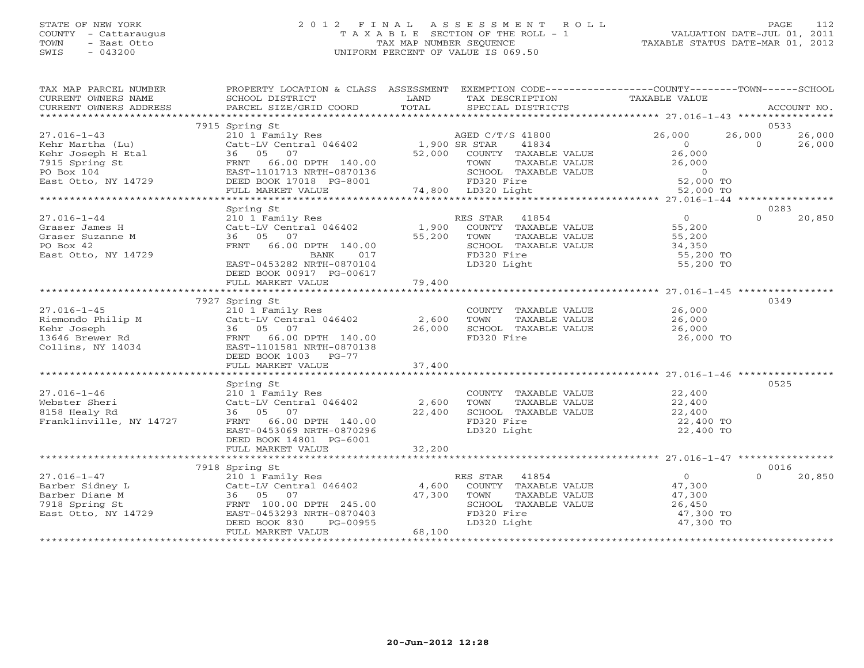#### STATE OF NEW YORK 2 0 1 2 F I N A L A S S E S S M E N T R O L L PAGE 112COUNTY - Cattaraugus T A X A B L E SECTION OF THE ROLL - 1 VALUATION DATE-JUL 01, 2011 TOWN - East Otto TAX MAP NUMBER SEQUENCE TAXABLE STATUS DATE-MAR 01, 2012 SWIS - 043200 UNIFORM PERCENT OF VALUE IS 069.50

VALUATION DATE-JUL 01, 2011

| TAX MAP PARCEL NUMBER                                                     | PROPERTY LOCATION & CLASS ASSESSMENT EXEMPTION CODE---------------COUNTY-------TOWN------SCHOOL |             |                                                          |                                              |          |             |
|---------------------------------------------------------------------------|-------------------------------------------------------------------------------------------------|-------------|----------------------------------------------------------|----------------------------------------------|----------|-------------|
| CURRENT OWNERS NAME                                                       | SCHOOL DISTRICT                                                                                 | LAND        | TAX DESCRIPTION                                          | TAXABLE VALUE                                |          |             |
| CURRENT OWNERS ADDRESS                                                    | PARCEL SIZE/GRID COORD                                                                          | TOTAL       | SPECIAL DISTRICTS                                        |                                              |          | ACCOUNT NO. |
|                                                                           |                                                                                                 |             |                                                          |                                              |          |             |
|                                                                           | 7915 Spring St                                                                                  |             |                                                          |                                              |          | 0533        |
| $27.016 - 1 - 43$                                                         | 210 1 Family Res<br>Catt-LV Central 046402 1,900 SR STAR<br>1,900 SR STAR                       |             | AGED C/T/S 41800                                         | 26,000                                       | 26,000   | 26,000      |
| Kehr Martha (Lu)                                                          |                                                                                                 |             | 41834                                                    | $\bigcirc$                                   | $\Omega$ | 26,000      |
|                                                                           | 36 05 07                                                                                        | 52,000      | COUNTY TAXABLE VALUE                                     |                                              |          |             |
| Kehr Joseph H Etal<br>7915 Spring St<br>PO Box 104<br>East Otto, NY 14729 |                                                                                                 |             |                                                          | 26,000<br>26,000                             |          |             |
|                                                                           |                                                                                                 |             |                                                          |                                              |          |             |
|                                                                           |                                                                                                 |             |                                                          |                                              |          |             |
|                                                                           |                                                                                                 |             |                                                          |                                              |          |             |
|                                                                           |                                                                                                 |             |                                                          |                                              |          |             |
|                                                                           | Spring St                                                                                       |             |                                                          |                                              |          | 0283        |
| $27.016 - 1 - 44$                                                         | 210 1 Family Res                                                                                |             | RES STAR 41854                                           | $\overline{0}$                               | $\cap$   | 20,850      |
| Graser James H                                                            | Catt-LV Central 046402<br>36 05 07                                                              |             | 1,900 COUNTY TAXABLE VALUE<br>55,200 TOWN  TAXABLE VALUE | 55,200                                       |          |             |
| Graser Suzanne M                                                          |                                                                                                 | 55,200 TOWN | TAXABLE VALUE                                            | 55,200                                       |          |             |
| PO Box 42                                                                 | FRNT 66.00 DPTH 140.00                                                                          |             | SCHOOL TAXABLE VALUE                                     | 34,350                                       |          |             |
| East Otto, NY 14729                                                       | BANK<br>017                                                                                     |             | FD320 Fire                                               | 55,200 TO                                    |          |             |
|                                                                           | EAST-0453282 NRTH-0870104                                                                       |             | LD320 Light                                              | 55,200 TO                                    |          |             |
|                                                                           | DEED BOOK 00917 PG-00617                                                                        |             |                                                          |                                              |          |             |
|                                                                           | FULL MARKET VALUE                                                                               | 79,400      |                                                          |                                              |          |             |
|                                                                           |                                                                                                 |             |                                                          |                                              |          |             |
|                                                                           | 7927 Spring St                                                                                  |             |                                                          |                                              |          | 0349        |
| $27.016 - 1 - 45$                                                         |                                                                                                 |             | COUNTY TAXABLE VALUE 26,000                              |                                              |          |             |
|                                                                           | 210 1 Family Res<br>Catt-LV Central 046402 2,600                                                |             | TAXABLE VALUE<br>TOWN                                    | 26,000                                       |          |             |
|                                                                           | 36 05 07                                                                                        | 26,000      | SCHOOL TAXABLE VALUE                                     | 26,000                                       |          |             |
| Riemondo Philip M<br>Kehr Joseph<br>13646 Brewer Rd                       | FRNT 66.00 DPTH 140.00                                                                          |             | FD320 Fire                                               | 26,000 TO                                    |          |             |
| Collins, NY 14034                                                         | EAST-1101581 NRTH-0870138                                                                       |             |                                                          |                                              |          |             |
|                                                                           | DEED BOOK 1003 PG-77                                                                            |             |                                                          |                                              |          |             |
|                                                                           | FULL MARKET VALUE                                                                               | 37,400      |                                                          |                                              |          |             |
|                                                                           |                                                                                                 |             |                                                          |                                              |          |             |
|                                                                           | Spring St                                                                                       |             |                                                          |                                              |          | 0525        |
| $27.016 - 1 - 46$                                                         | 210 1 Family Res                                                                                |             | COUNTY TAXABLE VALUE 22,400                              |                                              |          |             |
| Webster Sheri                                                             | Catt-LV Central 046402 2,600                                                                    |             | TOWN                                                     |                                              |          |             |
| 8158 Healy Rd                                                             | 36 05 07                                                                                        |             |                                                          | TAXABLE VALUE 22,400<br>TAXABLE VALUE 22,400 |          |             |
| Franklinville, NY 14727                                                   | FRNT 66.00 DPTH 140.00                                                                          | 22,400      |                                                          | 22,400 TO                                    |          |             |
|                                                                           | EAST-0453069 NRTH-0870296                                                                       |             | LD320 Light                                              | 22,400 TO                                    |          |             |
|                                                                           |                                                                                                 |             |                                                          |                                              |          |             |
|                                                                           | DEED BOOK 14801 PG-6001                                                                         |             |                                                          |                                              |          |             |
|                                                                           |                                                                                                 |             |                                                          |                                              |          |             |
|                                                                           | 7918 Spring St                                                                                  |             |                                                          |                                              |          | 0016        |
|                                                                           |                                                                                                 |             |                                                          | $\overline{0}$                               | $\Omega$ |             |
| $27.016 - 1 - 47$                                                         | 210 1 Family Res RES STAR 41854<br>Catt-LV Central 046402 4,600 COUNTY TAXABLE VALUE            |             |                                                          | 47,300                                       |          | 20,850      |
| Barber Sidney L                                                           |                                                                                                 |             |                                                          |                                              |          |             |
| Barber Diane M                                                            | 210 1 Family Res<br>Catt-LV Central 046402<br>36 05 07<br>FRNT 100.00 DPTH 245.00               | 47,300 TOWN | TAXABLE VALUE                                            | 47,300<br>$\frac{47}{26}$ , 450              |          |             |
| 7918 Spring St                                                            |                                                                                                 |             | SCHOOL TAXABLE VALUE                                     |                                              |          |             |
| East Otto, NY 14729                                                       | EAST-0453293 NRTH-0870403                                                                       |             | FD320 Fire                                               | 47,300 TO                                    |          |             |
|                                                                           | DEED BOOK 830<br>PG-00955                                                                       |             | LD320 Light                                              | 47,300 TO                                    |          |             |
|                                                                           | FULL MARKET VALUE                                                                               | 68,100      |                                                          |                                              |          |             |
|                                                                           |                                                                                                 |             |                                                          |                                              |          |             |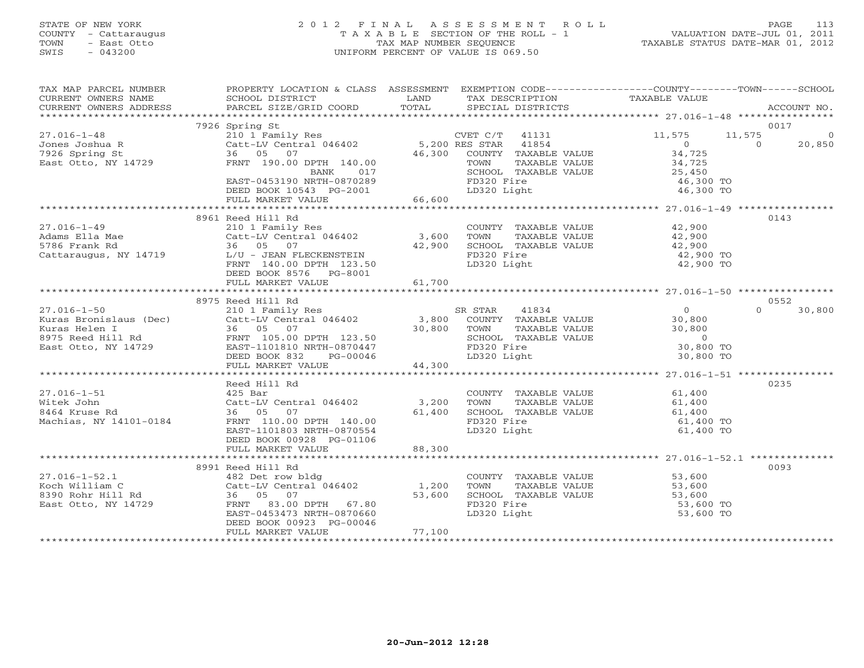# STATE OF NEW YORK 2 0 1 2 F I N A L A S S E S S M E N T R O L L PAGE 113 COUNTY - Cattaraugus T A X A B L E SECTION OF THE ROLL - 1 VALUATION DATE-JUL 01, 2011 TOWN - East Otto TAX MAP NUMBER SEQUENCE TAXABLE STATUS DATE-MAR 01, 2012 SWIS - 043200 UNIFORM PERCENT OF VALUE IS 069.50UNIFORM PERCENT OF VALUE IS 069.50

| TAX MAP PARCEL NUMBER<br>CURRENT OWNERS NAME<br>CURRENT OWNERS ADDRESS                                                                                                        | PROPERTY LOCATION & CLASS ASSESSMENT EXEMPTION CODE---------------COUNTY-------TOWN------SCHOOL<br>SCHOOL DISTRICT<br>PARCEL SIZE/GRID COORD | LAND<br>TOTAL | TAX DESCRIPTION<br>SPECIAL DISTRICTS                          | TAXABLE VALUE            | ACCOUNT NO.              |
|-------------------------------------------------------------------------------------------------------------------------------------------------------------------------------|----------------------------------------------------------------------------------------------------------------------------------------------|---------------|---------------------------------------------------------------|--------------------------|--------------------------|
|                                                                                                                                                                               |                                                                                                                                              |               |                                                               |                          |                          |
|                                                                                                                                                                               | 7926 Spring St                                                                                                                               |               |                                                               |                          | 0017                     |
| $27.016 - 1 - 48$                                                                                                                                                             | 210 1 Family Res                                                                                                                             |               | CVET C/T 41131                                                | 11,575                   | 11,575<br>$\overline{0}$ |
| Jones Joshua R<br>7926 Spring St                                                                                                                                              | Catt-LV Central 046402 5,200 RES STAR<br>36 05 07                                                                                            |               | 41854<br>46,300 COUNTY TAXABLE VALUE                          | $\overline{0}$<br>34,725 | $\Omega$<br>20,850       |
| East Otto, NY 14729                                                                                                                                                           | FRNT 190.00 DPTH 140.00                                                                                                                      |               | TAXABLE VALUE<br>TOWN                                         | 34,725                   |                          |
|                                                                                                                                                                               | 017<br>BANK                                                                                                                                  |               |                                                               | 25,450                   |                          |
|                                                                                                                                                                               | EAST-0453190 NRTH-0870289                                                                                                                    |               | SCHOOL TAXABLE VALUE<br>FD320 Fire<br>ID320 Iil<br>FD320 Fire | 46,300 TO                |                          |
|                                                                                                                                                                               | DEED BOOK 10543 PG-2001                                                                                                                      |               | LD320 Light                                                   | 46,300 TO                |                          |
|                                                                                                                                                                               | FULL MARKET VALUE                                                                                                                            | 66,600        |                                                               |                          |                          |
|                                                                                                                                                                               |                                                                                                                                              |               |                                                               |                          |                          |
|                                                                                                                                                                               | 8961 Reed Hill Rd                                                                                                                            |               |                                                               |                          | 0143                     |
| $27.016 - 1 - 49$                                                                                                                                                             | 210 1 Family Res                                                                                                                             |               | COUNTY TAXABLE VALUE 42,900                                   |                          |                          |
| Adams Ella Mae<br>-------------                                                                                                                                               | $Cat-LV$ Central $046402$ 3,600                                                                                                              |               |                                                               | 42,900<br>42,900         |                          |
| 5786 Frank Rd                                                                                                                                                                 | 36 05 07                                                                                                                                     | 42,900        | TOWN TAXABLE VALUE<br>SCHOOL TAXABLE VALUE<br>FD320 Fire      |                          |                          |
| Cattaraugus, NY 14719                                                                                                                                                         | L/U - JEAN FLECKENSTEIN                                                                                                                      |               | FD320 Fire                                                    | 42,900 TO                |                          |
|                                                                                                                                                                               | FRNT 140.00 DPTH 123.50                                                                                                                      |               | LD320 Light                                                   | 42,900 TO                |                          |
|                                                                                                                                                                               | DEED BOOK 8576 PG-8001                                                                                                                       |               |                                                               |                          |                          |
|                                                                                                                                                                               | FULL MARKET VALUE                                                                                                                            | 61,700        |                                                               |                          |                          |
|                                                                                                                                                                               | 8975 Reed Hill Rd                                                                                                                            |               |                                                               |                          | 0552                     |
| $27.016 - 1 - 50$                                                                                                                                                             | Reed Hill Rd<br>210 1 Family Res<br>Catt-LV Central 046402 3,800                                                                             |               | 41834<br>SR STAR                                              | $\overline{0}$           | $\Omega$<br>30,800       |
|                                                                                                                                                                               |                                                                                                                                              |               | COUNTY TAXABLE VALUE                                          | 30,800                   |                          |
|                                                                                                                                                                               | 30,800 TOWN                                                                                                                                  |               | TAXABLE VALUE                                                 | 30,800                   |                          |
| Extras Bronislaus (Dec)<br>Catt-LV Central 046402<br>Extras Helen I 36 05 07<br>8975 Reed Hill Rd FRNT 105.00 DPTH 123.50<br>East Otto, NY 14729<br>EAST-1101810 NRTH-0870447 |                                                                                                                                              |               | SCHOOL TAXABLE VALUE                                          | $\Omega$                 |                          |
|                                                                                                                                                                               |                                                                                                                                              |               | FD320 Fire                                                    | 30,800 TO                |                          |
|                                                                                                                                                                               | DEED BOOK 832<br>PG-00046                                                                                                                    |               | LD320 Light                                                   | 30,800 TO                |                          |
|                                                                                                                                                                               | FULL MARKET VALUE                                                                                                                            | 44,300        |                                                               |                          |                          |
|                                                                                                                                                                               |                                                                                                                                              |               |                                                               |                          |                          |
|                                                                                                                                                                               | Reed Hill Rd                                                                                                                                 |               |                                                               |                          | 0235                     |
| $27.016 - 1 - 51$                                                                                                                                                             | 425 Bar                                                                                                                                      |               | COUNTY TAXABLE VALUE 61,400                                   |                          |                          |
| Witek John                                                                                                                                                                    | Catt-LV Central 046402                                                                                                                       | 3,200         | TAXABLE VALUE<br>TOWN                                         | 61,400                   |                          |
| 8464 Kruse Rd                                                                                                                                                                 | 07<br>36 05                                                                                                                                  | 61,400        | SCHOOL TAXABLE VALUE                                          | 61,400                   |                          |
| Machias, NY 14101-0184                                                                                                                                                        | FRNT 110.00 DPTH 140.00                                                                                                                      |               | FD320 Fire                                                    | 61,400 TO                |                          |
|                                                                                                                                                                               | EAST-1101803 NRTH-0870554<br>DEED BOOK 00928 PG-01106                                                                                        |               | LD320 Light                                                   | 61,400 TO                |                          |
|                                                                                                                                                                               | FULL MARKET VALUE                                                                                                                            | 88,300        |                                                               |                          |                          |
|                                                                                                                                                                               |                                                                                                                                              |               |                                                               |                          |                          |
|                                                                                                                                                                               | 8991 Reed Hill Rd                                                                                                                            |               |                                                               |                          | 0093                     |
| $27.016 - 1 - 52.1$                                                                                                                                                           |                                                                                                                                              |               |                                                               |                          |                          |
| Koch William C                                                                                                                                                                | 482 Det row bldg<br>Catt-LV Central 046402 1,200                                                                                             |               | COUNTY TAXABLE VALUE 53,600<br>TOWN TAXABLE VALUE 53,600      |                          |                          |
| 8390 Rohr Hill Rd                                                                                                                                                             | 36 05 07                                                                                                                                     | 53,600        | SCHOOL TAXABLE VALUE                                          | 53,600                   |                          |
| East Otto, NY 14729                                                                                                                                                           | FRNT 83.00 DPTH 67.80                                                                                                                        |               | FD320 Fire                                                    | 53,600 TO                |                          |
|                                                                                                                                                                               | EAST-0453473 NRTH-0870660                                                                                                                    |               | LD320 Light                                                   | 53,600 TO                |                          |
|                                                                                                                                                                               | DEED BOOK 00923 PG-00046                                                                                                                     |               |                                                               |                          |                          |
|                                                                                                                                                                               | FULL MARKET VALUE                                                                                                                            | 77,100        |                                                               |                          |                          |
|                                                                                                                                                                               |                                                                                                                                              |               |                                                               |                          |                          |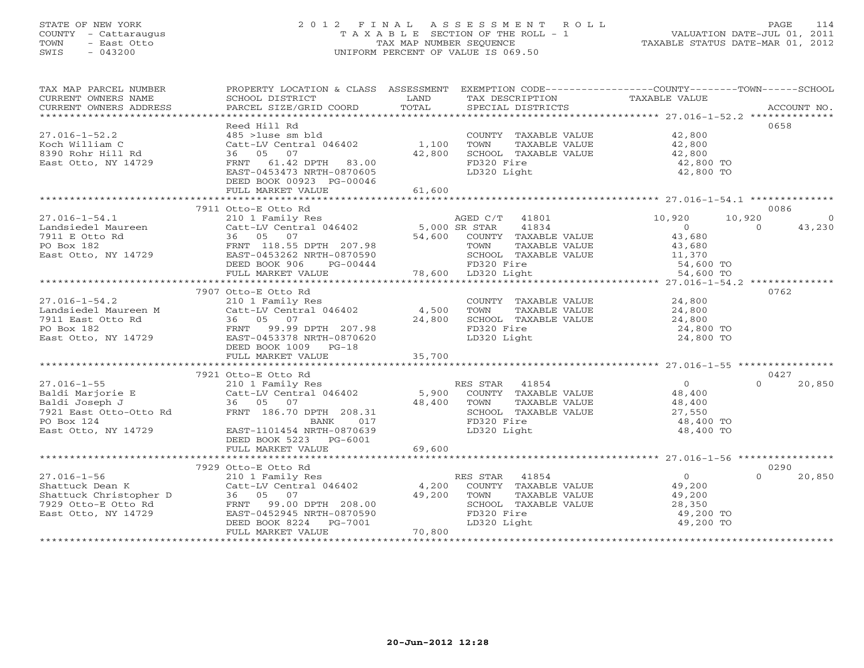# STATE OF NEW YORK 2 0 1 2 F I N A L A S S E S S M E N T R O L L PAGE 114 COUNTY - Cattaraugus T A X A B L E SECTION OF THE ROLL - 1 VALUATION DATE-JUL 01, 2011 TOWN - East Otto TAX MAP NUMBER SEQUENCE TAXABLE STATUS DATE-MAR 01, 2012 SWIS - 043200 UNIFORM PERCENT OF VALUE IS 069.50UNIFORM PERCENT OF VALUE IS 069.50

| TAX MAP PARCEL NUMBER<br>CURRENT OWNERS NAME                                                                                                                         | PROPERTY LOCATION & CLASS ASSESSMENT EXEMPTION CODE----------------COUNTY-------TOWN------SCHOOL<br>SCHOOL DISTRICT<br><b>Example 12</b> LAND |        | TAX DESCRIPTION TAXABLE VALUE |                                                    |                          |
|----------------------------------------------------------------------------------------------------------------------------------------------------------------------|-----------------------------------------------------------------------------------------------------------------------------------------------|--------|-------------------------------|----------------------------------------------------|--------------------------|
| CONNERY OWNERS ADDRESS PARCEL SIZE/GRID COORD TOTAL SECIAL DISTRICTS ACCOUNT NO.<br>CURRENT OWNERS ADDRESS PARCEL SIZE/GRID COORD TOTAL SECIAL DISTRICTS ACCOUNT NO. |                                                                                                                                               |        |                               |                                                    |                          |
|                                                                                                                                                                      | Reed Hill Rd                                                                                                                                  |        |                               |                                                    | 0658                     |
| $27.016 - 1 - 52.2$                                                                                                                                                  | 485 >1use sm bld                                                                                                                              |        | COUNTY TAXABLE VALUE 42,800   |                                                    |                          |
| Koch William C                                                                                                                                                       | Catt-LV Central 046402 1,100                                                                                                                  |        | TOWN<br>TAXABLE VALUE         | 42,800                                             |                          |
| 8390 Rohr Hill Rd                                                                                                                                                    | 36 05 07                                                                                                                                      | 42,800 | SCHOOL TAXABLE VALUE          | 42,800                                             |                          |
| East Otto, NY 14729                                                                                                                                                  | FRNT 61.42 DPTH 83.00                                                                                                                         |        | FD320 Fire                    | 42,800 TO                                          |                          |
|                                                                                                                                                                      | EAST-0453473 NRTH-0870605                                                                                                                     |        | LD320 Light                   | 42,800 TO                                          |                          |
|                                                                                                                                                                      | DEED BOOK 00923 PG-00046<br>FULL MARKET VALUE                                                                                                 | 61,600 |                               |                                                    |                          |
|                                                                                                                                                                      |                                                                                                                                               |        |                               |                                                    |                          |
|                                                                                                                                                                      | 7911 Otto-E Otto Rd                                                                                                                           |        |                               |                                                    | 0086                     |
| $27.016 - 1 - 54.1$                                                                                                                                                  |                                                                                                                                               |        | AGED C/T 41801                | 10,920                                             | 10,920<br>$\overline{0}$ |
|                                                                                                                                                                      |                                                                                                                                               |        | 41834                         | $\overline{0}$                                     | $\Omega$<br>43,230       |
| Landsiedel Maureen<br>7911 E Otto Rd 86 182<br>70 Box 182<br>East Otto, NY 14729<br>72 EAST-0453262 NRTH-0870590<br>72 EAST-0453262 NRTH-0870590                     |                                                                                                                                               | 54,600 | COUNTY TAXABLE VALUE          | 43,680                                             |                          |
|                                                                                                                                                                      |                                                                                                                                               |        | TOWN<br>TAXABLE VALUE         | 43,680                                             |                          |
|                                                                                                                                                                      |                                                                                                                                               |        | SCHOOL TAXABLE VALUE          | 11,370                                             |                          |
|                                                                                                                                                                      | DEED BOOK 906<br>PG-00444                                                                                                                     |        | FD320 Fire                    | 54,600 TO                                          |                          |
|                                                                                                                                                                      | FULL MARKET VALUE                                                                                                                             |        | ---<br>78,600 LD320 Light     | 54,600 TO                                          |                          |
|                                                                                                                                                                      |                                                                                                                                               |        |                               |                                                    |                          |
|                                                                                                                                                                      | 7907 Otto-E Otto Rd                                                                                                                           |        |                               |                                                    | 0762                     |
| $27.016 - 1 - 54.2$                                                                                                                                                  | 210 1 Family Res                                                                                                                              |        | COUNTY TAXABLE VALUE          | 24,800                                             |                          |
| Landsiedel Maureen M                                                                                                                                                 | $Cat-LV$ Central 046402 $4,500$                                                                                                               |        | TOWN<br>TAXABLE VALUE         | 24,800                                             |                          |
|                                                                                                                                                                      |                                                                                                                                               | 24,800 | SCHOOL TAXABLE VALUE          | 24,800                                             |                          |
|                                                                                                                                                                      |                                                                                                                                               |        | FD320 Fire                    | 24,800 TO                                          |                          |
|                                                                                                                                                                      |                                                                                                                                               |        | LD320 Light                   | 24,800 TO                                          |                          |
|                                                                                                                                                                      | DEED BOOK 1009 PG-18                                                                                                                          |        |                               |                                                    |                          |
|                                                                                                                                                                      |                                                                                                                                               |        |                               |                                                    |                          |
|                                                                                                                                                                      | 7921 Otto-E Otto Rd                                                                                                                           |        |                               |                                                    | 0427                     |
|                                                                                                                                                                      |                                                                                                                                               |        | RES STAR 41854                |                                                    | 20,850<br>$\cap$         |
|                                                                                                                                                                      |                                                                                                                                               |        | COUNTY TAXABLE VALUE          | $\begin{smallmatrix}&&0\1&8&,400\end{smallmatrix}$ |                          |
|                                                                                                                                                                      |                                                                                                                                               |        | TOWN<br>TAXABLE VALUE         | 48,400                                             |                          |
|                                                                                                                                                                      |                                                                                                                                               |        | SCHOOL TAXABLE VALUE          | 27,550                                             |                          |
| PO Box 124                                                                                                                                                           | BANK<br>017                                                                                                                                   | 48,400 | FD320 Fire                    | 48,400 TO                                          |                          |
| East Otto, NY 14729                                                                                                                                                  | EAST-1101454 NRTH-0870639                                                                                                                     |        | LD320 Light                   | 48,400 TO                                          |                          |
|                                                                                                                                                                      | DEED BOOK 5223 PG-6001                                                                                                                        |        |                               |                                                    |                          |
|                                                                                                                                                                      | FULL MARKET VALUE                                                                                                                             | 69,600 |                               |                                                    |                          |
|                                                                                                                                                                      |                                                                                                                                               |        |                               |                                                    |                          |
|                                                                                                                                                                      | 7929 Otto-E Otto Rd                                                                                                                           |        |                               |                                                    | 0290                     |
| $27.016 - 1 - 56$                                                                                                                                                    | 210 1 Family Res<br>Catt-LV Central 046402 4,200                                                                                              |        | 41854<br>RES STAR             | $\begin{array}{c} 0 \\ 49,200 \end{array}$         | $\Omega$<br>20,850       |
| Shattuck Dean K                                                                                                                                                      |                                                                                                                                               |        | COUNTY TAXABLE VALUE          |                                                    |                          |
| Shattuck Christopher D<br>$73222.9111.731$                                                                                                                           | 36 05 07                                                                                                                                      | 49,200 | TOWN<br>TAXABLE VALUE         | 49,200                                             |                          |
| 7929 Otto-E Otto Rd                                                                                                                                                  | FRNT 99.00 DPTH 208.00                                                                                                                        |        | SCHOOL TAXABLE VALUE          | 28,350                                             |                          |
| East Otto, NY 14729                                                                                                                                                  | EAST-0452945 NRTH-0870590                                                                                                                     |        | FD320 Fire                    | 49,200 TO                                          |                          |
|                                                                                                                                                                      | DEED BOOK 8224<br>PG-7001                                                                                                                     | 70,800 | LD320 Light                   | 49,200 TO                                          |                          |
|                                                                                                                                                                      | FULL MARKET VALUE                                                                                                                             |        |                               |                                                    |                          |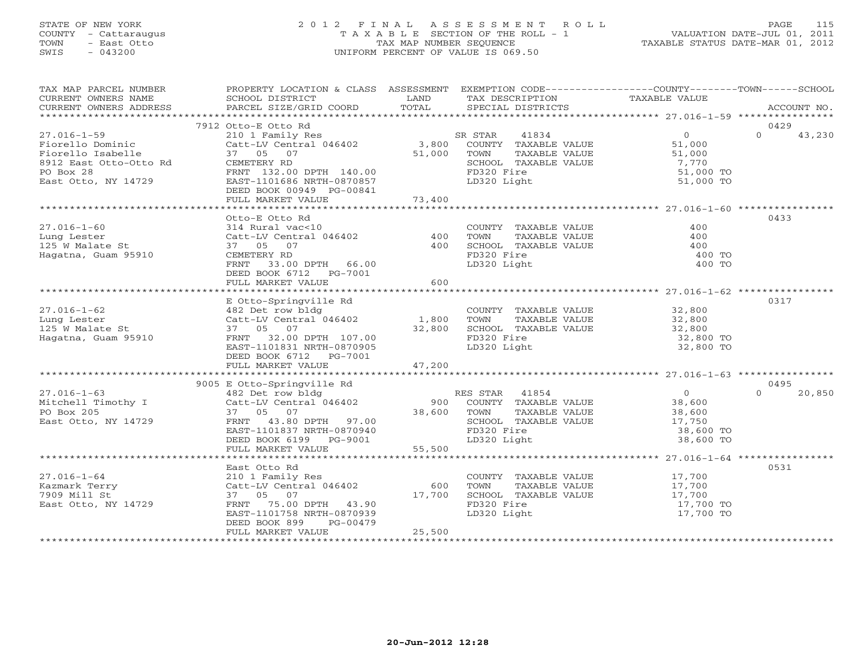# STATE OF NEW YORK 2 0 1 2 F I N A L A S S E S S M E N T R O L L PAGE 115 COUNTY - Cattaraugus T A X A B L E SECTION OF THE ROLL - 1 VALUATION DATE-JUL 01, 2011 TOWN - East Otto TAX MAP NUMBER SEQUENCE TAXABLE STATUS DATE-MAR 01, 2012 SWIS - 043200 UNIFORM PERCENT OF VALUE IS 069.50UNIFORM PERCENT OF VALUE IS 069.50

| TAX MAP PARCEL NUMBER<br>CURRENT OWNERS NAME<br>CURRENT OWNERS ADDRESS                                                   | PROPERTY LOCATION & CLASS ASSESSMENT<br>SCHOOL DISTRICT<br>PARCEL SIZE/GRID COORD                                                                                                | LAND<br>TOTAL           | EXEMPTION CODE----------------COUNTY-------TOWN------SCHOOL<br>TAX DESCRIPTION<br>SPECIAL DISTRICTS                    | TAXABLE VALUE                                                         | ACCOUNT NO.                |
|--------------------------------------------------------------------------------------------------------------------------|----------------------------------------------------------------------------------------------------------------------------------------------------------------------------------|-------------------------|------------------------------------------------------------------------------------------------------------------------|-----------------------------------------------------------------------|----------------------------|
|                                                                                                                          |                                                                                                                                                                                  |                         |                                                                                                                        |                                                                       |                            |
| $27.016 - 1 - 59$<br>Fiorello Dominic<br>Fiorello Isabelle<br>8912 East Otto-Otto Rd<br>PO Box 28<br>East Otto, NY 14729 | 7912 Otto-E Otto Rd<br>210 1 Family Res<br>Catt-LV Central 046402<br>37 05 07<br>CEMETERY RD<br>FRNT 132.00 DPTH 140.00<br>EAST-1101686 NRTH-0870857<br>DEED BOOK 00949 PG-00841 | 3,800<br>51,000         | 41834<br>SR STAR<br>COUNTY TAXABLE VALUE<br>TOWN<br>TAXABLE VALUE<br>SCHOOL TAXABLE VALUE<br>FD320 Fire<br>LD320 Light | $\overline{0}$<br>51,000<br>51,000<br>7,770<br>51,000 TO<br>51,000 TO | 0429<br>$\Omega$<br>43,230 |
|                                                                                                                          | FULL MARKET VALUE                                                                                                                                                                | 73,400                  |                                                                                                                        |                                                                       |                            |
| $27.016 - 1 - 60$<br>Lung Lester<br>125 W Malate St<br>Hagatna, Guam 95910                                               | Otto-E Otto Rd<br>314 Rural vac<10<br>Catt-LV Central 046402<br>37 05 07<br>CEMETERY RD<br>33.00 DPTH 66.00<br>FRNT<br>DEED BOOK 6712 PG-7001                                    | 400<br>400              | COUNTY TAXABLE VALUE<br>TOWN<br>TAXABLE VALUE<br>SCHOOL TAXABLE VALUE<br>FD320 Fire<br>LD320 Light                     | 400<br>400<br>400<br>400 TO<br>400 TO                                 | 0433                       |
|                                                                                                                          | FULL MARKET VALUE                                                                                                                                                                | 600                     |                                                                                                                        |                                                                       |                            |
| $27.016 - 1 - 62$<br>Lung Lester<br>125 W Malate St<br>Hagatna, Guam 95910                                               | E Otto-Springville Rd<br>482 Det row bldg<br>Catt-LV Central 046402 1,800<br>37 05 07<br>FRNT 32.00 DPTH 107.00<br>EAST-1101831 NRTH-0870905<br>DEED BOOK 6712 PG-7001           | 32,800                  | COUNTY TAXABLE VALUE<br>TAXABLE VALUE<br>TOWN<br>SCHOOL TAXABLE VALUE<br>FD320 Fire<br>LD320 Light                     | 32,800<br>32,800<br>32,800<br>32,800 TO<br>32,800 TO                  | 0317                       |
|                                                                                                                          | FULL MARKET VALUE                                                                                                                                                                | 47,200                  |                                                                                                                        |                                                                       |                            |
| $27.016 - 1 - 63$<br>Mitchell Timothy I<br>PO Box 205                                                                    | 9005 E Otto-Springville Rd<br>482 Det row bldg<br>Catt-LV Central 046402<br>Catt-LV Central 046402<br>37 05 07                                                                   | 38,600                  | RES STAR<br>41854<br>900 COUNTY TAXABLE VALUE<br>TOWN<br>TAXABLE VALUE                                                 | $\overline{0}$<br>38,600<br>38,600                                    | 0495<br>$\Omega$<br>20,850 |
| East Otto, NY 14729                                                                                                      | FRNT 43.80 DPTH 97.00<br>EAST-1101837 NRTH-0870940<br>DEED BOOK 6199 PG-9001<br>FULL MARKET VALUE                                                                                | 55,500                  | SCHOOL TAXABLE VALUE<br>FD320 Fire<br>LD320 Light                                                                      | 17,750<br>38,600 TO<br>38,600 TO                                      |                            |
|                                                                                                                          | East Otto Rd                                                                                                                                                                     |                         |                                                                                                                        |                                                                       | 0531                       |
| $27.016 - 1 - 64$<br>Kazmark Terry<br>7909 Mill St<br>East Otto, NY 14729                                                | 210 1 Family Res<br>Catt-LV Central 046402<br>37 05 07<br>FRNT<br>75.00 DPTH 43.90<br>EAST-1101758 NRTH-0870939<br>DEED BOOK 899<br>PG-00479<br>FULL MARKET VALUE                | 600<br>17,700<br>25,500 | COUNTY TAXABLE VALUE<br>TOWN<br>TAXABLE VALUE<br>SCHOOL TAXABLE VALUE<br>FD320 Fire<br>LD320 Light                     | 17,700<br>17,700<br>17,700<br>17,700 TO<br>17,700 TO                  |                            |
|                                                                                                                          |                                                                                                                                                                                  |                         |                                                                                                                        |                                                                       |                            |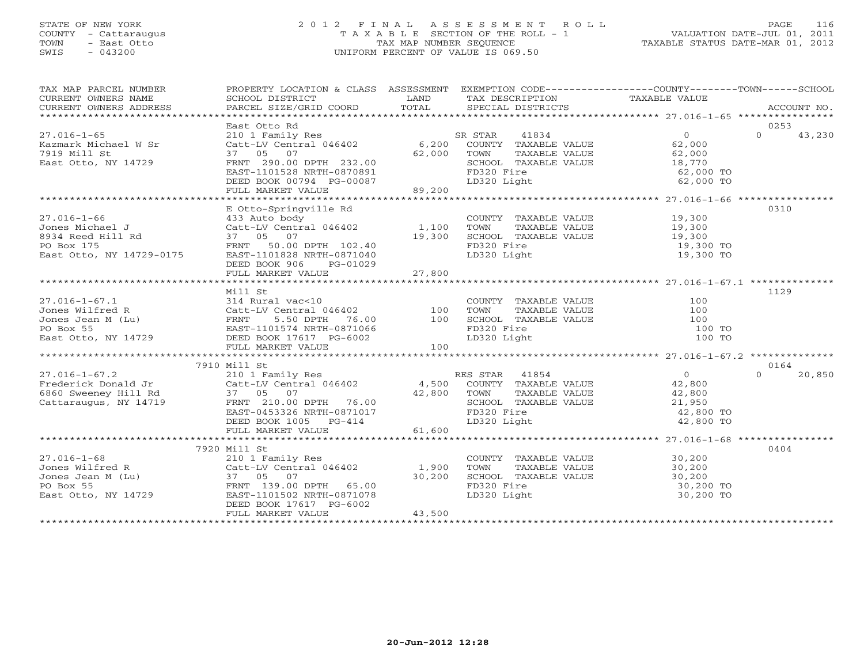# STATE OF NEW YORK 2 0 1 2 F I N A L A S S E S S M E N T R O L L PAGE 116 COUNTY - Cattaraugus T A X A B L E SECTION OF THE ROLL - 1 VALUATION DATE-JUL 01, 2011 TOWN - East Otto TAX MAP NUMBER SEQUENCE TAXABLE STATUS DATE-MAR 01, 2012 SWIS - 043200 UNIFORM PERCENT OF VALUE IS 069.50UNIFORM PERCENT OF VALUE IS 069.50

| TAX MAP PARCEL NUMBER<br>CURRENT OWNERS ADDRESS                                                                                                                                                                                          | PROPERTY LOCATION & CLASS ASSESSMENT EXEMPTION CODE----------------COUNTY-------TOWN------SCHOOL                                                                                              |        |                                                                                                                                                                         |                                              |                    |
|------------------------------------------------------------------------------------------------------------------------------------------------------------------------------------------------------------------------------------------|-----------------------------------------------------------------------------------------------------------------------------------------------------------------------------------------------|--------|-------------------------------------------------------------------------------------------------------------------------------------------------------------------------|----------------------------------------------|--------------------|
|                                                                                                                                                                                                                                          |                                                                                                                                                                                               |        |                                                                                                                                                                         |                                              |                    |
|                                                                                                                                                                                                                                          | East Otto Rd                                                                                                                                                                                  |        |                                                                                                                                                                         |                                              | 0253               |
| $27.016 - 1 - 65$                                                                                                                                                                                                                        | East Octo Ku (and San Star Audio 1994)<br>210 1 Family Res (att-LV Central 046402 (6,200 COUNTY TAXABLE VALUE (62,000 )                                                                       |        |                                                                                                                                                                         |                                              | $\Omega$<br>43,230 |
|                                                                                                                                                                                                                                          |                                                                                                                                                                                               |        |                                                                                                                                                                         |                                              |                    |
| Kazmark Michael W Sr<br>7919 Mill St                                                                                                                                                                                                     |                                                                                                                                                                                               |        |                                                                                                                                                                         |                                              |                    |
| East Otto, NY 14729                                                                                                                                                                                                                      |                                                                                                                                                                                               |        |                                                                                                                                                                         | TAXABLE VALUE 62,000<br>TAXABLE VALUE 18,770 |                    |
|                                                                                                                                                                                                                                          |                                                                                                                                                                                               |        | TOWN TAXABLE VALUE<br>SCHOOL TAXABLE VALUE<br>FD320 Fire                                                                                                                | 62,000 TO                                    |                    |
|                                                                                                                                                                                                                                          |                                                                                                                                                                                               |        | LD320 Light                                                                                                                                                             | 62,000 TO                                    |                    |
|                                                                                                                                                                                                                                          | CALC-LA CHILITY 1994<br>FRNT 290.00 DPTH 232.00 62,000 TOWN<br>FRNT 290.00 DPTH 232.00 6CHOO<br>EAST-1101528 NRTH-0870891 FD320<br>DEED BOOK 00794 PG-00087 LD320<br>FULL MARKET VALUE 89,200 |        |                                                                                                                                                                         |                                              |                    |
|                                                                                                                                                                                                                                          |                                                                                                                                                                                               |        |                                                                                                                                                                         |                                              |                    |
|                                                                                                                                                                                                                                          | E Otto-Springville Rd                                                                                                                                                                         |        |                                                                                                                                                                         |                                              | 0310               |
|                                                                                                                                                                                                                                          |                                                                                                                                                                                               |        |                                                                                                                                                                         |                                              |                    |
|                                                                                                                                                                                                                                          |                                                                                                                                                                                               |        |                                                                                                                                                                         |                                              |                    |
|                                                                                                                                                                                                                                          |                                                                                                                                                                                               |        |                                                                                                                                                                         |                                              |                    |
| 27.016-1-66 E Utto-Springville Rd<br>Jones Michael J (23.1 autobody COUNT)<br>8934 Reed Hill Rd (23.1 autobody 1,100 TOWN<br>8934 Reed Hill Rd (37 05 07 19,300 SCHOOI<br>PO Box 175 FRNT 50.00 DPTH 102.40 FD320<br>East Otto, NY 14729 |                                                                                                                                                                                               |        | COUNTY TAXABLE VALUE 19,300<br>TOWN TAXABLE VALUE 19,300<br>SCHOOL TAXABLE VALUE 19,300<br>FD320 Fire 19,300 TO                                                         |                                              |                    |
|                                                                                                                                                                                                                                          |                                                                                                                                                                                               |        | LD320 Light                                                                                                                                                             | 19,300 TO<br>19,300 TO                       |                    |
|                                                                                                                                                                                                                                          | DEED BOOK 906 PG-01029                                                                                                                                                                        |        |                                                                                                                                                                         |                                              |                    |
|                                                                                                                                                                                                                                          |                                                                                                                                                                                               |        |                                                                                                                                                                         |                                              |                    |
|                                                                                                                                                                                                                                          |                                                                                                                                                                                               |        |                                                                                                                                                                         |                                              |                    |
|                                                                                                                                                                                                                                          |                                                                                                                                                                                               |        |                                                                                                                                                                         |                                              | 1129               |
|                                                                                                                                                                                                                                          |                                                                                                                                                                                               |        |                                                                                                                                                                         |                                              |                    |
|                                                                                                                                                                                                                                          |                                                                                                                                                                                               |        |                                                                                                                                                                         |                                              |                    |
|                                                                                                                                                                                                                                          |                                                                                                                                                                                               |        |                                                                                                                                                                         |                                              |                    |
|                                                                                                                                                                                                                                          |                                                                                                                                                                                               |        |                                                                                                                                                                         |                                              |                    |
|                                                                                                                                                                                                                                          |                                                                                                                                                                                               |        |                                                                                                                                                                         |                                              |                    |
|                                                                                                                                                                                                                                          |                                                                                                                                                                                               |        |                                                                                                                                                                         |                                              |                    |
|                                                                                                                                                                                                                                          |                                                                                                                                                                                               |        |                                                                                                                                                                         |                                              |                    |
|                                                                                                                                                                                                                                          | 7910 Mill St                                                                                                                                                                                  |        |                                                                                                                                                                         |                                              | 0164               |
|                                                                                                                                                                                                                                          |                                                                                                                                                                                               |        |                                                                                                                                                                         |                                              | $\Omega$           |
|                                                                                                                                                                                                                                          |                                                                                                                                                                                               |        |                                                                                                                                                                         |                                              | 20,850             |
|                                                                                                                                                                                                                                          |                                                                                                                                                                                               |        |                                                                                                                                                                         |                                              |                    |
|                                                                                                                                                                                                                                          |                                                                                                                                                                                               |        |                                                                                                                                                                         |                                              |                    |
|                                                                                                                                                                                                                                          |                                                                                                                                                                                               |        | TOWN TAXABLE VALUE $42,800$<br>SCHOOL TAXABLE VALUE 21,950<br>FD320 Fire 42,800 TO<br>LD320 Light 42,800 TO                                                             |                                              |                    |
|                                                                                                                                                                                                                                          |                                                                                                                                                                                               |        |                                                                                                                                                                         |                                              |                    |
|                                                                                                                                                                                                                                          |                                                                                                                                                                                               |        |                                                                                                                                                                         |                                              |                    |
| 27.016-1-67.2<br>Frederick Donald Jr Cattaring Cattaring Cattaring Cattaring Cattaring Cattaring Cattaring Cattaring Cattaring Cattaring Cattaring Cattaring Cattaring Cattaring Cattaring Cattaring Cattaring Cattaring Cattar          |                                                                                                                                                                                               |        |                                                                                                                                                                         |                                              |                    |
|                                                                                                                                                                                                                                          |                                                                                                                                                                                               |        |                                                                                                                                                                         |                                              |                    |
|                                                                                                                                                                                                                                          | 7920 Mill St                                                                                                                                                                                  |        |                                                                                                                                                                         |                                              | 0404               |
|                                                                                                                                                                                                                                          |                                                                                                                                                                                               |        | COUNTY TAXABLE VALUE 30,200                                                                                                                                             |                                              |                    |
| 27.016-1-68<br>Jones Wilfred R Catt-LV Central 046402 1,900<br>Jones Jean M (Lu) 37 05 07 30,200<br>PO Box 55<br>East Otto, NY 14729 EAST-1101502 NRTH-0871078<br>FRNT 139.00 DPTH 65.00<br>EAST-1101502 NRTH-0871078<br>PG-6002         |                                                                                                                                                                                               |        | TOWN TAXABLE VALUE<br>SCHOOL TAXABLE VALUE<br>SCHOOL TAXABLE VALUE<br>TOWN TAXABLE VALUE<br>30,200 TO<br>FD320 Fire<br>10,200 TO<br>50,200 TO<br>30,200 TO<br>30,200 TO |                                              |                    |
|                                                                                                                                                                                                                                          |                                                                                                                                                                                               |        |                                                                                                                                                                         |                                              |                    |
|                                                                                                                                                                                                                                          |                                                                                                                                                                                               |        |                                                                                                                                                                         |                                              |                    |
|                                                                                                                                                                                                                                          |                                                                                                                                                                                               |        |                                                                                                                                                                         |                                              |                    |
|                                                                                                                                                                                                                                          | DEED BOOK 17617 PG-6002                                                                                                                                                                       |        |                                                                                                                                                                         |                                              |                    |
|                                                                                                                                                                                                                                          | FULL MARKET VALUE                                                                                                                                                                             | 43,500 |                                                                                                                                                                         |                                              |                    |
|                                                                                                                                                                                                                                          |                                                                                                                                                                                               |        |                                                                                                                                                                         |                                              |                    |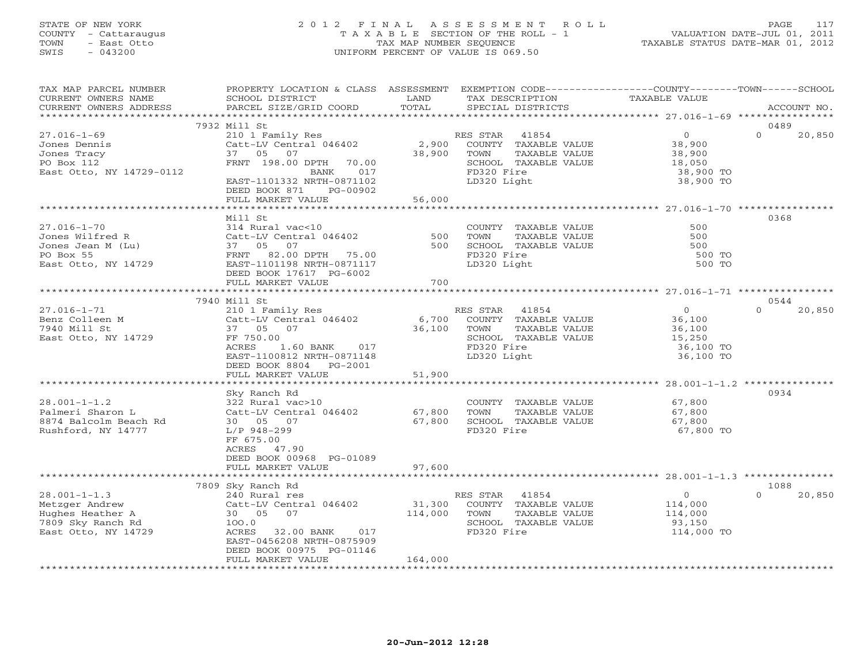# STATE OF NEW YORK 2 0 1 2 F I N A L A S S E S S M E N T R O L L PAGE 117 COUNTY - Cattaraugus T A X A B L E SECTION OF THE ROLL - 1 VALUATION DATE-JUL 01, 2011 TOWN - East Otto TAX MAP NUMBER SEQUENCE TAXABLE STATUS DATE-MAR 01, 2012 SWIS - 043200 UNIFORM PERCENT OF VALUE IS 069.50UNIFORM PERCENT OF VALUE IS 069.50

| TAX MAP PARCEL NUMBER<br>CURRENT OWNERS NAME<br>CURRENT OWNERS ADDRESS                               | PROPERTY LOCATION & CLASS ASSESSMENT<br>SCHOOL DISTRICT<br>PARCEL SIZE/GRID COORD                                                                                                                                                                                                                                                                                                | LAND<br>TOTAL       | EXEMPTION CODE-----------------COUNTY-------TOWN------SCHOOL<br>TAX DESCRIPTION<br>SPECIAL DISTRICTS  | TAXABLE VALUE                                                          | ACCOUNT NO.                |
|------------------------------------------------------------------------------------------------------|----------------------------------------------------------------------------------------------------------------------------------------------------------------------------------------------------------------------------------------------------------------------------------------------------------------------------------------------------------------------------------|---------------------|-------------------------------------------------------------------------------------------------------|------------------------------------------------------------------------|----------------------------|
| ***********************                                                                              | *******************************                                                                                                                                                                                                                                                                                                                                                  |                     |                                                                                                       |                                                                        |                            |
| $27.016 - 1 - 69$<br>Jones Dennis<br>Jones Tracy<br>PO Box 112<br>East Otto, NY 14729-0112           | 7932 Mill St<br>210 1 Family Res<br>Catt-LV Central 046402<br>37 05 07<br>FRNT 198.00 DPTH<br>70.00<br>BANK<br>017                                                                                                                                                                                                                                                               | 2,900<br>38,900     | RES STAR 41854<br>COUNTY TAXABLE VALUE<br>TOWN<br>TAXABLE VALUE<br>SCHOOL TAXABLE VALUE<br>FD320 Fire | $\overline{0}$<br>38,900<br>38,900<br>18,050<br>38,900 TO              | 0489<br>$\Omega$<br>20,850 |
|                                                                                                      | EAST-1101332 NRTH-0871102<br>DEED BOOK 871<br>PG-00902<br>FULL MARKET VALUE                                                                                                                                                                                                                                                                                                      | 56,000              | LD320 Light                                                                                           | 38,900 TO                                                              |                            |
| $27.016 - 1 - 70$<br>Jones Wilfred R<br>Jones Jean M (Lu)<br>PO Box 55<br>East Otto, NY 14729        | Mill St<br>$314 \text{ Rural vac} < 10$<br>Catt-IV Central 046402<br>37 05 07<br>FRNT 82.00 DPTH 75.00<br>EAST-1101198 NRTH-0871117<br>DEED BOOK 17617 PG-6002<br>FULL MARKET VALUE                                                                                                                                                                                              | $500$<br>500<br>700 | COUNTY TAXABLE VALUE<br>TOWN<br>TAXABLE VALUE<br>SCHOOL TAXABLE VALUE<br>FD320 Fire<br>LD320 Light    | 500<br>500<br>500<br>500 TO<br>500 TO                                  | 0368                       |
|                                                                                                      |                                                                                                                                                                                                                                                                                                                                                                                  |                     |                                                                                                       |                                                                        |                            |
| $27.016 - 1 - 71$<br>Benz Colleen M<br>7940 Mill St<br>East Otto, NY 14729                           | 7940 Mill St<br>210 1 Family Res<br>Catt-LV Central 046402 6,700 COUNTY TAXABLE VALUE<br>37 05 07<br>FF 750.00<br>1.60 BANK 017<br>ACRES<br>EAST-1100812 NRTH-0871148<br>DEED BOOK 8804 PG-2001<br>FULL MARKET VALUE                                                                                                                                                             | 36,100<br>51,900    | RES STAR 41854<br>TOWN<br>TAXABLE VALUE<br>SCHOOL TAXABLE VALUE<br>FD320 Fire<br>LD320 Light          | $\overline{0}$<br>36,100<br>36,100<br>15,250<br>36,100 TO<br>36,100 TO | 0544<br>$\Omega$<br>20,850 |
|                                                                                                      | * * * * * * * * * *                                                                                                                                                                                                                                                                                                                                                              | ******************  |                                                                                                       |                                                                        |                            |
| $28.001 - 1 - 1.2$<br>Palmeri Sharon L<br>8874 Balcolm Beach Rd<br>Rushford, NY 14777                | Sky Ranch Rd<br>322 Rural vac>10<br>JZZ Kurai vuosio<br>Catt-LV Central 046402<br>30  05  07<br>L/P 948-299<br>FF 675.00<br>ACRES 47.90<br>DEED BOOK 00968 PG-01089                                                                                                                                                                                                              | 67,800<br>67,800    | COUNTY TAXABLE VALUE<br>TAXABLE VALUE<br>TOWN<br>SCHOOL TAXABLE VALUE<br>FD320 Fire                   | 67,800<br>67,800<br>67,800<br>67,800 TO                                | 0934                       |
|                                                                                                      | FULL MARKET VALUE                                                                                                                                                                                                                                                                                                                                                                | 97,600              |                                                                                                       |                                                                        |                            |
|                                                                                                      | 7809 Sky Ranch Rd                                                                                                                                                                                                                                                                                                                                                                |                     |                                                                                                       |                                                                        | 1088                       |
| $28.001 - 1 - 1.3$<br>Metzger Andrew<br>Hughes Heather A<br>7809 Sky Ranch Rd<br>East Otto, NY 14729 | 240 Rural res<br>Catt-LV Central 046402<br>The Company of the Company of the Company of the Company of the Company of the Company of the Company of the Company of the Company of the Company of the Company of the Company of the Company of the Company of the Company<br>30  05  07<br>100.0<br>ACRES 32.00 BANK 017<br>EAST-0456208 NRTH-0875909<br>DEED BOOK 00975 PG-01146 | 31,300<br>114,000   | RES STAR 41854<br>COUNTY TAXABLE VALUE<br>TOWN<br>TAXABLE VALUE<br>SCHOOL TAXABLE VALUE<br>FD320 Fire | $\overline{0}$<br>114,000<br>114,000<br>93,150<br>114,000 TO           | $\Omega$<br>20,850         |
|                                                                                                      | FULL MARKET VALUE                                                                                                                                                                                                                                                                                                                                                                | 164,000             |                                                                                                       |                                                                        |                            |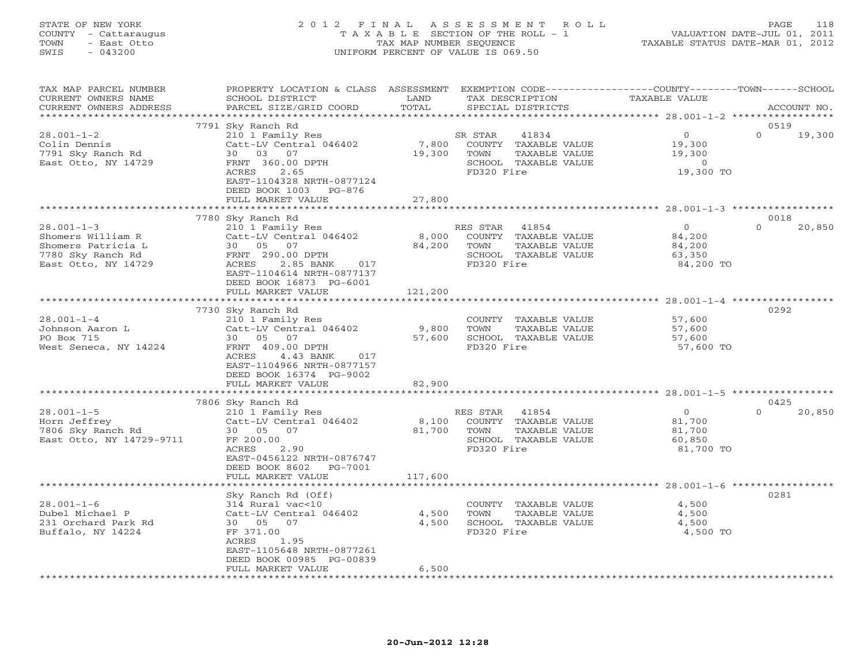# STATE OF NEW YORK 2 0 1 2 F I N A L A S S E S S M E N T R O L L PAGE 118 COUNTY - Cattaraugus T A X A B L E SECTION OF THE ROLL - 1 VALUATION DATE-JUL 01, 2011 TOWN - East Otto TAX MAP NUMBER SEQUENCE TAXABLE STATUS DATE-MAR 01, 2012 SWIS - 043200 UNIFORM PERCENT OF VALUE IS 069.50UNIFORM PERCENT OF VALUE IS 069.50

| TAX MAP PARCEL NUMBER<br>CURRENT OWNERS NAME<br>CURRENT OWNERS ADDRESS                                  | PROPERTY LOCATION & CLASS ASSESSMENT<br>SCHOOL DISTRICT<br>PARCEL SIZE/GRID COORD                                                                                   | LAND<br>TOTAL   | EXEMPTION CODE-----------------COUNTY-------TOWN------SCHOOL<br>TAX DESCRIPTION<br>SPECIAL DISTRICTS     | TAXABLE VALUE                                               | ACCOUNT NO.        |
|---------------------------------------------------------------------------------------------------------|---------------------------------------------------------------------------------------------------------------------------------------------------------------------|-----------------|----------------------------------------------------------------------------------------------------------|-------------------------------------------------------------|--------------------|
| **********************                                                                                  | ****************************                                                                                                                                        |                 |                                                                                                          |                                                             |                    |
|                                                                                                         | 7791 Sky Ranch Rd                                                                                                                                                   |                 |                                                                                                          |                                                             | 0519               |
| $28.001 - 1 - 2$<br>Colin Dennis<br>7791 Sky Ranch Rd<br>East Otto, NY 14729                            | 210 1 Family Res<br>Catt-LV Central 046402<br>30 03 07<br>FRNT 360.00 DPTH<br>ACRES<br>2.65<br>EAST-1104328 NRTH-0877124<br>DEED BOOK 1003 PG-876                   | 7,800<br>19,300 | SR STAR<br>41834<br>COUNTY TAXABLE VALUE<br>TOWN<br>TAXABLE VALUE<br>SCHOOL TAXABLE VALUE<br>FD320 Fire  | $\overline{0}$<br>19,300<br>19,300<br>$\Omega$<br>19,300 TO | $\Omega$<br>19,300 |
|                                                                                                         | FULL MARKET VALUE                                                                                                                                                   | 27,800          |                                                                                                          |                                                             |                    |
|                                                                                                         |                                                                                                                                                                     |                 |                                                                                                          |                                                             |                    |
|                                                                                                         | 7780 Sky Ranch Rd                                                                                                                                                   |                 |                                                                                                          |                                                             | 0018               |
| $28.001 - 1 - 3$<br>Shomers William R<br>Shomers Patricia L<br>7780 Sky Ranch Rd<br>East Otto, NY 14729 | 210 1 Family Res<br>Catt-LV Central 046402<br>30 05 07<br>FRNT 290.00 DPTH<br>ACRES<br>2.85 BANK<br>017<br>EAST-1104614 NRTH-0877137<br>DEED BOOK 16873 PG-6001     | 8,000<br>84,200 | RES STAR<br>41854<br>COUNTY TAXABLE VALUE<br>TOWN<br>TAXABLE VALUE<br>SCHOOL TAXABLE VALUE<br>FD320 Fire | $\overline{0}$<br>84,200<br>84,200<br>63,350<br>84,200 TO   | $\Omega$<br>20,850 |
|                                                                                                         | FULL MARKET VALUE                                                                                                                                                   | 121,200         |                                                                                                          |                                                             |                    |
|                                                                                                         |                                                                                                                                                                     |                 |                                                                                                          |                                                             |                    |
|                                                                                                         | 7730 Sky Ranch Rd                                                                                                                                                   |                 |                                                                                                          |                                                             | 0292               |
| $28.001 - 1 - 4$<br>Johnson Aaron L<br>PO Box 715<br>West Seneca, NY 14224                              | 210 1 Family Res<br>Catt-LV Central 046402<br>30 05 07<br>FRNT 409.00 DPTH<br>ACRES<br>4.43 BANK<br>017                                                             | 9,800<br>57,600 | COUNTY TAXABLE VALUE<br>TAXABLE VALUE<br>TOWN<br>SCHOOL TAXABLE VALUE<br>FD320 Fire                      | 57,600<br>57,600<br>57,600<br>57,600 TO                     |                    |
|                                                                                                         | EAST-1104966 NRTH-0877157<br>DEED BOOK 16374 PG-9002                                                                                                                |                 |                                                                                                          |                                                             |                    |
|                                                                                                         | FULL MARKET VALUE                                                                                                                                                   | 82,900          |                                                                                                          |                                                             |                    |
|                                                                                                         | ************************                                                                                                                                            |                 |                                                                                                          |                                                             |                    |
|                                                                                                         | 7806 Sky Ranch Rd                                                                                                                                                   |                 |                                                                                                          |                                                             | 0425               |
| $28.001 - 1 - 5$                                                                                        | 210 1 Family Res                                                                                                                                                    |                 | 41854<br>RES STAR                                                                                        | $\overline{0}$                                              | $\Omega$<br>20,850 |
| Horn Jeffrey<br>7806 Sky Ranch Rd<br>East Otto, NY 14729-9711                                           | Catt-LV Central 046402<br>30 05 07<br>FF 200.00<br>ACRES<br>2.90<br>EAST-0456122 NRTH-0876747<br>DEED BOOK 8602 PG-7001                                             | 8,100<br>81,700 | COUNTY TAXABLE VALUE<br>TOWN<br>TAXABLE VALUE<br>SCHOOL TAXABLE VALUE<br>FD320 Fire                      | 81,700<br>81,700<br>60,850<br>81,700 TO                     |                    |
|                                                                                                         | FULL MARKET VALUE                                                                                                                                                   | 117,600         |                                                                                                          |                                                             |                    |
|                                                                                                         |                                                                                                                                                                     |                 |                                                                                                          |                                                             |                    |
| $28.001 - 1 - 6$<br>Dubel Michael P<br>231 Orchard Park Rd<br>Buffalo, NY 14224                         | Sky Ranch Rd (Off)<br>314 Rural vac<10<br>Catt-LV Central 046402<br>30 05 07<br>FF 371.00<br>ACRES<br>1.95<br>EAST-1105648 NRTH-0877261<br>DEED BOOK 00985 PG-00839 | 4,500<br>4,500  | COUNTY TAXABLE VALUE<br>TAXABLE VALUE<br>TOWN<br>SCHOOL TAXABLE VALUE<br>FD320 Fire                      | 4,500<br>4,500<br>4,500<br>4,500 TO                         | 0281               |
|                                                                                                         | FULL MARKET VALUE                                                                                                                                                   | 6,500           |                                                                                                          |                                                             |                    |
|                                                                                                         | *********************                                                                                                                                               |                 | ***************************                                                                              |                                                             |                    |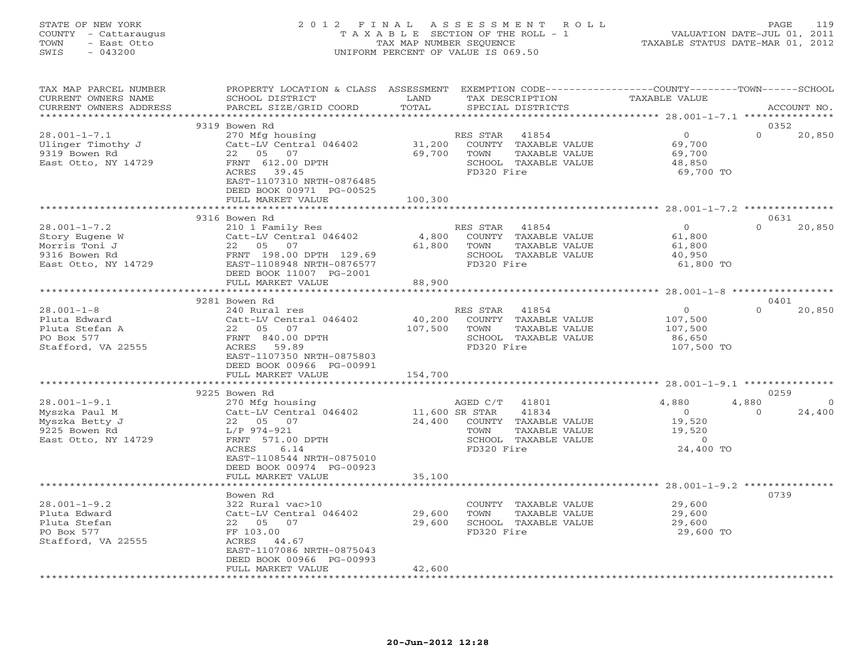# STATE OF NEW YORK 2 0 1 2 F I N A L A S S E S S M E N T R O L L PAGE 119 COUNTY - Cattaraugus T A X A B L E SECTION OF THE ROLL - 1 VALUATION DATE-JUL 01, 2011 TOWN - East Otto TAX MAP NUMBER SEQUENCE TAXABLE STATUS DATE-MAR 01, 2012 SWIS - 043200 UNIFORM PERCENT OF VALUE IS 069.50UNIFORM PERCENT OF VALUE IS 069.50

| TAX MAP PARCEL NUMBER<br>CURRENT OWNERS NAME<br>CURRENT OWNERS ADDRESS                        | PROPERTY LOCATION & CLASS ASSESSMENT<br>SCHOOL DISTRICT<br>PARCEL SIZE/GRID COORD                                                                                                          | LAND<br>TOTAL               |                                                        | TAX DESCRIPTION<br>SPECIAL DISTRICTS                                   | EXEMPTION CODE-----------------COUNTY-------TOWN------SCHOOL<br>TAXABLE VALUE |                   | ACCOUNT NO.                |
|-----------------------------------------------------------------------------------------------|--------------------------------------------------------------------------------------------------------------------------------------------------------------------------------------------|-----------------------------|--------------------------------------------------------|------------------------------------------------------------------------|-------------------------------------------------------------------------------|-------------------|----------------------------|
|                                                                                               |                                                                                                                                                                                            | * * * * * * * * * *         |                                                        |                                                                        | ******************** 28.001-1-7.1 ****************                            |                   |                            |
| $28.001 - 1 - 7.1$<br>Ulinger Timothy J<br>9319 Bowen Rd<br>East Otto, NY 14729               | 9319 Bowen Rd<br>270 Mfg housing<br>Catt-LV Central 046402<br>22 05 07<br>FRNT 612.00 DPTH<br>39.45<br>ACRES<br>EAST-1107310 NRTH-0876485<br>DEED BOOK 00971 PG-00525<br>FULL MARKET VALUE | 31,200<br>69,700<br>100,300 | RES STAR<br>TOWN<br>FD320 Fire                         | 41854<br>COUNTY TAXABLE VALUE<br>TAXABLE VALUE<br>SCHOOL TAXABLE VALUE | $\Omega$<br>69,700<br>69,700<br>48,850<br>69,700 TO                           | $\Omega$          | 0352<br>20,850             |
|                                                                                               |                                                                                                                                                                                            | ***********                 |                                                        |                                                                        | **********************************28.001-1-7.2 ****************               |                   |                            |
|                                                                                               | 9316 Bowen Rd                                                                                                                                                                              |                             |                                                        |                                                                        |                                                                               |                   | 0631                       |
| $28.001 - 1 - 7.2$<br>Story Eugene W<br>Morris Toni J<br>9316 Bowen Rd<br>East Otto, NY 14729 | 210 1 Family Res<br>Catt-LV Central 046402<br>22 05 07<br>0. 198.00 DPTH 129.69<br>198.00 DPTH 129.69 FRNT 198.00<br>EAST-1108948 NRTH-0876577<br>DEED BOOK 11007 PG-2001                  | 4,800<br>61,800             | RES STAR 41854<br>TOWN<br>FD320 Fire                   | COUNTY TAXABLE VALUE<br>TAXABLE VALUE<br>SCHOOL TAXABLE VALUE          | $\overline{0}$<br>61,800<br>61,800<br>40,950<br>61,800 TO                     | $\Omega$          | 20,850                     |
|                                                                                               | FULL MARKET VALUE                                                                                                                                                                          | 88,900                      |                                                        |                                                                        |                                                                               |                   |                            |
|                                                                                               |                                                                                                                                                                                            | * * * * * * * * * * *       |                                                        |                                                                        | ********************* 28.001-1-8 ******************                           |                   |                            |
|                                                                                               | 9281 Bowen Rd                                                                                                                                                                              |                             |                                                        |                                                                        |                                                                               |                   | 0401                       |
| $28.001 - 1 - 8$<br>Pluta Edward<br>Pluta Stefan A<br>PO Box 577<br>Stafford, VA 22555        | 240 Rural res<br>Catt-LV Central 046402<br>22 05 07<br>FRNT 840.00 DPTH<br>ACRES<br>59.89<br>EAST-1107350 NRTH-0875803<br>DEED BOOK 00966 PG-00991                                         | 40,200<br>107,500           | RES STAR 41854<br>TOWN<br>FD320 Fire                   | COUNTY TAXABLE VALUE<br>TAXABLE VALUE<br>SCHOOL TAXABLE VALUE          | $\overline{0}$<br>107,500<br>107,500<br>86,650<br>107,500 TO                  | $\Omega$          | 20,850                     |
|                                                                                               | FULL MARKET VALUE                                                                                                                                                                          | 154,700                     |                                                        |                                                                        |                                                                               |                   |                            |
|                                                                                               |                                                                                                                                                                                            |                             |                                                        |                                                                        | ********************** 28.001-1-9.1 ****************                          |                   |                            |
| $28.001 - 1 - 9.1$<br>Myszka Paul M<br>Myszka Betty J<br>9225 Bowen Rd<br>East Otto, NY 14729 | 9225 Bowen Rd<br>270 Mfg housing<br>Catt-LV Central 046402<br>22 05 07<br>L/P 974-921<br>FRNT 571.00 DPTH<br>6.14<br>ACRES<br>EAST-1108544 NRTH-0875010<br>DEED BOOK 00974 PG-00923        | 24,400                      | AGED C/T 41801<br>11,600 SR STAR<br>TOWN<br>FD320 Fire | 41834<br>COUNTY TAXABLE VALUE<br>TAXABLE VALUE<br>SCHOOL TAXABLE VALUE | 4,880<br>$\overline{0}$<br>19,520<br>19,520<br>$\overline{0}$<br>24,400 TO    | 4,880<br>$\Omega$ | 0259<br>$\Omega$<br>24,400 |
|                                                                                               | FULL MARKET VALUE                                                                                                                                                                          | 35,100                      |                                                        |                                                                        |                                                                               |                   |                            |
| $28.001 - 1 - 9.2$                                                                            | Bowen Rd<br>322 Rural vac>10                                                                                                                                                               |                             |                                                        | COUNTY TAXABLE VALUE                                                   | 29,600                                                                        |                   | 0739                       |
| Pluta Edward<br>Pluta Stefan<br>PO Box 577<br>Stafford, VA 22555                              | Catt-LV Central 046402<br>22  05  07<br>FF 103.00<br>ACRES 44.67<br>EAST-1107086 NRTH-0875043<br>DEED BOOK 00966 PG-00993<br>FULL MARKET VALUE                                             | 29,600<br>29,600<br>42,600  | TOWN<br>FD320 Fire                                     | TAXABLE VALUE<br>SCHOOL TAXABLE VALUE                                  | 29,600<br>29,600<br>29,600 TO                                                 |                   |                            |
|                                                                                               |                                                                                                                                                                                            |                             |                                                        |                                                                        |                                                                               |                   |                            |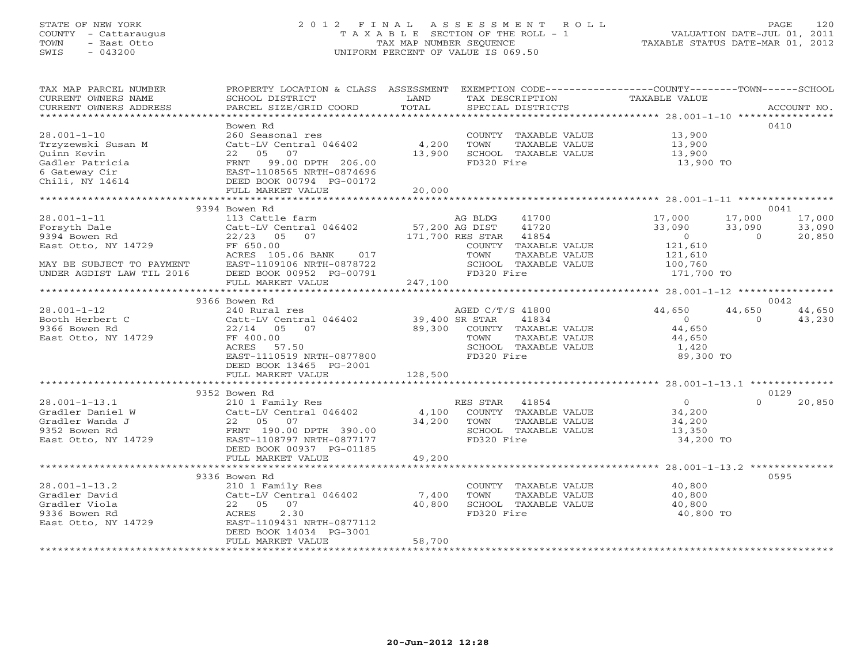# STATE OF NEW YORK 2 0 1 2 F I N A L A S S E S S M E N T R O L L PAGE 120 COUNTY - Cattaraugus T A X A B L E SECTION OF THE ROLL - 1 VALUATION DATE-JUL 01, 2011 TOWN - East Otto TAX MAP NUMBER SEQUENCE TAXABLE STATUS DATE-MAR 01, 2012 SWIS - 043200 UNIFORM PERCENT OF VALUE IS 069.50UNIFORM PERCENT OF VALUE IS 069.50

| TAX MAP PARCEL NUMBER<br>CURRENT OWNERS NAME<br>CURRENT OWNERS ADDRESS | PROPERTY LOCATION & CLASS ASSESSMENT EXEMPTION CODE----------------COUNTY-------TOWN------SCHOOL<br>SCHOOL DISTRICT<br>PARCEL SIZE/GRID COORD | LAND<br>TOTAL         | TAX DESCRIPTION<br>SPECIAL DISTRICTS | TAXABLE VALUE      | ACCOUNT NO.              |
|------------------------------------------------------------------------|-----------------------------------------------------------------------------------------------------------------------------------------------|-----------------------|--------------------------------------|--------------------|--------------------------|
|                                                                        |                                                                                                                                               |                       |                                      |                    |                          |
|                                                                        | Bowen Rd                                                                                                                                      |                       |                                      |                    | 0410                     |
| $28.001 - 1 - 10$                                                      | 260 Seasonal res                                                                                                                              |                       | COUNTY TAXABLE VALUE 13,900          |                    |                          |
| Trzyzewski Susan M                                                     | Catt-LV Central 046402 4,200                                                                                                                  |                       | TOWN<br>TAXABLE VALUE                | 13,900<br>13,900   |                          |
| Ouinn Kevin                                                            | 22 05<br>07                                                                                                                                   | 13,900                | SCHOOL TAXABLE VALUE                 |                    |                          |
| Gadler Patricia                                                        | FRNT 99.00 DPTH 206.00<br>EAST-1108565 NRTH-0874696                                                                                           |                       | FD320 Fire                           | 13,900 TO          |                          |
| 6 Gateway Cir                                                          |                                                                                                                                               |                       |                                      |                    |                          |
| Chili, NY 14614                                                        | DEED BOOK 00794 PG-00172                                                                                                                      |                       |                                      |                    |                          |
|                                                                        | FULL MARKET VALUE                                                                                                                             | 20,000                |                                      |                    |                          |
|                                                                        | 9394 Bowen Rd                                                                                                                                 |                       |                                      |                    | 0041                     |
| $28.001 - 1 - 11$                                                      | 113 Cattle farm                                                                                                                               |                       | AG BLDG<br>41700                     | 17,000             | 17,000<br>17,000         |
| Forsyth Dale                                                           |                                                                                                                                               |                       | 41720                                | 33,090             | 33,090<br>33,090         |
| 9394 Bowen Rd                                                          | Catt-LV Central 046402 57,200 AG DIST 41720<br>22/23 05 07 171,700 RES STAR 41854                                                             |                       |                                      | $\overline{0}$     | 20,850<br>$\overline{0}$ |
| East Otto, NY 14729                                                    | FF 650.00                                                                                                                                     |                       | COUNTY TAXABLE VALUE                 |                    |                          |
|                                                                        | FF 650.00<br>ACRES 105.06 BANK 017                                                                                                            |                       | TOWN<br>TAXABLE VALUE                | 121,610<br>121,610 |                          |
| MAY BE SUBJECT TO PAYMENT                                              | EAST-1109106 NRTH-0878722                                                                                                                     |                       | SCHOOL TAXABLE VALUE                 | 100,760            |                          |
| UNDER AGDIST LAW TIL 2016                                              | DEED BOOK 00952 PG-00791                                                                                                                      |                       | FD320 Fire                           | 171,700 TO         |                          |
|                                                                        | FULL MARKET VALUE                                                                                                                             | 247,100               |                                      |                    |                          |
| **********************                                                 |                                                                                                                                               |                       |                                      |                    |                          |
|                                                                        | 9366 Bowen Rd                                                                                                                                 |                       |                                      |                    | 0042                     |
| $28.001 - 1 - 12$                                                      | 240 Rural res<br>Catt-LV Central 046402 39,400 SR STAR                                                                                        |                       | AGED C/T/S 41800                     | 44,650             | 44,650<br>44,650         |
| Booth Herbert C                                                        |                                                                                                                                               |                       | 41834                                | $\overline{0}$     | $\Omega$<br>43,230       |
| 9366 Bowen Rd                                                          | $22/14 \qquad 05 \qquad 07 \qquad \qquad 89,300 \qquad \text{COUNTY} \quad \text{{\tt TAXABLE VALUE}}$                                        |                       |                                      | 44,650             |                          |
| East Otto, NY 14729                                                    | FF 400.00                                                                                                                                     |                       | TOWN<br>TAXABLE VALUE                | 44,650             |                          |
|                                                                        | ACRES<br>57.50                                                                                                                                |                       | SCHOOL TAXABLE VALUE                 | 1,420              |                          |
|                                                                        | EAST-1110519 NRTH-0877800                                                                                                                     |                       | FD320 Fire                           | 89,300 TO          |                          |
|                                                                        | DEED BOOK 13465 PG-2001                                                                                                                       |                       |                                      |                    |                          |
|                                                                        | FULL MARKET VALUE                                                                                                                             | 128,500               |                                      |                    |                          |
|                                                                        |                                                                                                                                               |                       |                                      |                    |                          |
|                                                                        | 9352 Bowen Rd                                                                                                                                 |                       |                                      | $\overline{0}$     | 0129<br>$\Omega$         |
| $28.001 - 1 - 13.1$<br>Gradler Daniel W                                |                                                                                                                                               |                       |                                      | 34,200             | 20,850                   |
| Gradler Wanda J                                                        |                                                                                                                                               |                       | TAXABLE VALUE                        | 34,200             |                          |
| 9352 Bowen Rd                                                          |                                                                                                                                               | 34,200 TOWN<br>SCHOOL | SCHOOL TAXABLE VALUE                 | 13,350             |                          |
| East Otto, NY 14729                                                    |                                                                                                                                               |                       | FD320 Fire                           | 34,200 TO          |                          |
|                                                                        |                                                                                                                                               |                       |                                      |                    |                          |
|                                                                        | Catt-LV Central<br>22 05 07<br>FRNT 190.00 DPTH 390.00<br>EAST-1108797 NRTH-0877177<br>RED BOOK 00937 PG-01185                                | 49,200                |                                      |                    |                          |
|                                                                        |                                                                                                                                               |                       |                                      |                    |                          |
|                                                                        | 9336 Bowen Rd                                                                                                                                 |                       |                                      |                    | 0595                     |
| $28.001 - 1 - 13.2$                                                    | 210 1 Family Res                                                                                                                              |                       | COUNTY TAXABLE VALUE                 | 40,800             |                          |
|                                                                        | Catt-LV Central $046402$ 7,400                                                                                                                |                       | TAXABLE VALUE<br>TOWN                | 40,800             |                          |
|                                                                        | 22 05 07                                                                                                                                      | 40,800                | SCHOOL TAXABLE VALUE                 | 40,800             |                          |
| Gradler David<br>Gradler Viola<br>9336 Bowen Rd<br>East Otto, NY 14729 | 2.30<br>ACRES                                                                                                                                 |                       | FD320 Fire                           | 40,800 TO          |                          |
|                                                                        | EAST-1109431 NRTH-0877112                                                                                                                     |                       |                                      |                    |                          |
|                                                                        | DEED BOOK 14034 PG-3001                                                                                                                       |                       |                                      |                    |                          |
|                                                                        | FULL MARKET VALUE                                                                                                                             | 58,700                |                                      |                    |                          |
|                                                                        |                                                                                                                                               |                       |                                      |                    |                          |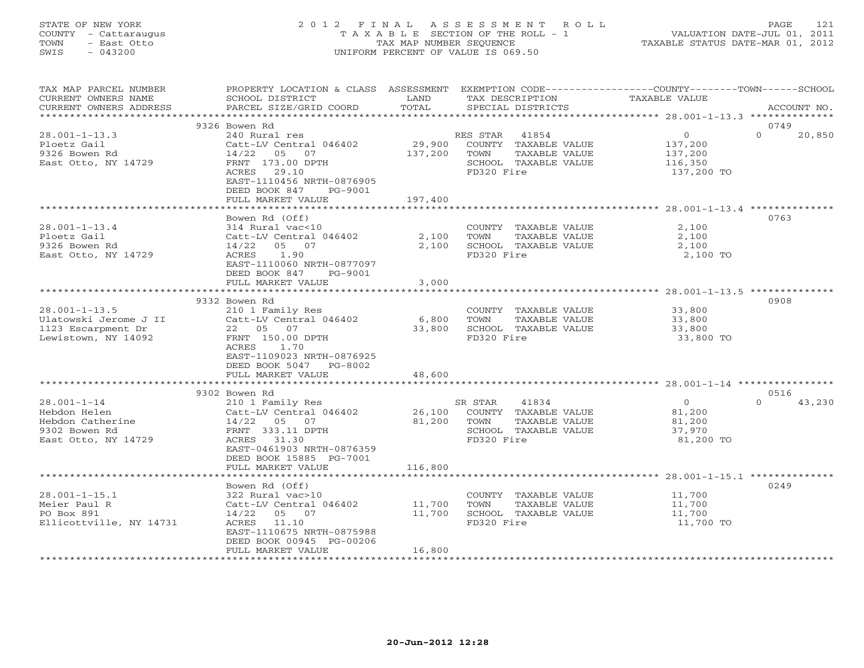# STATE OF NEW YORK 2 0 1 2 F I N A L A S S E S S M E N T R O L L PAGE 121 COUNTY - Cattaraugus T A X A B L E SECTION OF THE ROLL - 1 VALUATION DATE-JUL 01, 2011 TOWN - East Otto TAX MAP NUMBER SEQUENCE TAXABLE STATUS DATE-MAR 01, 2012 SWIS - 043200 UNIFORM PERCENT OF VALUE IS 069.50UNIFORM PERCENT OF VALUE IS 069.50

| TAX MAP PARCEL NUMBER<br>CURRENT OWNERS NAME | PROPERTY LOCATION & CLASS ASSESSMENT EXEMPTION CODE---------------COUNTY-------TOWN-----SCHOOL<br>SCHOOL DISTRICT | LAND                      | TAX DESCRIPTION                       | <b>TAXABLE VALUE</b>                              |                    |
|----------------------------------------------|-------------------------------------------------------------------------------------------------------------------|---------------------------|---------------------------------------|---------------------------------------------------|--------------------|
| CURRENT OWNERS ADDRESS                       | PARCEL SIZE/GRID COORD                                                                                            | TOTAL                     | SPECIAL DISTRICTS                     |                                                   | ACCOUNT NO.        |
| *************************                    |                                                                                                                   |                           |                                       |                                                   |                    |
|                                              | 9326 Bowen Rd                                                                                                     |                           |                                       |                                                   | 0749               |
| $28.001 - 1 - 13.3$                          | 240 Rural res                                                                                                     |                           | RES STAR<br>41854                     | $\circ$                                           | $\Omega$<br>20,850 |
| Ploetz Gail                                  | Catt-LV Central 046402                                                                                            | 29,900                    | COUNTY TAXABLE VALUE                  | 137,200                                           |                    |
| 9326 Bowen Rd                                | 14/22 05 07                                                                                                       | 137,200                   | TOWN<br>TAXABLE VALUE                 | 137,200                                           |                    |
| East Otto, NY 14729                          | FRNT 173.00 DPTH                                                                                                  |                           | SCHOOL TAXABLE VALUE                  | 116,350                                           |                    |
|                                              | <b>ACRES</b><br>29.10                                                                                             |                           | FD320 Fire                            | 137,200 TO                                        |                    |
|                                              | EAST-1110456 NRTH-0876905                                                                                         |                           |                                       |                                                   |                    |
|                                              | DEED BOOK 847<br>PG-9001                                                                                          |                           |                                       |                                                   |                    |
|                                              | FULL MARKET VALUE                                                                                                 | 197,400                   |                                       |                                                   |                    |
|                                              |                                                                                                                   |                           |                                       |                                                   |                    |
|                                              | Bowen Rd (Off)                                                                                                    |                           |                                       |                                                   | 0763               |
| $28.001 - 1 - 13.4$                          | 314 Rural vac<10                                                                                                  |                           | COUNTY TAXABLE VALUE                  | 2,100                                             |                    |
| Ploetz Gail                                  | Catt-LV Central 046402                                                                                            | 2,100                     | TOWN<br>TAXABLE VALUE                 | 2,100                                             |                    |
| 9326 Bowen Rd                                | 14/22<br>05 07                                                                                                    | 2,100                     | SCHOOL TAXABLE VALUE                  | 2,100                                             |                    |
| East Otto, NY 14729                          | 1.90<br>ACRES                                                                                                     |                           | FD320 Fire                            | 2,100 TO                                          |                    |
|                                              | EAST-1110060 NRTH-0877097                                                                                         |                           |                                       |                                                   |                    |
|                                              | DEED BOOK 847<br>PG-9001                                                                                          |                           |                                       |                                                   |                    |
|                                              | FULL MARKET VALUE                                                                                                 | 3,000<br>*************    |                                       |                                                   |                    |
|                                              | 9332 Bowen Rd                                                                                                     |                           |                                       |                                                   | 0908               |
| $28.001 - 1 - 13.5$                          | 210 1 Family Res                                                                                                  |                           | COUNTY TAXABLE VALUE                  | 33,800                                            |                    |
| Ulatowski Jerome J II                        | Catt-LV Central 046402                                                                                            | 6,800                     | TOWN<br>TAXABLE VALUE                 | 33,800                                            |                    |
| 1123 Escarpment Dr                           | 22  05  07                                                                                                        | 33,800                    | SCHOOL TAXABLE VALUE                  | 33,800                                            |                    |
| Lewistown, NY 14092                          | FRNT 150.00 DPTH                                                                                                  |                           | FD320 Fire                            | 33,800 TO                                         |                    |
|                                              | ACRES<br>1.70                                                                                                     |                           |                                       |                                                   |                    |
|                                              | EAST-1109023 NRTH-0876925                                                                                         |                           |                                       |                                                   |                    |
|                                              | DEED BOOK 5047 PG-8002                                                                                            |                           |                                       |                                                   |                    |
|                                              | FULL MARKET VALUE                                                                                                 | 48,600                    |                                       |                                                   |                    |
|                                              | **********************                                                                                            | * * * * * * * * * * * * * |                                       |                                                   |                    |
|                                              | 9302 Bowen Rd                                                                                                     |                           |                                       |                                                   | 0516               |
| $28.001 - 1 - 14$                            | 210 1 Family Res                                                                                                  |                           | 41834<br>SR STAR                      | $\overline{0}$                                    | $\Omega$<br>43,230 |
| Hebdon Helen                                 | Catt-LV Central 046402                                                                                            | 26,100                    | COUNTY TAXABLE VALUE                  | 81,200                                            |                    |
| Hebdon Catherine                             | 14/22<br>05 07                                                                                                    | 81,200                    | TOWN<br>TAXABLE VALUE                 | 81,200                                            |                    |
| 9302 Bowen Rd                                | FRNT 333.11 DPTH                                                                                                  |                           | SCHOOL TAXABLE VALUE                  | 37,970                                            |                    |
| East Otto, NY 14729                          | ACRES 31.30                                                                                                       |                           | FD320 Fire                            | 81,200 TO                                         |                    |
|                                              | EAST-0461903 NRTH-0876359                                                                                         |                           |                                       |                                                   |                    |
|                                              | DEED BOOK 15885 PG-7001                                                                                           |                           |                                       |                                                   |                    |
|                                              | FULL MARKET VALUE<br>******************                                                                           | 116,800<br>***********    |                                       |                                                   |                    |
|                                              |                                                                                                                   |                           |                                       | ******************** 28.001-1-15.1 ************** |                    |
|                                              | Bowen Rd (Off)                                                                                                    |                           |                                       |                                                   | 0249               |
| $28.001 - 1 - 15.1$<br>Meier Paul R          | 322 Rural vac>10                                                                                                  |                           | COUNTY TAXABLE VALUE<br>TOWN          | 11,700                                            |                    |
| PO Box 891                                   | Catt-LV Central 046402<br>$14/22$ 05 07                                                                           | 11,700<br>11,700          | TAXABLE VALUE<br>SCHOOL TAXABLE VALUE | 11,700<br>11,700                                  |                    |
| Ellicottville, NY 14731                      | 11.10<br>ACRES                                                                                                    |                           | FD320 Fire                            | 11,700 TO                                         |                    |
|                                              | EAST-1110675 NRTH-0875988                                                                                         |                           |                                       |                                                   |                    |
|                                              | DEED BOOK 00945 PG-00206                                                                                          |                           |                                       |                                                   |                    |
|                                              | FULL MARKET VALUE                                                                                                 | 16,800                    |                                       |                                                   |                    |
|                                              |                                                                                                                   |                           |                                       |                                                   |                    |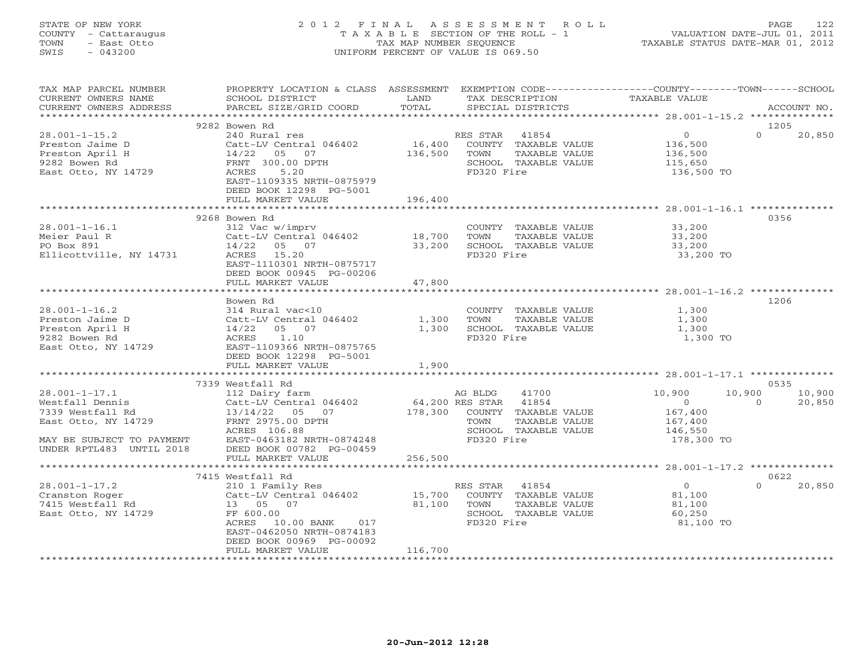# STATE OF NEW YORK 2 0 1 2 F I N A L A S S E S S M E N T R O L L PAGE 122 COUNTY - Cattaraugus T A X A B L E SECTION OF THE ROLL - 1 VALUATION DATE-JUL 01, 2011 TOWN - East Otto TAX MAP NUMBER SEQUENCE TAXABLE STATUS DATE-MAR 01, 2012 SWIS - 043200 UNIFORM PERCENT OF VALUE IS 069.50

| TAX MAP PARCEL NUMBER     | PROPERTY LOCATION & CLASS ASSESSMENT |             |                       |                      | EXEMPTION CODE-----------------COUNTY-------TOWN------SCHOOL |          |             |
|---------------------------|--------------------------------------|-------------|-----------------------|----------------------|--------------------------------------------------------------|----------|-------------|
| CURRENT OWNERS NAME       | SCHOOL DISTRICT                      | LAND        |                       | TAX DESCRIPTION      | TAXABLE VALUE                                                |          |             |
| CURRENT OWNERS ADDRESS    | PARCEL SIZE/GRID COORD               | TOTAL       |                       | SPECIAL DISTRICTS    |                                                              |          | ACCOUNT NO. |
| ***********************   | ******************************       |             |                       |                      |                                                              |          |             |
|                           | 9282 Bowen Rd                        |             |                       |                      |                                                              |          | 1205        |
| $28.001 - 1 - 15.2$       | 240 Rural res                        |             | RES STAR 41854        |                      | $\circ$                                                      | $\Omega$ | 20,850      |
| Preston Jaime D           | Catt-LV Central 046402               | 16,400      |                       | COUNTY TAXABLE VALUE | 136,500                                                      |          |             |
| Preston April H           | 14/22<br>05<br>07                    | 136,500     | TOWN                  | TAXABLE VALUE        | 136,500                                                      |          |             |
| 9282 Bowen Rd             | FRNT 300.00 DPTH                     |             |                       | SCHOOL TAXABLE VALUE | 115,650                                                      |          |             |
| East Otto, NY 14729       | 5.20<br>ACRES                        |             | FD320 Fire            |                      | 136,500 TO                                                   |          |             |
|                           | EAST-1109335 NRTH-0875979            |             |                       |                      |                                                              |          |             |
|                           | DEED BOOK 12298 PG-5001              |             |                       |                      |                                                              |          |             |
|                           | FULL MARKET VALUE                    | 196,400     |                       |                      |                                                              |          |             |
|                           | ***********************              | *********** |                       |                      |                                                              |          |             |
|                           | 9268 Bowen Rd                        |             |                       |                      |                                                              |          | 0356        |
| $28.001 - 1 - 16.1$       | 312 Vac w/imprv                      |             |                       | COUNTY TAXABLE VALUE |                                                              |          |             |
| Meier Paul R              | Catt-LV Central 046402               | 18,700      | TOWN                  | TAXABLE VALUE        | 33,200<br>33,200                                             |          |             |
| PO Box 891                | $14/22$ 05 07                        | 33,200      |                       | SCHOOL TAXABLE VALUE | 33,200                                                       |          |             |
| Ellicottville, NY 14731   | ACRES 15.20                          |             | FD320 Fire            |                      | 33,200 TO                                                    |          |             |
|                           |                                      |             |                       |                      |                                                              |          |             |
|                           | EAST-1110301 NRTH-0875717            |             |                       |                      |                                                              |          |             |
|                           | DEED BOOK 00945 PG-00206             |             |                       |                      |                                                              |          |             |
|                           | FULL MARKET VALUE                    | 47,800      |                       |                      |                                                              |          |             |
|                           |                                      |             |                       |                      |                                                              |          |             |
|                           | Bowen Rd                             |             |                       |                      |                                                              |          | 1206        |
| $28.001 - 1 - 16.2$       | 314 Rural vac<10                     |             |                       | COUNTY TAXABLE VALUE | 1,300                                                        |          |             |
| Preston Jaime D           | Catt-LV Central 046402               | 1,300       | TOWN                  | TAXABLE VALUE        | 1,300                                                        |          |             |
| Preston April H           | 14/22 05 07                          | 1,300       |                       | SCHOOL TAXABLE VALUE | 1,300                                                        |          |             |
| 9282 Bowen Rd             | ACRES<br>1.10                        |             | FD320 Fire            |                      | 1,300 TO                                                     |          |             |
| East Otto, NY 14729       | EAST-1109366 NRTH-0875765            |             |                       |                      |                                                              |          |             |
|                           | DEED BOOK 12298 PG-5001              |             |                       |                      |                                                              |          |             |
|                           | FULL MARKET VALUE                    | 1,900       |                       |                      |                                                              |          |             |
|                           |                                      |             |                       |                      |                                                              |          |             |
|                           | 7339 Westfall Rd                     |             |                       |                      |                                                              |          | 0535        |
| $28.001 - 1 - 17.1$       | 112 Dairy farm                       |             | AG BLDG               | 41700                | 10,900                                                       | 10,900   | 10,900      |
| Westfall Dennis           | Catt-LV Central 046402               |             | 64,200 RES STAR 41854 |                      | $\overline{0}$                                               | $\Omega$ | 20,850      |
| 7339 Westfall Rd          | 13/14/22 05 07                       | 178,300     |                       | COUNTY TAXABLE VALUE | 167,400                                                      |          |             |
| East Otto, NY 14729       | FRNT 2975.00 DPTH                    |             | TOWN                  | TAXABLE VALUE        | 167,400                                                      |          |             |
|                           | ACRES 106.88                         |             |                       | SCHOOL TAXABLE VALUE | 146,550                                                      |          |             |
| MAY BE SUBJECT TO PAYMENT | EAST-0463182 NRTH-0874248            |             | FD320 Fire            |                      | 178,300 TO                                                   |          |             |
| UNDER RPTL483 UNTIL 2018  | DEED BOOK 00782 PG-00459             |             |                       |                      |                                                              |          |             |
|                           | FULL MARKET VALUE                    | 256,500     |                       |                      |                                                              |          |             |
|                           |                                      | *********** |                       |                      |                                                              |          |             |
|                           |                                      |             |                       |                      |                                                              |          | 0622        |
|                           | 7415 Westfall Rd                     |             |                       |                      | $\overline{0}$                                               | $\Omega$ |             |
| $28.001 - 1 - 17.2$       | 210 1 Family Res                     |             | RES STAR              | 41854                |                                                              |          | 20,850      |
| Cranston Roger            | Catt-LV Central 046402               | 15,700      |                       | COUNTY TAXABLE VALUE | 81,100                                                       |          |             |
| 7415 Westfall Rd          | 13 05 07                             | 81,100      | TOWN                  | TAXABLE VALUE        | 81,100                                                       |          |             |
| East Otto, NY 14729       | FF 600.00                            |             |                       | SCHOOL TAXABLE VALUE | 60,250                                                       |          |             |
|                           | ACRES 10.00 BANK<br>017              |             | FD320 Fire            |                      | 81,100 TO                                                    |          |             |
|                           | EAST-0462050 NRTH-0874183            |             |                       |                      |                                                              |          |             |
|                           | DEED BOOK 00969 PG-00092             |             |                       |                      |                                                              |          |             |
|                           | FULL MARKET VALUE                    | 116,700     |                       |                      |                                                              |          |             |
|                           |                                      |             |                       |                      |                                                              |          |             |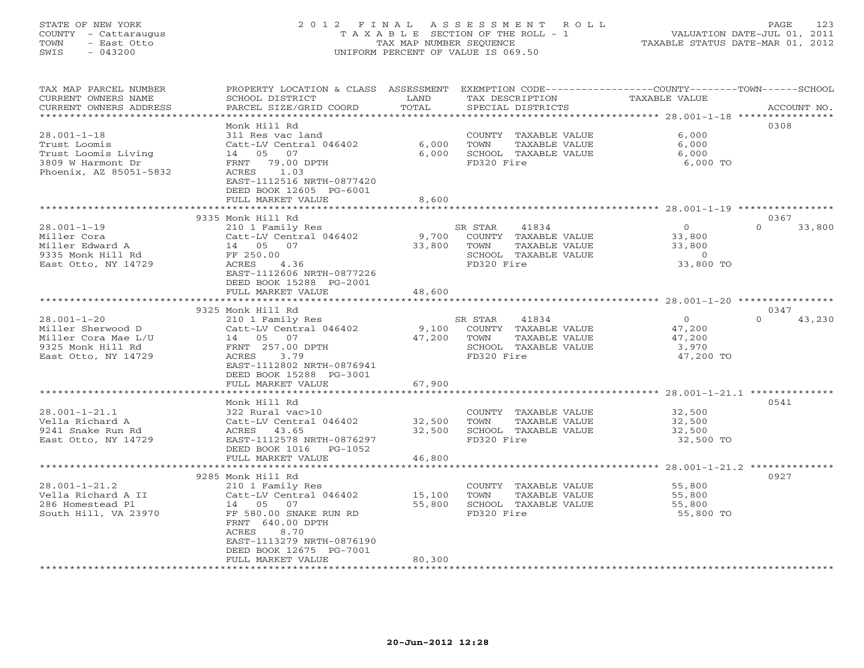# STATE OF NEW YORK 2 0 1 2 F I N A L A S S E S S M E N T R O L L PAGE 123 COUNTY - Cattaraugus T A X A B L E SECTION OF THE ROLL - 1 VALUATION DATE-JUL 01, 2011 TOWN - East Otto TAX MAP NUMBER SEQUENCE TAXABLE STATUS DATE-MAR 01, 2012 SWIS - 043200 UNIFORM PERCENT OF VALUE IS 069.50UNIFORM PERCENT OF VALUE IS 069.50

| TAX MAP PARCEL NUMBER<br>CURRENT OWNERS NAME<br>CURRENT OWNERS ADDRESS<br>*********************           | PROPERTY LOCATION & CLASS ASSESSMENT<br>SCHOOL DISTRICT<br>PARCEL SIZE/GRID COORD<br>***********************                                                                                          | LAND<br>TOTAL              | TAX DESCRIPTION<br>SPECIAL DISTRICTS                                                                    | EXEMPTION CODE-----------------COUNTY-------TOWN------SCHOOL<br><b>TAXABLE VALUE</b> | ACCOUNT NO.                |
|-----------------------------------------------------------------------------------------------------------|-------------------------------------------------------------------------------------------------------------------------------------------------------------------------------------------------------|----------------------------|---------------------------------------------------------------------------------------------------------|--------------------------------------------------------------------------------------|----------------------------|
| $28.001 - 1 - 18$<br>Trust Loomis<br>Trust Loomis Living<br>3809 W Harmont Dr<br>Phoenix, AZ 85051-5832   | Monk Hill Rd<br>311 Res vac land<br>Catt-LV Central 046402<br>14 05<br>07<br>79.00 DPTH<br>FRNT<br>ACRES<br>1.03<br>EAST-1112516 NRTH-0877420<br>DEED BOOK 12605 PG-6001<br>FULL MARKET VALUE         | 6,000<br>6,000<br>8,600    | COUNTY TAXABLE VALUE<br>TOWN<br>TAXABLE VALUE<br>SCHOOL TAXABLE VALUE<br>FD320 Fire                     | 6,000<br>6,000<br>6,000<br>6,000 TO                                                  | 0308                       |
|                                                                                                           | 9335 Monk Hill Rd                                                                                                                                                                                     |                            |                                                                                                         |                                                                                      | 0367                       |
| $28.001 - 1 - 19$<br>Miller Cora<br>Miller Edward A<br>9335 Monk Hill Rd<br>East Otto, NY 14729           | 210 1 Family Res<br>Catt-LV Central 046402<br>14 05 07<br>FF 250.00<br>ACRES<br>4.36<br>EAST-1112606 NRTH-0877226<br>DEED BOOK 15288 PG-2001                                                          | 9,700<br>33,800            | SR STAR<br>41834<br>COUNTY TAXABLE VALUE<br>TOWN<br>TAXABLE VALUE<br>SCHOOL TAXABLE VALUE<br>FD320 Fire | $\circ$<br>33,800<br>33,800<br>$\overline{0}$<br>33,800 TO                           | $\Omega$<br>33,800         |
|                                                                                                           | FULL MARKET VALUE                                                                                                                                                                                     | 48,600                     | ***********************                                                                                 | ********************* 28.001-1-20 *********                                          |                            |
| $28.001 - 1 - 20$<br>Miller Sherwood D<br>Miller Cora Mae L/U<br>9325 Monk Hill Rd<br>East Otto, NY 14729 | 9325 Monk Hill Rd<br>210 1 Family Res<br>Catt-LV Central 046402<br>14 05 07<br>FRNT 257.00 DPTH<br>ACRES<br>3.79<br>EAST-1112802 NRTH-0876941<br>DEED BOOK 15288 PG-3001                              | 9,100<br>47,200            | SR STAR<br>41834<br>COUNTY TAXABLE VALUE<br>TOWN<br>TAXABLE VALUE<br>SCHOOL TAXABLE VALUE<br>FD320 Fire | $\circ$<br>47,200<br>47,200<br>3,970<br>47,200 TO                                    | 0347<br>$\Omega$<br>43,230 |
|                                                                                                           | FULL MARKET VALUE                                                                                                                                                                                     | 67,900                     |                                                                                                         |                                                                                      |                            |
| $28.001 - 1 - 21.1$<br>Vella Richard A<br>9241 Snake Run Rd<br>East Otto, NY 14729                        | Monk Hill Rd<br>322 Rural vac>10<br>Catt-LV Central 046402<br>ACRES 43.65<br>EAST-1112578 NRTH-0876297<br>DEED BOOK 1016<br>PG-1052<br>FULL MARKET VALUE                                              | 32,500<br>32,500<br>46,800 | COUNTY TAXABLE VALUE<br>TOWN<br>TAXABLE VALUE<br>SCHOOL TAXABLE VALUE<br>FD320 Fire                     | 32,500<br>32,500<br>32,500<br>32,500 TO                                              | 0541                       |
|                                                                                                           | **********************                                                                                                                                                                                | ********                   |                                                                                                         | ******************** 28.001-1-21.2 **************                                    |                            |
| $28.001 - 1 - 21.2$<br>Vella Richard A II<br>286 Homestead Pl<br>South Hill, VA 23970                     | 9285 Monk Hill Rd<br>210 1 Family Res<br>Catt-LV Central 046402<br>14 05<br>07<br>FF 580.00 SNAKE RUN RD<br>FRNT 640.00 DPTH<br>ACRES<br>8.70<br>EAST-1113279 NRTH-0876190<br>DEED BOOK 12675 PG-7001 | 15,100<br>55,800           | COUNTY TAXABLE VALUE<br>TOWN<br>TAXABLE VALUE<br>SCHOOL TAXABLE VALUE<br>FD320 Fire                     | 55,800<br>55,800<br>55,800<br>55,800 TO                                              | 0927                       |
| ************************                                                                                  | FULL MARKET VALUE                                                                                                                                                                                     | 80,300                     |                                                                                                         |                                                                                      |                            |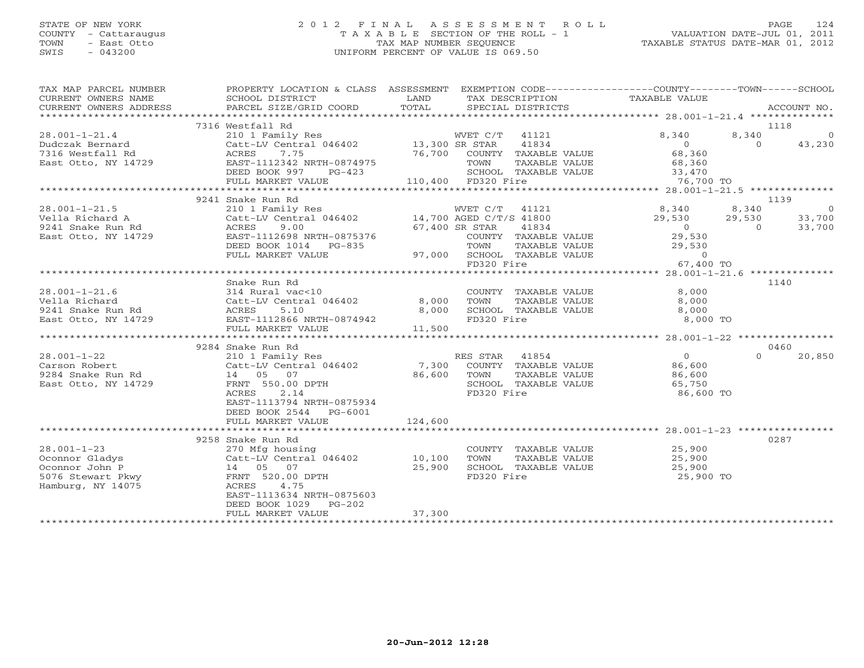### STATE OF NEW YORK 2 0 1 2 F I N A L A S S E S S M E N T R O L L PAGE 124 COUNTY - Cattaraugus T A X A B L E SECTION OF THE ROLL - 1 VALUATION DATE-JUL 01, 2011 TOWN - East Otto TAX MAP NUMBER SEQUENCE TAXABLE STATUS DATE-MAR 01, 2012 SWIS - 043200 UNIFORM PERCENT OF VALUE IS 069.50UNIFORM PERCENT OF VALUE IS 069.50

| TAX MAP PARCEL NUMBER                                                                                                  | PROPERTY LOCATION & CLASS ASSESSMENT EXEMPTION CODE----------------COUNTY-------TOWN------SCHOOL                                                                                    |                    |                |                                              |                                                               |          |             |
|------------------------------------------------------------------------------------------------------------------------|-------------------------------------------------------------------------------------------------------------------------------------------------------------------------------------|--------------------|----------------|----------------------------------------------|---------------------------------------------------------------|----------|-------------|
| CURRENT OWNERS NAME<br>CURRENT OWNERS ADDRESS                                                                          | SCHOOL DISTRICT<br>PARCEL SIZE/GRID COORD                                                                                                                                           | LAND<br>TOTAL      |                | TAX DESCRIPTION<br>SPECIAL DISTRICTS         | TAXABLE VALUE                                                 |          | ACCOUNT NO. |
|                                                                                                                        |                                                                                                                                                                                     |                    |                |                                              |                                                               |          |             |
|                                                                                                                        | 7316 Westfall Rd                                                                                                                                                                    |                    |                |                                              |                                                               |          | 1118        |
| $28.001 - 1 - 21.4$                                                                                                    | 210 1 Family Res                                                                                                                                                                    |                    | WVET C/T 41121 |                                              | 8,340                                                         | 8,340    | $\sim$ 0    |
| Dudczak Bernard                                                                                                        | Catt-LV Central 046402 13,300 SR STAR                                                                                                                                               |                    |                | 41834                                        | $0$<br>68,360                                                 | $\Omega$ | 43,230      |
| 7316 Westfall Rd                                                                                                       | 7.75<br>ACRES                                                                                                                                                                       |                    |                | 76,700 COUNTY TAXABLE VALUE                  |                                                               |          |             |
| East Otto, NY 14729                                                                                                    | EAST-1112342 NRTH-0874975                                                                                                                                                           |                    | TOWN           |                                              | TAXABLE VALUE 68,360                                          |          |             |
|                                                                                                                        | DEED BOOK 997 PG-423                                                                                                                                                                |                    |                | SCHOOL TAXABLE VALUE                         | E VALUE 33,470<br>76,700 TO                                   |          |             |
|                                                                                                                        | FULL MARKET VALUE                                                                                                                                                                   | 110,400 FD320 Fire |                |                                              |                                                               |          |             |
|                                                                                                                        | 9241 Snake Run Rd                                                                                                                                                                   |                    |                |                                              |                                                               |          | 1139        |
| $28.001 - 1 - 21.5$                                                                                                    |                                                                                                                                                                                     |                    |                |                                              |                                                               | 8,340    | $\sim$ 0    |
| Vella Richard A                                                                                                        | 210 1 Family Res WVET C/T 41121<br>Catt-LV Central 046402 14,700 AGED C/T/S 41800                                                                                                   |                    |                |                                              | $8,340$<br>29,530<br>0<br>29,530                              | 29,530   | 33,700      |
| 9241 Snake Run Rd                                                                                                      | ACRES<br>9.00                                                                                                                                                                       |                    | 67,400 SR STAR | 41834                                        |                                                               | $\Omega$ | 33,700      |
| East Otto, NY 14729                                                                                                    | EAST-1112698 NRTH-0875376                                                                                                                                                           |                    |                | COUNTY TAXABLE VALUE                         | 29,530                                                        |          |             |
|                                                                                                                        | ${\small \tt DEED\ BOOK\ 1014\  \  \, PG-835\  \  \, \hspace{1.5cm} 97,000\  \  \, SCHOOL\  \  \, TAXABLE\  \  \, VALUE \\ {\small \tt FULL\  \  \, MARKET\  \  \, VALUE\  \  \, }$ |                    |                |                                              |                                                               |          |             |
|                                                                                                                        |                                                                                                                                                                                     |                    |                |                                              | TAXABLE VALUE 29,530<br>TAXABLE VALUE 29,530<br>ire 67,400 TO |          |             |
|                                                                                                                        |                                                                                                                                                                                     |                    | FD320 Fire     |                                              |                                                               |          |             |
|                                                                                                                        |                                                                                                                                                                                     |                    |                |                                              |                                                               |          |             |
| $28.001 - 1 - 21.6$                                                                                                    | Snake Run Rd                                                                                                                                                                        |                    |                |                                              | $\frac{8}{3}$ , 000                                           |          | 1140        |
|                                                                                                                        | 314 Rural vac<10<br>Catt-LV Central 046402                                                                                                                                          | 8,000              | TOWN           | COUNTY TAXABLE VALUE<br>TAXABLE VALUE        | 8,000                                                         |          |             |
|                                                                                                                        | 5.10                                                                                                                                                                                | 8,000              |                | SCHOOL TAXABLE VALUE                         | 8,000                                                         |          |             |
| 28.001-1-21.6 314 Ru<br>Vella Richard Catt-L<br>9241 Snake Run Rd ACRES<br>East Otto, NY 14729 EAST-1<br>THE RESP CRES | EAST-1112866 NRTH-0874942                                                                                                                                                           |                    | FD320 Fire     |                                              | 8,000 TO                                                      |          |             |
|                                                                                                                        | FULL MARKET VALUE                                                                                                                                                                   | 11,500             |                |                                              |                                                               |          |             |
|                                                                                                                        |                                                                                                                                                                                     |                    |                |                                              |                                                               |          |             |
|                                                                                                                        | 9284 Snake Run Rd                                                                                                                                                                   |                    |                |                                              |                                                               |          | 0460        |
| $28.001 - 1 - 22$                                                                                                      | 210 1 Family Res                                                                                                                                                                    |                    |                | RES STAR 41854<br>7,300 COUNTY TAXABLE VALUE | $\overline{0}$                                                | $\Omega$ | 20,850      |
| Carson Robert                                                                                                          | Catt-LV Central 046402                                                                                                                                                              |                    |                |                                              | 86,600                                                        |          |             |
| 9284 Snake Run Rd                                                                                                      | 14 05 07                                                                                                                                                                            | 86,600             | TOWN           | TAXABLE VALUE                                | 86,600                                                        |          |             |
| East Otto, NY 14729                                                                                                    | FRNT 550.00 DPTH                                                                                                                                                                    |                    |                | SCHOOL TAXABLE VALUE                         | 65,750                                                        |          |             |
|                                                                                                                        | 2.14<br>ACRES<br>EAST-1113794 NRTH-0875934                                                                                                                                          |                    | FD320 Fire     |                                              | 86,600 TO                                                     |          |             |
|                                                                                                                        | DEED BOOK 2544 PG-6001                                                                                                                                                              |                    |                |                                              |                                                               |          |             |
|                                                                                                                        | FULL MARKET VALUE                                                                                                                                                                   | 124,600            |                |                                              |                                                               |          |             |
|                                                                                                                        |                                                                                                                                                                                     |                    |                |                                              |                                                               |          |             |
|                                                                                                                        | 9258 Snake Run Rd                                                                                                                                                                   |                    |                |                                              |                                                               |          | 0287        |
| $28.001 - 1 - 23$                                                                                                      | 270 Mfg housing                                                                                                                                                                     |                    |                | COUNTY TAXABLE VALUE                         | 25,900                                                        |          |             |
| Oconnor Gladys                                                                                                         | Catt-LV Central 046402 10,100                                                                                                                                                       |                    | TOWN           | TAXABLE VALUE                                | 25,900                                                        |          |             |
| Oconnor John P                                                                                                         | 14 05 07                                                                                                                                                                            | 25,900             |                | SCHOOL TAXABLE VALUE                         | 25,900                                                        |          |             |
| 5076 Stewart Pkwy                                                                                                      | FRNT 520.00 DPTH                                                                                                                                                                    |                    | FD320 Fire     |                                              | 25,900 TO                                                     |          |             |
| Hamburg, NY 14075                                                                                                      | ACRES 4.75<br>EAST-1113634 NRTH-0875603                                                                                                                                             |                    |                |                                              |                                                               |          |             |
|                                                                                                                        | DEED BOOK 1029 PG-202                                                                                                                                                               |                    |                |                                              |                                                               |          |             |
|                                                                                                                        | FULL MARKET VALUE                                                                                                                                                                   | 37,300             |                |                                              |                                                               |          |             |
|                                                                                                                        |                                                                                                                                                                                     |                    |                |                                              |                                                               |          |             |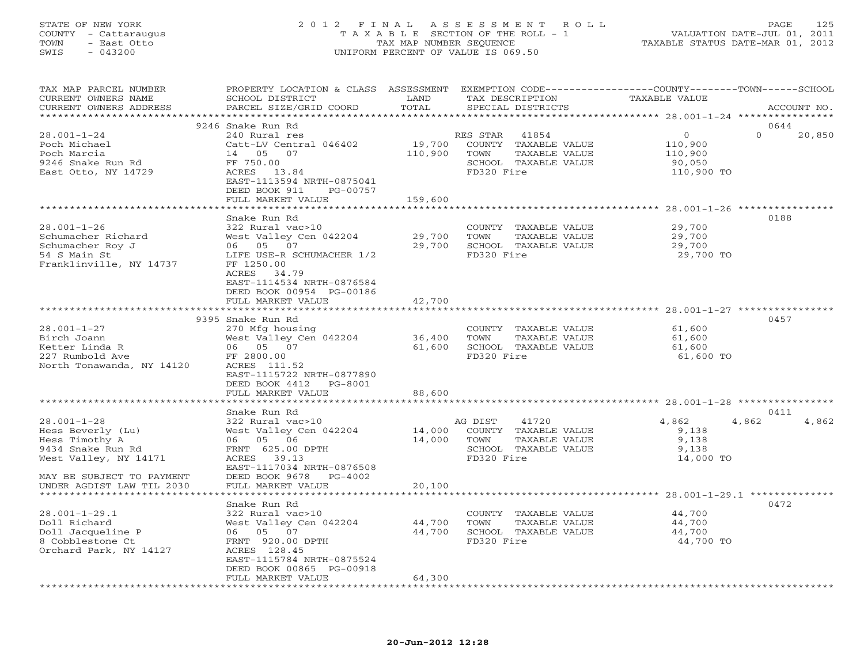## STATE OF NEW YORK 2 0 1 2 F I N A L A S S E S S M E N T R O L L PAGE 125 COUNTY - Cattaraugus T A X A B L E SECTION OF THE ROLL - 1 VALUATION DATE-JUL 01, 2011 TOWN - East Otto TAX MAP NUMBER SEQUENCE TAXABLE STATUS DATE-MAR 01, 2012 SWIS - 043200 UNIFORM PERCENT OF VALUE IS 069.50UNIFORM PERCENT OF VALUE IS 069.50

| TAX MAP PARCEL NUMBER<br>CURRENT OWNERS NAME<br>CURRENT OWNERS ADDRESS | PROPERTY LOCATION & CLASS ASSESSMENT EXEMPTION CODE----------------COUNTY-------TOWN------SCHOOL<br>SCHOOL DISTRICT<br>PARCEL SIZE/GRID COORD | LAND<br>TOTAL       | TAX DESCRIPTION<br>SPECIAL DISTRICTS          | TAXABLE VALUE                                  |                                | ACCOUNT NO.    |
|------------------------------------------------------------------------|-----------------------------------------------------------------------------------------------------------------------------------------------|---------------------|-----------------------------------------------|------------------------------------------------|--------------------------------|----------------|
| ***********************                                                |                                                                                                                                               |                     |                                               |                                                |                                |                |
| 28.001-1-24<br>Poch Michael                                            | 9246 Snake Run Rd<br>240 Rural res<br>Catt-LV Central 046402                                                                                  | 19,700              | RES STAR<br>41854<br>COUNTY TAXABLE VALUE     |                                                | $\Omega$<br>$\circ$<br>110,900 | 0644<br>20,850 |
| Poch Marcia<br>9246 Snake Run Rd                                       | 14 05<br>07<br>FF 750.00                                                                                                                      | 110,900             | TOWN<br>TAXABLE VALUE<br>SCHOOL TAXABLE VALUE |                                                | 110,900<br>90,050              |                |
| East Otto, NY 14729                                                    | ACRES 13.84<br>EAST-1113594 NRTH-0875041<br>DEED BOOK 911<br>PG-00757                                                                         |                     | FD320 Fire                                    |                                                | 110,900 TO                     |                |
|                                                                        | FULL MARKET VALUE                                                                                                                             | 159,600             |                                               |                                                |                                |                |
|                                                                        |                                                                                                                                               |                     |                                               | ********************* 28.001-1-26 ************ |                                |                |
|                                                                        | Snake Run Rd                                                                                                                                  |                     |                                               |                                                |                                | 0188           |
| $28.001 - 1 - 26$                                                      | 322 Rural vac>10                                                                                                                              |                     | COUNTY TAXABLE VALUE                          |                                                | 29,700                         |                |
| Schumacher Richard<br>Schumacher Roy J                                 | West Valley Cen 042204<br>06 05 07                                                                                                            | 29,700<br>29,700    | TAXABLE VALUE<br>TOWN<br>SCHOOL TAXABLE VALUE |                                                | 29,700<br>29,700               |                |
| 54 S Main St                                                           | LIFE USE-R SCHUMACHER 1/2                                                                                                                     |                     | FD320 Fire                                    |                                                | 29,700 TO                      |                |
| Franklinville, NY 14737                                                | FF 1250.00<br>ACRES 34.79<br>EAST-1114534 NRTH-0876584                                                                                        |                     |                                               |                                                |                                |                |
|                                                                        | DEED BOOK 00954 PG-00186                                                                                                                      |                     |                                               |                                                |                                |                |
|                                                                        | FULL MARKET VALUE                                                                                                                             | 42,700              |                                               |                                                |                                |                |
|                                                                        |                                                                                                                                               |                     |                                               |                                                |                                |                |
| $28.001 - 1 - 27$                                                      | 9395 Snake Run Rd                                                                                                                             |                     |                                               |                                                |                                | 0457           |
| Birch Joann                                                            | 270 Mfg housing<br>West Valley Cen 042204                                                                                                     | 36,400              | COUNTY TAXABLE VALUE<br>TOWN<br>TAXABLE VALUE |                                                | 61,600<br>61,600               |                |
| Ketter Linda R                                                         | 06 05 07                                                                                                                                      | 61,600              | SCHOOL TAXABLE VALUE                          |                                                | 61,600                         |                |
| 227 Rumbold Ave                                                        | FF 2800.00                                                                                                                                    |                     | FD320 Fire                                    |                                                | 61,600 TO                      |                |
| North Tonawanda, NY 14120                                              | ACRES 111.52                                                                                                                                  |                     |                                               |                                                |                                |                |
|                                                                        | EAST-1115722 NRTH-0877890<br>DEED BOOK 4412<br>PG-8001                                                                                        |                     |                                               |                                                |                                |                |
|                                                                        | FULL MARKET VALUE                                                                                                                             | 88,600              |                                               |                                                |                                |                |
|                                                                        | *******************                                                                                                                           |                     |                                               |                                                |                                |                |
|                                                                        | Snake Run Rd                                                                                                                                  |                     |                                               |                                                |                                | 0411           |
| $28.001 - 1 - 28$                                                      | 322 Rural vac>10                                                                                                                              |                     | AG DIST<br>41720                              |                                                | 4,862<br>4,862                 | 4,862          |
| Hess Beverly (Lu)                                                      | West Valley Cen 042204                                                                                                                        | 14,000              | COUNTY TAXABLE VALUE                          |                                                | 9,138                          |                |
| Hess Timothy A                                                         | 06 05 06                                                                                                                                      | 14,000              | TAXABLE VALUE<br>TOWN                         |                                                | 9,138                          |                |
| 9434 Snake Run Rd                                                      | FRNT 625.00 DPTH                                                                                                                              |                     | SCHOOL TAXABLE VALUE                          |                                                | 9,138                          |                |
| West Valley, NY 14171                                                  | ACRES 39.13<br>EAST-1117034 NRTH-0876508                                                                                                      |                     | FD320 Fire                                    |                                                | 14,000 TO                      |                |
| MAY BE SUBJECT TO PAYMENT                                              | DEED BOOK 9678<br>PG-4002                                                                                                                     |                     |                                               |                                                |                                |                |
| UNDER AGDIST LAW TIL 2030                                              | FULL MARKET VALUE                                                                                                                             | 20,100              |                                               |                                                |                                |                |
|                                                                        |                                                                                                                                               |                     |                                               |                                                |                                |                |
|                                                                        | Snake Run Rd                                                                                                                                  |                     |                                               |                                                |                                | 0472           |
| $28.001 - 1 - 29.1$                                                    | 322 Rural vac>10                                                                                                                              |                     | COUNTY TAXABLE VALUE                          |                                                | 44,700                         |                |
| Doll Richard                                                           | West Valley Cen 042204                                                                                                                        | 44,700              | TOWN<br>TAXABLE VALUE                         |                                                | 44,700                         |                |
| Doll Jacqueline P                                                      | 06 05 07                                                                                                                                      | 44,700              | SCHOOL TAXABLE VALUE                          |                                                | 44,700                         |                |
| 8 Cobblestone Ct                                                       | FRNT 920.00 DPTH                                                                                                                              |                     | FD320 Fire                                    |                                                | 44,700 TO                      |                |
| Orchard Park, NY 14127                                                 | ACRES 128.45                                                                                                                                  |                     |                                               |                                                |                                |                |
|                                                                        | EAST-1115784 NRTH-0875524                                                                                                                     |                     |                                               |                                                |                                |                |
|                                                                        | DEED BOOK 00865 PG-00918<br>FULL MARKET VALUE                                                                                                 | 64,300              |                                               |                                                |                                |                |
|                                                                        |                                                                                                                                               | ******************* |                                               |                                                |                                |                |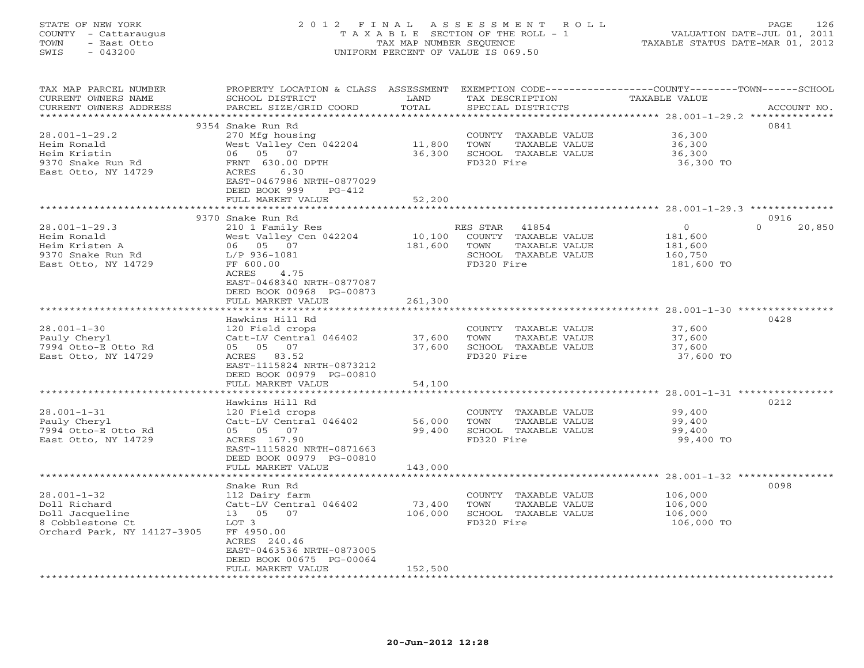# STATE OF NEW YORK 2 0 1 2 F I N A L A S S E S S M E N T R O L L PAGE 126 COUNTY - Cattaraugus T A X A B L E SECTION OF THE ROLL - 1 VALUATION DATE-JUL 01, 2011 TOWN - East Otto TAX MAP NUMBER SEQUENCE TAXABLE STATUS DATE-MAR 01, 2012 SWIS - 043200 UNIFORM PERCENT OF VALUE IS 069.50UNIFORM PERCENT OF VALUE IS 069.50

| TAX MAP PARCEL NUMBER<br>CURRENT OWNERS NAME<br>CURRENT OWNERS ADDRESS | PROPERTY LOCATION & CLASS ASSESSMENT<br>SCHOOL DISTRICT<br>PARCEL SIZE/GRID COORD | LAND<br>TOTAL |                | TAX DESCRIPTION<br>SPECIAL DISTRICTS | EXEMPTION CODE----------------COUNTY-------TOWN-----SCHOOL<br>TAXABLE VALUE | ACCOUNT NO.        |
|------------------------------------------------------------------------|-----------------------------------------------------------------------------------|---------------|----------------|--------------------------------------|-----------------------------------------------------------------------------|--------------------|
| **********************                                                 |                                                                                   |               |                |                                      |                                                                             |                    |
|                                                                        | 9354 Snake Run Rd                                                                 |               |                |                                      |                                                                             | 0841               |
| $28.001 - 1 - 29.2$                                                    | 270 Mfg housing                                                                   |               |                | COUNTY TAXABLE VALUE                 | 36,300                                                                      |                    |
| Heim Ronald                                                            | West Valley Cen 042204                                                            | 11,800        | TOWN           | TAXABLE VALUE                        | 36,300                                                                      |                    |
| Heim Kristin                                                           | 06 05 07                                                                          | 36,300        |                | SCHOOL TAXABLE VALUE                 | 36,300                                                                      |                    |
| 9370 Snake Run Rd                                                      | FRNT 630.00 DPTH                                                                  |               | FD320 Fire     |                                      | 36,300 TO                                                                   |                    |
| East Otto, NY 14729                                                    | ACRES<br>6.30                                                                     |               |                |                                      |                                                                             |                    |
|                                                                        | EAST-0467986 NRTH-0877029                                                         |               |                |                                      |                                                                             |                    |
|                                                                        | DEED BOOK 999<br>PG-412                                                           |               |                |                                      |                                                                             |                    |
|                                                                        | FULL MARKET VALUE                                                                 | 52,200        |                |                                      |                                                                             |                    |
|                                                                        |                                                                                   |               |                |                                      |                                                                             |                    |
|                                                                        | 9370 Snake Run Rd                                                                 |               |                |                                      |                                                                             | 0916               |
| $28.001 - 1 - 29.3$                                                    | 210 1 Family Res                                                                  |               | RES STAR 41854 |                                      | $\overline{0}$                                                              | $\Omega$<br>20,850 |
| Heim Ronald                                                            | West Valley Cen 042204                                                            | 10,100        |                | COUNTY TAXABLE VALUE                 | 181,600                                                                     |                    |
| Heim Kristen A                                                         | 06 05 07                                                                          | 181,600       | TOWN           | TAXABLE VALUE                        | 181,600                                                                     |                    |
| 9370 Snake Run Rd                                                      | $L/P$ 936-1081                                                                    |               |                | SCHOOL TAXABLE VALUE                 | 160,750                                                                     |                    |
| East Otto, NY 14729                                                    | FF 600.00                                                                         |               | FD320 Fire     |                                      | 181,600 TO                                                                  |                    |
|                                                                        | 4.75<br>ACRES                                                                     |               |                |                                      |                                                                             |                    |
|                                                                        | EAST-0468340 NRTH-0877087                                                         |               |                |                                      |                                                                             |                    |
|                                                                        | DEED BOOK 00968 PG-00873                                                          |               |                |                                      |                                                                             |                    |
|                                                                        | FULL MARKET VALUE                                                                 | 261,300       |                |                                      |                                                                             |                    |
|                                                                        | ******************                                                                | ************  |                |                                      |                                                                             |                    |
|                                                                        | Hawkins Hill Rd                                                                   |               |                |                                      |                                                                             | 0428               |
| $28.001 - 1 - 30$                                                      | 120 Field crops                                                                   |               |                | COUNTY TAXABLE VALUE                 | 37,600                                                                      |                    |
| Pauly Cheryl                                                           | Catt-LV Central 046402                                                            | 37,600        | TOWN           | TAXABLE VALUE                        | 37,600                                                                      |                    |
| 7994 Otto-E Otto Rd                                                    | 05 05 07                                                                          | 37,600        |                | SCHOOL TAXABLE VALUE                 | 37,600                                                                      |                    |
| East Otto, NY 14729                                                    | ACRES 83.52                                                                       |               | FD320 Fire     |                                      | 37,600 TO                                                                   |                    |
|                                                                        | EAST-1115824 NRTH-0873212                                                         |               |                |                                      |                                                                             |                    |
|                                                                        | DEED BOOK 00979 PG-00810                                                          |               |                |                                      |                                                                             |                    |
|                                                                        | FULL MARKET VALUE                                                                 | 54,100        |                |                                      |                                                                             |                    |
|                                                                        |                                                                                   |               |                |                                      |                                                                             |                    |
|                                                                        | Hawkins Hill Rd                                                                   |               |                |                                      |                                                                             | 0212               |
| $28.001 - 1 - 31$                                                      | 120 Field crops                                                                   |               |                | COUNTY TAXABLE VALUE                 | 99,400                                                                      |                    |
| Pauly Cheryl                                                           | Catt-LV Central 046402                                                            | 56,000        | TOWN           | TAXABLE VALUE                        | 99,400                                                                      |                    |
| 7994 Otto-E Otto Rd                                                    | 05 05 07                                                                          | 99,400        |                | SCHOOL TAXABLE VALUE                 | 99,400                                                                      |                    |
| East Otto, NY 14729                                                    | ACRES 167.90                                                                      |               | FD320 Fire     |                                      | 99,400 TO                                                                   |                    |
|                                                                        | EAST-1115820 NRTH-0871663                                                         |               |                |                                      |                                                                             |                    |
|                                                                        | DEED BOOK 00979 PG-00810                                                          |               |                |                                      |                                                                             |                    |
|                                                                        | FULL MARKET VALUE                                                                 | 143,000       |                |                                      |                                                                             |                    |
|                                                                        | *******************                                                               | ************  |                |                                      |                                                                             |                    |
|                                                                        | Snake Run Rd                                                                      |               |                |                                      |                                                                             | 0098               |
| $28.001 - 1 - 32$                                                      | 112 Dairy farm                                                                    |               |                | COUNTY TAXABLE VALUE                 | 106,000                                                                     |                    |
| Doll Richard                                                           | Catt-LV Central 046402                                                            | 73,400        | TOWN           | TAXABLE VALUE                        | 106,000                                                                     |                    |
| Doll Jacqueline                                                        | 13 05 07                                                                          | 106,000       |                | SCHOOL TAXABLE VALUE                 | 106,000                                                                     |                    |
| 8 Cobblestone Ct                                                       | LOT 3                                                                             |               | FD320 Fire     |                                      | 106,000 TO                                                                  |                    |
| Orchard Park, NY 14127-3905                                            | FF 4950.00                                                                        |               |                |                                      |                                                                             |                    |
|                                                                        | ACRES 240.46                                                                      |               |                |                                      |                                                                             |                    |
|                                                                        | EAST-0463536 NRTH-0873005                                                         |               |                |                                      |                                                                             |                    |
|                                                                        | DEED BOOK 00675 PG-00064                                                          |               |                |                                      |                                                                             |                    |
|                                                                        | FULL MARKET VALUE<br>* * * * * * * * * * * * * * * * * *                          | 152,500       |                |                                      |                                                                             |                    |
|                                                                        |                                                                                   |               |                |                                      |                                                                             |                    |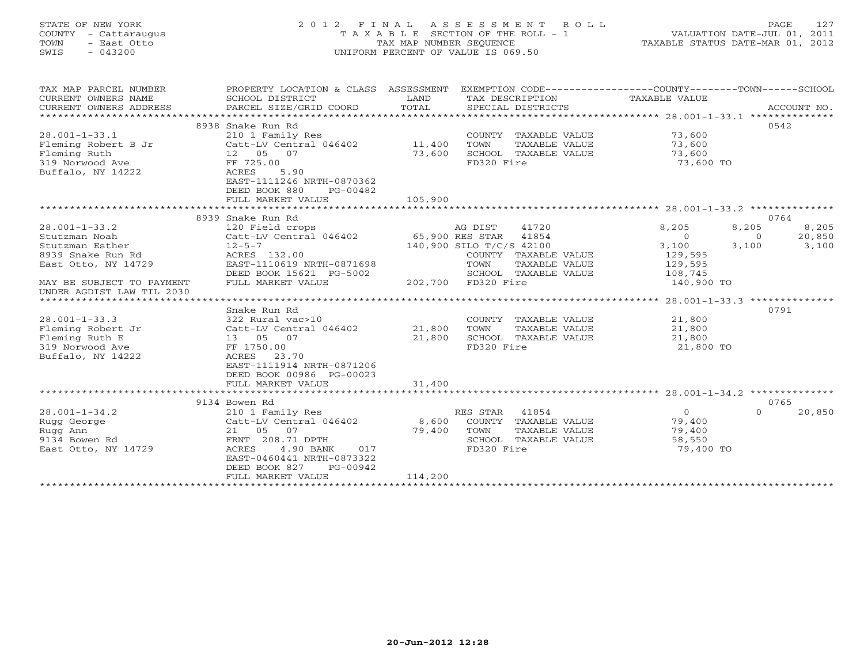# STATE OF NEW YORK 2 0 1 2 F I N A L A S S E S S M E N T R O L L PAGE 127 COUNTY - Cattaraugus T A X A B L E SECTION OF THE ROLL - 1 VALUATION DATE-JUL 01, 2011 TOWN - East Otto TAX MAP NUMBER SEQUENCE TAXABLE STATUS DATE-MAR 01, 2012 SWIS - 043200 UNIFORM PERCENT OF VALUE IS 069.50UNIFORM PERCENT OF VALUE IS 069.50

| TAX MAP PARCEL NUMBER<br>CURRENT OWNERS NAME<br>CURRENT OWNERS ADDRESS                                                                                                               | PROPERTY LOCATION & CLASS ASSESSMENT<br>SCHOOL DISTRICT<br>PARCEL SIZE/GRID COORD                                                                                                                                           | LAND<br>TOTAL               | SPECIAL DISTRICTS                                                                                                                                                                            | EXEMPTION CODE-----------------COUNTY-------TOWN------SCHOOL<br>TAX DESCRIPTION TAXABLE VALUE | ACCOUNT NO.                                                    |
|--------------------------------------------------------------------------------------------------------------------------------------------------------------------------------------|-----------------------------------------------------------------------------------------------------------------------------------------------------------------------------------------------------------------------------|-----------------------------|----------------------------------------------------------------------------------------------------------------------------------------------------------------------------------------------|-----------------------------------------------------------------------------------------------|----------------------------------------------------------------|
| $28.001 - 1 - 33.1$<br>Fleming Robert B Jr<br>Fleming Ruth<br>319 Norwood Ave<br>Buffalo, NY 14222                                                                                   | 8938 Snake Run Rd<br>210 1 Family Res<br>Catt-LV Central 046402<br>12  05  07<br>FF 725.00<br>5.90<br>ACRES<br>EAST-1111246 NRTH-0870362<br>DEED BOOK 880<br>PG-00482                                                       | 11,400<br>73,600<br>105,900 | COUNTY TAXABLE VALUE<br>TOWN<br>TAXABLE VALUE<br>SCHOOL TAXABLE VALUE<br>FD320 Fire                                                                                                          | 73,600<br>73,600<br>73,600<br>73,600 TO                                                       | 0.542                                                          |
|                                                                                                                                                                                      | FULL MARKET VALUE                                                                                                                                                                                                           |                             |                                                                                                                                                                                              |                                                                                               |                                                                |
|                                                                                                                                                                                      | 8939 Snake Run Rd                                                                                                                                                                                                           |                             |                                                                                                                                                                                              |                                                                                               | 0764                                                           |
| $28.001 - 1 - 33.2$<br>Stutzman Noah<br>Stutzman Esther<br>8939 Snake Run Rd<br>East Otto, NY 14729<br>MAY BE SUBJECT TO PAYMENT<br>UNDER AGDIST LAW TIL 2030<br>$28.001 - 1 - 33.3$ | 120 Field crops<br>Catt-LV Central 046402<br>$12 - 5 - 7$<br>ACRES 132.00<br>EAST-1110619 NRTH-0871698<br>DEED BOOK 15621 PG-5002<br>FULL MARKET VALUE<br>Snake Run Rd<br>322 Rural vac>10<br>Catt-LV Central 046402 21,800 |                             | 41720<br>AG DIST<br>65,900 RES STAR 41854<br>140,900 SILO T/C/S 42100<br>COUNTY TAXABLE VALUE<br>TOWN<br>TAXABLE VALUE<br>SCHOOL TAXABLE VALUE<br>202,700 FD320 Fire<br>COUNTY TAXABLE VALUE | 8,205<br>$\overline{0}$<br>3,100<br>129,595<br>129,595<br>108,745<br>140,900 TO<br>21,800     | 8,205<br>8,205<br>20,850<br>$\Omega$<br>3,100<br>3,100<br>0791 |
| Fleming Robert Jr<br>Fleming Ruth E<br>319 Norwood Ave<br>Buffalo, NY 14222                                                                                                          | 13  05  07<br>FF 1750.00<br>ACRES<br>23.70<br>EAST-1111914 NRTH-0871206<br>DEED BOOK 00986 PG-00023<br>FULL MARKET VALUE                                                                                                    | 21,800<br>31,400            | TAXABLE VALUE<br>TOWN<br>SCHOOL TAXABLE VALUE<br>FD320 Fire                                                                                                                                  | 21,800<br>21,800<br>21,800 TO                                                                 |                                                                |
|                                                                                                                                                                                      | 9134 Bowen Rd                                                                                                                                                                                                               |                             |                                                                                                                                                                                              |                                                                                               | 0765                                                           |
| $28.001 - 1 - 34.2$<br>Rugg George<br>Rugg Ann<br>9134 Bowen Rd<br>East Otto, NY 14729                                                                                               | 210 1 Family Res<br>Catt-LV Central 046402<br>21 05 07<br>FRNT 208.71 DPTH<br>ACRES<br>4.90 BANK<br>017<br>EAST-0460441 NRTH-0873322<br>DEED BOOK 827<br>PG-00942<br>FULL MARKET VALUE                                      | 8,600<br>79,400<br>114,200  | RES STAR<br>41854<br>COUNTY TAXABLE VALUE<br>TOWN<br>TAXABLE VALUE<br>SCHOOL TAXABLE VALUE<br>FD320 Fire                                                                                     | $\circ$<br>79,400<br>79,400<br>58,550<br>79,400 TO                                            | $\Omega$<br>20,850                                             |
|                                                                                                                                                                                      |                                                                                                                                                                                                                             |                             |                                                                                                                                                                                              |                                                                                               |                                                                |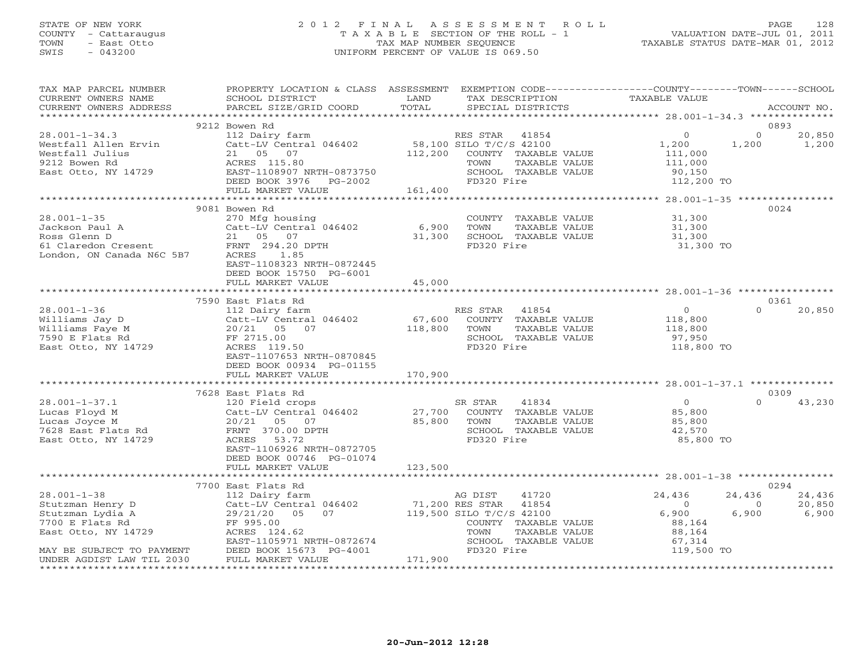# STATE OF NEW YORK 2 0 1 2 F I N A L A S S E S S M E N T R O L L PAGE 128 COUNTY - Cattaraugus T A X A B L E SECTION OF THE ROLL - 1 VALUATION DATE-JUL 01, 2011 TOWN - East Otto TAX MAP NUMBER SEQUENCE TAXABLE STATUS DATE-MAR 01, 2012 SWIS - 043200 UNIFORM PERCENT OF VALUE IS 069.50UNIFORM PERCENT OF VALUE IS 069.50

| TAX MAP PARCEL NUMBER<br>CURRENT OWNERS NAME<br>CURRENT OWNERS ADDRESS                                  | PROPERTY LOCATION & CLASS ASSESSMENT EXEMPTION CODE----------------COUNTY-------TOWN------SCHOOL<br>SCHOOL DISTRICT<br><b>Example 12</b> LAND<br>PARCEL SIZE/GRID COORD                                                | TOTAL   | TAX DESCRIPTION<br>SPECIAL DISTRICTS                                                                          | TAXABLE VALUE                                                                 |                            | ACCOUNT NO.                       |
|---------------------------------------------------------------------------------------------------------|------------------------------------------------------------------------------------------------------------------------------------------------------------------------------------------------------------------------|---------|---------------------------------------------------------------------------------------------------------------|-------------------------------------------------------------------------------|----------------------------|-----------------------------------|
|                                                                                                         |                                                                                                                                                                                                                        |         |                                                                                                               |                                                                               |                            | 0893                              |
| $28.001 - 1 - 34.3$<br>Westfall Allen Ervin<br>Westfall Julius<br>9212 Bowen Rd<br>East Otto, NY 14729  | 9212 Bowen Rd<br>112 Dairy farm<br>Catt-LV Central 046402 58,100 SILO T/C/S 42100<br>21 05 07<br>ACRES 115.80<br>EAST-1108907 NRTH-0873750<br>TITE BOOK 3976 PG-2002                                                   |         | RES STAR 41854<br>112,200 COUNTY TAXABLE VALUE<br>TOWN<br>TAXABLE VALUE<br>SCHOOL TAXABLE VALUE<br>FD320 Fire | $\overline{0}$<br>1,200<br>111,000<br>111,000<br>90,150<br>112,200 TO         | $0 \qquad \qquad$<br>1,200 | 20,850<br>1,200                   |
|                                                                                                         | FULL MARKET VALUE 161,400                                                                                                                                                                                              |         |                                                                                                               |                                                                               |                            |                                   |
|                                                                                                         |                                                                                                                                                                                                                        |         |                                                                                                               |                                                                               |                            |                                   |
| $28.001 - 1 - 35$<br>Jackson Paul A<br>Ross Glenn D<br>61 Claredon Cresent<br>London, ON Canada N6C 5B7 | 9081 Bowen Rd<br>270 Mfg housing<br>270 mig ioantral 046402 6,900<br>21 05 07 31,300<br>FRNT 294.20 DPTH 31,300<br>ACRES<br>1.85<br>EAST-1108323 NRTH-0872445<br>DEED BOOK 15750 PG-6001                               |         | COUNTY TAXABLE VALUE<br>TOWN<br>TAXABLE VALUE<br>31,300 SCHOOL TAXABLE VALUE<br>FD320 Fire                    | 31,300<br>$31,300$<br>$31,300$<br>31,300 TO                                   |                            | 0024                              |
|                                                                                                         | FULL MARKET VALUE                                                                                                                                                                                                      | 45,000  |                                                                                                               |                                                                               |                            |                                   |
|                                                                                                         |                                                                                                                                                                                                                        |         |                                                                                                               |                                                                               |                            |                                   |
| $28.001 - 1 - 36$<br>Williams Jay D<br>Williams Faye M<br>7590 E Flats Rd<br>East Otto, NY 14729        | 7590 East Flats Rd<br>112 Dairy farm<br>Catt-LV Central 046402 67,600<br>FF 2715.00<br>ACRES 119.50<br>EAST-1107653 NRTH-0870845<br>DEED BOOK 00934 PG-01155                                                           |         | RES STAR 41854<br>COUNTY TAXABLE VALUE<br>TOWN<br>TAXABLE VALUE<br>SCHOOL TAXABLE VALUE<br>FD320 Fire         | $\overline{O}$<br>118,800<br>118,800<br>97,950<br>118,800 TO                  | $\Omega$                   | 0361<br>20,850                    |
|                                                                                                         |                                                                                                                                                                                                                        |         |                                                                                                               |                                                                               |                            |                                   |
|                                                                                                         |                                                                                                                                                                                                                        |         |                                                                                                               |                                                                               |                            |                                   |
|                                                                                                         | 7628 East Flats Rd                                                                                                                                                                                                     |         |                                                                                                               |                                                                               |                            | 0309                              |
| $28.001 - 1 - 37.1$<br>Lucas Floyd M<br>Lucas Joyce M<br>7628 East Flats Rd<br>East Otto, NY 14729      | 120 Field crops<br>Catt-LV Central 046402 27,700 COUNTY TAXABLE VALUE<br>20/21 05 07 85,800 TOWN TAXABLE VALUE<br>FRNT 370.00 DPTH<br>ACRES 53.72<br>EAST-1106926 NRTH-0872705<br>DEED BOOK 00746 PG-01074             |         | SR STAR<br>41834<br>SCHOOL TAXABLE VALUE<br>FD320 Fire                                                        | $\overline{0}$<br>85,800<br>85,800<br>42,570<br>85,800 TO                     | $\Omega$                   | 43,230                            |
|                                                                                                         | FULL MARKET VALUE                                                                                                                                                                                                      | 123,500 |                                                                                                               |                                                                               |                            |                                   |
|                                                                                                         |                                                                                                                                                                                                                        |         |                                                                                                               |                                                                               |                            |                                   |
| 28.001-1-38<br>Stutzman Henry D<br>Alian Lydia A                                                        | 7700 East Flats Rd<br>112 Dairy farm<br>Catt-LV Central 046402 71,200 RES STAR 41854<br>29/21/20 05 07 119,500 SILO T/C/S 42100<br>FF 995.00<br>ACRES 124.62<br>EAST-1105971 NRTH-0872674<br>EAST-1105971 NRTH-0872674 |         | COUNTY TAXABLE VALUE<br>TOWN<br>TAXABLE VALUE<br>SCHOOL TAXABLE VALUE<br>FD320 Fire                           | 24,436<br>$\overline{0}$<br>6,900<br>88,164<br>88,164<br>67,314<br>119,500 TO | 24,436<br>$\circ$<br>6,900 | 0294<br>24,436<br>20,850<br>6,900 |
|                                                                                                         | FULL MARKET VALUE                                                                                                                                                                                                      | 171,900 |                                                                                                               |                                                                               |                            |                                   |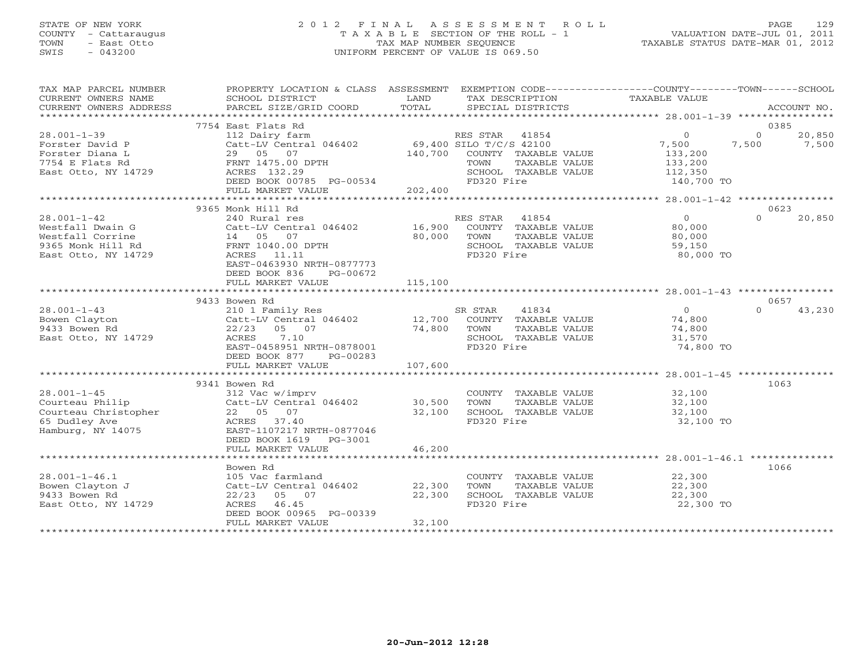# STATE OF NEW YORK 2 0 1 2 F I N A L A S S E S S M E N T R O L L PAGE 129 COUNTY - Cattaraugus T A X A B L E SECTION OF THE ROLL - 1 VALUATION DATE-JUL 01, 2011 TOWN - East Otto TAX MAP NUMBER SEQUENCE TAXABLE STATUS DATE-MAR 01, 2012 SWIS - 043200 UNIFORM PERCENT OF VALUE IS 069.50

| TAX MAP PARCEL NUMBER<br>CURRENT OWNERS NAME<br>CURRENT OWNERS ADDRESS | PROPERTY LOCATION & CLASS ASSESSMENT EXEMPTION CODE---------------COUNTY-------TOWN-----SCHOOL<br>SCHOOL DISTRICT<br><b>Example 18</b><br>PARCEL SIZE/GRID COORD | TOTAL   | SPECIAL DISTRICTS                                     |                       | ACCOUNT NO.                          |
|------------------------------------------------------------------------|------------------------------------------------------------------------------------------------------------------------------------------------------------------|---------|-------------------------------------------------------|-----------------------|--------------------------------------|
|                                                                        |                                                                                                                                                                  |         |                                                       |                       |                                      |
|                                                                        | 7754 East Flats Rd                                                                                                                                               |         |                                                       |                       | 0385                                 |
| $28.001 - 1 - 39$<br>Forster David P                                   | 112 Dairy farm<br>Catt-LV Central $046402$ 69,400 SILO T/C/S 42100                                                                                               |         | RES STAR 41854                                        | $\Omega$<br>7,500     | $\Omega$<br>20,850<br>7,500<br>7,500 |
| Forster Diana L<br>7754 E Flats Rd                                     | 29 05 07<br>FRNT 1475.00 DPTH                                                                                                                                    |         | 140,700 COUNTY TAXABLE VALUE<br>TOWN<br>TAXABLE VALUE | 133,200<br>133,200    |                                      |
| East Otto, NY 14729                                                    | ACRES 132.29<br>DEED BOOK 00785 PG-00534                                                                                                                         |         | SCHOOL TAXABLE VALUE<br>FD320 Fire                    | 112,350<br>140,700 TO |                                      |
|                                                                        | FULL MARKET VALUE                                                                                                                                                | 202,400 |                                                       |                       |                                      |
|                                                                        | 9365 Monk Hill Rd                                                                                                                                                |         |                                                       |                       | 0623                                 |
| $28.001 - 1 - 42$                                                      | 240 Rural res                                                                                                                                                    |         | RES STAR 41854                                        | $\overline{0}$        | $\Omega$<br>20,850                   |
| Westfall Dwain G                                                       | Catt-LV Central 046402 16,900 COUNTY TAXABLE VALUE                                                                                                               |         |                                                       | 80,000                |                                      |
| Westfall Corrine                                                       | 14 05 07                                                                                                                                                         | 80,000  | TOWN<br>TAXABLE VALUE                                 | 80,000                |                                      |
| 9365 Monk Hill Rd                                                      | FRNT 1040.00 DPTH                                                                                                                                                |         | SCHOOL TAXABLE VALUE                                  | 59,150                |                                      |
| East Otto, NY 14729                                                    | ACRES 11.11                                                                                                                                                      |         | FD320 Fire                                            | 80,000 TO             |                                      |
|                                                                        | EAST-0463930 NRTH-0877773                                                                                                                                        |         |                                                       |                       |                                      |
|                                                                        | DEED BOOK 836<br>PG-00672                                                                                                                                        |         |                                                       |                       |                                      |
|                                                                        |                                                                                                                                                                  |         |                                                       |                       |                                      |
|                                                                        |                                                                                                                                                                  |         |                                                       |                       |                                      |
|                                                                        | 9433 Bowen Rd                                                                                                                                                    |         |                                                       |                       | 0657                                 |
| $28.001 - 1 - 43$                                                      | 210 1 Family Res<br>210 1 Family Res 61 SF<br>Catt-LV Central 046402 12,700                                                                                      |         | SR STAR<br>41834                                      | $\overline{O}$        | $\cap$<br>43,230                     |
| Bowen Clayton                                                          |                                                                                                                                                                  |         | COUNTY TAXABLE VALUE 74,800                           |                       |                                      |
| 9433 Bowen Rd                                                          | 22/23 05 07                                                                                                                                                      | 74,800  | TAXABLE VALUE<br>TOWN                                 | 74,800                |                                      |
| East Otto, NY 14729                                                    | 7.10<br>ACRES                                                                                                                                                    |         | SCHOOL TAXABLE VALUE                                  | 31,570                |                                      |
|                                                                        | EAST-0458951 NRTH-0878001                                                                                                                                        |         | FD320 Fire                                            | 74,800 TO             |                                      |
|                                                                        | DEED BOOK 877 PG-00283                                                                                                                                           |         |                                                       |                       |                                      |
|                                                                        |                                                                                                                                                                  |         |                                                       |                       |                                      |
|                                                                        | 9341 Bowen Rd                                                                                                                                                    |         |                                                       |                       | 1063                                 |
| $28.001 - 1 - 45$                                                      | 312 Vac w/imprv                                                                                                                                                  |         | COUNTY TAXABLE VALUE 32,100                           |                       |                                      |
| Courteau Philip                                                        | Catt-LV Central 046402 30,500                                                                                                                                    |         | TOWN<br>TAXABLE VALUE                                 | 32,100                |                                      |
|                                                                        | 22 05 07                                                                                                                                                         | 32,100  | SCHOOL TAXABLE VALUE                                  | 32,100                |                                      |
| Courteau Christopher<br>65 Dudley Ave                                  | ACRES 37.40                                                                                                                                                      |         | FD320 Fire                                            | 32,100 TO             |                                      |
| Hamburg, NY 14075                                                      | EAST-1107217 NRTH-0877046                                                                                                                                        |         |                                                       |                       |                                      |
|                                                                        | DEED BOOK 1619    PG-3001                                                                                                                                        |         |                                                       |                       |                                      |
|                                                                        | FULL MARKET VALUE                                                                                                                                                | 46,200  |                                                       |                       |                                      |
|                                                                        |                                                                                                                                                                  |         |                                                       |                       |                                      |
|                                                                        | Bowen Rd                                                                                                                                                         |         |                                                       |                       | 1066                                 |
| $28.001 - 1 - 46.1$                                                    | 105 Vac farmland                                                                                                                                                 |         | COUNTY TAXABLE VALUE 22,300                           |                       |                                      |
| Bowen Clayton J                                                        | Catt-LV Central 046402                                                                                                                                           | 22,300  | TOWN<br>TAXABLE VALUE                                 | 22,300                |                                      |
| 9433 Bowen Rd                                                          | $22/23$ 05 07                                                                                                                                                    | 22,300  | SCHOOL TAXABLE VALUE                                  | $\frac{22}{22}$ , 300 |                                      |
| East Otto, NY 14729                                                    | ACRES 46.45                                                                                                                                                      |         | FD320 Fire                                            | 22,300 TO             |                                      |
|                                                                        | DEED BOOK 00965 PG-00339                                                                                                                                         |         |                                                       |                       |                                      |
|                                                                        | FULL MARKET VALUE                                                                                                                                                | 32,100  |                                                       |                       |                                      |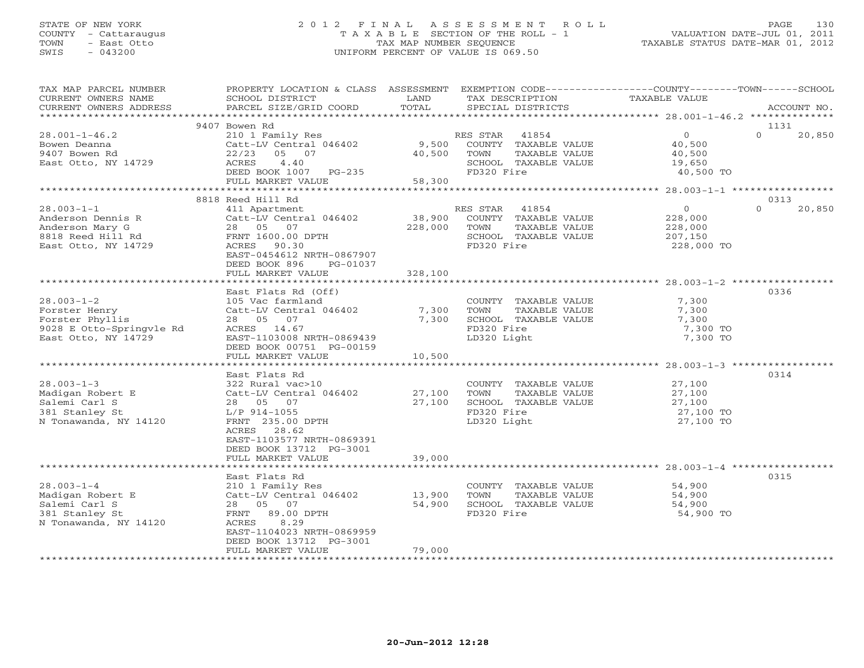# STATE OF NEW YORK 2 0 1 2 F I N A L A S S E S S M E N T R O L L PAGE 130 COUNTY - Cattaraugus T A X A B L E SECTION OF THE ROLL - 1 VALUATION DATE-JUL 01, 2011 TOWN - East Otto TAX MAP NUMBER SEQUENCE TAXABLE STATUS DATE-MAR 01, 2012 SWIS - 043200 UNIFORM PERCENT OF VALUE IS 069.50UNIFORM PERCENT OF VALUE IS 069.50

| TAX MAP PARCEL NUMBER<br>CURRENT OWNERS NAME<br>CURRENT OWNERS ADDRESS                                                                                                             | PROPERTY LOCATION & CLASS ASSESSMENT<br>SCHOOL DISTRICT<br>PARCEL SIZE/GRID COORD                                                                                                                                                                                     | LAND<br>TOTAL                                     | EXEMPTION CODE-----------------COUNTY-------TOWN------SCHOOL<br>TAX DESCRIPTION<br>SPECIAL DISTRICTS                                                                                      | TAXABLE VALUE                                                                              | ACCOUNT NO.                |
|------------------------------------------------------------------------------------------------------------------------------------------------------------------------------------|-----------------------------------------------------------------------------------------------------------------------------------------------------------------------------------------------------------------------------------------------------------------------|---------------------------------------------------|-------------------------------------------------------------------------------------------------------------------------------------------------------------------------------------------|--------------------------------------------------------------------------------------------|----------------------------|
|                                                                                                                                                                                    |                                                                                                                                                                                                                                                                       |                                                   |                                                                                                                                                                                           |                                                                                            |                            |
| $28.001 - 1 - 46.2$<br>Bowen Deanna<br>9407 Bowen Rd<br>East Otto, NY 14729                                                                                                        | 9407 Bowen Rd<br>210 1 Family Res<br>Catt-LV Central 046402<br>22/23<br>05 07<br>ACRES 4.40<br>DEED BOOK 1007 PG-235<br>FULL MARKET VALUE                                                                                                                             | 40,500<br>58,300                                  | RES STAR 41854<br>9,500 COUNTY TAXABLE VALUE<br>TAXABLE VALUE<br>TOWN<br>SCHOOL TAXABLE VALUE<br>FD320 Fire                                                                               | $\overline{0}$<br>40,500<br>40,500<br>19,650<br>40,500 TO                                  | 1131<br>$\Omega$<br>20,850 |
|                                                                                                                                                                                    |                                                                                                                                                                                                                                                                       |                                                   |                                                                                                                                                                                           |                                                                                            |                            |
| $28.003 - 1 - 1$<br>Anderson Dennis R<br>Anderson Mary G<br>8818 Reed Hill Rd<br>East Otto, NY 14729                                                                               | 8818 Reed Hill Rd<br>411 Apartment<br>Catt-LV Central 046402<br>28 05 07<br>FRNT 1600.00 DPTH<br>ACRES 90.30<br>EAST-0454612 NRTH-0867907<br>DEED BOOK 896<br>PG-01037                                                                                                | 38,900<br>228,000                                 | RES STAR 41854<br>COUNTY TAXABLE VALUE<br>TOWN<br>TAXABLE VALUE<br>SCHOOL TAXABLE VALUE<br>FD320 Fire                                                                                     | $\circ$<br>228,000<br>228,000<br>207,150<br>228,000 TO                                     | 0313<br>$\Omega$<br>20,850 |
|                                                                                                                                                                                    | FULL MARKET VALUE                                                                                                                                                                                                                                                     | 328,100                                           |                                                                                                                                                                                           |                                                                                            |                            |
| $28.003 - 1 - 2$<br>Forster Henry<br>Forster Phyllis<br>9028 E Otto-Springvle Rd<br>East Otto, NY 14729<br>$28.003 - 1 - 3$<br>Madigan Robert E<br>Salemi Carl S<br>381 Stanley St | East Flats Rd (Off)<br>105 Vac farmland<br>Catt-LV Central 046402<br>28 05 07<br>ACRES 14.67<br>EAST-1103008 NRTH-0869439<br>DEED BOOK 00751 PG-00159<br>FULL MARKET VALUE<br>East Flats Rd<br>322 Rural vac>10<br>Catt-LV Central 046402<br>28 05 07<br>L/P 914-1055 | 7,300<br>7,300<br>10,500<br>27,100<br>27,100      | COUNTY TAXABLE VALUE<br>TOWN<br>TAXABLE VALUE<br>SCHOOL TAXABLE VALUE<br>FD320 Fire<br>LD320 Light<br>COUNTY TAXABLE VALUE<br>TOWN<br>TAXABLE VALUE<br>SCHOOL TAXABLE VALUE<br>FD320 Fire | 7,300<br>7,300<br>7,300<br>7,300 TO<br>7,300 TO<br>27,100<br>27,100<br>27,100<br>27,100 TO | 0336<br>0314               |
| N Tonawanda, NY 14120<br>$28.003 - 1 - 4$<br>Madigan Robert E<br>Salemi Carl S                                                                                                     | FRNT 235.00 DPTH<br>ACRES 28.62<br>EAST-1103577 NRTH-0869391<br>DEED BOOK 13712 PG-3001<br>FULL MARKET VALUE<br>East Flats Rd<br>210 1 Family Res<br>Catt-LV Central 046402<br>28 05 07                                                                               | 39,000<br>*******************<br>13,900<br>54,900 | LD320 Light<br>COUNTY TAXABLE VALUE<br>TAXABLE VALUE<br>TOWN<br>SCHOOL TAXABLE VALUE                                                                                                      | 27,100 TO<br>54,900<br>54,900<br>54,900                                                    | 0315                       |
| 381 Stanley St<br>N Tonawanda, NY 14120                                                                                                                                            | FRNT 89.00 DPTH<br>8.29<br>ACRES<br>EAST-1104023 NRTH-0869959<br>DEED BOOK 13712 PG-3001<br>FULL MARKET VALUE                                                                                                                                                         | 79,000                                            | FD320 Fire                                                                                                                                                                                | 54,900 TO                                                                                  |                            |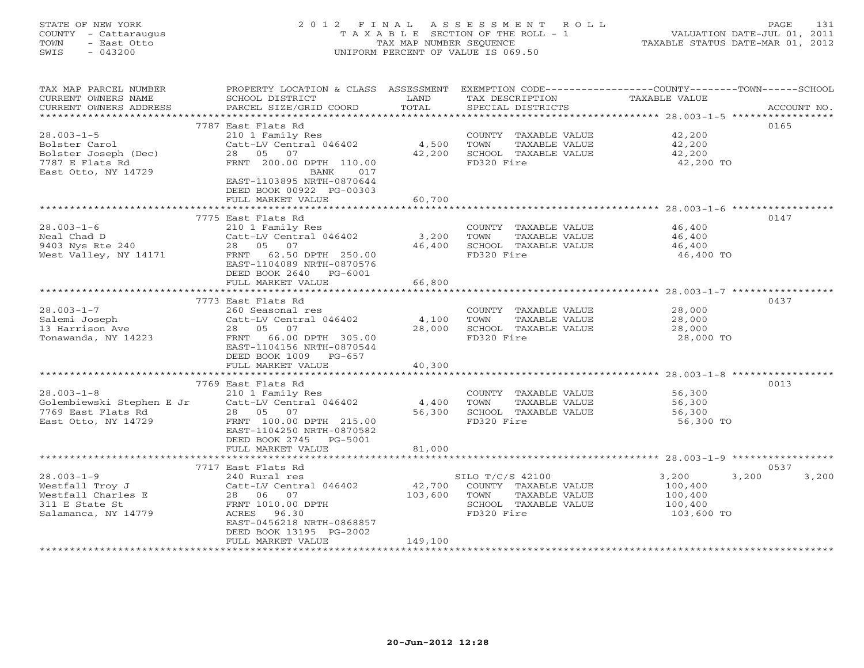# STATE OF NEW YORK 2 0 1 2 F I N A L A S S E S S M E N T R O L L PAGE 131 COUNTY - Cattaraugus T A X A B L E SECTION OF THE ROLL - 1 VALUATION DATE-JUL 01, 2011 TOWN - East Otto TAX MAP NUMBER SEQUENCE TAXABLE STATUS DATE-MAR 01, 2012 SWIS - 043200 UNIFORM PERCENT OF VALUE IS 069.50UNIFORM PERCENT OF VALUE IS 069.50

| TAX MAP PARCEL NUMBER                                                 | PROPERTY LOCATION & CLASS ASSESSMENT       |         |                                               | EXEMPTION CODE-----------------COUNTY-------TOWN------SCHOOL |
|-----------------------------------------------------------------------|--------------------------------------------|---------|-----------------------------------------------|--------------------------------------------------------------|
| CURRENT OWNERS NAME                                                   | SCHOOL DISTRICT                            | LAND    | TAX DESCRIPTION                               | TAXABLE VALUE                                                |
| CURRENT OWNERS ADDRESS                                                | PARCEL SIZE/GRID COORD                     | TOTAL   | SPECIAL DISTRICTS                             | ACCOUNT NO.                                                  |
| **********************                                                |                                            |         |                                               |                                                              |
|                                                                       | 7787 East Flats Rd                         |         |                                               | 0165                                                         |
| $28.003 - 1 - 5$                                                      | 210 1 Family Res                           |         | COUNTY TAXABLE VALUE                          | 42,200                                                       |
| Bolster Carol                                                         | Catt-LV Central 046402                     | 4,500   | TOWN<br>TAXABLE VALUE                         | 42,200                                                       |
| Bolster Joseph (Dec)                                                  | 28 05 07                                   | 42,200  | SCHOOL TAXABLE VALUE                          | 42,200                                                       |
| 7787 E Flats Rd                                                       | FRNT 200.00 DPTH 110.00                    |         | FD320 Fire                                    | 42,200 TO                                                    |
| East Otto, NY 14729                                                   | BANK<br>017<br>EAST-1103895 NRTH-0870644   |         |                                               |                                                              |
|                                                                       | DEED BOOK 00922 PG-00303                   |         |                                               |                                                              |
|                                                                       | FULL MARKET VALUE                          | 60,700  |                                               |                                                              |
|                                                                       |                                            |         |                                               |                                                              |
|                                                                       | 7775 East Flats Rd                         |         |                                               | 0147                                                         |
| $28.003 - 1 - 6$                                                      | 210 1 Family Res                           |         | COUNTY TAXABLE VALUE                          | 46,400                                                       |
| Neal Chad D                                                           | Catt-LV Central 046402                     | 3,200   | TOWN<br>TAXABLE VALUE                         | 46,400                                                       |
| 9403 Nys Rte 240                                                      | 28  05  07                                 | 46,400  | SCHOOL TAXABLE VALUE                          | 46,400                                                       |
| West Valley, NY 14171                                                 | FRNT 62.50 DPTH 250.00                     |         | FD320 Fire                                    | 46,400 TO                                                    |
|                                                                       | EAST-1104089 NRTH-0870576                  |         |                                               |                                                              |
|                                                                       | DEED BOOK 2640 PG-6001                     |         |                                               |                                                              |
|                                                                       | FULL MARKET VALUE                          | 66,800  |                                               |                                                              |
|                                                                       |                                            |         |                                               |                                                              |
|                                                                       | 7773 East Flats Rd                         |         |                                               | 0437                                                         |
| $28.003 - 1 - 7$                                                      | 260 Seasonal res                           |         | COUNTY TAXABLE VALUE                          | 28,000                                                       |
| Salemi Joseph                                                         | Catt-LV Central 046402                     | 4,100   | TOWN<br>TAXABLE VALUE                         | 28,000                                                       |
| 13 Harrison Ave                                                       | 28 05 07                                   | 28,000  | SCHOOL TAXABLE VALUE                          | 28,000                                                       |
| Tonawanda, NY 14223                                                   | FRNT 66.00 DPTH 305.00                     |         | FD320 Fire                                    | 28,000 TO                                                    |
|                                                                       | EAST-1104156 NRTH-0870544                  |         |                                               |                                                              |
|                                                                       | DEED BOOK 1009 PG-657                      |         |                                               |                                                              |
|                                                                       | FULL MARKET VALUE                          | 40,300  |                                               |                                                              |
|                                                                       |                                            |         |                                               |                                                              |
| $28.003 - 1 - 8$                                                      | 7769 East Flats Rd                         |         |                                               | 0013<br>56,300                                               |
|                                                                       | 210 1 Family Res<br>Catt-LV Central 046402 | 4,400   | COUNTY TAXABLE VALUE<br>TOWN<br>TAXABLE VALUE | 56,300                                                       |
| Golembiewski Stephen E Jr<br>7769 East Flats Rd<br>7769 East Flats Rd | 28  05  07                                 | 56,300  | SCHOOL TAXABLE VALUE                          | 56,300                                                       |
| East Otto, NY 14729                                                   | FRNT 100.00 DPTH 215.00                    |         | FD320 Fire                                    | 56,300 TO                                                    |
|                                                                       | EAST-1104250 NRTH-0870582                  |         |                                               |                                                              |
|                                                                       | DEED BOOK 2745 PG-5001                     |         |                                               |                                                              |
|                                                                       | FULL MARKET VALUE                          | 81,000  |                                               |                                                              |
|                                                                       |                                            |         |                                               |                                                              |
|                                                                       | 7717 East Flats Rd                         |         |                                               | 0537                                                         |
| $28.003 - 1 - 9$                                                      | 240 Rural res                              |         | SILO T/C/S 42100                              | 3,200<br>3,200<br>3,200                                      |
| Westfall Troy J                                                       | Catt-LV Central 046402                     | 42,700  | COUNTY TAXABLE VALUE                          | 100,400                                                      |
| Westfall Charles E                                                    | 28 06 07                                   | 103,600 | TOWN<br>TAXABLE VALUE                         | 100,400                                                      |
| 311 E State St                                                        | FRNT 1010.00 DPTH                          |         | SCHOOL TAXABLE VALUE                          | 100,400                                                      |
| Salamanca, NY 14779                                                   | ACRES 96.30                                |         | FD320 Fire                                    | 103,600 TO                                                   |
|                                                                       | EAST-0456218 NRTH-0868857                  |         |                                               |                                                              |
|                                                                       | DEED BOOK 13195 PG-2002                    |         |                                               |                                                              |
|                                                                       | FULL MARKET VALUE                          | 149,100 |                                               |                                                              |
| *******************                                                   |                                            |         |                                               |                                                              |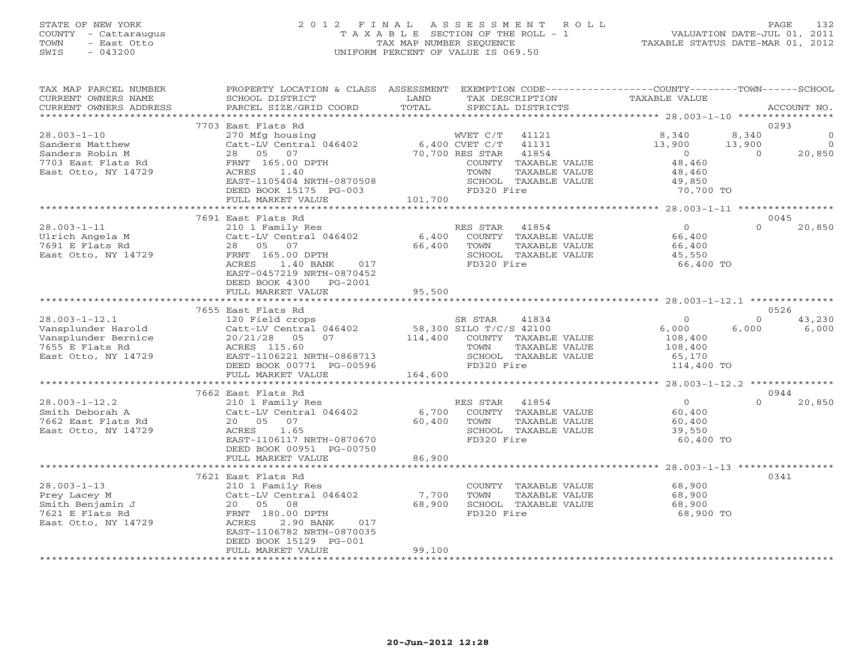# STATE OF NEW YORK 2 0 1 2 F I N A L A S S E S S M E N T R O L L PAGE 132 COUNTY - Cattaraugus T A X A B L E SECTION OF THE ROLL - 1 VALUATION DATE-JUL 01, 2011 TOWN - East Otto TAX MAP NUMBER SEQUENCE TAXABLE STATUS DATE-MAR 01, 2012 SWIS - 043200 UNIFORM PERCENT OF VALUE IS 069.50UNIFORM PERCENT OF VALUE IS 069.50

| TAX MAP PARCEL NUMBER<br>CURRENT OWNERS NAME<br>CURRENT OWNERS ADDRESS | PROPERTY LOCATION & CLASS ASSESSMENT EXEMPTION CODE---------------COUNTY-------TOWN-----SCHOOL<br>SCHOOL DISTRICT<br>PARCEL SIZE/GRID COORD | LAND<br>TOTAL           |                 | TAX DESCRIPTION<br>SPECIAL DISTRICTS | TAXABLE VALUE  |          | ACCOUNT NO.    |
|------------------------------------------------------------------------|---------------------------------------------------------------------------------------------------------------------------------------------|-------------------------|-----------------|--------------------------------------|----------------|----------|----------------|
|                                                                        |                                                                                                                                             |                         |                 |                                      |                |          |                |
|                                                                        | 7703 East Flats Rd                                                                                                                          |                         |                 |                                      |                |          | 0293           |
| $28.003 - 1 - 10$                                                      | 270 Mfg housing                                                                                                                             |                         | WVET C/T        | 41121                                | 8,340          | 8,340    | $\circ$        |
| Sanders Matthew                                                        | Catt-LV Central 046402                                                                                                                      |                         | 6,400 CVET C/T  | 41131                                | 13,900         | 13,900   | $\overline{0}$ |
| Sanders Robin M                                                        | 28  05  07                                                                                                                                  |                         | 70,700 RES STAR | 41854                                | $\overline{0}$ | $\Omega$ | 20,850         |
| 7703 East Flats Rd                                                     | FRNT 165.00 DPTH                                                                                                                            |                         |                 | COUNTY TAXABLE VALUE                 | 48,460         |          |                |
| East Otto, NY 14729                                                    | ACRES<br>1.40                                                                                                                               |                         | TOWN            | TAXABLE VALUE                        | 48,460         |          |                |
|                                                                        | EAST-1105404 NRTH-0870508                                                                                                                   |                         |                 | SCHOOL TAXABLE VALUE                 | 49,850         |          |                |
|                                                                        | DEED BOOK 15175 PG-003                                                                                                                      |                         | FD320 Fire      |                                      | 70,700 TO      |          |                |
|                                                                        | FULL MARKET VALUE                                                                                                                           | 101,700                 |                 |                                      |                |          |                |
|                                                                        |                                                                                                                                             |                         |                 |                                      |                |          |                |
|                                                                        | 7691 East Flats Rd                                                                                                                          |                         |                 |                                      |                |          | 0045           |
| $28.003 - 1 - 11$                                                      | 210 1 Family Res                                                                                                                            |                         | RES STAR        | 41854                                | $\overline{0}$ | $\Omega$ | 20,850         |
| Ulrich Angela M                                                        | Catt-LV Central 046402                                                                                                                      | 6,400                   |                 | COUNTY TAXABLE VALUE                 | 66,400         |          |                |
| 7691 E Flats Rd                                                        | 28  05  07                                                                                                                                  | 66,400                  | TOWN            | TAXABLE VALUE                        | 66,400         |          |                |
| East Otto, NY 14729                                                    | FRNT 165.00 DPTH                                                                                                                            |                         |                 | SCHOOL TAXABLE VALUE                 | 45,550         |          |                |
|                                                                        | 1.40 BANK<br>ACRES<br>017                                                                                                                   |                         | FD320 Fire      |                                      | 66,400 TO      |          |                |
|                                                                        | EAST-0457219 NRTH-0870452                                                                                                                   |                         |                 |                                      |                |          |                |
|                                                                        | DEED BOOK 4300<br>PG-2001                                                                                                                   |                         |                 |                                      |                |          |                |
|                                                                        | FULL MARKET VALUE                                                                                                                           | 95,500                  |                 |                                      |                |          |                |
|                                                                        |                                                                                                                                             |                         |                 |                                      |                |          |                |
|                                                                        | 7655 East Flats Rd                                                                                                                          |                         |                 |                                      |                |          | 0526           |
| $28.003 - 1 - 12.1$                                                    | 120 Field crops                                                                                                                             |                         | SR STAR         | 41834                                | $\Omega$       | $\Omega$ | 43,230         |
| Vansplunder Harold                                                     | Catt-LV Central 046402                                                                                                                      | 58,300 SILO T/C/S 42100 |                 |                                      | 6,000          | 6,000    | 6,000          |
| Vansplunder Bernice                                                    | 20/21/28<br>05<br>07                                                                                                                        | 114,400                 |                 | COUNTY TAXABLE VALUE                 | 108,400        |          |                |
| 7655 E Flats Rd                                                        | ACRES 115.60                                                                                                                                |                         | TOWN            | TAXABLE VALUE                        | 108,400        |          |                |
| East Otto, NY 14729                                                    | EAST-1106221 NRTH-0868713                                                                                                                   |                         |                 | SCHOOL TAXABLE VALUE                 | 65,170         |          |                |
|                                                                        | DEED BOOK 00771 PG-00596                                                                                                                    |                         | FD320 Fire      |                                      | 114,400 TO     |          |                |
|                                                                        | FULL MARKET VALUE                                                                                                                           | 164,600                 |                 |                                      |                |          |                |
|                                                                        | ******************************                                                                                                              |                         |                 |                                      |                |          |                |
|                                                                        | 7662 East Flats Rd                                                                                                                          |                         |                 |                                      |                |          | 0944           |
| $28.003 - 1 - 12.2$                                                    | 210 1 Family Res                                                                                                                            |                         | RES STAR        | 41854                                | $\overline{0}$ | $\Omega$ | 20,850         |
| Smith Deborah A                                                        | Catt-LV Central 046402                                                                                                                      | 6,700                   |                 | COUNTY TAXABLE VALUE                 | 60,400         |          |                |
| 7662 East Flats Rd                                                     | 20  05  07                                                                                                                                  | 60,400                  | TOWN            | TAXABLE VALUE                        | 60,400         |          |                |
| East Otto, NY 14729                                                    | 1.65<br>ACRES                                                                                                                               |                         |                 | SCHOOL TAXABLE VALUE                 | 39,550         |          |                |
|                                                                        | EAST-1106117 NRTH-0870670                                                                                                                   |                         | FD320 Fire      |                                      | 60,400 TO      |          |                |
|                                                                        | DEED BOOK 00951 PG-00750                                                                                                                    |                         |                 |                                      |                |          |                |
|                                                                        | FULL MARKET VALUE                                                                                                                           | 86,900                  |                 |                                      |                |          |                |
|                                                                        |                                                                                                                                             |                         |                 |                                      |                |          |                |
|                                                                        | 7621 East Flats Rd                                                                                                                          |                         |                 |                                      |                |          | 0341           |
| $28.003 - 1 - 13$                                                      | 210 1 Family Res                                                                                                                            |                         |                 | COUNTY TAXABLE VALUE                 | 68,900         |          |                |
| Prey Lacey M                                                           | Catt-LV Central 046402                                                                                                                      | 7,700                   | TOWN            | TAXABLE VALUE                        | 68,900         |          |                |
| Smith Benjamin J                                                       | 20  05  08                                                                                                                                  | 68,900                  |                 | SCHOOL TAXABLE VALUE                 | 68,900         |          |                |
| 7621 E Flats Rd                                                        | FRNT 180.00 DPTH                                                                                                                            |                         | FD320 Fire      |                                      | 68,900 TO      |          |                |
| East Otto, NY 14729                                                    | ACRES<br>2.90 BANK<br>017                                                                                                                   |                         |                 |                                      |                |          |                |
|                                                                        | EAST-1106782 NRTH-0870035                                                                                                                   |                         |                 |                                      |                |          |                |
|                                                                        | DEED BOOK 15129 PG-001                                                                                                                      |                         |                 |                                      |                |          |                |
|                                                                        | FULL MARKET VALUE                                                                                                                           | 99,100                  |                 |                                      |                |          |                |
|                                                                        |                                                                                                                                             |                         |                 |                                      |                |          |                |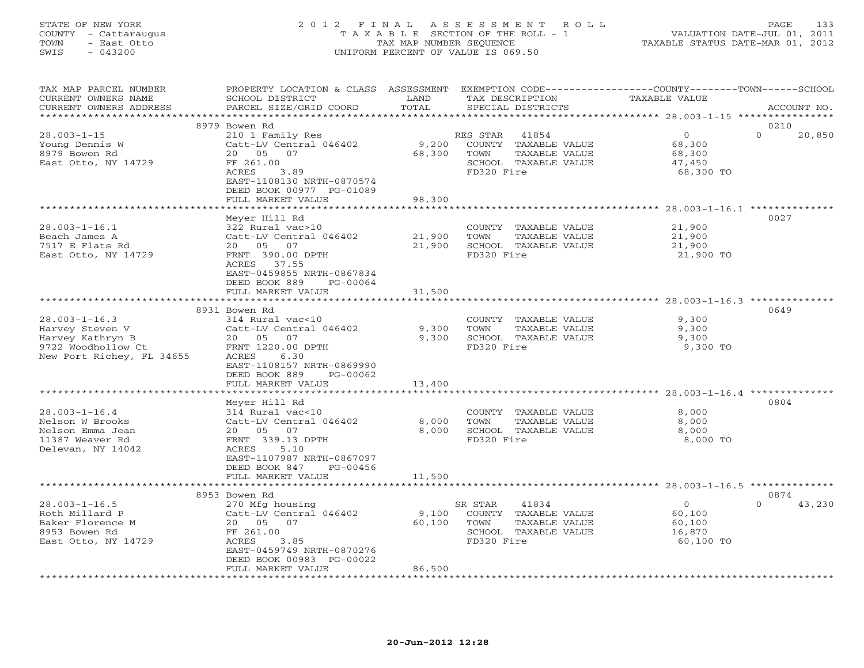## STATE OF NEW YORK 2 0 1 2 F I N A L A S S E S S M E N T R O L L PAGE 133 COUNTY - Cattaraugus T A X A B L E SECTION OF THE ROLL - 1 VALUATION DATE-JUL 01, 2011 TOWN - East Otto TAX MAP NUMBER SEQUENCE TAXABLE STATUS DATE-MAR 01, 2012 SWIS - 043200 UNIFORM PERCENT OF VALUE IS 069.50UNIFORM PERCENT OF VALUE IS 069.50

| TAX MAP PARCEL NUMBER<br>CURRENT OWNERS NAME<br>CURRENT OWNERS ADDRESS | PROPERTY LOCATION & CLASS ASSESSMENT EXEMPTION CODE---------------COUNTY-------TOWN-----SCHOOL<br>SCHOOL DISTRICT<br>PARCEL SIZE/GRID COORD | LAND<br>TOTAL  | TAX DESCRIPTION<br>SPECIAL DISTRICTS | <b>TAXABLE VALUE</b> | ACCOUNT NO.        |
|------------------------------------------------------------------------|---------------------------------------------------------------------------------------------------------------------------------------------|----------------|--------------------------------------|----------------------|--------------------|
| ***********************                                                |                                                                                                                                             |                |                                      |                      |                    |
|                                                                        | 8979 Bowen Rd                                                                                                                               |                |                                      |                      | 0210               |
| $28.003 - 1 - 15$                                                      | 210 1 Family Res                                                                                                                            |                | RES STAR<br>41854                    | $\Omega$             | $\Omega$<br>20,850 |
| Young Dennis W                                                         | Catt-LV Central 046402                                                                                                                      | 9,200          | COUNTY TAXABLE VALUE                 | 68,300               |                    |
| 8979 Bowen Rd                                                          | 20 05<br>07                                                                                                                                 | 68,300         | TOWN<br>TAXABLE VALUE                | 68,300               |                    |
| East Otto, NY 14729                                                    | FF 261.00                                                                                                                                   |                | SCHOOL TAXABLE VALUE                 | 47,450               |                    |
|                                                                        | ACRES<br>3.89                                                                                                                               |                | FD320 Fire                           | 68,300 TO            |                    |
|                                                                        | EAST-1108130 NRTH-0870574<br>DEED BOOK 00977 PG-01089                                                                                       |                |                                      |                      |                    |
|                                                                        | FULL MARKET VALUE                                                                                                                           | 98,300         |                                      |                      |                    |
|                                                                        |                                                                                                                                             |                |                                      |                      |                    |
|                                                                        | Meyer Hill Rd                                                                                                                               |                |                                      |                      | 0027               |
| $28.003 - 1 - 16.1$                                                    | 322 Rural vac>10                                                                                                                            |                | COUNTY TAXABLE VALUE                 | 21,900               |                    |
| Beach James A                                                          | Catt-LV Central 046402                                                                                                                      | 21,900         | TOWN<br>TAXABLE VALUE                | 21,900               |                    |
| 7517 E Flats Rd                                                        | 07<br>20 05                                                                                                                                 | 21,900         | SCHOOL TAXABLE VALUE                 | 21,900               |                    |
| East Otto, NY 14729                                                    | FRNT 390.00 DPTH                                                                                                                            |                | FD320 Fire                           | 21,900 TO            |                    |
|                                                                        | ACRES 37.55                                                                                                                                 |                |                                      |                      |                    |
|                                                                        | EAST-0459855 NRTH-0867834                                                                                                                   |                |                                      |                      |                    |
|                                                                        | DEED BOOK 889<br>PG-00064                                                                                                                   |                |                                      |                      |                    |
|                                                                        | FULL MARKET VALUE                                                                                                                           | 31,500         |                                      |                      |                    |
|                                                                        | 8931 Bowen Rd                                                                                                                               |                |                                      |                      | 0649               |
| $28.003 - 1 - 16.3$                                                    | 314 Rural vac<10                                                                                                                            |                | COUNTY TAXABLE VALUE                 | 9,300                |                    |
| Harvey Steven V                                                        | Catt-LV Central 046402                                                                                                                      | 9,300          | TOWN<br>TAXABLE VALUE                | 9,300                |                    |
| Harvey Kathryn B                                                       | 20 05<br>07                                                                                                                                 | 9,300          | SCHOOL TAXABLE VALUE                 | 9,300                |                    |
| 9722 Woodhollow Ct                                                     | FRNT 1220.00 DPTH                                                                                                                           |                | FD320 Fire                           | 9,300 TO             |                    |
| New Port Richey, FL 34655                                              | ACRES<br>6.30                                                                                                                               |                |                                      |                      |                    |
|                                                                        | EAST-1108157 NRTH-0869990                                                                                                                   |                |                                      |                      |                    |
|                                                                        | DEED BOOK 889<br>PG-00062                                                                                                                   |                |                                      |                      |                    |
|                                                                        | FULL MARKET VALUE                                                                                                                           | 13,400         |                                      |                      |                    |
|                                                                        | *******************                                                                                                                         | ************** |                                      |                      |                    |
|                                                                        | Meyer Hill Rd                                                                                                                               |                |                                      |                      | 0804               |
| $28.003 - 1 - 16.4$                                                    | 314 Rural vac<10                                                                                                                            |                | COUNTY TAXABLE VALUE                 | 8,000                |                    |
| Nelson W Brooks                                                        | Catt-LV Central 046402                                                                                                                      | 8,000          | TOWN<br>TAXABLE VALUE                | 8,000                |                    |
| Nelson Emma Jean                                                       | 20 05<br>07                                                                                                                                 | 8,000          | SCHOOL TAXABLE VALUE                 | 8,000                |                    |
| 11387 Weaver Rd                                                        | FRNT 339.13 DPTH                                                                                                                            |                | FD320 Fire                           | 8,000 TO             |                    |
| Delevan, NY 14042                                                      | ACRES<br>5.10                                                                                                                               |                |                                      |                      |                    |
|                                                                        | EAST-1107987 NRTH-0867097                                                                                                                   |                |                                      |                      |                    |
|                                                                        | DEED BOOK 847<br>PG-00456                                                                                                                   |                |                                      |                      |                    |
|                                                                        | FULL MARKET VALUE                                                                                                                           | 11,500         |                                      |                      |                    |
|                                                                        | 8953 Bowen Rd                                                                                                                               |                |                                      |                      | 0874               |
| $28.003 - 1 - 16.5$                                                    | 270 Mfg housing                                                                                                                             |                | 41834<br>SR STAR                     | $\circ$              | 43,230<br>$\Omega$ |
| Roth Millard P                                                         | Catt-LV Central 046402                                                                                                                      | 9,100          | COUNTY TAXABLE VALUE                 | 60,100               |                    |
| Baker Florence M                                                       | 20 05 07                                                                                                                                    | 60,100         | TOWN<br>TAXABLE VALUE                | 60,100               |                    |
| 8953 Bowen Rd                                                          | FF 261.00                                                                                                                                   |                | SCHOOL TAXABLE VALUE                 | 16,870               |                    |
| East Otto, NY 14729                                                    | ACRES<br>3.85                                                                                                                               |                | FD320 Fire                           | 60,100 TO            |                    |
|                                                                        | EAST-0459749 NRTH-0870276                                                                                                                   |                |                                      |                      |                    |
|                                                                        | DEED BOOK 00983 PG-00022                                                                                                                    |                |                                      |                      |                    |
|                                                                        | FULL MARKET VALUE                                                                                                                           | 86,500         |                                      |                      |                    |
|                                                                        |                                                                                                                                             |                |                                      |                      |                    |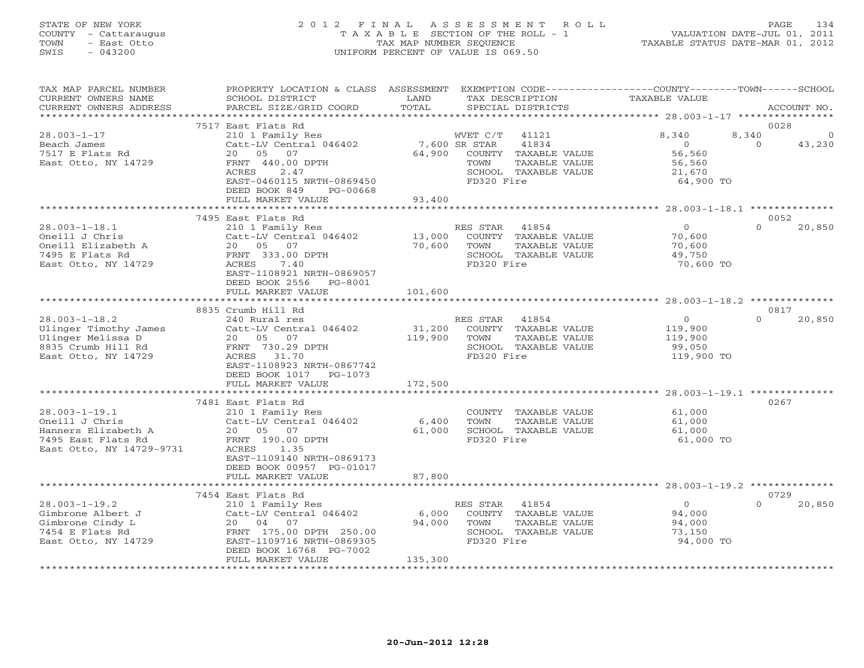## STATE OF NEW YORK 2 0 1 2 F I N A L A S S E S S M E N T R O L L PAGE 134 COUNTY - Cattaraugus T A X A B L E SECTION OF THE ROLL - 1 VALUATION DATE-JUL 01, 2011 TOWN - East Otto TAX MAP NUMBER SEQUENCE TAXABLE STATUS DATE-MAR 01, 2012 SWIS - 043200 UNIFORM PERCENT OF VALUE IS 069.50UNIFORM PERCENT OF VALUE IS 069.50

| 0028<br>$\Omega$<br>43,230 |
|----------------------------|
|                            |
|                            |
| 0052<br>20,850             |
|                            |
|                            |
| 0817<br>20,850             |
|                            |
| 0267                       |
|                            |
| 0729                       |
| 20,850                     |
|                            |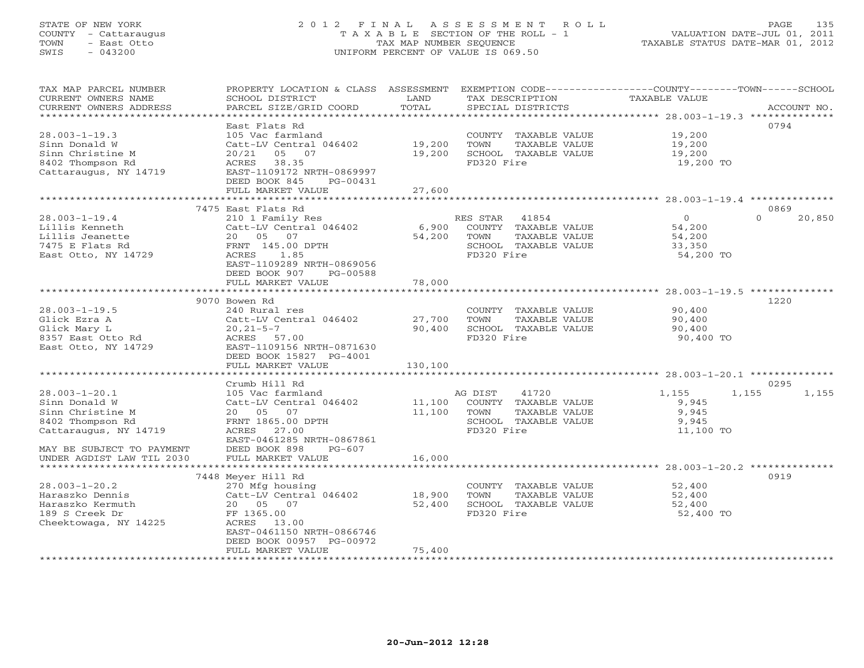# STATE OF NEW YORK 2 0 1 2 F I N A L A S S E S S M E N T R O L L PAGE 135 COUNTY - Cattaraugus T A X A B L E SECTION OF THE ROLL - 1 VALUATION DATE-JUL 01, 2011 TOWN - East Otto TAX MAP NUMBER SEQUENCE TAXABLE STATUS DATE-MAR 01, 2012 SWIS - 043200 UNIFORM PERCENT OF VALUE IS 069.50UNIFORM PERCENT OF VALUE IS 069.50

| TAX MAP PARCEL NUMBER<br>CURRENT OWNERS NAME | PROPERTY LOCATION & CLASS ASSESSMENT<br>SCHOOL DISTRICT | LAND<br>TOTAL | EXEMPTION CODE-----------------COUNTY-------TOWN------SCHOOL<br>TAX DESCRIPTION | <b>TAXABLE VALUE</b> |                    |
|----------------------------------------------|---------------------------------------------------------|---------------|---------------------------------------------------------------------------------|----------------------|--------------------|
| CURRENT OWNERS ADDRESS<br>****************   | PARCEL SIZE/GRID COORD                                  | ************* | SPECIAL DISTRICTS                                                               |                      | ACCOUNT NO.        |
|                                              |                                                         |               |                                                                                 |                      | 0794               |
|                                              | East Flats Rd                                           |               |                                                                                 |                      |                    |
| $28.003 - 1 - 19.3$                          | 105 Vac farmland                                        |               | COUNTY TAXABLE VALUE                                                            | 19,200               |                    |
| Sinn Donald W                                | Catt-LV Central 046402                                  | 19,200        | TOWN<br>TAXABLE VALUE                                                           | 19,200               |                    |
| Sinn Christine M                             | 20/21<br>05<br>07                                       | 19,200        | SCHOOL TAXABLE VALUE                                                            | 19,200               |                    |
| 8402 Thompson Rd                             | 38.35<br>ACRES                                          |               | FD320 Fire                                                                      | 19,200 TO            |                    |
| Cattaraugus, NY 14719                        | EAST-1109172 NRTH-0869997                               |               |                                                                                 |                      |                    |
|                                              | DEED BOOK 845<br>PG-00431                               |               |                                                                                 |                      |                    |
|                                              | FULL MARKET VALUE                                       | 27,600        |                                                                                 |                      |                    |
|                                              |                                                         |               |                                                                                 |                      |                    |
|                                              | 7475 East Flats Rd                                      |               |                                                                                 |                      | 0869               |
| $28.003 - 1 - 19.4$                          | 210 1 Family Res                                        |               | RES STAR<br>41854                                                               | $\overline{0}$       | $\Omega$<br>20,850 |
| Lillis Kenneth                               | Catt-LV Central 046402                                  | 6,900         | COUNTY TAXABLE VALUE                                                            | 54,200               |                    |
| Lillis Jeanette                              | 20  05  07                                              | 54,200        | TOWN<br>TAXABLE VALUE                                                           | 54,200               |                    |
| 7475 E Flats Rd                              | FRNT 145.00 DPTH                                        |               | SCHOOL TAXABLE VALUE                                                            | 33,350               |                    |
| East Otto, NY 14729                          | ACRES<br>1.85                                           |               | FD320 Fire                                                                      | 54,200 TO            |                    |
|                                              | EAST-1109289 NRTH-0869056                               |               |                                                                                 |                      |                    |
|                                              | DEED BOOK 907<br>PG-00588                               |               |                                                                                 |                      |                    |
|                                              | FULL MARKET VALUE                                       | 78,000        |                                                                                 |                      |                    |
|                                              |                                                         |               |                                                                                 |                      |                    |
|                                              | 9070 Bowen Rd                                           |               |                                                                                 |                      | 1220               |
| $28.003 - 1 - 19.5$                          | 240 Rural res                                           |               | COUNTY TAXABLE VALUE                                                            | 90,400               |                    |
| Glick Ezra A                                 | Catt-LV Central 046402                                  | 27,700        | TOWN<br>TAXABLE VALUE                                                           | 90,400               |                    |
| Glick Mary L                                 | $20, 21 - 5 - 7$                                        | 90,400        | SCHOOL TAXABLE VALUE                                                            | 90,400               |                    |
| 8357 East Otto Rd                            | ACRES 57.00                                             |               | FD320 Fire                                                                      | 90,400 TO            |                    |
| East Otto, NY 14729                          | EAST-1109156 NRTH-0871630                               |               |                                                                                 |                      |                    |
|                                              | DEED BOOK 15827 PG-4001                                 |               |                                                                                 |                      |                    |
|                                              | FULL MARKET VALUE                                       | 130,100       |                                                                                 |                      |                    |
|                                              |                                                         |               |                                                                                 |                      |                    |
|                                              | Crumb Hill Rd                                           |               |                                                                                 |                      | 0295               |
| $28.003 - 1 - 20.1$                          | 105 Vac farmland                                        |               | AG DIST<br>41720                                                                | 1,155                | 1,155<br>1,155     |
| Sinn Donald W                                | Catt-LV Central 046402                                  | 11,100        | COUNTY TAXABLE VALUE                                                            | 9,945                |                    |
| Sinn Christine M                             | 20  05  07                                              | 11,100        | TOWN<br>TAXABLE VALUE                                                           | 9,945                |                    |
| 8402 Thompson Rd                             | FRNT 1865.00 DPTH                                       |               | SCHOOL TAXABLE VALUE                                                            | 9,945                |                    |
| Cattaraugus, NY 14719                        | ACRES 27.00                                             |               | FD320 Fire                                                                      | 11,100 TO            |                    |
|                                              | EAST-0461285 NRTH-0867861                               |               |                                                                                 |                      |                    |
| MAY BE SUBJECT TO PAYMENT                    | DEED BOOK 898<br>$PG-607$                               |               |                                                                                 |                      |                    |
| UNDER AGDIST LAW TIL 2030                    | FULL MARKET VALUE                                       | 16,000        |                                                                                 |                      |                    |
|                                              | **************************                              |               |                                                                                 |                      |                    |
|                                              | 7448 Meyer Hill Rd                                      |               |                                                                                 |                      | 0919               |
| $28.003 - 1 - 20.2$                          | 270 Mfg housing                                         |               | COUNTY TAXABLE VALUE                                                            | 52,400               |                    |
| Haraszko Dennis                              | Catt-LV Central 046402                                  | 18,900        | TOWN<br>TAXABLE VALUE                                                           | 52,400               |                    |
| Haraszko Kermuth                             | 20  05  07                                              | 52,400        | SCHOOL TAXABLE VALUE                                                            | 52,400               |                    |
| 189 S Creek Dr                               | FF 1365.00                                              |               | FD320 Fire                                                                      | 52,400 TO            |                    |
| Cheektowaga, NY 14225                        | ACRES 13.00                                             |               |                                                                                 |                      |                    |
|                                              | EAST-0461150 NRTH-0866746                               |               |                                                                                 |                      |                    |
|                                              | DEED BOOK 00957 PG-00972                                |               |                                                                                 |                      |                    |
|                                              | FULL MARKET VALUE                                       | 75,400        |                                                                                 |                      |                    |
|                                              |                                                         |               |                                                                                 |                      |                    |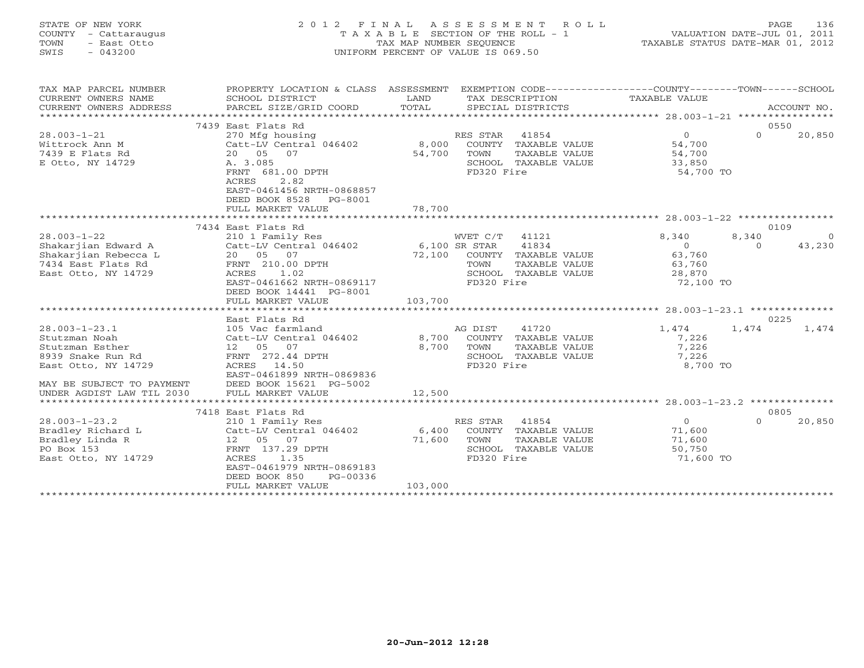| STATE OF NEW YORK<br>COUNTY - Cattaraugus<br>– East Otto<br>TOWN<br>$-043200$<br>SWIS | 2012 FINAL ASSESSMENT ROLL<br>T A X A B L E SECTION OF THE ROLL - 1<br>TAX MAP NUMBER SEOUENCE<br>UNIFORM PERCENT OF VALUE IS 069.50 | 136<br>PAGE<br>VALUATION DATE-JUL 01, 2011<br>TAXABLE STATUS DATE-MAR 01, 2012 |
|---------------------------------------------------------------------------------------|--------------------------------------------------------------------------------------------------------------------------------------|--------------------------------------------------------------------------------|
| TAX MAP PARCEL NUMBER                                                                 | PROPERTY LOCATION & CLASS ASSESSMENT<br>EXEMPTION $CODE--------------------$                                                         | - SCHOOL<br>$-COUNTY------TOWN---$                                             |

| CURRENT OWNERS NAME                                | SCHOOL DISTRICT                           | LAND            |               | TAX DESCRIPTION                       | TAXABLE VALUE    |          |             |
|----------------------------------------------------|-------------------------------------------|-----------------|---------------|---------------------------------------|------------------|----------|-------------|
| CURRENT OWNERS ADDRESS<br>************************ | PARCEL SIZE/GRID COORD                    | TOTAL           |               | SPECIAL DISTRICTS                     |                  |          | ACCOUNT NO. |
|                                                    | 7439 East Flats Rd                        |                 |               |                                       |                  |          | 0550        |
| $28.003 - 1 - 21$                                  | 270 Mfg housing                           |                 | RES STAR      | 41854                                 | $\circ$          | $\Omega$ | 20,850      |
| Wittrock Ann M                                     | Catt-LV Central 046402                    | 8,000           |               | COUNTY TAXABLE VALUE                  | 54,700           |          |             |
| 7439 E Flats Rd                                    | 20 05<br>07                               | 54,700          | TOWN          | TAXABLE VALUE                         | 54,700           |          |             |
| E Otto, NY 14729                                   | A. 3.085                                  |                 |               | SCHOOL TAXABLE VALUE                  | 33,850           |          |             |
|                                                    | FRNT 681.00 DPTH                          |                 | FD320 Fire    |                                       | 54,700 TO        |          |             |
|                                                    | 2.82<br>ACRES                             |                 |               |                                       |                  |          |             |
|                                                    | EAST-0461456 NRTH-0868857                 |                 |               |                                       |                  |          |             |
|                                                    | DEED BOOK 8528<br>PG-8001                 |                 |               |                                       |                  |          |             |
|                                                    | FULL MARKET VALUE                         | 78,700          |               |                                       |                  |          |             |
|                                                    |                                           |                 |               |                                       |                  |          |             |
|                                                    | 7434 East Flats Rd                        |                 |               |                                       |                  |          | 0109        |
| $28.003 - 1 - 22$                                  | 210 1 Family Res                          |                 | WVET C/T      | 41121                                 | 8,340            | 8,340    | $\Omega$    |
| Shakarjian Edward A                                | Catt-LV Central 046402                    |                 | 6,100 SR STAR | 41834                                 | $\Omega$         | $\Omega$ | 43,230      |
| Shakarjian Rebecca L                               | 20  05  07                                | 72,100          |               | COUNTY TAXABLE VALUE                  | 63,760           |          |             |
| 7434 East Flats Rd                                 | FRNT 210.00 DPTH                          |                 | TOWN          | TAXABLE VALUE                         | 63,760           |          |             |
| East Otto, NY 14729                                | 1.02<br>ACRES                             |                 |               | SCHOOL TAXABLE VALUE                  | 28,870           |          |             |
|                                                    | EAST-0461662 NRTH-0869117                 |                 | FD320 Fire    |                                       | 72,100 TO        |          |             |
|                                                    | DEED BOOK 14441 PG-8001                   |                 |               |                                       |                  |          |             |
|                                                    | FULL MARKET VALUE                         | 103,700         |               |                                       |                  |          |             |
|                                                    |                                           |                 |               |                                       |                  |          |             |
|                                                    | East Flats Rd                             |                 |               |                                       |                  |          | 0225        |
| $28.003 - 1 - 23.1$                                | 105 Vac farmland                          |                 | AG DIST       | 41720                                 | 1,474            | 1,474    | 1,474       |
| Stutzman Noah<br>Stutzman Esther                   | Catt-LV Central 046402<br>12  05  07      | 8,700<br>8,700  |               | COUNTY TAXABLE VALUE                  | 7,226            |          |             |
| 8939 Snake Run Rd                                  | FRNT 272.44 DPTH                          |                 | TOWN          | TAXABLE VALUE<br>SCHOOL TAXABLE VALUE | 7,226<br>7,226   |          |             |
| East Otto, NY 14729                                | ACRES 14.50                               |                 | FD320 Fire    |                                       | 8,700 TO         |          |             |
|                                                    | EAST-0461899 NRTH-0869836                 |                 |               |                                       |                  |          |             |
| MAY BE SUBJECT TO PAYMENT                          | DEED BOOK 15621 PG-5002                   |                 |               |                                       |                  |          |             |
| UNDER AGDIST LAW TIL 2030                          | FULL MARKET VALUE                         | 12,500          |               |                                       |                  |          |             |
|                                                    | *******************************           |                 |               |                                       |                  |          |             |
|                                                    | 7418 East Flats Rd                        |                 |               |                                       |                  |          | 0805        |
| $28.003 - 1 - 23.2$                                | 210 1 Family Res                          |                 | RES STAR      | 41854                                 | $\Omega$         | $\Omega$ | 20,850      |
| Bradley Richard L                                  |                                           |                 |               |                                       | 71,600           |          |             |
|                                                    |                                           |                 | COUNTY        |                                       |                  |          |             |
|                                                    | Catt-LV Central 046402<br>12  05  07      | 6,400<br>71,600 | TOWN          | TAXABLE VALUE                         |                  |          |             |
| Bradley Linda R<br>PO Box 153                      | FRNT 137.29 DPTH                          |                 |               | TAXABLE VALUE<br>SCHOOL TAXABLE VALUE | 71,600<br>50,750 |          |             |
| East Otto, NY 14729                                | 1.35<br>ACRES                             |                 | FD320 Fire    |                                       | 71,600 TO        |          |             |
|                                                    | EAST-0461979 NRTH-0869183                 |                 |               |                                       |                  |          |             |
|                                                    | DEED BOOK 850<br>PG-00336                 |                 |               |                                       |                  |          |             |
|                                                    | FULL MARKET VALUE<br>******************** | 103,000         |               |                                       |                  |          |             |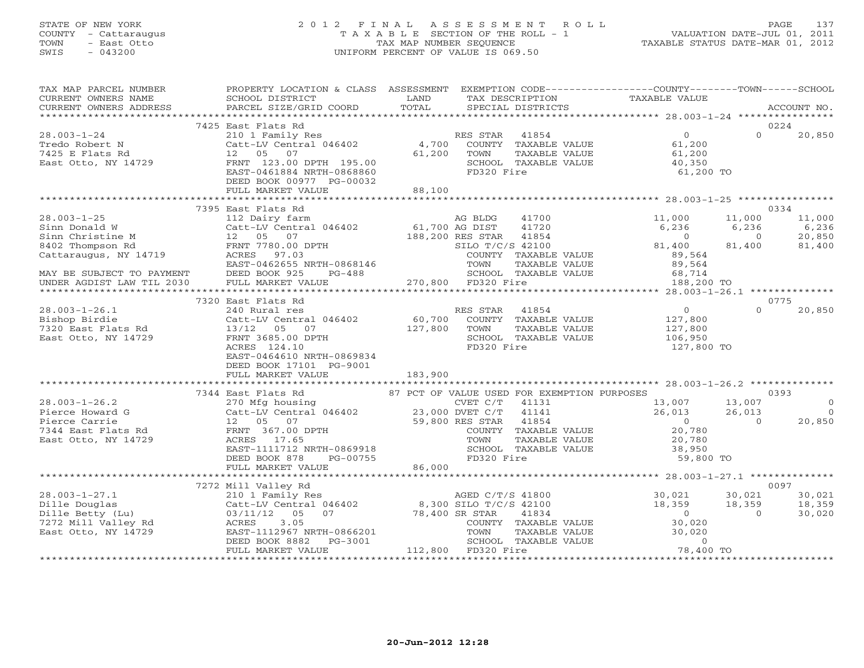# STATE OF NEW YORK 2 0 1 2 F I N A L A S S E S S M E N T R O L L PAGE 137 COUNTY - Cattaraugus T A X A B L E SECTION OF THE ROLL - 1 VALUATION DATE-JUL 01, 2011 TOWN - East Otto TAX MAP NUMBER SEQUENCE TAXABLE STATUS DATE-MAR 01, 2012 SWIS - 043200 UNIFORM PERCENT OF VALUE IS 069.50

| SCHOOL DISTRICT                                                                                         |                                                                                                                                                                                                                                                          | PROPERTY LOCATION & CLASS ASSESSMENT EXEMPTION CODE---------------COUNTY-------TOWN------SCHOOL<br>TAX DESCRIPTION |                                                                 |                                                                                                                                                                                                                                                                                                                                                                                                                                                                                                                                                                                                                                                                                                                                                                                                  |
|---------------------------------------------------------------------------------------------------------|----------------------------------------------------------------------------------------------------------------------------------------------------------------------------------------------------------------------------------------------------------|--------------------------------------------------------------------------------------------------------------------|-----------------------------------------------------------------|--------------------------------------------------------------------------------------------------------------------------------------------------------------------------------------------------------------------------------------------------------------------------------------------------------------------------------------------------------------------------------------------------------------------------------------------------------------------------------------------------------------------------------------------------------------------------------------------------------------------------------------------------------------------------------------------------------------------------------------------------------------------------------------------------|
|                                                                                                         |                                                                                                                                                                                                                                                          |                                                                                                                    |                                                                 |                                                                                                                                                                                                                                                                                                                                                                                                                                                                                                                                                                                                                                                                                                                                                                                                  |
| DEED BOOK 00977 PG-00032<br>FULL MARKET VALUE                                                           |                                                                                                                                                                                                                                                          |                                                                                                                    | 61,200 TO                                                       | 0224<br>$\Omega$<br>20,850                                                                                                                                                                                                                                                                                                                                                                                                                                                                                                                                                                                                                                                                                                                                                                       |
|                                                                                                         |                                                                                                                                                                                                                                                          |                                                                                                                    |                                                                 |                                                                                                                                                                                                                                                                                                                                                                                                                                                                                                                                                                                                                                                                                                                                                                                                  |
|                                                                                                         |                                                                                                                                                                                                                                                          |                                                                                                                    | 11,000<br>6,236<br>$\overline{0}$<br>81,400<br>89,564<br>89,564 | 0334<br>11,000<br>11,000<br>$6,236$<br>$0$<br>$6,236$<br>$0$<br>$20,850$<br>$81,400$<br>$81,400$<br>6,236                                                                                                                                                                                                                                                                                                                                                                                                                                                                                                                                                                                                                                                                                        |
|                                                                                                         |                                                                                                                                                                                                                                                          |                                                                                                                    |                                                                 |                                                                                                                                                                                                                                                                                                                                                                                                                                                                                                                                                                                                                                                                                                                                                                                                  |
|                                                                                                         |                                                                                                                                                                                                                                                          |                                                                                                                    |                                                                 | 0775                                                                                                                                                                                                                                                                                                                                                                                                                                                                                                                                                                                                                                                                                                                                                                                             |
| 240 Rural res<br>Catt-LV Central 046402<br>FRNT 3685.00 DPTH<br>ACRES 124.10<br>DEED BOOK 17101 PG-9001 |                                                                                                                                                                                                                                                          | RES STAR 41854<br>TOWN<br>TAXABLE VALUE<br>SCHOOL TAXABLE VALUE<br>FD320 Fire                                      | $\overline{0}$<br>127,800<br>127,800<br>106,950<br>127,800 TO   | $\Omega$<br>20,850                                                                                                                                                                                                                                                                                                                                                                                                                                                                                                                                                                                                                                                                                                                                                                               |
|                                                                                                         |                                                                                                                                                                                                                                                          |                                                                                                                    |                                                                 |                                                                                                                                                                                                                                                                                                                                                                                                                                                                                                                                                                                                                                                                                                                                                                                                  |
|                                                                                                         |                                                                                                                                                                                                                                                          |                                                                                                                    |                                                                 | 0393                                                                                                                                                                                                                                                                                                                                                                                                                                                                                                                                                                                                                                                                                                                                                                                             |
| FULL MARKET VALUE                                                                                       |                                                                                                                                                                                                                                                          |                                                                                                                    |                                                                 | $\Omega$<br>$\bigcirc$<br>20,850                                                                                                                                                                                                                                                                                                                                                                                                                                                                                                                                                                                                                                                                                                                                                                 |
|                                                                                                         |                                                                                                                                                                                                                                                          |                                                                                                                    |                                                                 |                                                                                                                                                                                                                                                                                                                                                                                                                                                                                                                                                                                                                                                                                                                                                                                                  |
|                                                                                                         |                                                                                                                                                                                                                                                          |                                                                                                                    |                                                                 |                                                                                                                                                                                                                                                                                                                                                                                                                                                                                                                                                                                                                                                                                                                                                                                                  |
|                                                                                                         | 7425 East Flats Rd<br>7395 East Flats Rd<br>7320 East Flats Rd<br>Catt-LV Central vivico<br>13/12 05 07<br>- 2005 00 DPTH<br>FULL MARKET VALUE<br>7272 Mill Valley Rd<br>20.000-1-20.1<br>Dille Betty (Lu)<br>7272 Mill Valley Rd<br>East Otto, NY 14729 | <b>LAND</b><br>EAST-0464610 NRTH-0869834                                                                           | PG-00032<br>88,100<br>$60,700$<br>127,800<br>183,900<br>86,000  | TAXABLE VALUE<br>$\begin{minipage}{.45\textwidth} \begin{minipage}{.45\textwidth} \begin{minipage}{.45\textwidth} \begin{minipage}{.45\textwidth} \begin{minipage}{.45\textwidth} \begin{minipage}{.45\textwidth} \begin{minipage}{.45\textwidth} \begin{minipage}{.45\textwidth} \begin{minipage}{.45\textwidth} \begin{minipage}{.45\textwidth} \begin{minipage}{.45\textwidth} \begin{minipage}{.45\textwidth} \begin{minipage}{.45\textwidth} \begin{minipage}{.45\textwidth} \begin{minipage}{.45\textwidth} \begin{minipage}{.45$<br>COUNTY TAXABLE VALUE<br>TAXABLE VALUE<br>SCHOOL TAXABLE VALUE 68,714<br>FD320 Fire 188,200<br>188,200 TO<br>COUNTY TAXABLE VALUE<br>CVET C/T 41131 13,007 13,007<br>DVET C/T 41141 26,013 26,013<br>RES STAR 41854 0 0<br>COUNTY TAXABLE VALUE 20,780 |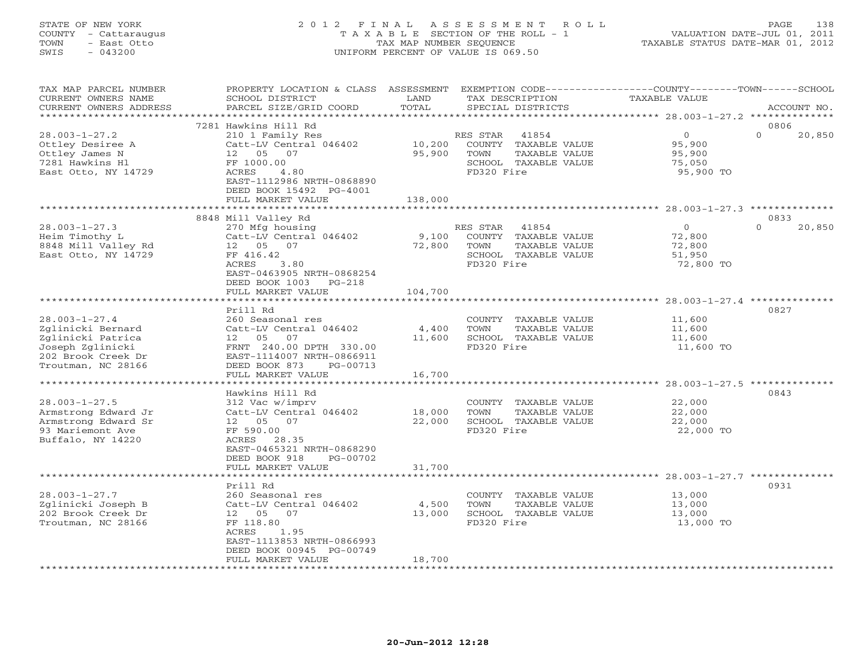# STATE OF NEW YORK 2 0 1 2 F I N A L A S S E S S M E N T R O L L PAGE 138 COUNTY - Cattaraugus T A X A B L E SECTION OF THE ROLL - 1 VALUATION DATE-JUL 01, 2011 TOWN - East Otto TAX MAP NUMBER SEQUENCE TAXABLE STATUS DATE-MAR 01, 2012 SWIS - 043200 UNIFORM PERCENT OF VALUE IS 069.50UNIFORM PERCENT OF VALUE IS 069.50

| TAX MAP PARCEL NUMBER<br>CURRENT OWNERS NAME<br>CURRENT OWNERS ADDRESS                                                        | PROPERTY LOCATION & CLASS<br>SCHOOL DISTRICT<br>PARCEL SIZE/GRID COORD                                                                                                             | ASSESSMENT<br>LAND<br>TOTAL | TAX DESCRIPTION<br>SPECIAL DISTRICTS                                                                     | EXEMPTION CODE-----------------COUNTY-------TOWN------SCHOOL<br><b>TAXABLE VALUE</b> | ACCOUNT NO.                |
|-------------------------------------------------------------------------------------------------------------------------------|------------------------------------------------------------------------------------------------------------------------------------------------------------------------------------|-----------------------------|----------------------------------------------------------------------------------------------------------|--------------------------------------------------------------------------------------|----------------------------|
|                                                                                                                               |                                                                                                                                                                                    | * * * * * * * * :           |                                                                                                          | ********************* 28.003-1-27.2 ***************                                  |                            |
| $28.003 - 1 - 27.2$<br>Ottley Desiree A<br>Ottley James N<br>7281 Hawkins Hl<br>East Otto, NY 14729                           | 7281 Hawkins Hill Rd<br>210 1 Family Res<br>Catt-LV Central 046402<br>12  05  07<br>FF 1000.00<br>ACRES<br>4.80<br>EAST-1112986 NRTH-0868890                                       | 10,200<br>95,900            | RES STAR<br>41854<br>COUNTY TAXABLE VALUE<br>TAXABLE VALUE<br>TOWN<br>SCHOOL TAXABLE VALUE<br>FD320 Fire | $\circ$<br>95,900<br>95,900<br>75,050<br>95,900 TO                                   | 0806<br>$\Omega$<br>20,850 |
|                                                                                                                               | DEED BOOK 15492 PG-4001<br>FULL MARKET VALUE                                                                                                                                       | 138,000                     |                                                                                                          |                                                                                      |                            |
|                                                                                                                               |                                                                                                                                                                                    | *************               |                                                                                                          |                                                                                      |                            |
| $28.003 - 1 - 27.3$<br>Heim Timothy L<br>8848 Mill Valley Rd<br>East Otto, NY 14729                                           | 8848 Mill Valley Rd<br>270 Mfg housing<br>Catt-LV Central 046402<br>12 05 07<br>FF 416.42<br>ACRES<br>3.80<br>EAST-0463905 NRTH-0868254<br>DEED BOOK 1003<br>$PG-218$              | 9,100<br>72,800             | RES STAR<br>41854<br>COUNTY TAXABLE VALUE<br>TOWN<br>TAXABLE VALUE<br>SCHOOL TAXABLE VALUE<br>FD320 Fire | $\circ$<br>72,800<br>72,800<br>51,950<br>72,800 TO                                   | 0833<br>$\Omega$<br>20,850 |
|                                                                                                                               | FULL MARKET VALUE<br>*******************************                                                                                                                               | 104,700                     |                                                                                                          |                                                                                      |                            |
| $28.003 - 1 - 27.4$<br>Zglinicki Bernard<br>Zglinicki Patrica<br>Joseph Zglinicki<br>202 Brook Creek Dr<br>Troutman, NC 28166 | Prill Rd<br>260 Seasonal res<br>Catt-LV Central 046402<br>12  05  07<br>FRNT 240.00 DPTH 330.00<br>EAST-1114007 NRTH-0866911<br>DEED BOOK 873<br>PG-00713<br>FULL MARKET VALUE     | 4,400<br>11,600<br>16,700   | COUNTY TAXABLE VALUE<br>TOWN<br>TAXABLE VALUE<br>SCHOOL TAXABLE VALUE<br>FD320 Fire                      | 11,600<br>11,600<br>11,600<br>11,600 TO                                              | 0827                       |
|                                                                                                                               | Hawkins Hill Rd                                                                                                                                                                    |                             |                                                                                                          | ****** 28.003-1-27.5 **                                                              | 0843                       |
| $28.003 - 1 - 27.5$<br>Armstrong Edward Jr<br>Armstrong Edward Sr<br>93 Mariemont Ave<br>Buffalo, NY 14220                    | 312 Vac w/imprv<br>Catt-LV Central 046402<br>12  05  07<br>FF 590.00<br>28.35<br>ACRES<br>EAST-0465321 NRTH-0868290<br>DEED BOOK 918<br>PG-00702                                   | 18,000<br>22,000            | COUNTY TAXABLE VALUE<br>TOWN<br><b>TAXABLE VALUE</b><br>SCHOOL TAXABLE VALUE<br>FD320 Fire               | 22,000<br>22,000<br>22,000<br>22,000 TO                                              |                            |
|                                                                                                                               | FULL MARKET VALUE                                                                                                                                                                  | 31,700                      |                                                                                                          |                                                                                      |                            |
| $28.003 - 1 - 27.7$<br>Zglinicki Joseph B<br>202 Brook Creek Dr<br>Troutman, NC 28166                                         | ******************<br>Prill Rd<br>260 Seasonal res<br>Catt-LV Central 046402<br>12 05<br>07<br>FF 118.80<br>ACRES<br>1.95<br>EAST-1113853 NRTH-0866993<br>DEED BOOK 00945 PG-00749 | 4,500<br>13,000             | COUNTY TAXABLE VALUE<br>TOWN<br>TAXABLE VALUE<br>SCHOOL TAXABLE VALUE<br>FD320 Fire                      | 13,000<br>13,000<br>13,000<br>13,000 TO                                              | 0931                       |
|                                                                                                                               | FULL MARKET VALUE                                                                                                                                                                  | 18,700                      |                                                                                                          |                                                                                      |                            |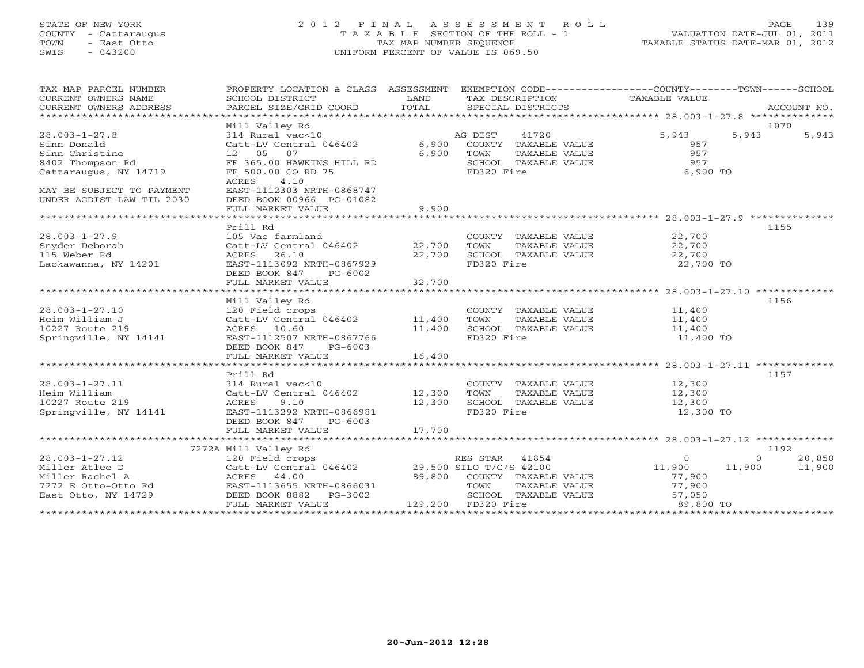#### STATE OF NEW YORK 2 0 1 2 F I N A L A S S E S S M E N T R O L L PAGE 139COUNTY - Cattaraugus T A X A B L E SECTION OF THE ROLL - 1 VALUATION DATE-JUL 01, 2011 TOWN - East Otto TAX MAP NUMBER SEQUENCE TAXABLE STATUS DATE-MAR 01, 2012 SWIS - 043200 UNIFORM PERCENT OF VALUE IS 069.50

VALUATION DATE-JUL 01, 2011

| TAX MAP PARCEL NUMBER<br>CURRENT OWNERS NAME | PROPERTY LOCATION & CLASS ASSESSMENT EXEMPTION CODE----------------COUNTY-------TOWN------SCHOOL<br>SCHOOL DISTRICT | LAND                          | TAX DESCRIPTION                               | TAXABLE VALUE    |          |             |
|----------------------------------------------|---------------------------------------------------------------------------------------------------------------------|-------------------------------|-----------------------------------------------|------------------|----------|-------------|
| CURRENT OWNERS ADDRESS                       | PARCEL SIZE/GRID COORD                                                                                              | TOTAL                         | SPECIAL DISTRICTS                             |                  |          | ACCOUNT NO. |
|                                              | Mill Valley Rd                                                                                                      |                               |                                               |                  | 1070     |             |
| $28.003 - 1 - 27.8$                          | 314 Rural vac<10                                                                                                    |                               | 41720<br>AG DIST                              | 5,943            | 5,943    | 5,943       |
| Sinn Donald                                  | Catt-LV Central 046402                                                                                              | 6,900                         | COUNTY TAXABLE VALUE                          | 957              |          |             |
| Sinn Christine                               | 12 05<br>07                                                                                                         | 6,900                         | TAXABLE VALUE<br>TOWN                         | 957              |          |             |
| 8402 Thompson Rd<br>Cattaraugus, NY 14719    | FF 365.00 HAWKINS HILL RD<br>FF 500.00 CO RD 75                                                                     |                               | SCHOOL TAXABLE VALUE<br>FD320 Fire            | 957<br>6,900 TO  |          |             |
|                                              | 4.10<br>ACRES                                                                                                       |                               |                                               |                  |          |             |
| MAY BE SUBJECT TO PAYMENT                    | EAST-1112303 NRTH-0868747                                                                                           |                               |                                               |                  |          |             |
| UNDER AGDIST LAW TIL 2030                    | DEED BOOK 00966 PG-01082                                                                                            |                               |                                               |                  |          |             |
|                                              | FULL MARKET VALUE                                                                                                   | 9,900                         |                                               |                  |          |             |
|                                              |                                                                                                                     |                               |                                               |                  |          |             |
|                                              | Prill Rd                                                                                                            |                               |                                               |                  | 1155     |             |
| 28.003-1-27.9                                | 105 Vac farmland                                                                                                    |                               | COUNTY TAXABLE VALUE                          | 22,700           |          |             |
| Snyder Deborah                               | Catt-LV Central 046402                                                                                              | 22,700                        | TOWN<br>TAXABLE VALUE                         | 22,700           |          |             |
| 115 Weber Rd                                 | ACRES 26.10                                                                                                         | 22,700                        | SCHOOL TAXABLE VALUE                          | 22,700           |          |             |
| Lackawanna, NY 14201                         | EAST-1113092 NRTH-0867929<br>DEED BOOK 847                                                                          |                               | FD320 Fire                                    | 22,700 TO        |          |             |
|                                              | PG-6002<br>FULL MARKET VALUE                                                                                        | 32,700                        |                                               |                  |          |             |
|                                              |                                                                                                                     |                               |                                               |                  |          |             |
|                                              | Mill Valley Rd                                                                                                      |                               |                                               |                  | 1156     |             |
| $28.003 - 1 - 27.10$                         | 120 Field crops                                                                                                     |                               | COUNTY TAXABLE VALUE                          | 11,400           |          |             |
| Heim William J                               | Catt-LV Central 046402                                                                                              | 11,400                        | TOWN<br>TAXABLE VALUE                         | 11,400           |          |             |
| 10227 Route 219                              | ACRES 10.60                                                                                                         | 11,400                        | SCHOOL TAXABLE VALUE                          | 11,400           |          |             |
| Springville, NY 14141                        | EAST-1112507 NRTH-0867766                                                                                           |                               | FD320 Fire                                    | 11,400 TO        |          |             |
|                                              | DEED BOOK 847<br>$PG-6003$                                                                                          |                               |                                               |                  |          |             |
|                                              | FULL MARKET VALUE                                                                                                   | 16,400                        |                                               |                  |          |             |
|                                              |                                                                                                                     |                               |                                               |                  |          |             |
| 28.003-1-27.11                               | Prill Rd<br>314 Rural vac<10                                                                                        |                               | COUNTY TAXABLE VALUE                          | 12,300           | 1157     |             |
| Heim William                                 |                                                                                                                     | 12,300                        | TOWN<br>TAXABLE VALUE                         | 12,300           |          |             |
| 10227 Route 219                              | Catt-LV Central 046402<br>ACRES 9 10<br>ACRES<br>9.10                                                               | 12,300                        | SCHOOL TAXABLE VALUE                          | 12,300           |          |             |
| Springville, NY 14141                        | EAST-1113292 NRTH-0866981                                                                                           |                               | FD320 Fire                                    | 12,300 TO        |          |             |
|                                              | DEED BOOK 847<br>PG-6003                                                                                            |                               |                                               |                  |          |             |
|                                              | FULL MARKET VALUE                                                                                                   | 17,700                        |                                               |                  |          |             |
|                                              |                                                                                                                     |                               |                                               |                  |          |             |
|                                              | 7272A Mill Valley Rd                                                                                                |                               |                                               |                  | 1192     |             |
| 28.003-1-27.12                               | 120 Field crops                                                                                                     |                               | RES STAR<br>41854                             | $\Omega$         | $\Omega$ | 20,850      |
| Miller Atlee D                               | Catt-LV Central 046402                                                                                              |                               | 29,500 SILO T/C/S 42100                       | 11,900           | 11,900   | 11,900      |
| Miller Rachel A                              | ACRES 44.00                                                                                                         | 89,800                        | COUNTY TAXABLE VALUE                          | 77,900           |          |             |
| 7272 E Otto-Otto Rd<br>East Otto, NY 14729   | EAST-1113655 NRTH-0866031<br>DEED BOOK 8882 PG-3002                                                                 |                               | TOWN<br>TAXABLE VALUE<br>SCHOOL TAXABLE VALUE | 77,900<br>57,050 |          |             |
|                                              | FULL MARKET VALUE                                                                                                   |                               | 129,200 FD320 Fire                            | 89,800 TO        |          |             |
|                                              | ************************                                                                                            | ***************************** |                                               |                  |          |             |
|                                              |                                                                                                                     |                               |                                               |                  |          |             |
|                                              |                                                                                                                     |                               |                                               |                  |          |             |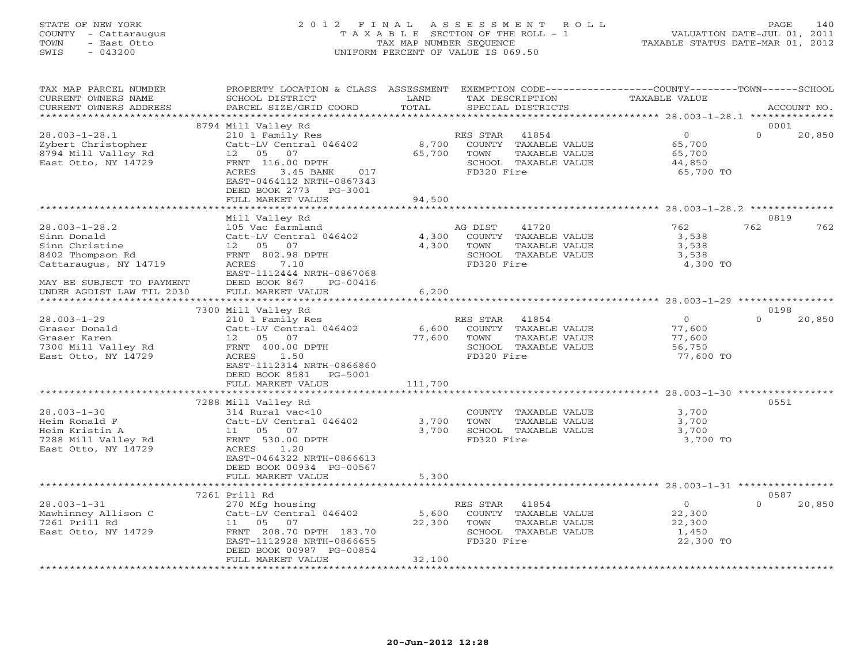# STATE OF NEW YORK 2 0 1 2 F I N A L A S S E S S M E N T R O L L PAGE 140 COUNTY - Cattaraugus T A X A B L E SECTION OF THE ROLL - 1 VALUATION DATE-JUL 01, 2011 TOWN - East Otto TAX MAP NUMBER SEQUENCE TAXABLE STATUS DATE-MAR 01, 2012 SWIS - 043200 UNIFORM PERCENT OF VALUE IS 069.50UNIFORM PERCENT OF VALUE IS 069.50

| TAX MAP PARCEL NUMBER                         | PROPERTY LOCATION & CLASS ASSESSMENT EXEMPTION CODE----------------COUNTY-------TOWN------SCHOOL |                 |                                               |                      |          |             |
|-----------------------------------------------|--------------------------------------------------------------------------------------------------|-----------------|-----------------------------------------------|----------------------|----------|-------------|
| CURRENT OWNERS NAME<br>CURRENT OWNERS ADDRESS | SCHOOL DISTRICT<br>PARCEL SIZE/GRID COORD                                                        | LAND<br>TOTAL   | TAX DESCRIPTION<br>SPECIAL DISTRICTS          | <b>TAXABLE VALUE</b> |          | ACCOUNT NO. |
|                                               |                                                                                                  |                 |                                               |                      |          |             |
|                                               | 8794 Mill Valley Rd                                                                              |                 |                                               |                      | 0001     |             |
| $28.003 - 1 - 28.1$                           | 210 1 Family Res                                                                                 |                 | RES STAR<br>41854                             | $\overline{0}$       | $\Omega$ | 20,850      |
| Zybert Christopher                            | Catt-LV Central 046402                                                                           | 8,700           | COUNTY TAXABLE VALUE                          | 65,700               |          |             |
| 8794 Mill Valley Rd                           | 12 05 07                                                                                         | 65,700          | TOWN<br>TAXABLE VALUE                         | 65,700               |          |             |
| East Otto, NY 14729                           | FRNT 116.00 DPTH                                                                                 |                 | SCHOOL TAXABLE VALUE                          | 44,850               |          |             |
|                                               | ACRES<br>3.45 BANK<br>017                                                                        |                 | FD320 Fire                                    | 65,700 TO            |          |             |
|                                               | EAST-0464112 NRTH-0867343                                                                        |                 |                                               |                      |          |             |
|                                               | DEED BOOK 2773<br>PG-3001                                                                        |                 |                                               |                      |          |             |
|                                               | FULL MARKET VALUE                                                                                | 94,500          |                                               |                      |          |             |
|                                               | Mill Valley Rd                                                                                   |                 |                                               |                      | 0819     |             |
| $28.003 - 1 - 28.2$                           | 105 Vac farmland                                                                                 |                 | AG DIST<br>41720                              | 762                  | 762      | 762         |
| Sinn Donald                                   | Catt-LV Central 046402                                                                           | 4,300           | COUNTY TAXABLE VALUE                          | 3,538                |          |             |
| Sinn Christine                                | 12  05  07                                                                                       | 4,300           | TAXABLE VALUE<br>TOWN                         | 3,538                |          |             |
| 8402 Thompson Rd                              | FRNT 802.98 DPTH                                                                                 |                 | SCHOOL TAXABLE VALUE                          | 3,538                |          |             |
| Cattaraugus, NY 14719                         | ACRES<br>7.10                                                                                    |                 | FD320 Fire                                    | 4,300 TO             |          |             |
|                                               | EAST-1112444 NRTH-0867068                                                                        |                 |                                               |                      |          |             |
| MAY BE SUBJECT TO PAYMENT                     | DEED BOOK 867<br>PG-00416                                                                        |                 |                                               |                      |          |             |
| UNDER AGDIST LAW TIL 2030                     | FULL MARKET VALUE                                                                                | 6,200           |                                               |                      |          |             |
|                                               |                                                                                                  |                 |                                               |                      |          |             |
|                                               | 7300 Mill Valley Rd                                                                              |                 |                                               |                      | 0198     |             |
| $28.003 - 1 - 29$                             | 210 1 Family Res                                                                                 |                 | RES STAR<br>41854                             | $\overline{0}$       | $\Omega$ | 20,850      |
| Graser Donald<br>Graser Karen                 | Catt-LV Central 046402<br>12  05  07                                                             | 6,600<br>77,600 | COUNTY TAXABLE VALUE<br>TOWN<br>TAXABLE VALUE | 77,600<br>77,600     |          |             |
| 7300 Mill Valley Rd                           | FRNT 400.00 DPTH                                                                                 |                 | SCHOOL TAXABLE VALUE                          | 56,750               |          |             |
| East Otto, NY 14729                           | ACRES 1.50                                                                                       |                 | FD320 Fire                                    | 77,600 TO            |          |             |
|                                               | EAST-1112314 NRTH-0866860                                                                        |                 |                                               |                      |          |             |
|                                               | DEED BOOK 8581<br>PG-5001                                                                        |                 |                                               |                      |          |             |
|                                               | FULL MARKET VALUE                                                                                | 111,700         |                                               |                      |          |             |
|                                               |                                                                                                  |                 |                                               |                      |          |             |
|                                               | 7288 Mill Valley Rd                                                                              |                 |                                               |                      | 0551     |             |
| $28.003 - 1 - 30$                             | 314 Rural vac<10                                                                                 |                 | COUNTY TAXABLE VALUE                          | 3,700                |          |             |
| Heim Ronald F                                 | Catt-LV Central 046402                                                                           | 3,700           | TOWN<br>TAXABLE VALUE                         | 3,700                |          |             |
| Heim Kristin A                                |                                                                                                  | 3,700           | SCHOOL TAXABLE VALUE                          | 3,700                |          |             |
| 7288 Mill Valley Rd                           | FRNT 530.00 DPTH                                                                                 |                 | FD320 Fire                                    | 3,700 TO             |          |             |
| East Otto, NY 14729                           | ACRES<br>1.20<br>EAST-0464322 NRTH-0866613                                                       |                 |                                               |                      |          |             |
|                                               | DEED BOOK 00934 PG-00567                                                                         |                 |                                               |                      |          |             |
|                                               | FULL MARKET VALUE                                                                                | 5,300           |                                               |                      |          |             |
|                                               |                                                                                                  |                 |                                               |                      |          |             |
|                                               | 7261 Prill Rd                                                                                    |                 |                                               |                      | 0587     |             |
| $28.003 - 1 - 31$                             | 270 Mfg housing                                                                                  |                 | RES STAR 41854                                | $\overline{0}$       | $\Omega$ | 20,850      |
| Mawhinney Allison C                           | Catt-LV Central 046402                                                                           | 5,600           | COUNTY TAXABLE VALUE                          | 22,300               |          |             |
| 7261 Prill Rd                                 | 11   05   07                                                                                     | 22,300          | TOWN<br>TAXABLE VALUE                         | 22,300               |          |             |
| East Otto, NY 14729                           | FRNT 208.70 DPTH 183.70                                                                          |                 | SCHOOL TAXABLE VALUE                          | 1,450                |          |             |
|                                               | EAST-1112928 NRTH-0866655                                                                        |                 | FD320 Fire                                    | 22,300 TO            |          |             |
|                                               | DEED BOOK 00987 PG-00854                                                                         |                 |                                               |                      |          |             |
|                                               | FULL MARKET VALUE                                                                                | 32,100          |                                               |                      |          |             |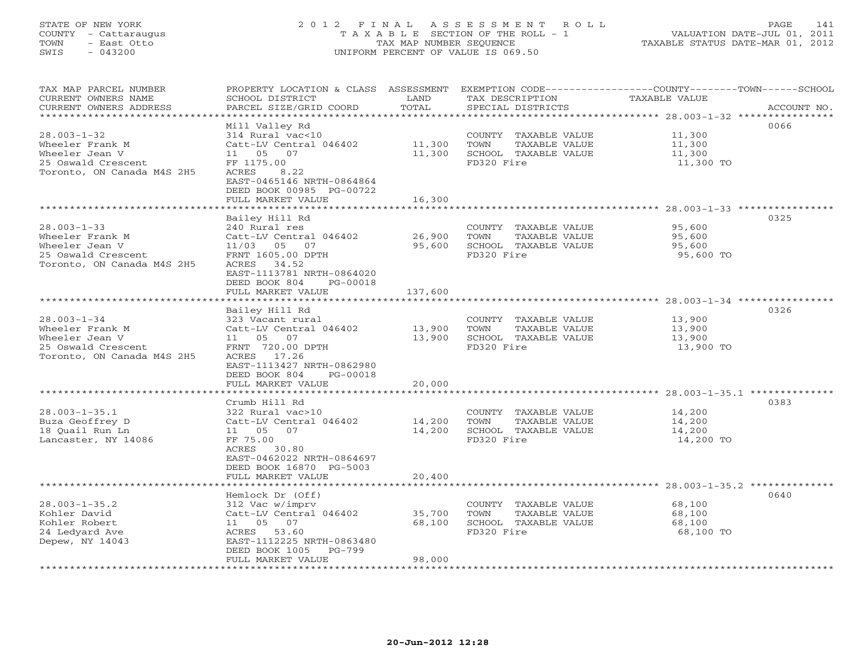# STATE OF NEW YORK 2 0 1 2 F I N A L A S S E S S M E N T R O L L PAGE 141 COUNTY - Cattaraugus T A X A B L E SECTION OF THE ROLL - 1 VALUATION DATE-JUL 01, 2011 TOWN - East Otto TAX MAP NUMBER SEQUENCE TAXABLE STATUS DATE-MAR 01, 2012 SWIS - 043200 UNIFORM PERCENT OF VALUE IS 069.50UNIFORM PERCENT OF VALUE IS 069.50

| TAX MAP PARCEL NUMBER<br>CURRENT OWNERS NAME<br>CURRENT OWNERS ADDRESS                                     | PROPERTY LOCATION & CLASS ASSESSMENT<br>SCHOOL DISTRICT<br>PARCEL SIZE/GRID COORD                                                                                          | LAND<br>TOTAL              | EXEMPTION CODE-----------------COUNTY-------TOWN------SCHOOL<br>TAX DESCRIPTION<br>SPECIAL DISTRICTS | <b>TAXABLE VALUE</b>                                             | ACCOUNT NO.   |
|------------------------------------------------------------------------------------------------------------|----------------------------------------------------------------------------------------------------------------------------------------------------------------------------|----------------------------|------------------------------------------------------------------------------------------------------|------------------------------------------------------------------|---------------|
|                                                                                                            |                                                                                                                                                                            | * * * * * * * *            | ************************************** 28.003-1-32 ****                                              |                                                                  | <b>++++++</b> |
| $28.003 - 1 - 32$<br>Wheeler Frank M<br>Wheeler Jean V<br>25 Oswald Crescent<br>Toronto, ON Canada M4S 2H5 | Mill Valley Rd<br>314 Rural vac<10<br>Catt-LV Central 046402<br>11 05<br>07<br>FF 1175.00<br>ACRES<br>8.22<br>EAST-0465146 NRTH-0864864                                    | 11,300<br>11,300           | COUNTY TAXABLE VALUE<br>TOWN<br>TAXABLE VALUE<br>SCHOOL TAXABLE VALUE<br>FD320 Fire                  | 11,300<br>11,300<br>11,300<br>11,300 TO                          | 0066          |
|                                                                                                            | DEED BOOK 00985 PG-00722<br>FULL MARKET VALUE                                                                                                                              | 16,300                     |                                                                                                      | ******************************* 28.003-1-33 *************        |               |
|                                                                                                            | Bailey Hill Rd                                                                                                                                                             |                            |                                                                                                      |                                                                  | 0325          |
| $28.003 - 1 - 33$<br>Wheeler Frank M<br>Wheeler Jean V<br>25 Oswald Crescent<br>Toronto, ON Canada M4S 2H5 | 240 Rural res<br>Catt-LV Central 046402<br>$11/03$ 05<br>07<br>FRNT 1605.00 DPTH<br>ACRES<br>34.52                                                                         | 26,900<br>95,600           | COUNTY TAXABLE VALUE<br>TOWN<br>TAXABLE VALUE<br>SCHOOL TAXABLE VALUE<br>FD320 Fire                  | 95,600<br>95,600<br>95,600<br>95,600 TO                          |               |
|                                                                                                            | EAST-1113781 NRTH-0864020<br>DEED BOOK 804<br>PG-00018<br>FULL MARKET VALUE                                                                                                | 137,600                    |                                                                                                      |                                                                  |               |
|                                                                                                            |                                                                                                                                                                            | ***********                |                                                                                                      | *********************************** 28.003-1-34 **************** |               |
| $28.003 - 1 - 34$<br>Wheeler Frank M<br>Wheeler Jean V<br>25 Oswald Crescent<br>Toronto, ON Canada M4S 2H5 | Bailey Hill Rd<br>323 Vacant rural<br>Catt-LV Central 046402<br>11 05<br>07<br>FRNT 720.00 DPTH<br>ACRES 17.26<br>EAST-1113427 NRTH-0862980<br>DEED BOOK 804<br>$PG-00018$ | 13,900<br>13,900           | COUNTY TAXABLE VALUE<br>TOWN<br>TAXABLE VALUE<br>SCHOOL TAXABLE VALUE<br>FD320 Fire                  | 13,900<br>13,900<br>13,900<br>13,900 TO                          | 0326          |
|                                                                                                            | FULL MARKET VALUE                                                                                                                                                          | 20,000                     |                                                                                                      |                                                                  |               |
|                                                                                                            | Crumb Hill Rd                                                                                                                                                              |                            |                                                                                                      |                                                                  | 0383          |
| $28.003 - 1 - 35.1$<br>Buza Geoffrey D<br>18 Ouail Run Ln<br>Lancaster, NY 14086                           | 322 Rural vac>10<br>Catt-LV Central 046402<br>11 05<br>07<br>FF 75.00<br>ACRES 30.80<br>EAST-0462022 NRTH-0864697<br>DEED BOOK 16870 PG-5003<br>FULL MARKET VALUE          | 14,200<br>14,200<br>20,400 | COUNTY TAXABLE VALUE<br>TOWN<br>TAXABLE VALUE<br>SCHOOL TAXABLE VALUE<br>FD320 Fire                  | 14,200<br>14,200<br>14,200<br>14,200 TO                          |               |
|                                                                                                            |                                                                                                                                                                            |                            |                                                                                                      | ************************* 28.003-1-35.2 **************           |               |
| $28.003 - 1 - 35.2$<br>Kohler David<br>Kohler Robert<br>24 Ledyard Ave<br>Depew, NY 14043                  | Hemlock Dr (Off)<br>312 Vac w/imprv<br>Catt-LV Central 046402<br>11  05  07<br>ACRES 53.60<br>EAST-1112225 NRTH-0863480<br>DEED BOOK 1005<br>PG-799                        | 35,700<br>68,100           | COUNTY TAXABLE VALUE<br>TOWN<br>TAXABLE VALUE<br>SCHOOL TAXABLE VALUE<br>FD320 Fire                  | 68,100<br>68,100<br>68,100<br>68,100 TO                          | 0640          |
|                                                                                                            | FULL MARKET VALUE<br>* * * * * * * * * * * * * * * * * *                                                                                                                   | 98,000                     |                                                                                                      |                                                                  |               |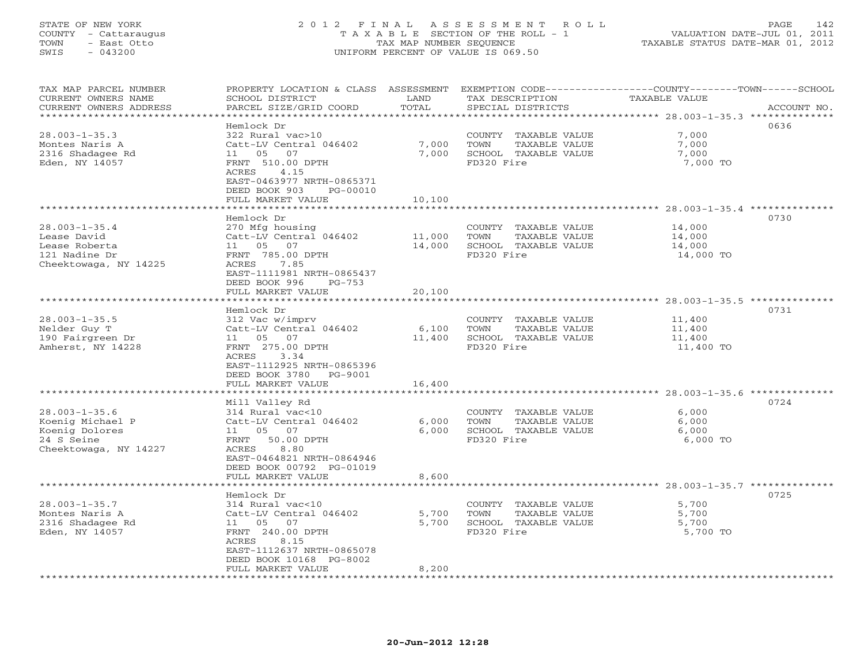# STATE OF NEW YORK 2 0 1 2 F I N A L A S S E S S M E N T R O L L PAGE 142 COUNTY - Cattaraugus T A X A B L E SECTION OF THE ROLL - 1 VALUATION DATE-JUL 01, 2011 TOWN - East Otto TAX MAP NUMBER SEQUENCE TAXABLE STATUS DATE-MAR 01, 2012 SWIS - 043200 UNIFORM PERCENT OF VALUE IS 069.50UNIFORM PERCENT OF VALUE IS 069.50

| ****************<br>***********<br>************************************* 28.003-1-35.3 **************<br>Hemlock Dr<br>0636<br>$28.003 - 1 - 35.3$<br>322 Rural vac>10<br>7,000<br>COUNTY TAXABLE VALUE | ACCOUNT NO. |
|---------------------------------------------------------------------------------------------------------------------------------------------------------------------------------------------------------|-------------|
|                                                                                                                                                                                                         |             |
|                                                                                                                                                                                                         |             |
|                                                                                                                                                                                                         |             |
| 7,000<br>7,000<br>Montes Naris A<br>Catt-LV Central 046402<br>TOWN<br>TAXABLE VALUE                                                                                                                     |             |
| 2316 Shadagee Rd<br>05<br>7,000<br>SCHOOL TAXABLE VALUE<br>7,000<br>11<br>07                                                                                                                            |             |
| Eden, NY 14057<br>FD320 Fire<br>FRNT 510.00 DPTH<br>7,000 TO                                                                                                                                            |             |
| ACRES<br>4.15                                                                                                                                                                                           |             |
| EAST-0463977 NRTH-0865371                                                                                                                                                                               |             |
| DEED BOOK 903<br>PG-00010                                                                                                                                                                               |             |
| FULL MARKET VALUE<br>10,100                                                                                                                                                                             |             |
| $28.003 - 1 - 35.4$ **************<br>* * * * * * * * * * * * * * * * * *                                                                                                                               |             |
| 0730<br>Hemlock Dr                                                                                                                                                                                      |             |
| $28.003 - 1 - 35.4$<br>14,000<br>270 Mfg housing<br>COUNTY<br>TAXABLE VALUE                                                                                                                             |             |
| Lease David<br>Catt-LV Central 046402<br>11,000<br>14,000<br>TOWN<br>TAXABLE VALUE                                                                                                                      |             |
| Lease Roberta<br>05<br>07<br>14,000<br>SCHOOL TAXABLE VALUE<br>11<br>14,000                                                                                                                             |             |
| FRNT 785.00 DPTH<br>FD320 Fire<br>121 Nadine Dr<br>14,000 TO                                                                                                                                            |             |
| Cheektowaga, NY 14225<br>ACRES<br>7.85                                                                                                                                                                  |             |
| EAST-1111981 NRTH-0865437                                                                                                                                                                               |             |
| DEED BOOK 996<br>$PG-753$                                                                                                                                                                               |             |
| FULL MARKET VALUE<br>20,100                                                                                                                                                                             |             |
| 28.003-1-35.5 **************<br>* * * * * * * * * *                                                                                                                                                     |             |
| 0731<br>Hemlock Dr                                                                                                                                                                                      |             |
| $28.003 - 1 - 35.5$<br>312 Vac w/imprv<br>COUNTY TAXABLE VALUE<br>11,400                                                                                                                                |             |
| Nelder Guy T<br>Catt-LV Central 046402<br>6,100<br>TOWN<br>TAXABLE VALUE<br>11,400                                                                                                                      |             |
| 190 Fairgreen Dr<br>05<br>07<br>11,400<br>SCHOOL TAXABLE VALUE<br>11<br>11,400                                                                                                                          |             |
| FRNT 275.00 DPTH<br>Amherst, NY 14228<br>FD320 Fire<br>11,400 TO                                                                                                                                        |             |
| 3.34<br>ACRES                                                                                                                                                                                           |             |
| EAST-1112925 NRTH-0865396                                                                                                                                                                               |             |
| DEED BOOK 3780<br>PG-9001                                                                                                                                                                               |             |
| FULL MARKET VALUE<br>16,400                                                                                                                                                                             |             |
|                                                                                                                                                                                                         |             |
| 0724<br>Mill Valley Rd                                                                                                                                                                                  |             |
| $28.003 - 1 - 35.6$<br>314 Rural vac<10<br>6,000<br>COUNTY TAXABLE VALUE                                                                                                                                |             |
| Koenig Michael P<br>Catt-LV Central 046402<br>6,000<br>TOWN<br>TAXABLE VALUE<br>6,000                                                                                                                   |             |
| Koenig Dolores<br>6,000<br>SCHOOL TAXABLE VALUE<br>6,000<br>11<br>05<br>07                                                                                                                              |             |
| 24 S Seine<br>50.00 DPTH<br>FD320 Fire<br>6,000 TO<br>FRNT                                                                                                                                              |             |
| 8.80<br>Cheektowaga, NY 14227<br>ACRES                                                                                                                                                                  |             |
| EAST-0464821 NRTH-0864946                                                                                                                                                                               |             |
| DEED BOOK 00792 PG-01019                                                                                                                                                                                |             |
| FULL MARKET VALUE<br>8,600                                                                                                                                                                              |             |
|                                                                                                                                                                                                         |             |
| 0725<br>Hemlock Dr                                                                                                                                                                                      |             |
| $28.003 - 1 - 35.7$<br>314 Rural vac<10<br>COUNTY TAXABLE VALUE<br>5,700                                                                                                                                |             |
| Montes Naris A<br>Catt-LV Central 046402<br>5,700<br>TOWN<br>TAXABLE VALUE<br>5,700                                                                                                                     |             |
| 5,700<br>SCHOOL TAXABLE VALUE<br>2316 Shadagee Rd<br>05<br>07<br>5,700<br>11                                                                                                                            |             |
| FD320 Fire<br>Eden, NY 14057<br>FRNT 240.00 DPTH<br>5,700 TO                                                                                                                                            |             |
| ACRES<br>8.15                                                                                                                                                                                           |             |
| EAST-1112637 NRTH-0865078                                                                                                                                                                               |             |
| DEED BOOK 10168 PG-8002                                                                                                                                                                                 |             |
| FULL MARKET VALUE<br>8,200<br>*********************                                                                                                                                                     |             |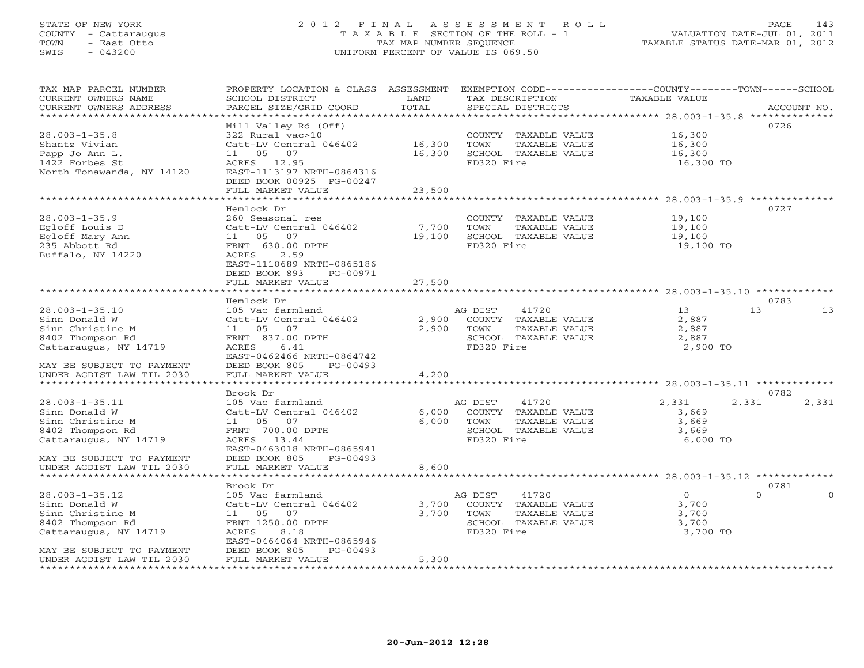# STATE OF NEW YORK 2 0 1 2 F I N A L A S S E S S M E N T R O L L PAGE 143 COUNTY - Cattaraugus T A X A B L E SECTION OF THE ROLL - 1 VALUATION DATE-JUL 01, 2011 TOWN - East Otto TAX MAP NUMBER SEQUENCE TAXABLE STATUS DATE-MAR 01, 2012 SWIS - 043200 UNIFORM PERCENT OF VALUE IS 069.50UNIFORM PERCENT OF VALUE IS 069.50

| TAX MAP PARCEL NUMBER<br>CURRENT OWNERS NAME<br>CURRENT OWNERS ADDRESS                                                                                                                       | PROPERTY LOCATION & CLASS ASSESSMENT<br>SCHOOL DISTRICT<br>PARCEL SIZE/GRID COORD                                                                                                                                      | LAND<br>TOTAL                            | TAX DESCRIPTION<br>SPECIAL DISTRICTS                                                                    | EXEMPTION CODE-----------------COUNTY-------TOWN------SCHOOL<br>TAXABLE VALUE                                        | ACCOUNT NO.                  |
|----------------------------------------------------------------------------------------------------------------------------------------------------------------------------------------------|------------------------------------------------------------------------------------------------------------------------------------------------------------------------------------------------------------------------|------------------------------------------|---------------------------------------------------------------------------------------------------------|----------------------------------------------------------------------------------------------------------------------|------------------------------|
| *********************<br>$28.003 - 1 - 35.8$<br>Shantz Vivian<br>Papp Jo Ann L.<br>1422 Forbes St<br>North Tonawanda, NY 14120                                                               | Mill Valley Rd (Off)<br>322 Rural vac>10<br>Catt-LV Central 046402<br>05<br>07<br>11<br>ACRES 12.95<br>EAST-1113197 NRTH-0864316<br>DEED BOOK 00925 PG-00247<br>FULL MARKET VALUE                                      | 16,300<br>16,300<br>23,500               | COUNTY TAXABLE VALUE<br>TOWN<br>TAXABLE VALUE<br>SCHOOL TAXABLE VALUE<br>FD320 Fire                     | 16,300<br>16,300<br>16,300<br>16,300 TO                                                                              | 0726                         |
| $28.003 - 1 - 35.9$<br>Eqloff Louis D<br>Egloff Mary Ann<br>235 Abbott Rd<br>Buffalo, NY 14220                                                                                               | Hemlock Dr<br>260 Seasonal res<br>Catt-LV Central 046402<br>11 05 07<br>FRNT 630.00 DPTH<br>ACRES<br>2.59<br>EAST-1110689 NRTH-0865186<br>DEED BOOK 893<br>PG-00971<br>FULL MARKET VALUE                               | 7,700<br>19,100<br>27,500                | COUNTY TAXABLE VALUE<br>TOWN<br>TAXABLE VALUE<br>SCHOOL TAXABLE VALUE<br>FD320 Fire                     | ******************* 28.003-1-35.9 ************<br>19,100<br>19,100<br>19,100<br>19,100 TO                            | 0727                         |
| $28.003 - 1 - 35.10$<br>Sinn Donald W<br>Sinn Christine M<br>8402 Thompson Rd<br>Cattaraugus, NY 14719<br>MAY BE SUBJECT TO PAYMENT<br>UNDER AGDIST LAW TIL 2030                             | Hemlock Dr<br>105 Vac farmland<br>Catt-LV Central 046402<br>11 05 07<br>FRNT 837.00 DPTH<br>ACRES<br>6.41<br>EAST-0462466 NRTH-0864742<br>DEED BOOK 805<br>$PG-00493$<br>FULL MARKET VALUE                             | 2,900<br>2,900<br>4,200                  | 41720<br>AG DIST<br>COUNTY TAXABLE VALUE<br>TOWN<br>TAXABLE VALUE<br>SCHOOL TAXABLE VALUE<br>FD320 Fire | 13<br>2,887<br>2,887<br>2,887<br>2,900 TO                                                                            | 0783<br>13<br>13             |
| $28.003 - 1 - 35.11$<br>Sinn Donald W<br>Sinn Christine M<br>8402 Thompson Rd<br>Cattaraugus, NY 14719<br>MAY BE SUBJECT TO PAYMENT<br>UNDER AGDIST LAW TIL 2030                             | ******************<br>Brook Dr<br>105 Vac farmland<br>Catt-LV Central 046402<br>11 05 07<br>FRNT 700.00 DPTH<br>ACRES 13.44<br>EAST-0463018 NRTH-0865941<br>DEED BOOK 805<br>$PG-00493$<br>FULL MARKET VALUE           | 6,000<br>6,000<br>8,600                  | AG DIST<br>41720<br>COUNTY TAXABLE VALUE<br>TOWN<br>TAXABLE VALUE<br>SCHOOL TAXABLE VALUE<br>FD320 Fire | ************************************** 28.003-1-35.11 **************<br>2,331<br>3,669<br>3,669<br>3,669<br>6,000 TO | 0782<br>2,331<br>2,331       |
| $28.003 - 1 - 35.12$<br>Sinn Donald W<br>Sinn Christine M<br>8402 Thompson Rd<br>Cattaraugus, NY 14719<br>MAY BE SUBJECT TO PAYMENT<br>UNDER AGDIST LAW TIL 2030<br>************************ | Brook Dr<br>105 Vac farmland<br>Catt-LV Central 046402<br>11 05<br>07<br>FRNT 1250.00 DPTH<br>ACRES<br>8.18<br>EAST-0464064 NRTH-0865946<br>DEED BOOK 805<br>PG-00493<br>FULL MARKET VALUE<br>************************ | 3,700<br>3,700<br>5,300<br>************* | AG DIST<br>41720<br>COUNTY TAXABLE VALUE<br>TOWN<br>TAXABLE VALUE<br>SCHOOL TAXABLE VALUE<br>FD320 Fire | $\circ$<br>3,700<br>3,700<br>3,700<br>3,700 TO                                                                       | 0781<br>$\Omega$<br>$\Omega$ |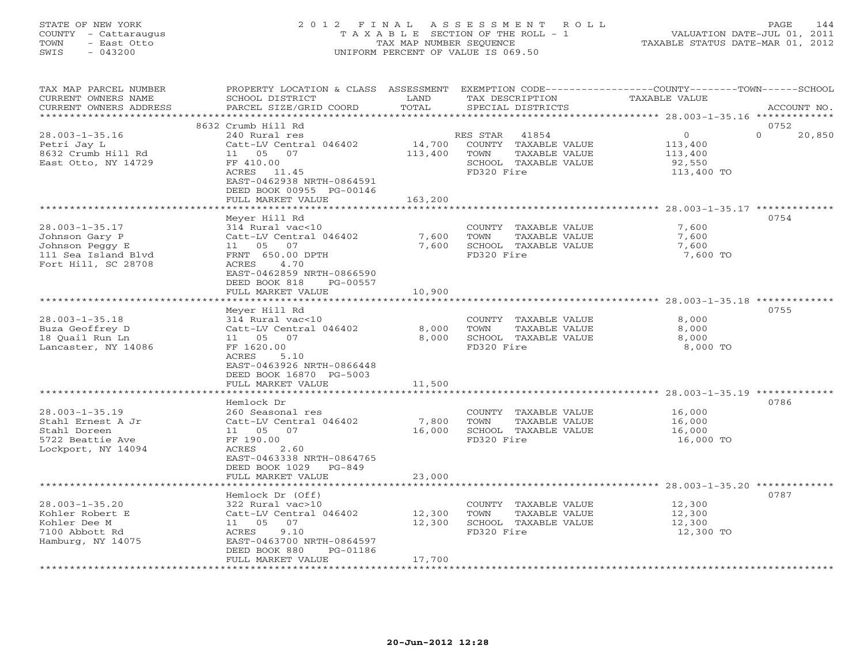# STATE OF NEW YORK 2 0 1 2 F I N A L A S S E S S M E N T R O L L PAGE 144 COUNTY - Cattaraugus T A X A B L E SECTION OF THE ROLL - 1 VALUATION DATE-JUL 01, 2011 TOWN - East Otto TAX MAP NUMBER SEQUENCE TAXABLE STATUS DATE-MAR 01, 2012 SWIS - 043200 UNIFORM PERCENT OF VALUE IS 069.50UNIFORM PERCENT OF VALUE IS 069.50

| TAX MAP PARCEL NUMBER         | PROPERTY LOCATION & CLASS ASSESSMENT EXEMPTION CODE----------------COUNTY-------TOWN------SCHOOL |         |                       |                |                    |
|-------------------------------|--------------------------------------------------------------------------------------------------|---------|-----------------------|----------------|--------------------|
| CURRENT OWNERS NAME           | SCHOOL DISTRICT                                                                                  | LAND    | TAX DESCRIPTION       | TAXABLE VALUE  |                    |
| CURRENT OWNERS ADDRESS        | PARCEL SIZE/GRID COORD                                                                           | TOTAL   | SPECIAL DISTRICTS     |                | ACCOUNT NO.        |
|                               |                                                                                                  |         |                       |                |                    |
|                               |                                                                                                  |         |                       |                | 0752               |
|                               | 8632 Crumb Hill Rd                                                                               |         |                       |                |                    |
| $28.003 - 1 - 35.16$          | 240 Rural res                                                                                    |         | RES STAR<br>41854     | $\overline{0}$ | $\Omega$<br>20,850 |
| Petri Jay L                   | Catt-LV Central 046402                                                                           | 14,700  | COUNTY TAXABLE VALUE  | 113,400        |                    |
| 8632 Crumb Hill Rd            | 11 05 07                                                                                         | 113,400 | TOWN<br>TAXABLE VALUE | 113,400        |                    |
| East Otto, NY 14729           | FF 410.00                                                                                        |         | SCHOOL TAXABLE VALUE  | 92,550         |                    |
|                               | ACRES 11.45                                                                                      |         | FD320 Fire            | 113,400 TO     |                    |
|                               | EAST-0462938 NRTH-0864591                                                                        |         |                       |                |                    |
|                               | DEED BOOK 00955 PG-00146                                                                         |         |                       |                |                    |
|                               |                                                                                                  |         |                       |                |                    |
|                               | FULL MARKET VALUE                                                                                | 163,200 |                       |                |                    |
|                               |                                                                                                  |         |                       |                |                    |
|                               | Meyer Hill Rd                                                                                    |         |                       |                | 0754               |
| $28.003 - 1 - 35.17$          | 314 Rural vac<10                                                                                 |         | COUNTY TAXABLE VALUE  | 7,600          |                    |
| Johnson Gary P                | Catt-LV Central 046402                                                                           | 7,600   | TOWN<br>TAXABLE VALUE | 7,600          |                    |
| Johnson Peggy E               | 11  05  07                                                                                       | 7,600   | SCHOOL TAXABLE VALUE  | 7,600          |                    |
| 111 Sea Island Blvd           | FRNT 650.00 DPTH                                                                                 |         | FD320 Fire            | 7,600 TO       |                    |
|                               |                                                                                                  |         |                       |                |                    |
| Fort Hill, SC 28708           | ACRES<br>4.70                                                                                    |         |                       |                |                    |
|                               | EAST-0462859 NRTH-0866590                                                                        |         |                       |                |                    |
|                               | DEED BOOK 818<br>PG-00557                                                                        |         |                       |                |                    |
|                               | FULL MARKET VALUE                                                                                | 10,900  |                       |                |                    |
|                               |                                                                                                  |         |                       |                |                    |
|                               | Meyer Hill Rd                                                                                    |         |                       |                | 0755               |
| $28.003 - 1 - 35.18$          | 314 Rural vac<10                                                                                 |         | COUNTY TAXABLE VALUE  | 8,000          |                    |
|                               |                                                                                                  |         |                       |                |                    |
| Buza Geoffrey D               | Catt-LV Central 046402                                                                           | 8,000   | TOWN<br>TAXABLE VALUE | 8,000          |                    |
| 18 Quail Run Ln               |                                                                                                  | 8,000   | SCHOOL TAXABLE VALUE  | 8,000          |                    |
| Lancaster, NY 14086           | FF 1620.00                                                                                       |         | FD320 Fire            | 8,000 TO       |                    |
|                               | ACRES<br>5.10                                                                                    |         |                       |                |                    |
|                               | EAST-0463926 NRTH-0866448                                                                        |         |                       |                |                    |
|                               | DEED BOOK 16870 PG-5003                                                                          |         |                       |                |                    |
|                               | FULL MARKET VALUE                                                                                | 11,500  |                       |                |                    |
|                               |                                                                                                  |         |                       |                |                    |
|                               |                                                                                                  |         |                       |                | 0786               |
|                               | Hemlock Dr                                                                                       |         |                       |                |                    |
| $28.003 - 1 - 35.19$          | 260 Seasonal res                                                                                 |         | COUNTY TAXABLE VALUE  | 16,000         |                    |
| Stahl Ernest A Jr             | Catt-LV Central 046402                                                                           | 7,800   | TOWN<br>TAXABLE VALUE | 16,000         |                    |
| Stahl Doreen                  |                                                                                                  | 16,000  | SCHOOL TAXABLE VALUE  | 16,000         |                    |
| 5722 Beattie Ave              | FF 190.00                                                                                        |         | FD320 Fire            | 16,000 TO      |                    |
| Lockport, NY 14094            | ACRES<br>2.60                                                                                    |         |                       |                |                    |
|                               | EAST-0463338 NRTH-0864765                                                                        |         |                       |                |                    |
|                               | DEED BOOK 1029<br>$PG-849$                                                                       |         |                       |                |                    |
|                               |                                                                                                  |         |                       |                |                    |
|                               | FULL MARKET VALUE                                                                                | 23,000  |                       |                |                    |
| ***************************** |                                                                                                  |         |                       |                |                    |
|                               | Hemlock Dr (Off)                                                                                 |         |                       |                | 0787               |
| $28.003 - 1 - 35.20$          | 322 Rural vac>10                                                                                 |         | COUNTY TAXABLE VALUE  | 12,300         |                    |
| Kohler Robert E               | Catt-LV Central 046402                                                                           | 12,300  | TAXABLE VALUE<br>TOWN | 12,300         |                    |
| Kohler Dee M                  | 11  05  07                                                                                       | 12,300  | SCHOOL TAXABLE VALUE  | 12,300         |                    |
| 7100 Abbott Rd                | ACRES<br>9.10                                                                                    |         | FD320 Fire            | 12,300 TO      |                    |
|                               |                                                                                                  |         |                       |                |                    |
| Hamburg, NY 14075             | EAST-0463700 NRTH-0864597                                                                        |         |                       |                |                    |
|                               | DEED BOOK 880<br>PG-01186                                                                        |         |                       |                |                    |
|                               | FULL MARKET VALUE                                                                                | 17,700  |                       |                |                    |
|                               |                                                                                                  |         |                       |                |                    |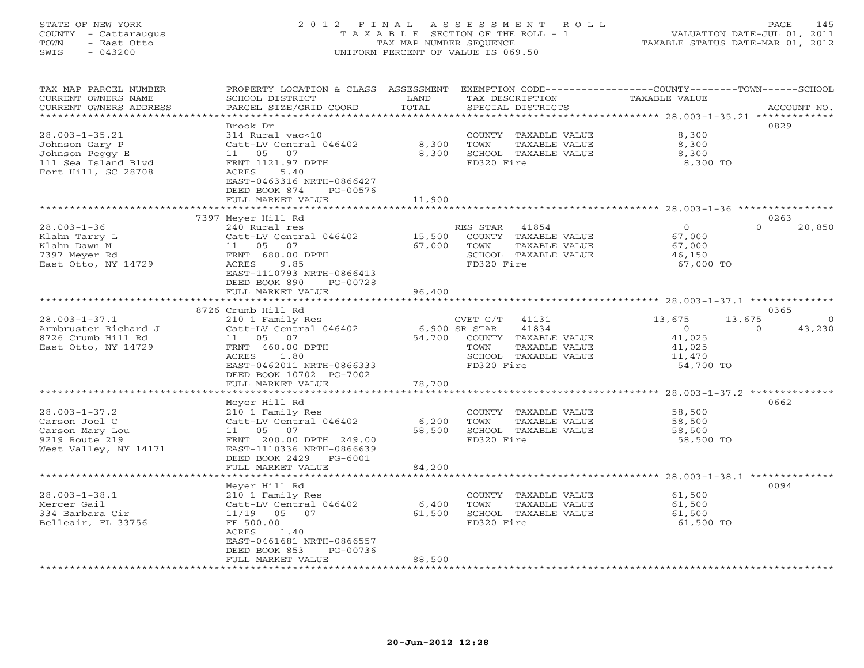## STATE OF NEW YORK 2 0 1 2 F I N A L A S S E S S M E N T R O L L PAGE 145 COUNTY - Cattaraugus T A X A B L E SECTION OF THE ROLL - 1 VALUATION DATE-JUL 01, 2011 TOWN - East Otto TAX MAP NUMBER SEQUENCE TAXABLE STATUS DATE-MAR 01, 2012 SWIS - 043200 UNIFORM PERCENT OF VALUE IS 069.50UNIFORM PERCENT OF VALUE IS 069.50

| TAX MAP PARCEL NUMBER<br>CURRENT OWNERS NAME<br>CURRENT OWNERS ADDRESS<br>********************          | PROPERTY LOCATION & CLASS ASSESSMENT<br>SCHOOL DISTRICT<br>PARCEL SIZE/GRID COORD<br>*******************                                                                                     | LAND<br>TOTAL             | TAX DESCRIPTION<br>SPECIAL DISTRICTS                                                                                               | EXEMPTION CODE-----------------COUNTY-------TOWN------SCHOOL<br>TAXABLE VALUE | ACCOUNT NO.                |
|---------------------------------------------------------------------------------------------------------|----------------------------------------------------------------------------------------------------------------------------------------------------------------------------------------------|---------------------------|------------------------------------------------------------------------------------------------------------------------------------|-------------------------------------------------------------------------------|----------------------------|
| $28.003 - 1 - 35.21$<br>Johnson Gary P<br>Johnson Peggy E<br>111 Sea Island Blvd<br>Fort Hill, SC 28708 | Brook Dr<br>314 Rural vac<10<br>Catt-LV Central 046402<br>11 05<br>07<br>FRNT 1121.97 DPTH<br>ACRES<br>5.40<br>EAST-0463316 NRTH-0866427<br>DEED BOOK 874<br>PG-00576<br>FULL MARKET VALUE   | 8,300<br>8,300<br>11,900  | COUNTY TAXABLE VALUE<br>TOWN<br>TAXABLE VALUE<br>SCHOOL TAXABLE VALUE<br>FD320 Fire                                                | 8,300<br>8,300<br>8,300<br>8,300 TO                                           | 0829                       |
|                                                                                                         |                                                                                                                                                                                              |                           |                                                                                                                                    |                                                                               |                            |
| $28.003 - 1 - 36$<br>Klahn Tarry L<br>Klahn Dawn M<br>7397 Meyer Rd<br>East Otto, NY 14729              | 7397 Meyer Hill Rd<br>240 Rural res<br>Catt-LV Central 046402<br>11 05<br>07<br>FRNT 680.00 DPTH<br>ACRES<br>9.85<br>EAST-1110793 NRTH-0866413<br>DEED BOOK 890<br>PG-00728                  | 15,500<br>67,000          | RES STAR<br>41854<br>COUNTY TAXABLE VALUE<br>TAXABLE VALUE<br>TOWN<br>SCHOOL TAXABLE VALUE<br>FD320 Fire                           | $\circ$<br>67,000<br>67,000<br>46,150<br>67,000 TO                            | 0263<br>$\Omega$<br>20,850 |
|                                                                                                         | FULL MARKET VALUE                                                                                                                                                                            | 96,400                    |                                                                                                                                    |                                                                               |                            |
|                                                                                                         |                                                                                                                                                                                              |                           |                                                                                                                                    |                                                                               |                            |
| $28.003 - 1 - 37.1$<br>Armbruster Richard J<br>8726 Crumb Hill Rd<br>East Otto, NY 14729                | 8726 Crumb Hill Rd<br>210 1 Family Res<br>Catt-LV Central 046402<br>11 05<br>07<br>FRNT 460.00 DPTH<br>ACRES<br>1.80<br>EAST-0462011 NRTH-0866333<br>DEED BOOK 10702 PG-7002                 | 54,700                    | CVET C/T<br>41131<br>41834<br>6,900 SR STAR<br>COUNTY TAXABLE VALUE<br>TAXABLE VALUE<br>TOWN<br>SCHOOL TAXABLE VALUE<br>FD320 Fire | 13,675<br>13,675<br>$\circ$<br>41,025<br>41,025<br>11,470<br>54,700 TO        | 0365<br>$\circ$<br>43,230  |
|                                                                                                         | FULL MARKET VALUE                                                                                                                                                                            | 78,700                    |                                                                                                                                    |                                                                               |                            |
| $28.003 - 1 - 37.2$<br>Carson Joel C<br>Carson Mary Lou<br>9219 Route 219<br>West Valley, NY 14171      | Meyer Hill Rd<br>210 1 Family Res<br>Catt-LV Central 046402<br>07<br>11 05<br>FRNT 200.00 DPTH 249.00<br>EAST-1110336 NRTH-0866639<br>DEED BOOK 2429<br>PG-6001<br>FULL MARKET VALUE         | 6,200<br>58,500<br>84,200 | COUNTY TAXABLE VALUE<br>TOWN<br>TAXABLE VALUE<br>SCHOOL TAXABLE VALUE<br>FD320 Fire                                                | $28.003 - 1 - 37.2$ **************<br>58,500<br>58,500<br>58,500<br>58,500 TO | 0662                       |
|                                                                                                         | ********************                                                                                                                                                                         |                           |                                                                                                                                    |                                                                               |                            |
| $28.003 - 1 - 38.1$<br>Mercer Gail<br>334 Barbara Cir<br>Belleair, FL 33756                             | Meyer Hill Rd<br>210 1 Family Res<br>Catt-LV Central 046402<br>$11/19$ 05<br>07<br>FF 500.00<br>1.40<br>ACRES<br>EAST-0461681 NRTH-0866557<br>DEED BOOK 853<br>PG-00736<br>FULL MARKET VALUE | 6,400<br>61,500<br>88,500 | COUNTY TAXABLE VALUE<br>TOWN<br>TAXABLE VALUE<br>SCHOOL TAXABLE VALUE<br>FD320 Fire                                                | 61,500<br>61,500<br>61,500<br>61,500 TO                                       | 0094                       |
|                                                                                                         |                                                                                                                                                                                              |                           |                                                                                                                                    |                                                                               |                            |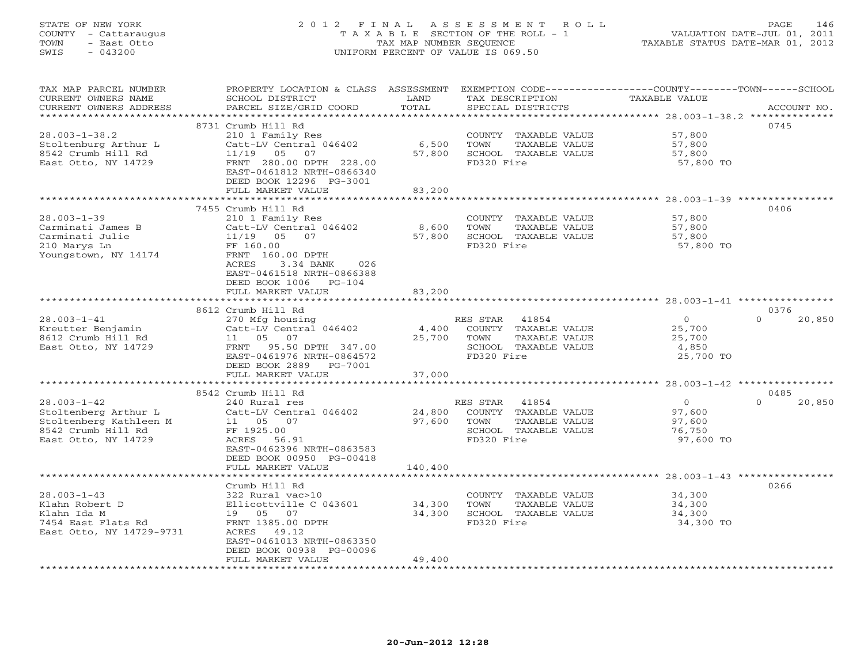## STATE OF NEW YORK 2 0 1 2 F I N A L A S S E S S M E N T R O L L PAGE 146 COUNTY - Cattaraugus T A X A B L E SECTION OF THE ROLL - 1 VALUATION DATE-JUL 01, 2011 TOWN - East Otto TAX MAP NUMBER SEQUENCE TAXABLE STATUS DATE-MAR 01, 2012 SWIS - 043200 UNIFORM PERCENT OF VALUE IS 069.50UNIFORM PERCENT OF VALUE IS 069.50

| TAX MAP PARCEL NUMBER<br>CURRENT OWNERS NAME<br>CURRENT OWNERS ADDRESS | PROPERTY LOCATION & CLASS ASSESSMENT<br>SCHOOL DISTRICT<br>PARCEL SIZE/GRID COORD | LAND<br>TOTAL | TAX DESCRIPTION<br>SPECIAL DISTRICTS | EXEMPTION CODE----------------COUNTY-------TOWN------SCHOOL<br><b>TAXABLE VALUE</b> | ACCOUNT NO.        |
|------------------------------------------------------------------------|-----------------------------------------------------------------------------------|---------------|--------------------------------------|-------------------------------------------------------------------------------------|--------------------|
| *********************                                                  |                                                                                   |               |                                      |                                                                                     |                    |
| $28.003 - 1 - 38.2$                                                    | 8731 Crumb Hill Rd<br>210 1 Family Res                                            |               | COUNTY TAXABLE VALUE                 | 57,800                                                                              | 0745               |
| Stoltenburg Arthur L                                                   | Catt-LV Central 046402                                                            | 6,500         | TOWN<br>TAXABLE VALUE                | 57,800                                                                              |                    |
| 8542 Crumb Hill Rd                                                     | $11/19$ 05<br>07                                                                  | 57,800        | SCHOOL TAXABLE VALUE                 | 57,800                                                                              |                    |
| East Otto, NY 14729                                                    | FRNT 280.00 DPTH 228.00                                                           |               | FD320 Fire                           | 57,800 TO                                                                           |                    |
|                                                                        | EAST-0461812 NRTH-0866340                                                         |               |                                      |                                                                                     |                    |
|                                                                        | DEED BOOK 12296 PG-3001                                                           |               |                                      |                                                                                     |                    |
|                                                                        | FULL MARKET VALUE                                                                 | 83,200        |                                      |                                                                                     |                    |
|                                                                        |                                                                                   |               |                                      |                                                                                     |                    |
|                                                                        | 7455 Crumb Hill Rd                                                                |               |                                      |                                                                                     | 0406               |
| $28.003 - 1 - 39$                                                      | 210 1 Family Res                                                                  |               | COUNTY TAXABLE VALUE                 | 57,800                                                                              |                    |
| Carminati James B                                                      | Catt-LV Central 046402                                                            | 8,600         | TOWN<br>TAXABLE VALUE                | 57,800                                                                              |                    |
| Carminati Julie                                                        | $11/19$ 05<br>07<br>FF 160.00                                                     | 57,800        | SCHOOL TAXABLE VALUE<br>FD320 Fire   | 57,800                                                                              |                    |
| 210 Marys Ln<br>Youngstown, NY 14174                                   | FRNT 160.00 DPTH                                                                  |               |                                      | 57,800 TO                                                                           |                    |
|                                                                        | ACRES<br>3.34 BANK<br>026                                                         |               |                                      |                                                                                     |                    |
|                                                                        | EAST-0461518 NRTH-0866388                                                         |               |                                      |                                                                                     |                    |
|                                                                        | DEED BOOK 1006 PG-104                                                             |               |                                      |                                                                                     |                    |
|                                                                        | FULL MARKET VALUE                                                                 | 83,200        |                                      |                                                                                     |                    |
|                                                                        |                                                                                   |               |                                      |                                                                                     |                    |
|                                                                        | 8612 Crumb Hill Rd                                                                |               |                                      |                                                                                     | 0376               |
| $28.003 - 1 - 41$                                                      | 270 Mfg housing                                                                   |               | RES STAR<br>41854                    | $\overline{0}$                                                                      | $\Omega$<br>20,850 |
| Kreutter Benjamin                                                      | Catt-LV Central 046402                                                            | 4,400         | COUNTY TAXABLE VALUE                 | 25,700                                                                              |                    |
| 8612 Crumb Hill Rd                                                     | 11  05  07                                                                        | 25,700        | TOWN<br>TAXABLE VALUE                | 25,700                                                                              |                    |
| East Otto, NY 14729                                                    | FRNT 95.50 DPTH 347.00                                                            |               | SCHOOL TAXABLE VALUE                 | 4,850                                                                               |                    |
|                                                                        | EAST-0461976 NRTH-0864572                                                         |               | FD320 Fire                           | 25,700 TO                                                                           |                    |
|                                                                        | DEED BOOK 2889<br>PG-7001<br>FULL MARKET VALUE                                    | 37,000        |                                      |                                                                                     |                    |
|                                                                        |                                                                                   |               |                                      | ********************** 28.003-1-42 *****                                            |                    |
|                                                                        | 8542 Crumb Hill Rd                                                                |               |                                      |                                                                                     | 0485               |
| $28.003 - 1 - 42$                                                      | 240 Rural res                                                                     |               | RES STAR<br>41854                    | $\Omega$                                                                            | $\Omega$<br>20,850 |
| Stoltenberg Arthur L                                                   | Catt-LV Central 046402                                                            | 24,800        | COUNTY TAXABLE VALUE                 | 97,600                                                                              |                    |
| Stoltenberg Kathleen M                                                 |                                                                                   | 97,600        | TAXABLE VALUE<br>TOWN                | 97,600                                                                              |                    |
| 8542 Crumb Hill Rd                                                     | FF 1925.00                                                                        |               | SCHOOL TAXABLE VALUE                 | 76,750                                                                              |                    |
| East Otto, NY 14729                                                    | ACRES 56.91                                                                       |               | FD320 Fire                           | 97,600 TO                                                                           |                    |
|                                                                        | EAST-0462396 NRTH-0863583                                                         |               |                                      |                                                                                     |                    |
|                                                                        | DEED BOOK 00950 PG-00418                                                          |               |                                      |                                                                                     |                    |
|                                                                        | FULL MARKET VALUE                                                                 | 140,400       |                                      |                                                                                     |                    |
|                                                                        | Crumb Hill Rd                                                                     |               |                                      |                                                                                     | 0266               |
| $28.003 - 1 - 43$                                                      | 322 Rural vac>10                                                                  |               | COUNTY TAXABLE VALUE                 | 34,300                                                                              |                    |
| Klahn Robert D                                                         | Ellicottville C 043601                                                            | 34,300        | TOWN<br>TAXABLE VALUE                | 34,300                                                                              |                    |
| Klahn Ida M                                                            | 19 05 07                                                                          | 34,300        | SCHOOL TAXABLE VALUE                 | 34,300                                                                              |                    |
| 7454 East Flats Rd                                                     | FRNT 1385.00 DPTH                                                                 |               | FD320 Fire                           | 34,300 TO                                                                           |                    |
| East Otto, NY 14729-9731                                               | ACRES 49.12                                                                       |               |                                      |                                                                                     |                    |
|                                                                        | EAST-0461013 NRTH-0863350                                                         |               |                                      |                                                                                     |                    |
|                                                                        | DEED BOOK 00938 PG-00096                                                          |               |                                      |                                                                                     |                    |
|                                                                        | FULL MARKET VALUE                                                                 | 49,400        |                                      |                                                                                     |                    |
|                                                                        |                                                                                   |               |                                      |                                                                                     |                    |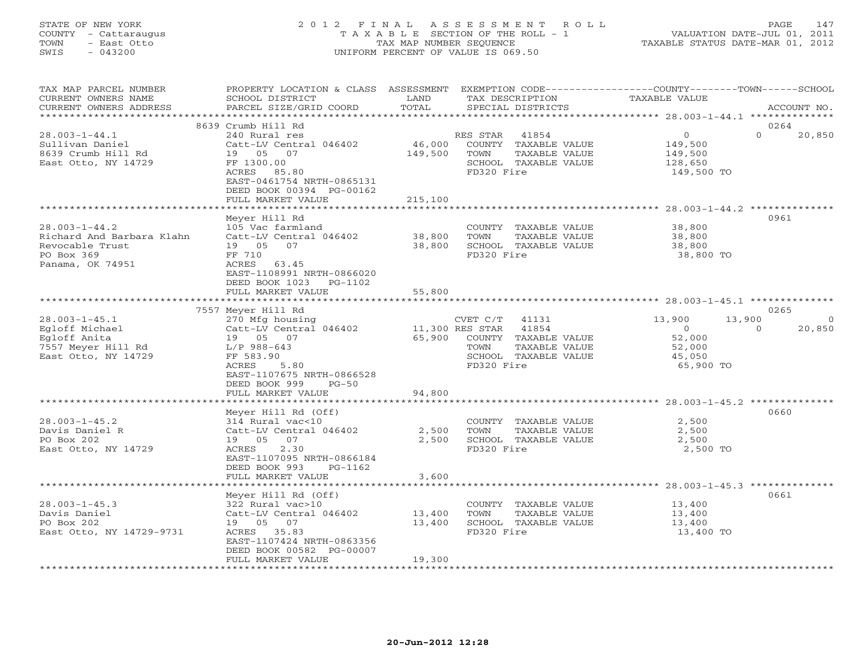## STATE OF NEW YORK 2 0 1 2 F I N A L A S S E S S M E N T R O L L PAGE 147 COUNTY - Cattaraugus T A X A B L E SECTION OF THE ROLL - 1 VALUATION DATE-JUL 01, 2011 TOWN - East Otto TAX MAP NUMBER SEQUENCE TAXABLE STATUS DATE-MAR 01, 2012 SWIS - 043200 UNIFORM PERCENT OF VALUE IS 069.50UNIFORM PERCENT OF VALUE IS 069.50

| TAX MAP PARCEL NUMBER<br>CURRENT OWNERS NAME<br>CURRENT OWNERS ADDRESS<br>**********************      | PROPERTY LOCATION & CLASS ASSESSMENT<br>SCHOOL DISTRICT<br>PARCEL SIZE/GRID COORD                                                                                                    | LAND<br>TOTAL                       | TAX DESCRIPTION<br>SPECIAL DISTRICTS                                                                              | EXEMPTION CODE-----------------COUNTY-------TOWN-----SCHOOL<br><b>TAXABLE VALUE</b> | ACCOUNT NO.       |
|-------------------------------------------------------------------------------------------------------|--------------------------------------------------------------------------------------------------------------------------------------------------------------------------------------|-------------------------------------|-------------------------------------------------------------------------------------------------------------------|-------------------------------------------------------------------------------------|-------------------|
|                                                                                                       |                                                                                                                                                                                      |                                     |                                                                                                                   |                                                                                     |                   |
| $28.003 - 1 - 44.1$<br>Sullivan Daniel<br>8639 Crumb Hill Rd<br>East Otto, NY 14729                   | 8639 Crumb Hill Rd<br>240 Rural res<br>Catt-LV Central 046402<br>19 05 07<br>FF 1300.00<br>ACRES 85.80<br>EAST-0461754 NRTH-0865131<br>DEED BOOK 00394 PG-00162<br>FULL MARKET VALUE | 46,000<br>149,500<br>215,100        | RES STAR<br>41854<br>COUNTY TAXABLE VALUE<br>TAXABLE VALUE<br>TOWN<br>SCHOOL TAXABLE VALUE<br>FD320 Fire          | $\circ$<br>$\Omega$<br>149,500<br>149,500<br>128,650<br>149,500 TO                  | 0264<br>20,850    |
|                                                                                                       | *************************                                                                                                                                                            | ************                        |                                                                                                                   | ************************ 28.003-1-44.2 **************                               |                   |
| $28.003 - 1 - 44.2$<br>Richard And Barbara Klahn<br>Revocable Trust<br>PO Box 369<br>Panama, OK 74951 | Meyer Hill Rd<br>105 Vac farmland<br>Catt-LV Central 046402<br>19 05 07<br>FF 710<br>ACRES<br>63.45<br>EAST-1108991 NRTH-0866020<br>DEED BOOK 1023<br>PG-1102                        | 38,800<br>38,800                    | COUNTY TAXABLE VALUE<br>TOWN<br>TAXABLE VALUE<br>SCHOOL TAXABLE VALUE<br>FD320 Fire                               | 38,800<br>38,800<br>38,800<br>38,800 TO                                             | 0961              |
|                                                                                                       | FULL MARKET VALUE                                                                                                                                                                    | 55,800                              |                                                                                                                   |                                                                                     |                   |
|                                                                                                       |                                                                                                                                                                                      |                                     |                                                                                                                   |                                                                                     |                   |
|                                                                                                       | 7557 Meyer Hill Rd                                                                                                                                                                   |                                     |                                                                                                                   |                                                                                     | 0265              |
| $28.003 - 1 - 45.1$<br>Eqloff Michael<br>Eqloff Anita<br>7557 Meyer Hill Rd<br>East Otto, NY 14729    | 270 Mfg housing<br>Catt-LV Central 046402<br>19 05 07<br>L/P 988-643<br>FF 583.90<br>5.80<br>ACRES<br>EAST-1107675 NRTH-0866528<br>DEED BOOK 999<br>$PG-50$<br>FULL MARKET VALUE     | 11,300 RES STAR<br>65,900<br>94,800 | 41131<br>CVET C/T<br>41854<br>COUNTY TAXABLE VALUE<br>TOWN<br>TAXABLE VALUE<br>SCHOOL TAXABLE VALUE<br>FD320 Fire | 13,900<br>13,900<br>$\Omega$<br>$\Omega$<br>52,000<br>52,000<br>45,050<br>65,900 TO | $\circ$<br>20,850 |
|                                                                                                       |                                                                                                                                                                                      |                                     |                                                                                                                   |                                                                                     |                   |
| $28.003 - 1 - 45.2$<br>Davis Daniel R<br>PO Box 202<br>East Otto, NY 14729                            | Meyer Hill Rd (Off)<br>314 Rural vac<10<br>Catt-LV Central 046402<br>19 05 07<br>ACRES<br>2.30<br>EAST-1107095 NRTH-0866184<br>DEED BOOK 993<br>PG-1162<br>FULL MARKET VALUE         | 2,500<br>2,500<br>3,600             | COUNTY TAXABLE VALUE<br>TOWN<br>TAXABLE VALUE<br>SCHOOL TAXABLE VALUE<br>FD320 Fire                               | 2,500<br>2,500<br>2,500<br>2,500 TO                                                 | 0660              |
|                                                                                                       |                                                                                                                                                                                      |                                     |                                                                                                                   |                                                                                     |                   |
| $28.003 - 1 - 45.3$<br>Davis Daniel<br>PO Box 202<br>East Otto, NY 14729-9731                         | Meyer Hill Rd (Off)<br>322 Rural vac>10<br>Catt-LV Central 046402<br>19 05 07<br>ACRES 35.83<br>EAST-1107424 NRTH-0863356<br>DEED BOOK 00582 PG-00007<br>FULL MARKET VALUE           | 13,400<br>13,400<br>19,300          | COUNTY TAXABLE VALUE<br>TOWN<br>TAXABLE VALUE<br>SCHOOL TAXABLE VALUE<br>FD320 Fire                               | 13,400<br>13,400<br>13,400<br>13,400 TO                                             | 0661              |
|                                                                                                       |                                                                                                                                                                                      |                                     |                                                                                                                   |                                                                                     |                   |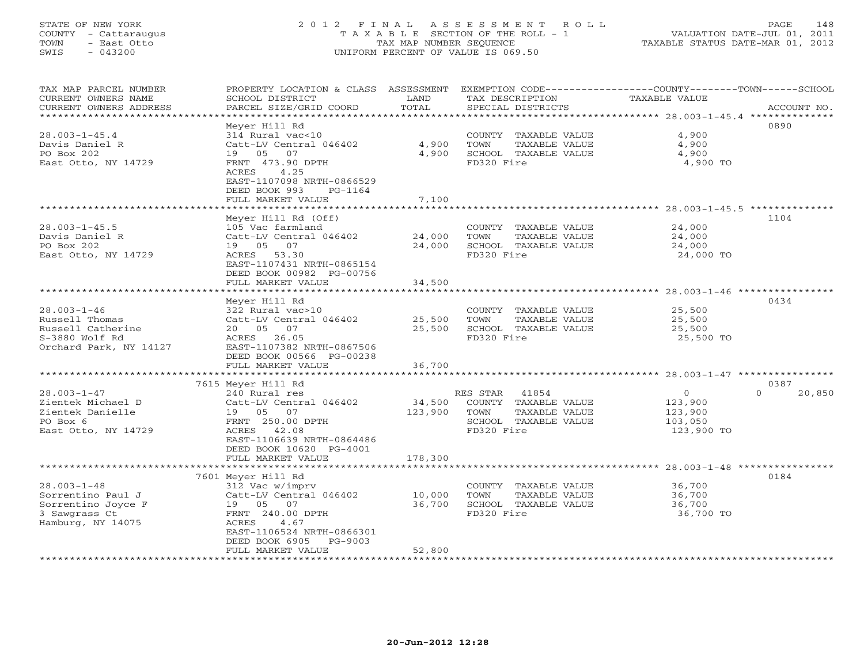## STATE OF NEW YORK 2 0 1 2 F I N A L A S S E S S M E N T R O L L PAGE 148 COUNTY - Cattaraugus T A X A B L E SECTION OF THE ROLL - 1 VALUATION DATE-JUL 01, 2011 TOWN - East Otto TAX MAP NUMBER SEQUENCE TAXABLE STATUS DATE-MAR 01, 2012 SWIS - 043200 UNIFORM PERCENT OF VALUE IS 069.50UNIFORM PERCENT OF VALUE IS 069.50

| TAX MAP PARCEL NUMBER<br>CURRENT OWNERS NAME<br>CURRENT OWNERS ADDRESS<br>*************************                        | PROPERTY LOCATION & CLASS ASSESSMENT<br>SCHOOL DISTRICT<br>PARCEL SIZE/GRID COORD                                                                                                                                          | LAND<br>TOTAL                | TAX DESCRIPTION<br>SPECIAL DISTRICTS                                                                     | EXEMPTION CODE-----------------COUNTY-------TOWN------SCHOOL<br><b>TAXABLE VALUE</b><br>ACCOUNT NO. |
|----------------------------------------------------------------------------------------------------------------------------|----------------------------------------------------------------------------------------------------------------------------------------------------------------------------------------------------------------------------|------------------------------|----------------------------------------------------------------------------------------------------------|-----------------------------------------------------------------------------------------------------|
| $28.003 - 1 - 45.4$<br>Davis Daniel R<br>PO Box 202<br>East Otto, NY 14729                                                 | Meyer Hill Rd<br>314 Rural vac<10<br>Catt-LV Central 046402<br>07<br>19 05<br>FRNT 473.90 DPTH<br>ACRES<br>4.25<br>EAST-1107098 NRTH-0866529<br>DEED BOOK 993<br>PG-1164<br>FULL MARKET VALUE<br>************************* | 4,900<br>4,900<br>7,100      | COUNTY TAXABLE VALUE<br>TOWN<br>TAXABLE VALUE<br>SCHOOL TAXABLE VALUE<br>FD320 Fire                      | 0890<br>4,900<br>4,900<br>4,900<br>4,900 TO                                                         |
| $28.003 - 1 - 45.5$<br>Davis Daniel R<br>PO Box 202<br>East Otto, NY 14729                                                 | Meyer Hill Rd (Off)<br>105 Vac farmland<br>Catt-LV Central 046402<br>19 05<br>07<br>53.30<br>ACRES<br>EAST-1107431 NRTH-0865154<br>DEED BOOK 00982 PG-00756<br>FULL MARKET VALUE                                           | 24,000<br>24,000<br>34,500   | COUNTY TAXABLE VALUE<br>TOWN<br>TAXABLE VALUE<br>SCHOOL TAXABLE VALUE<br>FD320 Fire                      | 1104<br>24,000<br>24,000<br>24,000<br>24,000 TO                                                     |
| $28.003 - 1 - 46$<br>Russell Thomas<br>Russell Catherine<br>S-3880 Wolf Rd<br>Orchard Park, NY 14127                       | Meyer Hill Rd<br>322 Rural vac>10<br>Catt-LV Central 046402<br>20  05  07<br>26.05<br>ACRES<br>EAST-1107382 NRTH-0867506<br>DEED BOOK 00566 PG-00238<br>FULL MARKET VALUE                                                  | 25,500<br>25,500<br>36,700   | COUNTY TAXABLE VALUE<br>TOWN<br>TAXABLE VALUE<br>SCHOOL TAXABLE VALUE<br>FD320 Fire                      | 0434<br>25,500<br>25,500<br>25,500<br>25,500 TO                                                     |
| $28.003 - 1 - 47$<br>Zientek Michael D<br>Zientek Danielle<br>PO Box 6<br>East Otto, NY 14729                              | 7615 Meyer Hill Rd<br>240 Rural res<br>Catt-LV Central 046402<br>07<br>19 05<br>FRNT 250.00 DPTH<br>42.08<br>ACRES<br>EAST-1106639 NRTH-0864486<br>DEED BOOK 10620 PG-4001<br>FULL MARKET VALUE                            | 34,500<br>123,900<br>178,300 | 41854<br>RES STAR<br>COUNTY TAXABLE VALUE<br>TOWN<br>TAXABLE VALUE<br>SCHOOL TAXABLE VALUE<br>FD320 Fire | 0387<br>$\circ$<br>$\Omega$<br>20,850<br>123,900<br>123,900<br>103,050<br>123,900 TO                |
| $28.003 - 1 - 48$<br>Sorrentino Paul J<br>Sorrentino Joyce F<br>3 Sawgrass Ct<br>Hamburg, NY 14075<br>******************** | 7601 Meyer Hill Rd<br>312 Vac w/imprv<br>Catt-LV Central 046402<br>19  05  07<br>FRNT 240.00 DPTH<br>ACRES<br>4.67<br>EAST-1106524 NRTH-0866301<br>DEED BOOK 6905<br>$PG-9003$<br>FULL MARKET VALUE                        | 10,000<br>36,700<br>52,800   | COUNTY TAXABLE VALUE<br>TOWN<br>TAXABLE VALUE<br>SCHOOL TAXABLE VALUE<br>FD320 Fire                      | ******** 28.003-1-48<br>0184<br>36,700<br>36,700<br>36,700<br>36,700 TO                             |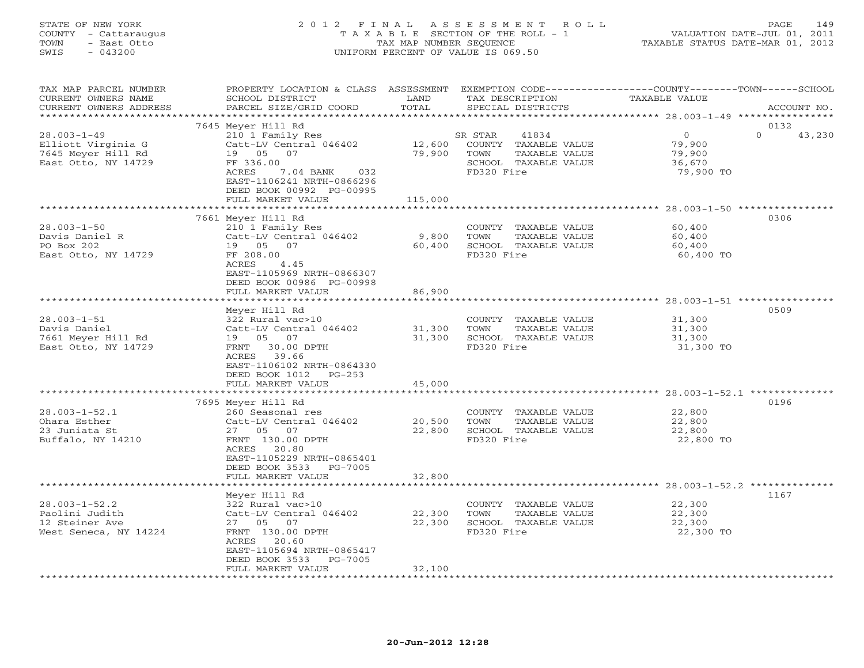#### STATE OF NEW YORK 2 0 1 2 F I N A L A S S E S S M E N T R O L L PAGE 149 COUNTY - Cattaraugus T A X A B L E SECTION OF THE ROLL - 1 VALUATION DATE-JUL 01, 2011 TOWN - East Otto TAX MAP NUMBER SEQUENCE TAXABLE STATUS DATE-MAR 01, 2012 SWIS - 043200 UNIFORM PERCENT OF VALUE IS 069.50UNIFORM PERCENT OF VALUE IS 069.50

| TAX MAP PARCEL NUMBER<br>CURRENT OWNERS NAME<br>CURRENT OWNERS ADDRESS | PROPERTY LOCATION & CLASS ASSESSMENT EXEMPTION CODE---------------COUNTY-------TOWN------SCHOOL<br>SCHOOL DISTRICT<br>PARCEL SIZE/GRID COORD | LAND<br>TOTAL    | TAX DESCRIPTION<br>SPECIAL DISTRICTS                              | TAXABLE VALUE                                     | ACCOUNT NO.        |
|------------------------------------------------------------------------|----------------------------------------------------------------------------------------------------------------------------------------------|------------------|-------------------------------------------------------------------|---------------------------------------------------|--------------------|
|                                                                        |                                                                                                                                              |                  |                                                                   |                                                   |                    |
|                                                                        | 7645 Meyer Hill Rd                                                                                                                           |                  |                                                                   |                                                   | 0132               |
| $28.003 - 1 - 49$<br>Elliott Virginia G<br>7645 Meyer Hill Rd          | 210 1 Family Res<br>Catt-LV Central 046402<br>19 05<br>07                                                                                    | 12,600<br>79,900 | SR STAR<br>41834<br>COUNTY TAXABLE VALUE<br>TOWN<br>TAXABLE VALUE | $\circ$<br>79,900<br>79,900                       | $\Omega$<br>43,230 |
| East Otto, NY 14729                                                    | FF 336.00<br>ACRES<br>7.04 BANK<br>032<br>EAST-1106241 NRTH-0866296<br>DEED BOOK 00992 PG-00995<br>FULL MARKET VALUE                         | 115,000          | SCHOOL TAXABLE VALUE<br>FD320 Fire                                | 36,670<br>79,900 TO                               |                    |
|                                                                        |                                                                                                                                              |                  |                                                                   |                                                   |                    |
|                                                                        | 7661 Meyer Hill Rd                                                                                                                           |                  |                                                                   |                                                   | 0306               |
| $28.003 - 1 - 50$                                                      | 210 1 Family Res                                                                                                                             |                  | COUNTY TAXABLE VALUE                                              | 60,400                                            |                    |
| Davis Daniel R                                                         | Catt-LV Central 046402                                                                                                                       | 9,800            | TOWN<br>TAXABLE VALUE                                             | 60,400                                            |                    |
| PO Box 202                                                             | 19 05<br>07                                                                                                                                  | 60,400           | SCHOOL TAXABLE VALUE                                              | 60,400                                            |                    |
| East Otto, NY 14729                                                    | FF 208.00<br>ACRES<br>4.45<br>EAST-1105969 NRTH-0866307<br>DEED BOOK 00986 PG-00998                                                          |                  | FD320 Fire                                                        | 60,400 TO                                         |                    |
|                                                                        | FULL MARKET VALUE                                                                                                                            | 86,900           |                                                                   |                                                   |                    |
|                                                                        |                                                                                                                                              |                  |                                                                   |                                                   |                    |
|                                                                        | Meyer Hill Rd                                                                                                                                |                  |                                                                   |                                                   | 0509               |
| $28.003 - 1 - 51$                                                      | 322 Rural vac>10                                                                                                                             |                  | COUNTY TAXABLE VALUE                                              | 31,300                                            |                    |
| Davis Daniel                                                           | Catt-LV Central 046402                                                                                                                       | 31,300           | TOWN<br>TAXABLE VALUE                                             | 31,300                                            |                    |
| 7661 Meyer Hill Rd                                                     | 07<br>19 05                                                                                                                                  | 31,300           | SCHOOL TAXABLE VALUE                                              | 31,300                                            |                    |
| East Otto, NY 14729                                                    | FRNT<br>30.00 DPTH<br>ACRES 39.66<br>EAST-1106102 NRTH-0864330<br>DEED BOOK 1012<br>$PG-253$                                                 |                  | FD320 Fire                                                        | 31,300 TO                                         |                    |
|                                                                        | FULL MARKET VALUE                                                                                                                            | 45,000           |                                                                   |                                                   |                    |
|                                                                        | ************************                                                                                                                     | **************   |                                                                   | ********************** 28.003-1-52.1 ************ |                    |
|                                                                        | 7695 Meyer Hill Rd                                                                                                                           |                  |                                                                   |                                                   | 0196               |
| $28.003 - 1 - 52.1$                                                    | 260 Seasonal res                                                                                                                             |                  | COUNTY TAXABLE VALUE                                              | 22,800                                            |                    |
| Ohara Esther                                                           | Catt-LV Central 046402                                                                                                                       | 20,500           | TOWN<br>TAXABLE VALUE                                             | 22,800                                            |                    |
| 23 Juniata St                                                          | 27 05<br>07                                                                                                                                  | 22,800           | SCHOOL TAXABLE VALUE                                              | 22,800                                            |                    |
| Buffalo, NY 14210                                                      | FRNT 130.00 DPTH<br>ACRES 20.80<br>EAST-1105229 NRTH-0865401<br>DEED BOOK 3533<br>PG-7005                                                    |                  | FD320 Fire                                                        | 22,800 TO                                         |                    |
|                                                                        | FULL MARKET VALUE                                                                                                                            | 32,800           |                                                                   |                                                   |                    |
|                                                                        |                                                                                                                                              |                  |                                                                   |                                                   |                    |
|                                                                        | Meyer Hill Rd                                                                                                                                |                  |                                                                   |                                                   | 1167               |
| $28.003 - 1 - 52.2$                                                    | 322 Rural vac>10                                                                                                                             |                  | COUNTY TAXABLE VALUE                                              | 22,300                                            |                    |
| Paolini Judith                                                         | Catt-LV Central 046402                                                                                                                       | 22,300           | TOWN<br>TAXABLE VALUE                                             | 22,300                                            |                    |
| 12 Steiner Ave                                                         | 27  05  07<br>FRNT 130.00 DPTH                                                                                                               | 22,300           | SCHOOL TAXABLE VALUE<br>FD320 Fire                                | 22,300<br>22,300 TO                               |                    |
| West Seneca, NY 14224                                                  | ACRES<br>20.60<br>EAST-1105694 NRTH-0865417                                                                                                  |                  |                                                                   |                                                   |                    |
|                                                                        | DEED BOOK 3533<br>PG-7005<br>FULL MARKET VALUE                                                                                               | 32,100           |                                                                   |                                                   |                    |
|                                                                        |                                                                                                                                              |                  |                                                                   |                                                   |                    |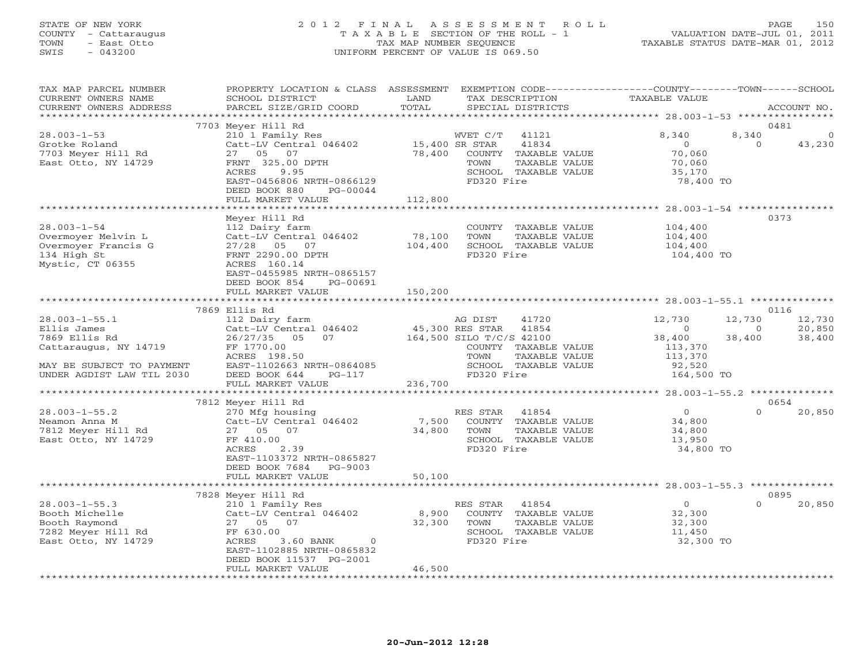## STATE OF NEW YORK 2 0 1 2 F I N A L A S S E S S M E N T R O L L PAGE 150 COUNTY - Cattaraugus T A X A B L E SECTION OF THE ROLL - 1 VALUATION DATE-JUL 01, 2011 TOWN - East Otto TAX MAP NUMBER SEQUENCE TAXABLE STATUS DATE-MAR 01, 2012 SWIS - 043200 UNIFORM PERCENT OF VALUE IS 069.50UNIFORM PERCENT OF VALUE IS 069.50

| TAX MAP PARCEL NUMBER<br>CURRENT OWNERS NAME<br>CURRENT OWNERS ADDRESS                              | PROPERTY LOCATION & CLASS ASSESSMENT<br>SCHOOL DISTRICT<br>PARCEL SIZE/GRID COORD                                                                              | LAND<br>TAX DESCRIPTION<br>TOTAL<br>SPECIAL DISTRICTS                                                                                         | EXEMPTION CODE-----------------COUNTY-------TOWN------SCHOOL<br>TAXABLE VALUE<br>ACCOUNT NO.                        |
|-----------------------------------------------------------------------------------------------------|----------------------------------------------------------------------------------------------------------------------------------------------------------------|-----------------------------------------------------------------------------------------------------------------------------------------------|---------------------------------------------------------------------------------------------------------------------|
|                                                                                                     |                                                                                                                                                                |                                                                                                                                               |                                                                                                                     |
|                                                                                                     | 7703 Meyer Hill Rd                                                                                                                                             |                                                                                                                                               | 0481                                                                                                                |
| $28.003 - 1 - 53$<br>Grotke Roland<br>7703 Meyer Hill Rd<br>East Otto, NY 14729                     | 210 1 Family Res<br>Catt-LV Central 046402<br>27  05  07<br>FRNT 325.00 DPTH<br>ACRES<br>9.95<br>EAST-0456806 NRTH-0866129<br>DEED BOOK 880<br>PG-00044        | WVET C/T<br>41121<br>15,400 SR STAR<br>41834<br>78,400<br>COUNTY TAXABLE VALUE<br>TOWN<br>TAXABLE VALUE<br>SCHOOL TAXABLE VALUE<br>FD320 Fire | 8,340<br>8,340<br>$\overline{0}$<br>$\overline{0}$<br>$\Omega$<br>43,230<br>70,060<br>70,060<br>35,170<br>78,400 TO |
|                                                                                                     | FULL MARKET VALUE                                                                                                                                              | 112,800                                                                                                                                       |                                                                                                                     |
|                                                                                                     |                                                                                                                                                                | ************                                                                                                                                  | ******************* 28.003-1-54 *****************                                                                   |
| $28.003 - 1 - 54$<br>Overmoyer Melvin L<br>Overmoyer Francis G<br>134 High St<br>Mystic, CT 06355   | Meyer Hill Rd<br>112 Dairy farm<br>Catt-LV Central 046402<br>27/28 05 07<br>FRNT 2290.00 DPTH<br>ACRES 160.14                                                  | COUNTY TAXABLE VALUE<br>78,100<br>TAXABLE VALUE<br>TOWN<br>104,400<br>SCHOOL TAXABLE VALUE<br>FD320 Fire                                      | 0373<br>104,400<br>104,400<br>104,400<br>104,400 TO                                                                 |
|                                                                                                     | EAST-0455985 NRTH-0865157<br>DEED BOOK 854<br>PG-00691<br>FULL MARKET VALUE                                                                                    | 150,200                                                                                                                                       |                                                                                                                     |
|                                                                                                     | 7869 Ellis Rd                                                                                                                                                  |                                                                                                                                               | 0116                                                                                                                |
| $28.003 - 1 - 55.1$<br>Ellis James<br>7869 Ellis Rd                                                 | 112 Dairy farm<br>Catt-LV Central 046402<br>26/27/35 05<br>07                                                                                                  | AG DIST<br>41720<br>45,300 RES STAR 41854<br>164,500 SILO T/C/S 42100                                                                         | 12,730<br>12,730<br>12,730<br>20,850<br>$\overline{0}$<br>$\circ$<br>38,400<br>38,400                               |
| Cattaraugus, NY 14719<br>MAY BE SUBJECT TO PAYMENT                                                  | FF 1770.00<br>ACRES 198.50<br>EAST-1102663 NRTH-0864085                                                                                                        | COUNTY TAXABLE VALUE<br>TOWN<br>TAXABLE VALUE<br>SCHOOL TAXABLE VALUE                                                                         | 38,400<br>113,370<br>113,370<br>92,520                                                                              |
| UNDER AGDIST LAW TIL 2030                                                                           | DEED BOOK 644<br>PG-117<br>FULL MARKET VALUE                                                                                                                   | FD320 Fire<br>236,700                                                                                                                         | 164,500 TO                                                                                                          |
|                                                                                                     |                                                                                                                                                                |                                                                                                                                               |                                                                                                                     |
|                                                                                                     | 7812 Meyer Hill Rd                                                                                                                                             |                                                                                                                                               | 0654                                                                                                                |
| $28.003 - 1 - 55.2$<br>Neamon Anna M<br>7812 Meyer Hill Rd<br>East Otto, NY 14729                   | 270 Mfg housing<br>Catt-LV Central 046402<br>27 05 07<br>FF 410.00<br>ACRES<br>2.39<br>EAST-1103372 NRTH-0865827<br>DEED BOOK 7684 PG-9003                     | RES STAR<br>41854<br>7,500<br>COUNTY TAXABLE VALUE<br>34,800<br>TOWN<br>TAXABLE VALUE<br>SCHOOL TAXABLE VALUE<br>FD320 Fire                   | $\overline{0}$<br>$\cap$<br>20,850<br>34,800<br>34,800<br>13,950<br>34,800 TO                                       |
|                                                                                                     | FULL MARKET VALUE                                                                                                                                              | 50,100                                                                                                                                        |                                                                                                                     |
|                                                                                                     |                                                                                                                                                                |                                                                                                                                               |                                                                                                                     |
| $28.003 - 1 - 55.3$<br>Booth Michelle<br>Booth Raymond<br>7282 Meyer Hill Rd<br>East Otto, NY 14729 | 7828 Meyer Hill Rd<br>210 1 Family Res<br>Catt-LV Central 046402<br>27 05 07<br>FF 630.00<br>ACRES<br>3.60 BANK<br>$\overline{0}$<br>EAST-1102885 NRTH-0865832 | RES STAR<br>41854<br>8,900<br>COUNTY TAXABLE VALUE<br>32,300<br>TAXABLE VALUE<br>TOWN<br>SCHOOL TAXABLE VALUE<br>FD320 Fire                   | 0895<br>$\overline{0}$<br>20,850<br>$\Omega$<br>32,300<br>32,300<br>11,450<br>32,300 TO                             |
|                                                                                                     | DEED BOOK 11537 PG-2001<br>FULL MARKET VALUE                                                                                                                   | 46,500                                                                                                                                        |                                                                                                                     |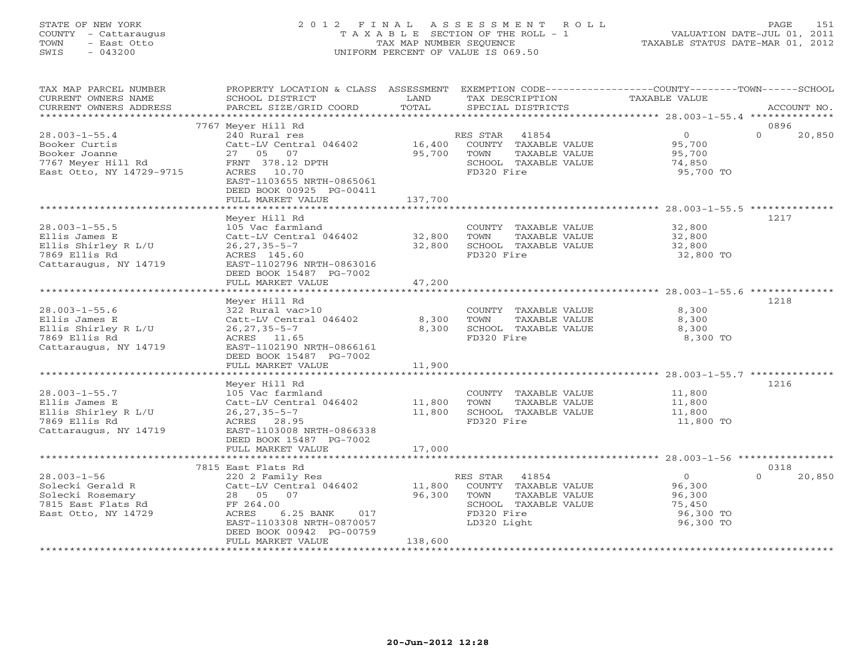# STATE OF NEW YORK 2 0 1 2 F I N A L A S S E S S M E N T R O L L PAGE 151 COUNTY - Cattaraugus T A X A B L E SECTION OF THE ROLL - 1 VALUATION DATE-JUL 01, 2011 TOWN - East Otto TAX MAP NUMBER SEQUENCE TAXABLE STATUS DATE-MAR 01, 2012 SWIS - 043200 UNIFORM PERCENT OF VALUE IS 069.50

| 0896<br>7767 Meyer Hill Rd<br>$28.003 - 1 - 55.4$<br>240 Rural res<br>RES STAR 41854<br>$\overline{0}$<br>$\Omega$<br>20,850<br>95,700<br>Booker Curtis<br>Catt-LV Central 046402<br>16,400<br>COUNTY TAXABLE VALUE<br>Booker Joanne<br>95,700<br>95,700<br>27 05 07<br>TOWN<br>TAXABLE VALUE<br>7767 Meyer Hill Rd<br>FRNT 378.12 DPTH<br>SCHOOL TAXABLE VALUE<br>74,850<br>East Otto, NY 14729-9715<br>95,700 TO<br>ACRES 10.70<br>FD320 Fire<br>EAST-1103655 NRTH-0865061<br>DEED BOOK 00925 PG-00411<br>FULL MARKET VALUE<br>137,700<br>Meyer Hill Rd<br>1217<br>$28.003 - 1 - 55.5$<br>105 Vac farmland<br>COUNTY TAXABLE VALUE<br>32,800<br>Ellis James E<br>Catt-LV Central 046402<br>32,800<br>TOWN<br>TAXABLE VALUE<br>32,800<br>Ellis Shirley R L/U<br>$26, 27, 35 - 5 - 7$<br>32,800<br>SCHOOL TAXABLE VALUE<br>32,800<br>7869 Ellis Rd<br>FD320 Fire<br>32,800 TO<br>ACRES 145.60<br>Cattaraugus, NY 14719<br>EAST-1102796 NRTH-0863016<br>DEED BOOK 15487 PG-7002<br>47,200<br>FULL MARKET VALUE<br>1218<br>Meyer Hill Rd<br>$28.003 - 1 - 55.6$<br>COUNTY TAXABLE VALUE<br>8,300<br>322 Rural vac>10<br>Catt-LV Central 046402<br>8,300<br>TAXABLE VALUE<br>8,300<br>Ellis James E<br>TOWN<br>Ellis Shirley R L/U<br>$26, 27, 35 - 5 - 7$<br>8,300<br>SCHOOL TAXABLE VALUE<br>8,300<br>7869 Ellis Rd<br>ACRES 11.65<br>FD320 Fire<br>8,300 TO<br>Cattaraugus, NY 14719<br>EAST-1102190 NRTH-0866161<br>DEED BOOK 15487 PG-7002<br>11,900<br>FULL MARKET VALUE<br>1216<br>Meyer Hill Rd<br>$28.003 - 1 - 55.7$<br>105 Vac farmland<br>COUNTY TAXABLE VALUE<br>11,800<br>11,800<br>TAXABLE VALUE<br>Ellis James E<br>Catt-LV Central 046402<br>TOWN<br>11,800<br>Ellis Shirley R L/U<br>11,800<br>SCHOOL TAXABLE VALUE<br>$26, 27, 35 - 5 - 7$<br>11,800<br>FD320 Fire<br>7869 Ellis Rd<br>ACRES 28.95<br>11,800 TO<br>Cattaraugus, NY 14719<br>EAST-1103008 NRTH-0866338<br>DEED BOOK 15487 PG-7002<br>17,000<br>FULL MARKET VALUE<br>7815 East Flats Rd<br>0318<br>$28.003 - 1 - 56$<br>220 2 Family Res<br>RES STAR 41854<br>$\overline{O}$<br>$\Omega$<br>20,850<br>Solecki Gerald R<br>Catt-LV Central 046402<br>11,800<br>COUNTY TAXABLE VALUE<br>96,300<br>Solecki Rosemary<br>28 05 07<br>96,300<br>TOWN<br>TAXABLE VALUE<br>96,300<br>7815 East Flats Rd<br>FF 264.00<br>SCHOOL TAXABLE VALUE<br>75,450<br>East Otto, NY 14729<br>FD320 Fire<br>ACRES<br>6.25 BANK 017<br>96,300 TO<br>EAST-1103308 NRTH-0870057<br>96,300 TO<br>LD320 Light<br>DEED BOOK 00942 PG-00759<br>FULL MARKET VALUE<br>138,600 | TAX MAP PARCEL NUMBER<br>CURRENT OWNERS NAME<br>CURRENT OWNERS ADDRESS | PROPERTY LOCATION & CLASS ASSESSMENT EXEMPTION CODE---------------COUNTY-------TOWN------SCHOOL<br>SCHOOL DISTRICT<br>PARCEL SIZE/GRID COORD | LAND<br>TOTAL | TAX DESCRIPTION<br>SPECIAL DISTRICTS | TAXABLE VALUE | ACCOUNT NO. |
|-------------------------------------------------------------------------------------------------------------------------------------------------------------------------------------------------------------------------------------------------------------------------------------------------------------------------------------------------------------------------------------------------------------------------------------------------------------------------------------------------------------------------------------------------------------------------------------------------------------------------------------------------------------------------------------------------------------------------------------------------------------------------------------------------------------------------------------------------------------------------------------------------------------------------------------------------------------------------------------------------------------------------------------------------------------------------------------------------------------------------------------------------------------------------------------------------------------------------------------------------------------------------------------------------------------------------------------------------------------------------------------------------------------------------------------------------------------------------------------------------------------------------------------------------------------------------------------------------------------------------------------------------------------------------------------------------------------------------------------------------------------------------------------------------------------------------------------------------------------------------------------------------------------------------------------------------------------------------------------------------------------------------------------------------------------------------------------------------------------------------------------------------------------------------------------------------------------------------------------------------------------------------------------------------------------------------------------------------------------------------------------------------------------------------------------------------------------------------------------------------------------------------------|------------------------------------------------------------------------|----------------------------------------------------------------------------------------------------------------------------------------------|---------------|--------------------------------------|---------------|-------------|
|                                                                                                                                                                                                                                                                                                                                                                                                                                                                                                                                                                                                                                                                                                                                                                                                                                                                                                                                                                                                                                                                                                                                                                                                                                                                                                                                                                                                                                                                                                                                                                                                                                                                                                                                                                                                                                                                                                                                                                                                                                                                                                                                                                                                                                                                                                                                                                                                                                                                                                                               | ***********************                                                |                                                                                                                                              |               |                                      |               |             |
|                                                                                                                                                                                                                                                                                                                                                                                                                                                                                                                                                                                                                                                                                                                                                                                                                                                                                                                                                                                                                                                                                                                                                                                                                                                                                                                                                                                                                                                                                                                                                                                                                                                                                                                                                                                                                                                                                                                                                                                                                                                                                                                                                                                                                                                                                                                                                                                                                                                                                                                               |                                                                        |                                                                                                                                              |               |                                      |               |             |
|                                                                                                                                                                                                                                                                                                                                                                                                                                                                                                                                                                                                                                                                                                                                                                                                                                                                                                                                                                                                                                                                                                                                                                                                                                                                                                                                                                                                                                                                                                                                                                                                                                                                                                                                                                                                                                                                                                                                                                                                                                                                                                                                                                                                                                                                                                                                                                                                                                                                                                                               |                                                                        |                                                                                                                                              |               |                                      |               |             |
|                                                                                                                                                                                                                                                                                                                                                                                                                                                                                                                                                                                                                                                                                                                                                                                                                                                                                                                                                                                                                                                                                                                                                                                                                                                                                                                                                                                                                                                                                                                                                                                                                                                                                                                                                                                                                                                                                                                                                                                                                                                                                                                                                                                                                                                                                                                                                                                                                                                                                                                               |                                                                        |                                                                                                                                              |               |                                      |               |             |
|                                                                                                                                                                                                                                                                                                                                                                                                                                                                                                                                                                                                                                                                                                                                                                                                                                                                                                                                                                                                                                                                                                                                                                                                                                                                                                                                                                                                                                                                                                                                                                                                                                                                                                                                                                                                                                                                                                                                                                                                                                                                                                                                                                                                                                                                                                                                                                                                                                                                                                                               |                                                                        |                                                                                                                                              |               |                                      |               |             |
|                                                                                                                                                                                                                                                                                                                                                                                                                                                                                                                                                                                                                                                                                                                                                                                                                                                                                                                                                                                                                                                                                                                                                                                                                                                                                                                                                                                                                                                                                                                                                                                                                                                                                                                                                                                                                                                                                                                                                                                                                                                                                                                                                                                                                                                                                                                                                                                                                                                                                                                               |                                                                        |                                                                                                                                              |               |                                      |               |             |
|                                                                                                                                                                                                                                                                                                                                                                                                                                                                                                                                                                                                                                                                                                                                                                                                                                                                                                                                                                                                                                                                                                                                                                                                                                                                                                                                                                                                                                                                                                                                                                                                                                                                                                                                                                                                                                                                                                                                                                                                                                                                                                                                                                                                                                                                                                                                                                                                                                                                                                                               |                                                                        |                                                                                                                                              |               |                                      |               |             |
|                                                                                                                                                                                                                                                                                                                                                                                                                                                                                                                                                                                                                                                                                                                                                                                                                                                                                                                                                                                                                                                                                                                                                                                                                                                                                                                                                                                                                                                                                                                                                                                                                                                                                                                                                                                                                                                                                                                                                                                                                                                                                                                                                                                                                                                                                                                                                                                                                                                                                                                               |                                                                        |                                                                                                                                              |               |                                      |               |             |
|                                                                                                                                                                                                                                                                                                                                                                                                                                                                                                                                                                                                                                                                                                                                                                                                                                                                                                                                                                                                                                                                                                                                                                                                                                                                                                                                                                                                                                                                                                                                                                                                                                                                                                                                                                                                                                                                                                                                                                                                                                                                                                                                                                                                                                                                                                                                                                                                                                                                                                                               |                                                                        |                                                                                                                                              |               |                                      |               |             |
|                                                                                                                                                                                                                                                                                                                                                                                                                                                                                                                                                                                                                                                                                                                                                                                                                                                                                                                                                                                                                                                                                                                                                                                                                                                                                                                                                                                                                                                                                                                                                                                                                                                                                                                                                                                                                                                                                                                                                                                                                                                                                                                                                                                                                                                                                                                                                                                                                                                                                                                               |                                                                        |                                                                                                                                              |               |                                      |               |             |
|                                                                                                                                                                                                                                                                                                                                                                                                                                                                                                                                                                                                                                                                                                                                                                                                                                                                                                                                                                                                                                                                                                                                                                                                                                                                                                                                                                                                                                                                                                                                                                                                                                                                                                                                                                                                                                                                                                                                                                                                                                                                                                                                                                                                                                                                                                                                                                                                                                                                                                                               |                                                                        |                                                                                                                                              |               |                                      |               |             |
|                                                                                                                                                                                                                                                                                                                                                                                                                                                                                                                                                                                                                                                                                                                                                                                                                                                                                                                                                                                                                                                                                                                                                                                                                                                                                                                                                                                                                                                                                                                                                                                                                                                                                                                                                                                                                                                                                                                                                                                                                                                                                                                                                                                                                                                                                                                                                                                                                                                                                                                               |                                                                        |                                                                                                                                              |               |                                      |               |             |
|                                                                                                                                                                                                                                                                                                                                                                                                                                                                                                                                                                                                                                                                                                                                                                                                                                                                                                                                                                                                                                                                                                                                                                                                                                                                                                                                                                                                                                                                                                                                                                                                                                                                                                                                                                                                                                                                                                                                                                                                                                                                                                                                                                                                                                                                                                                                                                                                                                                                                                                               |                                                                        |                                                                                                                                              |               |                                      |               |             |
|                                                                                                                                                                                                                                                                                                                                                                                                                                                                                                                                                                                                                                                                                                                                                                                                                                                                                                                                                                                                                                                                                                                                                                                                                                                                                                                                                                                                                                                                                                                                                                                                                                                                                                                                                                                                                                                                                                                                                                                                                                                                                                                                                                                                                                                                                                                                                                                                                                                                                                                               |                                                                        |                                                                                                                                              |               |                                      |               |             |
|                                                                                                                                                                                                                                                                                                                                                                                                                                                                                                                                                                                                                                                                                                                                                                                                                                                                                                                                                                                                                                                                                                                                                                                                                                                                                                                                                                                                                                                                                                                                                                                                                                                                                                                                                                                                                                                                                                                                                                                                                                                                                                                                                                                                                                                                                                                                                                                                                                                                                                                               |                                                                        |                                                                                                                                              |               |                                      |               |             |
|                                                                                                                                                                                                                                                                                                                                                                                                                                                                                                                                                                                                                                                                                                                                                                                                                                                                                                                                                                                                                                                                                                                                                                                                                                                                                                                                                                                                                                                                                                                                                                                                                                                                                                                                                                                                                                                                                                                                                                                                                                                                                                                                                                                                                                                                                                                                                                                                                                                                                                                               |                                                                        |                                                                                                                                              |               |                                      |               |             |
|                                                                                                                                                                                                                                                                                                                                                                                                                                                                                                                                                                                                                                                                                                                                                                                                                                                                                                                                                                                                                                                                                                                                                                                                                                                                                                                                                                                                                                                                                                                                                                                                                                                                                                                                                                                                                                                                                                                                                                                                                                                                                                                                                                                                                                                                                                                                                                                                                                                                                                                               |                                                                        |                                                                                                                                              |               |                                      |               |             |
|                                                                                                                                                                                                                                                                                                                                                                                                                                                                                                                                                                                                                                                                                                                                                                                                                                                                                                                                                                                                                                                                                                                                                                                                                                                                                                                                                                                                                                                                                                                                                                                                                                                                                                                                                                                                                                                                                                                                                                                                                                                                                                                                                                                                                                                                                                                                                                                                                                                                                                                               |                                                                        |                                                                                                                                              |               |                                      |               |             |
|                                                                                                                                                                                                                                                                                                                                                                                                                                                                                                                                                                                                                                                                                                                                                                                                                                                                                                                                                                                                                                                                                                                                                                                                                                                                                                                                                                                                                                                                                                                                                                                                                                                                                                                                                                                                                                                                                                                                                                                                                                                                                                                                                                                                                                                                                                                                                                                                                                                                                                                               |                                                                        |                                                                                                                                              |               |                                      |               |             |
|                                                                                                                                                                                                                                                                                                                                                                                                                                                                                                                                                                                                                                                                                                                                                                                                                                                                                                                                                                                                                                                                                                                                                                                                                                                                                                                                                                                                                                                                                                                                                                                                                                                                                                                                                                                                                                                                                                                                                                                                                                                                                                                                                                                                                                                                                                                                                                                                                                                                                                                               |                                                                        |                                                                                                                                              |               |                                      |               |             |
|                                                                                                                                                                                                                                                                                                                                                                                                                                                                                                                                                                                                                                                                                                                                                                                                                                                                                                                                                                                                                                                                                                                                                                                                                                                                                                                                                                                                                                                                                                                                                                                                                                                                                                                                                                                                                                                                                                                                                                                                                                                                                                                                                                                                                                                                                                                                                                                                                                                                                                                               |                                                                        |                                                                                                                                              |               |                                      |               |             |
|                                                                                                                                                                                                                                                                                                                                                                                                                                                                                                                                                                                                                                                                                                                                                                                                                                                                                                                                                                                                                                                                                                                                                                                                                                                                                                                                                                                                                                                                                                                                                                                                                                                                                                                                                                                                                                                                                                                                                                                                                                                                                                                                                                                                                                                                                                                                                                                                                                                                                                                               |                                                                        |                                                                                                                                              |               |                                      |               |             |
|                                                                                                                                                                                                                                                                                                                                                                                                                                                                                                                                                                                                                                                                                                                                                                                                                                                                                                                                                                                                                                                                                                                                                                                                                                                                                                                                                                                                                                                                                                                                                                                                                                                                                                                                                                                                                                                                                                                                                                                                                                                                                                                                                                                                                                                                                                                                                                                                                                                                                                                               |                                                                        |                                                                                                                                              |               |                                      |               |             |
|                                                                                                                                                                                                                                                                                                                                                                                                                                                                                                                                                                                                                                                                                                                                                                                                                                                                                                                                                                                                                                                                                                                                                                                                                                                                                                                                                                                                                                                                                                                                                                                                                                                                                                                                                                                                                                                                                                                                                                                                                                                                                                                                                                                                                                                                                                                                                                                                                                                                                                                               |                                                                        |                                                                                                                                              |               |                                      |               |             |
|                                                                                                                                                                                                                                                                                                                                                                                                                                                                                                                                                                                                                                                                                                                                                                                                                                                                                                                                                                                                                                                                                                                                                                                                                                                                                                                                                                                                                                                                                                                                                                                                                                                                                                                                                                                                                                                                                                                                                                                                                                                                                                                                                                                                                                                                                                                                                                                                                                                                                                                               |                                                                        |                                                                                                                                              |               |                                      |               |             |
|                                                                                                                                                                                                                                                                                                                                                                                                                                                                                                                                                                                                                                                                                                                                                                                                                                                                                                                                                                                                                                                                                                                                                                                                                                                                                                                                                                                                                                                                                                                                                                                                                                                                                                                                                                                                                                                                                                                                                                                                                                                                                                                                                                                                                                                                                                                                                                                                                                                                                                                               |                                                                        |                                                                                                                                              |               |                                      |               |             |
|                                                                                                                                                                                                                                                                                                                                                                                                                                                                                                                                                                                                                                                                                                                                                                                                                                                                                                                                                                                                                                                                                                                                                                                                                                                                                                                                                                                                                                                                                                                                                                                                                                                                                                                                                                                                                                                                                                                                                                                                                                                                                                                                                                                                                                                                                                                                                                                                                                                                                                                               |                                                                        |                                                                                                                                              |               |                                      |               |             |
|                                                                                                                                                                                                                                                                                                                                                                                                                                                                                                                                                                                                                                                                                                                                                                                                                                                                                                                                                                                                                                                                                                                                                                                                                                                                                                                                                                                                                                                                                                                                                                                                                                                                                                                                                                                                                                                                                                                                                                                                                                                                                                                                                                                                                                                                                                                                                                                                                                                                                                                               |                                                                        |                                                                                                                                              |               |                                      |               |             |
|                                                                                                                                                                                                                                                                                                                                                                                                                                                                                                                                                                                                                                                                                                                                                                                                                                                                                                                                                                                                                                                                                                                                                                                                                                                                                                                                                                                                                                                                                                                                                                                                                                                                                                                                                                                                                                                                                                                                                                                                                                                                                                                                                                                                                                                                                                                                                                                                                                                                                                                               |                                                                        |                                                                                                                                              |               |                                      |               |             |
|                                                                                                                                                                                                                                                                                                                                                                                                                                                                                                                                                                                                                                                                                                                                                                                                                                                                                                                                                                                                                                                                                                                                                                                                                                                                                                                                                                                                                                                                                                                                                                                                                                                                                                                                                                                                                                                                                                                                                                                                                                                                                                                                                                                                                                                                                                                                                                                                                                                                                                                               |                                                                        |                                                                                                                                              |               |                                      |               |             |
|                                                                                                                                                                                                                                                                                                                                                                                                                                                                                                                                                                                                                                                                                                                                                                                                                                                                                                                                                                                                                                                                                                                                                                                                                                                                                                                                                                                                                                                                                                                                                                                                                                                                                                                                                                                                                                                                                                                                                                                                                                                                                                                                                                                                                                                                                                                                                                                                                                                                                                                               |                                                                        |                                                                                                                                              |               |                                      |               |             |
|                                                                                                                                                                                                                                                                                                                                                                                                                                                                                                                                                                                                                                                                                                                                                                                                                                                                                                                                                                                                                                                                                                                                                                                                                                                                                                                                                                                                                                                                                                                                                                                                                                                                                                                                                                                                                                                                                                                                                                                                                                                                                                                                                                                                                                                                                                                                                                                                                                                                                                                               |                                                                        |                                                                                                                                              |               |                                      |               |             |
|                                                                                                                                                                                                                                                                                                                                                                                                                                                                                                                                                                                                                                                                                                                                                                                                                                                                                                                                                                                                                                                                                                                                                                                                                                                                                                                                                                                                                                                                                                                                                                                                                                                                                                                                                                                                                                                                                                                                                                                                                                                                                                                                                                                                                                                                                                                                                                                                                                                                                                                               |                                                                        |                                                                                                                                              |               |                                      |               |             |
|                                                                                                                                                                                                                                                                                                                                                                                                                                                                                                                                                                                                                                                                                                                                                                                                                                                                                                                                                                                                                                                                                                                                                                                                                                                                                                                                                                                                                                                                                                                                                                                                                                                                                                                                                                                                                                                                                                                                                                                                                                                                                                                                                                                                                                                                                                                                                                                                                                                                                                                               |                                                                        |                                                                                                                                              |               |                                      |               |             |
|                                                                                                                                                                                                                                                                                                                                                                                                                                                                                                                                                                                                                                                                                                                                                                                                                                                                                                                                                                                                                                                                                                                                                                                                                                                                                                                                                                                                                                                                                                                                                                                                                                                                                                                                                                                                                                                                                                                                                                                                                                                                                                                                                                                                                                                                                                                                                                                                                                                                                                                               |                                                                        |                                                                                                                                              |               |                                      |               |             |
|                                                                                                                                                                                                                                                                                                                                                                                                                                                                                                                                                                                                                                                                                                                                                                                                                                                                                                                                                                                                                                                                                                                                                                                                                                                                                                                                                                                                                                                                                                                                                                                                                                                                                                                                                                                                                                                                                                                                                                                                                                                                                                                                                                                                                                                                                                                                                                                                                                                                                                                               |                                                                        |                                                                                                                                              |               |                                      |               |             |
|                                                                                                                                                                                                                                                                                                                                                                                                                                                                                                                                                                                                                                                                                                                                                                                                                                                                                                                                                                                                                                                                                                                                                                                                                                                                                                                                                                                                                                                                                                                                                                                                                                                                                                                                                                                                                                                                                                                                                                                                                                                                                                                                                                                                                                                                                                                                                                                                                                                                                                                               |                                                                        |                                                                                                                                              |               |                                      |               |             |
|                                                                                                                                                                                                                                                                                                                                                                                                                                                                                                                                                                                                                                                                                                                                                                                                                                                                                                                                                                                                                                                                                                                                                                                                                                                                                                                                                                                                                                                                                                                                                                                                                                                                                                                                                                                                                                                                                                                                                                                                                                                                                                                                                                                                                                                                                                                                                                                                                                                                                                                               |                                                                        |                                                                                                                                              |               |                                      |               |             |
|                                                                                                                                                                                                                                                                                                                                                                                                                                                                                                                                                                                                                                                                                                                                                                                                                                                                                                                                                                                                                                                                                                                                                                                                                                                                                                                                                                                                                                                                                                                                                                                                                                                                                                                                                                                                                                                                                                                                                                                                                                                                                                                                                                                                                                                                                                                                                                                                                                                                                                                               |                                                                        |                                                                                                                                              |               |                                      |               |             |
|                                                                                                                                                                                                                                                                                                                                                                                                                                                                                                                                                                                                                                                                                                                                                                                                                                                                                                                                                                                                                                                                                                                                                                                                                                                                                                                                                                                                                                                                                                                                                                                                                                                                                                                                                                                                                                                                                                                                                                                                                                                                                                                                                                                                                                                                                                                                                                                                                                                                                                                               |                                                                        |                                                                                                                                              |               |                                      |               |             |
|                                                                                                                                                                                                                                                                                                                                                                                                                                                                                                                                                                                                                                                                                                                                                                                                                                                                                                                                                                                                                                                                                                                                                                                                                                                                                                                                                                                                                                                                                                                                                                                                                                                                                                                                                                                                                                                                                                                                                                                                                                                                                                                                                                                                                                                                                                                                                                                                                                                                                                                               |                                                                        |                                                                                                                                              |               |                                      |               |             |
|                                                                                                                                                                                                                                                                                                                                                                                                                                                                                                                                                                                                                                                                                                                                                                                                                                                                                                                                                                                                                                                                                                                                                                                                                                                                                                                                                                                                                                                                                                                                                                                                                                                                                                                                                                                                                                                                                                                                                                                                                                                                                                                                                                                                                                                                                                                                                                                                                                                                                                                               |                                                                        |                                                                                                                                              |               |                                      |               |             |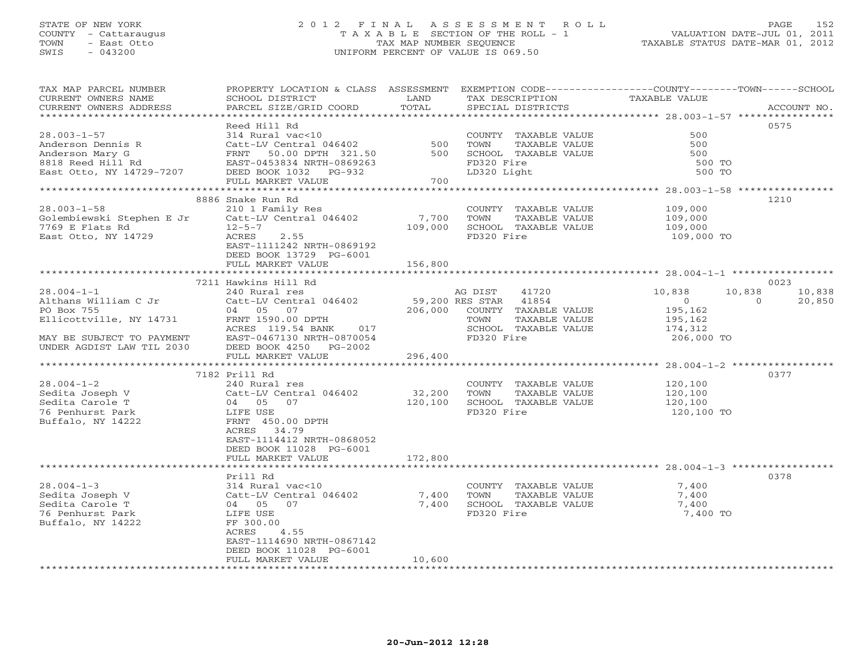## STATE OF NEW YORK 2 0 1 2 F I N A L A S S E S S M E N T R O L L PAGE 152 COUNTY - Cattaraugus T A X A B L E SECTION OF THE ROLL - 1 VALUATION DATE-JUL 01, 2011 TOWN - East Otto TAX MAP NUMBER SEQUENCE TAXABLE STATUS DATE-MAR 01, 2012 SWIS - 043200 UNIFORM PERCENT OF VALUE IS 069.50UNIFORM PERCENT OF VALUE IS 069.50

| TAX MAP PARCEL NUMBER<br>CURRENT OWNERS NAME<br>CURRENT OWNERS ADDRESS                                                                                                                                                                                                  | PROPERTY LOCATION & CLASS ASSESSMENT<br>SCHOOL DISTRICT<br>PARCEL SIZE/GRID COORD                                                                                                                                                                                                                                                                                                                                                          | LAND<br>TOTAL                                      | TAX DESCRIPTION<br>SPECIAL DISTRICTS                                                                                                                                                                                    | EXEMPTION CODE-----------------COUNTY-------TOWN------SCHOOL<br>TAXABLE VALUE                                                    | ACCOUNT NO.                                  |
|-------------------------------------------------------------------------------------------------------------------------------------------------------------------------------------------------------------------------------------------------------------------------|--------------------------------------------------------------------------------------------------------------------------------------------------------------------------------------------------------------------------------------------------------------------------------------------------------------------------------------------------------------------------------------------------------------------------------------------|----------------------------------------------------|-------------------------------------------------------------------------------------------------------------------------------------------------------------------------------------------------------------------------|----------------------------------------------------------------------------------------------------------------------------------|----------------------------------------------|
| ***********************                                                                                                                                                                                                                                                 |                                                                                                                                                                                                                                                                                                                                                                                                                                            |                                                    |                                                                                                                                                                                                                         |                                                                                                                                  |                                              |
| $28.003 - 1 - 57$<br>Anderson Dennis R<br>Anderson Mary G<br>8818 Reed Hill Rd<br>East Otto, NY 14729-7207                                                                                                                                                              | Reed Hill Rd<br>314 Rural vac<10<br>Catt-LV Central 046402<br>FRNT 50.00 DPTH 321.50<br>EAST-0453834 NRTH-0869263<br>DEED BOOK 1032 PG-932<br>FULL MARKET VALUE<br>*********************                                                                                                                                                                                                                                                   | 500<br>500<br>700<br>************                  | COUNTY TAXABLE VALUE<br>TOWN<br>TAXABLE VALUE<br>SCHOOL TAXABLE VALUE<br>FD320 Fire<br>LD320 Light                                                                                                                      | 500<br>500<br>500<br>500 TO<br>500 TO                                                                                            | 0575                                         |
|                                                                                                                                                                                                                                                                         |                                                                                                                                                                                                                                                                                                                                                                                                                                            |                                                    |                                                                                                                                                                                                                         | ******************** 28.003-1-58 *****************                                                                               | 1210                                         |
| $28.003 - 1 - 58$<br>Golembiewski Stephen E Jr<br>7769 E Flats Rd<br>East Otto, NY 14729                                                                                                                                                                                | 8886 Snake Run Rd<br>210 1 Family Res<br>Catt-LV Central 046402<br>$12 - 5 - 7$<br>2.55<br>ACRES<br>EAST-1111242 NRTH-0869192<br>DEED BOOK 13729 PG-6001                                                                                                                                                                                                                                                                                   | 7,700<br>109,000                                   | COUNTY TAXABLE VALUE<br>TOWN<br>TAXABLE VALUE<br>SCHOOL TAXABLE VALUE<br>FD320 Fire                                                                                                                                     | 109,000<br>109,000<br>109,000<br>109,000 TO                                                                                      |                                              |
|                                                                                                                                                                                                                                                                         | FULL MARKET VALUE                                                                                                                                                                                                                                                                                                                                                                                                                          | 156,800                                            |                                                                                                                                                                                                                         |                                                                                                                                  |                                              |
|                                                                                                                                                                                                                                                                         |                                                                                                                                                                                                                                                                                                                                                                                                                                            |                                                    |                                                                                                                                                                                                                         |                                                                                                                                  |                                              |
| $28.004 - 1 - 1$<br>Althans William C Jr<br>PO Box 755<br>Ellicottville, NY 14731<br>MAY BE SUBJECT TO PAYMENT<br>UNDER AGDIST LAW TIL 2030<br>*********************<br>$28.004 - 1 - 2$<br>Sedita Joseph V<br>Sedita Carole T<br>76 Penhurst Park<br>Buffalo, NY 14222 | 7211 Hawkins Hill Rd<br>240 Rural res<br>Catt-LV Central 046402<br>04 05 07<br>FRNT 1590.00 DPTH<br>ACRES 119.54 BANK<br>017<br>EAST-0467130 NRTH-0870054<br>DEED BOOK 4250 PG-2002<br>FULL MARKET VALUE<br>**************************<br>7182 Prill Rd<br>240 Rural res<br>Catt-LV Central 046402<br>04 05 07<br>LIFE USE<br>FRNT 450.00 DPTH<br>ACRES 34.79<br>EAST-1114412 NRTH-0868052<br>DEED BOOK 11028 PG-6001<br>FULL MARKET VALUE | 206,000<br>296,400<br>32,200<br>120,100<br>172,800 | 41720<br>AG DIST<br>59,200 RES STAR 41854<br>COUNTY TAXABLE VALUE<br>TAXABLE VALUE<br>TOWN<br>SCHOOL TAXABLE VALUE<br>FD320 Fire<br>COUNTY TAXABLE VALUE<br>TOWN<br>TAXABLE VALUE<br>SCHOOL TAXABLE VALUE<br>FD320 Fire | 10,838<br>10,838<br>$\overline{0}$<br>195,162<br>195,162<br>174,312<br>206,000 TO<br>120,100<br>120,100<br>120,100<br>120,100 TO | 0023<br>10,838<br>$\Omega$<br>20,850<br>0377 |
|                                                                                                                                                                                                                                                                         |                                                                                                                                                                                                                                                                                                                                                                                                                                            |                                                    |                                                                                                                                                                                                                         |                                                                                                                                  |                                              |
| $28.004 - 1 - 3$<br>Sedita Joseph V<br>Sedita Carole T<br>76 Penhurst Park<br>Buffalo, NY 14222                                                                                                                                                                         | Prill Rd<br>314 Rural vac<10<br>Catt-LV Central 046402<br>04 05 07<br>LIFE USE<br>FF 300.00<br>4.55<br>ACRES<br>EAST-1114690 NRTH-0867142<br>DEED BOOK 11028 PG-6001<br>FULL MARKET VALUE                                                                                                                                                                                                                                                  | 7,400<br>7,400<br>10,600                           | COUNTY TAXABLE VALUE<br>TOWN<br>TAXABLE VALUE<br>SCHOOL TAXABLE VALUE<br>FD320 Fire                                                                                                                                     | 7,400<br>7,400<br>7,400<br>7,400 TO                                                                                              | 0378                                         |
|                                                                                                                                                                                                                                                                         |                                                                                                                                                                                                                                                                                                                                                                                                                                            |                                                    | *******************************                                                                                                                                                                                         |                                                                                                                                  |                                              |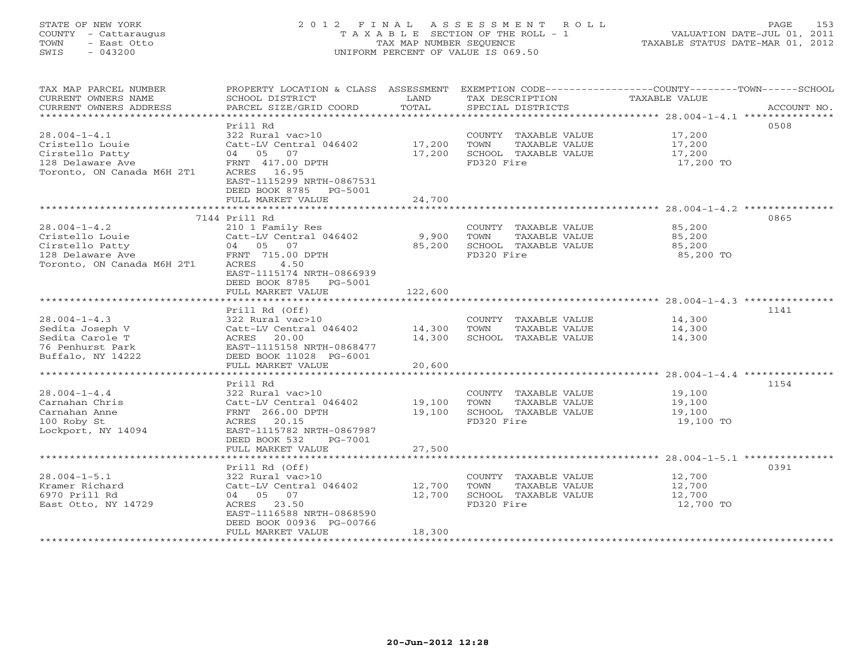## STATE OF NEW YORK 2 0 1 2 F I N A L A S S E S S M E N T R O L L PAGE 153 COUNTY - Cattaraugus T A X A B L E SECTION OF THE ROLL - 1 VALUATION DATE-JUL 01, 2011 TOWN - East Otto TAX MAP NUMBER SEQUENCE TAXABLE STATUS DATE-MAR 01, 2012 SWIS - 043200 UNIFORM PERCENT OF VALUE IS 069.50UNIFORM PERCENT OF VALUE IS 069.50

| TAX MAP PARCEL NUMBER<br>CURRENT OWNERS NAME | PROPERTY LOCATION & CLASS ASSESSMENT<br>SCHOOL DISTRICT | LAND    | TAX DESCRIPTION                    | EXEMPTION CODE-----------------COUNTY-------TOWN------SCHOOL<br>TAXABLE VALUE |
|----------------------------------------------|---------------------------------------------------------|---------|------------------------------------|-------------------------------------------------------------------------------|
| CURRENT OWNERS ADDRESS                       | PARCEL SIZE/GRID COORD                                  | TOTAL   | SPECIAL DISTRICTS                  | ACCOUNT NO.                                                                   |
| *************************                    |                                                         |         |                                    |                                                                               |
|                                              | Prill Rd                                                |         |                                    | 0508                                                                          |
| $28.004 - 1 - 4.1$                           | 322 Rural vac>10                                        |         | COUNTY TAXABLE VALUE               | 17,200                                                                        |
| Cristello Louie                              | Catt-LV Central 046402                                  | 17,200  | TOWN<br>TAXABLE VALUE              | 17,200                                                                        |
| Cirstello Patty                              | 04 05 07                                                | 17,200  | SCHOOL TAXABLE VALUE               | 17,200                                                                        |
| 128 Delaware Ave                             | FRNT 417.00 DPTH                                        |         | FD320 Fire                         | 17,200 TO                                                                     |
| Toronto, ON Canada M6H 2T1                   | ACRES 16.95                                             |         |                                    |                                                                               |
|                                              | EAST-1115299 NRTH-0867531                               |         |                                    |                                                                               |
|                                              | DEED BOOK 8785<br>PG-5001                               |         |                                    |                                                                               |
|                                              | FULL MARKET VALUE                                       | 24,700  |                                    |                                                                               |
|                                              |                                                         |         |                                    |                                                                               |
|                                              | 7144 Prill Rd                                           |         |                                    | 0865                                                                          |
| $28.004 - 1 - 4.2$                           | 210 1 Family Res                                        |         | COUNTY TAXABLE VALUE               | 85,200                                                                        |
| Cristello Louie                              | Catt-LV Central 046402                                  | 9,900   | TOWN<br>TAXABLE VALUE              | 85,200                                                                        |
| Cirstello Patty                              | 04 05 07                                                | 85,200  | SCHOOL TAXABLE VALUE               | 85,200                                                                        |
| 128 Delaware Ave                             | FRNT 715.00 DPTH                                        |         | FD320 Fire                         | 85,200 TO                                                                     |
| Toronto, ON Canada M6H 2T1                   | 4.50<br>ACRES                                           |         |                                    |                                                                               |
|                                              | EAST-1115174 NRTH-0866939                               |         |                                    |                                                                               |
|                                              | DEED BOOK 8785<br>PG-5001                               |         |                                    |                                                                               |
|                                              | FULL MARKET VALUE                                       | 122,600 |                                    |                                                                               |
|                                              |                                                         |         |                                    |                                                                               |
|                                              | Prill Rd (Off)                                          |         |                                    | 1141                                                                          |
| $28.004 - 1 - 4.3$                           | 322 Rural vac>10                                        |         | COUNTY TAXABLE VALUE               | 14,300                                                                        |
| Sedita Joseph V                              | Catt-LV Central 046402                                  | 14,300  | TOWN<br>TAXABLE VALUE              | 14,300                                                                        |
| Sedita Carole T                              | 20.00<br>ACRES                                          | 14,300  | SCHOOL TAXABLE VALUE               | 14,300                                                                        |
| 76 Penhurst Park                             | EAST-1115158 NRTH-0868477                               |         |                                    |                                                                               |
| Buffalo, NY 14222                            | DEED BOOK 11028 PG-6001                                 |         |                                    |                                                                               |
|                                              | FULL MARKET VALUE                                       | 20,600  |                                    |                                                                               |
|                                              |                                                         |         |                                    |                                                                               |
|                                              | Prill Rd                                                |         |                                    | 1154                                                                          |
| $28.004 - 1 - 4.4$                           | 322 Rural vac>10                                        |         | COUNTY TAXABLE VALUE               | 19,100                                                                        |
| Carnahan Chris                               | Catt-LV Central 046402                                  | 19,100  | TOWN<br>TAXABLE VALUE              | 19,100                                                                        |
| Carnahan Anne                                | FRNT 266.00 DPTH<br>ACRES 20.15                         | 19,100  | SCHOOL TAXABLE VALUE<br>FD320 Fire | 19,100                                                                        |
| 100 Roby St<br>Lockport, NY 14094            | EAST-1115782 NRTH-0867987                               |         |                                    | 19,100 TO                                                                     |
|                                              | DEED BOOK 532<br>PG-7001                                |         |                                    |                                                                               |
|                                              | FULL MARKET VALUE                                       | 27,500  |                                    |                                                                               |
|                                              |                                                         |         |                                    |                                                                               |
|                                              | Prill Rd (Off)                                          |         |                                    | 0391                                                                          |
| $28.004 - 1 - 5.1$                           | 322 Rural vac>10                                        |         | COUNTY TAXABLE VALUE               | 12,700                                                                        |
| Kramer Richard                               | Catt-LV Central 046402                                  | 12,700  | TOWN<br>TAXABLE VALUE              | 12,700                                                                        |
| 6970 Prill Rd                                | 04 05 07                                                | 12,700  | SCHOOL TAXABLE VALUE               | 12,700                                                                        |
| East Otto, NY 14729                          | 23.50<br>ACRES                                          |         | FD320 Fire                         | 12,700 TO                                                                     |
|                                              | EAST-1116588 NRTH-0868590                               |         |                                    |                                                                               |
|                                              | DEED BOOK 00936 PG-00766                                |         |                                    |                                                                               |
|                                              | FULL MARKET VALUE                                       | 18,300  |                                    |                                                                               |
|                                              |                                                         |         |                                    |                                                                               |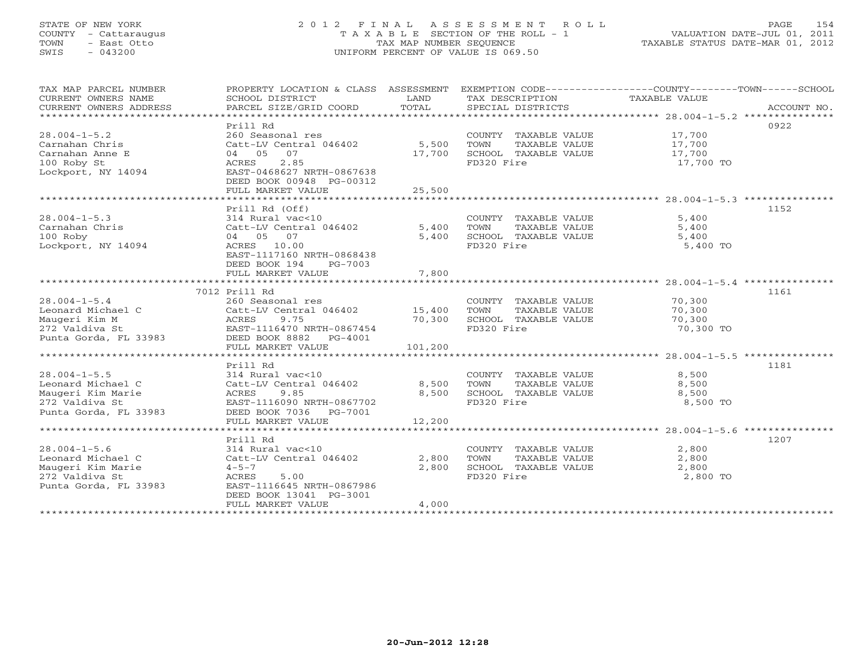## STATE OF NEW YORK 2 0 1 2 F I N A L A S S E S S M E N T R O L L PAGE 154 COUNTY - Cattaraugus T A X A B L E SECTION OF THE ROLL - 1 VALUATION DATE-JUL 01, 2011 TOWN - East Otto TAX MAP NUMBER SEQUENCE TAXABLE STATUS DATE-MAR 01, 2012 SWIS - 043200 UNIFORM PERCENT OF VALUE IS 069.50UNIFORM PERCENT OF VALUE IS 069.50

| TAX MAP PARCEL NUMBER<br>CURRENT OWNERS NAME<br>CURRENT OWNERS ADDRESS | PROPERTY LOCATION & CLASS ASSESSMENT<br>SCHOOL DISTRICT<br>PARCEL SIZE/GRID COORD | LAND<br>TOTAL | TAX DESCRIPTION TAXABLE VALUE<br>SPECIAL DISTRICTS | EXEMPTION CODE-----------------COUNTY-------TOWN------SCHOOL<br>ACCOUNT NO. |
|------------------------------------------------------------------------|-----------------------------------------------------------------------------------|---------------|----------------------------------------------------|-----------------------------------------------------------------------------|
|                                                                        |                                                                                   |               |                                                    |                                                                             |
|                                                                        | Prill Rd                                                                          |               |                                                    | 0922                                                                        |
| $28.004 - 1 - 5.2$                                                     | 260 Seasonal res                                                                  |               | COUNTY TAXABLE VALUE                               | 17,700                                                                      |
| Carnahan Chris                                                         | Catt-LV Central 046402                                                            | 5,500         | TAXABLE VALUE<br>TOWN                              | 17,700                                                                      |
| Carnahan Anne E                                                        | 04 05 07                                                                          | 17,700        | SCHOOL TAXABLE VALUE                               | 17,700                                                                      |
| 100 Roby St                                                            | 2.85<br>ACRES                                                                     |               | FD320 Fire                                         | 17,700 TO                                                                   |
| Lockport, NY 14094                                                     | EAST-0468627 NRTH-0867638                                                         |               |                                                    |                                                                             |
|                                                                        | DEED BOOK 00948 PG-00312                                                          |               |                                                    |                                                                             |
|                                                                        | FULL MARKET VALUE                                                                 | 25,500        |                                                    |                                                                             |
|                                                                        |                                                                                   |               |                                                    |                                                                             |
|                                                                        | Prill Rd (Off)                                                                    |               |                                                    | 1152                                                                        |
| $28.004 - 1 - 5.3$                                                     | 314 Rural vac<10                                                                  |               | COUNTY TAXABLE VALUE                               | 5,400                                                                       |
| Carnahan Chris                                                         | Catt-LV Central 046402                                                            | 5,400         | TOWN<br>TAXABLE VALUE                              | 5,400                                                                       |
| 100 Roby                                                               | 04 05 07                                                                          | 5,400         | SCHOOL TAXABLE VALUE                               | 5,400                                                                       |
| Lockport, NY 14094                                                     | ACRES 10.00                                                                       |               | FD320 Fire                                         | 5,400 TO                                                                    |
|                                                                        | EAST-1117160 NRTH-0868438                                                         |               |                                                    |                                                                             |
|                                                                        | DEED BOOK 194<br>PG-7003                                                          |               |                                                    |                                                                             |
|                                                                        | FULL MARKET VALUE                                                                 | 7,800         |                                                    |                                                                             |
|                                                                        |                                                                                   |               |                                                    |                                                                             |
|                                                                        | 7012 Prill Rd                                                                     |               |                                                    | 1161                                                                        |
| $28.004 - 1 - 5.4$                                                     | 260 Seasonal res                                                                  |               | COUNTY TAXABLE VALUE                               | 70,300                                                                      |
| Leonard Michael C                                                      | Catt-LV Central 046402 15,400                                                     |               | TAXABLE VALUE<br>TOWN                              | 70,300                                                                      |
| Maugeri Kim M                                                          | ACRES<br>9.75                                                                     | 70,300        | SCHOOL TAXABLE VALUE                               | 70,300                                                                      |
| 272 Valdiva St                                                         | EAST-1116470 NRTH-0867454                                                         |               | FD320 Fire                                         | 70,300 TO                                                                   |
| Punta Gorda, FL 33983                                                  | DEED BOOK 8882<br>PG-4001                                                         |               |                                                    |                                                                             |
|                                                                        | FULL MARKET VALUE                                                                 | 101,200       |                                                    |                                                                             |
|                                                                        |                                                                                   |               |                                                    |                                                                             |
|                                                                        | Prill Rd                                                                          |               |                                                    | 1181                                                                        |
| $28.004 - 1 - 5.5$                                                     | 314 Rural vac<10                                                                  |               | COUNTY TAXABLE VALUE 8,500                         |                                                                             |
| Leonard Michael C                                                      | Catt-LV Central 046402                                                            | 8,500         | TOWN<br>TAXABLE VALUE                              | 8,500                                                                       |
| Maugeri Kim Marie                                                      | 9.85<br>ACRES                                                                     | 8,500         | SCHOOL TAXABLE VALUE                               | 8,500                                                                       |
| 272 Valdiva St                                                         | EAST-1116090 NRTH-0867702                                                         |               | FD320 Fire                                         | 8,500 TO                                                                    |
| Punta Gorda, FL 33983                                                  | DEED BOOK 7036 PG-7001                                                            |               |                                                    |                                                                             |
|                                                                        | FULL MARKET VALUE                                                                 | 12,200        |                                                    |                                                                             |
|                                                                        |                                                                                   |               |                                                    |                                                                             |
|                                                                        | Prill Rd                                                                          |               |                                                    | 1207                                                                        |
| $28.004 - 1 - 5.6$                                                     | 314 Rural vac<10                                                                  |               | COUNTY TAXABLE VALUE                               | 2,800                                                                       |
| Leonard Michael C                                                      | Catt-LV Central 046402                                                            | 2,800         | TOWN<br>TAXABLE VALUE                              | 2,800                                                                       |
| Maugeri Kim Marie                                                      | $4 - 5 - 7$                                                                       | 2,800         | SCHOOL TAXABLE VALUE                               | 2,800                                                                       |
| 272 Valdiva St                                                         | ACRES<br>5.00                                                                     |               | FD320 Fire                                         | 2,800 TO                                                                    |
| Punta Gorda, FL 33983                                                  | EAST-1116645 NRTH-0867986                                                         |               |                                                    |                                                                             |
|                                                                        | DEED BOOK 13041 PG-3001                                                           |               |                                                    |                                                                             |
|                                                                        | FULL MARKET VALUE                                                                 | 4,000         |                                                    |                                                                             |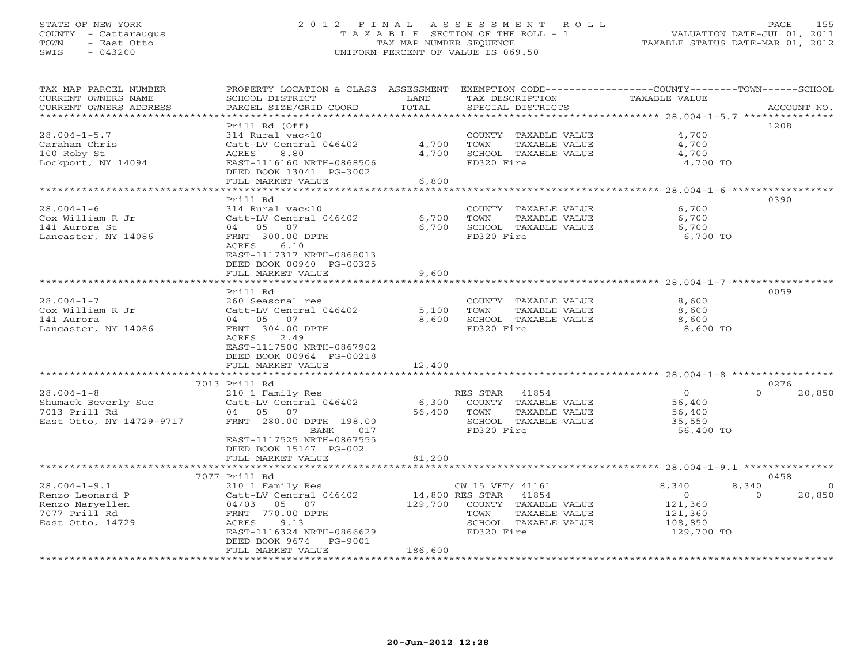## STATE OF NEW YORK 2 0 1 2 F I N A L A S S E S S M E N T R O L L PAGE 155 COUNTY - Cattaraugus T A X A B L E SECTION OF THE ROLL - 1 VALUATION DATE-JUL 01, 2011 TOWN - East Otto TAX MAP NUMBER SEQUENCE TAXABLE STATUS DATE-MAR 01, 2012 SWIS - 043200 UNIFORM PERCENT OF VALUE IS 069.50UNIFORM PERCENT OF VALUE IS 069.50

| TAX MAP PARCEL NUMBER<br>CURRENT OWNERS NAME | PROPERTY LOCATION & CLASS ASSESSMENT<br>SCHOOL DISTRICT | LAND                    | TAX DESCRIPTION          | EXEMPTION CODE----------------COUNTY-------TOWN-----SCHOOL<br>TAXABLE VALUE |             |
|----------------------------------------------|---------------------------------------------------------|-------------------------|--------------------------|-----------------------------------------------------------------------------|-------------|
| CURRENT OWNERS ADDRESS                       | PARCEL SIZE/GRID COORD                                  | TOTAL                   | SPECIAL DISTRICTS        |                                                                             | ACCOUNT NO. |
|                                              | Prill Rd (Off)                                          |                         |                          |                                                                             | 1208        |
| $28.004 - 1 - 5.7$                           | 314 Rural vac<10                                        |                         | COUNTY TAXABLE VALUE     | 4,700                                                                       |             |
| Carahan Chris                                | Catt-LV Central 046402                                  | 4,700                   | TOWN<br>TAXABLE VALUE    | 4,700                                                                       |             |
| 100 Roby St                                  | ACRES<br>8.80                                           | 4,700                   | SCHOOL TAXABLE VALUE     | 4,700                                                                       |             |
| Lockport, NY 14094                           | EAST-1116160 NRTH-0868506                               |                         | FD320 Fire               | 4,700 TO                                                                    |             |
|                                              | DEED BOOK 13041 PG-3002                                 |                         |                          |                                                                             |             |
|                                              | FULL MARKET VALUE                                       | 6,800                   |                          |                                                                             |             |
|                                              | ******************                                      | * * * * * * * * * * * * |                          | ****************** 28.004-1-6 ******************                            |             |
|                                              | Prill Rd                                                |                         |                          |                                                                             | 0390        |
| $28.004 - 1 - 6$                             | 314 Rural vac<10                                        |                         | COUNTY TAXABLE VALUE     | 6,700                                                                       |             |
| Cox William R Jr                             | Catt-LV Central 046402                                  | 6,700                   | TOWN<br>TAXABLE VALUE    | 6,700                                                                       |             |
| 141 Aurora St                                | 04 05 07                                                | 6,700                   | SCHOOL TAXABLE VALUE     | 6,700                                                                       |             |
| Lancaster, NY 14086                          | FRNT 300.00 DPTH                                        |                         | FD320 Fire               | 6,700 TO                                                                    |             |
|                                              | 6.10<br>ACRES                                           |                         |                          |                                                                             |             |
|                                              | EAST-1117317 NRTH-0868013                               |                         |                          |                                                                             |             |
|                                              | DEED BOOK 00940 PG-00325                                |                         |                          |                                                                             |             |
|                                              | FULL MARKET VALUE                                       | 9,600                   |                          |                                                                             |             |
|                                              | ********************                                    | * * * * * * * * * *     |                          | ********************* 28.004-1-7 ****************                           |             |
|                                              | Prill Rd                                                |                         |                          |                                                                             | 0059        |
| $28.004 - 1 - 7$                             | 260 Seasonal res                                        |                         | COUNTY TAXABLE VALUE     | 8,600                                                                       |             |
| Cox William R Jr                             | Catt-LV Central 046402                                  | 5,100                   | TOWN<br>TAXABLE VALUE    | 8,600                                                                       |             |
| 141 Aurora                                   | 04 05 07                                                | 8,600                   | SCHOOL TAXABLE VALUE     | 8,600                                                                       |             |
| Lancaster, NY 14086                          | FRNT 304.00 DPTH                                        |                         | FD320 Fire               | 8,600 TO                                                                    |             |
|                                              | 2.49<br>ACRES                                           |                         |                          |                                                                             |             |
|                                              | EAST-1117500 NRTH-0867902                               |                         |                          |                                                                             |             |
|                                              | DEED BOOK 00964 PG-00218                                |                         |                          |                                                                             |             |
|                                              | FULL MARKET VALUE                                       | 12,400                  |                          |                                                                             |             |
|                                              | 7013 Prill Rd                                           |                         |                          |                                                                             | 0276        |
| $28.004 - 1 - 8$                             | 210 1 Family Res                                        |                         | RES STAR 41854           | $\overline{O}$<br>$\Omega$                                                  | 20,850      |
| Shumack Beverly Sue                          | Catt-LV Central 046402                                  | 6,300                   | COUNTY TAXABLE VALUE     | 56,400                                                                      |             |
| 7013 Prill Rd                                | 04 05 07                                                | 56,400                  | TOWN<br>TAXABLE VALUE    | 56,400                                                                      |             |
| East Otto, NY 14729-9717                     | FRNT 280.00 DPTH 198.00                                 |                         | SCHOOL TAXABLE VALUE     | 35,550                                                                      |             |
|                                              | BANK<br>017                                             |                         | FD320 Fire               | 56,400 TO                                                                   |             |
|                                              | EAST-1117525 NRTH-0867555                               |                         |                          |                                                                             |             |
|                                              | DEED BOOK 15147 PG-002                                  |                         |                          |                                                                             |             |
|                                              | FULL MARKET VALUE                                       | 81,200                  |                          |                                                                             |             |
|                                              |                                                         |                         |                          |                                                                             |             |
|                                              | 7077 Prill Rd                                           |                         |                          |                                                                             | 0458        |
| $28.004 - 1 - 9.1$                           | 210 1 Family Res                                        |                         | CW_15_VET/ 41161         | 8,340<br>8,340                                                              | $\Omega$    |
| Renzo Leonard P                              | Catt-LV Central 046402                                  |                         | 14,800 RES STAR<br>41854 | $\circ$<br>$\Omega$                                                         | 20,850      |
| Renzo Maryellen                              | 04/03 05 07                                             | 129,700                 | COUNTY TAXABLE VALUE     | 121,360                                                                     |             |
| 7077 Prill Rd                                | FRNT 770.00 DPTH                                        |                         | TOWN<br>TAXABLE VALUE    | 121,360                                                                     |             |
| East Otto, 14729                             | ACRES<br>9.13                                           |                         | SCHOOL TAXABLE VALUE     | 108,850                                                                     |             |
|                                              | EAST-1116324 NRTH-0866629                               |                         | FD320 Fire               | 129,700 TO                                                                  |             |
|                                              | DEED BOOK 9674<br>PG-9001                               |                         |                          |                                                                             |             |
|                                              | FULL MARKET VALUE                                       | 186,600                 |                          |                                                                             |             |
| ************************                     |                                                         |                         |                          |                                                                             |             |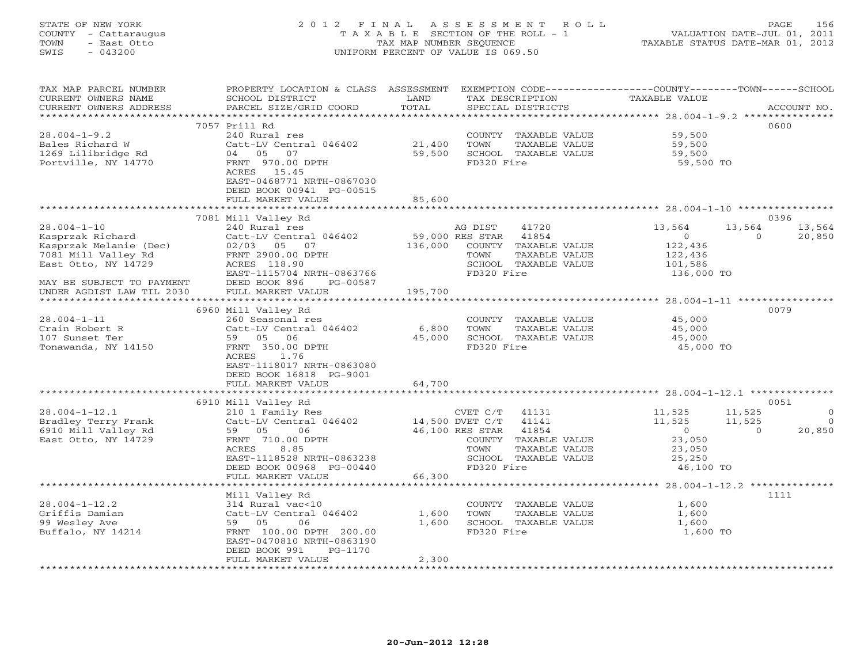## STATE OF NEW YORK 2 0 1 2 F I N A L A S S E S S M E N T R O L L PAGE 156 COUNTY - Cattaraugus T A X A B L E SECTION OF THE ROLL - 1 VALUATION DATE-JUL 01, 2011 TOWN - East Otto TAX MAP NUMBER SEQUENCE TAXABLE STATUS DATE-MAR 01, 2012 SWIS - 043200 UNIFORM PERCENT OF VALUE IS 069.50UNIFORM PERCENT OF VALUE IS 069.50

| TAX MAP PARCEL NUMBER<br>CURRENT OWNERS NAME<br>CURRENT OWNERS ADDRESS                                                                     | PROPERTY LOCATION & CLASS ASSESSMENT<br>SCHOOL DISTRICT<br>PARCEL SIZE/GRID COORD                                                                                                               | LAND<br>TOTAL              | TAX DESCRIPTION<br>SPECIAL DISTRICTS                                                                                                                             | EXEMPTION CODE-----------------COUNTY-------TOWN------SCHOOL<br>TAXABLE VALUE                     | ACCOUNT NO.                                            |
|--------------------------------------------------------------------------------------------------------------------------------------------|-------------------------------------------------------------------------------------------------------------------------------------------------------------------------------------------------|----------------------------|------------------------------------------------------------------------------------------------------------------------------------------------------------------|---------------------------------------------------------------------------------------------------|--------------------------------------------------------|
| **********************<br>$28.004 - 1 - 9.2$<br>Bales Richard W<br>1269 Lilibridge Rd<br>Portville, NY 14770                               | 7057 Prill Rd<br>240 Rural res<br>Catt-LV Central 046402<br>04 05 07<br>FRNT 970.00 DPTH<br>15.45<br>ACRES<br>EAST-0468771 NRTH-0867030<br>DEED BOOK 00941 PG-00515<br>FULL MARKET VALUE        | 21,400<br>59,500<br>85,600 | COUNTY TAXABLE VALUE<br>TOWN<br>TAXABLE VALUE<br>SCHOOL TAXABLE VALUE<br>FD320 Fire                                                                              | 59,500<br>59,500<br>59,500<br>59,500 TO                                                           | 0600                                                   |
| $28.004 - 1 - 10$<br>Kasprzak Richard<br>Kasprzak Melanie (Dec)<br>7081 Mill Valley Rd<br>East Otto, NY 14729<br>MAY BE SUBJECT TO PAYMENT | 7081 Mill Valley Rd<br>240 Rural res<br>Catt-LV Central 046402<br>$02/03$ 05 07<br>FRNT 2900.00 DPTH<br>ACRES 118.90<br>EAST-1115704 NRTH-0863766<br>DEED BOOK 896<br>PG-00587                  | 136,000                    | AG DIST<br>41720<br>59,000 RES STAR<br>41854<br>COUNTY TAXABLE VALUE<br>TOWN<br>TAXABLE VALUE<br>SCHOOL TAXABLE VALUE<br>FD320 Fire                              | 13,564<br>13,564<br>$\overline{0}$<br>122,436<br>122,436<br>101,586<br>136,000 TO                 | 0396<br>13,564<br>20,850<br>$\Omega$                   |
| UNDER AGDIST LAW TIL 2030<br>*********************                                                                                         | FULL MARKET VALUE<br>*************************                                                                                                                                                  | 195,700<br>*************   | ************************                                                                                                                                         | $28.004 - 1 - 11$ *****************                                                               |                                                        |
| $28.004 - 1 - 11$<br>Crain Robert R<br>107 Sunset Ter<br>Tonawanda, NY 14150                                                               | 6960 Mill Valley Rd<br>260 Seasonal res<br>Catt-LV Central 046402<br>59 05 06<br>FRNT 350.00 DPTH<br>ACRES<br>1.76<br>EAST-1118017 NRTH-0863080<br>DEED BOOK 16818 PG-9001<br>FULL MARKET VALUE | 6,800<br>45,000<br>64,700  | COUNTY TAXABLE VALUE<br>TOWN<br>TAXABLE VALUE<br>SCHOOL TAXABLE VALUE<br>FD320 Fire                                                                              | 45,000<br>45,000<br>45,000<br>45,000 TO                                                           | 0079                                                   |
|                                                                                                                                            | 6910 Mill Valley Rd                                                                                                                                                                             |                            |                                                                                                                                                                  |                                                                                                   | 0051                                                   |
| $28.004 - 1 - 12.1$<br>Bradley Terry Frank<br>6910 Mill Valley Rd<br>East Otto, NY 14729                                                   | 210 1 Family Res<br>Catt-LV Central 046402<br>59 05<br>06<br>FRNT 710.00 DPTH<br>ACRES<br>8.85<br>EAST-1118528 NRTH-0863238<br>DEED BOOK 00968 PG-00440                                         |                            | CVET C/T<br>41131<br>14,500 DVET C/T<br>41141<br>46,100 RES STAR<br>41854<br>COUNTY TAXABLE VALUE<br>TOWN<br>TAXABLE VALUE<br>SCHOOL TAXABLE VALUE<br>FD320 Fire | 11,525<br>11,525<br>11,525<br>11,525<br>$\overline{0}$<br>23,050<br>23,050<br>25,250<br>46,100 TO | $\overline{0}$<br>$\overline{0}$<br>20,850<br>$\Omega$ |
|                                                                                                                                            | FULL MARKET VALUE                                                                                                                                                                               | 66,300                     |                                                                                                                                                                  | ***************** 28.004-1-12.2 **************                                                    |                                                        |
| $28.004 - 1 - 12.2$<br>Griffis Damian<br>99 Wesley Ave<br>Buffalo, NY 14214                                                                | Mill Valley Rd<br>314 Rural vac<10<br>Catt-LV Central 046402<br>59 05<br>06<br>FRNT 100.00 DPTH 200.00<br>EAST-0470810 NRTH-0863190<br>DEED BOOK 991<br>$PG-1170$<br>FULL MARKET VALUE          | 1,600<br>1,600<br>2,300    | COUNTY TAXABLE VALUE<br>TOWN<br>TAXABLE VALUE<br>SCHOOL TAXABLE VALUE<br>FD320 Fire                                                                              | 1,600<br>1,600<br>1,600<br>1,600 TO                                                               | 1111                                                   |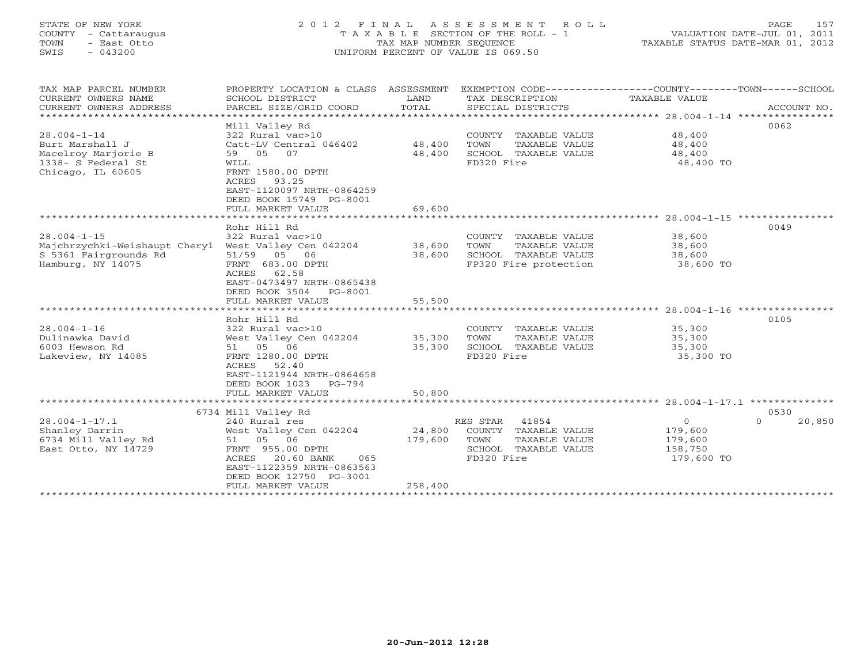## STATE OF NEW YORK 2 0 1 2 F I N A L A S S E S S M E N T R O L L PAGE 157 COUNTY - Cattaraugus T A X A B L E SECTION OF THE ROLL - 1 VALUATION DATE-JUL 01, 2011 TOWN - East Otto TAX MAP NUMBER SEQUENCE TAXABLE STATUS DATE-MAR 01, 2012 SWIS - 043200 UNIFORM PERCENT OF VALUE IS 069.50UNIFORM PERCENT OF VALUE IS 069.50

| TAX MAP PARCEL NUMBER<br>CURRENT OWNERS NAME<br>CURRENT OWNERS ADDRESS                                 | PROPERTY LOCATION & CLASS ASSESSMENT<br>SCHOOL DISTRICT<br>PARCEL SIZE/GRID COORD                                                                                                                         | LAND<br>TOTAL                | EXEMPTION CODE-----------------COUNTY-------TOWN------SCHOOL<br>TAX DESCRIPTION<br>SPECIAL DISTRICTS     | TAXABLE VALUE                                          | ACCOUNT NO.                    |
|--------------------------------------------------------------------------------------------------------|-----------------------------------------------------------------------------------------------------------------------------------------------------------------------------------------------------------|------------------------------|----------------------------------------------------------------------------------------------------------|--------------------------------------------------------|--------------------------------|
| $28.004 - 1 - 14$<br>Burt Marshall J<br>Macelroy Marjorie B<br>1338- S Federal St<br>Chicago, IL 60605 | Mill Valley Rd<br>322 Rural vac>10<br>Catt-LV Central 046402<br>59 05 07<br>WILL<br>FRNT 1580.00 DPTH<br>ACRES<br>93.25<br>EAST-1120097 NRTH-0864259<br>DEED BOOK 15749 PG-8001<br>FULL MARKET VALUE      | 48,400<br>48,400<br>69,600   | COUNTY TAXABLE VALUE<br>TOWN<br>TAXABLE VALUE<br>SCHOOL TAXABLE VALUE<br>FD320 Fire                      | 48,400<br>48,400<br>48,400<br>48,400 TO                | 0062                           |
|                                                                                                        |                                                                                                                                                                                                           |                              |                                                                                                          |                                                        |                                |
| $28.004 - 1 - 15$<br>Majchrzychki-Weishaupt Cheryl<br>S 5361 Fairgrounds Rd<br>Hamburg, NY 14075       | Rohr Hill Rd<br>322 Rural vac>10<br>West Valley Cen 042204<br>51/59<br>05 06<br>FRNT 683.00 DPTH<br>62.58<br>ACRES<br>EAST-0473497 NRTH-0865438<br>DEED BOOK 3504<br>PG-8001                              | 38,600<br>38,600             | COUNTY TAXABLE VALUE<br>TOWN<br>TAXABLE VALUE<br>SCHOOL TAXABLE VALUE<br>FP320 Fire protection           | 38,600<br>38,600<br>38,600<br>38,600 TO                | 0049                           |
|                                                                                                        | FULL MARKET VALUE                                                                                                                                                                                         | 55,500                       |                                                                                                          |                                                        |                                |
|                                                                                                        | ************************                                                                                                                                                                                  | **********                   |                                                                                                          |                                                        |                                |
| $28.004 - 1 - 16$<br>Dulinawka David<br>6003 Hewson Rd<br>Lakeview, NY 14085                           | Rohr Hill Rd<br>322 Rural vac>10<br>West Valley Cen 042204<br>51 05 06<br>FRNT 1280.00 DPTH<br>ACRES<br>52.40<br>EAST-1121944 NRTH-0864658<br>DEED BOOK 1023<br>PG-794                                    | 35,300<br>35,300             | COUNTY TAXABLE VALUE<br>TOWN<br>TAXABLE VALUE<br>SCHOOL TAXABLE VALUE<br>FD320 Fire                      | 35,300<br>35,300<br>35,300<br>35,300 TO                | 0105                           |
|                                                                                                        | FULL MARKET VALUE                                                                                                                                                                                         | 50,800                       |                                                                                                          |                                                        |                                |
|                                                                                                        |                                                                                                                                                                                                           |                              |                                                                                                          |                                                        |                                |
| $28.004 - 1 - 17.1$<br>Shanley Darrin<br>6734 Mill Valley Rd<br>East Otto, NY 14729                    | 6734 Mill Valley Rd<br>240 Rural res<br>West Valley Cen 042204<br>51 05 06<br>FRNT 955.00 DPTH<br>20.60 BANK<br>ACRES<br>065<br>EAST-1122359 NRTH-0863563<br>DEED BOOK 12750 PG-3001<br>FULL MARKET VALUE | 24,800<br>179,600<br>258,400 | RES STAR<br>41854<br>COUNTY TAXABLE VALUE<br>TOWN<br>TAXABLE VALUE<br>SCHOOL TAXABLE VALUE<br>FD320 Fire | $\circ$<br>179,600<br>179,600<br>158,750<br>179,600 TO | 0530<br>$\mathbf{O}$<br>20,850 |
|                                                                                                        | **********************                                                                                                                                                                                    |                              |                                                                                                          |                                                        |                                |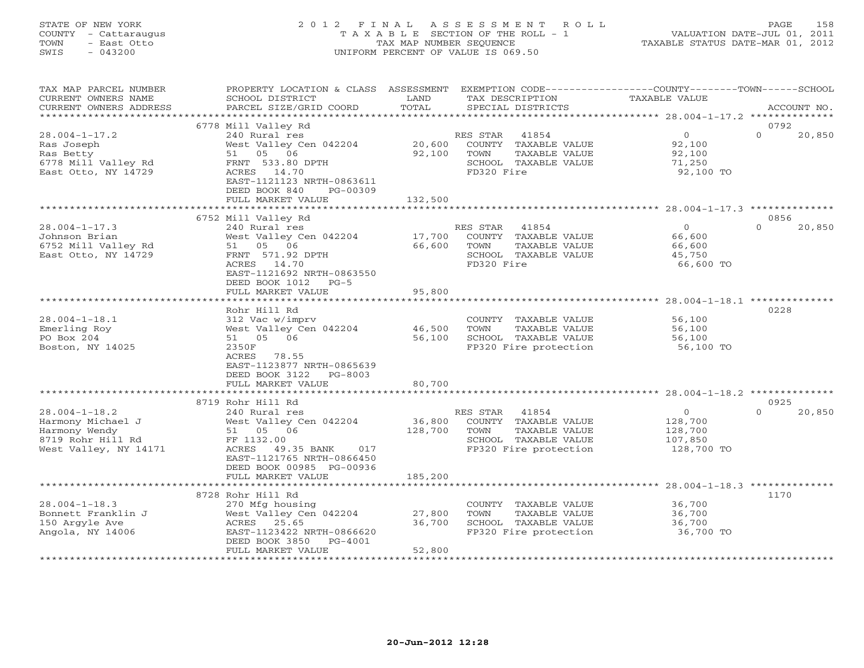## STATE OF NEW YORK 2 0 1 2 F I N A L A S S E S S M E N T R O L L PAGE 158 COUNTY - Cattaraugus T A X A B L E SECTION OF THE ROLL - 1 VALUATION DATE-JUL 01, 2011 TOWN - East Otto TAX MAP NUMBER SEQUENCE TAXABLE STATUS DATE-MAR 01, 2012 SWIS - 043200 UNIFORM PERCENT OF VALUE IS 069.50UNIFORM PERCENT OF VALUE IS 069.50

| TAX MAP PARCEL NUMBER<br>CURRENT OWNERS NAME<br>CURRENT OWNERS ADDRESS                                  | PROPERTY LOCATION & CLASS ASSESSMENT<br>SCHOOL DISTRICT<br>PARCEL SIZE/GRID COORD                                                                                 | LAND<br>TOTAL              | TAX DESCRIPTION<br>SPECIAL DISTRICTS                                                                             | EXEMPTION CODE-----------------COUNTY-------TOWN------SCHOOL<br>TAXABLE VALUE | ACCOUNT NO.        |
|---------------------------------------------------------------------------------------------------------|-------------------------------------------------------------------------------------------------------------------------------------------------------------------|----------------------------|------------------------------------------------------------------------------------------------------------------|-------------------------------------------------------------------------------|--------------------|
| ************************                                                                                |                                                                                                                                                                   |                            |                                                                                                                  |                                                                               |                    |
|                                                                                                         | 6778 Mill Valley Rd                                                                                                                                               |                            |                                                                                                                  |                                                                               | 0792               |
| $28.004 - 1 - 17.2$<br>Ras Joseph<br>Ras Betty<br>6778 Mill Valley Rd<br>East Otto, NY 14729            | 240 Rural res<br>West Valley Cen 042204<br>51 05 06<br>FRNT 533.80 DPTH<br>ACRES 14.70<br>EAST-1121123 NRTH-0863611<br>DEED BOOK 840<br>PG-00309                  | 20,600<br>92,100           | 41854<br>RES STAR<br>COUNTY TAXABLE VALUE<br>TOWN<br>TAXABLE VALUE<br>SCHOOL TAXABLE VALUE<br>FD320 Fire         | $\overline{0}$<br>92,100<br>92,100<br>71,250<br>92,100 TO                     | $\Omega$<br>20,850 |
|                                                                                                         | FULL MARKET VALUE                                                                                                                                                 | 132,500                    |                                                                                                                  |                                                                               |                    |
|                                                                                                         |                                                                                                                                                                   |                            |                                                                                                                  |                                                                               |                    |
|                                                                                                         | 6752 Mill Valley Rd                                                                                                                                               |                            |                                                                                                                  |                                                                               | 0856               |
| $28.004 - 1 - 17.3$<br>Johnson Brian<br>6752 Mill Valley Rd<br>East Otto, NY 14729                      | 240 Rural res<br>West Valley Cen 042204<br>51 05 06<br>FRNT 571.92 DPTH<br>ACRES 14.70<br>EAST-1121692 NRTH-0863550<br>DEED BOOK 1012 PG-5                        | 17,700<br>66,600           | RES STAR<br>41854<br>COUNTY TAXABLE VALUE<br>TOWN<br>TAXABLE VALUE<br>SCHOOL TAXABLE VALUE<br>FD320 Fire         | $\Omega$<br>66,600<br>66,600<br>45,750<br>66,600 TO                           | $\Omega$<br>20,850 |
|                                                                                                         | FULL MARKET VALUE                                                                                                                                                 | 95,800                     |                                                                                                                  |                                                                               |                    |
|                                                                                                         |                                                                                                                                                                   |                            |                                                                                                                  |                                                                               |                    |
|                                                                                                         | Rohr Hill Rd                                                                                                                                                      |                            |                                                                                                                  |                                                                               | 0228               |
| $28.004 - 1 - 18.1$<br>Emerling Roy<br>PO Box 204<br>Boston, NY 14025                                   | 312 Vac w/imprv<br>West Valley Cen 042204<br>51 05 06<br>2350F<br>ACRES<br>78.55<br>EAST-1123877 NRTH-0865639<br>DEED BOOK 3122<br>$PG-8003$<br>FULL MARKET VALUE | 46,500<br>56,100<br>80,700 | COUNTY TAXABLE VALUE<br>TOWN<br>TAXABLE VALUE<br>SCHOOL TAXABLE VALUE<br>FP320 Fire protection                   | 56,100<br>56,100<br>56,100<br>56,100 TO                                       |                    |
|                                                                                                         | *************************                                                                                                                                         |                            |                                                                                                                  |                                                                               |                    |
|                                                                                                         | 8719 Rohr Hill Rd                                                                                                                                                 |                            |                                                                                                                  |                                                                               | 0925               |
| $28.004 - 1 - 18.2$<br>Harmony Michael J<br>Harmony Wendy<br>8719 Rohr Hill Rd<br>West Valley, NY 14171 | 240 Rural res<br>West Valley Cen 042204<br>51 05 06<br>FF 1132.00<br>ACRES<br>49.35 BANK<br>017<br>EAST-1121765 NRTH-0866450<br>DEED BOOK 00985 PG-00936          | 36,800<br>128,700          | RES STAR 41854<br>COUNTY TAXABLE VALUE<br>TOWN<br>TAXABLE VALUE<br>SCHOOL TAXABLE VALUE<br>FP320 Fire protection | $\overline{0}$<br>128,700<br>128,700<br>107,850<br>128,700 TO                 | $\cap$<br>20,850   |
|                                                                                                         | FULL MARKET VALUE                                                                                                                                                 | 185,200                    |                                                                                                                  |                                                                               |                    |
|                                                                                                         | ***************************                                                                                                                                       | **************             |                                                                                                                  |                                                                               |                    |
| $28.004 - 1 - 18.3$<br>Bonnett Franklin J<br>150 Argyle Ave<br>Angola, NY 14006                         | 8728 Rohr Hill Rd<br>270 Mfg housing<br>West Valley Cen 042204<br>ACRES 25.65<br>EAST-1123422 NRTH-0866620<br>DEED BOOK 3850<br>PG-4001                           | 27,800<br>36,700           | COUNTY TAXABLE VALUE<br>TAXABLE VALUE<br>TOWN<br>SCHOOL TAXABLE VALUE<br>FP320 Fire protection                   | 36,700<br>36,700<br>36,700<br>36,700 TO                                       | 1170               |
|                                                                                                         | FULL MARKET VALUE                                                                                                                                                 | 52,800                     |                                                                                                                  |                                                                               |                    |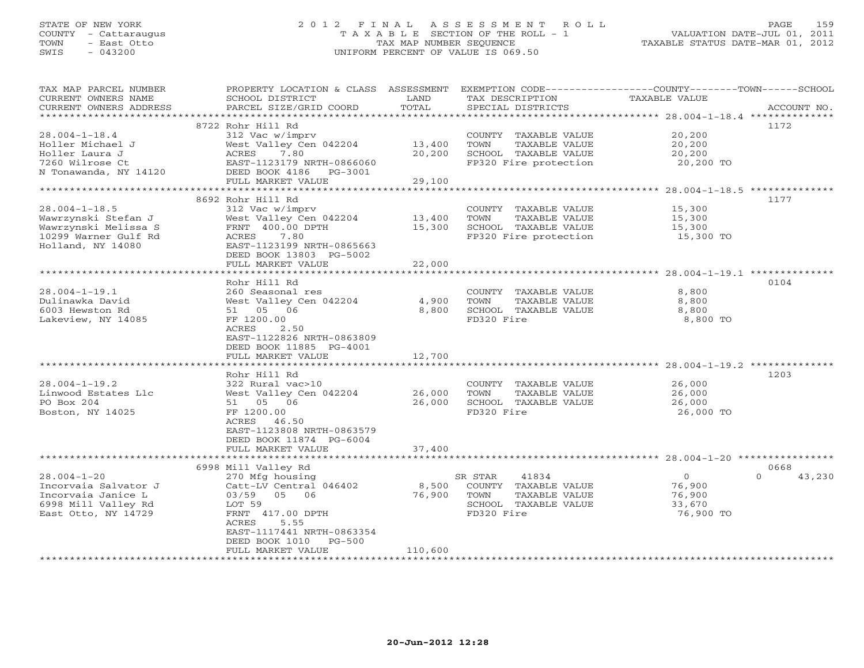## STATE OF NEW YORK 2 0 1 2 F I N A L A S S E S S M E N T R O L L PAGE 159 COUNTY - Cattaraugus T A X A B L E SECTION OF THE ROLL - 1 VALUATION DATE-JUL 01, 2011 TOWN - East Otto TAX MAP NUMBER SEQUENCE TAXABLE STATUS DATE-MAR 01, 2012 SWIS - 043200 UNIFORM PERCENT OF VALUE IS 069.50UNIFORM PERCENT OF VALUE IS 069.50

| TAX MAP PARCEL NUMBER<br>CURRENT OWNERS NAME<br>CURRENT OWNERS ADDRESS | PROPERTY LOCATION & CLASS ASSESSMENT<br>SCHOOL DISTRICT<br>PARCEL SIZE/GRID COORD | LAND<br>TOTAL | EXEMPTION CODE-----------------COUNTY-------TOWN------SCHOOL<br>TAX DESCRIPTION<br>SPECIAL DISTRICTS | TAXABLE VALUE       | ACCOUNT NO.        |
|------------------------------------------------------------------------|-----------------------------------------------------------------------------------|---------------|------------------------------------------------------------------------------------------------------|---------------------|--------------------|
| **********************                                                 |                                                                                   |               |                                                                                                      |                     |                    |
| $28.004 - 1 - 18.4$<br>Holler Michael J                                | 8722 Rohr Hill Rd<br>312 Vac w/imprv<br>West Valley Cen 042204                    | 13,400        | COUNTY TAXABLE VALUE<br>TOWN<br>TAXABLE VALUE                                                        | 20,200<br>20,200    | 1172               |
| Holler Laura J<br>7260 Wilrose Ct                                      | ACRES<br>7.80<br>EAST-1123179 NRTH-0866060                                        | 20,200        | SCHOOL TAXABLE VALUE<br>FP320 Fire protection                                                        | 20,200<br>20,200 TO |                    |
| N Tonawanda, NY 14120                                                  | DEED BOOK 4186<br>PG-3001<br>FULL MARKET VALUE                                    | 29,100        |                                                                                                      |                     |                    |
|                                                                        | ************************                                                          |               |                                                                                                      |                     |                    |
|                                                                        | 8692 Rohr Hill Rd                                                                 |               |                                                                                                      |                     | 1177               |
| $28.004 - 1 - 18.5$                                                    | 312 Vac w/imprv                                                                   |               | COUNTY TAXABLE VALUE                                                                                 | 15,300              |                    |
| Wawrzynski Stefan J                                                    | West Valley Cen 042204                                                            | 13,400        | TOWN<br>TAXABLE VALUE                                                                                | 15,300              |                    |
| Wawrzynski Melissa S                                                   | FRNT 400.00 DPTH                                                                  | 15,300        | SCHOOL TAXABLE VALUE                                                                                 | 15,300              |                    |
| 10299 Warner Gulf Rd<br>Holland, NY 14080                              | ACRES<br>7.80<br>EAST-1123199 NRTH-0865663<br>DEED BOOK 13803 PG-5002             |               | FP320 Fire protection                                                                                | 15,300 TO           |                    |
|                                                                        | FULL MARKET VALUE                                                                 | 22,000        |                                                                                                      |                     |                    |
|                                                                        |                                                                                   |               |                                                                                                      |                     |                    |
|                                                                        | Rohr Hill Rd                                                                      |               |                                                                                                      |                     | 0104               |
| $28.004 - 1 - 19.1$<br>Dulinawka David                                 | 260 Seasonal res<br>West Valley Cen 042204                                        | 4,900         | COUNTY TAXABLE VALUE<br>TOWN<br>TAXABLE VALUE                                                        | 8,800<br>8,800      |                    |
| 6003 Hewston Rd                                                        | 51 05 06                                                                          | 8,800         | SCHOOL TAXABLE VALUE                                                                                 | 8,800               |                    |
| Lakeview, NY 14085                                                     | FF 1200.00                                                                        |               | FD320 Fire                                                                                           | 8,800 TO            |                    |
|                                                                        | ACRES<br>2.50                                                                     |               |                                                                                                      |                     |                    |
|                                                                        | EAST-1122826 NRTH-0863809                                                         |               |                                                                                                      |                     |                    |
|                                                                        | DEED BOOK 11885 PG-4001                                                           |               |                                                                                                      |                     |                    |
|                                                                        | FULL MARKET VALUE                                                                 | 12,700        |                                                                                                      |                     |                    |
|                                                                        |                                                                                   |               |                                                                                                      |                     |                    |
|                                                                        | Rohr Hill Rd                                                                      |               |                                                                                                      |                     | 1203               |
| $28.004 - 1 - 19.2$                                                    | 322 Rural vac>10                                                                  |               | COUNTY TAXABLE VALUE                                                                                 | 26,000              |                    |
| Linwood Estates Llc                                                    | West Valley Cen 042204                                                            | 26,000        | TAXABLE VALUE<br>TOWN                                                                                | 26,000              |                    |
| PO Box 204                                                             | 51 05 06                                                                          | 26,000        | SCHOOL TAXABLE VALUE                                                                                 | 26,000              |                    |
| Boston, NY 14025                                                       | FF 1200.00                                                                        |               | FD320 Fire                                                                                           | 26,000 TO           |                    |
|                                                                        | ACRES 46.50                                                                       |               |                                                                                                      |                     |                    |
|                                                                        | EAST-1123808 NRTH-0863579                                                         |               |                                                                                                      |                     |                    |
|                                                                        | DEED BOOK 11874 PG-6004                                                           |               |                                                                                                      |                     |                    |
|                                                                        | FULL MARKET VALUE                                                                 | 37,400        |                                                                                                      |                     |                    |
|                                                                        | 6998 Mill Valley Rd                                                               |               |                                                                                                      |                     | 0668               |
| $28.004 - 1 - 20$                                                      | 270 Mfg housing                                                                   |               | SR STAR<br>41834                                                                                     | $\circ$             | $\Omega$<br>43,230 |
| Incorvaia Salvator J                                                   | Catt-LV Central 046402                                                            | 8,500         | COUNTY TAXABLE VALUE                                                                                 | 76,900              |                    |
| Incorvaia Janice L                                                     | 03/59 05 06                                                                       | 76,900        | TOWN<br>TAXABLE VALUE                                                                                | 76,900              |                    |
| 6998 Mill Valley Rd                                                    | LOT 59                                                                            |               | SCHOOL TAXABLE VALUE                                                                                 | 33,670              |                    |
| East Otto, NY 14729                                                    | FRNT 417.00 DPTH                                                                  |               | FD320 Fire                                                                                           | 76,900 TO           |                    |
|                                                                        | ACRES<br>5.55                                                                     |               |                                                                                                      |                     |                    |
|                                                                        | EAST-1117441 NRTH-0863354                                                         |               |                                                                                                      |                     |                    |
|                                                                        | DEED BOOK 1010<br>$PG-500$                                                        |               |                                                                                                      |                     |                    |
| ************************                                               | FULL MARKET VALUE                                                                 | 110,600       |                                                                                                      |                     |                    |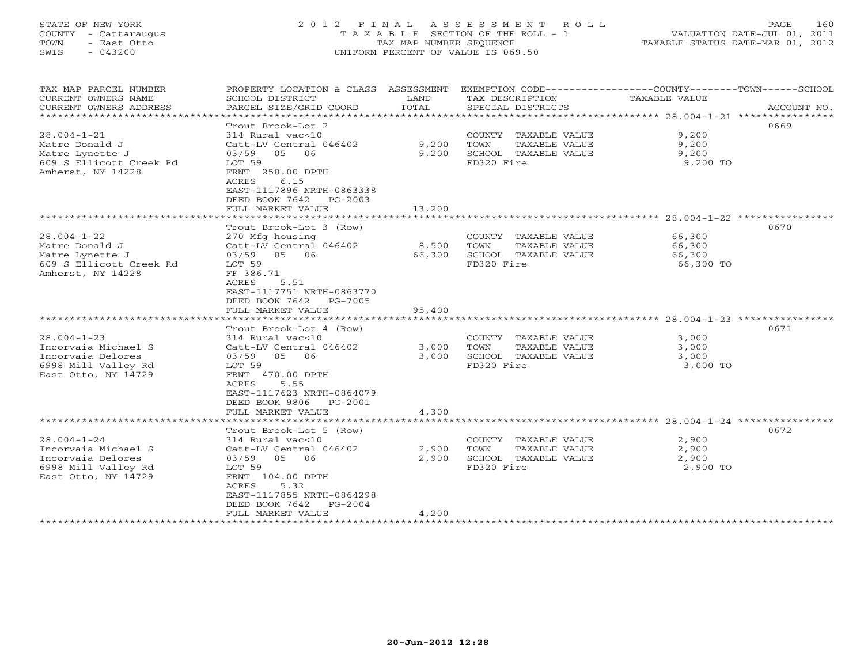## STATE OF NEW YORK 2 0 1 2 F I N A L A S S E S S M E N T R O L L PAGE 160 COUNTY - Cattaraugus T A X A B L E SECTION OF THE ROLL - 1 VALUATION DATE-JUL 01, 2011 TOWN - East Otto TAX MAP NUMBER SEQUENCE TAXABLE STATUS DATE-MAR 01, 2012 SWIS - 043200 UNIFORM PERCENT OF VALUE IS 069.50UNIFORM PERCENT OF VALUE IS 069.50

| TAX MAP PARCEL NUMBER<br>CURRENT OWNERS NAME<br>CURRENT OWNERS ADDRESS<br>********************              | PROPERTY LOCATION & CLASS ASSESSMENT<br>SCHOOL DISTRICT<br>PARCEL SIZE/GRID COORD                                                                                                                                                | LAND<br>TOTAL             | EXEMPTION CODE-----------------COUNTY-------TOWN------SCHOOL<br>TAX DESCRIPTION<br>SPECIAL DISTRICTS | TAXABLE VALUE                           | ACCOUNT NO. |
|-------------------------------------------------------------------------------------------------------------|----------------------------------------------------------------------------------------------------------------------------------------------------------------------------------------------------------------------------------|---------------------------|------------------------------------------------------------------------------------------------------|-----------------------------------------|-------------|
| $28.004 - 1 - 21$<br>Matre Donald J<br>Matre Lynette J<br>609 S Ellicott Creek Rd<br>Amherst, NY 14228      | Trout Brook-Lot 2<br>314 Rural vac<10<br>Catt-LV Central 046402<br>03/59<br>05<br>06<br>LOT 59<br>FRNT 250.00 DPTH<br>6.15<br>ACRES<br>EAST-1117896 NRTH-0863338<br>DEED BOOK 7642<br>PG-2003<br>FULL MARKET VALUE               | 9,200<br>9,200<br>13,200  | COUNTY<br>TAXABLE VALUE<br>TOWN<br>TAXABLE VALUE<br>SCHOOL TAXABLE VALUE<br>FD320 Fire               | 9,200<br>9,200<br>9,200<br>9,200 TO     | 0669        |
|                                                                                                             | .                                                                                                                                                                                                                                | * * * * * * * *           |                                                                                                      | $28.004 - 1 - 22$ ***********           |             |
| $28.004 - 1 - 22$<br>Matre Donald J<br>Matre Lynette J<br>609 S Ellicott Creek Rd<br>Amherst, NY 14228      | Trout Brook-Lot 3 (Row)<br>270 Mfg housing<br>Catt-LV Central 046402<br>03/59 05<br>06<br>LOT 59<br>FF 386.71<br>ACRES<br>5.51<br>EAST-1117751 NRTH-0863770<br>DEED BOOK 7642<br>PG-7005<br>FULL MARKET VALUE                    | 8,500<br>66,300<br>95,400 | COUNTY TAXABLE VALUE<br>TOWN<br>TAXABLE VALUE<br>SCHOOL TAXABLE VALUE<br>FD320 Fire                  | 66,300<br>66,300<br>66,300<br>66,300 TO | 0670        |
|                                                                                                             | ************************************                                                                                                                                                                                             |                           |                                                                                                      |                                         |             |
| $28.004 - 1 - 23$<br>Incorvaia Michael S<br>Incorvaia Delores<br>6998 Mill Valley Rd<br>East Otto, NY 14729 | Trout Brook-Lot 4 (Row)<br>314 Rural vac<10<br>Catt-LV Central 046402<br>03/59<br>05<br>06<br>LOT 59<br>FRNT 470.00 DPTH<br>ACRES<br>5.55<br>EAST-1117623 NRTH-0864079<br>DEED BOOK 9806<br>$PG-2001$                            | 3,000<br>3,000            | COUNTY TAXABLE VALUE<br>TOWN<br>TAXABLE VALUE<br>SCHOOL TAXABLE VALUE<br>FD320 Fire                  | 3,000<br>3,000<br>3,000<br>3,000 TO     | 0671        |
|                                                                                                             | FULL MARKET VALUE                                                                                                                                                                                                                | 4,300                     |                                                                                                      |                                         |             |
| $28.004 - 1 - 24$<br>Incorvaia Michael S<br>Incorvaia Delores<br>6998 Mill Valley Rd<br>East Otto, NY 14729 | ***********************<br>Trout Brook-Lot 5 (Row)<br>314 Rural vac<10<br>Catt-LV Central 046402<br>05<br>06<br>03/59<br>LOT 59<br>FRNT 104.00 DPTH<br>ACRES<br>5.32<br>EAST-1117855 NRTH-0864298<br>DEED BOOK 7642<br>$PG-2004$ | 2,900<br>2,900            | COUNTY TAXABLE VALUE<br>TOWN<br>TAXABLE VALUE<br>SCHOOL TAXABLE VALUE<br>FD320 Fire                  | 2,900<br>2,900<br>2,900<br>2,900 TO     | 0672        |
|                                                                                                             | FULL MARKET VALUE                                                                                                                                                                                                                | 4,200                     |                                                                                                      |                                         |             |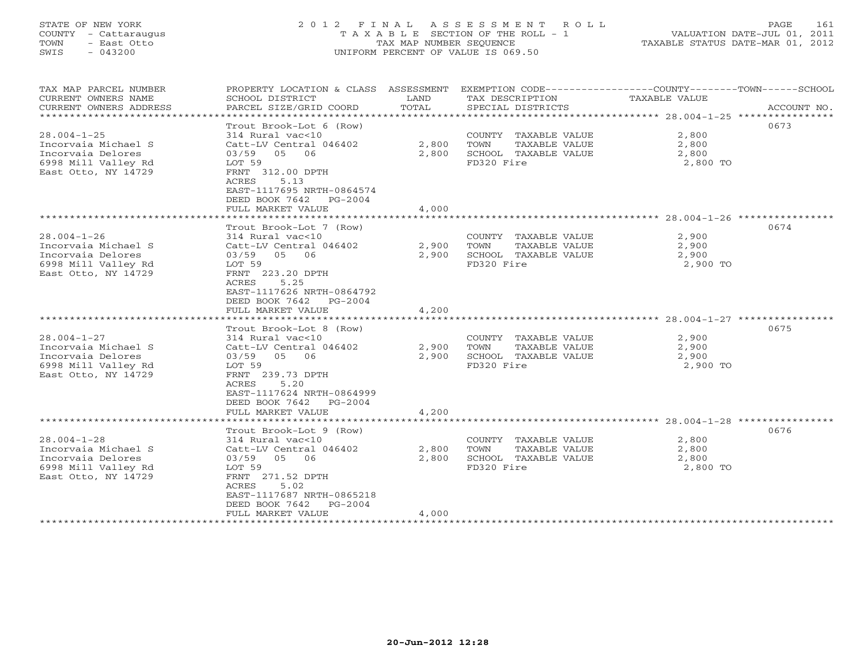## STATE OF NEW YORK 2 0 1 2 F I N A L A S S E S S M E N T R O L L PAGE 161 COUNTY - Cattaraugus T A X A B L E SECTION OF THE ROLL - 1 VALUATION DATE-JUL 01, 2011 TOWN - East Otto TAX MAP NUMBER SEQUENCE TAXABLE STATUS DATE-MAR 01, 2012 SWIS - 043200 UNIFORM PERCENT OF VALUE IS 069.50UNIFORM PERCENT OF VALUE IS 069.50

| TAX MAP PARCEL NUMBER<br>CURRENT OWNERS NAME<br>CURRENT OWNERS ADDRESS<br>*****************                 | PROPERTY LOCATION & CLASS<br>SCHOOL DISTRICT<br>PARCEL SIZE/GRID COORD                                                                                                                                                     | ASSESSMENT<br>LAND<br>TOTAL | EXEMPTION CODE-----------------COUNTY-------TOWN------SCHOOL<br>TAX DESCRIPTION<br>SPECIAL DISTRICTS | <b>TAXABLE VALUE</b>                     | ACCOUNT NO. |
|-------------------------------------------------------------------------------------------------------------|----------------------------------------------------------------------------------------------------------------------------------------------------------------------------------------------------------------------------|-----------------------------|------------------------------------------------------------------------------------------------------|------------------------------------------|-------------|
| $28.004 - 1 - 25$<br>Incorvaia Michael S<br>Incorvaia Delores<br>6998 Mill Valley Rd<br>East Otto, NY 14729 | Trout Brook-Lot 6 (Row)<br>314 Rural vac<10<br>Catt-LV Central 046402<br>05<br>03/59<br>06<br>LOT 59<br>FRNT 312.00 DPTH<br>ACRES<br>5.13<br>EAST-1117695 NRTH-0864574<br>DEED BOOK 7642<br>PG-2004<br>FULL MARKET VALUE   | 2,800<br>2,800<br>4,000     | COUNTY TAXABLE VALUE<br>TOWN<br>TAXABLE VALUE<br>SCHOOL TAXABLE VALUE<br>FD320 Fire                  | 2,800<br>2,800<br>2,800<br>2,800 TO      | 0673        |
|                                                                                                             | *************                                                                                                                                                                                                              |                             |                                                                                                      | *************** 28.004-1-26 ************ |             |
| $28.004 - 1 - 26$<br>Incorvaia Michael S<br>Incorvaia Delores<br>6998 Mill Valley Rd<br>East Otto, NY 14729 | Trout Brook-Lot 7 (Row)<br>314 Rural vac<10<br>Catt-LV Central 046402<br>03/59<br>05<br>06<br>LOT 59<br>FRNT 223.20 DPTH<br>ACRES<br>5.25<br>EAST-1117626 NRTH-0864792<br>DEED BOOK 7642<br>$PG-2004$<br>FULL MARKET VALUE | 2,900<br>2,900<br>4,200     | COUNTY TAXABLE VALUE<br>TOWN<br>TAXABLE VALUE<br>SCHOOL TAXABLE VALUE<br>FD320 Fire                  | 2,900<br>2,900<br>2,900<br>2,900 TO      | 0674        |
|                                                                                                             |                                                                                                                                                                                                                            |                             |                                                                                                      |                                          |             |
| $28.004 - 1 - 27$<br>Incorvaia Michael S<br>Incorvaia Delores<br>6998 Mill Valley Rd<br>East Otto, NY 14729 | Trout Brook-Lot 8 (Row)<br>314 Rural vac<10<br>Catt-LV Central 046402<br>03/59<br>05<br>06<br>LOT 59<br>FRNT 239.73 DPTH<br>ACRES<br>5.20<br>EAST-1117624 NRTH-0864999<br>DEED BOOK 7642<br>$PG-2004$                      | 2,900<br>2,900              | COUNTY TAXABLE VALUE<br>TOWN<br>TAXABLE VALUE<br>SCHOOL TAXABLE VALUE<br>FD320 Fire                  | 2,900<br>2,900<br>2,900<br>2,900 TO      | 0675        |
|                                                                                                             | FULL MARKET VALUE                                                                                                                                                                                                          | 4,200                       |                                                                                                      |                                          |             |
| $28.004 - 1 - 28$<br>Incorvaia Michael S<br>Incorvaia Delores<br>6998 Mill Valley Rd<br>East Otto, NY 14729 | Trout Brook-Lot 9 (Row)<br>314 Rural vac<10<br>Catt-LV Central 046402<br>03/59<br>05<br>06<br>LOT 59<br>FRNT 271.52 DPTH<br>5.02<br>ACRES<br>EAST-1117687 NRTH-0865218<br>DEED BOOK 7642<br>$PG-2004$                      | 2,800<br>2,800              | COUNTY TAXABLE VALUE<br>TOWN<br>TAXABLE VALUE<br>SCHOOL TAXABLE VALUE<br>FD320 Fire                  | 2,800<br>2,800<br>2,800<br>2,800 TO      | 0676        |
|                                                                                                             | FULL MARKET VALUE                                                                                                                                                                                                          | 4,000                       |                                                                                                      |                                          |             |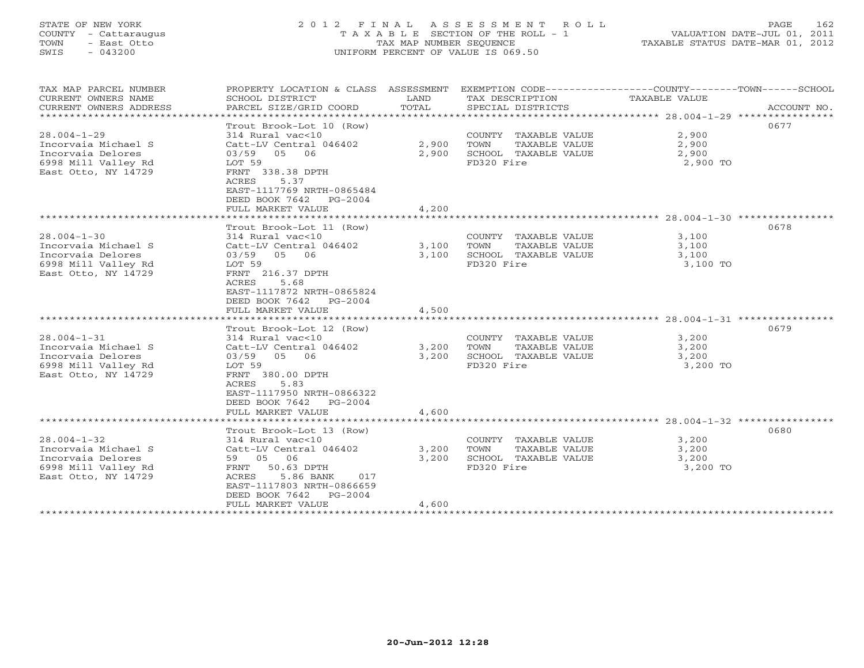## STATE OF NEW YORK 2 0 1 2 F I N A L A S S E S S M E N T R O L L PAGE 162 COUNTY - Cattaraugus T A X A B L E SECTION OF THE ROLL - 1 VALUATION DATE-JUL 01, 2011 TOWN - East Otto TAX MAP NUMBER SEQUENCE TAXABLE STATUS DATE-MAR 01, 2012 SWIS - 043200 UNIFORM PERCENT OF VALUE IS 069.50UNIFORM PERCENT OF VALUE IS 069.50

| TAX MAP PARCEL NUMBER<br>CURRENT OWNERS NAME<br>CURRENT OWNERS ADDRESS<br>**********************                                      | PROPERTY LOCATION & CLASS ASSESSMENT<br>SCHOOL DISTRICT<br>PARCEL SIZE/GRID COORD                                                                                                                                      | LAND<br>TOTAL           | TAX DESCRIPTION<br>SPECIAL DISTRICTS                                                                                   | EXEMPTION CODE-----------------COUNTY-------TOWN------SCHOOL<br>TAXABLE VALUE | ACCOUNT NO. |
|---------------------------------------------------------------------------------------------------------------------------------------|------------------------------------------------------------------------------------------------------------------------------------------------------------------------------------------------------------------------|-------------------------|------------------------------------------------------------------------------------------------------------------------|-------------------------------------------------------------------------------|-------------|
| $28.004 - 1 - 29$<br>Incorvaia Michael S<br>Incorvaia Delores<br>6998 Mill Valley Rd<br>East Otto, NY 14729                           | Trout Brook-Lot 10 (Row)<br>314 Rural vac<10<br>Catt-LV Central 046402<br>03/59 05<br>06<br>LOT 59<br>FRNT 338.38 DPTH<br>5.37<br>ACRES<br>EAST-1117769 NRTH-0865484                                                   | 2,900<br>2,900          | COUNTY TAXABLE VALUE<br>TOWN<br>TAXABLE VALUE<br>SCHOOL TAXABLE VALUE<br>FD320 Fire                                    | 2,900<br>2,900<br>2,900<br>2,900 TO                                           | 0677        |
|                                                                                                                                       | DEED BOOK 7642<br>$PG-2004$<br>FULL MARKET VALUE                                                                                                                                                                       | 4,200                   |                                                                                                                        |                                                                               |             |
| $28.004 - 1 - 30$<br>Incorvaia Michael S<br>Incorvaia Delores<br>6998 Mill Valley Rd<br>East Otto, NY 14729                           | Trout Brook-Lot 11 (Row)<br>314 Rural vac<10<br>Catt-LV Central 046402<br>03/59 05 06<br>LOT 59<br>FRNT 216.37 DPTH<br>5.68<br>ACRES<br>EAST-1117872 NRTH-0865824<br>DEED BOOK 7642<br>$PG-2004$                       | 3,100<br>3,100          | COUNTY TAXABLE VALUE<br>TAXABLE VALUE<br>TOWN<br>SCHOOL TAXABLE VALUE<br>FD320 Fire                                    | 3,100<br>3,100<br>3,100<br>3,100 TO                                           | 0678        |
|                                                                                                                                       | FULL MARKET VALUE                                                                                                                                                                                                      | 4,500                   |                                                                                                                        |                                                                               |             |
| $28.004 - 1 - 31$<br>Incorvaia Michael S<br>Incorvaia Delores<br>6998 Mill Valley Rd<br>East Otto, NY 14729                           | Trout Brook-Lot 12 (Row)<br>314 Rural vac<10<br>Catt-LV Central 046402<br>03/59 05<br>06<br>LOT 59<br>FRNT 380.00 DPTH<br>ACRES<br>5.83<br>EAST-1117950 NRTH-0866322<br>DEED BOOK 7642 PG-2004<br>FULL MARKET VALUE    | 3,200<br>3,200<br>4,600 | COUNTY TAXABLE VALUE<br>TOWN<br>TAXABLE VALUE<br>SCHOOL TAXABLE VALUE<br>FD320 Fire                                    | 3,200<br>3,200<br>3,200<br>3,200 TO                                           | 0679        |
|                                                                                                                                       |                                                                                                                                                                                                                        |                         |                                                                                                                        |                                                                               |             |
| $28.004 - 1 - 32$<br>Incorvaia Michael S<br>Incorvaia Delores<br>6998 Mill Valley Rd<br>East Otto, NY 14729<br>********************** | Trout Brook-Lot 13 (Row)<br>314 Rural vac<10<br>Catt-LV Central 046402<br>59 05 06<br>50.63 DPTH<br>FRNT<br>ACRES<br>5.86 BANK<br>017<br>EAST-1117803 NRTH-0866659<br>DEED BOOK 7642<br>$PG-2004$<br>FULL MARKET VALUE | 3,200<br>3,200<br>4,600 | COUNTY TAXABLE VALUE<br>TOWN<br>TAXABLE VALUE<br>SCHOOL TAXABLE VALUE<br>FD320 Fire<br>******************************* | 3,200<br>3,200<br>3,200<br>3,200 TO                                           | 0680        |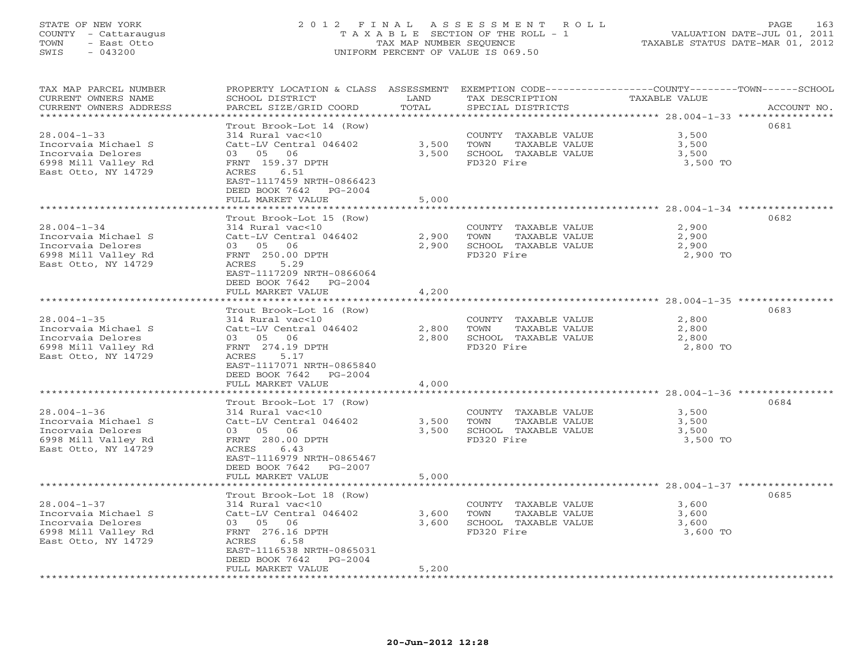## STATE OF NEW YORK 2 0 1 2 F I N A L A S S E S S M E N T R O L L PAGE 163 COUNTY - Cattaraugus T A X A B L E SECTION OF THE ROLL - 1 VALUATION DATE-JUL 01, 2011 TOWN - East Otto TAX MAP NUMBER SEQUENCE TAXABLE STATUS DATE-MAR 01, 2012 SWIS - 043200 UNIFORM PERCENT OF VALUE IS 069.50UNIFORM PERCENT OF VALUE IS 069.50

| TAX MAP PARCEL NUMBER<br>CURRENT OWNERS NAME<br>CURRENT OWNERS ADDRESS | PROPERTY LOCATION & CLASS ASSESSMENT<br>SCHOOL DISTRICT<br>PARCEL SIZE/GRID COORD | LAND<br>TOTAL  | EXEMPTION CODE-----------------COUNTY-------TOWN-----SCHOOL<br>TAX DESCRIPTION<br>SPECIAL DISTRICTS | TAXABLE VALUE  | ACCOUNT NO. |
|------------------------------------------------------------------------|-----------------------------------------------------------------------------------|----------------|-----------------------------------------------------------------------------------------------------|----------------|-------------|
| *********************                                                  |                                                                                   |                |                                                                                                     |                |             |
| $28.004 - 1 - 33$                                                      | Trout Brook-Lot 14 (Row)<br>314 Rural vac<10                                      |                | COUNTY TAXABLE VALUE                                                                                | 3,500          | 0681        |
| Incorvaia Michael S                                                    | Catt-LV Central 046402                                                            | 3,500          | TOWN<br>TAXABLE VALUE                                                                               | 3,500          |             |
| Incorvaia Delores                                                      | 03 05 06                                                                          | 3,500          | SCHOOL TAXABLE VALUE                                                                                | 3,500          |             |
| 6998 Mill Valley Rd                                                    | FRNT 159.37 DPTH                                                                  |                | FD320 Fire                                                                                          | 3,500 TO       |             |
| East Otto, NY 14729                                                    | 6.51<br>ACRES                                                                     |                |                                                                                                     |                |             |
|                                                                        | EAST-1117459 NRTH-0866423<br>DEED BOOK 7642<br>PG-2004                            |                |                                                                                                     |                |             |
|                                                                        | FULL MARKET VALUE                                                                 | 5,000          |                                                                                                     |                |             |
| ******************************                                         |                                                                                   |                |                                                                                                     |                |             |
|                                                                        | Trout Brook-Lot 15 (Row)                                                          |                |                                                                                                     |                | 0682        |
| $28.004 - 1 - 34$                                                      | 314 Rural vac<10                                                                  |                | COUNTY TAXABLE VALUE                                                                                | 2,900          |             |
| Incorvaia Michael S                                                    | Catt-LV Central 046402                                                            | 2,900          | TOWN<br>TAXABLE VALUE                                                                               | 2,900          |             |
| Incorvaia Delores                                                      | 03 05 06                                                                          | 2,900          | SCHOOL TAXABLE VALUE                                                                                | 2,900          |             |
| 6998 Mill Valley Rd                                                    | FRNT 250.00 DPTH                                                                  |                | FD320 Fire                                                                                          | 2,900 TO       |             |
| East Otto, NY 14729                                                    | 5.29<br>ACRES                                                                     |                |                                                                                                     |                |             |
|                                                                        | EAST-1117209 NRTH-0866064                                                         |                |                                                                                                     |                |             |
|                                                                        | DEED BOOK 7642 PG-2004                                                            |                |                                                                                                     |                |             |
|                                                                        | FULL MARKET VALUE                                                                 | 4,200          |                                                                                                     |                |             |
|                                                                        | * * * * * * * * * * * * * * * * * * * *                                           |                |                                                                                                     |                |             |
| $28.004 - 1 - 35$                                                      | Trout Brook-Lot 16 (Row)                                                          |                |                                                                                                     | 2,800          | 0683        |
| Incorvaia Michael S                                                    | 314 Rural vac<10<br>Catt-LV Central 046402                                        | 2,800          | COUNTY TAXABLE VALUE<br>TOWN<br>TAXABLE VALUE                                                       | 2,800          |             |
| Incorvaia Delores                                                      | 06<br>03 05                                                                       | 2,800          | SCHOOL TAXABLE VALUE                                                                                | 2,800          |             |
| 6998 Mill Valley Rd                                                    | FRNT 274.19 DPTH                                                                  |                | FD320 Fire                                                                                          | 2,800 TO       |             |
| East Otto, NY 14729                                                    | ACRES<br>5.17                                                                     |                |                                                                                                     |                |             |
|                                                                        | EAST-1117071 NRTH-0865840                                                         |                |                                                                                                     |                |             |
|                                                                        | DEED BOOK 7642<br>$PG-2004$                                                       |                |                                                                                                     |                |             |
|                                                                        | FULL MARKET VALUE                                                                 | 4,000          |                                                                                                     |                |             |
|                                                                        |                                                                                   |                |                                                                                                     |                |             |
|                                                                        | Trout Brook-Lot 17 (Row)                                                          |                |                                                                                                     |                | 0684        |
| $28.004 - 1 - 36$                                                      | 314 Rural vac<10                                                                  |                | COUNTY TAXABLE VALUE                                                                                | 3,500          |             |
| Incorvaia Michael S<br>Incorvaia Delores                               | Catt-LV Central 046402<br>03 05<br>06                                             | 3,500<br>3,500 | TOWN<br>TAXABLE VALUE<br>SCHOOL TAXABLE VALUE                                                       | 3,500<br>3,500 |             |
| 6998 Mill Valley Rd                                                    | FRNT 280.00 DPTH                                                                  |                | FD320 Fire                                                                                          | 3,500 TO       |             |
| East Otto, NY 14729                                                    | ACRES<br>6.43                                                                     |                |                                                                                                     |                |             |
|                                                                        | EAST-1116979 NRTH-0865467                                                         |                |                                                                                                     |                |             |
|                                                                        | DEED BOOK 7642 PG-2007                                                            |                |                                                                                                     |                |             |
|                                                                        | FULL MARKET VALUE                                                                 | 5,000          |                                                                                                     |                |             |
| ******************************                                         |                                                                                   |                |                                                                                                     |                |             |
|                                                                        | Trout Brook-Lot 18 (Row)                                                          |                |                                                                                                     |                | 0685        |
| $28.004 - 1 - 37$                                                      | 314 Rural vac<10                                                                  |                | COUNTY TAXABLE VALUE                                                                                | 3,600          |             |
| Incorvaia Michael S                                                    | Catt-LV Central 046402                                                            | 3,600          | TAXABLE VALUE<br>TOWN                                                                               | 3,600          |             |
| Incorvaia Delores                                                      | 03 05 06                                                                          | 3,600          | SCHOOL TAXABLE VALUE                                                                                | 3,600          |             |
| 6998 Mill Valley Rd                                                    | FRNT 276.16 DPTH                                                                  |                | FD320 Fire                                                                                          | 3,600 TO       |             |
| East Otto, NY 14729                                                    | ACRES<br>6.58<br>EAST-1116538 NRTH-0865031                                        |                |                                                                                                     |                |             |
|                                                                        | DEED BOOK 7642<br>PG-2004                                                         |                |                                                                                                     |                |             |
|                                                                        | FULL MARKET VALUE                                                                 | 5,200          |                                                                                                     |                |             |
|                                                                        |                                                                                   |                |                                                                                                     |                |             |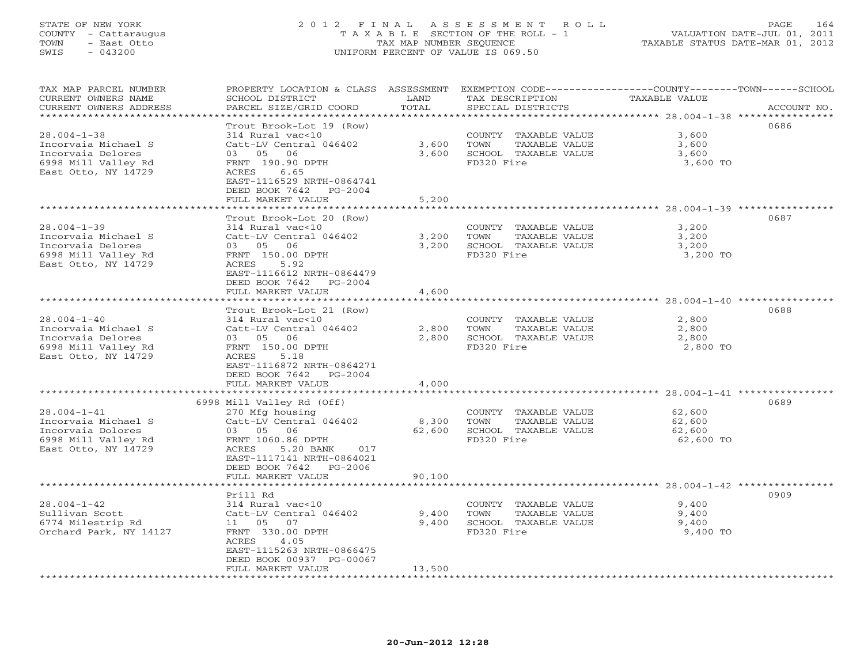#### STATE OF NEW YORK 2 0 1 2 F I N A L A S S E S S M E N T R O L L PAGE 164 COUNTY - Cattaraugus T A X A B L E SECTION OF THE ROLL - 1 VALUATION DATE-JUL 01, 2011 TOWN - East Otto TAX MAP NUMBER SEQUENCE TAXABLE STATUS DATE-MAR 01, 2012 SWIS - 043200 UNIFORM PERCENT OF VALUE IS 069.50UNIFORM PERCENT OF VALUE IS 069.50

| TAX MAP PARCEL NUMBER<br>CURRENT OWNERS NAME<br>CURRENT OWNERS ADDRESS | PROPERTY LOCATION & CLASS ASSESSMENT<br>SCHOOL DISTRICT<br>PARCEL SIZE/GRID COORD | LAND<br>TOTAL                 | EXEMPTION CODE-----------------COUNTY-------TOWN------SCHOOL<br>TAX DESCRIPTION<br>SPECIAL DISTRICTS | TAXABLE VALUE                             | ACCOUNT NO. |
|------------------------------------------------------------------------|-----------------------------------------------------------------------------------|-------------------------------|------------------------------------------------------------------------------------------------------|-------------------------------------------|-------------|
| ********************                                                   |                                                                                   | **********                    |                                                                                                      |                                           |             |
|                                                                        | Trout Brook-Lot 19 (Row)                                                          |                               |                                                                                                      |                                           | 0686        |
| $28.004 - 1 - 38$                                                      | 314 Rural vac<10                                                                  |                               | COUNTY TAXABLE VALUE                                                                                 | 3,600                                     |             |
| Incorvaia Michael S                                                    | Catt-LV Central 046402                                                            | 3,600                         | TOWN<br>TAXABLE VALUE                                                                                | 3,600                                     |             |
| Incorvaia Delores                                                      | 03 05 06                                                                          | 3,600                         | SCHOOL TAXABLE VALUE                                                                                 | 3,600                                     |             |
| 6998 Mill Valley Rd                                                    | FRNT 190.90 DPTH                                                                  |                               | FD320 Fire                                                                                           | 3,600 TO                                  |             |
| East Otto, NY 14729                                                    | 6.65<br>ACRES                                                                     |                               |                                                                                                      |                                           |             |
|                                                                        | EAST-1116529 NRTH-0864741                                                         |                               |                                                                                                      |                                           |             |
|                                                                        | DEED BOOK 7642<br>PG-2004                                                         |                               |                                                                                                      |                                           |             |
|                                                                        | FULL MARKET VALUE<br>*************************                                    | 5,200                         |                                                                                                      |                                           |             |
|                                                                        |                                                                                   |                               |                                                                                                      |                                           |             |
|                                                                        | Trout Brook-Lot 20 (Row)                                                          |                               |                                                                                                      |                                           | 0687        |
| $28.004 - 1 - 39$                                                      | 314 Rural vac<10                                                                  |                               | COUNTY TAXABLE VALUE                                                                                 | 3,200                                     |             |
| Incorvaia Michael S                                                    | Catt-LV Central 046402                                                            | 3,200                         | TOWN<br>TAXABLE VALUE                                                                                | 3,200                                     |             |
| Incorvaia Delores                                                      | 03 05 06                                                                          | 3,200                         | SCHOOL TAXABLE VALUE                                                                                 | 3,200                                     |             |
| 6998 Mill Valley Rd                                                    | FRNT 150.00 DPTH                                                                  |                               | FD320 Fire                                                                                           | 3,200 TO                                  |             |
| East Otto, NY 14729                                                    | 5.92<br>ACRES<br>EAST-1116612 NRTH-0864479                                        |                               |                                                                                                      |                                           |             |
|                                                                        |                                                                                   |                               |                                                                                                      |                                           |             |
|                                                                        | DEED BOOK 7642 PG-2004<br>FULL MARKET VALUE                                       | 4,600                         |                                                                                                      |                                           |             |
|                                                                        |                                                                                   |                               |                                                                                                      |                                           |             |
|                                                                        | Trout Brook-Lot 21 (Row)                                                          |                               |                                                                                                      |                                           | 0688        |
| $28.004 - 1 - 40$                                                      | 314 Rural vac<10                                                                  |                               | COUNTY TAXABLE VALUE                                                                                 | 2,800                                     |             |
| Incorvaia Michael S                                                    | Catt-LV Central 046402                                                            | 2,800                         | TOWN<br>TAXABLE VALUE                                                                                | 2,800                                     |             |
| Incorvaia Delores                                                      | 03 05<br>06                                                                       | 2,800                         | SCHOOL TAXABLE VALUE                                                                                 | 2,800                                     |             |
| 6998 Mill Valley Rd                                                    | FRNT 150.00 DPTH                                                                  |                               | FD320 Fire                                                                                           | 2,800 TO                                  |             |
| East Otto, NY 14729                                                    | ACRES<br>5.18                                                                     |                               |                                                                                                      |                                           |             |
|                                                                        | EAST-1116872 NRTH-0864271                                                         |                               |                                                                                                      |                                           |             |
|                                                                        | DEED BOOK 7642<br>$PG-2004$                                                       |                               |                                                                                                      |                                           |             |
|                                                                        | FULL MARKET VALUE                                                                 | 4,000                         |                                                                                                      |                                           |             |
|                                                                        | ***********************                                                           |                               |                                                                                                      | ****************** 28.004-1-41 ********** |             |
|                                                                        | 6998 Mill Valley Rd (Off)                                                         |                               |                                                                                                      |                                           | 0689        |
| $28.004 - 1 - 41$                                                      | 270 Mfg housing                                                                   |                               | COUNTY TAXABLE VALUE                                                                                 | 62,600                                    |             |
| Incorvaia Michael S                                                    | Catt-LV Central 046402                                                            | 8,300                         | TOWN<br>TAXABLE VALUE                                                                                | 62,600                                    |             |
| Incorvaia Dolores                                                      | 03 05 06                                                                          | 62,600                        | SCHOOL TAXABLE VALUE                                                                                 | 62,600                                    |             |
| 6998 Mill Valley Rd                                                    | FRNT 1060.86 DPTH                                                                 |                               | FD320 Fire                                                                                           | 62,600 TO                                 |             |
| East Otto, NY 14729                                                    | ACRES<br>5.20 BANK<br>017                                                         |                               |                                                                                                      |                                           |             |
|                                                                        | EAST-1117141 NRTH-0864021                                                         |                               |                                                                                                      |                                           |             |
|                                                                        | DEED BOOK 7642 PG-2006                                                            |                               |                                                                                                      |                                           |             |
|                                                                        | FULL MARKET VALUE                                                                 | 90,100                        |                                                                                                      |                                           |             |
|                                                                        |                                                                                   | * * * * * * * * * * * * * * * |                                                                                                      |                                           |             |
|                                                                        | Prill Rd                                                                          |                               |                                                                                                      |                                           | 0909        |
| $28.004 - 1 - 42$                                                      | 314 Rural vac<10                                                                  |                               | COUNTY TAXABLE VALUE                                                                                 | 9,400                                     |             |
| Sullivan Scott                                                         | Catt-LV Central 046402                                                            | 9,400                         | TOWN<br>TAXABLE VALUE                                                                                | 9,400                                     |             |
| 6774 Milestrip Rd                                                      | 11  05  07                                                                        | 9,400                         | SCHOOL TAXABLE VALUE                                                                                 | 9,400                                     |             |
| Orchard Park, NY 14127                                                 | FRNT 330.00 DPTH                                                                  |                               | FD320 Fire                                                                                           | 9,400 TO                                  |             |
|                                                                        | ACRES<br>4.05<br>EAST-1115263 NRTH-0866475                                        |                               |                                                                                                      |                                           |             |
|                                                                        | DEED BOOK 00937 PG-00067                                                          |                               |                                                                                                      |                                           |             |
|                                                                        | FULL MARKET VALUE                                                                 | 13,500                        |                                                                                                      |                                           |             |
|                                                                        |                                                                                   |                               |                                                                                                      |                                           |             |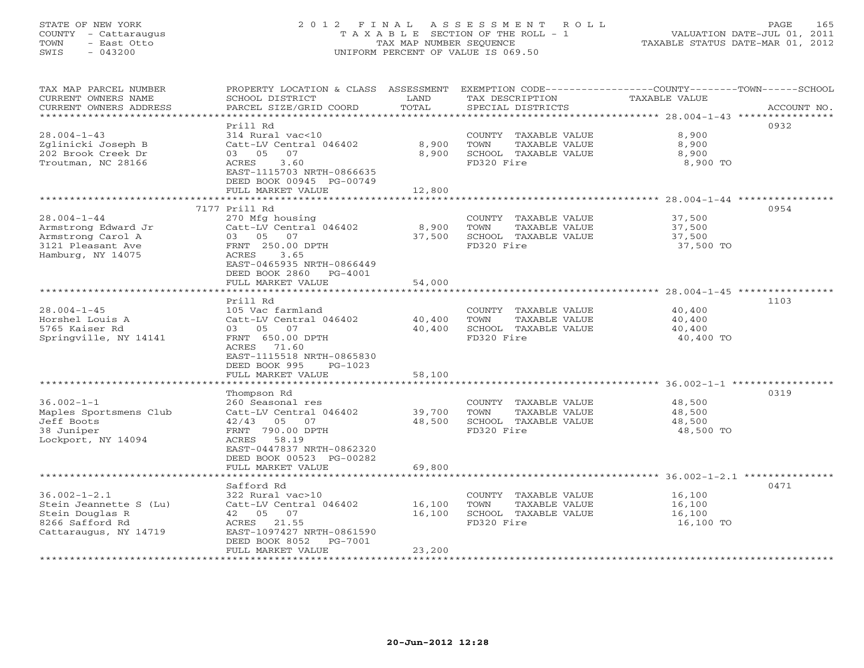## STATE OF NEW YORK 2 0 1 2 F I N A L A S S E S S M E N T R O L L PAGE 165 COUNTY - Cattaraugus T A X A B L E SECTION OF THE ROLL - 1 VALUATION DATE-JUL 01, 2011 TOWN - East Otto TAX MAP NUMBER SEQUENCE TAXABLE STATUS DATE-MAR 01, 2012 SWIS - 043200 UNIFORM PERCENT OF VALUE IS 069.50UNIFORM PERCENT OF VALUE IS 069.50

| TAX MAP PARCEL NUMBER<br>CURRENT OWNERS NAME<br>CURRENT OWNERS ADDRESS | PROPERTY LOCATION & CLASS ASSESSMENT<br>SCHOOL DISTRICT<br>PARCEL SIZE/GRID COORD | LAND<br>TOTAL    | TAX DESCRIPTION<br>SPECIAL DISTRICTS          | EXEMPTION CODE-----------------COUNTY-------TOWN------SCHOOL<br><b>TAXABLE VALUE</b><br>ACCOUNT NO. |
|------------------------------------------------------------------------|-----------------------------------------------------------------------------------|------------------|-----------------------------------------------|-----------------------------------------------------------------------------------------------------|
| *********************                                                  |                                                                                   |                  |                                               |                                                                                                     |
|                                                                        | Prill Rd                                                                          |                  |                                               | 0932                                                                                                |
| $28.004 - 1 - 43$                                                      | 314 Rural vac<10                                                                  |                  | COUNTY TAXABLE VALUE                          | 8,900                                                                                               |
| Zglinicki Joseph B                                                     | Catt-LV Central 046402                                                            | 8,900            | TOWN<br>TAXABLE VALUE                         | 8,900                                                                                               |
| 202 Brook Creek Dr                                                     | 03 05<br>07                                                                       | 8,900            | SCHOOL TAXABLE VALUE                          | 8,900                                                                                               |
| Troutman, NC 28166                                                     | 3.60<br>ACRES                                                                     |                  | FD320 Fire                                    | 8,900 TO                                                                                            |
|                                                                        | EAST-1115703 NRTH-0866635                                                         |                  |                                               |                                                                                                     |
|                                                                        | DEED BOOK 00945 PG-00749                                                          |                  |                                               |                                                                                                     |
|                                                                        | FULL MARKET VALUE                                                                 | 12,800           |                                               |                                                                                                     |
|                                                                        | 7177 Prill Rd                                                                     |                  |                                               | 0954                                                                                                |
| $28.004 - 1 - 44$                                                      | 270 Mfg housing                                                                   |                  | COUNTY TAXABLE VALUE                          | 37,500                                                                                              |
| Armstrong Edward Jr                                                    | Catt-LV Central 046402                                                            | 8,900            | TAXABLE VALUE<br>TOWN                         | 37,500                                                                                              |
| Armstrong Carol A                                                      | 03 05 07                                                                          | 37,500           | SCHOOL TAXABLE VALUE                          | 37,500                                                                                              |
| 3121 Pleasant Ave                                                      | FRNT 250.00 DPTH                                                                  |                  | FD320 Fire                                    | 37,500 TO                                                                                           |
| Hamburg, NY 14075                                                      | ACRES<br>3.65                                                                     |                  |                                               |                                                                                                     |
|                                                                        | EAST-0465935 NRTH-0866449                                                         |                  |                                               |                                                                                                     |
|                                                                        | DEED BOOK 2860 PG-4001                                                            |                  |                                               |                                                                                                     |
|                                                                        | FULL MARKET VALUE                                                                 | 54,000           |                                               |                                                                                                     |
|                                                                        | Prill Rd                                                                          |                  |                                               |                                                                                                     |
| $28.004 - 1 - 45$                                                      | 105 Vac farmland                                                                  |                  | COUNTY TAXABLE VALUE                          | 1103<br>40,400                                                                                      |
| Horshel Louis A                                                        | Catt-LV Central 046402                                                            | 40,400           | TOWN<br>TAXABLE VALUE                         | 40,400                                                                                              |
| 5765 Kaiser Rd                                                         | 03 05 07                                                                          | 40,400           | SCHOOL TAXABLE VALUE                          | 40,400                                                                                              |
| Springville, NY 14141                                                  | FRNT 650.00 DPTH                                                                  |                  | FD320 Fire                                    | 40,400 TO                                                                                           |
|                                                                        | 71.60<br>ACRES                                                                    |                  |                                               |                                                                                                     |
|                                                                        | EAST-1115518 NRTH-0865830                                                         |                  |                                               |                                                                                                     |
|                                                                        | DEED BOOK 995<br>$PG-1023$                                                        |                  |                                               |                                                                                                     |
|                                                                        | FULL MARKET VALUE                                                                 | 58,100           |                                               |                                                                                                     |
|                                                                        |                                                                                   |                  |                                               |                                                                                                     |
|                                                                        | Thompson Rd                                                                       |                  |                                               | 0319                                                                                                |
| $36.002 - 1 - 1$                                                       | 260 Seasonal res                                                                  |                  | COUNTY TAXABLE VALUE                          | 48,500                                                                                              |
| Maples Sportsmens Club<br>Jeff Boots                                   | Catt-LV Central 046402<br>$42/43$ 05 07                                           | 39,700<br>48,500 | TOWN<br>TAXABLE VALUE<br>SCHOOL TAXABLE VALUE | 48,500<br>48,500                                                                                    |
| 38 Juniper                                                             | FRNT 790.00 DPTH                                                                  |                  | FD320 Fire                                    | 48,500 TO                                                                                           |
| Lockport, NY 14094                                                     | ACRES 58.19                                                                       |                  |                                               |                                                                                                     |
|                                                                        | EAST-0447837 NRTH-0862320                                                         |                  |                                               |                                                                                                     |
|                                                                        | DEED BOOK 00523 PG-00282                                                          |                  |                                               |                                                                                                     |
|                                                                        | FULL MARKET VALUE                                                                 | 69,800           |                                               |                                                                                                     |
|                                                                        |                                                                                   |                  |                                               |                                                                                                     |
|                                                                        | Safford Rd                                                                        |                  |                                               | 0471                                                                                                |
| $36.002 - 1 - 2.1$                                                     | 322 Rural vac>10                                                                  |                  | COUNTY TAXABLE VALUE                          | 16,100                                                                                              |
| Stein Jeannette S (Lu)                                                 | Catt-LV Central 046402                                                            | 16,100           | TOWN<br>TAXABLE VALUE                         | 16,100                                                                                              |
| Stein Douglas R                                                        | 42 05 07                                                                          | 16,100           | SCHOOL TAXABLE VALUE                          | 16,100                                                                                              |
| 8266 Safford Rd<br>Cattaraugus, NY 14719                               | ACRES 21.55<br>EAST-1097427 NRTH-0861590                                          |                  | FD320 Fire                                    | 16,100 TO                                                                                           |
|                                                                        | DEED BOOK 8052<br>PG-7001                                                         |                  |                                               |                                                                                                     |
|                                                                        | FULL MARKET VALUE                                                                 | 23,200           |                                               |                                                                                                     |
| **********************                                                 |                                                                                   |                  |                                               |                                                                                                     |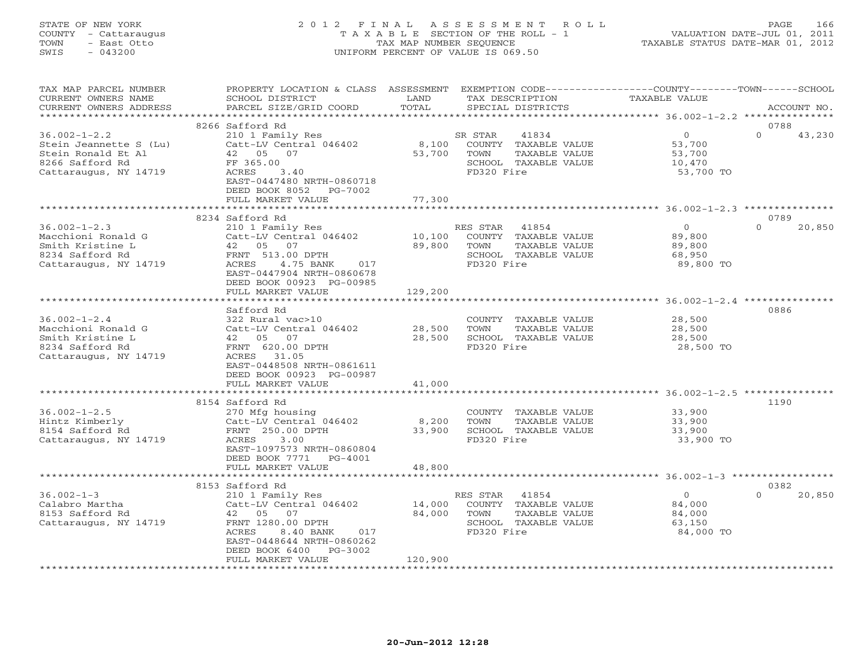## STATE OF NEW YORK 2 0 1 2 F I N A L A S S E S S M E N T R O L L PAGE 166 COUNTY - Cattaraugus T A X A B L E SECTION OF THE ROLL - 1 VALUATION DATE-JUL 01, 2011 TOWN - East Otto TAX MAP NUMBER SEQUENCE TAXABLE STATUS DATE-MAR 01, 2012 SWIS - 043200 UNIFORM PERCENT OF VALUE IS 069.50UNIFORM PERCENT OF VALUE IS 069.50

| TAX MAP PARCEL NUMBER<br>CURRENT OWNERS NAME<br>CURRENT OWNERS ADDRESS                                         | PROPERTY LOCATION & CLASS ASSESSMENT<br>SCHOOL DISTRICT<br>PARCEL SIZE/GRID COORD                                                                                                                             | LAND<br>TOTAL               | TAX DESCRIPTION<br>SPECIAL DISTRICTS                                                                     | EXEMPTION CODE----------------COUNTY-------TOWN-----SCHOOL<br><b>TAXABLE VALUE</b> | ACCOUNT NO.                |
|----------------------------------------------------------------------------------------------------------------|---------------------------------------------------------------------------------------------------------------------------------------------------------------------------------------------------------------|-----------------------------|----------------------------------------------------------------------------------------------------------|------------------------------------------------------------------------------------|----------------------------|
| **********************                                                                                         |                                                                                                                                                                                                               |                             |                                                                                                          |                                                                                    |                            |
| $36.002 - 1 - 2.2$<br>Stein Jeannette S (Lu)<br>Stein Ronald Et Al<br>8266 Safford Rd<br>Cattaraugus, NY 14719 | 8266 Safford Rd<br>210 1 Family Res<br>Catt-LV Central 046402<br>42 05 07<br>FF 365.00<br>ACRES<br>3.40<br>EAST-0447480 NRTH-0860718<br>DEED BOOK 8052<br>PG-7002<br>FULL MARKET VALUE                        | 8,100<br>53,700<br>77,300   | SR STAR<br>41834<br>COUNTY TAXABLE VALUE<br>TOWN<br>TAXABLE VALUE<br>SCHOOL TAXABLE VALUE<br>FD320 Fire  | $\Omega$<br>53,700<br>53,700<br>10,470<br>53,700 TO                                | 0788<br>$\Omega$<br>43,230 |
|                                                                                                                |                                                                                                                                                                                                               |                             |                                                                                                          |                                                                                    |                            |
| $36.002 - 1 - 2.3$<br>Macchioni Ronald G<br>Smith Kristine L<br>8234 Safford Rd<br>Cattaraugus, NY 14719       | 8234 Safford Rd<br>210 1 Family Res<br>Catt-LV Central 046402<br>42 05<br>07<br>FRNT 513.00 DPTH<br>ACRES<br>4.75 BANK<br>017<br>EAST-0447904 NRTH-0860678<br>DEED BOOK 00923 PG-00985<br>FULL MARKET VALUE   | 10,100<br>89,800<br>129,200 | 41854<br>RES STAR<br>COUNTY TAXABLE VALUE<br>TAXABLE VALUE<br>TOWN<br>SCHOOL TAXABLE VALUE<br>FD320 Fire | $\circ$<br>89,800<br>89,800<br>68,950<br>89,800 TO                                 | 0789<br>$\Omega$<br>20,850 |
|                                                                                                                |                                                                                                                                                                                                               |                             |                                                                                                          |                                                                                    |                            |
| $36.002 - 1 - 2.4$<br>Macchioni Ronald G<br>Smith Kristine L<br>8234 Safford Rd<br>Cattaraugus, NY 14719       | Safford Rd<br>322 Rural vac>10<br>Catt-LV Central 046402<br>42 05<br>07<br>FRNT 620.00 DPTH<br>ACRES 31.05<br>EAST-0448508 NRTH-0861611<br>DEED BOOK 00923 PG-00987<br>FULL MARKET VALUE                      | 28,500<br>28,500<br>41,000  | COUNTY TAXABLE VALUE<br>TOWN<br>TAXABLE VALUE<br>SCHOOL TAXABLE VALUE<br>FD320 Fire                      | 28,500<br>28,500<br>28,500<br>28,500 TO                                            | 0886                       |
|                                                                                                                |                                                                                                                                                                                                               |                             |                                                                                                          |                                                                                    |                            |
| $36.002 - 1 - 2.5$<br>Hintz Kimberly<br>8154 Safford Rd<br>Cattaraugus, NY 14719                               | 8154 Safford Rd<br>270 Mfg housing<br>Catt-LV Central 046402<br>FRNT 250.00 DPTH<br>ACRES<br>3.00<br>EAST-1097573 NRTH-0860804<br>DEED BOOK 7771<br>PG-4001<br>FULL MARKET VALUE                              | 8,200<br>33,900<br>48,800   | COUNTY TAXABLE VALUE<br>TOWN<br>TAXABLE VALUE<br>SCHOOL TAXABLE VALUE<br>FD320 Fire                      | 33,900<br>33,900<br>33,900<br>33,900 TO                                            | 1190                       |
|                                                                                                                |                                                                                                                                                                                                               |                             |                                                                                                          |                                                                                    |                            |
| $36.002 - 1 - 3$<br>Calabro Martha<br>8153 Safford Rd<br>Cattaraugus, NY 14719                                 | 8153 Safford Rd<br>210 1 Family Res<br>Catt-LV Central 046402<br>42 05<br>07<br>FRNT 1280.00 DPTH<br>ACRES<br>8.40 BANK<br>017<br>EAST-0448644 NRTH-0860262<br>DEED BOOK 6400<br>PG-3002<br>FULL MARKET VALUE | 14,000<br>84,000<br>120,900 | RES STAR<br>41854<br>COUNTY TAXABLE VALUE<br>TOWN<br>TAXABLE VALUE<br>SCHOOL TAXABLE VALUE<br>FD320 Fire | $\circ$<br>84,000<br>84,000<br>63,150<br>84,000 TO                                 | 0382<br>$\Omega$<br>20,850 |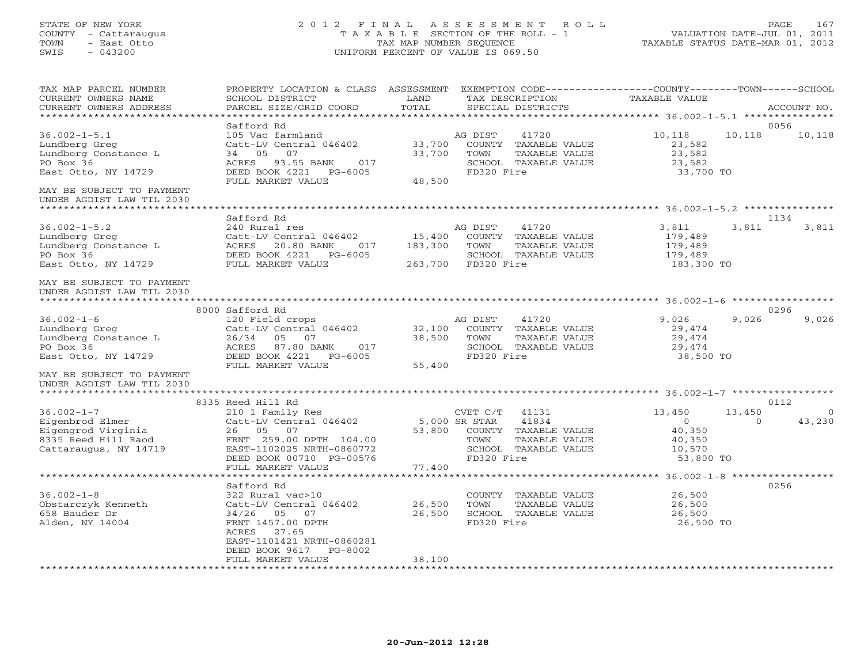## STATE OF NEW YORK 2 0 1 2 F I N A L A S S E S S M E N T R O L L PAGE 167 COUNTY - Cattaraugus T A X A B L E SECTION OF THE ROLL - 1 VALUATION DATE-JUL 01, 2011 TOWN - East Otto TAX MAP NUMBER SEQUENCE TAXABLE STATUS DATE-MAR 01, 2012 SWIS - 043200 UNIFORM PERCENT OF VALUE IS 069.50UNIFORM PERCENT OF VALUE IS 069.50

| TAX MAP PARCEL NUMBER<br>CURRENT OWNERS NAME<br>CURRENT OWNERS ADDRESS                                    | PROPERTY LOCATION & CLASS ASSESSMENT EXEMPTION CODE----------------COUNTY-------TOWN------SCHOOL<br>SCHOOL DISTRICT<br>PARCEL SIZE/GRID COORD                                                 | LAND<br>TOTAL                | TAX DESCRIPTION<br>SPECIAL DISTRICTS                                                                              | TAXABLE VALUE                                                |                    | ACCOUNT NO.    |
|-----------------------------------------------------------------------------------------------------------|-----------------------------------------------------------------------------------------------------------------------------------------------------------------------------------------------|------------------------------|-------------------------------------------------------------------------------------------------------------------|--------------------------------------------------------------|--------------------|----------------|
| *******************                                                                                       |                                                                                                                                                                                               |                              |                                                                                                                   |                                                              |                    |                |
| $36.002 - 1 - 5.1$<br>Lundberg Greg<br>Lundberg Constance L<br>PO Box 36<br>East Otto, NY 14729           | Safford Rd<br>105 Vac farmland<br>Catt-LV Central 046402<br>07<br>34 05<br>ACRES 93.55 BANK<br>017<br>DEED BOOK 4221<br>PG-6005<br>FULL MARKET VALUE                                          | 33,700<br>33,700<br>48,500   | 41720<br>AG DIST<br>COUNTY TAXABLE VALUE<br>TAXABLE VALUE<br>TOWN<br>SCHOOL TAXABLE VALUE<br>FD320 Fire           | 10,118<br>23,582<br>23,582<br>23,582<br>33,700 TO            | 10,118             | 0056<br>10,118 |
| MAY BE SUBJECT TO PAYMENT<br>UNDER AGDIST LAW TIL 2030<br>******************************                  |                                                                                                                                                                                               |                              |                                                                                                                   |                                                              |                    |                |
|                                                                                                           | Safford Rd                                                                                                                                                                                    |                              |                                                                                                                   |                                                              |                    | 1134           |
| $36.002 - 1 - 5.2$<br>Lundberg Greg<br>Lundberg Constance L<br>PO Box 36<br>East Otto, NY 14729           | 240 Rural res<br>Catt-LV Central 046402<br>ACRES<br>20.80 BANK<br>017<br>DEED BOOK 4221<br>$PG-6005$<br>FULL MARKET VALUE                                                                     | 15,400<br>183,300<br>263,700 | AG DIST<br>41720<br>COUNTY TAXABLE VALUE<br>TOWN<br>TAXABLE VALUE<br>SCHOOL TAXABLE VALUE<br>FD320 Fire           | 3,811<br>179,489<br>179,489<br>179,489<br>183,300 TO         | 3,811              | 3,811          |
| MAY BE SUBJECT TO PAYMENT<br>UNDER AGDIST LAW TIL 2030                                                    |                                                                                                                                                                                               |                              |                                                                                                                   |                                                              |                    |                |
|                                                                                                           | 8000 Safford Rd                                                                                                                                                                               |                              |                                                                                                                   |                                                              |                    | 0296           |
| $36.002 - 1 - 6$<br>Lundberg Greg<br>Lundberg Constance L<br>PO Box 36<br>East Otto, NY 14729             | 120 Field crops<br>Catt-LV Central 046402<br>26/34<br>05<br>07<br>ACRES<br>87.80 BANK<br>017<br>DEED BOOK 4221<br>PG-6005<br>FULL MARKET VALUE                                                | 32,100<br>38,500<br>55,400   | 41720<br>AG DIST<br>COUNTY TAXABLE VALUE<br>TOWN<br>TAXABLE VALUE<br>SCHOOL TAXABLE VALUE<br>FD320 Fire           | 9,026<br>29,474<br>29,474<br>29,474<br>38,500 TO             | 9,026              | 9,026          |
| MAY BE SUBJECT TO PAYMENT<br>UNDER AGDIST LAW TIL 2030                                                    |                                                                                                                                                                                               |                              |                                                                                                                   |                                                              |                    |                |
|                                                                                                           | 8335 Reed Hill Rd                                                                                                                                                                             |                              |                                                                                                                   |                                                              |                    | 0112           |
| $36.002 - 1 - 7$<br>Eigenbrod Elmer<br>Eigengrod Virginia<br>8335 Reed Hill Raod<br>Cattaraugus, NY 14719 | 210 1 Family Res<br>Catt-LV Central 046402<br>26 05<br>07<br>FRNT 259.00 DPTH 104.00<br>EAST-1102025 NRTH-0860772<br>DEED BOOK 00710 PG-00576                                                 | 5,000 SR STAR<br>53,800      | CVET C/T<br>41131<br>41834<br>COUNTY TAXABLE VALUE<br>TAXABLE VALUE<br>TOWN<br>SCHOOL TAXABLE VALUE<br>FD320 Fire | 13,450<br>$\circ$<br>40,350<br>40,350<br>10,570<br>53,800 TO | 13,450<br>$\Omega$ | - 0<br>43,230  |
|                                                                                                           | FULL MARKET VALUE<br>****************************                                                                                                                                             | 77,400                       |                                                                                                                   |                                                              |                    |                |
| $36.002 - 1 - 8$<br>Obstarczyk Kenneth<br>658 Bauder Dr<br>Alden, NY 14004                                | Safford Rd<br>322 Rural vac>10<br>Catt-LV Central 046402<br>34/26 05 07<br>FRNT 1457.00 DPTH<br>27.65<br>ACRES<br>EAST-1101421 NRTH-0860281<br>DEED BOOK 9617<br>PG-8002<br>FULL MARKET VALUE | 26,500<br>26,500<br>38,100   | COUNTY TAXABLE VALUE<br>TOWN<br>TAXABLE VALUE<br>SCHOOL TAXABLE VALUE<br>FD320 Fire                               | 26,500<br>26,500<br>26,500<br>26,500 TO                      |                    | 0256           |
|                                                                                                           |                                                                                                                                                                                               |                              |                                                                                                                   |                                                              |                    |                |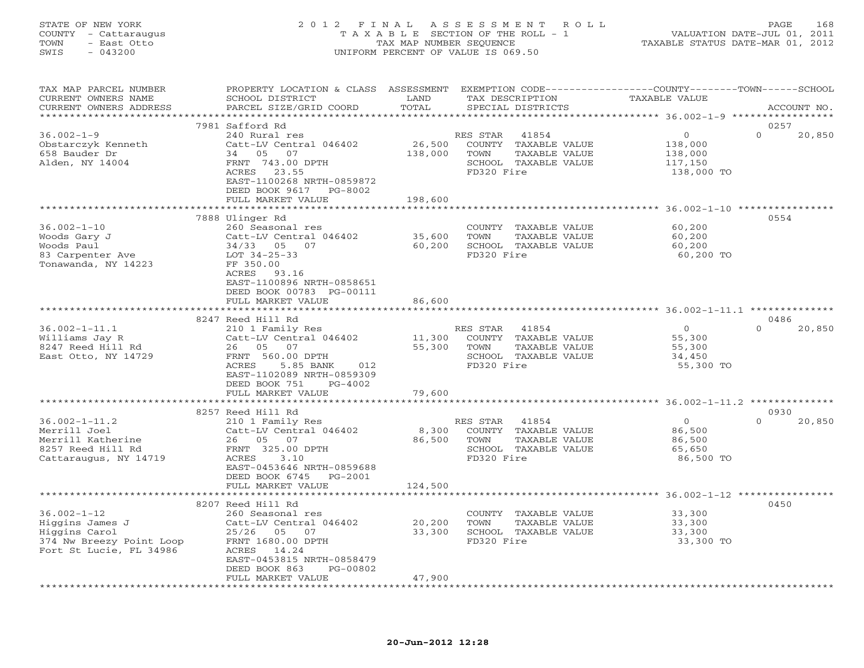## STATE OF NEW YORK 2 0 1 2 F I N A L A S S E S S M E N T R O L L PAGE 168 COUNTY - Cattaraugus T A X A B L E SECTION OF THE ROLL - 1 VALUATION DATE-JUL 01, 2011 TOWN - East Otto TAX MAP NUMBER SEQUENCE TAXABLE STATUS DATE-MAR 01, 2012 SWIS - 043200 UNIFORM PERCENT OF VALUE IS 069.50UNIFORM PERCENT OF VALUE IS 069.50

| TAX MAP PARCEL NUMBER              | PROPERTY LOCATION & CLASS ASSESSMENT EXEMPTION CODE---------------COUNTY-------TOWN------SCHOOL |                             |                   |                             |                  |          |             |
|------------------------------------|-------------------------------------------------------------------------------------------------|-----------------------------|-------------------|-----------------------------|------------------|----------|-------------|
| CURRENT OWNERS NAME                | SCHOOL DISTRICT                                                                                 | LAND                        | TAX DESCRIPTION   |                             | TAXABLE VALUE    |          |             |
| CURRENT OWNERS ADDRESS             | PARCEL SIZE/GRID COORD                                                                          | TOTAL                       | SPECIAL DISTRICTS |                             |                  |          | ACCOUNT NO. |
|                                    |                                                                                                 |                             |                   |                             |                  |          |             |
|                                    | 7981 Safford Rd                                                                                 |                             |                   |                             |                  | 0257     |             |
| $36.002 - 1 - 9$                   |                                                                                                 |                             |                   |                             | $\overline{0}$   | $\Omega$ |             |
|                                    | 240 Rural res                                                                                   |                             | RES STAR 41854    |                             |                  |          | 20,850      |
| Obstarczyk Kenneth                 | Catt-LV Central 046402                                                                          | 26,500                      |                   | COUNTY TAXABLE VALUE        | 138,000          |          |             |
| 658 Bauder Dr                      | 34 05 07                                                                                        | 138,000                     | TOWN              | TAXABLE VALUE               | 138,000          |          |             |
| Alden, NY 14004                    | FRNT 743.00 DPTH                                                                                |                             |                   | SCHOOL TAXABLE VALUE        | 117,150          |          |             |
|                                    | ACRES 23.55                                                                                     |                             | FD320 Fire        |                             | 138,000 TO       |          |             |
|                                    | EAST-1100268 NRTH-0859872                                                                       |                             |                   |                             |                  |          |             |
|                                    | DEED BOOK 9617 PG-8002                                                                          |                             |                   |                             |                  |          |             |
|                                    | FULL MARKET VALUE                                                                               | 198,600                     |                   |                             |                  |          |             |
|                                    |                                                                                                 |                             |                   |                             |                  |          |             |
|                                    |                                                                                                 |                             |                   |                             |                  |          |             |
|                                    | 7888 Ulinger Rd                                                                                 |                             |                   |                             |                  | 0554     |             |
| $36.002 - 1 - 10$                  | 260 Seasonal res                                                                                |                             |                   | COUNTY TAXABLE VALUE        | 60,200           |          |             |
| Woods Gary J                       | Catt-LV Central 046402 35,600<br>Catt-LV Central<br>34/33    05    07                           |                             | TOWN              | TAXABLE VALUE               | 60,200<br>60,200 |          |             |
| Woods Paul                         |                                                                                                 |                             |                   | SCHOOL TAXABLE VALUE        |                  |          |             |
| woods Paul<br>83 Carpenter Ave     | LOT 34-25-33                                                                                    | 60,200                      | FD320 Fire        |                             | 60,200 TO        |          |             |
| Tonawanda, NY 14223                | FF 350.00                                                                                       |                             |                   |                             |                  |          |             |
|                                    | ACRES 93.16                                                                                     |                             |                   |                             |                  |          |             |
|                                    | EAST-1100896 NRTH-0858651                                                                       |                             |                   |                             |                  |          |             |
|                                    |                                                                                                 |                             |                   |                             |                  |          |             |
|                                    | DEED BOOK 00783 PG-00111                                                                        |                             |                   |                             |                  |          |             |
|                                    | FULL MARKET VALUE                                                                               | 86,600                      |                   |                             |                  |          |             |
|                                    |                                                                                                 | * * * * * * * * * * * * * * |                   |                             |                  |          |             |
|                                    | 8247 Reed Hill Rd                                                                               |                             |                   |                             |                  | 0486     |             |
| $36.002 - 1 - 11.1$                | 210 1 Family Res                                                                                |                             | RES STAR 41854    |                             | $\overline{0}$   | $\cap$   | 20,850      |
| Williams Jay R                     | Catt-LV Central 046402                                                                          |                             |                   | 11,300 COUNTY TAXABLE VALUE | 55,300           |          |             |
| 8247 Reed Hill Rd                  | 26 05 07<br>$1 \t040 = 0.$                                                                      | 55,300                      | TOWN              | TAXABLE VALUE               | 55,300           |          |             |
| East Otto, NY 14729                | FRNT 560.00 DPTH                                                                                |                             |                   | SCHOOL TAXABLE VALUE        | 34,450           |          |             |
|                                    | ACRES<br>5.85 BANK<br>012                                                                       |                             | FD320 Fire        |                             | 55,300 TO        |          |             |
|                                    |                                                                                                 |                             |                   |                             |                  |          |             |
|                                    | EAST-1102089 NRTH-0859309                                                                       |                             |                   |                             |                  |          |             |
|                                    | DEED BOOK 751<br>PG-4002                                                                        |                             |                   |                             |                  |          |             |
|                                    | FULL MARKET VALUE                                                                               | 79,600                      |                   |                             |                  |          |             |
|                                    |                                                                                                 |                             |                   |                             |                  |          |             |
|                                    | 8257 Reed Hill Rd                                                                               |                             |                   |                             |                  | 0930     |             |
| $36.002 - 1 - 11.2$                | 210 1 Family Res                                                                                |                             | RES STAR 41854    |                             | $\overline{0}$   | $\Omega$ | 20,850      |
| Merrill Joel                       | Catt-LV Central 046402                                                                          |                             |                   | 8,300 COUNTY TAXABLE VALUE  | 86,500           |          |             |
| Merrill Katherine                  | 26 05 07                                                                                        | 86,500 TOWN                 |                   | TAXABLE VALUE               | 86,500           |          |             |
|                                    |                                                                                                 |                             |                   |                             |                  |          |             |
| 8257 Reed Hill Rd                  | FRNT 325.00 DPTH                                                                                |                             |                   | SCHOOL TAXABLE VALUE        | 65,650           |          |             |
| Cattaraugus, NY 14719              | ACRES<br>3.10                                                                                   |                             | FD320 Fire        |                             | 86,500 TO        |          |             |
|                                    | EAST-0453646 NRTH-0859688                                                                       |                             |                   |                             |                  |          |             |
|                                    | DEED BOOK 6745 PG-2001                                                                          |                             |                   |                             |                  |          |             |
|                                    | FULL MARKET VALUE                                                                               | 124,500                     |                   |                             |                  |          |             |
|                                    |                                                                                                 |                             |                   |                             |                  |          |             |
|                                    | 8207 Reed Hill Rd                                                                               |                             |                   |                             |                  | 0450     |             |
| $36.002 - 1 - 12$                  | 260 Seasonal res                                                                                |                             |                   | COUNTY TAXABLE VALUE        |                  |          |             |
|                                    | Catt-LV Central 046402                                                                          | 20,200                      | TOWN              | TAXABLE VALUE               | 33,300<br>33,300 |          |             |
| Higgins James J<br>Higgins James J |                                                                                                 |                             |                   |                             |                  |          |             |
| Higgins Carol                      | 25/26 05 07                                                                                     |                             |                   | 33,300 SCHOOL TAXABLE VALUE | 33,300           |          |             |
| 374 Nw Breezy Point Loop           | FRNT 1680.00 DPTH                                                                               |                             | FD320 Fire        |                             | 33,300 TO        |          |             |
| Fort St Lucie, FL 34986            | ACRES 14.24                                                                                     |                             |                   |                             |                  |          |             |
|                                    | EAST-0453815 NRTH-0858479                                                                       |                             |                   |                             |                  |          |             |
|                                    | DEED BOOK 863<br>PG-00802                                                                       |                             |                   |                             |                  |          |             |
|                                    | FULL MARKET VALUE                                                                               | 47,900                      |                   |                             |                  |          |             |
|                                    |                                                                                                 |                             |                   |                             |                  |          |             |
|                                    |                                                                                                 |                             |                   |                             |                  |          |             |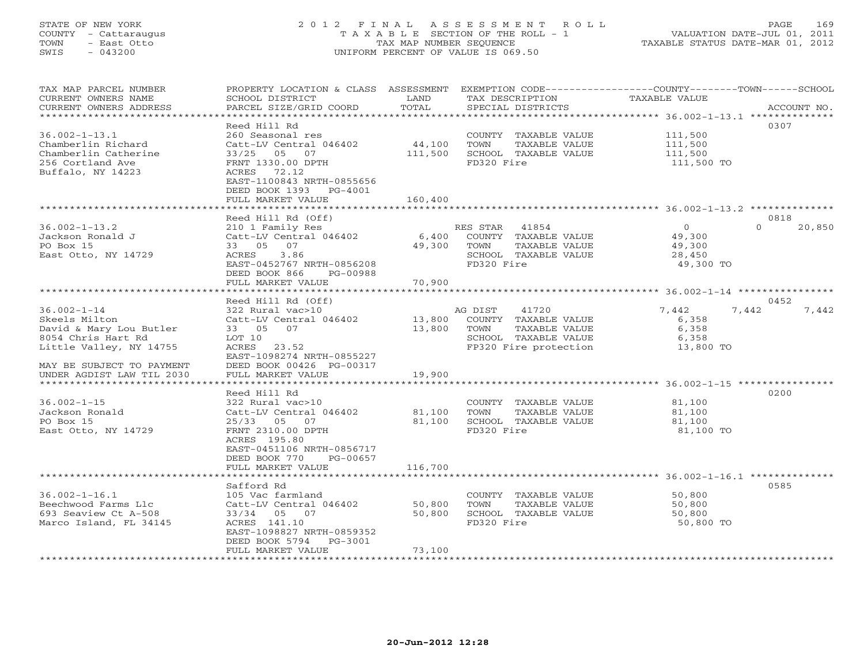## STATE OF NEW YORK 2 0 1 2 F I N A L A S S E S S M E N T R O L L PAGE 169 COUNTY - Cattaraugus T A X A B L E SECTION OF THE ROLL - 1 VALUATION DATE-JUL 01, 2011 TOWN - East Otto TAX MAP NUMBER SEQUENCE TAXABLE STATUS DATE-MAR 01, 2012 SWIS - 043200 UNIFORM PERCENT OF VALUE IS 069.50UNIFORM PERCENT OF VALUE IS 069.50

| TAX MAP PARCEL NUMBER<br>CURRENT OWNERS NAME<br>CURRENT OWNERS ADDRESS                                         | PROPERTY LOCATION & CLASS ASSESSMENT<br>SCHOOL DISTRICT<br>PARCEL SIZE/GRID COORD                                                                                                               | LAND<br>TOTAL                                     |                                | TAX DESCRIPTION<br>SPECIAL DISTRICTS                                                            | EXEMPTION CODE-----------------COUNTY-------TOWN-----SCHOOL<br>TAXABLE VALUE | ACCOUNT NO.                |
|----------------------------------------------------------------------------------------------------------------|-------------------------------------------------------------------------------------------------------------------------------------------------------------------------------------------------|---------------------------------------------------|--------------------------------|-------------------------------------------------------------------------------------------------|------------------------------------------------------------------------------|----------------------------|
| $36.002 - 1 - 13.1$<br>Chamberlin Richard<br>Chamberlin Catherine<br>256 Cortland Ave<br>Buffalo, NY 14223     | Reed Hill Rd<br>260 Seasonal res<br>Catt-LV Central 046402<br>33/25<br>05<br>07<br>FRNT 1330.00 DPTH<br>ACRES 72.12<br>EAST-1100843 NRTH-0855656<br>DEED BOOK 1393 PG-4001<br>FULL MARKET VALUE | 44,100<br>111,500<br>160,400                      | TOWN<br>FD320 Fire             | COUNTY TAXABLE VALUE<br>TAXABLE VALUE<br>SCHOOL TAXABLE VALUE                                   | 111,500<br>111,500<br>111,500<br>111,500 TO                                  | 0307                       |
|                                                                                                                |                                                                                                                                                                                                 |                                                   |                                |                                                                                                 |                                                                              |                            |
| $36.002 - 1 - 13.2$<br>Jackson Ronald J<br>PO Box 15<br>East Otto, NY 14729                                    | Reed Hill Rd (Off)<br>210 1 Family Res<br>Catt-LV Central 046402<br>33 05 07<br>ACRES<br>3.86<br>EAST-0452767 NRTH-0856208<br>DEED BOOK 866<br>PG-00988<br>FULL MARKET VALUE                    | 6,400<br>49,300<br>70,900                         | RES STAR<br>TOWN<br>FD320 Fire | 41854<br>COUNTY TAXABLE VALUE<br>TAXABLE VALUE<br>SCHOOL TAXABLE VALUE                          | $\Omega$<br>49,300<br>49,300<br>28,450<br>49,300 TO                          | 0818<br>$\Omega$<br>20,850 |
|                                                                                                                | *********************                                                                                                                                                                           | *************                                     |                                |                                                                                                 | ********************* 36.002-1-14 *****************                          |                            |
|                                                                                                                | Reed Hill Rd (Off)                                                                                                                                                                              |                                                   |                                |                                                                                                 |                                                                              | 0452                       |
| $36.002 - 1 - 14$<br>Skeels Milton<br>David & Mary Lou Butler<br>8054 Chris Hart Rd<br>Little Valley, NY 14755 | 322 Rural vac>10<br>Catt-LV Central 046402<br>33 05 07<br>LOT 10<br>23.52<br>ACRES<br>EAST-1098274 NRTH-0855227                                                                                 | 13,800<br>13,800                                  | AG DIST<br>TOWN                | 41720<br>COUNTY TAXABLE VALUE<br>TAXABLE VALUE<br>SCHOOL TAXABLE VALUE<br>FP320 Fire protection | 7,442<br>6,358<br>6,358<br>6,358<br>13,800 TO                                | 7,442<br>7,442             |
| MAY BE SUBJECT TO PAYMENT<br>UNDER AGDIST LAW TIL 2030<br>********************                                 | DEED BOOK 00426 PG-00317<br>FULL MARKET VALUE                                                                                                                                                   | 19,900<br>********                                |                                |                                                                                                 | ********************** 36.002-1-15 *****************                         |                            |
|                                                                                                                | Reed Hill Rd                                                                                                                                                                                    |                                                   |                                |                                                                                                 |                                                                              | 0200                       |
| $36.002 - 1 - 15$<br>Jackson Ronald<br>PO Box 15<br>East Otto, NY 14729                                        | 322 Rural vac>10<br>Catt-LV Central 046402<br>$25/33$ 05<br>07<br>FRNT 2310.00 DPTH<br>ACRES 195.80<br>EAST-0451106 NRTH-0856717<br>DEED BOOK 770<br>PG-00657<br>FULL MARKET VALUE              | 81,100<br>81,100<br>116,700                       | TOWN<br>FD320 Fire             | COUNTY TAXABLE VALUE<br>TAXABLE VALUE<br>SCHOOL TAXABLE VALUE                                   | 81,100<br>81,100<br>81,100<br>81,100 TO                                      |                            |
|                                                                                                                |                                                                                                                                                                                                 |                                                   |                                |                                                                                                 |                                                                              |                            |
| $36.002 - 1 - 16.1$<br>Beechwood Farms Llc<br>693 Seaview Ct A-508<br>Marco Island, FL 34145                   | Safford Rd<br>105 Vac farmland<br>Catt-LV Central 046402<br>05 07<br>33/34<br>ACRES 141.10<br>EAST-1098827 NRTH-0859352<br>DEED BOOK 5794<br>PG-3001                                            | 50,800<br>50,800                                  | TOWN<br>FD320 Fire             | COUNTY TAXABLE VALUE<br>TAXABLE VALUE<br>SCHOOL TAXABLE VALUE                                   | 50,800<br>50,800<br>50,800<br>50,800 TO                                      | 0585                       |
| ***********************                                                                                        | FULL MARKET VALUE<br>**************************                                                                                                                                                 | 73,100<br>* * * * * * * * * * * * * * * * * * * * |                                |                                                                                                 |                                                                              |                            |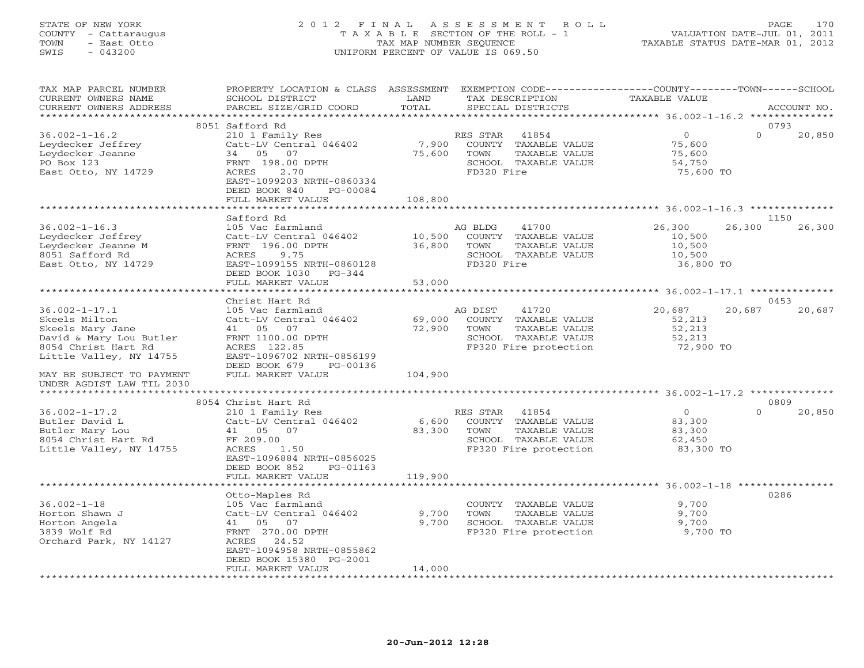## STATE OF NEW YORK 2 0 1 2 F I N A L A S S E S S M E N T R O L L PAGE 170 COUNTY - Cattaraugus T A X A B L E SECTION OF THE ROLL - 1 VALUATION DATE-JUL 01, 2011 TOWN - East Otto TAX MAP NUMBER SEQUENCE TAXABLE STATUS DATE-MAR 01, 2012 SWIS - 043200 UNIFORM PERCENT OF VALUE IS 069.50UNIFORM PERCENT OF VALUE IS 069.50

| TAX MAP PARCEL NUMBER<br>CURRENT OWNERS NAME<br>CURRENT OWNERS ADDRESS | PROPERTY LOCATION & CLASS ASSESSMENT<br>SCHOOL DISTRICT<br>PARCEL SIZE/GRID COORD | LAND<br>TOTAL | TAX DESCRIPTION<br>SPECIAL DISTRICTS | EXEMPTION CODE----------------COUNTY-------TOWN-----SCHOOL<br><b>TAXABLE VALUE</b> | ACCOUNT NO.        |
|------------------------------------------------------------------------|-----------------------------------------------------------------------------------|---------------|--------------------------------------|------------------------------------------------------------------------------------|--------------------|
| *********************                                                  |                                                                                   |               |                                      |                                                                                    |                    |
|                                                                        | 8051 Safford Rd                                                                   |               |                                      |                                                                                    | 0793               |
| $36.002 - 1 - 16.2$                                                    | 210 1 Family Res                                                                  |               | RES STAR<br>41854                    | $\circ$                                                                            | $\Omega$<br>20,850 |
| Leydecker Jeffrey                                                      | Catt-LV Central 046402                                                            | 7,900         | COUNTY TAXABLE VALUE                 | 75,600                                                                             |                    |
| Leydecker Jeanne                                                       | 34 05 07                                                                          | 75,600        | TOWN<br>TAXABLE VALUE                | 75,600                                                                             |                    |
| PO Box 123                                                             | FRNT 198.00 DPTH                                                                  |               | SCHOOL TAXABLE VALUE                 | 54,750                                                                             |                    |
| East Otto, NY 14729                                                    | 2.70<br>ACRES                                                                     |               | FD320 Fire                           | 75,600 TO                                                                          |                    |
|                                                                        | EAST-1099203 NRTH-0860334                                                         |               |                                      |                                                                                    |                    |
|                                                                        | DEED BOOK 840<br>PG-00084                                                         |               |                                      |                                                                                    |                    |
|                                                                        | FULL MARKET VALUE                                                                 | 108,800       |                                      |                                                                                    |                    |
|                                                                        | *******************                                                               | ************* |                                      |                                                                                    |                    |
|                                                                        | Safford Rd                                                                        |               |                                      |                                                                                    | 1150               |
| $36.002 - 1 - 16.3$                                                    | 105 Vac farmland                                                                  |               | AG BLDG<br>41700                     | 26,300<br>26,300                                                                   | 26,300             |
| Leydecker Jeffrey                                                      | Catt-LV Central 046402                                                            | 10,500        | COUNTY TAXABLE VALUE                 | 10,500                                                                             |                    |
| Leydecker Jeanne M                                                     | FRNT 196.00 DPTH                                                                  | 36,800        | TOWN<br>TAXABLE VALUE                | 10,500                                                                             |                    |
| 8051 Safford Rd                                                        | ACRES<br>9.75                                                                     |               | SCHOOL TAXABLE VALUE                 | 10,500                                                                             |                    |
| East Otto, NY 14729                                                    | EAST-1099155 NRTH-0860128                                                         |               | FD320 Fire                           | 36,800 TO                                                                          |                    |
|                                                                        | DEED BOOK 1030 PG-344                                                             |               |                                      |                                                                                    |                    |
|                                                                        | FULL MARKET VALUE                                                                 | 53,000        |                                      |                                                                                    |                    |
|                                                                        | *****************************                                                     |               |                                      |                                                                                    |                    |
|                                                                        | Christ Hart Rd                                                                    |               |                                      |                                                                                    | 0453               |
| $36.002 - 1 - 17.1$                                                    | 105 Vac farmland                                                                  |               | AG DIST<br>41720                     | 20,687<br>20,687                                                                   | 20,687             |
| Skeels Milton                                                          | Catt-LV Central 046402                                                            | 69,000        | COUNTY TAXABLE VALUE                 | 52,213                                                                             |                    |
| Skeels Mary Jane                                                       | 41  05  07                                                                        | 72,900        | TAXABLE VALUE<br>TOWN                | 52,213                                                                             |                    |
| David & Mary Lou Butler                                                | FRNT 1100.00 DPTH                                                                 |               | SCHOOL TAXABLE VALUE                 | 52,213                                                                             |                    |
| 8054 Christ Hart Rd                                                    | ACRES 122.85                                                                      |               | FP320 Fire protection                | 72,900 TO                                                                          |                    |
| Little Valley, NY 14755                                                | EAST-1096702 NRTH-0856199                                                         |               |                                      |                                                                                    |                    |
|                                                                        | DEED BOOK 679<br>PG-00136                                                         |               |                                      |                                                                                    |                    |
| MAY BE SUBJECT TO PAYMENT                                              | FULL MARKET VALUE                                                                 | 104,900       |                                      |                                                                                    |                    |
| UNDER AGDIST LAW TIL 2030                                              |                                                                                   |               |                                      |                                                                                    |                    |
|                                                                        |                                                                                   |               |                                      |                                                                                    |                    |
|                                                                        | 8054 Christ Hart Rd                                                               |               |                                      |                                                                                    | 0809               |
| $36.002 - 1 - 17.2$                                                    | 210 1 Family Res                                                                  |               | RES STAR<br>41854                    | $\circ$<br>$\Omega$                                                                | 20,850             |
| Butler David L                                                         | Catt-LV Central 046402                                                            | 6,600         | COUNTY TAXABLE VALUE                 | 83,300                                                                             |                    |
| Butler Mary Lou                                                        | 41 05<br>07                                                                       | 83,300        | TOWN<br>TAXABLE VALUE                | 83,300                                                                             |                    |
| 8054 Christ Hart Rd                                                    | FF 209.00                                                                         |               | SCHOOL TAXABLE VALUE                 | 62,450                                                                             |                    |
| Little Valley, NY 14755                                                | ACRES<br>1.50                                                                     |               | FP320 Fire protection                | 83,300 TO                                                                          |                    |
|                                                                        | EAST-1096884 NRTH-0856025                                                         |               |                                      |                                                                                    |                    |
|                                                                        | DEED BOOK 852<br>PG-01163                                                         |               |                                      |                                                                                    |                    |
|                                                                        | FULL MARKET VALUE                                                                 | 119,900       |                                      |                                                                                    |                    |
|                                                                        | ******************                                                                |               |                                      | ********************** 36.002-1-18 ***********                                     |                    |
|                                                                        | Otto-Maples Rd                                                                    |               |                                      |                                                                                    | 0286               |
| $36.002 - 1 - 18$                                                      | 105 Vac farmland                                                                  |               | COUNTY TAXABLE VALUE                 | 9,700                                                                              |                    |
| Horton Shawn J                                                         | Catt-LV Central 046402                                                            | 9,700         | TOWN<br>TAXABLE VALUE                | 9,700                                                                              |                    |
| Horton Angela                                                          | 41 05<br>07                                                                       | 9,700         | SCHOOL TAXABLE VALUE                 | 9,700                                                                              |                    |
| 3839 Wolf Rd                                                           | FRNT 270.00 DPTH                                                                  |               | FP320 Fire protection                | 9,700 TO                                                                           |                    |
| Orchard Park, NY 14127                                                 | ACRES<br>24.52                                                                    |               |                                      |                                                                                    |                    |
|                                                                        | EAST-1094958 NRTH-0855862                                                         |               |                                      |                                                                                    |                    |
|                                                                        | DEED BOOK 15380 PG-2001                                                           |               |                                      |                                                                                    |                    |
|                                                                        | FULL MARKET VALUE                                                                 | 14,000        |                                      |                                                                                    |                    |
| ***********************                                                |                                                                                   |               |                                      |                                                                                    |                    |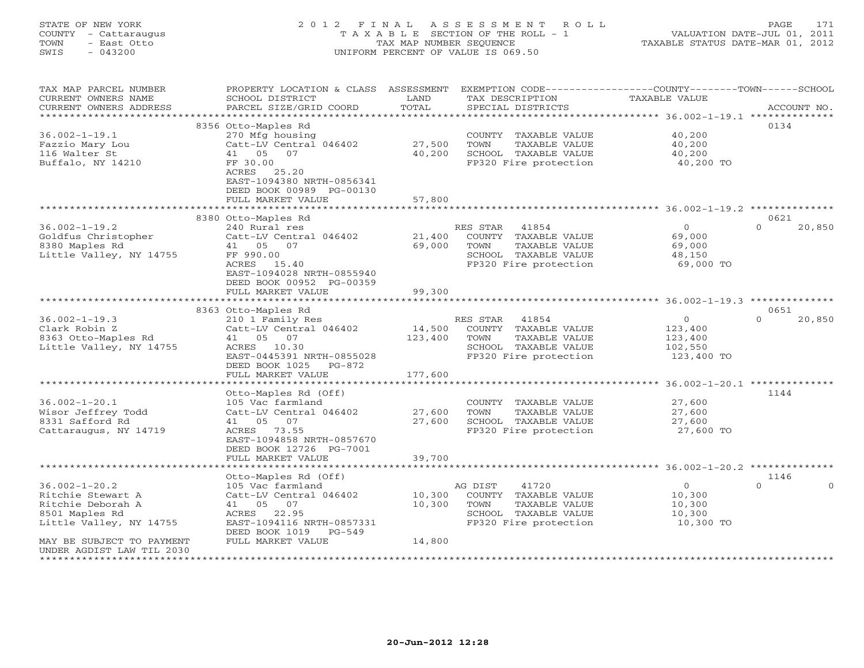STATE OF NEW YORK 2 0 1 2 F I N A L A S S E S S M E N T R O L L PAGE 171 COUNTY - Cattaraugus T A X A B L E SECTION OF THE ROLL - 1 VALUATION DATE-JUL 01, 2011 TOWN - East Otto TAX MAP NUMBER SEQUENCE TAXABLE STATUS DATE-MAR 01, 2012 SWIS - 043200 UNIFORM PERCENT OF VALUE IS 069.50

UNIFORM PERCENT OF VALUE IS 069.50

| TAX MAP PARCEL NUMBER<br>CURRENT OWNERS NAME<br>CURRENT OWNERS ADDRESS | PROPERTY LOCATION & CLASS ASSESSMENT<br>SCHOOL DISTRICT<br>PARCEL SIZE/GRID COORD | LAND<br>TOTAL | EXEMPTION CODE-----------------COUNTY-------TOWN------SCHOOL<br>TAX DESCRIPTION<br>SPECIAL DISTRICTS | TAXABLE VALUE                                            | ACCOUNT NO.        |
|------------------------------------------------------------------------|-----------------------------------------------------------------------------------|---------------|------------------------------------------------------------------------------------------------------|----------------------------------------------------------|--------------------|
| * * * * * * * * * * * * * * * * * *                                    | *************************                                                         |               |                                                                                                      |                                                          |                    |
|                                                                        | 8356 Otto-Maples Rd                                                               |               |                                                                                                      |                                                          | 0134               |
| $36.002 - 1 - 19.1$                                                    | 270 Mfg housing                                                                   |               | COUNTY TAXABLE VALUE                                                                                 | 40,200                                                   |                    |
| Fazzio Mary Lou                                                        | Catt-LV Central 046402                                                            | 27,500        | TOWN<br>TAXABLE VALUE                                                                                | 40,200                                                   |                    |
| 116 Walter St                                                          | 41 05 07                                                                          | 40,200        | SCHOOL TAXABLE VALUE                                                                                 | 40,200                                                   |                    |
| Buffalo, NY 14210                                                      | FF 30.00                                                                          |               | FP320 Fire protection                                                                                | 40,200 TO                                                |                    |
|                                                                        | ACRES 25.20                                                                       |               |                                                                                                      |                                                          |                    |
|                                                                        | EAST-1094380 NRTH-0856341                                                         |               |                                                                                                      |                                                          |                    |
|                                                                        | DEED BOOK 00989 PG-00130                                                          |               |                                                                                                      |                                                          |                    |
|                                                                        | FULL MARKET VALUE                                                                 | 57,800        |                                                                                                      |                                                          |                    |
|                                                                        |                                                                                   |               |                                                                                                      | ******************************** 36.002-1-19.2 ********* |                    |
|                                                                        | 8380 Otto-Maples Rd                                                               |               |                                                                                                      |                                                          | 0621               |
| $36.002 - 1 - 19.2$                                                    | 240 Rural res                                                                     |               | RES STAR<br>41854                                                                                    | $\overline{0}$                                           | $\Omega$<br>20,850 |
| Goldfus Christopher                                                    | Catt-LV Central 046402                                                            | 21,400        | COUNTY TAXABLE VALUE                                                                                 | 69,000                                                   |                    |
| 8380 Maples Rd                                                         | 41 05 07                                                                          | 69,000        | TOWN<br>TAXABLE VALUE                                                                                | 69,000                                                   |                    |
| Little Valley, NY 14755                                                | FF 990.00                                                                         |               | SCHOOL TAXABLE VALUE                                                                                 | 48,150                                                   |                    |
|                                                                        | ACRES<br>15.40                                                                    |               | FP320 Fire protection                                                                                | 69,000 TO                                                |                    |
|                                                                        | EAST-1094028 NRTH-0855940                                                         |               |                                                                                                      |                                                          |                    |
|                                                                        | DEED BOOK 00952 PG-00359                                                          |               |                                                                                                      |                                                          |                    |
|                                                                        | FULL MARKET VALUE                                                                 | 99,300        |                                                                                                      |                                                          |                    |
|                                                                        | *******************                                                               |               |                                                                                                      | ********** 36.002-1-19.3 ***                             |                    |
|                                                                        | 8363 Otto-Maples Rd                                                               |               |                                                                                                      |                                                          | 0651               |
| $36.002 - 1 - 19.3$                                                    | 210 1 Family Res                                                                  |               | RES STAR<br>41854                                                                                    | $\Omega$                                                 | $\Omega$<br>20,850 |
| Clark Robin Z                                                          | Catt-LV Central 046402                                                            | 14,500        | COUNTY TAXABLE VALUE                                                                                 | 123,400                                                  |                    |
| 8363 Otto-Maples Rd                                                    | 41 05 07                                                                          | 123,400       | TOWN<br>TAXABLE VALUE                                                                                | 123,400                                                  |                    |
| Little Valley, NY 14755                                                | 10.30<br>ACRES                                                                    |               | SCHOOL TAXABLE VALUE                                                                                 | 102,550                                                  |                    |
|                                                                        | EAST-0445391 NRTH-0855028                                                         |               | FP320 Fire protection                                                                                | 123,400 TO                                               |                    |
|                                                                        | DEED BOOK 1025<br>$PG-872$                                                        |               |                                                                                                      |                                                          |                    |
|                                                                        | FULL MARKET VALUE                                                                 | 177,600       |                                                                                                      |                                                          |                    |
|                                                                        |                                                                                   |               |                                                                                                      | ********* 36.002-1-20.1 ***************                  |                    |
|                                                                        | Otto-Maples Rd (Off)                                                              |               |                                                                                                      |                                                          | 1144               |
| $36.002 - 1 - 20.1$                                                    | 105 Vac farmland                                                                  |               | COUNTY TAXABLE VALUE                                                                                 | 27,600                                                   |                    |
| Wisor Jeffrey Todd                                                     | Catt-LV Central 046402                                                            | 27,600        | TOWN<br>TAXABLE VALUE                                                                                | 27,600                                                   |                    |
| 8331 Safford Rd                                                        | 41 05<br>07                                                                       | 27,600        | SCHOOL TAXABLE VALUE                                                                                 | 27,600                                                   |                    |
| Cattaraugus, NY 14719                                                  | 73.55<br>ACRES                                                                    |               | FP320 Fire protection                                                                                | 27,600 TO                                                |                    |
|                                                                        | EAST-1094858 NRTH-0857670                                                         |               |                                                                                                      |                                                          |                    |
|                                                                        | DEED BOOK 12726 PG-7001                                                           |               |                                                                                                      |                                                          |                    |
|                                                                        | FULL MARKET VALUE                                                                 | 39,700        |                                                                                                      |                                                          |                    |
|                                                                        |                                                                                   |               |                                                                                                      | ********* 36.002-1-20.2 **                               |                    |
|                                                                        | Otto-Maples Rd (Off)                                                              |               |                                                                                                      |                                                          | 1146<br>$\Omega$   |
| $36.002 - 1 - 20.2$                                                    | 105 Vac farmland                                                                  |               | 41720<br>AG DIST                                                                                     | $\overline{0}$                                           |                    |
| Ritchie Stewart A                                                      | Catt-LV Central 046402                                                            | 10,300        | COUNTY TAXABLE VALUE                                                                                 | 10,300                                                   |                    |
| Ritchie Deborah A                                                      | 41 05 07                                                                          | 10,300        | TOWN<br>TAXABLE VALUE                                                                                | 10,300                                                   |                    |
| 8501 Maples Rd                                                         | 22.95<br>ACRES                                                                    |               | SCHOOL TAXABLE VALUE<br>FP320 Fire protection                                                        | 10,300                                                   |                    |
| Little Valley, NY 14755                                                | EAST-1094116 NRTH-0857331<br>DEED BOOK 1019<br>$PG-549$                           |               |                                                                                                      | 10,300 TO                                                |                    |
|                                                                        | FULL MARKET VALUE                                                                 | 14,800        |                                                                                                      |                                                          |                    |
| MAY BE SUBJECT TO PAYMENT<br>UNDER AGDIST LAW TIL 2030                 |                                                                                   |               |                                                                                                      |                                                          |                    |
| *************************                                              |                                                                                   |               |                                                                                                      |                                                          |                    |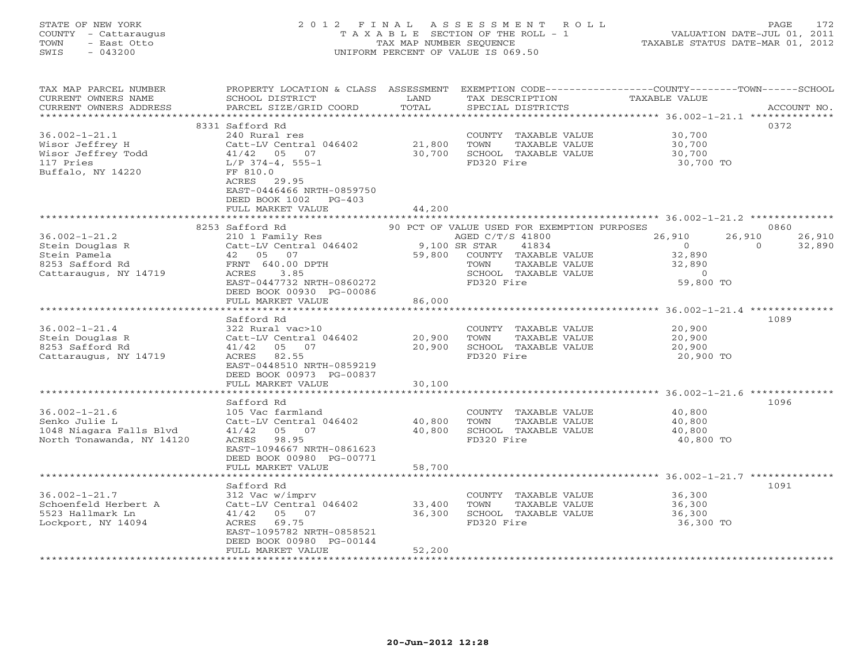## STATE OF NEW YORK 2 0 1 2 F I N A L A S S E S S M E N T R O L L PAGE 172 COUNTY - Cattaraugus T A X A B L E SECTION OF THE ROLL - 1 VALUATION DATE-JUL 01, 2011 TOWN - East Otto TAX MAP NUMBER SEQUENCE TAXABLE STATUS DATE-MAR 01, 2012 SWIS - 043200 UNIFORM PERCENT OF VALUE IS 069.50UNIFORM PERCENT OF VALUE IS 069.50

| TAX MAP PARCEL NUMBER<br>CURRENT OWNERS NAME<br>CURRENT OWNERS ADDRESS                         | PROPERTY LOCATION & CLASS ASSESSMENT<br>SCHOOL DISTRICT<br>PARCEL SIZE/GRID COORD                                                                      | LAND<br>TOTAL              | TAX DESCRIPTION<br>SPECIAL DISTRICTS                                                                          | EXEMPTION CODE-----------------COUNTY-------TOWN------SCHOOL<br>TAXABLE VALUE | ACCOUNT NO. |
|------------------------------------------------------------------------------------------------|--------------------------------------------------------------------------------------------------------------------------------------------------------|----------------------------|---------------------------------------------------------------------------------------------------------------|-------------------------------------------------------------------------------|-------------|
| *************************                                                                      |                                                                                                                                                        |                            |                                                                                                               |                                                                               |             |
| $36.002 - 1 - 21.1$<br>Wisor Jeffrey H<br>Wisor Jeffrey Todd<br>117 Pries<br>Buffalo, NY 14220 | 8331 Safford Rd<br>240 Rural res<br>Catt-LV Central 046402<br>41/42 05 07<br>$L/P$ 374-4, 555-1<br>FF 810.0                                            | 21,800<br>30,700           | COUNTY TAXABLE VALUE<br>TOWN<br>TAXABLE VALUE<br>SCHOOL TAXABLE VALUE<br>FD320 Fire                           | 30,700<br>30,700<br>30,700<br>30,700 TO                                       | 0372        |
|                                                                                                | ACRES 29.95<br>EAST-0446466 NRTH-0859750<br>DEED BOOK 1002<br>$PG-403$<br>FULL MARKET VALUE                                                            | 44,200                     |                                                                                                               |                                                                               |             |
|                                                                                                | 8253 Safford Rd                                                                                                                                        |                            |                                                                                                               |                                                                               | 0860        |
| $36.002 - 1 - 21.2$                                                                            | 210 1 Family Res                                                                                                                                       |                            | 90 PCT OF VALUE USED FOR EXEMPTION PURPOSES<br>AGED C/T/S 41800                                               | 26,910<br>26,910                                                              | 26,910      |
| Stein Douglas R<br>Stein Pamela<br>8253 Safford Rd<br>Cattaraugus, NY 14719                    | Catt-LV Central 046402<br>42 05 07<br>FRNT 640.00 DPTH<br>ACRES<br>3.85<br>EAST-0447732 NRTH-0860272<br>DEED BOOK 00930 PG-00086                       | 59,800                     | 9,100 SR STAR<br>41834<br>COUNTY TAXABLE VALUE<br>TAXABLE VALUE<br>TOWN<br>SCHOOL TAXABLE VALUE<br>FD320 Fire | $\overline{0}$<br>$\Omega$<br>32,890<br>32,890<br>$\overline{0}$<br>59,800 TO | 32,890      |
|                                                                                                | FULL MARKET VALUE                                                                                                                                      | 86,000                     |                                                                                                               |                                                                               |             |
|                                                                                                |                                                                                                                                                        |                            |                                                                                                               |                                                                               |             |
| $36.002 - 1 - 21.4$<br>Stein Douglas R<br>8253 Safford Rd<br>Cattaraugus, NY 14719             | Safford Rd<br>322 Rural vac>10<br>Catt-LV Central 046402<br>41/42 05 07<br>ACRES 82.55<br>EAST-0448510 NRTH-0859219                                    | 20,900<br>20,900           | COUNTY TAXABLE VALUE<br>TOWN<br>TAXABLE VALUE<br>SCHOOL TAXABLE VALUE<br>FD320 Fire                           | 20,900<br>20,900<br>20,900<br>20,900 TO                                       | 1089        |
|                                                                                                | DEED BOOK 00973 PG-00837<br>FULL MARKET VALUE                                                                                                          | 30,100                     |                                                                                                               |                                                                               |             |
|                                                                                                | ***********************                                                                                                                                | **************             |                                                                                                               |                                                                               |             |
|                                                                                                | Safford Rd                                                                                                                                             |                            |                                                                                                               |                                                                               | 1096        |
| $36.002 - 1 - 21.6$<br>Senko Julie L<br>1048 Niagara Falls Blvd<br>North Tonawanda, NY 14120   | 105 Vac farmland<br>Catt-LV Central 046402<br>41/42 05 07<br>ACRES 98.95<br>EAST-1094667 NRTH-0861623<br>DEED BOOK 00980 PG-00771<br>FULL MARKET VALUE | 40,800<br>40,800<br>58,700 | COUNTY TAXABLE VALUE<br>TOWN<br>TAXABLE VALUE<br>SCHOOL TAXABLE VALUE<br>FD320 Fire                           | 40,800<br>40,800<br>40,800<br>40,800 TO                                       |             |
|                                                                                                |                                                                                                                                                        |                            |                                                                                                               |                                                                               |             |
| $36.002 - 1 - 21.7$<br>Schoenfeld Herbert A<br>5523 Hallmark Ln<br>Lockport, NY 14094          | Safford Rd<br>312 Vac w/imprv<br>Catt-LV Central 046402<br>41/42 05 07<br>ACRES 69.75<br>EAST-1095782 NRTH-0858521                                     | 33,400<br>36,300           | COUNTY TAXABLE VALUE<br>TOWN<br>TAXABLE VALUE<br>SCHOOL TAXABLE VALUE<br>FD320 Fire                           | 36,300<br>36,300<br>36,300<br>36,300 TO                                       | 1091        |
|                                                                                                | DEED BOOK 00980 PG-00144<br>FULL MARKET VALUE                                                                                                          | 52,200                     |                                                                                                               |                                                                               |             |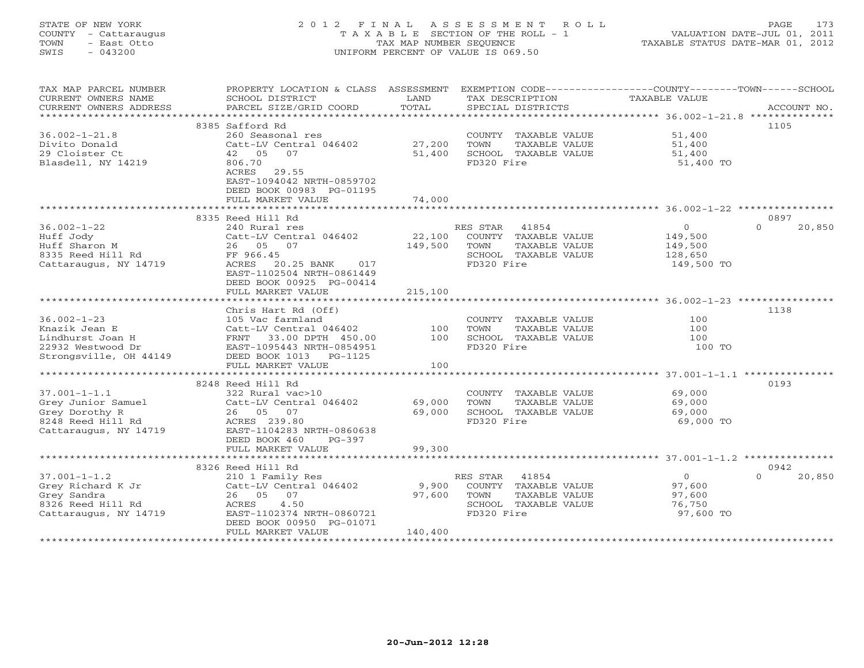## STATE OF NEW YORK 2 0 1 2 F I N A L A S S E S S M E N T R O L L PAGE 173 COUNTY - Cattaraugus T A X A B L E SECTION OF THE ROLL - 1 VALUATION DATE-JUL 01, 2011 TOWN - East Otto TAX MAP NUMBER SEQUENCE TAXABLE STATUS DATE-MAR 01, 2012 SWIS - 043200 UNIFORM PERCENT OF VALUE IS 069.50UNIFORM PERCENT OF VALUE IS 069.50

| TAX MAP PARCEL NUMBER<br>CURRENT OWNERS NAME<br>CURRENT OWNERS ADDRESS | PROPERTY LOCATION & CLASS ASSESSMENT<br>SCHOOL DISTRICT<br>PARCEL SIZE/GRID COORD | LAND<br>TOTAL    | TAX DESCRIPTION<br>SPECIAL DISTRICTS          | EXEMPTION CODE-----------------COUNTY-------TOWN------SCHOOL<br>TAXABLE VALUE<br>ACCOUNT NO. |  |
|------------------------------------------------------------------------|-----------------------------------------------------------------------------------|------------------|-----------------------------------------------|----------------------------------------------------------------------------------------------|--|
| **********************                                                 |                                                                                   |                  |                                               |                                                                                              |  |
|                                                                        | 8385 Safford Rd                                                                   |                  |                                               | 1105                                                                                         |  |
| $36.002 - 1 - 21.8$                                                    | 260 Seasonal res                                                                  |                  | COUNTY TAXABLE VALUE                          | 51,400                                                                                       |  |
| Divito Donald                                                          | Catt-LV Central 046402<br>42 05<br>07                                             | 27,200           | TOWN<br>TAXABLE VALUE                         | 51,400                                                                                       |  |
| 29 Cloister Ct                                                         |                                                                                   | 51,400           | SCHOOL TAXABLE VALUE                          | 51,400                                                                                       |  |
| Blasdell, NY 14219                                                     | 806.70<br>ACRES<br>29.55<br>EAST-1094042 NRTH-0859702<br>DEED BOOK 00983 PG-01195 |                  | FD320 Fire                                    | 51,400 TO                                                                                    |  |
|                                                                        | FULL MARKET VALUE                                                                 | 74,000           |                                               |                                                                                              |  |
|                                                                        | ***********************                                                           |                  |                                               |                                                                                              |  |
|                                                                        | 8335 Reed Hill Rd                                                                 |                  |                                               | 0897                                                                                         |  |
| $36.002 - 1 - 22$                                                      | 240 Rural res                                                                     |                  | RES STAR 41854                                | $\circ$<br>$\Omega$<br>20,850                                                                |  |
| Huff Jody                                                              | Catt-LV Central 046402                                                            | 22,100           | COUNTY TAXABLE VALUE                          | 149,500                                                                                      |  |
| Huff Sharon M                                                          | 26 05 07                                                                          | 149,500          | TOWN<br>TAXABLE VALUE<br>SCHOOL TAXABLE VALUE | 149,500                                                                                      |  |
| 8335 Reed Hill Rd                                                      | FF 966.45<br>ACRES<br>20.25 BANK<br>017                                           |                  | FD320 Fire                                    | 128,650<br>149,500 TO                                                                        |  |
| Cattaraugus, NY 14719                                                  | EAST-1102504 NRTH-0861449<br>DEED BOOK 00925 PG-00414<br>FULL MARKET VALUE        | 215,100          |                                               |                                                                                              |  |
|                                                                        |                                                                                   |                  |                                               |                                                                                              |  |
|                                                                        | Chris Hart Rd (Off)                                                               |                  |                                               | 1138                                                                                         |  |
| $36.002 - 1 - 23$                                                      | 105 Vac farmland                                                                  |                  | COUNTY TAXABLE VALUE                          | 100                                                                                          |  |
| Knazik Jean E                                                          | Catt-LV Central 046402                                                            | 100              | TOWN<br>TAXABLE VALUE                         | 100                                                                                          |  |
| Lindhurst Joan H                                                       | FRNT 33.00 DPTH 450.00                                                            | 100              | SCHOOL TAXABLE VALUE                          | 100                                                                                          |  |
| 22932 Westwood Dr                                                      | EAST-1095443 NRTH-0854951                                                         |                  | FD320 Fire                                    | 100 TO                                                                                       |  |
| Strongsville, OH 44149                                                 | DEED BOOK 1013 PG-1125                                                            |                  |                                               |                                                                                              |  |
|                                                                        | FULL MARKET VALUE                                                                 | 100              |                                               |                                                                                              |  |
|                                                                        |                                                                                   |                  |                                               |                                                                                              |  |
|                                                                        | 8248 Reed Hill Rd                                                                 |                  |                                               | 0193                                                                                         |  |
| $37.001 - 1 - 1.1$                                                     | 322 Rural vac>10                                                                  |                  | COUNTY TAXABLE VALUE                          | 69,000                                                                                       |  |
| Grey Junior Samuel<br>Grey Dorothy R                                   | Catt-LV Central 046402<br>26 05 07                                                | 69,000<br>69,000 | TOWN<br>TAXABLE VALUE                         | 69,000<br>69,000                                                                             |  |
| 8248 Reed Hill Rd                                                      | ACRES 239.80                                                                      |                  | SCHOOL TAXABLE VALUE<br>FD320 Fire            | 69,000 TO                                                                                    |  |
| Cattaraugus, NY 14719                                                  | EAST-1104283 NRTH-0860638                                                         |                  |                                               |                                                                                              |  |
|                                                                        | DEED BOOK 460<br>$PG-397$                                                         |                  |                                               |                                                                                              |  |
|                                                                        | FULL MARKET VALUE                                                                 | 99,300           |                                               |                                                                                              |  |
|                                                                        |                                                                                   |                  |                                               |                                                                                              |  |
|                                                                        | 8326 Reed Hill Rd                                                                 |                  |                                               | 0942                                                                                         |  |
| $37.001 - 1 - 1.2$                                                     | 210 1 Family Res                                                                  |                  | RES STAR<br>41854                             | $\circ$<br>$\Omega$<br>20,850                                                                |  |
| Grey Richard K Jr                                                      | Catt-LV Central 046402                                                            | 9,900            | COUNTY TAXABLE VALUE                          | 97,600                                                                                       |  |
| Grey Sandra                                                            | 26 05 07                                                                          | 97,600           | TAXABLE VALUE<br>TOWN                         | 97,600                                                                                       |  |
| 8326 Reed Hill Rd                                                      | ACRES<br>4.50                                                                     |                  | SCHOOL TAXABLE VALUE                          | 76,750                                                                                       |  |
| Cattaraugus, NY 14719                                                  | EAST-1102374 NRTH-0860721<br>DEED BOOK 00950 PG-01071                             |                  | FD320 Fire                                    | 97,600 TO                                                                                    |  |
|                                                                        | FULL MARKET VALUE                                                                 | 140,400          |                                               |                                                                                              |  |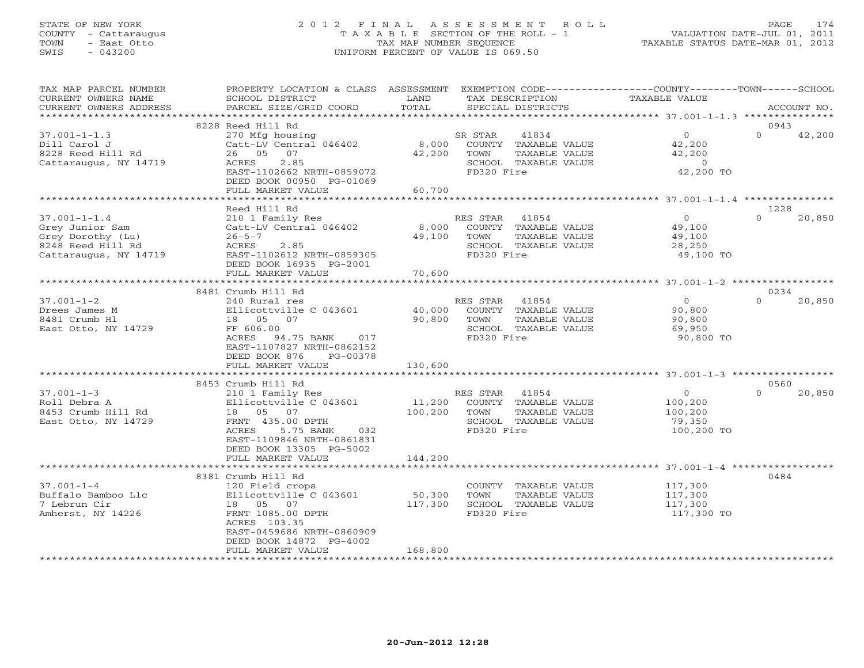## STATE OF NEW YORK 2 0 1 2 F I N A L A S S E S S M E N T R O L L PAGE 174 COUNTY - Cattaraugus T A X A B L E SECTION OF THE ROLL - 1 VALUATION DATE-JUL 01, 2011 TOWN - East Otto TAX MAP NUMBER SEQUENCE TAXABLE STATUS DATE-MAR 01, 2012 SWIS - 043200 UNIFORM PERCENT OF VALUE IS 069.50UNIFORM PERCENT OF VALUE IS 069.50

| TAX MAP PARCEL NUMBER<br>CURRENT OWNERS NAME<br>CURRENT OWNERS ADDRESS                                   | PROPERTY LOCATION & CLASS ASSESSMENT<br>SCHOOL DISTRICT<br>PARCEL SIZE/GRID COORD                                                                                                  | LAND<br>TOTAL        | TAX DESCRIPTION<br>SPECIAL DISTRICTS |                                                                                                     | EXEMPTION CODE-----------------COUNTY-------TOWN------SCHOOL<br>TAXABLE VALUE |          | ACCOUNT NO. |
|----------------------------------------------------------------------------------------------------------|------------------------------------------------------------------------------------------------------------------------------------------------------------------------------------|----------------------|--------------------------------------|-----------------------------------------------------------------------------------------------------|-------------------------------------------------------------------------------|----------|-------------|
|                                                                                                          |                                                                                                                                                                                    |                      |                                      |                                                                                                     |                                                                               |          |             |
|                                                                                                          | 8228 Reed Hill Rd                                                                                                                                                                  |                      |                                      |                                                                                                     |                                                                               | 0943     |             |
| $37.001 - 1 - 1.3$<br>Dill Carol J<br>8228 Reed Hill Rd<br>Cattaraugus, NY 14719                         | 270 Mfg housing<br>Catt-LV Central 046402<br>26 05 07<br>2.85<br>ACRES<br>EAST-1102662 NRTH-0859072<br>DEED BOOK 00950 PG-01069                                                    | 42,200               | SR STAR<br>TOWN<br>FD320 Fire        | 41834<br>8,000 COUNTY TAXABLE VALUE<br>TAXABLE VALUE<br>SCHOOL TAXABLE VALUE                        | 0<br>42,200<br>42,200<br>$\sim$ 0<br>42,200 TO                                | $\Omega$ | 42,200      |
|                                                                                                          | FULL MARKET VALUE                                                                                                                                                                  | 60,700               |                                      |                                                                                                     |                                                                               |          |             |
|                                                                                                          | Reed Hill Rd                                                                                                                                                                       |                      |                                      |                                                                                                     |                                                                               | 1228     |             |
| $37.001 - 1 - 1.4$<br>Grey Junior Sam<br>Grey Dorothy (Lu)<br>8248 Reed Hill Rd<br>Cattaraugus, NY 14719 | 210 1 Family Res<br>Catt-LV Central 046402<br>$26 - 5 - 7$<br>2.85<br>ACRES<br>EAST-1102612 NRTH-0859305<br>DEED BOOK 16935 PG-2001                                                | 8,000<br>49,100 TOWN | RES STAR<br>FD320 Fire               | 41854<br>COUNTY TAXABLE VALUE<br>TAXABLE VALUE<br>SCHOOL TAXABLE VALUE                              | 0<br>49,100<br>49,100<br>28,250<br>49,100 TO                                  | $\Omega$ | 20,850      |
|                                                                                                          | FULL MARKET VALUE                                                                                                                                                                  | 70,600               |                                      |                                                                                                     |                                                                               |          |             |
|                                                                                                          | 8481 Crumb Hill Rd                                                                                                                                                                 |                      |                                      |                                                                                                     |                                                                               | 0234     |             |
| $37.001 - 1 - 2$<br>Drees James M<br>8481 Crumb Hl<br>East Otto, NY 14729                                | 240 Rural res<br>Ellicottville C 043601<br>18        05        07<br>FF 606.00<br>ACRES 94.75 BANK 017<br>EAST-1107827 NRTH-0862152<br>DEED BOOK 876 PG-00378<br>FULL MARKET VALUE | 90,800<br>130,600    | TOWN<br>FD320 Fire                   | RES STAR 41854<br>40,000 COUNTY TAXABLE VALUE<br>TAXABLE VALUE<br>SCHOOL TAXABLE VALUE              | $\overline{0}$<br>90,800<br>90,800<br>69,950<br>90,800 TO                     | $\Omega$ | 20,850      |
|                                                                                                          |                                                                                                                                                                                    |                      |                                      |                                                                                                     |                                                                               |          |             |
|                                                                                                          | 8453 Crumb Hill Rd                                                                                                                                                                 |                      |                                      |                                                                                                     |                                                                               | 0560     |             |
| $37.001 - 1 - 3$<br>Roll Debra A<br>8453 Crumb Hill Rd<br>East Otto, NY 14729                            | 210 1 Family Res<br>Ellicottville C 043601<br>18 05 07<br>FRNT 435.00 DPTH<br>5.75 BANK<br>ACRES<br>032<br>EAST-1109846 NRTH-0861831<br>DEED BOOK 13305 PG-5002                    |                      | FD320 Fire                           | KES STAR 41854<br>11,200 COUNTY TAXABLE VALUE<br>100,200 TOWN TAXABLE VALUE<br>SCHOOL TAXABLE VALUE | $\overline{0}$<br>100,200<br>100,200<br>79,350<br>100,200 TO                  | $\Omega$ | 20,850      |
|                                                                                                          | FULL MARKET VALUE                                                                                                                                                                  | 144,200              |                                      |                                                                                                     |                                                                               |          |             |
|                                                                                                          |                                                                                                                                                                                    |                      |                                      |                                                                                                     |                                                                               |          |             |
| $37.001 - 1 - 4$<br>Buffalo Bamboo Llc<br>7 Lebrun Cir<br>Amherst, NY 14226                              | 8381 Crumb Hill Rd<br>120 Field crops<br>Ellicottville C 043601<br>18 05 07<br>FRNT 1085.00 DPTH<br>ACRES 103.35<br>EAST-0459686 NRTH-0860909<br>DEED BOOK 14872 PG-4002           | 50,300<br>117,300    | TOWN<br>FD320 Fire                   | COUNTY TAXABLE VALUE<br>TAXABLE VALUE<br>SCHOOL TAXABLE VALUE                                       | 117,300<br>117,300<br>117,300<br>117,300 TO                                   | 0484     |             |
|                                                                                                          | FULL MARKET VALUE                                                                                                                                                                  | 168,800              |                                      |                                                                                                     |                                                                               |          |             |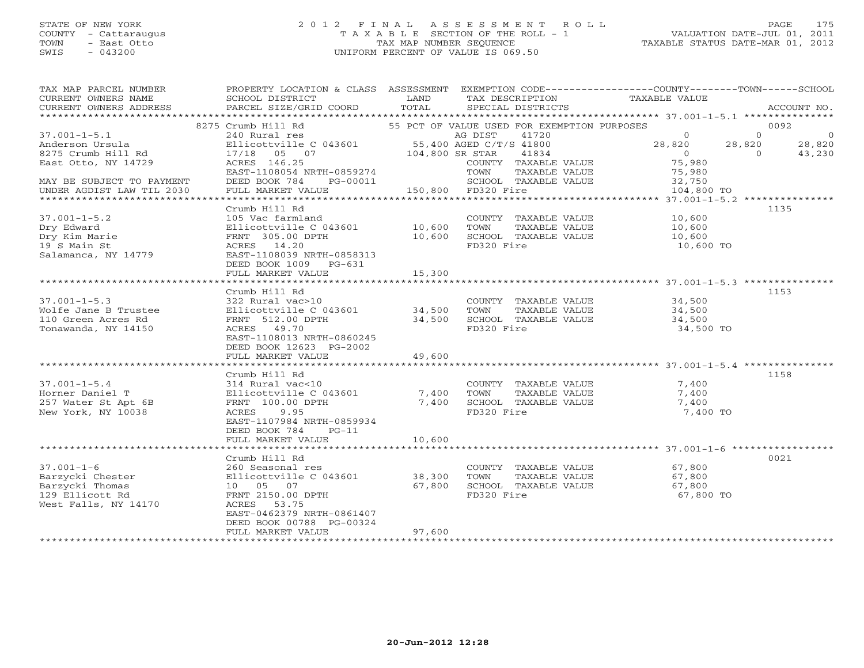## STATE OF NEW YORK 2 0 1 2 F I N A L A S S E S S M E N T R O L L PAGE 175 COUNTY - Cattaraugus T A X A B L E SECTION OF THE ROLL - 1 VALUATION DATE-JUL 01, 2011 TOWN - East Otto TAX MAP NUMBER SEQUENCE TAXABLE STATUS DATE-MAR 01, 2012 SWIS - 043200 UNIFORM PERCENT OF VALUE IS 069.50UNIFORM PERCENT OF VALUE IS 069.50

| TAX MAP PARCEL NUMBER<br>CURRENT OWNERS NAME<br>CURRENT OWNERS ADDRESS | PROPERTY LOCATION & CLASS ASSESSMENT EXEMPTION CODE----------------COUNTY-------TOWN------SCHOOL<br>SCHOOL DISTRICT<br>PARCEL SIZE/GRID COORD | LAND<br>TOTAL   | TAX DESCRIPTION<br>SPECIAL DISTRICTS          | TAXABLE VALUE    | ACCOUNT NO.                |
|------------------------------------------------------------------------|-----------------------------------------------------------------------------------------------------------------------------------------------|-----------------|-----------------------------------------------|------------------|----------------------------|
|                                                                        |                                                                                                                                               |                 |                                               |                  |                            |
|                                                                        | 8275 Crumb Hill Rd                                                                                                                            |                 | 55 PCT OF VALUE USED FOR EXEMPTION PURPOSES   |                  | 0092                       |
| $37.001 - 1 - 5.1$                                                     | 240 Rural res                                                                                                                                 |                 | AG DIST<br>41720                              | $\Omega$         | $\Omega$<br>$\overline{0}$ |
| Anderson Ursula                                                        | Ellicottville C 043601                                                                                                                        |                 | 55,400 AGED C/T/S 41800                       | 28,820<br>28,820 | 28,820                     |
| 8275 Crumb Hill Rd                                                     | 17/18 05 07                                                                                                                                   | 104,800 SR STAR | 41834                                         | $\overline{0}$   | $\Omega$<br>43,230         |
| East Otto, NY 14729                                                    | ACRES 146.25                                                                                                                                  |                 | COUNTY TAXABLE VALUE                          | 75,980           |                            |
| MAY BE SUBJECT TO PAYMENT                                              | EAST-1108054 NRTH-0859274<br>DEED BOOK 784<br>PG-00011                                                                                        |                 | TAXABLE VALUE<br>TOWN<br>SCHOOL TAXABLE VALUE | 75,980<br>32,750 |                            |
| UNDER AGDIST LAW TIL 2030                                              | FULL MARKET VALUE                                                                                                                             |                 | 150,800 FD320 Fire                            | 104,800 TO       |                            |
|                                                                        |                                                                                                                                               |                 |                                               |                  |                            |
|                                                                        | Crumb Hill Rd                                                                                                                                 |                 |                                               |                  | 1135                       |
| $37.001 - 1 - 5.2$                                                     | 105 Vac farmland                                                                                                                              |                 | COUNTY TAXABLE VALUE                          | 10,600           |                            |
| Dry Edward                                                             | Ellicottville C 043601                                                                                                                        | 10,600          | TOWN<br>TAXABLE VALUE                         | 10,600           |                            |
| Dry Kim Marie                                                          | FRNT 305.00 DPTH                                                                                                                              | 10,600          | SCHOOL TAXABLE VALUE                          | 10,600           |                            |
| 19 S Main St                                                           | ACRES 14.20                                                                                                                                   |                 | FD320 Fire                                    | 10,600 TO        |                            |
| Salamanca, NY 14779                                                    | EAST-1108039 NRTH-0858313                                                                                                                     |                 |                                               |                  |                            |
|                                                                        | DEED BOOK 1009 PG-631                                                                                                                         |                 |                                               |                  |                            |
|                                                                        | FULL MARKET VALUE                                                                                                                             | 15,300          |                                               |                  |                            |
|                                                                        | Crumb Hill Rd                                                                                                                                 |                 |                                               |                  | 1153                       |
| $37.001 - 1 - 5.3$                                                     | 322 Rural vac>10                                                                                                                              |                 | COUNTY TAXABLE VALUE 34,500                   |                  |                            |
| Wolfe Jane B Trustee                                                   | Ellicottville C 043601                                                                                                                        | 34,500          | TOWN<br>TAXABLE VALUE                         | 34,500           |                            |
| 110 Green Acres Rd                                                     | FRNT 512.00 DPTH                                                                                                                              | 34,500          | SCHOOL TAXABLE VALUE                          | 34,500           |                            |
| Tonawanda, NY 14150                                                    | ACRES 49.70                                                                                                                                   |                 | FD320 Fire                                    | 34,500 TO        |                            |
|                                                                        | EAST-1108013 NRTH-0860245                                                                                                                     |                 |                                               |                  |                            |
|                                                                        | DEED BOOK 12623 PG-2002                                                                                                                       |                 |                                               |                  |                            |
|                                                                        | FULL MARKET VALUE                                                                                                                             | 49,600          |                                               |                  |                            |
|                                                                        |                                                                                                                                               |                 |                                               |                  |                            |
|                                                                        | Crumb Hill Rd                                                                                                                                 |                 |                                               |                  | 1158                       |
| $37.001 - 1 - 5.4$                                                     | 314 Rural vac<10                                                                                                                              |                 | COUNTY TAXABLE VALUE                          | 7,400            |                            |
| Horner Daniel T                                                        | Ellicottville C 043601<br>FRNT 100.00 DPTH                                                                                                    | 7,400<br>7,400  | TOWN<br>TAXABLE VALUE<br>SCHOOL TAXABLE VALUE | 7,400<br>7,400   |                            |
| 257 Water St Apt 6B<br>New York, NY 10038                              | 9.95<br>ACRES                                                                                                                                 |                 | FD320 Fire                                    | 7,400 TO         |                            |
|                                                                        | EAST-1107984 NRTH-0859934                                                                                                                     |                 |                                               |                  |                            |
|                                                                        | DEED BOOK 784<br>$PG-11$                                                                                                                      |                 |                                               |                  |                            |
|                                                                        | FULL MARKET VALUE                                                                                                                             | 10,600          |                                               |                  |                            |
|                                                                        |                                                                                                                                               |                 |                                               |                  |                            |
|                                                                        | Crumb Hill Rd                                                                                                                                 |                 |                                               |                  | 0021                       |
| $37.001 - 1 - 6$                                                       | 260 Seasonal res                                                                                                                              |                 | COUNTY TAXABLE VALUE                          | 67,800           |                            |
| Barzycki Chester                                                       | Ellicottville C 043601                                                                                                                        | 38,300          | TOWN<br>TAXABLE VALUE                         | 67,800           |                            |
| Barzycki Thomas                                                        | 10 05 07                                                                                                                                      | 67,800          | SCHOOL TAXABLE VALUE                          | 67,800           |                            |
| 129 Ellicott Rd                                                        | FRNT 2150.00 DPTH                                                                                                                             |                 | FD320 Fire                                    | 67,800 TO        |                            |
| West Falls, NY 14170                                                   | ACRES 53.75<br>EAST-0462379 NRTH-0861407                                                                                                      |                 |                                               |                  |                            |
|                                                                        | DEED BOOK 00788 PG-00324                                                                                                                      |                 |                                               |                  |                            |
|                                                                        | FULL MARKET VALUE                                                                                                                             | 97,600          |                                               |                  |                            |
|                                                                        |                                                                                                                                               |                 |                                               |                  |                            |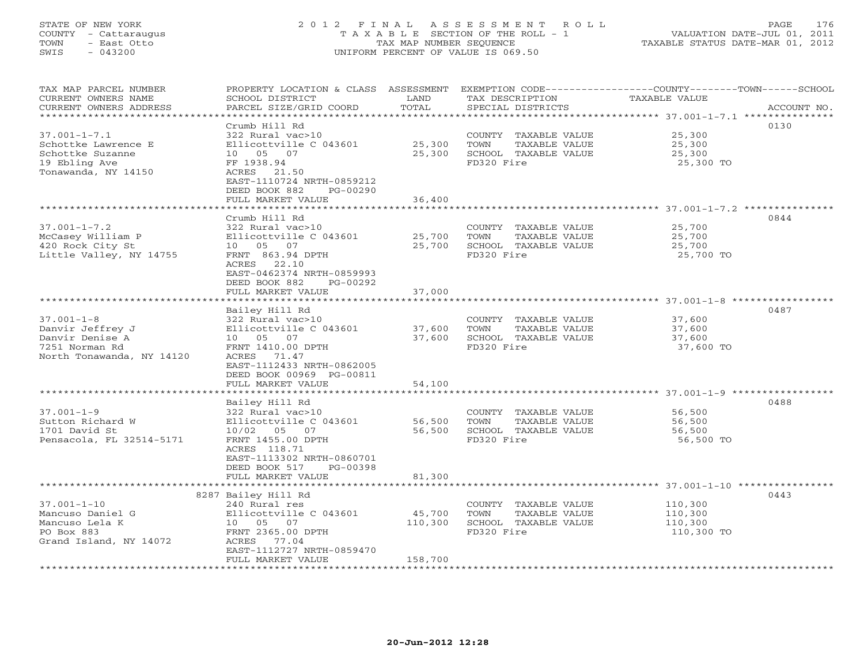## STATE OF NEW YORK 2 0 1 2 F I N A L A S S E S S M E N T R O L L PAGE 176 COUNTY - Cattaraugus T A X A B L E SECTION OF THE ROLL - 1 VALUATION DATE-JUL 01, 2011 TOWN - East Otto TAX MAP NUMBER SEQUENCE TAXABLE STATUS DATE-MAR 01, 2012 SWIS - 043200 UNIFORM PERCENT OF VALUE IS 069.50UNIFORM PERCENT OF VALUE IS 069.50

| TAX MAP PARCEL NUMBER<br>CURRENT OWNERS NAME<br>CURRENT OWNERS ADDRESS | PROPERTY LOCATION & CLASS ASSESSMENT EXEMPTION CODE----------------COUNTY-------TOWN------SCHOOL<br>SCHOOL DISTRICT<br>PARCEL SIZE/GRID COORD | LAND<br>TOTAL    |            | TAX DESCRIPTION<br>SPECIAL DISTRICTS  | TAXABLE VALUE    | ACCOUNT NO. |
|------------------------------------------------------------------------|-----------------------------------------------------------------------------------------------------------------------------------------------|------------------|------------|---------------------------------------|------------------|-------------|
|                                                                        |                                                                                                                                               |                  |            |                                       |                  |             |
|                                                                        | Crumb Hill Rd                                                                                                                                 |                  |            |                                       |                  | 0130        |
| $37.001 - 1 - 7.1$                                                     | 322 Rural vac>10                                                                                                                              |                  |            | COUNTY TAXABLE VALUE                  | 25,300           |             |
| Schottke Lawrence E                                                    | Ellicottville C 043601                                                                                                                        | 25,300           | TOWN       | TAXABLE VALUE                         | 25,300           |             |
| Schottke Suzanne                                                       | 10 05 07                                                                                                                                      | 25,300           |            | SCHOOL TAXABLE VALUE                  | 25,300           |             |
| 19 Ebling Ave<br>Tonawanda, NY 14150                                   | FF 1938.94<br>ACRES 21.50                                                                                                                     |                  | FD320 Fire |                                       | 25,300 TO        |             |
|                                                                        | EAST-1110724 NRTH-0859212                                                                                                                     |                  |            |                                       |                  |             |
|                                                                        | DEED BOOK 882<br>PG-00290                                                                                                                     |                  |            |                                       |                  |             |
|                                                                        | FULL MARKET VALUE                                                                                                                             | 36,400           |            |                                       |                  |             |
|                                                                        |                                                                                                                                               |                  |            |                                       |                  |             |
|                                                                        | Crumb Hill Rd<br>322 Rural vac>10                                                                                                             |                  |            |                                       |                  | 0844        |
| $37.001 - 1 - 7.2$<br>McCasey William P                                | Ellicottville C 043601                                                                                                                        | 25,700           | TOWN       | COUNTY TAXABLE VALUE<br>TAXABLE VALUE | 25,700<br>25,700 |             |
| 420 Rock City St                                                       | 10 05 07                                                                                                                                      | 25,700           |            | SCHOOL TAXABLE VALUE                  | 25,700           |             |
| Little Valley, NY 14755                                                | FRNT 863.94 DPTH                                                                                                                              |                  | FD320 Fire |                                       | 25,700 TO        |             |
|                                                                        | ACRES 22.10                                                                                                                                   |                  |            |                                       |                  |             |
|                                                                        | EAST-0462374 NRTH-0859993                                                                                                                     |                  |            |                                       |                  |             |
|                                                                        | DEED BOOK 882<br>PG-00292                                                                                                                     |                  |            |                                       |                  |             |
|                                                                        | FULL MARKET VALUE                                                                                                                             | 37,000           |            |                                       |                  |             |
|                                                                        | Bailey Hill Rd                                                                                                                                |                  |            |                                       |                  | 0487        |
| $37.001 - 1 - 8$                                                       | 322 Rural vac>10                                                                                                                              |                  |            | COUNTY TAXABLE VALUE                  | 37,600           |             |
| Danvir Jeffrey J                                                       | Ellicottville C 043601                                                                                                                        | 37,600           | TOWN       | TAXABLE VALUE                         | 37,600           |             |
| Danvir Denise A                                                        | 10 05 07                                                                                                                                      | 37,600           |            | SCHOOL TAXABLE VALUE                  | 37,600           |             |
| 7251 Norman Rd                                                         | FRNT 1410.00 DPTH                                                                                                                             |                  | FD320 Fire |                                       | 37,600 TO        |             |
| North Tonawanda, NY 14120                                              | ACRES 71.47<br>EAST-1112433 NRTH-0862005                                                                                                      |                  |            |                                       |                  |             |
|                                                                        | DEED BOOK 00969 PG-00811                                                                                                                      |                  |            |                                       |                  |             |
|                                                                        | FULL MARKET VALUE                                                                                                                             | 54,100           |            |                                       |                  |             |
|                                                                        |                                                                                                                                               |                  |            |                                       |                  |             |
|                                                                        | Bailey Hill Rd                                                                                                                                |                  |            |                                       |                  | 0488        |
| $37.001 - 1 - 9$                                                       | 322 Rural vac>10<br>Ellicottville C 043601                                                                                                    |                  |            | COUNTY TAXABLE VALUE                  | 56,500           |             |
| Sutton Richard W<br>1701 David St                                      | 10/02 05 07                                                                                                                                   | 56,500<br>56,500 | TOWN       | TAXABLE VALUE<br>SCHOOL TAXABLE VALUE | 56,500<br>56,500 |             |
| Pensacola, FL 32514-5171                                               | FRNT 1455.00 DPTH                                                                                                                             |                  | FD320 Fire |                                       | 56,500 TO        |             |
|                                                                        | ACRES 118.71                                                                                                                                  |                  |            |                                       |                  |             |
|                                                                        | EAST-1113302 NRTH-0860701                                                                                                                     |                  |            |                                       |                  |             |
|                                                                        | DEED BOOK 517<br>PG-00398                                                                                                                     |                  |            |                                       |                  |             |
|                                                                        | FULL MARKET VALUE                                                                                                                             | 81,300           |            |                                       |                  |             |
|                                                                        | 8287 Bailey Hill Rd                                                                                                                           |                  |            |                                       |                  | 0443        |
| $37.001 - 1 - 10$                                                      | 240 Rural res                                                                                                                                 |                  |            | COUNTY TAXABLE VALUE                  | 110,300          |             |
| Mancuso Daniel G                                                       | Ellicottville C 043601                                                                                                                        | 45,700           | TOWN       | TAXABLE VALUE                         | 110,300          |             |
| Mancuso Lela K                                                         | 10 05 07                                                                                                                                      | 110,300          |            | SCHOOL TAXABLE VALUE                  | 110,300          |             |
| PO Box 883                                                             | FRNT 2365.00 DPTH                                                                                                                             |                  | FD320 Fire |                                       | 110,300 TO       |             |
| Grand Island, NY 14072                                                 | ACRES 77.04<br>EAST-1112727 NRTH-0859470                                                                                                      |                  |            |                                       |                  |             |
|                                                                        | FULL MARKET VALUE                                                                                                                             | 158,700          |            |                                       |                  |             |
| **********************                                                 |                                                                                                                                               |                  |            |                                       |                  |             |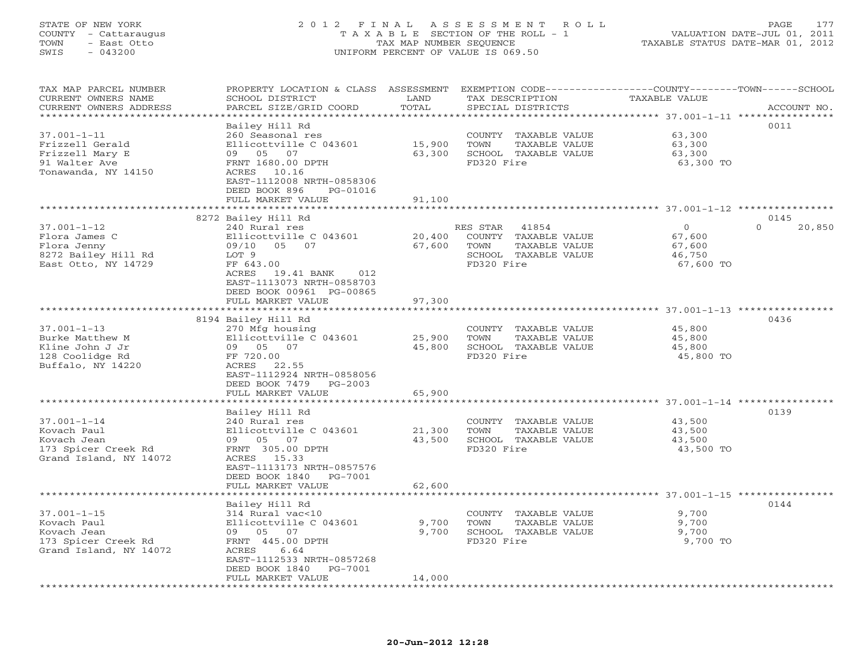## STATE OF NEW YORK 2 0 1 2 F I N A L A S S E S S M E N T R O L L PAGE 177 COUNTY - Cattaraugus T A X A B L E SECTION OF THE ROLL - 1 VALUATION DATE-JUL 01, 2011 TOWN - East Otto TAX MAP NUMBER SEQUENCE TAXABLE STATUS DATE-MAR 01, 2012 SWIS - 043200 UNIFORM PERCENT OF VALUE IS 069.50UNIFORM PERCENT OF VALUE IS 069.50

| TAX MAP PARCEL NUMBER<br>CURRENT OWNERS NAME<br>CURRENT OWNERS ADDRESS | PROPERTY LOCATION & CLASS ASSESSMENT<br>SCHOOL DISTRICT<br>PARCEL SIZE/GRID COORD | LAND<br>TOTAL         | TAX DESCRIPTION<br>SPECIAL DISTRICTS      | EXEMPTION CODE----------------COUNTY-------TOWN------SCHOOL<br><b>TAXABLE VALUE</b> | ACCOUNT NO.      |
|------------------------------------------------------------------------|-----------------------------------------------------------------------------------|-----------------------|-------------------------------------------|-------------------------------------------------------------------------------------|------------------|
|                                                                        |                                                                                   | *******               |                                           | *************************** 37.001-1-11 ***********                                 |                  |
|                                                                        | Bailey Hill Rd                                                                    |                       |                                           |                                                                                     | 0011             |
| $37.001 - 1 - 11$                                                      | 260 Seasonal res                                                                  |                       | COUNTY TAXABLE VALUE                      | 63,300                                                                              |                  |
| Frizzell Gerald                                                        | Ellicottville C 043601                                                            | 15,900                | TOWN<br>TAXABLE VALUE                     | 63,300                                                                              |                  |
| Frizzell Mary E                                                        | 09 05 07                                                                          | 63,300                | SCHOOL TAXABLE VALUE                      | 63,300                                                                              |                  |
| 91 Walter Ave                                                          | FRNT 1680.00 DPTH                                                                 |                       | FD320 Fire                                | 63,300 TO                                                                           |                  |
| Tonawanda, NY 14150                                                    | ACRES 10.16                                                                       |                       |                                           |                                                                                     |                  |
|                                                                        | EAST-1112008 NRTH-0858306                                                         |                       |                                           |                                                                                     |                  |
|                                                                        | DEED BOOK 896<br>PG-01016                                                         |                       |                                           |                                                                                     |                  |
|                                                                        | FULL MARKET VALUE<br>*************************                                    | 91,100                |                                           |                                                                                     |                  |
|                                                                        |                                                                                   |                       |                                           |                                                                                     |                  |
|                                                                        | 8272 Bailey Hill Rd                                                               |                       |                                           |                                                                                     | 0145<br>$\Omega$ |
| $37.001 - 1 - 12$<br>Flora James C                                     | 240 Rural res<br>Ellicottville C 043601                                           | 20,400                | RES STAR<br>41854<br>COUNTY TAXABLE VALUE | $\mathbf{0}$<br>67,600                                                              | 20,850           |
| Flora Jenny                                                            | 09/10 05<br>07                                                                    | 67,600                | TOWN<br>TAXABLE VALUE                     | 67,600                                                                              |                  |
| 8272 Bailey Hill Rd                                                    | LOT 9                                                                             |                       | SCHOOL TAXABLE VALUE                      | 46,750                                                                              |                  |
| East Otto, NY 14729                                                    | FF 643.00                                                                         |                       | FD320 Fire                                | 67,600 TO                                                                           |                  |
|                                                                        | ACRES<br>19.41 BANK<br>012                                                        |                       |                                           |                                                                                     |                  |
|                                                                        | EAST-1113073 NRTH-0858703                                                         |                       |                                           |                                                                                     |                  |
|                                                                        | DEED BOOK 00961 PG-00865                                                          |                       |                                           |                                                                                     |                  |
|                                                                        | FULL MARKET VALUE                                                                 | 97,300                |                                           |                                                                                     |                  |
|                                                                        |                                                                                   |                       |                                           |                                                                                     |                  |
|                                                                        | 8194 Bailey Hill Rd                                                               |                       |                                           |                                                                                     | 0436             |
| $37.001 - 1 - 13$                                                      | 270 Mfg housing                                                                   |                       | COUNTY TAXABLE VALUE                      | 45,800                                                                              |                  |
| Burke Matthew M                                                        | Ellicottville C 043601                                                            | 25,900                | TOWN<br>TAXABLE VALUE                     | 45,800                                                                              |                  |
| Kline John J Jr                                                        | 09 05 07                                                                          | 45,800                | SCHOOL TAXABLE VALUE                      | 45,800                                                                              |                  |
| 128 Coolidge Rd                                                        | FF 720.00                                                                         |                       | FD320 Fire                                | 45,800 TO                                                                           |                  |
| Buffalo, NY 14220                                                      | ACRES<br>22.55                                                                    |                       |                                           |                                                                                     |                  |
|                                                                        | EAST-1112924 NRTH-0858056                                                         |                       |                                           |                                                                                     |                  |
|                                                                        | DEED BOOK 7479<br>$PG-2003$                                                       |                       |                                           |                                                                                     |                  |
|                                                                        | FULL MARKET VALUE<br>*************************                                    | 65,900<br>*********** |                                           |                                                                                     |                  |
|                                                                        |                                                                                   |                       |                                           |                                                                                     | 0139             |
| $37.001 - 1 - 14$                                                      | Bailey Hill Rd<br>240 Rural res                                                   |                       | COUNTY TAXABLE VALUE                      | 43,500                                                                              |                  |
| Kovach Paul                                                            | Ellicottville C 043601                                                            | 21,300                | TOWN<br>TAXABLE VALUE                     | 43,500                                                                              |                  |
| Kovach Jean                                                            | 09 05 07                                                                          | 43,500                | SCHOOL TAXABLE VALUE                      | 43,500                                                                              |                  |
| 173 Spicer Creek Rd                                                    | FRNT 305.00 DPTH                                                                  |                       | FD320 Fire                                | 43,500 TO                                                                           |                  |
| Grand Island, NY 14072                                                 | ACRES 15.33                                                                       |                       |                                           |                                                                                     |                  |
|                                                                        | EAST-1113173 NRTH-0857576                                                         |                       |                                           |                                                                                     |                  |
|                                                                        | DEED BOOK 1840<br>PG-7001                                                         |                       |                                           |                                                                                     |                  |
|                                                                        | FULL MARKET VALUE                                                                 | 62,600                |                                           |                                                                                     |                  |
|                                                                        |                                                                                   | ******                |                                           | ********************* 37.001-1-15 *****************                                 |                  |
|                                                                        | Bailey Hill Rd                                                                    |                       |                                           |                                                                                     | 0144             |
| $37.001 - 1 - 15$                                                      | 314 Rural vac<10                                                                  |                       | COUNTY TAXABLE VALUE                      | 9,700                                                                               |                  |
| Kovach Paul                                                            | Ellicottville C 043601                                                            | 9,700                 | TOWN<br>TAXABLE VALUE                     | 9,700                                                                               |                  |
| Kovach Jean                                                            | 09 05 07                                                                          | 9,700                 | SCHOOL TAXABLE VALUE                      | 9,700                                                                               |                  |
| 173 Spicer Creek Rd                                                    | FRNT 445.00 DPTH                                                                  |                       | FD320 Fire                                | 9,700 TO                                                                            |                  |
| Grand Island, NY 14072                                                 | ACRES<br>6.64                                                                     |                       |                                           |                                                                                     |                  |
|                                                                        | EAST-1112533 NRTH-0857268                                                         |                       |                                           |                                                                                     |                  |
|                                                                        | DEED BOOK 1840<br>PG-7001<br>FULL MARKET VALUE                                    | 14,000                |                                           |                                                                                     |                  |
| ********************                                                   | ********************                                                              | * * * * * * * * * * * |                                           |                                                                                     |                  |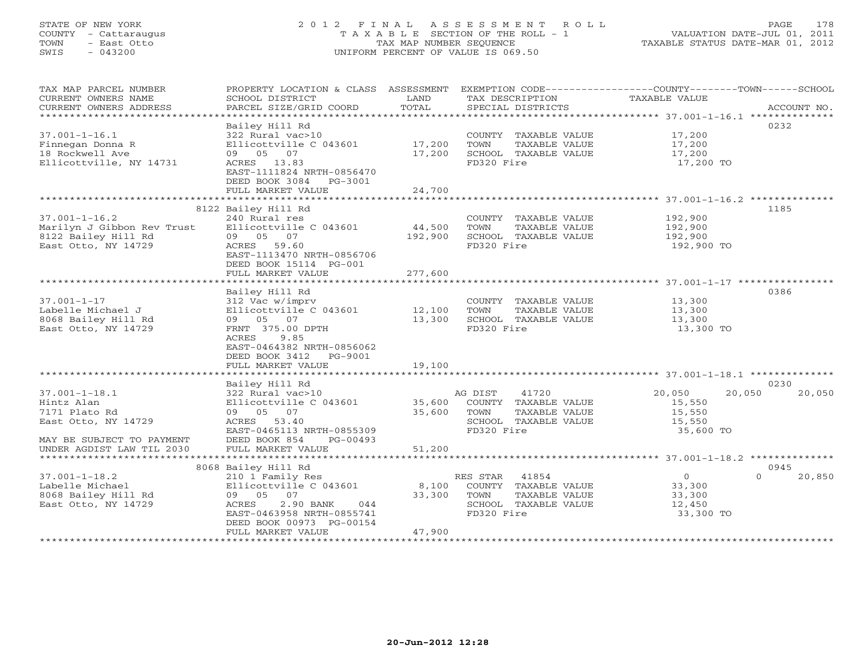## STATE OF NEW YORK 2 0 1 2 F I N A L A S S E S S M E N T R O L L PAGE 178 COUNTY - Cattaraugus T A X A B L E SECTION OF THE ROLL - 1 VALUATION DATE-JUL 01, 2011 TOWN - East Otto TAX MAP NUMBER SEQUENCE TAXABLE STATUS DATE-MAR 01, 2012 SWIS - 043200 UNIFORM PERCENT OF VALUE IS 069.50UNIFORM PERCENT OF VALUE IS 069.50

| TAX MAP PARCEL NUMBER<br>CURRENT OWNERS NAME<br>CURRENT OWNERS ADDRESS    | PROPERTY LOCATION & CLASS ASSESSMENT<br>SCHOOL DISTRICT<br>PARCEL SIZE/GRID COORD                  | LAND<br>TOTAL     | TAX DESCRIPTION<br>SPECIAL DISTRICTS                                                                    | EXEMPTION CODE-----------------COUNTY-------TOWN------SCHOOL<br>TAXABLE VALUE | ACCOUNT NO.        |
|---------------------------------------------------------------------------|----------------------------------------------------------------------------------------------------|-------------------|---------------------------------------------------------------------------------------------------------|-------------------------------------------------------------------------------|--------------------|
|                                                                           |                                                                                                    |                   |                                                                                                         |                                                                               |                    |
|                                                                           | Bailey Hill Rd                                                                                     |                   |                                                                                                         |                                                                               | 0232               |
| $37.001 - 1 - 16.1$<br>Finnegan Donna R<br>18 Rockwell Ave                | 322 Rural vac>10<br>Ellicottville C 043601<br>09 05 07                                             | 17,200<br>17,200  | COUNTY TAXABLE VALUE<br>TAXABLE VALUE<br>TOWN<br>SCHOOL TAXABLE VALUE                                   | 17,200<br>17,200<br>17,200                                                    |                    |
| Ellicottville, NY 14731                                                   | ACRES 13.83<br>EAST-1111824 NRTH-0856470<br>DEED BOOK 3084 PG-3001<br>FULL MARKET VALUE            | 24,700            | FD320 Fire                                                                                              | 17,200 TO                                                                     |                    |
|                                                                           |                                                                                                    |                   |                                                                                                         |                                                                               |                    |
|                                                                           | 8122 Bailey Hill Rd                                                                                |                   |                                                                                                         |                                                                               | 1185               |
| $37.001 - 1 - 16.2$<br>Marilyn J Gibbon Rev Trust<br>8122 Bailey Hill Rd  | 240 Rural res<br>Ellicottville C 043601<br>09 05 07                                                | 44,500<br>192,900 | COUNTY TAXABLE VALUE<br>TOWN<br>TAXABLE VALUE<br>SCHOOL TAXABLE VALUE                                   | 192,900<br>192,900<br>192,900                                                 |                    |
| East Otto, NY 14729                                                       | ACRES 59.60<br>EAST-1113470 NRTH-0856706<br>DEED BOOK 15114 PG-001                                 |                   | FD320 Fire                                                                                              | 192,900 TO                                                                    |                    |
|                                                                           | FULL MARKET VALUE                                                                                  | 277,600           |                                                                                                         |                                                                               |                    |
|                                                                           | Bailey Hill Rd                                                                                     |                   |                                                                                                         |                                                                               | 0386               |
| $37.001 - 1 - 17$<br>Labelle Michael J<br>8068 Bailey Hill Rd             | 312 Vac w/imprv<br>Ellicottville C 043601<br>09 05 07                                              | 12,100<br>13,300  | COUNTY TAXABLE VALUE<br>TOWN<br>TAXABLE VALUE<br>SCHOOL TAXABLE VALUE                                   | 13,300<br>13,300<br>13,300                                                    |                    |
| East Otto, NY 14729                                                       | FRNT 375.00 DPTH<br>ACRES<br>9.85<br>EAST-0464382 NRTH-0856062<br>DEED BOOK 3412 PG-9001           |                   | FD320 Fire                                                                                              | 13,300 TO                                                                     |                    |
|                                                                           | FULL MARKET VALUE                                                                                  | 19,100            |                                                                                                         |                                                                               |                    |
|                                                                           | Bailey Hill Rd                                                                                     |                   |                                                                                                         |                                                                               | 0230               |
| $37.001 - 1 - 18.1$<br>Hintz Alan<br>7171 Plato Rd<br>East Otto, NY 14729 | 322 Rural vac>10<br>Ellicottville C 043601<br>09 05 07<br>ACRES 53.40<br>EAST-0465113 NRTH-0855309 | 35,600<br>35,600  | 41720<br>AG DIST<br>COUNTY TAXABLE VALUE<br>TAXABLE VALUE<br>TOWN<br>SCHOOL TAXABLE VALUE<br>FD320 Fire | 20,050<br>20,050<br>15,550<br>15,550<br>15,550<br>35,600 TO                   | 20,050             |
| MAY BE SUBJECT TO PAYMENT<br>UNDER AGDIST LAW TIL 2030                    | DEED BOOK 854<br>$PG-0.0493$<br>FULL MARKET VALUE                                                  | 51,200            |                                                                                                         |                                                                               |                    |
|                                                                           |                                                                                                    |                   |                                                                                                         |                                                                               |                    |
|                                                                           | 8068 Bailey Hill Rd                                                                                |                   |                                                                                                         |                                                                               | 0945               |
| $37.001 - 1 - 18.2$<br>Labelle Michael                                    | 210 1 Family Res<br>Ellicottville C 043601                                                         | 8,100             | RES STAR<br>41854<br>COUNTY TAXABLE VALUE                                                               | $\Omega$<br>33,300                                                            | $\Omega$<br>20,850 |
| 8068 Bailey Hill Rd                                                       | 09 05 07                                                                                           | 33,300            | TOWN<br>TAXABLE VALUE                                                                                   | 33,300                                                                        |                    |
| East Otto, NY 14729                                                       | ACRES<br>2.90 BANK<br>044                                                                          |                   | SCHOOL TAXABLE VALUE                                                                                    | 12,450                                                                        |                    |
|                                                                           | EAST-0463958 NRTH-0855741<br>DEED BOOK 00973 PG-00154<br>FULL MARKET VALUE                         | 47,900            | FD320 Fire                                                                                              | 33,300 TO                                                                     |                    |
|                                                                           |                                                                                                    |                   |                                                                                                         |                                                                               |                    |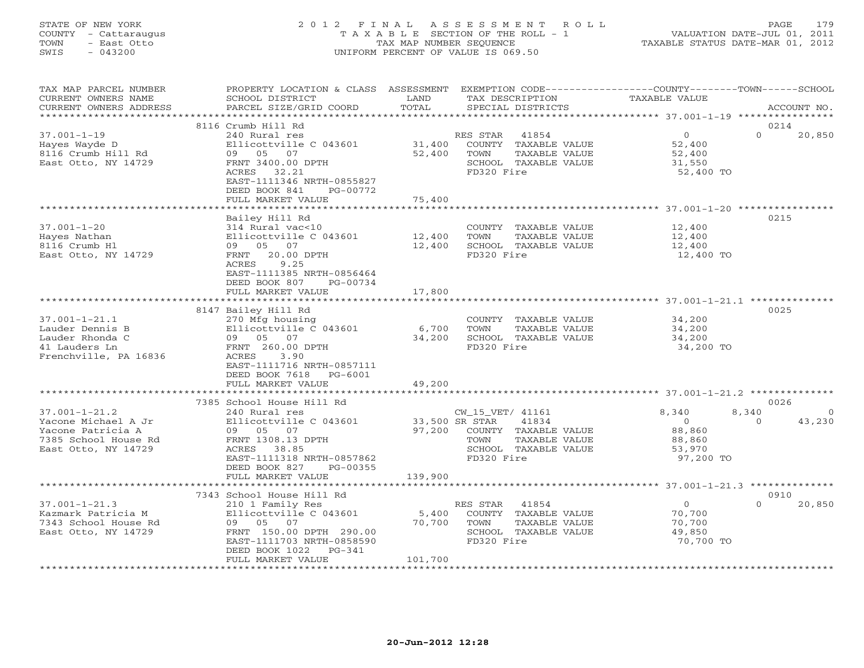#### STATE OF NEW YORK 2 0 1 2 F I N A L A S S E S S M E N T R O L L PAGE 179 COUNTY - Cattaraugus T A X A B L E SECTION OF THE ROLL - 1 VALUATION DATE-JUL 01, 2011 TOWN - East Otto TAX MAP NUMBER SEQUENCE TAXABLE STATUS DATE-MAR 01, 2012 SWIS - 043200 UNIFORM PERCENT OF VALUE IS 069.50UNIFORM PERCENT OF VALUE IS 069.50

| TAX MAP PARCEL NUMBER<br>CURRENT OWNERS NAME<br>CURRENT OWNERS ADDRESS                                         | PROPERTY LOCATION & CLASS ASSESSMENT<br>SCHOOL DISTRICT<br>PARCEL SIZE/GRID COORD                                                                                                                   | LAND<br>TOTAL                       | EXEMPTION CODE-----------------COUNTY-------TOWN------SCHOOL<br>TAX DESCRIPTION<br>SPECIAL DISTRICTS             | TAXABLE VALUE                                                      | ACCOUNT NO.                                    |
|----------------------------------------------------------------------------------------------------------------|-----------------------------------------------------------------------------------------------------------------------------------------------------------------------------------------------------|-------------------------------------|------------------------------------------------------------------------------------------------------------------|--------------------------------------------------------------------|------------------------------------------------|
| ***********************                                                                                        |                                                                                                                                                                                                     |                                     |                                                                                                                  |                                                                    |                                                |
| $37.001 - 1 - 19$<br>Hayes Wayde D<br>8116 Crumb Hill Rd<br>East Otto, NY 14729                                | 8116 Crumb Hill Rd<br>240 Rural res<br>Ellicottville C 043601<br>09 05 07<br>FRNT 3400.00 DPTH<br>ACRES 32.21<br>EAST-1111346 NRTH-0855827<br>DEED BOOK 841<br>PG-00772<br>FULL MARKET VALUE        | 31,400<br>52,400<br>75,400          | RES STAR<br>41854<br>COUNTY TAXABLE VALUE<br>TOWN<br>TAXABLE VALUE<br>SCHOOL TAXABLE VALUE<br>FD320 Fire         | $\overline{0}$<br>52,400<br>52,400<br>31,550<br>52,400 TO          | 0214<br>$\Omega$<br>20,850                     |
|                                                                                                                |                                                                                                                                                                                                     |                                     |                                                                                                                  |                                                                    |                                                |
| $37.001 - 1 - 20$<br>Hayes Nathan<br>8116 Crumb H1<br>East Otto, NY 14729                                      | Bailey Hill Rd<br>314 Rural vac<10<br>Ellicottville C 043601<br>09 05 07<br>FRNT<br>20.00 DPTH<br>ACRES<br>9.25<br>EAST-1111385 NRTH-0856464<br>DEED BOOK 807<br>PG-00734<br>FULL MARKET VALUE      | 12,400<br>12,400<br>17,800          | COUNTY TAXABLE VALUE<br>TOWN<br>TAXABLE VALUE<br>SCHOOL TAXABLE VALUE<br>FD320 Fire                              | 12,400<br>12,400<br>12,400<br>12,400 TO                            | 0215                                           |
|                                                                                                                |                                                                                                                                                                                                     |                                     |                                                                                                                  | ******************************** 37.001-1-21.1 **************      |                                                |
| $37.001 - 1 - 21.1$<br>Lauder Dennis B<br>Lauder Rhonda C<br>41 Lauders Ln<br>Frenchville, PA 16836            | 8147 Bailey Hill Rd<br>270 Mfg housing<br>Ellicottville C 043601<br>09 05 07<br>FRNT 260.00 DPTH<br>ACRES<br>3.90<br>EAST-1111716 NRTH-0857111<br>DEED BOOK 7618<br>PG-6001<br>FULL MARKET VALUE    | 6,700<br>34,200<br>49,200           | COUNTY TAXABLE VALUE<br>TOWN<br>TAXABLE VALUE<br>SCHOOL TAXABLE VALUE<br>FD320 Fire                              | 34,200<br>34,200<br>34,200<br>34,200 TO                            | 0025                                           |
|                                                                                                                | ************************                                                                                                                                                                            |                                     |                                                                                                                  |                                                                    |                                                |
| $37.001 - 1 - 21.2$<br>Yacone Michael A Jr<br>Yacone Patricia A<br>7385 School House Rd<br>East Otto, NY 14729 | 7385 School House Hill Rd<br>240 Rural res<br>Ellicottville C 043601<br>09 05 07<br>FRNT 1308.13 DPTH<br>ACRES 38.85<br>EAST-1111318 NRTH-0857862<br>DEED BOOK 827<br>PG-00355<br>FULL MARKET VALUE | 33,500 SR STAR<br>97,200<br>139,900 | CW_15_VET/ 41161<br>41834<br>COUNTY TAXABLE VALUE<br>TAXABLE VALUE<br>TOWN<br>SCHOOL TAXABLE VALUE<br>FD320 Fire | 8,340<br>$\overline{0}$<br>88,860<br>88,860<br>53,970<br>97,200 TO | 0026<br>8,340<br>$\circ$<br>43,230<br>$\Omega$ |
|                                                                                                                |                                                                                                                                                                                                     |                                     |                                                                                                                  |                                                                    |                                                |
| $37.001 - 1 - 21.3$<br>Kazmark Patricia M<br>7343 School House Rd<br>East Otto, NY 14729                       | 7343 School House Hill Rd<br>210 1 Family Res<br>Ellicottville C 043601<br>09 05 07<br>FRNT 150.00 DPTH 290.00<br>EAST-1111703 NRTH-0858590<br>DEED BOOK 1022<br>PG-341<br>FULL MARKET VALUE        | 5,400<br>70,700<br>101,700          | 41854<br>RES STAR<br>COUNTY TAXABLE VALUE<br>TOWN<br>TAXABLE VALUE<br>SCHOOL TAXABLE VALUE<br>FD320 Fire         | $\overline{O}$<br>70,700<br>70,700<br>49,850<br>70,700 TO          | 0910<br>$\Omega$<br>20,850                     |
|                                                                                                                |                                                                                                                                                                                                     |                                     |                                                                                                                  |                                                                    |                                                |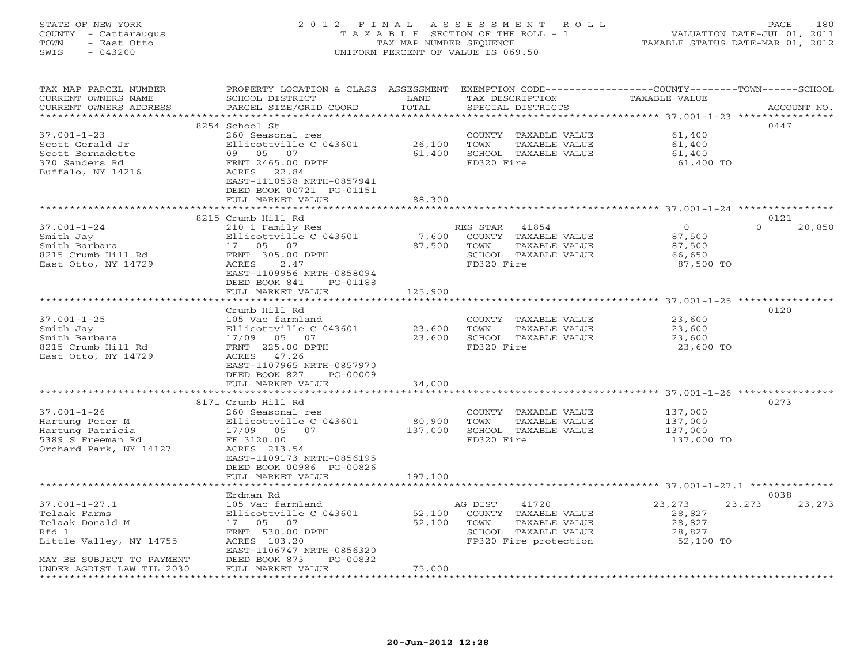## STATE OF NEW YORK 2 0 1 2 F I N A L A S S E S S M E N T R O L L PAGE 180 COUNTY - Cattaraugus T A X A B L E SECTION OF THE ROLL - 1 VALUATION DATE-JUL 01, 2011 TOWN - East Otto TAX MAP NUMBER SEQUENCE TAXABLE STATUS DATE-MAR 01, 2012 SWIS - 043200 UNIFORM PERCENT OF VALUE IS 069.50UNIFORM PERCENT OF VALUE IS 069.50

| TAX MAP PARCEL NUMBER<br>CURRENT OWNERS NAME<br>CURRENT OWNERS ADDRESS | PROPERTY LOCATION & CLASS ASSESSMENT EXEMPTION CODE---------------COUNTY-------TOWN------SCHOOL<br>SCHOOL DISTRICT<br>PARCEL SIZE/GRID COORD | LAND<br>TOTAL | TAX DESCRIPTION       |               | TAXABLE VALUE |          |             |
|------------------------------------------------------------------------|----------------------------------------------------------------------------------------------------------------------------------------------|---------------|-----------------------|---------------|---------------|----------|-------------|
|                                                                        | ***********************                                                                                                                      |               | SPECIAL DISTRICTS     |               |               |          | ACCOUNT NO. |
|                                                                        | 8254 School St                                                                                                                               |               |                       |               |               |          | 0447        |
| $37.001 - 1 - 23$                                                      | 260 Seasonal res                                                                                                                             |               | COUNTY TAXABLE VALUE  |               | 61,400        |          |             |
| Scott Gerald Jr                                                        | Ellicottville C 043601                                                                                                                       | 26,100        | TOWN                  | TAXABLE VALUE | 61,400        |          |             |
| Scott Bernadette                                                       | 09 05 07                                                                                                                                     | 61,400        | SCHOOL TAXABLE VALUE  |               | 61,400        |          |             |
| 370 Sanders Rd                                                         | FRNT 2465.00 DPTH                                                                                                                            |               | FD320 Fire            |               | 61,400 TO     |          |             |
| Buffalo, NY 14216                                                      | ACRES 22.84                                                                                                                                  |               |                       |               |               |          |             |
|                                                                        | EAST-1110538 NRTH-0857941                                                                                                                    |               |                       |               |               |          |             |
|                                                                        | DEED BOOK 00721 PG-01151                                                                                                                     |               |                       |               |               |          |             |
|                                                                        | FULL MARKET VALUE                                                                                                                            | 88,300        |                       |               |               |          |             |
|                                                                        |                                                                                                                                              |               |                       |               |               |          |             |
|                                                                        | 8215 Crumb Hill Rd                                                                                                                           |               |                       |               |               |          | 0121        |
| $37.001 - 1 - 24$                                                      | 210 1 Family Res                                                                                                                             |               | RES STAR 41854        |               | $\circ$       | $\Omega$ | 20,850      |
| Smith Jay                                                              | Ellicottville C 043601                                                                                                                       | 7,600         | COUNTY TAXABLE VALUE  |               | 87,500        |          |             |
| Smith Barbara                                                          |                                                                                                                                              | 87,500        | TOWN                  | TAXABLE VALUE | 87,500        |          |             |
| 8215 Crumb Hill Rd                                                     | FRNT 305.00 DPTH                                                                                                                             |               | SCHOOL TAXABLE VALUE  |               | 66,650        |          |             |
| East Otto, NY 14729                                                    | 2.47<br>ACRES                                                                                                                                |               | FD320 Fire            |               | 87,500 TO     |          |             |
|                                                                        | EAST-1109956 NRTH-0858094                                                                                                                    |               |                       |               |               |          |             |
|                                                                        | DEED BOOK 841<br>PG-01188                                                                                                                    |               |                       |               |               |          |             |
|                                                                        | FULL MARKET VALUE                                                                                                                            | 125,900       |                       |               |               |          |             |
|                                                                        |                                                                                                                                              |               |                       |               |               |          | 0120        |
| $37.001 - 1 - 25$                                                      | Crumb Hill Rd<br>105 Vac farmland                                                                                                            |               | COUNTY TAXABLE VALUE  |               | 23,600        |          |             |
| Smith Jay                                                              | Ellicottville C 043601                                                                                                                       | 23,600        | TOWN                  | TAXABLE VALUE | 23,600        |          |             |
| Smith Barbara                                                          | 17/09 05 07                                                                                                                                  | 23,600        | SCHOOL TAXABLE VALUE  |               | 23,600        |          |             |
| 8215 Crumb Hill Rd                                                     | FRNT 225.00 DPTH                                                                                                                             |               | FD320 Fire            |               | 23,600 TO     |          |             |
| East Otto, NY 14729                                                    | ACRES 47.26                                                                                                                                  |               |                       |               |               |          |             |
|                                                                        | EAST-1107965 NRTH-0857970                                                                                                                    |               |                       |               |               |          |             |
|                                                                        | DEED BOOK 827<br>$PG-00009$                                                                                                                  |               |                       |               |               |          |             |
|                                                                        | FULL MARKET VALUE                                                                                                                            | 34,000        |                       |               |               |          |             |
|                                                                        |                                                                                                                                              |               |                       |               |               |          |             |
|                                                                        | 8171 Crumb Hill Rd                                                                                                                           |               |                       |               |               |          | 0273        |
| $37.001 - 1 - 26$                                                      | 260 Seasonal res                                                                                                                             |               | COUNTY TAXABLE VALUE  |               | 137,000       |          |             |
| Hartung Peter M                                                        | Ellicottville C 043601                                                                                                                       | 80,900        | TOWN                  | TAXABLE VALUE | 137,000       |          |             |
| Hartung Patricia                                                       | 17/09 05 07                                                                                                                                  | 137,000       | SCHOOL TAXABLE VALUE  |               | 137,000       |          |             |
| 5389 S Freeman Rd                                                      | FF 3120.00                                                                                                                                   |               | FD320 Fire            |               | 137,000 TO    |          |             |
| Orchard Park, NY 14127                                                 | ACRES 213.54                                                                                                                                 |               |                       |               |               |          |             |
|                                                                        | EAST-1109173 NRTH-0856195                                                                                                                    |               |                       |               |               |          |             |
|                                                                        | DEED BOOK 00986 PG-00826                                                                                                                     |               |                       |               |               |          |             |
|                                                                        | FULL MARKET VALUE                                                                                                                            | 197,100       |                       |               |               |          |             |
|                                                                        | Erdman Rd                                                                                                                                    |               |                       |               |               |          | 0038        |
| $37.001 - 1 - 27.1$                                                    | 105 Vac farmland                                                                                                                             |               | AG DIST<br>41720      |               | 23,273        | 23,273   | 23,273      |
| Telaak Farms                                                           | Ellicottville C 043601                                                                                                                       | 52,100        | COUNTY TAXABLE VALUE  |               | 28,827        |          |             |
| Telaak Donald M                                                        | 17 05 07                                                                                                                                     | 52,100        | TOWN                  | TAXABLE VALUE | 28,827        |          |             |
| Rfd 1                                                                  | FRNT 530.00 DPTH                                                                                                                             |               | SCHOOL TAXABLE VALUE  |               | 28,827        |          |             |
| Little Valley, NY 14755                                                | ACRES 103.20                                                                                                                                 |               | FP320 Fire protection |               | 52,100 TO     |          |             |
|                                                                        | EAST-1106747 NRTH-0856320                                                                                                                    |               |                       |               |               |          |             |
| MAY BE SUBJECT TO PAYMENT                                              | DEED BOOK 873<br>PG-00832                                                                                                                    |               |                       |               |               |          |             |
| UNDER AGDIST LAW TIL 2030                                              | FULL MARKET VALUE                                                                                                                            | 75,000        |                       |               |               |          |             |
| **************************                                             | ***********************                                                                                                                      |               |                       |               |               |          |             |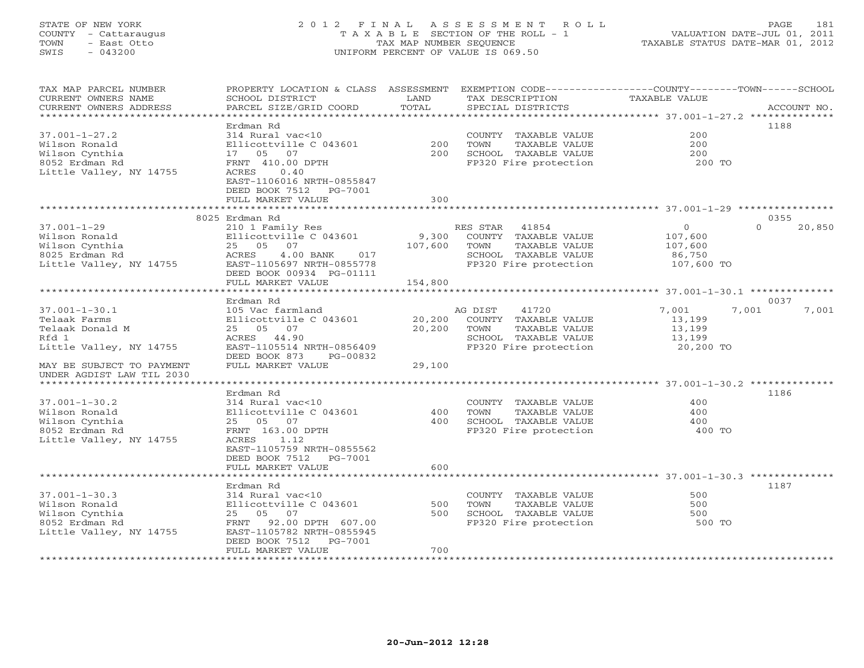# STATE OF NEW YORK 2 0 1 2 F I N A L A S S E S S M E N T R O L L PAGE 181 COUNTY - Cattaraugus T A X A B L E SECTION OF THE ROLL - 1 VALUATION DATE-JUL 01, 2011 TOWN - East Otto TAX MAP NUMBER SEQUENCE TAXABLE STATUS DATE-MAR 01, 2012 SWIS - 043200 UNIFORM PERCENT OF VALUE IS 069.50UNIFORM PERCENT OF VALUE IS 069.50

| TAX MAP PARCEL NUMBER<br>CURRENT OWNERS NAME<br>CURRENT OWNERS ADDRESS                              | PROPERTY LOCATION & CLASS ASSESSMENT<br>SCHOOL DISTRICT<br>PARCEL SIZE/GRID COORD                                                                                  | LAND<br>TOTAL              | EXEMPTION CODE-----------------COUNTY-------TOWN-----SCHOOL<br>TAX DESCRIPTION<br>SPECIAL DISTRICTS                 | <b>TAXABLE VALUE</b>                                         | ACCOUNT NO.        |
|-----------------------------------------------------------------------------------------------------|--------------------------------------------------------------------------------------------------------------------------------------------------------------------|----------------------------|---------------------------------------------------------------------------------------------------------------------|--------------------------------------------------------------|--------------------|
| ********************                                                                                |                                                                                                                                                                    |                            |                                                                                                                     |                                                              |                    |
| $37.001 - 1 - 27.2$<br>Wilson Ronald<br>Wilson Cynthia<br>8052 Erdman Rd<br>Little Valley, NY 14755 | Erdman Rd<br>314 Rural vac<10<br>Ellicottville C 043601<br>17 05<br>07<br>FRNT 410.00 DPTH<br>ACRES<br>0.40<br>EAST-1106016 NRTH-0855847                           | 200<br>200                 | COUNTY TAXABLE VALUE<br>TOWN<br>TAXABLE VALUE<br>SCHOOL TAXABLE VALUE<br>FP320 Fire protection                      | 200<br>200<br>200<br>200 TO                                  | 1188               |
|                                                                                                     | DEED BOOK 7512<br>PG-7001<br>FULL MARKET VALUE                                                                                                                     | 300                        |                                                                                                                     |                                                              |                    |
|                                                                                                     |                                                                                                                                                                    |                            |                                                                                                                     |                                                              |                    |
|                                                                                                     | 8025 Erdman Rd                                                                                                                                                     |                            |                                                                                                                     |                                                              | 0355               |
| $37.001 - 1 - 29$<br>Wilson Ronald<br>Wilson Cynthia<br>8025 Erdman Rd<br>Little Valley, NY 14755   | 210 1 Family Res<br>Ellicottville C 043601<br>25 05<br>07<br>ACRES<br>$4.00$ BANK<br>017<br>EAST-1105697 NRTH-0855778<br>DEED BOOK 00934 PG-01111                  | 9,300<br>107,600           | 41854<br>RES STAR<br>COUNTY TAXABLE VALUE<br>TAXABLE VALUE<br>TOWN<br>SCHOOL TAXABLE VALUE<br>FP320 Fire protection | $\overline{0}$<br>107,600<br>107,600<br>86,750<br>107,600 TO | $\Omega$<br>20,850 |
|                                                                                                     | FULL MARKET VALUE<br>******************                                                                                                                            | 154,800<br>*************** |                                                                                                                     |                                                              |                    |
|                                                                                                     | Erdman Rd                                                                                                                                                          |                            | ********************************* 37.001-1-30.1 ***************                                                     |                                                              | 0037               |
| $37.001 - 1 - 30.1$<br>Telaak Farms<br>Telaak Donald M<br>Rfd 1<br>Little Valley, NY 14755          | 105 Vac farmland<br>Ellicottville C 043601<br>25 05 07<br>ACRES 44.90<br>EAST-1105514 NRTH-0856409<br>DEED BOOK 873<br>PG-00832                                    | 20,200<br>20,200           | 41720<br>AG DIST<br>COUNTY TAXABLE VALUE<br>TAXABLE VALUE<br>TOWN<br>SCHOOL TAXABLE VALUE<br>FP320 Fire protection  | 7,001<br>13,199<br>13,199<br>13,199<br>20,200 TO             | 7,001<br>7,001     |
| MAY BE SUBJECT TO PAYMENT<br>UNDER AGDIST LAW TIL 2030                                              | FULL MARKET VALUE                                                                                                                                                  | 29,100                     |                                                                                                                     |                                                              |                    |
| *************************                                                                           |                                                                                                                                                                    |                            |                                                                                                                     |                                                              |                    |
| $37.001 - 1 - 30.2$<br>Wilson Ronald<br>Wilson Cynthia<br>8052 Erdman Rd<br>Little Valley, NY 14755 | Erdman Rd<br>314 Rural vac<10<br>Ellicottville C 043601<br>25 05 07<br>FRNT 163.00 DPTH<br>ACRES<br>1.12<br>EAST-1105759 NRTH-0855562<br>DEED BOOK 7512<br>PG-7001 | 400<br>400                 | COUNTY TAXABLE VALUE<br>TOWN<br>TAXABLE VALUE<br>SCHOOL TAXABLE VALUE<br>FP320 Fire protection                      | 400<br>400<br>400<br>400 TO                                  | 1186               |
|                                                                                                     | FULL MARKET VALUE                                                                                                                                                  | 600                        |                                                                                                                     |                                                              |                    |
| $37.001 - 1 - 30.3$<br>Wilson Ronald<br>Wilson Cynthia<br>8052 Erdman Rd                            | Erdman Rd<br>314 Rural vac<10<br>Ellicottville C 043601<br>25 05<br>07<br>FRNT<br>92.00 DPTH 607.00                                                                | 500<br>500                 | COUNTY TAXABLE VALUE<br>TOWN<br>TAXABLE VALUE<br>SCHOOL TAXABLE VALUE<br>FP320 Fire protection                      | 500<br>500<br>500<br>500 TO                                  | 1187               |
| Little Valley, NY 14755<br>**********************                                                   | EAST-1105782 NRTH-0855945<br>DEED BOOK 7512<br>PG-7001<br>FULL MARKET VALUE                                                                                        | 700                        |                                                                                                                     |                                                              |                    |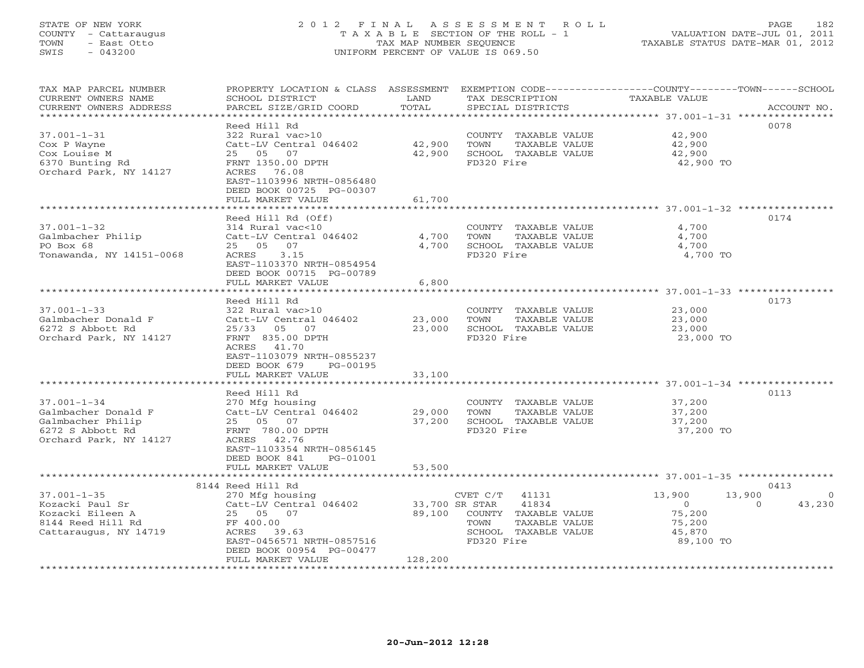# STATE OF NEW YORK 2 0 1 2 F I N A L A S S E S S M E N T R O L L PAGE 182 COUNTY - Cattaraugus T A X A B L E SECTION OF THE ROLL - 1 VALUATION DATE-JUL 01, 2011 TOWN - East Otto TAX MAP NUMBER SEQUENCE TAXABLE STATUS DATE-MAR 01, 2012 SWIS - 043200 UNIFORM PERCENT OF VALUE IS 069.50UNIFORM PERCENT OF VALUE IS 069.50

| TAX MAP PARCEL NUMBER<br>CURRENT OWNERS NAME<br>CURRENT OWNERS ADDRESS<br>************************          | PROPERTY LOCATION & CLASS ASSESSMENT<br>SCHOOL DISTRICT<br>PARCEL SIZE/GRID COORD                                                                                                                                    | LAND<br>TOTAL                                  | TAX DESCRIPTION<br>SPECIAL DISTRICTS                                                                              | EXEMPTION CODE-----------------COUNTY-------TOWN------SCHOOL<br><b>TAXABLE VALUE</b>                           | ACCOUNT NO.               |
|-------------------------------------------------------------------------------------------------------------|----------------------------------------------------------------------------------------------------------------------------------------------------------------------------------------------------------------------|------------------------------------------------|-------------------------------------------------------------------------------------------------------------------|----------------------------------------------------------------------------------------------------------------|---------------------------|
| $37.001 - 1 - 31$<br>Cox P Wayne<br>Cox Louise M<br>6370 Bunting Rd<br>Orchard Park, NY 14127               | Reed Hill Rd<br>322 Rural vac>10<br>Catt-LV Central 046402<br>25 05 07<br>FRNT 1350.00 DPTH<br>ACRES 76.08<br>EAST-1103996 NRTH-0856480<br>DEED BOOK 00725 PG-00307<br>FULL MARKET VALUE                             | 42,900<br>42,900<br>61,700                     | COUNTY TAXABLE VALUE<br>TOWN<br>TAXABLE VALUE<br>SCHOOL TAXABLE VALUE<br>FD320 Fire                               | 42,900<br>42,900<br>42,900<br>42,900 TO                                                                        | 0078                      |
| $37.001 - 1 - 32$<br>Galmbacher Philip<br>PO Box 68<br>Tonawanda, NY 14151-0068                             | Reed Hill Rd (Off)<br>314 Rural vac<10<br>Catt-LV Central 046402<br>07<br>$25 \t 05$<br>ACRES<br>3.15<br>EAST-1103370 NRTH-0854954<br>DEED BOOK 00715 PG-00789<br>FULL MARKET VALUE                                  | 4,700<br>4,700<br>6,800                        | COUNTY TAXABLE VALUE<br>TOWN<br>TAXABLE VALUE<br>SCHOOL TAXABLE VALUE<br>FD320 Fire                               | 4,700<br>4,700<br>4,700<br>4,700 TO                                                                            | 0174                      |
| $37.001 - 1 - 33$<br>Galmbacher Donald F<br>6272 S Abbott Rd<br>Orchard Park, NY 14127                      | Reed Hill Rd<br>322 Rural vac>10<br>Catt-LV Central 046402<br>$25/33$ 05<br>07<br>FRNT 835.00 DPTH<br>ACRES 41.70<br>EAST-1103079 NRTH-0855237<br>DEED BOOK 679<br>PG-00195<br>FULL MARKET VALUE                     | 23,000<br>23,000<br>33,100                     | COUNTY TAXABLE VALUE<br>TOWN<br>TAXABLE VALUE<br>SCHOOL TAXABLE VALUE<br>FD320 Fire                               | 0173<br>23,000<br>23,000<br>23,000<br>23,000 TO                                                                |                           |
| $37.001 - 1 - 34$<br>Galmbacher Donald F<br>Galmbacher Philip<br>6272 S Abbott Rd<br>Orchard Park, NY 14127 | Reed Hill Rd<br>270 Mfg housing<br>Catt-LV Central 046402<br>25 05 07<br>FRNT 780.00 DPTH<br>ACRES 42.76<br>EAST-1103354 NRTH-0856145<br>DEED BOOK 841<br>PG-01001<br>FULL MARKET VALUE<br>************************* | ****************<br>29,000<br>37,200<br>53,500 | COUNTY TAXABLE VALUE<br>TOWN<br>TAXABLE VALUE<br>SCHOOL TAXABLE VALUE<br>FD320 Fire                               | ************************************* 37.001-1-34 *****************<br>37,200<br>37,200<br>37,200<br>37,200 TO | 0113                      |
| $37.001 - 1 - 35$<br>Kozacki Paul Sr<br>Kozacki Eileen A<br>8144 Reed Hill Rd<br>Cattaraugus, NY 14719      | 8144 Reed Hill Rd<br>270 Mfg housing<br>Catt-LV Central 046402<br>25 05 07<br>FF 400.00<br>ACRES 39.63<br>EAST-0456571 NRTH-0857516<br>DEED BOOK 00954 PG-00477<br>FULL MARKET VALUE                                 | 33,700 SR STAR<br>89,100<br>128,200            | CVET C/T<br>41131<br>41834<br>COUNTY TAXABLE VALUE<br>TOWN<br>TAXABLE VALUE<br>SCHOOL TAXABLE VALUE<br>FD320 Fire | 13,900<br>13,900<br>$\Omega$<br>$\Omega$<br>75,200<br>75,200<br>45,870<br>89,100 TO                            | 0413<br>$\circ$<br>43,230 |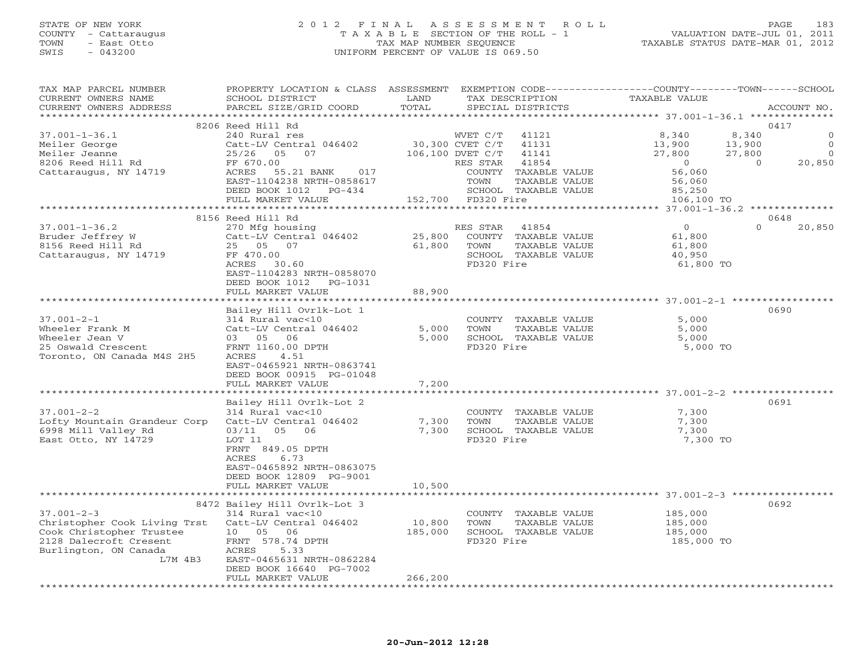# STATE OF NEW YORK 2 0 1 2 F I N A L A S S E S S M E N T R O L L PAGE 183 COUNTY - Cattaraugus T A X A B L E SECTION OF THE ROLL - 1 VALUATION DATE-JUL 01, 2011 TOWN - East Otto TAX MAP NUMBER SEQUENCE TAXABLE STATUS DATE-MAR 01, 2012 SWIS - 043200 UNIFORM PERCENT OF VALUE IS 069.50UNIFORM PERCENT OF VALUE IS 069.50

| TAX MAP PARCEL NUMBER<br>CURRENT OWNERS NAME<br>CURRENT OWNERS ADDRESS | PROPERTY LOCATION & CLASS ASSESSMENT<br>SCHOOL DISTRICT<br>PARCEL SIZE/GRID COORD | LAND<br>TOTAL               |                    | TAX DESCRIPTION<br>SPECIAL DISTRICTS  | EXEMPTION CODE-----------------COUNTY-------TOWN------SCHOOL<br>TAXABLE VALUE |          | ACCOUNT NO. |
|------------------------------------------------------------------------|-----------------------------------------------------------------------------------|-----------------------------|--------------------|---------------------------------------|-------------------------------------------------------------------------------|----------|-------------|
| *********************                                                  |                                                                                   |                             |                    |                                       |                                                                               |          |             |
|                                                                        | 8206 Reed Hill Rd                                                                 |                             |                    |                                       |                                                                               |          | 0417        |
| $37.001 - 1 - 36.1$                                                    | 240 Rural res                                                                     |                             | WVET C/T           | 41121                                 | 8,340                                                                         | 8,340    | $\circ$     |
| Meiler George                                                          | Catt-LV Central 046402                                                            |                             | 30,300 CVET C/T    | 41131                                 | 13,900                                                                        | 13,900   | $\Omega$    |
| Meiler Jeanne                                                          | 25/26 05<br>07                                                                    |                             | 106,100 DVET C/T   | 41141                                 | 27,800                                                                        | 27,800   | $\Omega$    |
| 8206 Reed Hill Rd                                                      | FF 670.00                                                                         |                             | RES STAR           | 41854                                 | $\overline{0}$                                                                | $\Omega$ | 20,850      |
| Cattaraugus, NY 14719                                                  | ACRES<br>55.21 BANK<br>017                                                        |                             |                    | COUNTY TAXABLE VALUE                  | 56,060                                                                        |          |             |
|                                                                        | EAST-1104238 NRTH-0858617                                                         |                             | TOWN               | TAXABLE VALUE                         | 56,060                                                                        |          |             |
|                                                                        | DEED BOOK 1012 PG-434                                                             |                             |                    | SCHOOL TAXABLE VALUE                  | 85,250                                                                        |          |             |
|                                                                        | FULL MARKET VALUE                                                                 |                             | 152,700 FD320 Fire |                                       | 106,100 TO                                                                    |          |             |
|                                                                        | ************************                                                          | *************************** |                    |                                       | ************** 37.001-1-36.2 **************                                   |          |             |
|                                                                        | 8156 Reed Hill Rd                                                                 |                             |                    |                                       |                                                                               |          | 0648        |
| $37.001 - 1 - 36.2$                                                    | 270 Mfg housing                                                                   |                             | RES STAR           | 41854                                 | $\overline{0}$                                                                | $\Omega$ | 20,850      |
| Bruder Jeffrey W                                                       | Catt-LV Central 046402                                                            | 25,800                      |                    | COUNTY TAXABLE VALUE                  | 61,800                                                                        |          |             |
| 8156 Reed Hill Rd                                                      | 25 05 07                                                                          | 61,800                      | TOWN               | TAXABLE VALUE                         | 61,800                                                                        |          |             |
| Cattaraugus, NY 14719                                                  | FF 470.00                                                                         |                             |                    | SCHOOL TAXABLE VALUE                  | 40,950                                                                        |          |             |
|                                                                        | ACRES 30.60                                                                       |                             | FD320 Fire         |                                       | 61,800 TO                                                                     |          |             |
|                                                                        | EAST-1104283 NRTH-0858070                                                         |                             |                    |                                       |                                                                               |          |             |
|                                                                        | DEED BOOK 1012<br>PG-1031<br>FULL MARKET VALUE                                    | 88,900                      |                    |                                       |                                                                               |          |             |
|                                                                        |                                                                                   |                             |                    |                                       |                                                                               |          |             |
|                                                                        | Bailey Hill Ovrlk-Lot 1                                                           |                             |                    |                                       |                                                                               |          | 0690        |
| $37.001 - 2 - 1$                                                       | 314 Rural vac<10                                                                  |                             |                    | COUNTY TAXABLE VALUE                  | 5,000                                                                         |          |             |
| Wheeler Frank M                                                        | Catt-LV Central 046402                                                            | 5,000                       | TOWN               | TAXABLE VALUE                         | 5,000                                                                         |          |             |
| Wheeler Jean V                                                         | 03 05 06                                                                          | 5,000                       |                    | SCHOOL TAXABLE VALUE                  | 5,000                                                                         |          |             |
| 25 Oswald Crescent                                                     | FRNT 1160.00 DPTH                                                                 |                             | FD320 Fire         |                                       | 5,000 TO                                                                      |          |             |
| Toronto, ON Canada M4S 2H5                                             | ACRES<br>4.51                                                                     |                             |                    |                                       |                                                                               |          |             |
|                                                                        | EAST-0465921 NRTH-0863741                                                         |                             |                    |                                       |                                                                               |          |             |
|                                                                        | DEED BOOK 00915 PG-01048                                                          |                             |                    |                                       |                                                                               |          |             |
|                                                                        | FULL MARKET VALUE                                                                 | 7,200                       |                    |                                       |                                                                               |          |             |
|                                                                        |                                                                                   |                             |                    |                                       |                                                                               |          |             |
|                                                                        | Bailey Hill Ovrlk-Lot 2                                                           |                             |                    |                                       |                                                                               |          | 0691        |
| $37.001 - 2 - 2$                                                       | 314 Rural vac<10                                                                  |                             |                    | COUNTY TAXABLE VALUE                  | 7,300                                                                         |          |             |
| Lofty Mountain Grandeur Corp                                           | Catt-LV Central 046402                                                            | 7,300                       | TOWN               | TAXABLE VALUE                         | 7,300                                                                         |          |             |
| 6998 Mill Valley Rd                                                    | 03/11 05<br>06                                                                    | 7,300                       |                    | SCHOOL TAXABLE VALUE                  | 7,300                                                                         |          |             |
| East Otto, NY 14729                                                    | LOT 11                                                                            |                             | FD320 Fire         |                                       | 7,300 TO                                                                      |          |             |
|                                                                        | FRNT 849.05 DPTH                                                                  |                             |                    |                                       |                                                                               |          |             |
|                                                                        | 6.73<br>ACRES                                                                     |                             |                    |                                       |                                                                               |          |             |
|                                                                        | EAST-0465892 NRTH-0863075                                                         |                             |                    |                                       |                                                                               |          |             |
|                                                                        | DEED BOOK 12809 PG-9001                                                           |                             |                    |                                       |                                                                               |          |             |
|                                                                        | FULL MARKET VALUE                                                                 | 10,500                      |                    |                                       |                                                                               |          |             |
|                                                                        |                                                                                   |                             |                    |                                       |                                                                               |          |             |
| $37.001 - 2 - 3$                                                       | 8472 Bailey Hill Ovrlk-Lot 3                                                      |                             |                    |                                       |                                                                               |          | 0692        |
| Christopher Cook Living Trst                                           | 314 Rural vac<10<br>Catt-LV Central 046402                                        | 10,800                      | TOWN               | COUNTY TAXABLE VALUE<br>TAXABLE VALUE | 185,000<br>185,000                                                            |          |             |
| Cook Christopher Trustee                                               | 10 05<br>06                                                                       | 185,000                     |                    | SCHOOL TAXABLE VALUE                  | 185,000                                                                       |          |             |
| 2128 Dalecroft Cresent                                                 | FRNT 578.74 DPTH                                                                  |                             | FD320 Fire         |                                       | 185,000 TO                                                                    |          |             |
| Burlington, ON Canada                                                  | ACRES<br>5.33                                                                     |                             |                    |                                       |                                                                               |          |             |
| L7M 4B3                                                                | EAST-0465631 NRTH-0862284                                                         |                             |                    |                                       |                                                                               |          |             |
|                                                                        | DEED BOOK 16640 PG-7002                                                           |                             |                    |                                       |                                                                               |          |             |
|                                                                        | FULL MARKET VALUE                                                                 | 266,200                     |                    |                                       |                                                                               |          |             |
| ******************                                                     |                                                                                   |                             |                    |                                       |                                                                               |          |             |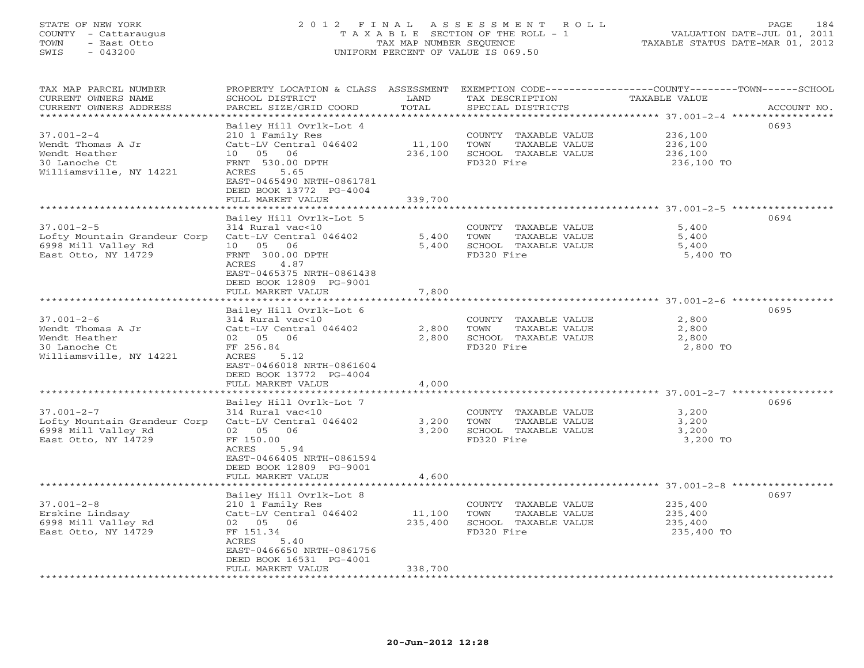# STATE OF NEW YORK 2 0 1 2 F I N A L A S S E S S M E N T R O L L PAGE 184 COUNTY - Cattaraugus T A X A B L E SECTION OF THE ROLL - 1 VALUATION DATE-JUL 01, 2011 TOWN - East Otto TAX MAP NUMBER SEQUENCE TAXABLE STATUS DATE-MAR 01, 2012 SWIS - 043200 UNIFORM PERCENT OF VALUE IS 069.50UNIFORM PERCENT OF VALUE IS 069.50

| TAX MAP PARCEL NUMBER<br>CURRENT OWNERS NAME<br>CURRENT OWNERS ADDRESS | PROPERTY LOCATION & CLASS ASSESSMENT<br>SCHOOL DISTRICT<br>PARCEL SIZE/GRID COORD | LAND<br>TOTAL     | TAX DESCRIPTION<br>SPECIAL DISTRICTS          | EXEMPTION CODE-----------------COUNTY-------TOWN------SCHOOL<br><b>TAXABLE VALUE</b><br>ACCOUNT NO. |
|------------------------------------------------------------------------|-----------------------------------------------------------------------------------|-------------------|-----------------------------------------------|-----------------------------------------------------------------------------------------------------|
| **********************                                                 |                                                                                   |                   |                                               |                                                                                                     |
| $37.001 - 2 - 4$                                                       | Bailey Hill Ovrlk-Lot 4<br>210 1 Family Res                                       |                   | COUNTY TAXABLE VALUE                          | 0693<br>236,100                                                                                     |
| Wendt Thomas A Jr                                                      | Catt-LV Central 046402                                                            | 11,100            | TOWN<br>TAXABLE VALUE                         | 236,100                                                                                             |
| Wendt Heather                                                          | 10 05 06                                                                          | 236,100           | SCHOOL TAXABLE VALUE                          | 236,100                                                                                             |
| 30 Lanoche Ct                                                          | FRNT 530.00 DPTH                                                                  |                   | FD320 Fire                                    | 236,100 TO                                                                                          |
| Williamsville, NY 14221                                                | ACRES<br>5.65                                                                     |                   |                                               |                                                                                                     |
|                                                                        | EAST-0465490 NRTH-0861781                                                         |                   |                                               |                                                                                                     |
|                                                                        | DEED BOOK 13772 PG-4004<br>FULL MARKET VALUE                                      | 339,700           |                                               |                                                                                                     |
|                                                                        |                                                                                   |                   |                                               |                                                                                                     |
|                                                                        | Bailey Hill Ovrlk-Lot 5                                                           |                   |                                               | 0694                                                                                                |
| $37.001 - 2 - 5$                                                       | 314 Rural vac<10                                                                  |                   | COUNTY TAXABLE VALUE                          | 5,400                                                                                               |
| Lofty Mountain Grandeur Corp                                           | Catt-LV Central 046402                                                            | 5,400             | TOWN<br>TAXABLE VALUE                         | 5,400                                                                                               |
| 6998 Mill Valley Rd                                                    | 10 05 06                                                                          | 5,400             | SCHOOL TAXABLE VALUE                          | 5,400                                                                                               |
| East Otto, NY 14729                                                    | FRNT 300.00 DPTH                                                                  |                   | FD320 Fire                                    | 5,400 TO                                                                                            |
|                                                                        | 4.87<br>ACRES                                                                     |                   |                                               |                                                                                                     |
|                                                                        | EAST-0465375 NRTH-0861438                                                         |                   |                                               |                                                                                                     |
|                                                                        | DEED BOOK 12809 PG-9001<br>FULL MARKET VALUE                                      | 7,800             |                                               |                                                                                                     |
|                                                                        |                                                                                   |                   |                                               |                                                                                                     |
|                                                                        | Bailey Hill Ovrlk-Lot 6                                                           |                   |                                               | 0695                                                                                                |
| $37.001 - 2 - 6$                                                       | 314 Rural vac<10                                                                  |                   | COUNTY TAXABLE VALUE                          | 2,800                                                                                               |
| Wendt Thomas A Jr                                                      | Catt-LV Central 046402                                                            | 2,800             | TAXABLE VALUE<br>TOWN                         | 2,800                                                                                               |
| Wendt Heather                                                          | 02 05<br>06                                                                       | 2,800             | SCHOOL TAXABLE VALUE                          | 2,800                                                                                               |
| 30 Lanoche Ct                                                          | FF 256.84                                                                         |                   | FD320 Fire                                    | 2,800 TO                                                                                            |
| Williamsville, NY 14221                                                | ACRES<br>5.12<br>EAST-0466018 NRTH-0861604                                        |                   |                                               |                                                                                                     |
|                                                                        | DEED BOOK 13772 PG-4004                                                           |                   |                                               |                                                                                                     |
|                                                                        | FULL MARKET VALUE                                                                 | 4,000             |                                               |                                                                                                     |
|                                                                        |                                                                                   |                   |                                               |                                                                                                     |
|                                                                        | Bailey Hill Ovrlk-Lot 7                                                           |                   |                                               | 0696                                                                                                |
| $37.001 - 2 - 7$                                                       | 314 Rural vac<10                                                                  |                   | COUNTY TAXABLE VALUE                          | 3,200                                                                                               |
| Lofty Mountain Grandeur Corp                                           | Catt-LV Central 046402                                                            | 3,200             | TOWN<br>TAXABLE VALUE                         | 3,200                                                                                               |
| 6998 Mill Valley Rd                                                    | 06<br>02 05                                                                       | 3,200             | SCHOOL TAXABLE VALUE                          | 3,200                                                                                               |
| East Otto, NY 14729                                                    | FF 150.00<br>5.94<br>ACRES                                                        |                   | FD320 Fire                                    | 3,200 TO                                                                                            |
|                                                                        | EAST-0466405 NRTH-0861594                                                         |                   |                                               |                                                                                                     |
|                                                                        | DEED BOOK 12809 PG-9001                                                           |                   |                                               |                                                                                                     |
|                                                                        | FULL MARKET VALUE                                                                 | 4,600             |                                               |                                                                                                     |
|                                                                        |                                                                                   |                   |                                               |                                                                                                     |
|                                                                        | Bailey Hill Ovrlk-Lot 8                                                           |                   |                                               | 0697                                                                                                |
| $37.001 - 2 - 8$                                                       | 210 1 Family Res                                                                  |                   | COUNTY TAXABLE VALUE                          | 235,400                                                                                             |
| Erskine Lindsay                                                        | Catt-LV Central 046402<br>02 05 06                                                | 11,100<br>235,400 | TOWN<br>TAXABLE VALUE<br>SCHOOL TAXABLE VALUE | 235,400<br>235,400                                                                                  |
| 6998 Mill Valley Rd<br>East Otto, NY 14729                             | FF 151.34                                                                         |                   | FD320 Fire                                    | 235,400 TO                                                                                          |
|                                                                        | ACRES<br>5.40                                                                     |                   |                                               |                                                                                                     |
|                                                                        | EAST-0466650 NRTH-0861756                                                         |                   |                                               |                                                                                                     |
|                                                                        | DEED BOOK 16531 PG-4001                                                           |                   |                                               |                                                                                                     |
|                                                                        | FULL MARKET VALUE                                                                 | 338,700           |                                               |                                                                                                     |
|                                                                        | *******************                                                               |                   |                                               |                                                                                                     |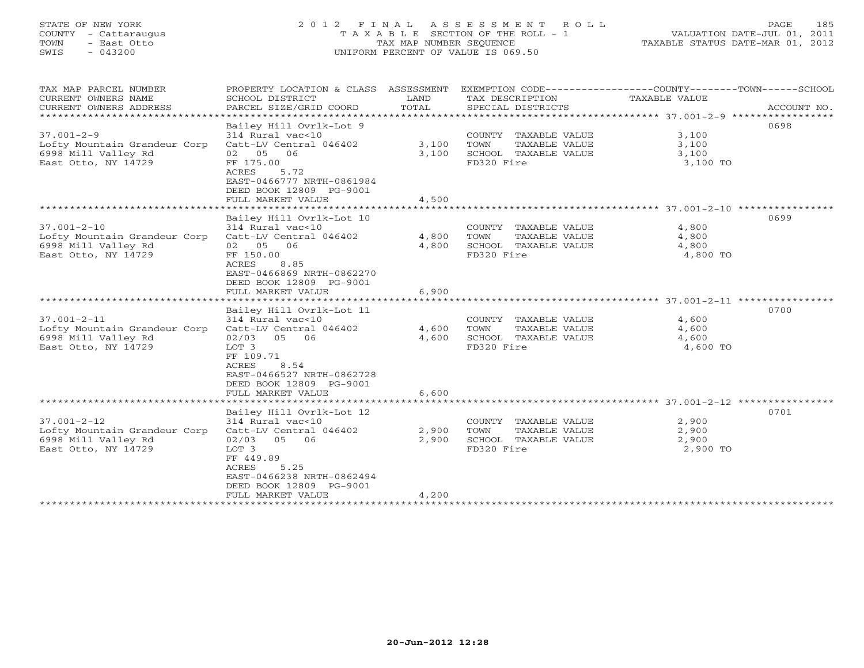# STATE OF NEW YORK 2 0 1 2 F I N A L A S S E S S M E N T R O L L PAGE 185 COUNTY - Cattaraugus T A X A B L E SECTION OF THE ROLL - 1 VALUATION DATE-JUL 01, 2011 TOWN - East Otto TAX MAP NUMBER SEQUENCE TAXABLE STATUS DATE-MAR 01, 2012 SWIS - 043200 UNIFORM PERCENT OF VALUE IS 069.50UNIFORM PERCENT OF VALUE IS 069.50

| TAX MAP PARCEL NUMBER<br>CURRENT OWNERS NAME<br>CURRENT OWNERS ADDRESS<br>****************************** | PROPERTY LOCATION & CLASS ASSESSMENT<br>SCHOOL DISTRICT<br>PARCEL SIZE/GRID COORD                                                                                                                     | LAND<br>TOTAL           | TAX DESCRIPTION<br>SPECIAL DISTRICTS                                                | EXEMPTION CODE-----------------COUNTY-------TOWN------SCHOOL<br>TAXABLE VALUE | ACCOUNT NO. |
|----------------------------------------------------------------------------------------------------------|-------------------------------------------------------------------------------------------------------------------------------------------------------------------------------------------------------|-------------------------|-------------------------------------------------------------------------------------|-------------------------------------------------------------------------------|-------------|
| $37.001 - 2 - 9$<br>Lofty Mountain Grandeur Corp<br>6998 Mill Valley Rd<br>East Otto, NY 14729           | Bailey Hill Ovrlk-Lot 9<br>314 Rural vac<10<br>Catt-LV Central 046402<br>05<br>02<br>06<br>FF 175.00<br>ACRES<br>5.72<br>EAST-0466777 NRTH-0861984<br>DEED BOOK 12809 PG-9001<br>FULL MARKET VALUE    | 3,100<br>3,100<br>4,500 | COUNTY TAXABLE VALUE<br>TOWN<br>TAXABLE VALUE<br>SCHOOL TAXABLE VALUE<br>FD320 Fire | 0698<br>3,100<br>3,100<br>3,100<br>3,100 TO                                   |             |
|                                                                                                          | Bailey Hill Ovrlk-Lot 10                                                                                                                                                                              |                         |                                                                                     | 0699                                                                          |             |
| $37.001 - 2 - 10$<br>Lofty Mountain Grandeur Corp<br>6998 Mill Valley Rd<br>East Otto, NY 14729          | 314 Rural vac<10<br>Catt-LV Central 046402<br>02 05 06<br>FF 150.00<br>ACRES<br>8.85<br>EAST-0466869 NRTH-0862270<br>DEED BOOK 12809 PG-9001<br>FULL MARKET VALUE                                     | 4,800<br>4,800<br>6,900 | COUNTY TAXABLE VALUE<br>TOWN<br>TAXABLE VALUE<br>SCHOOL TAXABLE VALUE<br>FD320 Fire | 4,800<br>4,800<br>4,800<br>4,800 TO                                           |             |
|                                                                                                          |                                                                                                                                                                                                       |                         |                                                                                     |                                                                               |             |
| $37.001 - 2 - 11$<br>Lofty Mountain Grandeur Corp<br>6998 Mill Valley Rd<br>East Otto, NY 14729          | Bailey Hill Ovrlk-Lot 11<br>314 Rural vac<10<br>Catt-LV Central 046402<br>02/03<br>05<br>06<br>LOT 3<br>FF 109.71<br>ACRES<br>8.54<br>EAST-0466527 NRTH-0862728<br>DEED BOOK 12809 PG-9001            | 4,600<br>4,600          | COUNTY TAXABLE VALUE<br>TOWN<br>TAXABLE VALUE<br>SCHOOL TAXABLE VALUE<br>FD320 Fire | 0700<br>4,600<br>4,600<br>4,600<br>4,600 TO                                   |             |
|                                                                                                          | FULL MARKET VALUE                                                                                                                                                                                     | 6,600                   |                                                                                     |                                                                               |             |
| $37.001 - 2 - 12$<br>Lofty Mountain Grandeur Corp<br>6998 Mill Valley Rd<br>East Otto, NY 14729          | Bailey Hill Ovrlk-Lot 12<br>314 Rural vac<10<br>Catt-LV Central 046402<br>02/03<br>05<br>06<br>LOT <sub>3</sub><br>FF 449.89<br>5.25<br>ACRES<br>EAST-0466238 NRTH-0862494<br>DEED BOOK 12809 PG-9001 | 2,900<br>2,900          | COUNTY TAXABLE VALUE<br>TOWN<br>TAXABLE VALUE<br>SCHOOL TAXABLE VALUE<br>FD320 Fire | 0701<br>2,900<br>2,900<br>2,900<br>2,900 TO                                   |             |
| *******************                                                                                      | FULL MARKET VALUE                                                                                                                                                                                     | 4,200                   |                                                                                     |                                                                               |             |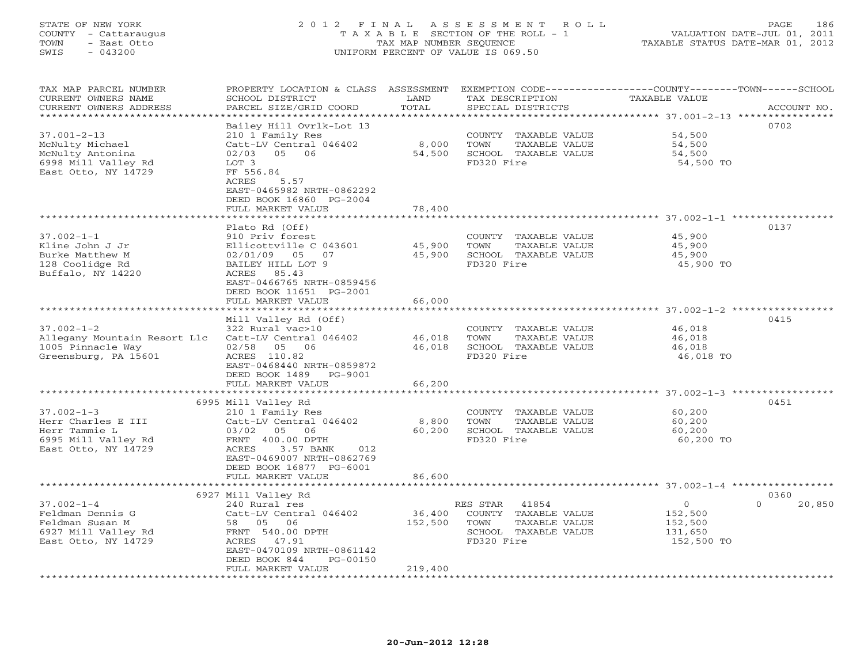# STATE OF NEW YORK 2 0 1 2 F I N A L A S S E S S M E N T R O L L PAGE 186 COUNTY - Cattaraugus T A X A B L E SECTION OF THE ROLL - 1 VALUATION DATE-JUL 01, 2011 TOWN - East Otto TAX MAP NUMBER SEQUENCE TAXABLE STATUS DATE-MAR 01, 2012 SWIS - 043200 UNIFORM PERCENT OF VALUE IS 069.50UNIFORM PERCENT OF VALUE IS 069.50

| TAX MAP PARCEL NUMBER<br>CURRENT OWNERS NAME<br>CURRENT OWNERS ADDRESS | PROPERTY LOCATION & CLASS ASSESSMENT<br>SCHOOL DISTRICT<br>PARCEL SIZE/GRID COORD | LAND<br>TOTAL | EXEMPTION CODE-----------------COUNTY-------TOWN------SCHOOL<br>TAX DESCRIPTION<br>SPECIAL DISTRICTS | <b>TAXABLE VALUE</b> | ACCOUNT NO.        |
|------------------------------------------------------------------------|-----------------------------------------------------------------------------------|---------------|------------------------------------------------------------------------------------------------------|----------------------|--------------------|
| *********************                                                  |                                                                                   |               |                                                                                                      |                      |                    |
|                                                                        | Bailey Hill Ovrlk-Lot 13                                                          |               |                                                                                                      |                      | 0702               |
| $37.001 - 2 - 13$                                                      | 210 1 Family Res                                                                  |               | COUNTY TAXABLE VALUE                                                                                 | 54,500               |                    |
| McNulty Michael                                                        | Catt-LV Central 046402                                                            | 8,000         | TOWN<br>TAXABLE VALUE                                                                                | 54,500               |                    |
| McNulty Antonina                                                       | 02/03 05 06                                                                       | 54,500        | SCHOOL TAXABLE VALUE                                                                                 | 54,500               |                    |
| 6998 Mill Valley Rd                                                    | LOT 3                                                                             |               | FD320 Fire                                                                                           | 54,500 TO            |                    |
| East Otto, NY 14729                                                    | FF 556.84                                                                         |               |                                                                                                      |                      |                    |
|                                                                        | ACRES<br>5.57                                                                     |               |                                                                                                      |                      |                    |
|                                                                        | EAST-0465982 NRTH-0862292                                                         |               |                                                                                                      |                      |                    |
|                                                                        | DEED BOOK 16860 PG-2004                                                           |               |                                                                                                      |                      |                    |
|                                                                        | FULL MARKET VALUE                                                                 | 78,400        |                                                                                                      |                      |                    |
|                                                                        |                                                                                   |               |                                                                                                      |                      |                    |
|                                                                        | Plato Rd (Off)                                                                    |               |                                                                                                      |                      | 0137               |
| $37.002 - 1 - 1$                                                       | 910 Priv forest                                                                   |               | COUNTY TAXABLE VALUE                                                                                 | 45,900               |                    |
| Kline John J Jr                                                        | Ellicottville C 043601                                                            | 45,900        | TOWN<br>TAXABLE VALUE                                                                                | 45,900               |                    |
| Burke Matthew M                                                        | 02/01/09 05 07                                                                    | 45,900        | SCHOOL TAXABLE VALUE                                                                                 | 45,900               |                    |
| 128 Coolidge Rd                                                        | BAILEY HILL LOT 9                                                                 |               | FD320 Fire                                                                                           | 45,900 TO            |                    |
| Buffalo, NY 14220                                                      | ACRES 85.43                                                                       |               |                                                                                                      |                      |                    |
|                                                                        | EAST-0466765 NRTH-0859456                                                         |               |                                                                                                      |                      |                    |
|                                                                        | DEED BOOK 11651 PG-2001                                                           |               |                                                                                                      |                      |                    |
|                                                                        | FULL MARKET VALUE                                                                 | 66,000        |                                                                                                      |                      |                    |
|                                                                        |                                                                                   |               |                                                                                                      |                      |                    |
|                                                                        | Mill Valley Rd (Off)                                                              |               |                                                                                                      |                      | 0415               |
| $37.002 - 1 - 2$                                                       | 322 Rural vac>10                                                                  |               | COUNTY TAXABLE VALUE                                                                                 | 46,018               |                    |
| Allegany Mountain Resort Llc                                           | Catt-LV Central 046402                                                            | 46,018        | TOWN<br>TAXABLE VALUE                                                                                | 46,018               |                    |
| 1005 Pinnacle Way                                                      | 02/58 05 06                                                                       | 46,018        | SCHOOL TAXABLE VALUE                                                                                 | 46,018               |                    |
| Greensburg, PA 15601                                                   | ACRES 110.82                                                                      |               | FD320 Fire                                                                                           | 46,018 TO            |                    |
|                                                                        | EAST-0468440 NRTH-0859872                                                         |               |                                                                                                      |                      |                    |
|                                                                        | DEED BOOK 1489 PG-9001                                                            |               |                                                                                                      |                      |                    |
|                                                                        | FULL MARKET VALUE                                                                 | 66,200        |                                                                                                      |                      |                    |
|                                                                        | 6995 Mill Valley Rd                                                               |               |                                                                                                      |                      | 0451               |
| $37.002 - 1 - 3$                                                       | 210 1 Family Res                                                                  |               | COUNTY TAXABLE VALUE                                                                                 | 60,200               |                    |
| Herr Charles E III                                                     | Catt-LV Central 046402                                                            | 8,800         | TOWN<br>TAXABLE VALUE                                                                                | 60,200               |                    |
| Herr Tammie L                                                          | 03/02<br>05 06                                                                    | 60,200        | SCHOOL TAXABLE VALUE                                                                                 | 60,200               |                    |
| 6995 Mill Valley Rd                                                    | FRNT 400.00 DPTH                                                                  |               | FD320 Fire                                                                                           | 60,200 TO            |                    |
| East Otto, NY 14729                                                    | ACRES<br>3.57 BANK<br>012                                                         |               |                                                                                                      |                      |                    |
|                                                                        | EAST-0469007 NRTH-0862769                                                         |               |                                                                                                      |                      |                    |
|                                                                        | DEED BOOK 16877 PG-6001                                                           |               |                                                                                                      |                      |                    |
|                                                                        | FULL MARKET VALUE                                                                 | 86,600        |                                                                                                      |                      |                    |
|                                                                        |                                                                                   |               |                                                                                                      |                      |                    |
|                                                                        | 6927 Mill Valley Rd                                                               |               |                                                                                                      |                      | 0360               |
| $37.002 - 1 - 4$                                                       | 240 Rural res                                                                     |               | 41854<br>RES STAR                                                                                    | $\circ$              | 20,850<br>$\Omega$ |
| Feldman Dennis G                                                       | Catt-LV Central 046402                                                            | 36,400        | COUNTY TAXABLE VALUE                                                                                 | 152,500              |                    |
| Feldman Susan M                                                        | 58 05 06                                                                          | 152,500       | TOWN<br>TAXABLE VALUE                                                                                | 152,500              |                    |
| 6927 Mill Valley Rd                                                    | FRNT 540.00 DPTH                                                                  |               | SCHOOL TAXABLE VALUE                                                                                 | 131,650              |                    |
| East Otto, NY 14729                                                    | ACRES 47.91                                                                       |               | FD320 Fire                                                                                           | 152,500 TO           |                    |
|                                                                        | EAST-0470109 NRTH-0861142                                                         |               |                                                                                                      |                      |                    |
|                                                                        | DEED BOOK 844<br>PG-00150                                                         |               |                                                                                                      |                      |                    |
|                                                                        | FULL MARKET VALUE                                                                 | 219,400       |                                                                                                      |                      |                    |
|                                                                        |                                                                                   |               |                                                                                                      |                      |                    |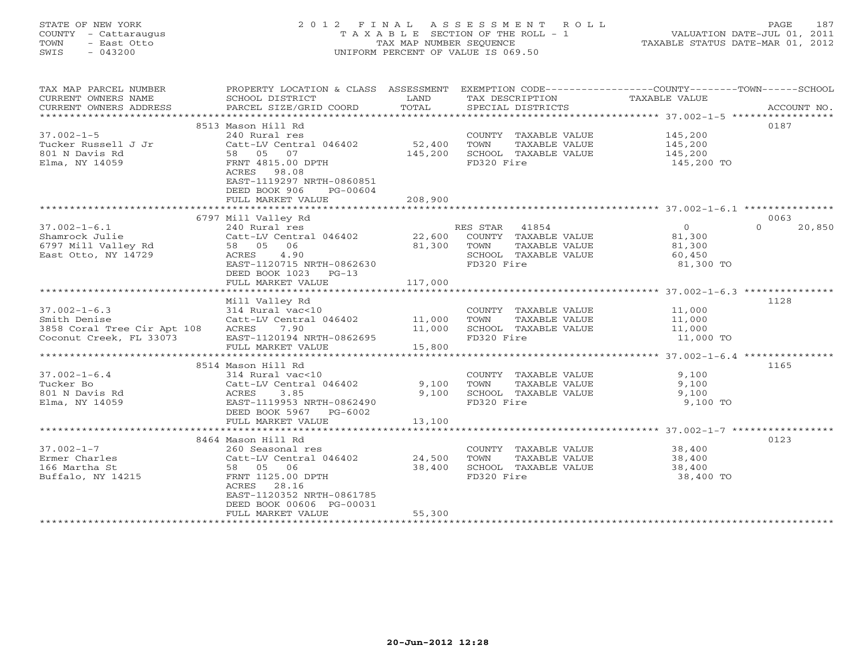# STATE OF NEW YORK 2 0 1 2 F I N A L A S S E S S M E N T R O L L PAGE 187 COUNTY - Cattaraugus T A X A B L E SECTION OF THE ROLL - 1 VALUATION DATE-JUL 01, 2011 TOWN - East Otto TAX MAP NUMBER SEQUENCE TAXABLE STATUS DATE-MAR 01, 2012 SWIS - 043200 UNIFORM PERCENT OF VALUE IS 069.50UNIFORM PERCENT OF VALUE IS 069.50

| TAX MAP PARCEL NUMBER<br>CURRENT OWNERS NAME<br>CURRENT OWNERS ADDRESS | PROPERTY LOCATION & CLASS ASSESSMENT<br>SCHOOL DISTRICT<br>PARCEL SIZE/GRID COORD | LAND<br>TOTAL | TAX DESCRIPTION<br>SPECIAL DISTRICTS | EXEMPTION CODE-----------------COUNTY-------TOWN------SCHOOL<br>TAXABLE VALUE | ACCOUNT NO. |
|------------------------------------------------------------------------|-----------------------------------------------------------------------------------|---------------|--------------------------------------|-------------------------------------------------------------------------------|-------------|
|                                                                        |                                                                                   |               |                                      |                                                                               |             |
| $37.002 - 1 - 5$                                                       | 8513 Mason Hill Rd<br>240 Rural res                                               |               | COUNTY TAXABLE VALUE                 |                                                                               | 0187        |
| Tucker Russell J Jr                                                    | Catt-LV Central 046402                                                            | 52,400        | TAXABLE VALUE<br>TOWN                | 145,200<br>145,200                                                            |             |
| 801 N Davis Rd                                                         | 58 05 07                                                                          | 145,200       | SCHOOL TAXABLE VALUE                 | 145,200                                                                       |             |
| Elma, NY 14059                                                         | FRNT 4815.00 DPTH                                                                 |               | FD320 Fire                           | 145,200 TO                                                                    |             |
|                                                                        | ACRES 98.08                                                                       |               |                                      |                                                                               |             |
|                                                                        | EAST-1119297 NRTH-0860851                                                         |               |                                      |                                                                               |             |
|                                                                        | DEED BOOK 906<br>PG-00604                                                         |               |                                      |                                                                               |             |
|                                                                        | FULL MARKET VALUE                                                                 | 208,900       |                                      |                                                                               |             |
|                                                                        |                                                                                   |               |                                      |                                                                               |             |
|                                                                        | 6797 Mill Valley Rd                                                               |               |                                      |                                                                               | 0063        |
| $37.002 - 1 - 6.1$                                                     | 240 Rural res                                                                     |               | RES STAR 41854                       | $\overline{0}$<br>$\Omega$                                                    | 20,850      |
| Shamrock Julie                                                         | Catt-LV Central 046402 22,600                                                     |               | COUNTY TAXABLE VALUE                 | 81,300                                                                        |             |
| 6797 Mill Valley Rd                                                    | 58 05 06                                                                          | 81,300        | TOWN<br>TAXABLE VALUE                | 81,300                                                                        |             |
| East Otto, NY 14729                                                    | 4.90<br>ACRES                                                                     |               | SCHOOL TAXABLE VALUE                 | 60,450                                                                        |             |
|                                                                        | EAST-1120715 NRTH-0862630                                                         |               | FD320 Fire                           | 81,300 TO                                                                     |             |
|                                                                        | DEED BOOK 1023<br>$PG-13$                                                         |               |                                      |                                                                               |             |
|                                                                        | FULL MARKET VALUE                                                                 | 117,000       |                                      |                                                                               |             |
|                                                                        |                                                                                   |               |                                      |                                                                               |             |
|                                                                        | Mill Valley Rd                                                                    |               |                                      |                                                                               | 1128        |
| $37.002 - 1 - 6.3$                                                     | 314 Rural vac<10                                                                  |               | COUNTY TAXABLE VALUE                 | 11,000                                                                        |             |
| Smith Denise                                                           | Catt-LV Central 046402 11,000                                                     |               | TOWN<br>TAXABLE VALUE                | 11,000                                                                        |             |
| 3858 Coral Tree Cir Apt 108 ACRES 7.90                                 |                                                                                   | 11,000        | SCHOOL TAXABLE VALUE                 | 11,000                                                                        |             |
| Coconut Creek, FL 33073                                                | EAST-1120194 NRTH-0862695                                                         |               | FD320 Fire                           | 11,000 TO                                                                     |             |
|                                                                        | FULL MARKET VALUE                                                                 | 15,800        |                                      |                                                                               |             |
|                                                                        |                                                                                   |               |                                      |                                                                               |             |
|                                                                        | 8514 Mason Hill Rd                                                                |               |                                      |                                                                               | 1165        |
| $37.002 - 1 - 6.4$                                                     | 314 Rural vac<10                                                                  |               | COUNTY TAXABLE VALUE                 | 9,100                                                                         |             |
| Tucker Bo                                                              | Catt-LV Central 046402                                                            | 9,100         | TOWN<br>TAXABLE VALUE                | 9,100                                                                         |             |
| 801 N Davis Rd                                                         | ACRES<br>3.85                                                                     | 9,100         | SCHOOL TAXABLE VALUE                 | 9,100                                                                         |             |
| Elma, NY 14059                                                         | EAST-1119953 NRTH-0862490                                                         |               | FD320 Fire                           | 9,100 TO                                                                      |             |
|                                                                        | DEED BOOK 5967 PG-6002                                                            |               |                                      |                                                                               |             |
|                                                                        | FULL MARKET VALUE                                                                 | 13,100        |                                      |                                                                               |             |
|                                                                        | 8464 Mason Hill Rd                                                                |               |                                      |                                                                               | 0123        |
| $37.002 - 1 - 7$                                                       | 260 Seasonal res                                                                  |               | COUNTY TAXABLE VALUE                 | 38,400                                                                        |             |
| Ermer Charles                                                          | Catt-LV Central 046402                                                            | 24,500        | TAXABLE VALUE<br>TOWN                | 38,400                                                                        |             |
| 166 Martha St                                                          | 58 05 06                                                                          | 38,400        | SCHOOL TAXABLE VALUE                 | 38,400                                                                        |             |
| Buffalo, NY 14215                                                      | FRNT 1125.00 DPTH                                                                 |               | FD320 Fire                           | 38,400 TO                                                                     |             |
|                                                                        | ACRES 28.16                                                                       |               |                                      |                                                                               |             |
|                                                                        | EAST-1120352 NRTH-0861785                                                         |               |                                      |                                                                               |             |
|                                                                        | DEED BOOK 00606 PG-00031                                                          |               |                                      |                                                                               |             |
|                                                                        | FULL MARKET VALUE                                                                 | 55,300        |                                      |                                                                               |             |
|                                                                        |                                                                                   |               |                                      |                                                                               |             |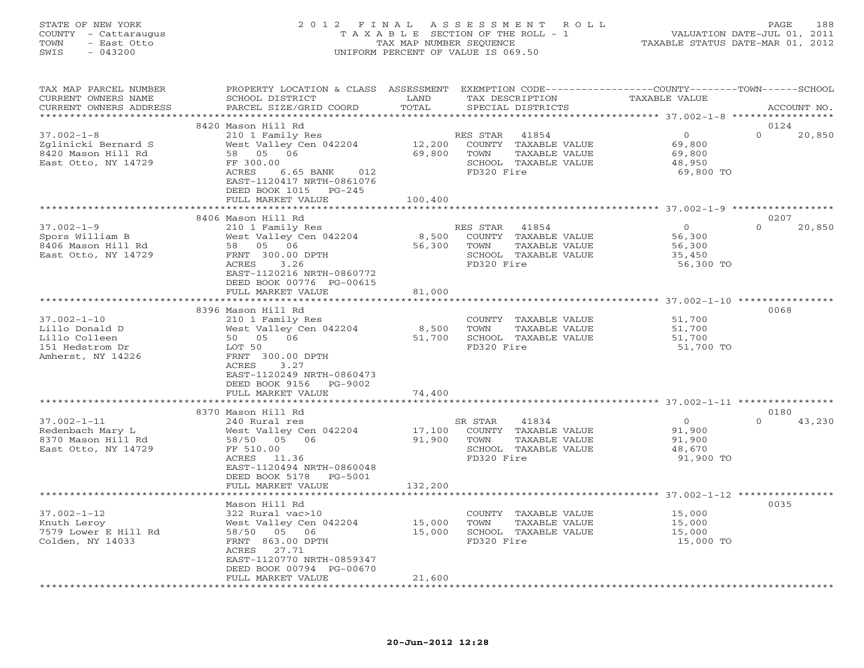# STATE OF NEW YORK 2 0 1 2 F I N A L A S S E S S M E N T R O L L PAGE 188 COUNTY - Cattaraugus T A X A B L E SECTION OF THE ROLL - 1 VALUATION DATE-JUL 01, 2011 TOWN - East Otto TAX MAP NUMBER SEQUENCE TAXABLE STATUS DATE-MAR 01, 2012 SWIS - 043200 UNIFORM PERCENT OF VALUE IS 069.50UNIFORM PERCENT OF VALUE IS 069.50

| TAX MAP PARCEL NUMBER<br>CURRENT OWNERS NAME<br>CURRENT OWNERS ADDRESS                       | PROPERTY LOCATION & CLASS ASSESSMENT<br>SCHOOL DISTRICT<br>PARCEL SIZE/GRID COORD                                                                                                     | LAND<br>TOTAL              | TAX DESCRIPTION<br>SPECIAL DISTRICTS                                                                     | EXEMPTION CODE-----------------COUNTY-------TOWN------SCHOOL<br><b>TAXABLE VALUE</b> | ACCOUNT NO.                |
|----------------------------------------------------------------------------------------------|---------------------------------------------------------------------------------------------------------------------------------------------------------------------------------------|----------------------------|----------------------------------------------------------------------------------------------------------|--------------------------------------------------------------------------------------|----------------------------|
|                                                                                              |                                                                                                                                                                                       | ********                   |                                                                                                          | *********** 37.002-1-8 ******************                                            |                            |
| $37.002 - 1 - 8$<br>Zglinicki Bernard S<br>8420 Mason Hill Rd<br>East Otto, NY 14729         | 8420 Mason Hill Rd<br>210 1 Family Res<br>West Valley Cen 042204<br>58 05 06<br>FF 300.00<br>ACRES<br>6.65 BANK<br>012<br>EAST-1120417 NRTH-0861076<br>DEED BOOK 1015<br>PG-245       | 12,200<br>69,800           | RES STAR<br>41854<br>COUNTY TAXABLE VALUE<br>TOWN<br>TAXABLE VALUE<br>SCHOOL TAXABLE VALUE<br>FD320 Fire | $\circ$<br>69,800<br>69,800<br>48,950<br>69,800 TO                                   | 0124<br>$\Omega$<br>20,850 |
|                                                                                              | FULL MARKET VALUE<br>***********************                                                                                                                                          | 100,400                    |                                                                                                          |                                                                                      |                            |
|                                                                                              |                                                                                                                                                                                       |                            |                                                                                                          |                                                                                      |                            |
| $37.002 - 1 - 9$<br>Spors William B<br>8406 Mason Hill Rd<br>East Otto, NY 14729             | 8406 Mason Hill Rd<br>210 1 Family Res<br>West Valley Cen 042204<br>58 05 06<br>FRNT 300.00 DPTH<br>ACRES<br>3.26<br>EAST-1120216 NRTH-0860772<br>DEED BOOK 00776 PG-00615            | 8,500<br>56,300            | RES STAR<br>41854<br>COUNTY TAXABLE VALUE<br>TAXABLE VALUE<br>TOWN<br>SCHOOL TAXABLE VALUE<br>FD320 Fire | $\circ$<br>56,300<br>56,300<br>35,450<br>56,300 TO                                   | 0207<br>$\Omega$<br>20,850 |
|                                                                                              | FULL MARKET VALUE                                                                                                                                                                     | 81,000<br>**************** |                                                                                                          |                                                                                      |                            |
| $37.002 - 1 - 10$<br>Lillo Donald D<br>Lillo Colleen<br>151 Hedstrom Dr<br>Amherst, NY 14226 | 8396 Mason Hill Rd<br>210 1 Family Res<br>West Valley Cen 042204<br>50 05 06<br>LOT 50<br>FRNT 300.00 DPTH<br>ACRES<br>3.27<br>EAST-1120249 NRTH-0860473<br>DEED BOOK 9156<br>PG-9002 | 8,500<br>51,700            | COUNTY TAXABLE VALUE<br>TOWN<br>TAXABLE VALUE<br>SCHOOL TAXABLE VALUE<br>FD320 Fire                      | 51,700<br>51,700<br>51,700<br>51,700 TO                                              | 0068                       |
|                                                                                              | FULL MARKET VALUE                                                                                                                                                                     | 74,400                     |                                                                                                          |                                                                                      |                            |
|                                                                                              |                                                                                                                                                                                       |                            |                                                                                                          |                                                                                      |                            |
| $37.002 - 1 - 11$<br>Redenbach Mary L<br>8370 Mason Hill Rd<br>East Otto, NY 14729           | 8370 Mason Hill Rd<br>240 Rural res<br>West Valley Cen 042204<br>58/50 05 06<br>FF 510.00<br>ACRES<br>11.36<br>EAST-1120494 NRTH-0860048<br>DEED BOOK 5178<br>PG-5001                 | 17,100<br>91,900           | SR STAR<br>41834<br>COUNTY TAXABLE VALUE<br>TOWN<br>TAXABLE VALUE<br>SCHOOL TAXABLE VALUE<br>FD320 Fire  | $\overline{O}$<br>91,900<br>91,900<br>48,670<br>91,900 TO                            | 0180<br>$\Omega$<br>43,230 |
|                                                                                              | FULL MARKET VALUE                                                                                                                                                                     | 132,200                    |                                                                                                          |                                                                                      |                            |
|                                                                                              | ***********************                                                                                                                                                               |                            |                                                                                                          |                                                                                      |                            |
| $37.002 - 1 - 12$<br>Knuth Leroy<br>7579 Lower E Hill Rd<br>Colden, NY 14033                 | Mason Hill Rd<br>322 Rural vac>10<br>West Valley Cen 042204<br>58/50 05 06<br>FRNT 863.00 DPTH<br>ACRES<br>27.71<br>EAST-1120770 NRTH-0859347<br>DEED BOOK 00794 PG-00670             | 15,000<br>15,000           | COUNTY TAXABLE VALUE<br>TOWN<br>TAXABLE VALUE<br>SCHOOL TAXABLE VALUE<br>FD320 Fire                      | 15,000<br>15,000<br>15,000<br>15,000 TO                                              | 0035                       |
|                                                                                              | FULL MARKET VALUE                                                                                                                                                                     | 21,600                     |                                                                                                          |                                                                                      |                            |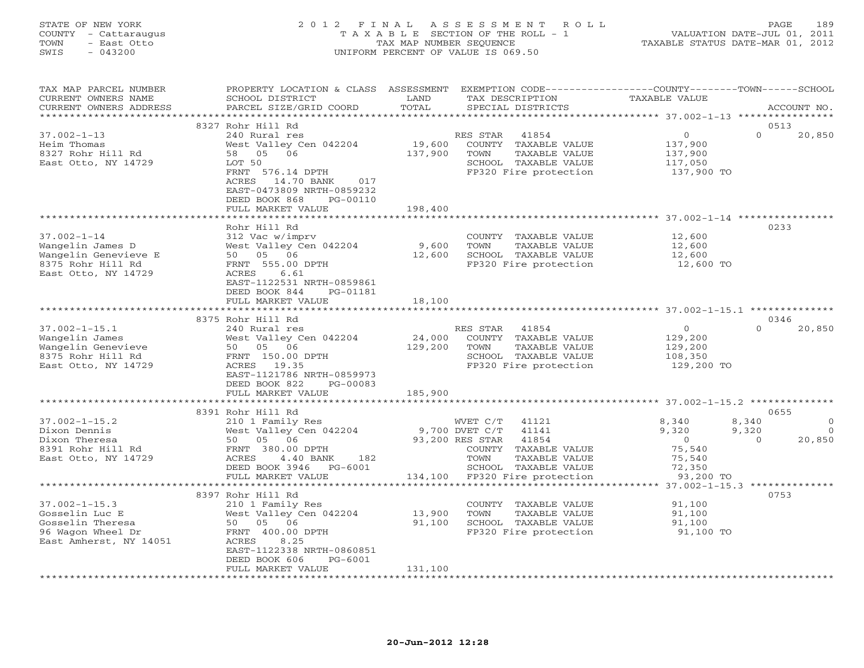## STATE OF NEW YORK 2 0 1 2 F I N A L A S S E S S M E N T R O L L PAGE 189 COUNTY - Cattaraugus T A X A B L E SECTION OF THE ROLL - 1 VALUATION DATE-JUL 01, 2011 TOWN - East Otto TAX MAP NUMBER SEQUENCE TAXABLE STATUS DATE-MAR 01, 2012 SWIS - 043200 UNIFORM PERCENT OF VALUE IS 069.50UNIFORM PERCENT OF VALUE IS 069.50

| TAX MAP PARCEL NUMBER<br>CURRENT OWNERS NAME<br>CURRENT OWNERS ADDRESS | PROPERTY LOCATION & CLASS ASSESSMENT<br>SCHOOL DISTRICT<br>PARCEL SIZE/GRID COORD | LAND<br>TOTAL | EXEMPTION CODE-----------------COUNTY-------TOWN------SCHOOL<br>TAX DESCRIPTION<br>SPECIAL DISTRICTS | TAXABLE VALUE         | ACCOUNT NO.        |
|------------------------------------------------------------------------|-----------------------------------------------------------------------------------|---------------|------------------------------------------------------------------------------------------------------|-----------------------|--------------------|
|                                                                        |                                                                                   |               |                                                                                                      |                       |                    |
|                                                                        | 8327 Rohr Hill Rd                                                                 |               |                                                                                                      |                       | 0513               |
| $37.002 - 1 - 13$                                                      | 240 Rural res                                                                     |               | RES STAR<br>41854                                                                                    | $\overline{0}$        | $\Omega$<br>20,850 |
| Heim Thomas                                                            | West Valley Cen 042204                                                            | 19,600        | COUNTY TAXABLE VALUE                                                                                 | 137,900               |                    |
| 8327 Rohr Hill Rd                                                      | 58 05 06                                                                          | 137,900       | TOWN<br>TAXABLE VALUE                                                                                | 137,900               |                    |
| East Otto, NY 14729                                                    | LOT 50                                                                            |               | SCHOOL TAXABLE VALUE                                                                                 | 117,050<br>137,900 TO |                    |
|                                                                        | FRNT 576.14 DPTH                                                                  |               | FP320 Fire protection                                                                                |                       |                    |
|                                                                        | ACRES 14.70 BANK 017<br>EAST-0473809 NRTH-0859232                                 |               |                                                                                                      |                       |                    |
|                                                                        | DEED BOOK 868<br>PG-00110                                                         |               |                                                                                                      |                       |                    |
|                                                                        | FULL MARKET VALUE                                                                 | 198,400       |                                                                                                      |                       |                    |
|                                                                        |                                                                                   |               |                                                                                                      |                       |                    |
|                                                                        | Rohr Hill Rd                                                                      |               |                                                                                                      |                       | 0233               |
| $37.002 - 1 - 14$                                                      | 312 Vac w/imprv                                                                   |               | COUNTY TAXABLE VALUE                                                                                 | 12,600                |                    |
| Wangelin James D                                                       | West Valley Cen 042204                                                            | 9,600         | TOWN<br>TAXABLE VALUE                                                                                | 12,600                |                    |
| Wangelin Genevieve E                                                   | 50 05 06                                                                          |               | 12,600 SCHOOL TAXABLE VALUE                                                                          | 12,600<br>12,600 TO   |                    |
| 8375 Rohr Hill Rd                                                      | FRNT 555.00 DPTH                                                                  |               | FP320 Fire protection                                                                                |                       |                    |
| East Otto, NY 14729                                                    | ACRES 6.61                                                                        |               |                                                                                                      |                       |                    |
|                                                                        | EAST-1122531 NRTH-0859861                                                         |               |                                                                                                      |                       |                    |
|                                                                        | DEED BOOK 844<br>PG-01181                                                         |               |                                                                                                      |                       |                    |
|                                                                        | FULL MARKET VALUE                                                                 | 18,100        |                                                                                                      |                       |                    |
|                                                                        | 8375 Rohr Hill Rd                                                                 |               |                                                                                                      |                       | 0346               |
| $37.002 - 1 - 15.1$                                                    | 240 Rural res                                                                     |               | RES STAR 41854                                                                                       | $\overline{0}$        | $\Omega$<br>20,850 |
| Wangelin James                                                         | West Valley Cen 042204                                                            | 24,000        | COUNTY TAXABLE VALUE                                                                                 | 129,200               |                    |
| Wangelin Genevieve                                                     | West Valley Cen 04<br>50   05   06<br>FRNT  150.00 DPTH                           | 129,200       | TOWN<br>TAXABLE VALUE                                                                                | 129,200               |                    |
| 8375 Rohr Hill Rd                                                      |                                                                                   |               | SCHOOL TAXABLE VALUE                                                                                 | 108,350<br>129,200 TO |                    |
| East Otto, NY 14729                                                    | ACRES 19.35                                                                       |               | FP320 Fire protection                                                                                |                       |                    |
|                                                                        | EAST-1121786 NRTH-0859973                                                         |               |                                                                                                      |                       |                    |
|                                                                        | DEED BOOK 822<br>PG-00083                                                         |               |                                                                                                      |                       |                    |
|                                                                        | FULL MARKET VALUE                                                                 | 185,900       |                                                                                                      |                       |                    |
|                                                                        | 8391 Rohr Hill Rd                                                                 |               |                                                                                                      |                       | 0655               |
| $37.002 - 1 - 15.2$                                                    | 210 1 Family Res                                                                  |               | WVET C/T<br>41121                                                                                    | 8,340                 | $\circ$<br>8,340   |
| Dixon Dennis                                                           | West Valley Cen 042204                                                            |               | 9,700 DVET C/T<br>41141                                                                              | 9,320                 | 9,320<br>$\Omega$  |
| Dixon Theresa                                                          | 50 05 06                                                                          |               | 93,200 RES STAR<br>41854                                                                             | $\overline{0}$        | 20,850<br>$\Omega$ |
| 8391 Rohr Hill Rd                                                      |                                                                                   |               | COUNTY TAXABLE VALUE                                                                                 | 75,540                |                    |
| East Otto, NY 14729                                                    | FRNT 380.00 DPTH<br>ACRES 4.40 BANI<br>ACRES<br>$4.40$ BANK<br>182                |               | TOWN<br>TAXABLE VALUE                                                                                | 75,540                |                    |
|                                                                        | DEED BOOK 3946 PG-6001                                                            |               | SCHOOL TAXABLE VALUE                                                                                 | 72,350                |                    |
|                                                                        | FULL MARKET VALUE                                                                 |               | 134,100 FP320 Fire protection                                                                        | 93,200 TO             |                    |
|                                                                        |                                                                                   |               |                                                                                                      |                       |                    |
|                                                                        | 8397 Rohr Hill Rd                                                                 |               |                                                                                                      |                       | 0753               |
| $37.002 - 1 - 15.3$<br>Gosselin Luc E                                  | 210 1 Family Res<br>West Valley Cen 042204                                        | 13,900        | COUNTY TAXABLE VALUE<br>TOWN<br>TAXABLE VALUE                                                        | 91,100<br>91,100      |                    |
| Gosselin Theresa                                                       | 50 05 06                                                                          |               | 91,100 SCHOOL TAXABLE VALUE                                                                          | 91,100                |                    |
| 96 Wagon Wheel Dr                                                      | FRNT 400.00 DPTH                                                                  |               | FP320 Fire protection                                                                                | 91,100 TO             |                    |
| East Amherst, NY 14051                                                 | ACRES<br>8.25                                                                     |               |                                                                                                      |                       |                    |
|                                                                        | EAST-1122338 NRTH-0860851                                                         |               |                                                                                                      |                       |                    |
|                                                                        | DEED BOOK 606<br>PG-6001                                                          |               |                                                                                                      |                       |                    |
|                                                                        | FULL MARKET VALUE                                                                 | 131,100       |                                                                                                      |                       |                    |
|                                                                        |                                                                                   |               |                                                                                                      |                       |                    |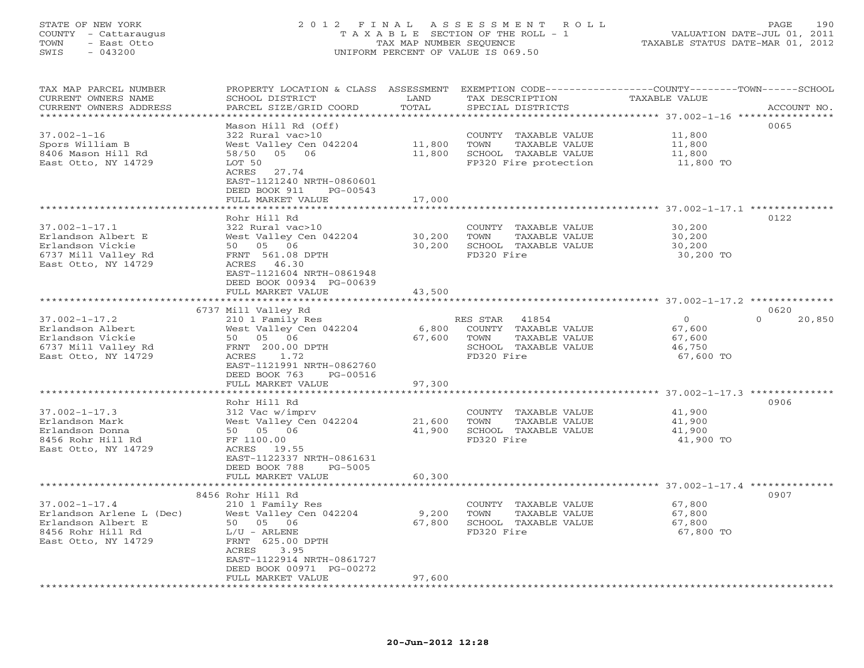# STATE OF NEW YORK 2 0 1 2 F I N A L A S S E S S M E N T R O L L PAGE 190 COUNTY - Cattaraugus T A X A B L E SECTION OF THE ROLL - 1 VALUATION DATE-JUL 01, 2011 TOWN - East Otto TAX MAP NUMBER SEQUENCE TAXABLE STATUS DATE-MAR 01, 2012 SWIS - 043200 UNIFORM PERCENT OF VALUE IS 069.50UNIFORM PERCENT OF VALUE IS 069.50

| TAX MAP PARCEL NUMBER<br>CURRENT OWNERS NAME | PROPERTY LOCATION & CLASS ASSESSMENT<br>SCHOOL DISTRICT | LAND               | EXEMPTION CODE-----------------COUNTY-------TOWN-----SCHOOL<br>TAX DESCRIPTION | TAXABLE VALUE                                           |                    |
|----------------------------------------------|---------------------------------------------------------|--------------------|--------------------------------------------------------------------------------|---------------------------------------------------------|--------------------|
| CURRENT OWNERS ADDRESS                       | PARCEL SIZE/GRID COORD                                  | TOTAL              | SPECIAL DISTRICTS                                                              |                                                         | ACCOUNT NO.        |
| *********************                        | **********************                                  |                    |                                                                                |                                                         |                    |
|                                              | Mason Hill Rd (Off)                                     |                    |                                                                                |                                                         | 0065               |
| $37.002 - 1 - 16$                            | 322 Rural vac>10                                        |                    | COUNTY TAXABLE VALUE                                                           | 11,800                                                  |                    |
| Spors William B                              | West Valley Cen 042204                                  | 11,800             | TOWN<br>TAXABLE VALUE                                                          | 11,800                                                  |                    |
| 8406 Mason Hill Rd                           | 05 06<br>58/50                                          | 11,800             | SCHOOL TAXABLE VALUE                                                           | 11,800                                                  |                    |
| East Otto, NY 14729                          | LOT 50                                                  |                    | FP320 Fire protection                                                          | 11,800 TO                                               |                    |
|                                              | 27.74<br>ACRES                                          |                    |                                                                                |                                                         |                    |
|                                              | EAST-1121240 NRTH-0860601                               |                    |                                                                                |                                                         |                    |
|                                              | DEED BOOK 911<br>PG-00543                               |                    |                                                                                |                                                         |                    |
|                                              | FULL MARKET VALUE<br>******************                 | 17,000<br>******** |                                                                                |                                                         |                    |
|                                              |                                                         |                    |                                                                                | ****************** 37.002-1-17.1 *********              |                    |
|                                              | Rohr Hill Rd                                            |                    |                                                                                |                                                         | 0122               |
| $37.002 - 1 - 17.1$                          | 322 Rural vac>10                                        |                    | COUNTY TAXABLE VALUE                                                           | 30,200                                                  |                    |
| Erlandson Albert E                           | West Valley Cen 042204                                  | 30,200             | TOWN<br>TAXABLE VALUE                                                          | 30,200                                                  |                    |
| Erlandson Vickie                             | 50 05 06                                                | 30,200             | SCHOOL TAXABLE VALUE                                                           | 30,200                                                  |                    |
| 6737 Mill Valley Rd                          | FRNT 561.08 DPTH                                        |                    | FD320 Fire                                                                     | 30,200 TO                                               |                    |
| East Otto, NY 14729                          | ACRES 46.30                                             |                    |                                                                                |                                                         |                    |
|                                              | EAST-1121604 NRTH-0861948                               |                    |                                                                                |                                                         |                    |
|                                              | DEED BOOK 00934 PG-00639                                |                    |                                                                                |                                                         |                    |
|                                              | FULL MARKET VALUE                                       | 43,500             |                                                                                |                                                         |                    |
|                                              |                                                         |                    |                                                                                | ******************************* 37.002-1-17.2 ********* |                    |
|                                              | 6737 Mill Valley Rd                                     |                    |                                                                                |                                                         | 0620               |
| $37.002 - 1 - 17.2$                          | 210 1 Family Res                                        |                    | RES STAR<br>41854                                                              | $\circ$                                                 | $\Omega$<br>20,850 |
| Erlandson Albert                             | West Valley Cen 042204                                  | 6,800              | COUNTY TAXABLE VALUE                                                           | 67,600                                                  |                    |
| Erlandson Vickie                             | 50 05 06                                                | 67,600             | TOWN<br>TAXABLE VALUE                                                          | 67,600                                                  |                    |
| 6737 Mill Valley Rd                          | FRNT 200.00 DPTH                                        |                    | SCHOOL TAXABLE VALUE                                                           | 46,750                                                  |                    |
| East Otto, NY 14729                          | ACRES<br>1.72                                           |                    | FD320 Fire                                                                     | 67,600 TO                                               |                    |
|                                              | EAST-1121991 NRTH-0862760                               |                    |                                                                                |                                                         |                    |
|                                              | DEED BOOK 763<br>PG-00516                               |                    |                                                                                |                                                         |                    |
|                                              | FULL MARKET VALUE                                       | 97,300             |                                                                                |                                                         |                    |
|                                              | Rohr Hill Rd                                            |                    |                                                                                |                                                         | 0906               |
| $37.002 - 1 - 17.3$                          |                                                         |                    |                                                                                | 41,900                                                  |                    |
| Erlandson Mark                               | 312 Vac w/imprv<br>West Valley Cen 042204               | 21,600             | COUNTY TAXABLE VALUE<br>TOWN<br>TAXABLE VALUE                                  | 41,900                                                  |                    |
| Erlandson Donna                              | 50 05 06                                                | 41,900             | SCHOOL TAXABLE VALUE                                                           | 41,900                                                  |                    |
| 8456 Rohr Hill Rd                            | FF 1100.00                                              |                    | FD320 Fire                                                                     | 41,900 TO                                               |                    |
| East Otto, NY 14729                          | ACRES 19.55                                             |                    |                                                                                |                                                         |                    |
|                                              | EAST-1122337 NRTH-0861631                               |                    |                                                                                |                                                         |                    |
|                                              | DEED BOOK 788<br>$PG-5005$                              |                    |                                                                                |                                                         |                    |
|                                              | FULL MARKET VALUE                                       | 60,300             |                                                                                |                                                         |                    |
|                                              |                                                         |                    |                                                                                |                                                         |                    |
|                                              | 8456 Rohr Hill Rd                                       |                    |                                                                                |                                                         | 0907               |
| $37.002 - 1 - 17.4$                          | 210 1 Family Res                                        |                    | COUNTY<br>TAXABLE VALUE                                                        | 67,800                                                  |                    |
| Erlandson Arlene L (Dec)                     | West Valley Cen 042204                                  | 9,200              | TOWN<br>TAXABLE VALUE                                                          | 67,800                                                  |                    |
| Erlandson Albert E                           | 50 05 06                                                | 67,800             | SCHOOL TAXABLE VALUE                                                           | 67,800                                                  |                    |
| 8456 Rohr Hill Rd                            | $L/U$ - ARLENE                                          |                    | FD320 Fire                                                                     | 67,800 TO                                               |                    |
| East Otto, NY 14729                          | FRNT 625.00 DPTH                                        |                    |                                                                                |                                                         |                    |
|                                              | ACRES<br>3.95                                           |                    |                                                                                |                                                         |                    |
|                                              | EAST-1122914 NRTH-0861727                               |                    |                                                                                |                                                         |                    |
|                                              | DEED BOOK 00971 PG-00272                                |                    |                                                                                |                                                         |                    |
|                                              | FULL MARKET VALUE                                       | 97,600             |                                                                                |                                                         |                    |
|                                              |                                                         |                    |                                                                                |                                                         |                    |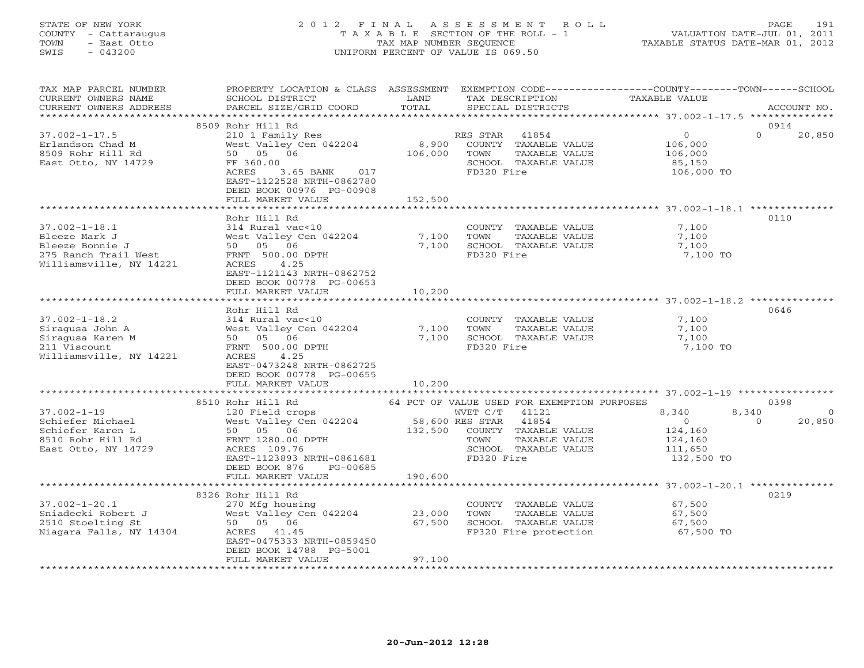# STATE OF NEW YORK 2 0 1 2 F I N A L A S S E S S M E N T R O L L PAGE 191 COUNTY - Cattaraugus T A X A B L E SECTION OF THE ROLL - 1 VALUATION DATE-JUL 01, 2011 TOWN - East Otto TAX MAP NUMBER SEQUENCE TAXABLE STATUS DATE-MAR 01, 2012 SWIS - 043200 UNIFORM PERCENT OF VALUE IS 069.50UNIFORM PERCENT OF VALUE IS 069.50

| TAX MAP PARCEL NUMBER<br>CURRENT OWNERS NAME<br>CURRENT OWNERS ADDRESS                                     | PROPERTY LOCATION & CLASS ASSESSMENT<br>SCHOOL DISTRICT<br>PARCEL SIZE/GRID COORD                                                                                                                   | LAND<br>TOTAL                                     | TAX DESCRIPTION<br>SPECIAL DISTRICTS                                                                                                                                                | EXEMPTION CODE-----------------COUNTY-------TOWN------SCHOOL<br>TAXABLE VALUE               | ACCOUNT NO.               |
|------------------------------------------------------------------------------------------------------------|-----------------------------------------------------------------------------------------------------------------------------------------------------------------------------------------------------|---------------------------------------------------|-------------------------------------------------------------------------------------------------------------------------------------------------------------------------------------|---------------------------------------------------------------------------------------------|---------------------------|
| **********************                                                                                     |                                                                                                                                                                                                     |                                                   |                                                                                                                                                                                     |                                                                                             |                           |
| $37.002 - 1 - 17.5$<br>Erlandson Chad M<br>8509 Rohr Hill Rd<br>East Otto, NY 14729                        | 8509 Rohr Hill Rd<br>210 1 Family Res<br>West Valley Cen 042204<br>50 05 06<br>FF 360.00<br>ACRES<br>3.65 BANK<br>017<br>EAST-1122528 NRTH-0862780<br>DEED BOOK 00976 PG-00908<br>FULL MARKET VALUE | 8,900<br>106,000<br>152,500                       | RES STAR<br>41854<br>COUNTY TAXABLE VALUE<br>TOWN<br>TAXABLE VALUE<br>SCHOOL TAXABLE VALUE<br>FD320 Fire                                                                            | $\circ$<br>$\Omega$<br>106,000<br>106,000<br>85,150<br>106,000 TO                           | 0914<br>20,850            |
|                                                                                                            |                                                                                                                                                                                                     |                                                   |                                                                                                                                                                                     |                                                                                             |                           |
| $37.002 - 1 - 18.1$<br>Bleeze Mark J<br>Bleeze Bonnie J<br>275 Ranch Trail West<br>Williamsville, NY 14221 | Rohr Hill Rd<br>314 Rural vac<10<br>West Valley Cen 042204<br>50 05 06<br>FRNT 500.00 DPTH<br>ACRES<br>4.25<br>EAST-1121143 NRTH-0862752<br>DEED BOOK 00778 PG-00653<br>FULL MARKET VALUE           | 7,100<br>7,100<br>10,200                          | COUNTY TAXABLE VALUE<br>TOWN<br>TAXABLE VALUE<br>SCHOOL TAXABLE VALUE<br>FD320 Fire                                                                                                 | 7,100<br>7,100<br>7,100<br>7,100 TO                                                         | 0110                      |
|                                                                                                            |                                                                                                                                                                                                     |                                                   |                                                                                                                                                                                     | ******************************** 37.002-1-18.2 **************                               |                           |
| $37.002 - 1 - 18.2$<br>Siraqusa John A<br>Siragusa Karen M<br>211 Viscount<br>Williamsville, NY 14221      | Rohr Hill Rd<br>314 Rural vac<10<br>West Valley Cen 042204<br>50 05 06<br>FRNT 500.00 DPTH<br>ACRES<br>4.25<br>EAST-0473248 NRTH-0862725<br>DEED BOOK 00778 PG-00655<br>FULL MARKET VALUE           | 7,100<br>7,100<br>10,200                          | COUNTY TAXABLE VALUE<br>TOWN<br>TAXABLE VALUE<br>SCHOOL TAXABLE VALUE<br>FD320 Fire                                                                                                 | 7,100<br>7,100<br>7,100<br>7,100 TO                                                         | 0646                      |
|                                                                                                            |                                                                                                                                                                                                     |                                                   |                                                                                                                                                                                     |                                                                                             |                           |
| $37.002 - 1 - 19$<br>Schiefer Michael<br>Schiefer Karen L<br>8510 Rohr Hill Rd<br>East Otto, NY 14729      | 8510 Rohr Hill Rd<br>120 Field crops<br>West Valley Cen 042204<br>50 05 06<br>FRNT 1280.00 DPTH<br>ACRES 109.76<br>EAST-1123893 NRTH-0861681<br>DEED BOOK 876<br>PG-00685<br>FULL MARKET VALUE      | 132,500<br>190,600                                | 64 PCT OF VALUE USED FOR EXEMPTION PURPOSES<br>WVET C/T<br>41121<br>58,600 RES STAR<br>41854<br>COUNTY TAXABLE VALUE<br>TAXABLE VALUE<br>TOWN<br>SCHOOL TAXABLE VALUE<br>FD320 Fire | 8,340<br>8,340<br>$\overline{0}$<br>$\Omega$<br>124,160<br>124,160<br>111,650<br>132,500 TO | 0398<br>$\circ$<br>20,850 |
|                                                                                                            | *************************                                                                                                                                                                           |                                                   |                                                                                                                                                                                     |                                                                                             |                           |
| $37.002 - 1 - 20.1$<br>Sniadecki Robert J<br>2510 Stoelting St<br>Niagara Falls, NY 14304                  | 8326 Rohr Hill Rd<br>270 Mfg housing<br>West Valley Cen 042204<br>50 05 06<br>ACRES 41.45<br>EAST-0475333 NRTH-0859450<br>DEED BOOK 14788 PG-5001<br>FULL MARKET VALUE                              | 23,000<br>67,500<br>97,100<br>******************* | COUNTY TAXABLE VALUE<br>TOWN<br>TAXABLE VALUE<br>SCHOOL TAXABLE VALUE<br>FP320 Fire protection                                                                                      | 67,500<br>67,500<br>67,500<br>67,500 TO                                                     | 0219                      |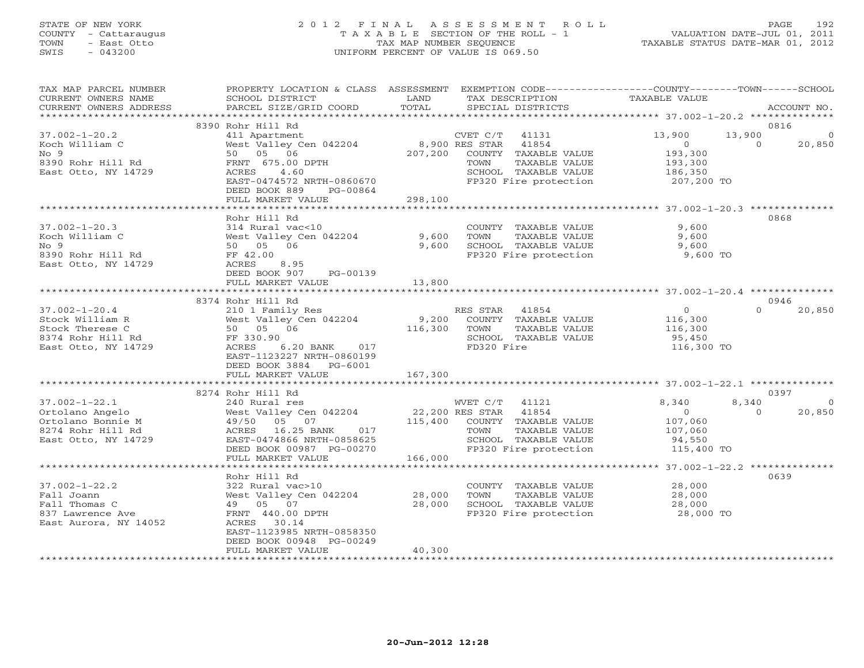# STATE OF NEW YORK 2 0 1 2 F I N A L A S S E S S M E N T R O L L PAGE 192 COUNTY - Cattaraugus T A X A B L E SECTION OF THE ROLL - 1 VALUATION DATE-JUL 01, 2011 TOWN - East Otto TAX MAP NUMBER SEQUENCE TAXABLE STATUS DATE-MAR 01, 2012 SWIS - 043200 UNIFORM PERCENT OF VALUE IS 069.50UNIFORM PERCENT OF VALUE IS 069.50

| TAX MAP PARCEL NUMBER<br>CURRENT OWNERS NAME<br>CURRENT OWNERS ADDRESS | PROPERTY LOCATION & CLASS ASSESSMENT EXEMPTION CODE---------------COUNTY-------TOWN------SCHOOL<br>SCHOOL DISTRICT<br><b>EXAMPLE THE STATE OF STATE</b><br>PARCEL SIZE/GRID COORD      | TOTAL   | TAX DESCRIPTION<br>SPECIAL DISTRICTS                                                     | TAXABLE VALUE                                    | ACCOUNT NO.    |
|------------------------------------------------------------------------|----------------------------------------------------------------------------------------------------------------------------------------------------------------------------------------|---------|------------------------------------------------------------------------------------------|--------------------------------------------------|----------------|
|                                                                        |                                                                                                                                                                                        |         |                                                                                          |                                                  |                |
|                                                                        | 8390 Rohr Hill Rd                                                                                                                                                                      |         |                                                                                          |                                                  | 0816           |
| $37.002 - 1 - 20.2$                                                    | EXERENT MANUSIC CONTRACT CONTRACT CONTRACT MANUSIC MANUSIC SERVICE THE MANUSIC STAR 41854<br>West Valley Cen 042204 8,900 RES STAR 41854<br>50 05 06 DOWN 207,200 COUNTY TAXABLE VALUE |         |                                                                                          | 13,900<br>13,900                                 |                |
| Koch William C                                                         |                                                                                                                                                                                        |         |                                                                                          | $\Omega$<br>$\overline{0}$                       | 20,850         |
| No <sub>9</sub>                                                        |                                                                                                                                                                                        |         |                                                                                          | 193,300<br>193,300                               |                |
| 8390 Rohr Hill Rd                                                      | FRNT 675.00 DPTH                                                                                                                                                                       |         | TAXABLE VALUE<br>TOWN                                                                    |                                                  |                |
| East Otto, NY 14729                                                    | ACRES 4.60                                                                                                                                                                             |         | SCHOOL TAXABLE VALUE                                                                     | 186,350<br>207,200 TO                            |                |
|                                                                        | EAST-0474572 NRTH-0860670                                                                                                                                                              |         | FP320 Fire protection                                                                    |                                                  |                |
|                                                                        | DEED BOOK 889<br>PG-00864                                                                                                                                                              |         |                                                                                          |                                                  |                |
|                                                                        | FULL MARKET VALUE                                                                                                                                                                      | 298,100 |                                                                                          |                                                  |                |
|                                                                        |                                                                                                                                                                                        |         |                                                                                          |                                                  |                |
|                                                                        | Rohr Hill Rd                                                                                                                                                                           |         |                                                                                          |                                                  | 0868           |
| $37.002 - 1 - 20.3$                                                    | 314 Rural vac<10                                                                                                                                                                       |         | COUNTY TAXABLE VALUE                                                                     | 9,600                                            |                |
| Koch William C                                                         | West Valley Cen 042204 9,600                                                                                                                                                           |         | TAXABLE VALUE<br>TOWN                                                                    | $9,600$<br>$9,600$                               |                |
| No <sub>9</sub><br>8390 Rohr Hill Rd                                   | 50 05 06                                                                                                                                                                               | 9,600   | SCHOOL TAXABLE VALUE<br>FP320 Fire protection 5,600 TO                                   |                                                  |                |
| East Otto, NY 14729                                                    | FF 42.00<br>ACRES<br>ACRES 8.95                                                                                                                                                        |         |                                                                                          |                                                  |                |
|                                                                        | DEED BOOK 907<br>PG-00139                                                                                                                                                              |         |                                                                                          |                                                  |                |
|                                                                        | FULL MARKET VALUE                                                                                                                                                                      | 13,800  |                                                                                          |                                                  |                |
|                                                                        |                                                                                                                                                                                        |         |                                                                                          |                                                  |                |
|                                                                        | 8374 Rohr Hill Rd                                                                                                                                                                      |         |                                                                                          |                                                  | 0946           |
| $37.002 - 1 - 20.4$                                                    | ES STAR 41004<br>210 1 Family Res RES STAR 41004<br>West Valley Cen 042204 9,200 COUNTY TAXABLE VALUE<br>50 05 06 116,300 TOWN TAXABLE VALUE<br>SCHOOL TAXABLE VALUE                   |         |                                                                                          | $\overline{0}$<br>$\Omega$                       | 20,850         |
| Stock William R                                                        |                                                                                                                                                                                        |         |                                                                                          |                                                  |                |
| Stock Therese C                                                        |                                                                                                                                                                                        |         |                                                                                          | 116,300<br>116,300                               |                |
| West Valley<br>50 05 06<br>-- 330.90<br>8374 Rohr Hill Rd<br>F 330.90  |                                                                                                                                                                                        |         |                                                                                          | 95,450                                           |                |
| East Otto, NY 14729                                                    | 6.20 BANK 017<br>ACRES                                                                                                                                                                 |         | FD320 Fire                                                                               | 116,300 TO                                       |                |
|                                                                        | EAST-1123227 NRTH-0860199                                                                                                                                                              |         |                                                                                          |                                                  |                |
|                                                                        | DEED BOOK 3884 PG-6001                                                                                                                                                                 |         |                                                                                          |                                                  |                |
|                                                                        | FULL MARKET VALUE                                                                                                                                                                      | 167,300 |                                                                                          |                                                  |                |
|                                                                        |                                                                                                                                                                                        |         |                                                                                          |                                                  |                |
|                                                                        | 8274 Rohr Hill Rd                                                                                                                                                                      |         |                                                                                          |                                                  | 0397           |
| $37.002 - 1 - 22.1$                                                    | ----- ---- ---<br>240 Rural res<br>West Valley Cen 042204                                                                                                                              |         | WVET C/T 41121<br>22,200 RES STAR 41854<br>WVET $C/T$ 41121                              | 8,340<br>8,340                                   | $\overline{0}$ |
|                                                                        |                                                                                                                                                                                        |         |                                                                                          | $\sim$ 0<br>$\cap$                               | 20,850         |
| Ortolano Angelo<br>Ortolano Bonnie M<br>8274 Rohr Hill Rd              | 49/50 05 07                                                                                                                                                                            |         | 115,400 COUNTY TAXABLE VALUE                                                             | 107,060<br>107,060                               |                |
|                                                                        | A9/50 US US<br>ACRES 16.25 BANK 017                                                                                                                                                    |         | TAXABLE VALUE<br>TOWN                                                                    |                                                  |                |
| East Otto, NY 14729                                                    | EAST-0474866 NRTH-0858625                                                                                                                                                              |         |                                                                                          |                                                  |                |
|                                                                        | DEED BOOK 00987 PG-00270                                                                                                                                                               |         | TOWN Innumer<br>SCHOOL TAXABLE VALUE 94, 990<br>TRANGE OF THE MERCING SUBSET 115, 400 TO |                                                  |                |
|                                                                        | FULL MARKET VALUE                                                                                                                                                                      | 166,000 |                                                                                          | ****************** 37.002-1-22.2 *************** |                |
|                                                                        | Rohr Hill Rd                                                                                                                                                                           |         |                                                                                          |                                                  | 0639           |
| $37.002 - 1 - 22.2$                                                    | 322 Rural vac>10                                                                                                                                                                       |         | COUNTY TAXABLE VALUE                                                                     |                                                  |                |
| Fall Joann                                                             | West Valley Cen 042204                                                                                                                                                                 | 28,000  | TAXABLE VALUE<br>TOWN                                                                    | 28,000<br>28,000                                 |                |
| Fall Thomas C                                                          | 49 05 07                                                                                                                                                                               | 28,000  |                                                                                          | 28,000                                           |                |
| 837 Lawrence Ave                                                       | FRNT 440.00 DPTH                                                                                                                                                                       |         | SCHOOL TAXABLE VALUE<br>FP320 Fire protection                                            | 28,000 TO                                        |                |
| East Aurora, NY 14052                                                  | ACRES 30.14                                                                                                                                                                            |         |                                                                                          |                                                  |                |
|                                                                        | EAST-1123985 NRTH-0858350                                                                                                                                                              |         |                                                                                          |                                                  |                |
|                                                                        | DEED BOOK 00948 PG-00249                                                                                                                                                               |         |                                                                                          |                                                  |                |
|                                                                        | FULL MARKET VALUE                                                                                                                                                                      | 40,300  |                                                                                          |                                                  |                |
|                                                                        |                                                                                                                                                                                        |         |                                                                                          |                                                  |                |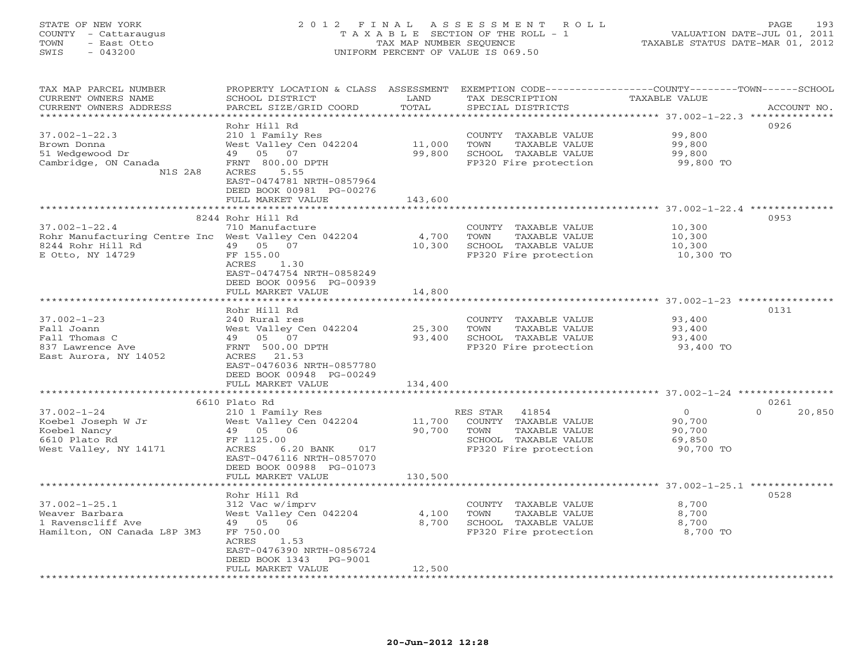# STATE OF NEW YORK 2 0 1 2 F I N A L A S S E S S M E N T R O L L PAGE 193 COUNTY - Cattaraugus T A X A B L E SECTION OF THE ROLL - 1 VALUATION DATE-JUL 01, 2011 TOWN - East Otto TAX MAP NUMBER SEQUENCE TAXABLE STATUS DATE-MAR 01, 2012 SWIS - 043200 UNIFORM PERCENT OF VALUE IS 069.50UNIFORM PERCENT OF VALUE IS 069.50

| TAX MAP PARCEL NUMBER                                | PROPERTY LOCATION & CLASS ASSESSMENT |            |                       | EXEMPTION CODE-----------------COUNTY-------TOWN------SCHOOL |                    |
|------------------------------------------------------|--------------------------------------|------------|-----------------------|--------------------------------------------------------------|--------------------|
| CURRENT OWNERS NAME                                  | SCHOOL DISTRICT                      | LAND       | TAX DESCRIPTION       | TAXABLE VALUE                                                |                    |
| CURRENT OWNERS ADDRESS                               | PARCEL SIZE/GRID COORD               | TOTAL      | SPECIAL DISTRICTS     |                                                              | ACCOUNT NO.        |
|                                                      |                                      |            |                       | ***************** 37.002-1-22.3 **************               |                    |
|                                                      | Rohr Hill Rd                         |            |                       |                                                              | 0926               |
| $37.002 - 1 - 22.3$                                  | 210 1 Family Res                     |            | COUNTY TAXABLE VALUE  | 99,800                                                       |                    |
| Brown Donna                                          | West Valley Cen 042204               | 11,000     | TOWN<br>TAXABLE VALUE | 99,800                                                       |                    |
| 51 Wedgewood Dr                                      | 49 05 07                             | 99,800     | SCHOOL TAXABLE VALUE  | 99,800                                                       |                    |
| Cambridge, ON Canada                                 | FRNT 800.00 DPTH                     |            | FP320 Fire protection | 99,800 TO                                                    |                    |
| N1S 2A8                                              | ACRES<br>5.55                        |            |                       |                                                              |                    |
|                                                      | EAST-0474781 NRTH-0857964            |            |                       |                                                              |                    |
|                                                      | DEED BOOK 00981 PG-00276             |            |                       |                                                              |                    |
|                                                      |                                      |            |                       |                                                              |                    |
|                                                      | FULL MARKET VALUE                    | 143,600    |                       |                                                              |                    |
|                                                      |                                      |            |                       |                                                              |                    |
|                                                      | 8244 Rohr Hill Rd                    |            |                       |                                                              | 0953               |
| $37.002 - 1 - 22.4$                                  | 710 Manufacture                      |            | COUNTY TAXABLE VALUE  | 10,300                                                       |                    |
| Rohr Manufacturing Centre Inc West Valley Cen 042204 |                                      | 4,700      | TAXABLE VALUE<br>TOWN | 10,300                                                       |                    |
| 8244 Rohr Hill Rd                                    | 49 05 07                             | 10,300     | SCHOOL TAXABLE VALUE  | 10,300                                                       |                    |
| E Otto, NY 14729                                     | FF 155.00                            |            | FP320 Fire protection | 10,300 TO                                                    |                    |
|                                                      | ACRES<br>1.30                        |            |                       |                                                              |                    |
|                                                      | EAST-0474754 NRTH-0858249            |            |                       |                                                              |                    |
|                                                      | DEED BOOK 00956 PG-00939             |            |                       |                                                              |                    |
|                                                      | FULL MARKET VALUE                    | 14,800     |                       |                                                              |                    |
|                                                      |                                      | ********** |                       | ********************************* 37.002-1-23 *********      |                    |
|                                                      | Rohr Hill Rd                         |            |                       |                                                              | 0131               |
| $37.002 - 1 - 23$                                    | 240 Rural res                        |            | COUNTY TAXABLE VALUE  | 93,400                                                       |                    |
| Fall Joann                                           | West Valley Cen 042204               | 25,300     | TAXABLE VALUE<br>TOWN | 93,400                                                       |                    |
| Fall Thomas C                                        | 49 05 07                             | 93,400     | SCHOOL TAXABLE VALUE  | 93,400                                                       |                    |
| 837 Lawrence Ave                                     | FRNT 500.00 DPTH                     |            | FP320 Fire protection | 93,400 TO                                                    |                    |
| East Aurora, NY 14052                                | ACRES 21.53                          |            |                       |                                                              |                    |
|                                                      | EAST-0476036 NRTH-0857780            |            |                       |                                                              |                    |
|                                                      | DEED BOOK 00948 PG-00249             |            |                       |                                                              |                    |
|                                                      | FULL MARKET VALUE                    | 134,400    |                       |                                                              |                    |
|                                                      |                                      |            |                       |                                                              |                    |
|                                                      | 6610 Plato Rd                        |            |                       |                                                              | 0261               |
| $37.002 - 1 - 24$                                    | 210 1 Family Res                     |            | RES STAR 41854        | $\overline{O}$                                               | $\Omega$<br>20,850 |
| Koebel Joseph W Jr                                   | West Valley Cen 042204               | 11,700     | COUNTY TAXABLE VALUE  | 90,700                                                       |                    |
| Koebel Nancy                                         | 49 05 06                             | 90,700     | TOWN<br>TAXABLE VALUE | 90,700                                                       |                    |
| 6610 Plato Rd                                        | FF 1125.00                           |            | SCHOOL TAXABLE VALUE  | 69,850                                                       |                    |
|                                                      |                                      |            |                       |                                                              |                    |
| West Valley, NY 14171                                | ACRES<br>6.20 BANK 017               |            | FP320 Fire protection | 90,700 TO                                                    |                    |
|                                                      | EAST-0476116 NRTH-0857070            |            |                       |                                                              |                    |
|                                                      | DEED BOOK 00988 PG-01073             |            |                       |                                                              |                    |
|                                                      | FULL MARKET VALUE                    | 130,500    |                       |                                                              |                    |
|                                                      |                                      |            |                       |                                                              |                    |
|                                                      | Rohr Hill Rd                         |            |                       |                                                              | 0528               |
| $37.002 - 1 - 25.1$                                  | 312 Vac w/imprv                      |            | COUNTY TAXABLE VALUE  | 8,700                                                        |                    |
| Weaver Barbara                                       | West Valley Cen 042204               | 4,100      | TOWN<br>TAXABLE VALUE | 8,700                                                        |                    |
| 1 Ravenscliff Ave                                    | 49 05 06                             | 8,700      | SCHOOL TAXABLE VALUE  | 8,700                                                        |                    |
| Hamilton, ON Canada L8P 3M3                          | FF 750.00                            |            | FP320 Fire protection | 8,700 TO                                                     |                    |
|                                                      | ACRES<br>1.53                        |            |                       |                                                              |                    |
|                                                      | EAST-0476390 NRTH-0856724            |            |                       |                                                              |                    |
|                                                      | DEED BOOK 1343<br>PG-9001            |            |                       |                                                              |                    |
|                                                      | FULL MARKET VALUE                    | 12,500     |                       |                                                              |                    |
|                                                      |                                      |            |                       |                                                              |                    |
|                                                      |                                      |            |                       |                                                              |                    |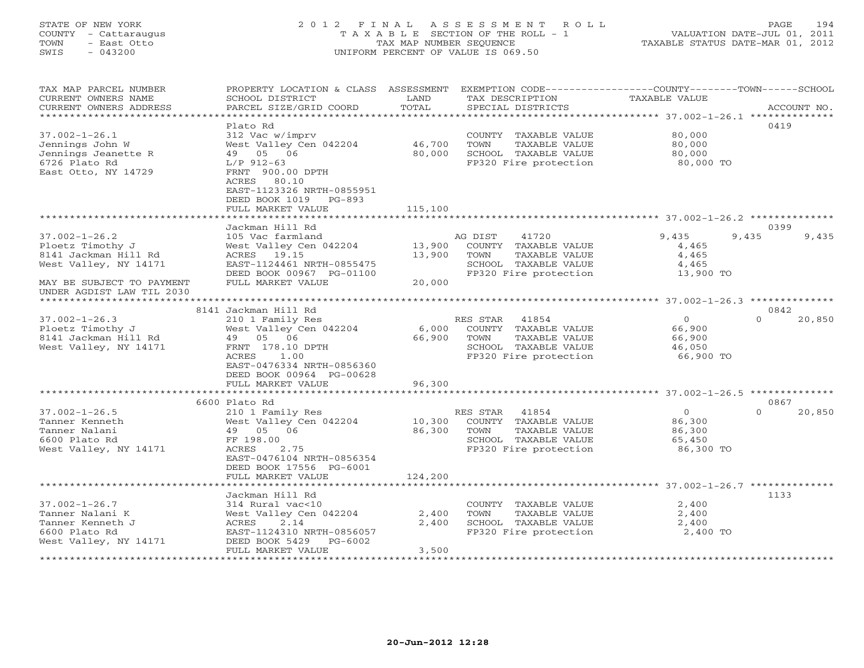# STATE OF NEW YORK 2 0 1 2 F I N A L A S S E S S M E N T R O L L PAGE 194 COUNTY - Cattaraugus T A X A B L E SECTION OF THE ROLL - 1 VALUATION DATE-JUL 01, 2011 TOWN - East Otto TAX MAP NUMBER SEQUENCE TAXABLE STATUS DATE-MAR 01, 2012 SWIS - 043200 UNIFORM PERCENT OF VALUE IS 069.50UNIFORM PERCENT OF VALUE IS 069.50

| TAX MAP PARCEL NUMBER<br>CURRENT OWNERS NAME<br>CURRENT OWNERS ADDRESS | PROPERTY LOCATION & CLASS ASSESSMENT<br>SCHOOL DISTRICT<br>PARCEL SIZE/GRID COORD | LAND<br>TOTAL             | EXEMPTION CODE-----------------COUNTY-------TOWN------SCHOOL<br>TAX DESCRIPTION<br>SPECIAL DISTRICTS | TAXABLE VALUE                                               | ACCOUNT NO.        |
|------------------------------------------------------------------------|-----------------------------------------------------------------------------------|---------------------------|------------------------------------------------------------------------------------------------------|-------------------------------------------------------------|--------------------|
| *************************                                              |                                                                                   |                           |                                                                                                      |                                                             |                    |
|                                                                        | Plato Rd                                                                          |                           |                                                                                                      |                                                             | 0419               |
| $37.002 - 1 - 26.1$                                                    | 312 Vac w/imprv                                                                   |                           | COUNTY TAXABLE VALUE                                                                                 | 80,000                                                      |                    |
| Jennings John W                                                        | West Valley Cen 042204                                                            | 46,700                    | TOWN<br>TAXABLE VALUE                                                                                | 80,000                                                      |                    |
| Jennings Jeanette R                                                    | 05 06<br>49                                                                       | 80,000                    | SCHOOL TAXABLE VALUE                                                                                 | 80,000                                                      |                    |
| 6726 Plato Rd                                                          | $L/P$ 912-63                                                                      |                           | FP320 Fire protection                                                                                | 80,000 TO                                                   |                    |
| East Otto, NY 14729                                                    | FRNT 900.00 DPTH                                                                  |                           |                                                                                                      |                                                             |                    |
|                                                                        | ACRES<br>80.10<br>EAST-1123326 NRTH-0855951                                       |                           |                                                                                                      |                                                             |                    |
|                                                                        | DEED BOOK 1019<br>$PG-893$                                                        |                           |                                                                                                      |                                                             |                    |
|                                                                        | FULL MARKET VALUE                                                                 | 115,100                   |                                                                                                      |                                                             |                    |
|                                                                        |                                                                                   |                           |                                                                                                      | ****************************** 37.002-1-26.2 ************** |                    |
|                                                                        | Jackman Hill Rd                                                                   |                           |                                                                                                      |                                                             | 0399               |
| $37.002 - 1 - 26.2$                                                    | 105 Vac farmland                                                                  |                           | 41720<br>AG DIST                                                                                     | 9,435                                                       | 9,435<br>9,435     |
| Ploetz Timothy J                                                       | West Valley Cen 042204                                                            | 13,900                    | COUNTY TAXABLE VALUE                                                                                 | 4,465                                                       |                    |
| 8141 Jackman Hill Rd                                                   | ACRES<br>19.15                                                                    | 13,900                    | TOWN<br>TAXABLE VALUE                                                                                | 4,465                                                       |                    |
| West Valley, NY 14171                                                  | EAST-1124461 NRTH-0855475                                                         |                           | SCHOOL TAXABLE VALUE                                                                                 | 4,465                                                       |                    |
|                                                                        | DEED BOOK 00967 PG-01100                                                          |                           | FP320 Fire protection                                                                                | 13,900 TO                                                   |                    |
| MAY BE SUBJECT TO PAYMENT                                              | FULL MARKET VALUE                                                                 | 20,000                    |                                                                                                      |                                                             |                    |
| UNDER AGDIST LAW TIL 2030                                              |                                                                                   |                           |                                                                                                      |                                                             |                    |
|                                                                        |                                                                                   |                           |                                                                                                      |                                                             |                    |
|                                                                        | 8141 Jackman Hill Rd                                                              |                           |                                                                                                      |                                                             | 0842               |
| $37.002 - 1 - 26.3$                                                    | 210 1 Family Res                                                                  |                           | RES STAR<br>41854                                                                                    | $\mathbf{O}$                                                | $\Omega$<br>20,850 |
| Ploetz Timothy J                                                       | West Valley Cen 042204                                                            | 6,000                     | COUNTY TAXABLE VALUE                                                                                 | 66,900                                                      |                    |
| 8141 Jackman Hill Rd                                                   | 49 05 06                                                                          | 66,900                    | TOWN<br>TAXABLE VALUE                                                                                | 66,900                                                      |                    |
| West Valley, NY 14171                                                  | FRNT 178.10 DPTH                                                                  |                           | SCHOOL TAXABLE VALUE                                                                                 | 46,050                                                      |                    |
|                                                                        | ACRES<br>1.00                                                                     |                           | FP320 Fire protection                                                                                | 66,900 TO                                                   |                    |
|                                                                        | EAST-0476334 NRTH-0856360                                                         |                           |                                                                                                      |                                                             |                    |
|                                                                        | DEED BOOK 00964 PG-00628                                                          |                           |                                                                                                      |                                                             |                    |
|                                                                        | FULL MARKET VALUE<br>************************                                     | 96,300                    |                                                                                                      |                                                             |                    |
|                                                                        | 6600 Plato Rd                                                                     |                           |                                                                                                      |                                                             | 0867               |
| $37.002 - 1 - 26.5$                                                    | 210 1 Family Res                                                                  |                           | RES STAR<br>41854                                                                                    | $\circ$                                                     | $\Omega$<br>20,850 |
| Tanner Kenneth                                                         | West Valley Cen 042204                                                            | 10,300                    | COUNTY TAXABLE VALUE                                                                                 | 86,300                                                      |                    |
| Tanner Nalani                                                          | 49 05 06                                                                          | 86,300                    | TOWN<br>TAXABLE VALUE                                                                                | 86,300                                                      |                    |
| 6600 Plato Rd                                                          | FF 198.00                                                                         |                           | SCHOOL TAXABLE VALUE                                                                                 | 65,450                                                      |                    |
| West Valley, NY 14171                                                  | ACRES<br>2.75                                                                     |                           | FP320 Fire protection                                                                                | 86,300 TO                                                   |                    |
|                                                                        | EAST-0476104 NRTH-0856354                                                         |                           |                                                                                                      |                                                             |                    |
|                                                                        | DEED BOOK 17556 PG-6001                                                           |                           |                                                                                                      |                                                             |                    |
|                                                                        | FULL MARKET VALUE                                                                 | 124,200                   |                                                                                                      |                                                             |                    |
|                                                                        | * * * * * * * * * * * *                                                           |                           |                                                                                                      | ***** 37.002-1-26.7 **********                              |                    |
|                                                                        | Jackman Hill Rd                                                                   |                           |                                                                                                      |                                                             | 1133               |
| $37.002 - 1 - 26.7$                                                    | 314 Rural vac<10                                                                  |                           | COUNTY TAXABLE VALUE                                                                                 | 2,400                                                       |                    |
| Tanner Nalani K                                                        | West Valley Cen 042204                                                            | 2,400                     | TOWN<br>TAXABLE VALUE                                                                                | 2,400                                                       |                    |
| Tanner Kenneth J                                                       | ACRES<br>2.14                                                                     | 2,400                     | SCHOOL TAXABLE VALUE                                                                                 | 2,400                                                       |                    |
| 6600 Plato Rd                                                          | EAST-1124310 NRTH-0856057                                                         |                           | FP320 Fire protection                                                                                | 2,400 TO                                                    |                    |
| West Valley, NY 14171                                                  | DEED BOOK 5429<br>PG-6002                                                         |                           |                                                                                                      |                                                             |                    |
|                                                                        | FULL MARKET VALUE                                                                 | 3,500<br>**************** |                                                                                                      |                                                             |                    |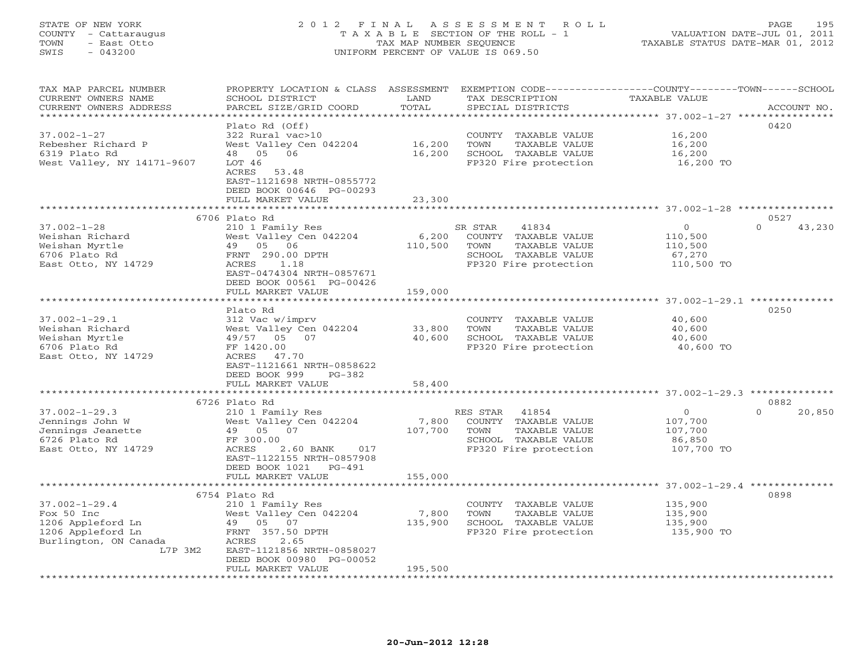# STATE OF NEW YORK 2 0 1 2 F I N A L A S S E S S M E N T R O L L PAGE 195 COUNTY - Cattaraugus T A X A B L E SECTION OF THE ROLL - 1 VALUATION DATE-JUL 01, 2011 TOWN - East Otto TAX MAP NUMBER SEQUENCE TAXABLE STATUS DATE-MAR 01, 2012 SWIS - 043200 UNIFORM PERCENT OF VALUE IS 069.50UNIFORM PERCENT OF VALUE IS 069.50

| TAX MAP PARCEL NUMBER<br>CURRENT OWNERS NAME<br>CURRENT OWNERS ADDRESS | PROPERTY LOCATION & CLASS ASSESSMENT<br>SCHOOL DISTRICT<br>PARCEL SIZE/GRID COORD | LAND<br>TOTAL    | EXEMPTION CODE-----------------COUNTY-------TOWN------SCHOOL<br>TAX DESCRIPTION<br>SPECIAL DISTRICTS | TAXABLE VALUE | ACCOUNT NO.        |
|------------------------------------------------------------------------|-----------------------------------------------------------------------------------|------------------|------------------------------------------------------------------------------------------------------|---------------|--------------------|
| *********************                                                  | ***********************                                                           |                  |                                                                                                      |               |                    |
|                                                                        | Plato Rd (Off)                                                                    |                  |                                                                                                      |               | 0420               |
| $37.002 - 1 - 27$                                                      | 322 Rural vac>10                                                                  |                  | COUNTY TAXABLE VALUE                                                                                 | 16,200        |                    |
| Rebesher Richard P                                                     |                                                                                   |                  |                                                                                                      |               |                    |
|                                                                        | West Valley Cen 042204                                                            | 16,200           | TOWN<br>TAXABLE VALUE                                                                                | 16,200        |                    |
| 6319 Plato Rd                                                          | 48  05  06                                                                        | 16,200           | SCHOOL TAXABLE VALUE                                                                                 | 16,200        |                    |
| West Valley, NY 14171-9607                                             | LOT 46                                                                            |                  | FP320 Fire protection                                                                                | 16,200 TO     |                    |
|                                                                        | ACRES<br>53.48                                                                    |                  |                                                                                                      |               |                    |
|                                                                        | EAST-1121698 NRTH-0855772                                                         |                  |                                                                                                      |               |                    |
|                                                                        | DEED BOOK 00646 PG-00293                                                          |                  |                                                                                                      |               |                    |
|                                                                        | FULL MARKET VALUE                                                                 | 23,300           |                                                                                                      |               |                    |
|                                                                        |                                                                                   |                  |                                                                                                      |               |                    |
|                                                                        | 6706 Plato Rd                                                                     |                  |                                                                                                      |               | 0527               |
| $37.002 - 1 - 28$                                                      | 210 1 Family Res                                                                  |                  | SR STAR<br>41834                                                                                     | $\circ$       | $\Omega$<br>43,230 |
| Weishan Richard                                                        | West Valley Cen 042204                                                            | 6,200            | COUNTY TAXABLE VALUE                                                                                 | 110,500       |                    |
| Weishan Myrtle                                                         | 49 05 06                                                                          | 110,500          | TOWN<br>TAXABLE VALUE                                                                                | 110,500       |                    |
| 6706 Plato Rd                                                          | FRNT 290.00 DPTH                                                                  |                  | SCHOOL TAXABLE VALUE                                                                                 | 67,270        |                    |
| East Otto, NY 14729                                                    | 1.18<br>ACRES                                                                     |                  | FP320 Fire protection                                                                                | 110,500 TO    |                    |
|                                                                        | EAST-0474304 NRTH-0857671                                                         |                  |                                                                                                      |               |                    |
|                                                                        | DEED BOOK 00561 PG-00426                                                          |                  |                                                                                                      |               |                    |
|                                                                        | FULL MARKET VALUE                                                                 | 159,000          |                                                                                                      |               |                    |
|                                                                        |                                                                                   |                  |                                                                                                      |               |                    |
|                                                                        | Plato Rd                                                                          |                  |                                                                                                      |               | 0250               |
|                                                                        |                                                                                   |                  |                                                                                                      |               |                    |
| $37.002 - 1 - 29.1$                                                    | 312 Vac w/imprv                                                                   |                  | COUNTY TAXABLE VALUE                                                                                 | 40,600        |                    |
| Weishan Richard                                                        | West Valley Cen 042204                                                            | 33,800           | TOWN<br>TAXABLE VALUE                                                                                | 40,600        |                    |
| Weishan Myrtle                                                         | 49/57 05<br>07                                                                    | 40,600           | SCHOOL TAXABLE VALUE                                                                                 | 40,600        |                    |
| 6706 Plato Rd                                                          | FF 1420.00                                                                        |                  | FP320 Fire protection                                                                                | 40,600 TO     |                    |
| East Otto, NY 14729                                                    | ACRES<br>47.70                                                                    |                  |                                                                                                      |               |                    |
|                                                                        | EAST-1121661 NRTH-0858622                                                         |                  |                                                                                                      |               |                    |
|                                                                        | DEED BOOK 999<br>PG-382                                                           |                  |                                                                                                      |               |                    |
|                                                                        | FULL MARKET VALUE                                                                 | 58,400           |                                                                                                      |               |                    |
|                                                                        |                                                                                   | **************** |                                                                                                      |               |                    |
|                                                                        | 6726 Plato Rd                                                                     |                  |                                                                                                      |               | 0882               |
| $37.002 - 1 - 29.3$                                                    | 210 1 Family Res                                                                  |                  | RES STAR<br>41854                                                                                    | $\circ$       | 20,850<br>$\Omega$ |
| Jennings John W                                                        | West Valley Cen 042204                                                            | 7,800            | COUNTY TAXABLE VALUE                                                                                 | 107,700       |                    |
| Jennings Jeanette                                                      | 49 05 07                                                                          | 107,700          | TOWN<br>TAXABLE VALUE                                                                                | 107,700       |                    |
| 6726 Plato Rd                                                          | FF 300.00                                                                         |                  | SCHOOL TAXABLE VALUE                                                                                 | 86,850        |                    |
| East Otto, NY 14729                                                    | ACRES<br>2.60 BANK<br>017                                                         |                  | FP320 Fire protection                                                                                | 107,700 TO    |                    |
|                                                                        | EAST-1122155 NRTH-0857908                                                         |                  |                                                                                                      |               |                    |
|                                                                        | DEED BOOK 1021<br>PG-491                                                          |                  |                                                                                                      |               |                    |
|                                                                        | FULL MARKET VALUE                                                                 | 155,000          |                                                                                                      |               |                    |
|                                                                        |                                                                                   |                  |                                                                                                      |               |                    |
|                                                                        | 6754 Plato Rd                                                                     |                  |                                                                                                      |               | 0898               |
| $37.002 - 1 - 29.4$                                                    | 210 1 Family Res                                                                  |                  | COUNTY TAXABLE VALUE                                                                                 | 135,900       |                    |
| Fox 50 Inc                                                             | West Valley Cen 042204                                                            | 7,800            | TOWN<br>TAXABLE VALUE                                                                                | 135,900       |                    |
| 1206 Appleford Ln                                                      | 49 05 07                                                                          | 135,900          | SCHOOL TAXABLE VALUE                                                                                 | 135,900       |                    |
| 1206 Appleford Ln                                                      | FRNT 357.50 DPTH                                                                  |                  | FP320 Fire protection                                                                                | 135,900 TO    |                    |
| Burlington, ON Canada                                                  | ACRES<br>2.65                                                                     |                  |                                                                                                      |               |                    |
| L7P 3M2                                                                | EAST-1121856 NRTH-0858027                                                         |                  |                                                                                                      |               |                    |
|                                                                        | DEED BOOK 00980 PG-00052                                                          |                  |                                                                                                      |               |                    |
|                                                                        | FULL MARKET VALUE                                                                 | 195,500          |                                                                                                      |               |                    |
|                                                                        | *****************                                                                 |                  |                                                                                                      |               |                    |
|                                                                        |                                                                                   |                  |                                                                                                      |               |                    |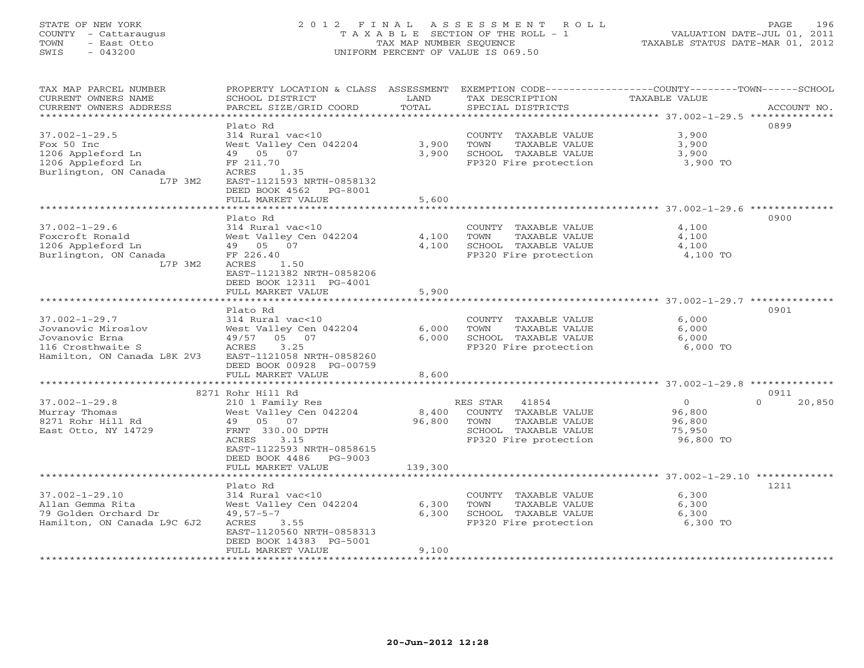# STATE OF NEW YORK 2 0 1 2 F I N A L A S S E S S M E N T R O L L PAGE 196 COUNTY - Cattaraugus T A X A B L E SECTION OF THE ROLL - 1 VALUATION DATE-JUL 01, 2011 TOWN - East Otto TAX MAP NUMBER SEQUENCE TAXABLE STATUS DATE-MAR 01, 2012 SWIS - 043200 UNIFORM PERCENT OF VALUE IS 069.50UNIFORM PERCENT OF VALUE IS 069.50

| TAX MAP PARCEL NUMBER<br>CURRENT OWNERS NAME<br>CURRENT OWNERS ADDRESS                                          | PROPERTY LOCATION & CLASS ASSESSMENT<br>SCHOOL DISTRICT<br>PARCEL SIZE/GRID COORD                                                                                                                | LAND<br>TOTAL                        | TAX DESCRIPTION<br>SPECIAL DISTRICTS                                                                                | EXEMPTION CODE-----------------COUNTY-------TOWN------SCHOOL<br><b>TAXABLE VALUE</b><br>ACCOUNT NO. |
|-----------------------------------------------------------------------------------------------------------------|--------------------------------------------------------------------------------------------------------------------------------------------------------------------------------------------------|--------------------------------------|---------------------------------------------------------------------------------------------------------------------|-----------------------------------------------------------------------------------------------------|
| $37.002 - 1 - 29.5$<br>Fox 50 Inc<br>1206 Appleford Ln<br>1206 Appleford Ln<br>Burlington, ON Canada<br>L7P 3M2 | Plato Rd<br>314 Rural vac<10<br>West Valley Cen 042204<br>49 05 07<br>FF 211.70<br>ACRES<br>1.35<br>EAST-1121593 NRTH-0858132<br>DEED BOOK 4562<br>PG-8001<br>FULL MARKET VALUE                  | 3,900<br>3,900<br>5,600              | COUNTY TAXABLE VALUE<br>TOWN<br>TAXABLE VALUE<br>SCHOOL TAXABLE VALUE<br>FP320 Fire protection                      | 0899<br>3,900<br>3,900<br>3,900<br>3,900 TO                                                         |
|                                                                                                                 | *************************                                                                                                                                                                        |                                      |                                                                                                                     |                                                                                                     |
| $37.002 - 1 - 29.6$<br>Foxcroft Ronald<br>1206 Appleford Ln<br>Burlington, ON Canada<br>L7P 3M2                 | Plato Rd<br>314 Rural vac<10<br>West Valley Cen 042204<br>49 05 07<br>FF 226.40<br>1.50<br>ACRES<br>EAST-1121382 NRTH-0858206<br>DEED BOOK 12311 PG-4001                                         | 4,100<br>4,100                       | COUNTY TAXABLE VALUE<br>TOWN<br>TAXABLE VALUE<br>SCHOOL TAXABLE VALUE<br>FP320 Fire protection                      | 0900<br>4,100<br>4,100<br>4,100<br>4,100 TO                                                         |
|                                                                                                                 | FULL MARKET VALUE                                                                                                                                                                                | 5,900                                |                                                                                                                     |                                                                                                     |
|                                                                                                                 |                                                                                                                                                                                                  |                                      |                                                                                                                     |                                                                                                     |
| $37.002 - 1 - 29.7$<br>Jovanovic Miroslov<br>Jovanovic Erna<br>116 Crosthwaite S<br>Hamilton, ON Canada L8K 2V3 | Plato Rd<br>314 Rural vac<10<br>West Valley Cen 042204<br>49/57<br>05 07<br>3.25<br>ACRES<br>EAST-1121058 NRTH-0858260<br>DEED BOOK 00928 PG-00759<br>FULL MARKET VALUE<br>********************* | 6,000<br>6,000<br>8,600<br>********* | COUNTY TAXABLE VALUE<br>TAXABLE VALUE<br>TOWN<br>SCHOOL TAXABLE VALUE<br>FP320 Fire protection                      | 0901<br>6,000<br>6,000<br>6,000<br>6,000 TO                                                         |
|                                                                                                                 | 8271 Rohr Hill Rd                                                                                                                                                                                |                                      |                                                                                                                     | ******************************* 37.002-1-29.8 **************<br>0911                                |
| $37.002 - 1 - 29.8$<br>Murray Thomas<br>8271 Rohr Hill Rd<br>East Otto, NY 14729                                | 210 1 Family Res<br>West Valley Cen 042204<br>49 05 07<br>FRNT 330.00 DPTH<br>3.15<br>ACRES<br>EAST-1122593 NRTH-0858615<br>DEED BOOK 4486<br>$PG-9003$<br>FULL MARKET VALUE                     | 8,400<br>96,800<br>139,300           | RES STAR<br>41854<br>COUNTY TAXABLE VALUE<br>TOWN<br>TAXABLE VALUE<br>SCHOOL TAXABLE VALUE<br>FP320 Fire protection | $\circ$<br>$\Omega$<br>20,850<br>96,800<br>96,800<br>75,950<br>96,800 TO                            |
|                                                                                                                 | *************************                                                                                                                                                                        |                                      |                                                                                                                     |                                                                                                     |
| $37.002 - 1 - 29.10$<br>Allan Gemma Rita<br>79 Golden Orchard Dr<br>Hamilton, ON Canada L9C 6J2                 | Plato Rd<br>314 Rural vac<10<br>West Valley Cen 042204<br>$49,57-5-7$<br>ACRES<br>3.55<br>EAST-1120560 NRTH-0858313<br>DEED BOOK 14383 PG-5001<br>FULL MARKET VALUE                              | 6,300<br>6,300<br>9,100              | COUNTY TAXABLE VALUE<br>TOWN<br>TAXABLE VALUE<br>SCHOOL TAXABLE VALUE<br>FP320 Fire protection                      | 1211<br>6,300<br>6,300<br>6,300<br>6,300 TO                                                         |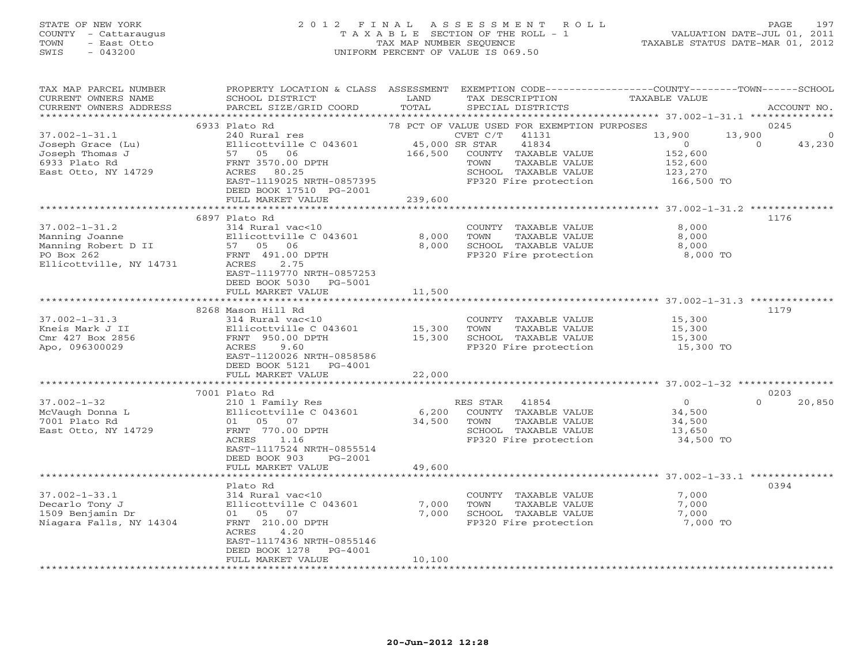# STATE OF NEW YORK 2 0 1 2 F I N A L A S S E S S M E N T R O L L PAGE 197 COUNTY - Cattaraugus T A X A B L E SECTION OF THE ROLL - 1 VALUATION DATE-JUL 01, 2011 TOWN - East Otto TAX MAP NUMBER SEQUENCE TAXABLE STATUS DATE-MAR 01, 2012<br>
SWIS - 043200 - TAXABLE STATUS DATE-MAR 01, 2012 SWIS - 043200 UNIFORM PERCENT OF VALUE IS 069.50

| TAX MAP PARCEL NUMBER<br>CURRENT OWNERS NAME<br>CURRENT OWNERS ADDRESS<br>********************        | PROPERTY LOCATION & CLASS ASSESSMENT<br>SCHOOL DISTRICT<br>PARCEL SIZE/GRID COORD                                                                                                            | LAND<br>TOTAL                        | TAX DESCRIPTION<br>SPECIAL DISTRICTS                                                                                                                                        | EXEMPTION CODE-----------------COUNTY-------TOWN------SCHOOL<br><b>TAXABLE VALUE</b>        | ACCOUNT NO.                            |
|-------------------------------------------------------------------------------------------------------|----------------------------------------------------------------------------------------------------------------------------------------------------------------------------------------------|--------------------------------------|-----------------------------------------------------------------------------------------------------------------------------------------------------------------------------|---------------------------------------------------------------------------------------------|----------------------------------------|
| $37.002 - 1 - 31.1$<br>Joseph Grace (Lu)<br>Joseph Thomas J<br>6933 Plato Rd<br>East Otto, NY 14729   | 6933 Plato Rd<br>240 Rural res<br>Ellicottville C 043601<br>57 05 06<br>FRNT 3570.00 DPTH<br>ACRES 80.25<br>EAST-1119025 NRTH-0857395<br>DEED BOOK 17510 PG-2001<br>FULL MARKET VALUE        | 45,000 SR STAR<br>166,500<br>239,600 | 78 PCT OF VALUE USED FOR EXEMPTION PURPOSES<br>CVET C/T<br>41131<br>41834<br>COUNTY TAXABLE VALUE<br>TOWN<br>TAXABLE VALUE<br>SCHOOL TAXABLE VALUE<br>FP320 Fire protection | 13,900<br>13,900<br>$\overline{0}$<br>152,600<br>152,600<br>123,270<br>166,500 TO           | 0245<br>$\Omega$<br>$\Omega$<br>43,230 |
| $37.002 - 1 - 31.2$<br>Manning Joanne<br>Manning Robert D II<br>PO Box 262<br>Ellicottville, NY 14731 | 6897 Plato Rd<br>314 Rural vac<10<br>Ellicottville C 043601<br>57 05 06<br>FRNT 491.00 DPTH<br>ACRES<br>2.75<br>EAST-1119770 NRTH-0857253<br>DEED BOOK 5030<br>PG-5001<br>FULL MARKET VALUE  | 8,000<br>8,000<br>11,500             | COUNTY TAXABLE VALUE<br>TOWN<br>TAXABLE VALUE<br>SCHOOL TAXABLE VALUE<br>FP320 Fire protection                                                                              | *********************** 37.002-1-31.2 **************<br>8,000<br>8,000<br>8,000<br>8,000 TO | 1176                                   |
|                                                                                                       | **************************                                                                                                                                                                   |                                      |                                                                                                                                                                             |                                                                                             |                                        |
| $37.002 - 1 - 31.3$<br>Kneis Mark J II<br>Cmr 427 Box 2856<br>Apo, 096300029                          | 8268 Mason Hill Rd<br>314 Rural vac<10<br>Ellicottville C 043601<br>FRNT 950.00 DPTH<br>ACRES<br>9.60<br>EAST-1120026 NRTH-0858586<br>DEED BOOK 5121<br>PG-4001<br>FULL MARKET VALUE         | 15,300<br>15,300<br>22,000           | COUNTY TAXABLE VALUE<br>TAXABLE VALUE<br>TOWN<br>SCHOOL TAXABLE VALUE<br>FP320 Fire protection                                                                              | 15,300<br>15,300<br>15,300<br>15,300 TO                                                     | 1179                                   |
|                                                                                                       | **********************<br>7001 Plato Rd                                                                                                                                                      |                                      |                                                                                                                                                                             |                                                                                             | 0203                                   |
| $37.002 - 1 - 32$<br>McVaugh Donna L<br>7001 Plato Rd<br>East Otto, NY 14729                          | 210 1 Family Res<br>Ellicottville C 043601<br>01 05 07<br>FRNT 770.00 DPTH<br>ACRES<br>1.16<br>EAST-1117524 NRTH-0855514<br>DEED BOOK 903<br>PG-2001                                         | 6,200<br>34,500                      | RES STAR<br>41854<br>COUNTY TAXABLE VALUE<br>TAXABLE VALUE<br>TOWN<br>SCHOOL TAXABLE VALUE<br>FP320 Fire protection                                                         | $\circ$<br>34,500<br>34,500<br>13,650<br>34,500 TO                                          | $\Omega$<br>20,850                     |
|                                                                                                       | FULL MARKET VALUE                                                                                                                                                                            | 49,600                               |                                                                                                                                                                             |                                                                                             |                                        |
| $37.002 - 1 - 33.1$<br>Decarlo Tony J<br>1509 Benjamin Dr<br>Niagara Falls, NY 14304                  | ***********************<br>Plato Rd<br>314 Rural vac<10<br>Ellicottville C 043601<br>01 05 07<br>FRNT 210.00 DPTH<br>ACRES<br>4.20<br>EAST-1117436 NRTH-0855146<br>DEED BOOK 1278<br>PG-4001 | 7,000<br>7,000                       | COUNTY TAXABLE VALUE<br>TOWN<br>TAXABLE VALUE<br>SCHOOL TAXABLE VALUE<br>FP320 Fire protection                                                                              | 7,000<br>7,000<br>7,000<br>7,000 TO                                                         | 0394                                   |
| *********************                                                                                 | FULL MARKET VALUE                                                                                                                                                                            | 10,100<br>********************       |                                                                                                                                                                             |                                                                                             |                                        |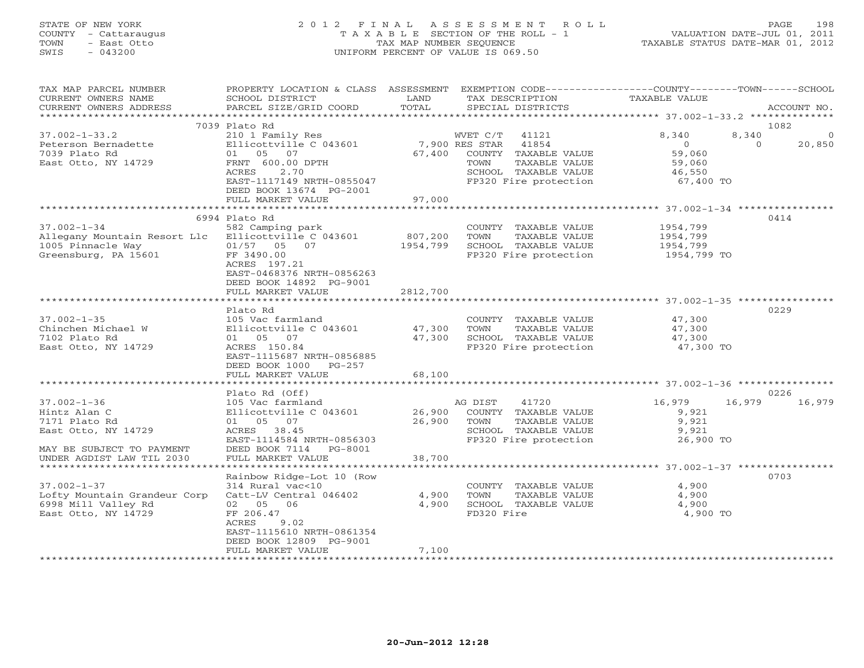# STATE OF NEW YORK 2 0 1 2 F I N A L A S S E S S M E N T R O L L PAGE 198 COUNTY - Cattaraugus T A X A B L E SECTION OF THE ROLL - 1 VALUATION DATE-JUL 01, 2011 TOWN - East Otto TAX MAP NUMBER SEQUENCE TAXABLE STATUS DATE-MAR 01, 2012 SWIS - 043200 UNIFORM PERCENT OF VALUE IS 069.50UNIFORM PERCENT OF VALUE IS 069.50

| TAX MAP PARCEL NUMBER<br>CURRENT OWNERS NAME<br>CURRENT OWNERS ADDRESS | PROPERTY LOCATION & CLASS ASSESSMENT EXEMPTION CODE----------------COUNTY-------TOWN------SCHOOL<br>SCHOOL DISTRICT<br>PARCEL SIZE/GRID COORD | LAND<br>TOTAL  | TAX DESCRIPTION<br>SPECIAL DISTRICTS                                 | <b>TAXABLE VALUE</b>                                               | ACCOUNT NO.                             |
|------------------------------------------------------------------------|-----------------------------------------------------------------------------------------------------------------------------------------------|----------------|----------------------------------------------------------------------|--------------------------------------------------------------------|-----------------------------------------|
| ************************                                               |                                                                                                                                               |                |                                                                      |                                                                    |                                         |
|                                                                        | 7039 Plato Rd                                                                                                                                 |                |                                                                      |                                                                    | 1082                                    |
| $37.002 - 1 - 33.2$<br>Peterson Bernadette<br>7039 Plato Rd            | 210 1 Family Res<br>Ellicottville C 043601<br>01 05 07                                                                                        | 67,400         | WVET C/T<br>41121<br>7,900 RES STAR<br>41854<br>COUNTY TAXABLE VALUE | 8,340<br>$\circ$<br>59,060                                         | 8,340<br>$\Omega$<br>$\Omega$<br>20,850 |
| East Otto, NY 14729                                                    | FRNT 600.00 DPTH<br>2.70<br>ACRES                                                                                                             |                | TOWN<br>TAXABLE VALUE<br>SCHOOL TAXABLE VALUE                        | 59,060<br>46,550                                                   |                                         |
|                                                                        | EAST-1117149 NRTH-0855047<br>DEED BOOK 13674 PG-2001<br>FULL MARKET VALUE                                                                     | 97,000         | FP320 Fire protection                                                | 67,400 TO                                                          |                                         |
|                                                                        |                                                                                                                                               |                |                                                                      |                                                                    |                                         |
|                                                                        | 6994 Plato Rd                                                                                                                                 |                |                                                                      |                                                                    | 0414                                    |
| $37.002 - 1 - 34$<br>Allegany Mountain Resort Llc                      | 582 Camping park<br>Ellicottville C 043601                                                                                                    | 807,200        | COUNTY TAXABLE VALUE<br>TOWN<br>TAXABLE VALUE                        | 1954,799<br>1954,799                                               |                                         |
| 1005 Pinnacle Way<br>Greensburg, PA 15601                              | $01/57$ 05<br>07<br>FF 3490.00                                                                                                                | 1954,799       | SCHOOL TAXABLE VALUE<br>FP320 Fire protection                        | 1954,799<br>1954,799 TO                                            |                                         |
|                                                                        | ACRES 197.21<br>EAST-0468376 NRTH-0856263<br>DEED BOOK 14892 PG-9001<br>FULL MARKET VALUE                                                     | 2812,700       |                                                                      |                                                                    |                                         |
|                                                                        |                                                                                                                                               |                |                                                                      |                                                                    |                                         |
|                                                                        | Plato Rd                                                                                                                                      |                |                                                                      |                                                                    | 0229                                    |
| $37.002 - 1 - 35$                                                      | 105 Vac farmland                                                                                                                              |                | COUNTY TAXABLE VALUE                                                 | 47,300                                                             |                                         |
| Chinchen Michael W                                                     | Ellicottville C 043601                                                                                                                        | 47,300         | TAXABLE VALUE<br>TOWN                                                | 47,300                                                             |                                         |
| 7102 Plato Rd                                                          | 01 05 07                                                                                                                                      | 47,300         | SCHOOL TAXABLE VALUE                                                 | 47,300                                                             |                                         |
| East Otto, NY 14729                                                    | ACRES 150.84<br>EAST-1115687 NRTH-0856885<br>DEED BOOK 1000<br>$PG-257$                                                                       |                | FP320 Fire protection                                                | 47,300 TO                                                          |                                         |
|                                                                        | FULL MARKET VALUE                                                                                                                             | 68,100         |                                                                      |                                                                    |                                         |
|                                                                        | * * * * * * * * * * * * * * * * * * *                                                                                                         | ************** |                                                                      | ************************************ 37.002-1-36 ***************** |                                         |
| $37.002 - 1 - 36$                                                      | Plato Rd (Off)                                                                                                                                |                | AG DIST<br>41720                                                     | 16,979<br>16,979                                                   | 0226<br>16,979                          |
| Hintz Alan C                                                           | 105 Vac farmland<br>Ellicottville C 043601                                                                                                    | 26,900         | COUNTY TAXABLE VALUE                                                 | 9,921                                                              |                                         |
| 7171 Plato Rd                                                          | 01 05 07                                                                                                                                      | 26,900         | TOWN<br>TAXABLE VALUE                                                | 9,921                                                              |                                         |
| East Otto, NY 14729                                                    | 38.45<br>ACRES                                                                                                                                |                | SCHOOL TAXABLE VALUE                                                 | 9,921                                                              |                                         |
|                                                                        | EAST-1114584 NRTH-0856303                                                                                                                     |                | FP320 Fire protection                                                | 26,900 TO                                                          |                                         |
| MAY BE SUBJECT TO PAYMENT                                              | DEED BOOK 7114<br>PG-8001                                                                                                                     |                |                                                                      |                                                                    |                                         |
| UNDER AGDIST LAW TIL 2030                                              | FULL MARKET VALUE<br>*******************                                                                                                      | 38,700         |                                                                      |                                                                    |                                         |
|                                                                        |                                                                                                                                               |                |                                                                      |                                                                    | 0703                                    |
| $37.002 - 1 - 37$                                                      | Rainbow Ridge-Lot 10 (Row<br>314 Rural vac<10                                                                                                 |                | COUNTY TAXABLE VALUE                                                 | 4,900                                                              |                                         |
| Lofty Mountain Grandeur Corp                                           | Catt-LV Central 046402                                                                                                                        | 4,900          | TOWN<br>TAXABLE VALUE                                                | 4,900                                                              |                                         |
| 6998 Mill Valley Rd                                                    | 02 05 06                                                                                                                                      | 4,900          | SCHOOL TAXABLE VALUE                                                 | 4,900                                                              |                                         |
| East Otto, NY 14729                                                    | FF 206.47                                                                                                                                     |                | FD320 Fire                                                           | 4,900 TO                                                           |                                         |
|                                                                        | ACRES<br>9.02                                                                                                                                 |                |                                                                      |                                                                    |                                         |
|                                                                        | EAST-1115610 NRTH-0861354                                                                                                                     |                |                                                                      |                                                                    |                                         |
|                                                                        | DEED BOOK 12809 PG-9001                                                                                                                       |                |                                                                      |                                                                    |                                         |
|                                                                        | FULL MARKET VALUE                                                                                                                             | 7,100          |                                                                      |                                                                    |                                         |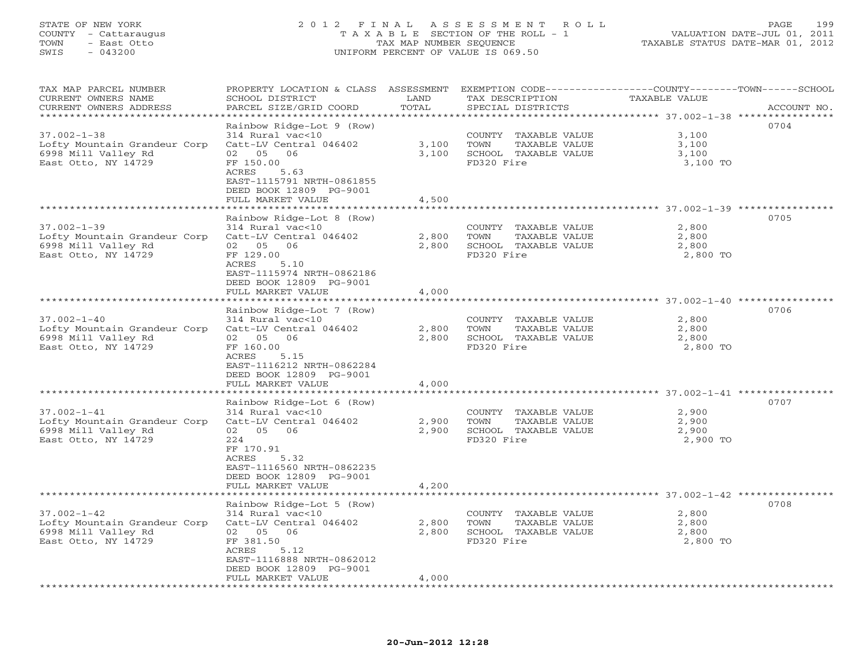# STATE OF NEW YORK 2 0 1 2 F I N A L A S S E S S M E N T R O L L PAGE 199 COUNTY - Cattaraugus T A X A B L E SECTION OF THE ROLL - 1 VALUATION DATE-JUL 01, 2011 TOWN - East Otto TAX MAP NUMBER SEQUENCE TAXABLE STATUS DATE-MAR 01, 2012 SWIS - 043200 UNIFORM PERCENT OF VALUE IS 069.50UNIFORM PERCENT OF VALUE IS 069.50

| TAX MAP PARCEL NUMBER<br>CURRENT OWNERS NAME    | PROPERTY LOCATION & CLASS ASSESSMENT<br>SCHOOL DISTRICT | LAND            | TAX DESCRIPTION                    | EXEMPTION CODE-----------------COUNTY-------TOWN------SCHOOL<br>TAXABLE VALUE |             |
|-------------------------------------------------|---------------------------------------------------------|-----------------|------------------------------------|-------------------------------------------------------------------------------|-------------|
| CURRENT OWNERS ADDRESS<br>********************* | PARCEL SIZE/GRID COORD                                  | TOTAL           | SPECIAL DISTRICTS                  |                                                                               | ACCOUNT NO. |
|                                                 | Rainbow Ridge-Lot 9 (Row)                               |                 |                                    |                                                                               | 0704        |
| $37.002 - 1 - 38$                               | 314 Rural vac<10                                        |                 | COUNTY TAXABLE VALUE               | 3,100                                                                         |             |
| Lofty Mountain Grandeur Corp                    | Catt-LV Central 046402                                  | 3,100           | TOWN<br>TAXABLE VALUE              | 3,100                                                                         |             |
| 6998 Mill Valley Rd                             | 02 05<br>06                                             | 3,100           | SCHOOL TAXABLE VALUE               | 3,100                                                                         |             |
| East Otto, NY 14729                             | FF 150.00                                               |                 | FD320 Fire                         | 3,100 TO                                                                      |             |
|                                                 | 5.63<br>ACRES                                           |                 |                                    |                                                                               |             |
|                                                 | EAST-1115791 NRTH-0861855                               |                 |                                    |                                                                               |             |
|                                                 | DEED BOOK 12809 PG-9001<br>FULL MARKET VALUE            | 4,500           |                                    |                                                                               |             |
|                                                 | **************************                              | *************** |                                    |                                                                               |             |
|                                                 | Rainbow Ridge-Lot 8 (Row)                               |                 |                                    |                                                                               | 0705        |
| $37.002 - 1 - 39$                               | 314 Rural vac<10                                        |                 | COUNTY TAXABLE VALUE               | 2,800                                                                         |             |
| Lofty Mountain Grandeur Corp                    | Catt-LV Central 046402                                  | 2,800           | TOWN<br>TAXABLE VALUE              | 2,800                                                                         |             |
| 6998 Mill Valley Rd                             | 02 05<br>06                                             | 2,800           | SCHOOL TAXABLE VALUE               | 2,800                                                                         |             |
| East Otto, NY 14729                             | FF 129.00                                               |                 | FD320 Fire                         | 2,800 TO                                                                      |             |
|                                                 | ACRES<br>5.10                                           |                 |                                    |                                                                               |             |
|                                                 | EAST-1115974 NRTH-0862186                               |                 |                                    |                                                                               |             |
|                                                 | DEED BOOK 12809 PG-9001                                 | 4,000           |                                    |                                                                               |             |
|                                                 | FULL MARKET VALUE                                       |                 |                                    |                                                                               |             |
|                                                 | Rainbow Ridge-Lot 7 (Row)                               |                 |                                    |                                                                               | 0706        |
| $37.002 - 1 - 40$                               | 314 Rural vac<10                                        |                 | COUNTY TAXABLE VALUE               | 2,800                                                                         |             |
| Lofty Mountain Grandeur Corp                    | Catt-LV Central 046402                                  | 2,800           | TOWN<br>TAXABLE VALUE              | 2,800                                                                         |             |
| 6998 Mill Valley Rd                             | 02 05 06                                                | 2,800           | SCHOOL TAXABLE VALUE               | 2,800                                                                         |             |
| East Otto, NY 14729                             | FF 160.00                                               |                 | FD320 Fire                         | 2,800 TO                                                                      |             |
|                                                 | ACRES<br>5.15                                           |                 |                                    |                                                                               |             |
|                                                 | EAST-1116212 NRTH-0862284                               |                 |                                    |                                                                               |             |
|                                                 | DEED BOOK 12809 PG-9001<br>FULL MARKET VALUE            | 4,000           |                                    |                                                                               |             |
|                                                 | ********************                                    | *************   |                                    | ******************************** 37.002-1-41 ****************                 |             |
|                                                 | Rainbow Ridge-Lot 6 (Row)                               |                 |                                    |                                                                               | 0707        |
| $37.002 - 1 - 41$                               | 314 Rural vac<10                                        |                 | COUNTY TAXABLE VALUE               | 2,900                                                                         |             |
| Lofty Mountain Grandeur Corp                    | Catt-LV Central 046402                                  | 2,900           | TOWN<br>TAXABLE VALUE              | 2,900                                                                         |             |
| 6998 Mill Valley Rd                             | 02 05<br>06                                             | 2,900           | SCHOOL TAXABLE VALUE               | 2,900                                                                         |             |
| East Otto, NY 14729                             | 224                                                     |                 | FD320 Fire                         | 2,900 TO                                                                      |             |
|                                                 | FF 170.91<br>ACRES<br>5.32                              |                 |                                    |                                                                               |             |
|                                                 | EAST-1116560 NRTH-0862235                               |                 |                                    |                                                                               |             |
|                                                 | DEED BOOK 12809 PG-9001                                 |                 |                                    |                                                                               |             |
|                                                 | FULL MARKET VALUE                                       | 4,200           |                                    |                                                                               |             |
|                                                 |                                                         |                 |                                    |                                                                               |             |
|                                                 | Rainbow Ridge-Lot 5 (Row)                               |                 |                                    |                                                                               | 0708        |
| $37.002 - 1 - 42$                               | 314 Rural vac<10                                        |                 | COUNTY TAXABLE VALUE               | 2,800                                                                         |             |
| Lofty Mountain Grandeur Corp                    | Catt-LV Central 046402                                  | 2,800           | TOWN<br>TAXABLE VALUE              | 2,800                                                                         |             |
| 6998 Mill Valley Rd<br>East Otto, NY 14729      | 02 05<br>06<br>FF 381.50                                | 2,800           | SCHOOL TAXABLE VALUE<br>FD320 Fire | 2,800<br>2,800 TO                                                             |             |
|                                                 | 5.12<br>ACRES                                           |                 |                                    |                                                                               |             |
|                                                 | EAST-1116888 NRTH-0862012                               |                 |                                    |                                                                               |             |
|                                                 | DEED BOOK 12809 PG-9001                                 |                 |                                    |                                                                               |             |
|                                                 | FULL MARKET VALUE                                       | 4,000           |                                    |                                                                               |             |
|                                                 |                                                         |                 |                                    |                                                                               |             |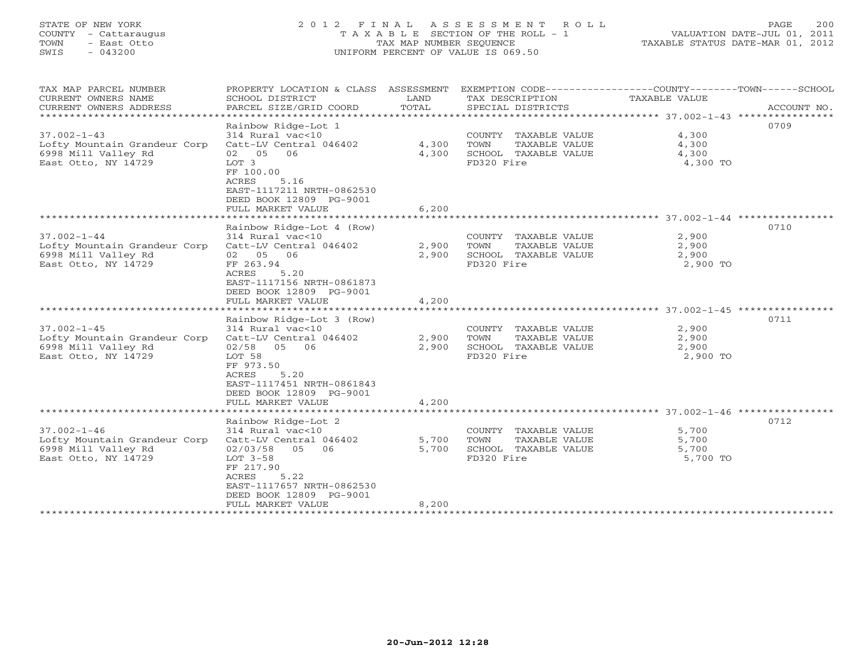# STATE OF NEW YORK 2 0 1 2 F I N A L A S S E S S M E N T R O L L PAGE 200 COUNTY - Cattaraugus T A X A B L E SECTION OF THE ROLL - 1 VALUATION DATE-JUL 01, 2011 TOWN - East Otto TAX MAP NUMBER SEQUENCE TAXABLE STATUS DATE-MAR 01, 2012 SWIS - 043200 UNIFORM PERCENT OF VALUE IS 069.50UNIFORM PERCENT OF VALUE IS 069.50

| TAX MAP PARCEL NUMBER<br>CURRENT OWNERS NAME<br>CURRENT OWNERS ADDRESS                          | PROPERTY LOCATION & CLASS ASSESSMENT<br>SCHOOL DISTRICT<br>PARCEL SIZE/GRID COORD                                                                                                                                | LAND<br>TOTAL           | EXEMPTION CODE-----------------COUNTY-------TOWN------SCHOOL<br>TAX DESCRIPTION<br>SPECIAL DISTRICTS | TAXABLE VALUE                       | ACCOUNT NO. |
|-------------------------------------------------------------------------------------------------|------------------------------------------------------------------------------------------------------------------------------------------------------------------------------------------------------------------|-------------------------|------------------------------------------------------------------------------------------------------|-------------------------------------|-------------|
| $37.002 - 1 - 43$<br>Lofty Mountain Grandeur Corp<br>6998 Mill Valley Rd<br>East Otto, NY 14729 | Rainbow Ridge-Lot 1<br>314 Rural vac<10<br>Catt-LV Central 046402<br>02 05 06<br>LOT 3<br>FF 100.00<br>ACRES<br>5.16<br>EAST-1117211 NRTH-0862530<br>DEED BOOK 12809 PG-9001<br>FULL MARKET VALUE                | 4,300<br>4,300<br>6,200 | COUNTY TAXABLE VALUE<br>TOWN<br>TAXABLE VALUE<br>SCHOOL TAXABLE VALUE<br>FD320 Fire                  | 4,300<br>4,300<br>4,300<br>4,300 TO | 0709        |
|                                                                                                 |                                                                                                                                                                                                                  |                         |                                                                                                      |                                     |             |
| $37.002 - 1 - 44$<br>Lofty Mountain Grandeur Corp<br>6998 Mill Valley Rd<br>East Otto, NY 14729 | Rainbow Ridge-Lot 4 (Row)<br>314 Rural vac<10<br>Catt-LV Central 046402<br>02 05 06<br>FF 263.94<br>ACRES<br>5.20<br>EAST-1117156 NRTH-0861873<br>DEED BOOK 12809 PG-9001<br>FULL MARKET VALUE                   | 2,900<br>2,900<br>4,200 | COUNTY TAXABLE VALUE<br>TOWN<br>TAXABLE VALUE<br>SCHOOL TAXABLE VALUE<br>FD320 Fire                  | 2,900<br>2,900<br>2,900<br>2,900 TO | 0710        |
|                                                                                                 |                                                                                                                                                                                                                  |                         |                                                                                                      |                                     |             |
| $37.002 - 1 - 45$<br>Lofty Mountain Grandeur Corp<br>6998 Mill Valley Rd<br>East Otto, NY 14729 | Rainbow Ridge-Lot 3 (Row)<br>314 Rural vac<10<br>Catt-LV Central 046402<br>$02/58$ 05<br>06<br>LOT 58<br>FF 973.50<br>5.20<br>ACRES<br>EAST-1117451 NRTH-0861843<br>DEED BOOK 12809 PG-9001<br>FULL MARKET VALUE | 2,900<br>2,900<br>4,200 | COUNTY TAXABLE VALUE<br>TOWN<br>TAXABLE VALUE<br>SCHOOL TAXABLE VALUE<br>FD320 Fire                  | 2,900<br>2,900<br>2,900<br>2,900 TO | 0711        |
|                                                                                                 |                                                                                                                                                                                                                  |                         |                                                                                                      |                                     |             |
| $37.002 - 1 - 46$<br>Lofty Mountain Grandeur Corp<br>6998 Mill Valley Rd<br>East Otto, NY 14729 | Rainbow Ridge-Lot 2<br>314 Rural vac<10<br>Catt-LV Central 046402<br>02/03/58<br>05<br>06<br>$LOT 3-58$<br>FF 217.90<br>5.22<br>ACRES<br>EAST-1117657 NRTH-0862530<br>DEED BOOK 12809 PG-9001                    | 5,700<br>5,700          | COUNTY TAXABLE VALUE<br>TOWN<br>TAXABLE VALUE<br>SCHOOL TAXABLE VALUE<br>FD320 Fire                  | 5,700<br>5,700<br>5,700<br>5,700 TO | 0712        |
| * * * * * * * * * * * * * * * * * *                                                             | FULL MARKET VALUE                                                                                                                                                                                                | 8,200                   | ******************************                                                                       |                                     |             |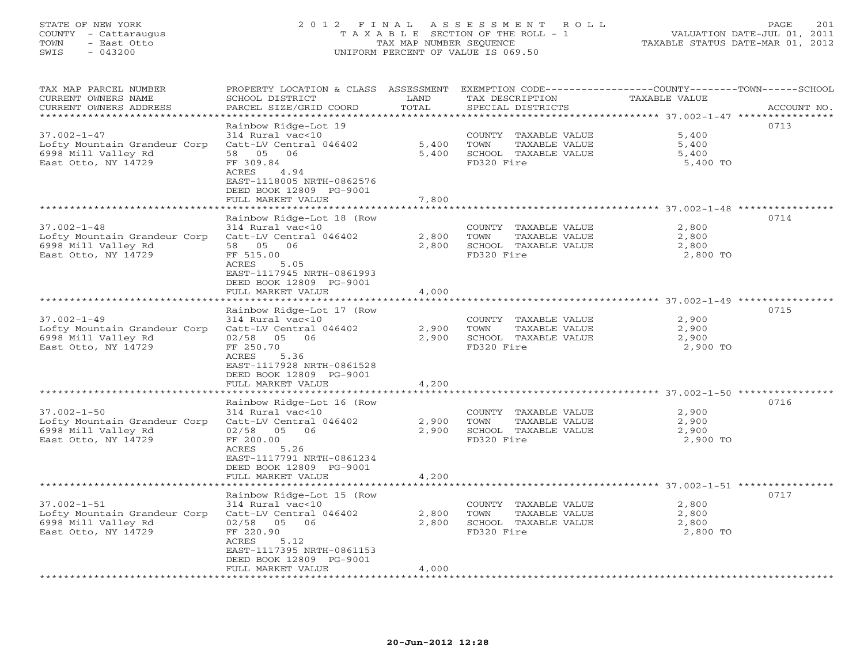# STATE OF NEW YORK 2 0 1 2 F I N A L A S S E S S M E N T R O L L PAGE 201 COUNTY - Cattaraugus T A X A B L E SECTION OF THE ROLL - 1 VALUATION DATE-JUL 01, 2011 TOWN - East Otto TAX MAP NUMBER SEQUENCE TAXABLE STATUS DATE-MAR 01, 2012 SWIS - 043200 UNIFORM PERCENT OF VALUE IS 069.50UNIFORM PERCENT OF VALUE IS 069.50

| TAX MAP PARCEL NUMBER<br>CURRENT OWNERS NAME<br>CURRENT OWNERS ADDRESS     | PROPERTY LOCATION & CLASS ASSESSMENT<br>SCHOOL DISTRICT<br>PARCEL SIZE/GRID COORD | LAND<br>TOTAL  | TAX DESCRIPTION<br>SPECIAL DISTRICTS                        | EXEMPTION CODE-----------------COUNTY-------TOWN-----SCHOOL<br><b>TAXABLE VALUE</b> | ACCOUNT NO. |
|----------------------------------------------------------------------------|-----------------------------------------------------------------------------------|----------------|-------------------------------------------------------------|-------------------------------------------------------------------------------------|-------------|
|                                                                            |                                                                                   | ************** |                                                             |                                                                                     |             |
| $37.002 - 1 - 47$                                                          | Rainbow Ridge-Lot 19<br>314 Rural vac<10                                          |                | COUNTY TAXABLE VALUE                                        | 0713<br>5,400                                                                       |             |
| Lofty Mountain Grandeur Corp<br>6998 Mill Valley Rd<br>East Otto, NY 14729 | Catt-LV Central 046402<br>58 05<br>06<br>FF 309.84                                | 5,400<br>5,400 | TAXABLE VALUE<br>TOWN<br>SCHOOL TAXABLE VALUE<br>FD320 Fire | 5,400<br>5,400<br>5,400 TO                                                          |             |
|                                                                            | 4.94<br>ACRES<br>EAST-1118005 NRTH-0862576<br>DEED BOOK 12809 PG-9001             |                |                                                             |                                                                                     |             |
|                                                                            | FULL MARKET VALUE                                                                 | 7,800          |                                                             |                                                                                     |             |
|                                                                            |                                                                                   |                |                                                             | 0714                                                                                |             |
| $37.002 - 1 - 48$                                                          | Rainbow Ridge-Lot 18 (Row<br>314 Rural vac<10                                     |                | COUNTY TAXABLE VALUE                                        | 2,800                                                                               |             |
| Lofty Mountain Grandeur Corp                                               | Catt-LV Central 046402                                                            | 2,800          | TOWN<br>TAXABLE VALUE                                       | 2,800                                                                               |             |
| 6998 Mill Valley Rd                                                        | 58 05<br>06                                                                       | 2,800          | SCHOOL TAXABLE VALUE                                        | 2,800                                                                               |             |
| East Otto, NY 14729                                                        | FF 515.00                                                                         |                | FD320 Fire                                                  | 2,800 TO                                                                            |             |
|                                                                            | 5.05<br>ACRES<br>EAST-1117945 NRTH-0861993<br>DEED BOOK 12809 PG-9001             |                |                                                             |                                                                                     |             |
|                                                                            | FULL MARKET VALUE                                                                 | 4,000          |                                                             |                                                                                     |             |
|                                                                            |                                                                                   |                |                                                             |                                                                                     |             |
|                                                                            | Rainbow Ridge-Lot 17 (Row                                                         |                |                                                             | 0715                                                                                |             |
| $37.002 - 1 - 49$                                                          | 314 Rural vac<10                                                                  |                | COUNTY TAXABLE VALUE                                        | 2,900                                                                               |             |
| Lofty Mountain Grandeur Corp                                               | Catt-LV Central 046402<br>06                                                      | 2,900          | TOWN<br>TAXABLE VALUE                                       | 2,900                                                                               |             |
| 6998 Mill Valley Rd                                                        | 02/58<br>05<br>FF 250.70                                                          | 2,900          | SCHOOL TAXABLE VALUE<br>FD320 Fire                          | 2,900                                                                               |             |
| East Otto, NY 14729                                                        | ACRES<br>5.36                                                                     |                |                                                             | 2,900 TO                                                                            |             |
|                                                                            | EAST-1117928 NRTH-0861528                                                         |                |                                                             |                                                                                     |             |
|                                                                            | DEED BOOK 12809 PG-9001                                                           |                |                                                             |                                                                                     |             |
|                                                                            | FULL MARKET VALUE                                                                 | 4,200          |                                                             |                                                                                     |             |
|                                                                            | **************************                                                        |                |                                                             | ********************** 37.002-1-50 ***********                                      |             |
|                                                                            | Rainbow Ridge-Lot 16 (Row                                                         |                |                                                             | 0716                                                                                |             |
| $37.002 - 1 - 50$                                                          | 314 Rural vac<10                                                                  |                | COUNTY TAXABLE VALUE                                        | 2,900                                                                               |             |
| Lofty Mountain Grandeur Corp                                               | Catt-LV Central 046402                                                            | 2,900          | TOWN<br>TAXABLE VALUE                                       | 2,900                                                                               |             |
| 6998 Mill Valley Rd                                                        | 02/58<br>05 06                                                                    | 2,900          | SCHOOL TAXABLE VALUE                                        | 2,900                                                                               |             |
| East Otto, NY 14729                                                        | FF 200.00                                                                         |                | FD320 Fire                                                  | 2,900 TO                                                                            |             |
|                                                                            | 5.26<br>ACRES                                                                     |                |                                                             |                                                                                     |             |
|                                                                            | EAST-1117791 NRTH-0861234<br>DEED BOOK 12809 PG-9001                              |                |                                                             |                                                                                     |             |
|                                                                            | FULL MARKET VALUE                                                                 | 4,200          |                                                             |                                                                                     |             |
|                                                                            |                                                                                   |                |                                                             |                                                                                     |             |
|                                                                            | Rainbow Ridge-Lot 15 (Row                                                         |                |                                                             | 0717                                                                                |             |
| $37.002 - 1 - 51$                                                          | 314 Rural vac<10                                                                  |                | COUNTY TAXABLE VALUE                                        | 2,800                                                                               |             |
| Lofty Mountain Grandeur Corp                                               | Catt-LV Central 046402                                                            | 2,800          | TOWN<br>TAXABLE VALUE                                       | 2,800                                                                               |             |
| 6998 Mill Valley Rd                                                        | 02/58 05 06                                                                       | 2,800          | SCHOOL TAXABLE VALUE                                        | 2,800                                                                               |             |
| East Otto, NY 14729                                                        | FF 220.90                                                                         |                | FD320 Fire                                                  | 2,800 TO                                                                            |             |
|                                                                            | 5.12<br>ACRES                                                                     |                |                                                             |                                                                                     |             |
|                                                                            | EAST-1117395 NRTH-0861153                                                         |                |                                                             |                                                                                     |             |
|                                                                            | DEED BOOK 12809 PG-9001                                                           |                |                                                             |                                                                                     |             |
|                                                                            | FULL MARKET VALUE                                                                 | 4,000          |                                                             |                                                                                     |             |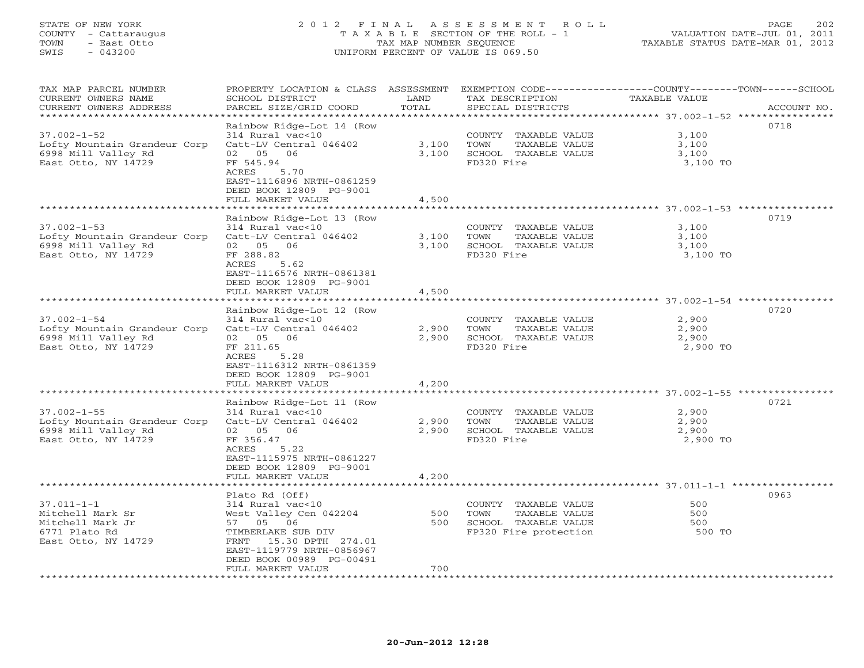# STATE OF NEW YORK 2 0 1 2 F I N A L A S S E S S M E N T R O L L PAGE 202 COUNTY - Cattaraugus T A X A B L E SECTION OF THE ROLL - 1 VALUATION DATE-JUL 01, 2011 TOWN - East Otto TAX MAP NUMBER SEQUENCE TAXABLE STATUS DATE-MAR 01, 2012 SWIS - 043200 UNIFORM PERCENT OF VALUE IS 069.50UNIFORM PERCENT OF VALUE IS 069.50

| TAX MAP PARCEL NUMBER<br>CURRENT OWNERS NAME<br>CURRENT OWNERS ADDRESS                                                    | PROPERTY LOCATION & CLASS ASSESSMENT<br>SCHOOL DISTRICT<br>PARCEL SIZE/GRID COORD                                                                                            | LAND<br>TOTAL  | TAX DESCRIPTION<br>SPECIAL DISTRICTS                                                           | EXEMPTION CODE-----------------COUNTY-------TOWN------SCHOOL<br>TAXABLE VALUE<br>ACCOUNT NO. |
|---------------------------------------------------------------------------------------------------------------------------|------------------------------------------------------------------------------------------------------------------------------------------------------------------------------|----------------|------------------------------------------------------------------------------------------------|----------------------------------------------------------------------------------------------|
| **********************<br>$37.002 - 1 - 52$<br>Lofty Mountain Grandeur Corp<br>6998 Mill Valley Rd<br>East Otto, NY 14729 | Rainbow Ridge-Lot 14 (Row<br>314 Rural vac<10<br>Catt-LV Central 046402<br>02 05 06<br>FF 545.94<br>ACRES<br>5.70<br>EAST-1116896 NRTH-0861259<br>DEED BOOK 12809 PG-9001    | 3,100<br>3,100 | COUNTY TAXABLE VALUE<br>TOWN<br>TAXABLE VALUE<br>SCHOOL TAXABLE VALUE<br>FD320 Fire            | 0718<br>3,100<br>3,100<br>3,100<br>3,100 TO                                                  |
|                                                                                                                           | FULL MARKET VALUE                                                                                                                                                            | 4,500          |                                                                                                |                                                                                              |
| $37.002 - 1 - 53$<br>Lofty Mountain Grandeur Corp                                                                         | Rainbow Ridge-Lot 13 (Row<br>314 Rural vac<10<br>Catt-LV Central 046402                                                                                                      | 3,100          | COUNTY TAXABLE VALUE<br>TAXABLE VALUE<br>TOWN                                                  | ******************************** 37.002-1-53 ****************<br>0719<br>3,100<br>3,100      |
| 6998 Mill Valley Rd<br>East Otto, NY 14729                                                                                | 02 05 06<br>FF 288.82<br>ACRES<br>5.62<br>EAST-1116576 NRTH-0861381<br>DEED BOOK 12809 PG-9001<br>FULL MARKET VALUE                                                          | 3,100<br>4,500 | SCHOOL TAXABLE VALUE<br>FD320 Fire                                                             | 3,100<br>3,100 TO                                                                            |
|                                                                                                                           |                                                                                                                                                                              |                |                                                                                                |                                                                                              |
| $37.002 - 1 - 54$<br>Lofty Mountain Grandeur Corp<br>6998 Mill Valley Rd<br>East Otto, NY 14729                           | Rainbow Ridge-Lot 12 (Row<br>314 Rural vac<10<br>Catt-LV Central 046402<br>02 05<br>06<br>FF 211.65<br>ACRES<br>5.28<br>EAST-1116312 NRTH-0861359<br>DEED BOOK 12809 PG-9001 | 2,900<br>2,900 | COUNTY TAXABLE VALUE<br>TAXABLE VALUE<br>TOWN<br>SCHOOL TAXABLE VALUE<br>FD320 Fire            | 0720<br>2,900<br>2,900<br>2,900<br>2,900 TO                                                  |
|                                                                                                                           | FULL MARKET VALUE                                                                                                                                                            | 4,200          |                                                                                                |                                                                                              |
|                                                                                                                           |                                                                                                                                                                              |                |                                                                                                |                                                                                              |
| $37.002 - 1 - 55$<br>Lofty Mountain Grandeur Corp<br>6998 Mill Valley Rd<br>East Otto, NY 14729                           | Rainbow Ridge-Lot 11 (Row<br>314 Rural vac<10<br>Catt-LV Central 046402<br>02 05<br>06<br>FF 356.47                                                                          | 2,900<br>2,900 | COUNTY TAXABLE VALUE<br>TOWN<br>TAXABLE VALUE<br>SCHOOL TAXABLE VALUE<br>FD320 Fire            | 0721<br>2,900<br>2,900<br>2,900<br>2,900 TO                                                  |
|                                                                                                                           | 5.22<br>ACRES<br>EAST-1115975 NRTH-0861227<br>DEED BOOK 12809 PG-9001<br>FULL MARKET VALUE                                                                                   | 4,200          |                                                                                                |                                                                                              |
|                                                                                                                           | * * * * * * * * * * * * * * * * * * *                                                                                                                                        |                |                                                                                                | ******************************** 37.011-1-1 ***********                                      |
| $37.011 - 1 - 1$<br>Mitchell Mark Sr<br>Mitchell Mark Jr<br>6771 Plato Rd<br>East Otto, NY 14729                          | Plato Rd (Off)<br>314 Rural vac<10<br>West Valley Cen 042204<br>57 05 06<br>TIMBERLAKE SUB DIV<br>15.30 DPTH 274.01<br>FRNT<br>EAST-1119779 NRTH-0856967                     | 500<br>500     | COUNTY TAXABLE VALUE<br>TOWN<br>TAXABLE VALUE<br>SCHOOL TAXABLE VALUE<br>FP320 Fire protection | 0963<br>500<br>500<br>500<br>500 TO                                                          |
| ***********************                                                                                                   | DEED BOOK 00989 PG-00491<br>FULL MARKET VALUE                                                                                                                                | 700            |                                                                                                |                                                                                              |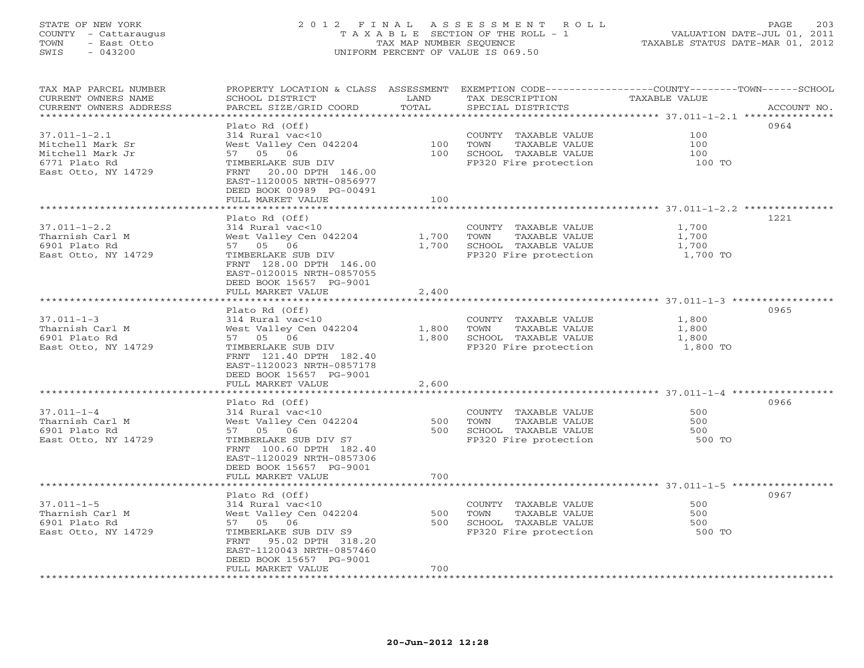# STATE OF NEW YORK 2 0 1 2 F I N A L A S S E S S M E N T R O L L PAGE 203 COUNTY - Cattaraugus T A X A B L E SECTION OF THE ROLL - 1 VALUATION DATE-JUL 01, 2011 TOWN - East Otto TAX MAP NUMBER SEQUENCE TAXABLE STATUS DATE-MAR 01, 2012 SWIS - 043200 UNIFORM PERCENT OF VALUE IS 069.50UNIFORM PERCENT OF VALUE IS 069.50

| TAX MAP PARCEL NUMBER<br>CURRENT OWNERS NAME | SCHOOL DISTRICT                              | LAND  | TAX DESCRIPTION       | PROPERTY LOCATION & CLASS ASSESSMENT EXEMPTION CODE----------------COUNTY-------TOWN------SCHOOL<br><b>TAXABLE VALUE</b> |
|----------------------------------------------|----------------------------------------------|-------|-----------------------|--------------------------------------------------------------------------------------------------------------------------|
| CURRENT OWNERS ADDRESS                       | PARCEL SIZE/GRID COORD                       | TOTAL | SPECIAL DISTRICTS     | ACCOUNT NO.                                                                                                              |
| ***********************                      |                                              |       |                       |                                                                                                                          |
|                                              | Plato Rd (Off)                               |       |                       | 0964                                                                                                                     |
| $37.011 - 1 - 2.1$                           | 314 Rural vac<10                             |       | COUNTY TAXABLE VALUE  | 100                                                                                                                      |
| Mitchell Mark Sr                             | West Valley Cen 042204                       | 100   | TOWN<br>TAXABLE VALUE | 100                                                                                                                      |
| Mitchell Mark Jr                             | 57 05 06                                     | 100   | SCHOOL TAXABLE VALUE  | 100                                                                                                                      |
| 6771 Plato Rd                                | TIMBERLAKE SUB DIV                           |       | FP320 Fire protection | 100 TO                                                                                                                   |
| East Otto, NY 14729                          | 20.00 DPTH 146.00<br>FRNT                    |       |                       |                                                                                                                          |
|                                              | EAST-1120005 NRTH-0856977                    |       |                       |                                                                                                                          |
|                                              | DEED BOOK 00989 PG-00491                     |       |                       |                                                                                                                          |
|                                              | FULL MARKET VALUE                            | 100   |                       |                                                                                                                          |
|                                              | *******************                          |       |                       |                                                                                                                          |
|                                              | Plato Rd (Off)                               |       |                       | 1221                                                                                                                     |
| $37.011 - 1 - 2.2$                           | 314 Rural vac<10                             |       | COUNTY TAXABLE VALUE  | 1,700                                                                                                                    |
| Tharnish Carl M                              | West Valley Cen 042204                       | 1,700 | TOWN<br>TAXABLE VALUE | 1,700                                                                                                                    |
| 6901 Plato Rd                                | 57 05 06                                     | 1,700 | SCHOOL TAXABLE VALUE  | 1,700                                                                                                                    |
| East Otto, NY 14729                          | TIMBERLAKE SUB DIV                           |       | FP320 Fire protection | 1,700 TO                                                                                                                 |
|                                              | FRNT 128.00 DPTH 146.00                      |       |                       |                                                                                                                          |
|                                              | EAST-0120015 NRTH-0857055                    |       |                       |                                                                                                                          |
|                                              | DEED BOOK 15657 PG-9001                      |       |                       |                                                                                                                          |
|                                              | FULL MARKET VALUE                            | 2,400 |                       |                                                                                                                          |
|                                              |                                              |       |                       |                                                                                                                          |
|                                              | Plato Rd (Off)                               |       |                       | 0965                                                                                                                     |
| $37.011 - 1 - 3$                             | 314 Rural vac<10                             |       | COUNTY TAXABLE VALUE  | 1,800                                                                                                                    |
| Tharnish Carl M                              | West Valley Cen 042204                       | 1,800 | TOWN<br>TAXABLE VALUE | 1,800                                                                                                                    |
| 6901 Plato Rd                                | 57 05 06                                     | 1,800 | SCHOOL TAXABLE VALUE  | 1,800                                                                                                                    |
| East Otto, NY 14729                          | TIMBERLAKE SUB DIV                           |       | FP320 Fire protection | 1,800 TO                                                                                                                 |
|                                              | FRNT 121.40 DPTH 182.40                      |       |                       |                                                                                                                          |
|                                              | EAST-1120023 NRTH-0857178                    |       |                       |                                                                                                                          |
|                                              | DEED BOOK 15657 PG-9001                      |       |                       |                                                                                                                          |
|                                              | FULL MARKET VALUE                            | 2,600 |                       |                                                                                                                          |
|                                              |                                              |       |                       |                                                                                                                          |
|                                              | Plato Rd (Off)                               |       |                       | 0966                                                                                                                     |
| $37.011 - 1 - 4$                             | 314 Rural vac<10                             |       | COUNTY TAXABLE VALUE  | 500                                                                                                                      |
| Tharnish Carl M                              | West Valley Cen 042204                       | 500   | TAXABLE VALUE<br>TOWN | 500                                                                                                                      |
| 6901 Plato Rd                                | 57 05 06                                     | 500   | SCHOOL TAXABLE VALUE  | 500                                                                                                                      |
| East Otto, NY 14729                          | TIMBERLAKE SUB DIV S7                        |       | FP320 Fire protection | 500 TO                                                                                                                   |
|                                              | FRNT 100.60 DPTH 182.40                      |       |                       |                                                                                                                          |
|                                              | EAST-1120029 NRTH-0857306                    |       |                       |                                                                                                                          |
|                                              | DEED BOOK 15657 PG-9001<br>FULL MARKET VALUE | 700   |                       |                                                                                                                          |
|                                              |                                              |       |                       |                                                                                                                          |
|                                              | Plato Rd (Off)                               |       |                       | 0967                                                                                                                     |
| $37.011 - 1 - 5$                             | 314 Rural vac<10                             |       | COUNTY TAXABLE VALUE  | 500                                                                                                                      |
| Tharnish Carl M                              | West Valley Cen 042204                       | 500   | TOWN<br>TAXABLE VALUE | 500                                                                                                                      |
| 6901 Plato Rd                                | 57 05 06                                     | 500   | SCHOOL TAXABLE VALUE  | 500                                                                                                                      |
| East Otto, NY 14729                          | TIMBERLAKE SUB DIV S9                        |       | FP320 Fire protection | 500 TO                                                                                                                   |
|                                              | 95.02 DPTH 318.20<br>FRNT                    |       |                       |                                                                                                                          |
|                                              | EAST-1120043 NRTH-0857460                    |       |                       |                                                                                                                          |
|                                              | DEED BOOK 15657 PG-9001                      |       |                       |                                                                                                                          |
|                                              | FULL MARKET VALUE                            | 700   |                       |                                                                                                                          |
| *********************                        |                                              |       |                       |                                                                                                                          |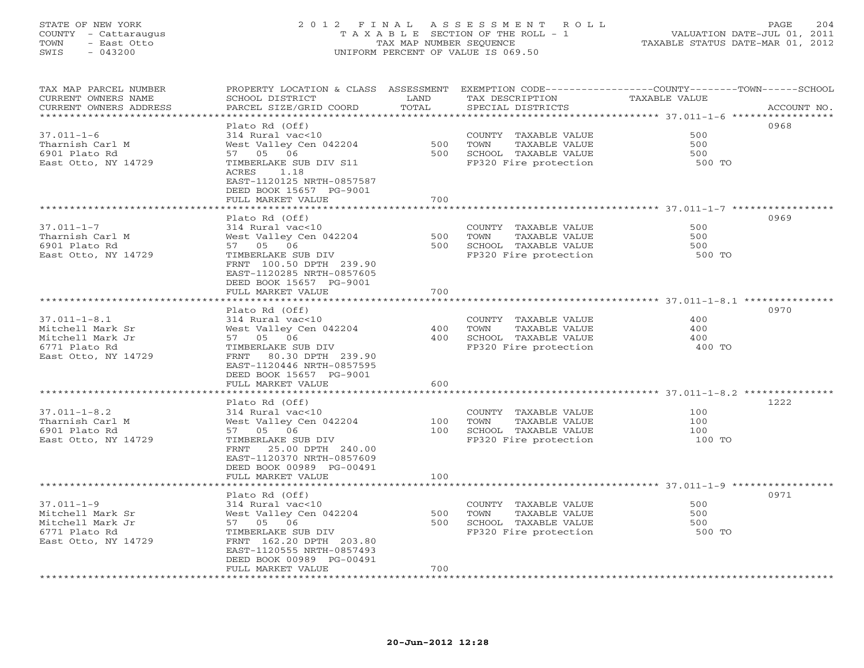# STATE OF NEW YORK 2 0 1 2 F I N A L A S S E S S M E N T R O L L PAGE 204 COUNTY - Cattaraugus T A X A B L E SECTION OF THE ROLL - 1 VALUATION DATE-JUL 01, 2011 TOWN - East Otto TAX MAP NUMBER SEQUENCE TAXABLE STATUS DATE-MAR 01, 2012 SWIS - 043200 UNIFORM PERCENT OF VALUE IS 069.50UNIFORM PERCENT OF VALUE IS 069.50

| TAX MAP PARCEL NUMBER<br>CURRENT OWNERS NAME<br>CURRENT OWNERS ADDRESS | PROPERTY LOCATION & CLASS ASSESSMENT<br>SCHOOL DISTRICT<br>PARCEL SIZE/GRID COORD | LAND<br>TOTAL | TAX DESCRIPTION<br>SPECIAL DISTRICTS | EXEMPTION CODE-----------------COUNTY-------TOWN------SCHOOL<br>TAXABLE VALUE<br>ACCOUNT NO. |
|------------------------------------------------------------------------|-----------------------------------------------------------------------------------|---------------|--------------------------------------|----------------------------------------------------------------------------------------------|
| ********************                                                   |                                                                                   | **********    |                                      | ************************************* 37.011-1-6 *****                                       |
|                                                                        | Plato Rd (Off)                                                                    |               |                                      | 0968                                                                                         |
| $37.011 - 1 - 6$                                                       | 314 Rural vac<10                                                                  |               | COUNTY TAXABLE VALUE                 | 500                                                                                          |
| Tharnish Carl M                                                        | West Valley Cen 042204                                                            | 500           | TOWN<br>TAXABLE VALUE                | 500                                                                                          |
| 6901 Plato Rd                                                          | 57 05 06                                                                          | 500           | SCHOOL TAXABLE VALUE                 | 500                                                                                          |
| East Otto, NY 14729                                                    | TIMBERLAKE SUB DIV S11                                                            |               | FP320 Fire protection                | 500 TO                                                                                       |
|                                                                        | ACRES<br>1.18                                                                     |               |                                      |                                                                                              |
|                                                                        | EAST-1120125 NRTH-0857587                                                         |               |                                      |                                                                                              |
|                                                                        | DEED BOOK 15657 PG-9001                                                           |               |                                      |                                                                                              |
|                                                                        | FULL MARKET VALUE                                                                 | 700           |                                      |                                                                                              |
|                                                                        | Plato Rd (Off)                                                                    |               |                                      | 0969                                                                                         |
| $37.011 - 1 - 7$                                                       | 314 Rural vac<10                                                                  |               | COUNTY TAXABLE VALUE                 | 500                                                                                          |
| Tharnish Carl M                                                        | West Valley Cen 042204                                                            | 500           | TAXABLE VALUE<br>TOWN                | 500                                                                                          |
| 6901 Plato Rd                                                          | 57 05 06                                                                          | 500           | SCHOOL TAXABLE VALUE                 | 500                                                                                          |
| East Otto, NY 14729                                                    | TIMBERLAKE SUB DIV                                                                |               | FP320 Fire protection                | 500 TO                                                                                       |
|                                                                        | FRNT 100.50 DPTH 239.90                                                           |               |                                      |                                                                                              |
|                                                                        | EAST-1120285 NRTH-0857605                                                         |               |                                      |                                                                                              |
|                                                                        | DEED BOOK 15657 PG-9001                                                           |               |                                      |                                                                                              |
|                                                                        | FULL MARKET VALUE                                                                 | 700           |                                      |                                                                                              |
| ******************************                                         | ********************                                                              |               |                                      |                                                                                              |
|                                                                        | Plato Rd (Off)                                                                    |               |                                      | 0970                                                                                         |
| $37.011 - 1 - 8.1$                                                     | 314 Rural vac<10                                                                  |               | COUNTY TAXABLE VALUE                 | 400                                                                                          |
| Mitchell Mark Sr                                                       | West Valley Cen 042204                                                            | 400           | TOWN<br>TAXABLE VALUE                | 400                                                                                          |
| Mitchell Mark Jr                                                       | 57 05 06                                                                          | 400           | SCHOOL TAXABLE VALUE                 | 400                                                                                          |
| 6771 Plato Rd                                                          | TIMBERLAKE SUB DIV                                                                |               | FP320 Fire protection                | 400 TO                                                                                       |
| East Otto, NY 14729                                                    | FRNT<br>80.30 DPTH 239.90                                                         |               |                                      |                                                                                              |
|                                                                        | EAST-1120446 NRTH-0857595                                                         |               |                                      |                                                                                              |
|                                                                        | DEED BOOK 15657 PG-9001                                                           |               |                                      |                                                                                              |
|                                                                        | FULL MARKET VALUE                                                                 | 600           |                                      |                                                                                              |
|                                                                        | Plato Rd (Off)                                                                    |               |                                      | 1222                                                                                         |
| $37.011 - 1 - 8.2$                                                     | 314 Rural vac<10                                                                  |               | COUNTY TAXABLE VALUE                 | 100                                                                                          |
| Tharnish Carl M                                                        | West Valley Cen 042204                                                            | 100           | TOWN<br>TAXABLE VALUE                | 100                                                                                          |
| 6901 Plato Rd                                                          | 57 05 06                                                                          | 100           | SCHOOL TAXABLE VALUE                 | 100                                                                                          |
| East Otto, NY 14729                                                    | TIMBERLAKE SUB DIV                                                                |               | FP320 Fire protection                | 100 TO                                                                                       |
|                                                                        | 25.00 DPTH 240.00<br>FRNT                                                         |               |                                      |                                                                                              |
|                                                                        | EAST-1120370 NRTH-0857609                                                         |               |                                      |                                                                                              |
|                                                                        | DEED BOOK 00989 PG-00491                                                          |               |                                      |                                                                                              |
|                                                                        | FULL MARKET VALUE                                                                 | 100           |                                      |                                                                                              |
|                                                                        |                                                                                   |               |                                      |                                                                                              |
|                                                                        | Plato Rd (Off)                                                                    |               |                                      | 0971                                                                                         |
| $37.011 - 1 - 9$                                                       | 314 Rural vac<10                                                                  |               | COUNTY TAXABLE VALUE                 | 500                                                                                          |
| Mitchell Mark Sr                                                       | West Valley Cen 042204                                                            | 500           | TAXABLE VALUE<br>TOWN                | 500                                                                                          |
| Mitchell Mark Jr                                                       | 57 05 06                                                                          | 500           | SCHOOL TAXABLE VALUE                 | 500                                                                                          |
| 6771 Plato Rd                                                          | TIMBERLAKE SUB DIV                                                                |               | FP320 Fire protection                | 500 TO                                                                                       |
| East Otto, NY 14729                                                    | FRNT 162.20 DPTH 203.80                                                           |               |                                      |                                                                                              |
|                                                                        | EAST-1120555 NRTH-0857493                                                         |               |                                      |                                                                                              |
|                                                                        | DEED BOOK 00989 PG-00491<br>FULL MARKET VALUE                                     | 700           |                                      |                                                                                              |
|                                                                        |                                                                                   |               |                                      |                                                                                              |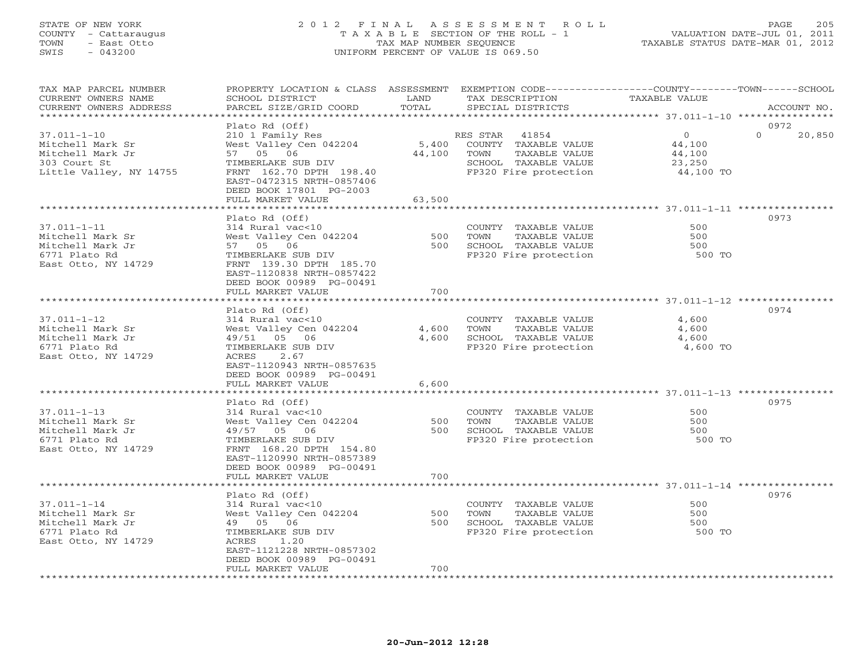# STATE OF NEW YORK 2 0 1 2 F I N A L A S S E S S M E N T R O L L PAGE 205 COUNTY - Cattaraugus T A X A B L E SECTION OF THE ROLL - 1 VALUATION DATE-JUL 01, 2011 TOWN - East Otto TAX MAP NUMBER SEQUENCE TAXABLE STATUS DATE-MAR 01, 2012 SWIS - 043200 UNIFORM PERCENT OF VALUE IS 069.50UNIFORM PERCENT OF VALUE IS 069.50

| TAX MAP PARCEL NUMBER<br>CURRENT OWNERS NAME<br>CURRENT OWNERS ADDRESS                               | PROPERTY LOCATION & CLASS ASSESSMENT<br>SCHOOL DISTRICT<br>PARCEL SIZE/GRID COORD                                                                                                                       | LAND<br>TOTAL       | TAX DESCRIPTION<br>SPECIAL DISTRICTS                                                                                | EXEMPTION CODE-----------------COUNTY-------TOWN------SCHOOL<br>TAXABLE VALUE | ACCOUNT NO.                |
|------------------------------------------------------------------------------------------------------|---------------------------------------------------------------------------------------------------------------------------------------------------------------------------------------------------------|---------------------|---------------------------------------------------------------------------------------------------------------------|-------------------------------------------------------------------------------|----------------------------|
| *******************                                                                                  |                                                                                                                                                                                                         | ******************* |                                                                                                                     |                                                                               |                            |
| $37.011 - 1 - 10$<br>Mitchell Mark Sr<br>Mitchell Mark Jr<br>303 Court St<br>Little Valley, NY 14755 | Plato Rd (Off)<br>210 1 Family Res<br>West Valley Cen 042204<br>57 05 06<br>TIMBERLAKE SUB DIV<br>FRNT 162.70 DPTH 198.40<br>EAST-0472315 NRTH-0857406<br>DEED BOOK 17801 PG-2003                       | 5,400<br>44,100     | RES STAR<br>41854<br>COUNTY TAXABLE VALUE<br>TOWN<br>TAXABLE VALUE<br>SCHOOL TAXABLE VALUE<br>FP320 Fire protection | $\overline{O}$<br>44,100<br>44,100<br>23,250<br>44,100 TO                     | 0972<br>$\Omega$<br>20,850 |
|                                                                                                      | FULL MARKET VALUE                                                                                                                                                                                       | 63,500              |                                                                                                                     |                                                                               |                            |
|                                                                                                      | *********************                                                                                                                                                                                   |                     |                                                                                                                     |                                                                               |                            |
| $37.011 - 1 - 11$<br>Mitchell Mark Sr<br>Mitchell Mark Jr<br>6771 Plato Rd<br>East Otto, NY 14729    | Plato Rd (Off)<br>314 Rural vac<10<br>West Valley Cen 042204<br>57 05 06<br>TIMBERLAKE SUB DIV<br>FRNT 139.30 DPTH 185.70<br>EAST-1120838 NRTH-0857422<br>DEED BOOK 00989 PG-00491<br>FULL MARKET VALUE | 500<br>500<br>700   | COUNTY TAXABLE VALUE<br>TAXABLE VALUE<br>TOWN<br>SCHOOL TAXABLE VALUE<br>FP320 Fire protection                      | 500<br>500<br>500<br>500 TO                                                   | 0973                       |
|                                                                                                      |                                                                                                                                                                                                         |                     |                                                                                                                     |                                                                               |                            |
| $37.011 - 1 - 12$<br>Mitchell Mark Sr<br>Mitchell Mark Jr<br>6771 Plato Rd<br>East Otto, NY 14729    | Plato Rd (Off)<br>314 Rural vac<10<br>West Valley Cen 042204<br>49/51 05 06<br>TIMBERLAKE SUB DIV<br>ACRES<br>2.67<br>EAST-1120943 NRTH-0857635<br>DEED BOOK 00989 PG-00491                             | 4,600<br>4,600      | COUNTY TAXABLE VALUE<br>TAXABLE VALUE<br>TOWN<br>SCHOOL TAXABLE VALUE<br>FP320 Fire protection                      | 4,600<br>4,600<br>4,600<br>4,600 TO                                           | 0974                       |
|                                                                                                      | FULL MARKET VALUE                                                                                                                                                                                       | 6,600               |                                                                                                                     |                                                                               |                            |
| $37.011 - 1 - 13$<br>Mitchell Mark Sr<br>Mitchell Mark Jr<br>6771 Plato Rd<br>East Otto, NY 14729    | Plato Rd (Off)<br>314 Rural vac<10<br>West Valley Cen 042204<br>49/57 05 06<br>TIMBERLAKE SUB DIV<br>FRNT 168.20 DPTH 154.80<br>EAST-1120990 NRTH-0857389<br>DEED BOOK 00989 PG-00491                   | 500<br>500          | COUNTY TAXABLE VALUE<br>TAXABLE VALUE<br>TOWN<br>SCHOOL TAXABLE VALUE<br>FP320 Fire protection                      | 500<br>500<br>500<br>500 TO                                                   | 0975                       |
|                                                                                                      | FULL MARKET VALUE                                                                                                                                                                                       | 700                 |                                                                                                                     |                                                                               |                            |
| $37.011 - 1 - 14$<br>Mitchell Mark Sr<br>Mitchell Mark Jr<br>6771 Plato Rd<br>East Otto, NY 14729    | Plato Rd (Off)<br>314 Rural vac<10<br>West Valley Cen 042204<br>49 05 06<br>TIMBERLAKE SUB DIV<br>ACRES<br>1.20<br>EAST-1121228 NRTH-0857302<br>DEED BOOK 00989 PG-00491                                | 500<br>500          | COUNTY TAXABLE VALUE<br>TOWN<br>TAXABLE VALUE<br>SCHOOL TAXABLE VALUE<br>FP320 Fire protection                      | 500<br>500<br>500<br>500 TO                                                   | 0976                       |
|                                                                                                      | FULL MARKET VALUE                                                                                                                                                                                       | 700                 |                                                                                                                     |                                                                               |                            |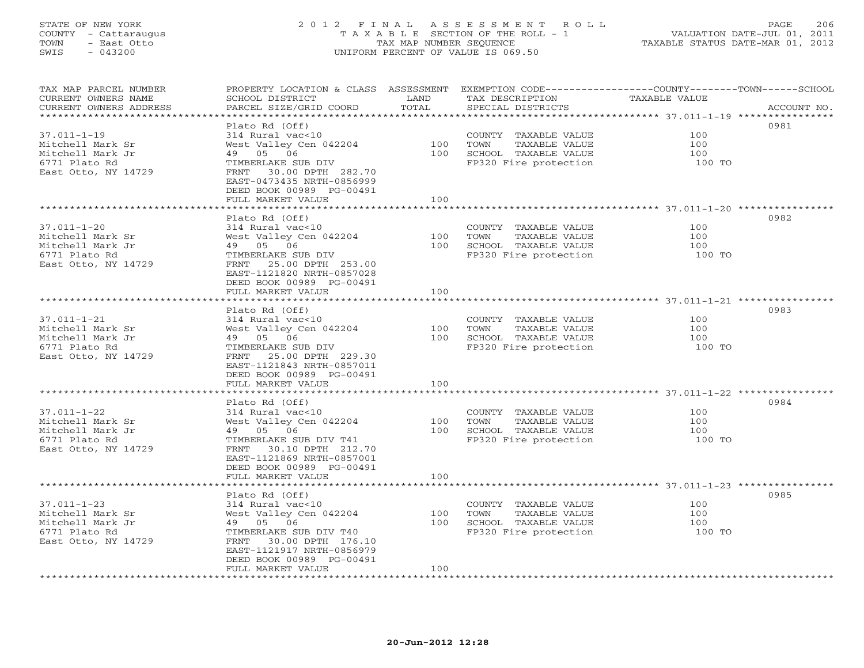# STATE OF NEW YORK 2 0 1 2 F I N A L A S S E S S M E N T R O L L PAGE 206 COUNTY - Cattaraugus T A X A B L E SECTION OF THE ROLL - 1 VALUATION DATE-JUL 01, 2011 TOWN - East Otto TAX MAP NUMBER SEQUENCE TAXABLE STATUS DATE-MAR 01, 2012 SWIS - 043200 UNIFORM PERCENT OF VALUE IS 069.50UNIFORM PERCENT OF VALUE IS 069.50

| TAX MAP PARCEL NUMBER<br>CURRENT OWNERS NAME   | PROPERTY LOCATION & CLASS ASSESSMENT<br>SCHOOL DISTRICT | LAND  | EXEMPTION CODE-----------------COUNTY-------TOWN------SCHOOL<br>TAX DESCRIPTION | TAXABLE VALUE |             |
|------------------------------------------------|---------------------------------------------------------|-------|---------------------------------------------------------------------------------|---------------|-------------|
| CURRENT OWNERS ADDRESS<br>******************** | PARCEL SIZE/GRID COORD                                  | TOTAL | SPECIAL DISTRICTS                                                               |               | ACCOUNT NO. |
|                                                | Plato Rd (Off)                                          |       |                                                                                 |               | 0981        |
|                                                |                                                         |       |                                                                                 | 100           |             |
| $37.011 - 1 - 19$                              | 314 Rural vac<10                                        |       | COUNTY TAXABLE VALUE                                                            |               |             |
| Mitchell Mark Sr                               | West Valley Cen 042204                                  | 100   | TOWN<br>TAXABLE VALUE                                                           | 100           |             |
| Mitchell Mark Jr                               | 49 05 06                                                | 100   | SCHOOL TAXABLE VALUE                                                            | 100           |             |
| 6771 Plato Rd                                  | TIMBERLAKE SUB DIV                                      |       | FP320 Fire protection                                                           | 100 TO        |             |
| East Otto, NY 14729                            | FRNT 30.00 DPTH 282.70                                  |       |                                                                                 |               |             |
|                                                | EAST-0473435 NRTH-0856999                               |       |                                                                                 |               |             |
|                                                | DEED BOOK 00989 PG-00491                                |       |                                                                                 |               |             |
|                                                | FULL MARKET VALUE                                       | 100   |                                                                                 |               |             |
|                                                |                                                         |       |                                                                                 |               |             |
|                                                | Plato Rd (Off)                                          |       |                                                                                 |               | 0982        |
| $37.011 - 1 - 20$                              | 314 Rural vac<10                                        |       | COUNTY TAXABLE VALUE                                                            | 100           |             |
| Mitchell Mark Sr                               | West Valley Cen 042204                                  | 100   | TOWN<br>TAXABLE VALUE                                                           | 100           |             |
| Mitchell Mark Jr                               | 49 05 06                                                | 100   | SCHOOL TAXABLE VALUE                                                            | 100           |             |
| 6771 Plato Rd                                  | TIMBERLAKE SUB DIV                                      |       | FP320 Fire protection                                                           | 100 TO        |             |
| East Otto, NY 14729                            | 25.00 DPTH 253.00<br>FRNT                               |       |                                                                                 |               |             |
|                                                | EAST-1121820 NRTH-0857028                               |       |                                                                                 |               |             |
|                                                | DEED BOOK 00989 PG-00491                                |       |                                                                                 |               |             |
|                                                | FULL MARKET VALUE                                       | 100   |                                                                                 |               |             |
|                                                |                                                         |       |                                                                                 |               |             |
|                                                | Plato Rd (Off)                                          |       |                                                                                 |               | 0983        |
| $37.011 - 1 - 21$                              | 314 Rural vac<10                                        |       | COUNTY TAXABLE VALUE                                                            | 100           |             |
| Mitchell Mark Sr                               | West Valley Cen 042204                                  | 100   | TOWN<br>TAXABLE VALUE                                                           | 100           |             |
| Mitchell Mark Jr                               | 49 05 06                                                | 100   | SCHOOL TAXABLE VALUE                                                            | 100           |             |
| 6771 Plato Rd                                  | TIMBERLAKE SUB DIV                                      |       | FP320 Fire protection                                                           | 100 TO        |             |
| East Otto, NY 14729                            | FRNT 25.00 DPTH 229.30                                  |       |                                                                                 |               |             |
|                                                | EAST-1121843 NRTH-0857011                               |       |                                                                                 |               |             |
|                                                | DEED BOOK 00989 PG-00491                                |       |                                                                                 |               |             |
|                                                | FULL MARKET VALUE                                       | 100   |                                                                                 |               |             |
|                                                |                                                         |       |                                                                                 |               |             |
|                                                | Plato Rd (Off)                                          |       |                                                                                 |               | 0984        |
| $37.011 - 1 - 22$                              | 314 Rural vac<10                                        |       | COUNTY TAXABLE VALUE                                                            | 100           |             |
| Mitchell Mark Sr                               | West Valley Cen 042204                                  | 100   | TOWN<br>TAXABLE VALUE                                                           | 100           |             |
| Mitchell Mark Jr                               | 49 05 06                                                | 100   | SCHOOL TAXABLE VALUE                                                            | 100           |             |
| 6771 Plato Rd                                  | TIMBERLAKE SUB DIV T41                                  |       | FP320 Fire protection                                                           | 100 TO        |             |
| East Otto, NY 14729                            | 30.10 DPTH 212.70<br>FRNT                               |       |                                                                                 |               |             |
|                                                | EAST-1121869 NRTH-0857001                               |       |                                                                                 |               |             |
|                                                | DEED BOOK 00989 PG-00491                                |       |                                                                                 |               |             |
|                                                | FULL MARKET VALUE                                       | 100   |                                                                                 |               |             |
|                                                | ***********************                                 |       |                                                                                 |               |             |
|                                                | Plato Rd (Off)                                          |       |                                                                                 |               | 0985        |
| $37.011 - 1 - 23$                              | 314 Rural vac<10                                        |       | COUNTY TAXABLE VALUE                                                            | 100           |             |
| Mitchell Mark Sr                               | West Valley Cen 042204                                  | 100   | TOWN<br>TAXABLE VALUE                                                           | 100           |             |
| Mitchell Mark Jr                               | 49 05 06                                                | 100   | SCHOOL TAXABLE VALUE                                                            | 100           |             |
| 6771 Plato Rd                                  | TIMBERLAKE SUB DIV T40                                  |       | FP320 Fire protection                                                           | 100 TO        |             |
| East Otto, NY 14729                            | 30.00 DPTH 176.10<br>FRNT                               |       |                                                                                 |               |             |
|                                                | EAST-1121917 NRTH-0856979                               |       |                                                                                 |               |             |
|                                                | DEED BOOK 00989 PG-00491                                |       |                                                                                 |               |             |
|                                                | FULL MARKET VALUE                                       | 100   |                                                                                 |               |             |
|                                                |                                                         |       |                                                                                 |               |             |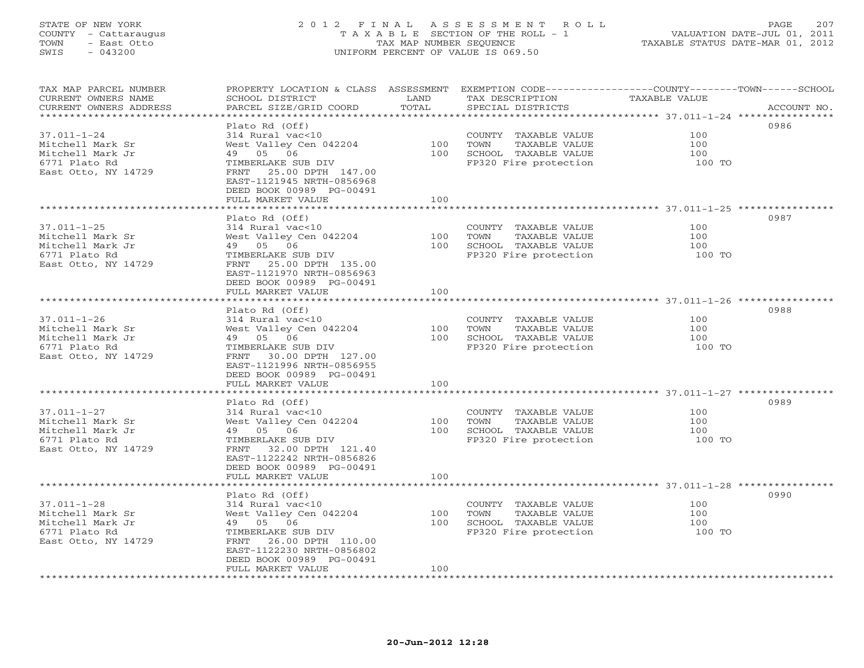# STATE OF NEW YORK 2 0 1 2 F I N A L A S S E S S M E N T R O L L PAGE 207 COUNTY - Cattaraugus T A X A B L E SECTION OF THE ROLL - 1 VALUATION DATE-JUL 01, 2011 TOWN - East Otto TAX MAP NUMBER SEQUENCE TAXABLE STATUS DATE-MAR 01, 2012 SWIS - 043200 UNIFORM PERCENT OF VALUE IS 069.50UNIFORM PERCENT OF VALUE IS 069.50

| TAX MAP PARCEL NUMBER<br>CURRENT OWNERS NAME    | PROPERTY LOCATION & CLASS ASSESSMENT<br>SCHOOL DISTRICT | LAND  | EXEMPTION CODE-----------------COUNTY-------TOWN------SCHOOL<br>TAX DESCRIPTION | TAXABLE VALUE |             |
|-------------------------------------------------|---------------------------------------------------------|-------|---------------------------------------------------------------------------------|---------------|-------------|
| CURRENT OWNERS ADDRESS<br>********************* | PARCEL SIZE/GRID COORD                                  | TOTAL | SPECIAL DISTRICTS                                                               |               | ACCOUNT NO. |
|                                                 | Plato Rd (Off)                                          |       |                                                                                 |               | 0986        |
|                                                 |                                                         |       |                                                                                 | 100           |             |
| 37.011-1-24                                     | 314 Rural vac<10                                        |       | COUNTY TAXABLE VALUE                                                            | 100           |             |
| Mitchell Mark Sr                                | West Valley Cen 042204                                  | 100   | TOWN<br>TAXABLE VALUE                                                           |               |             |
| Mitchell Mark Jr                                | 49 05 06                                                | 100   | SCHOOL TAXABLE VALUE                                                            | 100           |             |
| 6771 Plato Rd                                   | TIMBERLAKE SUB DIV                                      |       | FP320 Fire protection                                                           | 100 TO        |             |
| East Otto, NY 14729                             | FRNT<br>25.00 DPTH 147.00                               |       |                                                                                 |               |             |
|                                                 | EAST-1121945 NRTH-0856968                               |       |                                                                                 |               |             |
|                                                 | DEED BOOK 00989 PG-00491                                |       |                                                                                 |               |             |
|                                                 | FULL MARKET VALUE                                       | 100   |                                                                                 |               |             |
|                                                 |                                                         |       |                                                                                 |               | 0987        |
|                                                 | Plato Rd (Off)                                          |       |                                                                                 | 100           |             |
| $37.011 - 1 - 25$                               | 314 Rural vac<10                                        |       | COUNTY TAXABLE VALUE                                                            |               |             |
| Mitchell Mark Sr                                | West Valley Cen 042204                                  | 100   | TAXABLE VALUE<br>TOWN                                                           | 100           |             |
| Mitchell Mark Jr                                | 49 05 06                                                | 100   | SCHOOL TAXABLE VALUE                                                            | 100           |             |
| 6771 Plato Rd                                   | TIMBERLAKE SUB DIV                                      |       | FP320 Fire protection                                                           | 100 TO        |             |
| East Otto, NY 14729                             | FRNT 25.00 DPTH 135.00                                  |       |                                                                                 |               |             |
|                                                 | EAST-1121970 NRTH-0856963                               |       |                                                                                 |               |             |
|                                                 | DEED BOOK 00989 PG-00491                                |       |                                                                                 |               |             |
|                                                 | FULL MARKET VALUE                                       | 100   |                                                                                 |               |             |
|                                                 |                                                         |       |                                                                                 |               |             |
|                                                 | Plato Rd (Off)                                          |       |                                                                                 |               | 0988        |
| $37.011 - 1 - 26$                               | 314 Rural vac<10                                        |       | COUNTY TAXABLE VALUE                                                            | 100           |             |
| Mitchell Mark Sr                                | West Valley Cen 042204                                  | 100   | TOWN<br>TAXABLE VALUE                                                           | 100           |             |
| Mitchell Mark Jr                                | 49 05 06                                                | 100   | SCHOOL TAXABLE VALUE                                                            | 100           |             |
| 6771 Plato Rd                                   | TIMBERLAKE SUB DIV                                      |       | FP320 Fire protection                                                           | 100 TO        |             |
| East Otto, NY 14729                             | FRNT 30.00 DPTH 127.00                                  |       |                                                                                 |               |             |
|                                                 | EAST-1121996 NRTH-0856955                               |       |                                                                                 |               |             |
|                                                 | DEED BOOK 00989 PG-00491                                |       |                                                                                 |               |             |
|                                                 | FULL MARKET VALUE                                       | 100   |                                                                                 |               |             |
|                                                 |                                                         |       |                                                                                 |               |             |
|                                                 | Plato Rd (Off)                                          |       |                                                                                 |               | 0989        |
| $37.011 - 1 - 27$                               | 314 Rural vac<10                                        |       | COUNTY TAXABLE VALUE                                                            | 100           |             |
| Mitchell Mark Sr                                | West Valley Cen 042204                                  | 100   | TOWN<br>TAXABLE VALUE                                                           | 100           |             |
| Mitchell Mark Jr                                | 49 05 06                                                | 100   | SCHOOL TAXABLE VALUE                                                            | 100           |             |
| 6771 Plato Rd                                   | TIMBERLAKE SUB DIV                                      |       | FP320 Fire protection                                                           | 100 TO        |             |
| East Otto, NY 14729                             | FRNT<br>32.00 DPTH 121.40                               |       |                                                                                 |               |             |
|                                                 | EAST-1122242 NRTH-0856826                               |       |                                                                                 |               |             |
|                                                 | DEED BOOK 00989 PG-00491                                |       |                                                                                 |               |             |
|                                                 | FULL MARKET VALUE                                       | 100   |                                                                                 |               |             |
|                                                 |                                                         |       |                                                                                 |               | 0990        |
| $37.011 - 1 - 28$                               | Plato Rd (Off)                                          |       |                                                                                 | 100           |             |
| Mitchell Mark Sr                                | 314 Rural vac<10                                        | 100   | COUNTY TAXABLE VALUE<br>TAXABLE VALUE                                           | 100           |             |
| Mitchell Mark Jr                                | West Valley Cen 042204<br>49 05 06                      | 100   | TOWN<br>SCHOOL TAXABLE VALUE                                                    | 100           |             |
| 6771 Plato Rd                                   | TIMBERLAKE SUB DIV                                      |       | FP320 Fire protection                                                           | 100 TO        |             |
|                                                 | FRNT 26.00 DPTH 110.00                                  |       |                                                                                 |               |             |
| East Otto, NY 14729                             | EAST-1122230 NRTH-0856802                               |       |                                                                                 |               |             |
|                                                 |                                                         |       |                                                                                 |               |             |
|                                                 | DEED BOOK 00989 PG-00491<br>FULL MARKET VALUE           | 100   |                                                                                 |               |             |
|                                                 |                                                         |       |                                                                                 |               |             |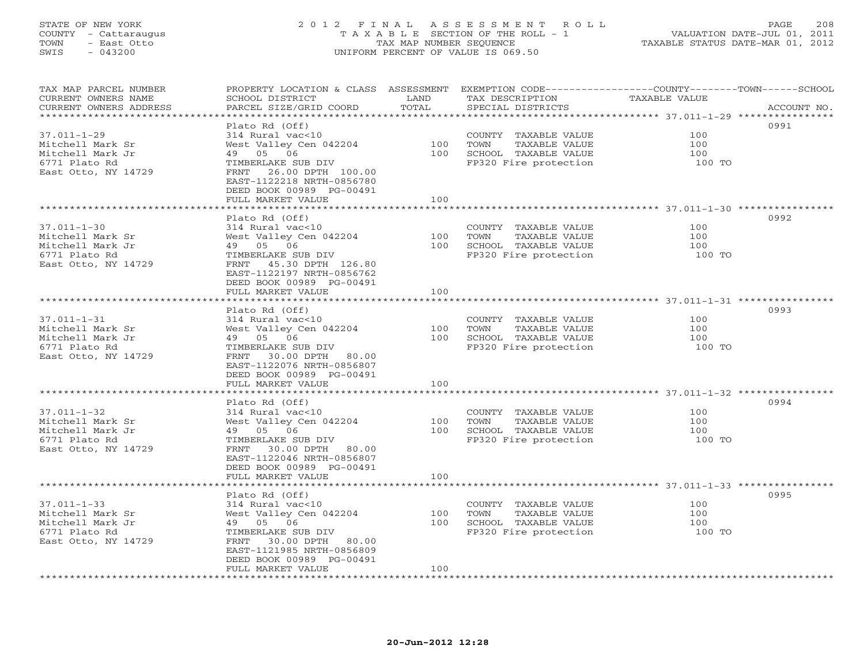# STATE OF NEW YORK 2 0 1 2 F I N A L A S S E S S M E N T R O L L PAGE 208 COUNTY - Cattaraugus T A X A B L E SECTION OF THE ROLL - 1 VALUATION DATE-JUL 01, 2011 TOWN - East Otto TAX MAP NUMBER SEQUENCE TAXABLE STATUS DATE-MAR 01, 2012 SWIS - 043200 UNIFORM PERCENT OF VALUE IS 069.50UNIFORM PERCENT OF VALUE IS 069.50

| TAX MAP PARCEL NUMBER<br>CURRENT OWNERS NAME | PROPERTY LOCATION & CLASS ASSESSMENT<br>SCHOOL DISTRICT    | LAND                         | EXEMPTION CODE-----------------COUNTY-------TOWN------SCHOOL<br>TAX DESCRIPTION | TAXABLE VALUE                                |                                        |
|----------------------------------------------|------------------------------------------------------------|------------------------------|---------------------------------------------------------------------------------|----------------------------------------------|----------------------------------------|
| CURRENT OWNERS ADDRESS<br>****************   | PARCEL SIZE/GRID COORD                                     | TOTAL<br>******************* | SPECIAL DISTRICTS                                                               |                                              | ACCOUNT NO.<br>* * * * * * * * * * * * |
|                                              |                                                            |                              |                                                                                 | *************************** 37.011-1-29 **** |                                        |
|                                              | Plato Rd (Off)                                             |                              |                                                                                 |                                              | 0991                                   |
| $37.011 - 1 - 29$                            | 314 Rural vac<10                                           |                              | COUNTY TAXABLE VALUE                                                            | 100                                          |                                        |
| Mitchell Mark Sr                             | West Valley Cen 042204                                     | 100                          | TAXABLE VALUE<br>TOWN                                                           | 100                                          |                                        |
| Mitchell Mark Jr                             | 49 05 06                                                   | 100                          | SCHOOL TAXABLE VALUE                                                            | 100                                          |                                        |
| 6771 Plato Rd                                | TIMBERLAKE SUB DIV                                         |                              | FP320 Fire protection                                                           | 100 TO                                       |                                        |
| East Otto, NY 14729                          | 26.00 DPTH 100.00<br>FRNT                                  |                              |                                                                                 |                                              |                                        |
|                                              | EAST-1122218 NRTH-0856780                                  |                              |                                                                                 |                                              |                                        |
|                                              | DEED BOOK 00989 PG-00491                                   |                              |                                                                                 |                                              |                                        |
|                                              | FULL MARKET VALUE                                          | 100                          |                                                                                 |                                              |                                        |
|                                              |                                                            |                              |                                                                                 |                                              |                                        |
|                                              | Plato Rd (Off)                                             |                              |                                                                                 |                                              | 0992                                   |
| $37.011 - 1 - 30$                            | 314 Rural vac<10                                           |                              | COUNTY TAXABLE VALUE                                                            | 100                                          |                                        |
| Mitchell Mark Sr                             | West Valley Cen 042204                                     | 100                          | TOWN<br>TAXABLE VALUE                                                           | 100                                          |                                        |
| Mitchell Mark Jr                             | 49 05 06                                                   | 100                          | SCHOOL TAXABLE VALUE                                                            | 100                                          |                                        |
| 6771 Plato Rd                                | TIMBERLAKE SUB DIV                                         |                              | FP320 Fire protection                                                           | 100 TO                                       |                                        |
| East Otto, NY 14729                          | FRNT 45.30 DPTH 126.80                                     |                              |                                                                                 |                                              |                                        |
|                                              | EAST-1122197 NRTH-0856762                                  |                              |                                                                                 |                                              |                                        |
|                                              | DEED BOOK 00989 PG-00491                                   |                              |                                                                                 |                                              |                                        |
|                                              | FULL MARKET VALUE                                          | 100                          |                                                                                 |                                              |                                        |
|                                              |                                                            |                              |                                                                                 |                                              |                                        |
|                                              | Plato Rd (Off)                                             |                              |                                                                                 |                                              | 0993                                   |
| $37.011 - 1 - 31$                            | 314 Rural vac<10                                           |                              | COUNTY TAXABLE VALUE                                                            | 100                                          |                                        |
| Mitchell Mark Sr                             | West Valley Cen 042204                                     | 100                          | TAXABLE VALUE<br>TOWN                                                           | 100                                          |                                        |
| Mitchell Mark Jr                             | 49 05 06                                                   | 100                          | SCHOOL TAXABLE VALUE                                                            | 100                                          |                                        |
| 6771 Plato Rd                                | TIMBERLAKE SUB DIV                                         |                              | FP320 Fire protection                                                           | 100 TO                                       |                                        |
| East Otto, NY 14729                          | 30.00 DPTH 80.00<br>FRNT                                   |                              |                                                                                 |                                              |                                        |
|                                              | EAST-1122076 NRTH-0856807                                  |                              |                                                                                 |                                              |                                        |
|                                              | DEED BOOK 00989 PG-00491                                   |                              |                                                                                 |                                              |                                        |
|                                              | FULL MARKET VALUE                                          | 100                          |                                                                                 |                                              |                                        |
|                                              |                                                            |                              |                                                                                 |                                              |                                        |
|                                              | Plato Rd (Off)                                             |                              |                                                                                 |                                              | 0994                                   |
| $37.011 - 1 - 32$                            | 314 Rural vac<10                                           |                              | COUNTY TAXABLE VALUE                                                            | 100                                          |                                        |
| Mitchell Mark Sr                             | West Valley Cen 042204                                     | 100                          | TOWN<br>TAXABLE VALUE                                                           | 100                                          |                                        |
| Mitchell Mark Jr                             | 49 05 06                                                   | 100                          | SCHOOL TAXABLE VALUE                                                            | 100                                          |                                        |
| 6771 Plato Rd                                | TIMBERLAKE SUB DIV                                         |                              | FP320 Fire protection                                                           | 100 TO                                       |                                        |
| East Otto, NY 14729                          | FRNT<br>30.00 DPTH<br>80.00                                |                              |                                                                                 |                                              |                                        |
|                                              | EAST-1122046 NRTH-0856807                                  |                              |                                                                                 |                                              |                                        |
|                                              | DEED BOOK 00989 PG-00491                                   |                              |                                                                                 |                                              |                                        |
|                                              | FULL MARKET VALUE<br>* * * * * * * * * * * * * * * * * * * | 100                          |                                                                                 |                                              |                                        |
|                                              | Plato Rd (Off)                                             |                              |                                                                                 |                                              | 0995                                   |
| $37.011 - 1 - 33$                            | 314 Rural vac<10                                           |                              | COUNTY TAXABLE VALUE                                                            | 100                                          |                                        |
| Mitchell Mark Sr                             | West Valley Cen 042204                                     | 100                          | TAXABLE VALUE<br>TOWN                                                           | 100                                          |                                        |
| Mitchell Mark Jr                             | 49 05 06                                                   | 100                          | SCHOOL TAXABLE VALUE                                                            | 100                                          |                                        |
| 6771 Plato Rd                                | TIMBERLAKE SUB DIV                                         |                              | FP320 Fire protection                                                           | 100 TO                                       |                                        |
| East Otto, NY 14729                          | 30.00 DPTH<br>FRNT<br>80.00                                |                              |                                                                                 |                                              |                                        |
|                                              | EAST-1121985 NRTH-0856809                                  |                              |                                                                                 |                                              |                                        |
|                                              | DEED BOOK 00989 PG-00491                                   |                              |                                                                                 |                                              |                                        |
|                                              | FULL MARKET VALUE                                          | 100                          |                                                                                 |                                              |                                        |
|                                              |                                                            |                              |                                                                                 |                                              |                                        |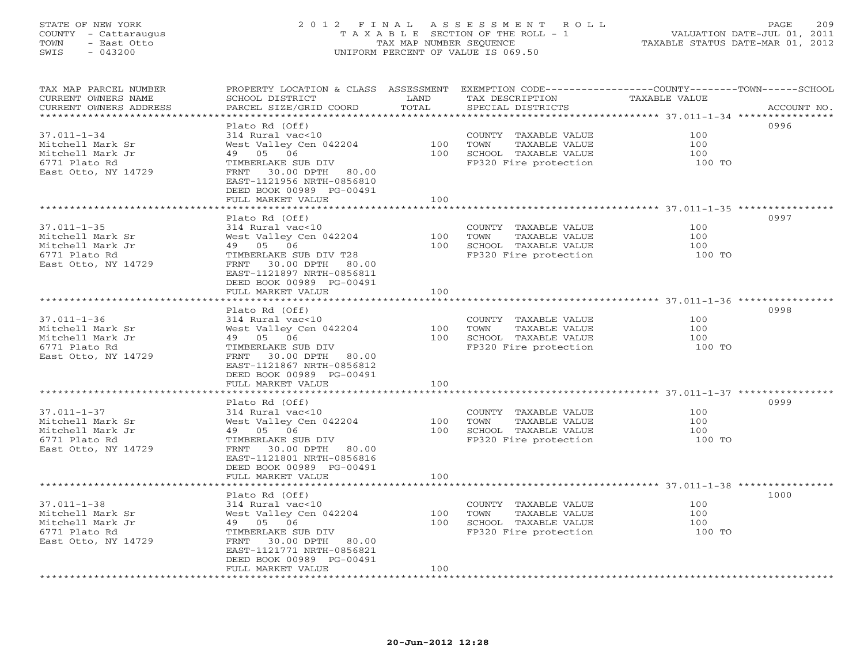# STATE OF NEW YORK 2 0 1 2 F I N A L A S S E S S M E N T R O L L PAGE 209 COUNTY - Cattaraugus T A X A B L E SECTION OF THE ROLL - 1 VALUATION DATE-JUL 01, 2011 TOWN - East Otto TAX MAP NUMBER SEQUENCE TAXABLE STATUS DATE-MAR 01, 2012 SWIS - 043200 UNIFORM PERCENT OF VALUE IS 069.50UNIFORM PERCENT OF VALUE IS 069.50

| TAX MAP PARCEL NUMBER<br>CURRENT OWNERS NAME | SCHOOL DISTRICT                                       | LAND  | TAX DESCRIPTION                               | PROPERTY LOCATION & CLASS ASSESSMENT EXEMPTION CODE----------------COUNTY-------TOWN------SCHOOL<br><b>TAXABLE VALUE</b> |
|----------------------------------------------|-------------------------------------------------------|-------|-----------------------------------------------|--------------------------------------------------------------------------------------------------------------------------|
| CURRENT OWNERS ADDRESS                       | PARCEL SIZE/GRID COORD                                | TOTAL | SPECIAL DISTRICTS                             | ACCOUNT NO.                                                                                                              |
|                                              |                                                       |       |                                               |                                                                                                                          |
|                                              | Plato Rd (Off)                                        |       |                                               | 0996                                                                                                                     |
| $37.011 - 1 - 34$                            | 314 Rural vac<10                                      |       | COUNTY TAXABLE VALUE                          | 100                                                                                                                      |
| Mitchell Mark Sr                             | West Valley Cen 042204                                | 100   | TAXABLE VALUE<br>TOWN                         | 100                                                                                                                      |
| Mitchell Mark Jr                             | 49 05 06                                              | 100   | SCHOOL TAXABLE VALUE                          | 100                                                                                                                      |
| 6771 Plato Rd                                | TIMBERLAKE SUB DIV                                    |       | FP320 Fire protection                         | 100 TO                                                                                                                   |
| East Otto, NY 14729                          | 30.00 DPTH<br>FRNT<br>80.00                           |       |                                               |                                                                                                                          |
|                                              | EAST-1121956 NRTH-0856810<br>DEED BOOK 00989 PG-00491 |       |                                               |                                                                                                                          |
|                                              | FULL MARKET VALUE                                     | 100   |                                               |                                                                                                                          |
|                                              |                                                       |       |                                               |                                                                                                                          |
|                                              | Plato Rd (Off)                                        |       |                                               | 0997                                                                                                                     |
| $37.011 - 1 - 35$                            | 314 Rural vac<10                                      |       | COUNTY TAXABLE VALUE                          | 100                                                                                                                      |
| Mitchell Mark Sr                             | West Valley Cen 042204                                | 100   | TOWN<br>TAXABLE VALUE                         | 100                                                                                                                      |
| Mitchell Mark Jr                             | 49 05 06                                              | 100   | SCHOOL TAXABLE VALUE                          | 100                                                                                                                      |
| 6771 Plato Rd                                | TIMBERLAKE SUB DIV T28                                |       | FP320 Fire protection                         | 100 TO                                                                                                                   |
| East Otto, NY 14729                          | FRNT<br>30.00 DPTH 80.00                              |       |                                               |                                                                                                                          |
|                                              | EAST-1121897 NRTH-0856811                             |       |                                               |                                                                                                                          |
|                                              | DEED BOOK 00989 PG-00491                              |       |                                               |                                                                                                                          |
|                                              | FULL MARKET VALUE                                     | 100   |                                               |                                                                                                                          |
|                                              |                                                       |       |                                               |                                                                                                                          |
|                                              | Plato Rd (Off)                                        |       |                                               | 0998<br>100                                                                                                              |
| $37.011 - 1 - 36$<br>Mitchell Mark Sr        | 314 Rural vac<10                                      | 100   | COUNTY TAXABLE VALUE                          | 100                                                                                                                      |
| Mitchell Mark Jr                             | West Valley Cen 042204                                | 100   | TAXABLE VALUE<br>TOWN                         | 100                                                                                                                      |
| 6771 Plato Rd                                | 49 05 06<br>TIMBERLAKE SUB DIV                        |       | SCHOOL TAXABLE VALUE<br>FP320 Fire protection | 100 TO                                                                                                                   |
| East Otto, NY 14729                          | FRNT<br>30.00 DPTH 80.00                              |       |                                               |                                                                                                                          |
|                                              | EAST-1121867 NRTH-0856812                             |       |                                               |                                                                                                                          |
|                                              | DEED BOOK 00989 PG-00491                              |       |                                               |                                                                                                                          |
|                                              | FULL MARKET VALUE                                     | 100   |                                               |                                                                                                                          |
|                                              | ********************                                  |       |                                               |                                                                                                                          |
|                                              | Plato Rd (Off)                                        |       |                                               | 0999                                                                                                                     |
| $37.011 - 1 - 37$                            | 314 Rural vac<10                                      |       | COUNTY TAXABLE VALUE                          | 100                                                                                                                      |
| Mitchell Mark Sr                             | West Valley Cen 042204                                | 100   | TOWN<br>TAXABLE VALUE                         | 100                                                                                                                      |
| Mitchell Mark Jr                             | 49 05 06                                              | 100   | SCHOOL TAXABLE VALUE                          | 100                                                                                                                      |
| 6771 Plato Rd                                | TIMBERLAKE SUB DIV                                    |       | FP320 Fire protection                         | 100 TO                                                                                                                   |
| East Otto, NY 14729                          | FRNT<br>30.00 DPTH 80.00                              |       |                                               |                                                                                                                          |
|                                              | EAST-1121801 NRTH-0856816                             |       |                                               |                                                                                                                          |
|                                              | DEED BOOK 00989 PG-00491                              |       |                                               |                                                                                                                          |
|                                              | FULL MARKET VALUE                                     | 100   |                                               |                                                                                                                          |
|                                              |                                                       |       |                                               |                                                                                                                          |
|                                              | Plato Rd (Off)                                        |       |                                               | 1000                                                                                                                     |
| $37.011 - 1 - 38$                            | 314 Rural vac<10                                      |       | COUNTY TAXABLE VALUE                          | 100                                                                                                                      |
| Mitchell Mark Sr                             | West Valley Cen 042204                                | 100   | TOWN<br>TAXABLE VALUE                         | 100                                                                                                                      |
| Mitchell Mark Jr                             | 49 05 06                                              | 100   | SCHOOL TAXABLE VALUE                          | 100                                                                                                                      |
| 6771 Plato Rd                                | TIMBERLAKE SUB DIV                                    |       | FP320 Fire protection                         | 100 TO                                                                                                                   |
| East Otto, NY 14729                          | FRNT<br>30.00 DPTH 80.00                              |       |                                               |                                                                                                                          |
|                                              | EAST-1121771 NRTH-0856821                             |       |                                               |                                                                                                                          |
|                                              | DEED BOOK 00989 PG-00491                              |       |                                               |                                                                                                                          |
|                                              | FULL MARKET VALUE                                     | 100   |                                               |                                                                                                                          |
|                                              |                                                       |       |                                               |                                                                                                                          |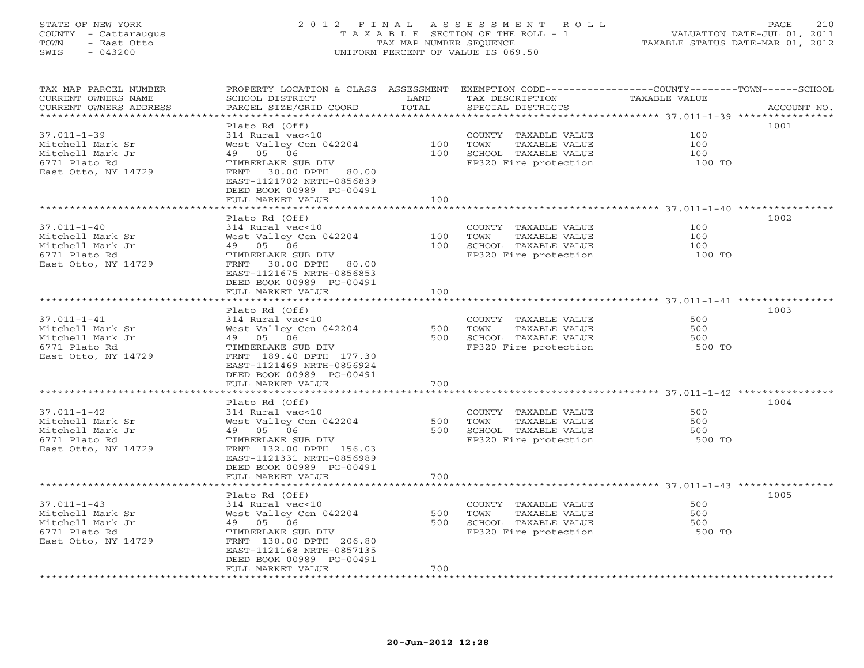# STATE OF NEW YORK 2 0 1 2 F I N A L A S S E S S M E N T R O L L PAGE 210 COUNTY - Cattaraugus T A X A B L E SECTION OF THE ROLL - 1 VALUATION DATE-JUL 01, 2011 TOWN - East Otto TAX MAP NUMBER SEQUENCE TAXABLE STATUS DATE-MAR 01, 2012 SWIS - 043200 UNIFORM PERCENT OF VALUE IS 069.50UNIFORM PERCENT OF VALUE IS 069.50

| TAX MAP PARCEL NUMBER<br>CURRENT OWNERS NAME | PROPERTY LOCATION & CLASS ASSESSMENT<br>SCHOOL DISTRICT | LAND                   | EXEMPTION CODE-----------------COUNTY-------TOWN------SCHOOL<br>TAX DESCRIPTION | TAXABLE VALUE                                            |             |
|----------------------------------------------|---------------------------------------------------------|------------------------|---------------------------------------------------------------------------------|----------------------------------------------------------|-------------|
| CURRENT OWNERS ADDRESS                       | PARCEL SIZE/GRID COORD                                  | TOTAL<br>************* | SPECIAL DISTRICTS                                                               |                                                          | ACCOUNT NO. |
|                                              | Plato Rd (Off)                                          |                        |                                                                                 |                                                          | 1001        |
|                                              |                                                         |                        |                                                                                 | 100                                                      |             |
| $37.011 - 1 - 39$                            | 314 Rural vac<10                                        |                        | COUNTY TAXABLE VALUE                                                            |                                                          |             |
| Mitchell Mark Sr                             | West Valley Cen 042204                                  | 100                    | TOWN<br>TAXABLE VALUE                                                           | 100                                                      |             |
| Mitchell Mark Jr                             | 49 05 06                                                | 100                    | SCHOOL TAXABLE VALUE                                                            | 100                                                      |             |
| 6771 Plato Rd                                | TIMBERLAKE SUB DIV                                      |                        | FP320 Fire protection                                                           | 100 TO                                                   |             |
| East Otto, NY 14729                          | 30.00 DPTH 80.00<br>FRNT                                |                        |                                                                                 |                                                          |             |
|                                              | EAST-1121702 NRTH-0856839<br>DEED BOOK 00989 PG-00491   |                        |                                                                                 |                                                          |             |
|                                              | FULL MARKET VALUE                                       | 100                    |                                                                                 |                                                          |             |
|                                              |                                                         |                        |                                                                                 |                                                          |             |
|                                              | Plato Rd (Off)                                          |                        |                                                                                 |                                                          | 1002        |
| $37.011 - 1 - 40$                            | 314 Rural vac<10                                        |                        | COUNTY TAXABLE VALUE                                                            | 100                                                      |             |
| Mitchell Mark Sr                             | West Valley Cen 042204                                  | 100                    | TAXABLE VALUE<br>TOWN                                                           | 100                                                      |             |
| Mitchell Mark Jr                             | 49 05 06                                                | 100                    | SCHOOL TAXABLE VALUE                                                            | 100                                                      |             |
| 6771 Plato Rd                                | TIMBERLAKE SUB DIV                                      |                        | FP320 Fire protection                                                           | 100 TO                                                   |             |
|                                              |                                                         |                        |                                                                                 |                                                          |             |
| East Otto, NY 14729                          | 30.00 DPTH 80.00<br>FRNT<br>EAST-1121675 NRTH-0856853   |                        |                                                                                 |                                                          |             |
|                                              |                                                         |                        |                                                                                 |                                                          |             |
|                                              | DEED BOOK 00989 PG-00491                                | 100                    |                                                                                 |                                                          |             |
|                                              | FULL MARKET VALUE<br>**********************             |                        |                                                                                 |                                                          |             |
|                                              |                                                         |                        |                                                                                 |                                                          | 1003        |
| $37.011 - 1 - 41$                            | Plato Rd (Off)<br>314 Rural vac<10                      |                        | COUNTY TAXABLE VALUE                                                            | 500                                                      |             |
| Mitchell Mark Sr                             | West Valley Cen 042204                                  | 500                    | TOWN<br>TAXABLE VALUE                                                           | 500                                                      |             |
| Mitchell Mark Jr                             | 49 05 06                                                | 500                    | SCHOOL TAXABLE VALUE                                                            | 500                                                      |             |
|                                              |                                                         |                        |                                                                                 |                                                          |             |
| 6771 Plato Rd                                | TIMBERLAKE SUB DIV                                      |                        | FP320 Fire protection                                                           | 500 TO                                                   |             |
| East Otto, NY 14729                          | FRNT 189.40 DPTH 177.30                                 |                        |                                                                                 |                                                          |             |
|                                              | EAST-1121469 NRTH-0856924                               |                        |                                                                                 |                                                          |             |
|                                              | DEED BOOK 00989 PG-00491<br>FULL MARKET VALUE           | 700                    |                                                                                 |                                                          |             |
|                                              |                                                         |                        |                                                                                 |                                                          |             |
|                                              | Plato Rd (Off)                                          |                        |                                                                                 |                                                          | 1004        |
| $37.011 - 1 - 42$                            | 314 Rural vac<10                                        |                        | COUNTY TAXABLE VALUE                                                            | 500                                                      |             |
| Mitchell Mark Sr                             | West Valley Cen 042204                                  | 500                    | TOWN<br>TAXABLE VALUE                                                           | 500                                                      |             |
| Mitchell Mark Jr                             | 49 05 06                                                | 500                    | SCHOOL TAXABLE VALUE                                                            | 500                                                      |             |
| 6771 Plato Rd                                | TIMBERLAKE SUB DIV                                      |                        | FP320 Fire protection                                                           | 500 TO                                                   |             |
| East Otto, NY 14729                          | FRNT 132.00 DPTH 156.03                                 |                        |                                                                                 |                                                          |             |
|                                              | EAST-1121331 NRTH-0856989                               |                        |                                                                                 |                                                          |             |
|                                              | DEED BOOK 00989 PG-00491                                |                        |                                                                                 |                                                          |             |
|                                              | FULL MARKET VALUE                                       | 700                    |                                                                                 |                                                          |             |
|                                              | *******************                                     | **********             |                                                                                 | ******************************** 37.011-1-43 *********** |             |
|                                              | Plato Rd (Off)                                          |                        |                                                                                 |                                                          | 1005        |
| $37.011 - 1 - 43$                            | 314 Rural vac<10                                        |                        | COUNTY TAXABLE VALUE                                                            | 500                                                      |             |
| Mitchell Mark Sr                             | West Valley Cen 042204                                  | 500                    | TAXABLE VALUE<br>TOWN                                                           | 500                                                      |             |
| Mitchell Mark Jr                             | 49 05 06                                                | 500                    | SCHOOL TAXABLE VALUE                                                            | 500                                                      |             |
| 6771 Plato Rd                                | TIMBERLAKE SUB DIV                                      |                        | FP320 Fire protection                                                           | 500 TO                                                   |             |
| East Otto, NY 14729                          | FRNT 130.00 DPTH 206.80                                 |                        |                                                                                 |                                                          |             |
|                                              | EAST-1121168 NRTH-0857135                               |                        |                                                                                 |                                                          |             |
|                                              | DEED BOOK 00989 PG-00491                                |                        |                                                                                 |                                                          |             |
|                                              | FULL MARKET VALUE                                       | 700                    |                                                                                 |                                                          |             |
|                                              |                                                         |                        |                                                                                 |                                                          |             |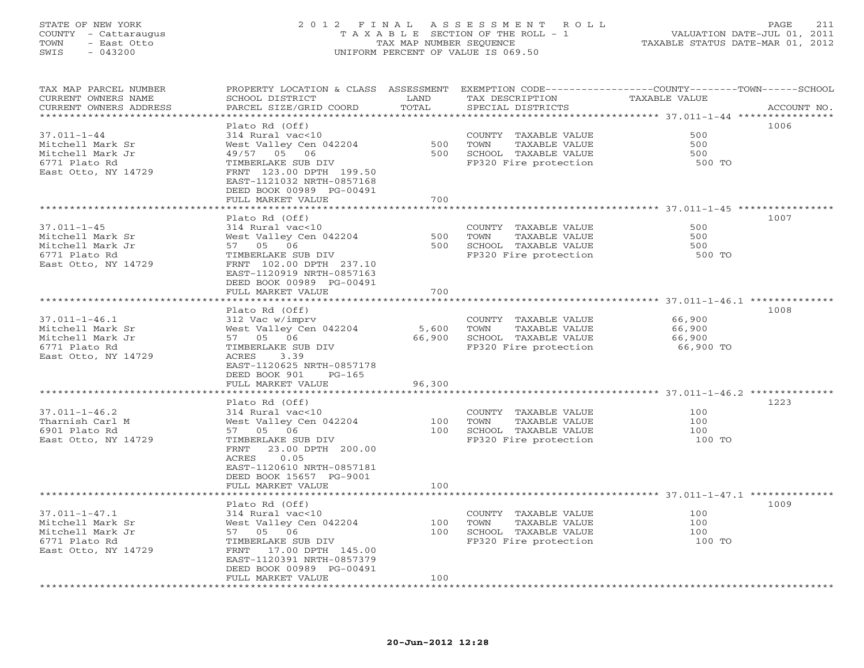# STATE OF NEW YORK 2 0 1 2 F I N A L A S S E S S M E N T R O L L PAGE 211 COUNTY - Cattaraugus T A X A B L E SECTION OF THE ROLL - 1 VALUATION DATE-JUL 01, 2011 TOWN - East Otto TAX MAP NUMBER SEQUENCE TAXABLE STATUS DATE-MAR 01, 2012<br>
SWIS - 043200 - TAXABLE STATUS DATE-MAR 01, 2012 SWIS - 043200 UNIFORM PERCENT OF VALUE IS 069.50

| TAX MAP PARCEL NUMBER<br>CURRENT OWNERS NAME<br>CURRENT OWNERS ADDRESS | PROPERTY LOCATION & CLASS ASSESSMENT<br>SCHOOL DISTRICT<br>PARCEL SIZE/GRID COORD | LAND<br>TOTAL                   | EXEMPTION CODE-----------------COUNTY-------TOWN------SCHOOL<br>TAX DESCRIPTION<br>SPECIAL DISTRICTS | TAXABLE VALUE                                               | ACCOUNT NO. |
|------------------------------------------------------------------------|-----------------------------------------------------------------------------------|---------------------------------|------------------------------------------------------------------------------------------------------|-------------------------------------------------------------|-------------|
| **********************                                                 | ***********************                                                           |                                 |                                                                                                      |                                                             |             |
|                                                                        | Plato Rd (Off)                                                                    |                                 |                                                                                                      |                                                             | 1006        |
| $37.011 - 1 - 44$                                                      | 314 Rural vac<10                                                                  |                                 | COUNTY TAXABLE VALUE                                                                                 | 500                                                         |             |
| Mitchell Mark Sr                                                       | West Valley Cen 042204                                                            | 500                             | TOWN<br>TAXABLE VALUE                                                                                | 500                                                         |             |
| Mitchell Mark Jr                                                       | 49/57 05 06                                                                       | 500                             | SCHOOL TAXABLE VALUE                                                                                 | 500                                                         |             |
| 6771 Plato Rd                                                          | TIMBERLAKE SUB DIV                                                                |                                 | FP320 Fire protection                                                                                | 500 TO                                                      |             |
| East Otto, NY 14729                                                    | FRNT 123.00 DPTH 199.50                                                           |                                 |                                                                                                      |                                                             |             |
|                                                                        | EAST-1121032 NRTH-0857168                                                         |                                 |                                                                                                      |                                                             |             |
|                                                                        | DEED BOOK 00989 PG-00491                                                          |                                 |                                                                                                      |                                                             |             |
|                                                                        | FULL MARKET VALUE                                                                 | 700                             |                                                                                                      |                                                             |             |
|                                                                        | *******************                                                               |                                 |                                                                                                      |                                                             |             |
|                                                                        | Plato Rd (Off)                                                                    |                                 |                                                                                                      |                                                             | 1007        |
| $37.011 - 1 - 45$                                                      | 314 Rural vac<10                                                                  |                                 | COUNTY TAXABLE VALUE                                                                                 | 500                                                         |             |
| Mitchell Mark Sr                                                       | West Valley Cen 042204                                                            | 500                             | TOWN<br>TAXABLE VALUE                                                                                | 500                                                         |             |
| Mitchell Mark Jr                                                       | 57 05 06                                                                          | 500                             | SCHOOL TAXABLE VALUE                                                                                 | 500                                                         |             |
| 6771 Plato Rd                                                          | TIMBERLAKE SUB DIV                                                                |                                 | FP320 Fire protection                                                                                | 500 TO                                                      |             |
| East Otto, NY 14729                                                    | FRNT 102.00 DPTH 237.10                                                           |                                 |                                                                                                      |                                                             |             |
|                                                                        | EAST-1120919 NRTH-0857163                                                         |                                 |                                                                                                      |                                                             |             |
|                                                                        | DEED BOOK 00989 PG-00491                                                          |                                 |                                                                                                      |                                                             |             |
|                                                                        | FULL MARKET VALUE                                                                 | 700                             |                                                                                                      |                                                             |             |
|                                                                        |                                                                                   | * * * * * * * * * * * * * * * * |                                                                                                      |                                                             |             |
|                                                                        | Plato Rd (Off)                                                                    |                                 |                                                                                                      |                                                             | 1008        |
| $37.011 - 1 - 46.1$                                                    | 312 Vac w/imprv                                                                   |                                 | COUNTY TAXABLE VALUE                                                                                 | 66,900                                                      |             |
| Mitchell Mark Sr                                                       | West Valley Cen 042204                                                            | 5,600                           | TOWN<br>TAXABLE VALUE                                                                                | 66,900                                                      |             |
| Mitchell Mark Jr                                                       | 57 05 06                                                                          | 66,900                          | SCHOOL TAXABLE VALUE                                                                                 | 66,900                                                      |             |
| 6771 Plato Rd                                                          | TIMBERLAKE SUB DIV                                                                |                                 | FP320 Fire protection                                                                                | 66,900 TO                                                   |             |
| East Otto, NY 14729                                                    | ACRES 3.39                                                                        |                                 |                                                                                                      |                                                             |             |
|                                                                        | EAST-1120625 NRTH-0857178                                                         |                                 |                                                                                                      |                                                             |             |
|                                                                        | DEED BOOK 901<br>$PG-165$                                                         |                                 |                                                                                                      |                                                             |             |
|                                                                        | FULL MARKET VALUE                                                                 | 96,300                          |                                                                                                      |                                                             |             |
|                                                                        |                                                                                   | **************                  |                                                                                                      |                                                             |             |
|                                                                        | Plato Rd (Off)                                                                    |                                 |                                                                                                      |                                                             | 1223        |
| $37.011 - 1 - 46.2$                                                    | 314 Rural vac<10                                                                  |                                 | COUNTY TAXABLE VALUE                                                                                 | 100                                                         |             |
| Tharnish Carl M                                                        | West Valley Cen 042204                                                            | 100                             | TOWN<br>TAXABLE VALUE                                                                                | 100                                                         |             |
| 6901 Plato Rd                                                          | 57 05 06                                                                          | 100                             | SCHOOL TAXABLE VALUE                                                                                 | 100                                                         |             |
| East Otto, NY 14729                                                    | TIMBERLAKE SUB DIV                                                                |                                 | FP320 Fire protection                                                                                | 100 TO                                                      |             |
|                                                                        | 23.00 DPTH 200.00<br>FRNT                                                         |                                 |                                                                                                      |                                                             |             |
|                                                                        | ACRES<br>0.05                                                                     |                                 |                                                                                                      |                                                             |             |
|                                                                        | EAST-1120610 NRTH-0857181                                                         |                                 |                                                                                                      |                                                             |             |
|                                                                        | DEED BOOK 15657 PG-9001                                                           |                                 |                                                                                                      |                                                             |             |
|                                                                        | FULL MARKET VALUE                                                                 | 100                             |                                                                                                      |                                                             |             |
|                                                                        | * * * * * * * * * * * * * * * * * *                                               | **********                      |                                                                                                      | ****************************** 37.011-1-47.1 ************** |             |
|                                                                        | Plato Rd (Off)                                                                    |                                 |                                                                                                      |                                                             | 1009        |
| $37.011 - 1 - 47.1$                                                    | 314 Rural vac<10                                                                  |                                 | COUNTY TAXABLE VALUE                                                                                 | 100                                                         |             |
| Mitchell Mark Sr                                                       | West Valley Cen 042204                                                            | 100                             | TAXABLE VALUE<br>TOWN                                                                                | 100                                                         |             |
| Mitchell Mark Jr                                                       | 57 05 06                                                                          | 100                             | SCHOOL TAXABLE VALUE                                                                                 | 100                                                         |             |
| 6771 Plato Rd                                                          | TIMBERLAKE SUB DIV                                                                |                                 | FP320 Fire protection                                                                                | 100 TO                                                      |             |
| East Otto, NY 14729                                                    | 17.00 DPTH 145.00<br>FRNT                                                         |                                 |                                                                                                      |                                                             |             |
|                                                                        | EAST-1120391 NRTH-0857379                                                         |                                 |                                                                                                      |                                                             |             |
|                                                                        | DEED BOOK 00989 PG-00491                                                          |                                 |                                                                                                      |                                                             |             |
| ************************                                               | FULL MARKET VALUE                                                                 | 100<br>+ + + + + + + + + + +    |                                                                                                      |                                                             |             |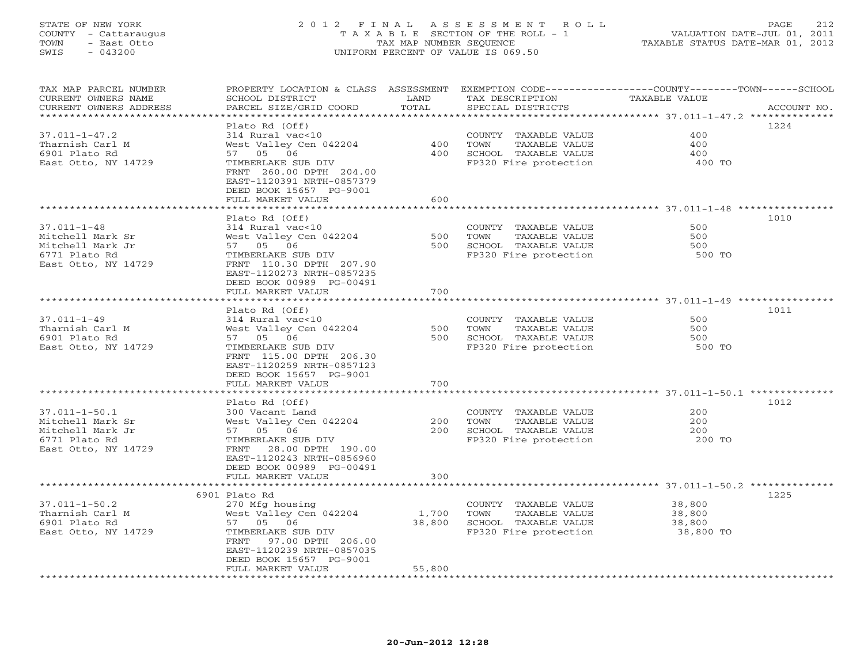# STATE OF NEW YORK 2 0 1 2 F I N A L A S S E S S M E N T R O L L PAGE 212 COUNTY - Cattaraugus T A X A B L E SECTION OF THE ROLL - 1 VALUATION DATE-JUL 01, 2011 TOWN - East Otto TAX MAP NUMBER SEQUENCE TAXABLE STATUS DATE-MAR 01, 2012 SWIS - 043200 UNIFORM PERCENT OF VALUE IS 069.50UNIFORM PERCENT OF VALUE IS 069.50

| TAX MAP PARCEL NUMBER<br>CURRENT OWNERS NAME | PROPERTY LOCATION & CLASS ASSESSMENT<br>SCHOOL DISTRICT | LAND      | TAX DESCRIPTION       | EXEMPTION CODE-----------------COUNTY-------TOWN-----SCHOOL<br>TAXABLE VALUE |
|----------------------------------------------|---------------------------------------------------------|-----------|-----------------------|------------------------------------------------------------------------------|
| CURRENT OWNERS ADDRESS                       | PARCEL SIZE/GRID COORD                                  | TOTAL     | SPECIAL DISTRICTS     | ACCOUNT NO.                                                                  |
|                                              |                                                         | ********* |                       |                                                                              |
|                                              | Plato Rd (Off)                                          |           |                       | 1224                                                                         |
| $37.011 - 1 - 47.2$                          | 314 Rural vac<10                                        |           | COUNTY TAXABLE VALUE  | 400                                                                          |
| Tharnish Carl M                              | West Valley Cen 042204                                  | 400       | TOWN<br>TAXABLE VALUE | 400                                                                          |
| 6901 Plato Rd                                | 57 05 06                                                | 400       | SCHOOL TAXABLE VALUE  | 400                                                                          |
| East Otto, NY 14729                          | TIMBERLAKE SUB DIV                                      |           | FP320 Fire protection | 400 TO                                                                       |
|                                              | FRNT 260.00 DPTH 204.00                                 |           |                       |                                                                              |
|                                              | EAST-1120391 NRTH-0857379                               |           |                       |                                                                              |
|                                              | DEED BOOK 15657 PG-9001                                 |           |                       |                                                                              |
|                                              | FULL MARKET VALUE                                       | 600       |                       |                                                                              |
|                                              |                                                         |           |                       |                                                                              |
|                                              | Plato Rd (Off)                                          |           |                       | 1010                                                                         |
| $37.011 - 1 - 48$                            | 314 Rural vac<10                                        |           | COUNTY TAXABLE VALUE  | 500                                                                          |
| Mitchell Mark Sr                             | West Valley Cen 042204                                  | 500       | TAXABLE VALUE<br>TOWN | 500                                                                          |
| Mitchell Mark Jr                             | 57 05 06                                                | 500       | SCHOOL TAXABLE VALUE  | 500                                                                          |
| 6771 Plato Rd                                | TIMBERLAKE SUB DIV                                      |           | FP320 Fire protection | 500 TO                                                                       |
| East Otto, NY 14729                          | FRNT 110.30 DPTH 207.90                                 |           |                       |                                                                              |
|                                              | EAST-1120273 NRTH-0857235                               |           |                       |                                                                              |
|                                              | DEED BOOK 00989 PG-00491                                |           |                       |                                                                              |
|                                              | FULL MARKET VALUE                                       | 700       |                       |                                                                              |
|                                              |                                                         |           |                       |                                                                              |
|                                              | Plato Rd (Off)                                          |           |                       | 1011                                                                         |
| $37.011 - 1 - 49$                            | 314 Rural vac<10                                        |           | COUNTY TAXABLE VALUE  | 500                                                                          |
| Tharnish Carl M                              | West Valley Cen 042204                                  | 500       | TOWN<br>TAXABLE VALUE | 500                                                                          |
| 6901 Plato Rd                                | 57 05 06                                                | 500       | SCHOOL TAXABLE VALUE  | 500                                                                          |
| East Otto, NY 14729                          | TIMBERLAKE SUB DIV                                      |           | FP320 Fire protection | 500 TO                                                                       |
|                                              | FRNT 115.00 DPTH 206.30                                 |           |                       |                                                                              |
|                                              | EAST-1120259 NRTH-0857123                               |           |                       |                                                                              |
|                                              | DEED BOOK 15657 PG-9001                                 |           |                       |                                                                              |
|                                              | FULL MARKET VALUE                                       | 700       |                       |                                                                              |
|                                              |                                                         |           |                       |                                                                              |
|                                              | Plato Rd (Off)                                          |           |                       | 1012                                                                         |
| $37.011 - 1 - 50.1$                          | 300 Vacant Land                                         |           | COUNTY TAXABLE VALUE  | 200                                                                          |
| Mitchell Mark Sr                             | West Valley Cen 042204                                  | 200       | TOWN<br>TAXABLE VALUE | 200                                                                          |
| Mitchell Mark Jr                             | 57 05 06                                                | 200       | SCHOOL TAXABLE VALUE  | 200                                                                          |
| 6771 Plato Rd                                | TIMBERLAKE SUB DIV                                      |           | FP320 Fire protection | 200 TO                                                                       |
| East Otto, NY 14729                          | FRNT<br>28.00 DPTH 190.00                               |           |                       |                                                                              |
|                                              | EAST-1120243 NRTH-0856960                               |           |                       |                                                                              |
|                                              | DEED BOOK 00989 PG-00491                                |           |                       |                                                                              |
|                                              | FULL MARKET VALUE<br>*********************              | 300       |                       |                                                                              |
|                                              |                                                         | ********* |                       |                                                                              |
| $37.011 - 1 - 50.2$                          | 6901 Plato Rd                                           |           |                       | 1225                                                                         |
|                                              | 270 Mfg housing                                         |           | COUNTY TAXABLE VALUE  | 38,800                                                                       |
| Tharnish Carl M                              | West Valley Cen 042204                                  | 1,700     | TAXABLE VALUE<br>TOWN | 38,800                                                                       |
| 6901 Plato Rd                                | 57 05 06                                                | 38,800    | SCHOOL TAXABLE VALUE  | 38,800                                                                       |
| East Otto, NY 14729                          | TIMBERLAKE SUB DIV                                      |           | FP320 Fire protection | 38,800 TO                                                                    |
|                                              | FRNT<br>97.00 DPTH 206.00                               |           |                       |                                                                              |
|                                              | EAST-1120239 NRTH-0857035                               |           |                       |                                                                              |
|                                              | DEED BOOK 15657 PG-9001                                 |           |                       |                                                                              |
|                                              | FULL MARKET VALUE                                       | 55,800    |                       |                                                                              |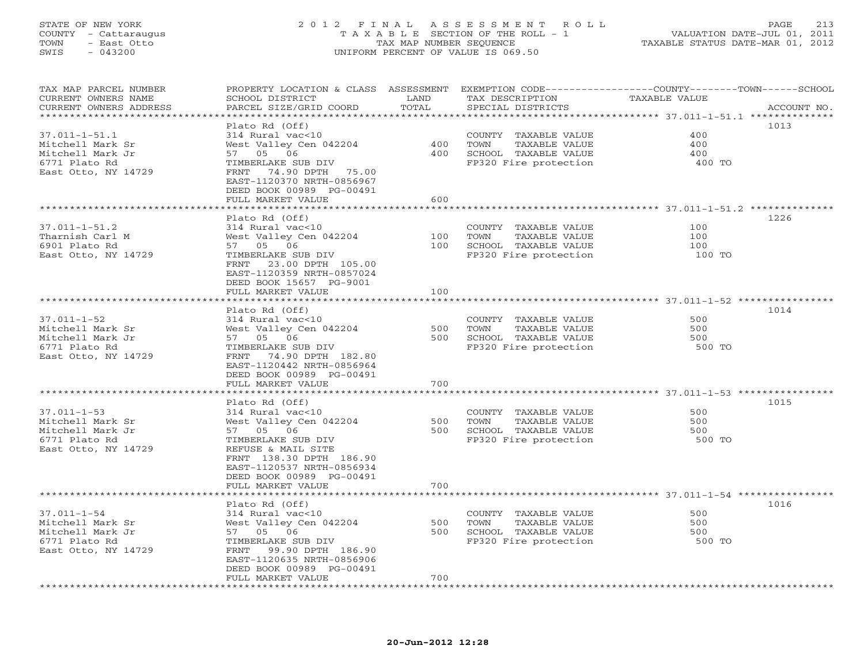# STATE OF NEW YORK 213 2012 FINAL ASSESSMENT ROLL PAGE 213 COUNTY - Cattaraugus T A X A B L E SECTION OF THE ROLL - 1 VALUATION DATE-JUL 01, 2011 SWIS - 043200 UNIFORM PERCENT OF VALUE IS 069.50

| TAX MAP PARCEL NUMBER<br>CURRENT OWNERS NAME     | PROPERTY LOCATION & CLASS ASSESSMENT<br>SCHOOL DISTRICT | LAND            | TAX DESCRIPTION       | EXEMPTION CODE-----------------COUNTY-------TOWN-----SCHOOL<br>TAXABLE VALUE |             |
|--------------------------------------------------|---------------------------------------------------------|-----------------|-----------------------|------------------------------------------------------------------------------|-------------|
| CURRENT OWNERS ADDRESS<br>********************** | PARCEL SIZE/GRID COORD                                  | TOTAL           | SPECIAL DISTRICTS     |                                                                              | ACCOUNT NO. |
|                                                  |                                                         |                 |                       |                                                                              |             |
|                                                  | Plato Rd (Off)                                          |                 |                       |                                                                              | 1013        |
| $37.011 - 1 - 51.1$                              | 314 Rural vac<10                                        |                 | COUNTY TAXABLE VALUE  | 400                                                                          |             |
| Mitchell Mark Sr                                 | West Valley Cen 042204                                  | 400             | TAXABLE VALUE<br>TOWN | 400                                                                          |             |
| Mitchell Mark Jr                                 | 57 05 06                                                | 400             | SCHOOL TAXABLE VALUE  | 400                                                                          |             |
| 6771 Plato Rd                                    | TIMBERLAKE SUB DIV                                      |                 | FP320 Fire protection | 400 TO                                                                       |             |
| East Otto, NY 14729                              | 74.90 DPTH 75.00<br>FRNT                                |                 |                       |                                                                              |             |
|                                                  | EAST-1120370 NRTH-0856967                               |                 |                       |                                                                              |             |
|                                                  | DEED BOOK 00989 PG-00491                                |                 |                       |                                                                              |             |
|                                                  | FULL MARKET VALUE                                       | 600             |                       |                                                                              |             |
|                                                  | *****************                                       | * * * * * * * * |                       | ******************** 37.011-1-51.2 *********                                 |             |
|                                                  | Plato Rd (Off)                                          |                 |                       |                                                                              | 1226        |
| $37.011 - 1 - 51.2$                              | 314 Rural vac<10                                        |                 | COUNTY TAXABLE VALUE  | 100                                                                          |             |
| Tharnish Carl M                                  | West Valley Cen 042204                                  | 100             | TOWN<br>TAXABLE VALUE | 100                                                                          |             |
| 6901 Plato Rd                                    | 57 05 06                                                | 100             | SCHOOL TAXABLE VALUE  | 100                                                                          |             |
| East Otto, NY 14729                              | TIMBERLAKE SUB DIV                                      |                 | FP320 Fire protection | 100 TO                                                                       |             |
|                                                  | 23.00 DPTH 105.00<br>FRNT                               |                 |                       |                                                                              |             |
|                                                  | EAST-1120359 NRTH-0857024                               |                 |                       |                                                                              |             |
|                                                  | DEED BOOK 15657 PG-9001                                 |                 |                       |                                                                              |             |
|                                                  | FULL MARKET VALUE                                       | 100             |                       |                                                                              |             |
|                                                  |                                                         |                 |                       |                                                                              |             |
|                                                  | Plato Rd (Off)                                          |                 |                       |                                                                              | 1014        |
| $37.011 - 1 - 52$                                | 314 Rural vac<10                                        |                 | COUNTY TAXABLE VALUE  | 500                                                                          |             |
| Mitchell Mark Sr                                 | West Valley Cen 042204                                  | 500             | TAXABLE VALUE<br>TOWN | 500                                                                          |             |
| Mitchell Mark Jr                                 | 57 05 06                                                | 500             | SCHOOL TAXABLE VALUE  | 500                                                                          |             |
| 6771 Plato Rd                                    | TIMBERLAKE SUB DIV                                      |                 | FP320 Fire protection | 500 TO                                                                       |             |
| East Otto, NY 14729                              | FRNT 74.90 DPTH 182.80                                  |                 |                       |                                                                              |             |
|                                                  | EAST-1120442 NRTH-0856964                               |                 |                       |                                                                              |             |
|                                                  | DEED BOOK 00989 PG-00491                                |                 |                       |                                                                              |             |
|                                                  | FULL MARKET VALUE                                       | 700             |                       |                                                                              |             |
|                                                  | ******************                                      |                 |                       |                                                                              |             |
|                                                  | Plato Rd (Off)                                          |                 |                       |                                                                              | 1015        |
| $37.011 - 1 - 53$                                | 314 Rural vac<10                                        |                 | COUNTY TAXABLE VALUE  | 500                                                                          |             |
| Mitchell Mark Sr                                 | West Valley Cen 042204                                  | 500             | TOWN<br>TAXABLE VALUE | 500                                                                          |             |
| Mitchell Mark Jr                                 | 57 05 06                                                | 500             | SCHOOL TAXABLE VALUE  | 500                                                                          |             |
| 6771 Plato Rd                                    | TIMBERLAKE SUB DIV                                      |                 | FP320 Fire protection | 500 TO                                                                       |             |
| East Otto, NY 14729                              | REFUSE & MAIL SITE                                      |                 |                       |                                                                              |             |
|                                                  | FRNT 138.30 DPTH 186.90                                 |                 |                       |                                                                              |             |
|                                                  | EAST-1120537 NRTH-0856934                               |                 |                       |                                                                              |             |
|                                                  | DEED BOOK 00989 PG-00491                                |                 |                       |                                                                              |             |
|                                                  | FULL MARKET VALUE                                       | 700             |                       |                                                                              |             |
|                                                  | **********************                                  |                 |                       |                                                                              |             |
|                                                  | Plato Rd (Off)                                          |                 |                       |                                                                              | 1016        |
| $37.011 - 1 - 54$                                | 314 Rural vac<10                                        |                 | COUNTY TAXABLE VALUE  | 500                                                                          |             |
| Mitchell Mark Sr                                 | West Valley Cen 042204                                  | 500             | TOWN<br>TAXABLE VALUE | 500                                                                          |             |
| Mitchell Mark Jr                                 | 57 05 06                                                | 500             | SCHOOL TAXABLE VALUE  | 500                                                                          |             |
| 6771 Plato Rd                                    | TIMBERLAKE SUB DIV                                      |                 | FP320 Fire protection | 500 TO                                                                       |             |
| East Otto, NY 14729                              | FRNT<br>99.90 DPTH 186.90                               |                 |                       |                                                                              |             |
|                                                  | EAST-1120635 NRTH-0856906                               |                 |                       |                                                                              |             |
|                                                  | DEED BOOK 00989 PG-00491                                |                 |                       |                                                                              |             |
|                                                  | FULL MARKET VALUE                                       | 700             |                       |                                                                              |             |
| *********************                            | ********************                                    |                 |                       |                                                                              |             |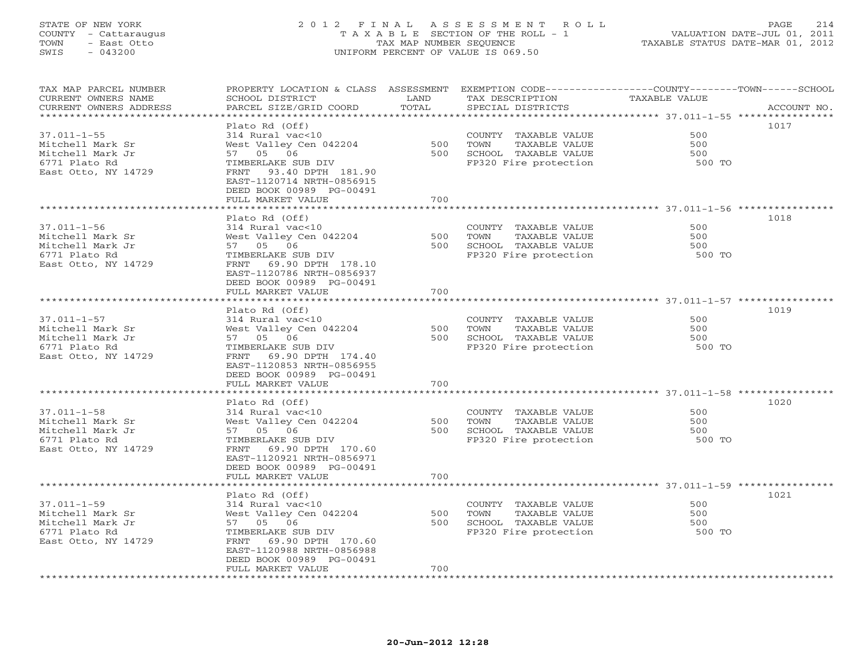# STATE OF NEW YORK 2 0 1 2 F I N A L A S S E S S M E N T R O L L PAGE 214 COUNTY - Cattaraugus T A X A B L E SECTION OF THE ROLL - 1 VALUATION DATE-JUL 01, 2011 TOWN - East Otto TAX MAP NUMBER SEQUENCE TAXABLE STATUS DATE-MAR 01, 2012 SWIS - 043200 UNIFORM PERCENT OF VALUE IS 069.50UNIFORM PERCENT OF VALUE IS 069.50

| TAX MAP PARCEL NUMBER<br>CURRENT OWNERS NAME | PROPERTY LOCATION & CLASS ASSESSMENT<br>SCHOOL DISTRICT | LAND<br>TOTAL           | TAX DESCRIPTION                               | EXEMPTION CODE-----------------COUNTY-------TOWN------SCHOOL<br>TAXABLE VALUE |             |
|----------------------------------------------|---------------------------------------------------------|-------------------------|-----------------------------------------------|-------------------------------------------------------------------------------|-------------|
| CURRENT OWNERS ADDRESS                       | PARCEL SIZE/GRID COORD                                  | ************            | SPECIAL DISTRICTS                             | **************************** 37.011-1-55 ****************                     | ACCOUNT NO. |
|                                              | Plato Rd (Off)                                          |                         |                                               |                                                                               | 1017        |
| $37.011 - 1 - 55$                            | 314 Rural vac<10                                        |                         | COUNTY TAXABLE VALUE                          | 500                                                                           |             |
| Mitchell Mark Sr                             | West Valley Cen 042204                                  | 500                     | TAXABLE VALUE<br>TOWN                         | 500                                                                           |             |
| Mitchell Mark Jr                             | 57 05 06                                                | 500                     | SCHOOL TAXABLE VALUE                          | 500                                                                           |             |
| 6771 Plato Rd                                | TIMBERLAKE SUB DIV                                      |                         | FP320 Fire protection                         | 500 TO                                                                        |             |
| East Otto, NY 14729                          | 93.40 DPTH 181.90<br>FRNT                               |                         |                                               |                                                                               |             |
|                                              | EAST-1120714 NRTH-0856915<br>DEED BOOK 00989 PG-00491   |                         |                                               |                                                                               |             |
|                                              | FULL MARKET VALUE                                       | 700                     |                                               |                                                                               |             |
|                                              | *************************                               |                         |                                               |                                                                               |             |
|                                              | Plato Rd (Off)                                          |                         |                                               |                                                                               | 1018        |
| $37.011 - 1 - 56$                            | 314 Rural vac<10                                        |                         | COUNTY TAXABLE VALUE                          | 500                                                                           |             |
| Mitchell Mark Sr                             | West Valley Cen 042204                                  | 500                     | TAXABLE VALUE<br>TOWN                         | 500                                                                           |             |
| Mitchell Mark Jr                             | 57 05 06                                                | 500                     | SCHOOL TAXABLE VALUE                          | 500                                                                           |             |
| 6771 Plato Rd                                | TIMBERLAKE SUB DIV                                      |                         | FP320 Fire protection                         | 500 TO                                                                        |             |
| East Otto, NY 14729                          | 69.90 DPTH 178.10<br>FRNT                               |                         |                                               |                                                                               |             |
|                                              | EAST-1120786 NRTH-0856937                               |                         |                                               |                                                                               |             |
|                                              | DEED BOOK 00989 PG-00491<br>FULL MARKET VALUE           | 700                     |                                               |                                                                               |             |
|                                              |                                                         |                         |                                               |                                                                               |             |
|                                              | Plato Rd (Off)                                          |                         |                                               |                                                                               | 1019        |
| $37.011 - 1 - 57$                            | 314 Rural vac<10                                        |                         | COUNTY TAXABLE VALUE                          | 500                                                                           |             |
| Mitchell Mark Sr                             | West Valley Cen 042204                                  | 500                     | TAXABLE VALUE<br>TOWN                         | 500                                                                           |             |
| Mitchell Mark Jr                             | 57 05 06                                                | 500                     | SCHOOL TAXABLE VALUE                          | 500                                                                           |             |
| 6771 Plato Rd                                | TIMBERLAKE SUB DIV                                      |                         | FP320 Fire protection                         | 500 TO                                                                        |             |
| East Otto, NY 14729                          | FRNT<br>69.90 DPTH 174.40                               |                         |                                               |                                                                               |             |
|                                              | EAST-1120853 NRTH-0856955                               |                         |                                               |                                                                               |             |
|                                              | DEED BOOK 00989 PG-00491                                |                         |                                               |                                                                               |             |
|                                              | FULL MARKET VALUE                                       | 700                     |                                               |                                                                               |             |
|                                              | ******************                                      | * * * * * * * * * * * * |                                               | ******************************** 37.011-1-58 ***********                      |             |
|                                              | Plato Rd (Off)                                          |                         |                                               |                                                                               | 1020        |
| $37.011 - 1 - 58$                            | 314 Rural vac<10                                        |                         | COUNTY TAXABLE VALUE                          | 500                                                                           |             |
| Mitchell Mark Sr                             | West Valley Cen 042204                                  | 500                     | TOWN<br>TAXABLE VALUE                         | 500                                                                           |             |
| Mitchell Mark Jr                             | 57 05 06                                                | 500                     | SCHOOL TAXABLE VALUE                          | 500                                                                           |             |
| 6771 Plato Rd                                | TIMBERLAKE SUB DIV                                      |                         | FP320 Fire protection                         | 500 TO                                                                        |             |
| East Otto, NY 14729                          | FRNT 69.90 DPTH 170.60                                  |                         |                                               |                                                                               |             |
|                                              | EAST-1120921 NRTH-0856971                               |                         |                                               |                                                                               |             |
|                                              | DEED BOOK 00989 PG-00491                                |                         |                                               |                                                                               |             |
|                                              | FULL MARKET VALUE                                       | 700                     |                                               |                                                                               |             |
|                                              |                                                         |                         |                                               |                                                                               |             |
|                                              | Plato Rd (Off)                                          |                         |                                               |                                                                               | 1021        |
| $37.011 - 1 - 59$                            | 314 Rural vac<10                                        |                         | COUNTY TAXABLE VALUE                          | 500                                                                           |             |
| Mitchell Mark Sr                             | West Valley Cen 042204                                  | 500                     | TOWN<br>TAXABLE VALUE                         | 500                                                                           |             |
| Mitchell Mark Jr<br>6771 Plato Rd            | 57 05 06<br>TIMBERLAKE SUB DIV                          | 500                     | SCHOOL TAXABLE VALUE<br>FP320 Fire protection | 500<br>500 TO                                                                 |             |
|                                              |                                                         |                         |                                               |                                                                               |             |
| East Otto, NY 14729                          | FRNT 69.90 DPTH 170.60<br>EAST-1120988 NRTH-0856988     |                         |                                               |                                                                               |             |
|                                              | DEED BOOK 00989 PG-00491                                |                         |                                               |                                                                               |             |
|                                              | FULL MARKET VALUE                                       | 700                     |                                               |                                                                               |             |
|                                              |                                                         |                         |                                               |                                                                               |             |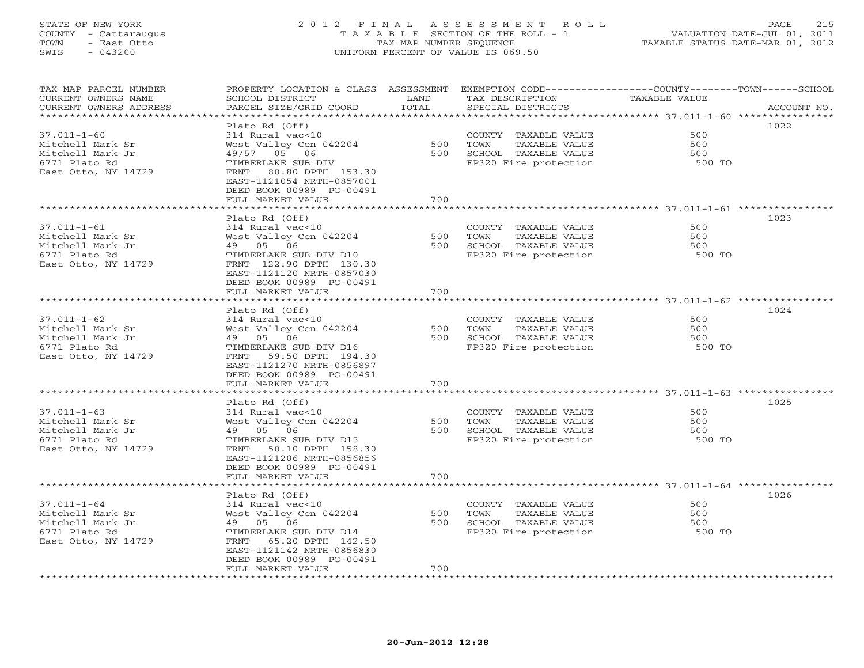# STATE OF NEW YORK 2 0 1 2 F I N A L A S S E S S M E N T R O L L PAGE 215 COUNTY - Cattaraugus T A X A B L E SECTION OF THE ROLL - 1 VALUATION DATE-JUL 01, 2011 TOWN - East Otto TAX MAP NUMBER SEQUENCE TAXABLE STATUS DATE-MAR 01, 2012 SWIS - 043200 UNIFORM PERCENT OF VALUE IS 069.50UNIFORM PERCENT OF VALUE IS 069.50

| TAX MAP PARCEL NUMBER<br>CURRENT OWNERS NAME   | PROPERTY LOCATION & CLASS ASSESSMENT<br>SCHOOL DISTRICT | LAND  | TAX DESCRIPTION       | EXEMPTION CODE-----------------COUNTY-------TOWN------SCHOOL<br>TAXABLE VALUE |             |
|------------------------------------------------|---------------------------------------------------------|-------|-----------------------|-------------------------------------------------------------------------------|-------------|
| CURRENT OWNERS ADDRESS<br>******************** | PARCEL SIZE/GRID COORD                                  | TOTAL | SPECIAL DISTRICTS     |                                                                               | ACCOUNT NO. |
|                                                | Plato Rd (Off)                                          |       |                       |                                                                               | 1022        |
| $37.011 - 1 - 60$                              | 314 Rural vac<10                                        |       | COUNTY TAXABLE VALUE  | 500                                                                           |             |
| Mitchell Mark Sr                               |                                                         | 500   | TOWN<br>TAXABLE VALUE | 500                                                                           |             |
|                                                | West Valley Cen 042204                                  | 500   |                       | 500                                                                           |             |
| Mitchell Mark Jr                               | 49/57 05 06                                             |       | SCHOOL TAXABLE VALUE  |                                                                               |             |
| 6771 Plato Rd<br>East Otto, NY 14729           | TIMBERLAKE SUB DIV<br>80.80 DPTH 153.30<br>FRNT         |       | FP320 Fire protection | 500 TO                                                                        |             |
|                                                | EAST-1121054 NRTH-0857001                               |       |                       |                                                                               |             |
|                                                | DEED BOOK 00989 PG-00491                                |       |                       |                                                                               |             |
|                                                | FULL MARKET VALUE                                       | 700   |                       |                                                                               |             |
|                                                |                                                         |       |                       |                                                                               |             |
|                                                | Plato Rd (Off)                                          |       |                       |                                                                               | 1023        |
| $37.011 - 1 - 61$                              | 314 Rural vac<10                                        |       | COUNTY TAXABLE VALUE  | 500                                                                           |             |
| Mitchell Mark Sr                               | West Valley Cen 042204                                  | 500   | TAXABLE VALUE<br>TOWN | 500                                                                           |             |
| Mitchell Mark Jr                               | 49 05 06                                                | 500   | SCHOOL TAXABLE VALUE  | 500                                                                           |             |
|                                                |                                                         |       |                       | 500 TO                                                                        |             |
| 6771 Plato Rd                                  | TIMBERLAKE SUB DIV D10                                  |       | FP320 Fire protection |                                                                               |             |
| East Otto, NY 14729                            | FRNT 122.90 DPTH 130.30                                 |       |                       |                                                                               |             |
|                                                | EAST-1121120 NRTH-0857030                               |       |                       |                                                                               |             |
|                                                | DEED BOOK 00989 PG-00491                                |       |                       |                                                                               |             |
|                                                | FULL MARKET VALUE                                       | 700   |                       |                                                                               |             |
|                                                |                                                         |       |                       |                                                                               |             |
|                                                | Plato Rd (Off)                                          |       |                       | 500                                                                           | 1024        |
| $37.011 - 1 - 62$                              | 314 Rural vac<10                                        |       | COUNTY TAXABLE VALUE  |                                                                               |             |
| Mitchell Mark Sr                               | West Valley Cen 042204                                  | 500   | TOWN<br>TAXABLE VALUE | 500                                                                           |             |
| Mitchell Mark Jr                               | 49 05 06                                                | 500   | SCHOOL TAXABLE VALUE  | 500                                                                           |             |
| 6771 Plato Rd                                  | TIMBERLAKE SUB DIV D16                                  |       | FP320 Fire protection | 500 TO                                                                        |             |
| East Otto, NY 14729                            | 59.50 DPTH 194.30<br>FRNT                               |       |                       |                                                                               |             |
|                                                | EAST-1121270 NRTH-0856897                               |       |                       |                                                                               |             |
|                                                | DEED BOOK 00989 PG-00491                                |       |                       |                                                                               |             |
|                                                | FULL MARKET VALUE                                       | 700   |                       |                                                                               |             |
|                                                | Plato Rd (Off)                                          |       |                       |                                                                               | 1025        |
| $37.011 - 1 - 63$                              | 314 Rural vac<10                                        |       | COUNTY TAXABLE VALUE  | 500                                                                           |             |
| Mitchell Mark Sr                               | West Valley Cen 042204                                  | 500   | TOWN<br>TAXABLE VALUE | 500                                                                           |             |
| Mitchell Mark Jr                               | 49 05 06                                                | 500   | SCHOOL TAXABLE VALUE  | 500                                                                           |             |
| 6771 Plato Rd                                  | TIMBERLAKE SUB DIV D15                                  |       | FP320 Fire protection | 500 TO                                                                        |             |
| East Otto, NY 14729                            | FRNT<br>50.10 DPTH 158.30                               |       |                       |                                                                               |             |
|                                                |                                                         |       |                       |                                                                               |             |
|                                                | EAST-1121206 NRTH-0856856                               |       |                       |                                                                               |             |
|                                                | DEED BOOK 00989 PG-00491<br>FULL MARKET VALUE           | 700   |                       |                                                                               |             |
|                                                |                                                         |       |                       |                                                                               |             |
|                                                | Plato Rd (Off)                                          |       |                       |                                                                               | 1026        |
| $37.011 - 1 - 64$                              | 314 Rural vac<10                                        |       | COUNTY TAXABLE VALUE  | 500                                                                           |             |
| Mitchell Mark Sr                               | West Valley Cen 042204                                  | 500   | TAXABLE VALUE<br>TOWN | 500                                                                           |             |
| Mitchell Mark Jr                               | 49 05 06                                                | 500   | SCHOOL TAXABLE VALUE  | 500                                                                           |             |
| 6771 Plato Rd                                  | TIMBERLAKE SUB DIV D14                                  |       | FP320 Fire protection | 500 TO                                                                        |             |
| East Otto, NY 14729                            | FRNT<br>65.20 DPTH 142.50                               |       |                       |                                                                               |             |
|                                                | EAST-1121142 NRTH-0856830                               |       |                       |                                                                               |             |
|                                                | DEED BOOK 00989 PG-00491                                |       |                       |                                                                               |             |
|                                                | FULL MARKET VALUE                                       | 700   |                       |                                                                               |             |
|                                                |                                                         |       |                       |                                                                               |             |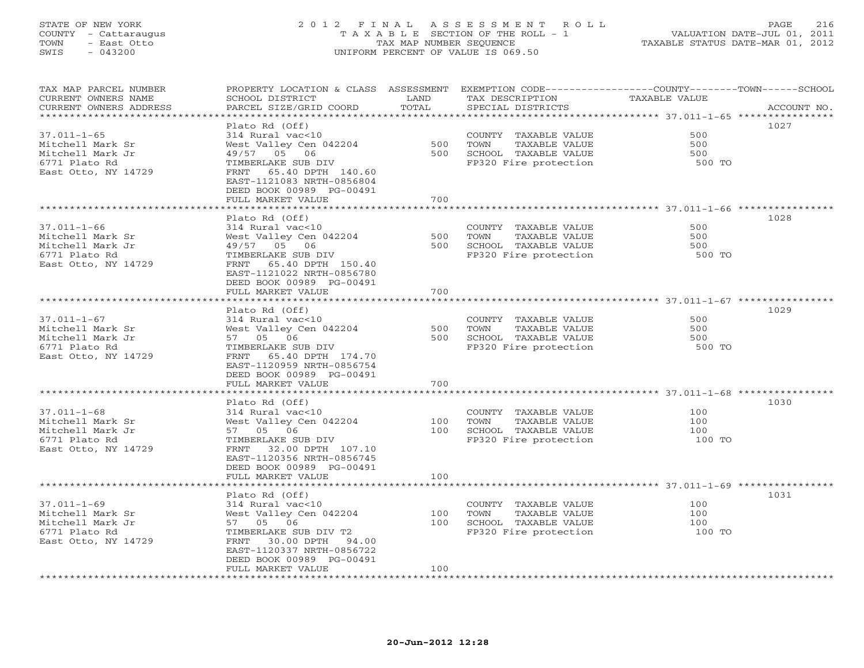# STATE OF NEW YORK 2 0 1 2 F I N A L A S S E S S M E N T R O L L PAGE 216 COUNTY - Cattaraugus T A X A B L E SECTION OF THE ROLL - 1 VALUATION DATE-JUL 01, 2011 TOWN - East Otto TAX MAP NUMBER SEQUENCE TAXABLE STATUS DATE-MAR 01, 2012 SWIS - 043200 UNIFORM PERCENT OF VALUE IS 069.50UNIFORM PERCENT OF VALUE IS 069.50

| TAX MAP PARCEL NUMBER<br>CURRENT OWNERS NAME    | PROPERTY LOCATION & CLASS ASSESSMENT<br>SCHOOL DISTRICT | LAND  | TAX DESCRIPTION       | EXEMPTION CODE-----------------COUNTY-------TOWN------SCHOOL<br>TAXABLE VALUE |             |
|-------------------------------------------------|---------------------------------------------------------|-------|-----------------------|-------------------------------------------------------------------------------|-------------|
| CURRENT OWNERS ADDRESS<br>********************* | PARCEL SIZE/GRID COORD                                  | TOTAL | SPECIAL DISTRICTS     |                                                                               | ACCOUNT NO. |
|                                                 |                                                         |       |                       |                                                                               |             |
|                                                 | Plato Rd (Off)                                          |       |                       |                                                                               | 1027        |
| 37.011-1-65                                     | 314 Rural vac<10                                        |       | COUNTY TAXABLE VALUE  | 500                                                                           |             |
| Mitchell Mark Sr                                | West Valley Cen 042204                                  | 500   | TOWN<br>TAXABLE VALUE | 500                                                                           |             |
| Mitchell Mark Jr                                | 49/57 05 06                                             | 500   | SCHOOL TAXABLE VALUE  | 500                                                                           |             |
| 6771 Plato Rd                                   | TIMBERLAKE SUB DIV                                      |       | FP320 Fire protection | 500 TO                                                                        |             |
| East Otto, NY 14729                             | 65.40 DPTH 140.60<br>FRNT                               |       |                       |                                                                               |             |
|                                                 | EAST-1121083 NRTH-0856804                               |       |                       |                                                                               |             |
|                                                 | DEED BOOK 00989 PG-00491                                |       |                       |                                                                               |             |
|                                                 | FULL MARKET VALUE                                       | 700   |                       |                                                                               |             |
|                                                 |                                                         |       |                       |                                                                               | 1028        |
|                                                 | Plato Rd (Off)                                          |       |                       | 500                                                                           |             |
| $37.011 - 1 - 66$                               | 314 Rural vac<10                                        |       | COUNTY TAXABLE VALUE  |                                                                               |             |
| Mitchell Mark Sr                                | West Valley Cen 042204                                  | 500   | TAXABLE VALUE<br>TOWN | 500                                                                           |             |
| Mitchell Mark Jr                                | 49/57 05 06                                             | 500   | SCHOOL TAXABLE VALUE  | 500                                                                           |             |
| 6771 Plato Rd                                   | TIMBERLAKE SUB DIV                                      |       | FP320 Fire protection | 500 TO                                                                        |             |
| East Otto, NY 14729                             | 65.40 DPTH 150.40<br>FRNT                               |       |                       |                                                                               |             |
|                                                 | EAST-1121022 NRTH-0856780                               |       |                       |                                                                               |             |
|                                                 | DEED BOOK 00989 PG-00491                                |       |                       |                                                                               |             |
|                                                 | FULL MARKET VALUE                                       | 700   |                       |                                                                               |             |
|                                                 |                                                         |       |                       |                                                                               | 1029        |
| $37.011 - 1 - 67$                               | Plato Rd (Off)<br>314 Rural vac<10                      |       | COUNTY TAXABLE VALUE  | 500                                                                           |             |
| Mitchell Mark Sr                                | West Valley Cen 042204                                  | 500   | TOWN<br>TAXABLE VALUE | 500                                                                           |             |
| Mitchell Mark Jr                                | 57 05 06                                                | 500   | SCHOOL TAXABLE VALUE  | 500                                                                           |             |
| 6771 Plato Rd                                   | TIMBERLAKE SUB DIV                                      |       |                       | 500 TO                                                                        |             |
| East Otto, NY 14729                             | FRNT<br>65.40 DPTH 174.70                               |       | FP320 Fire protection |                                                                               |             |
|                                                 | EAST-1120959 NRTH-0856754                               |       |                       |                                                                               |             |
|                                                 | DEED BOOK 00989 PG-00491                                |       |                       |                                                                               |             |
|                                                 | FULL MARKET VALUE                                       | 700   |                       |                                                                               |             |
|                                                 |                                                         |       |                       |                                                                               |             |
|                                                 | Plato Rd (Off)                                          |       |                       |                                                                               | 1030        |
| $37.011 - 1 - 68$                               | 314 Rural vac<10                                        |       | COUNTY TAXABLE VALUE  | 100                                                                           |             |
| Mitchell Mark Sr                                | West Valley Cen 042204                                  | 100   | TOWN<br>TAXABLE VALUE | 100                                                                           |             |
| Mitchell Mark Jr                                | 57 05 06                                                | 100   | SCHOOL TAXABLE VALUE  | 100                                                                           |             |
| 6771 Plato Rd                                   | TIMBERLAKE SUB DIV                                      |       | FP320 Fire protection | 100 TO                                                                        |             |
| East Otto, NY 14729                             | FRNT<br>32.00 DPTH 107.10                               |       |                       |                                                                               |             |
|                                                 | EAST-1120356 NRTH-0856745                               |       |                       |                                                                               |             |
|                                                 | DEED BOOK 00989 PG-00491                                |       |                       |                                                                               |             |
|                                                 | FULL MARKET VALUE                                       | 100   |                       |                                                                               |             |
|                                                 |                                                         |       |                       |                                                                               |             |
|                                                 | Plato Rd (Off)                                          |       |                       |                                                                               | 1031        |
| $37.011 - 1 - 69$                               | 314 Rural vac<10                                        |       | COUNTY TAXABLE VALUE  | 100                                                                           |             |
| Mitchell Mark Sr                                | West Valley Cen 042204                                  | 100   | TAXABLE VALUE<br>TOWN | 100                                                                           |             |
| Mitchell Mark Jr                                | 57 05 06                                                | 100   | SCHOOL TAXABLE VALUE  | 100                                                                           |             |
| 6771 Plato Rd                                   | TIMBERLAKE SUB DIV T2                                   |       | FP320 Fire protection | 100 TO                                                                        |             |
| East Otto, NY 14729                             | FRNT 30.00 DPTH 94.00                                   |       |                       |                                                                               |             |
|                                                 | EAST-1120337 NRTH-0856722                               |       |                       |                                                                               |             |
|                                                 | DEED BOOK 00989 PG-00491                                |       |                       |                                                                               |             |
|                                                 | FULL MARKET VALUE                                       | 100   |                       |                                                                               |             |
|                                                 |                                                         |       |                       |                                                                               |             |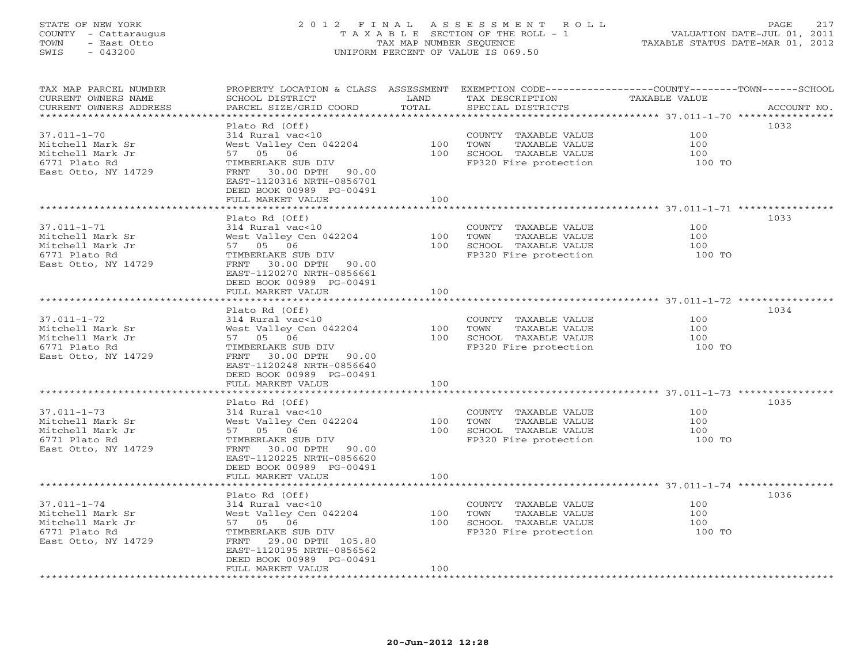# STATE OF NEW YORK 2 0 1 2 F I N A L A S S E S S M E N T R O L L PAGE 217 COUNTY - Cattaraugus T A X A B L E SECTION OF THE ROLL - 1 VALUATION DATE-JUL 01, 2011 TOWN - East Otto TAX MAP NUMBER SEQUENCE TAXABLE STATUS DATE-MAR 01, 2012 SWIS - 043200 UNIFORM PERCENT OF VALUE IS 069.50UNIFORM PERCENT OF VALUE IS 069.50

| ********************<br>1032<br>Plato Rd (Off)<br>$37.011 - 1 - 70$<br>100<br>314 Rural vac<10<br>COUNTY TAXABLE VALUE<br>100<br>Mitchell Mark Sr<br>West Valley Cen 042204<br>TOWN<br>TAXABLE VALUE<br>100<br>100<br>SCHOOL TAXABLE VALUE<br>100<br>Mitchell Mark Jr<br>57 05 06<br>6771 Plato Rd<br>TIMBERLAKE SUB DIV<br>FP320 Fire protection<br>100 TO<br>East Otto, NY 14729<br>FRNT 30.00 DPTH 90.00<br>EAST-1120316 NRTH-0856701<br>DEED BOOK 00989 PG-00491<br>FULL MARKET VALUE<br>100<br>1033<br>Plato Rd (Off)<br>$37.011 - 1 - 71$<br>314 Rural vac<10<br>COUNTY TAXABLE VALUE<br>100<br>Mitchell Mark Sr<br>West Valley Cen 042204<br>100<br>TOWN<br>TAXABLE VALUE<br>100<br>Mitchell Mark Jr<br>57 05 06<br>100<br>SCHOOL TAXABLE VALUE<br>100<br>6771 Plato Rd<br>TIMBERLAKE SUB DIV<br>FP320 Fire protection<br>100 TO<br>30.00 DPTH 90.00<br>East Otto, NY 14729<br>FRNT<br>EAST-1120270 NRTH-0856661<br>DEED BOOK 00989 PG-00491<br>100<br>FULL MARKET VALUE<br>1034<br>Plato Rd (Off)<br>$37.011 - 1 - 72$<br>314 Rural vac<10<br>COUNTY TAXABLE VALUE<br>100<br>Mitchell Mark Sr<br>West Valley Cen 042204<br>100<br>TOWN<br>TAXABLE VALUE<br>100<br>Mitchell Mark Jr<br>100<br>SCHOOL TAXABLE VALUE<br>100<br>57 05 06<br>6771 Plato Rd<br>TIMBERLAKE SUB DIV<br>FP320 Fire protection<br>100 TO<br>30.00 DPTH 90.00<br>East Otto, NY 14729<br>FRNT<br>EAST-1120248 NRTH-0856640<br>DEED BOOK 00989 PG-00491<br>FULL MARKET VALUE<br>100<br>1035<br>Plato Rd (Off)<br>$37.011 - 1 - 73$<br>100<br>314 Rural vac<10<br>COUNTY TAXABLE VALUE<br>Mitchell Mark Sr<br>West Valley Cen 042204<br>100<br>TOWN<br>TAXABLE VALUE<br>100<br>100<br>SCHOOL TAXABLE VALUE<br>100<br>Mitchell Mark Jr<br>57 05 06<br>6771 Plato Rd<br>TIMBERLAKE SUB DIV<br>FP320 Fire protection<br>100 TO<br>East Otto, NY 14729<br>FRNT<br>30.00 DPTH 90.00<br>EAST-1120225 NRTH-0856620<br>DEED BOOK 00989 PG-00491<br>FULL MARKET VALUE<br>100<br>1036<br>Plato Rd (Off)<br>$37.011 - 1 - 74$<br>100<br>314 Rural vac<10<br>COUNTY TAXABLE VALUE<br>Mitchell Mark Sr<br>West Valley Cen 042204<br>100<br>TOWN<br>TAXABLE VALUE<br>100<br>Mitchell Mark Jr<br>100<br>SCHOOL TAXABLE VALUE<br>100<br>57 05 06<br>6771 Plato Rd<br>TIMBERLAKE SUB DIV<br>FP320 Fire protection<br>100 TO<br>East Otto, NY 14729<br>FRNT 29.00 DPTH 105.80<br>EAST-1120195 NRTH-0856562<br>DEED BOOK 00989 PG-00491<br>FULL MARKET VALUE<br>100 | TAX MAP PARCEL NUMBER<br>CURRENT OWNERS NAME | SCHOOL DISTRICT        | LAND  | TAX DESCRIPTION   | PROPERTY LOCATION & CLASS ASSESSMENT EXEMPTION CODE---------------COUNTY-------TOWN------SCHOOL<br>TAXABLE VALUE |
|----------------------------------------------------------------------------------------------------------------------------------------------------------------------------------------------------------------------------------------------------------------------------------------------------------------------------------------------------------------------------------------------------------------------------------------------------------------------------------------------------------------------------------------------------------------------------------------------------------------------------------------------------------------------------------------------------------------------------------------------------------------------------------------------------------------------------------------------------------------------------------------------------------------------------------------------------------------------------------------------------------------------------------------------------------------------------------------------------------------------------------------------------------------------------------------------------------------------------------------------------------------------------------------------------------------------------------------------------------------------------------------------------------------------------------------------------------------------------------------------------------------------------------------------------------------------------------------------------------------------------------------------------------------------------------------------------------------------------------------------------------------------------------------------------------------------------------------------------------------------------------------------------------------------------------------------------------------------------------------------------------------------------------------------------------------------------------------------------------------------------------------------------------------------------------------------------------------------------------------------------------------------------------------------------------------------------------------------------------------------------------------------------------------------------|----------------------------------------------|------------------------|-------|-------------------|------------------------------------------------------------------------------------------------------------------|
|                                                                                                                                                                                                                                                                                                                                                                                                                                                                                                                                                                                                                                                                                                                                                                                                                                                                                                                                                                                                                                                                                                                                                                                                                                                                                                                                                                                                                                                                                                                                                                                                                                                                                                                                                                                                                                                                                                                                                                                                                                                                                                                                                                                                                                                                                                                                                                                                                            | CURRENT OWNERS ADDRESS                       | PARCEL SIZE/GRID COORD | TOTAL | SPECIAL DISTRICTS | ACCOUNT NO.                                                                                                      |
|                                                                                                                                                                                                                                                                                                                                                                                                                                                                                                                                                                                                                                                                                                                                                                                                                                                                                                                                                                                                                                                                                                                                                                                                                                                                                                                                                                                                                                                                                                                                                                                                                                                                                                                                                                                                                                                                                                                                                                                                                                                                                                                                                                                                                                                                                                                                                                                                                            |                                              |                        |       |                   |                                                                                                                  |
|                                                                                                                                                                                                                                                                                                                                                                                                                                                                                                                                                                                                                                                                                                                                                                                                                                                                                                                                                                                                                                                                                                                                                                                                                                                                                                                                                                                                                                                                                                                                                                                                                                                                                                                                                                                                                                                                                                                                                                                                                                                                                                                                                                                                                                                                                                                                                                                                                            |                                              |                        |       |                   |                                                                                                                  |
|                                                                                                                                                                                                                                                                                                                                                                                                                                                                                                                                                                                                                                                                                                                                                                                                                                                                                                                                                                                                                                                                                                                                                                                                                                                                                                                                                                                                                                                                                                                                                                                                                                                                                                                                                                                                                                                                                                                                                                                                                                                                                                                                                                                                                                                                                                                                                                                                                            |                                              |                        |       |                   |                                                                                                                  |
|                                                                                                                                                                                                                                                                                                                                                                                                                                                                                                                                                                                                                                                                                                                                                                                                                                                                                                                                                                                                                                                                                                                                                                                                                                                                                                                                                                                                                                                                                                                                                                                                                                                                                                                                                                                                                                                                                                                                                                                                                                                                                                                                                                                                                                                                                                                                                                                                                            |                                              |                        |       |                   |                                                                                                                  |
|                                                                                                                                                                                                                                                                                                                                                                                                                                                                                                                                                                                                                                                                                                                                                                                                                                                                                                                                                                                                                                                                                                                                                                                                                                                                                                                                                                                                                                                                                                                                                                                                                                                                                                                                                                                                                                                                                                                                                                                                                                                                                                                                                                                                                                                                                                                                                                                                                            |                                              |                        |       |                   |                                                                                                                  |
|                                                                                                                                                                                                                                                                                                                                                                                                                                                                                                                                                                                                                                                                                                                                                                                                                                                                                                                                                                                                                                                                                                                                                                                                                                                                                                                                                                                                                                                                                                                                                                                                                                                                                                                                                                                                                                                                                                                                                                                                                                                                                                                                                                                                                                                                                                                                                                                                                            |                                              |                        |       |                   |                                                                                                                  |
|                                                                                                                                                                                                                                                                                                                                                                                                                                                                                                                                                                                                                                                                                                                                                                                                                                                                                                                                                                                                                                                                                                                                                                                                                                                                                                                                                                                                                                                                                                                                                                                                                                                                                                                                                                                                                                                                                                                                                                                                                                                                                                                                                                                                                                                                                                                                                                                                                            |                                              |                        |       |                   |                                                                                                                  |
|                                                                                                                                                                                                                                                                                                                                                                                                                                                                                                                                                                                                                                                                                                                                                                                                                                                                                                                                                                                                                                                                                                                                                                                                                                                                                                                                                                                                                                                                                                                                                                                                                                                                                                                                                                                                                                                                                                                                                                                                                                                                                                                                                                                                                                                                                                                                                                                                                            |                                              |                        |       |                   |                                                                                                                  |
|                                                                                                                                                                                                                                                                                                                                                                                                                                                                                                                                                                                                                                                                                                                                                                                                                                                                                                                                                                                                                                                                                                                                                                                                                                                                                                                                                                                                                                                                                                                                                                                                                                                                                                                                                                                                                                                                                                                                                                                                                                                                                                                                                                                                                                                                                                                                                                                                                            |                                              |                        |       |                   |                                                                                                                  |
|                                                                                                                                                                                                                                                                                                                                                                                                                                                                                                                                                                                                                                                                                                                                                                                                                                                                                                                                                                                                                                                                                                                                                                                                                                                                                                                                                                                                                                                                                                                                                                                                                                                                                                                                                                                                                                                                                                                                                                                                                                                                                                                                                                                                                                                                                                                                                                                                                            |                                              |                        |       |                   |                                                                                                                  |
|                                                                                                                                                                                                                                                                                                                                                                                                                                                                                                                                                                                                                                                                                                                                                                                                                                                                                                                                                                                                                                                                                                                                                                                                                                                                                                                                                                                                                                                                                                                                                                                                                                                                                                                                                                                                                                                                                                                                                                                                                                                                                                                                                                                                                                                                                                                                                                                                                            |                                              |                        |       |                   |                                                                                                                  |
|                                                                                                                                                                                                                                                                                                                                                                                                                                                                                                                                                                                                                                                                                                                                                                                                                                                                                                                                                                                                                                                                                                                                                                                                                                                                                                                                                                                                                                                                                                                                                                                                                                                                                                                                                                                                                                                                                                                                                                                                                                                                                                                                                                                                                                                                                                                                                                                                                            |                                              |                        |       |                   |                                                                                                                  |
|                                                                                                                                                                                                                                                                                                                                                                                                                                                                                                                                                                                                                                                                                                                                                                                                                                                                                                                                                                                                                                                                                                                                                                                                                                                                                                                                                                                                                                                                                                                                                                                                                                                                                                                                                                                                                                                                                                                                                                                                                                                                                                                                                                                                                                                                                                                                                                                                                            |                                              |                        |       |                   |                                                                                                                  |
|                                                                                                                                                                                                                                                                                                                                                                                                                                                                                                                                                                                                                                                                                                                                                                                                                                                                                                                                                                                                                                                                                                                                                                                                                                                                                                                                                                                                                                                                                                                                                                                                                                                                                                                                                                                                                                                                                                                                                                                                                                                                                                                                                                                                                                                                                                                                                                                                                            |                                              |                        |       |                   |                                                                                                                  |
|                                                                                                                                                                                                                                                                                                                                                                                                                                                                                                                                                                                                                                                                                                                                                                                                                                                                                                                                                                                                                                                                                                                                                                                                                                                                                                                                                                                                                                                                                                                                                                                                                                                                                                                                                                                                                                                                                                                                                                                                                                                                                                                                                                                                                                                                                                                                                                                                                            |                                              |                        |       |                   |                                                                                                                  |
|                                                                                                                                                                                                                                                                                                                                                                                                                                                                                                                                                                                                                                                                                                                                                                                                                                                                                                                                                                                                                                                                                                                                                                                                                                                                                                                                                                                                                                                                                                                                                                                                                                                                                                                                                                                                                                                                                                                                                                                                                                                                                                                                                                                                                                                                                                                                                                                                                            |                                              |                        |       |                   |                                                                                                                  |
|                                                                                                                                                                                                                                                                                                                                                                                                                                                                                                                                                                                                                                                                                                                                                                                                                                                                                                                                                                                                                                                                                                                                                                                                                                                                                                                                                                                                                                                                                                                                                                                                                                                                                                                                                                                                                                                                                                                                                                                                                                                                                                                                                                                                                                                                                                                                                                                                                            |                                              |                        |       |                   |                                                                                                                  |
|                                                                                                                                                                                                                                                                                                                                                                                                                                                                                                                                                                                                                                                                                                                                                                                                                                                                                                                                                                                                                                                                                                                                                                                                                                                                                                                                                                                                                                                                                                                                                                                                                                                                                                                                                                                                                                                                                                                                                                                                                                                                                                                                                                                                                                                                                                                                                                                                                            |                                              |                        |       |                   |                                                                                                                  |
|                                                                                                                                                                                                                                                                                                                                                                                                                                                                                                                                                                                                                                                                                                                                                                                                                                                                                                                                                                                                                                                                                                                                                                                                                                                                                                                                                                                                                                                                                                                                                                                                                                                                                                                                                                                                                                                                                                                                                                                                                                                                                                                                                                                                                                                                                                                                                                                                                            |                                              |                        |       |                   |                                                                                                                  |
|                                                                                                                                                                                                                                                                                                                                                                                                                                                                                                                                                                                                                                                                                                                                                                                                                                                                                                                                                                                                                                                                                                                                                                                                                                                                                                                                                                                                                                                                                                                                                                                                                                                                                                                                                                                                                                                                                                                                                                                                                                                                                                                                                                                                                                                                                                                                                                                                                            |                                              |                        |       |                   |                                                                                                                  |
|                                                                                                                                                                                                                                                                                                                                                                                                                                                                                                                                                                                                                                                                                                                                                                                                                                                                                                                                                                                                                                                                                                                                                                                                                                                                                                                                                                                                                                                                                                                                                                                                                                                                                                                                                                                                                                                                                                                                                                                                                                                                                                                                                                                                                                                                                                                                                                                                                            |                                              |                        |       |                   |                                                                                                                  |
|                                                                                                                                                                                                                                                                                                                                                                                                                                                                                                                                                                                                                                                                                                                                                                                                                                                                                                                                                                                                                                                                                                                                                                                                                                                                                                                                                                                                                                                                                                                                                                                                                                                                                                                                                                                                                                                                                                                                                                                                                                                                                                                                                                                                                                                                                                                                                                                                                            |                                              |                        |       |                   |                                                                                                                  |
|                                                                                                                                                                                                                                                                                                                                                                                                                                                                                                                                                                                                                                                                                                                                                                                                                                                                                                                                                                                                                                                                                                                                                                                                                                                                                                                                                                                                                                                                                                                                                                                                                                                                                                                                                                                                                                                                                                                                                                                                                                                                                                                                                                                                                                                                                                                                                                                                                            |                                              |                        |       |                   |                                                                                                                  |
|                                                                                                                                                                                                                                                                                                                                                                                                                                                                                                                                                                                                                                                                                                                                                                                                                                                                                                                                                                                                                                                                                                                                                                                                                                                                                                                                                                                                                                                                                                                                                                                                                                                                                                                                                                                                                                                                                                                                                                                                                                                                                                                                                                                                                                                                                                                                                                                                                            |                                              |                        |       |                   |                                                                                                                  |
|                                                                                                                                                                                                                                                                                                                                                                                                                                                                                                                                                                                                                                                                                                                                                                                                                                                                                                                                                                                                                                                                                                                                                                                                                                                                                                                                                                                                                                                                                                                                                                                                                                                                                                                                                                                                                                                                                                                                                                                                                                                                                                                                                                                                                                                                                                                                                                                                                            |                                              |                        |       |                   |                                                                                                                  |
|                                                                                                                                                                                                                                                                                                                                                                                                                                                                                                                                                                                                                                                                                                                                                                                                                                                                                                                                                                                                                                                                                                                                                                                                                                                                                                                                                                                                                                                                                                                                                                                                                                                                                                                                                                                                                                                                                                                                                                                                                                                                                                                                                                                                                                                                                                                                                                                                                            |                                              |                        |       |                   |                                                                                                                  |
|                                                                                                                                                                                                                                                                                                                                                                                                                                                                                                                                                                                                                                                                                                                                                                                                                                                                                                                                                                                                                                                                                                                                                                                                                                                                                                                                                                                                                                                                                                                                                                                                                                                                                                                                                                                                                                                                                                                                                                                                                                                                                                                                                                                                                                                                                                                                                                                                                            |                                              |                        |       |                   |                                                                                                                  |
|                                                                                                                                                                                                                                                                                                                                                                                                                                                                                                                                                                                                                                                                                                                                                                                                                                                                                                                                                                                                                                                                                                                                                                                                                                                                                                                                                                                                                                                                                                                                                                                                                                                                                                                                                                                                                                                                                                                                                                                                                                                                                                                                                                                                                                                                                                                                                                                                                            |                                              |                        |       |                   |                                                                                                                  |
|                                                                                                                                                                                                                                                                                                                                                                                                                                                                                                                                                                                                                                                                                                                                                                                                                                                                                                                                                                                                                                                                                                                                                                                                                                                                                                                                                                                                                                                                                                                                                                                                                                                                                                                                                                                                                                                                                                                                                                                                                                                                                                                                                                                                                                                                                                                                                                                                                            |                                              |                        |       |                   |                                                                                                                  |
|                                                                                                                                                                                                                                                                                                                                                                                                                                                                                                                                                                                                                                                                                                                                                                                                                                                                                                                                                                                                                                                                                                                                                                                                                                                                                                                                                                                                                                                                                                                                                                                                                                                                                                                                                                                                                                                                                                                                                                                                                                                                                                                                                                                                                                                                                                                                                                                                                            |                                              |                        |       |                   |                                                                                                                  |
|                                                                                                                                                                                                                                                                                                                                                                                                                                                                                                                                                                                                                                                                                                                                                                                                                                                                                                                                                                                                                                                                                                                                                                                                                                                                                                                                                                                                                                                                                                                                                                                                                                                                                                                                                                                                                                                                                                                                                                                                                                                                                                                                                                                                                                                                                                                                                                                                                            |                                              |                        |       |                   |                                                                                                                  |
|                                                                                                                                                                                                                                                                                                                                                                                                                                                                                                                                                                                                                                                                                                                                                                                                                                                                                                                                                                                                                                                                                                                                                                                                                                                                                                                                                                                                                                                                                                                                                                                                                                                                                                                                                                                                                                                                                                                                                                                                                                                                                                                                                                                                                                                                                                                                                                                                                            |                                              |                        |       |                   |                                                                                                                  |
|                                                                                                                                                                                                                                                                                                                                                                                                                                                                                                                                                                                                                                                                                                                                                                                                                                                                                                                                                                                                                                                                                                                                                                                                                                                                                                                                                                                                                                                                                                                                                                                                                                                                                                                                                                                                                                                                                                                                                                                                                                                                                                                                                                                                                                                                                                                                                                                                                            |                                              |                        |       |                   |                                                                                                                  |
|                                                                                                                                                                                                                                                                                                                                                                                                                                                                                                                                                                                                                                                                                                                                                                                                                                                                                                                                                                                                                                                                                                                                                                                                                                                                                                                                                                                                                                                                                                                                                                                                                                                                                                                                                                                                                                                                                                                                                                                                                                                                                                                                                                                                                                                                                                                                                                                                                            |                                              |                        |       |                   |                                                                                                                  |
|                                                                                                                                                                                                                                                                                                                                                                                                                                                                                                                                                                                                                                                                                                                                                                                                                                                                                                                                                                                                                                                                                                                                                                                                                                                                                                                                                                                                                                                                                                                                                                                                                                                                                                                                                                                                                                                                                                                                                                                                                                                                                                                                                                                                                                                                                                                                                                                                                            |                                              |                        |       |                   |                                                                                                                  |
|                                                                                                                                                                                                                                                                                                                                                                                                                                                                                                                                                                                                                                                                                                                                                                                                                                                                                                                                                                                                                                                                                                                                                                                                                                                                                                                                                                                                                                                                                                                                                                                                                                                                                                                                                                                                                                                                                                                                                                                                                                                                                                                                                                                                                                                                                                                                                                                                                            |                                              |                        |       |                   |                                                                                                                  |
|                                                                                                                                                                                                                                                                                                                                                                                                                                                                                                                                                                                                                                                                                                                                                                                                                                                                                                                                                                                                                                                                                                                                                                                                                                                                                                                                                                                                                                                                                                                                                                                                                                                                                                                                                                                                                                                                                                                                                                                                                                                                                                                                                                                                                                                                                                                                                                                                                            |                                              |                        |       |                   |                                                                                                                  |
|                                                                                                                                                                                                                                                                                                                                                                                                                                                                                                                                                                                                                                                                                                                                                                                                                                                                                                                                                                                                                                                                                                                                                                                                                                                                                                                                                                                                                                                                                                                                                                                                                                                                                                                                                                                                                                                                                                                                                                                                                                                                                                                                                                                                                                                                                                                                                                                                                            |                                              |                        |       |                   |                                                                                                                  |
|                                                                                                                                                                                                                                                                                                                                                                                                                                                                                                                                                                                                                                                                                                                                                                                                                                                                                                                                                                                                                                                                                                                                                                                                                                                                                                                                                                                                                                                                                                                                                                                                                                                                                                                                                                                                                                                                                                                                                                                                                                                                                                                                                                                                                                                                                                                                                                                                                            |                                              |                        |       |                   |                                                                                                                  |
|                                                                                                                                                                                                                                                                                                                                                                                                                                                                                                                                                                                                                                                                                                                                                                                                                                                                                                                                                                                                                                                                                                                                                                                                                                                                                                                                                                                                                                                                                                                                                                                                                                                                                                                                                                                                                                                                                                                                                                                                                                                                                                                                                                                                                                                                                                                                                                                                                            |                                              |                        |       |                   |                                                                                                                  |
|                                                                                                                                                                                                                                                                                                                                                                                                                                                                                                                                                                                                                                                                                                                                                                                                                                                                                                                                                                                                                                                                                                                                                                                                                                                                                                                                                                                                                                                                                                                                                                                                                                                                                                                                                                                                                                                                                                                                                                                                                                                                                                                                                                                                                                                                                                                                                                                                                            |                                              |                        |       |                   |                                                                                                                  |
|                                                                                                                                                                                                                                                                                                                                                                                                                                                                                                                                                                                                                                                                                                                                                                                                                                                                                                                                                                                                                                                                                                                                                                                                                                                                                                                                                                                                                                                                                                                                                                                                                                                                                                                                                                                                                                                                                                                                                                                                                                                                                                                                                                                                                                                                                                                                                                                                                            |                                              |                        |       |                   |                                                                                                                  |
|                                                                                                                                                                                                                                                                                                                                                                                                                                                                                                                                                                                                                                                                                                                                                                                                                                                                                                                                                                                                                                                                                                                                                                                                                                                                                                                                                                                                                                                                                                                                                                                                                                                                                                                                                                                                                                                                                                                                                                                                                                                                                                                                                                                                                                                                                                                                                                                                                            |                                              |                        |       |                   |                                                                                                                  |
|                                                                                                                                                                                                                                                                                                                                                                                                                                                                                                                                                                                                                                                                                                                                                                                                                                                                                                                                                                                                                                                                                                                                                                                                                                                                                                                                                                                                                                                                                                                                                                                                                                                                                                                                                                                                                                                                                                                                                                                                                                                                                                                                                                                                                                                                                                                                                                                                                            |                                              |                        |       |                   |                                                                                                                  |
|                                                                                                                                                                                                                                                                                                                                                                                                                                                                                                                                                                                                                                                                                                                                                                                                                                                                                                                                                                                                                                                                                                                                                                                                                                                                                                                                                                                                                                                                                                                                                                                                                                                                                                                                                                                                                                                                                                                                                                                                                                                                                                                                                                                                                                                                                                                                                                                                                            |                                              |                        |       |                   |                                                                                                                  |
|                                                                                                                                                                                                                                                                                                                                                                                                                                                                                                                                                                                                                                                                                                                                                                                                                                                                                                                                                                                                                                                                                                                                                                                                                                                                                                                                                                                                                                                                                                                                                                                                                                                                                                                                                                                                                                                                                                                                                                                                                                                                                                                                                                                                                                                                                                                                                                                                                            |                                              |                        |       |                   |                                                                                                                  |
|                                                                                                                                                                                                                                                                                                                                                                                                                                                                                                                                                                                                                                                                                                                                                                                                                                                                                                                                                                                                                                                                                                                                                                                                                                                                                                                                                                                                                                                                                                                                                                                                                                                                                                                                                                                                                                                                                                                                                                                                                                                                                                                                                                                                                                                                                                                                                                                                                            |                                              |                        |       |                   |                                                                                                                  |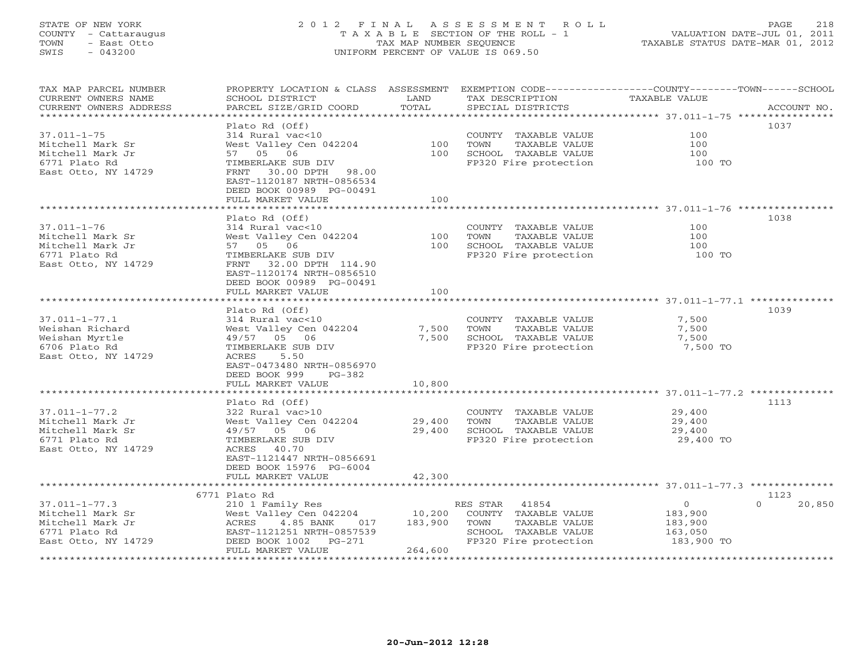# STATE OF NEW YORK 2 0 1 2 F I N A L A S S E S S M E N T R O L L PAGE 218 COUNTY - Cattaraugus T A X A B L E SECTION OF THE ROLL - 1 VALUATION DATE-JUL 01, 2011 TOWN - East Otto TAX MAP NUMBER SEQUENCE TAXABLE STATUS DATE-MAR 01, 2012 SWIS - 043200 UNIFORM PERCENT OF VALUE IS 069.50

| TAX MAP PARCEL NUMBER<br>CURRENT OWNERS NAME<br>CURRENT OWNERS ADDRESS | PROPERTY LOCATION & CLASS ASSESSMENT<br>SCHOOL DISTRICT<br>PARCEL SIZE/GRID COORD | LAND<br>TOTAL    | TAX DESCRIPTION<br>SPECIAL DISTRICTS          | EXEMPTION CODE-----------------COUNTY-------TOWN------SCHOOL<br><b>TAXABLE VALUE</b><br>ACCOUNT NO. |
|------------------------------------------------------------------------|-----------------------------------------------------------------------------------|------------------|-----------------------------------------------|-----------------------------------------------------------------------------------------------------|
| *********************                                                  |                                                                                   |                  |                                               |                                                                                                     |
|                                                                        | Plato Rd (Off)                                                                    |                  |                                               | 1037                                                                                                |
| $37.011 - 1 - 75$                                                      | 314 Rural vac<10                                                                  |                  | COUNTY TAXABLE VALUE                          | 100                                                                                                 |
| Mitchell Mark Sr                                                       | West Valley Cen 042204                                                            | 100              | TOWN<br>TAXABLE VALUE                         | 100                                                                                                 |
| Mitchell Mark Jr                                                       | 57 05 06                                                                          | 100              | SCHOOL TAXABLE VALUE                          | 100                                                                                                 |
| 6771 Plato Rd                                                          | TIMBERLAKE SUB DIV                                                                |                  | FP320 Fire protection                         | 100 TO                                                                                              |
| East Otto, NY 14729                                                    | 30.00 DPTH<br>98.00<br>FRNT                                                       |                  |                                               |                                                                                                     |
|                                                                        | EAST-1120187 NRTH-0856534                                                         |                  |                                               |                                                                                                     |
|                                                                        | DEED BOOK 00989 PG-00491                                                          |                  |                                               |                                                                                                     |
|                                                                        | FULL MARKET VALUE                                                                 | 100              |                                               |                                                                                                     |
|                                                                        |                                                                                   |                  |                                               | 1038                                                                                                |
| $37.011 - 1 - 76$                                                      | Plato Rd (Off)<br>314 Rural vac<10                                                |                  |                                               | 100                                                                                                 |
| Mitchell Mark Sr                                                       | West Valley Cen 042204                                                            | 100              | COUNTY TAXABLE VALUE<br>TOWN<br>TAXABLE VALUE | 100                                                                                                 |
| Mitchell Mark Jr                                                       | 57 05 06                                                                          | 100              | SCHOOL TAXABLE VALUE                          | 100                                                                                                 |
| 6771 Plato Rd                                                          | TIMBERLAKE SUB DIV                                                                |                  | FP320 Fire protection                         | 100 TO                                                                                              |
| East Otto, NY 14729                                                    | 32.00 DPTH 114.90<br>FRNT                                                         |                  |                                               |                                                                                                     |
|                                                                        | EAST-1120174 NRTH-0856510                                                         |                  |                                               |                                                                                                     |
|                                                                        | DEED BOOK 00989 PG-00491                                                          |                  |                                               |                                                                                                     |
|                                                                        | FULL MARKET VALUE                                                                 | 100              |                                               |                                                                                                     |
|                                                                        |                                                                                   |                  |                                               |                                                                                                     |
|                                                                        | Plato Rd (Off)                                                                    |                  |                                               | 1039                                                                                                |
| $37.011 - 1 - 77.1$                                                    | 314 Rural vac<10                                                                  |                  | COUNTY TAXABLE VALUE                          | 7,500                                                                                               |
| Weishan Richard                                                        | West Valley Cen 042204                                                            | 7,500            | TAXABLE VALUE<br>TOWN                         | 7,500                                                                                               |
| Weishan Myrtle                                                         | 49/57 05 06                                                                       | 7,500            | SCHOOL TAXABLE VALUE                          | 7,500                                                                                               |
| 6706 Plato Rd                                                          | TIMBERLAKE SUB DIV                                                                |                  | FP320 Fire protection                         | 7,500 TO                                                                                            |
| East Otto, NY 14729                                                    | 5.50<br>ACRES                                                                     |                  |                                               |                                                                                                     |
|                                                                        | EAST-0473480 NRTH-0856970                                                         |                  |                                               |                                                                                                     |
|                                                                        | DEED BOOK 999<br>$PG-382$                                                         |                  |                                               |                                                                                                     |
|                                                                        | FULL MARKET VALUE                                                                 | 10,800           |                                               |                                                                                                     |
|                                                                        | *************************                                                         | ***************  |                                               |                                                                                                     |
|                                                                        | Plato Rd (Off)                                                                    |                  |                                               | 1113                                                                                                |
| $37.011 - 1 - 77.2$                                                    | 322 Rural vac>10                                                                  |                  | COUNTY TAXABLE VALUE<br>TAXABLE VALUE         | 29,400                                                                                              |
| Mitchell Mark Jr<br>Mitchell Mark Sr                                   | West Valley Cen 042204<br>49/57 05 06                                             | 29,400<br>29,400 | TOWN<br>SCHOOL TAXABLE VALUE                  | 29,400<br>29,400                                                                                    |
| 6771 Plato Rd                                                          | TIMBERLAKE SUB DIV                                                                |                  | FP320 Fire protection                         | 29,400 TO                                                                                           |
| East Otto, NY 14729                                                    | 40.70<br>ACRES                                                                    |                  |                                               |                                                                                                     |
|                                                                        | EAST-1121447 NRTH-0856691                                                         |                  |                                               |                                                                                                     |
|                                                                        | DEED BOOK 15976 PG-6004                                                           |                  |                                               |                                                                                                     |
|                                                                        | FULL MARKET VALUE                                                                 | 42,300           |                                               |                                                                                                     |
|                                                                        | ***************************                                                       |                  |                                               |                                                                                                     |
|                                                                        | 6771 Plato Rd                                                                     |                  |                                               | 1123                                                                                                |
| $37.011 - 1 - 77.3$                                                    | 210 1 Family Res                                                                  |                  | RES STAR<br>41854                             | $\circ$<br>20,850<br>$\Omega$                                                                       |
| Mitchell Mark Sr                                                       | West Valley Cen 042204                                                            | 10,200           | COUNTY TAXABLE VALUE                          | 183,900                                                                                             |
| Mitchell Mark Jr                                                       | ACRES<br>4.85 BANK<br>017                                                         | 183,900          | TOWN<br>TAXABLE VALUE                         | 183,900                                                                                             |
| 6771 Plato Rd                                                          | EAST-1121251 NRTH-0857539                                                         |                  | SCHOOL TAXABLE VALUE                          | 163,050                                                                                             |
| East Otto, NY 14729                                                    | DEED BOOK 1002<br>$PG-271$                                                        |                  | FP320 Fire protection                         | 183,900 TO                                                                                          |
|                                                                        | FULL MARKET VALUE                                                                 | 264,600          |                                               |                                                                                                     |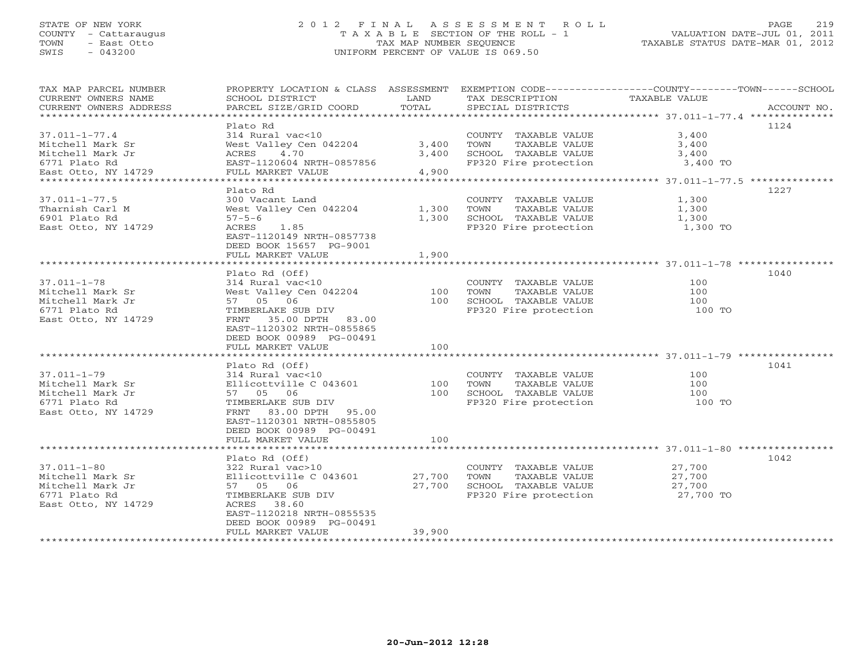# STATE OF NEW YORK 2 0 1 2 F I N A L A S S E S S M E N T R O L L PAGE 219 COUNTY - Cattaraugus T A X A B L E SECTION OF THE ROLL - 1 VALUATION DATE-JUL 01, 2011 TOWN - East Otto TAX MAP NUMBER SEQUENCE TAXABLE STATUS DATE-MAR 01, 2012 SWIS - 043200 UNIFORM PERCENT OF VALUE IS 069.50UNIFORM PERCENT OF VALUE IS 069.50

| TAX MAP PARCEL NUMBER<br>CURRENT OWNERS NAME<br>CURRENT OWNERS ADDRESS | PROPERTY LOCATION & CLASS ASSESSMENT<br>SCHOOL DISTRICT<br>PARCEL SIZE/GRID COORD | LAND<br>TOTAL | TAX DESCRIPTION<br>SPECIAL DISTRICTS | EXEMPTION CODE-----------------COUNTY-------TOWN------SCHOOL<br>TAXABLE VALUE<br>ACCOUNT NO. |
|------------------------------------------------------------------------|-----------------------------------------------------------------------------------|---------------|--------------------------------------|----------------------------------------------------------------------------------------------|
|                                                                        |                                                                                   |               |                                      |                                                                                              |
|                                                                        | Plato Rd                                                                          |               |                                      | 1124                                                                                         |
| $37.011 - 1 - 77.4$                                                    | 314 Rural vac<10                                                                  |               | COUNTY TAXABLE VALUE                 | 3,400                                                                                        |
| Mitchell Mark Sr                                                       | West Valley Cen 042204                                                            | 3,400         | TOWN<br>TAXABLE VALUE                | 3,400                                                                                        |
| Mitchell Mark Jr                                                       | 4.70<br>ACRES                                                                     | 3,400         | SCHOOL TAXABLE VALUE                 | 3,400                                                                                        |
| 6771 Plato Rd<br>East Otto, NY 14729                                   | EAST-1120604 NRTH-0857856<br>FULL MARKET VALUE                                    | 4,900         | FP320 Fire protection                | 3,400 TO                                                                                     |
|                                                                        |                                                                                   |               |                                      |                                                                                              |
|                                                                        | Plato Rd                                                                          |               |                                      | 1227                                                                                         |
| $37.011 - 1 - 77.5$                                                    | 300 Vacant Land                                                                   |               | COUNTY TAXABLE VALUE                 | 1,300                                                                                        |
| Tharnish Carl M                                                        | West Valley Cen 042204                                                            | 1,300         | TAXABLE VALUE<br>TOWN                | 1,300                                                                                        |
| 6901 Plato Rd                                                          | $57 - 5 - 6$                                                                      | 1,300         | SCHOOL TAXABLE VALUE                 | 1,300                                                                                        |
| East Otto, NY 14729                                                    | ACRES<br>1.85                                                                     |               | FP320 Fire protection                | 1,300 TO                                                                                     |
|                                                                        | EAST-1120149 NRTH-0857738                                                         |               |                                      |                                                                                              |
|                                                                        | DEED BOOK 15657 PG-9001                                                           |               |                                      |                                                                                              |
|                                                                        | FULL MARKET VALUE                                                                 | 1,900         |                                      |                                                                                              |
|                                                                        |                                                                                   |               |                                      |                                                                                              |
|                                                                        | Plato Rd (Off)                                                                    |               |                                      | 1040                                                                                         |
| $37.011 - 1 - 78$                                                      | 314 Rural vac<10                                                                  |               | COUNTY TAXABLE VALUE                 | 100                                                                                          |
| Mitchell Mark Sr                                                       | West Valley Cen 042204                                                            | 100           | TOWN<br>TAXABLE VALUE                | 100                                                                                          |
| Mitchell Mark Jr                                                       | 57 05 06                                                                          | 100           | SCHOOL TAXABLE VALUE                 | 100                                                                                          |
| 6771 Plato Rd                                                          | TIMBERLAKE SUB DIV                                                                |               | FP320 Fire protection                | 100 TO                                                                                       |
| East Otto, NY 14729                                                    | FRNT 35.00 DPTH 83.00                                                             |               |                                      |                                                                                              |
|                                                                        | EAST-1120302 NRTH-0855865                                                         |               |                                      |                                                                                              |
|                                                                        | DEED BOOK 00989 PG-00491                                                          |               |                                      |                                                                                              |
|                                                                        | FULL MARKET VALUE                                                                 | 100           |                                      |                                                                                              |
|                                                                        |                                                                                   |               |                                      |                                                                                              |
|                                                                        | Plato Rd (Off)                                                                    |               |                                      | 1041                                                                                         |
| $37.011 - 1 - 79$                                                      | 314 Rural vac<10                                                                  |               | COUNTY TAXABLE VALUE                 | 100                                                                                          |
| Mitchell Mark Sr                                                       | Ellicottville C 043601                                                            | 100           | TAXABLE VALUE<br>TOWN                | 100                                                                                          |
| Mitchell Mark Jr                                                       | 57 05 06                                                                          | 100           | SCHOOL TAXABLE VALUE                 | 100                                                                                          |
| 6771 Plato Rd                                                          | TIMBERLAKE SUB DIV                                                                |               | FP320 Fire protection                | 100 TO                                                                                       |
| East Otto, NY 14729                                                    | FRNT 83.00 DPTH 95.00                                                             |               |                                      |                                                                                              |
|                                                                        | EAST-1120301 NRTH-0855805                                                         |               |                                      |                                                                                              |
|                                                                        | DEED BOOK 00989 PG-00491                                                          |               |                                      |                                                                                              |
|                                                                        | FULL MARKET VALUE                                                                 | 100           |                                      |                                                                                              |
|                                                                        |                                                                                   |               |                                      |                                                                                              |
|                                                                        | Plato Rd (Off)                                                                    |               |                                      | 1042                                                                                         |
| $37.011 - 1 - 80$                                                      | 322 Rural vac>10                                                                  |               | COUNTY TAXABLE VALUE                 | 27,700                                                                                       |
| Mitchell Mark Sr                                                       | Ellicottville C 043601                                                            | 27,700        | TOWN<br>TAXABLE VALUE                | 27,700                                                                                       |
| Mitchell Mark Jr                                                       | 57 05 06                                                                          | 27,700        | SCHOOL TAXABLE VALUE                 | 27,700                                                                                       |
| 6771 Plato Rd                                                          | TIMBERLAKE SUB DIV                                                                |               | FP320 Fire protection                | 27,700 TO                                                                                    |
| East Otto, NY 14729                                                    | 38.60<br>ACRES                                                                    |               |                                      |                                                                                              |
|                                                                        | EAST-1120218 NRTH-0855535                                                         |               |                                      |                                                                                              |
|                                                                        | DEED BOOK 00989 PG-00491                                                          |               |                                      |                                                                                              |
|                                                                        | FULL MARKET VALUE                                                                 | 39,900        |                                      |                                                                                              |
|                                                                        |                                                                                   |               |                                      |                                                                                              |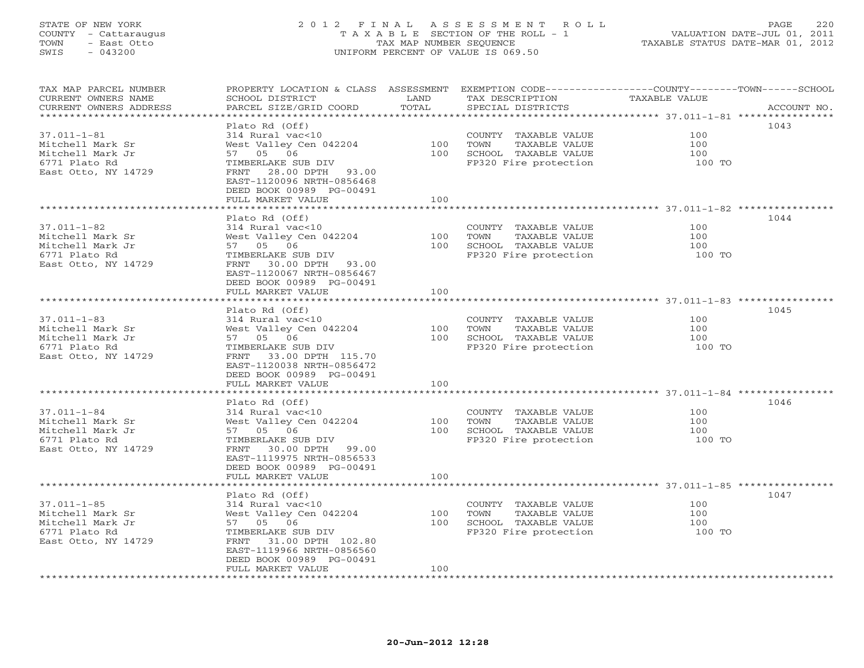# STATE OF NEW YORK 2 0 1 2 F I N A L A S S E S S M E N T R O L L PAGE 220 COUNTY - Cattaraugus T A X A B L E SECTION OF THE ROLL - 1 VALUATION DATE-JUL 01, 2011 TOWN - East Otto TAX MAP NUMBER SEQUENCE TAXABLE STATUS DATE-MAR 01, 2012 SWIS - 043200 UNIFORM PERCENT OF VALUE IS 069.50UNIFORM PERCENT OF VALUE IS 069.50

| TAX MAP PARCEL NUMBER<br>CURRENT OWNERS NAME | PROPERTY LOCATION & CLASS ASSESSMENT<br>SCHOOL DISTRICT | LAND  | EXEMPTION CODE-----------------COUNTY-------TOWN------SCHOOL<br>TAX DESCRIPTION | TAXABLE VALUE |             |
|----------------------------------------------|---------------------------------------------------------|-------|---------------------------------------------------------------------------------|---------------|-------------|
| CURRENT OWNERS ADDRESS                       | PARCEL SIZE/GRID COORD                                  | TOTAL | SPECIAL DISTRICTS                                                               |               | ACCOUNT NO. |
| ********************                         |                                                         |       |                                                                                 |               |             |
|                                              | Plato Rd (Off)                                          |       |                                                                                 |               | 1043        |
| $37.011 - 1 - 81$                            | 314 Rural vac<10                                        |       | COUNTY TAXABLE VALUE                                                            | 100           |             |
| Mitchell Mark Sr                             | West Valley Cen 042204                                  | 100   | TOWN<br>TAXABLE VALUE                                                           | 100           |             |
| Mitchell Mark Jr                             | 57 05 06                                                | 100   | SCHOOL TAXABLE VALUE                                                            | 100           |             |
| 6771 Plato Rd                                | TIMBERLAKE SUB DIV                                      |       | FP320 Fire protection                                                           | 100 TO        |             |
| East Otto, NY 14729                          | 28.00 DPTH<br>FRNT<br>93.00                             |       |                                                                                 |               |             |
|                                              | EAST-1120096 NRTH-0856468                               |       |                                                                                 |               |             |
|                                              | DEED BOOK 00989 PG-00491                                |       |                                                                                 |               |             |
|                                              | FULL MARKET VALUE                                       | 100   |                                                                                 |               |             |
|                                              |                                                         |       |                                                                                 |               |             |
|                                              | Plato Rd (Off)                                          |       |                                                                                 |               | 1044        |
| $37.011 - 1 - 82$                            | 314 Rural vac<10                                        |       | COUNTY TAXABLE VALUE                                                            | 100           |             |
| Mitchell Mark Sr                             | West Valley Cen 042204                                  | 100   | TOWN<br>TAXABLE VALUE                                                           | 100           |             |
| Mitchell Mark Jr                             | 57 05 06                                                | 100   | SCHOOL TAXABLE VALUE                                                            | 100           |             |
| 6771 Plato Rd                                | TIMBERLAKE SUB DIV                                      |       | FP320 Fire protection                                                           | 100 TO        |             |
| East Otto, NY 14729                          | FRNT<br>30.00 DPTH<br>93.00                             |       |                                                                                 |               |             |
|                                              | EAST-1120067 NRTH-0856467                               |       |                                                                                 |               |             |
|                                              | DEED BOOK 00989 PG-00491                                |       |                                                                                 |               |             |
|                                              | FULL MARKET VALUE                                       | 100   |                                                                                 |               |             |
|                                              |                                                         |       |                                                                                 |               |             |
|                                              | Plato Rd (Off)                                          |       |                                                                                 |               | 1045        |
| $37.011 - 1 - 83$                            | 314 Rural vac<10                                        |       | COUNTY TAXABLE VALUE                                                            | 100           |             |
| Mitchell Mark Sr                             | West Valley Cen 042204                                  | 100   | TOWN<br>TAXABLE VALUE                                                           | 100           |             |
| Mitchell Mark Jr                             | 57 05 06                                                | 100   | SCHOOL TAXABLE VALUE                                                            | 100           |             |
| 6771 Plato Rd                                | TIMBERLAKE SUB DIV                                      |       | FP320 Fire protection                                                           | 100 TO        |             |
| East Otto, NY 14729                          | 33.00 DPTH 115.70<br>FRNT                               |       |                                                                                 |               |             |
|                                              | EAST-1120038 NRTH-0856472                               |       |                                                                                 |               |             |
|                                              | DEED BOOK 00989 PG-00491                                |       |                                                                                 |               |             |
|                                              | FULL MARKET VALUE                                       | 100   |                                                                                 |               |             |
| ************************                     |                                                         |       |                                                                                 |               |             |
|                                              | Plato Rd (Off)                                          |       |                                                                                 |               | 1046        |
| $37.011 - 1 - 84$                            | 314 Rural vac<10                                        |       | COUNTY TAXABLE VALUE                                                            | 100           |             |
| Mitchell Mark Sr                             | West Valley Cen 042204                                  | 100   | TOWN<br>TAXABLE VALUE                                                           | 100           |             |
| Mitchell Mark Jr                             | 57 05 06                                                | 100   | SCHOOL TAXABLE VALUE                                                            | 100           |             |
| 6771 Plato Rd                                | TIMBERLAKE SUB DIV                                      |       | FP320 Fire protection                                                           | 100 TO        |             |
| East Otto, NY 14729                          | FRNT<br>30.00 DPTH<br>99.00                             |       |                                                                                 |               |             |
|                                              | EAST-1119975 NRTH-0856533                               |       |                                                                                 |               |             |
|                                              | DEED BOOK 00989 PG-00491                                |       |                                                                                 |               |             |
|                                              | FULL MARKET VALUE                                       | 100   |                                                                                 |               |             |
|                                              |                                                         |       |                                                                                 |               |             |
|                                              | Plato Rd (Off)                                          |       |                                                                                 |               | 1047        |
| $37.011 - 1 - 85$                            | 314 Rural vac<10                                        |       | COUNTY TAXABLE VALUE                                                            | 100           |             |
| Mitchell Mark Sr                             | West Valley Cen 042204                                  | 100   | TOWN<br>TAXABLE VALUE                                                           | 100           |             |
| Mitchell Mark Jr                             | 57 05 06                                                | 100   | SCHOOL TAXABLE VALUE                                                            | 100           |             |
| 6771 Plato Rd                                | TIMBERLAKE SUB DIV                                      |       | FP320 Fire protection                                                           | 100 TO        |             |
| East Otto, NY 14729                          | 31.00 DPTH 102.80<br>FRNT                               |       |                                                                                 |               |             |
|                                              | EAST-1119966 NRTH-0856560                               |       |                                                                                 |               |             |
|                                              | DEED BOOK 00989 PG-00491                                |       |                                                                                 |               |             |
|                                              | FULL MARKET VALUE                                       | 100   |                                                                                 |               |             |
|                                              |                                                         |       |                                                                                 |               |             |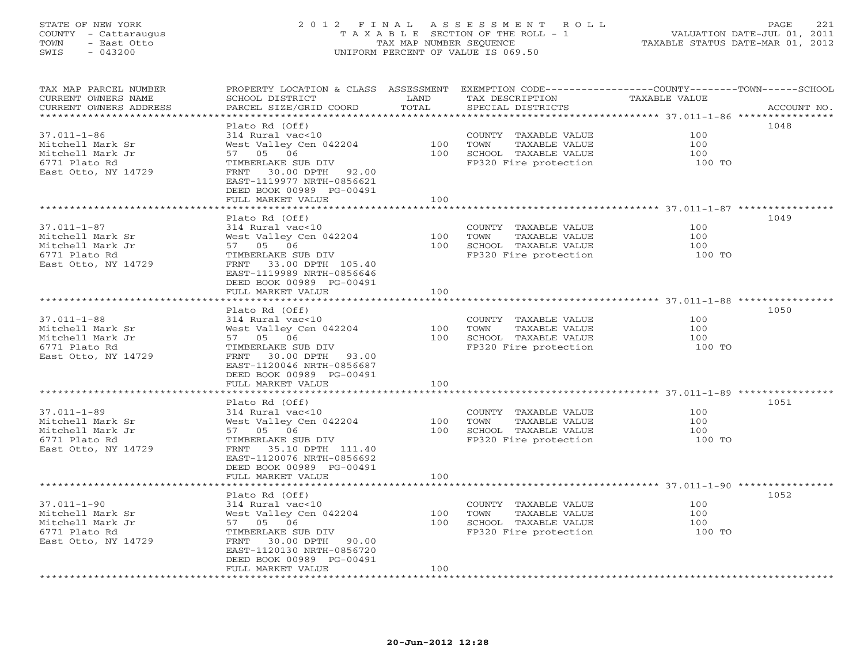# STATE OF NEW YORK 2 0 1 2 F I N A L A S S E S S M E N T R O L L PAGE 221 COUNTY - Cattaraugus T A X A B L E SECTION OF THE ROLL - 1 VALUATION DATE-JUL 01, 2011 TOWN - East Otto TAX MAP NUMBER SEQUENCE TAXABLE STATUS DATE-MAR 01, 2012 SWIS - 043200 UNIFORM PERCENT OF VALUE IS 069.50UNIFORM PERCENT OF VALUE IS 069.50

| TAX MAP PARCEL NUMBER<br>CURRENT OWNERS NAME | PROPERTY LOCATION & CLASS ASSESSMENT<br>SCHOOL DISTRICT | LAND  | EXEMPTION CODE-----------------COUNTY-------TOWN------SCHOOL<br>TAX DESCRIPTION | TAXABLE VALUE |             |
|----------------------------------------------|---------------------------------------------------------|-------|---------------------------------------------------------------------------------|---------------|-------------|
| CURRENT OWNERS ADDRESS                       | PARCEL SIZE/GRID COORD                                  | TOTAL | SPECIAL DISTRICTS                                                               |               | ACCOUNT NO. |
|                                              | Plato Rd (Off)                                          |       |                                                                                 |               | 1048        |
| $37.011 - 1 - 86$                            | 314 Rural vac<10                                        |       | COUNTY TAXABLE VALUE                                                            | 100           |             |
|                                              |                                                         | 100   | TOWN                                                                            | 100           |             |
| Mitchell Mark Sr                             | West Valley Cen 042204                                  | 100   | TAXABLE VALUE                                                                   | 100           |             |
| Mitchell Mark Jr                             | 57 05 06                                                |       | SCHOOL TAXABLE VALUE                                                            |               |             |
| 6771 Plato Rd                                | TIMBERLAKE SUB DIV                                      |       | FP320 Fire protection                                                           | 100 TO        |             |
| East Otto, NY 14729                          | FRNT 30.00 DPTH 92.00<br>EAST-1119977 NRTH-0856621      |       |                                                                                 |               |             |
|                                              | DEED BOOK 00989 PG-00491                                |       |                                                                                 |               |             |
|                                              |                                                         | 100   |                                                                                 |               |             |
|                                              | FULL MARKET VALUE                                       |       |                                                                                 |               |             |
|                                              | Plato Rd (Off)                                          |       |                                                                                 |               | 1049        |
| $37.011 - 1 - 87$                            | 314 Rural vac<10                                        |       | COUNTY TAXABLE VALUE                                                            | 100           |             |
| Mitchell Mark Sr                             | West Valley Cen 042204                                  | 100   | TOWN<br>TAXABLE VALUE                                                           | 100           |             |
|                                              |                                                         | 100   | SCHOOL TAXABLE VALUE                                                            | 100           |             |
| Mitchell Mark Jr                             | 57 05 06                                                |       |                                                                                 |               |             |
| 6771 Plato Rd                                | TIMBERLAKE SUB DIV                                      |       | FP320 Fire protection                                                           | 100 TO        |             |
| East Otto, NY 14729                          | 33.00 DPTH 105.40<br>FRNT                               |       |                                                                                 |               |             |
|                                              | EAST-1119989 NRTH-0856646                               |       |                                                                                 |               |             |
|                                              | DEED BOOK 00989 PG-00491                                |       |                                                                                 |               |             |
|                                              | FULL MARKET VALUE                                       | 100   |                                                                                 |               |             |
|                                              |                                                         |       |                                                                                 |               |             |
|                                              | Plato Rd (Off)                                          |       |                                                                                 |               | 1050        |
| $37.011 - 1 - 88$                            | 314 Rural vac<10                                        |       | COUNTY TAXABLE VALUE                                                            | 100           |             |
| Mitchell Mark Sr                             | West Valley Cen 042204                                  | 100   | TOWN<br>TAXABLE VALUE                                                           | 100           |             |
| Mitchell Mark Jr                             | 57 05 06                                                | 100   | SCHOOL TAXABLE VALUE                                                            | 100           |             |
| 6771 Plato Rd                                | TIMBERLAKE SUB DIV                                      |       | FP320 Fire protection                                                           | 100 TO        |             |
| East Otto, NY 14729                          | FRNT<br>30.00 DPTH 93.00                                |       |                                                                                 |               |             |
|                                              | EAST-1120046 NRTH-0856687                               |       |                                                                                 |               |             |
|                                              | DEED BOOK 00989 PG-00491                                |       |                                                                                 |               |             |
|                                              | FULL MARKET VALUE                                       | 100   |                                                                                 |               |             |
|                                              |                                                         |       |                                                                                 |               |             |
|                                              | Plato Rd (Off)                                          |       |                                                                                 |               | 1051        |
| $37.011 - 1 - 89$                            | 314 Rural vac<10                                        |       | COUNTY TAXABLE VALUE                                                            | 100           |             |
| Mitchell Mark Sr                             | West Valley Cen 042204                                  | 100   | TOWN<br>TAXABLE VALUE                                                           | 100           |             |
| Mitchell Mark Jr                             | 57 05 06                                                | 100   | SCHOOL TAXABLE VALUE                                                            | 100           |             |
| 6771 Plato Rd                                | TIMBERLAKE SUB DIV                                      |       | FP320 Fire protection                                                           | 100 TO        |             |
| East Otto, NY 14729                          | 35.10 DPTH 111.40<br>FRNT                               |       |                                                                                 |               |             |
|                                              | EAST-1120076 NRTH-0856692                               |       |                                                                                 |               |             |
|                                              | DEED BOOK 00989 PG-00491                                |       |                                                                                 |               |             |
|                                              | FULL MARKET VALUE<br>**********************             | 100   |                                                                                 |               |             |
|                                              |                                                         |       |                                                                                 |               |             |
|                                              | Plato Rd (Off)                                          |       |                                                                                 |               | 1052        |
| $37.011 - 1 - 90$                            | 314 Rural vac<10                                        |       | COUNTY TAXABLE VALUE                                                            | 100           |             |
| Mitchell Mark Sr                             | West Valley Cen 042204                                  | 100   | TOWN<br>TAXABLE VALUE                                                           | 100           |             |
| Mitchell Mark Jr                             | 57 05 06                                                | 100   | SCHOOL TAXABLE VALUE                                                            | 100           |             |
| 6771 Plato Rd                                | TIMBERLAKE SUB DIV                                      |       | FP320 Fire protection                                                           | 100 TO        |             |
| East Otto, NY 14729                          | 30.00 DPTH 90.00<br>FRNT                                |       |                                                                                 |               |             |
|                                              | EAST-1120130 NRTH-0856720                               |       |                                                                                 |               |             |
|                                              | DEED BOOK 00989 PG-00491                                |       |                                                                                 |               |             |
|                                              | FULL MARKET VALUE                                       | 100   |                                                                                 |               |             |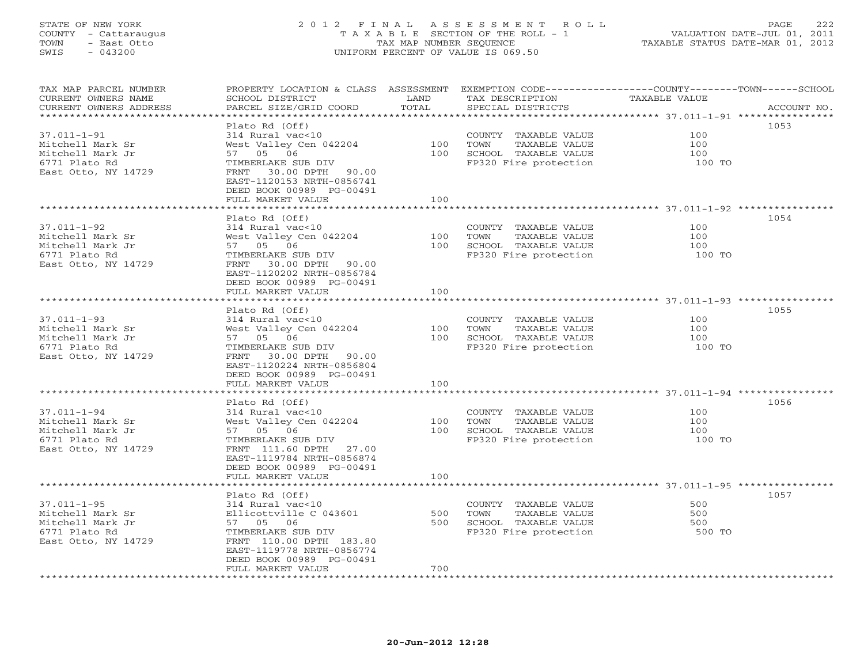# STATE OF NEW YORK 2 0 1 2 F I N A L A S S E S S M E N T R O L L PAGE 222 COUNTY - Cattaraugus T A X A B L E SECTION OF THE ROLL - 1 VALUATION DATE-JUL 01, 2011 TOWN - East Otto TAX MAP NUMBER SEQUENCE TAXABLE STATUS DATE-MAR 01, 2012 SWIS - 043200 UNIFORM PERCENT OF VALUE IS 069.50UNIFORM PERCENT OF VALUE IS 069.50

| TAX MAP PARCEL NUMBER<br>CURRENT OWNERS NAME | SCHOOL DISTRICT                                       | LAND                      | TAX DESCRIPTION       | PROPERTY LOCATION & CLASS ASSESSMENT EXEMPTION CODE----------------COUNTY-------TOWN------SCHOOL<br><b>TAXABLE VALUE</b> |
|----------------------------------------------|-------------------------------------------------------|---------------------------|-----------------------|--------------------------------------------------------------------------------------------------------------------------|
| CURRENT OWNERS ADDRESS                       | PARCEL SIZE/GRID COORD                                | TOTAL                     | SPECIAL DISTRICTS     | ACCOUNT NO.                                                                                                              |
| ******************************               |                                                       |                           |                       |                                                                                                                          |
|                                              | Plato Rd (Off)                                        |                           |                       | 1053                                                                                                                     |
| $37.011 - 1 - 91$                            | 314 Rural vac<10                                      |                           | COUNTY TAXABLE VALUE  | 100                                                                                                                      |
| Mitchell Mark Sr                             | West Valley Cen 042204                                | 100                       | TOWN<br>TAXABLE VALUE | 100                                                                                                                      |
| Mitchell Mark Jr                             | 57 05 06                                              | 100                       | SCHOOL TAXABLE VALUE  | 100                                                                                                                      |
| 6771 Plato Rd                                | TIMBERLAKE SUB DIV                                    |                           | FP320 Fire protection | 100 TO                                                                                                                   |
| East Otto, NY 14729                          | 30.00 DPTH<br>FRNT<br>90.00                           |                           |                       |                                                                                                                          |
|                                              | EAST-1120153 NRTH-0856741                             |                           |                       |                                                                                                                          |
|                                              | DEED BOOK 00989 PG-00491                              |                           |                       |                                                                                                                          |
|                                              | FULL MARKET VALUE                                     | 100                       |                       |                                                                                                                          |
|                                              | * * * * * * * * * * * * * * * * * * *                 |                           |                       |                                                                                                                          |
|                                              | Plato Rd (Off)                                        |                           |                       | 1054                                                                                                                     |
| $37.011 - 1 - 92$                            | 314 Rural vac<10                                      |                           | COUNTY TAXABLE VALUE  | 100                                                                                                                      |
| Mitchell Mark Sr                             | West Valley Cen 042204                                | 100                       | TOWN<br>TAXABLE VALUE | 100                                                                                                                      |
| Mitchell Mark Jr                             | 57 05 06                                              | 100                       | SCHOOL TAXABLE VALUE  | 100                                                                                                                      |
| 6771 Plato Rd                                | TIMBERLAKE SUB DIV                                    |                           | FP320 Fire protection | 100 TO                                                                                                                   |
| East Otto, NY 14729                          | 30.00 DPTH 90.00<br>FRNT                              |                           |                       |                                                                                                                          |
|                                              | EAST-1120202 NRTH-0856784                             |                           |                       |                                                                                                                          |
|                                              | DEED BOOK 00989 PG-00491                              |                           |                       |                                                                                                                          |
|                                              | FULL MARKET VALUE                                     | 100                       |                       |                                                                                                                          |
|                                              |                                                       |                           |                       |                                                                                                                          |
|                                              | Plato Rd (Off)                                        |                           |                       | 1055                                                                                                                     |
| $37.011 - 1 - 93$                            | 314 Rural vac<10                                      |                           | COUNTY TAXABLE VALUE  | 100                                                                                                                      |
| Mitchell Mark Sr                             | West Valley Cen 042204                                | 100<br>100                | TOWN<br>TAXABLE VALUE | 100                                                                                                                      |
| Mitchell Mark Jr                             | 57 05 06                                              |                           | SCHOOL TAXABLE VALUE  | 100                                                                                                                      |
| 6771 Plato Rd                                | TIMBERLAKE SUB DIV<br>FRNT                            |                           | FP320 Fire protection | 100 TO                                                                                                                   |
| East Otto, NY 14729                          | 30.00 DPTH 90.00                                      |                           |                       |                                                                                                                          |
|                                              | EAST-1120224 NRTH-0856804<br>DEED BOOK 00989 PG-00491 |                           |                       |                                                                                                                          |
|                                              | FULL MARKET VALUE                                     | 100                       |                       |                                                                                                                          |
|                                              |                                                       |                           |                       |                                                                                                                          |
|                                              | Plato Rd (Off)                                        |                           |                       | 1056                                                                                                                     |
| $37.011 - 1 - 94$                            | 314 Rural vac<10                                      |                           | COUNTY TAXABLE VALUE  | 100                                                                                                                      |
| Mitchell Mark Sr                             | West Valley Cen 042204                                | 100                       | TAXABLE VALUE<br>TOWN | 100                                                                                                                      |
| Mitchell Mark Jr                             | 57 05 06                                              | 100                       | SCHOOL TAXABLE VALUE  | 100                                                                                                                      |
| 6771 Plato Rd                                | TIMBERLAKE SUB DIV                                    |                           | FP320 Fire protection | 100 TO                                                                                                                   |
| East Otto, NY 14729                          | FRNT 111.60 DPTH 27.00                                |                           |                       |                                                                                                                          |
|                                              | EAST-1119784 NRTH-0856874                             |                           |                       |                                                                                                                          |
|                                              | DEED BOOK 00989 PG-00491                              |                           |                       |                                                                                                                          |
|                                              | FULL MARKET VALUE                                     | 100                       |                       |                                                                                                                          |
|                                              | *********************                                 | * * * * * * * * * * * * * |                       | ******************************* 37.011-1-95 ************                                                                 |
|                                              | Plato Rd (Off)                                        |                           |                       | 1057                                                                                                                     |
| $37.011 - 1 - 95$                            | 314 Rural vac<10                                      |                           | COUNTY TAXABLE VALUE  | 500                                                                                                                      |
| Mitchell Mark Sr                             | Ellicottville C 043601                                | 500                       | TOWN<br>TAXABLE VALUE | 500                                                                                                                      |
| Mitchell Mark Jr                             | 57 05 06                                              | 500                       | SCHOOL TAXABLE VALUE  | 500                                                                                                                      |
| 6771 Plato Rd                                | TIMBERLAKE SUB DIV                                    |                           | FP320 Fire protection | 500 TO                                                                                                                   |
| East Otto, NY 14729                          | FRNT 110.00 DPTH 183.80                               |                           |                       |                                                                                                                          |
|                                              | EAST-1119778 NRTH-0856774                             |                           |                       |                                                                                                                          |
|                                              | DEED BOOK 00989 PG-00491                              |                           |                       |                                                                                                                          |
|                                              | FULL MARKET VALUE                                     | 700                       |                       |                                                                                                                          |
|                                              |                                                       |                           |                       |                                                                                                                          |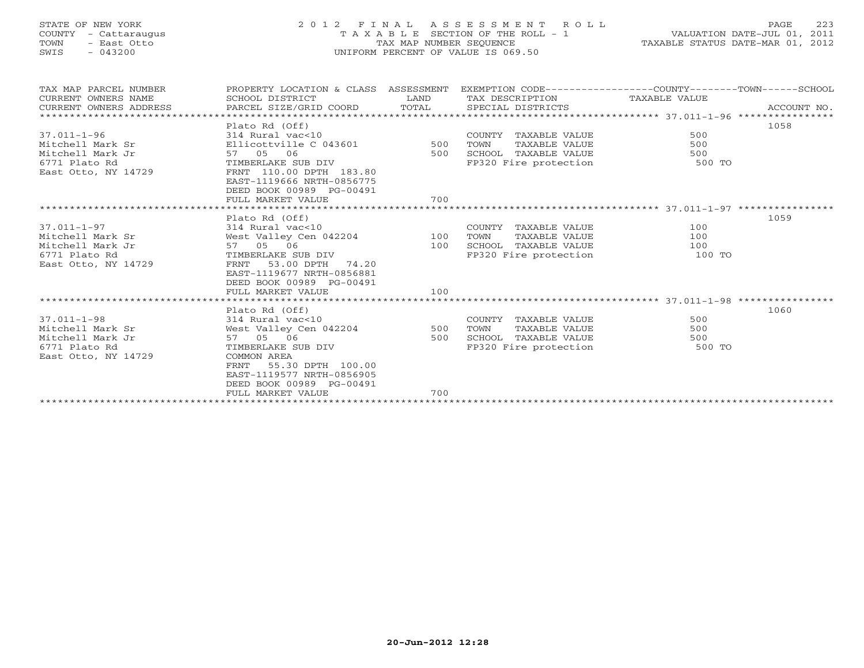# STATE OF NEW YORK 2 0 1 2 F I N A L A S S E S S M E N T R O L L PAGE 223 COUNTY - Cattaraugus T A X A B L E SECTION OF THE ROLL - 1 VALUATION DATE-JUL 01, 2011 TOWN - East Otto TAX MAP NUMBER SEQUENCE TAXABLE STATUS DATE-MAR 01, 2012 SWIS - 043200 UNIFORM PERCENT OF VALUE IS 069.50UNIFORM PERCENT OF VALUE IS 069.50

| TAX MAP PARCEL NUMBER<br>CURRENT OWNERS NAME<br>CURRENT OWNERS ADDRESS | PROPERTY LOCATION & CLASS ASSESSMENT EXEMPTION CODE---------------COUNTY-------TOWN------SCHOOL<br>SCHOOL DISTRICT<br>PARCEL SIZE/GRID COORD | LAND<br>TOTAL | TAX DESCRIPTION TAXABLE VALUE<br>SPECIAL DISTRICTS       |                                                                                                                 | ACCOUNT NO. |
|------------------------------------------------------------------------|----------------------------------------------------------------------------------------------------------------------------------------------|---------------|----------------------------------------------------------|-----------------------------------------------------------------------------------------------------------------|-------------|
|                                                                        |                                                                                                                                              |               |                                                          |                                                                                                                 |             |
|                                                                        | Plato Rd (Off)                                                                                                                               |               |                                                          |                                                                                                                 | 1058        |
| $37.011 - 1 - 96$                                                      |                                                                                                                                              |               | COUNTY TAXABLE VALUE                                     | 500                                                                                                             |             |
| Mitchell Mark Sr                                                       | 314 Rural vac<10<br>Ellicottville C 043601 500                                                                                               |               | TAXABLE VALUE<br>TOWN                                    | 500                                                                                                             |             |
| Mitchell Mark Jr                                                       |                                                                                                                                              | 500           |                                                          |                                                                                                                 |             |
| 6771 Plato Rd                                                          | TIMBERLAKE SUB DIV                                                                                                                           |               | SCHOOL TAXABLE VALUE 500<br>FP320 Fire protection 500 TO |                                                                                                                 |             |
| East Otto, NY 14729                                                    | FRNT 110.00 DPTH 183.80                                                                                                                      |               |                                                          |                                                                                                                 |             |
|                                                                        | EAST-1119666 NRTH-0856775                                                                                                                    |               |                                                          |                                                                                                                 |             |
|                                                                        | DEED BOOK 00989 PG-00491                                                                                                                     |               |                                                          |                                                                                                                 |             |
|                                                                        | FULL MARKET VALUE                                                                                                                            | 700           |                                                          |                                                                                                                 |             |
|                                                                        |                                                                                                                                              |               |                                                          |                                                                                                                 |             |
|                                                                        | Plato Rd (Off)                                                                                                                               |               |                                                          |                                                                                                                 | 1059        |
| $37.011 - 1 - 97$                                                      |                                                                                                                                              |               | COUNTY TAXABLE VALUE                                     | 100                                                                                                             |             |
| Mitchell Mark Sr                                                       | 314 Rural vac<10<br>West Valley Cen 042204 100<br>57 05 06 100                                                                               |               | TAXABLE VALUE<br>TOWN                                    | 100                                                                                                             |             |
| Mitchell Mark Jr                                                       |                                                                                                                                              |               | SCHOOL TAXABLE VALUE                                     | 100                                                                                                             |             |
| 6771 Plato Rd                                                          | TIMBERLAKE SUB DIV                                                                                                                           |               | FP320 Fire protection                                    | 100 TO                                                                                                          |             |
| East Otto, NY 14729                                                    | 53.00 DPTH 74.20<br>FRNT                                                                                                                     |               |                                                          |                                                                                                                 |             |
|                                                                        | EAST-1119677 NRTH-0856881                                                                                                                    |               |                                                          |                                                                                                                 |             |
|                                                                        | DEED BOOK 00989 PG-00491                                                                                                                     |               |                                                          |                                                                                                                 |             |
|                                                                        | FULL MARKET VALUE                                                                                                                            | 100           |                                                          |                                                                                                                 |             |
|                                                                        |                                                                                                                                              |               |                                                          |                                                                                                                 |             |
|                                                                        | Plato Rd (Off)                                                                                                                               |               |                                                          |                                                                                                                 | 1060        |
| $37.011 - 1 - 98$                                                      | Plato kd (UII)<br>314 Rural vac<10<br>West Valley Cen 042204 500                                                                             |               | COUNTY TAXABLE VALUE                                     | 500                                                                                                             |             |
| Mitchell Mark Sr                                                       |                                                                                                                                              |               | TOWN<br>TAXABLE VALUE                                    | 500                                                                                                             |             |
| Mitchell Mark Jr                                                       | 57 05 06                                                                                                                                     | 500           | SCHOOL TAXABLE VALUE                                     | 500                                                                                                             |             |
| 6771 Plato Rd                                                          | TIMBERLAKE SUB DIV                                                                                                                           |               | FP320 Fire protection                                    | — Боритания в 1990 году в 1990 году в 1990 году в 1990 году в 1990 году в 1990 году в 1990 году в 1990 году в 1 |             |
| East Otto, NY 14729                                                    | COMMON AREA                                                                                                                                  |               |                                                          |                                                                                                                 |             |
|                                                                        | 55.30 DPTH 100.00<br>FRNT                                                                                                                    |               |                                                          |                                                                                                                 |             |
|                                                                        | EAST-1119577 NRTH-0856905                                                                                                                    |               |                                                          |                                                                                                                 |             |
|                                                                        | DEED BOOK 00989 PG-00491                                                                                                                     |               |                                                          |                                                                                                                 |             |
|                                                                        | FULL MARKET VALUE                                                                                                                            | 700           |                                                          |                                                                                                                 |             |
|                                                                        |                                                                                                                                              |               |                                                          |                                                                                                                 |             |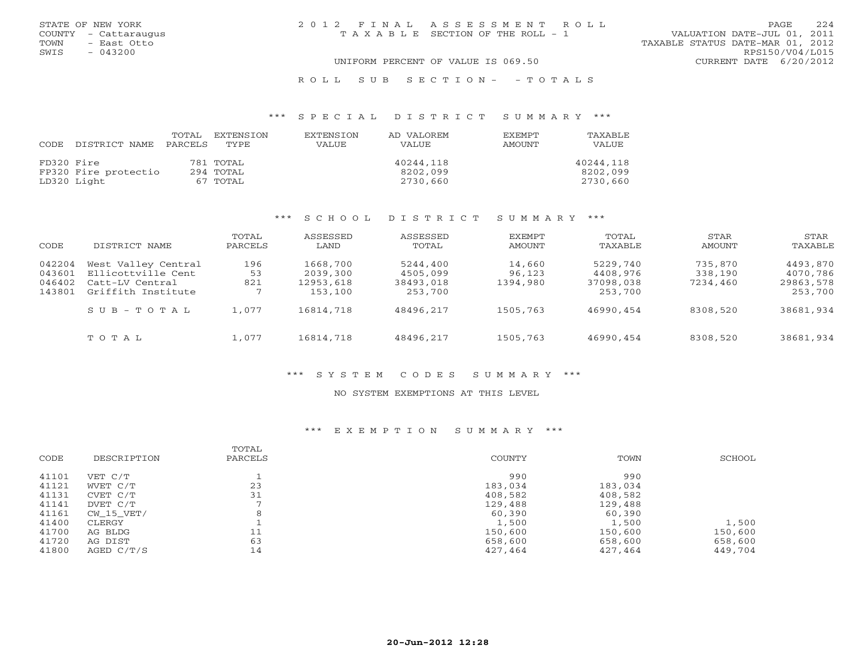| STATE OF NEW YORK<br>COUNTY - Cattaraugus<br>- East Otto<br>TOWN | 2012 FINAL ASSESSMENT ROLL<br>TAXABLE SECTION OF THE ROLL - 1 | 224<br><b>PAGE</b><br>VALUATION DATE-JUL 01, 2011<br>TAXABLE STATUS DATE-MAR 01, 2012 |
|------------------------------------------------------------------|---------------------------------------------------------------|---------------------------------------------------------------------------------------|
| $-043200$<br>SWIS                                                | UNIFORM PERCENT OF VALUE IS 069.50                            | RPS150/V04/L015<br>CURRENT DATE 6/20/2012                                             |
|                                                                  |                                                               |                                                                                       |

### \*\*\* S P E C I A L D I S T R I C T S U M M A R Y \*\*\*

| CODE       | DISTRICT NAME        | TOTAL<br>PARCELS | EXTENSION<br>TYPE. | EXTENSTON<br>VALUE | AD VALOREM<br>VALUE | <b>EXEMPT</b><br>AMOUNT | TAXABLE<br>VALUE |
|------------|----------------------|------------------|--------------------|--------------------|---------------------|-------------------------|------------------|
| FD320 Fire |                      |                  | 781 TOTAL          |                    | 40244,118           |                         | 40244,118        |
|            | FP320 Fire protectio |                  | 294 TOTAL          |                    | 8202,099            |                         | 8202,099         |
|            | LD320 Light          |                  | 67 TOTAL           |                    | 2730,660            |                         | 2730,660         |

R O L L S U B S E C T I O N - - T O T A L S

#### \*\*\* S C H O O L D I S T R I C T S U M M A R Y \*\*\*

| CODE                                 | DISTRICT NAME                                                                      | TOTAL<br>PARCELS | ASSESSED<br>LAND                             | ASSESSED<br>TOTAL                            | <b>EXEMPT</b><br>AMOUNT      | TOTAL<br>TAXABLE                             | STAR<br>AMOUNT                 | STAR<br>TAXABLE                              |
|--------------------------------------|------------------------------------------------------------------------------------|------------------|----------------------------------------------|----------------------------------------------|------------------------------|----------------------------------------------|--------------------------------|----------------------------------------------|
| 042204<br>043601<br>046402<br>143801 | West Valley Central<br>Ellicottville Cent<br>Catt-LV Central<br>Griffith Institute | 196<br>53<br>821 | 1668,700<br>2039,300<br>12953,618<br>153,100 | 5244,400<br>4505,099<br>38493,018<br>253,700 | 14,660<br>96,123<br>1394,980 | 5229,740<br>4408,976<br>37098,038<br>253,700 | 735,870<br>338,190<br>7234,460 | 4493,870<br>4070,786<br>29863,578<br>253,700 |
|                                      | $SUB - TO T AL$                                                                    | 1,077            | 16814,718                                    | 48496,217                                    | 1505,763                     | 46990,454                                    | 8308,520                       | 38681,934                                    |
|                                      | TOTAL                                                                              | 1,077            | 16814,718                                    | 48496,217                                    | 1505,763                     | 46990,454                                    | 8308,520                       | 38681,934                                    |

#### \*\*\* S Y S T E M C O D E S S U M M A R Y \*\*\*

### NO SYSTEM EXEMPTIONS AT THIS LEVEL

#### \*\*\* E X E M P T I O N S U M M A R Y \*\*\*

| CODE  | DESCRIPTION  | TOTAL<br>PARCELS | COUNTY  | TOWN    | SCHOOL  |
|-------|--------------|------------------|---------|---------|---------|
| 41101 | VET C/T      |                  | 990     | 990     |         |
| 41121 | WVET C/T     | 23               | 183,034 | 183,034 |         |
| 41131 | CVET C/T     | 31               | 408,582 | 408,582 |         |
| 41141 | DVET C/T     |                  | 129,488 | 129,488 |         |
| 41161 | CW 15 VET/   | 8                | 60,390  | 60,390  |         |
| 41400 | CLERGY       |                  | 1,500   | 1,500   | 1,500   |
| 41700 | AG BLDG      | 11               | 150,600 | 150,600 | 150,600 |
| 41720 | AG DIST      | 63               | 658,600 | 658,600 | 658,600 |
| 41800 | AGED $C/T/S$ | 14               | 427,464 | 427,464 | 449,704 |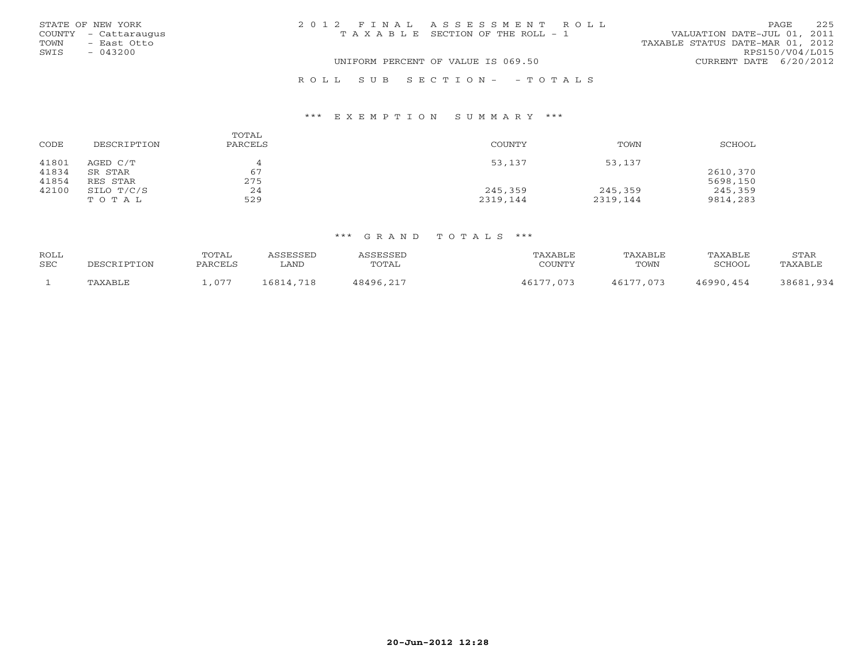|                                    | STATE OF NEW YORK    | 2012 FINAL ASSESSMENT ROLL            | PAGE                             | 225             |
|------------------------------------|----------------------|---------------------------------------|----------------------------------|-----------------|
|                                    | COUNTY - Cattaraugus | T A X A B L E SECTION OF THE ROLL - 1 | VALUATION DATE-JUL 01, 2011      |                 |
| TOWN                               | - East Otto          |                                       | TAXABLE STATUS DATE-MAR 01, 2012 |                 |
| SWIS                               | $-043200$            |                                       |                                  | RPS150/V04/L015 |
| UNIFORM PERCENT OF VALUE IS 069.50 |                      |                                       | CURRENT DATE 6/20/2012           |                 |
|                                    |                      | ROLL SUB SECTION- - TOTALS            |                                  |                 |

#### \*\*\* E X E M P T I O N S U M M A R Y \*\*\*

| CODE                    | DESCRIPTION                     | TOTAL<br>PARCELS      | COUNTY              | TOWN                | SCHOOL               |
|-------------------------|---------------------------------|-----------------------|---------------------|---------------------|----------------------|
| 41801<br>41834<br>41854 | AGED C/T<br>SR STAR<br>RES STAR | $\Delta$<br>67<br>275 | 53,137              | 53,137              | 2610,370<br>5698,150 |
| 42100                   | SILO T/C/S<br>TOTAL             | 24<br>529             | 245,359<br>2319,144 | 245,359<br>2319,144 | 245,359<br>9814,283  |

| ROLL       |             | TOTAL   | ASSESSED  | ASSESSED  | TAXABLE   | TAXABLE   | TAXABLE   | STAR      |
|------------|-------------|---------|-----------|-----------|-----------|-----------|-----------|-----------|
| <b>SEC</b> | DESCRIPTION | PARCELS | LAND      | TOTAL     | COUNTY    | TOWN      | SCHOOL    | TAXABLE   |
|            | TAXABLE     | .,077   | 16814,718 | 48496,217 | 46177,073 | 46177,073 | 46990,454 | 38681,934 |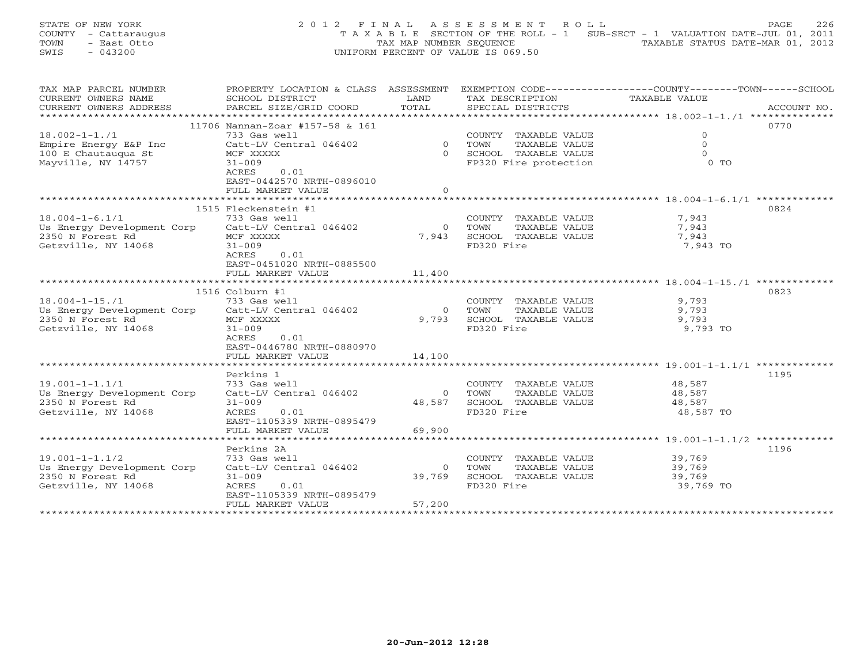STATE OF NEW YORK 2 0 1 2 F I N A L A S S E S S M E N T R O L L PAGE 226 COUNTY - Cattaraugus T A X A B L E SECTION OF THE ROLL - 1 SUB-SECT - 1 VALUATION DATE-JUL 01, 2011 TOWN - East Otto TAX MAP NUMBER SEQUENCE TAXABLE STATUS DATE-MAR 01, 2012 SWIS - 043200 UNIFORM PERCENT OF VALUE IS 069.50

| TAX MAP PARCEL NUMBER                             | PROPERTY LOCATION & CLASS ASSESSMENT |                |                             | EXEMPTION $CODE-----------COUNTY------TOWN---SCHOOL$  |
|---------------------------------------------------|--------------------------------------|----------------|-----------------------------|-------------------------------------------------------|
| CURRENT OWNERS NAME                               | SCHOOL DISTRICT                      | T AND          | TAX DESCRIPTION             | TAXABLE VALUE                                         |
| CURRENT OWNERS ADDRESS                            | PARCEL SIZE/GRID COORD               | TOTAL.         | SPECIAL DISTRICTS           | ACCOUNT NO.                                           |
| ***********************                           |                                      |                |                             |                                                       |
|                                                   |                                      |                |                             | 0770                                                  |
|                                                   | 11706 Nannan-Zoar #157-58 & 161      |                |                             |                                                       |
| $18.002 - 1 - 1.71$                               | 733 Gas well                         |                | COUNTY TAXABLE VALUE        | $\mathbf{0}$                                          |
| Empire Energy E&P Inc                             | Catt-LV Central 046402               |                | 0 TOWN<br>TAXABLE VALUE     | $\circ$                                               |
| 100 E Chautauqua St                               | MCF XXXXX                            |                | 0 SCHOOL TAXABLE VALUE      | $\Omega$                                              |
| Mayville, NY 14757                                | $31 - 009$                           |                | FP320 Fire protection       | $0$ TO                                                |
|                                                   | 0.01<br>ACRES                        |                |                             |                                                       |
|                                                   |                                      |                |                             |                                                       |
|                                                   | EAST-0442570 NRTH-0896010            |                |                             |                                                       |
|                                                   | FULL MARKET VALUE                    | $\Omega$       |                             |                                                       |
|                                                   |                                      |                |                             |                                                       |
|                                                   | 1515 Fleckenstein #1                 |                |                             | 0824                                                  |
| $18.004 - 1 - 6.1/1$                              | 733 Gas well                         |                | COUNTY TAXABLE VALUE        | 7,943                                                 |
| Us Energy Development Corp Catt-LV Central 046402 |                                      | $\Omega$       | TOWN<br>TAXABLE VALUE       | 7,943                                                 |
|                                                   |                                      |                |                             |                                                       |
| 2350 N Forest Rd                                  | MCF XXXXX                            | 7,943          | SCHOOL TAXABLE VALUE        | 7,943                                                 |
| Getzville, NY 14068                               | $31 - 009$                           |                | FD320 Fire                  | 7,943 TO                                              |
|                                                   | ACRES<br>0.01                        |                |                             |                                                       |
|                                                   | EAST-0451020 NRTH-0885500            |                |                             |                                                       |
|                                                   | FULL MARKET VALUE                    | 11,400         |                             |                                                       |
|                                                   |                                      |                |                             |                                                       |
|                                                   |                                      |                |                             |                                                       |
|                                                   | 1516 Colburn #1                      |                |                             | 0823                                                  |
| $18.004 - 1 - 15.71$                              | 733 Gas well                         |                | COUNTY TAXABLE VALUE        | 9,793                                                 |
| Us Energy Development Corp                        | Catt-LV Central 046402               | $\overline{0}$ | TAXABLE VALUE<br>TOWN       | 9,793                                                 |
| 2350 N Forest Rd                                  | MCF XXXXX                            | 9,793          | SCHOOL TAXABLE VALUE        | 9,793                                                 |
| Getzville, NY 14068                               | $31 - 009$                           |                | FD320 Fire                  | 9,793 TO                                              |
|                                                   | ACRES<br>0.01                        |                |                             |                                                       |
|                                                   |                                      |                |                             |                                                       |
|                                                   | EAST-0446780 NRTH-0880970            |                |                             |                                                       |
|                                                   | FULL MARKET VALUE                    | 14,100         |                             |                                                       |
|                                                   |                                      |                |                             |                                                       |
|                                                   | Perkins 1                            |                |                             | 1195                                                  |
| $19.001 - 1 - 1.1/1$                              | 733 Gas well                         |                | COUNTY TAXABLE VALUE        | 48,587                                                |
| Us Energy Development Corp                        | Catt-LV Central 046402               | $\Omega$       | TOWN<br>TAXABLE VALUE       | 48,587                                                |
|                                                   |                                      |                |                             |                                                       |
| 2350 N Forest Rd                                  | $31 - 009$                           | 48,587         | SCHOOL TAXABLE VALUE        | 48,587                                                |
| Getzville, NY 14068                               | ACRES<br>0.01                        |                | FD320 Fire                  | 48,587 TO                                             |
|                                                   | EAST-1105339 NRTH-0895479            |                |                             |                                                       |
|                                                   | FULL MARKET VALUE                    | 69,900         |                             |                                                       |
|                                                   | *****************************        | *************  |                             | ************************ 19.001-1-1.1/2 ************* |
|                                                   | Perkins 2A                           |                |                             | 1196                                                  |
|                                                   |                                      |                |                             |                                                       |
| $19.001 - 1 - 1.1/2$                              | 733 Gas well                         |                | COUNTY TAXABLE VALUE 39,769 |                                                       |
| Us Energy Development Corp                        | Catt-LV Central 046402               | $\Omega$       | TAXABLE VALUE<br>TOWN       | 39,769<br>39,769                                      |
| 2350 N Forest Rd                                  | $31 - 009$                           | 39,769         | SCHOOL TAXABLE VALUE        |                                                       |
| Getzville, NY 14068                               | ACRES<br>0.01                        |                | FD320 Fire                  | 39,769 TO                                             |
|                                                   | EAST-1105339 NRTH-0895479            |                |                             |                                                       |
|                                                   | FULL MARKET VALUE                    | 57,200         |                             |                                                       |
|                                                   |                                      |                |                             |                                                       |
|                                                   |                                      |                |                             |                                                       |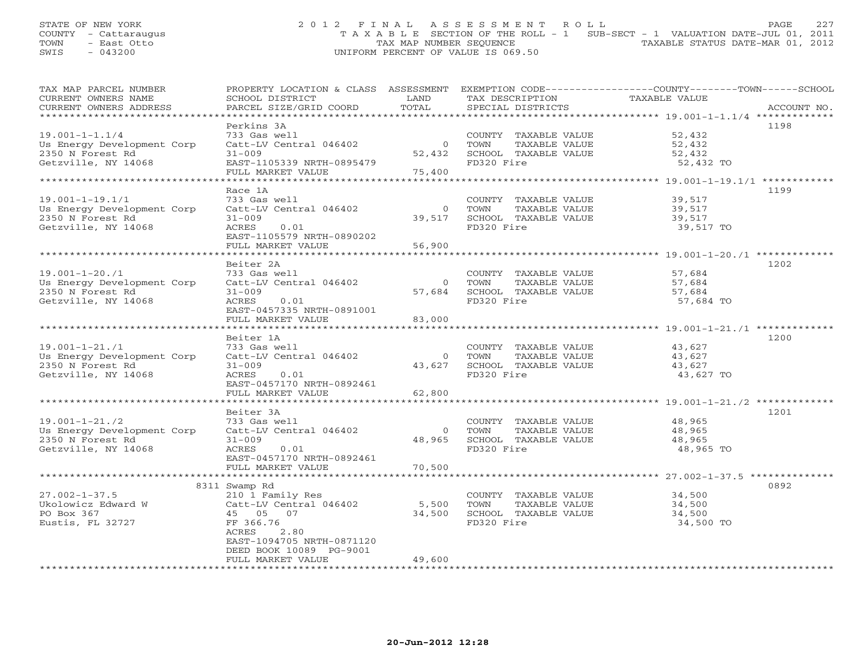# STATE OF NEW YORK 2 0 1 2 F I N A L A S S E S S M E N T R O L L PAGE 227 COUNTY - Cattaraugus T A X A B L E SECTION OF THE ROLL - 1 SUB-SECT - 1 VALUATION DATE-JUL 01, 2011 TOWN - East Otto TAX MAP NUMBER SEQUENCE TAXABLE STATUS DATE-MAR 01, 2012 SWIS - 043200 UNIFORM PERCENT OF VALUE IS 069.50

| TAX MAP PARCEL NUMBER<br>CURRENT OWNERS NAME | PROPERTY LOCATION & CLASS ASSESSMENT EXEMPTION CODE----------------COUNTY-------TOWN------SCHOOL | LAND           |                                      | TAXABLE VALUE |             |
|----------------------------------------------|--------------------------------------------------------------------------------------------------|----------------|--------------------------------------|---------------|-------------|
| CURRENT OWNERS ADDRESS                       | SCHOOL DISTRICT<br>PARCEL SIZE/GRID COORD                                                        | TOTAL          | TAX DESCRIPTION<br>SPECIAL DISTRICTS |               | ACCOUNT NO. |
|                                              |                                                                                                  |                |                                      |               |             |
|                                              | Perkins 3A                                                                                       |                |                                      |               | 1198        |
| $19.001 - 1 - 1.1/4$                         | 733 Gas well                                                                                     |                | COUNTY TAXABLE VALUE                 | 52,432        |             |
| Us Energy Development Corp                   | Catt-LV Central 046402                                                                           | $\Omega$       | TAXABLE VALUE<br>TOWN                | 52,432        |             |
| 2350 N Forest Rd                             | $31 - 009$                                                                                       | 52,432         | SCHOOL TAXABLE VALUE                 | 52,432        |             |
| Getzville, NY 14068                          | EAST-1105339 NRTH-0895479                                                                        |                | FD320 Fire                           | 52,432 TO     |             |
|                                              | FULL MARKET VALUE                                                                                | 75,400         |                                      |               |             |
|                                              |                                                                                                  |                |                                      |               |             |
|                                              | Race 1A                                                                                          |                |                                      |               | 1199        |
| $19.001 - 1 - 19.1/1$                        | 733 Gas well                                                                                     |                | COUNTY TAXABLE VALUE                 | 39,517        |             |
| Us Energy Development Corp                   | Catt-LV Central 046402                                                                           | $\overline{0}$ | TAXABLE VALUE<br>TOWN                | 39,517        |             |
| 2350 N Forest Rd                             | $31 - 009$                                                                                       | 39,517         | SCHOOL TAXABLE VALUE                 | 39,517        |             |
| Getzville, NY 14068                          | 0.01<br>ACRES                                                                                    |                | FD320 Fire                           | 39,517 TO     |             |
|                                              | EAST-1105579 NRTH-0890202                                                                        |                |                                      |               |             |
|                                              | FULL MARKET VALUE                                                                                | 56,900         |                                      |               |             |
|                                              | Beiter 2A                                                                                        |                |                                      |               | 1202        |
| $19.001 - 1 - 20.71$                         | 733 Gas well                                                                                     |                | COUNTY TAXABLE VALUE                 | 57,684        |             |
| Us Energy Development Corp                   | Catt-LV Central 046402                                                                           |                | TAXABLE VALUE<br>0 TOWN              | 57,684        |             |
| 2350 N Forest Rd                             | $31 - 009$                                                                                       |                | 57,684 SCHOOL TAXABLE VALUE          | 57,684        |             |
| Getzville, NY 14068                          | 0.01<br>ACRES                                                                                    |                | FD320 Fire                           | 57,684 TO     |             |
|                                              | EAST-0457335 NRTH-0891001                                                                        |                |                                      |               |             |
|                                              | FULL MARKET VALUE                                                                                | 83,000         |                                      |               |             |
|                                              |                                                                                                  |                |                                      |               |             |
|                                              | Beiter 1A                                                                                        |                |                                      |               | 1200        |
| $19.001 - 1 - 21.71$                         | 733 Gas well                                                                                     |                | COUNTY TAXABLE VALUE                 | 43,627        |             |
| Us Energy Development Corp                   | Catt-LV Central 046402                                                                           | $\overline{0}$ | TOWN<br>TAXABLE VALUE                | 43,627        |             |
| 2350 N Forest Rd                             | $31 - 009$                                                                                       | 43,627         | SCHOOL TAXABLE VALUE                 | 43,627        |             |
| Getzville, NY 14068                          | ACRES<br>0.01                                                                                    |                | FD320 Fire                           | 43,627 TO     |             |
|                                              | EAST-0457170 NRTH-0892461<br>FULL MARKET VALUE                                                   |                |                                      |               |             |
|                                              |                                                                                                  | 62,800         |                                      |               |             |
|                                              | Beiter 3A                                                                                        |                |                                      |               | 1201        |
| $19.001 - 1 - 21.72$                         | 733 Gas well                                                                                     |                | COUNTY TAXABLE VALUE                 | 48,965        |             |
| Us Energy Development Corp                   | Catt-LV Central 046402                                                                           | $\overline{0}$ | TOWN<br>TAXABLE VALUE                | 48,965        |             |
| 2350 N Forest Rd                             | $31 - 009$                                                                                       | 48,965         | SCHOOL TAXABLE VALUE                 | 48,965        |             |
| Getzville, NY 14068                          | ACRES<br>0.01                                                                                    |                | FD320 Fire                           | 48,965 TO     |             |
|                                              | EAST-0457170 NRTH-0892461                                                                        |                |                                      |               |             |
|                                              | FULL MARKET VALUE                                                                                | 70,500         |                                      |               |             |
|                                              | *************************                                                                        |                |                                      |               |             |
|                                              | 8311 Swamp Rd                                                                                    |                |                                      |               | 0892        |
| $27.002 - 1 - 37.5$                          | 210 1 Family Res                                                                                 |                | COUNTY TAXABLE VALUE                 | 34,500        |             |
| Ukolowicz Edward W                           | Catt-LV Central 046402                                                                           | 5,500          | TOWN<br>TAXABLE VALUE                | 34,500        |             |
| PO Box 367                                   | 45 05 07                                                                                         | 34,500         | SCHOOL TAXABLE VALUE                 | 34,500        |             |
| Eustis, FL 32727                             | FF 366.76<br>ACRES<br>2.80                                                                       |                | FD320 Fire                           | 34,500 TO     |             |
|                                              | EAST-1094705 NRTH-0871120                                                                        |                |                                      |               |             |
|                                              | DEED BOOK 10089 PG-9001                                                                          |                |                                      |               |             |
|                                              | FULL MARKET VALUE                                                                                | 49,600         |                                      |               |             |
|                                              |                                                                                                  |                |                                      |               |             |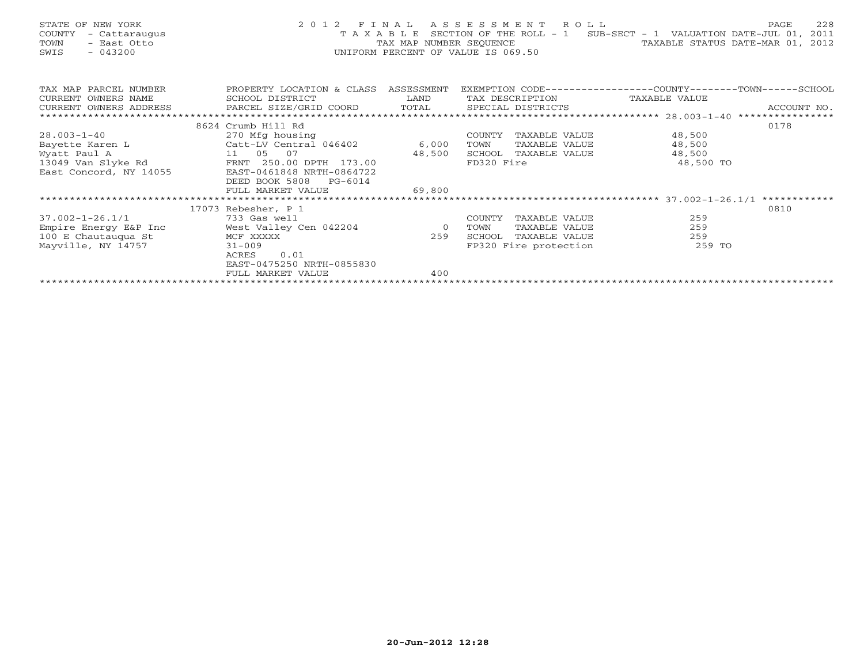| STATE OF NEW YORK<br>- Cattaraugus<br>COUNTY<br>- East Otto<br>TOWN<br>$-043200$<br>SWIS | 2 0 1 2                                         | TAX MAP NUMBER SEQUENCE | FINAL ASSESSMENT ROLL<br>UNIFORM PERCENT OF VALUE IS 069.50 | T A X A B L E SECTION OF THE ROLL - 1 SUB-SECT - 1 VALUATION DATE-JUL 01,<br>TAXABLE STATUS DATE-MAR 01, 2012 | 228<br>PAGE<br>2011 |  |  |
|------------------------------------------------------------------------------------------|-------------------------------------------------|-------------------------|-------------------------------------------------------------|---------------------------------------------------------------------------------------------------------------|---------------------|--|--|
| TAX MAP PARCEL NUMBER                                                                    | PROPERTY LOCATION & CLASS ASSESSMENT            |                         |                                                             | EXEMPTION CODE-----------------COUNTY-------TOWN-----SCHOOL                                                   |                     |  |  |
| CURRENT OWNERS NAME                                                                      | SCHOOL DISTRICT                                 | LAND                    | TAX DESCRIPTION                                             | TAXABLE VALUE                                                                                                 |                     |  |  |
| CURRENT OWNERS ADDRESS                                                                   | PARCEL SIZE/GRID COORD TOTAL                    |                         | SPECIAL DISTRICTS                                           |                                                                                                               | ACCOUNT NO.         |  |  |
|                                                                                          |                                                 |                         |                                                             |                                                                                                               | 0178                |  |  |
| $28.003 - 1 - 40$                                                                        | 8624 Crumb Hill Rd                              |                         | COUNTY<br>TAXABLE VALUE                                     |                                                                                                               |                     |  |  |
| Bayette Karen L                                                                          | 270 Mfg housing<br>Catt-LV Central 046402 6,000 |                         | TAXABLE VALUE<br>TOWN                                       | 48,500<br>48,500                                                                                              |                     |  |  |
| Wyatt Paul A                                                                             | 11 05 07                                        | 48,500                  | SCHOOL TAXABLE VALUE                                        | 48,500                                                                                                        |                     |  |  |
| 13049 Van Slyke Rd                                                                       | FRNT 250.00 DPTH 173.00                         |                         | FD320 Fire                                                  | 48,500 TO                                                                                                     |                     |  |  |
| East Concord, NY 14055                                                                   | EAST-0461848 NRTH-0864722                       |                         |                                                             |                                                                                                               |                     |  |  |
|                                                                                          | DEED BOOK 5808<br>PG-6014                       |                         |                                                             |                                                                                                               |                     |  |  |
|                                                                                          | FULL MARKET VALUE                               | 69,800                  |                                                             |                                                                                                               |                     |  |  |
|                                                                                          |                                                 |                         |                                                             |                                                                                                               | ************        |  |  |
|                                                                                          | $17073$ Rebesher, P 1                           |                         |                                                             |                                                                                                               | 0810                |  |  |
| $37.002 - 1 - 26.1/1$                                                                    | 733 Gas well                                    |                         | TAXABLE VALUE<br>COUNTY                                     | 259                                                                                                           |                     |  |  |
| Empire Energy E&P Inc                                                                    | West Valley Cen 042204                          | $\overline{0}$          | TOWN<br>TAXABLE VALUE                                       | 259                                                                                                           |                     |  |  |
| 100 E Chautauqua St                                                                      | MCF XXXXX                                       | 259                     | SCHOOL<br>TAXABLE VALUE                                     | 259                                                                                                           |                     |  |  |
| Mayville, NY 14757                                                                       | $31 - 009$                                      |                         | FP320 Fire protection                                       | 259 TO                                                                                                        |                     |  |  |
|                                                                                          | 0.01<br>ACRES                                   |                         |                                                             |                                                                                                               |                     |  |  |
|                                                                                          | EAST-0475250 NRTH-0855830                       |                         |                                                             |                                                                                                               |                     |  |  |
|                                                                                          | FULL MARKET VALUE                               | 400                     |                                                             |                                                                                                               |                     |  |  |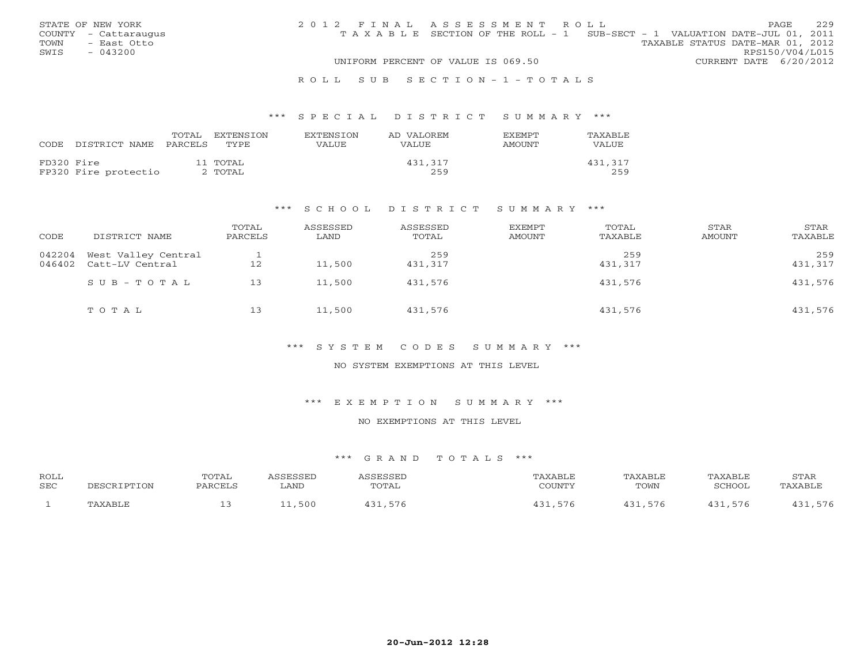|      | STATE OF NEW YORK    | 2012 FINAL ASSESSMENT ROLL |                                                                                |                                  |                        | <b>PAGE</b> | 229 |
|------|----------------------|----------------------------|--------------------------------------------------------------------------------|----------------------------------|------------------------|-------------|-----|
|      | COUNTY - Cattaraugus |                            | T A X A B L E SECTION OF THE ROLL - 1 SUB-SECT - 1 VALUATION DATE-JUL 01, 2011 |                                  |                        |             |     |
| TOWN | - East Otto          |                            |                                                                                | TAXABLE STATUS DATE-MAR 01, 2012 |                        |             |     |
| SWIS | $-043200$            |                            |                                                                                |                                  | RPS150/V04/L015        |             |     |
|      |                      |                            | UNIFORM PERCENT OF VALUE IS 069.50                                             |                                  | CURRENT DATE 6/20/2012 |             |     |
|      |                      |                            |                                                                                |                                  |                        |             |     |

#### R O L L S U B S E C T I O N - 1 - T O T A L S

#### \*\*\* S P E C I A L D I S T R I C T S U M M A R Y \*\*\*

| CODE.      | DISTRICT NAME PARCELS | TOTAL | EXTENSION<br>TYPE   | EXTENSION<br>VALUE | AD VALOREM<br>VALUE. | <b>EXEMPT</b><br><b>AMOUNT</b> | TAXABLE<br>VALUE |
|------------|-----------------------|-------|---------------------|--------------------|----------------------|--------------------------------|------------------|
| FD320 Fire | FP320 Fire protectio  |       | 11 TOTAL<br>2 TOTAL |                    | 431,317<br>259       |                                | 431,317<br>259   |

#### \*\*\* S C H O O L D I S T R I C T S U M M A R Y \*\*\*

| CODE             | DISTRICT NAME                          | TOTAL<br>PARCELS | ASSESSED<br>LAND | ASSESSED<br>TOTAL | EXEMPT<br>AMOUNT | TOTAL<br>TAXABLE | STAR<br>AMOUNT | STAR<br>TAXABLE |
|------------------|----------------------------------------|------------------|------------------|-------------------|------------------|------------------|----------------|-----------------|
| 042204<br>046402 | West Valley Central<br>Catt-LV Central | 12               | 11,500           | 259<br>431,317    |                  | 259<br>431,317   |                | 259<br>431,317  |
|                  | SUB-TOTAL                              | 13               | 11,500           | 431,576           |                  | 431,576          |                | 431,576         |
|                  | TOTAL                                  | 13               | 11,500           | 431,576           |                  | 431,576          |                | 431,576         |

#### \*\*\* S Y S T E M C O D E S S U M M A R Y \*\*\*

## NO SYSTEM EXEMPTIONS AT THIS LEVEL

#### \*\*\* E X E M P T I O N S U M M A R Y \*\*\*

## NO EXEMPTIONS AT THIS LEVEL

| <b>ROLL</b><br><b>SEC</b> | DESCRIPTION | TOTAL<br>PARCELS | <i><b>\SSESSED</b></i><br>LAND | <b><i><u>\SSESSED</u></i></b><br>TOTAL | TAXABLE<br>COUNTY | TAXABLE<br>TOWN | TAXABLE<br>SCHOOL | STAR<br>TAXABLE |
|---------------------------|-------------|------------------|--------------------------------|----------------------------------------|-------------------|-----------------|-------------------|-----------------|
|                           | TAXABLE     | --               | ,500<br>- - -                  | 31,576                                 | .576<br>イつ1       | 431,576         | 121<br>.576       | 431,576         |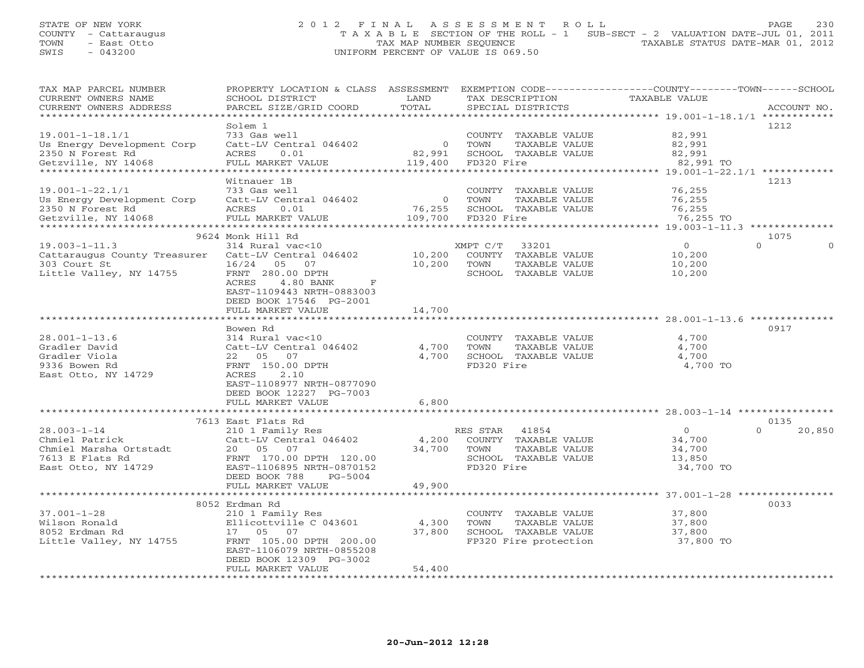# STATE OF NEW YORK 2 0 1 2 F I N A L A S S E S S M E N T R O L L PAGE 230 COUNTY - Cattaraugus T A X A B L E SECTION OF THE ROLL - 1 SUB-SECT - 2 VALUATION DATE-JUL 01, 2011 TOWN - East Otto TAX MAP NUMBER SEQUENCE TAXABLE STATUS DATE-MAR 01, 2012 SWIS - 043200 UNIFORM PERCENT OF VALUE IS 069.50

| TAX MAP PARCEL NUMBER<br>CURRENT OWNERS NAME<br>CURRENT OWNERS ADDRESS | PROPERTY LOCATION & CLASS ASSESSMENT EXEMPTION CODE----------------COUNTY-------TOWN------SCHOOL<br>SCHOOL DISTRICT<br>PARCEL SIZE/GRID COORD | LAND<br>TOTAL       |            | TAX DESCRIPTION<br>SPECIAL DISTRICTS  | <b>TAXABLE VALUE</b>                                           | ACCOUNT NO.        |
|------------------------------------------------------------------------|-----------------------------------------------------------------------------------------------------------------------------------------------|---------------------|------------|---------------------------------------|----------------------------------------------------------------|--------------------|
| ***********************                                                |                                                                                                                                               |                     |            |                                       |                                                                |                    |
|                                                                        | Solem 1                                                                                                                                       |                     |            |                                       |                                                                | 1212               |
| $19.001 - 1 - 18.1/1$                                                  | 733 Gas well                                                                                                                                  |                     |            | COUNTY TAXABLE VALUE                  | 82,991                                                         |                    |
| Us Energy Development Corp                                             | Catt-LV Central 046402                                                                                                                        | $\overline{O}$      | TOWN       | TAXABLE VALUE                         | 82,991                                                         |                    |
| 2350 N Forest Rd                                                       | 0.01<br>ACRES                                                                                                                                 | 82,991              |            | SCHOOL TAXABLE VALUE                  | 82,991                                                         |                    |
| Getzville, NY 14068                                                    | FULL MARKET VALUE                                                                                                                             | 119,400             | FD320 Fire |                                       | 82,991 TO                                                      |                    |
| *********************                                                  | *****************                                                                                                                             |                     |            |                                       | ********************************* 19.001-1-22.1/1 ************ |                    |
|                                                                        | Witnauer 1B                                                                                                                                   |                     |            |                                       |                                                                | 1213               |
| $19.001 - 1 - 22.1/1$                                                  | 733 Gas well                                                                                                                                  |                     |            | COUNTY TAXABLE VALUE                  | 76,255                                                         |                    |
| Us Energy Development Corp                                             | Catt-LV Central 046402                                                                                                                        | $\overline{0}$      | TOWN       | TAXABLE VALUE                         | 76,255                                                         |                    |
| 2350 N Forest Rd                                                       | ACRES<br>0.01                                                                                                                                 | 76,255              |            | SCHOOL TAXABLE VALUE                  | 76,255                                                         |                    |
| Getzville, NY 14068                                                    | FULL MARKET VALUE                                                                                                                             | 109,700             | FD320 Fire |                                       | 76,255 TO                                                      |                    |
|                                                                        | 9624 Monk Hill Rd                                                                                                                             |                     |            |                                       |                                                                | 1075               |
| $19.003 - 1 - 11.3$                                                    | 314 Rural vac<10                                                                                                                              |                     | XMPT C/T   | 33201                                 | $\Omega$                                                       | $\Omega$           |
| Cattaraugus County Treasurer                                           | Catt-LV Central 046402                                                                                                                        | 10,200              |            | COUNTY TAXABLE VALUE                  | 10,200                                                         |                    |
| 303 Court St                                                           | 16/24<br>05<br>07                                                                                                                             | 10,200              | TOWN       | TAXABLE VALUE                         | 10,200                                                         |                    |
| Little Valley, NY 14755                                                | FRNT 280.00 DPTH                                                                                                                              |                     |            | SCHOOL TAXABLE VALUE                  | 10,200                                                         |                    |
|                                                                        | ACRES<br>4.80 BANK<br>F                                                                                                                       |                     |            |                                       |                                                                |                    |
|                                                                        | EAST-1109443 NRTH-0883003                                                                                                                     |                     |            |                                       |                                                                |                    |
|                                                                        | DEED BOOK 17546 PG-2001                                                                                                                       |                     |            |                                       |                                                                |                    |
|                                                                        | FULL MARKET VALUE                                                                                                                             | 14,700              |            |                                       |                                                                |                    |
|                                                                        | ***********************                                                                                                                       |                     |            |                                       |                                                                |                    |
|                                                                        | Bowen Rd                                                                                                                                      |                     |            |                                       |                                                                | 0917               |
| $28.001 - 1 - 13.6$                                                    | 314 Rural vac<10                                                                                                                              |                     |            | COUNTY TAXABLE VALUE                  | 4,700                                                          |                    |
| Gradler David                                                          | Catt-LV Central 046402                                                                                                                        | 4,700               | TOWN       | TAXABLE VALUE                         | 4,700                                                          |                    |
| Gradler Viola                                                          | 22 05 07                                                                                                                                      | 4,700               |            | SCHOOL TAXABLE VALUE                  | 4,700                                                          |                    |
| 9336 Bowen Rd                                                          | FRNT 150.00 DPTH                                                                                                                              |                     | FD320 Fire |                                       | 4,700 TO                                                       |                    |
| East Otto, NY 14729                                                    | ACRES<br>2.10<br>EAST-1108977 NRTH-0877090                                                                                                    |                     |            |                                       |                                                                |                    |
|                                                                        | DEED BOOK 12227 PG-7003                                                                                                                       |                     |            |                                       |                                                                |                    |
|                                                                        | FULL MARKET VALUE                                                                                                                             | 6,800               |            |                                       |                                                                |                    |
|                                                                        |                                                                                                                                               | * * * * * * * * * * |            |                                       | ********************* 28.003-1-14 *****************            |                    |
|                                                                        | 7613 East Flats Rd                                                                                                                            |                     |            |                                       |                                                                | 0135               |
| $28.003 - 1 - 14$                                                      | 210 1 Family Res                                                                                                                              |                     | RES STAR   | 41854                                 | $\overline{0}$                                                 | $\Omega$<br>20,850 |
| Chmiel Patrick                                                         | Catt-LV Central 046402                                                                                                                        | 4,200               |            | COUNTY TAXABLE VALUE                  | 34,700                                                         |                    |
| Chmiel Marsha Ortstadt                                                 | 20  05  07                                                                                                                                    | 34,700              | TOWN       | TAXABLE VALUE                         | 34,700                                                         |                    |
| 7613 E Flats Rd                                                        | FRNT 170.00 DPTH 120.00                                                                                                                       |                     |            | SCHOOL TAXABLE VALUE                  | 13,850                                                         |                    |
| East Otto, NY 14729                                                    | EAST-1106895 NRTH-0870152                                                                                                                     |                     | FD320 Fire |                                       | 34,700 TO                                                      |                    |
|                                                                        | DEED BOOK 788<br>PG-5004                                                                                                                      |                     |            |                                       |                                                                |                    |
|                                                                        | FULL MARKET VALUE                                                                                                                             | 49,900              |            |                                       |                                                                |                    |
|                                                                        | **************                                                                                                                                |                     |            |                                       | $*********37.001-1-28*************$                            |                    |
|                                                                        | 8052 Erdman Rd                                                                                                                                |                     |            |                                       |                                                                | 0033               |
| $37.001 - 1 - 28$                                                      | 210 1 Family Res                                                                                                                              |                     |            | COUNTY TAXABLE VALUE                  | 37,800                                                         |                    |
| Wilson Ronald<br>8052 Erdman Rd                                        | Ellicottville C 043601<br>17  05  07                                                                                                          | 4,300<br>37,800     | TOWN       | TAXABLE VALUE<br>SCHOOL TAXABLE VALUE | 37,800<br>37,800                                               |                    |
| Little Valley, NY 14755                                                | FRNT 105.00 DPTH 200.00                                                                                                                       |                     |            | FP320 Fire protection                 | 37,800 TO                                                      |                    |
|                                                                        | EAST-1106079 NRTH-0855208                                                                                                                     |                     |            |                                       |                                                                |                    |
|                                                                        | DEED BOOK 12309 PG-3002                                                                                                                       |                     |            |                                       |                                                                |                    |
|                                                                        | FULL MARKET VALUE                                                                                                                             | 54,400              |            |                                       |                                                                |                    |
|                                                                        | * * * * * * * * * * * * * * * * * *                                                                                                           |                     |            |                                       |                                                                |                    |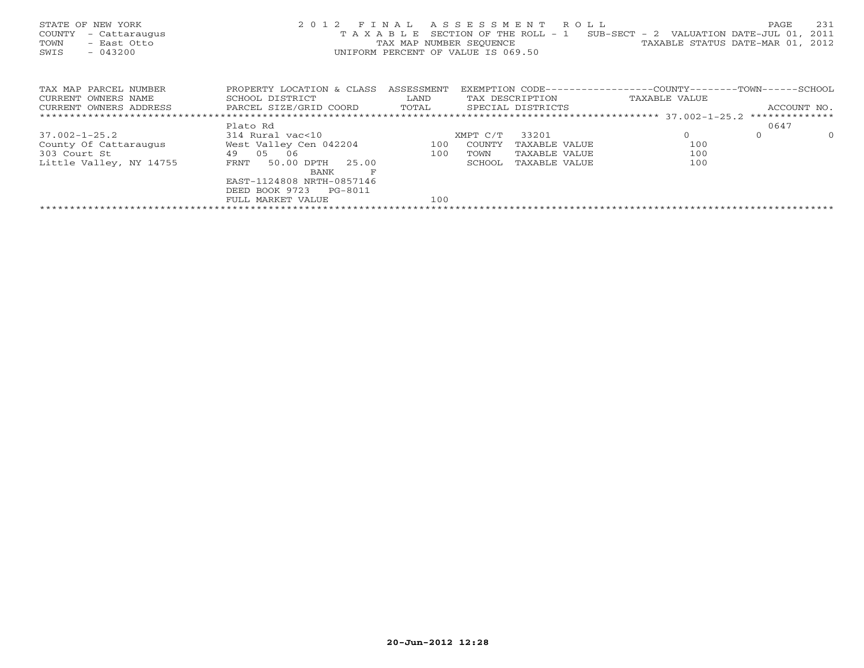| STATE OF NEW YORK<br>COUNTY<br>- Cattaraugus<br>TOWN<br>- East Otto<br>$-043200$<br>SWIS | 2012 FINAL<br>TAXABLE       | TAX MAP NUMBER SEOUENCE<br>UNIFORM PERCENT OF VALUE IS 069.50 |          | ASSESSMENT ROLL<br>SECTION OF THE ROLL - 1 | $SUB-SECTION - 2$ VALUATION DATE-JUL 01,<br>TAXABLE STATUS DATE-MAR 01, | PAGE        | 231<br>2011<br>2012 |
|------------------------------------------------------------------------------------------|-----------------------------|---------------------------------------------------------------|----------|--------------------------------------------|-------------------------------------------------------------------------|-------------|---------------------|
| TAX MAP PARCEL NUMBER                                                                    | PROPERTY LOCATION & CLASS   | ASSESSMENT                                                    |          |                                            | EXEMPTION CODE----------------COUNTY-------TOWN------SCHOOL             |             |                     |
| CURRENT OWNERS NAME                                                                      | SCHOOL DISTRICT             | LAND                                                          |          | TAX DESCRIPTION                            | TAXABLE VALUE                                                           |             |                     |
| CURRENT OWNERS ADDRESS                                                                   | PARCEL SIZE/GRID COORD      | TOTAL                                                         |          | SPECIAL DISTRICTS                          |                                                                         | ACCOUNT NO. |                     |
|                                                                                          |                             |                                                               |          |                                            |                                                                         |             |                     |
|                                                                                          | Plato Rd                    |                                                               |          |                                            |                                                                         | 0647        |                     |
| $37.002 - 1 - 25.2$                                                                      | 314 Rural vac<10            |                                                               | XMPT C/T | 33201                                      | $\Omega$                                                                | $\Omega$    | $\circ$             |
| County Of Cattaraugus                                                                    | West Valley Cen 042204      | 100                                                           | COUNTY   | TAXABLE VALUE                              | 100                                                                     |             |                     |
| 303 Court St                                                                             | 49 05<br>06                 | 100                                                           | TOWN     | TAXABLE VALUE                              | 100                                                                     |             |                     |
| Little Valley, NY 14755                                                                  | 50.00 DPTH<br>25.00<br>FRNT |                                                               | SCHOOL   | TAXABLE VALUE                              | 100                                                                     |             |                     |
|                                                                                          | BANK                        |                                                               |          |                                            |                                                                         |             |                     |
|                                                                                          | EAST-1124808 NRTH-0857146   |                                                               |          |                                            |                                                                         |             |                     |
|                                                                                          | DEED BOOK 9723<br>PG-8011   |                                                               |          |                                            |                                                                         |             |                     |
|                                                                                          | FULL MARKET VALUE           | 100                                                           |          |                                            |                                                                         |             |                     |
|                                                                                          |                             |                                                               |          |                                            |                                                                         |             |                     |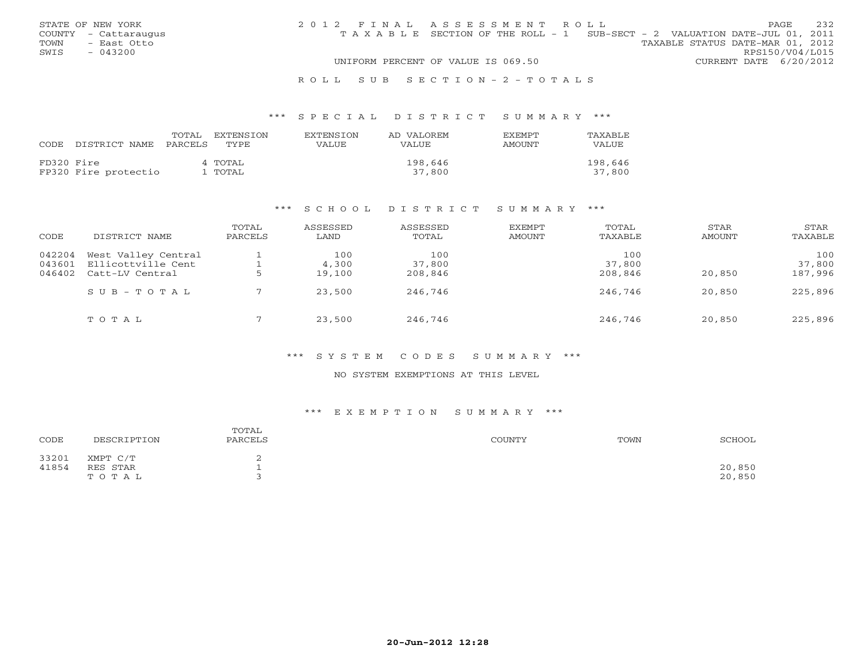|      | STATE OF NEW YORK    | 2012 FINAL ASSESSMENT ROLL |                                                                                |  |                                  |                        | PAGE. | 232 |
|------|----------------------|----------------------------|--------------------------------------------------------------------------------|--|----------------------------------|------------------------|-------|-----|
|      | COUNTY - Cattaraugus |                            | T A X A B L E SECTION OF THE ROLL - 1 SUB-SECT - 2 VALUATION DATE-JUL 01, 2011 |  |                                  |                        |       |     |
| TOWN | - East Otto          |                            |                                                                                |  | TAXABLE STATUS DATE-MAR 01, 2012 |                        |       |     |
| SWIS | $-043200$            |                            |                                                                                |  |                                  | RPS150/V04/L015        |       |     |
|      |                      |                            | UNIFORM PERCENT OF VALUE IS 069.50                                             |  |                                  | CURRENT DATE 6/20/2012 |       |     |
|      |                      |                            |                                                                                |  |                                  |                        |       |     |

#### R O L L S U B S E C T I O N - 2 - T O T A L S

#### \*\*\* S P E C I A L D I S T R I C T S U M M A R Y \*\*\*

|            | CODE DISTRICT NAME PARCELS TYPE | TOTAL | EXTENSTON          | <b>EXTENSION</b><br>VALUE | AD VALOREM<br><b>VALUE</b> | <b>FXFMPT</b><br>AMOUNT | TAXABLE<br>VALUE  |
|------------|---------------------------------|-------|--------------------|---------------------------|----------------------------|-------------------------|-------------------|
| FD320 Fire | FP320 Fire protectio            |       | 4 TOTAL<br>l TOTAL |                           | 198,646<br>37,800          |                         | 198,646<br>37,800 |

#### \*\*\* S C H O O L D I S T R I C T S U M M A R Y \*\*\*

| CODE                       | DISTRICT NAME                                                | TOTAL<br>PARCELS | ASSESSED<br>LAND       | ASSESSED<br>TOTAL        | EXEMPT<br>AMOUNT | TOTAL<br>TAXABLE         | STAR<br>AMOUNT | STAR<br>TAXABLE          |
|----------------------------|--------------------------------------------------------------|------------------|------------------------|--------------------------|------------------|--------------------------|----------------|--------------------------|
| 042204<br>043601<br>046402 | West Valley Central<br>Ellicottville Cent<br>Catt-LV Central |                  | 100<br>4,300<br>19,100 | 100<br>37,800<br>208,846 |                  | 100<br>37,800<br>208,846 | 20,850         | 100<br>37,800<br>187,996 |
|                            | $S \cup B - T \cup T A L$                                    |                  | 23,500                 | 246,746                  |                  | 246,746                  | 20,850         | 225,896                  |
|                            | TOTAL                                                        |                  | 23,500                 | 246,746                  |                  | 246,746                  | 20,850         | 225,896                  |

## \*\*\* S Y S T E M C O D E S S U M M A R Y \*\*\*

#### NO SYSTEM EXEMPTIONS AT THIS LEVEL

# \*\*\* E X E M P T I O N S U M M A R Y \*\*\*

| CODE           | DESCRIPTION                   | TOTAL<br>PARCELS | COUNTY | TOWN | SCHOOL           |
|----------------|-------------------------------|------------------|--------|------|------------------|
| 33201<br>41854 | XMPT C/T<br>RES STAR<br>TOTAL |                  |        |      | 20,850<br>20,850 |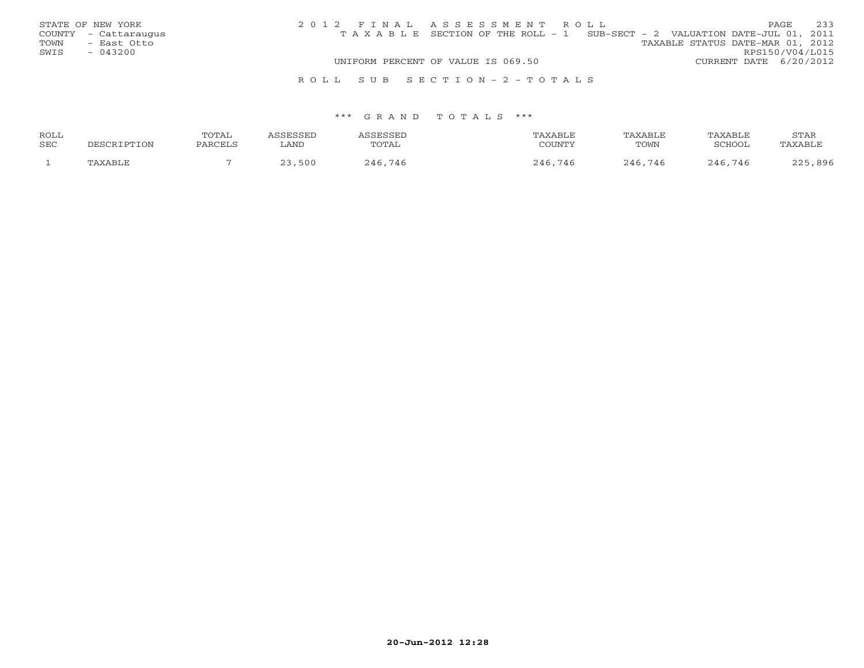| STATE OF NEW YORK    | 2012 FINAL ASSESSMENT ROLL                                                     | 233<br><b>PAGE</b>               |
|----------------------|--------------------------------------------------------------------------------|----------------------------------|
| COUNTY - Cattaraugus | T A X A B L E SECTION OF THE ROLL - 1 SUB-SECT - 2 VALUATION DATE-JUL 01, 2011 |                                  |
| TOWN<br>- East Otto  |                                                                                | TAXABLE STATUS DATE-MAR 01, 2012 |
| SWIS<br>$-043200$    |                                                                                | RPS150/V04/L015                  |
|                      | UNIFORM PERCENT OF VALUE IS 069.50                                             | CURRENT DATE 6/20/2012           |
|                      | ROLL SUB SECTION-2-TOTALS                                                      |                                  |

| ROLL | TOTAL    |      | CCFCCFT     | "AXABL) | TAXABLF | TAXABLE     | STAR                            |
|------|----------|------|-------------|---------|---------|-------------|---------------------------------|
| SEC  | DADOTT ( | ∟AND | TOTAL       | COUNTY  | TOWN    | SCHOOL      | AXABLE                          |
|      |          | 500  | 746<br>246. | 746     | 246.746 | .746<br>つんに | $896$<br>$\cap$ $\cap$ $\vdash$ |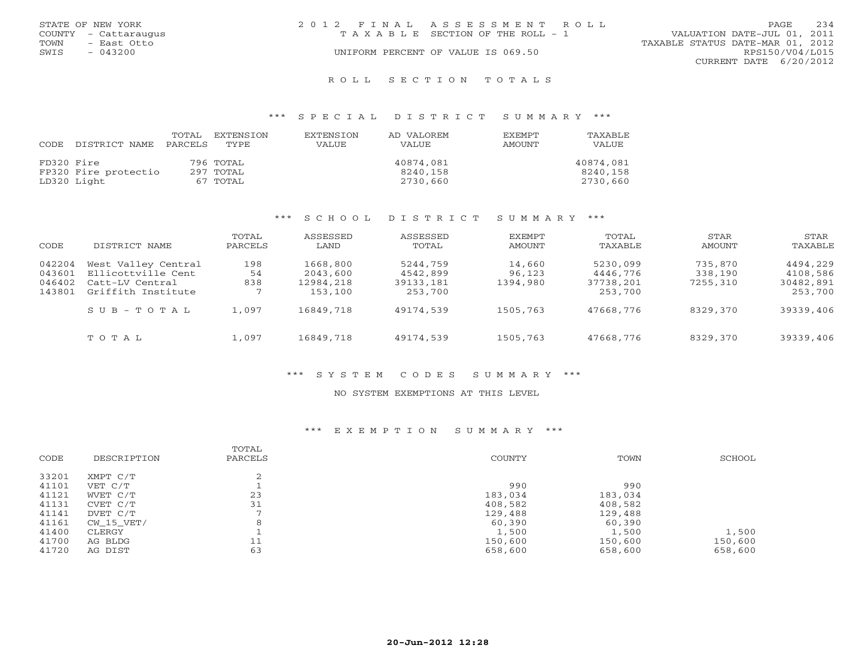| STATE OF NEW YORK    | 2012 FINAL ASSESSMENT ROLL            | 234<br>PAGE.                     |
|----------------------|---------------------------------------|----------------------------------|
| COUNTY - Cattaraugus | T A X A B L E SECTION OF THE ROLL - 1 | VALUATION DATE-JUL 01, 2011      |
| TOWN<br>– East Otto  |                                       | TAXABLE STATUS DATE-MAR 01, 2012 |
| $-043200$<br>SWIS    | UNIFORM PERCENT OF VALUE IS 069.50    | RPS150/V04/L015                  |
|                      |                                       | CURRENT DATE 6/20/2012           |
|                      |                                       |                                  |

#### R O L L S E C T I O N T O T A L S

#### \*\*\* S P E C I A L D I S T R I C T S U M M A R Y \*\*\*

| CODE       | DISTRICT NAME        | TOTAL<br>PARCELS | EXTENSION<br>TYPE | <b>EXTENSION</b><br>VALUE | AD VALOREM<br>VALUE | <b>EXEMPT</b><br><b>AMOUNT</b> | TAXABLE<br>VALUE |
|------------|----------------------|------------------|-------------------|---------------------------|---------------------|--------------------------------|------------------|
| FD320 Fire |                      |                  | 796 TOTAL         |                           | 40874,081           |                                | 40874,081        |
|            | FP320 Fire protectio |                  | 297 TOTAL         |                           | 8240,158            |                                | 8240,158         |
|            | LD320 Light          |                  | 67 TOTAL          |                           | 2730,660            |                                | 2730,660         |

#### \*\*\* S C H O O L D I S T R I C T S U M M A R Y \*\*\*

| CODE                       | DISTRICT NAME                                                | TOTAL<br>PARCELS | ASSESSED<br>LAND                  | ASSESSED<br>TOTAL                 | <b>EXEMPT</b><br>AMOUNT      | TOTAL<br>TAXABLE                  | <b>STAR</b><br>AMOUNT          | STAR<br>TAXABLE                   |
|----------------------------|--------------------------------------------------------------|------------------|-----------------------------------|-----------------------------------|------------------------------|-----------------------------------|--------------------------------|-----------------------------------|
| 042204<br>043601<br>046402 | West Valley Central<br>Ellicottville Cent<br>Catt-LV Central | 198<br>54<br>838 | 1668,800<br>2043,600<br>12984,218 | 5244,759<br>4542,899<br>39133,181 | 14,660<br>96,123<br>1394,980 | 5230,099<br>4446,776<br>37738,201 | 735,870<br>338,190<br>7255,310 | 4494,229<br>4108,586<br>30482,891 |
| 143801                     | Griffith Institute                                           |                  | 153,100                           | 253,700                           |                              | 253,700                           |                                | 253,700                           |
|                            | SUB-TOTAL                                                    | 1,097            | 16849,718                         | 49174,539                         | 1505,763                     | 47668,776                         | 8329,370                       | 39339,406                         |
|                            | TOTAL                                                        | 1,097            | 16849,718                         | 49174,539                         | 1505,763                     | 47668,776                         | 8329,370                       | 39339,406                         |

#### \*\*\* S Y S T E M C O D E S S U M M A R Y \*\*\*

## NO SYSTEM EXEMPTIONS AT THIS LEVEL

#### \*\*\* E X E M P T I O N S U M M A R Y \*\*\*

| CODE  | DESCRIPTION | TOTAL<br>PARCELS | COUNTY  | TOWN    | SCHOOL  |
|-------|-------------|------------------|---------|---------|---------|
| 33201 | XMPT C/T    |                  |         |         |         |
| 41101 | VET C/T     |                  | 990     | 990     |         |
| 41121 | WVET C/T    | 23               | 183,034 | 183,034 |         |
| 41131 | CVET C/T    | 31               | 408,582 | 408,582 |         |
| 41141 | DVET C/T    | -                | 129,488 | 129,488 |         |
| 41161 | CW 15 VET/  | 8                | 60,390  | 60,390  |         |
| 41400 | CLERGY      |                  | 1,500   | 1,500   | 1,500   |
| 41700 | AG BLDG     | 11               | 150,600 | 150,600 | 150,600 |
| 41720 | AG DIST     | 63               | 658,600 | 658,600 | 658,600 |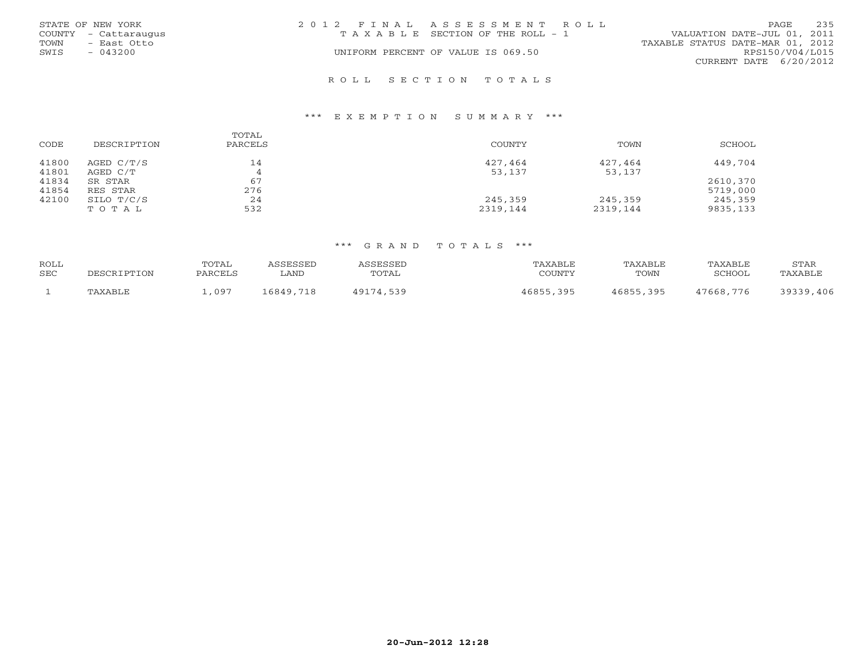| STATE OF NEW YORK<br>COUNTY - Cattaraugus<br>TOWN<br>- East Otto<br>$-043200$<br>SWIS | 2012 FINAL ASSESSMENT ROLL<br>T A X A B L E SECTION OF THE ROLL - 1<br>UNIFORM PERCENT OF VALUE IS 069.50 | 235<br><b>PAGE</b><br>VALUATION DATE-JUL 01, 2011<br>TAXABLE STATUS DATE-MAR 01, 2012<br>RPS150/V04/L015 |
|---------------------------------------------------------------------------------------|-----------------------------------------------------------------------------------------------------------|----------------------------------------------------------------------------------------------------------|
|                                                                                       | ROLL SECTION TOTALS                                                                                       | CURRENT DATE 6/20/2012                                                                                   |

| CODE           | DESCRIPTION              | TOTAL<br>PARCELS | COUNTY            | TOWN              | SCHOOL   |
|----------------|--------------------------|------------------|-------------------|-------------------|----------|
| 41800<br>41801 | AGED $C/T/S$<br>AGED C/T | 14<br>4          | 427,464<br>53,137 | 427,464<br>53,137 | 449,704  |
| 41834          | SR STAR                  | 67               |                   |                   | 2610,370 |
| 41854          | RES STAR                 | 276              |                   |                   | 5719,000 |
| 42100          | SILO T/C/S               | 24               | 245,359           | 245,359           | 245,359  |
|                | TOTAL                    | 532              | 2319,144          | 2319,144          | 9835,133 |

\*\*\* E X E M P T I O N S U M M A R Y \*\*\*

| ROLL<br>SEC | DESCRIPTION | TOTAL<br>PARCELS | ASSESSED<br>∟AND | ASSESSED<br>TOTAL | TAXABLE<br>COUNTY | TAXABLE<br>TOWN | TAXABLE<br>SCHOOL | STAR<br>TAXABLE |
|-------------|-------------|------------------|------------------|-------------------|-------------------|-----------------|-------------------|-----------------|
|             | TAXABLE     | .097             | 16849,718        | 49174,539         | 46855,395         | 46855,395       | 47668,776         | 39339,406       |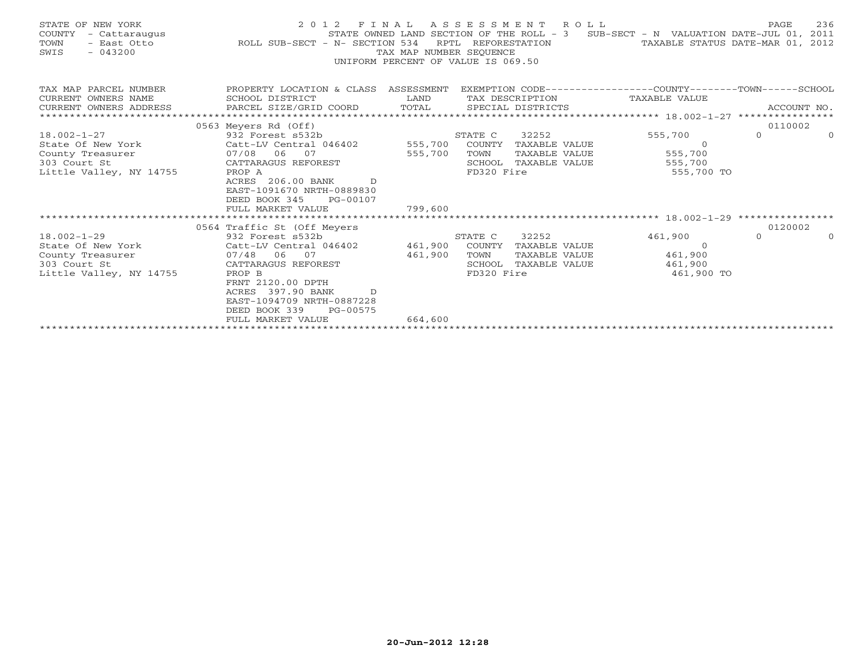| STATE OF NEW YORK<br>COUNTY<br>TOWN<br>$-043200$<br>SWIS |                                                                               | TAX MAP NUMBER SEOUENCE  | 2012 FINAL ASSESSMENT ROLL<br>UNIFORM PERCENT OF VALUE IS 069.50 | STATE OWNED LAND SECTION OF THE ROLL - 3 SUB-SECT - N VALUATION DATE-JUL 01, 2011<br>RPTL REFORESTATION TAXABLE STATUS DATE-MAR 01, 2012 | PAGE     | 236      |
|----------------------------------------------------------|-------------------------------------------------------------------------------|--------------------------|------------------------------------------------------------------|------------------------------------------------------------------------------------------------------------------------------------------|----------|----------|
| CURRENT OWNERS NAME                                      | TAX MAP PARCEL NUMBER TROPERTY LOCATION & CLASS ASSESSMENT<br>SCHOOL DISTRICT | <b>EXAMPLE TO A LAND</b> | TAX DESCRIPTION TAXABLE VALUE                                    | EXEMPTION CODE-----------------COUNTY-------TOWN------SCHOOL                                                                             |          |          |
| CURRENT OWNERS ADDRESS                                   |                                                                               |                          |                                                                  |                                                                                                                                          |          |          |
|                                                          |                                                                               |                          |                                                                  |                                                                                                                                          | 0110002  |          |
| $18.002 - 1 - 27$                                        | 0563 Meyers Rd (Off)<br>932 Forest s532b                                      |                          | STATE C<br>32252                                                 | 555,700                                                                                                                                  | $\Omega$ | $\Omega$ |
|                                                          |                                                                               |                          | 555,700 COUNTY TAXABLE VALUE                                     | $\overline{0}$                                                                                                                           |          |          |
|                                                          | State Of New York Catt-LV Central 046402<br>County Treasurer 07/08 06 07      | 555,700                  | TOWN<br>TAXABLE VALUE                                            | 555,700                                                                                                                                  |          |          |
| 303 Court St                                             | CATTARAGUS REFOREST                                                           |                          | SCHOOL TAXABLE VALUE                                             | 555,700                                                                                                                                  |          |          |
| Little Valley, NY 14755                                  | PROP A                                                                        |                          | FD320 Fire                                                       | 555,700 TO                                                                                                                               |          |          |
|                                                          | ACRES 206.00 BANK D                                                           |                          |                                                                  |                                                                                                                                          |          |          |
|                                                          | EAST-1091670 NRTH-0889830                                                     |                          |                                                                  |                                                                                                                                          |          |          |
|                                                          | DEED BOOK 345 PG-00107                                                        |                          |                                                                  |                                                                                                                                          |          |          |
|                                                          | FULL MARKET VALUE                                                             | 799,600                  |                                                                  |                                                                                                                                          |          |          |
|                                                          |                                                                               |                          |                                                                  |                                                                                                                                          | 0120002  |          |
| $18.002 - 1 - 29$                                        | 0564 Traffic St (Off Meyers<br>932 Forest s532b                               |                          | 32252<br>STATE C                                                 | 461,900                                                                                                                                  | $\Omega$ | $\Omega$ |
| State Of New York                                        | Catt-LV Central 046402 461,900                                                |                          | COUNTY TAXABLE VALUE                                             | $\Omega$                                                                                                                                 |          |          |
| County Treasurer                                         | $07/48$ 06 07                                                                 | 461,900                  | TAXABLE VALUE<br>TOWN                                            | 461,900                                                                                                                                  |          |          |
| 303 Court St                                             | CATTARAGUS REFOREST                                                           |                          | SCHOOL<br>TAXABLE VALUE                                          | 461,900                                                                                                                                  |          |          |
| Little Valley, NY 14755                                  | PROP B                                                                        |                          | FD320 Fire                                                       | 461,900 TO                                                                                                                               |          |          |
|                                                          | FRNT 2120.00 DPTH                                                             |                          |                                                                  |                                                                                                                                          |          |          |
|                                                          | ACRES 397.90 BANK<br>D                                                        |                          |                                                                  |                                                                                                                                          |          |          |
|                                                          | EAST-1094709 NRTH-0887228                                                     |                          |                                                                  |                                                                                                                                          |          |          |
|                                                          | DEED BOOK 339<br>PG-00575                                                     |                          |                                                                  |                                                                                                                                          |          |          |
|                                                          | FULL MARKET VALUE                                                             | 664,600                  |                                                                  |                                                                                                                                          |          |          |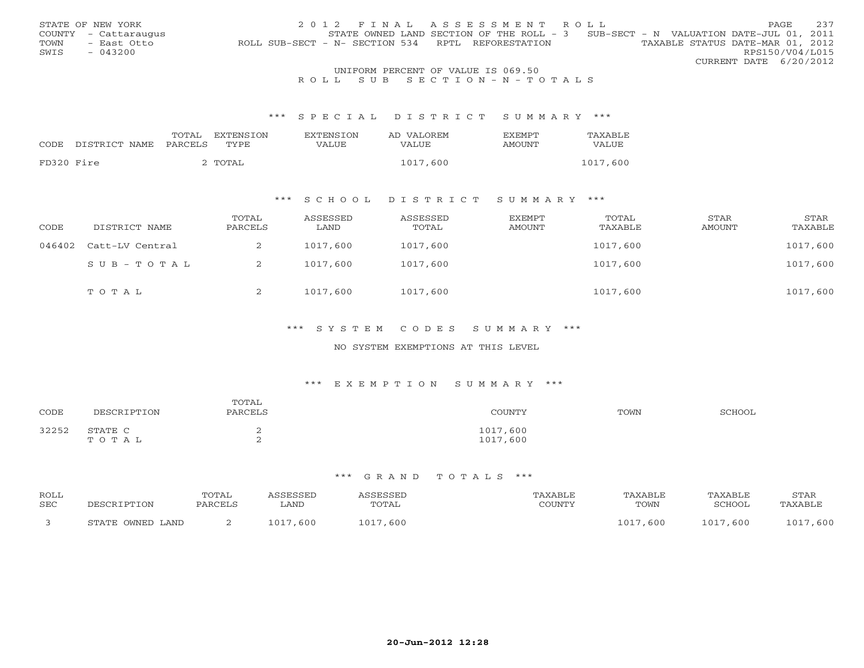|      | STATE OF NEW YORK    | 2012 FINAL ASSESSMENT ROLL                                                            | PAGE.                  | 237 |
|------|----------------------|---------------------------------------------------------------------------------------|------------------------|-----|
|      | COUNTY - Cattaraugus | STATE OWNED LAND SECTION OF THE ROLL - 3 SUB-SECT - N VALUATION DATE-JUL 01, 2011     |                        |     |
| TOWN | - East Otto          | TAXABLE STATUS DATE-MAR 01, 2012<br>ROLL SUB-SECT - N- SECTION 534 RPTL REFORESTATION |                        |     |
| SWIS | $-043200$            |                                                                                       | RPS150/V04/L015        |     |
|      |                      |                                                                                       | CURRENT DATE 6/20/2012 |     |
|      |                      | UNIFORM PERCENT OF VALUE IS 069.50                                                    |                        |     |

# R O L L S U B S E C T I O N - N - T O T A L S

#### \*\*\* S P E C I A L D I S T R I C T S U M M A R Y \*\*\*

|            |               | TOTAL   | <b>EXTENSION</b> | <b>EXTENSION</b> | AD VALOREM | <b>EXEMPT</b> | TAXABLE  |
|------------|---------------|---------|------------------|------------------|------------|---------------|----------|
| CODE       | DISTRICT NAME | PARCELS | TYPE             | VALUE            | VALUE      | AMOUNT        | VALUE    |
|            |               |         |                  |                  |            |               |          |
| FD320 Fire |               |         | ` TOTAL          |                  | 1017,600   |               | 1017,600 |

## \*\*\* S C H O O L D I S T R I C T S U M M A R Y \*\*\*

| CODE   | DISTRICT NAME   | TOTAL<br>PARCELS | ASSESSED<br>LAND | ASSESSED<br>TOTAL | EXEMPT<br>AMOUNT | TOTAL<br>TAXABLE | STAR<br>AMOUNT | STAR<br>TAXABLE |
|--------|-----------------|------------------|------------------|-------------------|------------------|------------------|----------------|-----------------|
| 046402 | Catt-LV Central |                  | 1017,600         | 1017,600          |                  | 1017,600         |                | 1017,600        |
|        | SUB-TOTAL       | ∠                | 1017,600         | 1017,600          |                  | 1017,600         |                | 1017,600        |
|        | TOTAL           | ▵                | 1017,600         | 1017,600          |                  | 1017,600         |                | 1017,600        |

## \*\*\* S Y S T E M C O D E S S U M M A R Y \*\*\*

#### NO SYSTEM EXEMPTIONS AT THIS LEVEL

#### \*\*\* E X E M P T I O N S U M M A R Y \*\*\*

| CODE  | DESCRIPTION      | TOTAL<br>PARCELS | COUNTY               | TOWN | SCHOOL |
|-------|------------------|------------------|----------------------|------|--------|
| 32252 | STATE C<br>TOTAL | ∼                | 1017,600<br>1017,600 |      |        |

| ROLL<br><b>SEC</b> | סים ה            | TOTAL<br>PARCEL: | LAND     | SSESSEL<br>TOTAL | 'AXABLF<br>COUNTY | TAXABLF<br>TOWN | TAXABLE<br>SCHOOL   | STAR<br>AXABLI |
|--------------------|------------------|------------------|----------|------------------|-------------------|-----------------|---------------------|----------------|
|                    | STATE OWNED LAND |                  | 1017,600 | 1 0 1 7<br>,600  |                   | . 017<br>, 600  | .600<br>$\bigcap$ 1 | , 600<br>1 0 1 |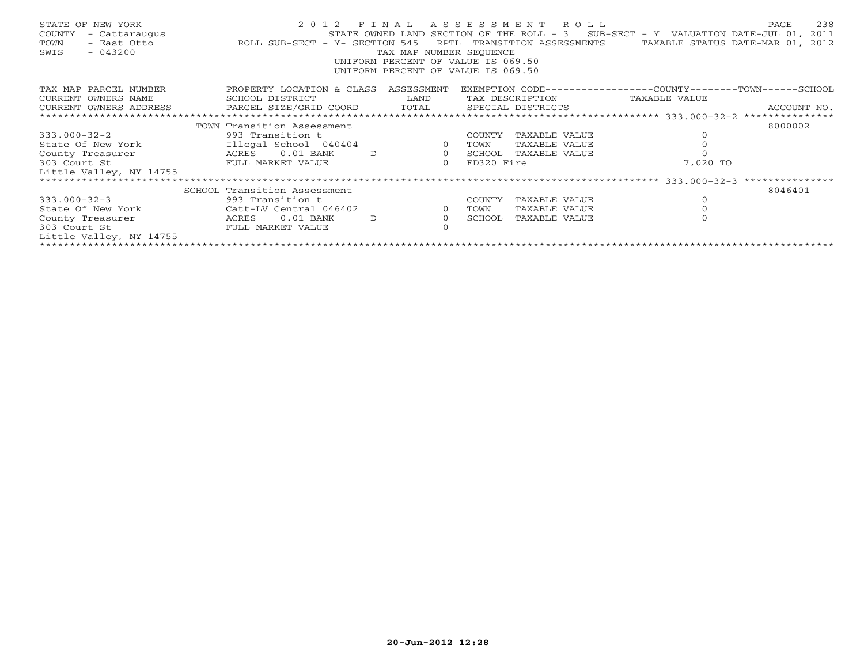| STATE OF NEW YORK<br>COUNTY<br>- Cattaraugus<br>TOWN<br>- East Otto<br>SWIS<br>$-043200$                                                                                                                                                                | ROLL SUB-SECT - Y- SECTION 545 | TAX MAP NUMBER SEOUENCE<br>UNIFORM PERCENT OF VALUE IS 069.50<br>UNIFORM PERCENT OF VALUE IS 069.50 |                |            | 2012 FINAL ASSESSMENT ROLL | STATE OWNED LAND SECTION OF THE ROLL - $3$ SUB-SECT - Y VALUATION DATE-JUL 01,<br>RPTL TRANSITION ASSESSMENTS TAXABLE STATUS DATE-MAR 01, 2012 | 238<br>PAGE<br>2011 |
|---------------------------------------------------------------------------------------------------------------------------------------------------------------------------------------------------------------------------------------------------------|--------------------------------|-----------------------------------------------------------------------------------------------------|----------------|------------|----------------------------|------------------------------------------------------------------------------------------------------------------------------------------------|---------------------|
| TAX MAP PARCEL NUMBER                                                                                                                                                                                                                                   | PROPERTY LOCATION & CLASS      | ASSESSMENT                                                                                          |                |            |                            | EXEMPTION CODE-----------------COUNTY-------TOWN-----SCHOOL                                                                                    |                     |
| CURRENT OWNERS NAME                                                                                                                                                                                                                                     | SCHOOL DISTRICT                | LAND                                                                                                |                |            |                            | TAX DESCRIPTION TAXABLE VALUE                                                                                                                  |                     |
| .CURRENT OWNERS ADDRESS PARCEL SIZE/GRID COORD TOTAL SPECIAL DISTRICTS ACCOUNT NO ACCOUNT NO ACCOUNT NO ARCEL SIZE/GRID COORD TEST SECOMENT SERVERS AND A SERVERS AND A SERVERS AND A SERVERS AND A SERVERS AND A SERVERS AND<br>CURRENT OWNERS ADDRESS |                                |                                                                                                     |                |            |                            |                                                                                                                                                |                     |
|                                                                                                                                                                                                                                                         |                                |                                                                                                     |                |            |                            |                                                                                                                                                |                     |
|                                                                                                                                                                                                                                                         | TOWN Transition Assessment     |                                                                                                     |                |            |                            |                                                                                                                                                | 8000002             |
| $333.000 - 32 - 2$                                                                                                                                                                                                                                      | 993 Transition t               |                                                                                                     |                | COUNTY     | TAXABLE VALUE              |                                                                                                                                                |                     |
| State Of New York                                                                                                                                                                                                                                       | Illegal School 040404          |                                                                                                     | $\overline{O}$ | TOWN       | TAXABLE VALUE              | $\mathbf{0}$                                                                                                                                   |                     |
| County Treasurer                                                                                                                                                                                                                                        | ACRES 0.01 BANK                | $\overline{0}$<br>D                                                                                 |                | SCHOOL     | TAXABLE VALUE              |                                                                                                                                                |                     |
| 303 Court St                                                                                                                                                                                                                                            | FULL MARKET VALUE              |                                                                                                     | $\circ$        | FD320 Fire |                            | 7,020 TO                                                                                                                                       |                     |
| Little Valley, NY 14755                                                                                                                                                                                                                                 |                                |                                                                                                     |                |            |                            |                                                                                                                                                |                     |
|                                                                                                                                                                                                                                                         |                                |                                                                                                     |                |            |                            |                                                                                                                                                |                     |
|                                                                                                                                                                                                                                                         | SCHOOL Transition Assessment   |                                                                                                     |                |            |                            |                                                                                                                                                | 8046401             |
| $333.000 - 32 - 3$                                                                                                                                                                                                                                      | 993 Transition t               |                                                                                                     |                | COUNTY     | TAXABLE VALUE              | $\circ$                                                                                                                                        |                     |
| State Of New York                                                                                                                                                                                                                                       | Catt-LV Central 046402         |                                                                                                     | $\overline{0}$ | TOWN       | TAXABLE VALUE              |                                                                                                                                                |                     |
| County Treasurer                                                                                                                                                                                                                                        | $0.01$ BANK<br>ACRES           | D                                                                                                   | $\circ$        | SCHOOL     | TAXABLE VALUE              |                                                                                                                                                |                     |
| 303 Court St                                                                                                                                                                                                                                            | FULL MARKET VALUE              |                                                                                                     |                |            |                            |                                                                                                                                                |                     |
| Little Valley, NY 14755                                                                                                                                                                                                                                 |                                |                                                                                                     |                |            |                            |                                                                                                                                                |                     |
|                                                                                                                                                                                                                                                         |                                |                                                                                                     |                |            |                            |                                                                                                                                                |                     |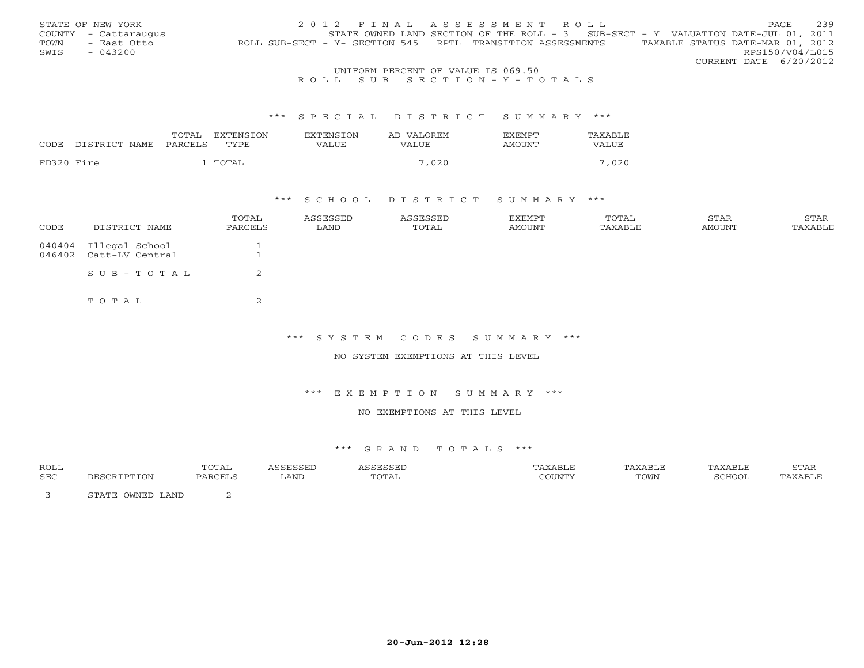|      | STATE OF NEW YORK                   | 2012 FINAL ASSESSMENT ROLL                                                                     | PAGE            | 239 |  |  |  |
|------|-------------------------------------|------------------------------------------------------------------------------------------------|-----------------|-----|--|--|--|
|      | COUNTY - Cattaraugus                | STATE OWNED LAND SECTION OF THE ROLL - 3 SUB-SECT - Y VALUATION DATE-JUL 01, 2011              |                 |     |  |  |  |
| TOWN | - East Otto                         | TAXABLE STATUS DATE-MAR 01, 2012<br>ROLL SUB-SECT - Y- SECTION 545 RPTL TRANSITION ASSESSMENTS |                 |     |  |  |  |
| SWIS | $-043200$                           |                                                                                                | RPS150/V04/L015 |     |  |  |  |
|      |                                     | CURRENT DATE 6/20/2012                                                                         |                 |     |  |  |  |
|      | INITEOPM DEPOEME OF UAIHE TO 060 50 |                                                                                                |                 |     |  |  |  |

# UNIFORM PERCENT OF VALUE IS 069.50<br>R O L L S U B S E C T I O N – Y – T O T A L S

#### \*\*\* S P E C I A L D I S T R I C T S U M M A R Y \*\*\*

|            |               | TOTAL   | EXTENSTON | <b>EXTENSION</b> | AD VALOREM | <b>EXEMPT</b> | <b>TAXABLE</b> |
|------------|---------------|---------|-----------|------------------|------------|---------------|----------------|
| CODE       | DISTRICT NAME | PARCELS | TYPE      | VALUE            | VALUE      | <b>AMOUNT</b> | VALUE          |
|            |               |         |           |                  |            |               |                |
| FD320 Fire |               |         | TOTAL     |                  | 7,020      |               | 7,020          |

### \*\*\* S C H O O L D I S T R I C T S U M M A R Y \*\*\*

| CODE | DISTRICT NAME                                   | TOTAL<br>PARCELS | ASSESSED<br>LAND | ASSESSED<br>TOTAL | EXEMPT<br>AMOUNT | TOTAL<br>TAXABLE | STAR<br>AMOUNT | STAR<br>TAXABLE |
|------|-------------------------------------------------|------------------|------------------|-------------------|------------------|------------------|----------------|-----------------|
|      | 040404 Illegal School<br>046402 Catt-LV Central | ᅩ                |                  |                   |                  |                  |                |                 |
|      | $SUB - TO T AL$                                 | 2                |                  |                   |                  |                  |                |                 |
|      | TOTAL                                           | $\sim$<br>▵      |                  |                   |                  |                  |                |                 |

\*\*\* S Y S T E M C O D E S S U M M A R Y \*\*\*

NO SYSTEM EXEMPTIONS AT THIS LEVEL

\*\*\* E X E M P T I O N S U M M A R Y \*\*\*

NO EXEMPTIONS AT THIS LEVEL

| <b>ROLL</b> |                                                 | $\cdot$ $\mu$ |      |       | AXABLE    | "AXABLL | PAXABLE | STAR    |
|-------------|-------------------------------------------------|---------------|------|-------|-----------|---------|---------|---------|
| <b>SEC</b>  | `תרמה הו                                        | PARCELS       | LAND | TOTAL | $\bigcap$ | TOWN    | "CHOOL  | TAXABLE |
|             | $\bigcap \overline{\bigcap}$<br>LAND<br>ጣጣ∆ጥቮ ∟ |               |      |       |           |         |         |         |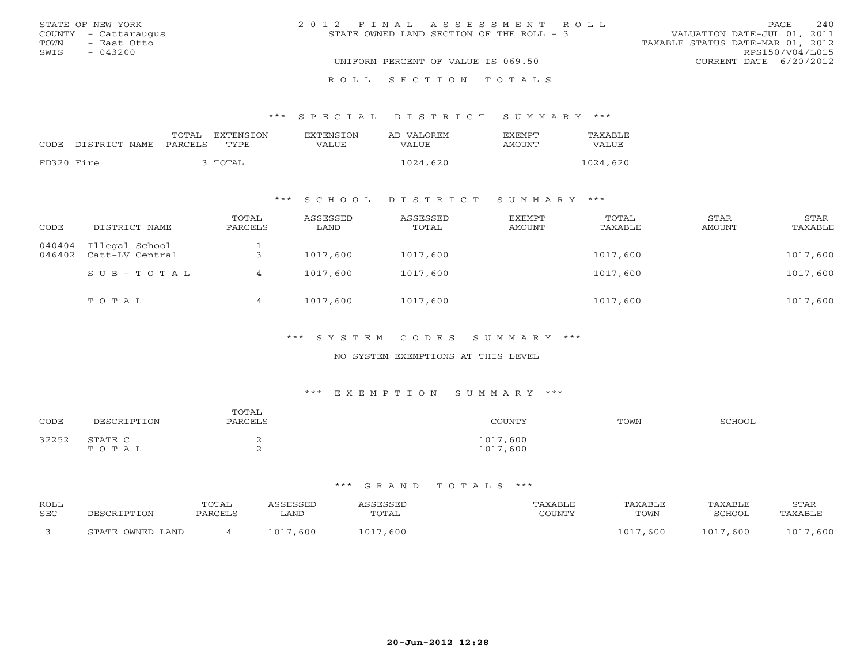| STATE OF NEW YORK    | 2012 FINAL ASSESSMENT ROLL               | 240<br>PAGE                      |
|----------------------|------------------------------------------|----------------------------------|
| COUNTY - Cattaraugus | STATE OWNED LAND SECTION OF THE ROLL - 3 | VALUATION DATE-JUL 01, 2011      |
| TOWN<br>- East Otto  |                                          | TAXABLE STATUS DATE-MAR 01, 2012 |
| SWIS<br>$-043200$    |                                          | RPS150/V04/L015                  |
|                      | UNIFORM PERCENT OF VALUE IS 069.50       | CURRENT DATE 6/20/2012           |
|                      | ROLL SECTION TOTALS                      |                                  |

\*\*\* S P E C I A L D I S T R I C T S U M M A R Y \*\*\*

|            |                    | TOTAL   | EXTENSION | <b>EXTENSION</b> | AD VALOREM   | <b>EXEMPT</b> | TAXABLE  |
|------------|--------------------|---------|-----------|------------------|--------------|---------------|----------|
|            | CODE DISTRICT NAME | PARCELS | TYPE      | VALUE            | <b>VALUE</b> | AMOUNT        | VALUE    |
| FD320 Fire |                    |         | 3 TOTAL   |                  | 1024,620     |               | 1024,620 |

# \*\*\* S C H O O L D I S T R I C T S U M M A R Y \*\*\*

| CODE             | DISTRICT NAME                     | TOTAL<br>PARCELS | ASSESSED<br>LAND | ASSESSED<br>TOTAL | EXEMPT<br>AMOUNT | TOTAL<br>TAXABLE | STAR<br><b>AMOUNT</b> | STAR<br>TAXABLE |
|------------------|-----------------------------------|------------------|------------------|-------------------|------------------|------------------|-----------------------|-----------------|
| 040404<br>046402 | Illegal School<br>Catt-LV Central |                  | 1017,600         | 1017,600          |                  | 1017,600         |                       | 1017,600        |
|                  | $SUB - TO T AL$                   |                  | 1017,600         | 1017,600          |                  | 1017,600         |                       | 1017,600        |
|                  | TOTAL                             | 4                | 1017,600         | 1017,600          |                  | 1017,600         |                       | 1017,600        |

\*\*\* S Y S T E M C O D E S S U M M A R Y \*\*\*

## NO SYSTEM EXEMPTIONS AT THIS LEVEL

# \*\*\* E X E M P T I O N S U M M A R Y \*\*\*

| CODE  | DESCRIPTION      | TOTAL<br>PARCELS     | COUNTY               | TOWN | SCHOOL |
|-------|------------------|----------------------|----------------------|------|--------|
| 32252 | STATE C<br>TOTAL | <b>1</b><br><u>_</u> | 1017,600<br>1017,600 |      |        |

| ROLL<br>SEC | DESCRIPTION      | TOTAL<br>PARCELS | ASSESSED<br>∟AND | <i><b>\SSESSED</b></i><br>TOTAL | PAXABLE<br>COUNTY | TAXABLE<br>TOWN | TAXABLE<br>SCHOOL | STAR<br>TAXABLE |
|-------------|------------------|------------------|------------------|---------------------------------|-------------------|-----------------|-------------------|-----------------|
|             | STATE OWNED LAND |                  | 1017,600         | 1017,600                        |                   | 1017<br>,600    | 1017,600          | 1017,600        |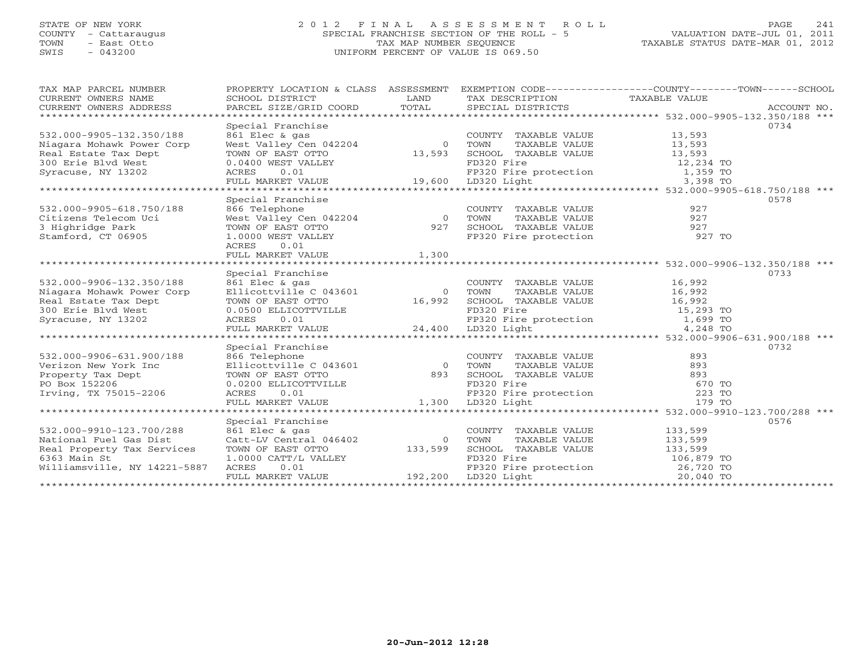# STATE OF NEW YORK 2 0 1 2 F I N A L A S S E S S M E N T R O L L PAGE 241 COUNTY - Cattaraugus SPECIAL FRANCHISE SECTION OF THE ROLL - 5 VALUATION DATE-JUL 01, 2011 TOWN - East Otto TAX MAP NUMBER SEQUENCE TAXABLE STATUS DATE-MAR 01, 2012 SWIS - 043200 UNIFORM PERCENT OF VALUE IS 069.50UNIFORM PERCENT OF VALUE IS 069.50

| TAX MAP PARCEL NUMBER                        |                                                              |                                                       |                                                                                                         | PROPERTY LOCATION & CLASS ASSESSMENT EXEMPTION CODE---------------COUNTY-------TOWN------SCHOOL                                                                                  |  |
|----------------------------------------------|--------------------------------------------------------------|-------------------------------------------------------|---------------------------------------------------------------------------------------------------------|----------------------------------------------------------------------------------------------------------------------------------------------------------------------------------|--|
| CURRENT OWNERS NAME                          | SCHOOL DISTRICT                                              | LAND                                                  | TAX DESCRIPTION                                                                                         | TAXABLE VALUE                                                                                                                                                                    |  |
| CURRENT OWNERS ADDRESS                       |                                                              |                                                       |                                                                                                         | CUNNERI OWNERS ADDRESS BARCEL SIZE/GRID COORD FORM SECIAL DISTRICTS THAT THE RECOUNT NO.<br>CURRENT OWNERS ADDRESS PARCEL SIZE/GRID COORD TOTAL SECIAL DISTRICTS FOR ACCOUNT NO. |  |
|                                              |                                                              |                                                       |                                                                                                         |                                                                                                                                                                                  |  |
|                                              | Special Franchise                                            |                                                       |                                                                                                         | 0734                                                                                                                                                                             |  |
| 532.000-9905-132.350/188                     | 861 Elec & gas                                               |                                                       | COUNTY TAXABLE VALUE                                                                                    | 13,593                                                                                                                                                                           |  |
| Niagara Mohawk Power Corp                    | $West Value V \stackrel{d}{\sim} Cen 042204$ 0               |                                                       | TAXABLE VALUE<br>TOWN                                                                                   | 13,593                                                                                                                                                                           |  |
| Real Estate Tax Dept                         | TOWN OF EAST OTTO                                            | 13,593                                                | SCHOOL TAXABLE VALUE                                                                                    | 13,593                                                                                                                                                                           |  |
|                                              |                                                              |                                                       |                                                                                                         |                                                                                                                                                                                  |  |
|                                              |                                                              |                                                       |                                                                                                         |                                                                                                                                                                                  |  |
|                                              |                                                              |                                                       |                                                                                                         |                                                                                                                                                                                  |  |
|                                              |                                                              |                                                       |                                                                                                         |                                                                                                                                                                                  |  |
|                                              | Special Franchise                                            |                                                       |                                                                                                         | 0578                                                                                                                                                                             |  |
| 532.000-9905-618.750/188                     |                                                              |                                                       | COUNTY TAXABLE VALUE                                                                                    | 927                                                                                                                                                                              |  |
| Citizens Telecom Uci                         | 866 Telephone<br>West Valley Cen 042204<br>TOWN OF EAST OTTO | $\overline{0}$<br>$\begin{array}{c}0\\927\end{array}$ |                                                                                                         |                                                                                                                                                                                  |  |
| 3 Highridge Park                             |                                                              |                                                       |                                                                                                         |                                                                                                                                                                                  |  |
| Stamford, CT 06905                           | 1.0000 WEST VALLEY                                           |                                                       |                                                                                                         |                                                                                                                                                                                  |  |
|                                              | 0.01<br>ACRES                                                |                                                       |                                                                                                         |                                                                                                                                                                                  |  |
|                                              | FULL MARKET VALUE                                            | 1,300                                                 |                                                                                                         |                                                                                                                                                                                  |  |
|                                              |                                                              |                                                       |                                                                                                         |                                                                                                                                                                                  |  |
|                                              | Special Franchise                                            |                                                       |                                                                                                         | 0733                                                                                                                                                                             |  |
| 532.000-9906-132.350/188                     | 861 Elec & gas                                               |                                                       | COUNTY TAXABLE VALUE 16,992<br>TOWN       TAXABLE VALUE 16,992                                          |                                                                                                                                                                                  |  |
| Niagara Mohawk Power Corp                    | Ellicottville C 043601                                       |                                                       | 0 TOWN                                                                                                  |                                                                                                                                                                                  |  |
| Real Estate Tax Dept                         | TOWN OF EAST OTTO                                            | 16,992                                                |                                                                                                         |                                                                                                                                                                                  |  |
| 300 Erie Blvd West                           | 0.0500 ELLICOTTVILLE<br>ACRES 0.01                           |                                                       |                                                                                                         | 15,293 TO                                                                                                                                                                        |  |
| Syracuse, NY 13202                           | ACRES 0.01                                                   |                                                       | CHOOL TAXABLE VALUE<br>FD320 Fire protection 16,992<br>FP320 Fire protection 1,699<br>LD320 Light 4,248 | 1,699 TO                                                                                                                                                                         |  |
|                                              | FULL MARKET VALUE                                            |                                                       | 24,400 LD320 Light                                                                                      | 4,248 TO                                                                                                                                                                         |  |
|                                              |                                                              |                                                       |                                                                                                         |                                                                                                                                                                                  |  |
|                                              | Special Franchise                                            |                                                       |                                                                                                         | 0732                                                                                                                                                                             |  |
| 532.000-9906-631.900/188                     | 866 Telephone                                                |                                                       | COUNTY TAXABLE VALUE                                                                                    | 893                                                                                                                                                                              |  |
| Verizon New York Inc                         | Ellicottville C 043601 0                                     |                                                       | TOWN<br>TAXABLE VALUE                                                                                   | 893                                                                                                                                                                              |  |
| Property Tax Dept                            | TOWN OF EAST OTTO 893<br>0.0200 ELLICOTTVILLE ACRES 0.01     |                                                       |                                                                                                         | 893                                                                                                                                                                              |  |
| PO Box 152206                                |                                                              |                                                       |                                                                                                         | 670 TO                                                                                                                                                                           |  |
| Irving, TX 75015-2206                        |                                                              |                                                       |                                                                                                         | 223 TO                                                                                                                                                                           |  |
|                                              | FULL MARKET VALUE                                            |                                                       | 1,300 LD320 Light                                                                                       | 179 TO                                                                                                                                                                           |  |
|                                              |                                                              |                                                       |                                                                                                         |                                                                                                                                                                                  |  |
|                                              | Special Franchise                                            |                                                       |                                                                                                         | 0576                                                                                                                                                                             |  |
| 532.000-9910-123.700/288                     | 861 Elec & gas                                               |                                                       | COUNTY TAXABLE VALUE                                                                                    | 133,599                                                                                                                                                                          |  |
| National Fuel Gas Dist                       | Catt-LV Central 046402                                       | $\bigcirc$<br>133,599                                 | TOWN<br>TAXABLE VALUE                                                                                   | 133,599                                                                                                                                                                          |  |
| Real Property Tax Services                   | TOWN OF EAST OTTO                                            |                                                       | SCHOOL TAXABLE VALUE<br>FD320 Fire                                                                      | 133,599                                                                                                                                                                          |  |
| 6363 Main St<br>Williamsville, NY 14221-5887 | 1.0000 CATT/L VALLEY<br>ACRES<br>0.01                        |                                                       |                                                                                                         | 106,879 TO                                                                                                                                                                       |  |
|                                              | FULL MARKET VALUE                                            |                                                       | FP320 Fire protection<br>LD320 Light<br>20,040 TO<br>192,200 LD320 Light                                |                                                                                                                                                                                  |  |
|                                              |                                                              |                                                       |                                                                                                         |                                                                                                                                                                                  |  |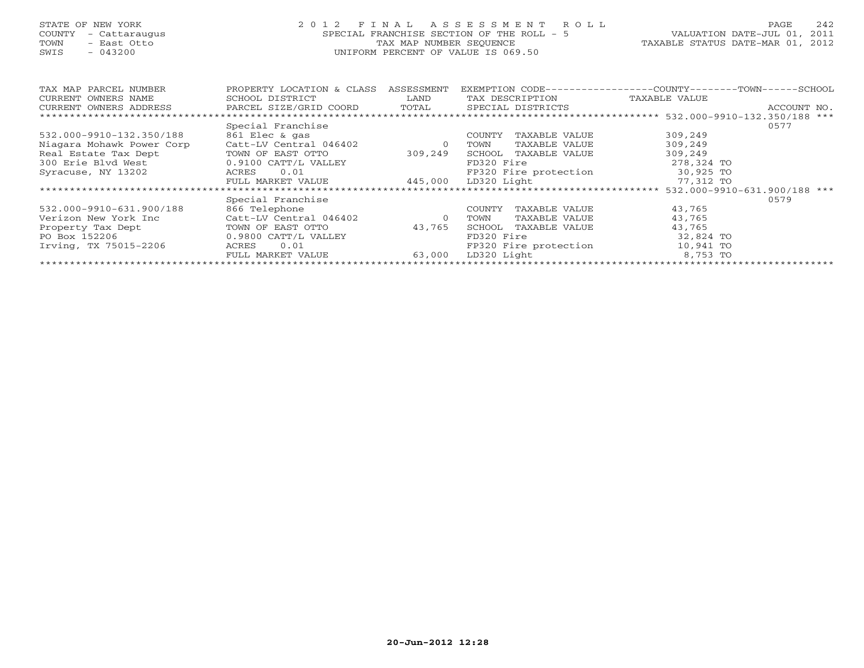# STATE OF NEW YORK 2 0 1 2 F I N A L A S S E S S M E N T R O L L PAGE 242 COUNTY - Cattaraugus SPECIAL FRANCHISE SECTION OF THE ROLL - 5 VALUATION DATE-JUL 01, 2011 TOWN - East Otto TAX MAP NUMBER SEQUENCE TAXABLE STATUS DATE-MAR 01, 2012 SWIS - 043200 UNIFORM PERCENT OF VALUE IS 069.50UNIFORM PERCENT OF VALUE IS 069.50

| TAX MAP PARCEL NUMBER     | PROPERTY LOCATION & CLASS  | ASSESSMENT | EXEMPTION CODE--                 | $-$ COUNTY $    -$<br>--TOWN-----<br>-SCHOOL |
|---------------------------|----------------------------|------------|----------------------------------|----------------------------------------------|
| CURRENT OWNERS NAME       | SCHOOL DISTRICT            | LAND       | TAX DESCRIPTION                  | TAXABLE VALUE                                |
| CURRENT OWNERS ADDRESS    | PARCEL SIZE/GRID COORD     | TOTAL      | SPECIAL DISTRICTS                | ACCOUNT NO.                                  |
|                           |                            |            |                                  |                                              |
|                           | Special Franchise          |            |                                  | 0577                                         |
| 532.000-9910-132.350/188  | 861 Elec & gas             |            | COUNTY<br>TAXABLE VALUE          | 309,249                                      |
| Niagara Mohawk Power Corp | Catt-LV Central 046402     | $\circ$    | TOWN<br>TAXABLE VALUE            | 309,249                                      |
| Real Estate Tax Dept      | TOWN OF EAST OTTO          | 309,249    | SCHOOL<br>TAXABLE VALUE          | 309,249                                      |
| 300 Erie Blyd West        | 0.9100 CATT/L VALLEY       |            | FD320 Fire                       | 278,324 TO                                   |
| Syracuse, NY 13202        | 0.01<br>ACRES              |            | FP320 Fire protection            | 30,925 TO                                    |
|                           | FULL MARKET VALUE          | 445,000    | LD320 Light                      | 77,312 TO                                    |
|                           | ************************** |            | ******************************** | 532.000-9910-631.900/188 ***                 |
|                           | Special Franchise          |            |                                  | 0579                                         |
| 532.000-9910-631.900/188  | 866 Telephone              |            | TAXABLE VALUE<br>COUNTY          | 43,765                                       |
| Verizon New York Inc      | Catt-LV Central 046402     | $\circ$    | TOWN<br>TAXABLE VALUE            | 43,765                                       |
| Property Tax Dept         | TOWN OF EAST OTTO          | 43,765     | SCHOOL<br>TAXABLE VALUE          | 43,765                                       |
| PO Box 152206             | 0.9800 CATT/L VALLEY       |            | FD320 Fire                       | 32,824 TO                                    |
| Irving, TX 75015-2206     | 0.01<br>ACRES              |            | FP320 Fire protection            | 10,941 TO                                    |
|                           | FULL MARKET VALUE          | 63,000     | LD320 Light                      | 8,753 TO                                     |
|                           |                            |            |                                  |                                              |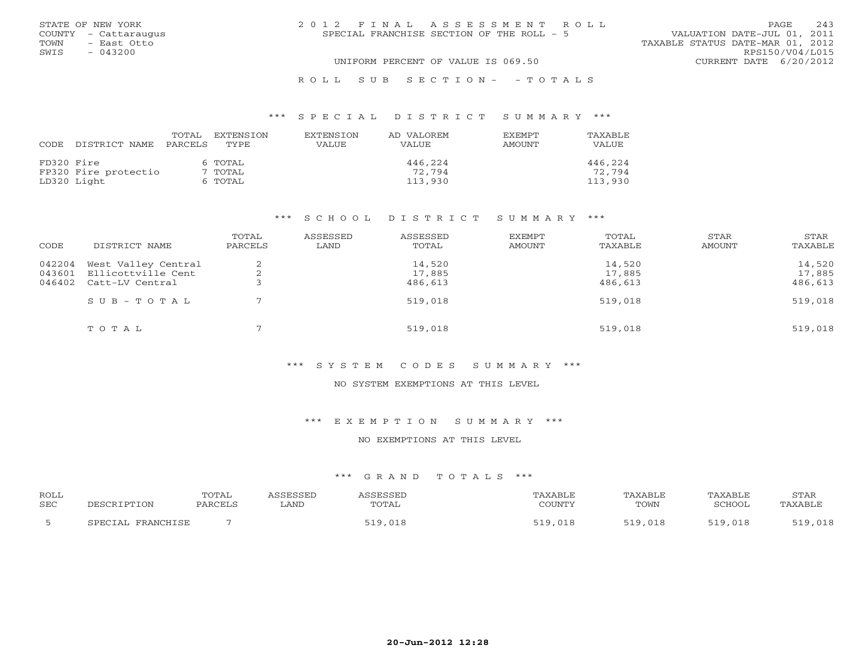|      | STATE OF NEW YORK    | 2012 FINAL ASSESSMENT ROLL                                               | <b>PAGE</b>     | 243 |
|------|----------------------|--------------------------------------------------------------------------|-----------------|-----|
|      | COUNTY - Cattaraugus | VALUATION DATE-JUL 01, 2011<br>SPECIAL FRANCHISE SECTION OF THE ROLL - 5 |                 |     |
| TOWN | - East Otto          | TAXABLE STATUS DATE-MAR 01, 2012                                         |                 |     |
| SWIS | $-043200$            |                                                                          | RPS150/V04/L015 |     |
|      |                      | UNIFORM PERCENT OF VALUE IS 069.50<br>CURRENT DATE 6/20/2012             |                 |     |
|      |                      |                                                                          |                 |     |

#### R O L L S U B S E C T I O N - - T O T A L S

#### \*\*\* S P E C I A L D I S T R I C T S U M M A R Y \*\*\*

|            |                      | TOTAL   | EXTENSION | <b>EXTENSION</b> | AD VALOREM | <b>FXFMPT</b> | TAXABLE      |
|------------|----------------------|---------|-----------|------------------|------------|---------------|--------------|
| CODE       | DISTRICT NAME        | PARCELS | TYPE.     | VALUE            | VALUE      | AMOUNT        | <b>VALUE</b> |
| FD320 Fire |                      |         | 6 TOTAL   |                  | 446,224    |               | 446,224      |
|            | FP320 Fire protectio |         | 7 TOTAL   |                  | 72.794     |               | 72,794       |
|            | LD320 Light          |         | 6 TOTAL   |                  | 113,930    |               | 113,930      |

#### \*\*\* S C H O O L D I S T R I C T S U M M A R Y \*\*\*

| CODE   | DISTRICT NAME             | TOTAL<br>PARCELS | ASSESSED<br>LAND | ASSESSED<br>TOTAL | <b>EXEMPT</b><br><b>AMOUNT</b> | TOTAL<br>TAXABLE | STAR<br>AMOUNT | STAR<br>TAXABLE |
|--------|---------------------------|------------------|------------------|-------------------|--------------------------------|------------------|----------------|-----------------|
| 042204 | West Valley Central       |                  |                  | 14,520            |                                | 14,520           |                | 14,520          |
| 043601 | Ellicottville Cent        |                  |                  | 17,885            |                                | 17,885           |                | 17,885          |
| 046402 | Catt-LV Central           |                  |                  | 486,613           |                                | 486,613          |                | 486,613         |
|        | $S \cup B - T \cup T A L$ |                  |                  | 519,018           |                                | 519,018          |                | 519,018         |
|        | TOTAL                     |                  |                  | 519,018           |                                | 519,018          |                | 519,018         |

## \*\*\* S Y S T E M C O D E S S U M M A R Y \*\*\*

#### NO SYSTEM EXEMPTIONS AT THIS LEVEL

\*\*\* E X E M P T I O N S U M M A R Y \*\*\*

#### NO EXEMPTIONS AT THIS LEVEL

| <b>ROLL</b><br><b>SEC</b> | DESCRIPTION           | TOTAL<br>PARCELS | <i><b>SSESSED</b></i><br><b>LAND</b> | ASSESSEI<br>TOTAL | TAXABLE<br>COUNTY | TAXABLE<br>TOWN | TAXABLE<br>SCHOOL | STAR<br>TAXABLE |
|---------------------------|-----------------------|------------------|--------------------------------------|-------------------|-------------------|-----------------|-------------------|-----------------|
|                           | FRANCHISE<br>SDRCTAL. |                  |                                      | 519,018           | 519 018<br>, 010  | 519,018         | 519,018           | 519,018         |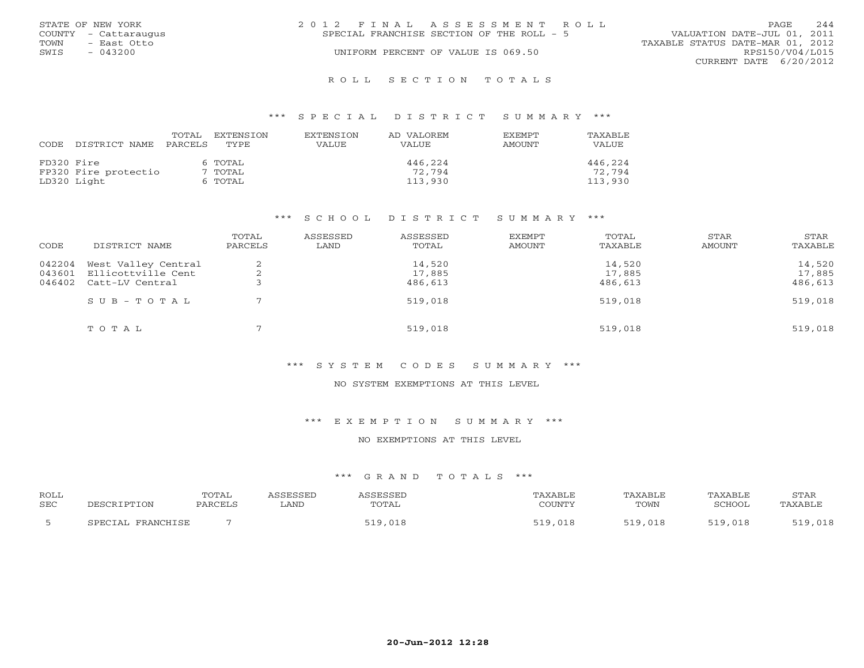|      | STATE OF NEW YORK    | 2012 FINAL ASSESSMENT ROLL                |  |                                  | <b>PAGE</b> | 2.44 |
|------|----------------------|-------------------------------------------|--|----------------------------------|-------------|------|
|      | COUNTY - Cattaraugus | SPECIAL FRANCHISE SECTION OF THE ROLL - 5 |  | VALUATION DATE-JUL 01, 2011      |             |      |
| TOWN | - East Otto          |                                           |  | TAXABLE STATUS DATE-MAR 01, 2012 |             |      |
| SWIS | $-043200$            | UNIFORM PERCENT OF VALUE IS 069.50        |  | RPS150/V04/L015                  |             |      |
|      |                      |                                           |  | CURRENT DATE 6/20/2012           |             |      |
|      |                      |                                           |  |                                  |             |      |

#### R O L L S E C T I O N T O T A L S

#### \*\*\* S P E C I A L D I S T R I C T S U M M A R Y \*\*\*

| CODE       | DISTRICT NAME        | TOTAL<br>PARCELS | EXTENSION<br>TYPE. | <b>EXTENSION</b><br><b>VALUE</b> | AD VALOREM<br><b>VALUE</b> | <b>EXEMPT</b><br>AMOUNT | TAXABLE<br>VALUE |
|------------|----------------------|------------------|--------------------|----------------------------------|----------------------------|-------------------------|------------------|
| FD320 Fire |                      |                  | 6 TOTAL            |                                  | 446,224                    |                         | 446,224          |
|            | FP320 Fire protectio |                  | 7 TOTAL            |                                  | 72,794                     |                         | 72,794           |
|            | LD320 Light          |                  | 6 TOTAL            |                                  | 113,930                    |                         | 113,930          |

#### \*\*\* S C H O O L D I S T R I C T S U M M A R Y \*\*\*

| CODE   | DISTRICT NAME             | TOTAL<br>PARCELS | ASSESSED<br>LAND | ASSESSED<br>TOTAL | <b>EXEMPT</b><br><b>AMOUNT</b> | TOTAL<br>TAXABLE | STAR<br>AMOUNT | STAR<br>TAXABLE |
|--------|---------------------------|------------------|------------------|-------------------|--------------------------------|------------------|----------------|-----------------|
| 042204 | West Valley Central       |                  |                  | 14,520            |                                | 14,520           |                | 14,520          |
| 043601 | Ellicottville Cent        |                  |                  | 17,885            |                                | 17,885           |                | 17,885          |
|        | 046402 Catt-LV Central    |                  |                  | 486,613           |                                | 486,613          |                | 486,613         |
|        | $S \cup B - T \cup T A L$ |                  |                  | 519,018           |                                | 519,018          |                | 519,018         |
|        | TOTAL                     |                  |                  | 519,018           |                                | 519,018          |                | 519,018         |

## \*\*\* S Y S T E M C O D E S S U M M A R Y \*\*\*

#### NO SYSTEM EXEMPTIONS AT THIS LEVEL

\*\*\* E X E M P T I O N S U M M A R Y \*\*\*

#### NO EXEMPTIONS AT THIS LEVEL

| <b>ROLL</b><br><b>SEC</b> | DESCRIPTION             | TOTAL<br>PARCELS | <i><b>SSESSED</b></i><br>LAND | A C C F C C F T<br>TOTAL | TAXABLE<br>COUNTY | TAXABLE<br>TOWN | TAXABLE<br>SCHOOL | STAR<br>TAXABLE |
|---------------------------|-------------------------|------------------|-------------------------------|--------------------------|-------------------|-----------------|-------------------|-----------------|
|                           | . FRANCHISE<br>CDRCTAL. |                  |                               | ,018<br>: 1 0 1          | ◡∸◡               | 519,018         | 519,018           | 519,018         |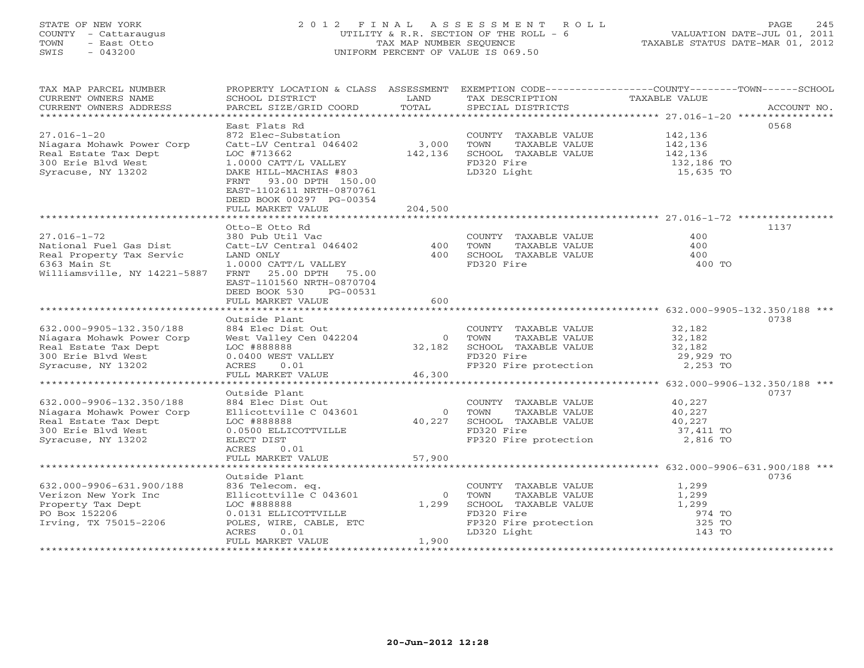# STATE OF NEW YORK 2 0 1 2 F I N A L A S S E S S M E N T R O L L PAGE 245 COUNTY - Cattaraugus UTILITY & R.R. SECTION OF THE ROLL - 6 VALUATION DATE-JUL 01, 2011 TOWN - East Otto TAX MAP NUMBER SEQUENCE TAXABLE STATUS DATE-MAR 01, 2012 SWIS - 043200 UNIFORM PERCENT OF VALUE IS 069.50UNIFORM PERCENT OF VALUE IS 069.50

| CURRENT OWNERS NAME<br>SCHOOL DISTRICT<br>LAND<br>TAX DESCRIPTION<br>TAXABLE VALUE<br>TOTAL<br>PARCEL SIZE/GRID COORD<br>CURRENT OWNERS ADDRESS<br>SPECIAL DISTRICTS<br>ACCOUNT NO.<br>***********************<br>East Flats Rd<br>0568<br>$27.016 - 1 - 20$<br>872 Elec-Substation<br>142,136<br>COUNTY TAXABLE VALUE<br>3,000<br>Catt-LV Central 046402<br>TAXABLE VALUE<br>142,136<br>Niagara Mohawk Power Corp<br>TOWN<br>Real Estate Tax Dept<br>LOC #713662<br>142,136<br>SCHOOL TAXABLE VALUE<br>142,136<br>FD320 Fire<br>300 Erie Blvd West<br>1.0000 CATT/L VALLEY<br>132,186 TO<br>LD320 Light<br>15,635 TO<br>Syracuse, NY 13202<br>DAKE HILL-MACHIAS #803<br>93.00 DPTH 150.00<br>FRNT<br>EAST-1102611 NRTH-0870761<br>DEED BOOK 00297 PG-00354<br>FULL MARKET VALUE<br>204,500<br>1137<br>Otto-E Otto Rd<br>$27.016 - 1 - 72$<br>400<br>380 Pub Util Vac<br>COUNTY TAXABLE VALUE<br>400<br>TOWN<br>TAXABLE VALUE<br>National Fuel Gas Dist<br>Catt-LV Central 046402<br>400<br>400 SCHOOL TAXABLE VALUE<br>Real Property Tax Servic<br>LAND ONLY<br>400<br>6363 Main St<br>FD320 Fire<br>1.0000 CATT/L VALLEY<br>400 TO<br>Williamsville, NY 14221-5887<br>25.00 DPTH 75.00<br>FRNT<br>EAST-1101560 NRTH-0870704<br>DEED BOOK 530<br>PG-00531<br>600<br>FULL MARKET VALUE<br>******************************<br>Outside Plant<br>0738<br>632.000-9905-132.350/188<br>884 Elec Dist Out<br>COUNTY TAXABLE VALUE<br>32,182<br>West Valley Cen 042204<br>Niagara Mohawk Power Corp<br>0 TOWN<br>TAXABLE VALUE<br>32,182<br>Real Estate Tax Dept<br>LOC #888888<br>32,182 SCHOOL TAXABLE VALUE<br>32,182<br>300 Erie Blvd West<br>FD320 Fire<br>29,929 TO<br>0.0400 WEST VALLEY<br>0.01<br>2,253 TO<br>Syracuse, NY 13202<br>ACRES<br>FP320 Fire protection<br>FULL MARKET VALUE<br>46,300<br>Outside Plant<br>0737<br>632.000-9906-132.350/188<br>40,227<br>884 Elec Dist Out<br>COUNTY TAXABLE VALUE<br>Niagara Mohawk Power Corp<br>Ellicottville C 043601<br>$\Omega$<br>TOWN<br>TAXABLE VALUE<br>40,227<br>40,227 SCHOOL TAXABLE VALUE<br>Real Estate Tax Dept<br>LOC #888888<br>40,227<br>300 Erie Blvd West<br>FD320 Fire<br>37,411 TO<br>0.0500 ELLICOTTVILLE<br>FP320 Fire protection<br>Syracuse, NY 13202<br>ELECT DIST<br>2,816 TO<br>ACRES<br>0.01<br>57,900<br>FULL MARKET VALUE<br>Outside Plant<br>0736<br>1,299<br>632.000-9906-631.900/188<br>836 Telecom. eq.<br>COUNTY TAXABLE VALUE<br>Ellicottville C 043601<br>$\overline{0}$<br>TAXABLE VALUE<br>1,299<br>Verizon New York Inc<br>TOWN<br>SCHOOL TAXABLE VALUE<br>LOC #888888<br>1,299<br>1,299<br>Property Tax Dept<br>FD320 Fire<br>PO Box 152206<br>0.0131 ELLICOTTVILLE<br>974 TO<br>Irving, TX 75015-2206<br>FP320 Fire protection<br>325 TO<br>POLES, WIRE, CABLE, ETC<br>LD320 Light<br>ACRES<br>0.01<br>143 TO<br>1,900<br>FULL MARKET VALUE | TAX MAP PARCEL NUMBER | PROPERTY LOCATION & CLASS ASSESSMENT EXEMPTION CODE---------------COUNTY-------TOWN-----SCHOOL |  |  |
|--------------------------------------------------------------------------------------------------------------------------------------------------------------------------------------------------------------------------------------------------------------------------------------------------------------------------------------------------------------------------------------------------------------------------------------------------------------------------------------------------------------------------------------------------------------------------------------------------------------------------------------------------------------------------------------------------------------------------------------------------------------------------------------------------------------------------------------------------------------------------------------------------------------------------------------------------------------------------------------------------------------------------------------------------------------------------------------------------------------------------------------------------------------------------------------------------------------------------------------------------------------------------------------------------------------------------------------------------------------------------------------------------------------------------------------------------------------------------------------------------------------------------------------------------------------------------------------------------------------------------------------------------------------------------------------------------------------------------------------------------------------------------------------------------------------------------------------------------------------------------------------------------------------------------------------------------------------------------------------------------------------------------------------------------------------------------------------------------------------------------------------------------------------------------------------------------------------------------------------------------------------------------------------------------------------------------------------------------------------------------------------------------------------------------------------------------------------------------------------------------------------------------------------------------------------------------------------------------------------------------------------------------------------------------------------------------------------------------------------------------------------------------------------------------------------------------------------|-----------------------|------------------------------------------------------------------------------------------------|--|--|
|                                                                                                                                                                                                                                                                                                                                                                                                                                                                                                                                                                                                                                                                                                                                                                                                                                                                                                                                                                                                                                                                                                                                                                                                                                                                                                                                                                                                                                                                                                                                                                                                                                                                                                                                                                                                                                                                                                                                                                                                                                                                                                                                                                                                                                                                                                                                                                                                                                                                                                                                                                                                                                                                                                                                                                                                                                      |                       |                                                                                                |  |  |
|                                                                                                                                                                                                                                                                                                                                                                                                                                                                                                                                                                                                                                                                                                                                                                                                                                                                                                                                                                                                                                                                                                                                                                                                                                                                                                                                                                                                                                                                                                                                                                                                                                                                                                                                                                                                                                                                                                                                                                                                                                                                                                                                                                                                                                                                                                                                                                                                                                                                                                                                                                                                                                                                                                                                                                                                                                      |                       |                                                                                                |  |  |
|                                                                                                                                                                                                                                                                                                                                                                                                                                                                                                                                                                                                                                                                                                                                                                                                                                                                                                                                                                                                                                                                                                                                                                                                                                                                                                                                                                                                                                                                                                                                                                                                                                                                                                                                                                                                                                                                                                                                                                                                                                                                                                                                                                                                                                                                                                                                                                                                                                                                                                                                                                                                                                                                                                                                                                                                                                      |                       |                                                                                                |  |  |
|                                                                                                                                                                                                                                                                                                                                                                                                                                                                                                                                                                                                                                                                                                                                                                                                                                                                                                                                                                                                                                                                                                                                                                                                                                                                                                                                                                                                                                                                                                                                                                                                                                                                                                                                                                                                                                                                                                                                                                                                                                                                                                                                                                                                                                                                                                                                                                                                                                                                                                                                                                                                                                                                                                                                                                                                                                      |                       |                                                                                                |  |  |
|                                                                                                                                                                                                                                                                                                                                                                                                                                                                                                                                                                                                                                                                                                                                                                                                                                                                                                                                                                                                                                                                                                                                                                                                                                                                                                                                                                                                                                                                                                                                                                                                                                                                                                                                                                                                                                                                                                                                                                                                                                                                                                                                                                                                                                                                                                                                                                                                                                                                                                                                                                                                                                                                                                                                                                                                                                      |                       |                                                                                                |  |  |
|                                                                                                                                                                                                                                                                                                                                                                                                                                                                                                                                                                                                                                                                                                                                                                                                                                                                                                                                                                                                                                                                                                                                                                                                                                                                                                                                                                                                                                                                                                                                                                                                                                                                                                                                                                                                                                                                                                                                                                                                                                                                                                                                                                                                                                                                                                                                                                                                                                                                                                                                                                                                                                                                                                                                                                                                                                      |                       |                                                                                                |  |  |
|                                                                                                                                                                                                                                                                                                                                                                                                                                                                                                                                                                                                                                                                                                                                                                                                                                                                                                                                                                                                                                                                                                                                                                                                                                                                                                                                                                                                                                                                                                                                                                                                                                                                                                                                                                                                                                                                                                                                                                                                                                                                                                                                                                                                                                                                                                                                                                                                                                                                                                                                                                                                                                                                                                                                                                                                                                      |                       |                                                                                                |  |  |
|                                                                                                                                                                                                                                                                                                                                                                                                                                                                                                                                                                                                                                                                                                                                                                                                                                                                                                                                                                                                                                                                                                                                                                                                                                                                                                                                                                                                                                                                                                                                                                                                                                                                                                                                                                                                                                                                                                                                                                                                                                                                                                                                                                                                                                                                                                                                                                                                                                                                                                                                                                                                                                                                                                                                                                                                                                      |                       |                                                                                                |  |  |
|                                                                                                                                                                                                                                                                                                                                                                                                                                                                                                                                                                                                                                                                                                                                                                                                                                                                                                                                                                                                                                                                                                                                                                                                                                                                                                                                                                                                                                                                                                                                                                                                                                                                                                                                                                                                                                                                                                                                                                                                                                                                                                                                                                                                                                                                                                                                                                                                                                                                                                                                                                                                                                                                                                                                                                                                                                      |                       |                                                                                                |  |  |
|                                                                                                                                                                                                                                                                                                                                                                                                                                                                                                                                                                                                                                                                                                                                                                                                                                                                                                                                                                                                                                                                                                                                                                                                                                                                                                                                                                                                                                                                                                                                                                                                                                                                                                                                                                                                                                                                                                                                                                                                                                                                                                                                                                                                                                                                                                                                                                                                                                                                                                                                                                                                                                                                                                                                                                                                                                      |                       |                                                                                                |  |  |
|                                                                                                                                                                                                                                                                                                                                                                                                                                                                                                                                                                                                                                                                                                                                                                                                                                                                                                                                                                                                                                                                                                                                                                                                                                                                                                                                                                                                                                                                                                                                                                                                                                                                                                                                                                                                                                                                                                                                                                                                                                                                                                                                                                                                                                                                                                                                                                                                                                                                                                                                                                                                                                                                                                                                                                                                                                      |                       |                                                                                                |  |  |
|                                                                                                                                                                                                                                                                                                                                                                                                                                                                                                                                                                                                                                                                                                                                                                                                                                                                                                                                                                                                                                                                                                                                                                                                                                                                                                                                                                                                                                                                                                                                                                                                                                                                                                                                                                                                                                                                                                                                                                                                                                                                                                                                                                                                                                                                                                                                                                                                                                                                                                                                                                                                                                                                                                                                                                                                                                      |                       |                                                                                                |  |  |
|                                                                                                                                                                                                                                                                                                                                                                                                                                                                                                                                                                                                                                                                                                                                                                                                                                                                                                                                                                                                                                                                                                                                                                                                                                                                                                                                                                                                                                                                                                                                                                                                                                                                                                                                                                                                                                                                                                                                                                                                                                                                                                                                                                                                                                                                                                                                                                                                                                                                                                                                                                                                                                                                                                                                                                                                                                      |                       |                                                                                                |  |  |
|                                                                                                                                                                                                                                                                                                                                                                                                                                                                                                                                                                                                                                                                                                                                                                                                                                                                                                                                                                                                                                                                                                                                                                                                                                                                                                                                                                                                                                                                                                                                                                                                                                                                                                                                                                                                                                                                                                                                                                                                                                                                                                                                                                                                                                                                                                                                                                                                                                                                                                                                                                                                                                                                                                                                                                                                                                      |                       |                                                                                                |  |  |
|                                                                                                                                                                                                                                                                                                                                                                                                                                                                                                                                                                                                                                                                                                                                                                                                                                                                                                                                                                                                                                                                                                                                                                                                                                                                                                                                                                                                                                                                                                                                                                                                                                                                                                                                                                                                                                                                                                                                                                                                                                                                                                                                                                                                                                                                                                                                                                                                                                                                                                                                                                                                                                                                                                                                                                                                                                      |                       |                                                                                                |  |  |
|                                                                                                                                                                                                                                                                                                                                                                                                                                                                                                                                                                                                                                                                                                                                                                                                                                                                                                                                                                                                                                                                                                                                                                                                                                                                                                                                                                                                                                                                                                                                                                                                                                                                                                                                                                                                                                                                                                                                                                                                                                                                                                                                                                                                                                                                                                                                                                                                                                                                                                                                                                                                                                                                                                                                                                                                                                      |                       |                                                                                                |  |  |
|                                                                                                                                                                                                                                                                                                                                                                                                                                                                                                                                                                                                                                                                                                                                                                                                                                                                                                                                                                                                                                                                                                                                                                                                                                                                                                                                                                                                                                                                                                                                                                                                                                                                                                                                                                                                                                                                                                                                                                                                                                                                                                                                                                                                                                                                                                                                                                                                                                                                                                                                                                                                                                                                                                                                                                                                                                      |                       |                                                                                                |  |  |
|                                                                                                                                                                                                                                                                                                                                                                                                                                                                                                                                                                                                                                                                                                                                                                                                                                                                                                                                                                                                                                                                                                                                                                                                                                                                                                                                                                                                                                                                                                                                                                                                                                                                                                                                                                                                                                                                                                                                                                                                                                                                                                                                                                                                                                                                                                                                                                                                                                                                                                                                                                                                                                                                                                                                                                                                                                      |                       |                                                                                                |  |  |
|                                                                                                                                                                                                                                                                                                                                                                                                                                                                                                                                                                                                                                                                                                                                                                                                                                                                                                                                                                                                                                                                                                                                                                                                                                                                                                                                                                                                                                                                                                                                                                                                                                                                                                                                                                                                                                                                                                                                                                                                                                                                                                                                                                                                                                                                                                                                                                                                                                                                                                                                                                                                                                                                                                                                                                                                                                      |                       |                                                                                                |  |  |
|                                                                                                                                                                                                                                                                                                                                                                                                                                                                                                                                                                                                                                                                                                                                                                                                                                                                                                                                                                                                                                                                                                                                                                                                                                                                                                                                                                                                                                                                                                                                                                                                                                                                                                                                                                                                                                                                                                                                                                                                                                                                                                                                                                                                                                                                                                                                                                                                                                                                                                                                                                                                                                                                                                                                                                                                                                      |                       |                                                                                                |  |  |
|                                                                                                                                                                                                                                                                                                                                                                                                                                                                                                                                                                                                                                                                                                                                                                                                                                                                                                                                                                                                                                                                                                                                                                                                                                                                                                                                                                                                                                                                                                                                                                                                                                                                                                                                                                                                                                                                                                                                                                                                                                                                                                                                                                                                                                                                                                                                                                                                                                                                                                                                                                                                                                                                                                                                                                                                                                      |                       |                                                                                                |  |  |
|                                                                                                                                                                                                                                                                                                                                                                                                                                                                                                                                                                                                                                                                                                                                                                                                                                                                                                                                                                                                                                                                                                                                                                                                                                                                                                                                                                                                                                                                                                                                                                                                                                                                                                                                                                                                                                                                                                                                                                                                                                                                                                                                                                                                                                                                                                                                                                                                                                                                                                                                                                                                                                                                                                                                                                                                                                      |                       |                                                                                                |  |  |
|                                                                                                                                                                                                                                                                                                                                                                                                                                                                                                                                                                                                                                                                                                                                                                                                                                                                                                                                                                                                                                                                                                                                                                                                                                                                                                                                                                                                                                                                                                                                                                                                                                                                                                                                                                                                                                                                                                                                                                                                                                                                                                                                                                                                                                                                                                                                                                                                                                                                                                                                                                                                                                                                                                                                                                                                                                      |                       |                                                                                                |  |  |
|                                                                                                                                                                                                                                                                                                                                                                                                                                                                                                                                                                                                                                                                                                                                                                                                                                                                                                                                                                                                                                                                                                                                                                                                                                                                                                                                                                                                                                                                                                                                                                                                                                                                                                                                                                                                                                                                                                                                                                                                                                                                                                                                                                                                                                                                                                                                                                                                                                                                                                                                                                                                                                                                                                                                                                                                                                      |                       |                                                                                                |  |  |
|                                                                                                                                                                                                                                                                                                                                                                                                                                                                                                                                                                                                                                                                                                                                                                                                                                                                                                                                                                                                                                                                                                                                                                                                                                                                                                                                                                                                                                                                                                                                                                                                                                                                                                                                                                                                                                                                                                                                                                                                                                                                                                                                                                                                                                                                                                                                                                                                                                                                                                                                                                                                                                                                                                                                                                                                                                      |                       |                                                                                                |  |  |
|                                                                                                                                                                                                                                                                                                                                                                                                                                                                                                                                                                                                                                                                                                                                                                                                                                                                                                                                                                                                                                                                                                                                                                                                                                                                                                                                                                                                                                                                                                                                                                                                                                                                                                                                                                                                                                                                                                                                                                                                                                                                                                                                                                                                                                                                                                                                                                                                                                                                                                                                                                                                                                                                                                                                                                                                                                      |                       |                                                                                                |  |  |
|                                                                                                                                                                                                                                                                                                                                                                                                                                                                                                                                                                                                                                                                                                                                                                                                                                                                                                                                                                                                                                                                                                                                                                                                                                                                                                                                                                                                                                                                                                                                                                                                                                                                                                                                                                                                                                                                                                                                                                                                                                                                                                                                                                                                                                                                                                                                                                                                                                                                                                                                                                                                                                                                                                                                                                                                                                      |                       |                                                                                                |  |  |
|                                                                                                                                                                                                                                                                                                                                                                                                                                                                                                                                                                                                                                                                                                                                                                                                                                                                                                                                                                                                                                                                                                                                                                                                                                                                                                                                                                                                                                                                                                                                                                                                                                                                                                                                                                                                                                                                                                                                                                                                                                                                                                                                                                                                                                                                                                                                                                                                                                                                                                                                                                                                                                                                                                                                                                                                                                      |                       |                                                                                                |  |  |
|                                                                                                                                                                                                                                                                                                                                                                                                                                                                                                                                                                                                                                                                                                                                                                                                                                                                                                                                                                                                                                                                                                                                                                                                                                                                                                                                                                                                                                                                                                                                                                                                                                                                                                                                                                                                                                                                                                                                                                                                                                                                                                                                                                                                                                                                                                                                                                                                                                                                                                                                                                                                                                                                                                                                                                                                                                      |                       |                                                                                                |  |  |
|                                                                                                                                                                                                                                                                                                                                                                                                                                                                                                                                                                                                                                                                                                                                                                                                                                                                                                                                                                                                                                                                                                                                                                                                                                                                                                                                                                                                                                                                                                                                                                                                                                                                                                                                                                                                                                                                                                                                                                                                                                                                                                                                                                                                                                                                                                                                                                                                                                                                                                                                                                                                                                                                                                                                                                                                                                      |                       |                                                                                                |  |  |
|                                                                                                                                                                                                                                                                                                                                                                                                                                                                                                                                                                                                                                                                                                                                                                                                                                                                                                                                                                                                                                                                                                                                                                                                                                                                                                                                                                                                                                                                                                                                                                                                                                                                                                                                                                                                                                                                                                                                                                                                                                                                                                                                                                                                                                                                                                                                                                                                                                                                                                                                                                                                                                                                                                                                                                                                                                      |                       |                                                                                                |  |  |
|                                                                                                                                                                                                                                                                                                                                                                                                                                                                                                                                                                                                                                                                                                                                                                                                                                                                                                                                                                                                                                                                                                                                                                                                                                                                                                                                                                                                                                                                                                                                                                                                                                                                                                                                                                                                                                                                                                                                                                                                                                                                                                                                                                                                                                                                                                                                                                                                                                                                                                                                                                                                                                                                                                                                                                                                                                      |                       |                                                                                                |  |  |
|                                                                                                                                                                                                                                                                                                                                                                                                                                                                                                                                                                                                                                                                                                                                                                                                                                                                                                                                                                                                                                                                                                                                                                                                                                                                                                                                                                                                                                                                                                                                                                                                                                                                                                                                                                                                                                                                                                                                                                                                                                                                                                                                                                                                                                                                                                                                                                                                                                                                                                                                                                                                                                                                                                                                                                                                                                      |                       |                                                                                                |  |  |
|                                                                                                                                                                                                                                                                                                                                                                                                                                                                                                                                                                                                                                                                                                                                                                                                                                                                                                                                                                                                                                                                                                                                                                                                                                                                                                                                                                                                                                                                                                                                                                                                                                                                                                                                                                                                                                                                                                                                                                                                                                                                                                                                                                                                                                                                                                                                                                                                                                                                                                                                                                                                                                                                                                                                                                                                                                      |                       |                                                                                                |  |  |
|                                                                                                                                                                                                                                                                                                                                                                                                                                                                                                                                                                                                                                                                                                                                                                                                                                                                                                                                                                                                                                                                                                                                                                                                                                                                                                                                                                                                                                                                                                                                                                                                                                                                                                                                                                                                                                                                                                                                                                                                                                                                                                                                                                                                                                                                                                                                                                                                                                                                                                                                                                                                                                                                                                                                                                                                                                      |                       |                                                                                                |  |  |
|                                                                                                                                                                                                                                                                                                                                                                                                                                                                                                                                                                                                                                                                                                                                                                                                                                                                                                                                                                                                                                                                                                                                                                                                                                                                                                                                                                                                                                                                                                                                                                                                                                                                                                                                                                                                                                                                                                                                                                                                                                                                                                                                                                                                                                                                                                                                                                                                                                                                                                                                                                                                                                                                                                                                                                                                                                      |                       |                                                                                                |  |  |
|                                                                                                                                                                                                                                                                                                                                                                                                                                                                                                                                                                                                                                                                                                                                                                                                                                                                                                                                                                                                                                                                                                                                                                                                                                                                                                                                                                                                                                                                                                                                                                                                                                                                                                                                                                                                                                                                                                                                                                                                                                                                                                                                                                                                                                                                                                                                                                                                                                                                                                                                                                                                                                                                                                                                                                                                                                      |                       |                                                                                                |  |  |
|                                                                                                                                                                                                                                                                                                                                                                                                                                                                                                                                                                                                                                                                                                                                                                                                                                                                                                                                                                                                                                                                                                                                                                                                                                                                                                                                                                                                                                                                                                                                                                                                                                                                                                                                                                                                                                                                                                                                                                                                                                                                                                                                                                                                                                                                                                                                                                                                                                                                                                                                                                                                                                                                                                                                                                                                                                      |                       |                                                                                                |  |  |
|                                                                                                                                                                                                                                                                                                                                                                                                                                                                                                                                                                                                                                                                                                                                                                                                                                                                                                                                                                                                                                                                                                                                                                                                                                                                                                                                                                                                                                                                                                                                                                                                                                                                                                                                                                                                                                                                                                                                                                                                                                                                                                                                                                                                                                                                                                                                                                                                                                                                                                                                                                                                                                                                                                                                                                                                                                      |                       |                                                                                                |  |  |
|                                                                                                                                                                                                                                                                                                                                                                                                                                                                                                                                                                                                                                                                                                                                                                                                                                                                                                                                                                                                                                                                                                                                                                                                                                                                                                                                                                                                                                                                                                                                                                                                                                                                                                                                                                                                                                                                                                                                                                                                                                                                                                                                                                                                                                                                                                                                                                                                                                                                                                                                                                                                                                                                                                                                                                                                                                      |                       |                                                                                                |  |  |
|                                                                                                                                                                                                                                                                                                                                                                                                                                                                                                                                                                                                                                                                                                                                                                                                                                                                                                                                                                                                                                                                                                                                                                                                                                                                                                                                                                                                                                                                                                                                                                                                                                                                                                                                                                                                                                                                                                                                                                                                                                                                                                                                                                                                                                                                                                                                                                                                                                                                                                                                                                                                                                                                                                                                                                                                                                      |                       |                                                                                                |  |  |
|                                                                                                                                                                                                                                                                                                                                                                                                                                                                                                                                                                                                                                                                                                                                                                                                                                                                                                                                                                                                                                                                                                                                                                                                                                                                                                                                                                                                                                                                                                                                                                                                                                                                                                                                                                                                                                                                                                                                                                                                                                                                                                                                                                                                                                                                                                                                                                                                                                                                                                                                                                                                                                                                                                                                                                                                                                      |                       |                                                                                                |  |  |
|                                                                                                                                                                                                                                                                                                                                                                                                                                                                                                                                                                                                                                                                                                                                                                                                                                                                                                                                                                                                                                                                                                                                                                                                                                                                                                                                                                                                                                                                                                                                                                                                                                                                                                                                                                                                                                                                                                                                                                                                                                                                                                                                                                                                                                                                                                                                                                                                                                                                                                                                                                                                                                                                                                                                                                                                                                      |                       |                                                                                                |  |  |
|                                                                                                                                                                                                                                                                                                                                                                                                                                                                                                                                                                                                                                                                                                                                                                                                                                                                                                                                                                                                                                                                                                                                                                                                                                                                                                                                                                                                                                                                                                                                                                                                                                                                                                                                                                                                                                                                                                                                                                                                                                                                                                                                                                                                                                                                                                                                                                                                                                                                                                                                                                                                                                                                                                                                                                                                                                      |                       |                                                                                                |  |  |
|                                                                                                                                                                                                                                                                                                                                                                                                                                                                                                                                                                                                                                                                                                                                                                                                                                                                                                                                                                                                                                                                                                                                                                                                                                                                                                                                                                                                                                                                                                                                                                                                                                                                                                                                                                                                                                                                                                                                                                                                                                                                                                                                                                                                                                                                                                                                                                                                                                                                                                                                                                                                                                                                                                                                                                                                                                      |                       |                                                                                                |  |  |
|                                                                                                                                                                                                                                                                                                                                                                                                                                                                                                                                                                                                                                                                                                                                                                                                                                                                                                                                                                                                                                                                                                                                                                                                                                                                                                                                                                                                                                                                                                                                                                                                                                                                                                                                                                                                                                                                                                                                                                                                                                                                                                                                                                                                                                                                                                                                                                                                                                                                                                                                                                                                                                                                                                                                                                                                                                      |                       |                                                                                                |  |  |
|                                                                                                                                                                                                                                                                                                                                                                                                                                                                                                                                                                                                                                                                                                                                                                                                                                                                                                                                                                                                                                                                                                                                                                                                                                                                                                                                                                                                                                                                                                                                                                                                                                                                                                                                                                                                                                                                                                                                                                                                                                                                                                                                                                                                                                                                                                                                                                                                                                                                                                                                                                                                                                                                                                                                                                                                                                      |                       |                                                                                                |  |  |
|                                                                                                                                                                                                                                                                                                                                                                                                                                                                                                                                                                                                                                                                                                                                                                                                                                                                                                                                                                                                                                                                                                                                                                                                                                                                                                                                                                                                                                                                                                                                                                                                                                                                                                                                                                                                                                                                                                                                                                                                                                                                                                                                                                                                                                                                                                                                                                                                                                                                                                                                                                                                                                                                                                                                                                                                                                      |                       |                                                                                                |  |  |
|                                                                                                                                                                                                                                                                                                                                                                                                                                                                                                                                                                                                                                                                                                                                                                                                                                                                                                                                                                                                                                                                                                                                                                                                                                                                                                                                                                                                                                                                                                                                                                                                                                                                                                                                                                                                                                                                                                                                                                                                                                                                                                                                                                                                                                                                                                                                                                                                                                                                                                                                                                                                                                                                                                                                                                                                                                      |                       |                                                                                                |  |  |
|                                                                                                                                                                                                                                                                                                                                                                                                                                                                                                                                                                                                                                                                                                                                                                                                                                                                                                                                                                                                                                                                                                                                                                                                                                                                                                                                                                                                                                                                                                                                                                                                                                                                                                                                                                                                                                                                                                                                                                                                                                                                                                                                                                                                                                                                                                                                                                                                                                                                                                                                                                                                                                                                                                                                                                                                                                      |                       |                                                                                                |  |  |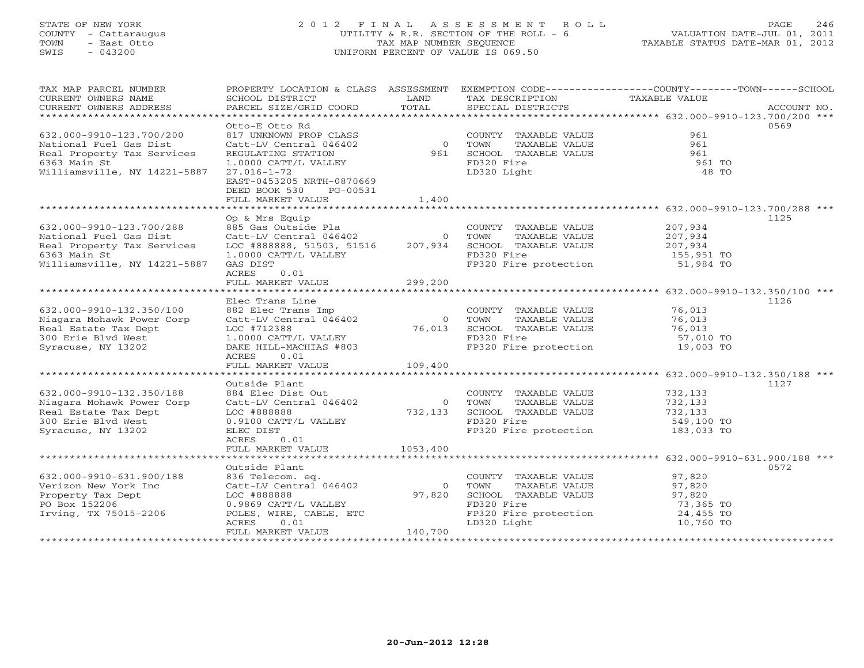# STATE OF NEW YORK 2 0 1 2 F I N A L A S S E S S M E N T R O L L PAGE 246 COUNTY - Cattaraugus UTILITY & R.R. SECTION OF THE ROLL - 6 VALUATION DATE-JUL 01, 2011 TOWN - East Otto TAX MAP NUMBER SEQUENCE TAXABLE STATUS DATE-MAR 01, 2012 SWIS - 043200 UNIFORM PERCENT OF VALUE IS 069.50

| TAX MAP PARCEL NUMBER<br>CURRENT OWNERS NAME<br>CURRENT OWNERS ADDRESS                                                           | PROPERTY LOCATION & CLASS ASSESSMENT<br>SCHOOL DISTRICT<br>PARCEL SIZE/GRID COORD                                     | LAND<br>TOTAL                                       | TAX DESCRIPTION<br>SPECIAL DISTRICTS                                                                         | EXEMPTION CODE-----------------COUNTY-------TOWN------SCHOOL<br>TAXABLE VALUE<br>ACCOUNT NO. |
|----------------------------------------------------------------------------------------------------------------------------------|-----------------------------------------------------------------------------------------------------------------------|-----------------------------------------------------|--------------------------------------------------------------------------------------------------------------|----------------------------------------------------------------------------------------------|
| 632.000-9910-123.700/200<br>National Fuel Gas Dist<br>Real Property Tax Services                                                 | Otto-E Otto Rd<br>817 UNKNOWN PROP CLASS<br>Catt-LV Central 046402 0<br>REGULATING STATION                            | 961                                                 | COUNTY TAXABLE VALUE<br>TOWN<br>TAXABLE VALUE<br>SCHOOL TAXABLE VALUE                                        | 0569<br>961<br>961<br>961                                                                    |
| 6363 Main St<br>Williamsville, NY 14221-5887                                                                                     | 1.0000 CATT/L VALLEY<br>$27.016 - 1 - 72$<br>EAST-0453205 NRTH-0870669<br>DEED BOOK 530 PG-00531<br>FULL MARKET VALUE | 1,400                                               | FD320 Fire<br>LD320 Light                                                                                    | 961 TO<br>48 TO                                                                              |
|                                                                                                                                  |                                                                                                                       |                                                     |                                                                                                              |                                                                                              |
|                                                                                                                                  | Op & Mrs Equip                                                                                                        |                                                     |                                                                                                              | 1125                                                                                         |
| 632.000-9910-123.700/288<br>National Fuel Gas Dist<br>Real Property Tax Services<br>6363 Main St<br>Williamsville, NY 14221-5887 | 885 Gas Outside Pla<br>Catt-LV Central 046402<br>LOC #888888, 51503, 51516<br>1.0000 CATT/L VALLEY<br>GAS DIST        | $\circ$<br>207,934                                  | COUNTY TAXABLE VALUE<br>TOWN<br>TAXABLE VALUE<br>SCHOOL TAXABLE VALUE<br>FD320 Fire<br>FP320 Fire protection | 207,934<br>207,934<br>207,934<br>155,951 TO<br>51,984 TO                                     |
|                                                                                                                                  | <b>ACRES</b><br>0.01                                                                                                  |                                                     |                                                                                                              |                                                                                              |
|                                                                                                                                  | FULL MARKET VALUE                                                                                                     | 299,200                                             |                                                                                                              |                                                                                              |
|                                                                                                                                  |                                                                                                                       |                                                     |                                                                                                              |                                                                                              |
|                                                                                                                                  | Elec Trans Line                                                                                                       |                                                     |                                                                                                              | 1126                                                                                         |
| 632.000-9910-132.350/100<br>Niagara Mohawk Power Corp                                                                            | 882 Elec Trans Imp<br>882 Elec Trans Imp<br>Catt-LV Central 046402                                                    | $\overline{0}$                                      | COUNTY TAXABLE VALUE<br>TOWN<br>TAXABLE VALUE                                                                | 76,013<br>76,013                                                                             |
| Real Estate Tax Dept                                                                                                             | Calc Live Cantral Category<br>1.000 CATT/L VALLEY<br>DAKE HILL-MACHIAS #803                                           |                                                     | SCHOOL TAXABLE VALUE                                                                                         | 76,013                                                                                       |
| 300 Erie Blvd West                                                                                                               |                                                                                                                       |                                                     | FD320 Fire                                                                                                   | 57,010 TO                                                                                    |
| Syracuse, NY 13202                                                                                                               |                                                                                                                       |                                                     | FP320 Fire protection 19,003 TO                                                                              |                                                                                              |
|                                                                                                                                  | ACRES<br>0.01                                                                                                         |                                                     |                                                                                                              |                                                                                              |
|                                                                                                                                  | FULL MARKET VALUE                                                                                                     | 109,400                                             |                                                                                                              |                                                                                              |
|                                                                                                                                  |                                                                                                                       |                                                     |                                                                                                              |                                                                                              |
|                                                                                                                                  | Outside Plant                                                                                                         |                                                     |                                                                                                              | 1127                                                                                         |
| 632.000-9910-132.350/188<br>Niagara Mohawk Power Corp                                                                            | 884 Elec Dist Out<br>Catt-LV Central 046402                                                                           | $\overline{0}$                                      | COUNTY TAXABLE VALUE<br>TAXABLE VALUE<br>TOWN                                                                | 732,133<br>732,133                                                                           |
| Real Estate Tax Dept                                                                                                             | LOC #888888                                                                                                           | $\begin{smallmatrix}&&&0\\732,133\end{smallmatrix}$ | SCHOOL TAXABLE VALUE                                                                                         | 732,133                                                                                      |
| 300 Erie Blvd West                                                                                                               | $0.9100$ CATT/L VALLEY                                                                                                |                                                     | FD320 Fire                                                                                                   | 549,100 TO                                                                                   |
| Syracuse, NY 13202                                                                                                               | ELEC DIST<br>ACRES<br>0.01                                                                                            |                                                     | FP320 Fire protection                                                                                        | 183,033 TO                                                                                   |
|                                                                                                                                  | FULL MARKET VALUE                                                                                                     | 1053,400                                            |                                                                                                              |                                                                                              |
|                                                                                                                                  |                                                                                                                       |                                                     |                                                                                                              |                                                                                              |
| 632.000-9910-631.900/188                                                                                                         | Outside Plant<br>836 Telecom. eq.                                                                                     |                                                     |                                                                                                              | 0572                                                                                         |
| Verizon New York Inc                                                                                                             | Catt-LV Central 046402                                                                                                | $\overline{0}$                                      | COUNTY TAXABLE VALUE 97,820<br>TOWN<br>TAXABLE VALUE                                                         | 97,820                                                                                       |
| Property Tax Dept                                                                                                                | LOC #888888                                                                                                           | 97,820                                              | SCHOOL TAXABLE VALUE                                                                                         | 97,820                                                                                       |
| PO Box 152206                                                                                                                    | 0.9869 CATT/L VALLEY                                                                                                  |                                                     | FD320 Fire                                                                                                   | 73,365 TO                                                                                    |
| Irving, TX 75015-2206                                                                                                            | POLES, WIRE, CABLE, ETC                                                                                               |                                                     | FP320 Fire protection 24,455 TO                                                                              |                                                                                              |
|                                                                                                                                  | ACRES<br>0.01                                                                                                         |                                                     | LD320 Light                                                                                                  | 10,760 TO                                                                                    |
|                                                                                                                                  | FULL MARKET VALUE                                                                                                     | 140,700                                             |                                                                                                              |                                                                                              |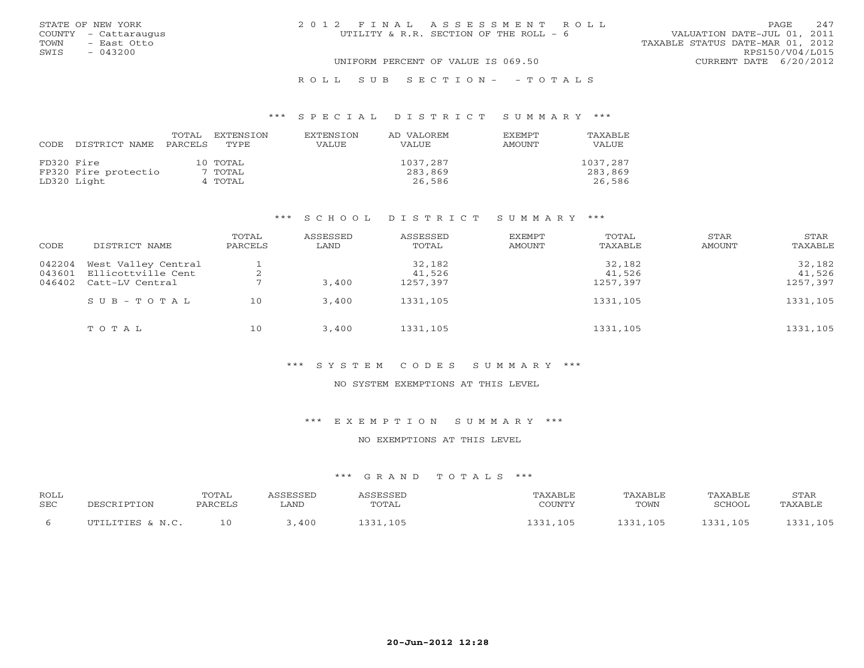|      | STATE OF NEW YORK    | 2012 FINAL ASSESSMENT ROLL             |                                  | <b>PAGE</b>     | 2.47 |
|------|----------------------|----------------------------------------|----------------------------------|-----------------|------|
|      | COUNTY - Cattaraugus | UTILITY & R.R. SECTION OF THE ROLL - 6 | VALUATION DATE-JUL 01, 2011      |                 |      |
| TOWN | - East Otto          |                                        | TAXABLE STATUS DATE-MAR 01, 2012 |                 |      |
| SWIS | $-043200$            |                                        |                                  | RPS150/V04/L015 |      |
|      |                      | UNIFORM PERCENT OF VALUE IS 069.50     | CURRENT DATE 6/20/2012           |                 |      |
|      |                      |                                        |                                  |                 |      |

#### R O L L S U B S E C T I O N - - T O T A L S

#### \*\*\* S P E C I A L D I S T R I C T S U M M A R Y \*\*\*

|            |                      | TOTAL   | EXTENSION | EXTENSION | AD VALOREM | EXEMPT | TAXABLE  |
|------------|----------------------|---------|-----------|-----------|------------|--------|----------|
| CODE       | DISTRICT NAME        | PARCELS | TYPE      | VALUE     | VALUE      | AMOUNT | VALUE    |
|            |                      |         |           |           |            |        |          |
| FD320 Fire |                      |         | 10 TOTAL  |           | 1037,287   |        | 1037,287 |
|            | FP320 Fire protectio |         | 7 TOTAL   |           | 283,869    |        | 283,869  |
|            | LD320 Light          |         | 4 TOTAL   |           | 26,586     |        | 26,586   |

#### \*\*\* S C H O O L D I S T R I C T S U M M A R Y \*\*\*

| CODE             | DISTRICT NAME                             | TOTAL<br>PARCELS | ASSESSED<br>LAND | ASSESSED<br>TOTAL | <b>EXEMPT</b><br><b>AMOUNT</b> | TOTAL<br>TAXABLE | STAR<br>AMOUNT | STAR<br>TAXABLE  |
|------------------|-------------------------------------------|------------------|------------------|-------------------|--------------------------------|------------------|----------------|------------------|
| 042204<br>043601 | West Valley Central<br>Ellicottville Cent |                  |                  | 32,182<br>41,526  |                                | 32,182<br>41,526 |                | 32,182<br>41,526 |
| 046402           | Catt-LV Central                           |                  | 3,400            | 1257,397          |                                | 1257,397         |                | 1257,397         |
|                  | $SUB - TO T AL$                           | 10               | 3,400            | 1331,105          |                                | 1331,105         |                | 1331,105         |
|                  | TOTAL                                     | 10               | 3,400            | 1331,105          |                                | 1331,105         |                | 1331,105         |

## \*\*\* S Y S T E M C O D E S S U M M A R Y \*\*\*

#### NO SYSTEM EXEMPTIONS AT THIS LEVEL

\*\*\* E X E M P T I O N S U M M A R Y \*\*\*

#### NO EXEMPTIONS AT THIS LEVEL

| <b>ROLL</b><br>SEC | DESCRIPTION        | <b>TOTAL</b><br>PARCELS | SSESSED<br>LAND | ASSESSED<br>TOTAL | 'AXABLE<br>COUNTY | TAXABLE<br>TOWN | TAXABLE<br>SCHOOL | STAR<br>TAXABLE |
|--------------------|--------------------|-------------------------|-----------------|-------------------|-------------------|-----------------|-------------------|-----------------|
|                    | ILTITITITIES & N C |                         | 400             | 1221<br>.105      | 1 2 2 1<br>105    | 105             | ີ 2 2 1<br>105    | ,105            |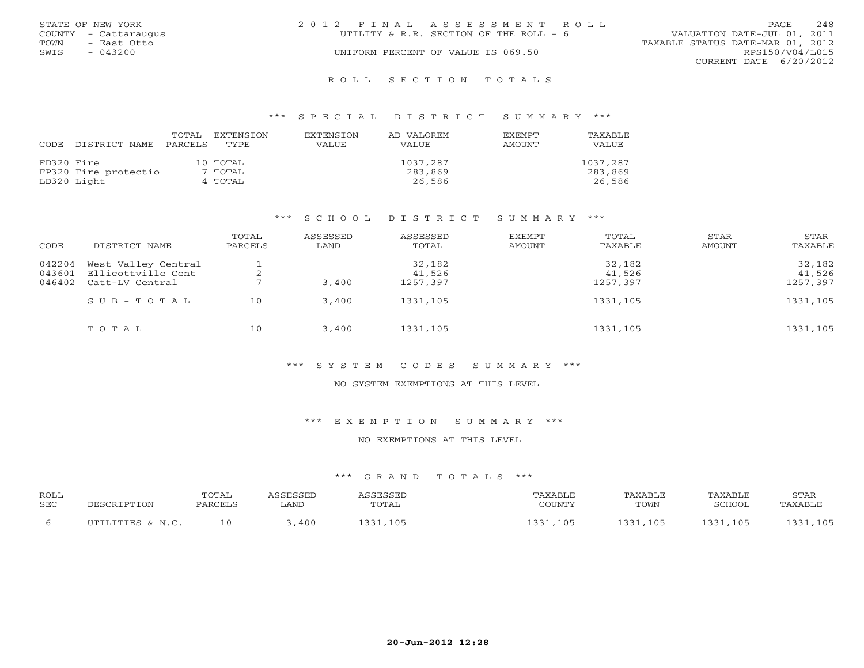|      | STATE OF NEW YORK    | 2012 FINAL ASSESSMENT ROLL                                            | <b>PAGE</b>     | 248 |
|------|----------------------|-----------------------------------------------------------------------|-----------------|-----|
|      | COUNTY - Cattaraugus | VALUATION DATE-JUL 01, 2011<br>UTILITY & R.R. SECTION OF THE ROLL - 6 |                 |     |
| TOWN | - East Otto          | TAXABLE STATUS DATE-MAR 01, 2012                                      |                 |     |
| SWIS | $-043200$            | UNIFORM PERCENT OF VALUE IS 069.50                                    | RPS150/V04/L015 |     |
|      |                      | CURRENT DATE 6/20/2012                                                |                 |     |
|      |                      |                                                                       |                 |     |

#### R O L L S E C T I O N T O T A L S

#### \*\*\* S P E C I A L D I S T R I C T S U M M A R Y \*\*\*

| CODE       | DISTRICT NAME        | TOTAL<br>PARCELS | EXTENSION<br>TYPE | <b>EXTENSION</b><br><b>VALUE</b> | AD VALOREM<br><b>VALUE</b> | EXEMPT<br>AMOUNT | TAXABLE<br>VALUE |
|------------|----------------------|------------------|-------------------|----------------------------------|----------------------------|------------------|------------------|
| FD320 Fire |                      |                  | 10 TOTAL          |                                  | 1037,287                   |                  | 1037,287         |
|            | FP320 Fire protectio |                  | 7 TOTAL           |                                  | 283,869                    |                  | 283,869          |
|            | LD320 Light          |                  | 4 TOTAL           |                                  | 26,586                     |                  | 26,586           |

#### \*\*\* S C H O O L D I S T R I C T S U M M A R Y \*\*\*

| CODE             | DISTRICT NAME                             | TOTAL<br>PARCELS | ASSESSED<br>LAND | ASSESSED<br>TOTAL | <b>EXEMPT</b><br>AMOUNT | TOTAL<br>TAXABLE | STAR<br>AMOUNT | STAR<br>TAXABLE  |
|------------------|-------------------------------------------|------------------|------------------|-------------------|-------------------------|------------------|----------------|------------------|
| 042204<br>043601 | West Valley Central<br>Ellicottville Cent |                  |                  | 32,182<br>41,526  |                         | 32,182<br>41,526 |                | 32,182<br>41,526 |
| 046402           | Catt-LV Central                           |                  | 3,400            | 1257,397          |                         | 1257,397         |                | 1257,397         |
|                  | $S$ U B - T O T A L                       | 10               | 3,400            | 1331,105          |                         | 1331,105         |                | 1331,105         |
|                  | TOTAL                                     | 10               | 3,400            | 1331,105          |                         | 1331,105         |                | 1331,105         |

## \*\*\* S Y S T E M C O D E S S U M M A R Y \*\*\*

#### NO SYSTEM EXEMPTIONS AT THIS LEVEL

\*\*\* E X E M P T I O N S U M M A R Y \*\*\*

#### NO EXEMPTIONS AT THIS LEVEL

| <b>ROLL</b><br>SEC | DESCRIPTION        | <b>TOTAL</b><br>PARCELS | SSESSED<br>LAND | ASSESSED<br>TOTAL | 'AXABLE<br>COUNTY | TAXABLE<br>TOWN | TAXABLE<br>SCHOOL | STAR<br>TAXABLE |
|--------------------|--------------------|-------------------------|-----------------|-------------------|-------------------|-----------------|-------------------|-----------------|
|                    | ILTITITITIES & N C |                         | 400             | 1221<br>.105      | 1 2 2 1<br>105    | 105             | ີ 2 2 1<br>105    | ,105            |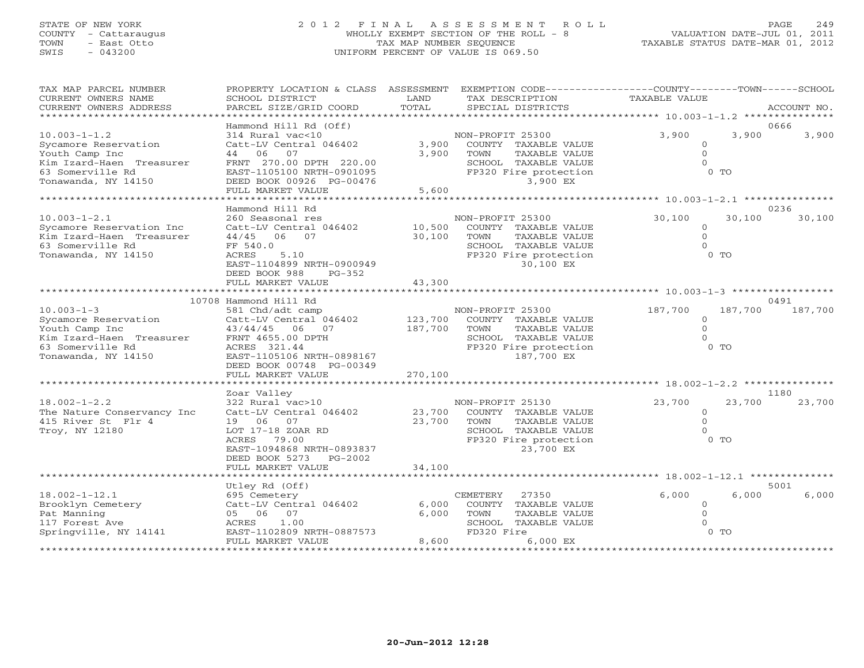# STATE OF NEW YORK 2 0 1 2 F I N A L A S S E S S M E N T R O L L PAGE 249 COUNTY - Cattaraugus WHOLLY EXEMPT SECTION OF THE ROLL - 8 VALUATION DATE-JUL 01, 2011 TOWN - East Otto TAX MAP NUMBER SEQUENCE TAXABLE STATUS DATE-MAR 01, 2012 SWIS - 043200 UNIFORM PERCENT OF VALUE IS 069.50

| TAX MAP PARCEL NUMBER<br>CURRENT OWNERS NAME<br>CURRENT OWNERS ADDRESS                                                              | PROPERTY LOCATION & CLASS ASSESSMENT<br>SCHOOL DISTRICT<br>PARCEL SIZE/GRID COORD                                                                                                              | LAND<br>TOTAL              | EXEMPTION CODE-----------------COUNTY-------TOWN------SCHOOL<br>TAX DESCRIPTION<br>SPECIAL DISTRICTS                             | <b>TAXABLE VALUE</b>                                          | ACCOUNT NO.              |
|-------------------------------------------------------------------------------------------------------------------------------------|------------------------------------------------------------------------------------------------------------------------------------------------------------------------------------------------|----------------------------|----------------------------------------------------------------------------------------------------------------------------------|---------------------------------------------------------------|--------------------------|
| ******************************                                                                                                      |                                                                                                                                                                                                |                            |                                                                                                                                  |                                                               |                          |
| $10.003 - 1 - 1.2$<br>Sycamore Reservation<br>Youth Camp Inc<br>Kim Izard-Haen Treasurer<br>63 Somerville Rd<br>Tonawanda, NY 14150 | Hammond Hill Rd (Off)<br>314 Rural vac<10<br>Catt-LV Central 046402<br>44 06<br>07<br>FRNT 270.00 DPTH 220.00<br>EAST-1105100 NRTH-0901095<br>DEED BOOK 00926 PG-00476<br>FULL MARKET VALUE    | 3,900<br>3,900<br>5,600    | NON-PROFIT 25300<br>COUNTY TAXABLE VALUE<br>TAXABLE VALUE<br>TOWN<br>SCHOOL TAXABLE VALUE<br>FP320 Fire protection<br>3,900 EX   | 3,900<br>$\Omega$<br>$\Omega$<br>$\Omega$<br>0 <sub>0</sub>   | 0666<br>3,900<br>3,900   |
|                                                                                                                                     | * * * * * * * * * * * * * * * * * *                                                                                                                                                            |                            |                                                                                                                                  | ****************** 10.003-1-2.1 ********                      |                          |
| $10.003 - 1 - 2.1$<br>Sycamore Reservation Inc<br>Kim Izard-Haen Treasurer<br>63 Somerville Rd<br>Tonawanda, NY 14150               | Hammond Hill Rd<br>260 Seasonal res<br>Catt-LV Central 046402<br>44/45<br>06<br>07<br>FF 540.0<br>5.10<br>ACRES<br>EAST-1104899 NRTH-0900949<br>DEED BOOK 988<br>$PG-352$<br>FULL MARKET VALUE | 10,500<br>30,100<br>43,300 | NON-PROFIT 25300<br>COUNTY TAXABLE VALUE<br>TOWN<br>TAXABLE VALUE<br>SCHOOL TAXABLE VALUE<br>FP320 Fire protection<br>30,100 EX  | 30,100<br>$\Omega$<br>$\Omega$<br>$\Omega$<br>$0$ TO          | 0236<br>30,100<br>30,100 |
|                                                                                                                                     |                                                                                                                                                                                                |                            |                                                                                                                                  |                                                               |                          |
|                                                                                                                                     | 10708 Hammond Hill Rd                                                                                                                                                                          |                            |                                                                                                                                  |                                                               | 0491                     |
| $10.003 - 1 - 3$<br>Sycamore Reservation<br>Youth Camp Inc<br>Kim Izard-Haen Treasurer<br>63 Somerville Rd<br>Tonawanda, NY 14150   | 581 Chd/adt camp<br>Catt-LV Central 046402<br>43/44/45<br>06<br>07<br>FRNT 4655.00 DPTH<br>ACRES 321.44<br>EAST-1105106 NRTH-0898167<br>DEED BOOK 00748 PG-00349                               | 123,700<br>187,700         | NON-PROFIT 25300<br>COUNTY TAXABLE VALUE<br>TOWN<br>TAXABLE VALUE<br>SCHOOL TAXABLE VALUE<br>FP320 Fire protection<br>187,700 EX | 187,700<br>$\Omega$<br>$\Omega$<br>$\Omega$<br>0 <sub>0</sub> | 187,700<br>187,700       |
|                                                                                                                                     | FULL MARKET VALUE                                                                                                                                                                              | 270,100                    | ******************************* 18.002-1-2.2                                                                                     |                                                               |                          |
|                                                                                                                                     | Zoar Valley                                                                                                                                                                                    |                            |                                                                                                                                  |                                                               | 1180                     |
| $18.002 - 1 - 2.2$<br>The Nature Conservancy Inc<br>415 River St Flr 4<br>Troy, NY 12180                                            | 322 Rural vac>10<br>Catt-LV Central 046402<br>19 06 07<br>LOT 17-18 ZOAR RD<br>79.00<br>ACRES<br>EAST-1094868 NRTH-0893837<br>DEED BOOK 5273<br>$PG-2002$                                      | 23,700<br>23,700           | NON-PROFIT 25130<br>COUNTY TAXABLE VALUE<br>TOWN<br>TAXABLE VALUE<br>SCHOOL TAXABLE VALUE<br>FP320 Fire protection<br>23,700 EX  | 23,700<br>$\Omega$<br>$\Omega$<br>$\Omega$<br>$0$ TO          | 23,700<br>23,700         |
|                                                                                                                                     | FULL MARKET VALUE                                                                                                                                                                              | 34,100                     |                                                                                                                                  |                                                               |                          |
|                                                                                                                                     | *******************<br>Utley Rd (Off)                                                                                                                                                          |                            |                                                                                                                                  |                                                               | 5001                     |
| $18.002 - 1 - 12.1$<br>Brooklyn Cemetery<br>Pat Manning<br>117 Forest Ave<br>Springville, NY 14141                                  | 695 Cemetery<br>Catt-LV Central 046402<br>05 06 07<br>1.00<br>ACRES<br>EAST-1102809 NRTH-0887573<br>FULL MARKET VALUE                                                                          | 6,000<br>6,000<br>8,600    | CEMETERY<br>27350<br>COUNTY<br>TAXABLE VALUE<br>TOWN<br>TAXABLE VALUE<br>SCHOOL TAXABLE VALUE<br>FD320 Fire<br>6,000 EX          | 6,000<br>$\mathbf{0}$<br>$\Omega$<br>$\cap$<br>$0$ TO         | 6,000<br>6,000           |
|                                                                                                                                     | ************************                                                                                                                                                                       |                            |                                                                                                                                  |                                                               |                          |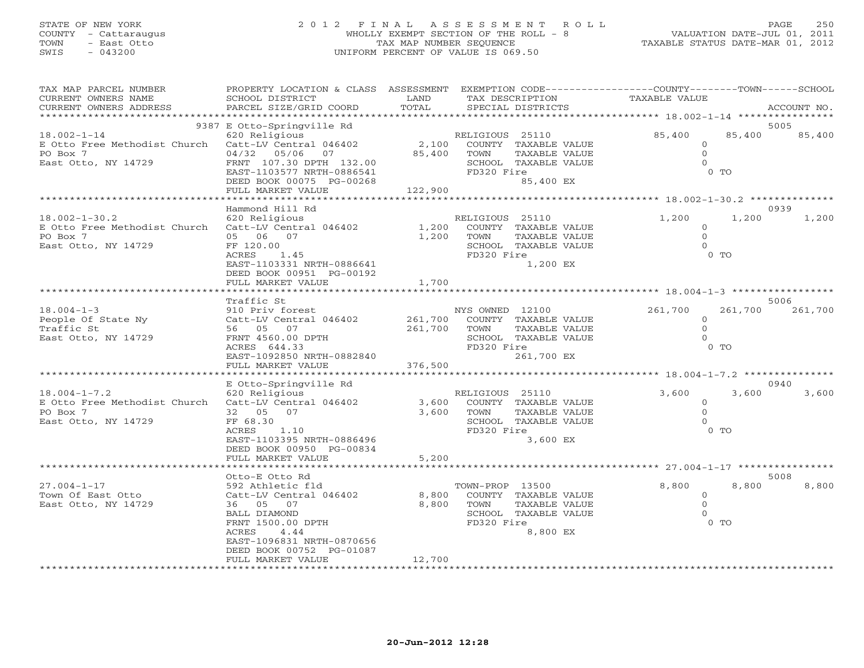# STATE OF NEW YORK 2 0 1 2 F I N A L A S S E S S M E N T R O L L PAGE 250 COUNTY - Cattaraugus WHOLLY EXEMPT SECTION OF THE ROLL - 8 VALUATION DATE-JUL 01, 2011 TOWN - East Otto TAX MAP NUMBER SEQUENCE TAXABLE STATUS DATE-MAR 01, 2012 SWIS - 043200 UNIFORM PERCENT OF VALUE IS 069.50

| TAX MAP PARCEL NUMBER<br>CURRENT OWNERS NAME<br>CURRENT OWNERS ADDRESS                                        | PROPERTY LOCATION & CLASS ASSESSMENT<br>SCHOOL DISTRICT<br>PARCEL SIZE/GRID COORD                                                                                                                                 | LAND<br>TOTAL            | EXEMPTION CODE-----------------COUNTY-------TOWN------SCHOOL<br>TAX DESCRIPTION<br>SPECIAL DISTRICTS                      | <b>TAXABLE VALUE</b>                            |                   | ACCOUNT NO.     |
|---------------------------------------------------------------------------------------------------------------|-------------------------------------------------------------------------------------------------------------------------------------------------------------------------------------------------------------------|--------------------------|---------------------------------------------------------------------------------------------------------------------------|-------------------------------------------------|-------------------|-----------------|
|                                                                                                               | 9387 E Otto-Springville Rd                                                                                                                                                                                        |                          |                                                                                                                           |                                                 |                   | 5005            |
| $18.002 - 1 - 14$<br>E Otto Free Methodist Church Catt-LV Central 046402<br>PO Box 7<br>East Otto, NY 14729   | 620 Religious<br>04/32 05/06 07<br>FRNT 107.30 DPTH 132.00<br>EAST-1103577 NRTH-0886541<br>DEED BOOK 00075 PG-00268<br>FULL MARKET VALUE                                                                          | 85,400<br>122,900        | RELIGIOUS 25110<br>2,100 COUNTY TAXABLE VALUE<br>TOWN<br>TAXABLE VALUE<br>SCHOOL TAXABLE VALUE<br>FD320 Fire<br>85,400 EX | 85,400<br>$\circ$<br>$\overline{0}$<br>$\Omega$ | 85,400<br>$0$ TO  | 85,400          |
|                                                                                                               | Hammond Hill Rd                                                                                                                                                                                                   |                          |                                                                                                                           |                                                 |                   | 0939            |
| $18.002 - 1 - 30.2$<br>E Otto Free Methodist Church Catt-LV Central 046402<br>PO Box 7<br>East Otto, NY 14729 | 620 Religious<br>05 06 07<br>FF 120.00<br>ACRES<br>1.45<br>EAST-1103331 NRTH-0886641<br>DEED BOOK 00951 PG-00192                                                                                                  | 1,200<br>1,200 TOWN      | RELIGIOUS 25110<br>COUNTY TAXABLE VALUE<br>TAXABLE VALUE<br>SCHOOL TAXABLE VALUE<br>FD320 Fire<br>1,200 EX                | 1,200<br>$\circ$<br>$\circ$<br>$\Omega$         | 1,200<br>$0$ TO   | 1,200           |
|                                                                                                               | FULL MARKET VALUE                                                                                                                                                                                                 | 1,700                    |                                                                                                                           |                                                 |                   |                 |
| $18.004 - 1 - 3$<br>People Of State Ny<br>Traffic St<br>East Otto, NY 14729                                   | Traffic St<br>910 Priv forest<br>Catt-LV Central 046402 261,700 COUNTY TAXABLE VALUE<br>56 05 07<br>FRNT 4560.00 DPTH<br>ACRES 644.33<br>EAST-1092850 NRTH-0882840<br>FULL MARKET VALUE<br>********************** | 376,500                  | NYS OWNED 12100<br>261,700 TOWN<br>TAXABLE VALUE<br>SCHOOL TAXABLE VALUE<br>FD320 Fire<br>261,700 EX                      | 261,700<br>$\circ$<br>$\Omega$<br>$\Omega$      | 261,700<br>$0$ TO | 5006<br>261,700 |
|                                                                                                               | E Otto-Springville Rd                                                                                                                                                                                             |                          |                                                                                                                           |                                                 |                   | 0940            |
| $18.004 - 1 - 7.2$<br>E Otto Free Methodist Church Catt-LV Central 046402<br>PO Box 7<br>East Otto, NY 14729  | 620 Religious<br>32 05 07<br>FF 68.30<br>ACRES 1.10<br>EAST-1103395 NRTH-0886496<br>DEED BOOK 00950 PG-00834<br>FULL MARKET VALUE                                                                                 | 3,600<br>5,200           | RELIGIOUS 25110<br>COUNTY TAXABLE VALUE<br>3,600 TOWN<br>TAXABLE VALUE<br>SCHOOL TAXABLE VALUE<br>FD320 Fire<br>3,600 EX  | 3,600<br>$\circ$<br>$\Omega$<br>$\Omega$        | 3,600<br>$0$ TO   | 3,600           |
|                                                                                                               | Otto-E Otto Rd                                                                                                                                                                                                    |                          |                                                                                                                           |                                                 |                   | 5008            |
| $27.004 - 1 - 17$<br>Town Of East Otto<br>East Otto, NY 14729                                                 | 592 Athletic fld<br>Catt-LV Central 046402<br>36 05 07<br>BALL DIAMOND<br>FRNT 1500.00 DPTH<br>4.44<br>ACRES<br>EAST-1096831 NRTH-0870656<br>DEED BOOK 00752 PG-01087<br>FULL MARKET VALUE                        | 8,800<br>8,800<br>12,700 | TOWN-PROP 13500<br>COUNTY TAXABLE VALUE<br>TOWN<br>TAXABLE VALUE<br>SCHOOL TAXABLE VALUE<br>FD320 Fire<br>8,800 EX        | 8,800<br>$\circ$<br>$\Omega$<br>$\Omega$        | 8,800<br>$0$ TO   | 8,800           |
|                                                                                                               |                                                                                                                                                                                                                   |                          |                                                                                                                           |                                                 |                   |                 |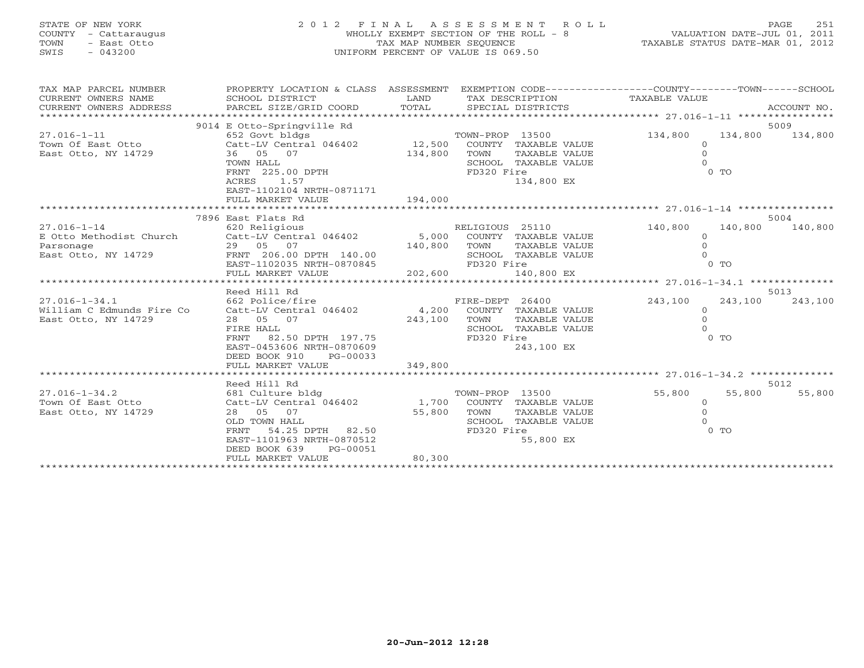| STATE OF NEW YORK |  |           |               |  |
|-------------------|--|-----------|---------------|--|
| COUNTY            |  |           | - Cattaraugus |  |
| rown              |  |           | - East Otto   |  |
| 2 TMT             |  | $-043200$ |               |  |

# STATE OF NEW YORK 2 0 1 2 F I N A L A S S E S S M E N T R O L L PAGE 251 COUNTY - Cattaraugus WHOLLY EXEMPT SECTION OF THE ROLL - 8 VALUATION DATE-JUL 01, 2011 TOWN - East Otto TAX MAP NUMBER SEQUENCE TAXABLE STATUS DATE-MAR 01, 2012 SWIS - 043200 UNIFORM PERCENT OF VALUE IS 069.50

| TAX MAP PARCEL NUMBER     | PROPERTY LOCATION & CLASS ASSESSMENT EXEMPTION CODE----------------COUNTY-------TOWN------SCHOOL                                                                                                                                                                                                                                                                                                                                                                                                                       |         |                            |                      |         |
|---------------------------|------------------------------------------------------------------------------------------------------------------------------------------------------------------------------------------------------------------------------------------------------------------------------------------------------------------------------------------------------------------------------------------------------------------------------------------------------------------------------------------------------------------------|---------|----------------------------|----------------------|---------|
| CURRENT OWNERS NAME       | SCHOOL DISTRICT                                                                                                                                                                                                                                                                                                                                                                                                                                                                                                        | LAND    | TAX DESCRIPTION            | TAXABLE VALUE        |         |
| CURRENT OWNERS ADDRESS    | $\begin{minipage}{.45\textwidth} \begin{minipage}{.45\textwidth} \begin{minipage}{.45\textwidth} \begin{minipage}{.45\textwidth} \begin{minipage}{.45\textwidth} \begin{minipage}{.45\textwidth} \begin{minipage}{.45\textwidth} \begin{minipage}{.45\textwidth} \begin{minipage}{.45\textwidth} \begin{minipage}{.45\textwidth} \begin{minipage}{.45\textwidth} \begin{minipage}{.45\textwidth} \begin{minipage}{.45\textwidth} \begin{minipage}{.45\textwidth} \begin{minipage}{.45\textwidth} \begin{minipage}{.45$ | TOTAL   |                            |                      |         |
|                           |                                                                                                                                                                                                                                                                                                                                                                                                                                                                                                                        |         |                            |                      |         |
|                           | 9014 E Otto-Springville Rd                                                                                                                                                                                                                                                                                                                                                                                                                                                                                             |         |                            |                      | 5009    |
| $27.016 - 1 - 11$         | 652 Govt bldgs                                                                                                                                                                                                                                                                                                                                                                                                                                                                                                         |         | TOWN-PROP 13500            | 134,800<br>134,800   | 134,800 |
|                           | Town Of East Otto Catt-LV Central 046402 12,500                                                                                                                                                                                                                                                                                                                                                                                                                                                                        |         | COUNTY TAXABLE VALUE       | $\Omega$             |         |
| East Otto, NY 14729       | 36 05 07                                                                                                                                                                                                                                                                                                                                                                                                                                                                                                               | 134,800 | TOWN<br>TAXABLE VALUE      | $\circ$              |         |
|                           | TOWN HALL                                                                                                                                                                                                                                                                                                                                                                                                                                                                                                              |         | SCHOOL TAXABLE VALUE       | $\Omega$             |         |
|                           | FRNT 225.00 DPTH                                                                                                                                                                                                                                                                                                                                                                                                                                                                                                       |         | FD320 Fire                 | $0$ TO               |         |
|                           | ACRES 1.57                                                                                                                                                                                                                                                                                                                                                                                                                                                                                                             |         | 134,800 EX                 |                      |         |
|                           | EAST-1102104 NRTH-0871171                                                                                                                                                                                                                                                                                                                                                                                                                                                                                              |         |                            |                      |         |
|                           | FULL MARKET VALUE                                                                                                                                                                                                                                                                                                                                                                                                                                                                                                      | 194,000 |                            |                      |         |
|                           |                                                                                                                                                                                                                                                                                                                                                                                                                                                                                                                        |         |                            |                      |         |
|                           | 7896 East Flats Rd                                                                                                                                                                                                                                                                                                                                                                                                                                                                                                     |         |                            |                      | 5004    |
| $27.016 - 1 - 14$         | 620 Religious                                                                                                                                                                                                                                                                                                                                                                                                                                                                                                          |         | RELIGIOUS 25110            | 140,800<br>140,800   | 140,800 |
|                           | E Otto Methodist Church Catt-LV Central 046402 5,000 COUNTY TAXABLE VALUE                                                                                                                                                                                                                                                                                                                                                                                                                                              |         |                            | $\Omega$             |         |
| Parsonage                 |                                                                                                                                                                                                                                                                                                                                                                                                                                                                                                                        |         | TOWN<br>TAXABLE VALUE      | $\Omega$<br>$\Omega$ |         |
| East Otto, NY 14729       |                                                                                                                                                                                                                                                                                                                                                                                                                                                                                                                        |         | SCHOOL TAXABLE VALUE       |                      |         |
|                           |                                                                                                                                                                                                                                                                                                                                                                                                                                                                                                                        |         | FD320 Fire                 | 0 <sub>0</sub>       |         |
|                           |                                                                                                                                                                                                                                                                                                                                                                                                                                                                                                                        |         |                            |                      |         |
|                           | Reed Hill Rd                                                                                                                                                                                                                                                                                                                                                                                                                                                                                                           |         |                            |                      | 5013    |
| $27.016 - 1 - 34.1$       | 662 Police/fire                                                                                                                                                                                                                                                                                                                                                                                                                                                                                                        |         | FIRE-DEPT 26400            | 243,100<br>243,100   | 243,100 |
| William C Edmunds Fire Co | Catt-LV Central 046402                                                                                                                                                                                                                                                                                                                                                                                                                                                                                                 |         | 4,200 COUNTY TAXABLE VALUE | $\circ$              |         |
| East Otto, NY 14729       | 28 05 07                                                                                                                                                                                                                                                                                                                                                                                                                                                                                                               | 243,100 | TOWN<br>TAXABLE VALUE      | $\Omega$             |         |
|                           | FIRE HALL                                                                                                                                                                                                                                                                                                                                                                                                                                                                                                              |         | SCHOOL TAXABLE VALUE       |                      |         |
|                           | 82.50 DPTH 197.75<br>FRNT                                                                                                                                                                                                                                                                                                                                                                                                                                                                                              |         | FD320 Fire                 | $0$ TO               |         |
|                           | EAST-0453606 NRTH-0870609                                                                                                                                                                                                                                                                                                                                                                                                                                                                                              |         | 243,100 EX                 |                      |         |
|                           | DEED BOOK 910<br>PG-00033                                                                                                                                                                                                                                                                                                                                                                                                                                                                                              |         |                            |                      |         |
|                           | FULL MARKET VALUE                                                                                                                                                                                                                                                                                                                                                                                                                                                                                                      | 349,800 |                            |                      |         |
|                           |                                                                                                                                                                                                                                                                                                                                                                                                                                                                                                                        |         |                            |                      |         |
|                           | Reed Hill Rd                                                                                                                                                                                                                                                                                                                                                                                                                                                                                                           |         |                            |                      | 5012    |
| $27.016 - 1 - 34.2$       | 681 Culture bldg                                                                                                                                                                                                                                                                                                                                                                                                                                                                                                       |         | TOWN-PROP 13500            | 55,800<br>55,800     | 55,800  |
| Town Of East Otto         | Catt-LV Central 046402                                                                                                                                                                                                                                                                                                                                                                                                                                                                                                 |         | 1,700 COUNTY TAXABLE VALUE | $\circ$              |         |
| East Otto, NY 14729       | 28 05 07                                                                                                                                                                                                                                                                                                                                                                                                                                                                                                               | 55,800  | TOWN<br>TAXABLE VALUE      | $\Omega$             |         |
|                           | OLD TOWN HALL                                                                                                                                                                                                                                                                                                                                                                                                                                                                                                          |         | SCHOOL TAXABLE VALUE       |                      |         |
|                           | FRNT<br>54.25 DPTH 82.50                                                                                                                                                                                                                                                                                                                                                                                                                                                                                               |         | FD320 Fire                 | $0$ TO               |         |
|                           | EAST-1101963 NRTH-0870512                                                                                                                                                                                                                                                                                                                                                                                                                                                                                              |         | 55,800 EX                  |                      |         |
|                           | DEED BOOK 639<br>PG-00051                                                                                                                                                                                                                                                                                                                                                                                                                                                                                              |         |                            |                      |         |
|                           | FULL MARKET VALUE                                                                                                                                                                                                                                                                                                                                                                                                                                                                                                      | 80,300  |                            |                      |         |
|                           |                                                                                                                                                                                                                                                                                                                                                                                                                                                                                                                        |         |                            |                      |         |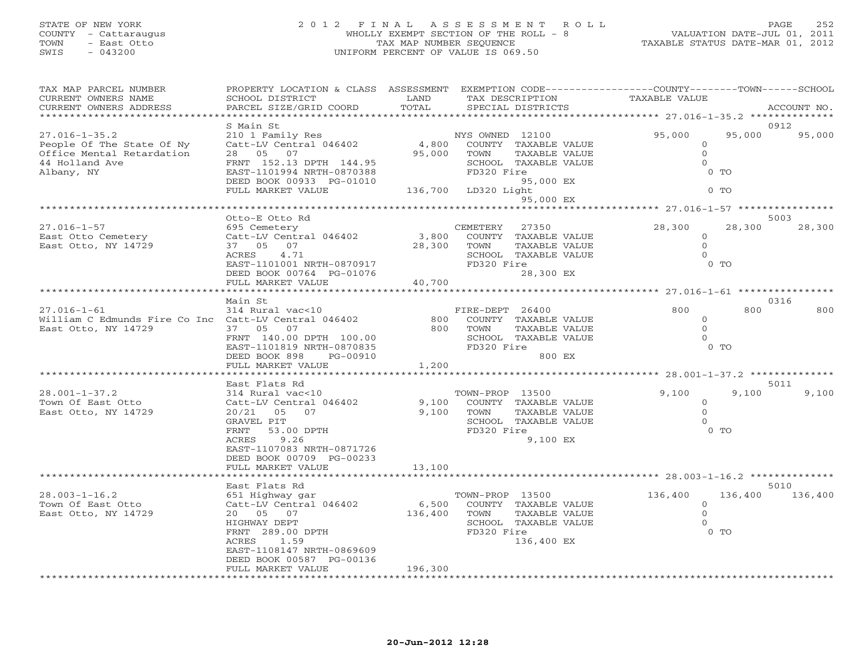# STATE OF NEW YORK 2 0 1 2 F I N A L A S S E S S M E N T R O L L PAGE 252 COUNTY - Cattaraugus WHOLLY EXEMPT SECTION OF THE ROLL - 8 VALUATION DATE-JUL 01, 2011 TOWN - East Otto TAX MAP NUMBER SEQUENCE TAXABLE STATUS DATE-MAR 01, 2012 SWIS - 043200 UNIFORM PERCENT OF VALUE IS 069.50

| CURRENT OWNERS NAME<br>SCHOOL DISTRICT<br>LAND<br>TAXABLE VALUE<br>TAX DESCRIPTION<br>TOTAL<br>CURRENT OWNERS ADDRESS<br>PARCEL SIZE/GRID COORD<br>SPECIAL DISTRICTS<br>ACCOUNT NO.<br>*******************************<br>**************** 27.016-1-35.2 ********<br>S Main St<br>0912<br>95,000<br>95,000<br>$27.016 - 1 - 35.2$<br>210 1 Family Res<br>NYS OWNED 12100<br>95,000<br>$_{4\,,\,800}^{\text{NN}}$<br>Catt-LV Central 046402<br>COUNTY TAXABLE VALUE<br>People Of The State Of Ny<br>$\Omega$<br>95,000 TOWN<br>Office Mental Retardation<br>28 05 07<br>TAXABLE VALUE<br>$\overline{0}$<br>FRNT 152.13 DPTH 144.95<br>$\Omega$<br>44 Holland Ave<br>SCHOOL TAXABLE VALUE<br>Albany, NY<br>EAST-1101994 NRTH-0870388<br>FD320 Fire<br>$0$ TO<br>DEED BOOK 00933 PG-01010 95,<br>FULL MARKET VALUE 136,700 LD320 Light<br>95,000 EX<br>$0$ TO<br>95,000 EX<br>$x**************************27.016-1-57$ *******************<br>5003<br>Otto-E Otto Rd<br>$27.016 - 1 - 57$<br>CEMETERY<br>28,300<br>28,300<br>28,300<br>695 Cemetery<br>27350<br>Catt-LV Central 046402 3,800 COUNTY TAXABLE VALUE<br>East Otto Cemetery<br>$\Omega$<br>28,300 TOWN<br>East Otto, NY 14729<br>37 05 07<br>TAXABLE VALUE<br>$\Omega$<br>ACRES 4.71<br>SCHOOL TAXABLE VALUE<br>$\cap$<br>FD320 Fire<br>$0$ TO<br>EAST-1101001 NRTH-0870917<br>40,700<br>28,300 EX<br>DEED BOOK 00764 PG-01076<br>FULL MARKET VALUE<br>********************* 27.016-1-61 *****************<br>******************<br>0316<br>Main St<br>$27.016 - 1 - 61$<br>800<br>800<br>800<br>314 Rural vac<10<br>FIRE-DEPT 26400<br>William C Edmunds Fire Co Inc Catt-LV Central 046402<br>800<br>COUNTY TAXABLE VALUE<br>$\Omega$<br>East Otto, NY 14729<br>$\Omega$<br>37 05 07<br>800 TOWN<br>TAXABLE VALUE<br>FRNT 140.00 DPTH 100.00<br>SCHOOL TAXABLE VALUE<br>$\Omega$<br>FD320 Fire<br>$0$ TO<br>EAST-1101819 NRTH-0870835<br>800 EX<br>DEED BOOK 898<br>PG-00910<br>FULL MARKET VALUE<br>1,200<br>**********************<br>East Flats Rd<br>5011<br>$28.001 - 1 - 37.2$<br>314 Rural vac<10<br>TOWN-PROP 13500<br>9,100<br>9,100<br>9,100<br>Catt-LV Central 046402<br>Town Of East Otto<br>9,100<br>COUNTY TAXABLE VALUE<br>$\Omega$<br>East Otto, NY 14729<br>9,100 TOWN<br>$\Omega$<br>20/21 05 07<br>TAXABLE VALUE<br>SCHOOL TAXABLE VALUE<br>GRAVEL PIT<br>$0$ TO<br>FRNT<br>53.00 DPTH<br>FD320 Fire<br>9,100 EX<br>9.26<br>ACRES<br>EAST-1107083 NRTH-0871726<br>DEED BOOK 00709 PG-00233<br>FULL MARKET VALUE<br>13,100<br>5010<br>East Flats Rd<br>$28.003 - 1 - 16.2$<br>136,400 136,400<br>651 Highway gar<br>136,400<br>TOWN-PROP 13500<br>Catt-LV Central 046402<br>Town Of East Otto<br>6,500 COUNTY TAXABLE VALUE<br>$\overline{0}$<br>136,400 TOWN<br>East Otto, NY 14729<br>$\Omega$<br>20 05 07<br>TAXABLE VALUE<br>SCHOOL TAXABLE VALUE<br>HIGHWAY DEPT<br>FRNT 289.00 DPTH<br>FD320 Fire<br>$0$ TO<br>ACRES<br>1.59<br>136,400 EX<br>EAST-1108147 NRTH-0869609<br>DEED BOOK 00587 PG-00136<br>FULL MARKET VALUE<br>196,300 | TAX MAP PARCEL NUMBER | PROPERTY LOCATION & CLASS ASSESSMENT | EXEMPTION CODE-----------------COUNTY-------TOWN------SCHOOL |  |
|------------------------------------------------------------------------------------------------------------------------------------------------------------------------------------------------------------------------------------------------------------------------------------------------------------------------------------------------------------------------------------------------------------------------------------------------------------------------------------------------------------------------------------------------------------------------------------------------------------------------------------------------------------------------------------------------------------------------------------------------------------------------------------------------------------------------------------------------------------------------------------------------------------------------------------------------------------------------------------------------------------------------------------------------------------------------------------------------------------------------------------------------------------------------------------------------------------------------------------------------------------------------------------------------------------------------------------------------------------------------------------------------------------------------------------------------------------------------------------------------------------------------------------------------------------------------------------------------------------------------------------------------------------------------------------------------------------------------------------------------------------------------------------------------------------------------------------------------------------------------------------------------------------------------------------------------------------------------------------------------------------------------------------------------------------------------------------------------------------------------------------------------------------------------------------------------------------------------------------------------------------------------------------------------------------------------------------------------------------------------------------------------------------------------------------------------------------------------------------------------------------------------------------------------------------------------------------------------------------------------------------------------------------------------------------------------------------------------------------------------------------------------------------------------------------------------------------------------------------------------------------------------------------------------------------------------------------------------------------------------------------------------|-----------------------|--------------------------------------|--------------------------------------------------------------|--|
|                                                                                                                                                                                                                                                                                                                                                                                                                                                                                                                                                                                                                                                                                                                                                                                                                                                                                                                                                                                                                                                                                                                                                                                                                                                                                                                                                                                                                                                                                                                                                                                                                                                                                                                                                                                                                                                                                                                                                                                                                                                                                                                                                                                                                                                                                                                                                                                                                                                                                                                                                                                                                                                                                                                                                                                                                                                                                                                                                                                                                        |                       |                                      |                                                              |  |
|                                                                                                                                                                                                                                                                                                                                                                                                                                                                                                                                                                                                                                                                                                                                                                                                                                                                                                                                                                                                                                                                                                                                                                                                                                                                                                                                                                                                                                                                                                                                                                                                                                                                                                                                                                                                                                                                                                                                                                                                                                                                                                                                                                                                                                                                                                                                                                                                                                                                                                                                                                                                                                                                                                                                                                                                                                                                                                                                                                                                                        |                       |                                      |                                                              |  |
|                                                                                                                                                                                                                                                                                                                                                                                                                                                                                                                                                                                                                                                                                                                                                                                                                                                                                                                                                                                                                                                                                                                                                                                                                                                                                                                                                                                                                                                                                                                                                                                                                                                                                                                                                                                                                                                                                                                                                                                                                                                                                                                                                                                                                                                                                                                                                                                                                                                                                                                                                                                                                                                                                                                                                                                                                                                                                                                                                                                                                        |                       |                                      |                                                              |  |
|                                                                                                                                                                                                                                                                                                                                                                                                                                                                                                                                                                                                                                                                                                                                                                                                                                                                                                                                                                                                                                                                                                                                                                                                                                                                                                                                                                                                                                                                                                                                                                                                                                                                                                                                                                                                                                                                                                                                                                                                                                                                                                                                                                                                                                                                                                                                                                                                                                                                                                                                                                                                                                                                                                                                                                                                                                                                                                                                                                                                                        |                       |                                      |                                                              |  |
|                                                                                                                                                                                                                                                                                                                                                                                                                                                                                                                                                                                                                                                                                                                                                                                                                                                                                                                                                                                                                                                                                                                                                                                                                                                                                                                                                                                                                                                                                                                                                                                                                                                                                                                                                                                                                                                                                                                                                                                                                                                                                                                                                                                                                                                                                                                                                                                                                                                                                                                                                                                                                                                                                                                                                                                                                                                                                                                                                                                                                        |                       |                                      |                                                              |  |
|                                                                                                                                                                                                                                                                                                                                                                                                                                                                                                                                                                                                                                                                                                                                                                                                                                                                                                                                                                                                                                                                                                                                                                                                                                                                                                                                                                                                                                                                                                                                                                                                                                                                                                                                                                                                                                                                                                                                                                                                                                                                                                                                                                                                                                                                                                                                                                                                                                                                                                                                                                                                                                                                                                                                                                                                                                                                                                                                                                                                                        |                       |                                      |                                                              |  |
|                                                                                                                                                                                                                                                                                                                                                                                                                                                                                                                                                                                                                                                                                                                                                                                                                                                                                                                                                                                                                                                                                                                                                                                                                                                                                                                                                                                                                                                                                                                                                                                                                                                                                                                                                                                                                                                                                                                                                                                                                                                                                                                                                                                                                                                                                                                                                                                                                                                                                                                                                                                                                                                                                                                                                                                                                                                                                                                                                                                                                        |                       |                                      |                                                              |  |
|                                                                                                                                                                                                                                                                                                                                                                                                                                                                                                                                                                                                                                                                                                                                                                                                                                                                                                                                                                                                                                                                                                                                                                                                                                                                                                                                                                                                                                                                                                                                                                                                                                                                                                                                                                                                                                                                                                                                                                                                                                                                                                                                                                                                                                                                                                                                                                                                                                                                                                                                                                                                                                                                                                                                                                                                                                                                                                                                                                                                                        |                       |                                      |                                                              |  |
|                                                                                                                                                                                                                                                                                                                                                                                                                                                                                                                                                                                                                                                                                                                                                                                                                                                                                                                                                                                                                                                                                                                                                                                                                                                                                                                                                                                                                                                                                                                                                                                                                                                                                                                                                                                                                                                                                                                                                                                                                                                                                                                                                                                                                                                                                                                                                                                                                                                                                                                                                                                                                                                                                                                                                                                                                                                                                                                                                                                                                        |                       |                                      |                                                              |  |
|                                                                                                                                                                                                                                                                                                                                                                                                                                                                                                                                                                                                                                                                                                                                                                                                                                                                                                                                                                                                                                                                                                                                                                                                                                                                                                                                                                                                                                                                                                                                                                                                                                                                                                                                                                                                                                                                                                                                                                                                                                                                                                                                                                                                                                                                                                                                                                                                                                                                                                                                                                                                                                                                                                                                                                                                                                                                                                                                                                                                                        |                       |                                      |                                                              |  |
|                                                                                                                                                                                                                                                                                                                                                                                                                                                                                                                                                                                                                                                                                                                                                                                                                                                                                                                                                                                                                                                                                                                                                                                                                                                                                                                                                                                                                                                                                                                                                                                                                                                                                                                                                                                                                                                                                                                                                                                                                                                                                                                                                                                                                                                                                                                                                                                                                                                                                                                                                                                                                                                                                                                                                                                                                                                                                                                                                                                                                        |                       |                                      |                                                              |  |
|                                                                                                                                                                                                                                                                                                                                                                                                                                                                                                                                                                                                                                                                                                                                                                                                                                                                                                                                                                                                                                                                                                                                                                                                                                                                                                                                                                                                                                                                                                                                                                                                                                                                                                                                                                                                                                                                                                                                                                                                                                                                                                                                                                                                                                                                                                                                                                                                                                                                                                                                                                                                                                                                                                                                                                                                                                                                                                                                                                                                                        |                       |                                      |                                                              |  |
|                                                                                                                                                                                                                                                                                                                                                                                                                                                                                                                                                                                                                                                                                                                                                                                                                                                                                                                                                                                                                                                                                                                                                                                                                                                                                                                                                                                                                                                                                                                                                                                                                                                                                                                                                                                                                                                                                                                                                                                                                                                                                                                                                                                                                                                                                                                                                                                                                                                                                                                                                                                                                                                                                                                                                                                                                                                                                                                                                                                                                        |                       |                                      |                                                              |  |
|                                                                                                                                                                                                                                                                                                                                                                                                                                                                                                                                                                                                                                                                                                                                                                                                                                                                                                                                                                                                                                                                                                                                                                                                                                                                                                                                                                                                                                                                                                                                                                                                                                                                                                                                                                                                                                                                                                                                                                                                                                                                                                                                                                                                                                                                                                                                                                                                                                                                                                                                                                                                                                                                                                                                                                                                                                                                                                                                                                                                                        |                       |                                      |                                                              |  |
|                                                                                                                                                                                                                                                                                                                                                                                                                                                                                                                                                                                                                                                                                                                                                                                                                                                                                                                                                                                                                                                                                                                                                                                                                                                                                                                                                                                                                                                                                                                                                                                                                                                                                                                                                                                                                                                                                                                                                                                                                                                                                                                                                                                                                                                                                                                                                                                                                                                                                                                                                                                                                                                                                                                                                                                                                                                                                                                                                                                                                        |                       |                                      |                                                              |  |
|                                                                                                                                                                                                                                                                                                                                                                                                                                                                                                                                                                                                                                                                                                                                                                                                                                                                                                                                                                                                                                                                                                                                                                                                                                                                                                                                                                                                                                                                                                                                                                                                                                                                                                                                                                                                                                                                                                                                                                                                                                                                                                                                                                                                                                                                                                                                                                                                                                                                                                                                                                                                                                                                                                                                                                                                                                                                                                                                                                                                                        |                       |                                      |                                                              |  |
|                                                                                                                                                                                                                                                                                                                                                                                                                                                                                                                                                                                                                                                                                                                                                                                                                                                                                                                                                                                                                                                                                                                                                                                                                                                                                                                                                                                                                                                                                                                                                                                                                                                                                                                                                                                                                                                                                                                                                                                                                                                                                                                                                                                                                                                                                                                                                                                                                                                                                                                                                                                                                                                                                                                                                                                                                                                                                                                                                                                                                        |                       |                                      |                                                              |  |
|                                                                                                                                                                                                                                                                                                                                                                                                                                                                                                                                                                                                                                                                                                                                                                                                                                                                                                                                                                                                                                                                                                                                                                                                                                                                                                                                                                                                                                                                                                                                                                                                                                                                                                                                                                                                                                                                                                                                                                                                                                                                                                                                                                                                                                                                                                                                                                                                                                                                                                                                                                                                                                                                                                                                                                                                                                                                                                                                                                                                                        |                       |                                      |                                                              |  |
|                                                                                                                                                                                                                                                                                                                                                                                                                                                                                                                                                                                                                                                                                                                                                                                                                                                                                                                                                                                                                                                                                                                                                                                                                                                                                                                                                                                                                                                                                                                                                                                                                                                                                                                                                                                                                                                                                                                                                                                                                                                                                                                                                                                                                                                                                                                                                                                                                                                                                                                                                                                                                                                                                                                                                                                                                                                                                                                                                                                                                        |                       |                                      |                                                              |  |
|                                                                                                                                                                                                                                                                                                                                                                                                                                                                                                                                                                                                                                                                                                                                                                                                                                                                                                                                                                                                                                                                                                                                                                                                                                                                                                                                                                                                                                                                                                                                                                                                                                                                                                                                                                                                                                                                                                                                                                                                                                                                                                                                                                                                                                                                                                                                                                                                                                                                                                                                                                                                                                                                                                                                                                                                                                                                                                                                                                                                                        |                       |                                      |                                                              |  |
|                                                                                                                                                                                                                                                                                                                                                                                                                                                                                                                                                                                                                                                                                                                                                                                                                                                                                                                                                                                                                                                                                                                                                                                                                                                                                                                                                                                                                                                                                                                                                                                                                                                                                                                                                                                                                                                                                                                                                                                                                                                                                                                                                                                                                                                                                                                                                                                                                                                                                                                                                                                                                                                                                                                                                                                                                                                                                                                                                                                                                        |                       |                                      |                                                              |  |
|                                                                                                                                                                                                                                                                                                                                                                                                                                                                                                                                                                                                                                                                                                                                                                                                                                                                                                                                                                                                                                                                                                                                                                                                                                                                                                                                                                                                                                                                                                                                                                                                                                                                                                                                                                                                                                                                                                                                                                                                                                                                                                                                                                                                                                                                                                                                                                                                                                                                                                                                                                                                                                                                                                                                                                                                                                                                                                                                                                                                                        |                       |                                      |                                                              |  |
|                                                                                                                                                                                                                                                                                                                                                                                                                                                                                                                                                                                                                                                                                                                                                                                                                                                                                                                                                                                                                                                                                                                                                                                                                                                                                                                                                                                                                                                                                                                                                                                                                                                                                                                                                                                                                                                                                                                                                                                                                                                                                                                                                                                                                                                                                                                                                                                                                                                                                                                                                                                                                                                                                                                                                                                                                                                                                                                                                                                                                        |                       |                                      |                                                              |  |
|                                                                                                                                                                                                                                                                                                                                                                                                                                                                                                                                                                                                                                                                                                                                                                                                                                                                                                                                                                                                                                                                                                                                                                                                                                                                                                                                                                                                                                                                                                                                                                                                                                                                                                                                                                                                                                                                                                                                                                                                                                                                                                                                                                                                                                                                                                                                                                                                                                                                                                                                                                                                                                                                                                                                                                                                                                                                                                                                                                                                                        |                       |                                      |                                                              |  |
|                                                                                                                                                                                                                                                                                                                                                                                                                                                                                                                                                                                                                                                                                                                                                                                                                                                                                                                                                                                                                                                                                                                                                                                                                                                                                                                                                                                                                                                                                                                                                                                                                                                                                                                                                                                                                                                                                                                                                                                                                                                                                                                                                                                                                                                                                                                                                                                                                                                                                                                                                                                                                                                                                                                                                                                                                                                                                                                                                                                                                        |                       |                                      |                                                              |  |
|                                                                                                                                                                                                                                                                                                                                                                                                                                                                                                                                                                                                                                                                                                                                                                                                                                                                                                                                                                                                                                                                                                                                                                                                                                                                                                                                                                                                                                                                                                                                                                                                                                                                                                                                                                                                                                                                                                                                                                                                                                                                                                                                                                                                                                                                                                                                                                                                                                                                                                                                                                                                                                                                                                                                                                                                                                                                                                                                                                                                                        |                       |                                      |                                                              |  |
|                                                                                                                                                                                                                                                                                                                                                                                                                                                                                                                                                                                                                                                                                                                                                                                                                                                                                                                                                                                                                                                                                                                                                                                                                                                                                                                                                                                                                                                                                                                                                                                                                                                                                                                                                                                                                                                                                                                                                                                                                                                                                                                                                                                                                                                                                                                                                                                                                                                                                                                                                                                                                                                                                                                                                                                                                                                                                                                                                                                                                        |                       |                                      |                                                              |  |
|                                                                                                                                                                                                                                                                                                                                                                                                                                                                                                                                                                                                                                                                                                                                                                                                                                                                                                                                                                                                                                                                                                                                                                                                                                                                                                                                                                                                                                                                                                                                                                                                                                                                                                                                                                                                                                                                                                                                                                                                                                                                                                                                                                                                                                                                                                                                                                                                                                                                                                                                                                                                                                                                                                                                                                                                                                                                                                                                                                                                                        |                       |                                      |                                                              |  |
|                                                                                                                                                                                                                                                                                                                                                                                                                                                                                                                                                                                                                                                                                                                                                                                                                                                                                                                                                                                                                                                                                                                                                                                                                                                                                                                                                                                                                                                                                                                                                                                                                                                                                                                                                                                                                                                                                                                                                                                                                                                                                                                                                                                                                                                                                                                                                                                                                                                                                                                                                                                                                                                                                                                                                                                                                                                                                                                                                                                                                        |                       |                                      |                                                              |  |
|                                                                                                                                                                                                                                                                                                                                                                                                                                                                                                                                                                                                                                                                                                                                                                                                                                                                                                                                                                                                                                                                                                                                                                                                                                                                                                                                                                                                                                                                                                                                                                                                                                                                                                                                                                                                                                                                                                                                                                                                                                                                                                                                                                                                                                                                                                                                                                                                                                                                                                                                                                                                                                                                                                                                                                                                                                                                                                                                                                                                                        |                       |                                      |                                                              |  |
|                                                                                                                                                                                                                                                                                                                                                                                                                                                                                                                                                                                                                                                                                                                                                                                                                                                                                                                                                                                                                                                                                                                                                                                                                                                                                                                                                                                                                                                                                                                                                                                                                                                                                                                                                                                                                                                                                                                                                                                                                                                                                                                                                                                                                                                                                                                                                                                                                                                                                                                                                                                                                                                                                                                                                                                                                                                                                                                                                                                                                        |                       |                                      |                                                              |  |
|                                                                                                                                                                                                                                                                                                                                                                                                                                                                                                                                                                                                                                                                                                                                                                                                                                                                                                                                                                                                                                                                                                                                                                                                                                                                                                                                                                                                                                                                                                                                                                                                                                                                                                                                                                                                                                                                                                                                                                                                                                                                                                                                                                                                                                                                                                                                                                                                                                                                                                                                                                                                                                                                                                                                                                                                                                                                                                                                                                                                                        |                       |                                      |                                                              |  |
|                                                                                                                                                                                                                                                                                                                                                                                                                                                                                                                                                                                                                                                                                                                                                                                                                                                                                                                                                                                                                                                                                                                                                                                                                                                                                                                                                                                                                                                                                                                                                                                                                                                                                                                                                                                                                                                                                                                                                                                                                                                                                                                                                                                                                                                                                                                                                                                                                                                                                                                                                                                                                                                                                                                                                                                                                                                                                                                                                                                                                        |                       |                                      |                                                              |  |
|                                                                                                                                                                                                                                                                                                                                                                                                                                                                                                                                                                                                                                                                                                                                                                                                                                                                                                                                                                                                                                                                                                                                                                                                                                                                                                                                                                                                                                                                                                                                                                                                                                                                                                                                                                                                                                                                                                                                                                                                                                                                                                                                                                                                                                                                                                                                                                                                                                                                                                                                                                                                                                                                                                                                                                                                                                                                                                                                                                                                                        |                       |                                      |                                                              |  |
|                                                                                                                                                                                                                                                                                                                                                                                                                                                                                                                                                                                                                                                                                                                                                                                                                                                                                                                                                                                                                                                                                                                                                                                                                                                                                                                                                                                                                                                                                                                                                                                                                                                                                                                                                                                                                                                                                                                                                                                                                                                                                                                                                                                                                                                                                                                                                                                                                                                                                                                                                                                                                                                                                                                                                                                                                                                                                                                                                                                                                        |                       |                                      |                                                              |  |
|                                                                                                                                                                                                                                                                                                                                                                                                                                                                                                                                                                                                                                                                                                                                                                                                                                                                                                                                                                                                                                                                                                                                                                                                                                                                                                                                                                                                                                                                                                                                                                                                                                                                                                                                                                                                                                                                                                                                                                                                                                                                                                                                                                                                                                                                                                                                                                                                                                                                                                                                                                                                                                                                                                                                                                                                                                                                                                                                                                                                                        |                       |                                      |                                                              |  |
|                                                                                                                                                                                                                                                                                                                                                                                                                                                                                                                                                                                                                                                                                                                                                                                                                                                                                                                                                                                                                                                                                                                                                                                                                                                                                                                                                                                                                                                                                                                                                                                                                                                                                                                                                                                                                                                                                                                                                                                                                                                                                                                                                                                                                                                                                                                                                                                                                                                                                                                                                                                                                                                                                                                                                                                                                                                                                                                                                                                                                        |                       |                                      |                                                              |  |
|                                                                                                                                                                                                                                                                                                                                                                                                                                                                                                                                                                                                                                                                                                                                                                                                                                                                                                                                                                                                                                                                                                                                                                                                                                                                                                                                                                                                                                                                                                                                                                                                                                                                                                                                                                                                                                                                                                                                                                                                                                                                                                                                                                                                                                                                                                                                                                                                                                                                                                                                                                                                                                                                                                                                                                                                                                                                                                                                                                                                                        |                       |                                      |                                                              |  |
|                                                                                                                                                                                                                                                                                                                                                                                                                                                                                                                                                                                                                                                                                                                                                                                                                                                                                                                                                                                                                                                                                                                                                                                                                                                                                                                                                                                                                                                                                                                                                                                                                                                                                                                                                                                                                                                                                                                                                                                                                                                                                                                                                                                                                                                                                                                                                                                                                                                                                                                                                                                                                                                                                                                                                                                                                                                                                                                                                                                                                        |                       |                                      |                                                              |  |
|                                                                                                                                                                                                                                                                                                                                                                                                                                                                                                                                                                                                                                                                                                                                                                                                                                                                                                                                                                                                                                                                                                                                                                                                                                                                                                                                                                                                                                                                                                                                                                                                                                                                                                                                                                                                                                                                                                                                                                                                                                                                                                                                                                                                                                                                                                                                                                                                                                                                                                                                                                                                                                                                                                                                                                                                                                                                                                                                                                                                                        |                       |                                      |                                                              |  |
|                                                                                                                                                                                                                                                                                                                                                                                                                                                                                                                                                                                                                                                                                                                                                                                                                                                                                                                                                                                                                                                                                                                                                                                                                                                                                                                                                                                                                                                                                                                                                                                                                                                                                                                                                                                                                                                                                                                                                                                                                                                                                                                                                                                                                                                                                                                                                                                                                                                                                                                                                                                                                                                                                                                                                                                                                                                                                                                                                                                                                        |                       |                                      |                                                              |  |
|                                                                                                                                                                                                                                                                                                                                                                                                                                                                                                                                                                                                                                                                                                                                                                                                                                                                                                                                                                                                                                                                                                                                                                                                                                                                                                                                                                                                                                                                                                                                                                                                                                                                                                                                                                                                                                                                                                                                                                                                                                                                                                                                                                                                                                                                                                                                                                                                                                                                                                                                                                                                                                                                                                                                                                                                                                                                                                                                                                                                                        |                       |                                      |                                                              |  |
|                                                                                                                                                                                                                                                                                                                                                                                                                                                                                                                                                                                                                                                                                                                                                                                                                                                                                                                                                                                                                                                                                                                                                                                                                                                                                                                                                                                                                                                                                                                                                                                                                                                                                                                                                                                                                                                                                                                                                                                                                                                                                                                                                                                                                                                                                                                                                                                                                                                                                                                                                                                                                                                                                                                                                                                                                                                                                                                                                                                                                        |                       |                                      |                                                              |  |
|                                                                                                                                                                                                                                                                                                                                                                                                                                                                                                                                                                                                                                                                                                                                                                                                                                                                                                                                                                                                                                                                                                                                                                                                                                                                                                                                                                                                                                                                                                                                                                                                                                                                                                                                                                                                                                                                                                                                                                                                                                                                                                                                                                                                                                                                                                                                                                                                                                                                                                                                                                                                                                                                                                                                                                                                                                                                                                                                                                                                                        |                       |                                      |                                                              |  |
|                                                                                                                                                                                                                                                                                                                                                                                                                                                                                                                                                                                                                                                                                                                                                                                                                                                                                                                                                                                                                                                                                                                                                                                                                                                                                                                                                                                                                                                                                                                                                                                                                                                                                                                                                                                                                                                                                                                                                                                                                                                                                                                                                                                                                                                                                                                                                                                                                                                                                                                                                                                                                                                                                                                                                                                                                                                                                                                                                                                                                        |                       |                                      |                                                              |  |
|                                                                                                                                                                                                                                                                                                                                                                                                                                                                                                                                                                                                                                                                                                                                                                                                                                                                                                                                                                                                                                                                                                                                                                                                                                                                                                                                                                                                                                                                                                                                                                                                                                                                                                                                                                                                                                                                                                                                                                                                                                                                                                                                                                                                                                                                                                                                                                                                                                                                                                                                                                                                                                                                                                                                                                                                                                                                                                                                                                                                                        |                       |                                      |                                                              |  |
|                                                                                                                                                                                                                                                                                                                                                                                                                                                                                                                                                                                                                                                                                                                                                                                                                                                                                                                                                                                                                                                                                                                                                                                                                                                                                                                                                                                                                                                                                                                                                                                                                                                                                                                                                                                                                                                                                                                                                                                                                                                                                                                                                                                                                                                                                                                                                                                                                                                                                                                                                                                                                                                                                                                                                                                                                                                                                                                                                                                                                        |                       |                                      |                                                              |  |
|                                                                                                                                                                                                                                                                                                                                                                                                                                                                                                                                                                                                                                                                                                                                                                                                                                                                                                                                                                                                                                                                                                                                                                                                                                                                                                                                                                                                                                                                                                                                                                                                                                                                                                                                                                                                                                                                                                                                                                                                                                                                                                                                                                                                                                                                                                                                                                                                                                                                                                                                                                                                                                                                                                                                                                                                                                                                                                                                                                                                                        |                       |                                      |                                                              |  |
|                                                                                                                                                                                                                                                                                                                                                                                                                                                                                                                                                                                                                                                                                                                                                                                                                                                                                                                                                                                                                                                                                                                                                                                                                                                                                                                                                                                                                                                                                                                                                                                                                                                                                                                                                                                                                                                                                                                                                                                                                                                                                                                                                                                                                                                                                                                                                                                                                                                                                                                                                                                                                                                                                                                                                                                                                                                                                                                                                                                                                        |                       |                                      |                                                              |  |
|                                                                                                                                                                                                                                                                                                                                                                                                                                                                                                                                                                                                                                                                                                                                                                                                                                                                                                                                                                                                                                                                                                                                                                                                                                                                                                                                                                                                                                                                                                                                                                                                                                                                                                                                                                                                                                                                                                                                                                                                                                                                                                                                                                                                                                                                                                                                                                                                                                                                                                                                                                                                                                                                                                                                                                                                                                                                                                                                                                                                                        |                       |                                      |                                                              |  |
|                                                                                                                                                                                                                                                                                                                                                                                                                                                                                                                                                                                                                                                                                                                                                                                                                                                                                                                                                                                                                                                                                                                                                                                                                                                                                                                                                                                                                                                                                                                                                                                                                                                                                                                                                                                                                                                                                                                                                                                                                                                                                                                                                                                                                                                                                                                                                                                                                                                                                                                                                                                                                                                                                                                                                                                                                                                                                                                                                                                                                        |                       |                                      |                                                              |  |
|                                                                                                                                                                                                                                                                                                                                                                                                                                                                                                                                                                                                                                                                                                                                                                                                                                                                                                                                                                                                                                                                                                                                                                                                                                                                                                                                                                                                                                                                                                                                                                                                                                                                                                                                                                                                                                                                                                                                                                                                                                                                                                                                                                                                                                                                                                                                                                                                                                                                                                                                                                                                                                                                                                                                                                                                                                                                                                                                                                                                                        |                       |                                      |                                                              |  |
|                                                                                                                                                                                                                                                                                                                                                                                                                                                                                                                                                                                                                                                                                                                                                                                                                                                                                                                                                                                                                                                                                                                                                                                                                                                                                                                                                                                                                                                                                                                                                                                                                                                                                                                                                                                                                                                                                                                                                                                                                                                                                                                                                                                                                                                                                                                                                                                                                                                                                                                                                                                                                                                                                                                                                                                                                                                                                                                                                                                                                        |                       |                                      |                                                              |  |
|                                                                                                                                                                                                                                                                                                                                                                                                                                                                                                                                                                                                                                                                                                                                                                                                                                                                                                                                                                                                                                                                                                                                                                                                                                                                                                                                                                                                                                                                                                                                                                                                                                                                                                                                                                                                                                                                                                                                                                                                                                                                                                                                                                                                                                                                                                                                                                                                                                                                                                                                                                                                                                                                                                                                                                                                                                                                                                                                                                                                                        |                       |                                      |                                                              |  |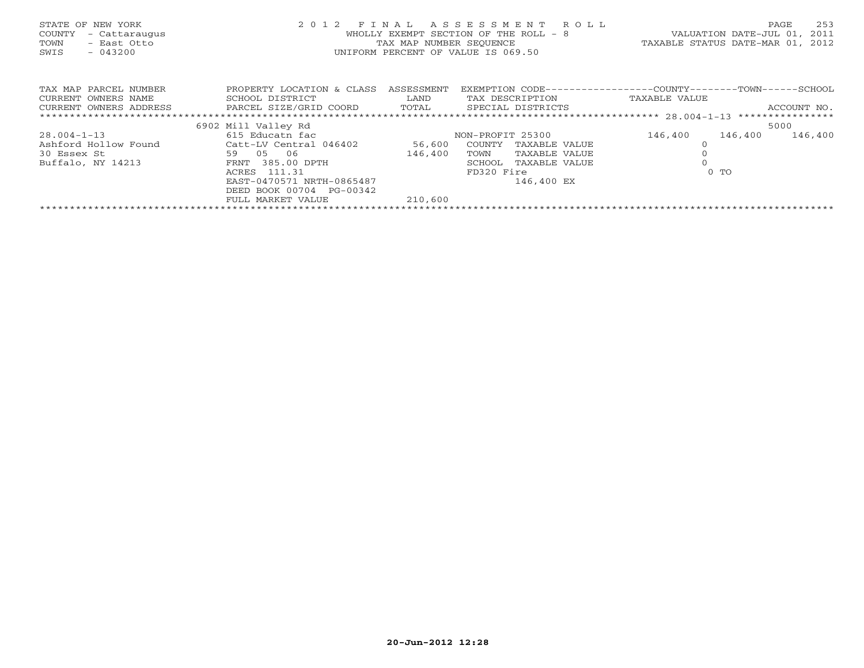| STATE OF NEW YORK<br>COUNTY<br>- Cattaraugus<br>- East Otto<br>TOWN<br>$-043200$<br>SWIS | 2 0 1 2                   | FINAL<br>WHOLLY EXEMPT<br>TAX MAP NUMBER SEOUENCE<br>UNIFORM PERCENT OF VALUE IS 069.50 | ASSESSMENT<br>SECTION OF THE ROLL - 8 | R O L L                                                     | TAXABLE STATUS DATE-MAR 01, | VALUATION DATE-JUL 01, | 253<br>PAGE<br>2011<br>2012 |
|------------------------------------------------------------------------------------------|---------------------------|-----------------------------------------------------------------------------------------|---------------------------------------|-------------------------------------------------------------|-----------------------------|------------------------|-----------------------------|
| TAX MAP PARCEL NUMBER                                                                    | PROPERTY LOCATION & CLASS | ASSESSMENT                                                                              |                                       | EXEMPTION CODE----------------COUNTY-------TOWN------SCHOOL |                             |                        |                             |
| CURRENT OWNERS NAME                                                                      | SCHOOL DISTRICT           | LAND                                                                                    | TAX DESCRIPTION                       |                                                             | TAXABLE VALUE               |                        |                             |
| CURRENT OWNERS ADDRESS                                                                   | PARCEL SIZE/GRID COORD    | TOTAL                                                                                   | SPECIAL DISTRICTS                     |                                                             |                             |                        | ACCOUNT NO.                 |
|                                                                                          |                           |                                                                                         |                                       |                                                             |                             |                        |                             |
|                                                                                          | 6902 Mill Valley Rd       |                                                                                         |                                       |                                                             |                             |                        | 5000                        |
| $28.004 - 1 - 13$                                                                        | 615 Educatn fac           |                                                                                         | NON-PROFIT 25300                      |                                                             | 146,400                     | 146,400                | 146,400                     |
| Ashford Hollow Found                                                                     | Catt-LV Central 046402    | 56,600                                                                                  | COUNTY                                | TAXABLE VALUE                                               |                             |                        |                             |
| 30 Essex St                                                                              | 59 05<br>06               | 146,400                                                                                 | TOWN                                  | TAXABLE VALUE                                               |                             |                        |                             |
| Buffalo, NY 14213                                                                        | FRNT 385.00 DPTH          |                                                                                         | SCHOOL                                | TAXABLE VALUE                                               |                             |                        |                             |
|                                                                                          | 111.31<br>ACRES           |                                                                                         | FD320 Fire                            |                                                             |                             | $0$ TO                 |                             |
|                                                                                          | EAST-0470571 NRTH-0865487 |                                                                                         |                                       | 146,400 EX                                                  |                             |                        |                             |
|                                                                                          | DEED BOOK 00704 PG-00342  |                                                                                         |                                       |                                                             |                             |                        |                             |
|                                                                                          | FULL MARKET VALUE         | 210,600                                                                                 |                                       |                                                             |                             |                        |                             |
|                                                                                          |                           |                                                                                         |                                       |                                                             |                             |                        |                             |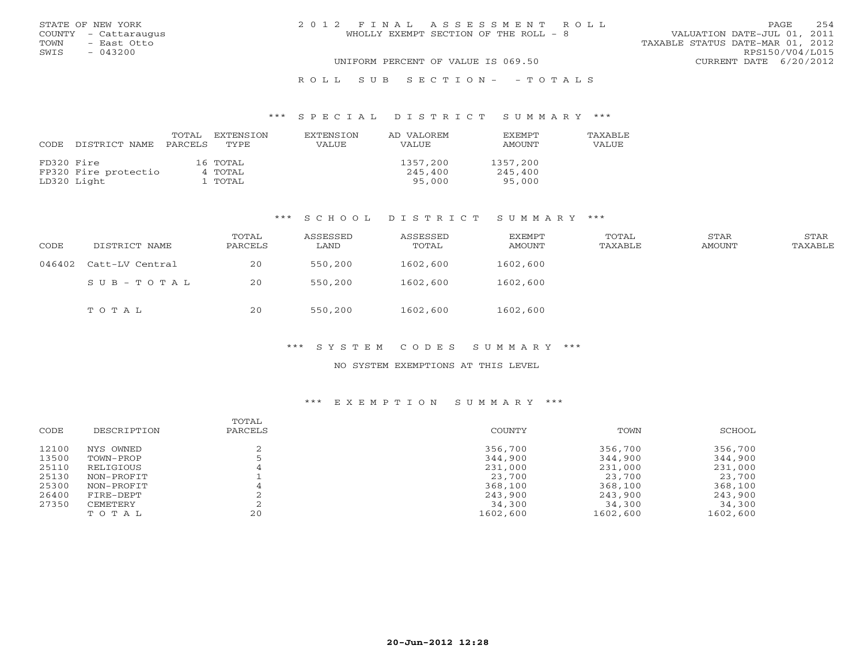|      | STATE OF NEW YORK    | 2012 FINAL ASSESSMENT ROLL            | PAGE.                            | 254             |
|------|----------------------|---------------------------------------|----------------------------------|-----------------|
|      | COUNTY - Cattaraugus | WHOLLY EXEMPT SECTION OF THE ROLL - 8 | VALUATION DATE-JUL 01, 2011      |                 |
| TOWN | - East Otto          |                                       | TAXABLE STATUS DATE-MAR 01, 2012 |                 |
| SWIS | $-043200$            |                                       |                                  | RPS150/V04/L015 |
|      |                      | UNIFORM PERCENT OF VALUE IS 069.50    | CURRENT DATE 6/20/2012           |                 |
|      |                      |                                       |                                  |                 |

# R O L L S U B S E C T I O N - - T O T A L S

#### \*\*\* S P E C I A L D I S T R I C T S U M M A R Y \*\*\*

| CODE       | DISTRICT NAME        | TOTAL<br>PARCELS | EXTENSION<br>TYPE. | <b>EXTENSION</b><br>VALUE | AD VALOREM<br>VALUE | <b>EXEMPT</b><br>AMOUNT | <b>TAXABLE</b><br>VALUE |
|------------|----------------------|------------------|--------------------|---------------------------|---------------------|-------------------------|-------------------------|
| FD320 Fire |                      |                  | 16 TOTAL           |                           | 1357,200            | 1357,200                |                         |
|            | FP320 Fire protectio |                  | 4 TOTAL            |                           | 245,400             | 245,400                 |                         |
|            | LD320 Light          |                  | . TOTAL            |                           | 95,000              | 95,000                  |                         |

#### \*\*\* S C H O O L D I S T R I C T S U M M A R Y \*\*\*

| CODE   | DISTRICT NAME   | TOTAL<br>PARCELS | ASSESSED<br>LAND | ASSESSED<br>TOTAL | EXEMPT<br>AMOUNT | TOTAL<br>TAXABLE | STAR<br>AMOUNT | STAR<br>TAXABLE |
|--------|-----------------|------------------|------------------|-------------------|------------------|------------------|----------------|-----------------|
| 046402 | Catt-LV Central | 20               | 550,200          | 1602,600          | 1602,600         |                  |                |                 |
|        | SUB-TOTAL       | 20               | 550,200          | 1602,600          | 1602,600         |                  |                |                 |
|        | тотаь           | 20               | 550,200          | 1602,600          | 1602,600         |                  |                |                 |

#### \*\*\* S Y S T E M C O D E S S U M M A R Y \*\*\*

#### NO SYSTEM EXEMPTIONS AT THIS LEVEL

| CODE  | DESCRIPTION | TOTAL<br>PARCELS | COUNTY   | TOWN     | SCHOOL   |
|-------|-------------|------------------|----------|----------|----------|
| 12100 | NYS OWNED   |                  | 356,700  | 356,700  | 356,700  |
| 13500 | TOWN-PROP   |                  | 344,900  | 344,900  | 344,900  |
| 25110 | RELIGIOUS   | 4                | 231,000  | 231,000  | 231,000  |
| 25130 | NON-PROFIT  |                  | 23,700   | 23,700   | 23,700   |
| 25300 | NON-PROFIT  |                  | 368,100  | 368,100  | 368,100  |
| 26400 | FIRE-DEPT   |                  | 243,900  | 243,900  | 243,900  |
| 27350 | CEMETERY    |                  | 34,300   | 34,300   | 34,300   |
|       | TOTAL       | 20               | 1602,600 | 1602,600 | 1602,600 |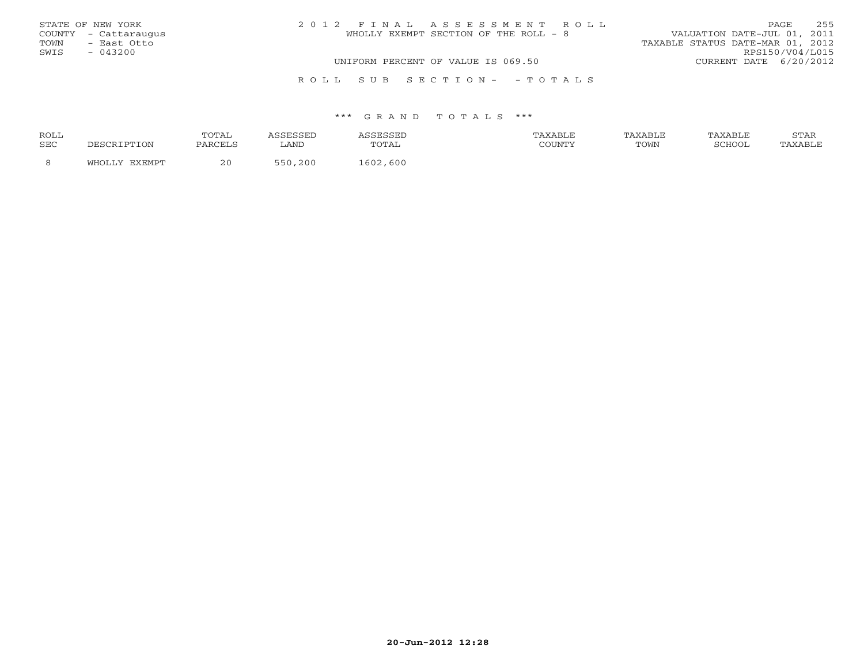|      | STATE OF NEW YORK    | 2012 FINAL ASSESSMENT ROLL            | 255<br>PAGE.                     |
|------|----------------------|---------------------------------------|----------------------------------|
|      | COUNTY - Cattaraugus | WHOLLY EXEMPT SECTION OF THE ROLL - 8 | VALUATION DATE-JUL 01, 2011      |
| TOWN | - East Otto          |                                       | TAXABLE STATUS DATE-MAR 01, 2012 |
| SWIS | $-043200$            |                                       | RPS150/V04/L015                  |
|      |                      | UNIFORM PERCENT OF VALUE IS 069.50    | CURRENT DATE 6/20/2012           |
|      |                      | ROLL SUB SECTION- - TOTALS            |                                  |

| <b>ROLL</b> |     | ጣሰጣሽ.   |      | .          | ™ABLF  |      | AXABLE | $\sim$ m $\geq$<br><b>UIIII</b> |
|-------------|-----|---------|------|------------|--------|------|--------|---------------------------------|
| <b>SEC</b>  | `ON | PARCELS | LAND | <u>.</u>   | COUNTY | TOWN | COHOOT |                                 |
|             |     | 20      | 200  | ,600<br>60 |        |      |        |                                 |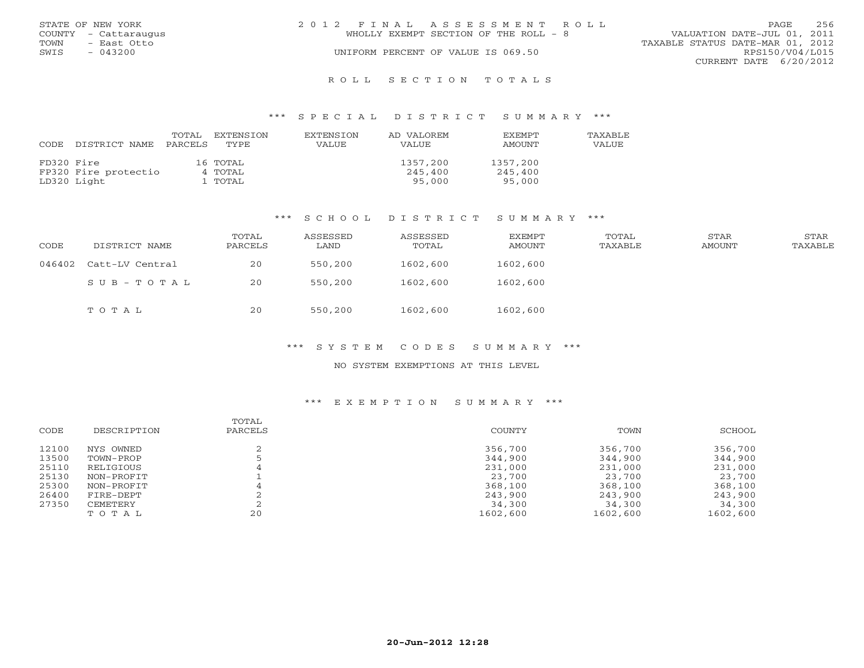|      | STATE OF NEW YORK    | 2012 FINAL ASSESSMENT ROLL |                                       |                                  | <b>PAGE</b>            | 256 |
|------|----------------------|----------------------------|---------------------------------------|----------------------------------|------------------------|-----|
|      | COUNTY - Cattaraugus |                            | WHOLLY EXEMPT SECTION OF THE ROLL - 8 | VALUATION DATE-JUL 01, 2011      |                        |     |
| TOWN | - East Otto          |                            |                                       | TAXABLE STATUS DATE-MAR 01, 2012 |                        |     |
| SWIS | $-043200$            |                            | UNIFORM PERCENT OF VALUE IS 069.50    |                                  | RPS150/V04/L015        |     |
|      |                      |                            |                                       |                                  | CURRENT DATE 6/20/2012 |     |
|      |                      |                            |                                       |                                  |                        |     |

#### R O L L S E C T I O N T O T A L S

#### \*\*\* S P E C I A L D I S T R I C T S U M M A R Y \*\*\*

| CODE       | DISTRICT NAME        | TOTAL<br>PARCELS | EXTENSION<br>TYPE. | EXTENSION<br>VALUE | AD VALOREM<br>VALUE | <b>EXEMPT</b><br>AMOUNT | TAXABLE<br>VALUE |
|------------|----------------------|------------------|--------------------|--------------------|---------------------|-------------------------|------------------|
| FD320 Fire |                      |                  | 16 TOTAL           |                    | 1357,200            | 1357,200                |                  |
|            | FP320 Fire protectio |                  | 4 TOTAL            |                    | 245,400             | 245,400                 |                  |
|            | LD320 Light          |                  | L TOTAL            |                    | 95,000              | 95,000                  |                  |

#### \*\*\* S C H O O L D I S T R I C T S U M M A R Y \*\*\*

| CODE   | DISTRICT NAME   | TOTAL<br>PARCELS | ASSESSED<br>LAND | ASSESSED<br>TOTAL | EXEMPT<br>AMOUNT | TOTAL<br>TAXABLE | STAR<br>AMOUNT | STAR<br>TAXABLE |
|--------|-----------------|------------------|------------------|-------------------|------------------|------------------|----------------|-----------------|
| 046402 | Catt-LV Central | 20               | 550,200          | 1602,600          | 1602,600         |                  |                |                 |
|        | SUB-TOTAL       | 20               | 550,200          | 1602,600          | 1602,600         |                  |                |                 |
|        | тотаь           | 20               | 550,200          | 1602,600          | 1602,600         |                  |                |                 |

#### \*\*\* S Y S T E M C O D E S S U M M A R Y \*\*\*

# NO SYSTEM EXEMPTIONS AT THIS LEVEL

| CODE  | DESCRIPTION | TOTAL<br>PARCELS | COUNTY   | TOWN     | SCHOOL   |
|-------|-------------|------------------|----------|----------|----------|
| 12100 | NYS OWNED   |                  | 356,700  | 356,700  | 356,700  |
| 13500 | TOWN-PROP   |                  | 344,900  | 344,900  | 344,900  |
| 25110 | RELIGIOUS   | 4                | 231,000  | 231,000  | 231,000  |
| 25130 | NON-PROFIT  |                  | 23,700   | 23,700   | 23,700   |
| 25300 | NON-PROFIT  |                  | 368,100  | 368,100  | 368,100  |
| 26400 | FIRE-DEPT   |                  | 243,900  | 243,900  | 243,900  |
| 27350 | CEMETERY    |                  | 34,300   | 34,300   | 34,300   |
|       | TOTAL       | 20               | 1602,600 | 1602,600 | 1602,600 |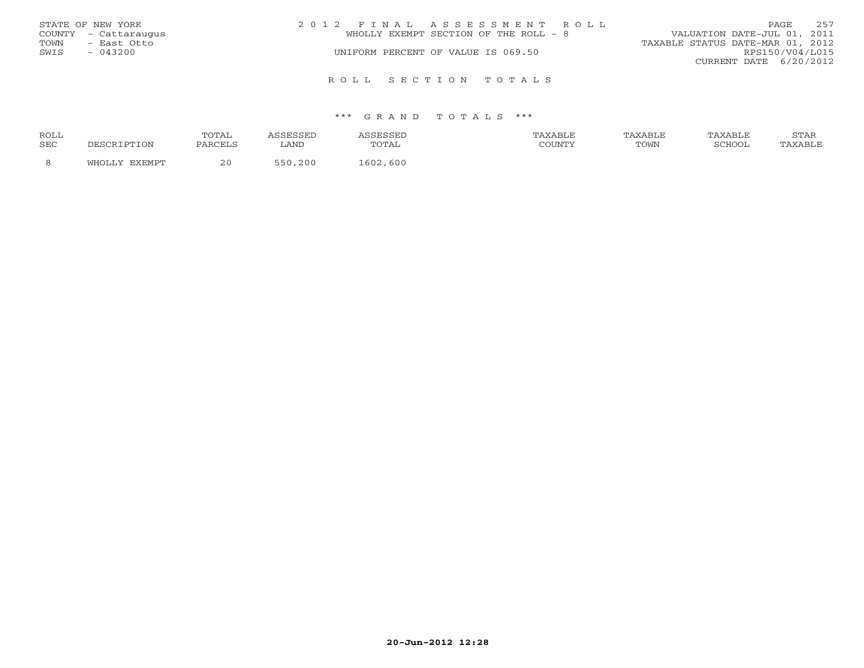|      | STATE OF NEW YORK    | 2012 FINAL ASSESSMENT ROLL            | PAGE                             | 257             |
|------|----------------------|---------------------------------------|----------------------------------|-----------------|
|      | COUNTY - Cattaraugus | WHOLLY EXEMPT SECTION OF THE ROLL - 8 | VALUATION DATE-JUL 01, 2011      |                 |
| TOWN | - East Otto          |                                       | TAXABLE STATUS DATE-MAR 01, 2012 |                 |
| SWIS | $-043200$            | UNIFORM PERCENT OF VALUE IS 069.50    |                                  | RPS150/V04/L015 |
|      |                      |                                       | CURRENT DATE 6/20/2012           |                 |
|      |                      | ROLL SECTION TOTALS                   |                                  |                 |

| <b>ROLL</b> |       | <b>TOTA1</b>          |      |                        | <b>XABLF</b> | AXABLE | TAXABLE | <b>CHLAT</b><br>י בתיכו |
|-------------|-------|-----------------------|------|------------------------|--------------|--------|---------|-------------------------|
| <b>SEC</b>  | DTION | PARCELS               | LAND | utal                   | COUNTY       | TOWN   | COHOOT  |                         |
|             |       | 20 <sup>0</sup><br>∠∟ | 200  | 600<br>60 <sup>-</sup> |              |        |         |                         |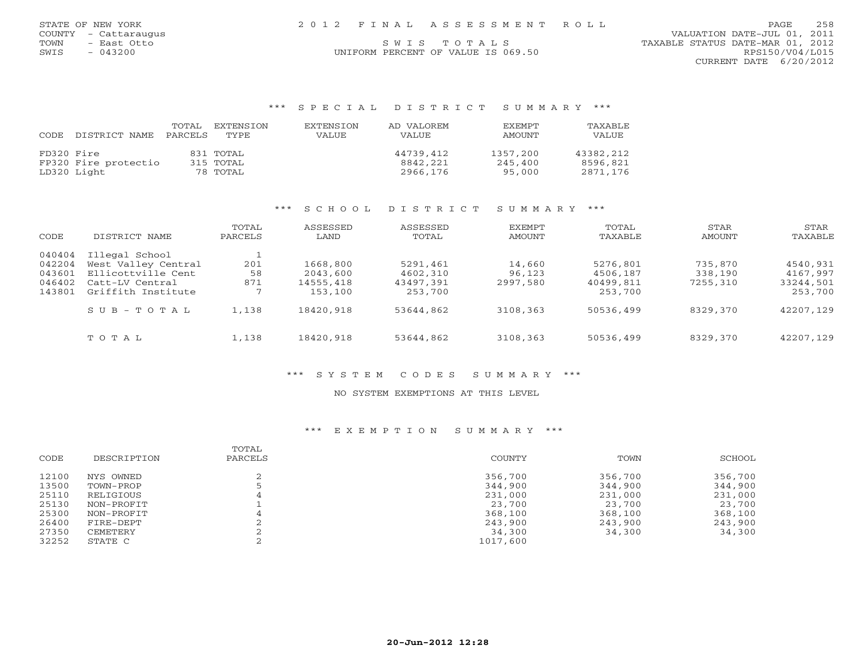# COUNTY - Cattaraugus VALUATION DATE-JUL 01, 2011

TOWN - East Otto S W I S T O T A L S TO T A L S TAXABLE STATUS DATE-MAR 01, 2012 CURRENT DATE 6/20/2012

# SWIS - 043200 UNIFORM PERCENT OF VALUE IS 069.50 RPS150/V04/L015

#### \*\*\* S P E C I A L D I S T R I C T S U M M A R Y \*\*\*

| CODE       | DISTRICT NAME        | TOTAL<br>PARCELS | EXTENSION<br>TYPE. | EXTENSION<br>VALUE | AD VALOREM<br>VALUE | <b>EXEMPT</b><br>AMOUNT | TAXABLE<br>VALUE |
|------------|----------------------|------------------|--------------------|--------------------|---------------------|-------------------------|------------------|
| FD320 Fire |                      |                  | 831 TOTAL          |                    | 44739,412           | 1357,200                | 43382,212        |
|            | FP320 Fire protectio |                  | 315 TOTAL          |                    | 8842,221            | 245.400                 | 8596,821         |
|            | LD320 Light          |                  | 78 TOTAL           |                    | 2966,176            | 95,000                  | 2871,176         |

### \*\*\* S C H O O L D I S T R I C T S U M M A R Y \*\*\*

| CODE                                           | DISTRICT NAME                                                                                        | TOTAL<br>PARCELS | ASSESSED<br>LAND                             | ASSESSED<br>TOTAL                            | <b>EXEMPT</b><br><b>AMOUNT</b> | TOTAL<br>TAXABLE                             | STAR<br>AMOUNT                 | STAR<br>TAXABLE                              |
|------------------------------------------------|------------------------------------------------------------------------------------------------------|------------------|----------------------------------------------|----------------------------------------------|--------------------------------|----------------------------------------------|--------------------------------|----------------------------------------------|
| 040404<br>042204<br>043601<br>046402<br>143801 | Illegal School<br>West Valley Central<br>Ellicottville Cent<br>Catt-LV Central<br>Griffith Institute | 201<br>58<br>871 | 1668,800<br>2043,600<br>14555,418<br>153,100 | 5291,461<br>4602,310<br>43497,391<br>253,700 | 14,660<br>96,123<br>2997,580   | 5276,801<br>4506,187<br>40499,811<br>253,700 | 735,870<br>338,190<br>7255,310 | 4540,931<br>4167,997<br>33244,501<br>253,700 |
|                                                | $S \cup B - T \cup T A L$                                                                            | 1,138            | 18420,918                                    | 53644,862                                    | 3108,363                       | 50536,499                                    | 8329,370                       | 42207,129                                    |
|                                                | TOTAL                                                                                                | 1,138            | 18420,918                                    | 53644,862                                    | 3108,363                       | 50536,499                                    | 8329,370                       | 42207,129                                    |

#### \*\*\* S Y S T E M C O D E S S U M M A R Y \*\*\*

# NO SYSTEM EXEMPTIONS AT THIS LEVEL

| CODE  | DESCRIPTION | TOTAL<br>PARCELS | COUNTY   | TOWN    | SCHOOL  |
|-------|-------------|------------------|----------|---------|---------|
| 12100 | NYS OWNED   |                  | 356,700  | 356,700 | 356,700 |
| 13500 | TOWN-PROP   |                  | 344,900  | 344,900 | 344,900 |
| 25110 | RELIGIOUS   |                  | 231,000  | 231,000 | 231,000 |
| 25130 | NON-PROFIT  |                  | 23,700   | 23,700  | 23,700  |
| 25300 | NON-PROFIT  |                  | 368,100  | 368,100 | 368,100 |
| 26400 | FIRE-DEPT   |                  | 243,900  | 243,900 | 243,900 |
| 27350 | CEMETERY    |                  | 34,300   | 34,300  | 34,300  |
| 32252 | STATE C     |                  | 1017,600 |         |         |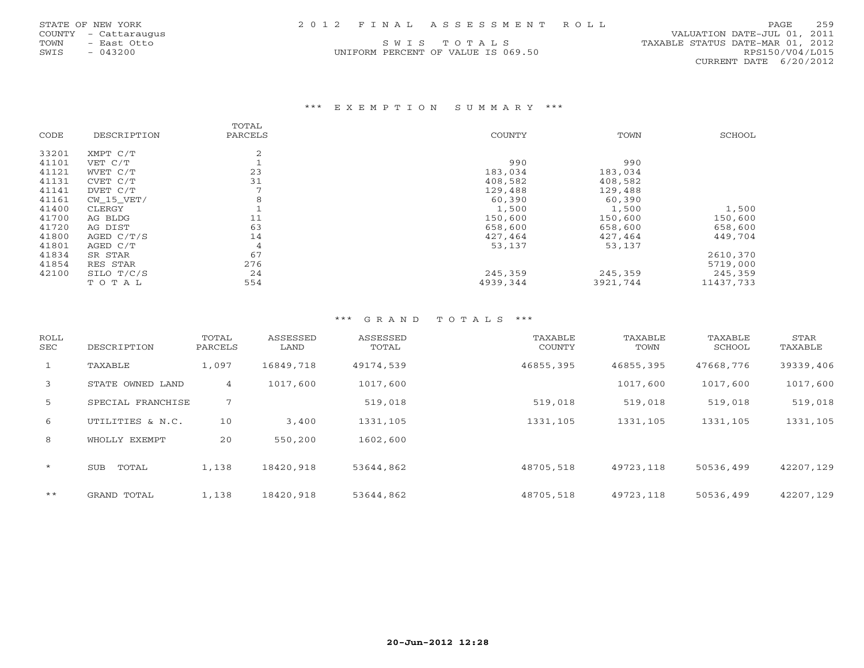| STATE OF NEW YORK |  | 2012 FINAL ASSESSMENT ROLL | PAGE | 259 |
|-------------------|--|----------------------------|------|-----|
|                   |  |                            |      |     |

UNIFORM PERCENT OF VALUE IS 069.50 RPS150/V04/L015

 COUNTY - Cattaraugus VALUATION DATE-JUL 01, 2011 TOWN - East Otto S W I S T O T A L S<br>
SWIS - 043200 CONTECT STATUS DATE-MAR 01, 2012<br>
SWIS - 043200 RPS150/V04/L015 CURRENT DATE 6/20/2012

#### \*\*\* E X E M P T I O N S U M M A R Y \*\*\*

|       |             | TOTAL          |          |          |           |
|-------|-------------|----------------|----------|----------|-----------|
| CODE  | DESCRIPTION | PARCELS        | COUNTY   | TOWN     | SCHOOL    |
| 33201 | XMPT C/T    | 2              |          |          |           |
| 41101 | VET C/T     |                | 990      | 990      |           |
| 41121 | WVET C/T    | 23             | 183,034  | 183,034  |           |
| 41131 | CVET C/T    | 31             | 408,582  | 408,582  |           |
| 41141 | DVET C/T    |                | 129,488  | 129,488  |           |
| 41161 | CW 15 VET/  | 8              | 60,390   | 60,390   |           |
| 41400 | CLERGY      |                | 1,500    | 1,500    | 1,500     |
| 41700 | AG BLDG     | 11             | 150,600  | 150,600  | 150,600   |
| 41720 | AG DIST     | 63             | 658,600  | 658,600  | 658,600   |
| 41800 | AGED C/T/S  | 14             | 427,464  | 427,464  | 449,704   |
| 41801 | AGED C/T    | $\overline{4}$ | 53,137   | 53,137   |           |
| 41834 | SR STAR     | 67             |          |          | 2610,370  |
| 41854 | RES STAR    | 276            |          |          | 5719,000  |
| 42100 | SILO T/C/S  | 24             | 245,359  | 245,359  | 245,359   |
|       | TOTAL       | 554            | 4939,344 | 3921,744 | 11437,733 |

| <b>ROLL</b><br><b>SEC</b> | DESCRIPTION         | TOTAL<br>PARCELS | ASSESSED<br>LAND | ASSESSED<br>TOTAL | TAXABLE<br>COUNTY | TAXABLE<br>TOWN | TAXABLE<br>SCHOOL | STAR<br>TAXABLE |
|---------------------------|---------------------|------------------|------------------|-------------------|-------------------|-----------------|-------------------|-----------------|
| $\mathbf{1}$              | TAXABLE             | 1,097            | 16849,718        | 49174,539         | 46855,395         | 46855,395       | 47668,776         | 39339,406       |
| 3                         | STATE OWNED LAND    | 4                | 1017,600         | 1017,600          |                   | 1017,600        | 1017,600          | 1017,600        |
| 5                         | SPECIAL FRANCHISE   | 7                |                  | 519,018           | 519,018           | 519,018         | 519,018           | 519,018         |
| 6                         | UTILITIES & N.C.    | 10               | 3,400            | 1331,105          | 1331,105          | 1331,105        | 1331,105          | 1331,105        |
| 8                         | WHOLLY EXEMPT       | 20               | 550,200          | 1602,600          |                   |                 |                   |                 |
| $\star$                   | TOTAL<br><b>SUB</b> | 1,138            | 18420,918        | 53644,862         | 48705,518         | 49723,118       | 50536,499         | 42207,129       |
| $***$                     | GRAND TOTAL         | 1,138            | 18420,918        | 53644,862         | 48705,518         | 49723,118       | 50536,499         | 42207,129       |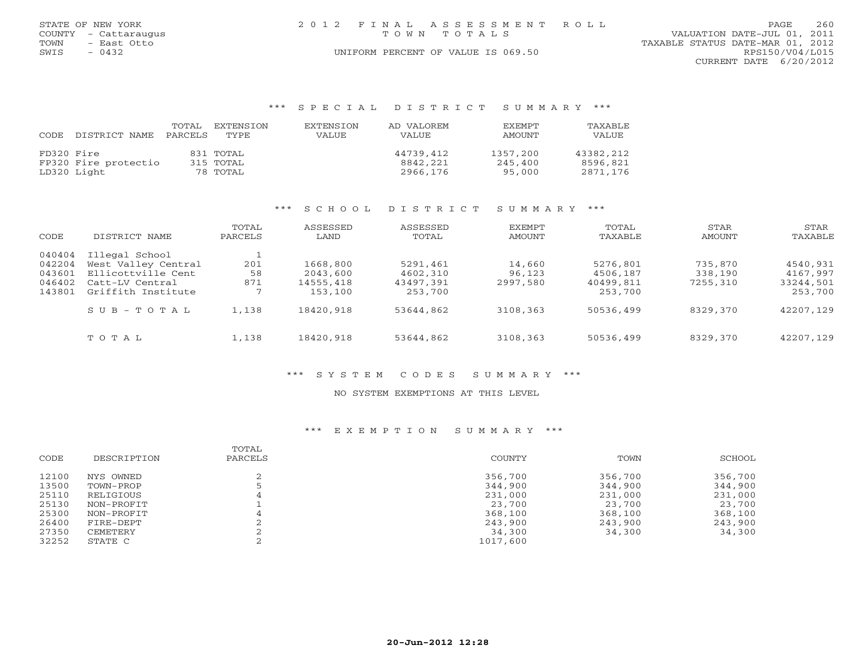| STATE OF NEW YORK |                      | 2012 FINAL ASSESSMENT ROLL         |                                  | PAGE                     | 260 |
|-------------------|----------------------|------------------------------------|----------------------------------|--------------------------|-----|
|                   | COUNTY - Cattaraugus | TOWN TOTALS                        | VALUATION DATE-JUL 01, 2011      |                          |     |
| TOWN              | - East Otto          |                                    | TAXABLE STATUS DATE-MAR 01, 2012 |                          |     |
| SWIS              | $-0432$              | UNIFORM PERCENT OF VALUE IS 069.50 |                                  | RPS150/V04/L015          |     |
|                   |                      |                                    |                                  | CURRENT DATE $6/20/2012$ |     |

#### \*\*\* S P E C I A L D I S T R I C T S U M M A R Y \*\*\*

| CODE       | DISTRICT NAME        | TOTAL<br>PARCELS | EXTENSTON<br>TYPE | <b>EXTENSION</b><br>VALUE | AD VALOREM<br>VALUE | EXEMPT<br>AMOUNT | TAXABLE<br>VALUE |
|------------|----------------------|------------------|-------------------|---------------------------|---------------------|------------------|------------------|
| FD320 Fire |                      |                  | 831 TOTAL         |                           | 44739,412           | 1357,200         | 43382,212        |
|            | FP320 Fire protectio |                  | 315 TOTAL         |                           | 8842,221            | 245,400          | 8596,821         |
|            | LD320 Light          |                  | 78 TOTAL          |                           | 2966,176            | 95,000           | 2871,176         |

#### \*\*\* S C H O O L D I S T R I C T S U M M A R Y \*\*\*

| CODE                                           | DISTRICT NAME                                                                                        | TOTAL<br>PARCELS | ASSESSED<br>LAND                             | ASSESSED<br>TOTAL                            | <b>EXEMPT</b><br>AMOUNT      | TOTAL<br>TAXABLE                             | STAR<br>AMOUNT                 | STAR<br>TAXABLE                              |
|------------------------------------------------|------------------------------------------------------------------------------------------------------|------------------|----------------------------------------------|----------------------------------------------|------------------------------|----------------------------------------------|--------------------------------|----------------------------------------------|
| 040404<br>042204<br>043601<br>046402<br>143801 | Illegal School<br>West Valley Central<br>Ellicottville Cent<br>Catt-LV Central<br>Griffith Institute | 201<br>58<br>871 | 1668,800<br>2043,600<br>14555,418<br>153,100 | 5291,461<br>4602,310<br>43497,391<br>253,700 | 14,660<br>96,123<br>2997,580 | 5276,801<br>4506,187<br>40499,811<br>253,700 | 735,870<br>338,190<br>7255,310 | 4540,931<br>4167,997<br>33244,501<br>253,700 |
|                                                | $S \cup B - T \cup T A L$                                                                            | 1,138            | 18420,918                                    | 53644,862                                    | 3108,363                     | 50536,499                                    | 8329,370                       | 42207,129                                    |
|                                                | TOTAL                                                                                                | 1,138            | 18420,918                                    | 53644,862                                    | 3108,363                     | 50536,499                                    | 8329,370                       | 42207,129                                    |

#### \*\*\* S Y S T E M C O D E S S U M M A R Y \*\*\*

# NO SYSTEM EXEMPTIONS AT THIS LEVEL

|       |             | TOTAL   |          |         |         |
|-------|-------------|---------|----------|---------|---------|
| CODE  | DESCRIPTION | PARCELS | COUNTY   | TOWN    | SCHOOL  |
| 12100 | NYS OWNED   |         | 356,700  | 356,700 | 356,700 |
| 13500 | TOWN-PROP   |         | 344,900  | 344,900 | 344,900 |
| 25110 | RELIGIOUS   |         | 231,000  | 231,000 | 231,000 |
| 25130 | NON-PROFIT  |         | 23,700   | 23,700  | 23,700  |
| 25300 | NON-PROFIT  |         | 368,100  | 368,100 | 368,100 |
| 26400 | FIRE-DEPT   |         | 243,900  | 243,900 | 243,900 |
| 27350 | CEMETERY    |         | 34,300   | 34,300  | 34,300  |
| 32252 | STATE C     |         | 1017,600 |         |         |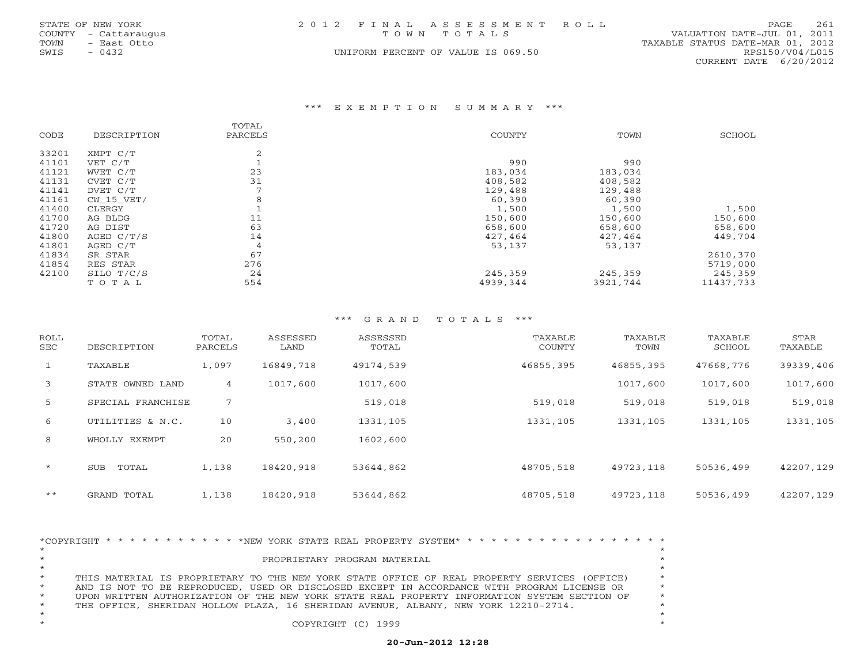|      | STATE OF NEW YORK    | 2012 FINAL ASSESSMENT ROLL         | 261<br><b>PAGE</b>               |
|------|----------------------|------------------------------------|----------------------------------|
|      | COUNTY - Cattaraugus | TOWN TOTALS                        | VALUATION DATE-JUL 01, 2011      |
| TOWN | – East Otto          |                                    | TAXABLE STATUS DATE-MAR 01, 2012 |
| SWIS | $-0432$              | UNIFORM PERCENT OF VALUE IS 069.50 | RPS150/V04/L015                  |
|      |                      |                                    | CURRENT DATE $6/20/2012$         |

#### \*\*\* E X E M P T I O N S U M M A R Y \*\*\*

|       |              | TOTAL   |          |          |           |
|-------|--------------|---------|----------|----------|-----------|
| CODE  | DESCRIPTION  | PARCELS | COUNTY   | TOWN     | SCHOOL    |
| 33201 | XMPT C/T     | 2       |          |          |           |
| 41101 | VET C/T      |         | 990      | 990      |           |
| 41121 | WVET C/T     | 23      | 183,034  | 183,034  |           |
| 41131 | CVET C/T     | 31      | 408,582  | 408,582  |           |
| 41141 | DVET C/T     |         | 129,488  | 129,488  |           |
| 41161 | $CW_15_VET/$ | 8       | 60,390   | 60,390   |           |
| 41400 | CLERGY       |         | 1,500    | 1,500    | 1,500     |
| 41700 | AG BLDG      | 11      | 150,600  | 150,600  | 150,600   |
| 41720 | AG DIST      | 63      | 658,600  | 658,600  | 658,600   |
| 41800 | AGED $C/T/S$ | 14      | 427,464  | 427,464  | 449,704   |
| 41801 | AGED C/T     | 4       | 53,137   | 53,137   |           |
| 41834 | SR STAR      | 67      |          |          | 2610,370  |
| 41854 | RES STAR     | 276     |          |          | 5719,000  |
| 42100 | SILO T/C/S   | 24      | 245,359  | 245,359  | 245,359   |
|       | TOTAL        | 554     | 4939,344 | 3921,744 | 11437,733 |

| ROLL<br>SEC  | DESCRIPTION         | TOTAL<br>PARCELS | ASSESSED<br>LAND | ASSESSED<br>TOTAL | TAXABLE<br>COUNTY | TAXABLE<br>TOWN | TAXABLE<br>SCHOOL | STAR<br>TAXABLE |
|--------------|---------------------|------------------|------------------|-------------------|-------------------|-----------------|-------------------|-----------------|
| 1            | TAXABLE             | 1,097            | 16849,718        | 49174,539         | 46855,395         | 46855,395       | 47668,776         | 39339,406       |
| 3            | STATE OWNED LAND    | 4                | 1017,600         | 1017,600          |                   | 1017,600        | 1017,600          | 1017,600        |
| -5           | SPECIAL FRANCHISE   | 7                |                  | 519,018           | 519,018           | 519,018         | 519,018           | 519,018         |
| 6            | UTILITIES & N.C.    | 10               | 3,400            | 1331,105          | 1331,105          | 1331,105        | 1331,105          | 1331,105        |
| 8            | WHOLLY EXEMPT       | 20               | 550,200          | 1602,600          |                   |                 |                   |                 |
| $\star$      | <b>SUB</b><br>TOTAL | 1,138            | 18420,918        | 53644,862         | 48705,518         | 49723,118       | 50536,499         | 42207,129       |
| $\star\star$ | GRAND TOTAL         | 1,138            | 18420,918        | 53644,862         | 48705,518         | 49723,118       | 50536,499         | 42207,129       |

| *COPYRIGHT * * * * * * * * * * * * NEW YORK STATE REAL PROPERTY SYSTEM* * * * * * * * * * * * * * * * * * *<br>$\star$ | $\star$ |
|------------------------------------------------------------------------------------------------------------------------|---------|
|                                                                                                                        |         |
| $\star$<br>PROPRIETARY PROGRAM MATERIAL                                                                                |         |
|                                                                                                                        | $\star$ |
| $\star$<br>THIS MATERIAL IS PROPRIETARY TO THE NEW YORK STATE OFFICE OF REAL PROPERTY SERVICES (OFFICE)                | $\star$ |
| $\star$<br>AND IS NOT TO BE REPRODUCED, USED OR DISCLOSED EXCEPT IN ACCORDANCE WITH PROGRAM LICENSE OR                 | $\star$ |
| $\star$<br>UPON WRITTEN AUTHORIZATION OF THE NEW YORK STATE REAL PROPERTY INFORMATION SYSTEM SECTION OF                | $\star$ |
| $\star$<br>THE OFFICE, SHERIDAN HOLLOW PLAZA, 16 SHERIDAN AVENUE, ALBANY, NEW YORK 12210-2714.                         | $\star$ |
|                                                                                                                        |         |
| COPYRIGHT (C) 1999                                                                                                     | $\star$ |